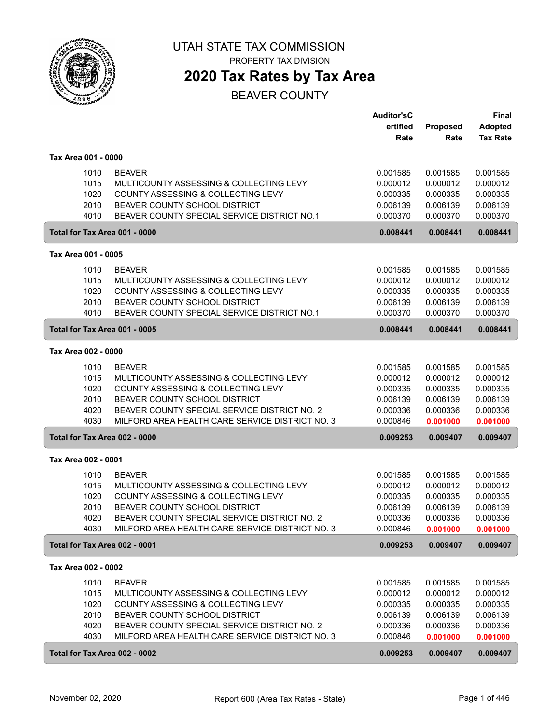

**2020 Tax Rates by Tax Area**

|                               |                                                 | <b>Auditor'sC</b> |                      | <b>Final</b>         |
|-------------------------------|-------------------------------------------------|-------------------|----------------------|----------------------|
|                               |                                                 | ertified          | Proposed             | <b>Adopted</b>       |
|                               |                                                 | Rate              | Rate                 | <b>Tax Rate</b>      |
|                               |                                                 |                   |                      |                      |
| Tax Area 001 - 0000           |                                                 |                   |                      |                      |
| 1010                          | <b>BEAVER</b>                                   | 0.001585          | 0.001585             | 0.001585             |
| 1015                          | MULTICOUNTY ASSESSING & COLLECTING LEVY         | 0.000012          | 0.000012             | 0.000012             |
| 1020                          | COUNTY ASSESSING & COLLECTING LEVY              | 0.000335          | 0.000335             | 0.000335             |
| 2010                          | BEAVER COUNTY SCHOOL DISTRICT                   | 0.006139          | 0.006139             | 0.006139             |
| 4010                          | BEAVER COUNTY SPECIAL SERVICE DISTRICT NO.1     | 0.000370          | 0.000370             | 0.000370             |
| Total for Tax Area 001 - 0000 |                                                 | 0.008441          | 0.008441             | 0.008441             |
| Tax Area 001 - 0005           |                                                 |                   |                      |                      |
| 1010                          | <b>BEAVER</b>                                   | 0.001585          | 0.001585             | 0.001585             |
| 1015                          | MULTICOUNTY ASSESSING & COLLECTING LEVY         | 0.000012          | 0.000012             | 0.000012             |
| 1020                          | COUNTY ASSESSING & COLLECTING LEVY              | 0.000335          | 0.000335             | 0.000335             |
| 2010                          | BEAVER COUNTY SCHOOL DISTRICT                   | 0.006139          | 0.006139             | 0.006139             |
| 4010                          | BEAVER COUNTY SPECIAL SERVICE DISTRICT NO.1     | 0.000370          | 0.000370             | 0.000370             |
| Total for Tax Area 001 - 0005 |                                                 | 0.008441          | 0.008441             | 0.008441             |
| Tax Area 002 - 0000           |                                                 |                   |                      |                      |
|                               | <b>BEAVER</b>                                   | 0.001585          |                      |                      |
| 1010<br>1015                  | MULTICOUNTY ASSESSING & COLLECTING LEVY         | 0.000012          | 0.001585<br>0.000012 | 0.001585<br>0.000012 |
| 1020                          | COUNTY ASSESSING & COLLECTING LEVY              | 0.000335          | 0.000335             | 0.000335             |
| 2010                          | BEAVER COUNTY SCHOOL DISTRICT                   | 0.006139          | 0.006139             | 0.006139             |
| 4020                          | BEAVER COUNTY SPECIAL SERVICE DISTRICT NO. 2    | 0.000336          | 0.000336             | 0.000336             |
| 4030                          | MILFORD AREA HEALTH CARE SERVICE DISTRICT NO. 3 | 0.000846          | 0.001000             | 0.001000             |
| Total for Tax Area 002 - 0000 |                                                 | 0.009253          | 0.009407             | 0.009407             |
|                               |                                                 |                   |                      |                      |
| Tax Area 002 - 0001           |                                                 |                   |                      |                      |
| 1010                          | <b>BEAVER</b>                                   | 0.001585          | 0.001585             | 0.001585             |
| 1015                          | MULTICOUNTY ASSESSING & COLLECTING LEVY         | 0.000012          | 0.000012             | 0.000012             |
| 1020                          | COUNTY ASSESSING & COLLECTING LEVY              | 0.000335          | 0.000335             | 0.000335             |
| 2010                          | BEAVER COUNTY SCHOOL DISTRICT                   | 0.006139          | 0.006139             | 0.006139             |
| 4020                          | BEAVER COUNTY SPECIAL SERVICE DISTRICT NO. 2    | 0.000336          | 0.000336             | 0.000336             |
| 4030                          | MILFORD AREA HEALTH CARE SERVICE DISTRICT NO. 3 | 0.000846          | 0.001000             | 0.001000             |
| Total for Tax Area 002 - 0001 |                                                 | 0.009253          | 0.009407             | 0.009407             |
| Tax Area 002 - 0002           |                                                 |                   |                      |                      |
| 1010                          | <b>BEAVER</b>                                   | 0.001585          | 0.001585             | 0.001585             |
| 1015                          | MULTICOUNTY ASSESSING & COLLECTING LEVY         | 0.000012          | 0.000012             | 0.000012             |
| 1020                          | COUNTY ASSESSING & COLLECTING LEVY              | 0.000335          | 0.000335             | 0.000335             |
| 2010                          | BEAVER COUNTY SCHOOL DISTRICT                   | 0.006139          | 0.006139             | 0.006139             |
| 4020                          | BEAVER COUNTY SPECIAL SERVICE DISTRICT NO. 2    | 0.000336          | 0.000336             | 0.000336             |
| 4030                          | MILFORD AREA HEALTH CARE SERVICE DISTRICT NO. 3 | 0.000846          | 0.001000             | 0.001000             |
| Total for Tax Area 002 - 0002 |                                                 | 0.009253          | 0.009407             | 0.009407             |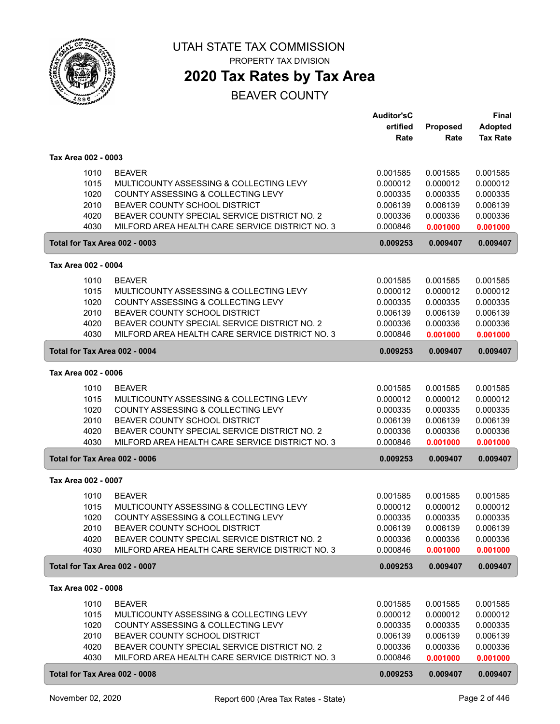

# **2020 Tax Rates by Tax Area**

|                                              |                                                                                                                                                                                                                                    | <b>Auditor'sC</b><br>ertified                                        | Proposed                                                             | <b>Final</b><br><b>Adopted</b>                                       |
|----------------------------------------------|------------------------------------------------------------------------------------------------------------------------------------------------------------------------------------------------------------------------------------|----------------------------------------------------------------------|----------------------------------------------------------------------|----------------------------------------------------------------------|
|                                              |                                                                                                                                                                                                                                    | Rate                                                                 | Rate                                                                 | <b>Tax Rate</b>                                                      |
| Tax Area 002 - 0003                          |                                                                                                                                                                                                                                    |                                                                      |                                                                      |                                                                      |
| 1010<br>1015<br>1020<br>2010<br>4020<br>4030 | <b>BEAVER</b><br>MULTICOUNTY ASSESSING & COLLECTING LEVY<br>COUNTY ASSESSING & COLLECTING LEVY<br>BEAVER COUNTY SCHOOL DISTRICT<br>BEAVER COUNTY SPECIAL SERVICE DISTRICT NO. 2<br>MILFORD AREA HEALTH CARE SERVICE DISTRICT NO. 3 | 0.001585<br>0.000012<br>0.000335<br>0.006139<br>0.000336<br>0.000846 | 0.001585<br>0.000012<br>0.000335<br>0.006139<br>0.000336<br>0.001000 | 0.001585<br>0.000012<br>0.000335<br>0.006139<br>0.000336<br>0.001000 |
| Total for Tax Area 002 - 0003                |                                                                                                                                                                                                                                    | 0.009253                                                             | 0.009407                                                             | 0.009407                                                             |
| Tax Area 002 - 0004                          |                                                                                                                                                                                                                                    |                                                                      |                                                                      |                                                                      |
| 1010<br>1015<br>1020<br>2010<br>4020<br>4030 | <b>BEAVER</b><br>MULTICOUNTY ASSESSING & COLLECTING LEVY<br>COUNTY ASSESSING & COLLECTING LEVY<br>BEAVER COUNTY SCHOOL DISTRICT<br>BEAVER COUNTY SPECIAL SERVICE DISTRICT NO. 2<br>MILFORD AREA HEALTH CARE SERVICE DISTRICT NO. 3 | 0.001585<br>0.000012<br>0.000335<br>0.006139<br>0.000336<br>0.000846 | 0.001585<br>0.000012<br>0.000335<br>0.006139<br>0.000336<br>0.001000 | 0.001585<br>0.000012<br>0.000335<br>0.006139<br>0.000336<br>0.001000 |
| Total for Tax Area 002 - 0004                |                                                                                                                                                                                                                                    | 0.009253                                                             | 0.009407                                                             | 0.009407                                                             |
| Tax Area 002 - 0006                          |                                                                                                                                                                                                                                    |                                                                      |                                                                      |                                                                      |
| 1010<br>1015<br>1020<br>2010<br>4020<br>4030 | <b>BEAVER</b><br>MULTICOUNTY ASSESSING & COLLECTING LEVY<br>COUNTY ASSESSING & COLLECTING LEVY<br>BEAVER COUNTY SCHOOL DISTRICT<br>BEAVER COUNTY SPECIAL SERVICE DISTRICT NO. 2<br>MILFORD AREA HEALTH CARE SERVICE DISTRICT NO. 3 | 0.001585<br>0.000012<br>0.000335<br>0.006139<br>0.000336<br>0.000846 | 0.001585<br>0.000012<br>0.000335<br>0.006139<br>0.000336<br>0.001000 | 0.001585<br>0.000012<br>0.000335<br>0.006139<br>0.000336<br>0.001000 |
| Total for Tax Area 002 - 0006                |                                                                                                                                                                                                                                    | 0.009253                                                             | 0.009407                                                             | 0.009407                                                             |
| Tax Area 002 - 0007                          |                                                                                                                                                                                                                                    |                                                                      |                                                                      |                                                                      |
| 1010<br>1015<br>1020<br>2010<br>4020<br>4030 | <b>BEAVER</b><br>MULTICOUNTY ASSESSING & COLLECTING LEVY<br>COUNTY ASSESSING & COLLECTING LEVY<br>BEAVER COUNTY SCHOOL DISTRICT<br>BEAVER COUNTY SPECIAL SERVICE DISTRICT NO. 2<br>MILFORD AREA HEALTH CARE SERVICE DISTRICT NO. 3 | 0.001585<br>0.000012<br>0.000335<br>0.006139<br>0.000336<br>0.000846 | 0.001585<br>0.000012<br>0.000335<br>0.006139<br>0.000336<br>0.001000 | 0.001585<br>0.000012<br>0.000335<br>0.006139<br>0.000336<br>0.001000 |
| Total for Tax Area 002 - 0007                |                                                                                                                                                                                                                                    | 0.009253                                                             | 0.009407                                                             | 0.009407                                                             |
| Tax Area 002 - 0008                          |                                                                                                                                                                                                                                    |                                                                      |                                                                      |                                                                      |
| 1010<br>1015<br>1020<br>2010<br>4020<br>4030 | <b>BEAVER</b><br>MULTICOUNTY ASSESSING & COLLECTING LEVY<br>COUNTY ASSESSING & COLLECTING LEVY<br>BEAVER COUNTY SCHOOL DISTRICT<br>BEAVER COUNTY SPECIAL SERVICE DISTRICT NO. 2<br>MILFORD AREA HEALTH CARE SERVICE DISTRICT NO. 3 | 0.001585<br>0.000012<br>0.000335<br>0.006139<br>0.000336<br>0.000846 | 0.001585<br>0.000012<br>0.000335<br>0.006139<br>0.000336<br>0.001000 | 0.001585<br>0.000012<br>0.000335<br>0.006139<br>0.000336<br>0.001000 |
| Total for Tax Area 002 - 0008                |                                                                                                                                                                                                                                    | 0.009253                                                             | 0.009407                                                             | 0.009407                                                             |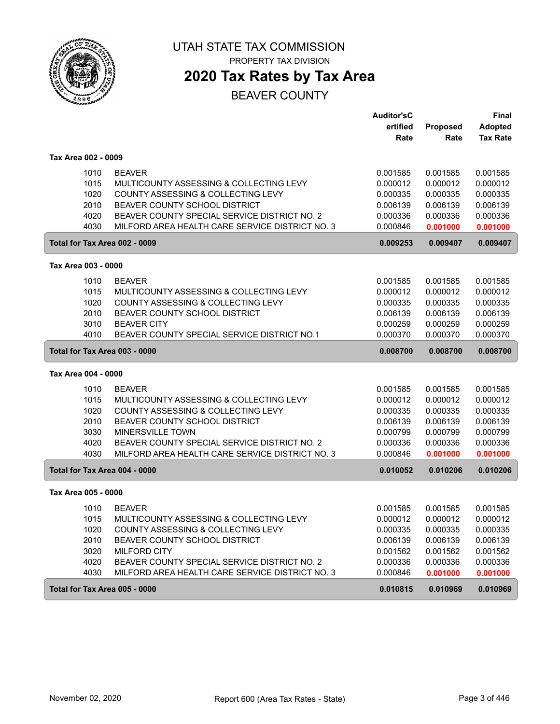

# **2020 Tax Rates by Tax Area**

|                               |                                                 | <b>Auditor'sC</b> |          | <b>Final</b>    |
|-------------------------------|-------------------------------------------------|-------------------|----------|-----------------|
|                               |                                                 | ertified          | Proposed | Adopted         |
|                               |                                                 | Rate              | Rate     | <b>Tax Rate</b> |
| Tax Area 002 - 0009           |                                                 |                   |          |                 |
| 1010                          | <b>BEAVER</b>                                   | 0.001585          | 0.001585 | 0.001585        |
| 1015                          | MULTICOUNTY ASSESSING & COLLECTING LEVY         | 0.000012          | 0.000012 | 0.000012        |
| 1020                          | COUNTY ASSESSING & COLLECTING LEVY              | 0.000335          | 0.000335 | 0.000335        |
| 2010                          | BEAVER COUNTY SCHOOL DISTRICT                   | 0.006139          | 0.006139 | 0.006139        |
| 4020                          | BEAVER COUNTY SPECIAL SERVICE DISTRICT NO. 2    | 0.000336          | 0.000336 | 0.000336        |
| 4030                          | MILFORD AREA HEALTH CARE SERVICE DISTRICT NO. 3 | 0.000846          | 0.001000 | 0.001000        |
| Total for Tax Area 002 - 0009 |                                                 | 0.009253          | 0.009407 | 0.009407        |
| Tax Area 003 - 0000           |                                                 |                   |          |                 |
| 1010                          | <b>BEAVER</b>                                   | 0.001585          | 0.001585 | 0.001585        |
| 1015                          | MULTICOUNTY ASSESSING & COLLECTING LEVY         | 0.000012          | 0.000012 | 0.000012        |
| 1020                          | COUNTY ASSESSING & COLLECTING LEVY              | 0.000335          | 0.000335 | 0.000335        |
| 2010                          | BEAVER COUNTY SCHOOL DISTRICT                   | 0.006139          | 0.006139 | 0.006139        |
| 3010                          | <b>BEAVER CITY</b>                              | 0.000259          | 0.000259 | 0.000259        |
| 4010                          | BEAVER COUNTY SPECIAL SERVICE DISTRICT NO.1     | 0.000370          | 0.000370 | 0.000370        |
| Total for Tax Area 003 - 0000 |                                                 | 0.008700          | 0.008700 | 0.008700        |
|                               |                                                 |                   |          |                 |
| Tax Area 004 - 0000           |                                                 |                   |          |                 |
| 1010                          | <b>BEAVER</b>                                   | 0.001585          | 0.001585 | 0.001585        |
| 1015                          | MULTICOUNTY ASSESSING & COLLECTING LEVY         | 0.000012          | 0.000012 | 0.000012        |
| 1020                          | COUNTY ASSESSING & COLLECTING LEVY              | 0.000335          | 0.000335 | 0.000335        |
| 2010                          | BEAVER COUNTY SCHOOL DISTRICT                   | 0.006139          | 0.006139 | 0.006139        |
| 3030                          | MINERSVILLE TOWN                                | 0.000799          | 0.000799 | 0.000799        |
| 4020                          | BEAVER COUNTY SPECIAL SERVICE DISTRICT NO. 2    | 0.000336          | 0.000336 | 0.000336        |
| 4030                          | MILFORD AREA HEALTH CARE SERVICE DISTRICT NO. 3 | 0.000846          | 0.001000 | 0.001000        |
| Total for Tax Area 004 - 0000 |                                                 | 0.010052          | 0.010206 | 0.010206        |
| Tax Area 005 - 0000           |                                                 |                   |          |                 |
| 1010                          | <b>BEAVER</b>                                   | 0.001585          | 0.001585 | 0.001585        |
| 1015                          | MULTICOUNTY ASSESSING & COLLECTING LEVY         | 0.000012          | 0.000012 | 0.000012        |
| 1020                          | COUNTY ASSESSING & COLLECTING LEVY              | 0.000335          | 0.000335 | 0.000335        |
| 2010                          | BEAVER COUNTY SCHOOL DISTRICT                   | 0.006139          | 0.006139 | 0.006139        |
| 3020                          | <b>MILFORD CITY</b>                             | 0.001562          | 0.001562 | 0.001562        |
| 4020                          | BEAVER COUNTY SPECIAL SERVICE DISTRICT NO. 2    | 0.000336          | 0.000336 | 0.000336        |
| 4030                          | MILFORD AREA HEALTH CARE SERVICE DISTRICT NO. 3 | 0.000846          | 0.001000 | 0.001000        |
| Total for Tax Area 005 - 0000 |                                                 | 0.010815          | 0.010969 | 0.010969        |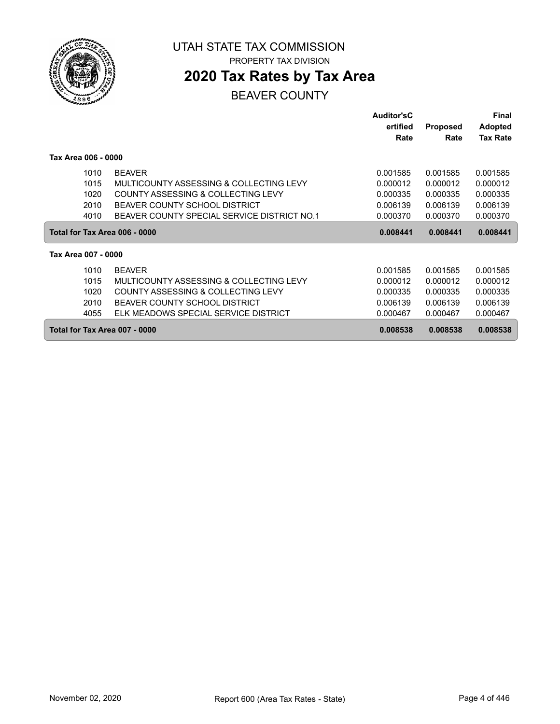

# **2020 Tax Rates by Tax Area**

|                               |                                             | <b>Auditor'sC</b> |                 | Final           |
|-------------------------------|---------------------------------------------|-------------------|-----------------|-----------------|
|                               |                                             | ertified          | <b>Proposed</b> | <b>Adopted</b>  |
|                               |                                             | Rate              | Rate            | <b>Tax Rate</b> |
| Tax Area 006 - 0000           |                                             |                   |                 |                 |
| 1010                          | <b>BEAVER</b>                               | 0.001585          | 0.001585        | 0.001585        |
| 1015                          | MULTICOUNTY ASSESSING & COLLECTING LEVY     | 0.000012          | 0.000012        | 0.000012        |
| 1020                          | COUNTY ASSESSING & COLLECTING LEVY          | 0.000335          | 0.000335        | 0.000335        |
| 2010                          | BEAVER COUNTY SCHOOL DISTRICT               | 0.006139          | 0.006139        | 0.006139        |
| 4010                          | BEAVER COUNTY SPECIAL SERVICE DISTRICT NO.1 | 0.000370          | 0.000370        | 0.000370        |
| Total for Tax Area 006 - 0000 |                                             | 0.008441          | 0.008441        | 0.008441        |
| Tax Area 007 - 0000           |                                             |                   |                 |                 |
| 1010                          | <b>BEAVER</b>                               | 0.001585          | 0.001585        | 0.001585        |
| 1015                          | MULTICOUNTY ASSESSING & COLLECTING LEVY     | 0.000012          | 0.000012        | 0.000012        |
| 1020                          | COUNTY ASSESSING & COLLECTING LEVY          | 0.000335          | 0.000335        | 0.000335        |
| 2010                          | BEAVER COUNTY SCHOOL DISTRICT               | 0.006139          | 0.006139        | 0.006139        |
| 4055                          | ELK MEADOWS SPECIAL SERVICE DISTRICT        | 0.000467          | 0.000467        | 0.000467        |
| Total for Tax Area 007 - 0000 |                                             | 0.008538          | 0.008538        | 0.008538        |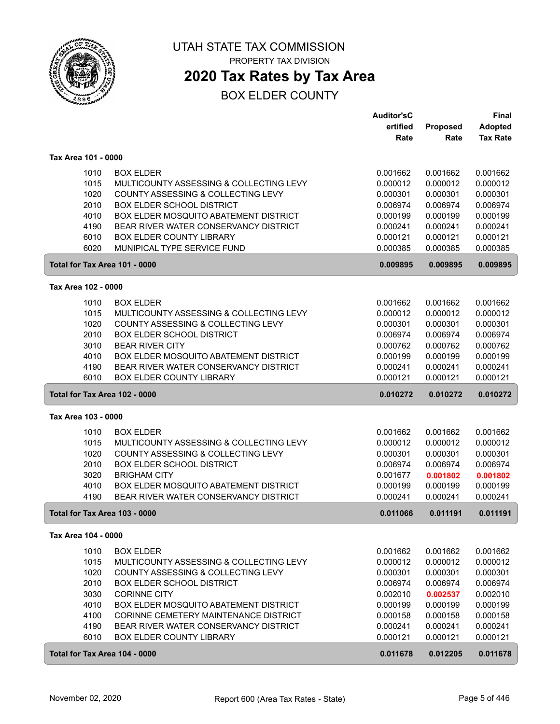

## **2020 Tax Rates by Tax Area**

|                               |                                              | <b>Auditor'sC</b> |          | <b>Final</b>    |
|-------------------------------|----------------------------------------------|-------------------|----------|-----------------|
|                               |                                              | ertified          | Proposed | <b>Adopted</b>  |
|                               |                                              | Rate              | Rate     | <b>Tax Rate</b> |
| Tax Area 101 - 0000           |                                              |                   |          |                 |
| 1010                          | <b>BOX ELDER</b>                             | 0.001662          | 0.001662 | 0.001662        |
| 1015                          | MULTICOUNTY ASSESSING & COLLECTING LEVY      | 0.000012          | 0.000012 | 0.000012        |
| 1020                          | COUNTY ASSESSING & COLLECTING LEVY           | 0.000301          | 0.000301 | 0.000301        |
| 2010                          | <b>BOX ELDER SCHOOL DISTRICT</b>             | 0.006974          | 0.006974 | 0.006974        |
| 4010                          | BOX ELDER MOSQUITO ABATEMENT DISTRICT        | 0.000199          | 0.000199 | 0.000199        |
| 4190                          | BEAR RIVER WATER CONSERVANCY DISTRICT        | 0.000241          | 0.000241 | 0.000241        |
| 6010                          | <b>BOX ELDER COUNTY LIBRARY</b>              | 0.000121          | 0.000121 | 0.000121        |
| 6020                          | MUNIPICAL TYPE SERVICE FUND                  | 0.000385          | 0.000385 | 0.000385        |
| Total for Tax Area 101 - 0000 |                                              | 0.009895          | 0.009895 | 0.009895        |
| Tax Area 102 - 0000           |                                              |                   |          |                 |
| 1010                          | <b>BOX ELDER</b>                             | 0.001662          | 0.001662 | 0.001662        |
| 1015                          | MULTICOUNTY ASSESSING & COLLECTING LEVY      | 0.000012          | 0.000012 | 0.000012        |
| 1020                          | COUNTY ASSESSING & COLLECTING LEVY           | 0.000301          | 0.000301 | 0.000301        |
| 2010                          | <b>BOX ELDER SCHOOL DISTRICT</b>             | 0.006974          | 0.006974 | 0.006974        |
| 3010                          | <b>BEAR RIVER CITY</b>                       | 0.000762          | 0.000762 | 0.000762        |
| 4010                          | BOX ELDER MOSQUITO ABATEMENT DISTRICT        | 0.000199          | 0.000199 | 0.000199        |
| 4190                          | BEAR RIVER WATER CONSERVANCY DISTRICT        | 0.000241          | 0.000241 | 0.000241        |
| 6010                          | <b>BOX ELDER COUNTY LIBRARY</b>              | 0.000121          | 0.000121 | 0.000121        |
| Total for Tax Area 102 - 0000 |                                              | 0.010272          | 0.010272 | 0.010272        |
| Tax Area 103 - 0000           |                                              |                   |          |                 |
| 1010                          | <b>BOX ELDER</b>                             | 0.001662          | 0.001662 | 0.001662        |
| 1015                          | MULTICOUNTY ASSESSING & COLLECTING LEVY      | 0.000012          | 0.000012 | 0.000012        |
| 1020                          | COUNTY ASSESSING & COLLECTING LEVY           | 0.000301          | 0.000301 | 0.000301        |
| 2010                          | <b>BOX ELDER SCHOOL DISTRICT</b>             | 0.006974          | 0.006974 | 0.006974        |
| 3020                          | <b>BRIGHAM CITY</b>                          | 0.001677          | 0.001802 | 0.001802        |
| 4010                          | BOX ELDER MOSQUITO ABATEMENT DISTRICT        | 0.000199          | 0.000199 | 0.000199        |
| 4190                          | BEAR RIVER WATER CONSERVANCY DISTRICT        | 0.000241          | 0.000241 | 0.000241        |
| Total for Tax Area 103 - 0000 |                                              | 0.011066          | 0.011191 | 0.011191        |
| Tax Area 104 - 0000           |                                              |                   |          |                 |
| 1010                          | <b>BOX ELDER</b>                             | 0.001662          | 0.001662 | 0.001662        |
| 1015                          | MULTICOUNTY ASSESSING & COLLECTING LEVY      | 0.000012          | 0.000012 | 0.000012        |
| 1020                          | COUNTY ASSESSING & COLLECTING LEVY           | 0.000301          | 0.000301 | 0.000301        |
| 2010                          | <b>BOX ELDER SCHOOL DISTRICT</b>             | 0.006974          | 0.006974 | 0.006974        |
| 3030                          | <b>CORINNE CITY</b>                          | 0.002010          | 0.002537 | 0.002010        |
| 4010                          | <b>BOX ELDER MOSQUITO ABATEMENT DISTRICT</b> | 0.000199          | 0.000199 | 0.000199        |
| 4100                          | CORINNE CEMETERY MAINTENANCE DISTRICT        | 0.000158          | 0.000158 | 0.000158        |
| 4190                          | BEAR RIVER WATER CONSERVANCY DISTRICT        | 0.000241          | 0.000241 | 0.000241        |
| 6010                          | <b>BOX ELDER COUNTY LIBRARY</b>              | 0.000121          | 0.000121 | 0.000121        |
| Total for Tax Area 104 - 0000 |                                              | 0.011678          | 0.012205 | 0.011678        |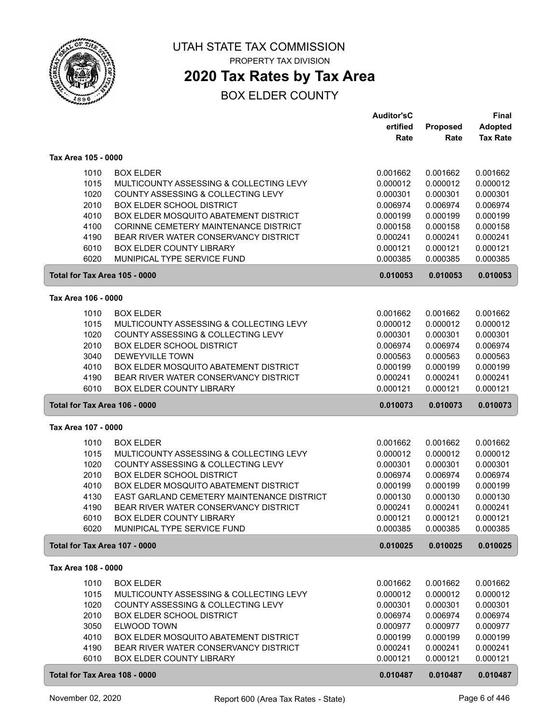

## **2020 Tax Rates by Tax Area**

|                               |                                                                | <b>Auditor'sC</b>    |                      | <b>Final</b>         |
|-------------------------------|----------------------------------------------------------------|----------------------|----------------------|----------------------|
|                               |                                                                | ertified             | Proposed             | <b>Adopted</b>       |
|                               |                                                                | Rate                 | Rate                 | <b>Tax Rate</b>      |
| Tax Area 105 - 0000           |                                                                |                      |                      |                      |
|                               |                                                                |                      |                      |                      |
| 1010                          | <b>BOX ELDER</b>                                               | 0.001662             | 0.001662             | 0.001662             |
| 1015                          | MULTICOUNTY ASSESSING & COLLECTING LEVY                        | 0.000012             | 0.000012             | 0.000012             |
| 1020                          | COUNTY ASSESSING & COLLECTING LEVY                             | 0.000301             | 0.000301             | 0.000301             |
| 2010                          | <b>BOX ELDER SCHOOL DISTRICT</b>                               | 0.006974             | 0.006974             | 0.006974             |
| 4010                          | BOX ELDER MOSQUITO ABATEMENT DISTRICT                          | 0.000199             | 0.000199             | 0.000199             |
| 4100                          | CORINNE CEMETERY MAINTENANCE DISTRICT                          | 0.000158             | 0.000158             | 0.000158             |
| 4190                          | BEAR RIVER WATER CONSERVANCY DISTRICT                          | 0.000241             | 0.000241             | 0.000241             |
| 6010                          | <b>BOX ELDER COUNTY LIBRARY</b>                                | 0.000121             | 0.000121             | 0.000121             |
| 6020                          | MUNIPICAL TYPE SERVICE FUND                                    | 0.000385             | 0.000385             | 0.000385             |
| Total for Tax Area 105 - 0000 |                                                                | 0.010053             | 0.010053             | 0.010053             |
| Tax Area 106 - 0000           |                                                                |                      |                      |                      |
| 1010                          | <b>BOX ELDER</b>                                               | 0.001662             | 0.001662             | 0.001662             |
| 1015                          | MULTICOUNTY ASSESSING & COLLECTING LEVY                        | 0.000012             | 0.000012             | 0.000012             |
| 1020                          | COUNTY ASSESSING & COLLECTING LEVY                             | 0.000301             | 0.000301             | 0.000301             |
| 2010                          | <b>BOX ELDER SCHOOL DISTRICT</b>                               | 0.006974             | 0.006974             | 0.006974             |
| 3040                          | DEWEYVILLE TOWN                                                | 0.000563             | 0.000563             | 0.000563             |
| 4010                          | BOX ELDER MOSQUITO ABATEMENT DISTRICT                          | 0.000199             | 0.000199             | 0.000199             |
| 4190                          | BEAR RIVER WATER CONSERVANCY DISTRICT                          | 0.000241             | 0.000241             | 0.000241             |
| 6010                          | <b>BOX ELDER COUNTY LIBRARY</b>                                | 0.000121             | 0.000121             | 0.000121             |
| Total for Tax Area 106 - 0000 |                                                                | 0.010073             | 0.010073             | 0.010073             |
|                               |                                                                |                      |                      |                      |
|                               |                                                                |                      |                      |                      |
| Tax Area 107 - 0000           |                                                                |                      |                      |                      |
|                               |                                                                |                      |                      |                      |
| 1010                          | <b>BOX ELDER</b>                                               | 0.001662             | 0.001662             | 0.001662             |
| 1015                          | MULTICOUNTY ASSESSING & COLLECTING LEVY                        | 0.000012             | 0.000012             | 0.000012             |
| 1020                          | COUNTY ASSESSING & COLLECTING LEVY                             | 0.000301             | 0.000301             | 0.000301             |
| 2010                          | <b>BOX ELDER SCHOOL DISTRICT</b>                               | 0.006974             | 0.006974             | 0.006974             |
| 4010                          | BOX ELDER MOSQUITO ABATEMENT DISTRICT                          | 0.000199             | 0.000199             | 0.000199             |
| 4130                          | EAST GARLAND CEMETERY MAINTENANCE DISTRICT                     | 0.000130             | 0.000130             | 0.000130             |
| 4190                          | BEAR RIVER WATER CONSERVANCY DISTRICT                          | 0.000241             | 0.000241             | 0.000241             |
| 6010<br>6020                  | <b>BOX ELDER COUNTY LIBRARY</b><br>MUNIPICAL TYPE SERVICE FUND | 0.000121<br>0.000385 | 0.000121<br>0.000385 | 0.000121<br>0.000385 |
| Total for Tax Area 107 - 0000 |                                                                | 0.010025             | 0.010025             | 0.010025             |
|                               |                                                                |                      |                      |                      |
| Tax Area 108 - 0000           |                                                                |                      |                      |                      |
| 1010                          | <b>BOX ELDER</b>                                               | 0.001662             | 0.001662             | 0.001662             |
| 1015                          | MULTICOUNTY ASSESSING & COLLECTING LEVY                        | 0.000012             | 0.000012             | 0.000012             |
| 1020                          | COUNTY ASSESSING & COLLECTING LEVY                             | 0.000301             | 0.000301             | 0.000301             |
| 2010                          | <b>BOX ELDER SCHOOL DISTRICT</b>                               | 0.006974             | 0.006974             | 0.006974             |
| 3050                          | ELWOOD TOWN                                                    | 0.000977             | 0.000977             | 0.000977             |
| 4010                          | BOX ELDER MOSQUITO ABATEMENT DISTRICT                          | 0.000199             | 0.000199             | 0.000199             |
| 4190                          | BEAR RIVER WATER CONSERVANCY DISTRICT                          | 0.000241             | 0.000241             | 0.000241             |
| 6010                          | <b>BOX ELDER COUNTY LIBRARY</b>                                | 0.000121             | 0.000121             | 0.000121             |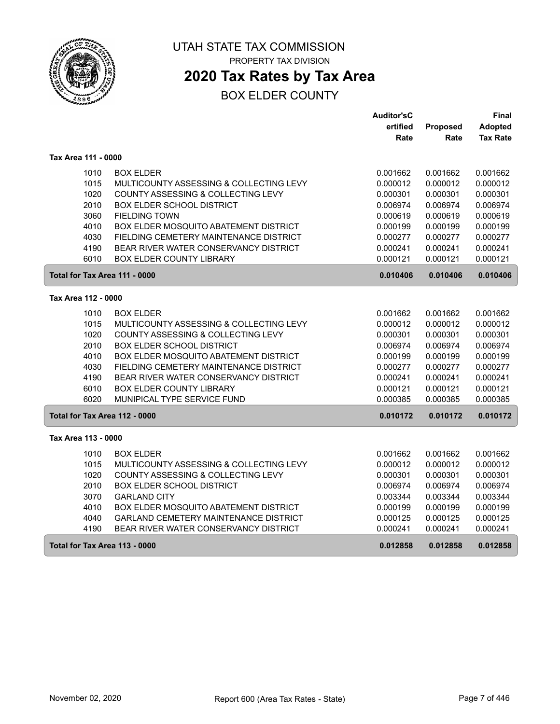

# **2020 Tax Rates by Tax Area**

|                               |                                         | <b>Auditor'sC</b> |                 | Final           |
|-------------------------------|-----------------------------------------|-------------------|-----------------|-----------------|
|                               |                                         | ertified          | <b>Proposed</b> | <b>Adopted</b>  |
|                               |                                         | Rate              | Rate            | <b>Tax Rate</b> |
| Tax Area 111 - 0000           |                                         |                   |                 |                 |
| 1010                          | <b>BOX ELDER</b>                        | 0.001662          | 0.001662        | 0.001662        |
| 1015                          | MULTICOUNTY ASSESSING & COLLECTING LEVY | 0.000012          | 0.000012        | 0.000012        |
| 1020                          | COUNTY ASSESSING & COLLECTING LEVY      | 0.000301          | 0.000301        | 0.000301        |
| 2010                          | <b>BOX ELDER SCHOOL DISTRICT</b>        | 0.006974          | 0.006974        | 0.006974        |
| 3060                          | <b>FIELDING TOWN</b>                    | 0.000619          | 0.000619        | 0.000619        |
| 4010                          | BOX ELDER MOSQUITO ABATEMENT DISTRICT   | 0.000199          | 0.000199        | 0.000199        |
| 4030                          | FIELDING CEMETERY MAINTENANCE DISTRICT  | 0.000277          | 0.000277        | 0.000277        |
| 4190                          | BEAR RIVER WATER CONSERVANCY DISTRICT   | 0.000241          | 0.000241        | 0.000241        |
| 6010                          | <b>BOX ELDER COUNTY LIBRARY</b>         | 0.000121          | 0.000121        | 0.000121        |
| Total for Tax Area 111 - 0000 |                                         | 0.010406          | 0.010406        | 0.010406        |
| Tax Area 112 - 0000           |                                         |                   |                 |                 |
| 1010                          | <b>BOX ELDER</b>                        | 0.001662          | 0.001662        | 0.001662        |
| 1015                          | MULTICOUNTY ASSESSING & COLLECTING LEVY | 0.000012          | 0.000012        | 0.000012        |
| 1020                          | COUNTY ASSESSING & COLLECTING LEVY      | 0.000301          | 0.000301        | 0.000301        |
| 2010                          | BOX ELDER SCHOOL DISTRICT               | 0.006974          | 0.006974        | 0.006974        |
| 4010                          | BOX ELDER MOSQUITO ABATEMENT DISTRICT   | 0.000199          | 0.000199        | 0.000199        |
| 4030                          | FIELDING CEMETERY MAINTENANCE DISTRICT  | 0.000277          | 0.000277        | 0.000277        |
| 4190                          | BEAR RIVER WATER CONSERVANCY DISTRICT   | 0.000241          | 0.000241        | 0.000241        |
| 6010                          | <b>BOX ELDER COUNTY LIBRARY</b>         | 0.000121          | 0.000121        | 0.000121        |
| 6020                          | MUNIPICAL TYPE SERVICE FUND             | 0.000385          | 0.000385        | 0.000385        |
| Total for Tax Area 112 - 0000 |                                         | 0.010172          | 0.010172        | 0.010172        |
| Tax Area 113 - 0000           |                                         |                   |                 |                 |
| 1010                          | <b>BOX ELDER</b>                        | 0.001662          | 0.001662        | 0.001662        |
| 1015                          | MULTICOUNTY ASSESSING & COLLECTING LEVY | 0.000012          | 0.000012        | 0.000012        |
| 1020                          | COUNTY ASSESSING & COLLECTING LEVY      | 0.000301          | 0.000301        | 0.000301        |
| 2010                          | <b>BOX ELDER SCHOOL DISTRICT</b>        | 0.006974          | 0.006974        | 0.006974        |
| 3070                          | <b>GARLAND CITY</b>                     | 0.003344          | 0.003344        | 0.003344        |
| 4010                          | BOX ELDER MOSQUITO ABATEMENT DISTRICT   | 0.000199          | 0.000199        | 0.000199        |
| 4040                          | GARLAND CEMETERY MAINTENANCE DISTRICT   | 0.000125          | 0.000125        | 0.000125        |
| 4190                          | BEAR RIVER WATER CONSERVANCY DISTRICT   | 0.000241          | 0.000241        | 0.000241        |
| Total for Tax Area 113 - 0000 |                                         | 0.012858          | 0.012858        | 0.012858        |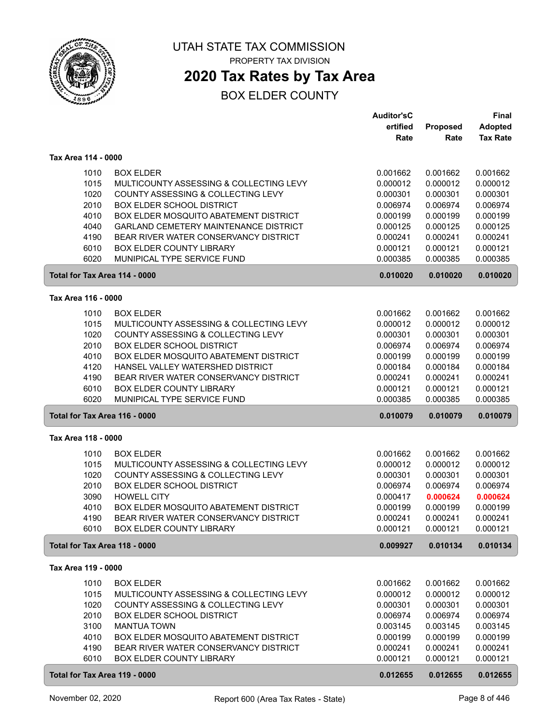

## **2020 Tax Rates by Tax Area**

|                     |                                              | <b>Auditor'sC</b> |          | <b>Final</b>    |
|---------------------|----------------------------------------------|-------------------|----------|-----------------|
|                     |                                              | ertified          | Proposed | <b>Adopted</b>  |
|                     |                                              | Rate              | Rate     | <b>Tax Rate</b> |
|                     |                                              |                   |          |                 |
| Tax Area 114 - 0000 |                                              |                   |          |                 |
| 1010                | <b>BOX ELDER</b>                             | 0.001662          | 0.001662 | 0.001662        |
| 1015                | MULTICOUNTY ASSESSING & COLLECTING LEVY      | 0.000012          | 0.000012 | 0.000012        |
| 1020                | COUNTY ASSESSING & COLLECTING LEVY           | 0.000301          | 0.000301 | 0.000301        |
| 2010                | <b>BOX ELDER SCHOOL DISTRICT</b>             | 0.006974          | 0.006974 | 0.006974        |
| 4010                | BOX ELDER MOSQUITO ABATEMENT DISTRICT        | 0.000199          | 0.000199 | 0.000199        |
| 4040                | <b>GARLAND CEMETERY MAINTENANCE DISTRICT</b> | 0.000125          | 0.000125 | 0.000125        |
| 4190                | BEAR RIVER WATER CONSERVANCY DISTRICT        | 0.000241          | 0.000241 | 0.000241        |
| 6010                | BOX ELDER COUNTY LIBRARY                     | 0.000121          | 0.000121 | 0.000121        |
| 6020                | MUNIPICAL TYPE SERVICE FUND                  | 0.000385          | 0.000385 | 0.000385        |
|                     | Total for Tax Area 114 - 0000                | 0.010020          | 0.010020 | 0.010020        |
| Tax Area 116 - 0000 |                                              |                   |          |                 |
|                     |                                              |                   |          |                 |
| 1010                | <b>BOX ELDER</b>                             | 0.001662          | 0.001662 | 0.001662        |
| 1015                | MULTICOUNTY ASSESSING & COLLECTING LEVY      | 0.000012          | 0.000012 | 0.000012        |
| 1020                | COUNTY ASSESSING & COLLECTING LEVY           | 0.000301          | 0.000301 | 0.000301        |
| 2010                | <b>BOX ELDER SCHOOL DISTRICT</b>             | 0.006974          | 0.006974 | 0.006974        |
| 4010                | BOX ELDER MOSQUITO ABATEMENT DISTRICT        | 0.000199          | 0.000199 | 0.000199        |
| 4120                | HANSEL VALLEY WATERSHED DISTRICT             | 0.000184          | 0.000184 | 0.000184        |
| 4190                | BEAR RIVER WATER CONSERVANCY DISTRICT        | 0.000241          | 0.000241 | 0.000241        |
| 6010                | BOX ELDER COUNTY LIBRARY                     | 0.000121          | 0.000121 | 0.000121        |
| 6020                | MUNIPICAL TYPE SERVICE FUND                  | 0.000385          | 0.000385 | 0.000385        |
|                     | Total for Tax Area 116 - 0000                | 0.010079          | 0.010079 | 0.010079        |
| Tax Area 118 - 0000 |                                              |                   |          |                 |
| 1010                | <b>BOX ELDER</b>                             | 0.001662          | 0.001662 | 0.001662        |
| 1015                | MULTICOUNTY ASSESSING & COLLECTING LEVY      | 0.000012          | 0.000012 | 0.000012        |
| 1020                | COUNTY ASSESSING & COLLECTING LEVY           | 0.000301          | 0.000301 | 0.000301        |
| 2010                | <b>BOX ELDER SCHOOL DISTRICT</b>             | 0.006974          | 0.006974 | 0.006974        |
| 3090                | <b>HOWELL CITY</b>                           | 0.000417          | 0.000624 | 0.000624        |
| 4010                | BOX ELDER MOSQUITO ABATEMENT DISTRICT        | 0.000199          | 0.000199 | 0.000199        |
| 4190                | BEAR RIVER WATER CONSERVANCY DISTRICT        | 0.000241          | 0.000241 | 0.000241        |
| 6010                | <b>BOX ELDER COUNTY LIBRARY</b>              | 0.000121          | 0.000121 | 0.000121        |
|                     | Total for Tax Area 118 - 0000                | 0.009927          | 0.010134 | 0.010134        |
|                     |                                              |                   |          |                 |
| Tax Area 119 - 0000 |                                              |                   |          |                 |
| 1010                | <b>BOX ELDER</b>                             | 0.001662          | 0.001662 | 0.001662        |
| 1015                | MULTICOUNTY ASSESSING & COLLECTING LEVY      | 0.000012          | 0.000012 | 0.000012        |
| 1020                | COUNTY ASSESSING & COLLECTING LEVY           | 0.000301          | 0.000301 | 0.000301        |
| 2010                | <b>BOX ELDER SCHOOL DISTRICT</b>             | 0.006974          | 0.006974 | 0.006974        |
| 3100                | <b>MANTUA TOWN</b>                           | 0.003145          | 0.003145 | 0.003145        |
| 4010                | BOX ELDER MOSQUITO ABATEMENT DISTRICT        | 0.000199          | 0.000199 | 0.000199        |
| 4190                | BEAR RIVER WATER CONSERVANCY DISTRICT        | 0.000241          | 0.000241 | 0.000241        |
| 6010                | <b>BOX ELDER COUNTY LIBRARY</b>              | 0.000121          | 0.000121 | 0.000121        |
|                     | Total for Tax Area 119 - 0000                | 0.012655          | 0.012655 | 0.012655        |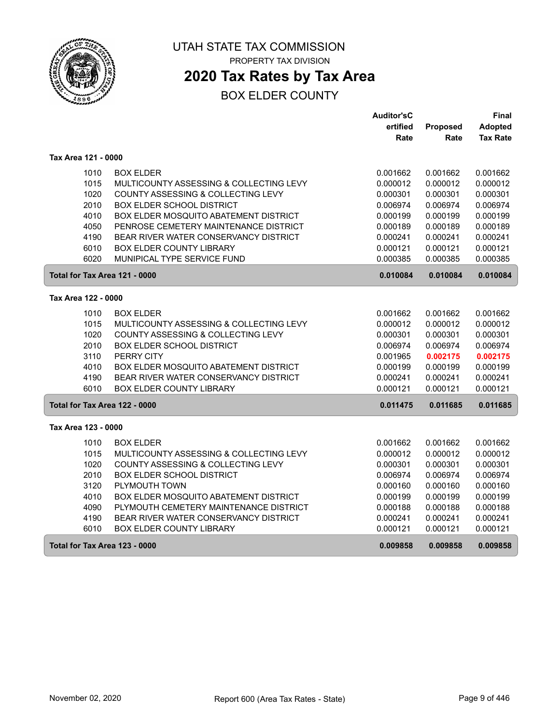

# **2020 Tax Rates by Tax Area**

|                               |                                              | <b>Auditor'sC</b> |          | Final           |
|-------------------------------|----------------------------------------------|-------------------|----------|-----------------|
|                               |                                              | ertified          | Proposed | Adopted         |
|                               |                                              | Rate              | Rate     | <b>Tax Rate</b> |
| Tax Area 121 - 0000           |                                              |                   |          |                 |
| 1010                          | <b>BOX ELDER</b>                             | 0.001662          | 0.001662 | 0.001662        |
| 1015                          | MULTICOUNTY ASSESSING & COLLECTING LEVY      | 0.000012          | 0.000012 | 0.000012        |
| 1020                          | COUNTY ASSESSING & COLLECTING LEVY           | 0.000301          | 0.000301 | 0.000301        |
| 2010                          | <b>BOX ELDER SCHOOL DISTRICT</b>             | 0.006974          | 0.006974 | 0.006974        |
| 4010                          | BOX ELDER MOSQUITO ABATEMENT DISTRICT        | 0.000199          | 0.000199 | 0.000199        |
| 4050                          | PENROSE CEMETERY MAINTENANCE DISTRICT        | 0.000189          | 0.000189 | 0.000189        |
| 4190                          | BEAR RIVER WATER CONSERVANCY DISTRICT        | 0.000241          | 0.000241 | 0.000241        |
| 6010                          | BOX ELDER COUNTY LIBRARY                     | 0.000121          | 0.000121 | 0.000121        |
| 6020                          | MUNIPICAL TYPE SERVICE FUND                  | 0.000385          | 0.000385 | 0.000385        |
| Total for Tax Area 121 - 0000 |                                              | 0.010084          | 0.010084 | 0.010084        |
| Tax Area 122 - 0000           |                                              |                   |          |                 |
| 1010                          | <b>BOX ELDER</b>                             | 0.001662          | 0.001662 | 0.001662        |
| 1015                          | MULTICOUNTY ASSESSING & COLLECTING LEVY      | 0.000012          | 0.000012 | 0.000012        |
| 1020                          | COUNTY ASSESSING & COLLECTING LEVY           | 0.000301          | 0.000301 | 0.000301        |
| 2010                          | BOX ELDER SCHOOL DISTRICT                    | 0.006974          | 0.006974 | 0.006974        |
| 3110                          | PERRY CITY                                   | 0.001965          | 0.002175 | 0.002175        |
| 4010                          | BOX ELDER MOSQUITO ABATEMENT DISTRICT        | 0.000199          | 0.000199 | 0.000199        |
| 4190                          | BEAR RIVER WATER CONSERVANCY DISTRICT        | 0.000241          | 0.000241 | 0.000241        |
| 6010                          | <b>BOX ELDER COUNTY LIBRARY</b>              | 0.000121          | 0.000121 | 0.000121        |
| Total for Tax Area 122 - 0000 |                                              | 0.011475          | 0.011685 | 0.011685        |
| Tax Area 123 - 0000           |                                              |                   |          |                 |
| 1010                          | <b>BOX ELDER</b>                             | 0.001662          | 0.001662 | 0.001662        |
| 1015                          | MULTICOUNTY ASSESSING & COLLECTING LEVY      | 0.000012          | 0.000012 | 0.000012        |
| 1020                          | COUNTY ASSESSING & COLLECTING LEVY           | 0.000301          | 0.000301 | 0.000301        |
| 2010                          | <b>BOX ELDER SCHOOL DISTRICT</b>             | 0.006974          | 0.006974 | 0.006974        |
| 3120                          | PLYMOUTH TOWN                                | 0.000160          | 0.000160 | 0.000160        |
| 4010                          | <b>BOX ELDER MOSQUITO ABATEMENT DISTRICT</b> | 0.000199          | 0.000199 | 0.000199        |
| 4090                          | PLYMOUTH CEMETERY MAINTENANCE DISTRICT       | 0.000188          | 0.000188 | 0.000188        |
| 4190                          | BEAR RIVER WATER CONSERVANCY DISTRICT        | 0.000241          | 0.000241 | 0.000241        |
| 6010                          | <b>BOX ELDER COUNTY LIBRARY</b>              | 0.000121          | 0.000121 | 0.000121        |
| Total for Tax Area 123 - 0000 |                                              | 0.009858          | 0.009858 | 0.009858        |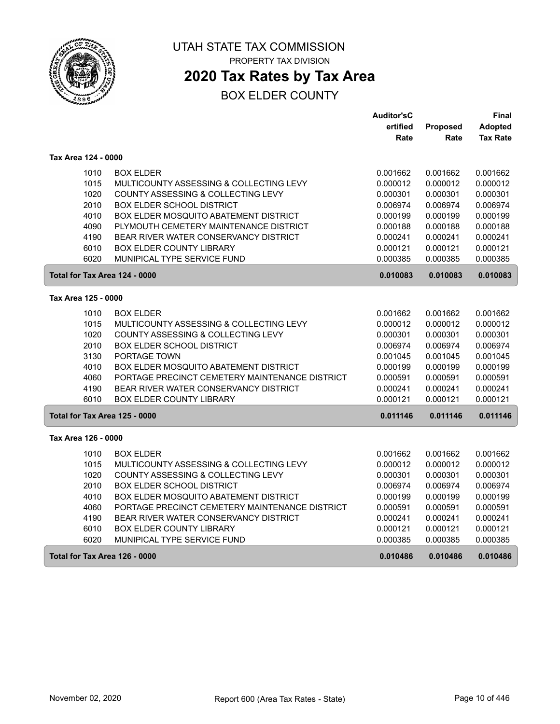

# **2020 Tax Rates by Tax Area**

|                               |                                                | <b>Auditor'sC</b> |          | Final           |
|-------------------------------|------------------------------------------------|-------------------|----------|-----------------|
|                               |                                                | ertified          | Proposed | <b>Adopted</b>  |
|                               |                                                | Rate              | Rate     | <b>Tax Rate</b> |
| Tax Area 124 - 0000           |                                                |                   |          |                 |
| 1010                          | <b>BOX ELDER</b>                               | 0.001662          | 0.001662 | 0.001662        |
| 1015                          | MULTICOUNTY ASSESSING & COLLECTING LEVY        | 0.000012          | 0.000012 | 0.000012        |
| 1020                          | COUNTY ASSESSING & COLLECTING LEVY             | 0.000301          | 0.000301 | 0.000301        |
| 2010                          | <b>BOX ELDER SCHOOL DISTRICT</b>               | 0.006974          | 0.006974 | 0.006974        |
| 4010                          | BOX ELDER MOSQUITO ABATEMENT DISTRICT          | 0.000199          | 0.000199 | 0.000199        |
| 4090                          | PLYMOUTH CEMETERY MAINTENANCE DISTRICT         | 0.000188          | 0.000188 | 0.000188        |
| 4190                          | BEAR RIVER WATER CONSERVANCY DISTRICT          | 0.000241          | 0.000241 | 0.000241        |
| 6010                          | <b>BOX ELDER COUNTY LIBRARY</b>                | 0.000121          | 0.000121 | 0.000121        |
| 6020                          | MUNIPICAL TYPE SERVICE FUND                    | 0.000385          | 0.000385 | 0.000385        |
| Total for Tax Area 124 - 0000 |                                                | 0.010083          | 0.010083 | 0.010083        |
| Tax Area 125 - 0000           |                                                |                   |          |                 |
| 1010                          | <b>BOX ELDER</b>                               | 0.001662          | 0.001662 | 0.001662        |
| 1015                          | MULTICOUNTY ASSESSING & COLLECTING LEVY        | 0.000012          | 0.000012 | 0.000012        |
| 1020                          | COUNTY ASSESSING & COLLECTING LEVY             | 0.000301          | 0.000301 | 0.000301        |
| 2010                          | <b>BOX ELDER SCHOOL DISTRICT</b>               | 0.006974          | 0.006974 | 0.006974        |
| 3130                          | PORTAGE TOWN                                   | 0.001045          | 0.001045 | 0.001045        |
| 4010                          | <b>BOX ELDER MOSQUITO ABATEMENT DISTRICT</b>   | 0.000199          | 0.000199 | 0.000199        |
| 4060                          | PORTAGE PRECINCT CEMETERY MAINTENANCE DISTRICT | 0.000591          | 0.000591 | 0.000591        |
| 4190                          | BEAR RIVER WATER CONSERVANCY DISTRICT          | 0.000241          | 0.000241 | 0.000241        |
| 6010                          | <b>BOX ELDER COUNTY LIBRARY</b>                | 0.000121          | 0.000121 | 0.000121        |
| Total for Tax Area 125 - 0000 |                                                | 0.011146          | 0.011146 | 0.011146        |
| Tax Area 126 - 0000           |                                                |                   |          |                 |
| 1010                          | <b>BOX ELDER</b>                               | 0.001662          | 0.001662 | 0.001662        |
| 1015                          | MULTICOUNTY ASSESSING & COLLECTING LEVY        | 0.000012          | 0.000012 | 0.000012        |
| 1020                          | COUNTY ASSESSING & COLLECTING LEVY             | 0.000301          | 0.000301 | 0.000301        |
| 2010                          | <b>BOX ELDER SCHOOL DISTRICT</b>               | 0.006974          | 0.006974 | 0.006974        |
| 4010                          | <b>BOX ELDER MOSQUITO ABATEMENT DISTRICT</b>   | 0.000199          | 0.000199 | 0.000199        |
| 4060                          | PORTAGE PRECINCT CEMETERY MAINTENANCE DISTRICT | 0.000591          | 0.000591 | 0.000591        |
| 4190                          | BEAR RIVER WATER CONSERVANCY DISTRICT          | 0.000241          | 0.000241 | 0.000241        |
| 6010                          | <b>BOX ELDER COUNTY LIBRARY</b>                | 0.000121          | 0.000121 | 0.000121        |
| 6020                          | MUNIPICAL TYPE SERVICE FUND                    | 0.000385          | 0.000385 | 0.000385        |
| Total for Tax Area 126 - 0000 |                                                | 0.010486          | 0.010486 | 0.010486        |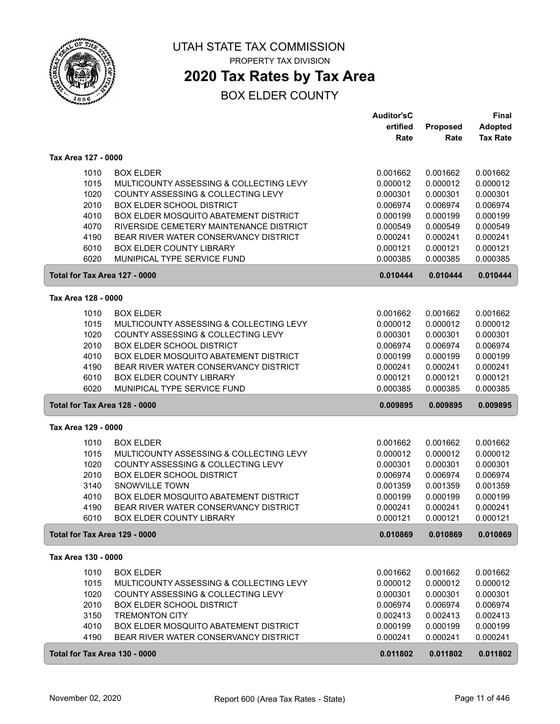

## **2020 Tax Rates by Tax Area**

|                               |                                         | <b>Auditor'sC</b> |          | <b>Final</b>    |
|-------------------------------|-----------------------------------------|-------------------|----------|-----------------|
|                               |                                         | ertified          | Proposed | <b>Adopted</b>  |
|                               |                                         | Rate              | Rate     | <b>Tax Rate</b> |
| Tax Area 127 - 0000           |                                         |                   |          |                 |
| 1010                          | <b>BOX ELDER</b>                        | 0.001662          | 0.001662 | 0.001662        |
| 1015                          | MULTICOUNTY ASSESSING & COLLECTING LEVY | 0.000012          | 0.000012 | 0.000012        |
| 1020                          | COUNTY ASSESSING & COLLECTING LEVY      | 0.000301          | 0.000301 | 0.000301        |
| 2010                          | <b>BOX ELDER SCHOOL DISTRICT</b>        | 0.006974          | 0.006974 | 0.006974        |
| 4010                          | BOX ELDER MOSQUITO ABATEMENT DISTRICT   | 0.000199          | 0.000199 | 0.000199        |
| 4070                          | RIVERSIDE CEMETERY MAINTENANCE DISTRICT | 0.000549          | 0.000549 | 0.000549        |
| 4190                          | BEAR RIVER WATER CONSERVANCY DISTRICT   | 0.000241          | 0.000241 | 0.000241        |
| 6010                          | <b>BOX ELDER COUNTY LIBRARY</b>         | 0.000121          | 0.000121 | 0.000121        |
| 6020                          | MUNIPICAL TYPE SERVICE FUND             | 0.000385          | 0.000385 | 0.000385        |
| Total for Tax Area 127 - 0000 |                                         | 0.010444          | 0.010444 | 0.010444        |
| Tax Area 128 - 0000           |                                         |                   |          |                 |
| 1010                          | <b>BOX ELDER</b>                        | 0.001662          | 0.001662 | 0.001662        |
| 1015                          | MULTICOUNTY ASSESSING & COLLECTING LEVY | 0.000012          | 0.000012 | 0.000012        |
| 1020                          | COUNTY ASSESSING & COLLECTING LEVY      | 0.000301          | 0.000301 | 0.000301        |
| 2010                          | <b>BOX ELDER SCHOOL DISTRICT</b>        | 0.006974          | 0.006974 | 0.006974        |
| 4010                          | BOX ELDER MOSQUITO ABATEMENT DISTRICT   | 0.000199          | 0.000199 | 0.000199        |
| 4190                          | BEAR RIVER WATER CONSERVANCY DISTRICT   | 0.000241          | 0.000241 | 0.000241        |
| 6010                          | <b>BOX ELDER COUNTY LIBRARY</b>         | 0.000121          | 0.000121 | 0.000121        |
| 6020                          | MUNIPICAL TYPE SERVICE FUND             | 0.000385          | 0.000385 | 0.000385        |
| Total for Tax Area 128 - 0000 |                                         | 0.009895          | 0.009895 | 0.009895        |
| Tax Area 129 - 0000           |                                         |                   |          |                 |
| 1010                          | <b>BOX ELDER</b>                        | 0.001662          | 0.001662 | 0.001662        |
| 1015                          | MULTICOUNTY ASSESSING & COLLECTING LEVY | 0.000012          | 0.000012 | 0.000012        |
| 1020                          | COUNTY ASSESSING & COLLECTING LEVY      | 0.000301          | 0.000301 | 0.000301        |
| 2010                          | <b>BOX ELDER SCHOOL DISTRICT</b>        | 0.006974          | 0.006974 | 0.006974        |
| 3140                          | <b>SNOWVILLE TOWN</b>                   | 0.001359          | 0.001359 | 0.001359        |
| 4010                          | BOX ELDER MOSQUITO ABATEMENT DISTRICT   | 0.000199          | 0.000199 | 0.000199        |
| 4190                          | BEAR RIVER WATER CONSERVANCY DISTRICT   | 0.000241          | 0.000241 | 0.000241        |
| 6010                          | <b>BOX ELDER COUNTY LIBRARY</b>         | 0.000121          | 0.000121 | 0.000121        |
| Total for Tax Area 129 - 0000 |                                         | 0.010869          | 0.010869 | 0.010869        |
| Tax Area 130 - 0000           |                                         |                   |          |                 |
| 1010                          | <b>BOX ELDER</b>                        | 0.001662          | 0.001662 | 0.001662        |
| 1015                          | MULTICOUNTY ASSESSING & COLLECTING LEVY | 0.000012          | 0.000012 | 0.000012        |
| 1020                          | COUNTY ASSESSING & COLLECTING LEVY      | 0.000301          | 0.000301 | 0.000301        |
| 2010                          | <b>BOX ELDER SCHOOL DISTRICT</b>        | 0.006974          | 0.006974 | 0.006974        |
| 3150                          | <b>TREMONTON CITY</b>                   | 0.002413          | 0.002413 | 0.002413        |
| 4010                          | BOX ELDER MOSQUITO ABATEMENT DISTRICT   | 0.000199          | 0.000199 | 0.000199        |
| 4190                          | BEAR RIVER WATER CONSERVANCY DISTRICT   | 0.000241          | 0.000241 | 0.000241        |
| Total for Tax Area 130 - 0000 |                                         | 0.011802          | 0.011802 | 0.011802        |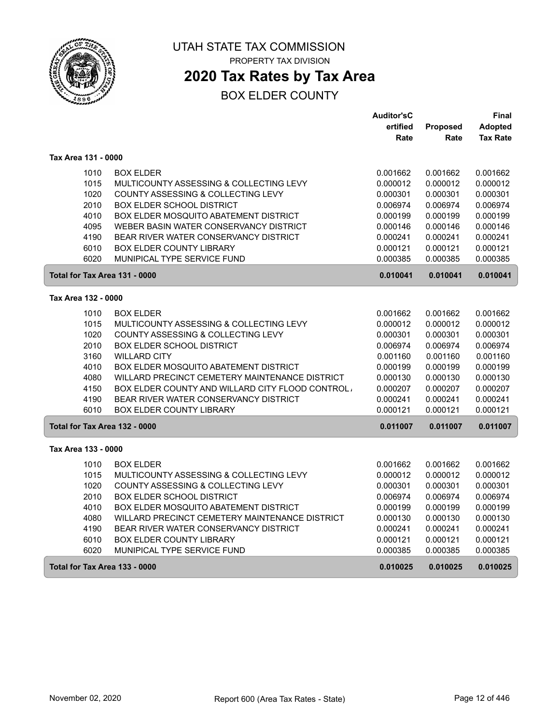

## **2020 Tax Rates by Tax Area**

|                               |                                                  | <b>Auditor'sC</b> |                      | Final           |
|-------------------------------|--------------------------------------------------|-------------------|----------------------|-----------------|
|                               |                                                  | ertified          | Proposed             | Adopted         |
|                               |                                                  | Rate              | Rate                 | <b>Tax Rate</b> |
| Tax Area 131 - 0000           |                                                  |                   |                      |                 |
| 1010                          | <b>BOX ELDER</b>                                 | 0.001662          | 0.001662             | 0.001662        |
| 1015                          | MULTICOUNTY ASSESSING & COLLECTING LEVY          | 0.000012          | 0.000012             | 0.000012        |
| 1020                          | COUNTY ASSESSING & COLLECTING LEVY               | 0.000301          | 0.000301             | 0.000301        |
| 2010                          | <b>BOX ELDER SCHOOL DISTRICT</b>                 | 0.006974          | 0.006974             | 0.006974        |
| 4010                          | <b>BOX ELDER MOSQUITO ABATEMENT DISTRICT</b>     | 0.000199          | 0.000199             | 0.000199        |
| 4095                          | WEBER BASIN WATER CONSERVANCY DISTRICT           | 0.000146          | 0.000146             | 0.000146        |
| 4190                          | BEAR RIVER WATER CONSERVANCY DISTRICT            | 0.000241          | 0.000241             | 0.000241        |
| 6010                          | <b>BOX ELDER COUNTY LIBRARY</b>                  | 0.000121          | 0.000121             | 0.000121        |
| 6020                          | MUNIPICAL TYPE SERVICE FUND                      | 0.000385          | 0.000385             | 0.000385        |
| Total for Tax Area 131 - 0000 |                                                  | 0.010041          | 0.010041             | 0.010041        |
| Tax Area 132 - 0000           |                                                  |                   |                      |                 |
| 1010                          | <b>BOX ELDER</b>                                 | 0.001662          | 0.001662             | 0.001662        |
| 1015                          | MULTICOUNTY ASSESSING & COLLECTING LEVY          | 0.000012          | 0.000012             | 0.000012        |
| 1020                          | COUNTY ASSESSING & COLLECTING LEVY               | 0.000301          | 0.000301             | 0.000301        |
| 2010                          | <b>BOX ELDER SCHOOL DISTRICT</b>                 | 0.006974          | 0.006974             | 0.006974        |
| 3160                          | <b>WILLARD CITY</b>                              | 0.001160          | 0.001160             | 0.001160        |
| 4010                          | <b>BOX ELDER MOSQUITO ABATEMENT DISTRICT</b>     | 0.000199          | 0.000199             | 0.000199        |
| 4080                          | WILLARD PRECINCT CEMETERY MAINTENANCE DISTRICT   | 0.000130          | 0.000130             | 0.000130        |
| 4150                          | BOX ELDER COUNTY AND WILLARD CITY FLOOD CONTROL, | 0.000207          | 0.000207             | 0.000207        |
| 4190                          | BEAR RIVER WATER CONSERVANCY DISTRICT            | 0.000241          | 0.000241             | 0.000241        |
| 6010                          | <b>BOX ELDER COUNTY LIBRARY</b>                  | 0.000121          | 0.000121             | 0.000121        |
| Total for Tax Area 132 - 0000 |                                                  | 0.011007          | 0.011007             | 0.011007        |
| Tax Area 133 - 0000           |                                                  |                   |                      |                 |
| 1010                          | <b>BOX ELDER</b>                                 | 0.001662          |                      | 0.001662        |
| 1015                          | MULTICOUNTY ASSESSING & COLLECTING LEVY          | 0.000012          | 0.001662<br>0.000012 | 0.000012        |
| 1020                          | COUNTY ASSESSING & COLLECTING LEVY               | 0.000301          | 0.000301             | 0.000301        |
| 2010                          | <b>BOX ELDER SCHOOL DISTRICT</b>                 | 0.006974          | 0.006974             | 0.006974        |
| 4010                          | BOX ELDER MOSQUITO ABATEMENT DISTRICT            | 0.000199          | 0.000199             | 0.000199        |
| 4080                          | WILLARD PRECINCT CEMETERY MAINTENANCE DISTRICT   | 0.000130          | 0.000130             | 0.000130        |
| 4190                          | BEAR RIVER WATER CONSERVANCY DISTRICT            | 0.000241          | 0.000241             | 0.000241        |
| 6010                          | <b>BOX ELDER COUNTY LIBRARY</b>                  | 0.000121          | 0.000121             | 0.000121        |
| 6020                          | MUNIPICAL TYPE SERVICE FUND                      | 0.000385          | 0.000385             | 0.000385        |
|                               |                                                  |                   |                      |                 |
| Total for Tax Area 133 - 0000 |                                                  | 0.010025          | 0.010025             | 0.010025        |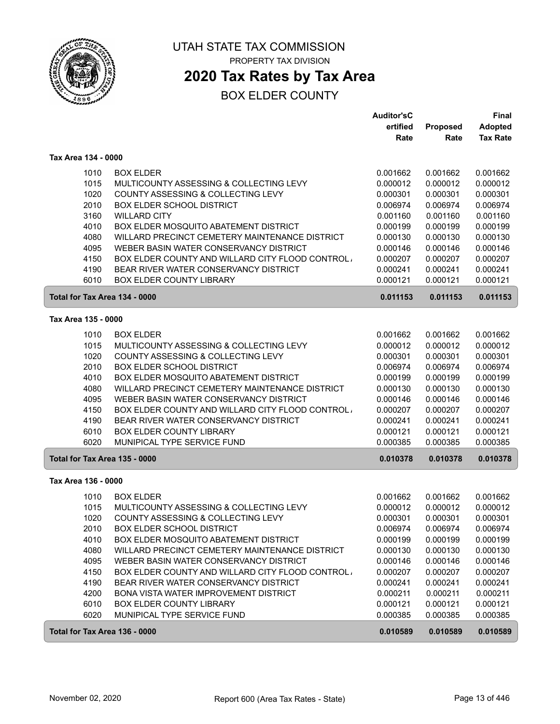

## **2020 Tax Rates by Tax Area**

|                               |                                                  | <b>Auditor'sC</b> |          | Final           |
|-------------------------------|--------------------------------------------------|-------------------|----------|-----------------|
|                               |                                                  | ertified          | Proposed | Adopted         |
|                               |                                                  | Rate              | Rate     | <b>Tax Rate</b> |
| Tax Area 134 - 0000           |                                                  |                   |          |                 |
| 1010                          | <b>BOX ELDER</b>                                 | 0.001662          | 0.001662 | 0.001662        |
| 1015                          | MULTICOUNTY ASSESSING & COLLECTING LEVY          | 0.000012          | 0.000012 | 0.000012        |
| 1020                          | COUNTY ASSESSING & COLLECTING LEVY               | 0.000301          | 0.000301 | 0.000301        |
| 2010                          | <b>BOX ELDER SCHOOL DISTRICT</b>                 | 0.006974          | 0.006974 | 0.006974        |
| 3160                          | <b>WILLARD CITY</b>                              | 0.001160          | 0.001160 | 0.001160        |
| 4010                          | BOX ELDER MOSQUITO ABATEMENT DISTRICT            | 0.000199          | 0.000199 | 0.000199        |
| 4080                          | WILLARD PRECINCT CEMETERY MAINTENANCE DISTRICT   | 0.000130          | 0.000130 | 0.000130        |
| 4095                          | WEBER BASIN WATER CONSERVANCY DISTRICT           | 0.000146          | 0.000146 | 0.000146        |
| 4150                          | BOX ELDER COUNTY AND WILLARD CITY FLOOD CONTROL  | 0.000207          | 0.000207 | 0.000207        |
| 4190                          | BEAR RIVER WATER CONSERVANCY DISTRICT            | 0.000241          | 0.000241 | 0.000241        |
| 6010                          | <b>BOX ELDER COUNTY LIBRARY</b>                  | 0.000121          | 0.000121 | 0.000121        |
| Total for Tax Area 134 - 0000 |                                                  | 0.011153          | 0.011153 | 0.011153        |
| Tax Area 135 - 0000           |                                                  |                   |          |                 |
| 1010                          | <b>BOX ELDER</b>                                 | 0.001662          | 0.001662 | 0.001662        |
| 1015                          | MULTICOUNTY ASSESSING & COLLECTING LEVY          | 0.000012          | 0.000012 | 0.000012        |
| 1020                          | COUNTY ASSESSING & COLLECTING LEVY               | 0.000301          | 0.000301 | 0.000301        |
| 2010                          | <b>BOX ELDER SCHOOL DISTRICT</b>                 | 0.006974          | 0.006974 | 0.006974        |
| 4010                          | BOX ELDER MOSQUITO ABATEMENT DISTRICT            | 0.000199          | 0.000199 | 0.000199        |
| 4080                          | WILLARD PRECINCT CEMETERY MAINTENANCE DISTRICT   | 0.000130          | 0.000130 | 0.000130        |
| 4095                          | WEBER BASIN WATER CONSERVANCY DISTRICT           | 0.000146          | 0.000146 | 0.000146        |
| 4150                          | BOX ELDER COUNTY AND WILLARD CITY FLOOD CONTROL  | 0.000207          | 0.000207 | 0.000207        |
| 4190                          | BEAR RIVER WATER CONSERVANCY DISTRICT            | 0.000241          | 0.000241 | 0.000241        |
| 6010                          | <b>BOX ELDER COUNTY LIBRARY</b>                  | 0.000121          | 0.000121 | 0.000121        |
| 6020                          | MUNIPICAL TYPE SERVICE FUND                      | 0.000385          | 0.000385 | 0.000385        |
| Total for Tax Area 135 - 0000 |                                                  | 0.010378          | 0.010378 | 0.010378        |
|                               |                                                  |                   |          |                 |
| Tax Area 136 - 0000           |                                                  |                   |          |                 |
| 1010                          | <b>BOX ELDER</b>                                 | 0.001662          | 0.001662 | 0.001662        |
| 1015                          | MULTICOUNTY ASSESSING & COLLECTING LEVY          | 0.000012          | 0.000012 | 0.000012        |
| 1020                          | COUNTY ASSESSING & COLLECTING LEVY               | 0.000301          | 0.000301 | 0.000301        |
| 2010                          | <b>BOX ELDER SCHOOL DISTRICT</b>                 | 0.006974          | 0.006974 | 0.006974        |
| 4010                          | <b>BOX ELDER MOSQUITO ABATEMENT DISTRICT</b>     | 0.000199          | 0.000199 | 0.000199        |
| 4080                          | WILLARD PRECINCT CEMETERY MAINTENANCE DISTRICT   | 0.000130          | 0.000130 | 0.000130        |
| 4095                          | WEBER BASIN WATER CONSERVANCY DISTRICT           | 0.000146          | 0.000146 | 0.000146        |
| 4150                          | BOX ELDER COUNTY AND WILLARD CITY FLOOD CONTROL. | 0.000207          | 0.000207 | 0.000207        |
| 4190                          | BEAR RIVER WATER CONSERVANCY DISTRICT            | 0.000241          | 0.000241 | 0.000241        |
| 4200                          | BONA VISTA WATER IMPROVEMENT DISTRICT            | 0.000211          | 0.000211 | 0.000211        |
| 6010                          | BOX ELDER COUNTY LIBRARY                         | 0.000121          | 0.000121 | 0.000121        |
| 6020                          | MUNIPICAL TYPE SERVICE FUND                      | 0.000385          | 0.000385 | 0.000385        |
| Total for Tax Area 136 - 0000 |                                                  | 0.010589          | 0.010589 | 0.010589        |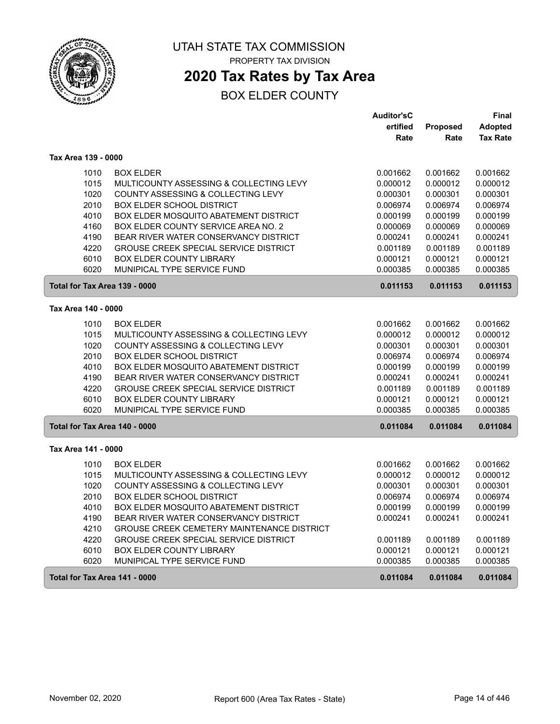

## **2020 Tax Rates by Tax Area**

|                               |                                                   | <b>Auditor'sC</b> |          | <b>Final</b>    |
|-------------------------------|---------------------------------------------------|-------------------|----------|-----------------|
|                               |                                                   | ertified          | Proposed | <b>Adopted</b>  |
|                               |                                                   | Rate              | Rate     | <b>Tax Rate</b> |
| Tax Area 139 - 0000           |                                                   |                   |          |                 |
| 1010                          | <b>BOX ELDER</b>                                  | 0.001662          | 0.001662 | 0.001662        |
| 1015                          | MULTICOUNTY ASSESSING & COLLECTING LEVY           | 0.000012          | 0.000012 | 0.000012        |
| 1020                          | COUNTY ASSESSING & COLLECTING LEVY                | 0.000301          | 0.000301 | 0.000301        |
| 2010                          | <b>BOX ELDER SCHOOL DISTRICT</b>                  | 0.006974          | 0.006974 | 0.006974        |
| 4010                          | <b>BOX ELDER MOSQUITO ABATEMENT DISTRICT</b>      | 0.000199          | 0.000199 | 0.000199        |
| 4160                          | BOX ELDER COUNTY SERVICE AREA NO. 2               | 0.000069          | 0.000069 | 0.000069        |
| 4190                          | BEAR RIVER WATER CONSERVANCY DISTRICT             | 0.000241          | 0.000241 | 0.000241        |
| 4220                          | <b>GROUSE CREEK SPECIAL SERVICE DISTRICT</b>      | 0.001189          | 0.001189 | 0.001189        |
| 6010                          | <b>BOX ELDER COUNTY LIBRARY</b>                   | 0.000121          | 0.000121 | 0.000121        |
| 6020                          | MUNIPICAL TYPE SERVICE FUND                       | 0.000385          | 0.000385 | 0.000385        |
| Total for Tax Area 139 - 0000 |                                                   | 0.011153          | 0.011153 | 0.011153        |
| Tax Area 140 - 0000           |                                                   |                   |          |                 |
| 1010                          | <b>BOX ELDER</b>                                  | 0.001662          | 0.001662 | 0.001662        |
| 1015                          | MULTICOUNTY ASSESSING & COLLECTING LEVY           | 0.000012          | 0.000012 | 0.000012        |
| 1020                          | COUNTY ASSESSING & COLLECTING LEVY                | 0.000301          | 0.000301 | 0.000301        |
| 2010                          | <b>BOX ELDER SCHOOL DISTRICT</b>                  | 0.006974          | 0.006974 | 0.006974        |
| 4010                          | BOX ELDER MOSQUITO ABATEMENT DISTRICT             | 0.000199          | 0.000199 | 0.000199        |
| 4190                          | BEAR RIVER WATER CONSERVANCY DISTRICT             | 0.000241          | 0.000241 | 0.000241        |
| 4220                          | <b>GROUSE CREEK SPECIAL SERVICE DISTRICT</b>      | 0.001189          | 0.001189 | 0.001189        |
| 6010                          | <b>BOX ELDER COUNTY LIBRARY</b>                   | 0.000121          | 0.000121 | 0.000121        |
| 6020                          | MUNIPICAL TYPE SERVICE FUND                       | 0.000385          | 0.000385 | 0.000385        |
| Total for Tax Area 140 - 0000 |                                                   | 0.011084          | 0.011084 | 0.011084        |
| Tax Area 141 - 0000           |                                                   |                   |          |                 |
| 1010                          | <b>BOX ELDER</b>                                  | 0.001662          | 0.001662 | 0.001662        |
| 1015                          | MULTICOUNTY ASSESSING & COLLECTING LEVY           | 0.000012          | 0.000012 | 0.000012        |
| 1020                          | COUNTY ASSESSING & COLLECTING LEVY                | 0.000301          | 0.000301 | 0.000301        |
| 2010                          | <b>BOX ELDER SCHOOL DISTRICT</b>                  | 0.006974          | 0.006974 | 0.006974        |
| 4010                          | BOX ELDER MOSQUITO ABATEMENT DISTRICT             | 0.000199          | 0.000199 | 0.000199        |
| 4190                          | BEAR RIVER WATER CONSERVANCY DISTRICT             | 0.000241          | 0.000241 | 0.000241        |
| 4210                          | <b>GROUSE CREEK CEMETERY MAINTENANCE DISTRICT</b> |                   |          |                 |
| 4220                          | <b>GROUSE CREEK SPECIAL SERVICE DISTRICT</b>      | 0.001189          | 0.001189 | 0.001189        |
| 6010                          | <b>BOX ELDER COUNTY LIBRARY</b>                   | 0.000121          | 0.000121 | 0.000121        |
| 6020                          | MUNIPICAL TYPE SERVICE FUND                       | 0.000385          | 0.000385 | 0.000385        |
| Total for Tax Area 141 - 0000 |                                                   | 0.011084          | 0.011084 | 0.011084        |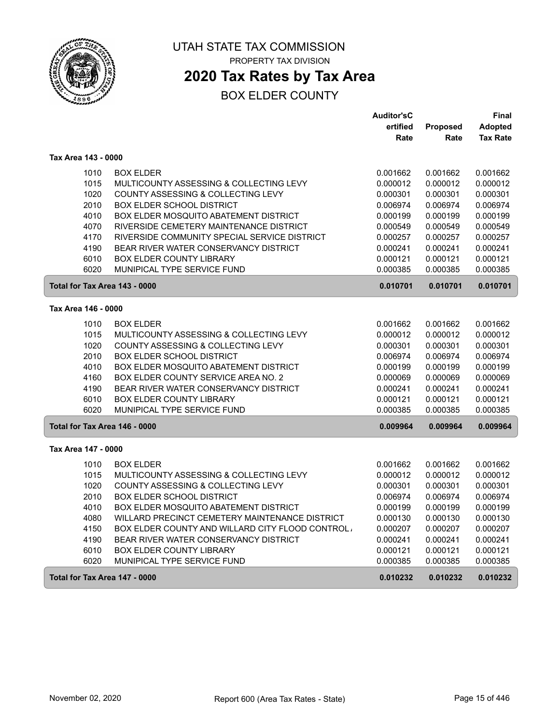

# **2020 Tax Rates by Tax Area**

|                     |                                                  | <b>Auditor'sC</b> |          | Final           |
|---------------------|--------------------------------------------------|-------------------|----------|-----------------|
|                     |                                                  | ertified          | Proposed | <b>Adopted</b>  |
|                     |                                                  | Rate              | Rate     | <b>Tax Rate</b> |
| Tax Area 143 - 0000 |                                                  |                   |          |                 |
| 1010                | <b>BOX ELDER</b>                                 | 0.001662          | 0.001662 | 0.001662        |
| 1015                | MULTICOUNTY ASSESSING & COLLECTING LEVY          | 0.000012          | 0.000012 | 0.000012        |
| 1020                | COUNTY ASSESSING & COLLECTING LEVY               | 0.000301          | 0.000301 | 0.000301        |
| 2010                | <b>BOX ELDER SCHOOL DISTRICT</b>                 | 0.006974          | 0.006974 | 0.006974        |
| 4010                | BOX ELDER MOSQUITO ABATEMENT DISTRICT            | 0.000199          | 0.000199 | 0.000199        |
| 4070                | RIVERSIDE CEMETERY MAINTENANCE DISTRICT          | 0.000549          | 0.000549 | 0.000549        |
| 4170                | RIVERSIDE COMMUNITY SPECIAL SERVICE DISTRICT     | 0.000257          | 0.000257 | 0.000257        |
| 4190                | BEAR RIVER WATER CONSERVANCY DISTRICT            | 0.000241          | 0.000241 | 0.000241        |
| 6010                | <b>BOX ELDER COUNTY LIBRARY</b>                  | 0.000121          | 0.000121 | 0.000121        |
| 6020                | MUNIPICAL TYPE SERVICE FUND                      | 0.000385          | 0.000385 | 0.000385        |
|                     | Total for Tax Area 143 - 0000                    | 0.010701          | 0.010701 | 0.010701        |
| Tax Area 146 - 0000 |                                                  |                   |          |                 |
| 1010                | <b>BOX ELDER</b>                                 | 0.001662          | 0.001662 | 0.001662        |
| 1015                | MULTICOUNTY ASSESSING & COLLECTING LEVY          | 0.000012          | 0.000012 | 0.000012        |
| 1020                | COUNTY ASSESSING & COLLECTING LEVY               | 0.000301          | 0.000301 | 0.000301        |
| 2010                | <b>BOX ELDER SCHOOL DISTRICT</b>                 | 0.006974          | 0.006974 | 0.006974        |
| 4010                | <b>BOX ELDER MOSQUITO ABATEMENT DISTRICT</b>     | 0.000199          | 0.000199 | 0.000199        |
| 4160                | <b>BOX ELDER COUNTY SERVICE AREA NO. 2</b>       | 0.000069          | 0.000069 | 0.000069        |
| 4190                | BEAR RIVER WATER CONSERVANCY DISTRICT            | 0.000241          | 0.000241 | 0.000241        |
| 6010                | <b>BOX ELDER COUNTY LIBRARY</b>                  | 0.000121          | 0.000121 | 0.000121        |
| 6020                | MUNIPICAL TYPE SERVICE FUND                      | 0.000385          | 0.000385 | 0.000385        |
|                     | Total for Tax Area 146 - 0000                    | 0.009964          | 0.009964 | 0.009964        |
| Tax Area 147 - 0000 |                                                  |                   |          |                 |
| 1010                | <b>BOX ELDER</b>                                 | 0.001662          | 0.001662 | 0.001662        |
| 1015                | MULTICOUNTY ASSESSING & COLLECTING LEVY          | 0.000012          | 0.000012 | 0.000012        |
| 1020                | COUNTY ASSESSING & COLLECTING LEVY               | 0.000301          | 0.000301 | 0.000301        |
| 2010                | <b>BOX ELDER SCHOOL DISTRICT</b>                 | 0.006974          | 0.006974 | 0.006974        |
| 4010                | BOX ELDER MOSQUITO ABATEMENT DISTRICT            | 0.000199          | 0.000199 | 0.000199        |
| 4080                | WILLARD PRECINCT CEMETERY MAINTENANCE DISTRICT   | 0.000130          | 0.000130 | 0.000130        |
| 4150                | BOX ELDER COUNTY AND WILLARD CITY FLOOD CONTROL. | 0.000207          | 0.000207 | 0.000207        |
| 4190                | BEAR RIVER WATER CONSERVANCY DISTRICT            | 0.000241          | 0.000241 | 0.000241        |
| 6010                | <b>BOX ELDER COUNTY LIBRARY</b>                  | 0.000121          | 0.000121 | 0.000121        |
| 6020                | MUNIPICAL TYPE SERVICE FUND                      | 0.000385          | 0.000385 | 0.000385        |
|                     | Total for Tax Area 147 - 0000                    | 0.010232          | 0.010232 | 0.010232        |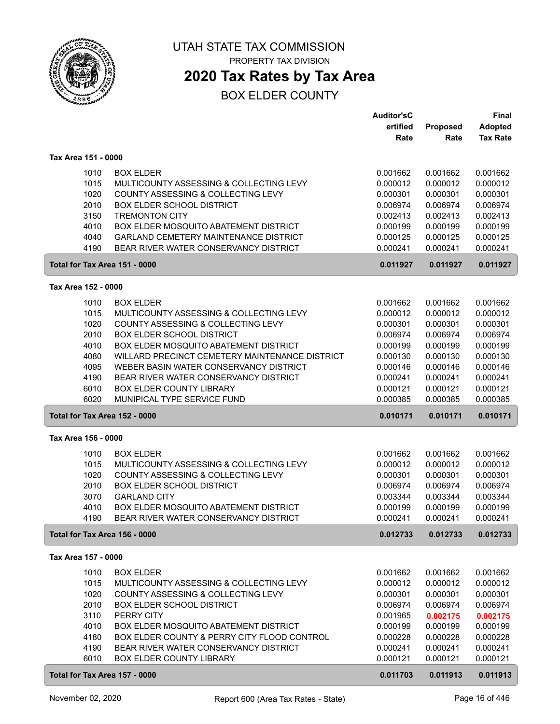

**2020 Tax Rates by Tax Area**

|                     |                                                | <b>Auditor'sC</b> |          | Final           |
|---------------------|------------------------------------------------|-------------------|----------|-----------------|
|                     |                                                | ertified          | Proposed | <b>Adopted</b>  |
|                     |                                                | Rate              | Rate     | <b>Tax Rate</b> |
|                     |                                                |                   |          |                 |
| Tax Area 151 - 0000 |                                                |                   |          |                 |
| 1010                | <b>BOX ELDER</b>                               | 0.001662          | 0.001662 | 0.001662        |
| 1015                | MULTICOUNTY ASSESSING & COLLECTING LEVY        | 0.000012          | 0.000012 | 0.000012        |
| 1020                | COUNTY ASSESSING & COLLECTING LEVY             | 0.000301          | 0.000301 | 0.000301        |
| 2010                | <b>BOX ELDER SCHOOL DISTRICT</b>               | 0.006974          | 0.006974 | 0.006974        |
| 3150                | <b>TREMONTON CITY</b>                          | 0.002413          | 0.002413 | 0.002413        |
| 4010                | BOX ELDER MOSQUITO ABATEMENT DISTRICT          | 0.000199          | 0.000199 | 0.000199        |
| 4040                | <b>GARLAND CEMETERY MAINTENANCE DISTRICT</b>   | 0.000125          | 0.000125 | 0.000125        |
| 4190                | BEAR RIVER WATER CONSERVANCY DISTRICT          | 0.000241          | 0.000241 | 0.000241        |
|                     | Total for Tax Area 151 - 0000                  | 0.011927          | 0.011927 | 0.011927        |
| Tax Area 152 - 0000 |                                                |                   |          |                 |
| 1010                | <b>BOX ELDER</b>                               | 0.001662          | 0.001662 | 0.001662        |
| 1015                | MULTICOUNTY ASSESSING & COLLECTING LEVY        | 0.000012          | 0.000012 | 0.000012        |
| 1020                | COUNTY ASSESSING & COLLECTING LEVY             | 0.000301          | 0.000301 | 0.000301        |
| 2010                | <b>BOX ELDER SCHOOL DISTRICT</b>               | 0.006974          | 0.006974 | 0.006974        |
| 4010                | BOX ELDER MOSQUITO ABATEMENT DISTRICT          | 0.000199          | 0.000199 | 0.000199        |
| 4080                | WILLARD PRECINCT CEMETERY MAINTENANCE DISTRICT | 0.000130          | 0.000130 | 0.000130        |
| 4095                | WEBER BASIN WATER CONSERVANCY DISTRICT         | 0.000146          | 0.000146 | 0.000146        |
| 4190                | BEAR RIVER WATER CONSERVANCY DISTRICT          | 0.000241          | 0.000241 | 0.000241        |
| 6010                | BOX ELDER COUNTY LIBRARY                       | 0.000121          | 0.000121 | 0.000121        |
| 6020                | MUNIPICAL TYPE SERVICE FUND                    | 0.000385          | 0.000385 | 0.000385        |
|                     | Total for Tax Area 152 - 0000                  | 0.010171          | 0.010171 | 0.010171        |
| Tax Area 156 - 0000 |                                                |                   |          |                 |
| 1010                | <b>BOX ELDER</b>                               | 0.001662          | 0.001662 | 0.001662        |
| 1015                | MULTICOUNTY ASSESSING & COLLECTING LEVY        | 0.000012          | 0.000012 | 0.000012        |
| 1020                | COUNTY ASSESSING & COLLECTING LEVY             | 0.000301          | 0.000301 | 0.000301        |
| 2010                | <b>BOX ELDER SCHOOL DISTRICT</b>               | 0.006974          | 0.006974 | 0.006974        |
| 3070                | <b>GARLAND CITY</b>                            | 0.003344          | 0.003344 | 0.003344        |
| 4010                | BOX ELDER MOSQUITO ABATEMENT DISTRICT          | 0.000199          | 0.000199 | 0.000199        |
| 4190                | BEAR RIVER WATER CONSERVANCY DISTRICT          | 0.000241          | 0.000241 | 0.000241        |
|                     | Total for Tax Area 156 - 0000                  | 0.012733          | 0.012733 | 0.012733        |
| Tax Area 157 - 0000 |                                                |                   |          |                 |
| 1010                | <b>BOX ELDER</b>                               | 0.001662          | 0.001662 | 0.001662        |
| 1015                | MULTICOUNTY ASSESSING & COLLECTING LEVY        | 0.000012          | 0.000012 | 0.000012        |
| 1020                | COUNTY ASSESSING & COLLECTING LEVY             | 0.000301          | 0.000301 | 0.000301        |
| 2010                | <b>BOX ELDER SCHOOL DISTRICT</b>               | 0.006974          | 0.006974 | 0.006974        |
| 3110                | PERRY CITY                                     | 0.001965          | 0.002175 | 0.002175        |
| 4010                | <b>BOX ELDER MOSQUITO ABATEMENT DISTRICT</b>   | 0.000199          | 0.000199 | 0.000199        |
| 4180                | BOX ELDER COUNTY & PERRY CITY FLOOD CONTROL    | 0.000228          | 0.000228 | 0.000228        |
| 4190                | BEAR RIVER WATER CONSERVANCY DISTRICT          | 0.000241          | 0.000241 | 0.000241        |
| 6010                | BOX ELDER COUNTY LIBRARY                       | 0.000121          | 0.000121 | 0.000121        |
|                     | Total for Tax Area 157 - 0000                  | 0.011703          | 0.011913 | 0.011913        |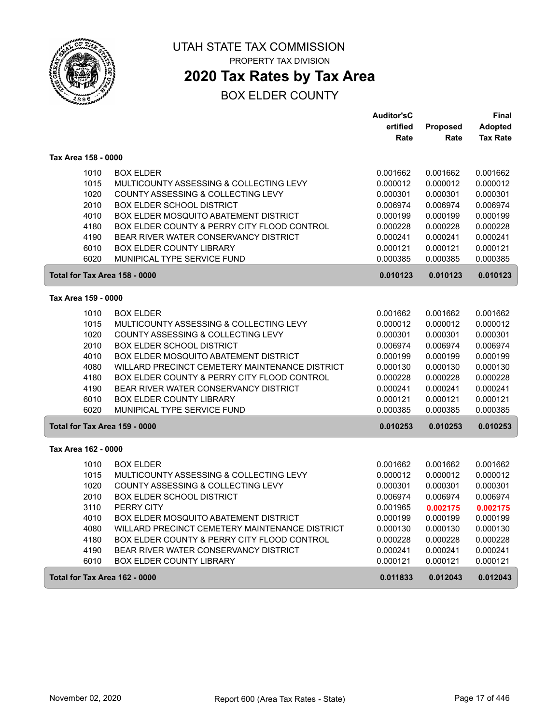

## **2020 Tax Rates by Tax Area**

|                               |                                                | <b>Auditor'sC</b> |                 | Final           |
|-------------------------------|------------------------------------------------|-------------------|-----------------|-----------------|
|                               |                                                | ertified          | <b>Proposed</b> | <b>Adopted</b>  |
|                               |                                                | Rate              | Rate            | <b>Tax Rate</b> |
| Tax Area 158 - 0000           |                                                |                   |                 |                 |
| 1010                          | <b>BOX ELDER</b>                               | 0.001662          | 0.001662        | 0.001662        |
| 1015                          | MULTICOUNTY ASSESSING & COLLECTING LEVY        | 0.000012          | 0.000012        | 0.000012        |
| 1020                          | COUNTY ASSESSING & COLLECTING LEVY             | 0.000301          | 0.000301        | 0.000301        |
| 2010                          | <b>BOX ELDER SCHOOL DISTRICT</b>               | 0.006974          | 0.006974        | 0.006974        |
| 4010                          | BOX ELDER MOSQUITO ABATEMENT DISTRICT          | 0.000199          | 0.000199        | 0.000199        |
| 4180                          | BOX ELDER COUNTY & PERRY CITY FLOOD CONTROL    | 0.000228          | 0.000228        | 0.000228        |
| 4190                          | BEAR RIVER WATER CONSERVANCY DISTRICT          | 0.000241          | 0.000241        | 0.000241        |
| 6010                          | BOX ELDER COUNTY LIBRARY                       | 0.000121          | 0.000121        | 0.000121        |
| 6020                          | MUNIPICAL TYPE SERVICE FUND                    | 0.000385          | 0.000385        | 0.000385        |
| Total for Tax Area 158 - 0000 |                                                | 0.010123          | 0.010123        | 0.010123        |
| Tax Area 159 - 0000           |                                                |                   |                 |                 |
| 1010                          | <b>BOX ELDER</b>                               | 0.001662          | 0.001662        | 0.001662        |
| 1015                          | MULTICOUNTY ASSESSING & COLLECTING LEVY        | 0.000012          | 0.000012        | 0.000012        |
| 1020                          | COUNTY ASSESSING & COLLECTING LEVY             | 0.000301          | 0.000301        | 0.000301        |
| 2010                          | <b>BOX ELDER SCHOOL DISTRICT</b>               | 0.006974          | 0.006974        | 0.006974        |
| 4010                          | BOX ELDER MOSQUITO ABATEMENT DISTRICT          | 0.000199          | 0.000199        | 0.000199        |
| 4080                          | WILLARD PRECINCT CEMETERY MAINTENANCE DISTRICT | 0.000130          | 0.000130        | 0.000130        |
| 4180                          | BOX ELDER COUNTY & PERRY CITY FLOOD CONTROL    | 0.000228          | 0.000228        | 0.000228        |
| 4190                          | BEAR RIVER WATER CONSERVANCY DISTRICT          | 0.000241          | 0.000241        | 0.000241        |
| 6010                          | <b>BOX ELDER COUNTY LIBRARY</b>                | 0.000121          | 0.000121        | 0.000121        |
| 6020                          | MUNIPICAL TYPE SERVICE FUND                    | 0.000385          | 0.000385        | 0.000385        |
| Total for Tax Area 159 - 0000 |                                                | 0.010253          | 0.010253        | 0.010253        |
| Tax Area 162 - 0000           |                                                |                   |                 |                 |
| 1010                          | <b>BOX ELDER</b>                               | 0.001662          | 0.001662        | 0.001662        |
| 1015                          | MULTICOUNTY ASSESSING & COLLECTING LEVY        | 0.000012          | 0.000012        | 0.000012        |
| 1020                          | COUNTY ASSESSING & COLLECTING LEVY             | 0.000301          | 0.000301        | 0.000301        |
| 2010                          | <b>BOX ELDER SCHOOL DISTRICT</b>               | 0.006974          | 0.006974        | 0.006974        |
| 3110                          | PERRY CITY                                     | 0.001965          | 0.002175        | 0.002175        |
| 4010                          | BOX ELDER MOSQUITO ABATEMENT DISTRICT          | 0.000199          | 0.000199        | 0.000199        |
| 4080                          | WILLARD PRECINCT CEMETERY MAINTENANCE DISTRICT | 0.000130          | 0.000130        | 0.000130        |
| 4180                          | BOX ELDER COUNTY & PERRY CITY FLOOD CONTROL    | 0.000228          | 0.000228        | 0.000228        |
| 4190                          | BEAR RIVER WATER CONSERVANCY DISTRICT          | 0.000241          | 0.000241        | 0.000241        |
| 6010                          | <b>BOX ELDER COUNTY LIBRARY</b>                | 0.000121          | 0.000121        | 0.000121        |
| Total for Tax Area 162 - 0000 |                                                | 0.011833          | 0.012043        | 0.012043        |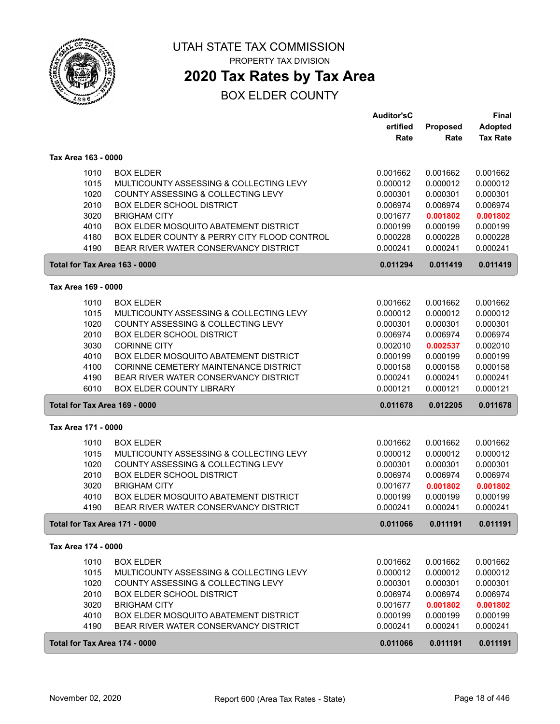

**2020 Tax Rates by Tax Area**

|                               |                                             | <b>Auditor'sC</b> |          | <b>Final</b>    |
|-------------------------------|---------------------------------------------|-------------------|----------|-----------------|
|                               |                                             | ertified          | Proposed | <b>Adopted</b>  |
|                               |                                             | Rate              | Rate     | <b>Tax Rate</b> |
| Tax Area 163 - 0000           |                                             |                   |          |                 |
| 1010                          | <b>BOX ELDER</b>                            | 0.001662          | 0.001662 | 0.001662        |
| 1015                          | MULTICOUNTY ASSESSING & COLLECTING LEVY     | 0.000012          | 0.000012 | 0.000012        |
| 1020                          | COUNTY ASSESSING & COLLECTING LEVY          | 0.000301          | 0.000301 | 0.000301        |
| 2010                          | <b>BOX ELDER SCHOOL DISTRICT</b>            | 0.006974          | 0.006974 | 0.006974        |
| 3020                          | <b>BRIGHAM CITY</b>                         | 0.001677          | 0.001802 | 0.001802        |
| 4010                          | BOX ELDER MOSQUITO ABATEMENT DISTRICT       | 0.000199          | 0.000199 | 0.000199        |
| 4180                          | BOX ELDER COUNTY & PERRY CITY FLOOD CONTROL | 0.000228          | 0.000228 | 0.000228        |
| 4190                          | BEAR RIVER WATER CONSERVANCY DISTRICT       | 0.000241          | 0.000241 | 0.000241        |
| Total for Tax Area 163 - 0000 |                                             | 0.011294          | 0.011419 | 0.011419        |
| Tax Area 169 - 0000           |                                             |                   |          |                 |
|                               |                                             |                   |          |                 |
| 1010                          | <b>BOX ELDER</b>                            | 0.001662          | 0.001662 | 0.001662        |
| 1015                          | MULTICOUNTY ASSESSING & COLLECTING LEVY     | 0.000012          | 0.000012 | 0.000012        |
| 1020                          | COUNTY ASSESSING & COLLECTING LEVY          | 0.000301          | 0.000301 | 0.000301        |
| 2010                          | <b>BOX ELDER SCHOOL DISTRICT</b>            | 0.006974          | 0.006974 | 0.006974        |
| 3030                          | <b>CORINNE CITY</b>                         | 0.002010          | 0.002537 | 0.002010        |
| 4010                          | BOX ELDER MOSQUITO ABATEMENT DISTRICT       | 0.000199          | 0.000199 | 0.000199        |
| 4100                          | CORINNE CEMETERY MAINTENANCE DISTRICT       | 0.000158          | 0.000158 | 0.000158        |
| 4190                          | BEAR RIVER WATER CONSERVANCY DISTRICT       | 0.000241          | 0.000241 | 0.000241        |
| 6010                          | <b>BOX ELDER COUNTY LIBRARY</b>             | 0.000121          | 0.000121 | 0.000121        |
| Total for Tax Area 169 - 0000 |                                             | 0.011678          | 0.012205 | 0.011678        |
| Tax Area 171 - 0000           |                                             |                   |          |                 |
| 1010                          | <b>BOX ELDER</b>                            | 0.001662          | 0.001662 | 0.001662        |
| 1015                          | MULTICOUNTY ASSESSING & COLLECTING LEVY     | 0.000012          | 0.000012 | 0.000012        |
| 1020                          | COUNTY ASSESSING & COLLECTING LEVY          | 0.000301          | 0.000301 | 0.000301        |
| 2010                          | <b>BOX ELDER SCHOOL DISTRICT</b>            | 0.006974          | 0.006974 | 0.006974        |
| 3020                          | <b>BRIGHAM CITY</b>                         | 0.001677          | 0.001802 | 0.001802        |
| 4010                          | BOX ELDER MOSQUITO ABATEMENT DISTRICT       | 0.000199          | 0.000199 | 0.000199        |
| 4190                          | BEAR RIVER WATER CONSERVANCY DISTRICT       | 0.000241          | 0.000241 | 0.000241        |
| Total for Tax Area 171 - 0000 |                                             | 0.011066          | 0.011191 | 0.011191        |
| Tax Area 174 - 0000           |                                             |                   |          |                 |
| 1010                          | <b>BOX ELDER</b>                            | 0.001662          | 0.001662 | 0.001662        |
| 1015                          | MULTICOUNTY ASSESSING & COLLECTING LEVY     | 0.000012          | 0.000012 | 0.000012        |
| 1020                          | COUNTY ASSESSING & COLLECTING LEVY          | 0.000301          | 0.000301 | 0.000301        |
| 2010                          | <b>BOX ELDER SCHOOL DISTRICT</b>            | 0.006974          | 0.006974 | 0.006974        |
| 3020                          | <b>BRIGHAM CITY</b>                         | 0.001677          | 0.001802 | 0.001802        |
| 4010                          | BOX ELDER MOSQUITO ABATEMENT DISTRICT       | 0.000199          | 0.000199 | 0.000199        |
| 4190                          | BEAR RIVER WATER CONSERVANCY DISTRICT       | 0.000241          | 0.000241 | 0.000241        |
| Total for Tax Area 174 - 0000 |                                             | 0.011066          | 0.011191 | 0.011191        |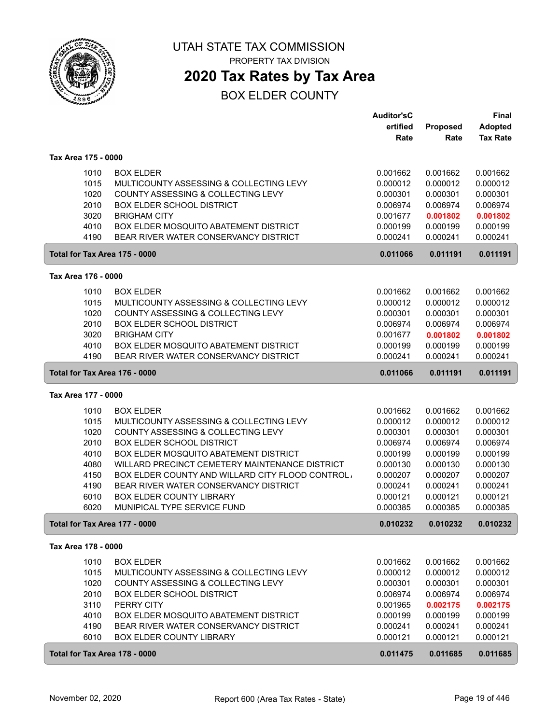

**2020 Tax Rates by Tax Area**

|                     |                                                             | <b>Auditor'sC</b>    |                      | Final                |
|---------------------|-------------------------------------------------------------|----------------------|----------------------|----------------------|
|                     |                                                             | ertified             | Proposed             | <b>Adopted</b>       |
|                     |                                                             | Rate                 | Rate                 | <b>Tax Rate</b>      |
| Tax Area 175 - 0000 |                                                             |                      |                      |                      |
| 1010                | <b>BOX ELDER</b>                                            | 0.001662             | 0.001662             | 0.001662             |
| 1015                | MULTICOUNTY ASSESSING & COLLECTING LEVY                     | 0.000012             | 0.000012             | 0.000012             |
| 1020                | COUNTY ASSESSING & COLLECTING LEVY                          | 0.000301             | 0.000301             | 0.000301             |
| 2010                | <b>BOX ELDER SCHOOL DISTRICT</b>                            | 0.006974             | 0.006974             | 0.006974             |
| 3020                | <b>BRIGHAM CITY</b>                                         | 0.001677             | 0.001802             | 0.001802             |
| 4010                | BOX ELDER MOSQUITO ABATEMENT DISTRICT                       | 0.000199             | 0.000199             | 0.000199             |
| 4190                | BEAR RIVER WATER CONSERVANCY DISTRICT                       | 0.000241             | 0.000241             | 0.000241             |
|                     | Total for Tax Area 175 - 0000                               | 0.011066             | 0.011191             | 0.011191             |
| Tax Area 176 - 0000 |                                                             |                      |                      |                      |
|                     |                                                             |                      |                      |                      |
| 1010<br>1015        | <b>BOX ELDER</b><br>MULTICOUNTY ASSESSING & COLLECTING LEVY | 0.001662<br>0.000012 | 0.001662<br>0.000012 | 0.001662<br>0.000012 |
| 1020                | COUNTY ASSESSING & COLLECTING LEVY                          | 0.000301             | 0.000301             | 0.000301             |
| 2010                | <b>BOX ELDER SCHOOL DISTRICT</b>                            | 0.006974             | 0.006974             | 0.006974             |
| 3020                | <b>BRIGHAM CITY</b>                                         | 0.001677             | 0.001802             | 0.001802             |
| 4010                | BOX ELDER MOSQUITO ABATEMENT DISTRICT                       | 0.000199             | 0.000199             | 0.000199             |
| 4190                | BEAR RIVER WATER CONSERVANCY DISTRICT                       | 0.000241             | 0.000241             | 0.000241             |
|                     | Total for Tax Area 176 - 0000                               | 0.011066             | 0.011191             | 0.011191             |
| Tax Area 177 - 0000 |                                                             |                      |                      |                      |
| 1010                | <b>BOX ELDER</b>                                            | 0.001662             | 0.001662             | 0.001662             |
| 1015                | MULTICOUNTY ASSESSING & COLLECTING LEVY                     | 0.000012             | 0.000012             | 0.000012             |
| 1020                | COUNTY ASSESSING & COLLECTING LEVY                          | 0.000301             | 0.000301             | 0.000301             |
| 2010                | <b>BOX ELDER SCHOOL DISTRICT</b>                            | 0.006974             | 0.006974             | 0.006974             |
| 4010                | BOX ELDER MOSQUITO ABATEMENT DISTRICT                       | 0.000199             | 0.000199             | 0.000199             |
| 4080                | WILLARD PRECINCT CEMETERY MAINTENANCE DISTRICT              | 0.000130             | 0.000130             | 0.000130             |
| 4150                | BOX ELDER COUNTY AND WILLARD CITY FLOOD CONTROL.            | 0.000207             | 0.000207             | 0.000207             |
| 4190                | BEAR RIVER WATER CONSERVANCY DISTRICT                       | 0.000241             | 0.000241             | 0.000241             |
| 6010                | <b>BOX ELDER COUNTY LIBRARY</b>                             | 0.000121             | 0.000121             | 0.000121             |
| 6020                | MUNIPICAL TYPE SERVICE FUND                                 | 0.000385             | 0.000385             | 0.000385             |
|                     | Total for Tax Area 177 - 0000                               | 0.010232             | 0.010232             | 0.010232             |
| Tax Area 178 - 0000 |                                                             |                      |                      |                      |
| 1010                | <b>BOX ELDER</b>                                            | 0.001662             | 0.001662             | 0.001662             |
| 1015                | MULTICOUNTY ASSESSING & COLLECTING LEVY                     | 0.000012             | 0.000012             | 0.000012             |
| 1020                | COUNTY ASSESSING & COLLECTING LEVY                          | 0.000301             | 0.000301             | 0.000301             |
| 2010                | <b>BOX ELDER SCHOOL DISTRICT</b>                            | 0.006974             | 0.006974             | 0.006974             |
| 3110                | PERRY CITY                                                  | 0.001965             | 0.002175             | 0.002175             |
| 4010                | BOX ELDER MOSQUITO ABATEMENT DISTRICT                       | 0.000199             | 0.000199             | 0.000199             |
| 4190                | BEAR RIVER WATER CONSERVANCY DISTRICT                       | 0.000241             | 0.000241             | 0.000241             |
| 6010                | <b>BOX ELDER COUNTY LIBRARY</b>                             | 0.000121             | 0.000121             | 0.000121             |
|                     | Total for Tax Area 178 - 0000                               | 0.011475             | 0.011685             | 0.011685             |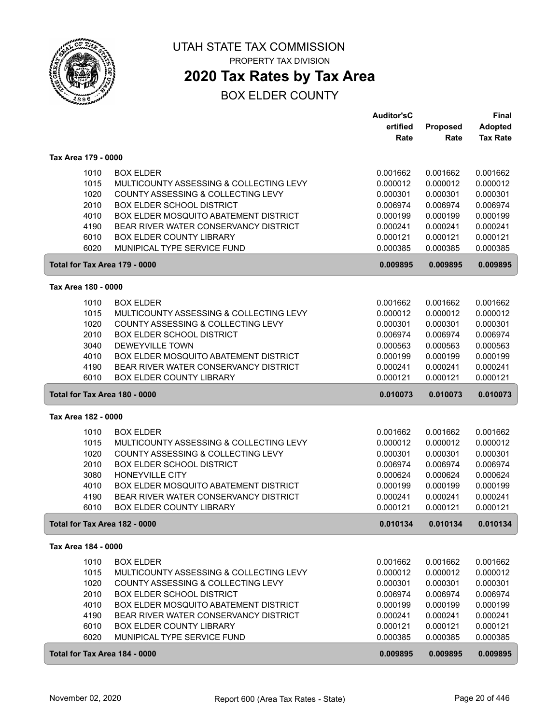

# **2020 Tax Rates by Tax Area**

|                               |                                         | <b>Auditor'sC</b>    |                      | <b>Final</b>         |
|-------------------------------|-----------------------------------------|----------------------|----------------------|----------------------|
|                               |                                         | ertified             | Proposed             | <b>Adopted</b>       |
|                               |                                         | Rate                 | Rate                 | <b>Tax Rate</b>      |
|                               |                                         |                      |                      |                      |
| Tax Area 179 - 0000           |                                         |                      |                      |                      |
| 1010                          | <b>BOX ELDER</b>                        | 0.001662             | 0.001662             | 0.001662             |
| 1015                          | MULTICOUNTY ASSESSING & COLLECTING LEVY | 0.000012             | 0.000012             | 0.000012             |
| 1020                          | COUNTY ASSESSING & COLLECTING LEVY      | 0.000301             | 0.000301             | 0.000301             |
| 2010                          | <b>BOX ELDER SCHOOL DISTRICT</b>        | 0.006974             | 0.006974             | 0.006974             |
| 4010                          | BOX ELDER MOSQUITO ABATEMENT DISTRICT   | 0.000199             | 0.000199             | 0.000199             |
| 4190                          | BEAR RIVER WATER CONSERVANCY DISTRICT   | 0.000241             | 0.000241             | 0.000241             |
| 6010                          | <b>BOX ELDER COUNTY LIBRARY</b>         | 0.000121             | 0.000121             | 0.000121             |
| 6020                          | MUNIPICAL TYPE SERVICE FUND             | 0.000385             | 0.000385             | 0.000385             |
| Total for Tax Area 179 - 0000 |                                         | 0.009895             | 0.009895             | 0.009895             |
| Tax Area 180 - 0000           |                                         |                      |                      |                      |
| 1010                          | <b>BOX ELDER</b>                        | 0.001662             | 0.001662             | 0.001662             |
| 1015                          | MULTICOUNTY ASSESSING & COLLECTING LEVY | 0.000012             | 0.000012             | 0.000012             |
| 1020                          | COUNTY ASSESSING & COLLECTING LEVY      | 0.000301             | 0.000301             | 0.000301             |
| 2010                          | <b>BOX ELDER SCHOOL DISTRICT</b>        | 0.006974             | 0.006974             | 0.006974             |
| 3040                          | <b>DEWEYVILLE TOWN</b>                  | 0.000563             | 0.000563             | 0.000563             |
| 4010                          | BOX ELDER MOSQUITO ABATEMENT DISTRICT   | 0.000199             | 0.000199             | 0.000199             |
| 4190                          | BEAR RIVER WATER CONSERVANCY DISTRICT   | 0.000241             | 0.000241             | 0.000241             |
| 6010                          | <b>BOX ELDER COUNTY LIBRARY</b>         | 0.000121             | 0.000121             | 0.000121             |
|                               |                                         |                      |                      |                      |
| Total for Tax Area 180 - 0000 |                                         | 0.010073             | 0.010073             | 0.010073             |
| Tax Area 182 - 0000           |                                         |                      |                      |                      |
| 1010                          |                                         |                      |                      |                      |
|                               | <b>BOX ELDER</b>                        | 0.001662             | 0.001662             | 0.001662             |
| 1015                          | MULTICOUNTY ASSESSING & COLLECTING LEVY | 0.000012             | 0.000012             | 0.000012             |
| 1020                          | COUNTY ASSESSING & COLLECTING LEVY      | 0.000301             | 0.000301             | 0.000301             |
| 2010                          | <b>BOX ELDER SCHOOL DISTRICT</b>        | 0.006974             | 0.006974             | 0.006974             |
| 3080                          | HONEYVILLE CITY                         | 0.000624             | 0.000624             | 0.000624             |
| 4010                          | BOX ELDER MOSQUITO ABATEMENT DISTRICT   | 0.000199             | 0.000199             | 0.000199             |
| 4190                          | BEAR RIVER WATER CONSERVANCY DISTRICT   | 0.000241             | 0.000241             | 0.000241             |
| 6010                          | <b>BOX ELDER COUNTY LIBRARY</b>         | 0.000121             | 0.000121             | 0.000121             |
| Total for Tax Area 182 - 0000 |                                         | 0.010134             | 0.010134             | 0.010134             |
| Tax Area 184 - 0000           |                                         |                      |                      |                      |
|                               |                                         |                      |                      |                      |
| 1010                          | <b>BOX ELDER</b>                        | 0.001662             | 0.001662             | 0.001662             |
| 1015                          | MULTICOUNTY ASSESSING & COLLECTING LEVY | 0.000012             | 0.000012             | 0.000012             |
| 1020                          | COUNTY ASSESSING & COLLECTING LEVY      | 0.000301             | 0.000301             | 0.000301             |
| 2010                          | <b>BOX ELDER SCHOOL DISTRICT</b>        | 0.006974             | 0.006974             | 0.006974             |
| 4010                          | BOX ELDER MOSQUITO ABATEMENT DISTRICT   | 0.000199             | 0.000199             | 0.000199             |
| 4190                          | BEAR RIVER WATER CONSERVANCY DISTRICT   | 0.000241             | 0.000241             | 0.000241             |
| 6010<br>6020                  | <b>BOX ELDER COUNTY LIBRARY</b>         | 0.000121             | 0.000121             | 0.000121             |
| Total for Tax Area 184 - 0000 | MUNIPICAL TYPE SERVICE FUND             | 0.000385<br>0.009895 | 0.000385<br>0.009895 | 0.000385<br>0.009895 |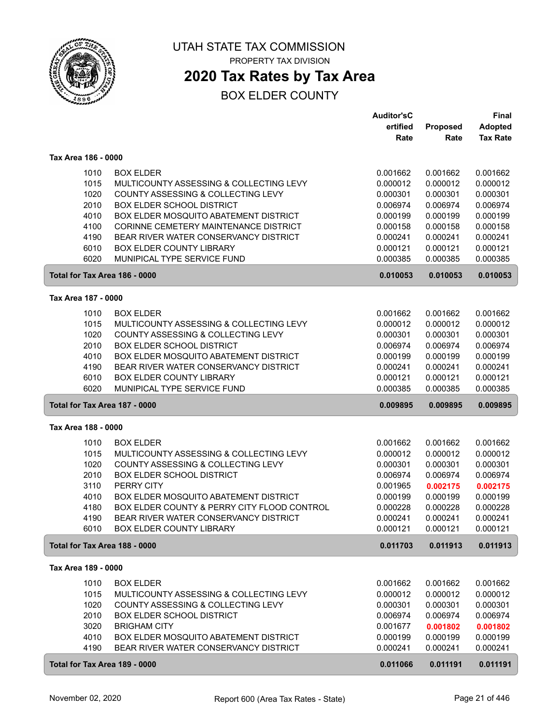

## **2020 Tax Rates by Tax Area**

|                                                                      |                                                                                                                                                                                                                                                                                                                                                  | <b>Auditor'sC</b><br>ertified<br>Rate                                                                    | Proposed<br>Rate                                                                                         | <b>Final</b><br><b>Adopted</b><br><b>Tax Rate</b>                                                        |
|----------------------------------------------------------------------|--------------------------------------------------------------------------------------------------------------------------------------------------------------------------------------------------------------------------------------------------------------------------------------------------------------------------------------------------|----------------------------------------------------------------------------------------------------------|----------------------------------------------------------------------------------------------------------|----------------------------------------------------------------------------------------------------------|
| Tax Area 186 - 0000                                                  |                                                                                                                                                                                                                                                                                                                                                  |                                                                                                          |                                                                                                          |                                                                                                          |
| 1010<br>1015<br>1020<br>2010<br>4010<br>4100<br>4190<br>6010<br>6020 | <b>BOX ELDER</b><br>MULTICOUNTY ASSESSING & COLLECTING LEVY<br>COUNTY ASSESSING & COLLECTING LEVY<br><b>BOX ELDER SCHOOL DISTRICT</b><br><b>BOX ELDER MOSQUITO ABATEMENT DISTRICT</b><br><b>CORINNE CEMETERY MAINTENANCE DISTRICT</b><br>BEAR RIVER WATER CONSERVANCY DISTRICT<br><b>BOX ELDER COUNTY LIBRARY</b><br>MUNIPICAL TYPE SERVICE FUND | 0.001662<br>0.000012<br>0.000301<br>0.006974<br>0.000199<br>0.000158<br>0.000241<br>0.000121<br>0.000385 | 0.001662<br>0.000012<br>0.000301<br>0.006974<br>0.000199<br>0.000158<br>0.000241<br>0.000121<br>0.000385 | 0.001662<br>0.000012<br>0.000301<br>0.006974<br>0.000199<br>0.000158<br>0.000241<br>0.000121<br>0.000385 |
| Total for Tax Area 186 - 0000                                        |                                                                                                                                                                                                                                                                                                                                                  | 0.010053                                                                                                 | 0.010053                                                                                                 | 0.010053                                                                                                 |
| Tax Area 187 - 0000                                                  |                                                                                                                                                                                                                                                                                                                                                  |                                                                                                          |                                                                                                          |                                                                                                          |
| 1010<br>1015<br>1020<br>2010<br>4010<br>4190<br>6010<br>6020         | <b>BOX ELDER</b><br>MULTICOUNTY ASSESSING & COLLECTING LEVY<br>COUNTY ASSESSING & COLLECTING LEVY<br><b>BOX ELDER SCHOOL DISTRICT</b><br>BOX ELDER MOSQUITO ABATEMENT DISTRICT<br>BEAR RIVER WATER CONSERVANCY DISTRICT<br><b>BOX ELDER COUNTY LIBRARY</b><br>MUNIPICAL TYPE SERVICE FUND                                                        | 0.001662<br>0.000012<br>0.000301<br>0.006974<br>0.000199<br>0.000241<br>0.000121<br>0.000385             | 0.001662<br>0.000012<br>0.000301<br>0.006974<br>0.000199<br>0.000241<br>0.000121<br>0.000385             | 0.001662<br>0.000012<br>0.000301<br>0.006974<br>0.000199<br>0.000241<br>0.000121<br>0.000385             |
| Total for Tax Area 187 - 0000                                        |                                                                                                                                                                                                                                                                                                                                                  | 0.009895                                                                                                 | 0.009895                                                                                                 | 0.009895                                                                                                 |
| Tax Area 188 - 0000                                                  |                                                                                                                                                                                                                                                                                                                                                  |                                                                                                          |                                                                                                          |                                                                                                          |
| 1010<br>1015<br>1020<br>2010<br>3110<br>4010<br>4180<br>4190<br>6010 | <b>BOX ELDER</b><br>MULTICOUNTY ASSESSING & COLLECTING LEVY<br>COUNTY ASSESSING & COLLECTING LEVY<br><b>BOX ELDER SCHOOL DISTRICT</b><br>PERRY CITY<br>BOX ELDER MOSQUITO ABATEMENT DISTRICT<br>BOX ELDER COUNTY & PERRY CITY FLOOD CONTROL<br>BEAR RIVER WATER CONSERVANCY DISTRICT<br>BOX ELDER COUNTY LIBRARY                                 | 0.001662<br>0.000012<br>0.000301<br>0.006974<br>0.001965<br>0.000199<br>0.000228<br>0.000241<br>0.000121 | 0.001662<br>0.000012<br>0.000301<br>0.006974<br>0.002175<br>0.000199<br>0.000228<br>0.000241<br>0.000121 | 0.001662<br>0.000012<br>0.000301<br>0.006974<br>0.002175<br>0.000199<br>0.000228<br>0.000241<br>0.000121 |
| Total for Tax Area 188 - 0000                                        |                                                                                                                                                                                                                                                                                                                                                  | 0.011703                                                                                                 | 0.011913                                                                                                 | 0.011913                                                                                                 |
| Tax Area 189 - 0000                                                  |                                                                                                                                                                                                                                                                                                                                                  |                                                                                                          |                                                                                                          |                                                                                                          |
| 1010<br>1015<br>1020<br>2010<br>3020<br>4010<br>4190                 | <b>BOX ELDER</b><br>MULTICOUNTY ASSESSING & COLLECTING LEVY<br>COUNTY ASSESSING & COLLECTING LEVY<br><b>BOX ELDER SCHOOL DISTRICT</b><br><b>BRIGHAM CITY</b><br><b>BOX ELDER MOSQUITO ABATEMENT DISTRICT</b><br>BEAR RIVER WATER CONSERVANCY DISTRICT                                                                                            | 0.001662<br>0.000012<br>0.000301<br>0.006974<br>0.001677<br>0.000199<br>0.000241                         | 0.001662<br>0.000012<br>0.000301<br>0.006974<br>0.001802<br>0.000199<br>0.000241                         | 0.001662<br>0.000012<br>0.000301<br>0.006974<br>0.001802<br>0.000199<br>0.000241                         |
| Total for Tax Area 189 - 0000                                        |                                                                                                                                                                                                                                                                                                                                                  | 0.011066                                                                                                 | 0.011191                                                                                                 | 0.011191                                                                                                 |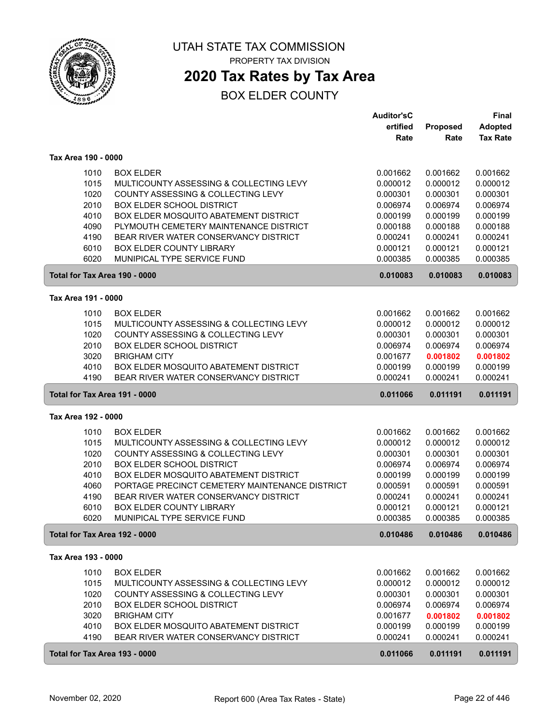

## **2020 Tax Rates by Tax Area**

|                               |                                                | <b>Auditor'sC</b> |          | <b>Final</b>    |
|-------------------------------|------------------------------------------------|-------------------|----------|-----------------|
|                               |                                                | ertified          | Proposed | <b>Adopted</b>  |
|                               |                                                | Rate              | Rate     | <b>Tax Rate</b> |
| Tax Area 190 - 0000           |                                                |                   |          |                 |
| 1010                          | <b>BOX ELDER</b>                               | 0.001662          | 0.001662 | 0.001662        |
| 1015                          | MULTICOUNTY ASSESSING & COLLECTING LEVY        | 0.000012          | 0.000012 | 0.000012        |
| 1020                          | COUNTY ASSESSING & COLLECTING LEVY             | 0.000301          | 0.000301 | 0.000301        |
| 2010                          | <b>BOX ELDER SCHOOL DISTRICT</b>               | 0.006974          | 0.006974 | 0.006974        |
| 4010                          | BOX ELDER MOSQUITO ABATEMENT DISTRICT          | 0.000199          | 0.000199 | 0.000199        |
| 4090                          | PLYMOUTH CEMETERY MAINTENANCE DISTRICT         | 0.000188          | 0.000188 | 0.000188        |
| 4190                          | BEAR RIVER WATER CONSERVANCY DISTRICT          | 0.000241          | 0.000241 | 0.000241        |
| 6010                          | BOX ELDER COUNTY LIBRARY                       | 0.000121          | 0.000121 | 0.000121        |
| 6020                          | MUNIPICAL TYPE SERVICE FUND                    | 0.000385          | 0.000385 | 0.000385        |
| Total for Tax Area 190 - 0000 |                                                | 0.010083          | 0.010083 | 0.010083        |
|                               |                                                |                   |          |                 |
| Tax Area 191 - 0000           |                                                |                   |          |                 |
| 1010                          | <b>BOX ELDER</b>                               | 0.001662          | 0.001662 | 0.001662        |
| 1015                          | MULTICOUNTY ASSESSING & COLLECTING LEVY        | 0.000012          | 0.000012 | 0.000012        |
| 1020                          | COUNTY ASSESSING & COLLECTING LEVY             | 0.000301          | 0.000301 | 0.000301        |
| 2010                          | <b>BOX ELDER SCHOOL DISTRICT</b>               | 0.006974          | 0.006974 | 0.006974        |
| 3020                          | <b>BRIGHAM CITY</b>                            | 0.001677          | 0.001802 | 0.001802        |
| 4010                          | BOX ELDER MOSQUITO ABATEMENT DISTRICT          | 0.000199          | 0.000199 | 0.000199        |
| 4190                          | BEAR RIVER WATER CONSERVANCY DISTRICT          | 0.000241          | 0.000241 | 0.000241        |
| Total for Tax Area 191 - 0000 |                                                | 0.011066          | 0.011191 | 0.011191        |
| Tax Area 192 - 0000           |                                                |                   |          |                 |
| 1010                          | <b>BOX ELDER</b>                               | 0.001662          | 0.001662 | 0.001662        |
| 1015                          | MULTICOUNTY ASSESSING & COLLECTING LEVY        | 0.000012          | 0.000012 | 0.000012        |
| 1020                          | COUNTY ASSESSING & COLLECTING LEVY             | 0.000301          | 0.000301 | 0.000301        |
| 2010                          | <b>BOX ELDER SCHOOL DISTRICT</b>               | 0.006974          | 0.006974 | 0.006974        |
| 4010                          | BOX ELDER MOSQUITO ABATEMENT DISTRICT          | 0.000199          | 0.000199 | 0.000199        |
| 4060                          | PORTAGE PRECINCT CEMETERY MAINTENANCE DISTRICT | 0.000591          | 0.000591 | 0.000591        |
| 4190                          | BEAR RIVER WATER CONSERVANCY DISTRICT          | 0.000241          | 0.000241 | 0.000241        |
| 6010                          | <b>BOX ELDER COUNTY LIBRARY</b>                | 0.000121          | 0.000121 | 0.000121        |
| 6020                          | MUNIPICAL TYPE SERVICE FUND                    | 0.000385          | 0.000385 | 0.000385        |
| Total for Tax Area 192 - 0000 |                                                | 0.010486          | 0.010486 | 0.010486        |
| Tax Area 193 - 0000           |                                                |                   |          |                 |
| 1010                          | <b>BOX ELDER</b>                               | 0.001662          | 0.001662 | 0.001662        |
| 1015                          | MULTICOUNTY ASSESSING & COLLECTING LEVY        | 0.000012          | 0.000012 | 0.000012        |
| 1020                          | COUNTY ASSESSING & COLLECTING LEVY             | 0.000301          | 0.000301 | 0.000301        |
| 2010                          | <b>BOX ELDER SCHOOL DISTRICT</b>               | 0.006974          | 0.006974 | 0.006974        |
| 3020                          | <b>BRIGHAM CITY</b>                            | 0.001677          | 0.001802 | 0.001802        |
| 4010                          | BOX ELDER MOSQUITO ABATEMENT DISTRICT          | 0.000199          | 0.000199 | 0.000199        |
| 4190                          | BEAR RIVER WATER CONSERVANCY DISTRICT          | 0.000241          | 0.000241 | 0.000241        |
| Total for Tax Area 193 - 0000 |                                                | 0.011066          | 0.011191 | 0.011191        |
|                               |                                                |                   |          |                 |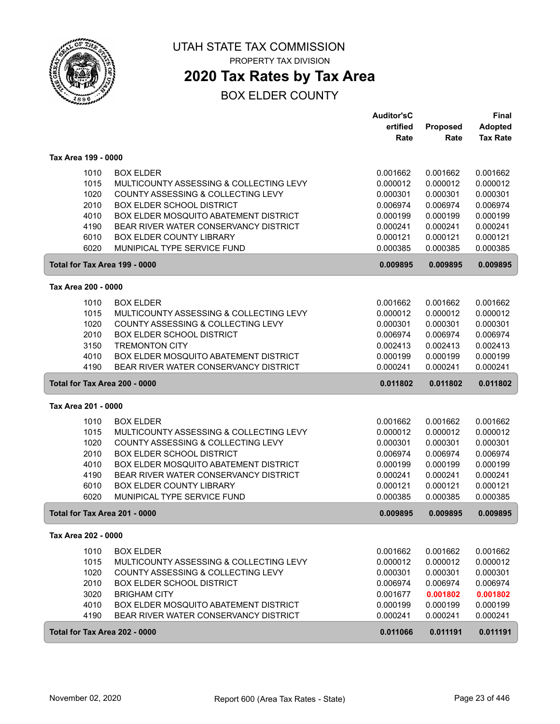

## **2020 Tax Rates by Tax Area**

|                               |                                              | <b>Auditor'sC</b> |          | <b>Final</b>    |
|-------------------------------|----------------------------------------------|-------------------|----------|-----------------|
|                               |                                              | ertified          | Proposed | <b>Adopted</b>  |
|                               |                                              | Rate              | Rate     | <b>Tax Rate</b> |
| Tax Area 199 - 0000           |                                              |                   |          |                 |
| 1010                          | <b>BOX ELDER</b>                             | 0.001662          | 0.001662 | 0.001662        |
| 1015                          | MULTICOUNTY ASSESSING & COLLECTING LEVY      | 0.000012          | 0.000012 | 0.000012        |
| 1020                          | COUNTY ASSESSING & COLLECTING LEVY           | 0.000301          | 0.000301 | 0.000301        |
| 2010                          | <b>BOX ELDER SCHOOL DISTRICT</b>             | 0.006974          | 0.006974 | 0.006974        |
| 4010                          | BOX ELDER MOSQUITO ABATEMENT DISTRICT        | 0.000199          | 0.000199 | 0.000199        |
| 4190                          | BEAR RIVER WATER CONSERVANCY DISTRICT        | 0.000241          | 0.000241 | 0.000241        |
| 6010                          | <b>BOX ELDER COUNTY LIBRARY</b>              | 0.000121          | 0.000121 | 0.000121        |
| 6020                          | MUNIPICAL TYPE SERVICE FUND                  | 0.000385          | 0.000385 | 0.000385        |
| Total for Tax Area 199 - 0000 |                                              | 0.009895          | 0.009895 | 0.009895        |
| Tax Area 200 - 0000           |                                              |                   |          |                 |
| 1010                          | <b>BOX ELDER</b>                             | 0.001662          | 0.001662 | 0.001662        |
| 1015                          | MULTICOUNTY ASSESSING & COLLECTING LEVY      | 0.000012          | 0.000012 | 0.000012        |
| 1020                          | COUNTY ASSESSING & COLLECTING LEVY           | 0.000301          | 0.000301 | 0.000301        |
| 2010                          | <b>BOX ELDER SCHOOL DISTRICT</b>             | 0.006974          | 0.006974 | 0.006974        |
| 3150                          | <b>TREMONTON CITY</b>                        | 0.002413          | 0.002413 | 0.002413        |
| 4010                          | BOX ELDER MOSQUITO ABATEMENT DISTRICT        | 0.000199          | 0.000199 | 0.000199        |
| 4190                          | BEAR RIVER WATER CONSERVANCY DISTRICT        | 0.000241          | 0.000241 | 0.000241        |
| Total for Tax Area 200 - 0000 |                                              | 0.011802          | 0.011802 | 0.011802        |
| Tax Area 201 - 0000           |                                              |                   |          |                 |
| 1010                          | <b>BOX ELDER</b>                             | 0.001662          | 0.001662 | 0.001662        |
| 1015                          | MULTICOUNTY ASSESSING & COLLECTING LEVY      | 0.000012          | 0.000012 | 0.000012        |
| 1020                          | COUNTY ASSESSING & COLLECTING LEVY           | 0.000301          | 0.000301 | 0.000301        |
| 2010                          | <b>BOX ELDER SCHOOL DISTRICT</b>             | 0.006974          | 0.006974 | 0.006974        |
| 4010                          | BOX ELDER MOSQUITO ABATEMENT DISTRICT        | 0.000199          | 0.000199 | 0.000199        |
| 4190                          | BEAR RIVER WATER CONSERVANCY DISTRICT        | 0.000241          | 0.000241 | 0.000241        |
| 6010                          | BOX ELDER COUNTY LIBRARY                     | 0.000121          | 0.000121 | 0.000121        |
| 6020                          | MUNIPICAL TYPE SERVICE FUND                  | 0.000385          | 0.000385 | 0.000385        |
| Total for Tax Area 201 - 0000 |                                              | 0.009895          | 0.009895 | 0.009895        |
| Tax Area 202 - 0000           |                                              |                   |          |                 |
| 1010                          | <b>BOX ELDER</b>                             | 0.001662          | 0.001662 | 0.001662        |
| 1015                          | MULTICOUNTY ASSESSING & COLLECTING LEVY      | 0.000012          | 0.000012 | 0.000012        |
| 1020                          | COUNTY ASSESSING & COLLECTING LEVY           | 0.000301          | 0.000301 | 0.000301        |
| 2010                          | <b>BOX ELDER SCHOOL DISTRICT</b>             | 0.006974          | 0.006974 | 0.006974        |
| 3020                          | <b>BRIGHAM CITY</b>                          | 0.001677          | 0.001802 | 0.001802        |
| 4010                          | <b>BOX ELDER MOSQUITO ABATEMENT DISTRICT</b> | 0.000199          | 0.000199 | 0.000199        |
| 4190                          | BEAR RIVER WATER CONSERVANCY DISTRICT        | 0.000241          | 0.000241 | 0.000241        |
| Total for Tax Area 202 - 0000 |                                              | 0.011066          | 0.011191 | 0.011191        |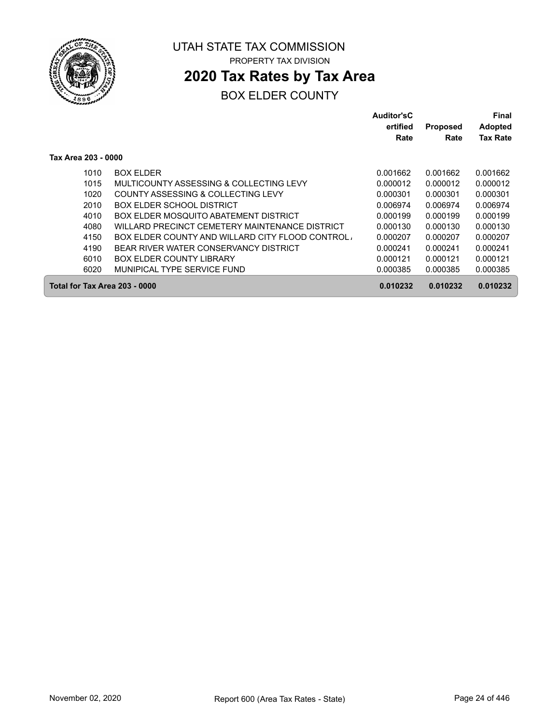

## **2020 Tax Rates by Tax Area**

|                     |                                                  | Auditor'sC |                 | Final           |
|---------------------|--------------------------------------------------|------------|-----------------|-----------------|
|                     |                                                  | ertified   | <b>Proposed</b> | <b>Adopted</b>  |
|                     |                                                  | Rate       | Rate            | <b>Tax Rate</b> |
| Tax Area 203 - 0000 |                                                  |            |                 |                 |
| 1010                | <b>BOX ELDER</b>                                 | 0.001662   | 0.001662        | 0.001662        |
| 1015                | MULTICOUNTY ASSESSING & COLLECTING LEVY          | 0.000012   | 0.000012        | 0.000012        |
| 1020                | COUNTY ASSESSING & COLLECTING LEVY               | 0.000301   | 0.000301        | 0.000301        |
| 2010                | BOX ELDER SCHOOL DISTRICT                        | 0.006974   | 0.006974        | 0.006974        |
| 4010                | BOX ELDER MOSQUITO ABATEMENT DISTRICT            | 0.000199   | 0.000199        | 0.000199        |
| 4080                | WILLARD PRECINCT CEMETERY MAINTENANCE DISTRICT   | 0.000130   | 0.000130        | 0.000130        |
| 4150                | BOX ELDER COUNTY AND WILLARD CITY FLOOD CONTROL. | 0.000207   | 0.000207        | 0.000207        |
| 4190                | BEAR RIVER WATER CONSERVANCY DISTRICT            | 0.000241   | 0.000241        | 0.000241        |
| 6010                | <b>BOX ELDER COUNTY LIBRARY</b>                  | 0.000121   | 0.000121        | 0.000121        |
| 6020                | MUNIPICAL TYPE SERVICE FUND                      | 0.000385   | 0.000385        | 0.000385        |
|                     | Total for Tax Area 203 - 0000                    | 0.010232   | 0.010232        | 0.010232        |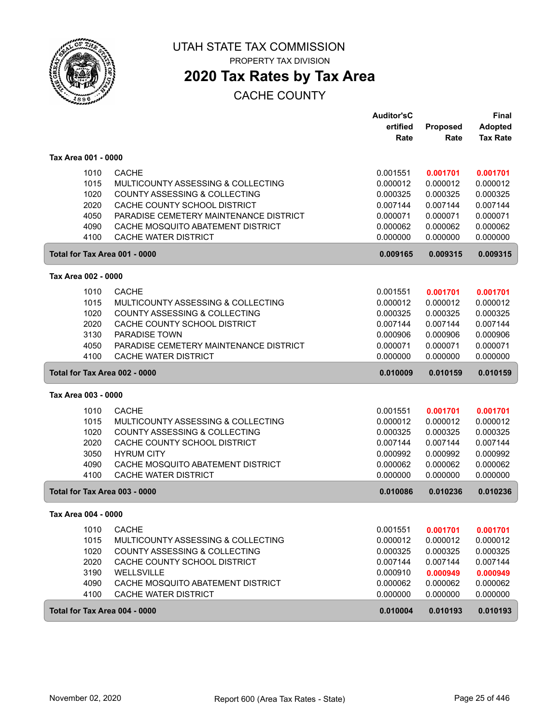

PROPERTY TAX DIVISION

# **2020 Tax Rates by Tax Area**

|                               |                                               | <b>Auditor'sC</b> |          | <b>Final</b>    |
|-------------------------------|-----------------------------------------------|-------------------|----------|-----------------|
|                               |                                               | ertified          | Proposed | <b>Adopted</b>  |
|                               |                                               | Rate              | Rate     | <b>Tax Rate</b> |
| Tax Area 001 - 0000           |                                               |                   |          |                 |
| 1010                          | <b>CACHE</b>                                  | 0.001551          | 0.001701 | 0.001701        |
| 1015                          | <b>MULTICOUNTY ASSESSING &amp; COLLECTING</b> | 0.000012          | 0.000012 | 0.000012        |
| 1020                          | <b>COUNTY ASSESSING &amp; COLLECTING</b>      | 0.000325          | 0.000325 | 0.000325        |
| 2020                          | CACHE COUNTY SCHOOL DISTRICT                  | 0.007144          | 0.007144 | 0.007144        |
| 4050                          | PARADISE CEMETERY MAINTENANCE DISTRICT        | 0.000071          | 0.000071 | 0.000071        |
| 4090                          | CACHE MOSQUITO ABATEMENT DISTRICT             | 0.000062          | 0.000062 | 0.000062        |
| 4100                          | CACHE WATER DISTRICT                          | 0.000000          | 0.000000 | 0.000000        |
| Total for Tax Area 001 - 0000 |                                               | 0.009165          | 0.009315 | 0.009315        |
| Tax Area 002 - 0000           |                                               |                   |          |                 |
| 1010                          | <b>CACHE</b>                                  | 0.001551          | 0.001701 | 0.001701        |
| 1015                          | MULTICOUNTY ASSESSING & COLLECTING            | 0.000012          | 0.000012 | 0.000012        |
| 1020                          | COUNTY ASSESSING & COLLECTING                 | 0.000325          | 0.000325 | 0.000325        |
| 2020                          | CACHE COUNTY SCHOOL DISTRICT                  | 0.007144          | 0.007144 | 0.007144        |
| 3130                          | <b>PARADISE TOWN</b>                          | 0.000906          | 0.000906 | 0.000906        |
| 4050                          | PARADISE CEMETERY MAINTENANCE DISTRICT        | 0.000071          | 0.000071 | 0.000071        |
| 4100                          | <b>CACHE WATER DISTRICT</b>                   | 0.000000          | 0.000000 | 0.000000        |
| Total for Tax Area 002 - 0000 |                                               | 0.010009          | 0.010159 | 0.010159        |
| Tax Area 003 - 0000           |                                               |                   |          |                 |
| 1010                          | <b>CACHE</b>                                  | 0.001551          | 0.001701 | 0.001701        |
| 1015                          | MULTICOUNTY ASSESSING & COLLECTING            | 0.000012          | 0.000012 | 0.000012        |
| 1020                          | COUNTY ASSESSING & COLLECTING                 | 0.000325          | 0.000325 | 0.000325        |
| 2020                          | CACHE COUNTY SCHOOL DISTRICT                  | 0.007144          | 0.007144 | 0.007144        |
| 3050                          | <b>HYRUM CITY</b>                             | 0.000992          | 0.000992 | 0.000992        |
| 4090                          | CACHE MOSQUITO ABATEMENT DISTRICT             | 0.000062          | 0.000062 | 0.000062        |
| 4100                          | CACHE WATER DISTRICT                          | 0.000000          | 0.000000 | 0.000000        |
| Total for Tax Area 003 - 0000 |                                               | 0.010086          | 0.010236 | 0.010236        |
| Tax Area 004 - 0000           |                                               |                   |          |                 |
| 1010                          | <b>CACHE</b>                                  | 0.001551          | 0.001701 | 0.001701        |
| 1015                          | MULTICOUNTY ASSESSING & COLLECTING            | 0.000012          | 0.000012 | 0.000012        |
| 1020                          | COUNTY ASSESSING & COLLECTING                 | 0.000325          | 0.000325 | 0.000325        |
| 2020                          | CACHE COUNTY SCHOOL DISTRICT                  | 0.007144          | 0.007144 | 0.007144        |
| 3190                          | WELLSVILLE                                    | 0.000910          | 0.000949 | 0.000949        |
| 4090                          | CACHE MOSQUITO ABATEMENT DISTRICT             | 0.000062          | 0.000062 | 0.000062        |
| 4100                          | CACHE WATER DISTRICT                          | 0.000000          | 0.000000 | 0.000000        |
| Total for Tax Area 004 - 0000 |                                               | 0.010004          | 0.010193 | 0.010193        |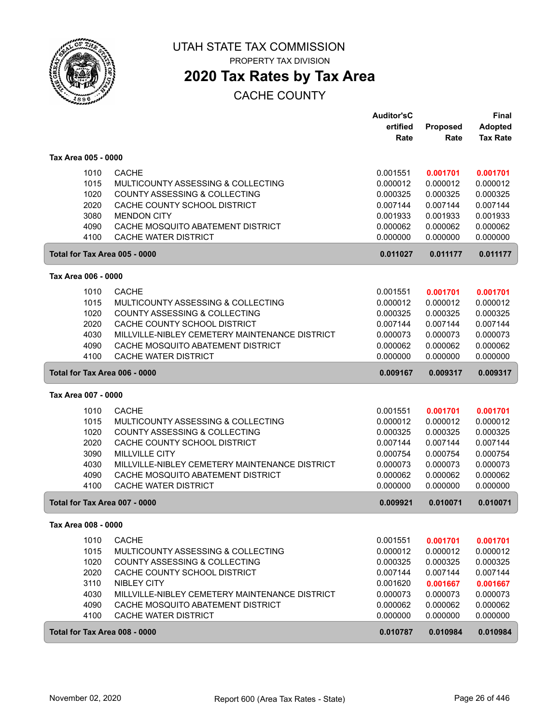

PROPERTY TAX DIVISION

# **2020 Tax Rates by Tax Area**

|                               |                                                | <b>Auditor'sC</b> |          | <b>Final</b>    |
|-------------------------------|------------------------------------------------|-------------------|----------|-----------------|
|                               |                                                | ertified          | Proposed | <b>Adopted</b>  |
|                               |                                                | Rate              | Rate     | <b>Tax Rate</b> |
| Tax Area 005 - 0000           |                                                |                   |          |                 |
| 1010                          | <b>CACHE</b>                                   | 0.001551          | 0.001701 | 0.001701        |
| 1015                          | MULTICOUNTY ASSESSING & COLLECTING             | 0.000012          | 0.000012 | 0.000012        |
| 1020                          | COUNTY ASSESSING & COLLECTING                  | 0.000325          | 0.000325 | 0.000325        |
| 2020                          | CACHE COUNTY SCHOOL DISTRICT                   | 0.007144          | 0.007144 | 0.007144        |
| 3080                          | <b>MENDON CITY</b>                             | 0.001933          | 0.001933 | 0.001933        |
| 4090                          | CACHE MOSQUITO ABATEMENT DISTRICT              | 0.000062          | 0.000062 | 0.000062        |
| 4100                          | <b>CACHE WATER DISTRICT</b>                    | 0.000000          | 0.000000 | 0.000000        |
| Total for Tax Area 005 - 0000 |                                                | 0.011027          | 0.011177 | 0.011177        |
| Tax Area 006 - 0000           |                                                |                   |          |                 |
|                               |                                                |                   |          |                 |
| 1010                          | <b>CACHE</b>                                   | 0.001551          | 0.001701 | 0.001701        |
| 1015                          | MULTICOUNTY ASSESSING & COLLECTING             | 0.000012          | 0.000012 | 0.000012        |
| 1020                          | COUNTY ASSESSING & COLLECTING                  | 0.000325          | 0.000325 | 0.000325        |
| 2020                          | CACHE COUNTY SCHOOL DISTRICT                   | 0.007144          | 0.007144 | 0.007144        |
| 4030                          | MILLVILLE-NIBLEY CEMETERY MAINTENANCE DISTRICT | 0.000073          | 0.000073 | 0.000073        |
| 4090                          | CACHE MOSQUITO ABATEMENT DISTRICT              | 0.000062          | 0.000062 | 0.000062        |
| 4100                          | <b>CACHE WATER DISTRICT</b>                    | 0.000000          | 0.000000 | 0.000000        |
| Total for Tax Area 006 - 0000 |                                                | 0.009167          | 0.009317 | 0.009317        |
| Tax Area 007 - 0000           |                                                |                   |          |                 |
| 1010                          | <b>CACHE</b>                                   | 0.001551          | 0.001701 | 0.001701        |
| 1015                          | MULTICOUNTY ASSESSING & COLLECTING             | 0.000012          | 0.000012 | 0.000012        |
| 1020                          | COUNTY ASSESSING & COLLECTING                  | 0.000325          | 0.000325 | 0.000325        |
| 2020                          | CACHE COUNTY SCHOOL DISTRICT                   | 0.007144          | 0.007144 | 0.007144        |
| 3090                          | <b>MILLVILLE CITY</b>                          | 0.000754          | 0.000754 | 0.000754        |
| 4030                          | MILLVILLE-NIBLEY CEMETERY MAINTENANCE DISTRICT | 0.000073          | 0.000073 | 0.000073        |
| 4090                          | CACHE MOSQUITO ABATEMENT DISTRICT              | 0.000062          | 0.000062 | 0.000062        |
| 4100                          | CACHE WATER DISTRICT                           | 0.000000          | 0.000000 | 0.000000        |
| Total for Tax Area 007 - 0000 |                                                | 0.009921          | 0.010071 | 0.010071        |
| Tax Area 008 - 0000           |                                                |                   |          |                 |
| 1010                          | <b>CACHE</b>                                   | 0.001551          | 0.001701 | 0.001701        |
| 1015                          | MULTICOUNTY ASSESSING & COLLECTING             | 0.000012          | 0.000012 | 0.000012        |
| 1020                          | COUNTY ASSESSING & COLLECTING                  | 0.000325          | 0.000325 | 0.000325        |
| 2020                          | CACHE COUNTY SCHOOL DISTRICT                   | 0.007144          | 0.007144 | 0.007144        |
| 3110                          | NIBLEY CITY                                    | 0.001620          | 0.001667 | 0.001667        |
| 4030                          | MILLVILLE-NIBLEY CEMETERY MAINTENANCE DISTRICT | 0.000073          | 0.000073 | 0.000073        |
| 4090                          | CACHE MOSQUITO ABATEMENT DISTRICT              | 0.000062          | 0.000062 | 0.000062        |
| 4100                          | CACHE WATER DISTRICT                           | 0.000000          | 0.000000 | 0.000000        |
| Total for Tax Area 008 - 0000 |                                                | 0.010787          | 0.010984 | 0.010984        |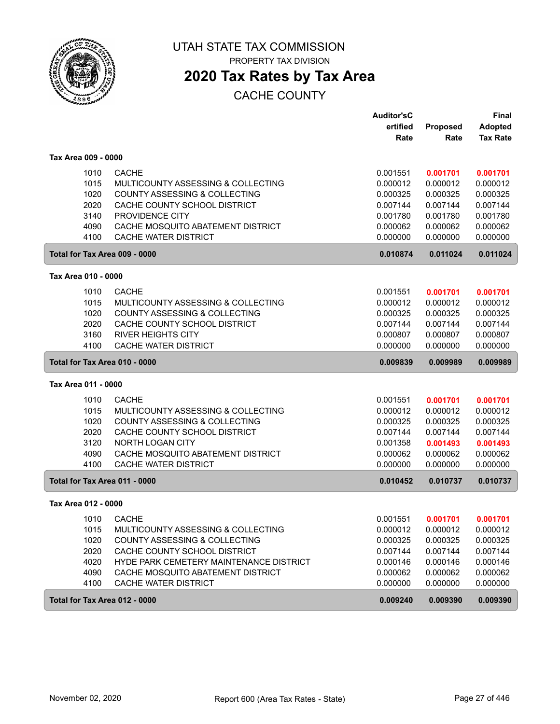

PROPERTY TAX DIVISION

# **2020 Tax Rates by Tax Area**

|                               |                                          | <b>Auditor'sC</b> |                 | Final           |
|-------------------------------|------------------------------------------|-------------------|-----------------|-----------------|
|                               |                                          | ertified          | <b>Proposed</b> | <b>Adopted</b>  |
|                               |                                          | Rate              | Rate            | <b>Tax Rate</b> |
| Tax Area 009 - 0000           |                                          |                   |                 |                 |
| 1010                          | <b>CACHE</b>                             | 0.001551          | 0.001701        | 0.001701        |
| 1015                          | MULTICOUNTY ASSESSING & COLLECTING       | 0.000012          | 0.000012        | 0.000012        |
| 1020                          | <b>COUNTY ASSESSING &amp; COLLECTING</b> | 0.000325          | 0.000325        | 0.000325        |
| 2020                          | CACHE COUNTY SCHOOL DISTRICT             | 0.007144          | 0.007144        | 0.007144        |
| 3140                          | PROVIDENCE CITY                          | 0.001780          | 0.001780        | 0.001780        |
| 4090                          | CACHE MOSQUITO ABATEMENT DISTRICT        | 0.000062          | 0.000062        | 0.000062        |
| 4100                          | CACHE WATER DISTRICT                     | 0.000000          | 0.000000        | 0.000000        |
| Total for Tax Area 009 - 0000 |                                          | 0.010874          | 0.011024        | 0.011024        |
| Tax Area 010 - 0000           |                                          |                   |                 |                 |
| 1010                          | <b>CACHE</b>                             | 0.001551          | 0.001701        | 0.001701        |
| 1015                          | MULTICOUNTY ASSESSING & COLLECTING       | 0.000012          | 0.000012        | 0.000012        |
| 1020                          | COUNTY ASSESSING & COLLECTING            | 0.000325          | 0.000325        | 0.000325        |
| 2020                          | CACHE COUNTY SCHOOL DISTRICT             | 0.007144          | 0.007144        | 0.007144        |
| 3160                          | <b>RIVER HEIGHTS CITY</b>                | 0.000807          | 0.000807        | 0.000807        |
| 4100                          | CACHE WATER DISTRICT                     | 0.000000          | 0.000000        | 0.000000        |
| Total for Tax Area 010 - 0000 |                                          | 0.009839          | 0.009989        | 0.009989        |
| Tax Area 011 - 0000           |                                          |                   |                 |                 |
| 1010                          | <b>CACHE</b>                             | 0.001551          | 0.001701        | 0.001701        |
| 1015                          | MULTICOUNTY ASSESSING & COLLECTING       | 0.000012          | 0.000012        | 0.000012        |
| 1020                          | COUNTY ASSESSING & COLLECTING            | 0.000325          | 0.000325        | 0.000325        |
| 2020                          | CACHE COUNTY SCHOOL DISTRICT             | 0.007144          | 0.007144        | 0.007144        |
| 3120                          | <b>NORTH LOGAN CITY</b>                  | 0.001358          | 0.001493        | 0.001493        |
| 4090                          | CACHE MOSQUITO ABATEMENT DISTRICT        | 0.000062          | 0.000062        | 0.000062        |
| 4100                          | CACHE WATER DISTRICT                     | 0.000000          | 0.000000        | 0.000000        |
| Total for Tax Area 011 - 0000 |                                          | 0.010452          | 0.010737        | 0.010737        |
| Tax Area 012 - 0000           |                                          |                   |                 |                 |
| 1010                          | <b>CACHE</b>                             | 0.001551          | 0.001701        | 0.001701        |
| 1015                          | MULTICOUNTY ASSESSING & COLLECTING       | 0.000012          | 0.000012        | 0.000012        |
| 1020                          | COUNTY ASSESSING & COLLECTING            | 0.000325          | 0.000325        | 0.000325        |
| 2020                          | CACHE COUNTY SCHOOL DISTRICT             | 0.007144          | 0.007144        | 0.007144        |
| 4020                          | HYDE PARK CEMETERY MAINTENANCE DISTRICT  | 0.000146          | 0.000146        | 0.000146        |
| 4090                          | CACHE MOSQUITO ABATEMENT DISTRICT        | 0.000062          | 0.000062        | 0.000062        |
| 4100                          | CACHE WATER DISTRICT                     | 0.000000          | 0.000000        | 0.000000        |
| Total for Tax Area 012 - 0000 |                                          | 0.009240          | 0.009390        | 0.009390        |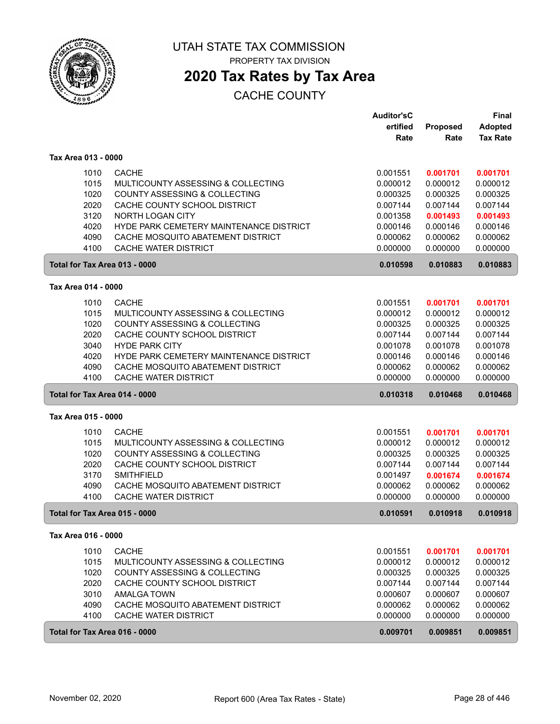

PROPERTY TAX DIVISION

## **2020 Tax Rates by Tax Area**

|                               |                                          | <b>Auditor'sC</b> |          | <b>Final</b>    |
|-------------------------------|------------------------------------------|-------------------|----------|-----------------|
|                               |                                          | ertified          | Proposed | <b>Adopted</b>  |
|                               |                                          | Rate              | Rate     | <b>Tax Rate</b> |
| Tax Area 013 - 0000           |                                          |                   |          |                 |
| 1010                          | <b>CACHE</b>                             | 0.001551          | 0.001701 | 0.001701        |
| 1015                          | MULTICOUNTY ASSESSING & COLLECTING       | 0.000012          | 0.000012 | 0.000012        |
| 1020                          | <b>COUNTY ASSESSING &amp; COLLECTING</b> | 0.000325          | 0.000325 | 0.000325        |
| 2020                          | CACHE COUNTY SCHOOL DISTRICT             | 0.007144          | 0.007144 | 0.007144        |
| 3120                          | <b>NORTH LOGAN CITY</b>                  | 0.001358          | 0.001493 | 0.001493        |
| 4020                          | HYDE PARK CEMETERY MAINTENANCE DISTRICT  | 0.000146          | 0.000146 | 0.000146        |
| 4090                          | CACHE MOSQUITO ABATEMENT DISTRICT        | 0.000062          | 0.000062 | 0.000062        |
| 4100                          | <b>CACHE WATER DISTRICT</b>              | 0.000000          | 0.000000 | 0.000000        |
| Total for Tax Area 013 - 0000 |                                          | 0.010598          | 0.010883 | 0.010883        |
| Tax Area 014 - 0000           |                                          |                   |          |                 |
| 1010                          | <b>CACHE</b>                             | 0.001551          | 0.001701 | 0.001701        |
| 1015                          | MULTICOUNTY ASSESSING & COLLECTING       | 0.000012          | 0.000012 | 0.000012        |
| 1020                          | COUNTY ASSESSING & COLLECTING            | 0.000325          | 0.000325 | 0.000325        |
| 2020                          | CACHE COUNTY SCHOOL DISTRICT             | 0.007144          | 0.007144 | 0.007144        |
| 3040                          | <b>HYDE PARK CITY</b>                    | 0.001078          | 0.001078 | 0.001078        |
| 4020                          | HYDE PARK CEMETERY MAINTENANCE DISTRICT  | 0.000146          | 0.000146 | 0.000146        |
| 4090                          | CACHE MOSQUITO ABATEMENT DISTRICT        | 0.000062          | 0.000062 | 0.000062        |
| 4100                          | <b>CACHE WATER DISTRICT</b>              | 0.000000          | 0.000000 | 0.000000        |
| Total for Tax Area 014 - 0000 |                                          | 0.010318          | 0.010468 | 0.010468        |
| Tax Area 015 - 0000           |                                          |                   |          |                 |
| 1010                          | <b>CACHE</b>                             | 0.001551          | 0.001701 | 0.001701        |
| 1015                          | MULTICOUNTY ASSESSING & COLLECTING       | 0.000012          | 0.000012 | 0.000012        |
| 1020                          | COUNTY ASSESSING & COLLECTING            | 0.000325          | 0.000325 | 0.000325        |
| 2020                          | CACHE COUNTY SCHOOL DISTRICT             | 0.007144          | 0.007144 | 0.007144        |
| 3170                          | <b>SMITHFIELD</b>                        | 0.001497          | 0.001674 | 0.001674        |
| 4090                          | CACHE MOSQUITO ABATEMENT DISTRICT        | 0.000062          | 0.000062 | 0.000062        |
| 4100                          | CACHE WATER DISTRICT                     | 0.000000          | 0.000000 | 0.000000        |
| Total for Tax Area 015 - 0000 |                                          | 0.010591          | 0.010918 | 0.010918        |
| Tax Area 016 - 0000           |                                          |                   |          |                 |
| 1010                          | <b>CACHE</b>                             | 0.001551          | 0.001701 | 0.001701        |
| 1015                          | MULTICOUNTY ASSESSING & COLLECTING       | 0.000012          | 0.000012 | 0.000012        |
| 1020                          | COUNTY ASSESSING & COLLECTING            | 0.000325          | 0.000325 | 0.000325        |
| 2020                          | CACHE COUNTY SCHOOL DISTRICT             | 0.007144          | 0.007144 | 0.007144        |
| 3010                          | <b>AMALGA TOWN</b>                       | 0.000607          | 0.000607 | 0.000607        |
| 4090                          | CACHE MOSQUITO ABATEMENT DISTRICT        | 0.000062          | 0.000062 | 0.000062        |
| 4100                          | CACHE WATER DISTRICT                     | 0.000000          | 0.000000 | 0.000000        |
| Total for Tax Area 016 - 0000 |                                          | 0.009701          | 0.009851 | 0.009851        |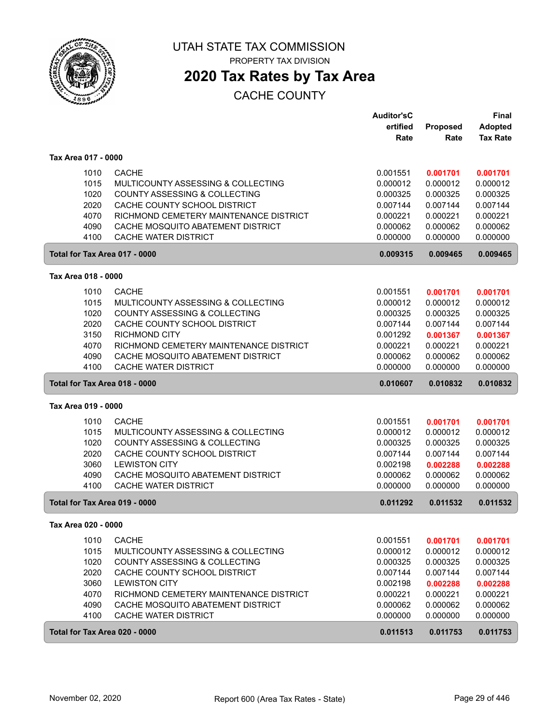

PROPERTY TAX DIVISION

# **2020 Tax Rates by Tax Area**

|                               |                                                           | <b>Auditor'sC</b>    |                      | <b>Final</b>         |
|-------------------------------|-----------------------------------------------------------|----------------------|----------------------|----------------------|
|                               |                                                           | ertified             | Proposed             | <b>Adopted</b>       |
|                               |                                                           | Rate                 | Rate                 | <b>Tax Rate</b>      |
| Tax Area 017 - 0000           |                                                           |                      |                      |                      |
| 1010                          | <b>CACHE</b>                                              | 0.001551             | 0.001701             | 0.001701             |
| 1015                          | MULTICOUNTY ASSESSING & COLLECTING                        | 0.000012             | 0.000012             | 0.000012             |
| 1020                          | <b>COUNTY ASSESSING &amp; COLLECTING</b>                  | 0.000325             | 0.000325             | 0.000325             |
| 2020                          | CACHE COUNTY SCHOOL DISTRICT                              | 0.007144             | 0.007144             | 0.007144             |
| 4070                          | RICHMOND CEMETERY MAINTENANCE DISTRICT                    | 0.000221             | 0.000221             | 0.000221             |
| 4090                          | CACHE MOSQUITO ABATEMENT DISTRICT                         | 0.000062             | 0.000062             | 0.000062             |
| 4100                          | <b>CACHE WATER DISTRICT</b>                               | 0.000000             | 0.000000             | 0.000000             |
| Total for Tax Area 017 - 0000 |                                                           | 0.009315             | 0.009465             | 0.009465             |
| Tax Area 018 - 0000           |                                                           |                      |                      |                      |
|                               |                                                           |                      |                      |                      |
| 1010                          | <b>CACHE</b>                                              | 0.001551             | 0.001701             | 0.001701             |
| 1015                          | MULTICOUNTY ASSESSING & COLLECTING                        | 0.000012             | 0.000012             | 0.000012             |
| 1020                          | COUNTY ASSESSING & COLLECTING                             | 0.000325             | 0.000325             | 0.000325             |
| 2020                          | CACHE COUNTY SCHOOL DISTRICT                              | 0.007144             | 0.007144             | 0.007144             |
| 3150                          | <b>RICHMOND CITY</b>                                      | 0.001292             | 0.001367             | 0.001367             |
| 4070                          | RICHMOND CEMETERY MAINTENANCE DISTRICT                    | 0.000221             | 0.000221             | 0.000221             |
| 4090                          | CACHE MOSQUITO ABATEMENT DISTRICT                         | 0.000062             | 0.000062             | 0.000062             |
| 4100                          | <b>CACHE WATER DISTRICT</b>                               | 0.000000             | 0.000000             | 0.000000             |
| Total for Tax Area 018 - 0000 |                                                           | 0.010607             | 0.010832             | 0.010832             |
| Tax Area 019 - 0000           |                                                           |                      |                      |                      |
| 1010                          | <b>CACHE</b>                                              | 0.001551             | 0.001701             | 0.001701             |
| 1015                          | MULTICOUNTY ASSESSING & COLLECTING                        | 0.000012             | 0.000012             | 0.000012             |
| 1020                          | COUNTY ASSESSING & COLLECTING                             | 0.000325             | 0.000325             | 0.000325             |
| 2020                          | CACHE COUNTY SCHOOL DISTRICT                              | 0.007144             | 0.007144             | 0.007144             |
| 3060                          | <b>LEWISTON CITY</b>                                      |                      |                      | 0.002288             |
|                               |                                                           |                      |                      |                      |
|                               |                                                           | 0.002198             | 0.002288             |                      |
| 4090<br>4100                  | CACHE MOSQUITO ABATEMENT DISTRICT<br>CACHE WATER DISTRICT | 0.000062<br>0.000000 | 0.000062<br>0.000000 | 0.000062<br>0.000000 |
|                               | Total for Tax Area 019 - 0000                             | 0.011292             | 0.011532             | 0.011532             |
| Tax Area 020 - 0000           |                                                           |                      |                      |                      |
|                               |                                                           |                      |                      |                      |
| 1010                          | <b>CACHE</b>                                              | 0.001551             | 0.001701             | 0.001701             |
| 1015                          | MULTICOUNTY ASSESSING & COLLECTING                        | 0.000012             | 0.000012             | 0.000012             |
| 1020                          | COUNTY ASSESSING & COLLECTING                             | 0.000325             | 0.000325             | 0.000325             |
| 2020                          | CACHE COUNTY SCHOOL DISTRICT                              | 0.007144             | 0.007144             | 0.007144             |
| 3060                          | <b>LEWISTON CITY</b>                                      | 0.002198             | 0.002288             | 0.002288             |
| 4070                          | RICHMOND CEMETERY MAINTENANCE DISTRICT                    | 0.000221             | 0.000221             | 0.000221             |
| 4090                          | CACHE MOSQUITO ABATEMENT DISTRICT                         | 0.000062             | 0.000062             | 0.000062             |
| 4100                          | CACHE WATER DISTRICT                                      | 0.000000             | 0.000000             | 0.000000             |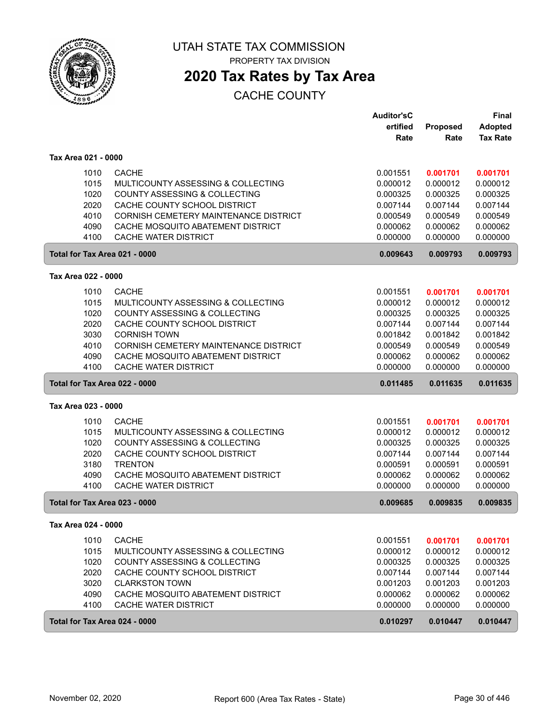

PROPERTY TAX DIVISION

# **2020 Tax Rates by Tax Area**

|                     |                                                      | <b>Auditor'sC</b><br>ertified | <b>Proposed</b> | <b>Final</b><br><b>Adopted</b> |
|---------------------|------------------------------------------------------|-------------------------------|-----------------|--------------------------------|
|                     |                                                      | Rate                          | Rate            | <b>Tax Rate</b>                |
| Tax Area 021 - 0000 |                                                      |                               |                 |                                |
|                     | <b>CACHE</b><br>1010                                 | 0.001551                      | 0.001701        | 0.001701                       |
|                     | 1015<br>MULTICOUNTY ASSESSING & COLLECTING           | 0.000012                      | 0.000012        | 0.000012                       |
|                     | 1020<br><b>COUNTY ASSESSING &amp; COLLECTING</b>     | 0.000325                      | 0.000325        | 0.000325                       |
|                     | 2020<br>CACHE COUNTY SCHOOL DISTRICT                 | 0.007144                      | 0.007144        | 0.007144                       |
|                     | 4010<br>CORNISH CEMETERY MAINTENANCE DISTRICT        | 0.000549                      | 0.000549        | 0.000549                       |
|                     | 4090<br>CACHE MOSQUITO ABATEMENT DISTRICT            | 0.000062                      | 0.000062        | 0.000062                       |
|                     | 4100<br>CACHE WATER DISTRICT                         | 0.000000                      | 0.000000        | 0.000000                       |
|                     | Total for Tax Area 021 - 0000                        | 0.009643                      | 0.009793        | 0.009793                       |
| Tax Area 022 - 0000 |                                                      |                               |                 |                                |
|                     | 1010<br><b>CACHE</b>                                 | 0.001551                      | 0.001701        | 0.001701                       |
|                     | 1015<br>MULTICOUNTY ASSESSING & COLLECTING           | 0.000012                      | 0.000012        | 0.000012                       |
|                     | 1020<br>COUNTY ASSESSING & COLLECTING                | 0.000325                      | 0.000325        | 0.000325                       |
|                     | 2020<br>CACHE COUNTY SCHOOL DISTRICT                 | 0.007144                      | 0.007144        | 0.007144                       |
|                     | 3030<br><b>CORNISH TOWN</b>                          | 0.001842                      | 0.001842        | 0.001842                       |
|                     | 4010<br><b>CORNISH CEMETERY MAINTENANCE DISTRICT</b> | 0.000549                      | 0.000549        | 0.000549                       |
|                     | 4090<br>CACHE MOSQUITO ABATEMENT DISTRICT            | 0.000062                      | 0.000062        | 0.000062                       |
|                     | 4100<br>CACHE WATER DISTRICT                         | 0.000000                      | 0.000000        | 0.000000                       |
|                     | Total for Tax Area 022 - 0000                        | 0.011485                      | 0.011635        | 0.011635                       |
| Tax Area 023 - 0000 |                                                      |                               |                 |                                |
|                     | 1010<br><b>CACHE</b>                                 | 0.001551                      | 0.001701        | 0.001701                       |
|                     | 1015<br>MULTICOUNTY ASSESSING & COLLECTING           | 0.000012                      | 0.000012        | 0.000012                       |
|                     | 1020<br>COUNTY ASSESSING & COLLECTING                | 0.000325                      | 0.000325        | 0.000325                       |
|                     | 2020<br>CACHE COUNTY SCHOOL DISTRICT                 | 0.007144                      | 0.007144        | 0.007144                       |
|                     | 3180<br><b>TRENTON</b>                               | 0.000591                      | 0.000591        | 0.000591                       |
|                     | 4090<br>CACHE MOSQUITO ABATEMENT DISTRICT            | 0.000062                      | 0.000062        | 0.000062                       |
|                     | 4100<br>CACHE WATER DISTRICT                         | 0.000000                      | 0.000000        | 0.000000                       |
|                     | Total for Tax Area 023 - 0000                        | 0.009685                      | 0.009835        | 0.009835                       |
| Tax Area 024 - 0000 |                                                      |                               |                 |                                |
|                     | 1010<br><b>CACHE</b>                                 | 0.001551                      | 0.001701        | 0.001701                       |
|                     | 1015<br>MULTICOUNTY ASSESSING & COLLECTING           | 0.000012                      | 0.000012        | 0.000012                       |
|                     | 1020<br>COUNTY ASSESSING & COLLECTING                | 0.000325                      | 0.000325        | 0.000325                       |
|                     | 2020<br>CACHE COUNTY SCHOOL DISTRICT                 | 0.007144                      | 0.007144        | 0.007144                       |
|                     | 3020<br><b>CLARKSTON TOWN</b>                        | 0.001203                      | 0.001203        | 0.001203                       |
|                     | 4090<br>CACHE MOSQUITO ABATEMENT DISTRICT            | 0.000062                      | 0.000062        | 0.000062                       |
|                     | 4100<br>CACHE WATER DISTRICT                         | 0.000000                      | 0.000000        | 0.000000                       |
|                     | Total for Tax Area 024 - 0000                        | 0.010297                      | 0.010447        | 0.010447                       |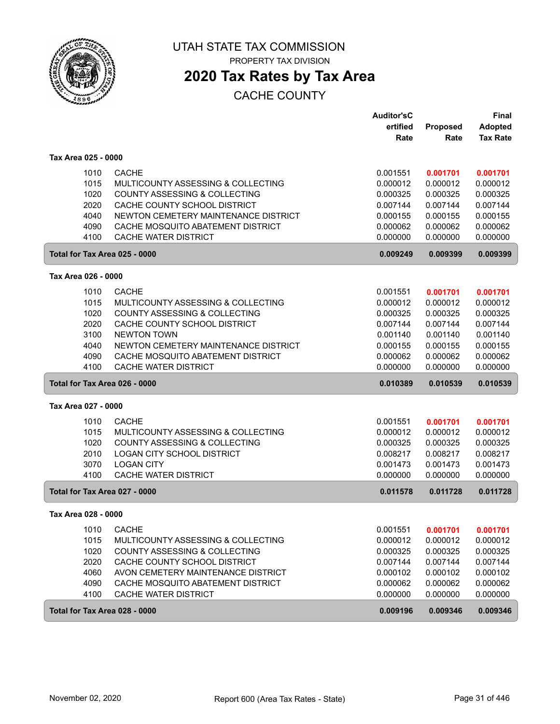

PROPERTY TAX DIVISION

# **2020 Tax Rates by Tax Area**

|                               |                                      | <b>Auditor'sC</b> |          | <b>Final</b>    |
|-------------------------------|--------------------------------------|-------------------|----------|-----------------|
|                               |                                      | ertified          | Proposed | <b>Adopted</b>  |
|                               |                                      | Rate              | Rate     | <b>Tax Rate</b> |
| Tax Area 025 - 0000           |                                      |                   |          |                 |
| 1010                          | <b>CACHE</b>                         | 0.001551          | 0.001701 | 0.001701        |
| 1015                          | MULTICOUNTY ASSESSING & COLLECTING   | 0.000012          | 0.000012 | 0.000012        |
| 1020                          | COUNTY ASSESSING & COLLECTING        | 0.000325          | 0.000325 | 0.000325        |
| 2020                          | CACHE COUNTY SCHOOL DISTRICT         | 0.007144          | 0.007144 | 0.007144        |
| 4040                          | NEWTON CEMETERY MAINTENANCE DISTRICT | 0.000155          | 0.000155 | 0.000155        |
| 4090                          | CACHE MOSQUITO ABATEMENT DISTRICT    | 0.000062          | 0.000062 | 0.000062        |
| 4100                          | CACHE WATER DISTRICT                 | 0.000000          | 0.000000 | 0.000000        |
| Total for Tax Area 025 - 0000 |                                      | 0.009249          | 0.009399 | 0.009399        |
| Tax Area 026 - 0000           |                                      |                   |          |                 |
| 1010                          | <b>CACHE</b>                         | 0.001551          | 0.001701 | 0.001701        |
| 1015                          | MULTICOUNTY ASSESSING & COLLECTING   | 0.000012          | 0.000012 | 0.000012        |
| 1020                          | COUNTY ASSESSING & COLLECTING        | 0.000325          | 0.000325 | 0.000325        |
| 2020                          | CACHE COUNTY SCHOOL DISTRICT         | 0.007144          | 0.007144 | 0.007144        |
| 3100                          | <b>NEWTON TOWN</b>                   | 0.001140          | 0.001140 | 0.001140        |
| 4040                          | NEWTON CEMETERY MAINTENANCE DISTRICT | 0.000155          | 0.000155 | 0.000155        |
| 4090                          | CACHE MOSQUITO ABATEMENT DISTRICT    | 0.000062          | 0.000062 | 0.000062        |
| 4100                          | CACHE WATER DISTRICT                 | 0.000000          | 0.000000 | 0.000000        |
| Total for Tax Area 026 - 0000 |                                      | 0.010389          | 0.010539 | 0.010539        |
| Tax Area 027 - 0000           |                                      |                   |          |                 |
| 1010                          | <b>CACHE</b>                         | 0.001551          | 0.001701 | 0.001701        |
| 1015                          | MULTICOUNTY ASSESSING & COLLECTING   | 0.000012          | 0.000012 | 0.000012        |
| 1020                          | COUNTY ASSESSING & COLLECTING        | 0.000325          | 0.000325 | 0.000325        |
| 2010                          | LOGAN CITY SCHOOL DISTRICT           | 0.008217          | 0.008217 | 0.008217        |
| 3070                          | <b>LOGAN CITY</b>                    | 0.001473          | 0.001473 | 0.001473        |
| 4100                          | CACHE WATER DISTRICT                 | 0.000000          | 0.000000 | 0.000000        |
| Total for Tax Area 027 - 0000 |                                      | 0.011578          | 0.011728 | 0.011728        |
| Tax Area 028 - 0000           |                                      |                   |          |                 |
| 1010                          | <b>CACHE</b>                         | 0.001551          | 0.001701 | 0.001701        |
| 1015                          | MULTICOUNTY ASSESSING & COLLECTING   | 0.000012          | 0.000012 | 0.000012        |
| 1020                          | COUNTY ASSESSING & COLLECTING        | 0.000325          | 0.000325 | 0.000325        |
| 2020                          | CACHE COUNTY SCHOOL DISTRICT         | 0.007144          | 0.007144 | 0.007144        |
| 4060                          | AVON CEMETERY MAINTENANCE DISTRICT   | 0.000102          | 0.000102 | 0.000102        |
| 4090                          | CACHE MOSQUITO ABATEMENT DISTRICT    | 0.000062          | 0.000062 | 0.000062        |
| 4100                          | CACHE WATER DISTRICT                 | 0.000000          | 0.000000 | 0.000000        |
| Total for Tax Area 028 - 0000 |                                      | 0.009196          | 0.009346 | 0.009346        |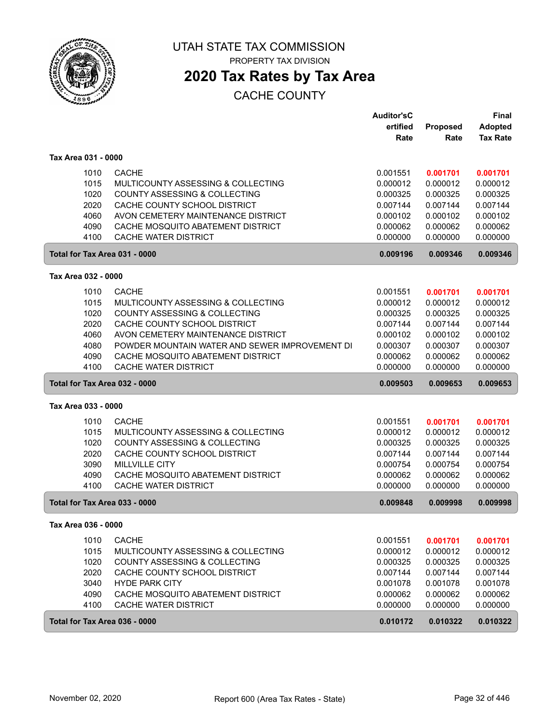

PROPERTY TAX DIVISION

# **2020 Tax Rates by Tax Area**

|                     |      |                                                | <b>Auditor'sC</b><br>ertified | Proposed | <b>Final</b><br><b>Adopted</b> |
|---------------------|------|------------------------------------------------|-------------------------------|----------|--------------------------------|
|                     |      |                                                | Rate                          | Rate     | <b>Tax Rate</b>                |
| Tax Area 031 - 0000 |      |                                                |                               |          |                                |
|                     | 1010 | <b>CACHE</b>                                   | 0.001551                      | 0.001701 | 0.001701                       |
|                     | 1015 | MULTICOUNTY ASSESSING & COLLECTING             | 0.000012                      | 0.000012 | 0.000012                       |
|                     | 1020 | <b>COUNTY ASSESSING &amp; COLLECTING</b>       | 0.000325                      | 0.000325 | 0.000325                       |
|                     | 2020 | CACHE COUNTY SCHOOL DISTRICT                   | 0.007144                      | 0.007144 | 0.007144                       |
|                     | 4060 | AVON CEMETERY MAINTENANCE DISTRICT             | 0.000102                      | 0.000102 | 0.000102                       |
|                     | 4090 | CACHE MOSQUITO ABATEMENT DISTRICT              | 0.000062                      | 0.000062 | 0.000062                       |
|                     | 4100 | <b>CACHE WATER DISTRICT</b>                    | 0.000000                      | 0.000000 | 0.000000                       |
|                     |      | Total for Tax Area 031 - 0000                  | 0.009196                      | 0.009346 | 0.009346                       |
| Tax Area 032 - 0000 |      |                                                |                               |          |                                |
|                     | 1010 | <b>CACHE</b>                                   | 0.001551                      | 0.001701 | 0.001701                       |
|                     | 1015 | MULTICOUNTY ASSESSING & COLLECTING             | 0.000012                      | 0.000012 | 0.000012                       |
|                     | 1020 | COUNTY ASSESSING & COLLECTING                  | 0.000325                      | 0.000325 | 0.000325                       |
|                     | 2020 | CACHE COUNTY SCHOOL DISTRICT                   | 0.007144                      | 0.007144 | 0.007144                       |
|                     | 4060 | AVON CEMETERY MAINTENANCE DISTRICT             | 0.000102                      | 0.000102 | 0.000102                       |
|                     | 4080 | POWDER MOUNTAIN WATER AND SEWER IMPROVEMENT DI | 0.000307                      | 0.000307 | 0.000307                       |
|                     | 4090 | CACHE MOSQUITO ABATEMENT DISTRICT              | 0.000062                      | 0.000062 | 0.000062                       |
|                     | 4100 | <b>CACHE WATER DISTRICT</b>                    | 0.000000                      | 0.000000 | 0.000000                       |
|                     |      | Total for Tax Area 032 - 0000                  | 0.009503                      | 0.009653 | 0.009653                       |
| Tax Area 033 - 0000 |      |                                                |                               |          |                                |
|                     | 1010 | <b>CACHE</b>                                   | 0.001551                      | 0.001701 | 0.001701                       |
|                     | 1015 | MULTICOUNTY ASSESSING & COLLECTING             | 0.000012                      | 0.000012 | 0.000012                       |
|                     | 1020 | COUNTY ASSESSING & COLLECTING                  | 0.000325                      | 0.000325 | 0.000325                       |
|                     | 2020 | CACHE COUNTY SCHOOL DISTRICT                   | 0.007144                      | 0.007144 | 0.007144                       |
|                     | 3090 | <b>MILLVILLE CITY</b>                          | 0.000754                      | 0.000754 | 0.000754                       |
|                     | 4090 | CACHE MOSQUITO ABATEMENT DISTRICT              | 0.000062                      | 0.000062 | 0.000062                       |
|                     | 4100 | CACHE WATER DISTRICT                           | 0.000000                      | 0.000000 | 0.000000                       |
|                     |      | Total for Tax Area 033 - 0000                  | 0.009848                      | 0.009998 | 0.009998                       |
| Tax Area 036 - 0000 |      |                                                |                               |          |                                |
|                     | 1010 | <b>CACHE</b>                                   | 0.001551                      | 0.001701 | 0.001701                       |
|                     | 1015 | MULTICOUNTY ASSESSING & COLLECTING             | 0.000012                      | 0.000012 | 0.000012                       |
|                     | 1020 | COUNTY ASSESSING & COLLECTING                  | 0.000325                      | 0.000325 | 0.000325                       |
|                     | 2020 | CACHE COUNTY SCHOOL DISTRICT                   | 0.007144                      | 0.007144 | 0.007144                       |
|                     | 3040 | <b>HYDE PARK CITY</b>                          | 0.001078                      | 0.001078 | 0.001078                       |
|                     | 4090 | CACHE MOSQUITO ABATEMENT DISTRICT              | 0.000062                      | 0.000062 | 0.000062                       |
|                     | 4100 | CACHE WATER DISTRICT                           | 0.000000                      | 0.000000 | 0.000000                       |
|                     |      | Total for Tax Area 036 - 0000                  | 0.010172                      | 0.010322 | 0.010322                       |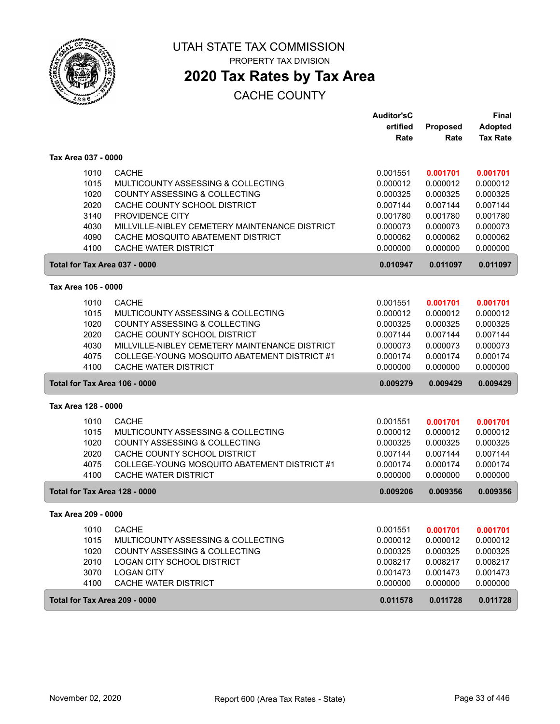

PROPERTY TAX DIVISION

## **2020 Tax Rates by Tax Area**

|                               |                                                | <b>Auditor'sC</b> |          | <b>Final</b>    |
|-------------------------------|------------------------------------------------|-------------------|----------|-----------------|
|                               |                                                | ertified          | Proposed | <b>Adopted</b>  |
|                               |                                                | Rate              | Rate     | <b>Tax Rate</b> |
| Tax Area 037 - 0000           |                                                |                   |          |                 |
| 1010                          | <b>CACHE</b>                                   | 0.001551          | 0.001701 | 0.001701        |
| 1015                          | MULTICOUNTY ASSESSING & COLLECTING             | 0.000012          | 0.000012 | 0.000012        |
| 1020                          | <b>COUNTY ASSESSING &amp; COLLECTING</b>       | 0.000325          | 0.000325 | 0.000325        |
| 2020                          | CACHE COUNTY SCHOOL DISTRICT                   | 0.007144          | 0.007144 | 0.007144        |
| 3140                          | PROVIDENCE CITY                                | 0.001780          | 0.001780 | 0.001780        |
| 4030                          | MILLVILLE-NIBLEY CEMETERY MAINTENANCE DISTRICT | 0.000073          | 0.000073 | 0.000073        |
| 4090                          | CACHE MOSQUITO ABATEMENT DISTRICT              | 0.000062          | 0.000062 | 0.000062        |
| 4100                          | <b>CACHE WATER DISTRICT</b>                    | 0.000000          | 0.000000 | 0.000000        |
| Total for Tax Area 037 - 0000 |                                                | 0.010947          | 0.011097 | 0.011097        |
| Tax Area 106 - 0000           |                                                |                   |          |                 |
| 1010                          | <b>CACHE</b>                                   | 0.001551          | 0.001701 | 0.001701        |
| 1015                          | MULTICOUNTY ASSESSING & COLLECTING             | 0.000012          | 0.000012 | 0.000012        |
| 1020                          | COUNTY ASSESSING & COLLECTING                  | 0.000325          | 0.000325 | 0.000325        |
| 2020                          | CACHE COUNTY SCHOOL DISTRICT                   | 0.007144          | 0.007144 | 0.007144        |
| 4030                          | MILLVILLE-NIBLEY CEMETERY MAINTENANCE DISTRICT | 0.000073          | 0.000073 | 0.000073        |
| 4075                          | COLLEGE-YOUNG MOSQUITO ABATEMENT DISTRICT #1   | 0.000174          | 0.000174 | 0.000174        |
| 4100                          | <b>CACHE WATER DISTRICT</b>                    | 0.000000          | 0.000000 | 0.000000        |
| Total for Tax Area 106 - 0000 |                                                | 0.009279          | 0.009429 | 0.009429        |
|                               |                                                |                   |          |                 |
| Tax Area 128 - 0000           |                                                |                   |          |                 |
| 1010                          | <b>CACHE</b>                                   | 0.001551          | 0.001701 | 0.001701        |
| 1015                          | MULTICOUNTY ASSESSING & COLLECTING             | 0.000012          | 0.000012 | 0.000012        |
| 1020                          | COUNTY ASSESSING & COLLECTING                  | 0.000325          | 0.000325 | 0.000325        |
| 2020                          | CACHE COUNTY SCHOOL DISTRICT                   | 0.007144          | 0.007144 | 0.007144        |
| 4075                          | COLLEGE-YOUNG MOSQUITO ABATEMENT DISTRICT #1   | 0.000174          | 0.000174 | 0.000174        |
| 4100                          | CACHE WATER DISTRICT                           | 0.000000          | 0.000000 | 0.000000        |
| Total for Tax Area 128 - 0000 |                                                | 0.009206          | 0.009356 | 0.009356        |
| Tax Area 209 - 0000           |                                                |                   |          |                 |
| 1010                          | <b>CACHE</b>                                   | 0.001551          | 0.001701 | 0.001701        |
| 1015                          | MULTICOUNTY ASSESSING & COLLECTING             | 0.000012          | 0.000012 | 0.000012        |
| 1020                          | COUNTY ASSESSING & COLLECTING                  | 0.000325          | 0.000325 | 0.000325        |
| 2010                          | <b>LOGAN CITY SCHOOL DISTRICT</b>              | 0.008217          | 0.008217 | 0.008217        |
| 3070                          | <b>LOGAN CITY</b>                              | 0.001473          | 0.001473 | 0.001473        |
| 4100                          | CACHE WATER DISTRICT                           | 0.000000          | 0.000000 | 0.000000        |
| Total for Tax Area 209 - 0000 |                                                | 0.011578          | 0.011728 | 0.011728        |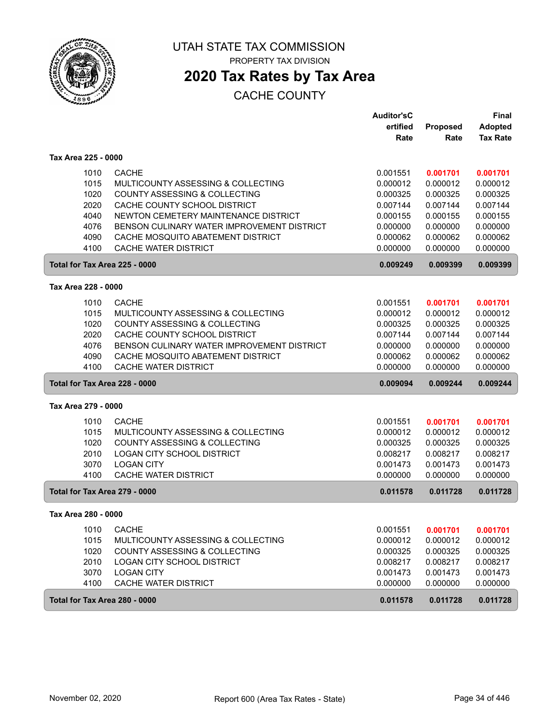

PROPERTY TAX DIVISION

## **2020 Tax Rates by Tax Area**

|                               |                                            | <b>Auditor'sC</b>    |                      | <b>Final</b>         |
|-------------------------------|--------------------------------------------|----------------------|----------------------|----------------------|
|                               |                                            | ertified             | Proposed             | <b>Adopted</b>       |
|                               |                                            | Rate                 | Rate                 | <b>Tax Rate</b>      |
| Tax Area 225 - 0000           |                                            |                      |                      |                      |
| 1010                          | <b>CACHE</b>                               | 0.001551             | 0.001701             | 0.001701             |
| 1015                          | MULTICOUNTY ASSESSING & COLLECTING         | 0.000012             | 0.000012             | 0.000012             |
| 1020                          | <b>COUNTY ASSESSING &amp; COLLECTING</b>   | 0.000325             | 0.000325             | 0.000325             |
| 2020                          | CACHE COUNTY SCHOOL DISTRICT               | 0.007144             | 0.007144             | 0.007144             |
| 4040                          | NEWTON CEMETERY MAINTENANCE DISTRICT       | 0.000155             | 0.000155             | 0.000155             |
| 4076                          | BENSON CULINARY WATER IMPROVEMENT DISTRICT | 0.000000             | 0.000000             | 0.000000             |
| 4090                          | CACHE MOSQUITO ABATEMENT DISTRICT          | 0.000062             | 0.000062             | 0.000062             |
| 4100                          | <b>CACHE WATER DISTRICT</b>                | 0.000000             | 0.000000             | 0.000000             |
| Total for Tax Area 225 - 0000 |                                            | 0.009249             | 0.009399             | 0.009399             |
| Tax Area 228 - 0000           |                                            |                      |                      |                      |
| 1010                          | <b>CACHE</b>                               | 0.001551             |                      |                      |
|                               | MULTICOUNTY ASSESSING & COLLECTING         |                      | 0.001701<br>0.000012 | 0.001701             |
| 1015                          | <b>COUNTY ASSESSING &amp; COLLECTING</b>   | 0.000012             |                      | 0.000012             |
| 1020<br>2020                  | CACHE COUNTY SCHOOL DISTRICT               | 0.000325<br>0.007144 | 0.000325<br>0.007144 | 0.000325<br>0.007144 |
| 4076                          | BENSON CULINARY WATER IMPROVEMENT DISTRICT |                      |                      |                      |
| 4090                          | CACHE MOSQUITO ABATEMENT DISTRICT          | 0.000000<br>0.000062 | 0.000000<br>0.000062 | 0.000000<br>0.000062 |
| 4100                          | <b>CACHE WATER DISTRICT</b>                | 0.000000             | 0.000000             | 0.000000             |
| Total for Tax Area 228 - 0000 |                                            | 0.009094             | 0.009244             | 0.009244             |
| Tax Area 279 - 0000           |                                            |                      |                      |                      |
|                               |                                            |                      |                      |                      |
| 1010                          | <b>CACHE</b>                               | 0.001551             | 0.001701             | 0.001701             |
| 1015                          | MULTICOUNTY ASSESSING & COLLECTING         | 0.000012             | 0.000012             | 0.000012             |
| 1020                          | COUNTY ASSESSING & COLLECTING              | 0.000325             | 0.000325             | 0.000325             |
| 2010                          | <b>LOGAN CITY SCHOOL DISTRICT</b>          | 0.008217             | 0.008217             | 0.008217             |
| 3070                          | <b>LOGAN CITY</b>                          | 0.001473             | 0.001473             | 0.001473             |
| 4100                          | <b>CACHE WATER DISTRICT</b>                | 0.000000             | 0.000000             | 0.000000             |
| Total for Tax Area 279 - 0000 |                                            | 0.011578             | 0.011728             | 0.011728             |
| Tax Area 280 - 0000           |                                            |                      |                      |                      |
| 1010                          | <b>CACHE</b>                               | 0.001551             | 0.001701             | 0.001701             |
| 1015                          | MULTICOUNTY ASSESSING & COLLECTING         | 0.000012             | 0.000012             | 0.000012             |
| 1020                          | COUNTY ASSESSING & COLLECTING              | 0.000325             | 0.000325             | 0.000325             |
| 2010                          | LOGAN CITY SCHOOL DISTRICT                 | 0.008217             | 0.008217             | 0.008217             |
| 3070                          | <b>LOGAN CITY</b>                          | 0.001473             | 0.001473             | 0.001473             |
| 4100                          | CACHE WATER DISTRICT                       | 0.000000             | 0.000000             | 0.000000             |
| Total for Tax Area 280 - 0000 |                                            | 0.011578             | 0.011728             | 0.011728             |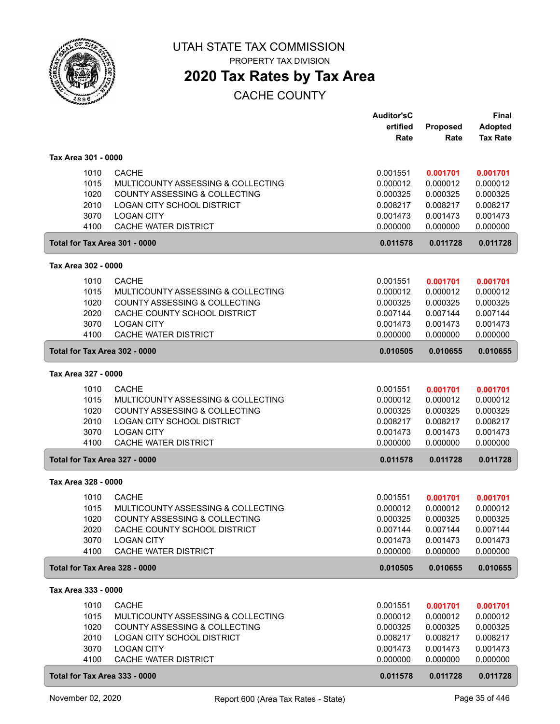

PROPERTY TAX DIVISION

## **2020 Tax Rates by Tax Area**

|                               |                                          | <b>Auditor'sC</b> |          | <b>Final</b>    |
|-------------------------------|------------------------------------------|-------------------|----------|-----------------|
|                               |                                          | ertified          | Proposed | <b>Adopted</b>  |
|                               |                                          | Rate              | Rate     | <b>Tax Rate</b> |
| Tax Area 301 - 0000           |                                          |                   |          |                 |
|                               |                                          |                   |          |                 |
| 1010                          | <b>CACHE</b>                             | 0.001551          | 0.001701 | 0.001701        |
| 1015                          | MULTICOUNTY ASSESSING & COLLECTING       | 0.000012          | 0.000012 | 0.000012        |
| 1020                          | <b>COUNTY ASSESSING &amp; COLLECTING</b> | 0.000325          | 0.000325 | 0.000325        |
| 2010                          | LOGAN CITY SCHOOL DISTRICT               | 0.008217          | 0.008217 | 0.008217        |
| 3070                          | <b>LOGAN CITY</b>                        | 0.001473          | 0.001473 | 0.001473        |
| 4100                          | CACHE WATER DISTRICT                     | 0.000000          | 0.000000 | 0.000000        |
| Total for Tax Area 301 - 0000 |                                          | 0.011578          | 0.011728 | 0.011728        |
| Tax Area 302 - 0000           |                                          |                   |          |                 |
| 1010                          | <b>CACHE</b>                             | 0.001551          | 0.001701 | 0.001701        |
| 1015                          | MULTICOUNTY ASSESSING & COLLECTING       | 0.000012          | 0.000012 | 0.000012        |
| 1020                          | COUNTY ASSESSING & COLLECTING            | 0.000325          | 0.000325 | 0.000325        |
| 2020                          | CACHE COUNTY SCHOOL DISTRICT             | 0.007144          | 0.007144 | 0.007144        |
| 3070                          | <b>LOGAN CITY</b>                        | 0.001473          | 0.001473 | 0.001473        |
| 4100                          | <b>CACHE WATER DISTRICT</b>              | 0.000000          | 0.000000 | 0.000000        |
| Total for Tax Area 302 - 0000 |                                          | 0.010505          | 0.010655 | 0.010655        |
| Tax Area 327 - 0000           |                                          |                   |          |                 |
| 1010                          | <b>CACHE</b>                             | 0.001551          | 0.001701 | 0.001701        |
| 1015                          | MULTICOUNTY ASSESSING & COLLECTING       | 0.000012          | 0.000012 | 0.000012        |
| 1020                          | COUNTY ASSESSING & COLLECTING            | 0.000325          | 0.000325 | 0.000325        |
| 2010                          | LOGAN CITY SCHOOL DISTRICT               | 0.008217          | 0.008217 | 0.008217        |
| 3070                          | <b>LOGAN CITY</b>                        | 0.001473          | 0.001473 | 0.001473        |
| 4100                          | <b>CACHE WATER DISTRICT</b>              | 0.000000          | 0.000000 | 0.000000        |
| Total for Tax Area 327 - 0000 |                                          | 0.011578          | 0.011728 | 0.011728        |
| Tax Area 328 - 0000           |                                          |                   |          |                 |
| 1010                          | <b>CACHE</b>                             | 0.001551          | 0.001701 | 0.001701        |
| 1015                          | MULTICOUNTY ASSESSING & COLLECTING       | 0.000012          | 0.000012 | 0.000012        |
| 1020                          | COUNTY ASSESSING & COLLECTING            | 0.000325          | 0.000325 | 0.000325        |
| 2020                          | CACHE COUNTY SCHOOL DISTRICT             | 0.007144          | 0.007144 | 0.007144        |
| 3070                          | <b>LOGAN CITY</b>                        | 0.001473          | 0.001473 | 0.001473        |
| 4100                          | CACHE WATER DISTRICT                     | 0.000000          | 0.000000 | 0.000000        |
| Total for Tax Area 328 - 0000 |                                          | 0.010505          | 0.010655 | 0.010655        |
| Tax Area 333 - 0000           |                                          |                   |          |                 |
| 1010                          | <b>CACHE</b>                             | 0.001551          | 0.001701 | 0.001701        |
| 1015                          | MULTICOUNTY ASSESSING & COLLECTING       | 0.000012          | 0.000012 | 0.000012        |
| 1020                          | COUNTY ASSESSING & COLLECTING            | 0.000325          | 0.000325 | 0.000325        |
| 2010                          | LOGAN CITY SCHOOL DISTRICT               | 0.008217          | 0.008217 | 0.008217        |
| 3070                          | <b>LOGAN CITY</b>                        | 0.001473          | 0.001473 | 0.001473        |
| 4100                          | CACHE WATER DISTRICT                     | 0.000000          | 0.000000 | 0.000000        |
| Total for Tax Area 333 - 0000 |                                          | 0.011578          | 0.011728 | 0.011728        |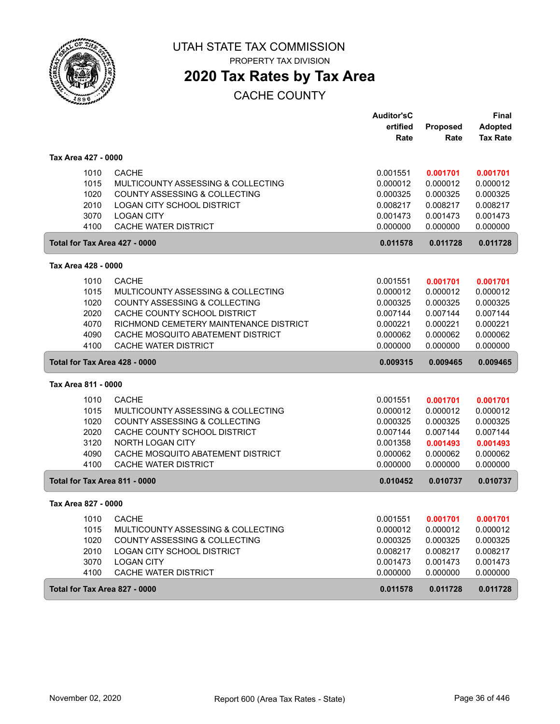

PROPERTY TAX DIVISION

# **2020 Tax Rates by Tax Area**

|                               |                                          | <b>Auditor'sC</b> |          | <b>Final</b>    |
|-------------------------------|------------------------------------------|-------------------|----------|-----------------|
|                               |                                          | ertified          | Proposed | <b>Adopted</b>  |
|                               |                                          | Rate              | Rate     | <b>Tax Rate</b> |
| Tax Area 427 - 0000           |                                          |                   |          |                 |
| 1010                          | <b>CACHE</b>                             | 0.001551          | 0.001701 | 0.001701        |
| 1015                          | MULTICOUNTY ASSESSING & COLLECTING       | 0.000012          | 0.000012 | 0.000012        |
| 1020                          | <b>COUNTY ASSESSING &amp; COLLECTING</b> | 0.000325          | 0.000325 | 0.000325        |
| 2010                          | <b>LOGAN CITY SCHOOL DISTRICT</b>        | 0.008217          | 0.008217 | 0.008217        |
| 3070                          | <b>LOGAN CITY</b>                        | 0.001473          | 0.001473 | 0.001473        |
| 4100                          | <b>CACHE WATER DISTRICT</b>              | 0.000000          | 0.000000 | 0.000000        |
| Total for Tax Area 427 - 0000 |                                          | 0.011578          | 0.011728 | 0.011728        |
| Tax Area 428 - 0000           |                                          |                   |          |                 |
| 1010                          | <b>CACHE</b>                             | 0.001551          | 0.001701 | 0.001701        |
| 1015                          | MULTICOUNTY ASSESSING & COLLECTING       | 0.000012          | 0.000012 | 0.000012        |
| 1020                          | COUNTY ASSESSING & COLLECTING            | 0.000325          | 0.000325 | 0.000325        |
| 2020                          | CACHE COUNTY SCHOOL DISTRICT             | 0.007144          | 0.007144 | 0.007144        |
| 4070                          | RICHMOND CEMETERY MAINTENANCE DISTRICT   | 0.000221          | 0.000221 | 0.000221        |
| 4090                          | CACHE MOSQUITO ABATEMENT DISTRICT        | 0.000062          | 0.000062 | 0.000062        |
| 4100                          | CACHE WATER DISTRICT                     | 0.000000          | 0.000000 | 0.000000        |
| Total for Tax Area 428 - 0000 |                                          | 0.009315          | 0.009465 | 0.009465        |
| Tax Area 811 - 0000           |                                          |                   |          |                 |
| 1010                          | <b>CACHE</b>                             | 0.001551          | 0.001701 | 0.001701        |
| 1015                          | MULTICOUNTY ASSESSING & COLLECTING       | 0.000012          | 0.000012 | 0.000012        |
| 1020                          | COUNTY ASSESSING & COLLECTING            | 0.000325          | 0.000325 | 0.000325        |
| 2020                          | CACHE COUNTY SCHOOL DISTRICT             | 0.007144          | 0.007144 | 0.007144        |
| 3120                          | NORTH LOGAN CITY                         | 0.001358          | 0.001493 | 0.001493        |
| 4090                          | CACHE MOSQUITO ABATEMENT DISTRICT        | 0.000062          | 0.000062 | 0.000062        |
| 4100                          | CACHE WATER DISTRICT                     | 0.000000          | 0.000000 | 0.000000        |
| Total for Tax Area 811 - 0000 |                                          | 0.010452          | 0.010737 | 0.010737        |
| Tax Area 827 - 0000           |                                          |                   |          |                 |
| 1010                          | <b>CACHE</b>                             | 0.001551          | 0.001701 | 0.001701        |
| 1015                          | MULTICOUNTY ASSESSING & COLLECTING       | 0.000012          | 0.000012 | 0.000012        |
| 1020                          | COUNTY ASSESSING & COLLECTING            | 0.000325          | 0.000325 | 0.000325        |
| 2010                          | LOGAN CITY SCHOOL DISTRICT               | 0.008217          | 0.008217 | 0.008217        |
| 3070                          | <b>LOGAN CITY</b>                        | 0.001473          | 0.001473 | 0.001473        |
| 4100                          | CACHE WATER DISTRICT                     | 0.000000          | 0.000000 | 0.000000        |
| Total for Tax Area 827 - 0000 |                                          | 0.011578          | 0.011728 | 0.011728        |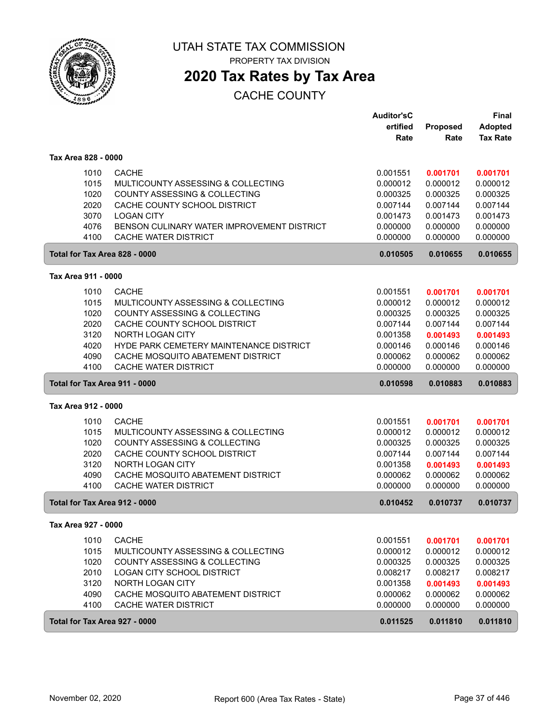

PROPERTY TAX DIVISION

### **2020 Tax Rates by Tax Area**

### CACHE COUNTY

|                     |                                            | <b>Auditor'sC</b><br>ertified | Proposed | <b>Final</b><br><b>Adopted</b> |
|---------------------|--------------------------------------------|-------------------------------|----------|--------------------------------|
|                     |                                            | Rate                          | Rate     | <b>Tax Rate</b>                |
| Tax Area 828 - 0000 |                                            |                               |          |                                |
| 1010                | <b>CACHE</b>                               | 0.001551                      | 0.001701 | 0.001701                       |
| 1015                | MULTICOUNTY ASSESSING & COLLECTING         | 0.000012                      | 0.000012 | 0.000012                       |
| 1020                | COUNTY ASSESSING & COLLECTING              | 0.000325                      | 0.000325 | 0.000325                       |
| 2020                | CACHE COUNTY SCHOOL DISTRICT               | 0.007144                      | 0.007144 | 0.007144                       |
| 3070                | <b>LOGAN CITY</b>                          | 0.001473                      | 0.001473 | 0.001473                       |
| 4076                | BENSON CULINARY WATER IMPROVEMENT DISTRICT | 0.000000                      | 0.000000 | 0.000000                       |
| 4100                | CACHE WATER DISTRICT                       | 0.000000                      | 0.000000 | 0.000000                       |
|                     | Total for Tax Area 828 - 0000              | 0.010505                      | 0.010655 | 0.010655                       |
| Tax Area 911 - 0000 |                                            |                               |          |                                |
| 1010                | <b>CACHE</b>                               | 0.001551                      | 0.001701 | 0.001701                       |
| 1015                | MULTICOUNTY ASSESSING & COLLECTING         | 0.000012                      | 0.000012 | 0.000012                       |
| 1020                | COUNTY ASSESSING & COLLECTING              | 0.000325                      | 0.000325 | 0.000325                       |
| 2020                | CACHE COUNTY SCHOOL DISTRICT               | 0.007144                      | 0.007144 | 0.007144                       |
| 3120                | <b>NORTH LOGAN CITY</b>                    | 0.001358                      | 0.001493 | 0.001493                       |
| 4020                | HYDE PARK CEMETERY MAINTENANCE DISTRICT    | 0.000146                      | 0.000146 | 0.000146                       |
| 4090                | CACHE MOSQUITO ABATEMENT DISTRICT          | 0.000062                      | 0.000062 | 0.000062                       |
| 4100                | <b>CACHE WATER DISTRICT</b>                | 0.000000                      | 0.000000 | 0.000000                       |
|                     | Total for Tax Area 911 - 0000              | 0.010598                      | 0.010883 | 0.010883                       |
| Tax Area 912 - 0000 |                                            |                               |          |                                |
| 1010                | <b>CACHE</b>                               | 0.001551                      | 0.001701 | 0.001701                       |
| 1015                | MULTICOUNTY ASSESSING & COLLECTING         | 0.000012                      | 0.000012 | 0.000012                       |
| 1020                | COUNTY ASSESSING & COLLECTING              | 0.000325                      | 0.000325 | 0.000325                       |
| 2020                | CACHE COUNTY SCHOOL DISTRICT               | 0.007144                      | 0.007144 | 0.007144                       |
| 3120                | NORTH LOGAN CITY                           | 0.001358                      | 0.001493 | 0.001493                       |
| 4090                | CACHE MOSQUITO ABATEMENT DISTRICT          | 0.000062                      | 0.000062 | 0.000062                       |
| 4100                | CACHE WATER DISTRICT                       | 0.000000                      | 0.000000 | 0.000000                       |
|                     | Total for Tax Area 912 - 0000              | 0.010452                      | 0.010737 | 0.010737                       |
| Tax Area 927 - 0000 |                                            |                               |          |                                |
| 1010                | <b>CACHE</b>                               | 0.001551                      | 0.001701 | 0.001701                       |
| 1015                | MULTICOUNTY ASSESSING & COLLECTING         | 0.000012                      | 0.000012 | 0.000012                       |
| 1020                | COUNTY ASSESSING & COLLECTING              | 0.000325                      | 0.000325 | 0.000325                       |
| 2010                | LOGAN CITY SCHOOL DISTRICT                 | 0.008217                      | 0.008217 | 0.008217                       |
| 3120                | NORTH LOGAN CITY                           | 0.001358                      | 0.001493 | 0.001493                       |
| 4090                | CACHE MOSQUITO ABATEMENT DISTRICT          | 0.000062                      | 0.000062 | 0.000062                       |
| 4100                | <b>CACHE WATER DISTRICT</b>                | 0.000000                      | 0.000000 | 0.000000                       |
|                     | Total for Tax Area 927 - 0000              | 0.011525                      | 0.011810 | 0.011810                       |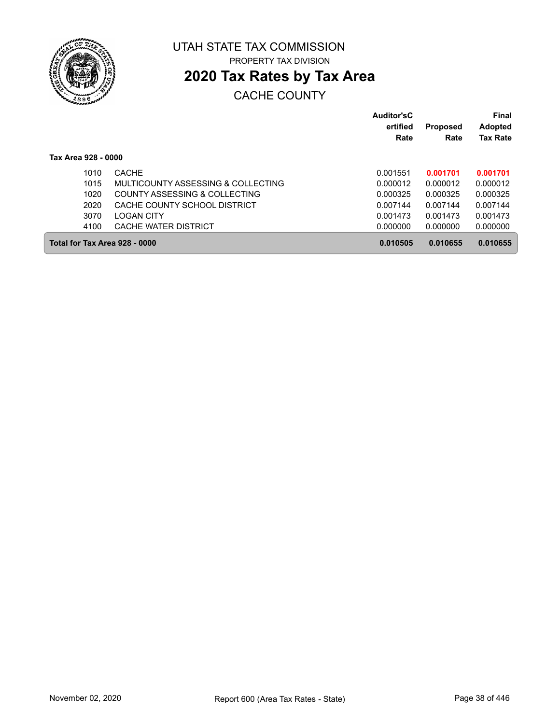

## **2020 Tax Rates by Tax Area**

### CACHE COUNTY

|                               |                                    | Auditor'sC<br>ertified<br>Rate | <b>Proposed</b><br>Rate | Final<br><b>Adopted</b><br><b>Tax Rate</b> |
|-------------------------------|------------------------------------|--------------------------------|-------------------------|--------------------------------------------|
| Tax Area 928 - 0000           |                                    |                                |                         |                                            |
| 1010                          | <b>CACHE</b>                       | 0.001551                       | 0.001701                | 0.001701                                   |
| 1015                          | MULTICOUNTY ASSESSING & COLLECTING | 0.000012                       | 0.000012                | 0.000012                                   |
| 1020                          | COUNTY ASSESSING & COLLECTING      | 0.000325                       | 0.000325                | 0.000325                                   |
| 2020                          | CACHE COUNTY SCHOOL DISTRICT       | 0.007144                       | 0.007144                | 0.007144                                   |
| 3070                          | <b>LOGAN CITY</b>                  | 0.001473                       | 0.001473                | 0.001473                                   |
| 4100                          | CACHE WATER DISTRICT               | 0.000000                       | 0.000000                | 0.000000                                   |
| Total for Tax Area 928 - 0000 |                                    | 0.010505                       | 0.010655                | 0.010655                                   |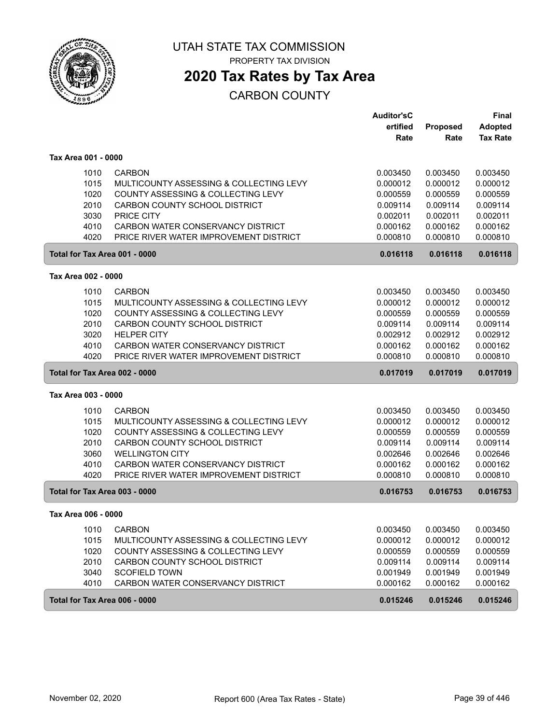

PROPERTY TAX DIVISION

## **2020 Tax Rates by Tax Area**

|                               |                                         | <b>Auditor'sC</b> |                 | <b>Final</b>    |
|-------------------------------|-----------------------------------------|-------------------|-----------------|-----------------|
|                               |                                         | ertified          | <b>Proposed</b> | <b>Adopted</b>  |
|                               |                                         | Rate              | Rate            | <b>Tax Rate</b> |
| Tax Area 001 - 0000           |                                         |                   |                 |                 |
| 1010                          | <b>CARBON</b>                           | 0.003450          | 0.003450        | 0.003450        |
| 1015                          | MULTICOUNTY ASSESSING & COLLECTING LEVY | 0.000012          | 0.000012        | 0.000012        |
| 1020                          | COUNTY ASSESSING & COLLECTING LEVY      | 0.000559          | 0.000559        | 0.000559        |
| 2010                          | CARBON COUNTY SCHOOL DISTRICT           | 0.009114          | 0.009114        | 0.009114        |
| 3030                          | <b>PRICE CITY</b>                       | 0.002011          | 0.002011        | 0.002011        |
| 4010                          | CARBON WATER CONSERVANCY DISTRICT       | 0.000162          | 0.000162        | 0.000162        |
| 4020                          | PRICE RIVER WATER IMPROVEMENT DISTRICT  | 0.000810          | 0.000810        | 0.000810        |
| Total for Tax Area 001 - 0000 |                                         | 0.016118          | 0.016118        | 0.016118        |
| Tax Area 002 - 0000           |                                         |                   |                 |                 |
| 1010                          | <b>CARBON</b>                           | 0.003450          | 0.003450        | 0.003450        |
| 1015                          | MULTICOUNTY ASSESSING & COLLECTING LEVY | 0.000012          | 0.000012        | 0.000012        |
| 1020                          | COUNTY ASSESSING & COLLECTING LEVY      | 0.000559          | 0.000559        | 0.000559        |
| 2010                          | CARBON COUNTY SCHOOL DISTRICT           | 0.009114          | 0.009114        | 0.009114        |
| 3020                          | <b>HELPER CITY</b>                      | 0.002912          | 0.002912        | 0.002912        |
| 4010                          | CARBON WATER CONSERVANCY DISTRICT       | 0.000162          | 0.000162        | 0.000162        |
| 4020                          | PRICE RIVER WATER IMPROVEMENT DISTRICT  | 0.000810          | 0.000810        | 0.000810        |
| Total for Tax Area 002 - 0000 |                                         | 0.017019          | 0.017019        | 0.017019        |
| Tax Area 003 - 0000           |                                         |                   |                 |                 |
| 1010                          | <b>CARBON</b>                           | 0.003450          | 0.003450        | 0.003450        |
| 1015                          | MULTICOUNTY ASSESSING & COLLECTING LEVY | 0.000012          | 0.000012        | 0.000012        |
| 1020                          | COUNTY ASSESSING & COLLECTING LEVY      | 0.000559          | 0.000559        | 0.000559        |
| 2010                          | CARBON COUNTY SCHOOL DISTRICT           | 0.009114          | 0.009114        | 0.009114        |
| 3060                          | <b>WELLINGTON CITY</b>                  | 0.002646          | 0.002646        | 0.002646        |
| 4010                          | CARBON WATER CONSERVANCY DISTRICT       | 0.000162          | 0.000162        | 0.000162        |
| 4020                          | PRICE RIVER WATER IMPROVEMENT DISTRICT  | 0.000810          | 0.000810        | 0.000810        |
| Total for Tax Area 003 - 0000 |                                         | 0.016753          | 0.016753        | 0.016753        |
| Tax Area 006 - 0000           |                                         |                   |                 |                 |
| 1010                          | <b>CARBON</b>                           | 0.003450          | 0.003450        | 0.003450        |
| 1015                          | MULTICOUNTY ASSESSING & COLLECTING LEVY | 0.000012          | 0.000012        | 0.000012        |
| 1020                          | COUNTY ASSESSING & COLLECTING LEVY      | 0.000559          | 0.000559        | 0.000559        |
| 2010                          | CARBON COUNTY SCHOOL DISTRICT           | 0.009114          | 0.009114        | 0.009114        |
| 3040                          | <b>SCOFIELD TOWN</b>                    | 0.001949          | 0.001949        | 0.001949        |
| 4010                          | CARBON WATER CONSERVANCY DISTRICT       | 0.000162          | 0.000162        | 0.000162        |
| Total for Tax Area 006 - 0000 |                                         | 0.015246          | 0.015246        | 0.015246        |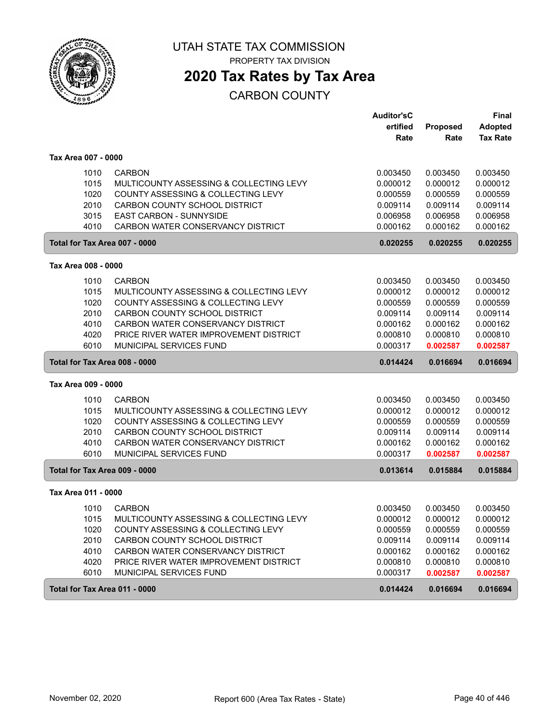

### **2020 Tax Rates by Tax Area**

|                               |                                         | <b>Auditor'sC</b> |          | <b>Final</b>    |
|-------------------------------|-----------------------------------------|-------------------|----------|-----------------|
|                               |                                         | ertified          | Proposed | <b>Adopted</b>  |
|                               |                                         | Rate              | Rate     | <b>Tax Rate</b> |
| Tax Area 007 - 0000           |                                         |                   |          |                 |
| 1010                          | <b>CARBON</b>                           | 0.003450          | 0.003450 | 0.003450        |
| 1015                          | MULTICOUNTY ASSESSING & COLLECTING LEVY | 0.000012          | 0.000012 | 0.000012        |
| 1020                          | COUNTY ASSESSING & COLLECTING LEVY      | 0.000559          | 0.000559 | 0.000559        |
| 2010                          | CARBON COUNTY SCHOOL DISTRICT           | 0.009114          | 0.009114 | 0.009114        |
| 3015                          | EAST CARBON - SUNNYSIDE                 | 0.006958          | 0.006958 | 0.006958        |
| 4010                          | CARBON WATER CONSERVANCY DISTRICT       | 0.000162          | 0.000162 | 0.000162        |
| Total for Tax Area 007 - 0000 |                                         | 0.020255          | 0.020255 | 0.020255        |
| Tax Area 008 - 0000           |                                         |                   |          |                 |
| 1010                          | <b>CARBON</b>                           | 0.003450          | 0.003450 | 0.003450        |
| 1015                          | MULTICOUNTY ASSESSING & COLLECTING LEVY | 0.000012          | 0.000012 | 0.000012        |
| 1020                          | COUNTY ASSESSING & COLLECTING LEVY      | 0.000559          | 0.000559 | 0.000559        |
| 2010                          | CARBON COUNTY SCHOOL DISTRICT           | 0.009114          | 0.009114 | 0.009114        |
| 4010                          | CARBON WATER CONSERVANCY DISTRICT       | 0.000162          | 0.000162 | 0.000162        |
| 4020                          | PRICE RIVER WATER IMPROVEMENT DISTRICT  | 0.000810          | 0.000810 | 0.000810        |
| 6010                          | MUNICIPAL SERVICES FUND                 | 0.000317          | 0.002587 | 0.002587        |
| Total for Tax Area 008 - 0000 |                                         | 0.014424          | 0.016694 | 0.016694        |
| Tax Area 009 - 0000           |                                         |                   |          |                 |
| 1010                          | <b>CARBON</b>                           | 0.003450          | 0.003450 | 0.003450        |
| 1015                          | MULTICOUNTY ASSESSING & COLLECTING LEVY | 0.000012          | 0.000012 | 0.000012        |
| 1020                          | COUNTY ASSESSING & COLLECTING LEVY      | 0.000559          | 0.000559 | 0.000559        |
| 2010                          | CARBON COUNTY SCHOOL DISTRICT           | 0.009114          | 0.009114 | 0.009114        |
| 4010                          | CARBON WATER CONSERVANCY DISTRICT       | 0.000162          | 0.000162 | 0.000162        |
| 6010                          | MUNICIPAL SERVICES FUND                 | 0.000317          | 0.002587 | 0.002587        |
| Total for Tax Area 009 - 0000 |                                         | 0.013614          | 0.015884 | 0.015884        |
| Tax Area 011 - 0000           |                                         |                   |          |                 |
| 1010                          | <b>CARBON</b>                           | 0.003450          | 0.003450 | 0.003450        |
| 1015                          | MULTICOUNTY ASSESSING & COLLECTING LEVY | 0.000012          | 0.000012 | 0.000012        |
| 1020                          | COUNTY ASSESSING & COLLECTING LEVY      | 0.000559          | 0.000559 | 0.000559        |
| 2010                          | CARBON COUNTY SCHOOL DISTRICT           | 0.009114          | 0.009114 | 0.009114        |
| 4010                          | CARBON WATER CONSERVANCY DISTRICT       | 0.000162          | 0.000162 | 0.000162        |
| 4020                          | PRICE RIVER WATER IMPROVEMENT DISTRICT  | 0.000810          | 0.000810 | 0.000810        |
| 6010                          | MUNICIPAL SERVICES FUND                 | 0.000317          | 0.002587 | 0.002587        |
| Total for Tax Area 011 - 0000 |                                         | 0.014424          | 0.016694 | 0.016694        |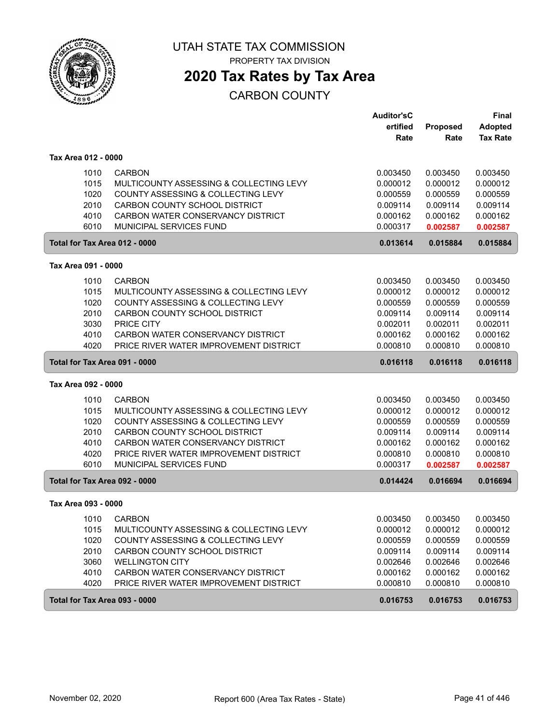

### **2020 Tax Rates by Tax Area**

|                               |                                         | <b>Auditor'sC</b> |          | <b>Final</b>    |
|-------------------------------|-----------------------------------------|-------------------|----------|-----------------|
|                               |                                         | ertified          | Proposed | <b>Adopted</b>  |
|                               |                                         | Rate              | Rate     | <b>Tax Rate</b> |
| Tax Area 012 - 0000           |                                         |                   |          |                 |
| 1010                          | <b>CARBON</b>                           | 0.003450          | 0.003450 | 0.003450        |
| 1015                          | MULTICOUNTY ASSESSING & COLLECTING LEVY | 0.000012          | 0.000012 | 0.000012        |
| 1020                          | COUNTY ASSESSING & COLLECTING LEVY      | 0.000559          | 0.000559 | 0.000559        |
| 2010                          | CARBON COUNTY SCHOOL DISTRICT           | 0.009114          | 0.009114 | 0.009114        |
| 4010                          | CARBON WATER CONSERVANCY DISTRICT       | 0.000162          | 0.000162 | 0.000162        |
| 6010                          | MUNICIPAL SERVICES FUND                 | 0.000317          | 0.002587 | 0.002587        |
| Total for Tax Area 012 - 0000 |                                         | 0.013614          | 0.015884 | 0.015884        |
| Tax Area 091 - 0000           |                                         |                   |          |                 |
| 1010                          | <b>CARBON</b>                           | 0.003450          | 0.003450 | 0.003450        |
| 1015                          | MULTICOUNTY ASSESSING & COLLECTING LEVY | 0.000012          | 0.000012 | 0.000012        |
| 1020                          | COUNTY ASSESSING & COLLECTING LEVY      | 0.000559          | 0.000559 | 0.000559        |
| 2010                          | CARBON COUNTY SCHOOL DISTRICT           | 0.009114          | 0.009114 | 0.009114        |
| 3030                          | PRICE CITY                              | 0.002011          | 0.002011 | 0.002011        |
| 4010                          | CARBON WATER CONSERVANCY DISTRICT       | 0.000162          | 0.000162 | 0.000162        |
| 4020                          | PRICE RIVER WATER IMPROVEMENT DISTRICT  | 0.000810          | 0.000810 | 0.000810        |
| Total for Tax Area 091 - 0000 |                                         | 0.016118          | 0.016118 | 0.016118        |
| Tax Area 092 - 0000           |                                         |                   |          |                 |
| 1010                          | <b>CARBON</b>                           | 0.003450          | 0.003450 | 0.003450        |
| 1015                          | MULTICOUNTY ASSESSING & COLLECTING LEVY | 0.000012          | 0.000012 | 0.000012        |
| 1020                          | COUNTY ASSESSING & COLLECTING LEVY      | 0.000559          | 0.000559 | 0.000559        |
| 2010                          | CARBON COUNTY SCHOOL DISTRICT           | 0.009114          | 0.009114 | 0.009114        |
| 4010                          | CARBON WATER CONSERVANCY DISTRICT       | 0.000162          | 0.000162 | 0.000162        |
| 4020                          | PRICE RIVER WATER IMPROVEMENT DISTRICT  | 0.000810          | 0.000810 | 0.000810        |
| 6010                          | MUNICIPAL SERVICES FUND                 | 0.000317          | 0.002587 | 0.002587        |
| Total for Tax Area 092 - 0000 |                                         | 0.014424          | 0.016694 | 0.016694        |
| Tax Area 093 - 0000           |                                         |                   |          |                 |
| 1010                          | <b>CARBON</b>                           | 0.003450          | 0.003450 | 0.003450        |
| 1015                          | MULTICOUNTY ASSESSING & COLLECTING LEVY | 0.000012          | 0.000012 | 0.000012        |
| 1020                          | COUNTY ASSESSING & COLLECTING LEVY      | 0.000559          | 0.000559 | 0.000559        |
| 2010                          | CARBON COUNTY SCHOOL DISTRICT           | 0.009114          | 0.009114 | 0.009114        |
| 3060                          | <b>WELLINGTON CITY</b>                  | 0.002646          | 0.002646 | 0.002646        |
| 4010                          | CARBON WATER CONSERVANCY DISTRICT       | 0.000162          | 0.000162 | 0.000162        |
| 4020                          | PRICE RIVER WATER IMPROVEMENT DISTRICT  | 0.000810          | 0.000810 | 0.000810        |
| Total for Tax Area 093 - 0000 |                                         | 0.016753          | 0.016753 | 0.016753        |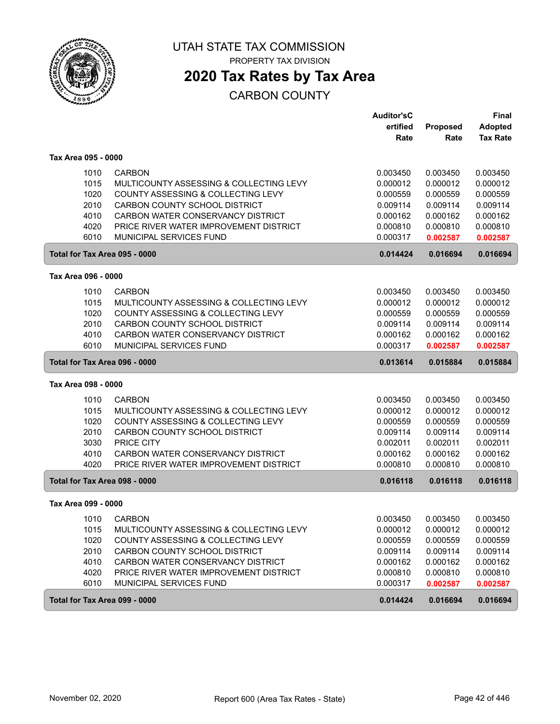

# **2020 Tax Rates by Tax Area**

|                               |                                         | <b>Auditor'sC</b> |          | <b>Final</b>    |
|-------------------------------|-----------------------------------------|-------------------|----------|-----------------|
|                               |                                         | ertified          | Proposed | <b>Adopted</b>  |
|                               |                                         | Rate              | Rate     | <b>Tax Rate</b> |
| Tax Area 095 - 0000           |                                         |                   |          |                 |
| 1010                          | <b>CARBON</b>                           | 0.003450          | 0.003450 | 0.003450        |
| 1015                          | MULTICOUNTY ASSESSING & COLLECTING LEVY | 0.000012          | 0.000012 | 0.000012        |
| 1020                          | COUNTY ASSESSING & COLLECTING LEVY      | 0.000559          | 0.000559 | 0.000559        |
| 2010                          | CARBON COUNTY SCHOOL DISTRICT           | 0.009114          | 0.009114 | 0.009114        |
| 4010                          | CARBON WATER CONSERVANCY DISTRICT       | 0.000162          | 0.000162 | 0.000162        |
| 4020                          | PRICE RIVER WATER IMPROVEMENT DISTRICT  | 0.000810          | 0.000810 | 0.000810        |
| 6010                          | MUNICIPAL SERVICES FUND                 | 0.000317          | 0.002587 | 0.002587        |
| Total for Tax Area 095 - 0000 |                                         | 0.014424          | 0.016694 | 0.016694        |
| Tax Area 096 - 0000           |                                         |                   |          |                 |
| 1010                          | <b>CARBON</b>                           | 0.003450          | 0.003450 | 0.003450        |
| 1015                          | MULTICOUNTY ASSESSING & COLLECTING LEVY | 0.000012          | 0.000012 | 0.000012        |
| 1020                          | COUNTY ASSESSING & COLLECTING LEVY      | 0.000559          | 0.000559 | 0.000559        |
| 2010                          | CARBON COUNTY SCHOOL DISTRICT           | 0.009114          | 0.009114 | 0.009114        |
| 4010                          | CARBON WATER CONSERVANCY DISTRICT       | 0.000162          | 0.000162 | 0.000162        |
| 6010                          | MUNICIPAL SERVICES FUND                 | 0.000317          | 0.002587 | 0.002587        |
| Total for Tax Area 096 - 0000 |                                         | 0.013614          | 0.015884 | 0.015884        |
| Tax Area 098 - 0000           |                                         |                   |          |                 |
| 1010                          | <b>CARBON</b>                           | 0.003450          | 0.003450 | 0.003450        |
| 1015                          | MULTICOUNTY ASSESSING & COLLECTING LEVY | 0.000012          | 0.000012 | 0.000012        |
| 1020                          | COUNTY ASSESSING & COLLECTING LEVY      | 0.000559          | 0.000559 | 0.000559        |
| 2010                          | CARBON COUNTY SCHOOL DISTRICT           | 0.009114          | 0.009114 | 0.009114        |
| 3030                          | PRICE CITY                              | 0.002011          | 0.002011 | 0.002011        |
| 4010                          | CARBON WATER CONSERVANCY DISTRICT       | 0.000162          | 0.000162 | 0.000162        |
| 4020                          | PRICE RIVER WATER IMPROVEMENT DISTRICT  | 0.000810          | 0.000810 | 0.000810        |
| Total for Tax Area 098 - 0000 |                                         | 0.016118          | 0.016118 | 0.016118        |
| Tax Area 099 - 0000           |                                         |                   |          |                 |
| 1010                          | <b>CARBON</b>                           | 0.003450          | 0.003450 | 0.003450        |
| 1015                          | MULTICOUNTY ASSESSING & COLLECTING LEVY | 0.000012          | 0.000012 | 0.000012        |
| 1020                          | COUNTY ASSESSING & COLLECTING LEVY      | 0.000559          | 0.000559 | 0.000559        |
| 2010                          | CARBON COUNTY SCHOOL DISTRICT           | 0.009114          | 0.009114 | 0.009114        |
| 4010                          | CARBON WATER CONSERVANCY DISTRICT       | 0.000162          | 0.000162 | 0.000162        |
| 4020                          | PRICE RIVER WATER IMPROVEMENT DISTRICT  | 0.000810          | 0.000810 | 0.000810        |
| 6010                          | MUNICIPAL SERVICES FUND                 | 0.000317          | 0.002587 | 0.002587        |
| Total for Tax Area 099 - 0000 |                                         | 0.014424          | 0.016694 | 0.016694        |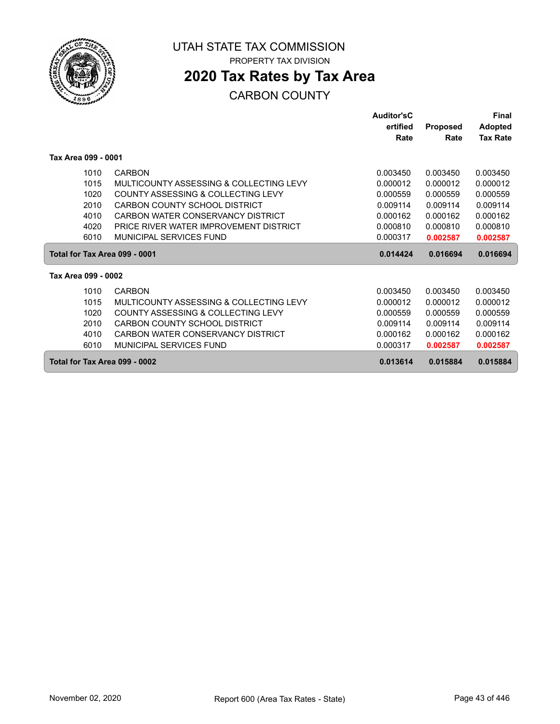

# **2020 Tax Rates by Tax Area**

|                               |                                         | Auditor'sC |                 | Final           |
|-------------------------------|-----------------------------------------|------------|-----------------|-----------------|
|                               |                                         | ertified   | <b>Proposed</b> | <b>Adopted</b>  |
|                               |                                         | Rate       | Rate            | <b>Tax Rate</b> |
| Tax Area 099 - 0001           |                                         |            |                 |                 |
| 1010                          | CARBON                                  | 0.003450   | 0.003450        | 0.003450        |
| 1015                          | MULTICOUNTY ASSESSING & COLLECTING LEVY | 0.000012   | 0.000012        | 0.000012        |
| 1020                          | COUNTY ASSESSING & COLLECTING LEVY      | 0.000559   | 0.000559        | 0.000559        |
| 2010                          | CARBON COUNTY SCHOOL DISTRICT           | 0.009114   | 0.009114        | 0.009114        |
| 4010                          | CARBON WATER CONSERVANCY DISTRICT       | 0.000162   | 0.000162        | 0.000162        |
| 4020                          | PRICE RIVER WATER IMPROVEMENT DISTRICT  | 0.000810   | 0.000810        | 0.000810        |
| 6010                          | MUNICIPAL SERVICES FUND                 | 0.000317   | 0.002587        | 0.002587        |
| Total for Tax Area 099 - 0001 |                                         | 0.014424   | 0.016694        | 0.016694        |
| Tax Area 099 - 0002           |                                         |            |                 |                 |
| 1010                          | CARBON                                  | 0.003450   | 0.003450        | 0.003450        |
| 1015                          | MULTICOUNTY ASSESSING & COLLECTING LEVY | 0.000012   | 0.000012        | 0.000012        |
| 1020                          | COUNTY ASSESSING & COLLECTING LEVY      | 0.000559   | 0.000559        | 0.000559        |
| 2010                          | CARBON COUNTY SCHOOL DISTRICT           | 0.009114   | 0.009114        | 0.009114        |
| 4010                          | CARBON WATER CONSERVANCY DISTRICT       | 0.000162   | 0.000162        | 0.000162        |
| 6010                          | MUNICIPAL SERVICES FUND                 | 0.000317   | 0.002587        | 0.002587        |
| Total for Tax Area 099 - 0002 |                                         | 0.013614   | 0.015884        | 0.015884        |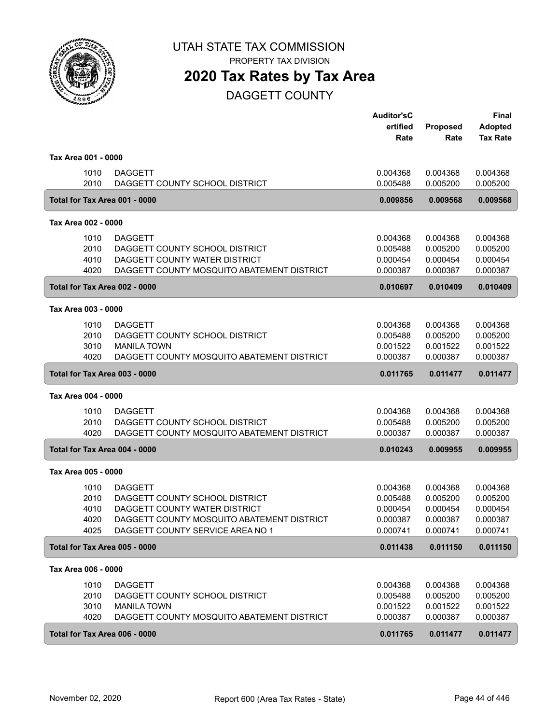

PROPERTY TAX DIVISION

### **2020 Tax Rates by Tax Area**

DAGGETT COUNTY

|                               |                                                  | <b>Auditor'sC</b><br>ertified<br>Rate | Proposed<br>Rate     | <b>Final</b><br><b>Adopted</b><br><b>Tax Rate</b> |
|-------------------------------|--------------------------------------------------|---------------------------------------|----------------------|---------------------------------------------------|
| Tax Area 001 - 0000           |                                                  |                                       |                      |                                                   |
| 1010<br>2010                  | <b>DAGGETT</b><br>DAGGETT COUNTY SCHOOL DISTRICT | 0.004368<br>0.005488                  | 0.004368<br>0.005200 | 0.004368<br>0.005200                              |
| Total for Tax Area 001 - 0000 |                                                  | 0.009856                              | 0.009568             | 0.009568                                          |
| Tax Area 002 - 0000           |                                                  |                                       |                      |                                                   |
| 1010                          | <b>DAGGETT</b>                                   | 0.004368                              | 0.004368             | 0.004368                                          |
| 2010                          | DAGGETT COUNTY SCHOOL DISTRICT                   | 0.005488                              | 0.005200             | 0.005200                                          |
| 4010                          | DAGGETT COUNTY WATER DISTRICT                    | 0.000454                              | 0.000454             | 0.000454                                          |
| 4020                          | DAGGETT COUNTY MOSQUITO ABATEMENT DISTRICT       | 0.000387                              | 0.000387             | 0.000387                                          |
| Total for Tax Area 002 - 0000 |                                                  | 0.010697                              | 0.010409             | 0.010409                                          |
| Tax Area 003 - 0000           |                                                  |                                       |                      |                                                   |
| 1010                          | <b>DAGGETT</b>                                   | 0.004368                              | 0.004368             | 0.004368                                          |
| 2010                          | DAGGETT COUNTY SCHOOL DISTRICT                   | 0.005488                              | 0.005200             | 0.005200                                          |
| 3010                          | <b>MANILA TOWN</b>                               | 0.001522                              | 0.001522             | 0.001522                                          |
| 4020                          | DAGGETT COUNTY MOSQUITO ABATEMENT DISTRICT       | 0.000387                              | 0.000387             | 0.000387                                          |
| Total for Tax Area 003 - 0000 |                                                  | 0.011765                              | 0.011477             | 0.011477                                          |
| Tax Area 004 - 0000           |                                                  |                                       |                      |                                                   |
| 1010                          | <b>DAGGETT</b>                                   | 0.004368                              | 0.004368             | 0.004368                                          |
| 2010                          | DAGGETT COUNTY SCHOOL DISTRICT                   | 0.005488                              | 0.005200             | 0.005200                                          |
| 4020                          | DAGGETT COUNTY MOSQUITO ABATEMENT DISTRICT       | 0.000387                              | 0.000387             | 0.000387                                          |
| Total for Tax Area 004 - 0000 |                                                  | 0.010243                              | 0.009955             | 0.009955                                          |
| Tax Area 005 - 0000           |                                                  |                                       |                      |                                                   |
| 1010                          | <b>DAGGETT</b>                                   | 0.004368                              | 0.004368             | 0.004368                                          |
| 2010                          | DAGGETT COUNTY SCHOOL DISTRICT                   | 0.005488                              | 0.005200             | 0.005200                                          |
| 4010                          | DAGGETT COUNTY WATER DISTRICT                    | 0.000454                              | 0.000454             | 0.000454                                          |
| 4020                          | DAGGETT COUNTY MOSQUITO ABATEMENT DISTRICT       | 0.000387                              | 0.000387             | 0.000387                                          |
| 4025                          | DAGGETT COUNTY SERVICE AREA NO 1                 | 0.000741                              | 0.000741             | 0.000741                                          |
| Total for Tax Area 005 - 0000 |                                                  | 0.011438                              | 0.011150             | 0.011150                                          |
| Tax Area 006 - 0000           |                                                  |                                       |                      |                                                   |
| 1010                          | <b>DAGGETT</b>                                   | 0.004368                              | 0.004368             | 0.004368                                          |
| 2010                          | DAGGETT COUNTY SCHOOL DISTRICT                   | 0.005488                              | 0.005200             | 0.005200                                          |
| 3010                          | <b>MANILA TOWN</b>                               | 0.001522                              | 0.001522             | 0.001522                                          |
| 4020                          | DAGGETT COUNTY MOSQUITO ABATEMENT DISTRICT       | 0.000387                              | 0.000387             | 0.000387                                          |
| Total for Tax Area 006 - 0000 |                                                  | 0.011765                              | 0.011477             | 0.011477                                          |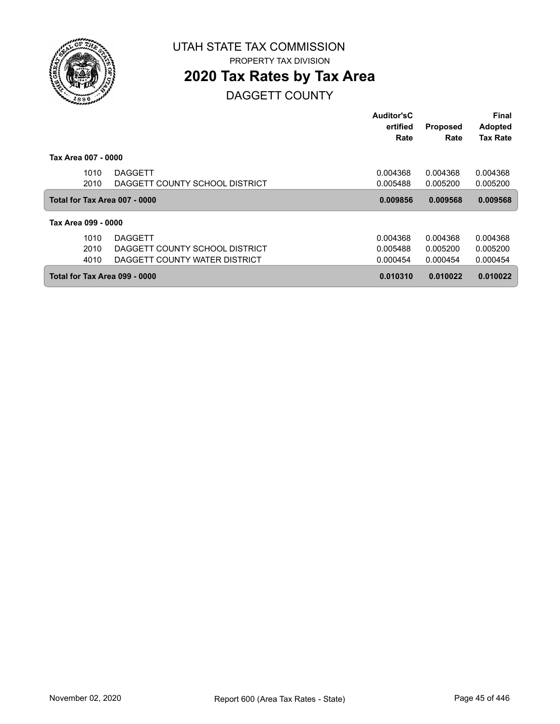

## **2020 Tax Rates by Tax Area**

DAGGETT COUNTY

|                               |                                | Auditor'sC |                 | <b>Final</b>    |
|-------------------------------|--------------------------------|------------|-----------------|-----------------|
|                               |                                | ertified   | <b>Proposed</b> | <b>Adopted</b>  |
|                               |                                | Rate       | Rate            | <b>Tax Rate</b> |
| Tax Area 007 - 0000           |                                |            |                 |                 |
| 1010                          | <b>DAGGETT</b>                 | 0.004368   | 0.004368        | 0.004368        |
| 2010                          | DAGGETT COUNTY SCHOOL DISTRICT | 0.005488   | 0.005200        | 0.005200        |
| Total for Tax Area 007 - 0000 |                                | 0.009856   | 0.009568        | 0.009568        |
| Tax Area 099 - 0000           |                                |            |                 |                 |
| 1010                          | <b>DAGGETT</b>                 | 0.004368   | 0.004368        | 0.004368        |
| 2010                          | DAGGETT COUNTY SCHOOL DISTRICT | 0.005488   | 0.005200        | 0.005200        |
| 4010                          | DAGGETT COUNTY WATER DISTRICT  | 0.000454   | 0.000454        | 0.000454        |
| Total for Tax Area 099 - 0000 |                                | 0.010310   | 0.010022        | 0.010022        |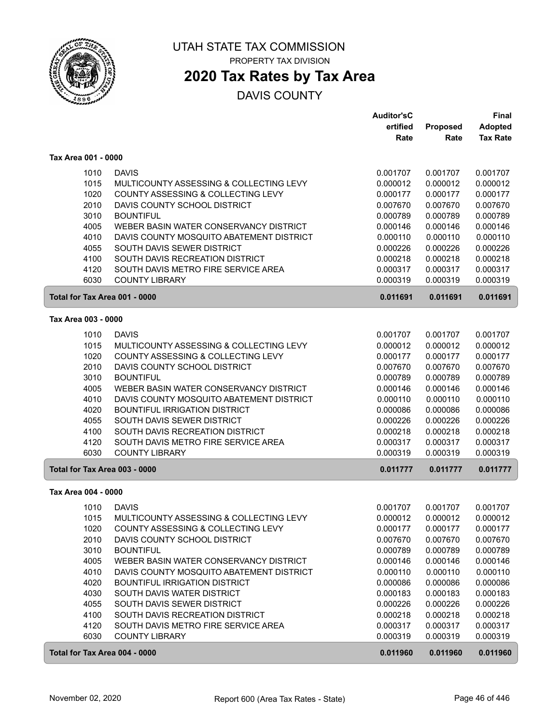

PROPERTY TAX DIVISION

### **2020 Tax Rates by Tax Area**

|                               |                                                                        | <b>Auditor'sC</b>    |                      | Final                |
|-------------------------------|------------------------------------------------------------------------|----------------------|----------------------|----------------------|
|                               |                                                                        | ertified             | <b>Proposed</b>      | <b>Adopted</b>       |
|                               |                                                                        | Rate                 | Rate                 | <b>Tax Rate</b>      |
| Tax Area 001 - 0000           |                                                                        |                      |                      |                      |
| 1010                          | <b>DAVIS</b>                                                           | 0.001707             | 0.001707             | 0.001707             |
| 1015                          | MULTICOUNTY ASSESSING & COLLECTING LEVY                                | 0.000012             | 0.000012             | 0.000012             |
| 1020                          | COUNTY ASSESSING & COLLECTING LEVY                                     | 0.000177             | 0.000177             | 0.000177             |
| 2010                          | DAVIS COUNTY SCHOOL DISTRICT                                           | 0.007670             | 0.007670             | 0.007670             |
| 3010                          | <b>BOUNTIFUL</b>                                                       | 0.000789             | 0.000789             | 0.000789             |
| 4005                          | WEBER BASIN WATER CONSERVANCY DISTRICT                                 | 0.000146             | 0.000146             | 0.000146             |
| 4010                          | DAVIS COUNTY MOSQUITO ABATEMENT DISTRICT                               | 0.000110             | 0.000110             | 0.000110             |
| 4055                          | SOUTH DAVIS SEWER DISTRICT                                             | 0.000226             | 0.000226             | 0.000226             |
| 4100                          | SOUTH DAVIS RECREATION DISTRICT                                        | 0.000218             | 0.000218             | 0.000218             |
| 4120                          | SOUTH DAVIS METRO FIRE SERVICE AREA                                    | 0.000317             | 0.000317             | 0.000317             |
| 6030                          | <b>COUNTY LIBRARY</b>                                                  | 0.000319             | 0.000319             | 0.000319             |
| Total for Tax Area 001 - 0000 |                                                                        | 0.011691             | 0.011691             | 0.011691             |
|                               |                                                                        |                      |                      |                      |
| Tax Area 003 - 0000           |                                                                        |                      |                      |                      |
| 1010                          | <b>DAVIS</b>                                                           | 0.001707             | 0.001707             | 0.001707             |
| 1015                          | MULTICOUNTY ASSESSING & COLLECTING LEVY                                | 0.000012             | 0.000012             | 0.000012             |
| 1020                          | COUNTY ASSESSING & COLLECTING LEVY                                     | 0.000177             | 0.000177             | 0.000177             |
| 2010                          | DAVIS COUNTY SCHOOL DISTRICT                                           | 0.007670             | 0.007670             | 0.007670             |
| 3010                          | <b>BOUNTIFUL</b>                                                       | 0.000789             | 0.000789             | 0.000789             |
| 4005                          | WEBER BASIN WATER CONSERVANCY DISTRICT                                 | 0.000146             | 0.000146             | 0.000146             |
| 4010                          | DAVIS COUNTY MOSQUITO ABATEMENT DISTRICT                               | 0.000110             | 0.000110             | 0.000110             |
| 4020                          | <b>BOUNTIFUL IRRIGATION DISTRICT</b>                                   | 0.000086             | 0.000086             | 0.000086             |
| 4055                          | SOUTH DAVIS SEWER DISTRICT                                             | 0.000226             | 0.000226             | 0.000226             |
| 4100<br>4120                  | SOUTH DAVIS RECREATION DISTRICT<br>SOUTH DAVIS METRO FIRE SERVICE AREA | 0.000218<br>0.000317 | 0.000218<br>0.000317 | 0.000218<br>0.000317 |
| 6030                          | <b>COUNTY LIBRARY</b>                                                  | 0.000319             | 0.000319             | 0.000319             |
| Total for Tax Area 003 - 0000 |                                                                        | 0.011777             | 0.011777             | 0.011777             |
|                               |                                                                        |                      |                      |                      |
| Tax Area 004 - 0000           |                                                                        |                      |                      |                      |
| 1010                          | <b>DAVIS</b>                                                           | 0.001707             | 0.001707             | 0.001707             |
| 1015                          | MULTICOUNTY ASSESSING & COLLECTING LEVY                                | 0.000012             | 0.000012             | 0.000012             |
| 1020                          | COUNTY ASSESSING & COLLECTING LEVY                                     | 0.000177             | 0.000177             | 0.000177             |
| 2010                          | DAVIS COUNTY SCHOOL DISTRICT                                           | 0.007670             | 0.007670             | 0.007670             |
| 3010                          | <b>BOUNTIFUL</b>                                                       | 0.000789             | 0.000789             | 0.000789             |
| 4005                          | WEBER BASIN WATER CONSERVANCY DISTRICT                                 | 0.000146             | 0.000146             | 0.000146             |
| 4010                          | DAVIS COUNTY MOSQUITO ABATEMENT DISTRICT                               | 0.000110             | 0.000110             | 0.000110             |
| 4020                          | <b>BOUNTIFUL IRRIGATION DISTRICT</b>                                   | 0.000086             | 0.000086             | 0.000086             |
| 4030                          | SOUTH DAVIS WATER DISTRICT                                             | 0.000183             | 0.000183             | 0.000183             |
| 4055                          | SOUTH DAVIS SEWER DISTRICT                                             | 0.000226             | 0.000226             | 0.000226             |
| 4100                          | SOUTH DAVIS RECREATION DISTRICT                                        | 0.000218             | 0.000218             | 0.000218             |
| 4120                          | SOUTH DAVIS METRO FIRE SERVICE AREA                                    | 0.000317             | 0.000317             | 0.000317             |
| 6030                          | <b>COUNTY LIBRARY</b>                                                  | 0.000319             | 0.000319             | 0.000319             |
| Total for Tax Area 004 - 0000 |                                                                        | 0.011960             | 0.011960             | 0.011960             |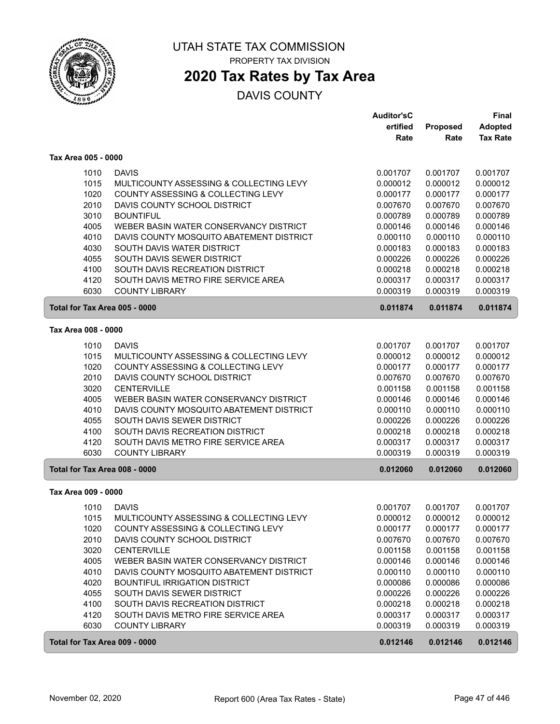

## **2020 Tax Rates by Tax Area**

|                               |                                          | <b>Auditor'sC</b> |          | Final           |
|-------------------------------|------------------------------------------|-------------------|----------|-----------------|
|                               |                                          | ertified          | Proposed | <b>Adopted</b>  |
|                               |                                          | Rate              | Rate     | <b>Tax Rate</b> |
| Tax Area 005 - 0000           |                                          |                   |          |                 |
| 1010                          | <b>DAVIS</b>                             | 0.001707          | 0.001707 | 0.001707        |
| 1015                          | MULTICOUNTY ASSESSING & COLLECTING LEVY  | 0.000012          | 0.000012 | 0.000012        |
| 1020                          | COUNTY ASSESSING & COLLECTING LEVY       | 0.000177          | 0.000177 | 0.000177        |
| 2010                          | DAVIS COUNTY SCHOOL DISTRICT             | 0.007670          | 0.007670 | 0.007670        |
| 3010                          | <b>BOUNTIFUL</b>                         | 0.000789          | 0.000789 | 0.000789        |
| 4005                          | WEBER BASIN WATER CONSERVANCY DISTRICT   | 0.000146          | 0.000146 | 0.000146        |
| 4010                          | DAVIS COUNTY MOSQUITO ABATEMENT DISTRICT | 0.000110          | 0.000110 | 0.000110        |
| 4030                          | SOUTH DAVIS WATER DISTRICT               | 0.000183          | 0.000183 | 0.000183        |
| 4055                          | SOUTH DAVIS SEWER DISTRICT               | 0.000226          | 0.000226 | 0.000226        |
| 4100                          | SOUTH DAVIS RECREATION DISTRICT          | 0.000218          | 0.000218 | 0.000218        |
| 4120                          | SOUTH DAVIS METRO FIRE SERVICE AREA      | 0.000317          | 0.000317 | 0.000317        |
| 6030                          | <b>COUNTY LIBRARY</b>                    | 0.000319          | 0.000319 | 0.000319        |
| Total for Tax Area 005 - 0000 |                                          | 0.011874          | 0.011874 | 0.011874        |
| Tax Area 008 - 0000           |                                          |                   |          |                 |
|                               |                                          |                   |          |                 |
| 1010                          | <b>DAVIS</b>                             | 0.001707          | 0.001707 | 0.001707        |
| 1015                          | MULTICOUNTY ASSESSING & COLLECTING LEVY  | 0.000012          | 0.000012 | 0.000012        |
| 1020                          | COUNTY ASSESSING & COLLECTING LEVY       | 0.000177          | 0.000177 | 0.000177        |
| 2010                          | DAVIS COUNTY SCHOOL DISTRICT             | 0.007670          | 0.007670 | 0.007670        |
| 3020                          | <b>CENTERVILLE</b>                       | 0.001158          | 0.001158 | 0.001158        |
| 4005                          | WEBER BASIN WATER CONSERVANCY DISTRICT   | 0.000146          | 0.000146 | 0.000146        |
| 4010                          | DAVIS COUNTY MOSQUITO ABATEMENT DISTRICT | 0.000110          | 0.000110 | 0.000110        |
| 4055                          | SOUTH DAVIS SEWER DISTRICT               | 0.000226          | 0.000226 | 0.000226        |
| 4100                          | SOUTH DAVIS RECREATION DISTRICT          | 0.000218          | 0.000218 | 0.000218        |
| 4120                          | SOUTH DAVIS METRO FIRE SERVICE AREA      | 0.000317          | 0.000317 | 0.000317        |
| 6030                          | <b>COUNTY LIBRARY</b>                    | 0.000319          | 0.000319 | 0.000319        |
| Total for Tax Area 008 - 0000 |                                          | 0.012060          | 0.012060 | 0.012060        |
| Tax Area 009 - 0000           |                                          |                   |          |                 |
| 1010                          | <b>DAVIS</b>                             | 0.001707          | 0.001707 | 0.001707        |
| 1015                          | MULTICOUNTY ASSESSING & COLLECTING LEVY  | 0.000012          | 0.000012 | 0.000012        |
| 1020                          | COUNTY ASSESSING & COLLECTING LEVY       | 0.000177          | 0.000177 | 0.000177        |
| 2010                          | DAVIS COUNTY SCHOOL DISTRICT             | 0.007670          | 0.007670 | 0.007670        |
| 3020                          | <b>CENTERVILLE</b>                       | 0.001158          | 0.001158 | 0.001158        |
| 4005                          | WEBER BASIN WATER CONSERVANCY DISTRICT   | 0.000146          | 0.000146 | 0.000146        |
| 4010                          | DAVIS COUNTY MOSQUITO ABATEMENT DISTRICT | 0.000110          | 0.000110 | 0.000110        |
| 4020                          | <b>BOUNTIFUL IRRIGATION DISTRICT</b>     | 0.000086          | 0.000086 | 0.000086        |
| 4055                          | SOUTH DAVIS SEWER DISTRICT               | 0.000226          | 0.000226 | 0.000226        |
| 4100                          | SOUTH DAVIS RECREATION DISTRICT          | 0.000218          | 0.000218 | 0.000218        |
| 4120                          | SOUTH DAVIS METRO FIRE SERVICE AREA      | 0.000317          | 0.000317 | 0.000317        |
| 6030                          | <b>COUNTY LIBRARY</b>                    | 0.000319          | 0.000319 | 0.000319        |
| Total for Tax Area 009 - 0000 |                                          | 0.012146          | 0.012146 | 0.012146        |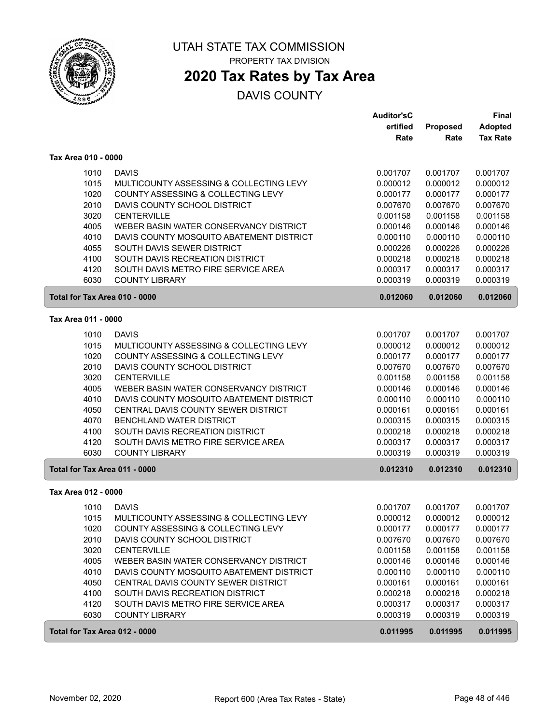

PROPERTY TAX DIVISION

## **2020 Tax Rates by Tax Area**

|                               |                                          | <b>Auditor'sC</b> |          | Final           |
|-------------------------------|------------------------------------------|-------------------|----------|-----------------|
|                               |                                          | ertified          | Proposed | <b>Adopted</b>  |
|                               |                                          | Rate              | Rate     | <b>Tax Rate</b> |
| Tax Area 010 - 0000           |                                          |                   |          |                 |
| 1010                          | <b>DAVIS</b>                             | 0.001707          | 0.001707 | 0.001707        |
| 1015                          | MULTICOUNTY ASSESSING & COLLECTING LEVY  | 0.000012          | 0.000012 | 0.000012        |
| 1020                          | COUNTY ASSESSING & COLLECTING LEVY       | 0.000177          | 0.000177 | 0.000177        |
| 2010                          | DAVIS COUNTY SCHOOL DISTRICT             | 0.007670          | 0.007670 | 0.007670        |
| 3020                          | <b>CENTERVILLE</b>                       | 0.001158          | 0.001158 | 0.001158        |
| 4005                          | WEBER BASIN WATER CONSERVANCY DISTRICT   | 0.000146          | 0.000146 | 0.000146        |
| 4010                          | DAVIS COUNTY MOSQUITO ABATEMENT DISTRICT | 0.000110          | 0.000110 | 0.000110        |
| 4055                          | SOUTH DAVIS SEWER DISTRICT               | 0.000226          | 0.000226 | 0.000226        |
| 4100                          | SOUTH DAVIS RECREATION DISTRICT          | 0.000218          | 0.000218 | 0.000218        |
| 4120                          | SOUTH DAVIS METRO FIRE SERVICE AREA      | 0.000317          | 0.000317 | 0.000317        |
| 6030                          | <b>COUNTY LIBRARY</b>                    | 0.000319          | 0.000319 | 0.000319        |
| Total for Tax Area 010 - 0000 |                                          | 0.012060          | 0.012060 | 0.012060        |
| Tax Area 011 - 0000           |                                          |                   |          |                 |
| 1010                          | <b>DAVIS</b>                             | 0.001707          | 0.001707 | 0.001707        |
| 1015                          | MULTICOUNTY ASSESSING & COLLECTING LEVY  | 0.000012          | 0.000012 | 0.000012        |
| 1020                          | COUNTY ASSESSING & COLLECTING LEVY       | 0.000177          | 0.000177 | 0.000177        |
| 2010                          | DAVIS COUNTY SCHOOL DISTRICT             | 0.007670          | 0.007670 | 0.007670        |
| 3020                          | <b>CENTERVILLE</b>                       | 0.001158          | 0.001158 | 0.001158        |
| 4005                          | WEBER BASIN WATER CONSERVANCY DISTRICT   | 0.000146          | 0.000146 | 0.000146        |
| 4010                          | DAVIS COUNTY MOSQUITO ABATEMENT DISTRICT | 0.000110          | 0.000110 | 0.000110        |
| 4050                          | CENTRAL DAVIS COUNTY SEWER DISTRICT      | 0.000161          | 0.000161 | 0.000161        |
| 4070                          | BENCHLAND WATER DISTRICT                 | 0.000315          | 0.000315 | 0.000315        |
| 4100                          | SOUTH DAVIS RECREATION DISTRICT          | 0.000218          | 0.000218 | 0.000218        |
| 4120                          | SOUTH DAVIS METRO FIRE SERVICE AREA      | 0.000317          | 0.000317 | 0.000317        |
| 6030                          | <b>COUNTY LIBRARY</b>                    | 0.000319          | 0.000319 | 0.000319        |
| Total for Tax Area 011 - 0000 |                                          | 0.012310          | 0.012310 | 0.012310        |
| Tax Area 012 - 0000           |                                          |                   |          |                 |
| 1010                          | <b>DAVIS</b>                             | 0.001707          | 0.001707 | 0.001707        |
| 1015                          | MULTICOUNTY ASSESSING & COLLECTING LEVY  | 0.000012          | 0.000012 | 0.000012        |
| 1020                          | COUNTY ASSESSING & COLLECTING LEVY       | 0.000177          | 0.000177 | 0.000177        |
| 2010                          | DAVIS COUNTY SCHOOL DISTRICT             | 0.007670          | 0.007670 | 0.007670        |
| 3020                          | <b>CENTERVILLE</b>                       | 0.001158          | 0.001158 | 0.001158        |
| 4005                          | WEBER BASIN WATER CONSERVANCY DISTRICT   | 0.000146          | 0.000146 | 0.000146        |
| 4010                          | DAVIS COUNTY MOSQUITO ABATEMENT DISTRICT | 0.000110          | 0.000110 | 0.000110        |
| 4050                          | CENTRAL DAVIS COUNTY SEWER DISTRICT      | 0.000161          | 0.000161 | 0.000161        |
| 4100                          | SOUTH DAVIS RECREATION DISTRICT          | 0.000218          | 0.000218 | 0.000218        |
| 4120                          | SOUTH DAVIS METRO FIRE SERVICE AREA      | 0.000317          | 0.000317 | 0.000317        |
| 6030                          | <b>COUNTY LIBRARY</b>                    | 0.000319          | 0.000319 | 0.000319        |
| Total for Tax Area 012 - 0000 |                                          | 0.011995          | 0.011995 | 0.011995        |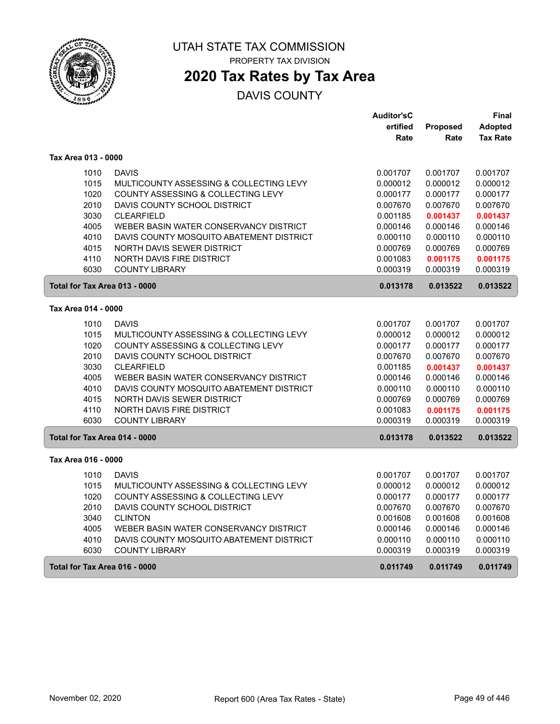

PROPERTY TAX DIVISION

## **2020 Tax Rates by Tax Area**

|                               |                                          | <b>Auditor'sC</b> |          | Final           |
|-------------------------------|------------------------------------------|-------------------|----------|-----------------|
|                               |                                          | ertified          | Proposed | <b>Adopted</b>  |
|                               |                                          | Rate              | Rate     | <b>Tax Rate</b> |
| Tax Area 013 - 0000           |                                          |                   |          |                 |
| 1010                          | <b>DAVIS</b>                             | 0.001707          | 0.001707 | 0.001707        |
| 1015                          | MULTICOUNTY ASSESSING & COLLECTING LEVY  | 0.000012          | 0.000012 | 0.000012        |
| 1020                          | COUNTY ASSESSING & COLLECTING LEVY       | 0.000177          | 0.000177 | 0.000177        |
| 2010                          | DAVIS COUNTY SCHOOL DISTRICT             | 0.007670          | 0.007670 | 0.007670        |
| 3030                          | <b>CLEARFIELD</b>                        | 0.001185          | 0.001437 | 0.001437        |
| 4005                          | WEBER BASIN WATER CONSERVANCY DISTRICT   | 0.000146          | 0.000146 | 0.000146        |
| 4010                          | DAVIS COUNTY MOSQUITO ABATEMENT DISTRICT | 0.000110          | 0.000110 | 0.000110        |
| 4015                          | NORTH DAVIS SEWER DISTRICT               | 0.000769          | 0.000769 | 0.000769        |
| 4110                          | NORTH DAVIS FIRE DISTRICT                | 0.001083          | 0.001175 | 0.001175        |
| 6030                          | <b>COUNTY LIBRARY</b>                    | 0.000319          | 0.000319 | 0.000319        |
| Total for Tax Area 013 - 0000 |                                          | 0.013178          | 0.013522 | 0.013522        |
| Tax Area 014 - 0000           |                                          |                   |          |                 |
| 1010                          | <b>DAVIS</b>                             | 0.001707          | 0.001707 | 0.001707        |
| 1015                          | MULTICOUNTY ASSESSING & COLLECTING LEVY  | 0.000012          | 0.000012 | 0.000012        |
| 1020                          | COUNTY ASSESSING & COLLECTING LEVY       | 0.000177          | 0.000177 | 0.000177        |
| 2010                          | DAVIS COUNTY SCHOOL DISTRICT             | 0.007670          | 0.007670 | 0.007670        |
| 3030                          | <b>CLEARFIELD</b>                        | 0.001185          | 0.001437 | 0.001437        |
| 4005                          | WEBER BASIN WATER CONSERVANCY DISTRICT   | 0.000146          | 0.000146 | 0.000146        |
| 4010                          | DAVIS COUNTY MOSQUITO ABATEMENT DISTRICT | 0.000110          | 0.000110 | 0.000110        |
| 4015                          | NORTH DAVIS SEWER DISTRICT               | 0.000769          | 0.000769 | 0.000769        |
| 4110                          | NORTH DAVIS FIRE DISTRICT                | 0.001083          | 0.001175 | 0.001175        |
| 6030                          | <b>COUNTY LIBRARY</b>                    | 0.000319          | 0.000319 | 0.000319        |
| Total for Tax Area 014 - 0000 |                                          | 0.013178          | 0.013522 | 0.013522        |
| Tax Area 016 - 0000           |                                          |                   |          |                 |
| 1010                          | <b>DAVIS</b>                             | 0.001707          | 0.001707 | 0.001707        |
| 1015                          | MULTICOUNTY ASSESSING & COLLECTING LEVY  | 0.000012          | 0.000012 | 0.000012        |
| 1020                          | COUNTY ASSESSING & COLLECTING LEVY       | 0.000177          | 0.000177 | 0.000177        |
| 2010                          | DAVIS COUNTY SCHOOL DISTRICT             | 0.007670          | 0.007670 | 0.007670        |
| 3040                          | <b>CLINTON</b>                           | 0.001608          | 0.001608 | 0.001608        |
| 4005                          | WEBER BASIN WATER CONSERVANCY DISTRICT   | 0.000146          | 0.000146 | 0.000146        |
| 4010                          | DAVIS COUNTY MOSQUITO ABATEMENT DISTRICT | 0.000110          | 0.000110 | 0.000110        |
| 6030                          | <b>COUNTY LIBRARY</b>                    | 0.000319          | 0.000319 | 0.000319        |
| Total for Tax Area 016 - 0000 |                                          | 0.011749          | 0.011749 | 0.011749        |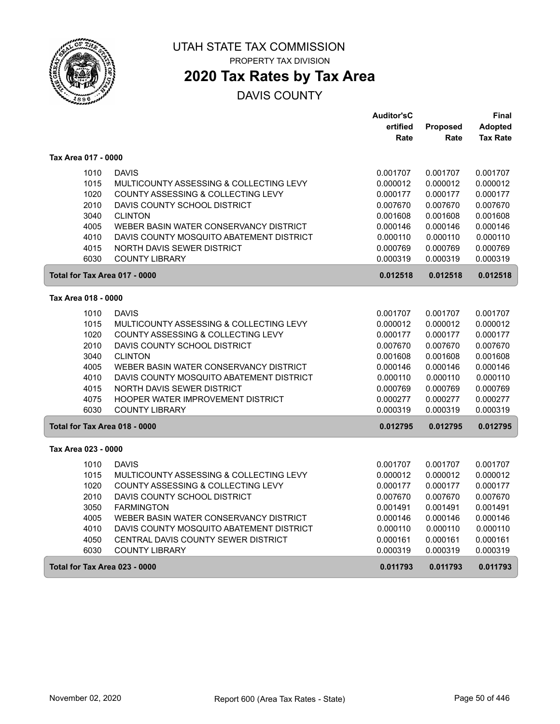

PROPERTY TAX DIVISION

## **2020 Tax Rates by Tax Area**

|                               |                                          | <b>Auditor'sC</b> |          | Final           |
|-------------------------------|------------------------------------------|-------------------|----------|-----------------|
|                               |                                          | ertified          | Proposed | <b>Adopted</b>  |
|                               |                                          | Rate              | Rate     | <b>Tax Rate</b> |
| Tax Area 017 - 0000           |                                          |                   |          |                 |
| 1010                          | <b>DAVIS</b>                             | 0.001707          | 0.001707 | 0.001707        |
| 1015                          | MULTICOUNTY ASSESSING & COLLECTING LEVY  | 0.000012          | 0.000012 | 0.000012        |
| 1020                          | COUNTY ASSESSING & COLLECTING LEVY       | 0.000177          | 0.000177 | 0.000177        |
| 2010                          | DAVIS COUNTY SCHOOL DISTRICT             | 0.007670          | 0.007670 | 0.007670        |
| 3040                          | <b>CLINTON</b>                           | 0.001608          | 0.001608 | 0.001608        |
| 4005                          | WEBER BASIN WATER CONSERVANCY DISTRICT   | 0.000146          | 0.000146 | 0.000146        |
| 4010                          | DAVIS COUNTY MOSQUITO ABATEMENT DISTRICT | 0.000110          | 0.000110 | 0.000110        |
| 4015                          | NORTH DAVIS SEWER DISTRICT               | 0.000769          | 0.000769 | 0.000769        |
| 6030                          | <b>COUNTY LIBRARY</b>                    | 0.000319          | 0.000319 | 0.000319        |
| Total for Tax Area 017 - 0000 |                                          | 0.012518          | 0.012518 | 0.012518        |
| Tax Area 018 - 0000           |                                          |                   |          |                 |
| 1010                          | <b>DAVIS</b>                             | 0.001707          | 0.001707 | 0.001707        |
| 1015                          | MULTICOUNTY ASSESSING & COLLECTING LEVY  | 0.000012          | 0.000012 | 0.000012        |
| 1020                          | COUNTY ASSESSING & COLLECTING LEVY       | 0.000177          | 0.000177 | 0.000177        |
| 2010                          | DAVIS COUNTY SCHOOL DISTRICT             | 0.007670          | 0.007670 | 0.007670        |
| 3040                          | <b>CLINTON</b>                           | 0.001608          | 0.001608 | 0.001608        |
| 4005                          | WEBER BASIN WATER CONSERVANCY DISTRICT   | 0.000146          | 0.000146 | 0.000146        |
| 4010                          | DAVIS COUNTY MOSQUITO ABATEMENT DISTRICT | 0.000110          | 0.000110 | 0.000110        |
| 4015                          | NORTH DAVIS SEWER DISTRICT               | 0.000769          | 0.000769 | 0.000769        |
| 4075                          | HOOPER WATER IMPROVEMENT DISTRICT        | 0.000277          | 0.000277 | 0.000277        |
| 6030                          | <b>COUNTY LIBRARY</b>                    | 0.000319          | 0.000319 | 0.000319        |
| Total for Tax Area 018 - 0000 |                                          | 0.012795          | 0.012795 | 0.012795        |
| Tax Area 023 - 0000           |                                          |                   |          |                 |
| 1010                          | <b>DAVIS</b>                             | 0.001707          | 0.001707 | 0.001707        |
| 1015                          | MULTICOUNTY ASSESSING & COLLECTING LEVY  | 0.000012          | 0.000012 | 0.000012        |
| 1020                          | COUNTY ASSESSING & COLLECTING LEVY       | 0.000177          | 0.000177 | 0.000177        |
| 2010                          | DAVIS COUNTY SCHOOL DISTRICT             | 0.007670          | 0.007670 | 0.007670        |
| 3050                          | <b>FARMINGTON</b>                        | 0.001491          | 0.001491 | 0.001491        |
| 4005                          | WEBER BASIN WATER CONSERVANCY DISTRICT   | 0.000146          | 0.000146 | 0.000146        |
| 4010                          | DAVIS COUNTY MOSQUITO ABATEMENT DISTRICT | 0.000110          | 0.000110 | 0.000110        |
| 4050                          | CENTRAL DAVIS COUNTY SEWER DISTRICT      | 0.000161          | 0.000161 | 0.000161        |
| 6030                          | <b>COUNTY LIBRARY</b>                    | 0.000319          | 0.000319 | 0.000319        |
| Total for Tax Area 023 - 0000 |                                          | 0.011793          | 0.011793 | 0.011793        |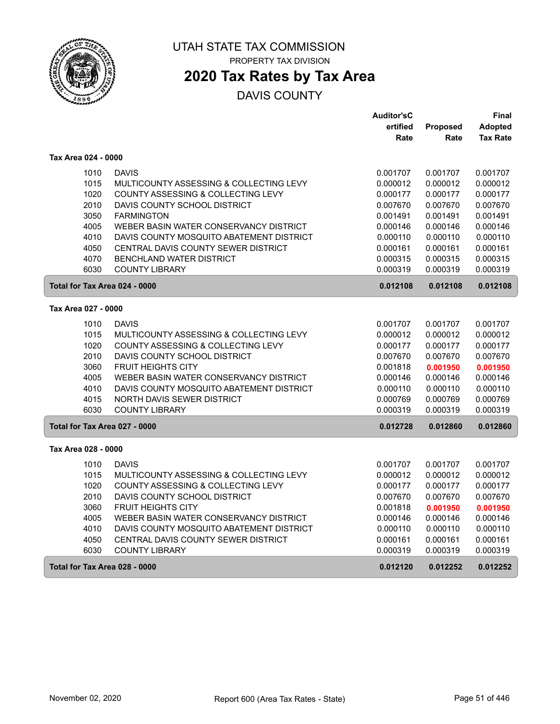

PROPERTY TAX DIVISION

## **2020 Tax Rates by Tax Area**

|                               |                                          | <b>Auditor'sC</b> |                 | Final           |
|-------------------------------|------------------------------------------|-------------------|-----------------|-----------------|
|                               |                                          | ertified          | <b>Proposed</b> | <b>Adopted</b>  |
|                               |                                          | Rate              | Rate            | <b>Tax Rate</b> |
| Tax Area 024 - 0000           |                                          |                   |                 |                 |
| 1010                          | <b>DAVIS</b>                             | 0.001707          | 0.001707        | 0.001707        |
| 1015                          | MULTICOUNTY ASSESSING & COLLECTING LEVY  | 0.000012          | 0.000012        | 0.000012        |
| 1020                          | COUNTY ASSESSING & COLLECTING LEVY       | 0.000177          | 0.000177        | 0.000177        |
| 2010                          | DAVIS COUNTY SCHOOL DISTRICT             | 0.007670          | 0.007670        | 0.007670        |
| 3050                          | <b>FARMINGTON</b>                        | 0.001491          | 0.001491        | 0.001491        |
| 4005                          | WEBER BASIN WATER CONSERVANCY DISTRICT   | 0.000146          | 0.000146        | 0.000146        |
| 4010                          | DAVIS COUNTY MOSQUITO ABATEMENT DISTRICT | 0.000110          | 0.000110        | 0.000110        |
| 4050                          | CENTRAL DAVIS COUNTY SEWER DISTRICT      | 0.000161          | 0.000161        | 0.000161        |
| 4070                          | <b>BENCHLAND WATER DISTRICT</b>          | 0.000315          | 0.000315        | 0.000315        |
| 6030                          | <b>COUNTY LIBRARY</b>                    | 0.000319          | 0.000319        | 0.000319        |
| Total for Tax Area 024 - 0000 |                                          | 0.012108          | 0.012108        | 0.012108        |
| Tax Area 027 - 0000           |                                          |                   |                 |                 |
| 1010                          | <b>DAVIS</b>                             | 0.001707          | 0.001707        | 0.001707        |
| 1015                          | MULTICOUNTY ASSESSING & COLLECTING LEVY  | 0.000012          | 0.000012        | 0.000012        |
| 1020                          | COUNTY ASSESSING & COLLECTING LEVY       | 0.000177          | 0.000177        | 0.000177        |
| 2010                          | DAVIS COUNTY SCHOOL DISTRICT             | 0.007670          | 0.007670        | 0.007670        |
| 3060                          | <b>FRUIT HEIGHTS CITY</b>                | 0.001818          | 0.001950        | 0.001950        |
| 4005                          | WEBER BASIN WATER CONSERVANCY DISTRICT   | 0.000146          | 0.000146        | 0.000146        |
| 4010                          | DAVIS COUNTY MOSQUITO ABATEMENT DISTRICT | 0.000110          | 0.000110        | 0.000110        |
| 4015                          | NORTH DAVIS SEWER DISTRICT               | 0.000769          | 0.000769        | 0.000769        |
| 6030                          | <b>COUNTY LIBRARY</b>                    | 0.000319          | 0.000319        | 0.000319        |
| Total for Tax Area 027 - 0000 |                                          | 0.012728          | 0.012860        | 0.012860        |
| Tax Area 028 - 0000           |                                          |                   |                 |                 |
| 1010                          | <b>DAVIS</b>                             | 0.001707          | 0.001707        | 0.001707        |
| 1015                          | MULTICOUNTY ASSESSING & COLLECTING LEVY  | 0.000012          | 0.000012        | 0.000012        |
| 1020                          | COUNTY ASSESSING & COLLECTING LEVY       | 0.000177          | 0.000177        | 0.000177        |
| 2010                          | DAVIS COUNTY SCHOOL DISTRICT             | 0.007670          | 0.007670        | 0.007670        |
| 3060                          | <b>FRUIT HEIGHTS CITY</b>                | 0.001818          | 0.001950        | 0.001950        |
| 4005                          | WEBER BASIN WATER CONSERVANCY DISTRICT   | 0.000146          | 0.000146        | 0.000146        |
| 4010                          | DAVIS COUNTY MOSQUITO ABATEMENT DISTRICT | 0.000110          | 0.000110        | 0.000110        |
| 4050                          | CENTRAL DAVIS COUNTY SEWER DISTRICT      | 0.000161          | 0.000161        | 0.000161        |
| 6030                          | <b>COUNTY LIBRARY</b>                    | 0.000319          | 0.000319        | 0.000319        |
| Total for Tax Area 028 - 0000 |                                          | 0.012120          | 0.012252        | 0.012252        |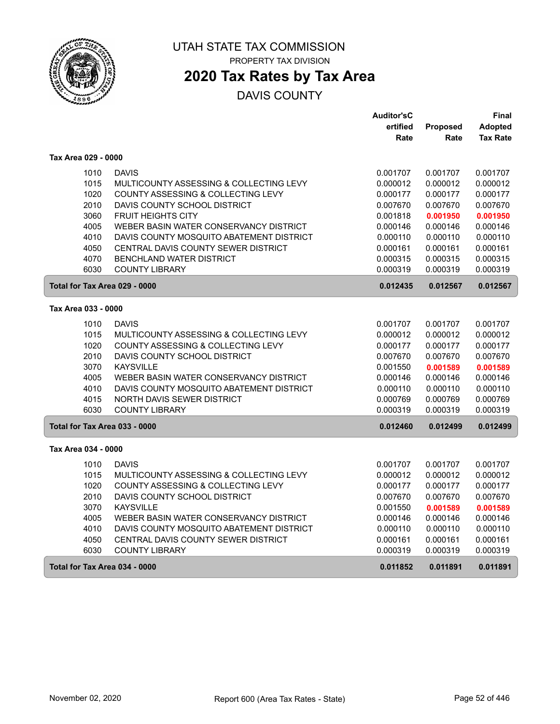

PROPERTY TAX DIVISION

## **2020 Tax Rates by Tax Area**

|                               |                                          | <b>Auditor'sC</b> |          | <b>Final</b>    |
|-------------------------------|------------------------------------------|-------------------|----------|-----------------|
|                               |                                          | ertified          | Proposed | Adopted         |
|                               |                                          | Rate              | Rate     | <b>Tax Rate</b> |
| Tax Area 029 - 0000           |                                          |                   |          |                 |
| 1010                          | <b>DAVIS</b>                             | 0.001707          | 0.001707 | 0.001707        |
| 1015                          | MULTICOUNTY ASSESSING & COLLECTING LEVY  | 0.000012          | 0.000012 | 0.000012        |
| 1020                          | COUNTY ASSESSING & COLLECTING LEVY       | 0.000177          | 0.000177 | 0.000177        |
| 2010                          | DAVIS COUNTY SCHOOL DISTRICT             | 0.007670          | 0.007670 | 0.007670        |
| 3060                          | <b>FRUIT HEIGHTS CITY</b>                | 0.001818          | 0.001950 | 0.001950        |
| 4005                          | WEBER BASIN WATER CONSERVANCY DISTRICT   | 0.000146          | 0.000146 | 0.000146        |
| 4010                          | DAVIS COUNTY MOSQUITO ABATEMENT DISTRICT | 0.000110          | 0.000110 | 0.000110        |
| 4050                          | CENTRAL DAVIS COUNTY SEWER DISTRICT      | 0.000161          | 0.000161 | 0.000161        |
| 4070                          | <b>BENCHLAND WATER DISTRICT</b>          | 0.000315          | 0.000315 | 0.000315        |
| 6030                          | <b>COUNTY LIBRARY</b>                    | 0.000319          | 0.000319 | 0.000319        |
| Total for Tax Area 029 - 0000 |                                          | 0.012435          | 0.012567 | 0.012567        |
| Tax Area 033 - 0000           |                                          |                   |          |                 |
| 1010                          | <b>DAVIS</b>                             | 0.001707          | 0.001707 | 0.001707        |
| 1015                          | MULTICOUNTY ASSESSING & COLLECTING LEVY  | 0.000012          | 0.000012 | 0.000012        |
| 1020                          | COUNTY ASSESSING & COLLECTING LEVY       | 0.000177          | 0.000177 | 0.000177        |
| 2010                          | DAVIS COUNTY SCHOOL DISTRICT             | 0.007670          | 0.007670 | 0.007670        |
| 3070                          | <b>KAYSVILLE</b>                         | 0.001550          | 0.001589 | 0.001589        |
| 4005                          | WEBER BASIN WATER CONSERVANCY DISTRICT   | 0.000146          | 0.000146 | 0.000146        |
| 4010                          | DAVIS COUNTY MOSQUITO ABATEMENT DISTRICT | 0.000110          | 0.000110 | 0.000110        |
| 4015                          | <b>NORTH DAVIS SEWER DISTRICT</b>        | 0.000769          | 0.000769 | 0.000769        |
| 6030                          | <b>COUNTY LIBRARY</b>                    | 0.000319          | 0.000319 | 0.000319        |
| Total for Tax Area 033 - 0000 |                                          | 0.012460          | 0.012499 | 0.012499        |
| Tax Area 034 - 0000           |                                          |                   |          |                 |
| 1010                          | <b>DAVIS</b>                             | 0.001707          | 0.001707 | 0.001707        |
| 1015                          | MULTICOUNTY ASSESSING & COLLECTING LEVY  | 0.000012          | 0.000012 | 0.000012        |
| 1020                          | COUNTY ASSESSING & COLLECTING LEVY       | 0.000177          | 0.000177 | 0.000177        |
| 2010                          | DAVIS COUNTY SCHOOL DISTRICT             | 0.007670          | 0.007670 | 0.007670        |
| 3070                          | <b>KAYSVILLE</b>                         | 0.001550          | 0.001589 | 0.001589        |
| 4005                          | WEBER BASIN WATER CONSERVANCY DISTRICT   | 0.000146          | 0.000146 | 0.000146        |
| 4010                          | DAVIS COUNTY MOSQUITO ABATEMENT DISTRICT | 0.000110          | 0.000110 | 0.000110        |
| 4050                          | CENTRAL DAVIS COUNTY SEWER DISTRICT      | 0.000161          | 0.000161 | 0.000161        |
| 6030                          | <b>COUNTY LIBRARY</b>                    | 0.000319          | 0.000319 | 0.000319        |
| Total for Tax Area 034 - 0000 |                                          | 0.011852          | 0.011891 | 0.011891        |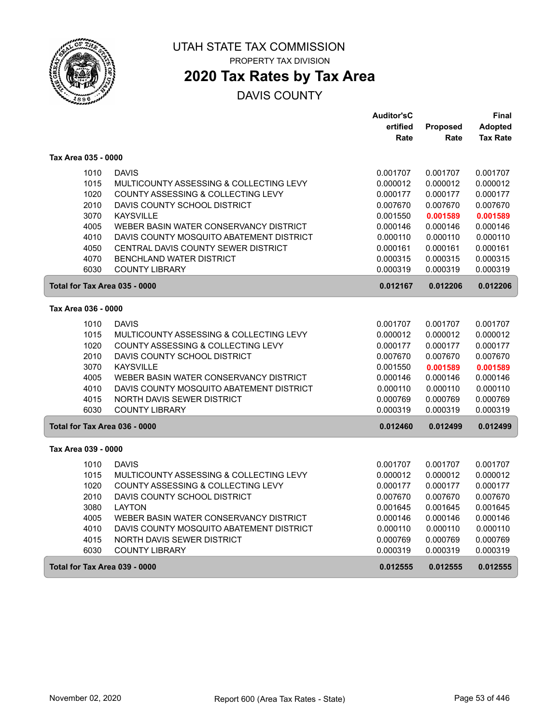

PROPERTY TAX DIVISION

## **2020 Tax Rates by Tax Area**

|                               |                                          | <b>Auditor'sC</b> |                 | Final           |
|-------------------------------|------------------------------------------|-------------------|-----------------|-----------------|
|                               |                                          | ertified          | <b>Proposed</b> | <b>Adopted</b>  |
|                               |                                          | Rate              | Rate            | <b>Tax Rate</b> |
| Tax Area 035 - 0000           |                                          |                   |                 |                 |
| 1010                          | <b>DAVIS</b>                             | 0.001707          | 0.001707        | 0.001707        |
| 1015                          | MULTICOUNTY ASSESSING & COLLECTING LEVY  | 0.000012          | 0.000012        | 0.000012        |
| 1020                          | COUNTY ASSESSING & COLLECTING LEVY       | 0.000177          | 0.000177        | 0.000177        |
| 2010                          | DAVIS COUNTY SCHOOL DISTRICT             | 0.007670          | 0.007670        | 0.007670        |
| 3070                          | <b>KAYSVILLE</b>                         | 0.001550          | 0.001589        | 0.001589        |
| 4005                          | WEBER BASIN WATER CONSERVANCY DISTRICT   | 0.000146          | 0.000146        | 0.000146        |
| 4010                          | DAVIS COUNTY MOSQUITO ABATEMENT DISTRICT | 0.000110          | 0.000110        | 0.000110        |
| 4050                          | CENTRAL DAVIS COUNTY SEWER DISTRICT      | 0.000161          | 0.000161        | 0.000161        |
| 4070                          | <b>BENCHLAND WATER DISTRICT</b>          | 0.000315          | 0.000315        | 0.000315        |
| 6030                          | <b>COUNTY LIBRARY</b>                    | 0.000319          | 0.000319        | 0.000319        |
| Total for Tax Area 035 - 0000 |                                          | 0.012167          | 0.012206        | 0.012206        |
| Tax Area 036 - 0000           |                                          |                   |                 |                 |
| 1010                          | <b>DAVIS</b>                             | 0.001707          | 0.001707        | 0.001707        |
| 1015                          | MULTICOUNTY ASSESSING & COLLECTING LEVY  | 0.000012          | 0.000012        | 0.000012        |
| 1020                          | COUNTY ASSESSING & COLLECTING LEVY       | 0.000177          | 0.000177        | 0.000177        |
| 2010                          | DAVIS COUNTY SCHOOL DISTRICT             | 0.007670          | 0.007670        | 0.007670        |
| 3070                          | <b>KAYSVILLE</b>                         | 0.001550          | 0.001589        | 0.001589        |
| 4005                          | WEBER BASIN WATER CONSERVANCY DISTRICT   | 0.000146          | 0.000146        | 0.000146        |
| 4010                          | DAVIS COUNTY MOSQUITO ABATEMENT DISTRICT | 0.000110          | 0.000110        | 0.000110        |
| 4015                          | NORTH DAVIS SEWER DISTRICT               | 0.000769          | 0.000769        | 0.000769        |
| 6030                          | <b>COUNTY LIBRARY</b>                    | 0.000319          | 0.000319        | 0.000319        |
| Total for Tax Area 036 - 0000 |                                          | 0.012460          | 0.012499        | 0.012499        |
| Tax Area 039 - 0000           |                                          |                   |                 |                 |
| 1010                          | <b>DAVIS</b>                             | 0.001707          | 0.001707        | 0.001707        |
| 1015                          | MULTICOUNTY ASSESSING & COLLECTING LEVY  | 0.000012          | 0.000012        | 0.000012        |
| 1020                          | COUNTY ASSESSING & COLLECTING LEVY       | 0.000177          | 0.000177        | 0.000177        |
| 2010                          | DAVIS COUNTY SCHOOL DISTRICT             | 0.007670          | 0.007670        | 0.007670        |
| 3080                          | <b>LAYTON</b>                            | 0.001645          | 0.001645        | 0.001645        |
| 4005                          | WEBER BASIN WATER CONSERVANCY DISTRICT   | 0.000146          | 0.000146        | 0.000146        |
| 4010                          | DAVIS COUNTY MOSQUITO ABATEMENT DISTRICT | 0.000110          | 0.000110        | 0.000110        |
| 4015                          | NORTH DAVIS SEWER DISTRICT               | 0.000769          | 0.000769        | 0.000769        |
| 6030                          | <b>COUNTY LIBRARY</b>                    | 0.000319          | 0.000319        | 0.000319        |
| Total for Tax Area 039 - 0000 |                                          | 0.012555          | 0.012555        | 0.012555        |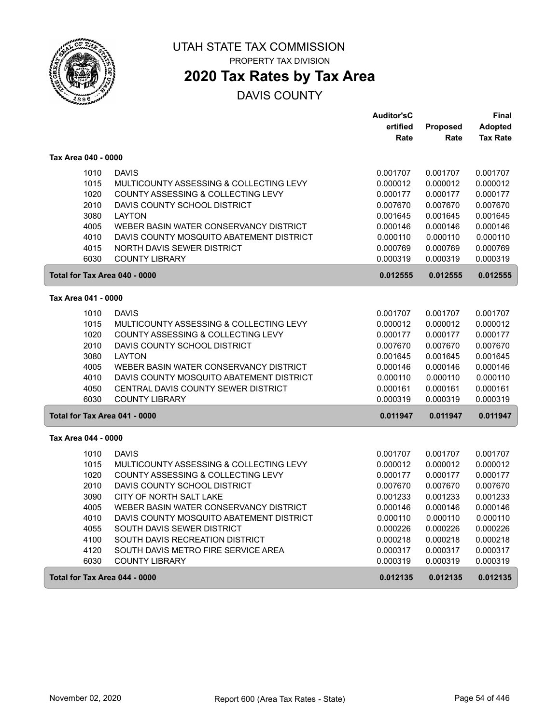

PROPERTY TAX DIVISION

## **2020 Tax Rates by Tax Area**

|                               |                                          | <b>Auditor'sC</b> |          | Final           |
|-------------------------------|------------------------------------------|-------------------|----------|-----------------|
|                               |                                          | ertified          | Proposed | <b>Adopted</b>  |
|                               |                                          | Rate              | Rate     | <b>Tax Rate</b> |
| Tax Area 040 - 0000           |                                          |                   |          |                 |
| 1010                          | <b>DAVIS</b>                             | 0.001707          | 0.001707 | 0.001707        |
| 1015                          | MULTICOUNTY ASSESSING & COLLECTING LEVY  | 0.000012          | 0.000012 | 0.000012        |
| 1020                          | COUNTY ASSESSING & COLLECTING LEVY       | 0.000177          | 0.000177 | 0.000177        |
| 2010                          | DAVIS COUNTY SCHOOL DISTRICT             | 0.007670          | 0.007670 | 0.007670        |
| 3080                          | <b>LAYTON</b>                            | 0.001645          | 0.001645 | 0.001645        |
| 4005                          | WEBER BASIN WATER CONSERVANCY DISTRICT   | 0.000146          | 0.000146 | 0.000146        |
| 4010                          | DAVIS COUNTY MOSQUITO ABATEMENT DISTRICT | 0.000110          | 0.000110 | 0.000110        |
| 4015                          | NORTH DAVIS SEWER DISTRICT               | 0.000769          | 0.000769 | 0.000769        |
| 6030                          | <b>COUNTY LIBRARY</b>                    | 0.000319          | 0.000319 | 0.000319        |
| Total for Tax Area 040 - 0000 |                                          | 0.012555          | 0.012555 | 0.012555        |
| Tax Area 041 - 0000           |                                          |                   |          |                 |
| 1010                          | <b>DAVIS</b>                             | 0.001707          | 0.001707 | 0.001707        |
| 1015                          | MULTICOUNTY ASSESSING & COLLECTING LEVY  | 0.000012          | 0.000012 | 0.000012        |
| 1020                          | COUNTY ASSESSING & COLLECTING LEVY       | 0.000177          | 0.000177 | 0.000177        |
| 2010                          | DAVIS COUNTY SCHOOL DISTRICT             | 0.007670          | 0.007670 | 0.007670        |
| 3080                          | <b>LAYTON</b>                            | 0.001645          | 0.001645 | 0.001645        |
| 4005                          | WEBER BASIN WATER CONSERVANCY DISTRICT   | 0.000146          | 0.000146 | 0.000146        |
| 4010                          | DAVIS COUNTY MOSQUITO ABATEMENT DISTRICT | 0.000110          | 0.000110 | 0.000110        |
| 4050                          | CENTRAL DAVIS COUNTY SEWER DISTRICT      | 0.000161          | 0.000161 | 0.000161        |
| 6030                          | <b>COUNTY LIBRARY</b>                    | 0.000319          | 0.000319 | 0.000319        |
| Total for Tax Area 041 - 0000 |                                          | 0.011947          | 0.011947 | 0.011947        |
| Tax Area 044 - 0000           |                                          |                   |          |                 |
| 1010                          | <b>DAVIS</b>                             | 0.001707          | 0.001707 | 0.001707        |
| 1015                          | MULTICOUNTY ASSESSING & COLLECTING LEVY  | 0.000012          | 0.000012 | 0.000012        |
| 1020                          | COUNTY ASSESSING & COLLECTING LEVY       | 0.000177          | 0.000177 | 0.000177        |
| 2010                          | DAVIS COUNTY SCHOOL DISTRICT             | 0.007670          | 0.007670 | 0.007670        |
| 3090                          | CITY OF NORTH SALT LAKE                  | 0.001233          | 0.001233 | 0.001233        |
| 4005                          | WEBER BASIN WATER CONSERVANCY DISTRICT   | 0.000146          | 0.000146 | 0.000146        |
| 4010                          | DAVIS COUNTY MOSQUITO ABATEMENT DISTRICT | 0.000110          | 0.000110 | 0.000110        |
| 4055                          | SOUTH DAVIS SEWER DISTRICT               | 0.000226          | 0.000226 | 0.000226        |
| 4100                          | SOUTH DAVIS RECREATION DISTRICT          | 0.000218          | 0.000218 | 0.000218        |
| 4120                          | SOUTH DAVIS METRO FIRE SERVICE AREA      | 0.000317          | 0.000317 | 0.000317        |
| 6030                          | <b>COUNTY LIBRARY</b>                    | 0.000319          | 0.000319 | 0.000319        |
| Total for Tax Area 044 - 0000 |                                          | 0.012135          | 0.012135 | 0.012135        |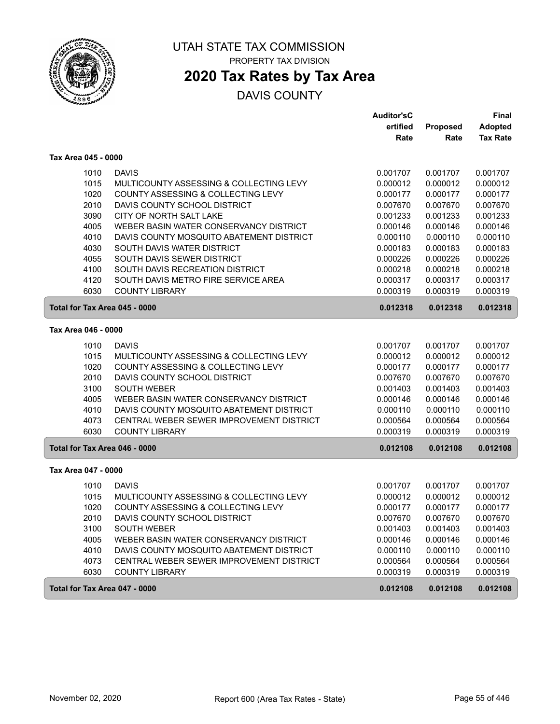

## **2020 Tax Rates by Tax Area**

|                     |                                          | Auditor'sC           |                      | <b>Final</b>         |
|---------------------|------------------------------------------|----------------------|----------------------|----------------------|
|                     |                                          | ertified             | Proposed             | <b>Adopted</b>       |
|                     |                                          | Rate                 | Rate                 | <b>Tax Rate</b>      |
| Tax Area 045 - 0000 |                                          |                      |                      |                      |
| 1010                | <b>DAVIS</b>                             | 0.001707             | 0.001707             | 0.001707             |
| 1015                | MULTICOUNTY ASSESSING & COLLECTING LEVY  | 0.000012             | 0.000012             | 0.000012             |
| 1020                | COUNTY ASSESSING & COLLECTING LEVY       | 0.000177             | 0.000177             | 0.000177             |
| 2010                | DAVIS COUNTY SCHOOL DISTRICT             | 0.007670             | 0.007670             | 0.007670             |
| 3090                | CITY OF NORTH SALT LAKE                  | 0.001233             | 0.001233             | 0.001233             |
| 4005                | WEBER BASIN WATER CONSERVANCY DISTRICT   | 0.000146             | 0.000146             | 0.000146             |
| 4010                | DAVIS COUNTY MOSQUITO ABATEMENT DISTRICT | 0.000110             | 0.000110             | 0.000110             |
| 4030                | SOUTH DAVIS WATER DISTRICT               | 0.000183             | 0.000183             | 0.000183             |
| 4055                | SOUTH DAVIS SEWER DISTRICT               | 0.000226             | 0.000226             | 0.000226             |
| 4100                | SOUTH DAVIS RECREATION DISTRICT          | 0.000218             | 0.000218             | 0.000218             |
| 4120                | SOUTH DAVIS METRO FIRE SERVICE AREA      | 0.000317             | 0.000317             | 0.000317             |
| 6030                | <b>COUNTY LIBRARY</b>                    | 0.000319             | 0.000319             | 0.000319             |
|                     | Total for Tax Area 045 - 0000            | 0.012318             | 0.012318             | 0.012318             |
| Tax Area 046 - 0000 |                                          |                      |                      |                      |
|                     | <b>DAVIS</b>                             |                      |                      |                      |
| 1010<br>1015        | MULTICOUNTY ASSESSING & COLLECTING LEVY  | 0.001707             | 0.001707<br>0.000012 | 0.001707<br>0.000012 |
| 1020                | COUNTY ASSESSING & COLLECTING LEVY       | 0.000012<br>0.000177 | 0.000177             | 0.000177             |
| 2010                | DAVIS COUNTY SCHOOL DISTRICT             | 0.007670             | 0.007670             | 0.007670             |
| 3100                | <b>SOUTH WEBER</b>                       | 0.001403             | 0.001403             | 0.001403             |
| 4005                | WEBER BASIN WATER CONSERVANCY DISTRICT   | 0.000146             | 0.000146             | 0.000146             |
| 4010                | DAVIS COUNTY MOSQUITO ABATEMENT DISTRICT | 0.000110             | 0.000110             | 0.000110             |
| 4073                | CENTRAL WEBER SEWER IMPROVEMENT DISTRICT | 0.000564             | 0.000564             | 0.000564             |
| 6030                | <b>COUNTY LIBRARY</b>                    | 0.000319             | 0.000319             | 0.000319             |
|                     | Total for Tax Area 046 - 0000            | 0.012108             | 0.012108             | 0.012108             |
| Tax Area 047 - 0000 |                                          |                      |                      |                      |
|                     |                                          |                      |                      |                      |
| 1010                | <b>DAVIS</b>                             | 0.001707             | 0.001707             | 0.001707             |
| 1015                | MULTICOUNTY ASSESSING & COLLECTING LEVY  | 0.000012             | 0.000012             | 0.000012             |
| 1020                | COUNTY ASSESSING & COLLECTING LEVY       | 0.000177             | 0.000177             | 0.000177             |
| 2010                | DAVIS COUNTY SCHOOL DISTRICT             | 0.007670             | 0.007670             | 0.007670             |
| 3100                | <b>SOUTH WEBER</b>                       | 0.001403             | 0.001403             | 0.001403             |
| 4005                | WEBER BASIN WATER CONSERVANCY DISTRICT   | 0.000146             | 0.000146             | 0.000146             |
| 4010                | DAVIS COUNTY MOSQUITO ABATEMENT DISTRICT | 0.000110             | 0.000110             | 0.000110             |
| 4073                | CENTRAL WEBER SEWER IMPROVEMENT DISTRICT | 0.000564             | 0.000564             | 0.000564             |
| 6030                | <b>COUNTY LIBRARY</b>                    | 0.000319             | 0.000319             | 0.000319             |
|                     | Total for Tax Area 047 - 0000            | 0.012108             | 0.012108             | 0.012108             |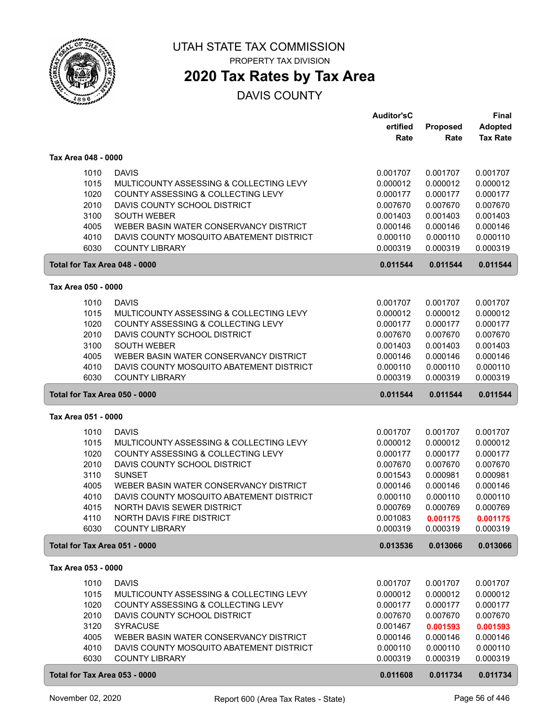

PROPERTY TAX DIVISION

### **2020 Tax Rates by Tax Area**

|                               |                                                                        | <b>Auditor'sC</b>    |                      | <b>Final</b>         |
|-------------------------------|------------------------------------------------------------------------|----------------------|----------------------|----------------------|
|                               |                                                                        | ertified             | Proposed             | <b>Adopted</b>       |
|                               |                                                                        | Rate                 | Rate                 | <b>Tax Rate</b>      |
| Tax Area 048 - 0000           |                                                                        |                      |                      |                      |
|                               |                                                                        |                      |                      |                      |
| 1010                          | <b>DAVIS</b>                                                           | 0.001707             | 0.001707             | 0.001707             |
| 1015                          | MULTICOUNTY ASSESSING & COLLECTING LEVY                                | 0.000012             | 0.000012             | 0.000012             |
| 1020                          | COUNTY ASSESSING & COLLECTING LEVY                                     | 0.000177             | 0.000177             | 0.000177             |
| 2010                          | DAVIS COUNTY SCHOOL DISTRICT                                           | 0.007670             | 0.007670             | 0.007670             |
| 3100                          | <b>SOUTH WEBER</b>                                                     | 0.001403             | 0.001403             | 0.001403             |
| 4005                          | WEBER BASIN WATER CONSERVANCY DISTRICT                                 | 0.000146             | 0.000146             | 0.000146             |
| 4010                          | DAVIS COUNTY MOSQUITO ABATEMENT DISTRICT                               | 0.000110             | 0.000110             | 0.000110             |
| 6030                          | <b>COUNTY LIBRARY</b>                                                  | 0.000319             | 0.000319             | 0.000319             |
| Total for Tax Area 048 - 0000 |                                                                        | 0.011544             | 0.011544             | 0.011544             |
| Tax Area 050 - 0000           |                                                                        |                      |                      |                      |
| 1010                          | <b>DAVIS</b>                                                           | 0.001707             | 0.001707             | 0.001707             |
| 1015                          | MULTICOUNTY ASSESSING & COLLECTING LEVY                                | 0.000012             | 0.000012             | 0.000012             |
| 1020                          | COUNTY ASSESSING & COLLECTING LEVY                                     | 0.000177             | 0.000177             | 0.000177             |
| 2010                          | DAVIS COUNTY SCHOOL DISTRICT                                           | 0.007670             | 0.007670             | 0.007670             |
| 3100                          | <b>SOUTH WEBER</b>                                                     | 0.001403             | 0.001403             | 0.001403             |
| 4005                          | WEBER BASIN WATER CONSERVANCY DISTRICT                                 | 0.000146             | 0.000146             | 0.000146             |
| 4010                          | DAVIS COUNTY MOSQUITO ABATEMENT DISTRICT                               | 0.000110             | 0.000110             | 0.000110             |
| 6030                          | <b>COUNTY LIBRARY</b>                                                  | 0.000319             | 0.000319             | 0.000319             |
| Total for Tax Area 050 - 0000 |                                                                        | 0.011544             | 0.011544             | 0.011544             |
| Tax Area 051 - 0000           |                                                                        |                      |                      |                      |
|                               |                                                                        |                      |                      |                      |
| 1010                          | <b>DAVIS</b>                                                           | 0.001707             | 0.001707             | 0.001707             |
| 1015                          | MULTICOUNTY ASSESSING & COLLECTING LEVY                                | 0.000012             | 0.000012             | 0.000012             |
| 1020                          | COUNTY ASSESSING & COLLECTING LEVY                                     | 0.000177             | 0.000177             | 0.000177             |
| 2010                          | DAVIS COUNTY SCHOOL DISTRICT                                           | 0.007670             | 0.007670             | 0.007670             |
| 3110                          | <b>SUNSET</b>                                                          | 0.001543             | 0.000981             | 0.000981             |
| 4005                          | WEBER BASIN WATER CONSERVANCY DISTRICT                                 | 0.000146             | 0.000146             | 0.000146             |
| 4010<br>4015                  | DAVIS COUNTY MOSQUITO ABATEMENT DISTRICT<br>NORTH DAVIS SEWER DISTRICT | 0.000110<br>0.000769 | 0.000110<br>0.000769 | 0.000110             |
| 4110                          | <b>NORTH DAVIS FIRE DISTRICT</b>                                       | 0.001083             | 0.001175             | 0.000769<br>0.001175 |
| 6030                          | <b>COUNTY LIBRARY</b>                                                  | 0.000319             | 0.000319             | 0.000319             |
| Total for Tax Area 051 - 0000 |                                                                        | 0.013536             | 0.013066             | 0.013066             |
|                               |                                                                        |                      |                      |                      |
| Tax Area 053 - 0000           |                                                                        |                      |                      |                      |
| 1010                          | <b>DAVIS</b>                                                           | 0.001707             | 0.001707             | 0.001707             |
| 1015                          | MULTICOUNTY ASSESSING & COLLECTING LEVY                                | 0.000012             | 0.000012             | 0.000012             |
| 1020                          | COUNTY ASSESSING & COLLECTING LEVY                                     | 0.000177             | 0.000177             | 0.000177             |
| 2010                          | DAVIS COUNTY SCHOOL DISTRICT                                           | 0.007670             | 0.007670             | 0.007670             |
| 3120                          | <b>SYRACUSE</b>                                                        | 0.001467             | 0.001593             | 0.001593             |
| 4005                          | WEBER BASIN WATER CONSERVANCY DISTRICT                                 | 0.000146             | 0.000146             | 0.000146             |
| 4010                          | DAVIS COUNTY MOSQUITO ABATEMENT DISTRICT                               | 0.000110             | 0.000110             | 0.000110             |
| 6030                          | <b>COUNTY LIBRARY</b>                                                  | 0.000319             | 0.000319             | 0.000319             |
| Total for Tax Area 053 - 0000 |                                                                        | 0.011608             | 0.011734             | 0.011734             |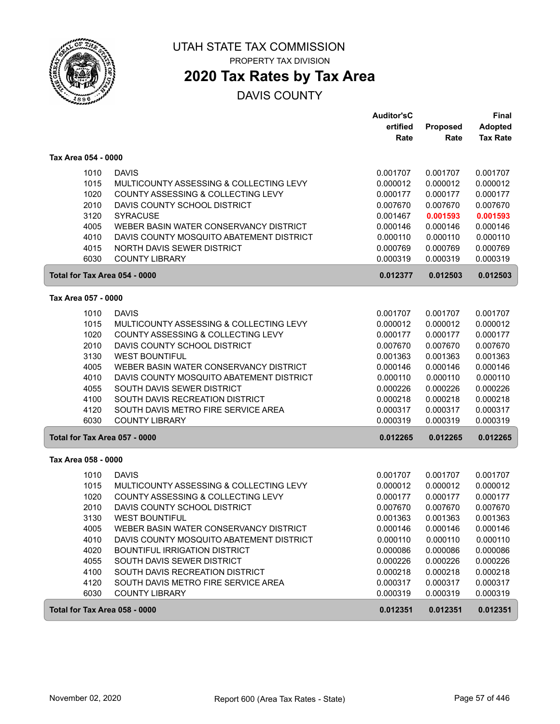

PROPERTY TAX DIVISION

## **2020 Tax Rates by Tax Area**

|                               |                                          | <b>Auditor'sC</b> |          | Final           |
|-------------------------------|------------------------------------------|-------------------|----------|-----------------|
|                               |                                          | ertified          | Proposed | <b>Adopted</b>  |
|                               |                                          | Rate              | Rate     | <b>Tax Rate</b> |
| Tax Area 054 - 0000           |                                          |                   |          |                 |
| 1010                          | <b>DAVIS</b>                             | 0.001707          | 0.001707 | 0.001707        |
| 1015                          | MULTICOUNTY ASSESSING & COLLECTING LEVY  | 0.000012          | 0.000012 | 0.000012        |
| 1020                          | COUNTY ASSESSING & COLLECTING LEVY       | 0.000177          | 0.000177 | 0.000177        |
| 2010                          | DAVIS COUNTY SCHOOL DISTRICT             | 0.007670          | 0.007670 | 0.007670        |
| 3120                          | <b>SYRACUSE</b>                          | 0.001467          | 0.001593 | 0.001593        |
| 4005                          | WEBER BASIN WATER CONSERVANCY DISTRICT   | 0.000146          | 0.000146 | 0.000146        |
| 4010                          | DAVIS COUNTY MOSQUITO ABATEMENT DISTRICT | 0.000110          | 0.000110 | 0.000110        |
| 4015                          | NORTH DAVIS SEWER DISTRICT               | 0.000769          | 0.000769 | 0.000769        |
| 6030                          | <b>COUNTY LIBRARY</b>                    | 0.000319          | 0.000319 | 0.000319        |
| Total for Tax Area 054 - 0000 |                                          | 0.012377          | 0.012503 | 0.012503        |
| Tax Area 057 - 0000           |                                          |                   |          |                 |
| 1010                          | <b>DAVIS</b>                             | 0.001707          | 0.001707 | 0.001707        |
| 1015                          | MULTICOUNTY ASSESSING & COLLECTING LEVY  | 0.000012          | 0.000012 | 0.000012        |
| 1020                          | COUNTY ASSESSING & COLLECTING LEVY       | 0.000177          | 0.000177 | 0.000177        |
| 2010                          | DAVIS COUNTY SCHOOL DISTRICT             | 0.007670          | 0.007670 | 0.007670        |
| 3130                          | <b>WEST BOUNTIFUL</b>                    | 0.001363          | 0.001363 | 0.001363        |
| 4005                          | WEBER BASIN WATER CONSERVANCY DISTRICT   | 0.000146          | 0.000146 | 0.000146        |
| 4010                          | DAVIS COUNTY MOSQUITO ABATEMENT DISTRICT | 0.000110          | 0.000110 | 0.000110        |
| 4055                          | SOUTH DAVIS SEWER DISTRICT               | 0.000226          | 0.000226 | 0.000226        |
| 4100                          | SOUTH DAVIS RECREATION DISTRICT          | 0.000218          | 0.000218 | 0.000218        |
| 4120                          | SOUTH DAVIS METRO FIRE SERVICE AREA      | 0.000317          | 0.000317 | 0.000317        |
| 6030                          | <b>COUNTY LIBRARY</b>                    | 0.000319          | 0.000319 | 0.000319        |
| Total for Tax Area 057 - 0000 |                                          | 0.012265          | 0.012265 | 0.012265        |
| Tax Area 058 - 0000           |                                          |                   |          |                 |
| 1010                          | <b>DAVIS</b>                             | 0.001707          | 0.001707 | 0.001707        |
| 1015                          | MULTICOUNTY ASSESSING & COLLECTING LEVY  | 0.000012          | 0.000012 | 0.000012        |
| 1020                          | COUNTY ASSESSING & COLLECTING LEVY       | 0.000177          | 0.000177 | 0.000177        |
| 2010                          | DAVIS COUNTY SCHOOL DISTRICT             | 0.007670          | 0.007670 | 0.007670        |
| 3130                          | <b>WEST BOUNTIFUL</b>                    | 0.001363          | 0.001363 | 0.001363        |
| 4005                          | WEBER BASIN WATER CONSERVANCY DISTRICT   | 0.000146          | 0.000146 | 0.000146        |
| 4010                          | DAVIS COUNTY MOSQUITO ABATEMENT DISTRICT | 0.000110          | 0.000110 | 0.000110        |
| 4020                          | <b>BOUNTIFUL IRRIGATION DISTRICT</b>     | 0.000086          | 0.000086 | 0.000086        |
| 4055                          | SOUTH DAVIS SEWER DISTRICT               | 0.000226          | 0.000226 | 0.000226        |
| 4100                          | SOUTH DAVIS RECREATION DISTRICT          | 0.000218          | 0.000218 | 0.000218        |
| 4120                          | SOUTH DAVIS METRO FIRE SERVICE AREA      | 0.000317          | 0.000317 | 0.000317        |
| 6030                          | <b>COUNTY LIBRARY</b>                    | 0.000319          | 0.000319 | 0.000319        |
| Total for Tax Area 058 - 0000 |                                          | 0.012351          | 0.012351 | 0.012351        |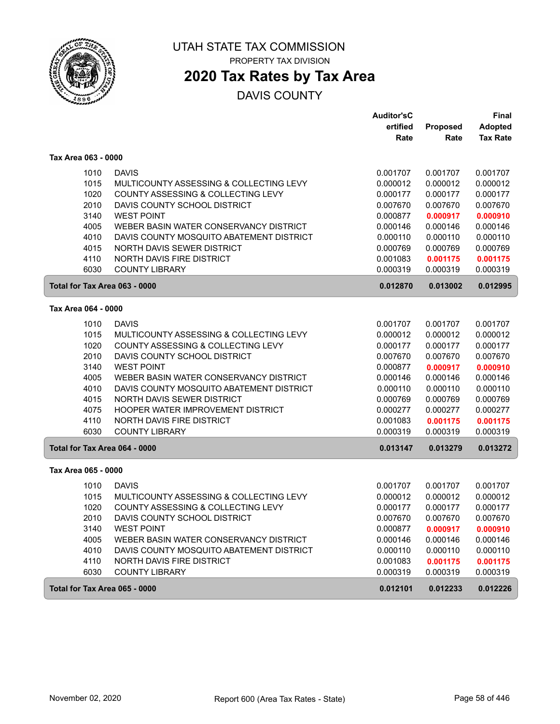

PROPERTY TAX DIVISION

## **2020 Tax Rates by Tax Area**

|                               |                                          | <b>Auditor'sC</b> |                 | <b>Final</b>    |
|-------------------------------|------------------------------------------|-------------------|-----------------|-----------------|
|                               |                                          | ertified          | <b>Proposed</b> | <b>Adopted</b>  |
|                               |                                          | Rate              | Rate            | <b>Tax Rate</b> |
| Tax Area 063 - 0000           |                                          |                   |                 |                 |
| 1010                          | <b>DAVIS</b>                             | 0.001707          | 0.001707        | 0.001707        |
| 1015                          | MULTICOUNTY ASSESSING & COLLECTING LEVY  | 0.000012          | 0.000012        | 0.000012        |
| 1020                          | COUNTY ASSESSING & COLLECTING LEVY       | 0.000177          | 0.000177        | 0.000177        |
| 2010                          | DAVIS COUNTY SCHOOL DISTRICT             | 0.007670          | 0.007670        | 0.007670        |
| 3140                          | <b>WEST POINT</b>                        | 0.000877          | 0.000917        | 0.000910        |
| 4005                          | WEBER BASIN WATER CONSERVANCY DISTRICT   | 0.000146          | 0.000146        | 0.000146        |
| 4010                          | DAVIS COUNTY MOSQUITO ABATEMENT DISTRICT | 0.000110          | 0.000110        | 0.000110        |
| 4015                          | NORTH DAVIS SEWER DISTRICT               | 0.000769          | 0.000769        | 0.000769        |
| 4110                          | NORTH DAVIS FIRE DISTRICT                | 0.001083          | 0.001175        | 0.001175        |
| 6030                          | <b>COUNTY LIBRARY</b>                    | 0.000319          | 0.000319        | 0.000319        |
| Total for Tax Area 063 - 0000 |                                          | 0.012870          | 0.013002        | 0.012995        |
| Tax Area 064 - 0000           |                                          |                   |                 |                 |
|                               |                                          |                   |                 |                 |
| 1010                          | <b>DAVIS</b>                             | 0.001707          | 0.001707        | 0.001707        |
| 1015                          | MULTICOUNTY ASSESSING & COLLECTING LEVY  | 0.000012          | 0.000012        | 0.000012        |
| 1020                          | COUNTY ASSESSING & COLLECTING LEVY       | 0.000177          | 0.000177        | 0.000177        |
| 2010                          | DAVIS COUNTY SCHOOL DISTRICT             | 0.007670          | 0.007670        | 0.007670        |
| 3140                          | <b>WEST POINT</b>                        | 0.000877          | 0.000917        | 0.000910        |
| 4005                          | WEBER BASIN WATER CONSERVANCY DISTRICT   | 0.000146          | 0.000146        | 0.000146        |
| 4010                          | DAVIS COUNTY MOSQUITO ABATEMENT DISTRICT | 0.000110          | 0.000110        | 0.000110        |
| 4015                          | NORTH DAVIS SEWER DISTRICT               | 0.000769          | 0.000769        | 0.000769        |
| 4075                          | HOOPER WATER IMPROVEMENT DISTRICT        | 0.000277          | 0.000277        | 0.000277        |
| 4110                          | NORTH DAVIS FIRE DISTRICT                | 0.001083          | 0.001175        | 0.001175        |
| 6030                          | <b>COUNTY LIBRARY</b>                    | 0.000319          | 0.000319        | 0.000319        |
| Total for Tax Area 064 - 0000 |                                          | 0.013147          | 0.013279        | 0.013272        |
| Tax Area 065 - 0000           |                                          |                   |                 |                 |
| 1010                          | <b>DAVIS</b>                             | 0.001707          | 0.001707        | 0.001707        |
| 1015                          | MULTICOUNTY ASSESSING & COLLECTING LEVY  | 0.000012          | 0.000012        | 0.000012        |
| 1020                          | COUNTY ASSESSING & COLLECTING LEVY       | 0.000177          | 0.000177        | 0.000177        |
| 2010                          | DAVIS COUNTY SCHOOL DISTRICT             | 0.007670          | 0.007670        | 0.007670        |
| 3140                          | <b>WEST POINT</b>                        | 0.000877          | 0.000917        | 0.000910        |
| 4005                          | WEBER BASIN WATER CONSERVANCY DISTRICT   | 0.000146          | 0.000146        | 0.000146        |
| 4010                          | DAVIS COUNTY MOSQUITO ABATEMENT DISTRICT | 0.000110          | 0.000110        | 0.000110        |
| 4110                          | NORTH DAVIS FIRE DISTRICT                | 0.001083          | 0.001175        | 0.001175        |
| 6030                          | <b>COUNTY LIBRARY</b>                    | 0.000319          | 0.000319        | 0.000319        |
| Total for Tax Area 065 - 0000 |                                          | 0.012101          | 0.012233        | 0.012226        |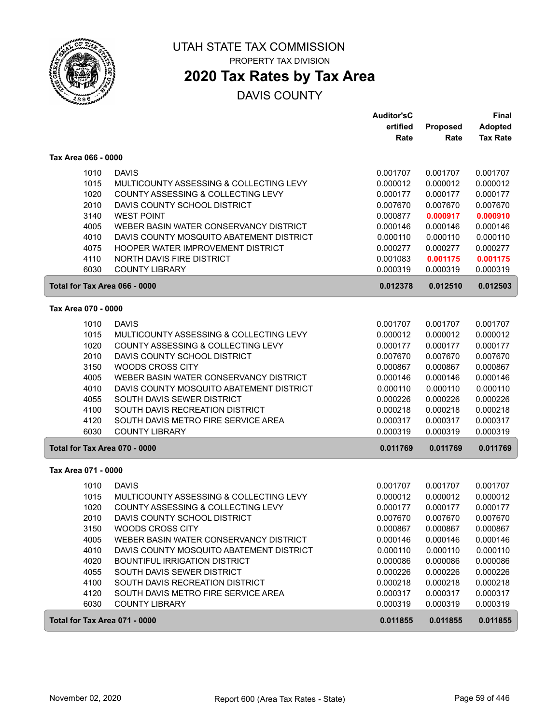

PROPERTY TAX DIVISION

## **2020 Tax Rates by Tax Area**

|                               |                                                                        | <b>Auditor'sC</b><br>ertified | Proposed             | Final<br><b>Adopted</b> |
|-------------------------------|------------------------------------------------------------------------|-------------------------------|----------------------|-------------------------|
|                               |                                                                        | Rate                          | Rate                 | <b>Tax Rate</b>         |
| Tax Area 066 - 0000           |                                                                        |                               |                      |                         |
| 1010                          | <b>DAVIS</b>                                                           | 0.001707                      | 0.001707             | 0.001707                |
| 1015                          | MULTICOUNTY ASSESSING & COLLECTING LEVY                                | 0.000012                      | 0.000012             | 0.000012                |
| 1020                          | COUNTY ASSESSING & COLLECTING LEVY                                     | 0.000177                      | 0.000177             | 0.000177                |
| 2010                          | DAVIS COUNTY SCHOOL DISTRICT                                           | 0.007670                      | 0.007670             | 0.007670                |
| 3140                          | <b>WEST POINT</b>                                                      | 0.000877                      | 0.000917             | 0.000910                |
| 4005                          | WEBER BASIN WATER CONSERVANCY DISTRICT                                 | 0.000146                      | 0.000146             | 0.000146                |
| 4010                          | DAVIS COUNTY MOSQUITO ABATEMENT DISTRICT                               | 0.000110                      | 0.000110             | 0.000110                |
| 4075                          | HOOPER WATER IMPROVEMENT DISTRICT                                      | 0.000277                      | 0.000277             | 0.000277                |
| 4110<br>6030                  | NORTH DAVIS FIRE DISTRICT<br><b>COUNTY LIBRARY</b>                     | 0.001083<br>0.000319          | 0.001175<br>0.000319 | 0.001175<br>0.000319    |
| Total for Tax Area 066 - 0000 |                                                                        | 0.012378                      | 0.012510             | 0.012503                |
| Tax Area 070 - 0000           |                                                                        |                               |                      |                         |
|                               |                                                                        |                               |                      |                         |
| 1010<br>1015                  | <b>DAVIS</b><br>MULTICOUNTY ASSESSING & COLLECTING LEVY                | 0.001707<br>0.000012          | 0.001707<br>0.000012 | 0.001707<br>0.000012    |
| 1020                          | COUNTY ASSESSING & COLLECTING LEVY                                     | 0.000177                      | 0.000177             | 0.000177                |
| 2010                          | DAVIS COUNTY SCHOOL DISTRICT                                           | 0.007670                      | 0.007670             | 0.007670                |
| 3150                          | <b>WOODS CROSS CITY</b>                                                | 0.000867                      | 0.000867             | 0.000867                |
| 4005                          | WEBER BASIN WATER CONSERVANCY DISTRICT                                 | 0.000146                      | 0.000146             | 0.000146                |
| 4010                          | DAVIS COUNTY MOSQUITO ABATEMENT DISTRICT                               | 0.000110                      | 0.000110             | 0.000110                |
| 4055                          | SOUTH DAVIS SEWER DISTRICT                                             | 0.000226                      | 0.000226             | 0.000226                |
| 4100                          | SOUTH DAVIS RECREATION DISTRICT                                        | 0.000218                      | 0.000218             | 0.000218                |
| 4120                          | SOUTH DAVIS METRO FIRE SERVICE AREA                                    | 0.000317                      | 0.000317             | 0.000317                |
| 6030                          | <b>COUNTY LIBRARY</b>                                                  | 0.000319                      | 0.000319             | 0.000319                |
| Total for Tax Area 070 - 0000 |                                                                        | 0.011769                      | 0.011769             | 0.011769                |
| Tax Area 071 - 0000           |                                                                        |                               |                      |                         |
| 1010                          | <b>DAVIS</b>                                                           | 0.001707                      | 0.001707             | 0.001707                |
| 1015                          | MULTICOUNTY ASSESSING & COLLECTING LEVY                                | 0.000012                      | 0.000012             | 0.000012                |
| 1020                          | COUNTY ASSESSING & COLLECTING LEVY                                     | 0.000177                      | 0.000177             | 0.000177                |
| 2010                          | DAVIS COUNTY SCHOOL DISTRICT                                           | 0.007670                      | 0.007670             | 0.007670                |
| 3150                          | WOODS CROSS CITY                                                       | 0.000867                      | 0.000867             | 0.000867                |
| 4005                          | WEBER BASIN WATER CONSERVANCY DISTRICT                                 | 0.000146                      | 0.000146             | 0.000146                |
| 4010                          | DAVIS COUNTY MOSQUITO ABATEMENT DISTRICT                               | 0.000110                      | 0.000110             | 0.000110                |
| 4020                          | <b>BOUNTIFUL IRRIGATION DISTRICT</b>                                   | 0.000086                      | 0.000086             | 0.000086                |
| 4055                          | SOUTH DAVIS SEWER DISTRICT                                             | 0.000226                      | 0.000226             | 0.000226                |
| 4100<br>4120                  | SOUTH DAVIS RECREATION DISTRICT<br>SOUTH DAVIS METRO FIRE SERVICE AREA | 0.000218<br>0.000317          | 0.000218<br>0.000317 | 0.000218<br>0.000317    |
| 6030                          | <b>COUNTY LIBRARY</b>                                                  | 0.000319                      | 0.000319             | 0.000319                |
| Total for Tax Area 071 - 0000 |                                                                        | 0.011855                      | 0.011855             | 0.011855                |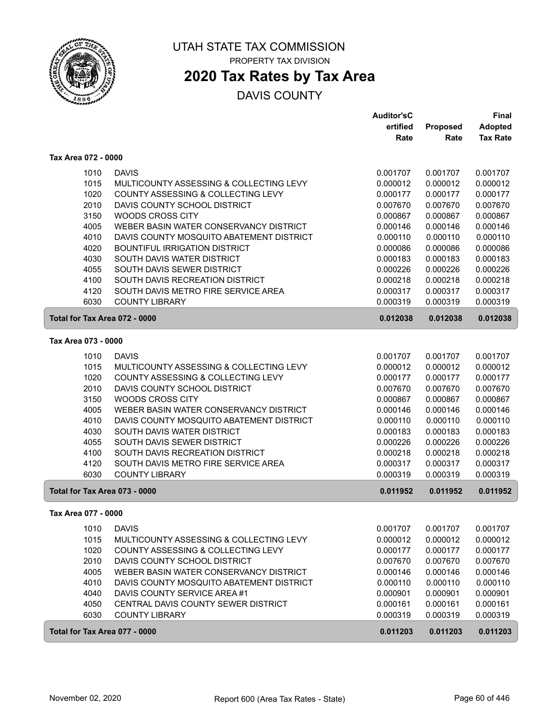

## **2020 Tax Rates by Tax Area**

|                               |                                          | <b>Auditor'sC</b> |          | <b>Final</b>    |
|-------------------------------|------------------------------------------|-------------------|----------|-----------------|
|                               |                                          | ertified          | Proposed | <b>Adopted</b>  |
|                               |                                          | Rate              | Rate     | <b>Tax Rate</b> |
| Tax Area 072 - 0000           |                                          |                   |          |                 |
| 1010                          | <b>DAVIS</b>                             | 0.001707          | 0.001707 | 0.001707        |
| 1015                          | MULTICOUNTY ASSESSING & COLLECTING LEVY  | 0.000012          | 0.000012 | 0.000012        |
| 1020                          | COUNTY ASSESSING & COLLECTING LEVY       | 0.000177          | 0.000177 | 0.000177        |
| 2010                          | DAVIS COUNTY SCHOOL DISTRICT             | 0.007670          | 0.007670 | 0.007670        |
| 3150                          | <b>WOODS CROSS CITY</b>                  | 0.000867          | 0.000867 | 0.000867        |
| 4005                          | WEBER BASIN WATER CONSERVANCY DISTRICT   | 0.000146          | 0.000146 | 0.000146        |
| 4010                          | DAVIS COUNTY MOSQUITO ABATEMENT DISTRICT | 0.000110          | 0.000110 | 0.000110        |
| 4020                          | <b>BOUNTIFUL IRRIGATION DISTRICT</b>     | 0.000086          | 0.000086 | 0.000086        |
| 4030                          | SOUTH DAVIS WATER DISTRICT               | 0.000183          | 0.000183 | 0.000183        |
| 4055                          | SOUTH DAVIS SEWER DISTRICT               | 0.000226          | 0.000226 | 0.000226        |
| 4100                          | SOUTH DAVIS RECREATION DISTRICT          | 0.000218          | 0.000218 | 0.000218        |
| 4120                          | SOUTH DAVIS METRO FIRE SERVICE AREA      | 0.000317          | 0.000317 | 0.000317        |
| 6030                          | <b>COUNTY LIBRARY</b>                    | 0.000319          | 0.000319 | 0.000319        |
| Total for Tax Area 072 - 0000 |                                          | 0.012038          | 0.012038 | 0.012038        |
| Tax Area 073 - 0000           |                                          |                   |          |                 |
| 1010                          | <b>DAVIS</b>                             | 0.001707          | 0.001707 | 0.001707        |
| 1015                          | MULTICOUNTY ASSESSING & COLLECTING LEVY  | 0.000012          | 0.000012 | 0.000012        |
| 1020                          | COUNTY ASSESSING & COLLECTING LEVY       | 0.000177          | 0.000177 | 0.000177        |
| 2010                          | DAVIS COUNTY SCHOOL DISTRICT             | 0.007670          | 0.007670 | 0.007670        |
| 3150                          | <b>WOODS CROSS CITY</b>                  | 0.000867          | 0.000867 | 0.000867        |
| 4005                          | WEBER BASIN WATER CONSERVANCY DISTRICT   | 0.000146          | 0.000146 | 0.000146        |
| 4010                          | DAVIS COUNTY MOSQUITO ABATEMENT DISTRICT | 0.000110          | 0.000110 | 0.000110        |
| 4030                          | SOUTH DAVIS WATER DISTRICT               | 0.000183          | 0.000183 | 0.000183        |
| 4055                          | SOUTH DAVIS SEWER DISTRICT               | 0.000226          | 0.000226 | 0.000226        |
| 4100                          | SOUTH DAVIS RECREATION DISTRICT          | 0.000218          | 0.000218 | 0.000218        |
| 4120                          | SOUTH DAVIS METRO FIRE SERVICE AREA      | 0.000317          | 0.000317 | 0.000317        |
| 6030                          | <b>COUNTY LIBRARY</b>                    | 0.000319          | 0.000319 | 0.000319        |
| Total for Tax Area 073 - 0000 |                                          | 0.011952          | 0.011952 | 0.011952        |
| Tax Area 077 - 0000           |                                          |                   |          |                 |
| 1010                          | <b>DAVIS</b>                             | 0.001707          | 0.001707 | 0.001707        |
| 1015                          | MULTICOUNTY ASSESSING & COLLECTING LEVY  | 0.000012          | 0.000012 | 0.000012        |
| 1020                          | COUNTY ASSESSING & COLLECTING LEVY       | 0.000177          | 0.000177 | 0.000177        |
| 2010                          | DAVIS COUNTY SCHOOL DISTRICT             | 0.007670          | 0.007670 | 0.007670        |
| 4005                          | WEBER BASIN WATER CONSERVANCY DISTRICT   | 0.000146          | 0.000146 | 0.000146        |
| 4010                          | DAVIS COUNTY MOSQUITO ABATEMENT DISTRICT | 0.000110          | 0.000110 | 0.000110        |
| 4040                          | DAVIS COUNTY SERVICE AREA #1             | 0.000901          | 0.000901 | 0.000901        |
| 4050                          | CENTRAL DAVIS COUNTY SEWER DISTRICT      | 0.000161          | 0.000161 | 0.000161        |
| 6030                          | <b>COUNTY LIBRARY</b>                    | 0.000319          | 0.000319 | 0.000319        |
| Total for Tax Area 077 - 0000 |                                          | 0.011203          | 0.011203 | 0.011203        |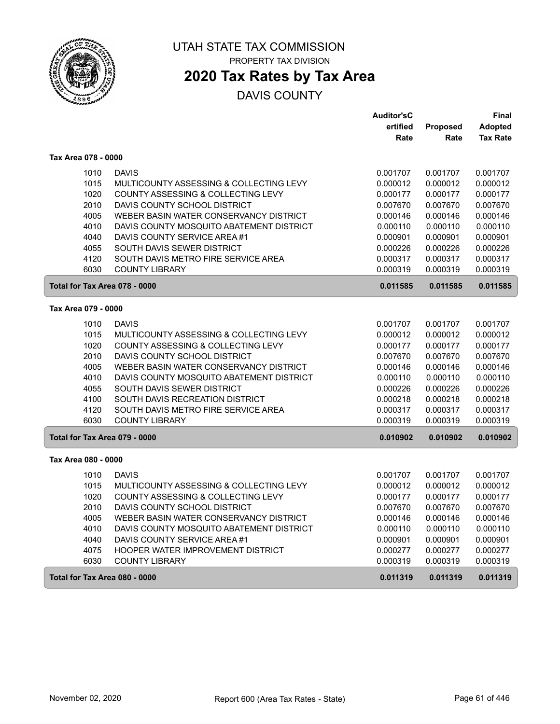

PROPERTY TAX DIVISION

# **2020 Tax Rates by Tax Area**

|                                                  | <b>Auditor'sC</b> |          | Final           |
|--------------------------------------------------|-------------------|----------|-----------------|
|                                                  | ertified          | Proposed | <b>Adopted</b>  |
|                                                  | Rate              | Rate     | <b>Tax Rate</b> |
| Tax Area 078 - 0000                              |                   |          |                 |
| 1010<br><b>DAVIS</b>                             | 0.001707          | 0.001707 | 0.001707        |
| 1015<br>MULTICOUNTY ASSESSING & COLLECTING LEVY  | 0.000012          | 0.000012 | 0.000012        |
| 1020<br>COUNTY ASSESSING & COLLECTING LEVY       | 0.000177          | 0.000177 | 0.000177        |
| 2010<br>DAVIS COUNTY SCHOOL DISTRICT             | 0.007670          | 0.007670 | 0.007670        |
| 4005<br>WEBER BASIN WATER CONSERVANCY DISTRICT   | 0.000146          | 0.000146 | 0.000146        |
| 4010<br>DAVIS COUNTY MOSQUITO ABATEMENT DISTRICT | 0.000110          | 0.000110 | 0.000110        |
| 4040<br>DAVIS COUNTY SERVICE AREA #1             | 0.000901          | 0.000901 | 0.000901        |
| 4055<br>SOUTH DAVIS SEWER DISTRICT               | 0.000226          | 0.000226 | 0.000226        |
| 4120<br>SOUTH DAVIS METRO FIRE SERVICE AREA      | 0.000317          | 0.000317 | 0.000317        |
| 6030<br><b>COUNTY LIBRARY</b>                    | 0.000319          | 0.000319 | 0.000319        |
| Total for Tax Area 078 - 0000                    | 0.011585          | 0.011585 | 0.011585        |
| Tax Area 079 - 0000                              |                   |          |                 |
| 1010<br><b>DAVIS</b>                             | 0.001707          | 0.001707 | 0.001707        |
| 1015<br>MULTICOUNTY ASSESSING & COLLECTING LEVY  | 0.000012          | 0.000012 | 0.000012        |
| 1020<br>COUNTY ASSESSING & COLLECTING LEVY       | 0.000177          | 0.000177 | 0.000177        |
| 2010<br>DAVIS COUNTY SCHOOL DISTRICT             | 0.007670          | 0.007670 | 0.007670        |
| 4005<br>WEBER BASIN WATER CONSERVANCY DISTRICT   | 0.000146          | 0.000146 | 0.000146        |
| 4010<br>DAVIS COUNTY MOSQUITO ABATEMENT DISTRICT | 0.000110          | 0.000110 | 0.000110        |
| 4055<br>SOUTH DAVIS SEWER DISTRICT               | 0.000226          | 0.000226 | 0.000226        |
| 4100<br>SOUTH DAVIS RECREATION DISTRICT          | 0.000218          | 0.000218 | 0.000218        |
| 4120<br>SOUTH DAVIS METRO FIRE SERVICE AREA      | 0.000317          | 0.000317 | 0.000317        |
| 6030<br><b>COUNTY LIBRARY</b>                    | 0.000319          | 0.000319 | 0.000319        |
| Total for Tax Area 079 - 0000                    | 0.010902          | 0.010902 | 0.010902        |
| Tax Area 080 - 0000                              |                   |          |                 |
| <b>DAVIS</b><br>1010                             | 0.001707          | 0.001707 | 0.001707        |
| 1015<br>MULTICOUNTY ASSESSING & COLLECTING LEVY  | 0.000012          | 0.000012 | 0.000012        |
| 1020<br>COUNTY ASSESSING & COLLECTING LEVY       | 0.000177          | 0.000177 | 0.000177        |
| 2010<br>DAVIS COUNTY SCHOOL DISTRICT             | 0.007670          | 0.007670 | 0.007670        |
| 4005<br>WEBER BASIN WATER CONSERVANCY DISTRICT   | 0.000146          | 0.000146 | 0.000146        |
| 4010<br>DAVIS COUNTY MOSQUITO ABATEMENT DISTRICT | 0.000110          | 0.000110 | 0.000110        |
| 4040<br>DAVIS COUNTY SERVICE AREA #1             | 0.000901          | 0.000901 | 0.000901        |
| 4075<br>HOOPER WATER IMPROVEMENT DISTRICT        | 0.000277          | 0.000277 | 0.000277        |
| 6030<br><b>COUNTY LIBRARY</b>                    | 0.000319          | 0.000319 | 0.000319        |
| Total for Tax Area 080 - 0000                    | 0.011319          | 0.011319 | 0.011319        |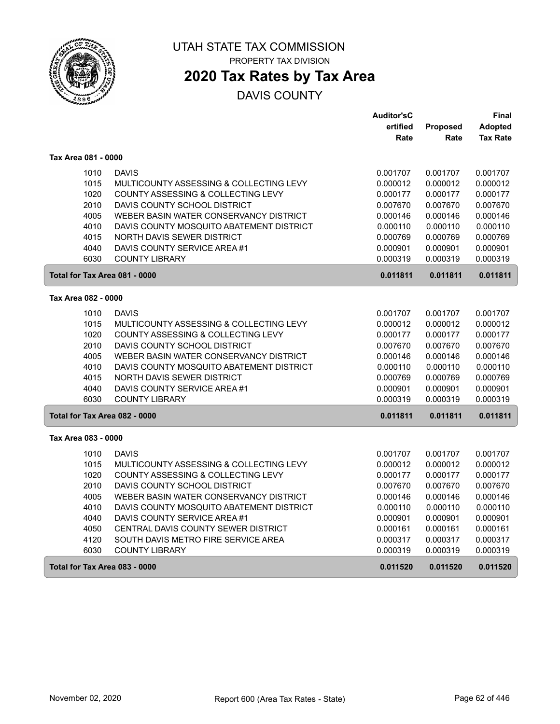

## **2020 Tax Rates by Tax Area**

|                               |                                                                     | <b>Auditor'sC</b>    |                      | Final                |
|-------------------------------|---------------------------------------------------------------------|----------------------|----------------------|----------------------|
|                               |                                                                     | ertified             | Proposed             | <b>Adopted</b>       |
|                               |                                                                     | Rate                 | Rate                 | <b>Tax Rate</b>      |
| Tax Area 081 - 0000           |                                                                     |                      |                      |                      |
| 1010                          | <b>DAVIS</b>                                                        | 0.001707             | 0.001707             | 0.001707             |
| 1015                          | MULTICOUNTY ASSESSING & COLLECTING LEVY                             | 0.000012             | 0.000012             | 0.000012             |
| 1020                          | COUNTY ASSESSING & COLLECTING LEVY                                  | 0.000177             | 0.000177             | 0.000177             |
| 2010                          | DAVIS COUNTY SCHOOL DISTRICT                                        | 0.007670             | 0.007670             | 0.007670             |
| 4005                          | WEBER BASIN WATER CONSERVANCY DISTRICT                              | 0.000146             | 0.000146             | 0.000146             |
| 4010                          | DAVIS COUNTY MOSQUITO ABATEMENT DISTRICT                            | 0.000110             | 0.000110             | 0.000110             |
| 4015                          | NORTH DAVIS SEWER DISTRICT                                          | 0.000769             | 0.000769             | 0.000769             |
| 4040                          | DAVIS COUNTY SERVICE AREA #1                                        | 0.000901             | 0.000901             | 0.000901             |
| 6030                          | <b>COUNTY LIBRARY</b>                                               | 0.000319             | 0.000319             | 0.000319             |
| Total for Tax Area 081 - 0000 |                                                                     | 0.011811             | 0.011811             | 0.011811             |
| Tax Area 082 - 0000           |                                                                     |                      |                      |                      |
| 1010                          | <b>DAVIS</b>                                                        | 0.001707             | 0.001707             | 0.001707             |
| 1015                          | MULTICOUNTY ASSESSING & COLLECTING LEVY                             | 0.000012             | 0.000012             | 0.000012             |
| 1020                          | COUNTY ASSESSING & COLLECTING LEVY                                  | 0.000177             | 0.000177             | 0.000177             |
| 2010                          | DAVIS COUNTY SCHOOL DISTRICT                                        | 0.007670             | 0.007670             | 0.007670             |
| 4005                          | WEBER BASIN WATER CONSERVANCY DISTRICT                              | 0.000146             | 0.000146             | 0.000146             |
| 4010                          | DAVIS COUNTY MOSQUITO ABATEMENT DISTRICT                            | 0.000110             | 0.000110             | 0.000110             |
| 4015                          | NORTH DAVIS SEWER DISTRICT                                          | 0.000769             | 0.000769             | 0.000769             |
| 4040                          | DAVIS COUNTY SERVICE AREA #1                                        | 0.000901             | 0.000901             | 0.000901             |
| 6030                          | <b>COUNTY LIBRARY</b>                                               | 0.000319             | 0.000319             | 0.000319             |
| Total for Tax Area 082 - 0000 |                                                                     | 0.011811             | 0.011811             | 0.011811             |
| Tax Area 083 - 0000           |                                                                     |                      |                      |                      |
|                               |                                                                     |                      |                      |                      |
| 1010                          | <b>DAVIS</b>                                                        | 0.001707             | 0.001707             | 0.001707             |
| 1015                          | MULTICOUNTY ASSESSING & COLLECTING LEVY                             | 0.000012             | 0.000012             | 0.000012             |
| 1020                          | COUNTY ASSESSING & COLLECTING LEVY                                  | 0.000177             | 0.000177             | 0.000177             |
| 2010                          | DAVIS COUNTY SCHOOL DISTRICT                                        | 0.007670             | 0.007670             | 0.007670             |
| 4005                          | WEBER BASIN WATER CONSERVANCY DISTRICT                              | 0.000146             | 0.000146             | 0.000146             |
| 4010                          | DAVIS COUNTY MOSQUITO ABATEMENT DISTRICT                            | 0.000110             | 0.000110             | 0.000110             |
| 4040                          | DAVIS COUNTY SERVICE AREA #1<br>CENTRAL DAVIS COUNTY SEWER DISTRICT | 0.000901             | 0.000901             | 0.000901             |
| 4050<br>4120                  | SOUTH DAVIS METRO FIRE SERVICE AREA                                 | 0.000161             | 0.000161             | 0.000161<br>0.000317 |
| 6030                          | <b>COUNTY LIBRARY</b>                                               | 0.000317<br>0.000319 | 0.000317<br>0.000319 | 0.000319             |
|                               |                                                                     |                      |                      |                      |
| Total for Tax Area 083 - 0000 |                                                                     | 0.011520             | 0.011520             | 0.011520             |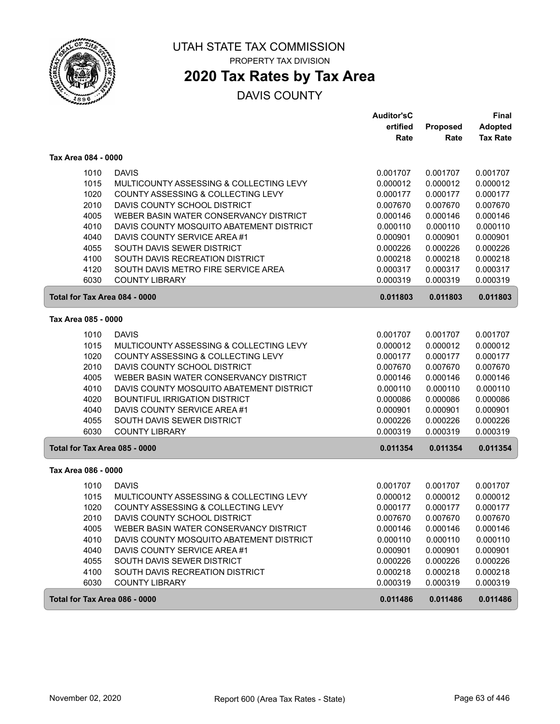

# **2020 Tax Rates by Tax Area**

|                               |                                          | <b>Auditor'sC</b> |          | <b>Final</b>    |
|-------------------------------|------------------------------------------|-------------------|----------|-----------------|
|                               |                                          | ertified          | Proposed | <b>Adopted</b>  |
|                               |                                          | Rate              | Rate     | <b>Tax Rate</b> |
| Tax Area 084 - 0000           |                                          |                   |          |                 |
| 1010                          | <b>DAVIS</b>                             | 0.001707          | 0.001707 | 0.001707        |
| 1015                          | MULTICOUNTY ASSESSING & COLLECTING LEVY  | 0.000012          | 0.000012 | 0.000012        |
| 1020                          | COUNTY ASSESSING & COLLECTING LEVY       | 0.000177          | 0.000177 | 0.000177        |
| 2010                          | DAVIS COUNTY SCHOOL DISTRICT             | 0.007670          | 0.007670 | 0.007670        |
| 4005                          | WEBER BASIN WATER CONSERVANCY DISTRICT   | 0.000146          | 0.000146 | 0.000146        |
| 4010                          | DAVIS COUNTY MOSQUITO ABATEMENT DISTRICT | 0.000110          | 0.000110 | 0.000110        |
| 4040                          | DAVIS COUNTY SERVICE AREA #1             | 0.000901          | 0.000901 | 0.000901        |
| 4055                          | SOUTH DAVIS SEWER DISTRICT               | 0.000226          | 0.000226 | 0.000226        |
| 4100                          | SOUTH DAVIS RECREATION DISTRICT          | 0.000218          | 0.000218 | 0.000218        |
| 4120                          | SOUTH DAVIS METRO FIRE SERVICE AREA      | 0.000317          | 0.000317 | 0.000317        |
| 6030                          | <b>COUNTY LIBRARY</b>                    | 0.000319          | 0.000319 | 0.000319        |
| Total for Tax Area 084 - 0000 |                                          | 0.011803          | 0.011803 | 0.011803        |
| Tax Area 085 - 0000           |                                          |                   |          |                 |
| 1010                          | <b>DAVIS</b>                             | 0.001707          | 0.001707 | 0.001707        |
| 1015                          | MULTICOUNTY ASSESSING & COLLECTING LEVY  | 0.000012          | 0.000012 | 0.000012        |
| 1020                          | COUNTY ASSESSING & COLLECTING LEVY       | 0.000177          | 0.000177 | 0.000177        |
| 2010                          | DAVIS COUNTY SCHOOL DISTRICT             | 0.007670          | 0.007670 | 0.007670        |
| 4005                          | WEBER BASIN WATER CONSERVANCY DISTRICT   | 0.000146          | 0.000146 | 0.000146        |
| 4010                          | DAVIS COUNTY MOSQUITO ABATEMENT DISTRICT | 0.000110          | 0.000110 | 0.000110        |
| 4020                          | <b>BOUNTIFUL IRRIGATION DISTRICT</b>     | 0.000086          | 0.000086 | 0.000086        |
| 4040                          | DAVIS COUNTY SERVICE AREA #1             | 0.000901          | 0.000901 | 0.000901        |
| 4055                          | SOUTH DAVIS SEWER DISTRICT               | 0.000226          | 0.000226 | 0.000226        |
| 6030                          | <b>COUNTY LIBRARY</b>                    | 0.000319          | 0.000319 | 0.000319        |
| Total for Tax Area 085 - 0000 |                                          | 0.011354          | 0.011354 | 0.011354        |
| Tax Area 086 - 0000           |                                          |                   |          |                 |
| 1010                          | <b>DAVIS</b>                             | 0.001707          | 0.001707 | 0.001707        |
| 1015                          | MULTICOUNTY ASSESSING & COLLECTING LEVY  | 0.000012          | 0.000012 | 0.000012        |
| 1020                          | COUNTY ASSESSING & COLLECTING LEVY       | 0.000177          | 0.000177 | 0.000177        |
| 2010                          | DAVIS COUNTY SCHOOL DISTRICT             | 0.007670          | 0.007670 | 0.007670        |
| 4005                          | WEBER BASIN WATER CONSERVANCY DISTRICT   | 0.000146          | 0.000146 | 0.000146        |
| 4010                          | DAVIS COUNTY MOSQUITO ABATEMENT DISTRICT | 0.000110          | 0.000110 | 0.000110        |
| 4040                          | DAVIS COUNTY SERVICE AREA#1              | 0.000901          | 0.000901 | 0.000901        |
| 4055                          | SOUTH DAVIS SEWER DISTRICT               | 0.000226          | 0.000226 | 0.000226        |
| 4100                          | SOUTH DAVIS RECREATION DISTRICT          | 0.000218          | 0.000218 | 0.000218        |
| 6030                          | <b>COUNTY LIBRARY</b>                    | 0.000319          | 0.000319 | 0.000319        |
| Total for Tax Area 086 - 0000 |                                          | 0.011486          | 0.011486 | 0.011486        |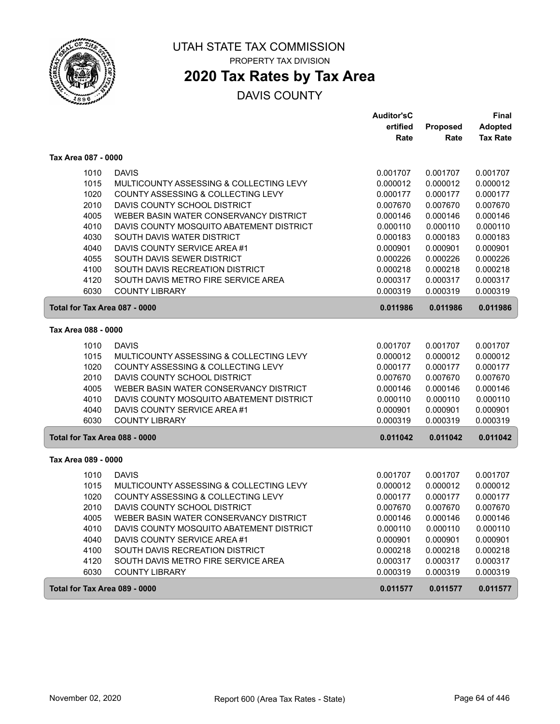

## **2020 Tax Rates by Tax Area**

|                               |                                          | <b>Auditor'sC</b> |                 | <b>Final</b>    |
|-------------------------------|------------------------------------------|-------------------|-----------------|-----------------|
|                               |                                          | ertified          | <b>Proposed</b> | <b>Adopted</b>  |
|                               |                                          | Rate              | Rate            | <b>Tax Rate</b> |
| Tax Area 087 - 0000           |                                          |                   |                 |                 |
| 1010                          | <b>DAVIS</b>                             | 0.001707          | 0.001707        | 0.001707        |
| 1015                          | MULTICOUNTY ASSESSING & COLLECTING LEVY  | 0.000012          | 0.000012        | 0.000012        |
| 1020                          | COUNTY ASSESSING & COLLECTING LEVY       | 0.000177          | 0.000177        | 0.000177        |
| 2010                          | DAVIS COUNTY SCHOOL DISTRICT             | 0.007670          | 0.007670        | 0.007670        |
| 4005                          | WEBER BASIN WATER CONSERVANCY DISTRICT   | 0.000146          | 0.000146        | 0.000146        |
| 4010                          | DAVIS COUNTY MOSQUITO ABATEMENT DISTRICT | 0.000110          | 0.000110        | 0.000110        |
| 4030                          | SOUTH DAVIS WATER DISTRICT               | 0.000183          | 0.000183        | 0.000183        |
| 4040                          | DAVIS COUNTY SERVICE AREA #1             | 0.000901          | 0.000901        | 0.000901        |
| 4055                          | SOUTH DAVIS SEWER DISTRICT               | 0.000226          | 0.000226        | 0.000226        |
| 4100                          | SOUTH DAVIS RECREATION DISTRICT          | 0.000218          | 0.000218        | 0.000218        |
| 4120                          | SOUTH DAVIS METRO FIRE SERVICE AREA      | 0.000317          | 0.000317        | 0.000317        |
| 6030                          | <b>COUNTY LIBRARY</b>                    | 0.000319          | 0.000319        | 0.000319        |
| Total for Tax Area 087 - 0000 |                                          | 0.011986          | 0.011986        | 0.011986        |
| Tax Area 088 - 0000           |                                          |                   |                 |                 |
| 1010                          | <b>DAVIS</b>                             | 0.001707          | 0.001707        | 0.001707        |
| 1015                          | MULTICOUNTY ASSESSING & COLLECTING LEVY  | 0.000012          | 0.000012        | 0.000012        |
| 1020                          | COUNTY ASSESSING & COLLECTING LEVY       | 0.000177          | 0.000177        | 0.000177        |
| 2010                          | DAVIS COUNTY SCHOOL DISTRICT             | 0.007670          | 0.007670        | 0.007670        |
| 4005                          | WEBER BASIN WATER CONSERVANCY DISTRICT   | 0.000146          | 0.000146        | 0.000146        |
| 4010                          | DAVIS COUNTY MOSQUITO ABATEMENT DISTRICT | 0.000110          | 0.000110        | 0.000110        |
| 4040                          | DAVIS COUNTY SERVICE AREA #1             | 0.000901          | 0.000901        | 0.000901        |
| 6030                          | <b>COUNTY LIBRARY</b>                    | 0.000319          | 0.000319        | 0.000319        |
| Total for Tax Area 088 - 0000 |                                          | 0.011042          | 0.011042        | 0.011042        |
| Tax Area 089 - 0000           |                                          |                   |                 |                 |
| 1010                          | <b>DAVIS</b>                             | 0.001707          | 0.001707        | 0.001707        |
| 1015                          | MULTICOUNTY ASSESSING & COLLECTING LEVY  | 0.000012          | 0.000012        | 0.000012        |
| 1020                          | COUNTY ASSESSING & COLLECTING LEVY       | 0.000177          | 0.000177        | 0.000177        |
| 2010                          | DAVIS COUNTY SCHOOL DISTRICT             | 0.007670          | 0.007670        | 0.007670        |
| 4005                          | WEBER BASIN WATER CONSERVANCY DISTRICT   | 0.000146          | 0.000146        | 0.000146        |
| 4010                          | DAVIS COUNTY MOSQUITO ABATEMENT DISTRICT | 0.000110          | 0.000110        | 0.000110        |
| 4040                          | DAVIS COUNTY SERVICE AREA #1             | 0.000901          | 0.000901        | 0.000901        |
| 4100                          | SOUTH DAVIS RECREATION DISTRICT          | 0.000218          | 0.000218        | 0.000218        |
| 4120                          | SOUTH DAVIS METRO FIRE SERVICE AREA      | 0.000317          | 0.000317        | 0.000317        |
| 6030                          | <b>COUNTY LIBRARY</b>                    | 0.000319          | 0.000319        | 0.000319        |
| Total for Tax Area 089 - 0000 |                                          | 0.011577          | 0.011577        | 0.011577        |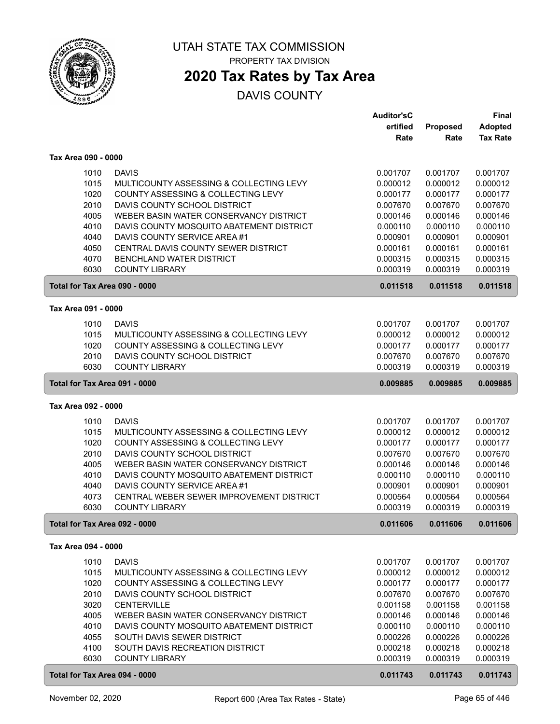

PROPERTY TAX DIVISION

# **2020 Tax Rates by Tax Area**

|                               |                                                                               | <b>Auditor'sC</b>    |                      | <b>Final</b>         |
|-------------------------------|-------------------------------------------------------------------------------|----------------------|----------------------|----------------------|
|                               |                                                                               | ertified             | Proposed             | Adopted              |
|                               |                                                                               | Rate                 | Rate                 | <b>Tax Rate</b>      |
|                               |                                                                               |                      |                      |                      |
| Tax Area 090 - 0000           |                                                                               |                      |                      |                      |
| 1010                          | <b>DAVIS</b>                                                                  | 0.001707             | 0.001707             | 0.001707             |
| 1015                          | MULTICOUNTY ASSESSING & COLLECTING LEVY                                       | 0.000012             | 0.000012             | 0.000012             |
| 1020                          | COUNTY ASSESSING & COLLECTING LEVY                                            | 0.000177             | 0.000177             | 0.000177             |
| 2010                          | DAVIS COUNTY SCHOOL DISTRICT                                                  | 0.007670             | 0.007670             | 0.007670             |
| 4005                          | WEBER BASIN WATER CONSERVANCY DISTRICT                                        | 0.000146             | 0.000146             | 0.000146             |
| 4010                          | DAVIS COUNTY MOSQUITO ABATEMENT DISTRICT                                      | 0.000110             | 0.000110             | 0.000110             |
| 4040                          | DAVIS COUNTY SERVICE AREA #1                                                  | 0.000901             | 0.000901             | 0.000901             |
| 4050                          | CENTRAL DAVIS COUNTY SEWER DISTRICT                                           | 0.000161             | 0.000161             | 0.000161             |
| 4070                          | BENCHLAND WATER DISTRICT                                                      | 0.000315             | 0.000315             | 0.000315             |
| 6030                          | <b>COUNTY LIBRARY</b>                                                         | 0.000319             | 0.000319             | 0.000319             |
| Total for Tax Area 090 - 0000 |                                                                               | 0.011518             | 0.011518             | 0.011518             |
| Tax Area 091 - 0000           |                                                                               |                      |                      |                      |
|                               | <b>DAVIS</b>                                                                  |                      |                      | 0.001707             |
| 1010                          |                                                                               | 0.001707             | 0.001707             |                      |
| 1015<br>1020                  | MULTICOUNTY ASSESSING & COLLECTING LEVY<br>COUNTY ASSESSING & COLLECTING LEVY | 0.000012             | 0.000012<br>0.000177 | 0.000012<br>0.000177 |
| 2010                          | DAVIS COUNTY SCHOOL DISTRICT                                                  | 0.000177<br>0.007670 | 0.007670             | 0.007670             |
| 6030                          | <b>COUNTY LIBRARY</b>                                                         | 0.000319             | 0.000319             | 0.000319             |
|                               |                                                                               |                      |                      |                      |
| Total for Tax Area 091 - 0000 |                                                                               | 0.009885             | 0.009885             | 0.009885             |
| Tax Area 092 - 0000           |                                                                               |                      |                      |                      |
| 1010                          | <b>DAVIS</b>                                                                  | 0.001707             | 0.001707             | 0.001707             |
| 1015                          | MULTICOUNTY ASSESSING & COLLECTING LEVY                                       | 0.000012             | 0.000012             | 0.000012             |
| 1020                          | COUNTY ASSESSING & COLLECTING LEVY                                            | 0.000177             | 0.000177             | 0.000177             |
| 2010                          | DAVIS COUNTY SCHOOL DISTRICT                                                  | 0.007670             | 0.007670             | 0.007670             |
| 4005                          | WEBER BASIN WATER CONSERVANCY DISTRICT                                        | 0.000146             | 0.000146             | 0.000146             |
| 4010                          | DAVIS COUNTY MOSQUITO ABATEMENT DISTRICT                                      | 0.000110             | 0.000110             | 0.000110             |
| 4040                          | DAVIS COUNTY SERVICE AREA #1                                                  | 0.000901             | 0.000901             | 0.000901             |
| 4073                          | CENTRAL WEBER SEWER IMPROVEMENT DISTRICT                                      | 0.000564             | 0.000564             | 0.000564             |
| 6030                          | <b>COUNTY LIBRARY</b>                                                         | 0.000319             | 0.000319             | 0.000319             |
| Total for Tax Area 092 - 0000 |                                                                               | 0.011606             | 0.011606             | 0.011606             |
| Tax Area 094 - 0000           |                                                                               |                      |                      |                      |
|                               |                                                                               |                      |                      | 0.001707             |
| 1010<br>1015                  | <b>DAVIS</b><br>MULTICOUNTY ASSESSING & COLLECTING LEVY                       | 0.001707<br>0.000012 | 0.001707<br>0.000012 | 0.000012             |
|                               |                                                                               |                      |                      |                      |
| 1020<br>2010                  | COUNTY ASSESSING & COLLECTING LEVY<br>DAVIS COUNTY SCHOOL DISTRICT            | 0.000177<br>0.007670 | 0.000177<br>0.007670 | 0.000177<br>0.007670 |
| 3020                          | <b>CENTERVILLE</b>                                                            | 0.001158             | 0.001158             | 0.001158             |
| 4005                          | WEBER BASIN WATER CONSERVANCY DISTRICT                                        | 0.000146             | 0.000146             | 0.000146             |
| 4010                          | DAVIS COUNTY MOSQUITO ABATEMENT DISTRICT                                      | 0.000110             | 0.000110             | 0.000110             |
| 4055                          | SOUTH DAVIS SEWER DISTRICT                                                    |                      | 0.000226             | 0.000226             |
| 4100                          | SOUTH DAVIS RECREATION DISTRICT                                               | 0.000226<br>0.000218 | 0.000218             | 0.000218             |
| 6030                          | <b>COUNTY LIBRARY</b>                                                         | 0.000319             | 0.000319             | 0.000319             |
|                               |                                                                               |                      |                      |                      |
| Total for Tax Area 094 - 0000 |                                                                               | 0.011743             | 0.011743             | 0.011743             |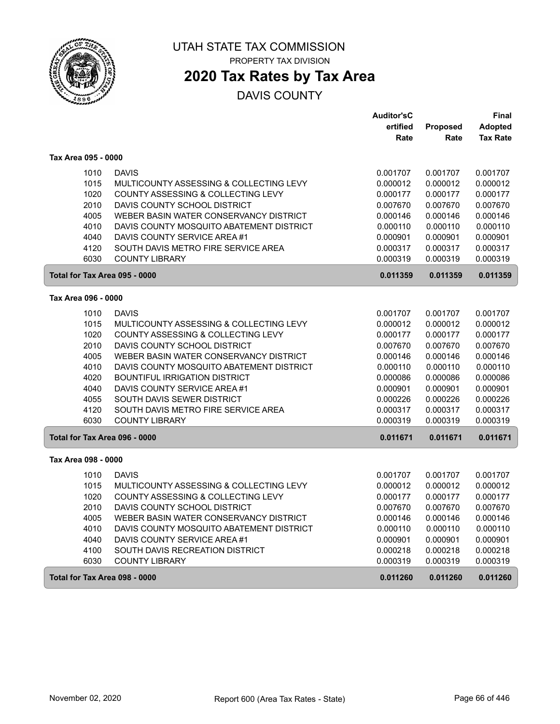

# **2020 Tax Rates by Tax Area**

|                               |                                          | <b>Auditor'sC</b> |          | Final           |
|-------------------------------|------------------------------------------|-------------------|----------|-----------------|
|                               |                                          | ertified          | Proposed | <b>Adopted</b>  |
|                               |                                          | Rate              | Rate     | <b>Tax Rate</b> |
| Tax Area 095 - 0000           |                                          |                   |          |                 |
| 1010                          | <b>DAVIS</b>                             | 0.001707          | 0.001707 | 0.001707        |
| 1015                          | MULTICOUNTY ASSESSING & COLLECTING LEVY  | 0.000012          | 0.000012 | 0.000012        |
| 1020                          | COUNTY ASSESSING & COLLECTING LEVY       | 0.000177          | 0.000177 | 0.000177        |
| 2010                          | DAVIS COUNTY SCHOOL DISTRICT             | 0.007670          | 0.007670 | 0.007670        |
| 4005                          | WEBER BASIN WATER CONSERVANCY DISTRICT   | 0.000146          | 0.000146 | 0.000146        |
| 4010                          | DAVIS COUNTY MOSQUITO ABATEMENT DISTRICT | 0.000110          | 0.000110 | 0.000110        |
| 4040                          | DAVIS COUNTY SERVICE AREA #1             | 0.000901          | 0.000901 | 0.000901        |
| 4120                          | SOUTH DAVIS METRO FIRE SERVICE AREA      | 0.000317          | 0.000317 | 0.000317        |
| 6030                          | <b>COUNTY LIBRARY</b>                    | 0.000319          | 0.000319 | 0.000319        |
| Total for Tax Area 095 - 0000 |                                          | 0.011359          | 0.011359 | 0.011359        |
| Tax Area 096 - 0000           |                                          |                   |          |                 |
| 1010                          | <b>DAVIS</b>                             | 0.001707          | 0.001707 | 0.001707        |
| 1015                          | MULTICOUNTY ASSESSING & COLLECTING LEVY  | 0.000012          | 0.000012 | 0.000012        |
| 1020                          | COUNTY ASSESSING & COLLECTING LEVY       | 0.000177          | 0.000177 | 0.000177        |
| 2010                          | DAVIS COUNTY SCHOOL DISTRICT             | 0.007670          | 0.007670 | 0.007670        |
| 4005                          | WEBER BASIN WATER CONSERVANCY DISTRICT   | 0.000146          | 0.000146 | 0.000146        |
| 4010                          | DAVIS COUNTY MOSQUITO ABATEMENT DISTRICT | 0.000110          | 0.000110 | 0.000110        |
| 4020                          | <b>BOUNTIFUL IRRIGATION DISTRICT</b>     | 0.000086          | 0.000086 | 0.000086        |
| 4040                          | DAVIS COUNTY SERVICE AREA #1             | 0.000901          | 0.000901 | 0.000901        |
| 4055                          | SOUTH DAVIS SEWER DISTRICT               | 0.000226          | 0.000226 | 0.000226        |
| 4120                          | SOUTH DAVIS METRO FIRE SERVICE AREA      | 0.000317          | 0.000317 | 0.000317        |
| 6030                          | <b>COUNTY LIBRARY</b>                    | 0.000319          | 0.000319 | 0.000319        |
| Total for Tax Area 096 - 0000 |                                          | 0.011671          | 0.011671 | 0.011671        |
| Tax Area 098 - 0000           |                                          |                   |          |                 |
| 1010                          | <b>DAVIS</b>                             | 0.001707          | 0.001707 | 0.001707        |
| 1015                          | MULTICOUNTY ASSESSING & COLLECTING LEVY  | 0.000012          | 0.000012 | 0.000012        |
| 1020                          | COUNTY ASSESSING & COLLECTING LEVY       | 0.000177          | 0.000177 | 0.000177        |
| 2010                          | DAVIS COUNTY SCHOOL DISTRICT             | 0.007670          | 0.007670 | 0.007670        |
| 4005                          | WEBER BASIN WATER CONSERVANCY DISTRICT   | 0.000146          | 0.000146 | 0.000146        |
| 4010                          | DAVIS COUNTY MOSQUITO ABATEMENT DISTRICT | 0.000110          | 0.000110 | 0.000110        |
| 4040                          | DAVIS COUNTY SERVICE AREA #1             | 0.000901          | 0.000901 | 0.000901        |
| 4100                          | SOUTH DAVIS RECREATION DISTRICT          | 0.000218          | 0.000218 | 0.000218        |
| 6030                          | <b>COUNTY LIBRARY</b>                    | 0.000319          | 0.000319 | 0.000319        |
| Total for Tax Area 098 - 0000 |                                          | 0.011260          | 0.011260 | 0.011260        |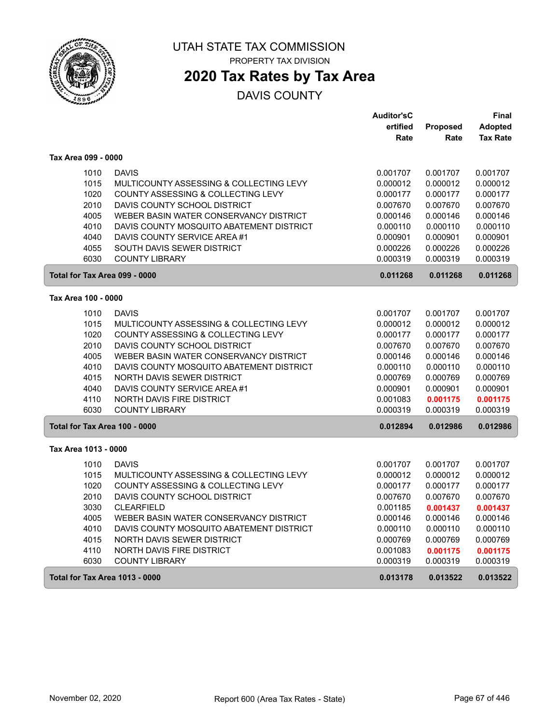

## **2020 Tax Rates by Tax Area**

|                                       |                                          | <b>Auditor'sC</b> |                 | Final           |
|---------------------------------------|------------------------------------------|-------------------|-----------------|-----------------|
|                                       |                                          | ertified          | <b>Proposed</b> | <b>Adopted</b>  |
|                                       |                                          | Rate              | Rate            | <b>Tax Rate</b> |
| Tax Area 099 - 0000                   |                                          |                   |                 |                 |
| 1010                                  | <b>DAVIS</b>                             | 0.001707          | 0.001707        | 0.001707        |
| 1015                                  | MULTICOUNTY ASSESSING & COLLECTING LEVY  | 0.000012          | 0.000012        | 0.000012        |
| 1020                                  | COUNTY ASSESSING & COLLECTING LEVY       | 0.000177          | 0.000177        | 0.000177        |
| 2010                                  | DAVIS COUNTY SCHOOL DISTRICT             | 0.007670          | 0.007670        | 0.007670        |
| 4005                                  | WEBER BASIN WATER CONSERVANCY DISTRICT   | 0.000146          | 0.000146        | 0.000146        |
| 4010                                  | DAVIS COUNTY MOSQUITO ABATEMENT DISTRICT | 0.000110          | 0.000110        | 0.000110        |
| 4040                                  | DAVIS COUNTY SERVICE AREA #1             | 0.000901          | 0.000901        | 0.000901        |
| 4055                                  | SOUTH DAVIS SEWER DISTRICT               | 0.000226          | 0.000226        | 0.000226        |
| 6030                                  | <b>COUNTY LIBRARY</b>                    | 0.000319          | 0.000319        | 0.000319        |
| Total for Tax Area 099 - 0000         |                                          | 0.011268          | 0.011268        | 0.011268        |
| Tax Area 100 - 0000                   |                                          |                   |                 |                 |
| 1010                                  | <b>DAVIS</b>                             | 0.001707          | 0.001707        | 0.001707        |
| 1015                                  | MULTICOUNTY ASSESSING & COLLECTING LEVY  | 0.000012          | 0.000012        | 0.000012        |
| 1020                                  | COUNTY ASSESSING & COLLECTING LEVY       | 0.000177          | 0.000177        | 0.000177        |
| 2010                                  | DAVIS COUNTY SCHOOL DISTRICT             | 0.007670          | 0.007670        | 0.007670        |
| 4005                                  | WEBER BASIN WATER CONSERVANCY DISTRICT   | 0.000146          | 0.000146        | 0.000146        |
| 4010                                  | DAVIS COUNTY MOSQUITO ABATEMENT DISTRICT | 0.000110          | 0.000110        | 0.000110        |
| 4015                                  | NORTH DAVIS SEWER DISTRICT               | 0.000769          | 0.000769        | 0.000769        |
| 4040                                  | DAVIS COUNTY SERVICE AREA #1             | 0.000901          | 0.000901        | 0.000901        |
| 4110                                  | NORTH DAVIS FIRE DISTRICT                | 0.001083          | 0.001175        | 0.001175        |
| 6030                                  | <b>COUNTY LIBRARY</b>                    | 0.000319          | 0.000319        | 0.000319        |
| Total for Tax Area 100 - 0000         |                                          | 0.012894          | 0.012986        | 0.012986        |
| Tax Area 1013 - 0000                  |                                          |                   |                 |                 |
| 1010                                  | <b>DAVIS</b>                             | 0.001707          | 0.001707        | 0.001707        |
| 1015                                  | MULTICOUNTY ASSESSING & COLLECTING LEVY  | 0.000012          | 0.000012        | 0.000012        |
| 1020                                  | COUNTY ASSESSING & COLLECTING LEVY       | 0.000177          | 0.000177        | 0.000177        |
| 2010                                  | DAVIS COUNTY SCHOOL DISTRICT             | 0.007670          | 0.007670        | 0.007670        |
| 3030                                  | <b>CLEARFIELD</b>                        | 0.001185          | 0.001437        | 0.001437        |
| 4005                                  | WEBER BASIN WATER CONSERVANCY DISTRICT   | 0.000146          | 0.000146        | 0.000146        |
| 4010                                  | DAVIS COUNTY MOSQUITO ABATEMENT DISTRICT | 0.000110          | 0.000110        | 0.000110        |
| 4015                                  | NORTH DAVIS SEWER DISTRICT               | 0.000769          | 0.000769        | 0.000769        |
| 4110                                  | NORTH DAVIS FIRE DISTRICT                | 0.001083          | 0.001175        | 0.001175        |
| 6030                                  | <b>COUNTY LIBRARY</b>                    | 0.000319          | 0.000319        | 0.000319        |
| <b>Total for Tax Area 1013 - 0000</b> |                                          | 0.013178          | 0.013522        | 0.013522        |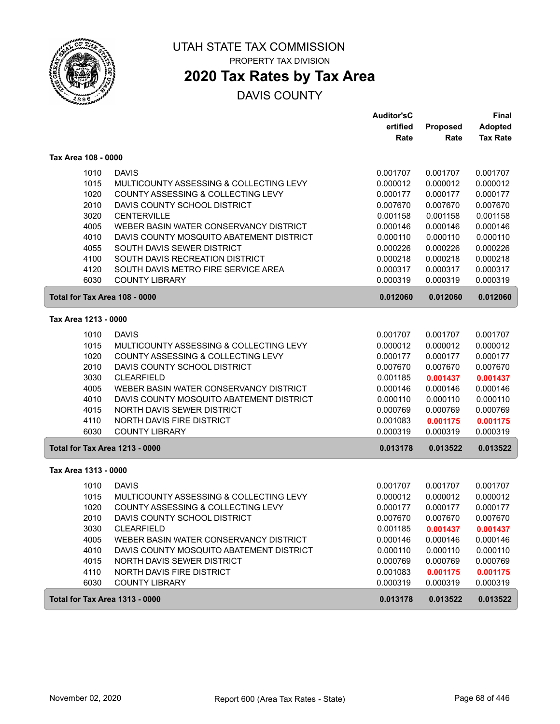

PROPERTY TAX DIVISION

# **2020 Tax Rates by Tax Area**

|                                       |                                          | <b>Auditor'sC</b> |          | <b>Final</b>    |
|---------------------------------------|------------------------------------------|-------------------|----------|-----------------|
|                                       |                                          | ertified          | Proposed | <b>Adopted</b>  |
|                                       |                                          | Rate              | Rate     | <b>Tax Rate</b> |
| Tax Area 108 - 0000                   |                                          |                   |          |                 |
| 1010                                  | <b>DAVIS</b>                             | 0.001707          | 0.001707 | 0.001707        |
| 1015                                  | MULTICOUNTY ASSESSING & COLLECTING LEVY  | 0.000012          | 0.000012 | 0.000012        |
| 1020                                  | COUNTY ASSESSING & COLLECTING LEVY       | 0.000177          | 0.000177 | 0.000177        |
| 2010                                  | DAVIS COUNTY SCHOOL DISTRICT             | 0.007670          | 0.007670 | 0.007670        |
| 3020                                  | <b>CENTERVILLE</b>                       | 0.001158          | 0.001158 | 0.001158        |
| 4005                                  | WEBER BASIN WATER CONSERVANCY DISTRICT   | 0.000146          | 0.000146 | 0.000146        |
| 4010                                  | DAVIS COUNTY MOSQUITO ABATEMENT DISTRICT | 0.000110          | 0.000110 | 0.000110        |
| 4055                                  | SOUTH DAVIS SEWER DISTRICT               | 0.000226          | 0.000226 | 0.000226        |
| 4100                                  | SOUTH DAVIS RECREATION DISTRICT          | 0.000218          | 0.000218 | 0.000218        |
| 4120                                  | SOUTH DAVIS METRO FIRE SERVICE AREA      | 0.000317          | 0.000317 | 0.000317        |
| 6030                                  | <b>COUNTY LIBRARY</b>                    | 0.000319          | 0.000319 | 0.000319        |
| Total for Tax Area 108 - 0000         |                                          | 0.012060          | 0.012060 | 0.012060        |
| Tax Area 1213 - 0000                  |                                          |                   |          |                 |
| 1010                                  | <b>DAVIS</b>                             | 0.001707          | 0.001707 | 0.001707        |
| 1015                                  | MULTICOUNTY ASSESSING & COLLECTING LEVY  | 0.000012          | 0.000012 | 0.000012        |
| 1020                                  | COUNTY ASSESSING & COLLECTING LEVY       | 0.000177          | 0.000177 | 0.000177        |
| 2010                                  | DAVIS COUNTY SCHOOL DISTRICT             | 0.007670          | 0.007670 | 0.007670        |
| 3030                                  | <b>CLEARFIELD</b>                        | 0.001185          | 0.001437 | 0.001437        |
| 4005                                  | WEBER BASIN WATER CONSERVANCY DISTRICT   | 0.000146          | 0.000146 | 0.000146        |
| 4010                                  | DAVIS COUNTY MOSQUITO ABATEMENT DISTRICT | 0.000110          | 0.000110 | 0.000110        |
| 4015                                  | NORTH DAVIS SEWER DISTRICT               | 0.000769          | 0.000769 | 0.000769        |
| 4110                                  | NORTH DAVIS FIRE DISTRICT                | 0.001083          | 0.001175 | 0.001175        |
| 6030                                  | <b>COUNTY LIBRARY</b>                    | 0.000319          | 0.000319 | 0.000319        |
| <b>Total for Tax Area 1213 - 0000</b> |                                          | 0.013178          | 0.013522 | 0.013522        |
| Tax Area 1313 - 0000                  |                                          |                   |          |                 |
| 1010                                  | <b>DAVIS</b>                             | 0.001707          | 0.001707 | 0.001707        |
| 1015                                  | MULTICOUNTY ASSESSING & COLLECTING LEVY  | 0.000012          | 0.000012 | 0.000012        |
| 1020                                  | COUNTY ASSESSING & COLLECTING LEVY       | 0.000177          | 0.000177 | 0.000177        |
| 2010                                  | DAVIS COUNTY SCHOOL DISTRICT             | 0.007670          | 0.007670 | 0.007670        |
| 3030                                  | <b>CLEARFIELD</b>                        | 0.001185          | 0.001437 | 0.001437        |
| 4005                                  | WEBER BASIN WATER CONSERVANCY DISTRICT   | 0.000146          | 0.000146 | 0.000146        |
| 4010                                  | DAVIS COUNTY MOSQUITO ABATEMENT DISTRICT | 0.000110          | 0.000110 | 0.000110        |
| 4015                                  | NORTH DAVIS SEWER DISTRICT               | 0.000769          | 0.000769 | 0.000769        |
| 4110                                  | NORTH DAVIS FIRE DISTRICT                | 0.001083          | 0.001175 | 0.001175        |
| 6030                                  | <b>COUNTY LIBRARY</b>                    | 0.000319          | 0.000319 | 0.000319        |
| <b>Total for Tax Area 1313 - 0000</b> |                                          | 0.013178          | 0.013522 | 0.013522        |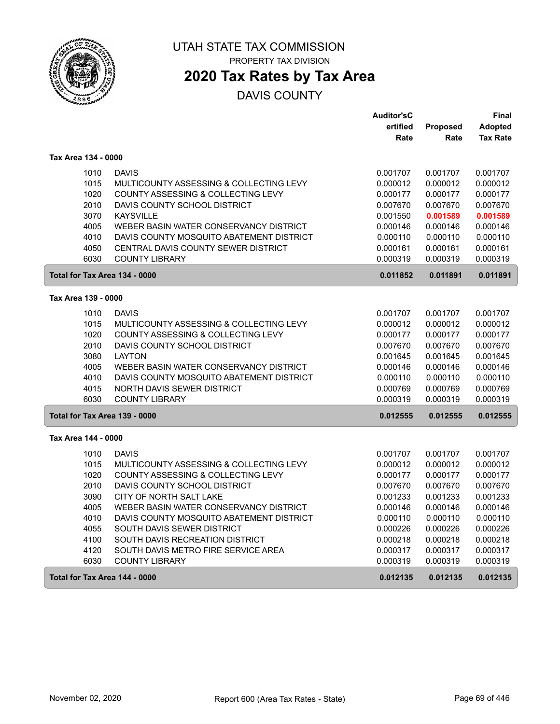

PROPERTY TAX DIVISION

## **2020 Tax Rates by Tax Area**

|                               |                                          | <b>Auditor'sC</b> |          | Final           |
|-------------------------------|------------------------------------------|-------------------|----------|-----------------|
|                               |                                          | ertified          | Proposed | <b>Adopted</b>  |
|                               |                                          | Rate              | Rate     | <b>Tax Rate</b> |
| Tax Area 134 - 0000           |                                          |                   |          |                 |
| 1010                          | <b>DAVIS</b>                             | 0.001707          | 0.001707 | 0.001707        |
| 1015                          | MULTICOUNTY ASSESSING & COLLECTING LEVY  | 0.000012          | 0.000012 | 0.000012        |
| 1020                          | COUNTY ASSESSING & COLLECTING LEVY       | 0.000177          | 0.000177 | 0.000177        |
| 2010                          | DAVIS COUNTY SCHOOL DISTRICT             | 0.007670          | 0.007670 | 0.007670        |
| 3070                          | <b>KAYSVILLE</b>                         | 0.001550          | 0.001589 | 0.001589        |
| 4005                          | WEBER BASIN WATER CONSERVANCY DISTRICT   | 0.000146          | 0.000146 | 0.000146        |
| 4010                          | DAVIS COUNTY MOSQUITO ABATEMENT DISTRICT | 0.000110          | 0.000110 | 0.000110        |
| 4050                          | CENTRAL DAVIS COUNTY SEWER DISTRICT      | 0.000161          | 0.000161 | 0.000161        |
| 6030                          | <b>COUNTY LIBRARY</b>                    | 0.000319          | 0.000319 | 0.000319        |
| Total for Tax Area 134 - 0000 |                                          | 0.011852          | 0.011891 | 0.011891        |
| Tax Area 139 - 0000           |                                          |                   |          |                 |
| 1010                          | <b>DAVIS</b>                             | 0.001707          | 0.001707 | 0.001707        |
| 1015                          | MULTICOUNTY ASSESSING & COLLECTING LEVY  | 0.000012          | 0.000012 | 0.000012        |
| 1020                          | COUNTY ASSESSING & COLLECTING LEVY       | 0.000177          | 0.000177 | 0.000177        |
| 2010                          | DAVIS COUNTY SCHOOL DISTRICT             | 0.007670          | 0.007670 | 0.007670        |
| 3080                          | <b>LAYTON</b>                            | 0.001645          | 0.001645 | 0.001645        |
| 4005                          | WEBER BASIN WATER CONSERVANCY DISTRICT   | 0.000146          | 0.000146 | 0.000146        |
| 4010                          | DAVIS COUNTY MOSQUITO ABATEMENT DISTRICT | 0.000110          | 0.000110 | 0.000110        |
| 4015                          | NORTH DAVIS SEWER DISTRICT               | 0.000769          | 0.000769 | 0.000769        |
| 6030                          | <b>COUNTY LIBRARY</b>                    | 0.000319          | 0.000319 | 0.000319        |
| Total for Tax Area 139 - 0000 |                                          | 0.012555          | 0.012555 | 0.012555        |
| Tax Area 144 - 0000           |                                          |                   |          |                 |
| 1010                          | <b>DAVIS</b>                             | 0.001707          | 0.001707 | 0.001707        |
| 1015                          | MULTICOUNTY ASSESSING & COLLECTING LEVY  | 0.000012          | 0.000012 | 0.000012        |
| 1020                          | COUNTY ASSESSING & COLLECTING LEVY       | 0.000177          | 0.000177 | 0.000177        |
| 2010                          | DAVIS COUNTY SCHOOL DISTRICT             | 0.007670          | 0.007670 | 0.007670        |
| 3090                          | CITY OF NORTH SALT LAKE                  | 0.001233          | 0.001233 | 0.001233        |
| 4005                          | WEBER BASIN WATER CONSERVANCY DISTRICT   | 0.000146          | 0.000146 | 0.000146        |
| 4010                          | DAVIS COUNTY MOSQUITO ABATEMENT DISTRICT | 0.000110          | 0.000110 | 0.000110        |
| 4055                          | SOUTH DAVIS SEWER DISTRICT               | 0.000226          | 0.000226 | 0.000226        |
| 4100                          | SOUTH DAVIS RECREATION DISTRICT          | 0.000218          | 0.000218 | 0.000218        |
| 4120                          | SOUTH DAVIS METRO FIRE SERVICE AREA      | 0.000317          | 0.000317 | 0.000317        |
| 6030                          | <b>COUNTY LIBRARY</b>                    | 0.000319          | 0.000319 | 0.000319        |
| Total for Tax Area 144 - 0000 |                                          | 0.012135          | 0.012135 | 0.012135        |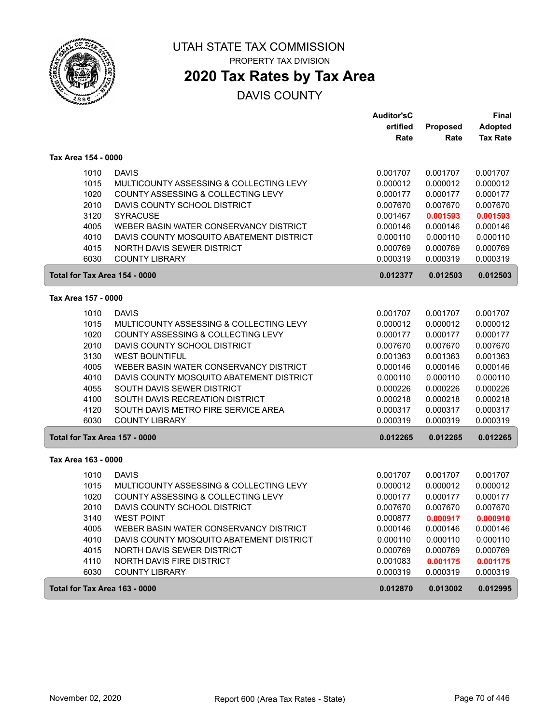

PROPERTY TAX DIVISION

## **2020 Tax Rates by Tax Area**

|                               |                                          | <b>Auditor'sC</b> |          | <b>Final</b>    |
|-------------------------------|------------------------------------------|-------------------|----------|-----------------|
|                               |                                          | ertified          | Proposed | <b>Adopted</b>  |
|                               |                                          | Rate              | Rate     | <b>Tax Rate</b> |
| Tax Area 154 - 0000           |                                          |                   |          |                 |
| 1010                          | <b>DAVIS</b>                             | 0.001707          | 0.001707 | 0.001707        |
| 1015                          | MULTICOUNTY ASSESSING & COLLECTING LEVY  | 0.000012          | 0.000012 | 0.000012        |
| 1020                          | COUNTY ASSESSING & COLLECTING LEVY       | 0.000177          | 0.000177 | 0.000177        |
| 2010                          | DAVIS COUNTY SCHOOL DISTRICT             | 0.007670          | 0.007670 | 0.007670        |
| 3120                          | <b>SYRACUSE</b>                          | 0.001467          | 0.001593 | 0.001593        |
| 4005                          | WEBER BASIN WATER CONSERVANCY DISTRICT   | 0.000146          | 0.000146 | 0.000146        |
| 4010                          | DAVIS COUNTY MOSQUITO ABATEMENT DISTRICT | 0.000110          | 0.000110 | 0.000110        |
| 4015                          | NORTH DAVIS SEWER DISTRICT               | 0.000769          | 0.000769 | 0.000769        |
| 6030                          | <b>COUNTY LIBRARY</b>                    | 0.000319          | 0.000319 | 0.000319        |
| Total for Tax Area 154 - 0000 |                                          | 0.012377          | 0.012503 | 0.012503        |
| Tax Area 157 - 0000           |                                          |                   |          |                 |
| 1010                          | <b>DAVIS</b>                             | 0.001707          | 0.001707 | 0.001707        |
| 1015                          | MULTICOUNTY ASSESSING & COLLECTING LEVY  | 0.000012          | 0.000012 | 0.000012        |
| 1020                          | COUNTY ASSESSING & COLLECTING LEVY       | 0.000177          | 0.000177 | 0.000177        |
| 2010                          | DAVIS COUNTY SCHOOL DISTRICT             | 0.007670          | 0.007670 | 0.007670        |
| 3130                          | <b>WEST BOUNTIFUL</b>                    | 0.001363          | 0.001363 | 0.001363        |
| 4005                          | WEBER BASIN WATER CONSERVANCY DISTRICT   | 0.000146          | 0.000146 | 0.000146        |
| 4010                          | DAVIS COUNTY MOSQUITO ABATEMENT DISTRICT | 0.000110          | 0.000110 | 0.000110        |
| 4055                          | SOUTH DAVIS SEWER DISTRICT               | 0.000226          | 0.000226 | 0.000226        |
| 4100                          | SOUTH DAVIS RECREATION DISTRICT          | 0.000218          | 0.000218 | 0.000218        |
| 4120                          | SOUTH DAVIS METRO FIRE SERVICE AREA      | 0.000317          | 0.000317 | 0.000317        |
| 6030                          | <b>COUNTY LIBRARY</b>                    | 0.000319          | 0.000319 | 0.000319        |
| Total for Tax Area 157 - 0000 |                                          | 0.012265          | 0.012265 | 0.012265        |
| Tax Area 163 - 0000           |                                          |                   |          |                 |
| 1010                          | <b>DAVIS</b>                             | 0.001707          | 0.001707 | 0.001707        |
| 1015                          | MULTICOUNTY ASSESSING & COLLECTING LEVY  | 0.000012          | 0.000012 | 0.000012        |
| 1020                          | COUNTY ASSESSING & COLLECTING LEVY       | 0.000177          | 0.000177 | 0.000177        |
| 2010                          | DAVIS COUNTY SCHOOL DISTRICT             | 0.007670          | 0.007670 | 0.007670        |
| 3140                          | <b>WEST POINT</b>                        | 0.000877          | 0.000917 | 0.000910        |
| 4005                          | WEBER BASIN WATER CONSERVANCY DISTRICT   | 0.000146          | 0.000146 | 0.000146        |
| 4010                          | DAVIS COUNTY MOSQUITO ABATEMENT DISTRICT | 0.000110          | 0.000110 | 0.000110        |
| 4015                          | NORTH DAVIS SEWER DISTRICT               | 0.000769          | 0.000769 | 0.000769        |
| 4110                          | NORTH DAVIS FIRE DISTRICT                | 0.001083          | 0.001175 | 0.001175        |
| 6030                          | <b>COUNTY LIBRARY</b>                    | 0.000319          | 0.000319 | 0.000319        |
| Total for Tax Area 163 - 0000 |                                          | 0.012870          | 0.013002 | 0.012995        |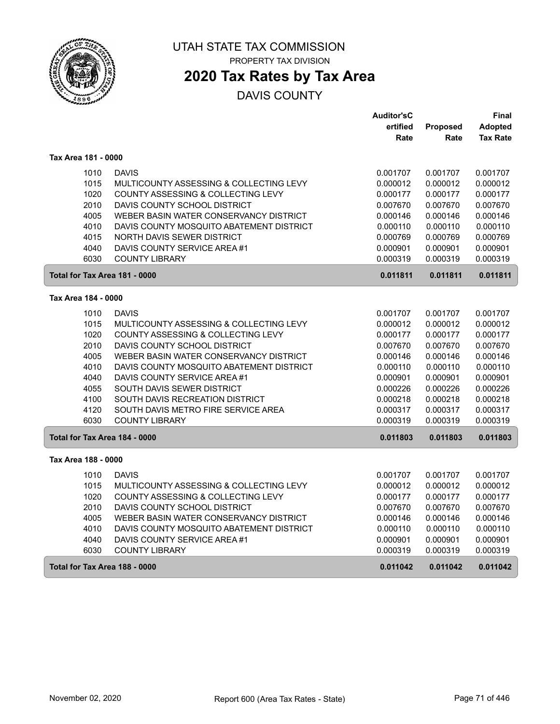

# **2020 Tax Rates by Tax Area**

|                               |                                          | <b>Auditor'sC</b> |                 | Final           |
|-------------------------------|------------------------------------------|-------------------|-----------------|-----------------|
|                               |                                          | ertified          | <b>Proposed</b> | <b>Adopted</b>  |
|                               |                                          | Rate              | Rate            | <b>Tax Rate</b> |
| Tax Area 181 - 0000           |                                          |                   |                 |                 |
| 1010                          | <b>DAVIS</b>                             | 0.001707          | 0.001707        | 0.001707        |
| 1015                          | MULTICOUNTY ASSESSING & COLLECTING LEVY  | 0.000012          | 0.000012        | 0.000012        |
| 1020                          | COUNTY ASSESSING & COLLECTING LEVY       | 0.000177          | 0.000177        | 0.000177        |
| 2010                          | DAVIS COUNTY SCHOOL DISTRICT             | 0.007670          | 0.007670        | 0.007670        |
| 4005                          | WEBER BASIN WATER CONSERVANCY DISTRICT   | 0.000146          | 0.000146        | 0.000146        |
| 4010                          | DAVIS COUNTY MOSQUITO ABATEMENT DISTRICT | 0.000110          | 0.000110        | 0.000110        |
| 4015                          | NORTH DAVIS SEWER DISTRICT               | 0.000769          | 0.000769        | 0.000769        |
| 4040                          | DAVIS COUNTY SERVICE AREA #1             | 0.000901          | 0.000901        | 0.000901        |
| 6030                          | <b>COUNTY LIBRARY</b>                    | 0.000319          | 0.000319        | 0.000319        |
| Total for Tax Area 181 - 0000 |                                          | 0.011811          | 0.011811        | 0.011811        |
| Tax Area 184 - 0000           |                                          |                   |                 |                 |
| 1010                          | <b>DAVIS</b>                             | 0.001707          | 0.001707        | 0.001707        |
| 1015                          | MULTICOUNTY ASSESSING & COLLECTING LEVY  | 0.000012          | 0.000012        | 0.000012        |
| 1020                          | COUNTY ASSESSING & COLLECTING LEVY       | 0.000177          | 0.000177        | 0.000177        |
| 2010                          | DAVIS COUNTY SCHOOL DISTRICT             | 0.007670          | 0.007670        | 0.007670        |
| 4005                          | WEBER BASIN WATER CONSERVANCY DISTRICT   | 0.000146          | 0.000146        | 0.000146        |
| 4010                          | DAVIS COUNTY MOSQUITO ABATEMENT DISTRICT | 0.000110          | 0.000110        | 0.000110        |
| 4040                          | DAVIS COUNTY SERVICE AREA #1             | 0.000901          | 0.000901        | 0.000901        |
| 4055                          | SOUTH DAVIS SEWER DISTRICT               | 0.000226          | 0.000226        | 0.000226        |
| 4100                          | SOUTH DAVIS RECREATION DISTRICT          | 0.000218          | 0.000218        | 0.000218        |
| 4120                          | SOUTH DAVIS METRO FIRE SERVICE AREA      | 0.000317          | 0.000317        | 0.000317        |
| 6030                          | <b>COUNTY LIBRARY</b>                    | 0.000319          | 0.000319        | 0.000319        |
| Total for Tax Area 184 - 0000 |                                          | 0.011803          | 0.011803        | 0.011803        |
| Tax Area 188 - 0000           |                                          |                   |                 |                 |
| 1010                          | <b>DAVIS</b>                             | 0.001707          | 0.001707        | 0.001707        |
| 1015                          | MULTICOUNTY ASSESSING & COLLECTING LEVY  | 0.000012          | 0.000012        | 0.000012        |
| 1020                          | COUNTY ASSESSING & COLLECTING LEVY       | 0.000177          | 0.000177        | 0.000177        |
| 2010                          | DAVIS COUNTY SCHOOL DISTRICT             | 0.007670          | 0.007670        | 0.007670        |
| 4005                          | WEBER BASIN WATER CONSERVANCY DISTRICT   | 0.000146          | 0.000146        | 0.000146        |
| 4010                          | DAVIS COUNTY MOSQUITO ABATEMENT DISTRICT | 0.000110          | 0.000110        | 0.000110        |
| 4040                          | DAVIS COUNTY SERVICE AREA #1             | 0.000901          | 0.000901        | 0.000901        |
| 6030                          | <b>COUNTY LIBRARY</b>                    | 0.000319          | 0.000319        | 0.000319        |
| Total for Tax Area 188 - 0000 |                                          | 0.011042          | 0.011042        | 0.011042        |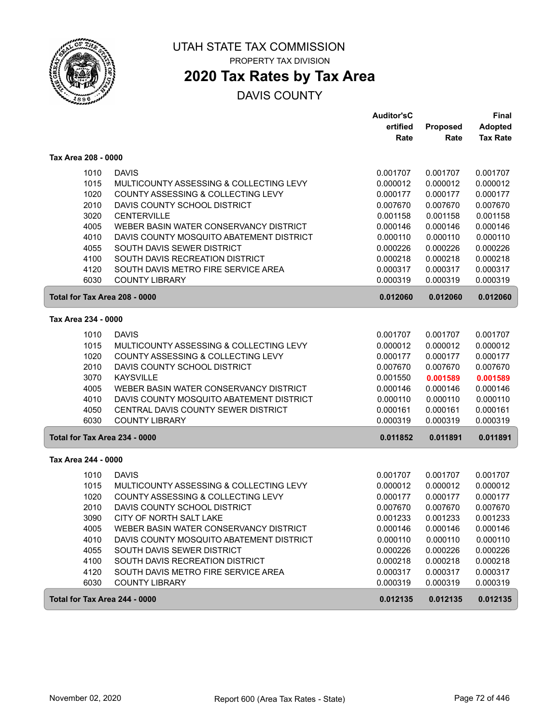

PROPERTY TAX DIVISION

## **2020 Tax Rates by Tax Area**

|                               |                                          | <b>Auditor'sC</b> |          | <b>Final</b>    |
|-------------------------------|------------------------------------------|-------------------|----------|-----------------|
|                               |                                          | ertified          | Proposed | <b>Adopted</b>  |
|                               |                                          | Rate              | Rate     | <b>Tax Rate</b> |
| Tax Area 208 - 0000           |                                          |                   |          |                 |
| 1010                          | <b>DAVIS</b>                             | 0.001707          | 0.001707 | 0.001707        |
| 1015                          | MULTICOUNTY ASSESSING & COLLECTING LEVY  | 0.000012          | 0.000012 | 0.000012        |
| 1020                          | COUNTY ASSESSING & COLLECTING LEVY       | 0.000177          | 0.000177 | 0.000177        |
| 2010                          | DAVIS COUNTY SCHOOL DISTRICT             | 0.007670          | 0.007670 | 0.007670        |
| 3020                          | <b>CENTERVILLE</b>                       | 0.001158          | 0.001158 | 0.001158        |
| 4005                          | WEBER BASIN WATER CONSERVANCY DISTRICT   | 0.000146          | 0.000146 | 0.000146        |
| 4010                          | DAVIS COUNTY MOSQUITO ABATEMENT DISTRICT | 0.000110          | 0.000110 | 0.000110        |
| 4055                          | SOUTH DAVIS SEWER DISTRICT               | 0.000226          | 0.000226 | 0.000226        |
| 4100                          | SOUTH DAVIS RECREATION DISTRICT          | 0.000218          | 0.000218 | 0.000218        |
| 4120                          | SOUTH DAVIS METRO FIRE SERVICE AREA      | 0.000317          | 0.000317 | 0.000317        |
| 6030                          | <b>COUNTY LIBRARY</b>                    | 0.000319          | 0.000319 | 0.000319        |
| Total for Tax Area 208 - 0000 |                                          | 0.012060          | 0.012060 | 0.012060        |
| Tax Area 234 - 0000           |                                          |                   |          |                 |
| 1010                          | <b>DAVIS</b>                             | 0.001707          | 0.001707 | 0.001707        |
| 1015                          | MULTICOUNTY ASSESSING & COLLECTING LEVY  | 0.000012          | 0.000012 | 0.000012        |
| 1020                          | COUNTY ASSESSING & COLLECTING LEVY       | 0.000177          | 0.000177 | 0.000177        |
| 2010                          | DAVIS COUNTY SCHOOL DISTRICT             | 0.007670          | 0.007670 | 0.007670        |
| 3070                          | <b>KAYSVILLE</b>                         | 0.001550          | 0.001589 | 0.001589        |
| 4005                          | WEBER BASIN WATER CONSERVANCY DISTRICT   | 0.000146          | 0.000146 | 0.000146        |
| 4010                          | DAVIS COUNTY MOSQUITO ABATEMENT DISTRICT | 0.000110          | 0.000110 | 0.000110        |
| 4050                          | CENTRAL DAVIS COUNTY SEWER DISTRICT      | 0.000161          | 0.000161 | 0.000161        |
| 6030                          | <b>COUNTY LIBRARY</b>                    | 0.000319          | 0.000319 | 0.000319        |
| Total for Tax Area 234 - 0000 |                                          | 0.011852          | 0.011891 | 0.011891        |
| Tax Area 244 - 0000           |                                          |                   |          |                 |
| 1010                          | <b>DAVIS</b>                             | 0.001707          | 0.001707 | 0.001707        |
| 1015                          | MULTICOUNTY ASSESSING & COLLECTING LEVY  | 0.000012          | 0.000012 | 0.000012        |
| 1020                          | COUNTY ASSESSING & COLLECTING LEVY       | 0.000177          | 0.000177 | 0.000177        |
| 2010                          | DAVIS COUNTY SCHOOL DISTRICT             | 0.007670          | 0.007670 | 0.007670        |
| 3090                          | CITY OF NORTH SALT LAKE                  | 0.001233          | 0.001233 | 0.001233        |
| 4005                          | WEBER BASIN WATER CONSERVANCY DISTRICT   | 0.000146          | 0.000146 | 0.000146        |
| 4010                          | DAVIS COUNTY MOSQUITO ABATEMENT DISTRICT | 0.000110          | 0.000110 | 0.000110        |
| 4055                          | SOUTH DAVIS SEWER DISTRICT               | 0.000226          | 0.000226 | 0.000226        |
| 4100                          | SOUTH DAVIS RECREATION DISTRICT          | 0.000218          | 0.000218 | 0.000218        |
| 4120                          | SOUTH DAVIS METRO FIRE SERVICE AREA      | 0.000317          | 0.000317 | 0.000317        |
| 6030                          | <b>COUNTY LIBRARY</b>                    | 0.000319          | 0.000319 | 0.000319        |
| Total for Tax Area 244 - 0000 |                                          | 0.012135          | 0.012135 | 0.012135        |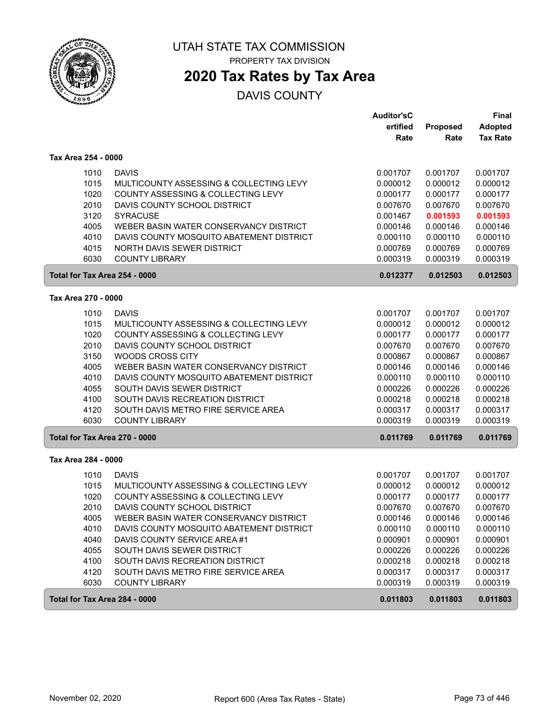

PROPERTY TAX DIVISION

# **2020 Tax Rates by Tax Area**

|                               |                                          | <b>Auditor'sC</b> |          | <b>Final</b>    |
|-------------------------------|------------------------------------------|-------------------|----------|-----------------|
|                               |                                          | ertified          | Proposed | <b>Adopted</b>  |
|                               |                                          | Rate              | Rate     | <b>Tax Rate</b> |
| Tax Area 254 - 0000           |                                          |                   |          |                 |
| 1010                          | <b>DAVIS</b>                             | 0.001707          | 0.001707 | 0.001707        |
| 1015                          | MULTICOUNTY ASSESSING & COLLECTING LEVY  | 0.000012          | 0.000012 | 0.000012        |
| 1020                          | COUNTY ASSESSING & COLLECTING LEVY       | 0.000177          | 0.000177 | 0.000177        |
| 2010                          | DAVIS COUNTY SCHOOL DISTRICT             | 0.007670          | 0.007670 | 0.007670        |
| 3120                          | <b>SYRACUSE</b>                          | 0.001467          | 0.001593 | 0.001593        |
| 4005                          | WEBER BASIN WATER CONSERVANCY DISTRICT   | 0.000146          | 0.000146 | 0.000146        |
| 4010                          | DAVIS COUNTY MOSQUITO ABATEMENT DISTRICT | 0.000110          | 0.000110 | 0.000110        |
| 4015                          | NORTH DAVIS SEWER DISTRICT               | 0.000769          | 0.000769 | 0.000769        |
| 6030                          | <b>COUNTY LIBRARY</b>                    | 0.000319          | 0.000319 | 0.000319        |
| Total for Tax Area 254 - 0000 |                                          | 0.012377          | 0.012503 | 0.012503        |
| Tax Area 270 - 0000           |                                          |                   |          |                 |
| 1010                          | <b>DAVIS</b>                             | 0.001707          | 0.001707 | 0.001707        |
| 1015                          | MULTICOUNTY ASSESSING & COLLECTING LEVY  | 0.000012          | 0.000012 | 0.000012        |
| 1020                          | COUNTY ASSESSING & COLLECTING LEVY       | 0.000177          | 0.000177 | 0.000177        |
| 2010                          | DAVIS COUNTY SCHOOL DISTRICT             | 0.007670          | 0.007670 | 0.007670        |
| 3150                          | <b>WOODS CROSS CITY</b>                  | 0.000867          | 0.000867 | 0.000867        |
| 4005                          | WEBER BASIN WATER CONSERVANCY DISTRICT   | 0.000146          | 0.000146 | 0.000146        |
| 4010                          | DAVIS COUNTY MOSQUITO ABATEMENT DISTRICT | 0.000110          | 0.000110 | 0.000110        |
| 4055                          | SOUTH DAVIS SEWER DISTRICT               | 0.000226          | 0.000226 | 0.000226        |
| 4100                          | SOUTH DAVIS RECREATION DISTRICT          | 0.000218          | 0.000218 | 0.000218        |
| 4120                          | SOUTH DAVIS METRO FIRE SERVICE AREA      | 0.000317          | 0.000317 | 0.000317        |
| 6030                          | <b>COUNTY LIBRARY</b>                    | 0.000319          | 0.000319 | 0.000319        |
| Total for Tax Area 270 - 0000 |                                          | 0.011769          | 0.011769 | 0.011769        |
| Tax Area 284 - 0000           |                                          |                   |          |                 |
| 1010                          | <b>DAVIS</b>                             | 0.001707          | 0.001707 | 0.001707        |
| 1015                          | MULTICOUNTY ASSESSING & COLLECTING LEVY  | 0.000012          | 0.000012 | 0.000012        |
| 1020                          | COUNTY ASSESSING & COLLECTING LEVY       | 0.000177          | 0.000177 | 0.000177        |
| 2010                          | DAVIS COUNTY SCHOOL DISTRICT             | 0.007670          | 0.007670 | 0.007670        |
| 4005                          | WEBER BASIN WATER CONSERVANCY DISTRICT   | 0.000146          | 0.000146 | 0.000146        |
| 4010                          | DAVIS COUNTY MOSQUITO ABATEMENT DISTRICT | 0.000110          | 0.000110 | 0.000110        |
| 4040                          | DAVIS COUNTY SERVICE AREA #1             | 0.000901          | 0.000901 | 0.000901        |
| 4055                          | SOUTH DAVIS SEWER DISTRICT               | 0.000226          | 0.000226 | 0.000226        |
| 4100                          | SOUTH DAVIS RECREATION DISTRICT          | 0.000218          | 0.000218 | 0.000218        |
| 4120                          | SOUTH DAVIS METRO FIRE SERVICE AREA      | 0.000317          | 0.000317 | 0.000317        |
| 6030                          | <b>COUNTY LIBRARY</b>                    | 0.000319          | 0.000319 | 0.000319        |
| Total for Tax Area 284 - 0000 |                                          | 0.011803          | 0.011803 | 0.011803        |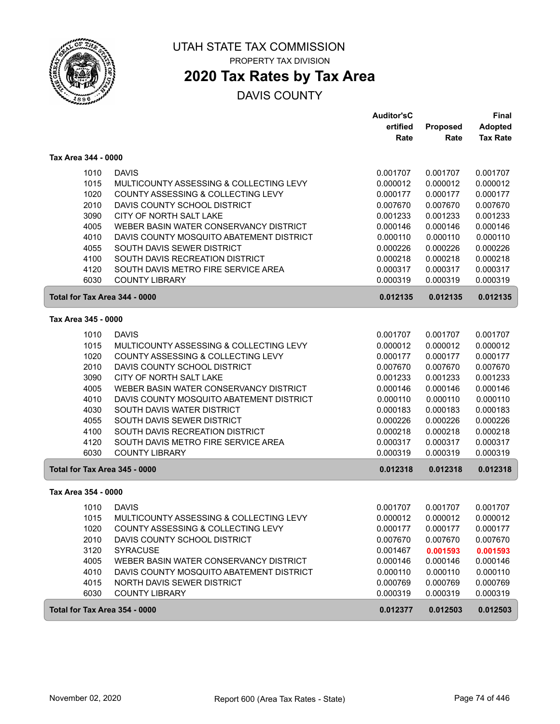

# **2020 Tax Rates by Tax Area**

|                               |                                          | <b>Auditor'sC</b> |          | <b>Final</b>    |
|-------------------------------|------------------------------------------|-------------------|----------|-----------------|
|                               |                                          | ertified          | Proposed | Adopted         |
|                               |                                          | Rate              | Rate     | <b>Tax Rate</b> |
| Tax Area 344 - 0000           |                                          |                   |          |                 |
| 1010                          | <b>DAVIS</b>                             | 0.001707          | 0.001707 | 0.001707        |
| 1015                          | MULTICOUNTY ASSESSING & COLLECTING LEVY  | 0.000012          | 0.000012 | 0.000012        |
| 1020                          | COUNTY ASSESSING & COLLECTING LEVY       | 0.000177          | 0.000177 | 0.000177        |
| 2010                          | DAVIS COUNTY SCHOOL DISTRICT             | 0.007670          | 0.007670 | 0.007670        |
| 3090                          | CITY OF NORTH SALT LAKE                  | 0.001233          | 0.001233 | 0.001233        |
| 4005                          | WEBER BASIN WATER CONSERVANCY DISTRICT   | 0.000146          | 0.000146 | 0.000146        |
| 4010                          | DAVIS COUNTY MOSQUITO ABATEMENT DISTRICT | 0.000110          | 0.000110 | 0.000110        |
| 4055                          | SOUTH DAVIS SEWER DISTRICT               | 0.000226          | 0.000226 | 0.000226        |
| 4100                          | SOUTH DAVIS RECREATION DISTRICT          | 0.000218          | 0.000218 | 0.000218        |
| 4120                          | SOUTH DAVIS METRO FIRE SERVICE AREA      | 0.000317          | 0.000317 | 0.000317        |
| 6030                          | <b>COUNTY LIBRARY</b>                    | 0.000319          | 0.000319 | 0.000319        |
| Total for Tax Area 344 - 0000 |                                          | 0.012135          | 0.012135 | 0.012135        |
| Tax Area 345 - 0000           |                                          |                   |          |                 |
| 1010                          | <b>DAVIS</b>                             | 0.001707          | 0.001707 | 0.001707        |
| 1015                          | MULTICOUNTY ASSESSING & COLLECTING LEVY  | 0.000012          | 0.000012 | 0.000012        |
| 1020                          | COUNTY ASSESSING & COLLECTING LEVY       | 0.000177          | 0.000177 | 0.000177        |
| 2010                          | DAVIS COUNTY SCHOOL DISTRICT             | 0.007670          | 0.007670 | 0.007670        |
| 3090                          | CITY OF NORTH SALT LAKE                  | 0.001233          | 0.001233 | 0.001233        |
| 4005                          | WEBER BASIN WATER CONSERVANCY DISTRICT   | 0.000146          | 0.000146 | 0.000146        |
| 4010                          | DAVIS COUNTY MOSQUITO ABATEMENT DISTRICT | 0.000110          | 0.000110 | 0.000110        |
| 4030                          | SOUTH DAVIS WATER DISTRICT               | 0.000183          | 0.000183 | 0.000183        |
| 4055                          | SOUTH DAVIS SEWER DISTRICT               | 0.000226          | 0.000226 | 0.000226        |
| 4100                          | SOUTH DAVIS RECREATION DISTRICT          | 0.000218          | 0.000218 | 0.000218        |
| 4120                          | SOUTH DAVIS METRO FIRE SERVICE AREA      | 0.000317          | 0.000317 | 0.000317        |
| 6030                          | <b>COUNTY LIBRARY</b>                    | 0.000319          | 0.000319 | 0.000319        |
| Total for Tax Area 345 - 0000 |                                          | 0.012318          | 0.012318 | 0.012318        |
| Tax Area 354 - 0000           |                                          |                   |          |                 |
| 1010                          | <b>DAVIS</b>                             | 0.001707          | 0.001707 | 0.001707        |
| 1015                          | MULTICOUNTY ASSESSING & COLLECTING LEVY  | 0.000012          | 0.000012 | 0.000012        |
| 1020                          | COUNTY ASSESSING & COLLECTING LEVY       | 0.000177          | 0.000177 | 0.000177        |
| 2010                          | DAVIS COUNTY SCHOOL DISTRICT             | 0.007670          | 0.007670 | 0.007670        |
| 3120                          | <b>SYRACUSE</b>                          | 0.001467          | 0.001593 | 0.001593        |
| 4005                          | WEBER BASIN WATER CONSERVANCY DISTRICT   | 0.000146          | 0.000146 | 0.000146        |
| 4010                          | DAVIS COUNTY MOSQUITO ABATEMENT DISTRICT | 0.000110          | 0.000110 | 0.000110        |
| 4015                          | NORTH DAVIS SEWER DISTRICT               | 0.000769          | 0.000769 | 0.000769        |
| 6030                          | <b>COUNTY LIBRARY</b>                    | 0.000319          | 0.000319 | 0.000319        |
| Total for Tax Area 354 - 0000 |                                          | 0.012377          | 0.012503 | 0.012503        |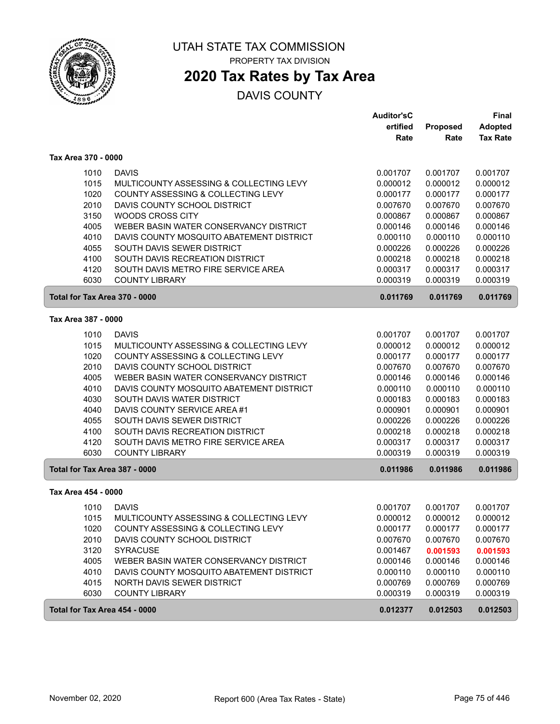

# **2020 Tax Rates by Tax Area**

|                               |                                          | <b>Auditor'sC</b> |          | <b>Final</b>    |
|-------------------------------|------------------------------------------|-------------------|----------|-----------------|
|                               |                                          | ertified          | Proposed | <b>Adopted</b>  |
|                               |                                          | Rate              | Rate     | <b>Tax Rate</b> |
| Tax Area 370 - 0000           |                                          |                   |          |                 |
| 1010                          | <b>DAVIS</b>                             | 0.001707          | 0.001707 | 0.001707        |
| 1015                          | MULTICOUNTY ASSESSING & COLLECTING LEVY  | 0.000012          | 0.000012 | 0.000012        |
| 1020                          | COUNTY ASSESSING & COLLECTING LEVY       | 0.000177          | 0.000177 | 0.000177        |
| 2010                          | DAVIS COUNTY SCHOOL DISTRICT             | 0.007670          | 0.007670 | 0.007670        |
| 3150                          | <b>WOODS CROSS CITY</b>                  | 0.000867          | 0.000867 | 0.000867        |
| 4005                          | WEBER BASIN WATER CONSERVANCY DISTRICT   | 0.000146          | 0.000146 | 0.000146        |
| 4010                          | DAVIS COUNTY MOSQUITO ABATEMENT DISTRICT | 0.000110          | 0.000110 | 0.000110        |
| 4055                          | SOUTH DAVIS SEWER DISTRICT               | 0.000226          | 0.000226 | 0.000226        |
| 4100                          | SOUTH DAVIS RECREATION DISTRICT          | 0.000218          | 0.000218 | 0.000218        |
| 4120                          | SOUTH DAVIS METRO FIRE SERVICE AREA      | 0.000317          | 0.000317 | 0.000317        |
| 6030                          | <b>COUNTY LIBRARY</b>                    | 0.000319          | 0.000319 | 0.000319        |
| Total for Tax Area 370 - 0000 |                                          | 0.011769          | 0.011769 | 0.011769        |
| Tax Area 387 - 0000           |                                          |                   |          |                 |
| 1010                          | <b>DAVIS</b>                             | 0.001707          | 0.001707 | 0.001707        |
| 1015                          | MULTICOUNTY ASSESSING & COLLECTING LEVY  | 0.000012          | 0.000012 | 0.000012        |
| 1020                          | COUNTY ASSESSING & COLLECTING LEVY       | 0.000177          | 0.000177 | 0.000177        |
| 2010                          | DAVIS COUNTY SCHOOL DISTRICT             | 0.007670          | 0.007670 | 0.007670        |
| 4005                          | WEBER BASIN WATER CONSERVANCY DISTRICT   | 0.000146          | 0.000146 | 0.000146        |
| 4010                          | DAVIS COUNTY MOSQUITO ABATEMENT DISTRICT | 0.000110          | 0.000110 | 0.000110        |
| 4030                          | SOUTH DAVIS WATER DISTRICT               | 0.000183          | 0.000183 | 0.000183        |
| 4040                          | DAVIS COUNTY SERVICE AREA #1             | 0.000901          | 0.000901 | 0.000901        |
| 4055                          | SOUTH DAVIS SEWER DISTRICT               | 0.000226          | 0.000226 | 0.000226        |
| 4100                          | SOUTH DAVIS RECREATION DISTRICT          | 0.000218          | 0.000218 | 0.000218        |
| 4120                          | SOUTH DAVIS METRO FIRE SERVICE AREA      | 0.000317          | 0.000317 | 0.000317        |
| 6030                          | <b>COUNTY LIBRARY</b>                    | 0.000319          | 0.000319 | 0.000319        |
| Total for Tax Area 387 - 0000 |                                          | 0.011986          | 0.011986 | 0.011986        |
| Tax Area 454 - 0000           |                                          |                   |          |                 |
| 1010                          | <b>DAVIS</b>                             | 0.001707          | 0.001707 | 0.001707        |
| 1015                          | MULTICOUNTY ASSESSING & COLLECTING LEVY  | 0.000012          | 0.000012 | 0.000012        |
| 1020                          | COUNTY ASSESSING & COLLECTING LEVY       | 0.000177          | 0.000177 | 0.000177        |
| 2010                          | DAVIS COUNTY SCHOOL DISTRICT             | 0.007670          | 0.007670 | 0.007670        |
| 3120                          | <b>SYRACUSE</b>                          | 0.001467          | 0.001593 | 0.001593        |
| 4005                          | WEBER BASIN WATER CONSERVANCY DISTRICT   | 0.000146          | 0.000146 | 0.000146        |
| 4010                          | DAVIS COUNTY MOSQUITO ABATEMENT DISTRICT | 0.000110          | 0.000110 | 0.000110        |
| 4015                          | NORTH DAVIS SEWER DISTRICT               | 0.000769          | 0.000769 | 0.000769        |
| 6030                          | <b>COUNTY LIBRARY</b>                    | 0.000319          | 0.000319 | 0.000319        |
| Total for Tax Area 454 - 0000 |                                          | 0.012377          | 0.012503 | 0.012503        |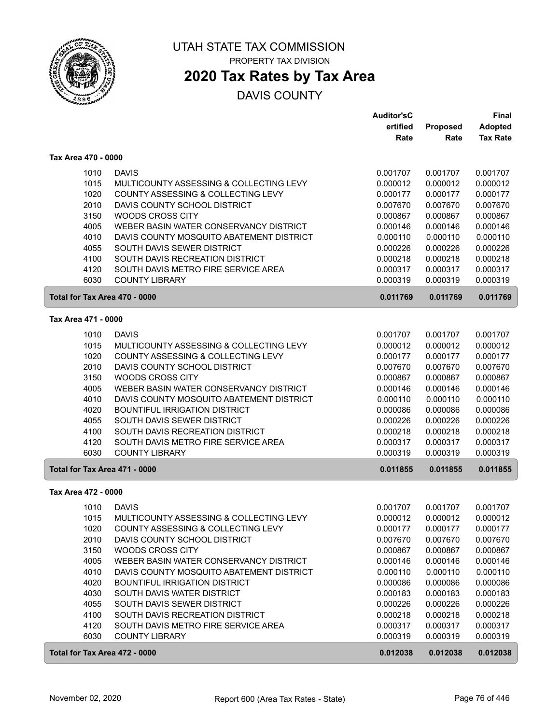

### **2020 Tax Rates by Tax Area**

|                               |                                          | <b>Auditor'sC</b>    |                      | Final                |
|-------------------------------|------------------------------------------|----------------------|----------------------|----------------------|
|                               |                                          | ertified             | Proposed             | <b>Adopted</b>       |
|                               |                                          | Rate                 | Rate                 | <b>Tax Rate</b>      |
| Tax Area 470 - 0000           |                                          |                      |                      |                      |
| 1010                          | <b>DAVIS</b>                             | 0.001707             | 0.001707             | 0.001707             |
| 1015                          | MULTICOUNTY ASSESSING & COLLECTING LEVY  | 0.000012             | 0.000012             | 0.000012             |
| 1020                          | COUNTY ASSESSING & COLLECTING LEVY       | 0.000177             | 0.000177             | 0.000177             |
| 2010                          | DAVIS COUNTY SCHOOL DISTRICT             | 0.007670             | 0.007670             | 0.007670             |
| 3150                          | <b>WOODS CROSS CITY</b>                  | 0.000867             | 0.000867             | 0.000867             |
| 4005                          | WEBER BASIN WATER CONSERVANCY DISTRICT   | 0.000146             | 0.000146             | 0.000146             |
| 4010                          | DAVIS COUNTY MOSQUITO ABATEMENT DISTRICT | 0.000110             | 0.000110             | 0.000110             |
| 4055                          | SOUTH DAVIS SEWER DISTRICT               | 0.000226             | 0.000226             | 0.000226             |
| 4100                          | SOUTH DAVIS RECREATION DISTRICT          | 0.000218             | 0.000218             | 0.000218             |
| 4120                          | SOUTH DAVIS METRO FIRE SERVICE AREA      | 0.000317             | 0.000317             | 0.000317             |
| 6030                          | <b>COUNTY LIBRARY</b>                    | 0.000319             | 0.000319             | 0.000319             |
| Total for Tax Area 470 - 0000 |                                          | 0.011769             | 0.011769             | 0.011769             |
| Tax Area 471 - 0000           |                                          |                      |                      |                      |
| 1010                          | <b>DAVIS</b>                             | 0.001707             | 0.001707             | 0.001707             |
| 1015                          | MULTICOUNTY ASSESSING & COLLECTING LEVY  | 0.000012             | 0.000012             | 0.000012             |
| 1020                          | COUNTY ASSESSING & COLLECTING LEVY       | 0.000177             | 0.000177             | 0.000177             |
| 2010                          | DAVIS COUNTY SCHOOL DISTRICT             | 0.007670             | 0.007670             | 0.007670             |
| 3150                          | <b>WOODS CROSS CITY</b>                  | 0.000867             | 0.000867             | 0.000867             |
| 4005                          | WEBER BASIN WATER CONSERVANCY DISTRICT   | 0.000146             | 0.000146             | 0.000146             |
| 4010                          | DAVIS COUNTY MOSQUITO ABATEMENT DISTRICT | 0.000110             | 0.000110             | 0.000110             |
| 4020                          | <b>BOUNTIFUL IRRIGATION DISTRICT</b>     | 0.000086             | 0.000086             | 0.000086             |
| 4055                          | SOUTH DAVIS SEWER DISTRICT               | 0.000226             | 0.000226             | 0.000226             |
| 4100                          | SOUTH DAVIS RECREATION DISTRICT          | 0.000218             | 0.000218             | 0.000218             |
| 4120                          | SOUTH DAVIS METRO FIRE SERVICE AREA      | 0.000317             | 0.000317             | 0.000317             |
| 6030                          | <b>COUNTY LIBRARY</b>                    | 0.000319             | 0.000319             | 0.000319             |
| Total for Tax Area 471 - 0000 |                                          | 0.011855             | 0.011855             | 0.011855             |
| Tax Area 472 - 0000           |                                          |                      |                      |                      |
|                               | <b>DAVIS</b>                             |                      |                      |                      |
| 1010                          | MULTICOUNTY ASSESSING & COLLECTING LEVY  | 0.001707<br>0.000012 | 0.001707<br>0.000012 | 0.001707<br>0.000012 |
| 1015                          | COUNTY ASSESSING & COLLECTING LEVY       |                      |                      |                      |
| 1020<br>2010                  | DAVIS COUNTY SCHOOL DISTRICT             | 0.000177<br>0.007670 | 0.000177<br>0.007670 | 0.000177<br>0.007670 |
| 3150                          | WOODS CROSS CITY                         | 0.000867             | 0.000867             | 0.000867             |
| 4005                          | WEBER BASIN WATER CONSERVANCY DISTRICT   | 0.000146             | 0.000146             | 0.000146             |
| 4010                          | DAVIS COUNTY MOSQUITO ABATEMENT DISTRICT | 0.000110             | 0.000110             | 0.000110             |
| 4020                          | <b>BOUNTIFUL IRRIGATION DISTRICT</b>     | 0.000086             | 0.000086             | 0.000086             |
| 4030                          | SOUTH DAVIS WATER DISTRICT               | 0.000183             | 0.000183             | 0.000183             |
| 4055                          | SOUTH DAVIS SEWER DISTRICT               | 0.000226             | 0.000226             | 0.000226             |
| 4100                          | SOUTH DAVIS RECREATION DISTRICT          | 0.000218             | 0.000218             | 0.000218             |
| 4120                          | SOUTH DAVIS METRO FIRE SERVICE AREA      | 0.000317             | 0.000317             | 0.000317             |
| 6030                          | <b>COUNTY LIBRARY</b>                    | 0.000319             | 0.000319             | 0.000319             |
| Total for Tax Area 472 - 0000 |                                          | 0.012038             | 0.012038             | 0.012038             |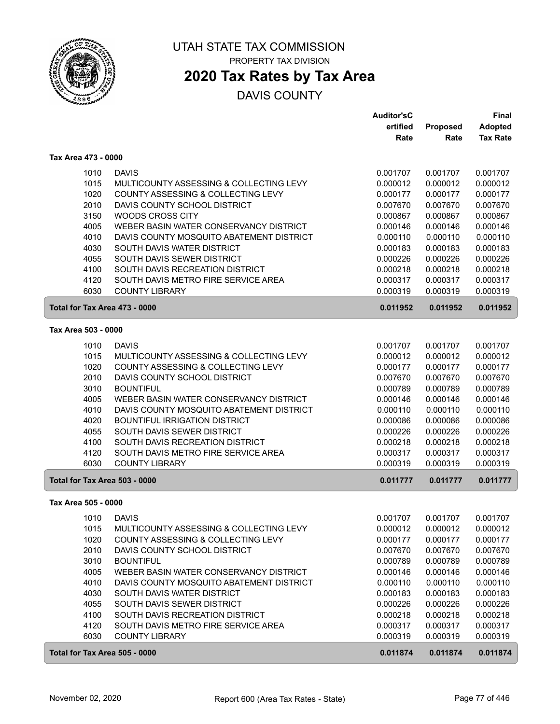

# **2020 Tax Rates by Tax Area**

|                               |                                                                                    | <b>Auditor'sC</b>    |                      | <b>Final</b>         |
|-------------------------------|------------------------------------------------------------------------------------|----------------------|----------------------|----------------------|
|                               |                                                                                    | ertified             | <b>Proposed</b>      | <b>Adopted</b>       |
|                               |                                                                                    | Rate                 | Rate                 | <b>Tax Rate</b>      |
| Tax Area 473 - 0000           |                                                                                    |                      |                      |                      |
| 1010                          | <b>DAVIS</b>                                                                       | 0.001707             | 0.001707             | 0.001707             |
| 1015                          | MULTICOUNTY ASSESSING & COLLECTING LEVY                                            | 0.000012             | 0.000012             | 0.000012             |
| 1020                          | COUNTY ASSESSING & COLLECTING LEVY                                                 | 0.000177             | 0.000177             | 0.000177             |
| 2010                          | DAVIS COUNTY SCHOOL DISTRICT                                                       | 0.007670             | 0.007670             | 0.007670             |
| 3150                          | <b>WOODS CROSS CITY</b>                                                            | 0.000867             | 0.000867             | 0.000867             |
| 4005                          | WEBER BASIN WATER CONSERVANCY DISTRICT                                             | 0.000146             | 0.000146             | 0.000146             |
| 4010                          | DAVIS COUNTY MOSQUITO ABATEMENT DISTRICT                                           | 0.000110             | 0.000110             | 0.000110             |
| 4030                          | SOUTH DAVIS WATER DISTRICT                                                         | 0.000183             | 0.000183             | 0.000183             |
| 4055                          | SOUTH DAVIS SEWER DISTRICT                                                         | 0.000226             | 0.000226             | 0.000226             |
| 4100                          | SOUTH DAVIS RECREATION DISTRICT                                                    | 0.000218             | 0.000218             | 0.000218             |
| 4120                          | SOUTH DAVIS METRO FIRE SERVICE AREA                                                | 0.000317             | 0.000317             | 0.000317             |
| 6030                          | <b>COUNTY LIBRARY</b>                                                              | 0.000319             | 0.000319             | 0.000319             |
| Total for Tax Area 473 - 0000 |                                                                                    | 0.011952             | 0.011952             | 0.011952             |
| Tax Area 503 - 0000           |                                                                                    |                      |                      |                      |
| 1010                          | <b>DAVIS</b>                                                                       | 0.001707             | 0.001707             | 0.001707             |
| 1015                          | MULTICOUNTY ASSESSING & COLLECTING LEVY                                            | 0.000012             | 0.000012             | 0.000012             |
| 1020                          | COUNTY ASSESSING & COLLECTING LEVY                                                 | 0.000177             | 0.000177             | 0.000177             |
| 2010                          | DAVIS COUNTY SCHOOL DISTRICT                                                       | 0.007670             | 0.007670             | 0.007670             |
| 3010                          | <b>BOUNTIFUL</b>                                                                   | 0.000789             | 0.000789             | 0.000789             |
| 4005<br>4010                  | WEBER BASIN WATER CONSERVANCY DISTRICT<br>DAVIS COUNTY MOSQUITO ABATEMENT DISTRICT | 0.000146<br>0.000110 | 0.000146<br>0.000110 | 0.000146<br>0.000110 |
| 4020                          | <b>BOUNTIFUL IRRIGATION DISTRICT</b>                                               | 0.000086             | 0.000086             | 0.000086             |
| 4055                          | SOUTH DAVIS SEWER DISTRICT                                                         | 0.000226             | 0.000226             | 0.000226             |
| 4100                          | SOUTH DAVIS RECREATION DISTRICT                                                    | 0.000218             | 0.000218             | 0.000218             |
| 4120                          | SOUTH DAVIS METRO FIRE SERVICE AREA                                                | 0.000317             | 0.000317             | 0.000317             |
| 6030                          | <b>COUNTY LIBRARY</b>                                                              | 0.000319             | 0.000319             | 0.000319             |
| Total for Tax Area 503 - 0000 |                                                                                    | 0.011777             | 0.011777             | 0.011777             |
| Tax Area 505 - 0000           |                                                                                    |                      |                      |                      |
| 1010                          | <b>DAVIS</b>                                                                       | 0.001707             | 0.001707             | 0.001707             |
| 1015                          | MULTICOUNTY ASSESSING & COLLECTING LEVY                                            | 0.000012             | 0.000012             | 0.000012             |
| 1020                          | COUNTY ASSESSING & COLLECTING LEVY                                                 | 0.000177             | 0.000177             | 0.000177             |
| 2010                          | DAVIS COUNTY SCHOOL DISTRICT                                                       | 0.007670             | 0.007670             | 0.007670             |
| 3010                          | <b>BOUNTIFUL</b>                                                                   | 0.000789             | 0.000789             | 0.000789             |
| 4005                          | WEBER BASIN WATER CONSERVANCY DISTRICT                                             | 0.000146             | 0.000146             | 0.000146             |
| 4010                          | DAVIS COUNTY MOSQUITO ABATEMENT DISTRICT                                           | 0.000110             | 0.000110             | 0.000110             |
| 4030                          | SOUTH DAVIS WATER DISTRICT                                                         | 0.000183             | 0.000183             | 0.000183             |
| 4055<br>4100                  | SOUTH DAVIS SEWER DISTRICT<br>SOUTH DAVIS RECREATION DISTRICT                      | 0.000226<br>0.000218 | 0.000226<br>0.000218 | 0.000226<br>0.000218 |
| 4120                          | SOUTH DAVIS METRO FIRE SERVICE AREA                                                | 0.000317             | 0.000317             | 0.000317             |
| 6030                          | <b>COUNTY LIBRARY</b>                                                              | 0.000319             | 0.000319             | 0.000319             |
| Total for Tax Area 505 - 0000 |                                                                                    | 0.011874             | 0.011874             | 0.011874             |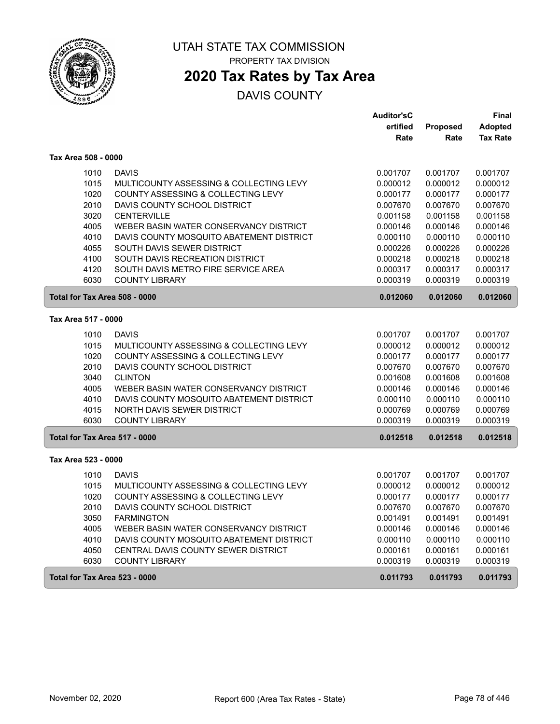

PROPERTY TAX DIVISION

# **2020 Tax Rates by Tax Area**

|                               |                                          | <b>Auditor'sC</b> |                 | Final           |
|-------------------------------|------------------------------------------|-------------------|-----------------|-----------------|
|                               |                                          | ertified          | <b>Proposed</b> | <b>Adopted</b>  |
|                               |                                          | Rate              | Rate            | <b>Tax Rate</b> |
| Tax Area 508 - 0000           |                                          |                   |                 |                 |
| 1010                          | <b>DAVIS</b>                             | 0.001707          | 0.001707        | 0.001707        |
| 1015                          | MULTICOUNTY ASSESSING & COLLECTING LEVY  | 0.000012          | 0.000012        | 0.000012        |
| 1020                          | COUNTY ASSESSING & COLLECTING LEVY       | 0.000177          | 0.000177        | 0.000177        |
| 2010                          | DAVIS COUNTY SCHOOL DISTRICT             | 0.007670          | 0.007670        | 0.007670        |
| 3020                          | <b>CENTERVILLE</b>                       | 0.001158          | 0.001158        | 0.001158        |
| 4005                          | WEBER BASIN WATER CONSERVANCY DISTRICT   | 0.000146          | 0.000146        | 0.000146        |
| 4010                          | DAVIS COUNTY MOSQUITO ABATEMENT DISTRICT | 0.000110          | 0.000110        | 0.000110        |
| 4055                          | SOUTH DAVIS SEWER DISTRICT               | 0.000226          | 0.000226        | 0.000226        |
| 4100                          | SOUTH DAVIS RECREATION DISTRICT          | 0.000218          | 0.000218        | 0.000218        |
| 4120                          | SOUTH DAVIS METRO FIRE SERVICE AREA      | 0.000317          | 0.000317        | 0.000317        |
| 6030                          | <b>COUNTY LIBRARY</b>                    | 0.000319          | 0.000319        | 0.000319        |
| Total for Tax Area 508 - 0000 |                                          | 0.012060          | 0.012060        | 0.012060        |
| Tax Area 517 - 0000           |                                          |                   |                 |                 |
| 1010                          | <b>DAVIS</b>                             | 0.001707          | 0.001707        | 0.001707        |
| 1015                          | MULTICOUNTY ASSESSING & COLLECTING LEVY  | 0.000012          | 0.000012        | 0.000012        |
| 1020                          | COUNTY ASSESSING & COLLECTING LEVY       | 0.000177          | 0.000177        | 0.000177        |
| 2010                          | DAVIS COUNTY SCHOOL DISTRICT             | 0.007670          | 0.007670        | 0.007670        |
| 3040                          | <b>CLINTON</b>                           | 0.001608          | 0.001608        | 0.001608        |
| 4005                          | WEBER BASIN WATER CONSERVANCY DISTRICT   | 0.000146          | 0.000146        | 0.000146        |
| 4010                          | DAVIS COUNTY MOSQUITO ABATEMENT DISTRICT | 0.000110          | 0.000110        | 0.000110        |
| 4015                          | <b>NORTH DAVIS SEWER DISTRICT</b>        | 0.000769          | 0.000769        | 0.000769        |
| 6030                          | <b>COUNTY LIBRARY</b>                    | 0.000319          | 0.000319        | 0.000319        |
| Total for Tax Area 517 - 0000 |                                          | 0.012518          | 0.012518        | 0.012518        |
| Tax Area 523 - 0000           |                                          |                   |                 |                 |
| 1010                          | <b>DAVIS</b>                             | 0.001707          | 0.001707        | 0.001707        |
| 1015                          | MULTICOUNTY ASSESSING & COLLECTING LEVY  | 0.000012          | 0.000012        | 0.000012        |
| 1020                          | COUNTY ASSESSING & COLLECTING LEVY       | 0.000177          | 0.000177        | 0.000177        |
| 2010                          | DAVIS COUNTY SCHOOL DISTRICT             | 0.007670          | 0.007670        | 0.007670        |
| 3050                          | <b>FARMINGTON</b>                        | 0.001491          | 0.001491        | 0.001491        |
| 4005                          | WEBER BASIN WATER CONSERVANCY DISTRICT   | 0.000146          | 0.000146        | 0.000146        |
| 4010                          | DAVIS COUNTY MOSQUITO ABATEMENT DISTRICT | 0.000110          | 0.000110        | 0.000110        |
| 4050                          | CENTRAL DAVIS COUNTY SEWER DISTRICT      | 0.000161          | 0.000161        | 0.000161        |
| 6030                          | <b>COUNTY LIBRARY</b>                    | 0.000319          | 0.000319        | 0.000319        |
| Total for Tax Area 523 - 0000 |                                          | 0.011793          | 0.011793        | 0.011793        |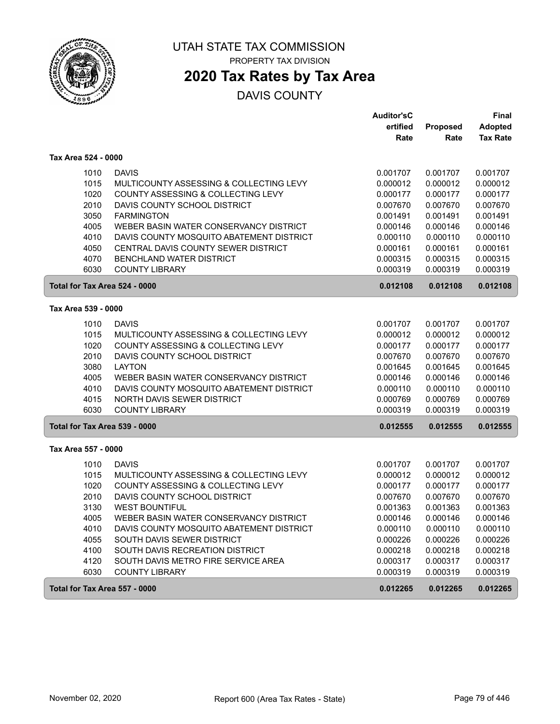

PROPERTY TAX DIVISION

# **2020 Tax Rates by Tax Area**

|                               |                                          | <b>Auditor'sC</b> |          | <b>Final</b>    |
|-------------------------------|------------------------------------------|-------------------|----------|-----------------|
|                               |                                          | ertified          | Proposed | <b>Adopted</b>  |
|                               |                                          | Rate              | Rate     | <b>Tax Rate</b> |
| Tax Area 524 - 0000           |                                          |                   |          |                 |
| 1010                          | <b>DAVIS</b>                             | 0.001707          | 0.001707 | 0.001707        |
| 1015                          | MULTICOUNTY ASSESSING & COLLECTING LEVY  | 0.000012          | 0.000012 | 0.000012        |
| 1020                          | COUNTY ASSESSING & COLLECTING LEVY       | 0.000177          | 0.000177 | 0.000177        |
| 2010                          | DAVIS COUNTY SCHOOL DISTRICT             | 0.007670          | 0.007670 | 0.007670        |
| 3050                          | <b>FARMINGTON</b>                        | 0.001491          | 0.001491 | 0.001491        |
| 4005                          | WEBER BASIN WATER CONSERVANCY DISTRICT   | 0.000146          | 0.000146 | 0.000146        |
| 4010                          | DAVIS COUNTY MOSQUITO ABATEMENT DISTRICT | 0.000110          | 0.000110 | 0.000110        |
| 4050                          | CENTRAL DAVIS COUNTY SEWER DISTRICT      | 0.000161          | 0.000161 | 0.000161        |
| 4070                          | <b>BENCHLAND WATER DISTRICT</b>          | 0.000315          | 0.000315 | 0.000315        |
| 6030                          | <b>COUNTY LIBRARY</b>                    | 0.000319          | 0.000319 | 0.000319        |
| Total for Tax Area 524 - 0000 |                                          | 0.012108          | 0.012108 | 0.012108        |
|                               |                                          |                   |          |                 |
| Tax Area 539 - 0000           |                                          |                   |          |                 |
| 1010                          | <b>DAVIS</b>                             | 0.001707          | 0.001707 | 0.001707        |
| 1015                          | MULTICOUNTY ASSESSING & COLLECTING LEVY  | 0.000012          | 0.000012 | 0.000012        |
| 1020                          | COUNTY ASSESSING & COLLECTING LEVY       | 0.000177          | 0.000177 | 0.000177        |
| 2010                          | DAVIS COUNTY SCHOOL DISTRICT             | 0.007670          | 0.007670 | 0.007670        |
| 3080                          | <b>LAYTON</b>                            | 0.001645          | 0.001645 | 0.001645        |
| 4005                          | WEBER BASIN WATER CONSERVANCY DISTRICT   | 0.000146          | 0.000146 | 0.000146        |
| 4010                          | DAVIS COUNTY MOSQUITO ABATEMENT DISTRICT | 0.000110          | 0.000110 | 0.000110        |
| 4015                          | <b>NORTH DAVIS SEWER DISTRICT</b>        | 0.000769          | 0.000769 | 0.000769        |
| 6030                          | <b>COUNTY LIBRARY</b>                    | 0.000319          | 0.000319 | 0.000319        |
| Total for Tax Area 539 - 0000 |                                          | 0.012555          | 0.012555 | 0.012555        |
| Tax Area 557 - 0000           |                                          |                   |          |                 |
| 1010                          | <b>DAVIS</b>                             | 0.001707          | 0.001707 | 0.001707        |
| 1015                          | MULTICOUNTY ASSESSING & COLLECTING LEVY  | 0.000012          | 0.000012 | 0.000012        |
| 1020                          | COUNTY ASSESSING & COLLECTING LEVY       | 0.000177          | 0.000177 | 0.000177        |
| 2010                          | DAVIS COUNTY SCHOOL DISTRICT             | 0.007670          | 0.007670 | 0.007670        |
| 3130                          | <b>WEST BOUNTIFUL</b>                    | 0.001363          | 0.001363 | 0.001363        |
| 4005                          | WEBER BASIN WATER CONSERVANCY DISTRICT   | 0.000146          | 0.000146 | 0.000146        |
| 4010                          | DAVIS COUNTY MOSQUITO ABATEMENT DISTRICT | 0.000110          | 0.000110 | 0.000110        |
| 4055                          | SOUTH DAVIS SEWER DISTRICT               | 0.000226          | 0.000226 | 0.000226        |
| 4100                          | SOUTH DAVIS RECREATION DISTRICT          | 0.000218          | 0.000218 | 0.000218        |
| 4120                          | SOUTH DAVIS METRO FIRE SERVICE AREA      | 0.000317          | 0.000317 | 0.000317        |
| 6030                          | <b>COUNTY LIBRARY</b>                    | 0.000319          | 0.000319 | 0.000319        |
| Total for Tax Area 557 - 0000 |                                          | 0.012265          | 0.012265 | 0.012265        |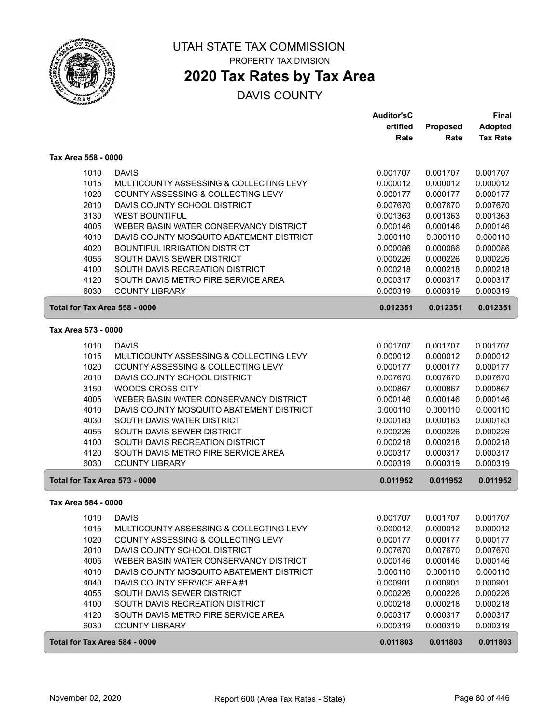

### **2020 Tax Rates by Tax Area**

|                               |                                          | <b>Auditor'sC</b> |          | <b>Final</b>    |
|-------------------------------|------------------------------------------|-------------------|----------|-----------------|
|                               |                                          | ertified          | Proposed | <b>Adopted</b>  |
|                               |                                          | Rate              | Rate     | <b>Tax Rate</b> |
| Tax Area 558 - 0000           |                                          |                   |          |                 |
| 1010                          | <b>DAVIS</b>                             | 0.001707          | 0.001707 | 0.001707        |
| 1015                          | MULTICOUNTY ASSESSING & COLLECTING LEVY  | 0.000012          | 0.000012 | 0.000012        |
| 1020                          | COUNTY ASSESSING & COLLECTING LEVY       | 0.000177          | 0.000177 | 0.000177        |
| 2010                          | DAVIS COUNTY SCHOOL DISTRICT             | 0.007670          | 0.007670 | 0.007670        |
| 3130                          | <b>WEST BOUNTIFUL</b>                    | 0.001363          | 0.001363 | 0.001363        |
| 4005                          | WEBER BASIN WATER CONSERVANCY DISTRICT   | 0.000146          | 0.000146 | 0.000146        |
| 4010                          | DAVIS COUNTY MOSQUITO ABATEMENT DISTRICT | 0.000110          | 0.000110 | 0.000110        |
| 4020                          | <b>BOUNTIFUL IRRIGATION DISTRICT</b>     | 0.000086          | 0.000086 | 0.000086        |
| 4055                          | SOUTH DAVIS SEWER DISTRICT               | 0.000226          | 0.000226 | 0.000226        |
| 4100                          | SOUTH DAVIS RECREATION DISTRICT          | 0.000218          | 0.000218 | 0.000218        |
| 4120                          | SOUTH DAVIS METRO FIRE SERVICE AREA      | 0.000317          | 0.000317 | 0.000317        |
| 6030                          | <b>COUNTY LIBRARY</b>                    | 0.000319          | 0.000319 | 0.000319        |
| Total for Tax Area 558 - 0000 |                                          | 0.012351          | 0.012351 | 0.012351        |
| Tax Area 573 - 0000           |                                          |                   |          |                 |
| 1010                          | <b>DAVIS</b>                             | 0.001707          | 0.001707 | 0.001707        |
| 1015                          | MULTICOUNTY ASSESSING & COLLECTING LEVY  | 0.000012          | 0.000012 | 0.000012        |
| 1020                          | COUNTY ASSESSING & COLLECTING LEVY       | 0.000177          | 0.000177 | 0.000177        |
| 2010                          | DAVIS COUNTY SCHOOL DISTRICT             | 0.007670          | 0.007670 | 0.007670        |
| 3150                          | <b>WOODS CROSS CITY</b>                  | 0.000867          | 0.000867 | 0.000867        |
| 4005                          | WEBER BASIN WATER CONSERVANCY DISTRICT   | 0.000146          | 0.000146 | 0.000146        |
| 4010                          | DAVIS COUNTY MOSQUITO ABATEMENT DISTRICT | 0.000110          | 0.000110 | 0.000110        |
| 4030                          | SOUTH DAVIS WATER DISTRICT               | 0.000183          | 0.000183 | 0.000183        |
| 4055                          | SOUTH DAVIS SEWER DISTRICT               | 0.000226          | 0.000226 | 0.000226        |
| 4100                          | SOUTH DAVIS RECREATION DISTRICT          | 0.000218          | 0.000218 | 0.000218        |
| 4120                          | SOUTH DAVIS METRO FIRE SERVICE AREA      | 0.000317          | 0.000317 | 0.000317        |
| 6030                          | <b>COUNTY LIBRARY</b>                    | 0.000319          | 0.000319 | 0.000319        |
| Total for Tax Area 573 - 0000 |                                          | 0.011952          | 0.011952 | 0.011952        |
| Tax Area 584 - 0000           |                                          |                   |          |                 |
| 1010                          | <b>DAVIS</b>                             | 0.001707          | 0.001707 | 0.001707        |
| 1015                          | MULTICOUNTY ASSESSING & COLLECTING LEVY  | 0.000012          | 0.000012 | 0.000012        |
| 1020                          | COUNTY ASSESSING & COLLECTING LEVY       | 0.000177          | 0.000177 | 0.000177        |
| 2010                          | DAVIS COUNTY SCHOOL DISTRICT             | 0.007670          | 0.007670 | 0.007670        |
| 4005                          | WEBER BASIN WATER CONSERVANCY DISTRICT   | 0.000146          | 0.000146 | 0.000146        |
| 4010                          | DAVIS COUNTY MOSQUITO ABATEMENT DISTRICT | 0.000110          | 0.000110 | 0.000110        |
| 4040                          | DAVIS COUNTY SERVICE AREA #1             | 0.000901          | 0.000901 | 0.000901        |
| 4055                          | SOUTH DAVIS SEWER DISTRICT               | 0.000226          | 0.000226 | 0.000226        |
| 4100                          | SOUTH DAVIS RECREATION DISTRICT          | 0.000218          | 0.000218 | 0.000218        |
| 4120                          | SOUTH DAVIS METRO FIRE SERVICE AREA      | 0.000317          | 0.000317 | 0.000317        |
| 6030                          | <b>COUNTY LIBRARY</b>                    | 0.000319          | 0.000319 | 0.000319        |
| Total for Tax Area 584 - 0000 |                                          | 0.011803          | 0.011803 | 0.011803        |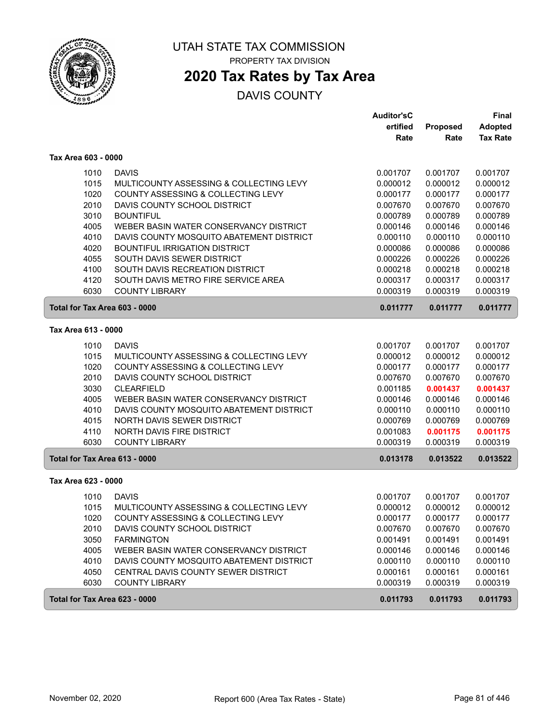

# **2020 Tax Rates by Tax Area**

|                               |                                          | <b>Auditor'sC</b> |          | Final           |
|-------------------------------|------------------------------------------|-------------------|----------|-----------------|
|                               |                                          | ertified          | Proposed | <b>Adopted</b>  |
|                               |                                          | Rate              | Rate     | <b>Tax Rate</b> |
| Tax Area 603 - 0000           |                                          |                   |          |                 |
| 1010                          | <b>DAVIS</b>                             | 0.001707          | 0.001707 | 0.001707        |
| 1015                          | MULTICOUNTY ASSESSING & COLLECTING LEVY  | 0.000012          | 0.000012 | 0.000012        |
| 1020                          | COUNTY ASSESSING & COLLECTING LEVY       | 0.000177          | 0.000177 | 0.000177        |
| 2010                          | DAVIS COUNTY SCHOOL DISTRICT             | 0.007670          | 0.007670 | 0.007670        |
| 3010                          | <b>BOUNTIFUL</b>                         | 0.000789          | 0.000789 | 0.000789        |
| 4005                          | WEBER BASIN WATER CONSERVANCY DISTRICT   | 0.000146          | 0.000146 | 0.000146        |
| 4010                          | DAVIS COUNTY MOSQUITO ABATEMENT DISTRICT | 0.000110          | 0.000110 | 0.000110        |
| 4020                          | <b>BOUNTIFUL IRRIGATION DISTRICT</b>     | 0.000086          | 0.000086 | 0.000086        |
| 4055                          | SOUTH DAVIS SEWER DISTRICT               | 0.000226          | 0.000226 | 0.000226        |
| 4100                          | SOUTH DAVIS RECREATION DISTRICT          | 0.000218          | 0.000218 | 0.000218        |
| 4120                          | SOUTH DAVIS METRO FIRE SERVICE AREA      | 0.000317          | 0.000317 | 0.000317        |
| 6030                          | <b>COUNTY LIBRARY</b>                    | 0.000319          | 0.000319 | 0.000319        |
| Total for Tax Area 603 - 0000 |                                          | 0.011777          | 0.011777 | 0.011777        |
| Tax Area 613 - 0000           |                                          |                   |          |                 |
| 1010                          | <b>DAVIS</b>                             | 0.001707          | 0.001707 | 0.001707        |
| 1015                          | MULTICOUNTY ASSESSING & COLLECTING LEVY  | 0.000012          | 0.000012 | 0.000012        |
| 1020                          | COUNTY ASSESSING & COLLECTING LEVY       | 0.000177          | 0.000177 | 0.000177        |
| 2010                          | DAVIS COUNTY SCHOOL DISTRICT             | 0.007670          | 0.007670 | 0.007670        |
| 3030                          | <b>CLEARFIELD</b>                        | 0.001185          | 0.001437 | 0.001437        |
| 4005                          | WEBER BASIN WATER CONSERVANCY DISTRICT   | 0.000146          | 0.000146 | 0.000146        |
| 4010                          | DAVIS COUNTY MOSQUITO ABATEMENT DISTRICT | 0.000110          | 0.000110 | 0.000110        |
| 4015                          | NORTH DAVIS SEWER DISTRICT               | 0.000769          | 0.000769 | 0.000769        |
| 4110                          | <b>NORTH DAVIS FIRE DISTRICT</b>         | 0.001083          | 0.001175 | 0.001175        |
| 6030                          | <b>COUNTY LIBRARY</b>                    | 0.000319          | 0.000319 | 0.000319        |
| Total for Tax Area 613 - 0000 |                                          | 0.013178          | 0.013522 | 0.013522        |
| Tax Area 623 - 0000           |                                          |                   |          |                 |
| 1010                          | <b>DAVIS</b>                             | 0.001707          | 0.001707 | 0.001707        |
| 1015                          | MULTICOUNTY ASSESSING & COLLECTING LEVY  | 0.000012          | 0.000012 | 0.000012        |
| 1020                          | COUNTY ASSESSING & COLLECTING LEVY       | 0.000177          | 0.000177 | 0.000177        |
| 2010                          | DAVIS COUNTY SCHOOL DISTRICT             | 0.007670          | 0.007670 | 0.007670        |
| 3050                          | <b>FARMINGTON</b>                        | 0.001491          | 0.001491 | 0.001491        |
| 4005                          | WEBER BASIN WATER CONSERVANCY DISTRICT   | 0.000146          | 0.000146 | 0.000146        |
| 4010                          | DAVIS COUNTY MOSQUITO ABATEMENT DISTRICT | 0.000110          | 0.000110 | 0.000110        |
| 4050                          | CENTRAL DAVIS COUNTY SEWER DISTRICT      | 0.000161          | 0.000161 | 0.000161        |
| 6030                          | <b>COUNTY LIBRARY</b>                    | 0.000319          | 0.000319 | 0.000319        |
| Total for Tax Area 623 - 0000 |                                          | 0.011793          | 0.011793 | 0.011793        |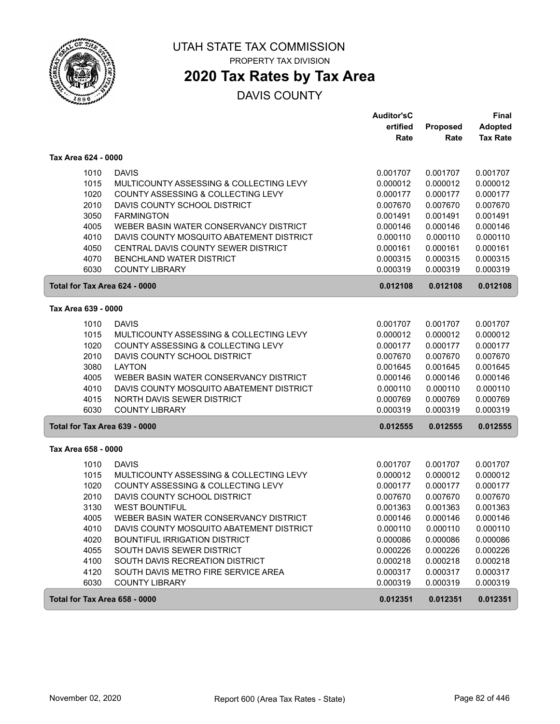

PROPERTY TAX DIVISION

# **2020 Tax Rates by Tax Area**

|                               |                                          | <b>Auditor'sC</b> |          | <b>Final</b>    |
|-------------------------------|------------------------------------------|-------------------|----------|-----------------|
|                               |                                          | ertified          | Proposed | <b>Adopted</b>  |
|                               |                                          | Rate              | Rate     | <b>Tax Rate</b> |
| Tax Area 624 - 0000           |                                          |                   |          |                 |
| 1010                          | <b>DAVIS</b>                             | 0.001707          | 0.001707 | 0.001707        |
| 1015                          | MULTICOUNTY ASSESSING & COLLECTING LEVY  | 0.000012          | 0.000012 | 0.000012        |
| 1020                          | COUNTY ASSESSING & COLLECTING LEVY       | 0.000177          | 0.000177 | 0.000177        |
| 2010                          | DAVIS COUNTY SCHOOL DISTRICT             | 0.007670          | 0.007670 | 0.007670        |
| 3050                          | <b>FARMINGTON</b>                        | 0.001491          | 0.001491 | 0.001491        |
| 4005                          | WEBER BASIN WATER CONSERVANCY DISTRICT   | 0.000146          | 0.000146 | 0.000146        |
| 4010                          | DAVIS COUNTY MOSQUITO ABATEMENT DISTRICT | 0.000110          | 0.000110 | 0.000110        |
| 4050                          | CENTRAL DAVIS COUNTY SEWER DISTRICT      | 0.000161          | 0.000161 | 0.000161        |
| 4070                          | BENCHLAND WATER DISTRICT                 | 0.000315          | 0.000315 | 0.000315        |
| 6030                          | <b>COUNTY LIBRARY</b>                    | 0.000319          | 0.000319 | 0.000319        |
| Total for Tax Area 624 - 0000 |                                          | 0.012108          | 0.012108 | 0.012108        |
| Tax Area 639 - 0000           |                                          |                   |          |                 |
| 1010                          | <b>DAVIS</b>                             | 0.001707          | 0.001707 | 0.001707        |
| 1015                          | MULTICOUNTY ASSESSING & COLLECTING LEVY  | 0.000012          | 0.000012 | 0.000012        |
| 1020                          | COUNTY ASSESSING & COLLECTING LEVY       | 0.000177          | 0.000177 | 0.000177        |
| 2010                          | DAVIS COUNTY SCHOOL DISTRICT             | 0.007670          | 0.007670 | 0.007670        |
| 3080                          | <b>LAYTON</b>                            | 0.001645          | 0.001645 | 0.001645        |
| 4005                          | WEBER BASIN WATER CONSERVANCY DISTRICT   | 0.000146          | 0.000146 | 0.000146        |
| 4010                          | DAVIS COUNTY MOSQUITO ABATEMENT DISTRICT | 0.000110          | 0.000110 | 0.000110        |
| 4015                          | <b>NORTH DAVIS SEWER DISTRICT</b>        | 0.000769          | 0.000769 | 0.000769        |
| 6030                          | <b>COUNTY LIBRARY</b>                    | 0.000319          | 0.000319 | 0.000319        |
| Total for Tax Area 639 - 0000 |                                          | 0.012555          | 0.012555 | 0.012555        |
| Tax Area 658 - 0000           |                                          |                   |          |                 |
| 1010                          | <b>DAVIS</b>                             | 0.001707          | 0.001707 | 0.001707        |
| 1015                          | MULTICOUNTY ASSESSING & COLLECTING LEVY  | 0.000012          | 0.000012 | 0.000012        |
| 1020                          | COUNTY ASSESSING & COLLECTING LEVY       | 0.000177          | 0.000177 | 0.000177        |
| 2010                          | DAVIS COUNTY SCHOOL DISTRICT             | 0.007670          | 0.007670 | 0.007670        |
| 3130                          | <b>WEST BOUNTIFUL</b>                    | 0.001363          | 0.001363 | 0.001363        |
| 4005                          | WEBER BASIN WATER CONSERVANCY DISTRICT   | 0.000146          | 0.000146 | 0.000146        |
| 4010                          | DAVIS COUNTY MOSQUITO ABATEMENT DISTRICT | 0.000110          | 0.000110 | 0.000110        |
| 4020                          | BOUNTIFUL IRRIGATION DISTRICT            | 0.000086          | 0.000086 | 0.000086        |
| 4055                          | SOUTH DAVIS SEWER DISTRICT               | 0.000226          | 0.000226 | 0.000226        |
| 4100                          | SOUTH DAVIS RECREATION DISTRICT          | 0.000218          | 0.000218 | 0.000218        |
| 4120                          | SOUTH DAVIS METRO FIRE SERVICE AREA      | 0.000317          | 0.000317 | 0.000317        |
| 6030                          | <b>COUNTY LIBRARY</b>                    | 0.000319          | 0.000319 | 0.000319        |
| Total for Tax Area 658 - 0000 |                                          | 0.012351          | 0.012351 | 0.012351        |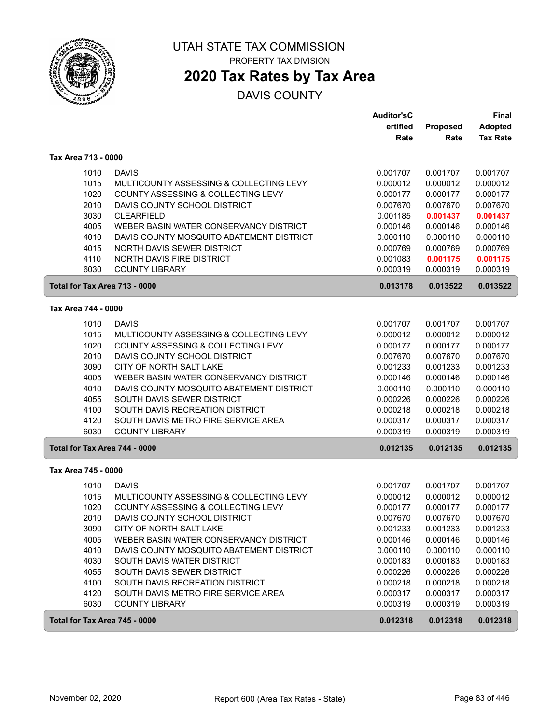

PROPERTY TAX DIVISION

# **2020 Tax Rates by Tax Area**

|                               |                                                                                    | <b>Auditor'sC</b><br>ertified | Proposed             | Final<br><b>Adopted</b> |
|-------------------------------|------------------------------------------------------------------------------------|-------------------------------|----------------------|-------------------------|
|                               |                                                                                    | Rate                          | Rate                 | <b>Tax Rate</b>         |
| Tax Area 713 - 0000           |                                                                                    |                               |                      |                         |
| 1010                          | <b>DAVIS</b>                                                                       | 0.001707                      | 0.001707             | 0.001707                |
| 1015                          | MULTICOUNTY ASSESSING & COLLECTING LEVY                                            | 0.000012                      | 0.000012             | 0.000012                |
| 1020                          | COUNTY ASSESSING & COLLECTING LEVY                                                 | 0.000177                      | 0.000177             | 0.000177                |
| 2010                          | DAVIS COUNTY SCHOOL DISTRICT                                                       | 0.007670                      | 0.007670             | 0.007670                |
| 3030                          | <b>CLEARFIELD</b>                                                                  | 0.001185                      | 0.001437             | 0.001437                |
| 4005                          | WEBER BASIN WATER CONSERVANCY DISTRICT                                             | 0.000146                      | 0.000146             | 0.000146                |
| 4010                          | DAVIS COUNTY MOSQUITO ABATEMENT DISTRICT                                           | 0.000110                      | 0.000110             | 0.000110                |
| 4015                          | NORTH DAVIS SEWER DISTRICT                                                         | 0.000769                      | 0.000769             | 0.000769                |
| 4110<br>6030                  | NORTH DAVIS FIRE DISTRICT<br><b>COUNTY LIBRARY</b>                                 | 0.001083<br>0.000319          | 0.001175<br>0.000319 | 0.001175<br>0.000319    |
| Total for Tax Area 713 - 0000 |                                                                                    | 0.013178                      | 0.013522             | 0.013522                |
| Tax Area 744 - 0000           |                                                                                    |                               |                      |                         |
| 1010                          | <b>DAVIS</b>                                                                       | 0.001707                      | 0.001707             | 0.001707                |
| 1015                          | MULTICOUNTY ASSESSING & COLLECTING LEVY                                            | 0.000012                      | 0.000012             | 0.000012                |
| 1020                          | COUNTY ASSESSING & COLLECTING LEVY                                                 | 0.000177                      | 0.000177             | 0.000177                |
| 2010                          | DAVIS COUNTY SCHOOL DISTRICT                                                       | 0.007670                      | 0.007670             | 0.007670                |
| 3090                          | CITY OF NORTH SALT LAKE                                                            | 0.001233                      | 0.001233             | 0.001233                |
| 4005                          | WEBER BASIN WATER CONSERVANCY DISTRICT                                             | 0.000146                      | 0.000146             | 0.000146                |
| 4010                          | DAVIS COUNTY MOSQUITO ABATEMENT DISTRICT                                           | 0.000110                      | 0.000110             | 0.000110                |
| 4055                          | SOUTH DAVIS SEWER DISTRICT                                                         | 0.000226                      | 0.000226             | 0.000226                |
| 4100                          | SOUTH DAVIS RECREATION DISTRICT                                                    | 0.000218                      | 0.000218             | 0.000218                |
| 4120<br>6030                  | SOUTH DAVIS METRO FIRE SERVICE AREA<br><b>COUNTY LIBRARY</b>                       | 0.000317<br>0.000319          | 0.000317<br>0.000319 | 0.000317<br>0.000319    |
|                               |                                                                                    |                               |                      |                         |
| Total for Tax Area 744 - 0000 |                                                                                    | 0.012135                      | 0.012135             | 0.012135                |
| Tax Area 745 - 0000           |                                                                                    |                               |                      |                         |
| 1010                          | <b>DAVIS</b>                                                                       | 0.001707                      | 0.001707             | 0.001707                |
| 1015                          | MULTICOUNTY ASSESSING & COLLECTING LEVY                                            | 0.000012                      | 0.000012             | 0.000012                |
| 1020                          | COUNTY ASSESSING & COLLECTING LEVY                                                 | 0.000177                      | 0.000177             | 0.000177                |
| 2010                          | DAVIS COUNTY SCHOOL DISTRICT                                                       | 0.007670                      | 0.007670             | 0.007670                |
| 3090                          | CITY OF NORTH SALT LAKE                                                            | 0.001233                      | 0.001233             | 0.001233                |
| 4005<br>4010                  | WEBER BASIN WATER CONSERVANCY DISTRICT<br>DAVIS COUNTY MOSQUITO ABATEMENT DISTRICT | 0.000146                      | 0.000146             | 0.000146                |
| 4030                          | SOUTH DAVIS WATER DISTRICT                                                         | 0.000110<br>0.000183          | 0.000110<br>0.000183 | 0.000110<br>0.000183    |
| 4055                          | SOUTH DAVIS SEWER DISTRICT                                                         | 0.000226                      | 0.000226             | 0.000226                |
| 4100                          | SOUTH DAVIS RECREATION DISTRICT                                                    | 0.000218                      | 0.000218             | 0.000218                |
| 4120                          | SOUTH DAVIS METRO FIRE SERVICE AREA                                                | 0.000317                      | 0.000317             | 0.000317                |
| 6030                          | <b>COUNTY LIBRARY</b>                                                              | 0.000319                      | 0.000319             | 0.000319                |
| Total for Tax Area 745 - 0000 |                                                                                    | 0.012318                      | 0.012318             | 0.012318                |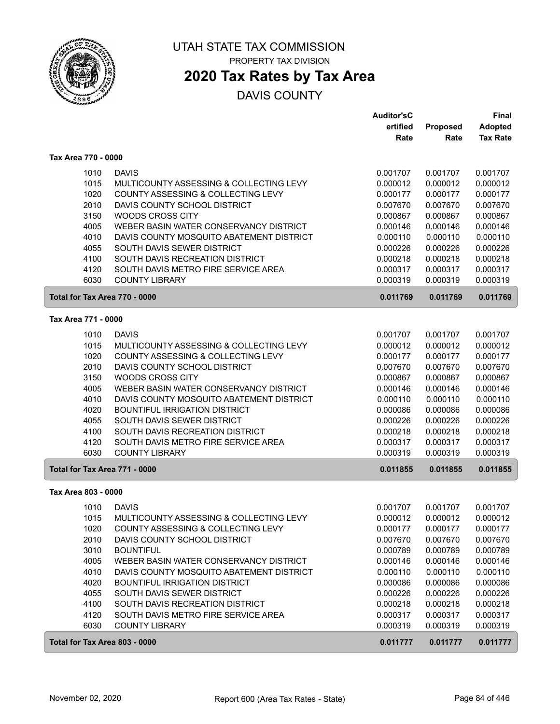

### **2020 Tax Rates by Tax Area**

|                               |                                          | <b>Auditor'sC</b> |          | Final           |
|-------------------------------|------------------------------------------|-------------------|----------|-----------------|
|                               |                                          | ertified          | Proposed | <b>Adopted</b>  |
|                               |                                          | Rate              | Rate     | <b>Tax Rate</b> |
| Tax Area 770 - 0000           |                                          |                   |          |                 |
| 1010                          | <b>DAVIS</b>                             | 0.001707          | 0.001707 | 0.001707        |
| 1015                          | MULTICOUNTY ASSESSING & COLLECTING LEVY  | 0.000012          | 0.000012 | 0.000012        |
| 1020                          | COUNTY ASSESSING & COLLECTING LEVY       | 0.000177          | 0.000177 | 0.000177        |
| 2010                          | DAVIS COUNTY SCHOOL DISTRICT             | 0.007670          | 0.007670 | 0.007670        |
| 3150                          | <b>WOODS CROSS CITY</b>                  | 0.000867          | 0.000867 | 0.000867        |
| 4005                          | WEBER BASIN WATER CONSERVANCY DISTRICT   | 0.000146          | 0.000146 | 0.000146        |
| 4010                          | DAVIS COUNTY MOSQUITO ABATEMENT DISTRICT | 0.000110          | 0.000110 | 0.000110        |
| 4055                          | SOUTH DAVIS SEWER DISTRICT               | 0.000226          | 0.000226 | 0.000226        |
| 4100                          | SOUTH DAVIS RECREATION DISTRICT          | 0.000218          | 0.000218 | 0.000218        |
| 4120                          | SOUTH DAVIS METRO FIRE SERVICE AREA      | 0.000317          | 0.000317 | 0.000317        |
| 6030                          | <b>COUNTY LIBRARY</b>                    | 0.000319          | 0.000319 | 0.000319        |
| Total for Tax Area 770 - 0000 |                                          | 0.011769          | 0.011769 | 0.011769        |
| Tax Area 771 - 0000           |                                          |                   |          |                 |
| 1010                          | <b>DAVIS</b>                             | 0.001707          | 0.001707 | 0.001707        |
| 1015                          | MULTICOUNTY ASSESSING & COLLECTING LEVY  | 0.000012          | 0.000012 | 0.000012        |
| 1020                          | COUNTY ASSESSING & COLLECTING LEVY       | 0.000177          | 0.000177 | 0.000177        |
| 2010                          | DAVIS COUNTY SCHOOL DISTRICT             | 0.007670          | 0.007670 | 0.007670        |
| 3150                          | WOODS CROSS CITY                         | 0.000867          | 0.000867 | 0.000867        |
| 4005                          | WEBER BASIN WATER CONSERVANCY DISTRICT   | 0.000146          | 0.000146 | 0.000146        |
| 4010                          | DAVIS COUNTY MOSQUITO ABATEMENT DISTRICT | 0.000110          | 0.000110 | 0.000110        |
| 4020                          | <b>BOUNTIFUL IRRIGATION DISTRICT</b>     | 0.000086          | 0.000086 | 0.000086        |
| 4055                          | SOUTH DAVIS SEWER DISTRICT               | 0.000226          | 0.000226 | 0.000226        |
| 4100                          | SOUTH DAVIS RECREATION DISTRICT          | 0.000218          | 0.000218 | 0.000218        |
| 4120                          | SOUTH DAVIS METRO FIRE SERVICE AREA      | 0.000317          | 0.000317 | 0.000317        |
| 6030                          | <b>COUNTY LIBRARY</b>                    | 0.000319          | 0.000319 | 0.000319        |
| Total for Tax Area 771 - 0000 |                                          | 0.011855          | 0.011855 | 0.011855        |
| Tax Area 803 - 0000           |                                          |                   |          |                 |
| 1010                          | <b>DAVIS</b>                             | 0.001707          | 0.001707 | 0.001707        |
| 1015                          | MULTICOUNTY ASSESSING & COLLECTING LEVY  | 0.000012          | 0.000012 | 0.000012        |
| 1020                          | COUNTY ASSESSING & COLLECTING LEVY       | 0.000177          | 0.000177 | 0.000177        |
| 2010                          | DAVIS COUNTY SCHOOL DISTRICT             | 0.007670          | 0.007670 | 0.007670        |
| 3010                          | <b>BOUNTIFUL</b>                         | 0.000789          | 0.000789 | 0.000789        |
| 4005                          | WEBER BASIN WATER CONSERVANCY DISTRICT   | 0.000146          | 0.000146 | 0.000146        |
| 4010                          | DAVIS COUNTY MOSQUITO ABATEMENT DISTRICT | 0.000110          | 0.000110 | 0.000110        |
| 4020                          | <b>BOUNTIFUL IRRIGATION DISTRICT</b>     | 0.000086          | 0.000086 | 0.000086        |
| 4055                          | SOUTH DAVIS SEWER DISTRICT               | 0.000226          | 0.000226 | 0.000226        |
| 4100                          | SOUTH DAVIS RECREATION DISTRICT          | 0.000218          | 0.000218 | 0.000218        |
| 4120                          | SOUTH DAVIS METRO FIRE SERVICE AREA      | 0.000317          | 0.000317 | 0.000317        |
| 6030                          | <b>COUNTY LIBRARY</b>                    | 0.000319          | 0.000319 | 0.000319        |
| Total for Tax Area 803 - 0000 |                                          | 0.011777          | 0.011777 | 0.011777        |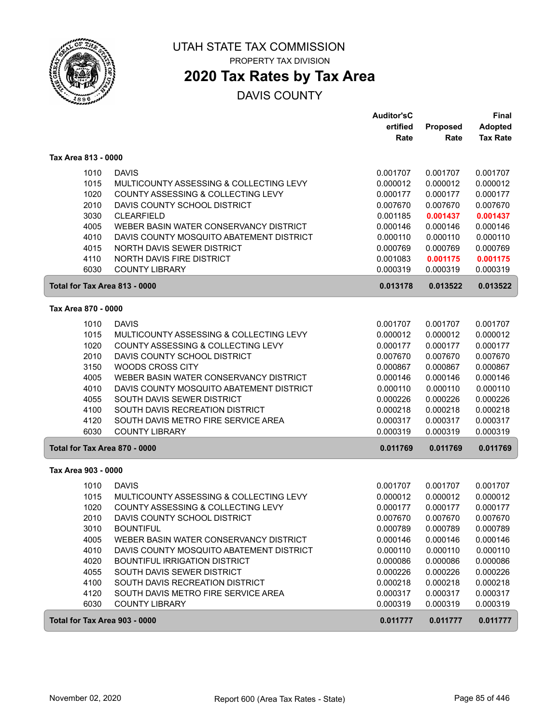

PROPERTY TAX DIVISION

# **2020 Tax Rates by Tax Area**

|                               |                                                              | <b>Auditor'sC</b><br>ertified | Proposed             | Final<br><b>Adopted</b> |
|-------------------------------|--------------------------------------------------------------|-------------------------------|----------------------|-------------------------|
|                               |                                                              | Rate                          | Rate                 | <b>Tax Rate</b>         |
| Tax Area 813 - 0000           |                                                              |                               |                      |                         |
| 1010                          | <b>DAVIS</b>                                                 | 0.001707                      | 0.001707             | 0.001707                |
| 1015                          | MULTICOUNTY ASSESSING & COLLECTING LEVY                      | 0.000012                      | 0.000012             | 0.000012                |
| 1020                          | COUNTY ASSESSING & COLLECTING LEVY                           | 0.000177                      | 0.000177             | 0.000177                |
| 2010                          | DAVIS COUNTY SCHOOL DISTRICT                                 | 0.007670                      | 0.007670             | 0.007670                |
| 3030                          | <b>CLEARFIELD</b>                                            | 0.001185                      | 0.001437             | 0.001437                |
| 4005                          | WEBER BASIN WATER CONSERVANCY DISTRICT                       | 0.000146                      | 0.000146             | 0.000146                |
| 4010                          | DAVIS COUNTY MOSQUITO ABATEMENT DISTRICT                     | 0.000110                      | 0.000110             | 0.000110                |
| 4015                          | NORTH DAVIS SEWER DISTRICT                                   | 0.000769                      | 0.000769             | 0.000769                |
| 4110                          | NORTH DAVIS FIRE DISTRICT                                    | 0.001083                      | 0.001175             | 0.001175                |
| 6030                          | <b>COUNTY LIBRARY</b>                                        | 0.000319                      | 0.000319             | 0.000319                |
| Total for Tax Area 813 - 0000 |                                                              | 0.013178                      | 0.013522             | 0.013522                |
| Tax Area 870 - 0000           |                                                              |                               |                      |                         |
| 1010                          | <b>DAVIS</b>                                                 | 0.001707                      | 0.001707             | 0.001707                |
| 1015                          | MULTICOUNTY ASSESSING & COLLECTING LEVY                      | 0.000012                      | 0.000012             | 0.000012                |
| 1020                          | COUNTY ASSESSING & COLLECTING LEVY                           | 0.000177                      | 0.000177             | 0.000177                |
| 2010                          | DAVIS COUNTY SCHOOL DISTRICT                                 | 0.007670                      | 0.007670             | 0.007670                |
| 3150                          | <b>WOODS CROSS CITY</b>                                      | 0.000867                      | 0.000867             | 0.000867                |
| 4005                          | WEBER BASIN WATER CONSERVANCY DISTRICT                       | 0.000146                      | 0.000146             | 0.000146                |
| 4010                          | DAVIS COUNTY MOSQUITO ABATEMENT DISTRICT                     | 0.000110                      | 0.000110             | 0.000110                |
| 4055                          | SOUTH DAVIS SEWER DISTRICT                                   | 0.000226                      | 0.000226             | 0.000226                |
| 4100                          | SOUTH DAVIS RECREATION DISTRICT                              | 0.000218                      | 0.000218             | 0.000218                |
| 4120                          | SOUTH DAVIS METRO FIRE SERVICE AREA                          | 0.000317                      | 0.000317             | 0.000317                |
| 6030                          | <b>COUNTY LIBRARY</b>                                        | 0.000319                      | 0.000319             | 0.000319                |
| Total for Tax Area 870 - 0000 |                                                              | 0.011769                      | 0.011769             | 0.011769                |
| Tax Area 903 - 0000           |                                                              |                               |                      |                         |
| 1010                          | <b>DAVIS</b>                                                 | 0.001707                      | 0.001707             | 0.001707                |
| 1015                          | MULTICOUNTY ASSESSING & COLLECTING LEVY                      | 0.000012                      | 0.000012             | 0.000012                |
| 1020                          | COUNTY ASSESSING & COLLECTING LEVY                           | 0.000177                      | 0.000177             | 0.000177                |
| 2010                          | DAVIS COUNTY SCHOOL DISTRICT                                 | 0.007670                      | 0.007670             | 0.007670                |
| 3010                          | <b>BOUNTIFUL</b>                                             | 0.000789                      | 0.000789             | 0.000789                |
| 4005                          | WEBER BASIN WATER CONSERVANCY DISTRICT                       | 0.000146                      | 0.000146             | 0.000146                |
| 4010                          | DAVIS COUNTY MOSQUITO ABATEMENT DISTRICT                     | 0.000110                      | 0.000110             | 0.000110                |
| 4020                          | <b>BOUNTIFUL IRRIGATION DISTRICT</b>                         | 0.000086                      | 0.000086             | 0.000086                |
| 4055                          | SOUTH DAVIS SEWER DISTRICT                                   | 0.000226                      | 0.000226             | 0.000226                |
| 4100                          | SOUTH DAVIS RECREATION DISTRICT                              | 0.000218                      | 0.000218             | 0.000218                |
| 4120<br>6030                  | SOUTH DAVIS METRO FIRE SERVICE AREA<br><b>COUNTY LIBRARY</b> | 0.000317<br>0.000319          | 0.000317<br>0.000319 | 0.000317<br>0.000319    |
|                               |                                                              |                               |                      |                         |
| Total for Tax Area 903 - 0000 |                                                              | 0.011777                      | 0.011777             | 0.011777                |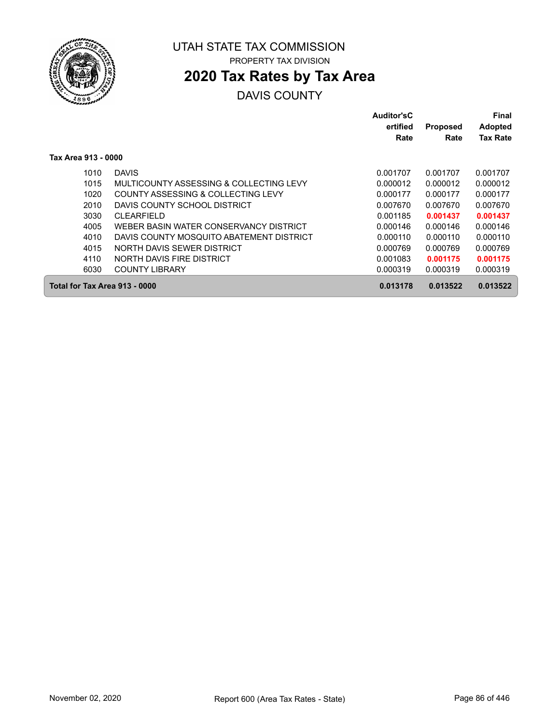

# **2020 Tax Rates by Tax Area**

|                               |                                          | Auditor'sC<br>ertified<br>Rate | <b>Proposed</b><br>Rate | Final<br><b>Adopted</b><br><b>Tax Rate</b> |
|-------------------------------|------------------------------------------|--------------------------------|-------------------------|--------------------------------------------|
| Tax Area 913 - 0000           |                                          |                                |                         |                                            |
| 1010                          | <b>DAVIS</b>                             | 0.001707                       | 0.001707                | 0.001707                                   |
| 1015                          | MULTICOUNTY ASSESSING & COLLECTING LEVY  | 0.000012                       | 0.000012                | 0.000012                                   |
| 1020                          | COUNTY ASSESSING & COLLECTING LEVY       | 0.000177                       | 0.000177                | 0.000177                                   |
| 2010                          | DAVIS COUNTY SCHOOL DISTRICT             | 0.007670                       | 0.007670                | 0.007670                                   |
| 3030                          | <b>CLEARFIELD</b>                        | 0.001185                       | 0.001437                | 0.001437                                   |
| 4005                          | WEBER BASIN WATER CONSERVANCY DISTRICT   | 0.000146                       | 0.000146                | 0.000146                                   |
| 4010                          | DAVIS COUNTY MOSQUITO ABATEMENT DISTRICT | 0.000110                       | 0.000110                | 0.000110                                   |
| 4015                          | NORTH DAVIS SEWER DISTRICT               | 0.000769                       | 0.000769                | 0.000769                                   |
| 4110                          | NORTH DAVIS FIRE DISTRICT                | 0.001083                       | 0.001175                | 0.001175                                   |
| 6030                          | <b>COUNTY LIBRARY</b>                    | 0.000319                       | 0.000319                | 0.000319                                   |
| Total for Tax Area 913 - 0000 |                                          | 0.013178                       | 0.013522                | 0.013522                                   |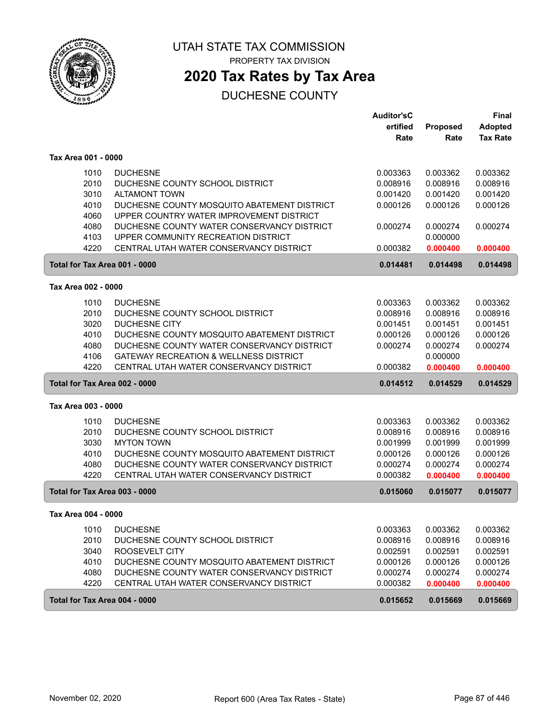

PROPERTY TAX DIVISION

# **2020 Tax Rates by Tax Area**

|                               |                                             | <b>Auditor'sC</b> |          | <b>Final</b>    |
|-------------------------------|---------------------------------------------|-------------------|----------|-----------------|
|                               |                                             | ertified          | Proposed | <b>Adopted</b>  |
|                               |                                             | Rate              | Rate     | <b>Tax Rate</b> |
| Tax Area 001 - 0000           |                                             |                   |          |                 |
| 1010                          | <b>DUCHESNE</b>                             | 0.003363          | 0.003362 | 0.003362        |
| 2010                          | DUCHESNE COUNTY SCHOOL DISTRICT             | 0.008916          | 0.008916 | 0.008916        |
| 3010                          | <b>ALTAMONT TOWN</b>                        | 0.001420          | 0.001420 | 0.001420        |
| 4010                          | DUCHESNE COUNTY MOSQUITO ABATEMENT DISTRICT | 0.000126          | 0.000126 | 0.000126        |
| 4060                          | UPPER COUNTRY WATER IMPROVEMENT DISTRICT    |                   |          |                 |
| 4080                          | DUCHESNE COUNTY WATER CONSERVANCY DISTRICT  | 0.000274          | 0.000274 | 0.000274        |
| 4103                          | UPPER COMMUNITY RECREATION DISTRICT         |                   | 0.000000 |                 |
| 4220                          | CENTRAL UTAH WATER CONSERVANCY DISTRICT     | 0.000382          | 0.000400 | 0.000400        |
| Total for Tax Area 001 - 0000 |                                             | 0.014481          | 0.014498 | 0.014498        |
| Tax Area 002 - 0000           |                                             |                   |          |                 |
| 1010                          | <b>DUCHESNE</b>                             | 0.003363          | 0.003362 | 0.003362        |
| 2010                          | DUCHESNE COUNTY SCHOOL DISTRICT             | 0.008916          | 0.008916 | 0.008916        |
| 3020                          | <b>DUCHESNE CITY</b>                        | 0.001451          | 0.001451 | 0.001451        |
| 4010                          | DUCHESNE COUNTY MOSQUITO ABATEMENT DISTRICT | 0.000126          | 0.000126 | 0.000126        |
| 4080                          | DUCHESNE COUNTY WATER CONSERVANCY DISTRICT  | 0.000274          | 0.000274 | 0.000274        |
| 4106                          | GATEWAY RECREATION & WELLNESS DISTRICT      |                   | 0.000000 |                 |
| 4220                          | CENTRAL UTAH WATER CONSERVANCY DISTRICT     | 0.000382          | 0.000400 | 0.000400        |
| Total for Tax Area 002 - 0000 |                                             | 0.014512          | 0.014529 | 0.014529        |
| Tax Area 003 - 0000           |                                             |                   |          |                 |
| 1010                          | <b>DUCHESNE</b>                             | 0.003363          | 0.003362 | 0.003362        |
| 2010                          | DUCHESNE COUNTY SCHOOL DISTRICT             | 0.008916          | 0.008916 | 0.008916        |
| 3030                          | <b>MYTON TOWN</b>                           | 0.001999          | 0.001999 | 0.001999        |
| 4010                          | DUCHESNE COUNTY MOSQUITO ABATEMENT DISTRICT | 0.000126          | 0.000126 | 0.000126        |
| 4080                          | DUCHESNE COUNTY WATER CONSERVANCY DISTRICT  | 0.000274          | 0.000274 | 0.000274        |
| 4220                          | CENTRAL UTAH WATER CONSERVANCY DISTRICT     | 0.000382          | 0.000400 | 0.000400        |
| Total for Tax Area 003 - 0000 |                                             | 0.015060          | 0.015077 | 0.015077        |
| Tax Area 004 - 0000           |                                             |                   |          |                 |
| 1010                          | <b>DUCHESNE</b>                             | 0.003363          | 0.003362 | 0.003362        |
| 2010                          | DUCHESNE COUNTY SCHOOL DISTRICT             | 0.008916          | 0.008916 | 0.008916        |
| 3040                          | ROOSEVELT CITY                              | 0.002591          | 0.002591 | 0.002591        |
| 4010                          | DUCHESNE COUNTY MOSQUITO ABATEMENT DISTRICT | 0.000126          | 0.000126 | 0.000126        |
| 4080                          | DUCHESNE COUNTY WATER CONSERVANCY DISTRICT  | 0.000274          | 0.000274 | 0.000274        |
| 4220                          | CENTRAL UTAH WATER CONSERVANCY DISTRICT     | 0.000382          | 0.000400 | 0.000400        |
| Total for Tax Area 004 - 0000 |                                             | 0.015652          | 0.015669 | 0.015669        |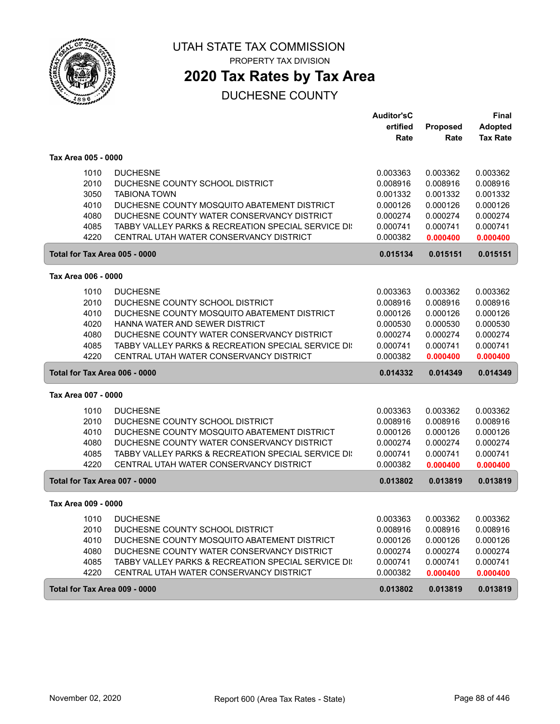

PROPERTY TAX DIVISION

# **2020 Tax Rates by Tax Area**

|                               |                                                     | <b>Auditor'sC</b> |          | <b>Final</b>    |
|-------------------------------|-----------------------------------------------------|-------------------|----------|-----------------|
|                               |                                                     | ertified          | Proposed | <b>Adopted</b>  |
|                               |                                                     | Rate              | Rate     | <b>Tax Rate</b> |
| Tax Area 005 - 0000           |                                                     |                   |          |                 |
| 1010                          | <b>DUCHESNE</b>                                     | 0.003363          | 0.003362 | 0.003362        |
| 2010                          | DUCHESNE COUNTY SCHOOL DISTRICT                     | 0.008916          | 0.008916 | 0.008916        |
| 3050                          | <b>TABIONA TOWN</b>                                 | 0.001332          | 0.001332 | 0.001332        |
| 4010                          | DUCHESNE COUNTY MOSQUITO ABATEMENT DISTRICT         | 0.000126          | 0.000126 | 0.000126        |
| 4080                          | DUCHESNE COUNTY WATER CONSERVANCY DISTRICT          | 0.000274          | 0.000274 | 0.000274        |
| 4085                          | TABBY VALLEY PARKS & RECREATION SPECIAL SERVICE DI: | 0.000741          | 0.000741 | 0.000741        |
| 4220                          | CENTRAL UTAH WATER CONSERVANCY DISTRICT             | 0.000382          | 0.000400 | 0.000400        |
| Total for Tax Area 005 - 0000 |                                                     | 0.015134          | 0.015151 | 0.015151        |
| Tax Area 006 - 0000           |                                                     |                   |          |                 |
| 1010                          | <b>DUCHESNE</b>                                     | 0.003363          | 0.003362 | 0.003362        |
| 2010                          | DUCHESNE COUNTY SCHOOL DISTRICT                     | 0.008916          | 0.008916 | 0.008916        |
| 4010                          | DUCHESNE COUNTY MOSQUITO ABATEMENT DISTRICT         | 0.000126          | 0.000126 | 0.000126        |
| 4020                          | HANNA WATER AND SEWER DISTRICT                      | 0.000530          | 0.000530 | 0.000530        |
| 4080                          | DUCHESNE COUNTY WATER CONSERVANCY DISTRICT          | 0.000274          | 0.000274 | 0.000274        |
| 4085                          | TABBY VALLEY PARKS & RECREATION SPECIAL SERVICE DI: | 0.000741          | 0.000741 | 0.000741        |
| 4220                          | CENTRAL UTAH WATER CONSERVANCY DISTRICT             | 0.000382          | 0.000400 | 0.000400        |
| Total for Tax Area 006 - 0000 |                                                     | 0.014332          | 0.014349 | 0.014349        |
| Tax Area 007 - 0000           |                                                     |                   |          |                 |
| 1010                          | <b>DUCHESNE</b>                                     | 0.003363          | 0.003362 | 0.003362        |
| 2010                          | DUCHESNE COUNTY SCHOOL DISTRICT                     | 0.008916          | 0.008916 | 0.008916        |
| 4010                          | DUCHESNE COUNTY MOSQUITO ABATEMENT DISTRICT         | 0.000126          | 0.000126 | 0.000126        |
| 4080                          | DUCHESNE COUNTY WATER CONSERVANCY DISTRICT          | 0.000274          | 0.000274 | 0.000274        |
| 4085                          | TABBY VALLEY PARKS & RECREATION SPECIAL SERVICE DI: | 0.000741          | 0.000741 | 0.000741        |
| 4220                          | CENTRAL UTAH WATER CONSERVANCY DISTRICT             | 0.000382          | 0.000400 | 0.000400        |
| Total for Tax Area 007 - 0000 |                                                     | 0.013802          | 0.013819 | 0.013819        |
| Tax Area 009 - 0000           |                                                     |                   |          |                 |
| 1010                          | <b>DUCHESNE</b>                                     | 0.003363          | 0.003362 | 0.003362        |
| 2010                          | DUCHESNE COUNTY SCHOOL DISTRICT                     | 0.008916          | 0.008916 | 0.008916        |
| 4010                          | DUCHESNE COUNTY MOSQUITO ABATEMENT DISTRICT         | 0.000126          | 0.000126 | 0.000126        |
| 4080                          | DUCHESNE COUNTY WATER CONSERVANCY DISTRICT          | 0.000274          | 0.000274 | 0.000274        |
| 4085                          | TABBY VALLEY PARKS & RECREATION SPECIAL SERVICE DI: | 0.000741          | 0.000741 | 0.000741        |
| 4220                          | CENTRAL UTAH WATER CONSERVANCY DISTRICT             | 0.000382          | 0.000400 | 0.000400        |
| Total for Tax Area 009 - 0000 |                                                     | 0.013802          | 0.013819 | 0.013819        |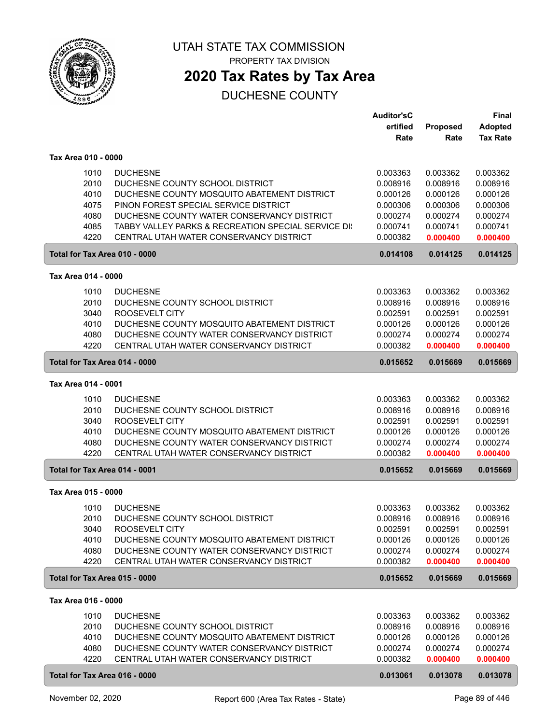

**2020 Tax Rates by Tax Area**

|                               |                                                                                           | <b>Auditor'sC</b><br>ertified | Proposed             | <b>Final</b><br><b>Adopted</b> |
|-------------------------------|-------------------------------------------------------------------------------------------|-------------------------------|----------------------|--------------------------------|
|                               |                                                                                           | Rate                          | Rate                 | <b>Tax Rate</b>                |
| Tax Area 010 - 0000           |                                                                                           |                               |                      |                                |
| 1010                          | <b>DUCHESNE</b>                                                                           | 0.003363                      | 0.003362             | 0.003362                       |
| 2010                          | DUCHESNE COUNTY SCHOOL DISTRICT                                                           | 0.008916                      | 0.008916             | 0.008916                       |
| 4010                          | DUCHESNE COUNTY MOSQUITO ABATEMENT DISTRICT                                               | 0.000126                      | 0.000126             | 0.000126                       |
| 4075<br>4080                  | PINON FOREST SPECIAL SERVICE DISTRICT<br>DUCHESNE COUNTY WATER CONSERVANCY DISTRICT       | 0.000306<br>0.000274          | 0.000306<br>0.000274 | 0.000306<br>0.000274           |
| 4085                          | TABBY VALLEY PARKS & RECREATION SPECIAL SERVICE DI:                                       | 0.000741                      | 0.000741             | 0.000741                       |
| 4220                          | CENTRAL UTAH WATER CONSERVANCY DISTRICT                                                   | 0.000382                      | 0.000400             | 0.000400                       |
| Total for Tax Area 010 - 0000 |                                                                                           | 0.014108                      | 0.014125             | 0.014125                       |
| Tax Area 014 - 0000           |                                                                                           |                               |                      |                                |
| 1010                          | <b>DUCHESNE</b>                                                                           | 0.003363                      | 0.003362             | 0.003362                       |
| 2010                          | DUCHESNE COUNTY SCHOOL DISTRICT                                                           | 0.008916                      | 0.008916             | 0.008916                       |
| 3040                          | ROOSEVELT CITY                                                                            | 0.002591                      | 0.002591             | 0.002591                       |
| 4010                          | DUCHESNE COUNTY MOSQUITO ABATEMENT DISTRICT                                               | 0.000126                      | 0.000126             | 0.000126                       |
| 4080                          | DUCHESNE COUNTY WATER CONSERVANCY DISTRICT                                                | 0.000274                      | 0.000274             | 0.000274                       |
| 4220                          | CENTRAL UTAH WATER CONSERVANCY DISTRICT                                                   | 0.000382                      | 0.000400             | 0.000400                       |
| Total for Tax Area 014 - 0000 |                                                                                           | 0.015652                      | 0.015669             | 0.015669                       |
| Tax Area 014 - 0001           |                                                                                           |                               |                      |                                |
| 1010                          | <b>DUCHESNE</b>                                                                           | 0.003363                      | 0.003362             | 0.003362                       |
| 2010                          | DUCHESNE COUNTY SCHOOL DISTRICT                                                           | 0.008916                      | 0.008916             | 0.008916                       |
| 3040                          | ROOSEVELT CITY                                                                            | 0.002591                      | 0.002591             | 0.002591                       |
| 4010<br>4080                  | DUCHESNE COUNTY MOSQUITO ABATEMENT DISTRICT<br>DUCHESNE COUNTY WATER CONSERVANCY DISTRICT | 0.000126<br>0.000274          | 0.000126<br>0.000274 | 0.000126<br>0.000274           |
| 4220                          | CENTRAL UTAH WATER CONSERVANCY DISTRICT                                                   | 0.000382                      | 0.000400             | 0.000400                       |
| Total for Tax Area 014 - 0001 |                                                                                           | 0.015652                      | 0.015669             | 0.015669                       |
| Tax Area 015 - 0000           |                                                                                           |                               |                      |                                |
| 1010                          | <b>DUCHESNE</b>                                                                           | 0.003363                      | 0.003362             | 0.003362                       |
| 2010                          | DUCHESNE COUNTY SCHOOL DISTRICT                                                           | 0.008916                      | 0.008916             | 0.008916                       |
| 3040                          | ROOSEVELT CITY                                                                            | 0.002591                      | 0.002591             | 0.002591                       |
| 4010                          | DUCHESNE COUNTY MOSQUITO ABATEMENT DISTRICT                                               | 0.000126                      | 0.000126             | 0.000126                       |
| 4080                          | DUCHESNE COUNTY WATER CONSERVANCY DISTRICT                                                | 0.000274                      | 0.000274             | 0.000274                       |
| 4220                          | CENTRAL UTAH WATER CONSERVANCY DISTRICT                                                   | 0.000382                      | 0.000400             | 0.000400                       |
| Total for Tax Area 015 - 0000 |                                                                                           | 0.015652                      | 0.015669             | 0.015669                       |
| Tax Area 016 - 0000           |                                                                                           |                               |                      |                                |
| 1010                          | <b>DUCHESNE</b>                                                                           | 0.003363                      | 0.003362             | 0.003362                       |
| 2010                          | DUCHESNE COUNTY SCHOOL DISTRICT                                                           | 0.008916                      | 0.008916             | 0.008916                       |
| 4010                          | DUCHESNE COUNTY MOSQUITO ABATEMENT DISTRICT                                               | 0.000126                      | 0.000126             | 0.000126                       |
| 4080<br>4220                  | DUCHESNE COUNTY WATER CONSERVANCY DISTRICT<br>CENTRAL UTAH WATER CONSERVANCY DISTRICT     | 0.000274<br>0.000382          | 0.000274<br>0.000400 | 0.000274<br>0.000400           |
| Total for Tax Area 016 - 0000 |                                                                                           | 0.013061                      |                      |                                |
|                               |                                                                                           |                               | 0.013078             | 0.013078                       |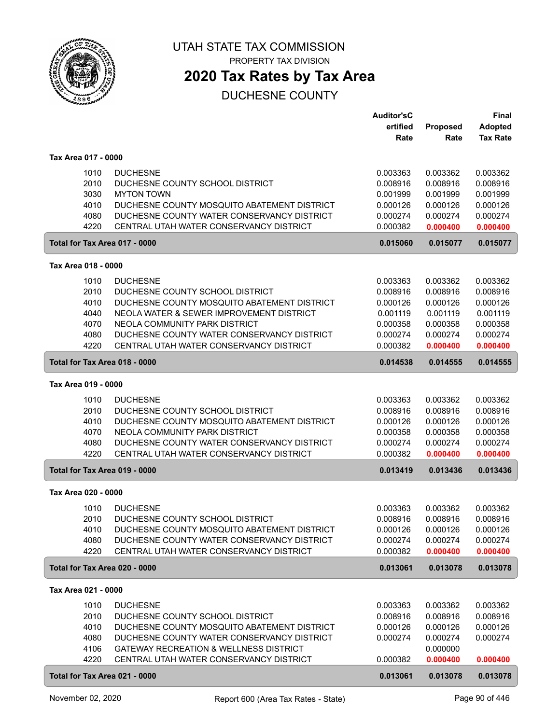

PROPERTY TAX DIVISION

# **2020 Tax Rates by Tax Area**

|                                                      |                                                                                                                                                                                                                                                                         | <b>Auditor'sC</b><br>ertified<br>Rate                                            | Proposed<br>Rate                                                                 | <b>Final</b><br><b>Adopted</b><br><b>Tax Rate</b>                                |
|------------------------------------------------------|-------------------------------------------------------------------------------------------------------------------------------------------------------------------------------------------------------------------------------------------------------------------------|----------------------------------------------------------------------------------|----------------------------------------------------------------------------------|----------------------------------------------------------------------------------|
| Tax Area 017 - 0000                                  |                                                                                                                                                                                                                                                                         |                                                                                  |                                                                                  |                                                                                  |
| 1010<br>2010<br>3030<br>4010<br>4080<br>4220         | <b>DUCHESNE</b><br>DUCHESNE COUNTY SCHOOL DISTRICT<br><b>MYTON TOWN</b><br>DUCHESNE COUNTY MOSQUITO ABATEMENT DISTRICT<br>DUCHESNE COUNTY WATER CONSERVANCY DISTRICT<br>CENTRAL UTAH WATER CONSERVANCY DISTRICT                                                         | 0.003363<br>0.008916<br>0.001999<br>0.000126<br>0.000274<br>0.000382             | 0.003362<br>0.008916<br>0.001999<br>0.000126<br>0.000274<br>0.000400             | 0.003362<br>0.008916<br>0.001999<br>0.000126<br>0.000274<br>0.000400             |
| Total for Tax Area 017 - 0000                        |                                                                                                                                                                                                                                                                         | 0.015060                                                                         | 0.015077                                                                         | 0.015077                                                                         |
| Tax Area 018 - 0000                                  |                                                                                                                                                                                                                                                                         |                                                                                  |                                                                                  |                                                                                  |
| 1010<br>2010<br>4010<br>4040<br>4070<br>4080<br>4220 | <b>DUCHESNE</b><br>DUCHESNE COUNTY SCHOOL DISTRICT<br>DUCHESNE COUNTY MOSQUITO ABATEMENT DISTRICT<br>NEOLA WATER & SEWER IMPROVEMENT DISTRICT<br>NEOLA COMMUNITY PARK DISTRICT<br>DUCHESNE COUNTY WATER CONSERVANCY DISTRICT<br>CENTRAL UTAH WATER CONSERVANCY DISTRICT | 0.003363<br>0.008916<br>0.000126<br>0.001119<br>0.000358<br>0.000274<br>0.000382 | 0.003362<br>0.008916<br>0.000126<br>0.001119<br>0.000358<br>0.000274<br>0.000400 | 0.003362<br>0.008916<br>0.000126<br>0.001119<br>0.000358<br>0.000274<br>0.000400 |
| Total for Tax Area 018 - 0000                        |                                                                                                                                                                                                                                                                         | 0.014538                                                                         | 0.014555                                                                         | 0.014555                                                                         |
| Tax Area 019 - 0000                                  |                                                                                                                                                                                                                                                                         |                                                                                  |                                                                                  |                                                                                  |
| 1010<br>2010<br>4010<br>4070<br>4080<br>4220         | <b>DUCHESNE</b><br>DUCHESNE COUNTY SCHOOL DISTRICT<br>DUCHESNE COUNTY MOSQUITO ABATEMENT DISTRICT<br>NEOLA COMMUNITY PARK DISTRICT<br>DUCHESNE COUNTY WATER CONSERVANCY DISTRICT<br>CENTRAL UTAH WATER CONSERVANCY DISTRICT                                             | 0.003363<br>0.008916<br>0.000126<br>0.000358<br>0.000274<br>0.000382             | 0.003362<br>0.008916<br>0.000126<br>0.000358<br>0.000274<br>0.000400             | 0.003362<br>0.008916<br>0.000126<br>0.000358<br>0.000274<br>0.000400             |
| Total for Tax Area 019 - 0000                        |                                                                                                                                                                                                                                                                         | 0.013419                                                                         | 0.013436                                                                         | 0.013436                                                                         |
| Tax Area 020 - 0000                                  |                                                                                                                                                                                                                                                                         |                                                                                  |                                                                                  |                                                                                  |
| 1010<br>2010<br>4010<br>4080<br>4220                 | <b>DUCHESNE</b><br>DUCHESNE COUNTY SCHOOL DISTRICT<br>DUCHESNE COUNTY MOSQUITO ABATEMENT DISTRICT<br>DUCHESNE COUNTY WATER CONSERVANCY DISTRICT<br>CENTRAL UTAH WATER CONSERVANCY DISTRICT                                                                              | 0.003363<br>0.008916<br>0.000126<br>0.000274<br>0.000382                         | 0.003362<br>0.008916<br>0.000126<br>0.000274<br>0.000400                         | 0.003362<br>0.008916<br>0.000126<br>0.000274<br>0.000400                         |
| Total for Tax Area 020 - 0000                        |                                                                                                                                                                                                                                                                         | 0.013061                                                                         | 0.013078                                                                         | 0.013078                                                                         |
| Tax Area 021 - 0000                                  |                                                                                                                                                                                                                                                                         |                                                                                  |                                                                                  |                                                                                  |
| 1010<br>2010<br>4010<br>4080<br>4106<br>4220         | <b>DUCHESNE</b><br>DUCHESNE COUNTY SCHOOL DISTRICT<br>DUCHESNE COUNTY MOSQUITO ABATEMENT DISTRICT<br>DUCHESNE COUNTY WATER CONSERVANCY DISTRICT<br>GATEWAY RECREATION & WELLNESS DISTRICT<br>CENTRAL UTAH WATER CONSERVANCY DISTRICT                                    | 0.003363<br>0.008916<br>0.000126<br>0.000274<br>0.000382                         | 0.003362<br>0.008916<br>0.000126<br>0.000274<br>0.000000<br>0.000400             | 0.003362<br>0.008916<br>0.000126<br>0.000274<br>0.000400                         |
| Total for Tax Area 021 - 0000                        |                                                                                                                                                                                                                                                                         | 0.013061                                                                         | 0.013078                                                                         | 0.013078                                                                         |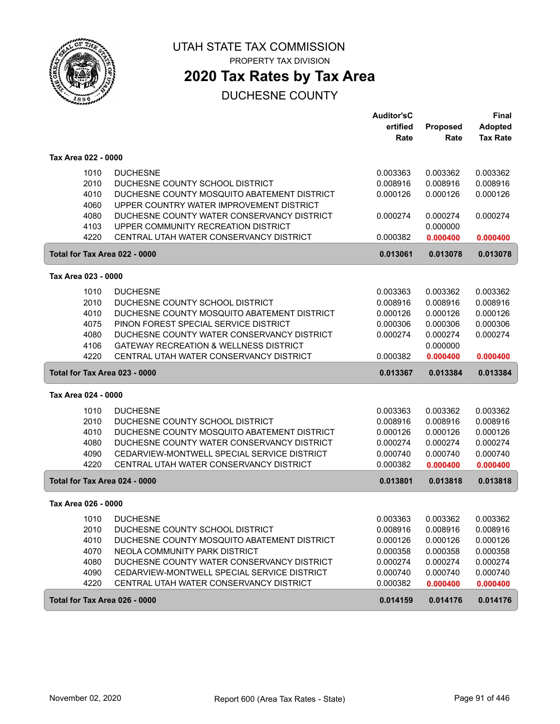

**2020 Tax Rates by Tax Area**

|                               |                                                   | <b>Auditor'sC</b> |          | <b>Final</b>    |
|-------------------------------|---------------------------------------------------|-------------------|----------|-----------------|
|                               |                                                   | ertified          | Proposed | <b>Adopted</b>  |
|                               |                                                   | Rate              | Rate     | <b>Tax Rate</b> |
| Tax Area 022 - 0000           |                                                   |                   |          |                 |
| 1010                          | <b>DUCHESNE</b>                                   | 0.003363          | 0.003362 | 0.003362        |
| 2010                          | DUCHESNE COUNTY SCHOOL DISTRICT                   | 0.008916          | 0.008916 | 0.008916        |
| 4010                          | DUCHESNE COUNTY MOSQUITO ABATEMENT DISTRICT       | 0.000126          | 0.000126 | 0.000126        |
| 4060                          | UPPER COUNTRY WATER IMPROVEMENT DISTRICT          |                   |          |                 |
| 4080                          | DUCHESNE COUNTY WATER CONSERVANCY DISTRICT        | 0.000274          | 0.000274 | 0.000274        |
| 4103                          | UPPER COMMUNITY RECREATION DISTRICT               |                   | 0.000000 |                 |
| 4220                          | CENTRAL UTAH WATER CONSERVANCY DISTRICT           | 0.000382          | 0.000400 | 0.000400        |
| Total for Tax Area 022 - 0000 |                                                   | 0.013061          | 0.013078 | 0.013078        |
| Tax Area 023 - 0000           |                                                   |                   |          |                 |
| 1010                          | <b>DUCHESNE</b>                                   | 0.003363          | 0.003362 | 0.003362        |
| 2010                          | DUCHESNE COUNTY SCHOOL DISTRICT                   | 0.008916          | 0.008916 | 0.008916        |
| 4010                          | DUCHESNE COUNTY MOSQUITO ABATEMENT DISTRICT       | 0.000126          | 0.000126 | 0.000126        |
| 4075                          | PINON FOREST SPECIAL SERVICE DISTRICT             | 0.000306          | 0.000306 | 0.000306        |
| 4080                          | DUCHESNE COUNTY WATER CONSERVANCY DISTRICT        | 0.000274          | 0.000274 | 0.000274        |
| 4106                          | <b>GATEWAY RECREATION &amp; WELLNESS DISTRICT</b> |                   | 0.000000 |                 |
| 4220                          | CENTRAL UTAH WATER CONSERVANCY DISTRICT           | 0.000382          | 0.000400 | 0.000400        |
| Total for Tax Area 023 - 0000 |                                                   | 0.013367          | 0.013384 | 0.013384        |
| Tax Area 024 - 0000           |                                                   |                   |          |                 |
| 1010                          | <b>DUCHESNE</b>                                   | 0.003363          | 0.003362 | 0.003362        |
| 2010                          | DUCHESNE COUNTY SCHOOL DISTRICT                   | 0.008916          | 0.008916 | 0.008916        |
| 4010                          | DUCHESNE COUNTY MOSQUITO ABATEMENT DISTRICT       | 0.000126          | 0.000126 | 0.000126        |
| 4080                          | DUCHESNE COUNTY WATER CONSERVANCY DISTRICT        | 0.000274          | 0.000274 | 0.000274        |
| 4090                          | CEDARVIEW-MONTWELL SPECIAL SERVICE DISTRICT       | 0.000740          | 0.000740 | 0.000740        |
| 4220                          | CENTRAL UTAH WATER CONSERVANCY DISTRICT           | 0.000382          | 0.000400 | 0.000400        |
| Total for Tax Area 024 - 0000 |                                                   | 0.013801          | 0.013818 | 0.013818        |
| Tax Area 026 - 0000           |                                                   |                   |          |                 |
| 1010                          | <b>DUCHESNE</b>                                   | 0.003363          | 0.003362 | 0.003362        |
| 2010                          | DUCHESNE COUNTY SCHOOL DISTRICT                   | 0.008916          | 0.008916 | 0.008916        |
| 4010                          | DUCHESNE COUNTY MOSQUITO ABATEMENT DISTRICT       | 0.000126          | 0.000126 | 0.000126        |
| 4070                          | NEOLA COMMUNITY PARK DISTRICT                     | 0.000358          | 0.000358 | 0.000358        |
| 4080                          | DUCHESNE COUNTY WATER CONSERVANCY DISTRICT        | 0.000274          | 0.000274 | 0.000274        |
| 4090                          | CEDARVIEW-MONTWELL SPECIAL SERVICE DISTRICT       | 0.000740          | 0.000740 | 0.000740        |
| 4220                          | CENTRAL UTAH WATER CONSERVANCY DISTRICT           | 0.000382          | 0.000400 | 0.000400        |
| Total for Tax Area 026 - 0000 |                                                   | 0.014159          | 0.014176 | 0.014176        |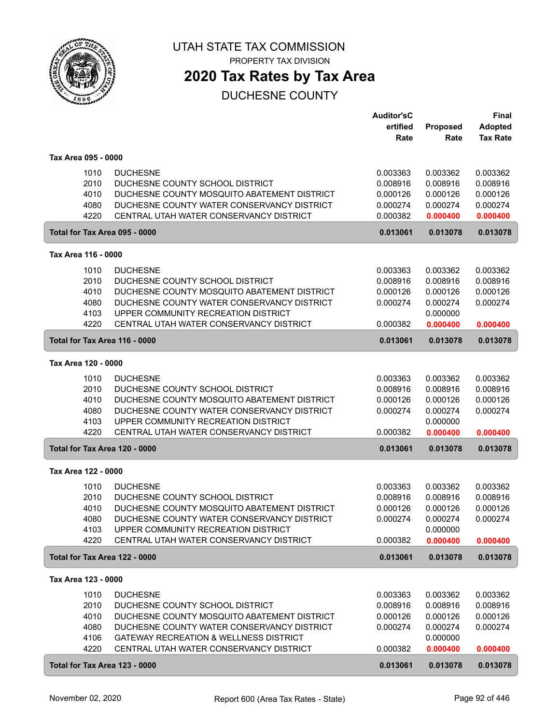

### **2020 Tax Rates by Tax Area**

|                     |                                                     | <b>Auditor'sC</b> |          | <b>Final</b>    |
|---------------------|-----------------------------------------------------|-------------------|----------|-----------------|
|                     |                                                     | ertified          | Proposed | <b>Adopted</b>  |
|                     |                                                     | Rate              | Rate     | <b>Tax Rate</b> |
|                     |                                                     |                   |          |                 |
| Tax Area 095 - 0000 |                                                     |                   |          |                 |
|                     | 1010<br><b>DUCHESNE</b>                             | 0.003363          | 0.003362 | 0.003362        |
|                     | 2010<br>DUCHESNE COUNTY SCHOOL DISTRICT             | 0.008916          | 0.008916 | 0.008916        |
|                     | 4010<br>DUCHESNE COUNTY MOSQUITO ABATEMENT DISTRICT | 0.000126          | 0.000126 | 0.000126        |
|                     | 4080<br>DUCHESNE COUNTY WATER CONSERVANCY DISTRICT  | 0.000274          | 0.000274 | 0.000274        |
|                     | 4220<br>CENTRAL UTAH WATER CONSERVANCY DISTRICT     | 0.000382          | 0.000400 | 0.000400        |
|                     | Total for Tax Area 095 - 0000                       | 0.013061          | 0.013078 | 0.013078        |
| Tax Area 116 - 0000 |                                                     |                   |          |                 |
|                     | <b>DUCHESNE</b><br>1010                             | 0.003363          | 0.003362 | 0.003362        |
|                     | 2010<br>DUCHESNE COUNTY SCHOOL DISTRICT             | 0.008916          | 0.008916 | 0.008916        |
|                     | 4010<br>DUCHESNE COUNTY MOSQUITO ABATEMENT DISTRICT | 0.000126          | 0.000126 | 0.000126        |
|                     | 4080<br>DUCHESNE COUNTY WATER CONSERVANCY DISTRICT  | 0.000274          | 0.000274 | 0.000274        |
|                     | 4103<br>UPPER COMMUNITY RECREATION DISTRICT         |                   | 0.000000 |                 |
|                     | 4220<br>CENTRAL UTAH WATER CONSERVANCY DISTRICT     | 0.000382          | 0.000400 | 0.000400        |
|                     | Total for Tax Area 116 - 0000                       | 0.013061          | 0.013078 | 0.013078        |
|                     |                                                     |                   |          |                 |
| Tax Area 120 - 0000 |                                                     |                   |          |                 |
|                     | 1010<br><b>DUCHESNE</b>                             | 0.003363          | 0.003362 | 0.003362        |
|                     | 2010<br>DUCHESNE COUNTY SCHOOL DISTRICT             | 0.008916          | 0.008916 | 0.008916        |
|                     | DUCHESNE COUNTY MOSQUITO ABATEMENT DISTRICT<br>4010 | 0.000126          | 0.000126 | 0.000126        |
|                     | 4080<br>DUCHESNE COUNTY WATER CONSERVANCY DISTRICT  | 0.000274          | 0.000274 | 0.000274        |
|                     | 4103<br>UPPER COMMUNITY RECREATION DISTRICT         |                   | 0.000000 |                 |
|                     | 4220<br>CENTRAL UTAH WATER CONSERVANCY DISTRICT     | 0.000382          | 0.000400 | 0.000400        |
|                     | Total for Tax Area 120 - 0000                       | 0.013061          | 0.013078 | 0.013078        |
| Tax Area 122 - 0000 |                                                     |                   |          |                 |
|                     | 1010<br><b>DUCHESNE</b>                             | 0.003363          | 0.003362 | 0.003362        |
|                     | 2010<br>DUCHESNE COUNTY SCHOOL DISTRICT             | 0.008916          | 0.008916 | 0.008916        |
|                     | 4010<br>DUCHESNE COUNTY MOSQUITO ABATEMENT DISTRICT | 0.000126          | 0.000126 | 0.000126        |
|                     | 4080<br>DUCHESNE COUNTY WATER CONSERVANCY DISTRICT  | 0.000274          | 0.000274 | 0.000274        |
|                     | 4103<br>UPPER COMMUNITY RECREATION DISTRICT         |                   | 0.000000 |                 |
|                     | 4220<br>CENTRAL UTAH WATER CONSERVANCY DISTRICT     | 0.000382          | 0.000400 | 0.000400        |
|                     | Total for Tax Area 122 - 0000                       | 0.013061          | 0.013078 | 0.013078        |
| Tax Area 123 - 0000 |                                                     |                   |          |                 |
|                     | 1010<br><b>DUCHESNE</b>                             | 0.003363          | 0.003362 | 0.003362        |
|                     | 2010<br>DUCHESNE COUNTY SCHOOL DISTRICT             | 0.008916          | 0.008916 | 0.008916        |
|                     | 4010<br>DUCHESNE COUNTY MOSQUITO ABATEMENT DISTRICT | 0.000126          | 0.000126 | 0.000126        |
|                     | 4080<br>DUCHESNE COUNTY WATER CONSERVANCY DISTRICT  | 0.000274          | 0.000274 | 0.000274        |
|                     | 4106<br>GATEWAY RECREATION & WELLNESS DISTRICT      |                   | 0.000000 |                 |
|                     | 4220<br>CENTRAL UTAH WATER CONSERVANCY DISTRICT     | 0.000382          | 0.000400 | 0.000400        |
|                     | Total for Tax Area 123 - 0000                       | 0.013061          | 0.013078 | 0.013078        |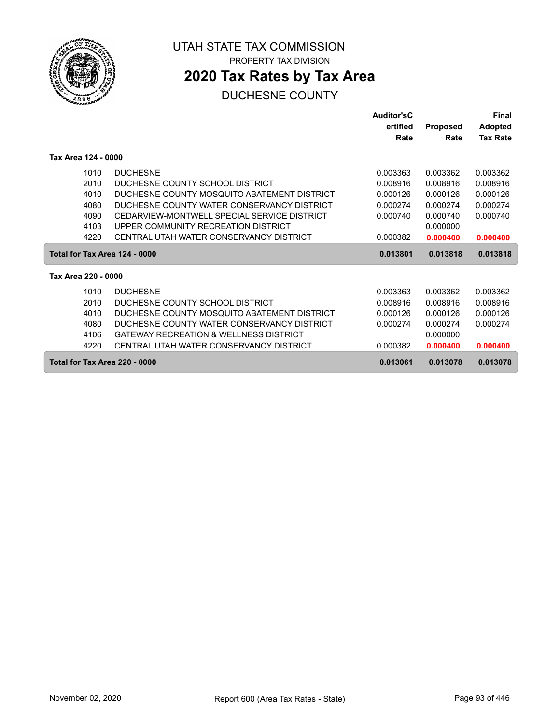

ſ

UTAH STATE TAX COMMISSION PROPERTY TAX DIVISION

# **2020 Tax Rates by Tax Area**

|                               |                                             | Auditor'sC |                 | Final           |
|-------------------------------|---------------------------------------------|------------|-----------------|-----------------|
|                               |                                             | ertified   | <b>Proposed</b> | <b>Adopted</b>  |
|                               |                                             | Rate       | Rate            | <b>Tax Rate</b> |
| Tax Area 124 - 0000           |                                             |            |                 |                 |
| 1010                          | <b>DUCHESNE</b>                             | 0.003363   | 0.003362        | 0.003362        |
| 2010                          | DUCHESNE COUNTY SCHOOL DISTRICT             | 0.008916   | 0.008916        | 0.008916        |
| 4010                          | DUCHESNE COUNTY MOSQUITO ABATEMENT DISTRICT | 0.000126   | 0.000126        | 0.000126        |
| 4080                          | DUCHESNE COUNTY WATER CONSERVANCY DISTRICT  | 0.000274   | 0.000274        | 0.000274        |
| 4090                          | CEDARVIEW-MONTWELL SPECIAL SERVICE DISTRICT | 0.000740   | 0.000740        | 0.000740        |
| 4103                          | UPPER COMMUNITY RECREATION DISTRICT         |            | 0.000000        |                 |
| 4220                          | CENTRAL UTAH WATER CONSERVANCY DISTRICT     | 0.000382   | 0.000400        | 0.000400        |
| Total for Tax Area 124 - 0000 |                                             | 0.013801   | 0.013818        | 0.013818        |
| Tax Area 220 - 0000           |                                             |            |                 |                 |
| 1010                          | <b>DUCHESNE</b>                             | 0.003363   | 0.003362        | 0.003362        |
| 2010                          | DUCHESNE COUNTY SCHOOL DISTRICT             | 0.008916   | 0.008916        | 0.008916        |
| 4010                          | DUCHESNE COUNTY MOSQUITO ABATEMENT DISTRICT | 0.000126   | 0.000126        | 0.000126        |
| 4080                          | DUCHESNE COUNTY WATER CONSERVANCY DISTRICT  | 0.000274   | 0.000274        | 0.000274        |
| 4106                          | GATEWAY RECREATION & WELLNESS DISTRICT      |            | 0.000000        |                 |
| 4220                          | CENTRAL UTAH WATER CONSERVANCY DISTRICT     | 0.000382   | 0.000400        | 0.000400        |
| Total for Tax Area 220 - 0000 |                                             | 0.013061   | 0.013078        | 0.013078        |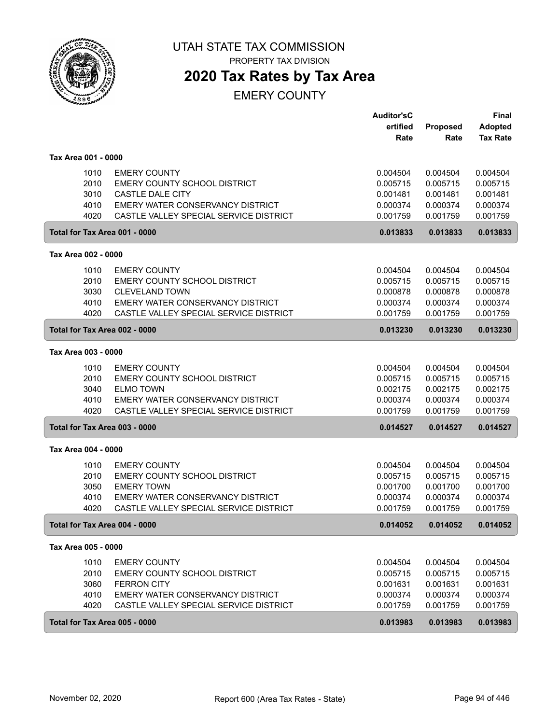

PROPERTY TAX DIVISION

# **2020 Tax Rates by Tax Area**

|                     |                                         | <b>Auditor'sC</b><br>ertified | <b>Proposed</b> | <b>Final</b><br><b>Adopted</b> |
|---------------------|-----------------------------------------|-------------------------------|-----------------|--------------------------------|
|                     |                                         | Rate                          | Rate            | <b>Tax Rate</b>                |
| Tax Area 001 - 0000 |                                         |                               |                 |                                |
| 1010                | <b>EMERY COUNTY</b>                     | 0.004504                      | 0.004504        | 0.004504                       |
| 2010                | EMERY COUNTY SCHOOL DISTRICT            | 0.005715                      | 0.005715        | 0.005715                       |
| 3010                | CASTLE DALE CITY                        | 0.001481                      | 0.001481        | 0.001481                       |
| 4010                | EMERY WATER CONSERVANCY DISTRICT        | 0.000374                      | 0.000374        | 0.000374                       |
| 4020                | CASTLE VALLEY SPECIAL SERVICE DISTRICT  | 0.001759                      | 0.001759        | 0.001759                       |
|                     | Total for Tax Area 001 - 0000           | 0.013833                      | 0.013833        | 0.013833                       |
| Tax Area 002 - 0000 |                                         |                               |                 |                                |
| 1010                | <b>EMERY COUNTY</b>                     | 0.004504                      | 0.004504        | 0.004504                       |
| 2010                | EMERY COUNTY SCHOOL DISTRICT            | 0.005715                      | 0.005715        | 0.005715                       |
| 3030                | <b>CLEVELAND TOWN</b>                   | 0.000878                      | 0.000878        | 0.000878                       |
| 4010                | EMERY WATER CONSERVANCY DISTRICT        | 0.000374                      | 0.000374        | 0.000374                       |
| 4020                | CASTLE VALLEY SPECIAL SERVICE DISTRICT  | 0.001759                      | 0.001759        | 0.001759                       |
|                     | Total for Tax Area 002 - 0000           | 0.013230                      | 0.013230        | 0.013230                       |
| Tax Area 003 - 0000 |                                         |                               |                 |                                |
| 1010                | <b>EMERY COUNTY</b>                     | 0.004504                      | 0.004504        | 0.004504                       |
| 2010                | EMERY COUNTY SCHOOL DISTRICT            | 0.005715                      | 0.005715        | 0.005715                       |
| 3040                | <b>ELMO TOWN</b>                        | 0.002175                      | 0.002175        | 0.002175                       |
| 4010                | EMERY WATER CONSERVANCY DISTRICT        | 0.000374                      | 0.000374        | 0.000374                       |
| 4020                | CASTLE VALLEY SPECIAL SERVICE DISTRICT  | 0.001759                      | 0.001759        | 0.001759                       |
|                     | Total for Tax Area 003 - 0000           | 0.014527                      | 0.014527        | 0.014527                       |
| Tax Area 004 - 0000 |                                         |                               |                 |                                |
| 1010                | <b>EMERY COUNTY</b>                     | 0.004504                      | 0.004504        | 0.004504                       |
| 2010                | EMERY COUNTY SCHOOL DISTRICT            | 0.005715                      | 0.005715        | 0.005715                       |
| 3050                | <b>EMERY TOWN</b>                       | 0.001700                      | 0.001700        | 0.001700                       |
| 4010                | <b>EMERY WATER CONSERVANCY DISTRICT</b> | 0.000374                      | 0.000374        | 0.000374                       |
| 4020                | CASTLE VALLEY SPECIAL SERVICE DISTRICT  | 0.001759                      | 0.001759        | 0.001759                       |
|                     | Total for Tax Area 004 - 0000           | 0.014052                      | 0.014052        | 0.014052                       |
| Tax Area 005 - 0000 |                                         |                               |                 |                                |
| 1010                | <b>EMERY COUNTY</b>                     | 0.004504                      | 0.004504        | 0.004504                       |
| 2010                | EMERY COUNTY SCHOOL DISTRICT            | 0.005715                      | 0.005715        | 0.005715                       |
| 3060                | <b>FERRON CITY</b>                      | 0.001631                      | 0.001631        | 0.001631                       |
| 4010                | EMERY WATER CONSERVANCY DISTRICT        | 0.000374                      | 0.000374        | 0.000374                       |
| 4020                | CASTLE VALLEY SPECIAL SERVICE DISTRICT  | 0.001759                      | 0.001759        | 0.001759                       |
|                     | Total for Tax Area 005 - 0000           | 0.013983                      | 0.013983        | 0.013983                       |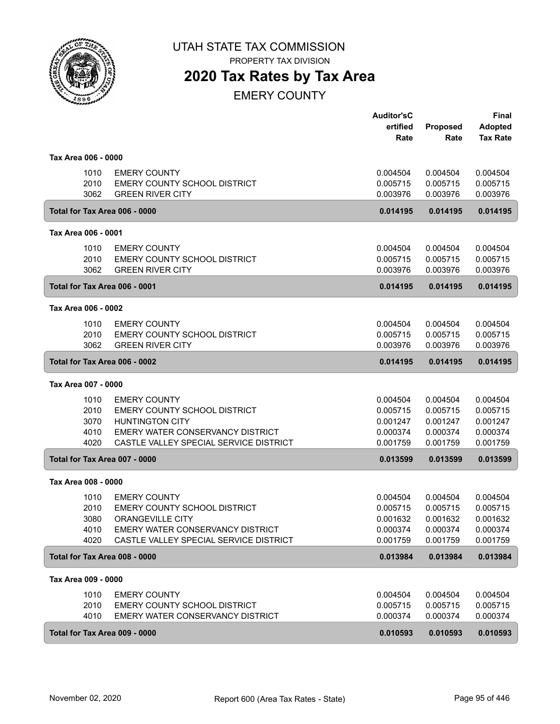

PROPERTY TAX DIVISION

# **2020 Tax Rates by Tax Area**

|                               |      |                                        | <b>Auditor'sC</b> |          | <b>Final</b>    |
|-------------------------------|------|----------------------------------------|-------------------|----------|-----------------|
|                               |      |                                        | ertified          | Proposed | <b>Adopted</b>  |
|                               |      |                                        | Rate              | Rate     | <b>Tax Rate</b> |
| Tax Area 006 - 0000           |      |                                        |                   |          |                 |
|                               | 1010 | <b>EMERY COUNTY</b>                    | 0.004504          | 0.004504 | 0.004504        |
|                               | 2010 | EMERY COUNTY SCHOOL DISTRICT           | 0.005715          | 0.005715 | 0.005715        |
|                               | 3062 | <b>GREEN RIVER CITY</b>                | 0.003976          | 0.003976 | 0.003976        |
|                               |      | Total for Tax Area 006 - 0000          | 0.014195          | 0.014195 | 0.014195        |
| Tax Area 006 - 0001           |      |                                        |                   |          |                 |
|                               | 1010 | <b>EMERY COUNTY</b>                    | 0.004504          | 0.004504 | 0.004504        |
|                               | 2010 | EMERY COUNTY SCHOOL DISTRICT           | 0.005715          | 0.005715 | 0.005715        |
|                               | 3062 | <b>GREEN RIVER CITY</b>                | 0.003976          | 0.003976 | 0.003976        |
|                               |      | Total for Tax Area 006 - 0001          | 0.014195          | 0.014195 | 0.014195        |
| Tax Area 006 - 0002           |      |                                        |                   |          |                 |
|                               | 1010 | <b>EMERY COUNTY</b>                    | 0.004504          | 0.004504 | 0.004504        |
|                               | 2010 | <b>EMERY COUNTY SCHOOL DISTRICT</b>    | 0.005715          | 0.005715 | 0.005715        |
|                               | 3062 | <b>GREEN RIVER CITY</b>                | 0.003976          | 0.003976 | 0.003976        |
| Total for Tax Area 006 - 0002 |      |                                        | 0.014195          | 0.014195 | 0.014195        |
| Tax Area 007 - 0000           |      |                                        |                   |          |                 |
|                               | 1010 | <b>EMERY COUNTY</b>                    | 0.004504          | 0.004504 | 0.004504        |
|                               | 2010 | <b>EMERY COUNTY SCHOOL DISTRICT</b>    | 0.005715          | 0.005715 | 0.005715        |
|                               | 3070 | <b>HUNTINGTON CITY</b>                 | 0.001247          | 0.001247 | 0.001247        |
|                               | 4010 | EMERY WATER CONSERVANCY DISTRICT       | 0.000374          | 0.000374 | 0.000374        |
|                               | 4020 | CASTLE VALLEY SPECIAL SERVICE DISTRICT | 0.001759          | 0.001759 | 0.001759        |
|                               |      | Total for Tax Area 007 - 0000          | 0.013599          | 0.013599 | 0.013599        |
| Tax Area 008 - 0000           |      |                                        |                   |          |                 |
|                               | 1010 | <b>EMERY COUNTY</b>                    | 0.004504          | 0.004504 | 0.004504        |
|                               | 2010 | EMERY COUNTY SCHOOL DISTRICT           | 0.005715          | 0.005715 | 0.005715        |
|                               | 3080 | <b>ORANGEVILLE CITY</b>                | 0.001632          | 0.001632 | 0.001632        |
|                               | 4010 | EMERY WATER CONSERVANCY DISTRICT       | 0.000374          | 0.000374 | 0.000374        |
|                               | 4020 | CASTLE VALLEY SPECIAL SERVICE DISTRICT | 0.001759          | 0.001759 | 0.001759        |
|                               |      | Total for Tax Area 008 - 0000          | 0.013984          | 0.013984 | 0.013984        |
| Tax Area 009 - 0000           |      |                                        |                   |          |                 |
|                               | 1010 | <b>EMERY COUNTY</b>                    | 0.004504          | 0.004504 | 0.004504        |
|                               | 2010 | <b>EMERY COUNTY SCHOOL DISTRICT</b>    | 0.005715          | 0.005715 | 0.005715        |
|                               | 4010 | EMERY WATER CONSERVANCY DISTRICT       | 0.000374          | 0.000374 | 0.000374        |
|                               |      | Total for Tax Area 009 - 0000          | 0.010593          | 0.010593 | 0.010593        |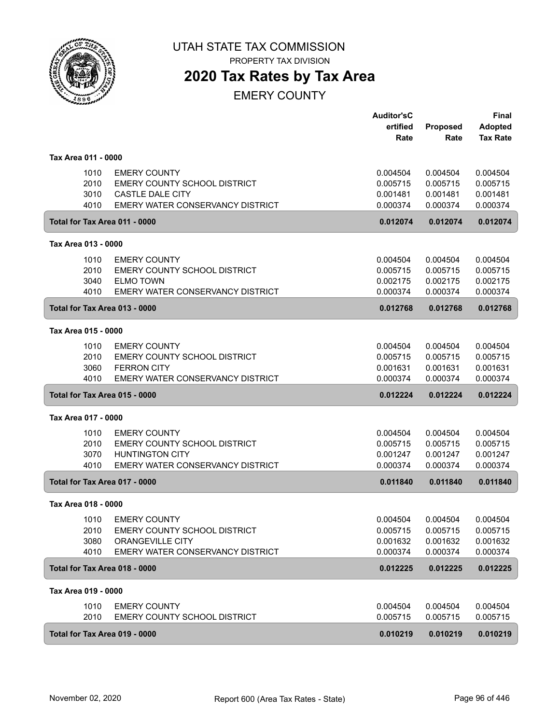

PROPERTY TAX DIVISION

# **2020 Tax Rates by Tax Area**

|                               |                                         | <b>Auditor'sC</b>    |                      | Final                |
|-------------------------------|-----------------------------------------|----------------------|----------------------|----------------------|
|                               |                                         | ertified             | Proposed             | <b>Adopted</b>       |
|                               |                                         | Rate                 | Rate                 | <b>Tax Rate</b>      |
| Tax Area 011 - 0000           |                                         |                      |                      |                      |
| 1010                          | <b>EMERY COUNTY</b>                     | 0.004504             | 0.004504             | 0.004504             |
| 2010                          | EMERY COUNTY SCHOOL DISTRICT            | 0.005715             | 0.005715             | 0.005715             |
| 3010                          | CASTLE DALE CITY                        | 0.001481             | 0.001481             | 0.001481             |
| 4010                          | EMERY WATER CONSERVANCY DISTRICT        | 0.000374             | 0.000374             | 0.000374             |
| Total for Tax Area 011 - 0000 |                                         | 0.012074             | 0.012074             | 0.012074             |
| Tax Area 013 - 0000           |                                         |                      |                      |                      |
| 1010                          | <b>EMERY COUNTY</b>                     | 0.004504             | 0.004504             | 0.004504             |
| 2010                          | EMERY COUNTY SCHOOL DISTRICT            | 0.005715             | 0.005715             | 0.005715             |
| 3040                          | <b>ELMO TOWN</b>                        | 0.002175             | 0.002175             | 0.002175             |
| 4010                          | <b>EMERY WATER CONSERVANCY DISTRICT</b> | 0.000374             | 0.000374             | 0.000374             |
| Total for Tax Area 013 - 0000 |                                         | 0.012768             | 0.012768             | 0.012768             |
| Tax Area 015 - 0000           |                                         |                      |                      |                      |
| 1010                          | <b>EMERY COUNTY</b>                     | 0.004504             | 0.004504             | 0.004504             |
| 2010                          | EMERY COUNTY SCHOOL DISTRICT            | 0.005715             | 0.005715             | 0.005715             |
| 3060                          | <b>FERRON CITY</b>                      | 0.001631             | 0.001631             | 0.001631             |
| 4010                          | EMERY WATER CONSERVANCY DISTRICT        | 0.000374             | 0.000374             | 0.000374             |
| Total for Tax Area 015 - 0000 |                                         | 0.012224             | 0.012224             | 0.012224             |
| Tax Area 017 - 0000           |                                         |                      |                      |                      |
|                               | <b>EMERY COUNTY</b>                     |                      |                      |                      |
| 1010<br>2010                  | EMERY COUNTY SCHOOL DISTRICT            | 0.004504<br>0.005715 | 0.004504<br>0.005715 | 0.004504<br>0.005715 |
| 3070                          | <b>HUNTINGTON CITY</b>                  | 0.001247             | 0.001247             | 0.001247             |
| 4010                          | EMERY WATER CONSERVANCY DISTRICT        | 0.000374             | 0.000374             | 0.000374             |
| Total for Tax Area 017 - 0000 |                                         | 0.011840             | 0.011840             | 0.011840             |
| Tax Area 018 - 0000           |                                         |                      |                      |                      |
|                               |                                         |                      |                      |                      |
| 1010                          | <b>EMERY COUNTY</b>                     | 0.004504             | 0.004504             | 0.004504             |
| 2010                          | EMERY COUNTY SCHOOL DISTRICT            | 0.005715             | 0.005715             | 0.005715             |
| 3080                          | ORANGEVILLE CITY                        | 0.001632             | 0.001632             | 0.001632             |
| 4010                          | EMERY WATER CONSERVANCY DISTRICT        | 0.000374             | 0.000374             | 0.000374             |
| Total for Tax Area 018 - 0000 |                                         | 0.012225             | 0.012225             | 0.012225             |
| Tax Area 019 - 0000           |                                         |                      |                      |                      |
| 1010                          | <b>EMERY COUNTY</b>                     | 0.004504             | 0.004504             | 0.004504             |
| 2010                          | EMERY COUNTY SCHOOL DISTRICT            | 0.005715             | 0.005715             | 0.005715             |
| Total for Tax Area 019 - 0000 |                                         | 0.010219             | 0.010219             | 0.010219             |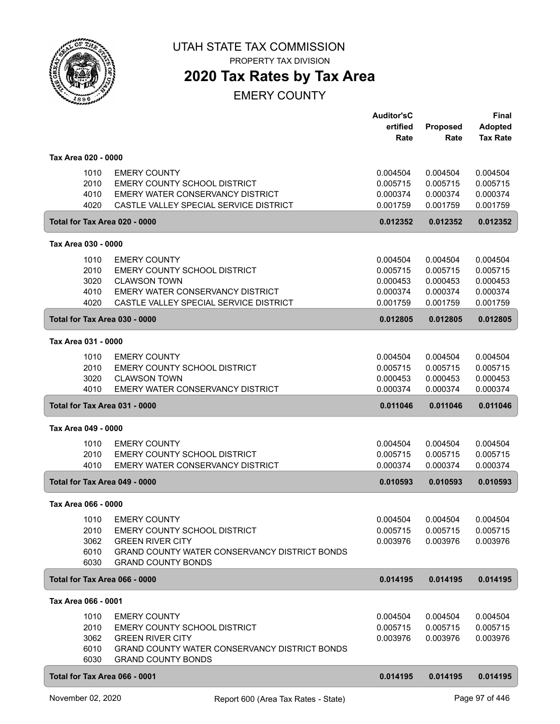

PROPERTY TAX DIVISION

# **2020 Tax Rates by Tax Area**

|                               |                                                                                   | <b>Auditor'sC</b><br>ertified | <b>Proposed</b>      | Final<br><b>Adopted</b> |
|-------------------------------|-----------------------------------------------------------------------------------|-------------------------------|----------------------|-------------------------|
|                               |                                                                                   | Rate                          | Rate                 | <b>Tax Rate</b>         |
| Tax Area 020 - 0000           |                                                                                   |                               |                      |                         |
| 1010                          | <b>EMERY COUNTY</b>                                                               | 0.004504                      | 0.004504             | 0.004504                |
| 2010                          | EMERY COUNTY SCHOOL DISTRICT                                                      | 0.005715                      | 0.005715             | 0.005715                |
| 4010                          | EMERY WATER CONSERVANCY DISTRICT                                                  | 0.000374                      | 0.000374             | 0.000374                |
| 4020                          | CASTLE VALLEY SPECIAL SERVICE DISTRICT                                            | 0.001759                      | 0.001759             | 0.001759                |
| Total for Tax Area 020 - 0000 |                                                                                   | 0.012352                      | 0.012352             | 0.012352                |
| Tax Area 030 - 0000           |                                                                                   |                               |                      |                         |
| 1010                          | <b>EMERY COUNTY</b>                                                               | 0.004504                      | 0.004504             | 0.004504                |
| 2010                          | EMERY COUNTY SCHOOL DISTRICT                                                      | 0.005715                      | 0.005715             | 0.005715                |
| 3020<br>4010                  | <b>CLAWSON TOWN</b><br>EMERY WATER CONSERVANCY DISTRICT                           | 0.000453<br>0.000374          | 0.000453<br>0.000374 | 0.000453<br>0.000374    |
| 4020                          | CASTLE VALLEY SPECIAL SERVICE DISTRICT                                            | 0.001759                      | 0.001759             | 0.001759                |
| Total for Tax Area 030 - 0000 |                                                                                   | 0.012805                      | 0.012805             | 0.012805                |
| Tax Area 031 - 0000           |                                                                                   |                               |                      |                         |
|                               |                                                                                   |                               |                      |                         |
| 1010                          | <b>EMERY COUNTY</b>                                                               | 0.004504                      | 0.004504             | 0.004504                |
| 2010<br>3020                  | EMERY COUNTY SCHOOL DISTRICT<br><b>CLAWSON TOWN</b>                               | 0.005715<br>0.000453          | 0.005715<br>0.000453 | 0.005715<br>0.000453    |
| 4010                          | EMERY WATER CONSERVANCY DISTRICT                                                  | 0.000374                      | 0.000374             | 0.000374                |
| Total for Tax Area 031 - 0000 |                                                                                   | 0.011046                      | 0.011046             | 0.011046                |
| Tax Area 049 - 0000           |                                                                                   |                               |                      |                         |
| 1010                          | <b>EMERY COUNTY</b>                                                               | 0.004504                      | 0.004504             | 0.004504                |
| 2010                          | EMERY COUNTY SCHOOL DISTRICT                                                      | 0.005715                      | 0.005715             | 0.005715                |
| 4010                          | EMERY WATER CONSERVANCY DISTRICT                                                  | 0.000374                      | 0.000374             | 0.000374                |
| Total for Tax Area 049 - 0000 |                                                                                   | 0.010593                      | 0.010593             | 0.010593                |
| Tax Area 066 - 0000           |                                                                                   |                               |                      |                         |
|                               | 1010 EMERY COUNTY                                                                 | 0.004504                      | 0.004504             | 0.004504                |
| 2010                          | <b>EMERY COUNTY SCHOOL DISTRICT</b>                                               | 0.005715                      | 0.005715             | 0.005715                |
| 3062                          | <b>GREEN RIVER CITY</b>                                                           | 0.003976                      | 0.003976             | 0.003976                |
| 6010<br>6030                  | <b>GRAND COUNTY WATER CONSERVANCY DISTRICT BONDS</b><br><b>GRAND COUNTY BONDS</b> |                               |                      |                         |
| Total for Tax Area 066 - 0000 |                                                                                   | 0.014195                      | 0.014195             | 0.014195                |
| Tax Area 066 - 0001           |                                                                                   |                               |                      |                         |
| 1010                          | <b>EMERY COUNTY</b>                                                               | 0.004504                      | 0.004504             | 0.004504                |
| 2010                          | EMERY COUNTY SCHOOL DISTRICT                                                      | 0.005715                      | 0.005715             | 0.005715                |
| 3062                          | <b>GREEN RIVER CITY</b>                                                           | 0.003976                      | 0.003976             | 0.003976                |
| 6010                          | <b>GRAND COUNTY WATER CONSERVANCY DISTRICT BONDS</b>                              |                               |                      |                         |
| 6030                          | <b>GRAND COUNTY BONDS</b>                                                         |                               |                      |                         |
| Total for Tax Area 066 - 0001 |                                                                                   | 0.014195                      | 0.014195             | 0.014195                |
|                               |                                                                                   |                               |                      |                         |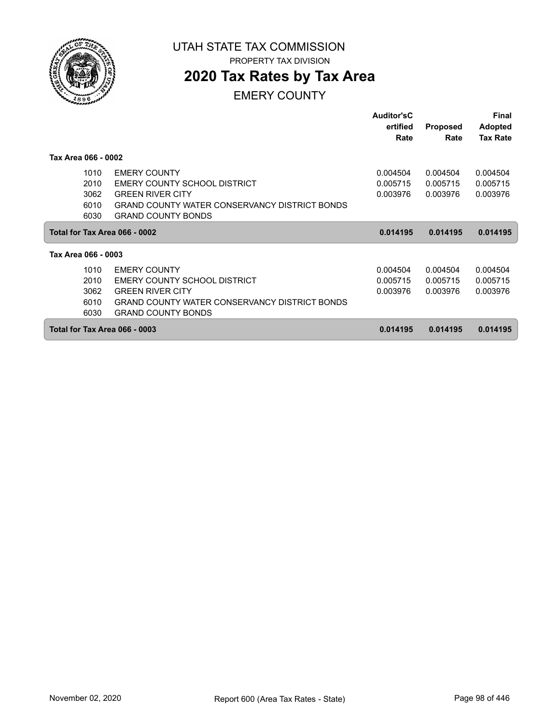

# **2020 Tax Rates by Tax Area**

|                               |                                                      | <b>Auditor'sC</b><br>ertified<br>Rate | <b>Proposed</b><br>Rate | <b>Final</b><br><b>Adopted</b><br><b>Tax Rate</b> |
|-------------------------------|------------------------------------------------------|---------------------------------------|-------------------------|---------------------------------------------------|
| Tax Area 066 - 0002           |                                                      |                                       |                         |                                                   |
| 1010                          | <b>EMERY COUNTY</b>                                  | 0.004504                              | 0.004504                | 0.004504                                          |
| 2010                          | EMERY COUNTY SCHOOL DISTRICT                         | 0.005715                              | 0.005715                | 0.005715                                          |
| 3062                          | <b>GREEN RIVER CITY</b>                              | 0.003976                              | 0.003976                | 0.003976                                          |
| 6010                          | <b>GRAND COUNTY WATER CONSERVANCY DISTRICT BONDS</b> |                                       |                         |                                                   |
| 6030                          | <b>GRAND COUNTY BONDS</b>                            |                                       |                         |                                                   |
| Total for Tax Area 066 - 0002 |                                                      | 0.014195                              | 0.014195                | 0.014195                                          |
| Tax Area 066 - 0003           |                                                      |                                       |                         |                                                   |
| 1010                          | <b>EMERY COUNTY</b>                                  | 0.004504                              | 0.004504                | 0.004504                                          |
| 2010                          | EMERY COUNTY SCHOOL DISTRICT                         | 0.005715                              | 0.005715                | 0.005715                                          |
| 3062                          | <b>GREEN RIVER CITY</b>                              | 0.003976                              | 0.003976                | 0.003976                                          |
| 6010                          | <b>GRAND COUNTY WATER CONSERVANCY DISTRICT BONDS</b> |                                       |                         |                                                   |
| 6030                          | <b>GRAND COUNTY BONDS</b>                            |                                       |                         |                                                   |
| Total for Tax Area 066 - 0003 |                                                      | 0.014195                              | 0.014195                | 0.014195                                          |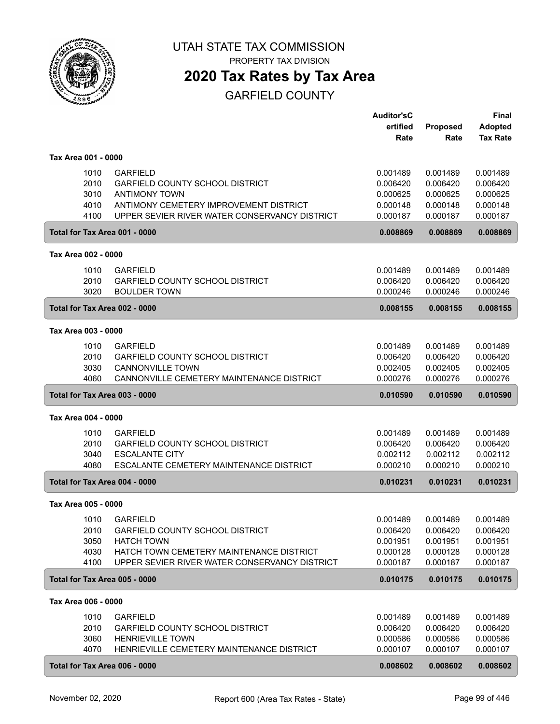

**2020 Tax Rates by Tax Area**

|                               |                                                           | <b>Auditor'sC</b> |                 | <b>Final</b>         |
|-------------------------------|-----------------------------------------------------------|-------------------|-----------------|----------------------|
|                               |                                                           | ertified          | <b>Proposed</b> | <b>Adopted</b>       |
|                               |                                                           | Rate              | Rate            | <b>Tax Rate</b>      |
|                               |                                                           |                   |                 |                      |
| Tax Area 001 - 0000           |                                                           |                   |                 |                      |
| 1010                          | <b>GARFIELD</b>                                           | 0.001489          | 0.001489        | 0.001489             |
| 2010                          | <b>GARFIELD COUNTY SCHOOL DISTRICT</b>                    | 0.006420          | 0.006420        | 0.006420             |
| 3010                          | <b>ANTIMONY TOWN</b>                                      | 0.000625          | 0.000625        | 0.000625             |
| 4010                          | ANTIMONY CEMETERY IMPROVEMENT DISTRICT                    | 0.000148          | 0.000148        | 0.000148             |
| 4100                          | UPPER SEVIER RIVER WATER CONSERVANCY DISTRICT             | 0.000187          | 0.000187        | 0.000187             |
| Total for Tax Area 001 - 0000 |                                                           | 0.008869          | 0.008869        | 0.008869             |
| Tax Area 002 - 0000           |                                                           |                   |                 |                      |
| 1010                          | <b>GARFIELD</b>                                           | 0.001489          | 0.001489        | 0.001489             |
| 2010                          | <b>GARFIELD COUNTY SCHOOL DISTRICT</b>                    | 0.006420          | 0.006420        | 0.006420             |
| 3020                          | <b>BOULDER TOWN</b>                                       | 0.000246          | 0.000246        | 0.000246             |
|                               |                                                           |                   |                 |                      |
| Total for Tax Area 002 - 0000 |                                                           | 0.008155          | 0.008155        | 0.008155             |
| Tax Area 003 - 0000           |                                                           |                   |                 |                      |
| 1010                          | <b>GARFIELD</b>                                           | 0.001489          | 0.001489        | 0.001489             |
| 2010                          | GARFIELD COUNTY SCHOOL DISTRICT                           | 0.006420          | 0.006420        | 0.006420             |
| 3030                          | <b>CANNONVILLE TOWN</b>                                   | 0.002405          | 0.002405        | 0.002405             |
| 4060                          | CANNONVILLE CEMETERY MAINTENANCE DISTRICT                 | 0.000276          | 0.000276        | 0.000276             |
| Total for Tax Area 003 - 0000 |                                                           | 0.010590          | 0.010590        | 0.010590             |
|                               |                                                           |                   |                 |                      |
| Tax Area 004 - 0000           |                                                           |                   |                 |                      |
| 1010                          | <b>GARFIELD</b>                                           | 0.001489          | 0.001489        | 0.001489             |
| 2010                          | <b>GARFIELD COUNTY SCHOOL DISTRICT</b>                    | 0.006420          | 0.006420        | 0.006420             |
| 3040                          | <b>ESCALANTE CITY</b>                                     | 0.002112          | 0.002112        | 0.002112             |
| 4080                          | ESCALANTE CEMETERY MAINTENANCE DISTRICT                   | 0.000210          | 0.000210        | 0.000210             |
| Total for Tax Area 004 - 0000 |                                                           | 0.010231          | 0.010231        | 0.010231             |
| Tax Area 005 - 0000           |                                                           |                   |                 |                      |
| 1010                          |                                                           | 0.001489          | 0.001489        |                      |
| 2010                          | <b>GARFIELD</b><br><b>GARFIELD COUNTY SCHOOL DISTRICT</b> | 0.006420          | 0.006420        | 0.001489<br>0.006420 |
| 3050                          | <b>HATCH TOWN</b>                                         | 0.001951          | 0.001951        | 0.001951             |
| 4030                          | HATCH TOWN CEMETERY MAINTENANCE DISTRICT                  | 0.000128          | 0.000128        | 0.000128             |
| 4100                          | UPPER SEVIER RIVER WATER CONSERVANCY DISTRICT             | 0.000187          | 0.000187        | 0.000187             |
|                               |                                                           |                   |                 |                      |
| Total for Tax Area 005 - 0000 |                                                           | 0.010175          | 0.010175        | 0.010175             |
| Tax Area 006 - 0000           |                                                           |                   |                 |                      |
| 1010                          | <b>GARFIELD</b>                                           | 0.001489          | 0.001489        | 0.001489             |
| 2010                          | <b>GARFIELD COUNTY SCHOOL DISTRICT</b>                    | 0.006420          | 0.006420        | 0.006420             |
| 3060                          | <b>HENRIEVILLE TOWN</b>                                   | 0.000586          | 0.000586        | 0.000586             |
| 4070                          | HENRIEVILLE CEMETERY MAINTENANCE DISTRICT                 | 0.000107          | 0.000107        | 0.000107             |
| Total for Tax Area 006 - 0000 |                                                           | 0.008602          | 0.008602        | 0.008602             |
|                               |                                                           |                   |                 |                      |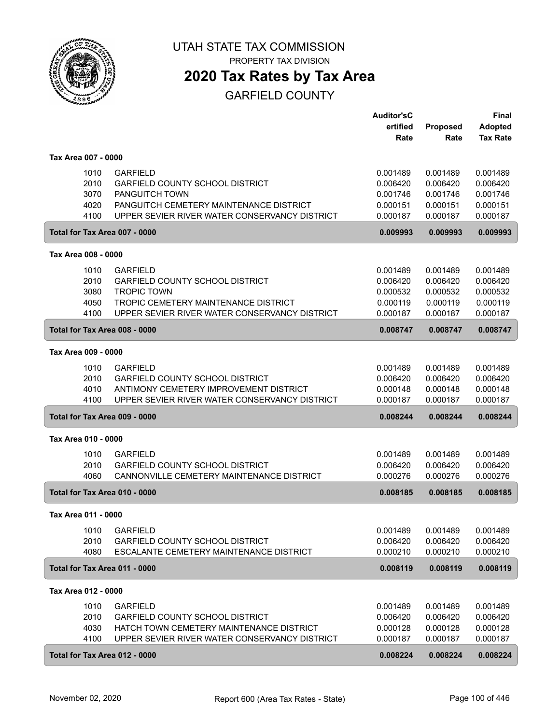

# **2020 Tax Rates by Tax Area**

|                     |              |                                                                                       | <b>Auditor'sC</b>    |                 | <b>Final</b>    |
|---------------------|--------------|---------------------------------------------------------------------------------------|----------------------|-----------------|-----------------|
|                     |              |                                                                                       | ertified             | <b>Proposed</b> | <b>Adopted</b>  |
|                     |              |                                                                                       | Rate                 | Rate            | <b>Tax Rate</b> |
| Tax Area 007 - 0000 |              |                                                                                       |                      |                 |                 |
|                     | 1010         | <b>GARFIELD</b>                                                                       | 0.001489             | 0.001489        | 0.001489        |
|                     | 2010         | <b>GARFIELD COUNTY SCHOOL DISTRICT</b>                                                | 0.006420             | 0.006420        | 0.006420        |
|                     | 3070         | <b>PANGUITCH TOWN</b>                                                                 | 0.001746             | 0.001746        | 0.001746        |
|                     | 4020         | PANGUITCH CEMETERY MAINTENANCE DISTRICT                                               | 0.000151             | 0.000151        | 0.000151        |
|                     | 4100         | UPPER SEVIER RIVER WATER CONSERVANCY DISTRICT                                         | 0.000187             | 0.000187        | 0.000187        |
|                     |              | Total for Tax Area 007 - 0000                                                         | 0.009993             | 0.009993        | 0.009993        |
| Tax Area 008 - 0000 |              |                                                                                       |                      |                 |                 |
|                     | 1010         | <b>GARFIELD</b>                                                                       | 0.001489             | 0.001489        | 0.001489        |
|                     | 2010         |                                                                                       |                      | 0.006420        | 0.006420        |
|                     |              | <b>GARFIELD COUNTY SCHOOL DISTRICT</b><br><b>TROPIC TOWN</b>                          | 0.006420<br>0.000532 | 0.000532        |                 |
|                     | 3080         |                                                                                       |                      |                 | 0.000532        |
|                     | 4050<br>4100 | TROPIC CEMETERY MAINTENANCE DISTRICT<br>UPPER SEVIER RIVER WATER CONSERVANCY DISTRICT | 0.000119             | 0.000119        | 0.000119        |
|                     |              |                                                                                       | 0.000187             | 0.000187        | 0.000187        |
|                     |              | Total for Tax Area 008 - 0000                                                         | 0.008747             | 0.008747        | 0.008747        |
| Tax Area 009 - 0000 |              |                                                                                       |                      |                 |                 |
|                     | 1010         | <b>GARFIELD</b>                                                                       | 0.001489             | 0.001489        | 0.001489        |
|                     | 2010         | <b>GARFIELD COUNTY SCHOOL DISTRICT</b>                                                | 0.006420             | 0.006420        | 0.006420        |
|                     | 4010         | ANTIMONY CEMETERY IMPROVEMENT DISTRICT                                                | 0.000148             | 0.000148        | 0.000148        |
|                     | 4100         | UPPER SEVIER RIVER WATER CONSERVANCY DISTRICT                                         | 0.000187             | 0.000187        | 0.000187        |
|                     |              | Total for Tax Area 009 - 0000                                                         | 0.008244             | 0.008244        | 0.008244        |
| Tax Area 010 - 0000 |              |                                                                                       |                      |                 |                 |
|                     | 1010         | <b>GARFIELD</b>                                                                       | 0.001489             | 0.001489        | 0.001489        |
|                     | 2010         | <b>GARFIELD COUNTY SCHOOL DISTRICT</b>                                                | 0.006420             | 0.006420        | 0.006420        |
|                     | 4060         | CANNONVILLE CEMETERY MAINTENANCE DISTRICT                                             | 0.000276             | 0.000276        | 0.000276        |
|                     |              | Total for Tax Area 010 - 0000                                                         | 0.008185             | 0.008185        | 0.008185        |
| Tax Area 011 - 0000 |              |                                                                                       |                      |                 |                 |
|                     |              |                                                                                       |                      |                 |                 |
|                     | 1010         | <b>GARFIELD</b>                                                                       | 0.001489             | 0.001489        | 0.001489        |
|                     | 2010         | <b>GARFIELD COUNTY SCHOOL DISTRICT</b>                                                | 0.006420             | 0.006420        | 0.006420        |
|                     | 4080         | ESCALANTE CEMETERY MAINTENANCE DISTRICT                                               | 0.000210             | 0.000210        | 0.000210        |
|                     |              | Total for Tax Area 011 - 0000                                                         | 0.008119             | 0.008119        | 0.008119        |
| Tax Area 012 - 0000 |              |                                                                                       |                      |                 |                 |
|                     | 1010         | <b>GARFIELD</b>                                                                       | 0.001489             | 0.001489        | 0.001489        |
|                     | 2010         | GARFIELD COUNTY SCHOOL DISTRICT                                                       | 0.006420             | 0.006420        | 0.006420        |
|                     | 4030         | HATCH TOWN CEMETERY MAINTENANCE DISTRICT                                              | 0.000128             | 0.000128        | 0.000128        |
|                     | 4100         | UPPER SEVIER RIVER WATER CONSERVANCY DISTRICT                                         | 0.000187             | 0.000187        | 0.000187        |
|                     |              | Total for Tax Area 012 - 0000                                                         | 0.008224             | 0.008224        | 0.008224        |
|                     |              |                                                                                       |                      |                 |                 |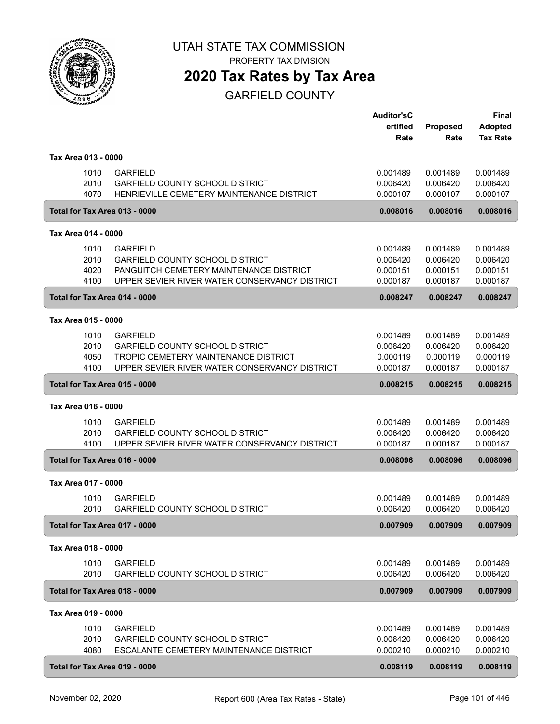

PROPERTY TAX DIVISION

### **2020 Tax Rates by Tax Area**

|                               |                                                                                                         | <b>Auditor'sC</b><br>ertified | Proposed             | Final<br><b>Adopted</b> |
|-------------------------------|---------------------------------------------------------------------------------------------------------|-------------------------------|----------------------|-------------------------|
|                               |                                                                                                         | Rate                          | Rate                 | <b>Tax Rate</b>         |
| Tax Area 013 - 0000           |                                                                                                         |                               |                      |                         |
|                               | 1010<br><b>GARFIELD</b>                                                                                 | 0.001489                      | 0.001489             | 0.001489                |
|                               | 2010<br><b>GARFIELD COUNTY SCHOOL DISTRICT</b>                                                          | 0.006420                      | 0.006420             | 0.006420                |
|                               | 4070<br>HENRIEVILLE CEMETERY MAINTENANCE DISTRICT                                                       | 0.000107                      | 0.000107             | 0.000107                |
|                               | Total for Tax Area 013 - 0000                                                                           | 0.008016                      | 0.008016             | 0.008016                |
| Tax Area 014 - 0000           |                                                                                                         |                               |                      |                         |
|                               | 1010<br><b>GARFIELD</b>                                                                                 | 0.001489                      | 0.001489             | 0.001489                |
|                               | 2010<br><b>GARFIELD COUNTY SCHOOL DISTRICT</b>                                                          | 0.006420                      | 0.006420             | 0.006420                |
|                               | PANGUITCH CEMETERY MAINTENANCE DISTRICT<br>4020                                                         | 0.000151                      | 0.000151             | 0.000151                |
|                               | 4100<br>UPPER SEVIER RIVER WATER CONSERVANCY DISTRICT                                                   | 0.000187                      | 0.000187             | 0.000187                |
|                               | Total for Tax Area 014 - 0000                                                                           | 0.008247                      | 0.008247             | 0.008247                |
| Tax Area 015 - 0000           |                                                                                                         |                               |                      |                         |
|                               | <b>GARFIELD</b><br>1010                                                                                 | 0.001489                      | 0.001489             | 0.001489                |
|                               | 2010<br><b>GARFIELD COUNTY SCHOOL DISTRICT</b>                                                          | 0.006420                      | 0.006420             | 0.006420                |
|                               | 4050<br>TROPIC CEMETERY MAINTENANCE DISTRICT<br>4100<br>UPPER SEVIER RIVER WATER CONSERVANCY DISTRICT   | 0.000119<br>0.000187          | 0.000119<br>0.000187 | 0.000119<br>0.000187    |
|                               |                                                                                                         |                               |                      |                         |
| Total for Tax Area 015 - 0000 |                                                                                                         | 0.008215                      | 0.008215             | 0.008215                |
| Tax Area 016 - 0000           |                                                                                                         |                               |                      |                         |
|                               | <b>GARFIELD</b><br>1010                                                                                 | 0.001489                      | 0.001489             | 0.001489                |
|                               | 2010<br><b>GARFIELD COUNTY SCHOOL DISTRICT</b><br>4100<br>UPPER SEVIER RIVER WATER CONSERVANCY DISTRICT | 0.006420<br>0.000187          | 0.006420<br>0.000187 | 0.006420<br>0.000187    |
|                               | Total for Tax Area 016 - 0000                                                                           | 0.008096                      | 0.008096             | 0.008096                |
|                               |                                                                                                         |                               |                      |                         |
| Tax Area 017 - 0000           |                                                                                                         |                               |                      |                         |
|                               | 1010<br><b>GARFIELD</b><br>2010<br><b>GARFIELD COUNTY SCHOOL DISTRICT</b>                               | 0.001489<br>0.006420          | 0.001489<br>0.006420 | 0.001489<br>0.006420    |
|                               | Total for Tax Area 017 - 0000                                                                           | 0.007909                      | 0.007909             | 0.007909                |
| Tax Area 018 - 0000           |                                                                                                         |                               |                      |                         |
|                               | 1010<br><b>GARFIELD</b>                                                                                 | 0.001489                      | 0.001489             | 0.001489                |
|                               | 2010<br>GARFIELD COUNTY SCHOOL DISTRICT                                                                 | 0.006420                      | 0.006420             | 0.006420                |
|                               | Total for Tax Area 018 - 0000                                                                           | 0.007909                      | 0.007909             | 0.007909                |
| Tax Area 019 - 0000           |                                                                                                         |                               |                      |                         |
|                               | 1010<br><b>GARFIELD</b>                                                                                 | 0.001489                      | 0.001489             | 0.001489                |
|                               | 2010<br><b>GARFIELD COUNTY SCHOOL DISTRICT</b>                                                          | 0.006420                      | 0.006420             | 0.006420                |
|                               | 4080<br>ESCALANTE CEMETERY MAINTENANCE DISTRICT                                                         | 0.000210                      | 0.000210             | 0.000210                |
|                               | Total for Tax Area 019 - 0000                                                                           | 0.008119                      | 0.008119             | 0.008119                |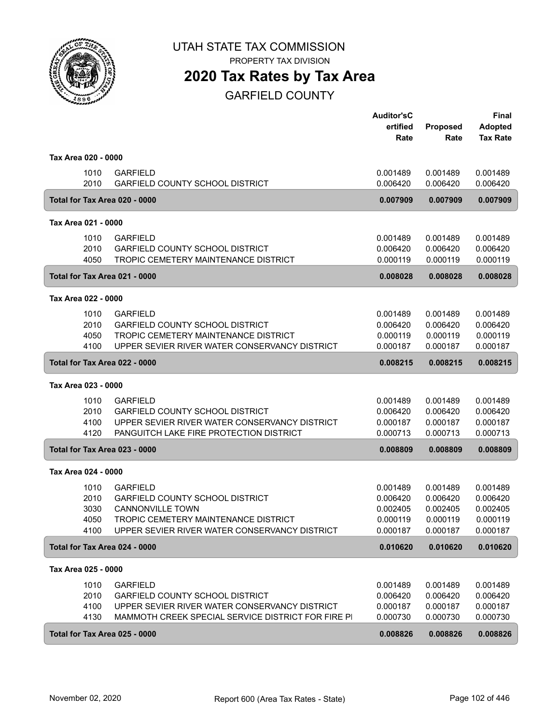

PROPERTY TAX DIVISION

### **2020 Tax Rates by Tax Area**

|                               |                                                                                          | <b>Auditor'sC</b><br>ertified<br>Rate | Proposed<br>Rate     | <b>Final</b><br><b>Adopted</b><br><b>Tax Rate</b> |
|-------------------------------|------------------------------------------------------------------------------------------|---------------------------------------|----------------------|---------------------------------------------------|
| Tax Area 020 - 0000           |                                                                                          |                                       |                      |                                                   |
| 1010<br>2010                  | <b>GARFIELD</b><br><b>GARFIELD COUNTY SCHOOL DISTRICT</b>                                | 0.001489<br>0.006420                  | 0.001489<br>0.006420 | 0.001489<br>0.006420                              |
| Total for Tax Area 020 - 0000 |                                                                                          | 0.007909                              | 0.007909             | 0.007909                                          |
| Tax Area 021 - 0000           |                                                                                          |                                       |                      |                                                   |
| 1010                          | <b>GARFIELD</b>                                                                          | 0.001489                              | 0.001489             | 0.001489                                          |
| 2010                          | <b>GARFIELD COUNTY SCHOOL DISTRICT</b>                                                   | 0.006420                              | 0.006420             | 0.006420                                          |
| 4050                          | TROPIC CEMETERY MAINTENANCE DISTRICT                                                     | 0.000119                              | 0.000119             | 0.000119                                          |
| Total for Tax Area 021 - 0000 |                                                                                          | 0.008028                              | 0.008028             | 0.008028                                          |
| Tax Area 022 - 0000           |                                                                                          |                                       |                      |                                                   |
| 1010                          | <b>GARFIELD</b>                                                                          | 0.001489                              | 0.001489             | 0.001489                                          |
| 2010<br>4050                  | <b>GARFIELD COUNTY SCHOOL DISTRICT</b><br>TROPIC CEMETERY MAINTENANCE DISTRICT           | 0.006420<br>0.000119                  | 0.006420<br>0.000119 | 0.006420<br>0.000119                              |
| 4100                          | UPPER SEVIER RIVER WATER CONSERVANCY DISTRICT                                            | 0.000187                              | 0.000187             | 0.000187                                          |
| Total for Tax Area 022 - 0000 |                                                                                          | 0.008215                              | 0.008215             | 0.008215                                          |
| Tax Area 023 - 0000           |                                                                                          |                                       |                      |                                                   |
| 1010                          | <b>GARFIELD</b>                                                                          | 0.001489                              | 0.001489             | 0.001489                                          |
| 2010                          | <b>GARFIELD COUNTY SCHOOL DISTRICT</b>                                                   | 0.006420                              | 0.006420             | 0.006420                                          |
| 4100<br>4120                  | UPPER SEVIER RIVER WATER CONSERVANCY DISTRICT<br>PANGUITCH LAKE FIRE PROTECTION DISTRICT | 0.000187<br>0.000713                  | 0.000187<br>0.000713 | 0.000187<br>0.000713                              |
| Total for Tax Area 023 - 0000 |                                                                                          | 0.008809                              | 0.008809             | 0.008809                                          |
|                               |                                                                                          |                                       |                      |                                                   |
| Tax Area 024 - 0000           |                                                                                          |                                       |                      |                                                   |
| 1010<br>2010                  | <b>GARFIELD</b><br><b>GARFIELD COUNTY SCHOOL DISTRICT</b>                                | 0.001489                              | 0.001489             | 0.001489<br>0.006420                              |
| 3030                          | <b>CANNONVILLE TOWN</b>                                                                  | 0.006420<br>0.002405                  | 0.006420<br>0.002405 | 0.002405                                          |
| 4050                          | TROPIC CEMETERY MAINTENANCE DISTRICT                                                     | 0.000119                              | 0.000119             | 0.000119                                          |
| 4100                          | UPPER SEVIER RIVER WATER CONSERVANCY DISTRICT                                            | 0.000187                              | 0.000187             | 0.000187                                          |
| Total for Tax Area 024 - 0000 |                                                                                          | 0.010620                              | 0.010620             | 0.010620                                          |
| Tax Area 025 - 0000           |                                                                                          |                                       |                      |                                                   |
| 1010                          | <b>GARFIELD</b>                                                                          | 0.001489                              | 0.001489             | 0.001489                                          |
| 2010                          | <b>GARFIELD COUNTY SCHOOL DISTRICT</b>                                                   | 0.006420                              | 0.006420             | 0.006420                                          |
| 4100                          | UPPER SEVIER RIVER WATER CONSERVANCY DISTRICT                                            | 0.000187                              | 0.000187             | 0.000187                                          |
| 4130                          | MAMMOTH CREEK SPECIAL SERVICE DISTRICT FOR FIRE PI                                       | 0.000730                              | 0.000730             | 0.000730                                          |
| Total for Tax Area 025 - 0000 |                                                                                          | 0.008826                              | 0.008826             | 0.008826                                          |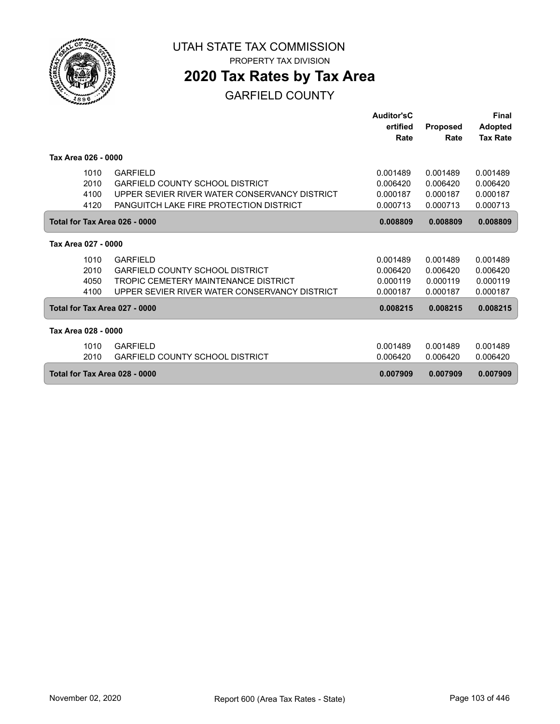

### **2020 Tax Rates by Tax Area**

|                               |      |                                                | Auditor'sC |                 | <b>Final</b>    |
|-------------------------------|------|------------------------------------------------|------------|-----------------|-----------------|
|                               |      |                                                | ertified   | <b>Proposed</b> | <b>Adopted</b>  |
|                               |      |                                                | Rate       | Rate            | <b>Tax Rate</b> |
|                               |      |                                                |            |                 |                 |
| Tax Area 026 - 0000           |      |                                                |            |                 |                 |
|                               | 1010 | <b>GARFIELD</b>                                | 0.001489   | 0.001489        | 0.001489        |
|                               | 2010 | <b>GARFIELD COUNTY SCHOOL DISTRICT</b>         | 0.006420   | 0.006420        | 0.006420        |
|                               | 4100 | UPPER SEVIER RIVER WATER CONSERVANCY DISTRICT  | 0.000187   | 0.000187        | 0.000187        |
|                               | 4120 | <b>PANGUITCH LAKE FIRE PROTECTION DISTRICT</b> | 0.000713   | 0.000713        | 0.000713        |
|                               |      |                                                |            |                 |                 |
|                               |      | Total for Tax Area 026 - 0000                  | 0.008809   | 0.008809        | 0.008809        |
| Tax Area 027 - 0000           |      |                                                |            |                 |                 |
|                               | 1010 | <b>GARFIELD</b>                                | 0.001489   | 0.001489        | 0.001489        |
|                               | 2010 | GARFIFI D COUNTY SCHOOL DISTRICT               | 0.006420   | 0.006420        | 0.006420        |
|                               | 4050 | TROPIC CEMETERY MAINTENANCE DISTRICT           | 0.000119   | 0.000119        | 0.000119        |
|                               | 4100 | UPPER SEVIER RIVER WATER CONSERVANCY DISTRICT  | 0.000187   | 0.000187        | 0.000187        |
|                               |      | Total for Tax Area 027 - 0000                  | 0.008215   | 0.008215        | 0.008215        |
| Tax Area 028 - 0000           |      |                                                |            |                 |                 |
|                               | 1010 | <b>GARFIELD</b>                                | 0.001489   | 0.001489        | 0.001489        |
|                               | 2010 | <b>GARFIELD COUNTY SCHOOL DISTRICT</b>         | 0.006420   | 0.006420        | 0.006420        |
| Total for Tax Area 028 - 0000 |      | 0.007909                                       | 0.007909   | 0.007909        |                 |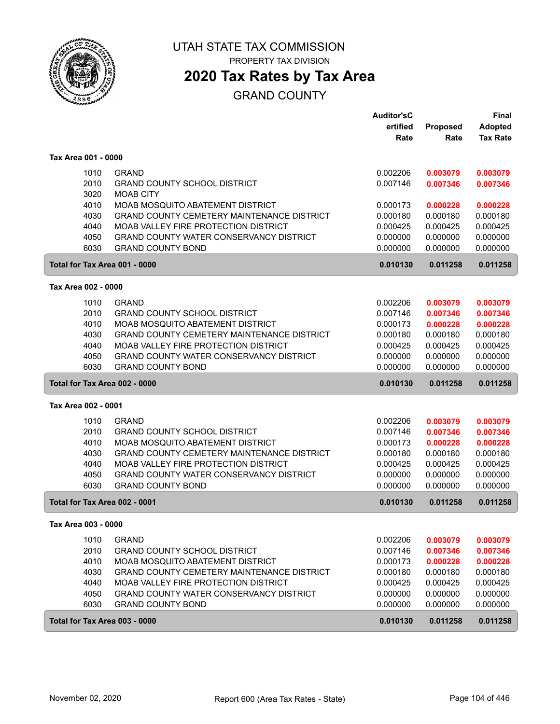

### **2020 Tax Rates by Tax Area**

#### GRAND COUNTY

|                               |                                                                                       | <b>Auditor'sC</b><br>ertified | Proposed             | <b>Final</b><br><b>Adopted</b> |
|-------------------------------|---------------------------------------------------------------------------------------|-------------------------------|----------------------|--------------------------------|
|                               |                                                                                       | Rate                          | Rate                 | <b>Tax Rate</b>                |
| Tax Area 001 - 0000           |                                                                                       |                               |                      |                                |
| 1010                          | <b>GRAND</b>                                                                          | 0.002206                      | 0.003079             | 0.003079                       |
| 2010<br>3020                  | <b>GRAND COUNTY SCHOOL DISTRICT</b><br><b>MOAB CITY</b>                               | 0.007146                      | 0.007346             | 0.007346                       |
| 4010                          | MOAB MOSQUITO ABATEMENT DISTRICT                                                      | 0.000173                      | 0.000228             | 0.000228                       |
| 4030                          | <b>GRAND COUNTY CEMETERY MAINTENANCE DISTRICT</b>                                     | 0.000180                      | 0.000180             | 0.000180                       |
| 4040                          | MOAB VALLEY FIRE PROTECTION DISTRICT                                                  | 0.000425                      | 0.000425             | 0.000425                       |
| 4050<br>6030                  | GRAND COUNTY WATER CONSERVANCY DISTRICT<br><b>GRAND COUNTY BOND</b>                   | 0.000000<br>0.000000          | 0.000000<br>0.000000 | 0.000000<br>0.000000           |
| Total for Tax Area 001 - 0000 |                                                                                       | 0.010130                      | 0.011258             | 0.011258                       |
|                               |                                                                                       |                               |                      |                                |
| Tax Area 002 - 0000           |                                                                                       |                               |                      |                                |
| 1010                          | <b>GRAND</b>                                                                          | 0.002206                      | 0.003079             | 0.003079                       |
| 2010                          | <b>GRAND COUNTY SCHOOL DISTRICT</b>                                                   | 0.007146                      | 0.007346             | 0.007346                       |
| 4010<br>4030                  | MOAB MOSQUITO ABATEMENT DISTRICT<br><b>GRAND COUNTY CEMETERY MAINTENANCE DISTRICT</b> | 0.000173<br>0.000180          | 0.000228<br>0.000180 | 0.000228<br>0.000180           |
| 4040                          | MOAB VALLEY FIRE PROTECTION DISTRICT                                                  | 0.000425                      | 0.000425             | 0.000425                       |
| 4050                          | GRAND COUNTY WATER CONSERVANCY DISTRICT                                               | 0.000000                      | 0.000000             | 0.000000                       |
| 6030                          | <b>GRAND COUNTY BOND</b>                                                              | 0.000000                      | 0.000000             | 0.000000                       |
| Total for Tax Area 002 - 0000 |                                                                                       | 0.010130                      | 0.011258             | 0.011258                       |
| Tax Area 002 - 0001           |                                                                                       |                               |                      |                                |
| 1010                          | <b>GRAND</b>                                                                          | 0.002206                      | 0.003079             | 0.003079                       |
| 2010                          | <b>GRAND COUNTY SCHOOL DISTRICT</b>                                                   | 0.007146                      | 0.007346             | 0.007346                       |
| 4010                          | MOAB MOSQUITO ABATEMENT DISTRICT                                                      | 0.000173                      | 0.000228             | 0.000228                       |
| 4030                          | <b>GRAND COUNTY CEMETERY MAINTENANCE DISTRICT</b>                                     | 0.000180                      | 0.000180             | 0.000180                       |
| 4040                          | MOAB VALLEY FIRE PROTECTION DISTRICT                                                  | 0.000425                      | 0.000425             | 0.000425                       |
| 4050                          | <b>GRAND COUNTY WATER CONSERVANCY DISTRICT</b>                                        | 0.000000                      | 0.000000             | 0.000000                       |
| 6030                          | <b>GRAND COUNTY BOND</b>                                                              | 0.000000                      | 0.000000             | 0.000000                       |
| Total for Tax Area 002 - 0001 |                                                                                       | 0.010130                      | 0.011258             | 0.011258                       |
| Tax Area 003 - 0000           |                                                                                       |                               |                      |                                |
| 1010                          | <b>GRAND</b>                                                                          | 0.002206                      | 0.003079             | 0.003079                       |
| 2010                          | <b>GRAND COUNTY SCHOOL DISTRICT</b>                                                   | 0.007146                      | 0.007346             | 0.007346                       |
| 4010                          | MOAB MOSQUITO ABATEMENT DISTRICT                                                      | 0.000173                      | 0.000228             | 0.000228                       |
| 4030                          | <b>GRAND COUNTY CEMETERY MAINTENANCE DISTRICT</b>                                     | 0.000180                      | 0.000180             | 0.000180                       |
| 4040                          | MOAB VALLEY FIRE PROTECTION DISTRICT                                                  | 0.000425                      | 0.000425             | 0.000425                       |
| 4050                          | GRAND COUNTY WATER CONSERVANCY DISTRICT                                               | 0.000000                      | 0.000000             | 0.000000                       |
| 6030                          | <b>GRAND COUNTY BOND</b>                                                              | 0.000000                      | 0.000000             | 0.000000                       |
| Total for Tax Area 003 - 0000 |                                                                                       | 0.010130                      | 0.011258             | 0.011258                       |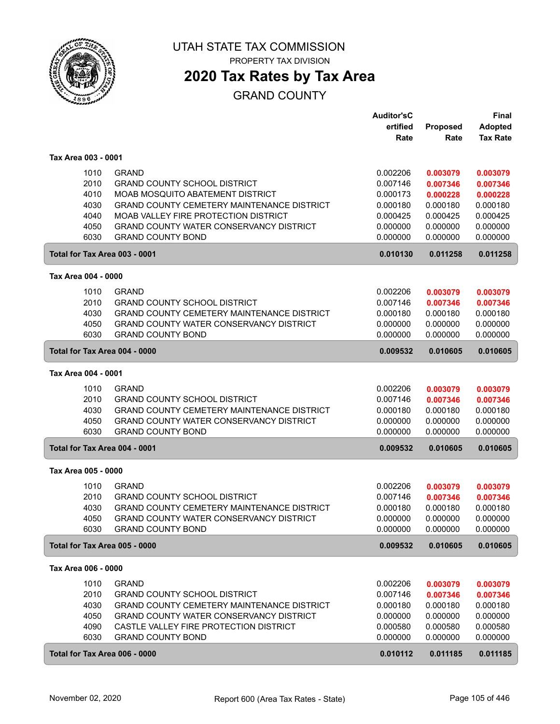

### **2020 Tax Rates by Tax Area**

#### GRAND COUNTY

|                               |                                                   | <b>Auditor'sC</b> |                         | Final                             |
|-------------------------------|---------------------------------------------------|-------------------|-------------------------|-----------------------------------|
|                               |                                                   | ertified          | <b>Proposed</b><br>Rate | <b>Adopted</b><br><b>Tax Rate</b> |
|                               |                                                   | Rate              |                         |                                   |
| Tax Area 003 - 0001           |                                                   |                   |                         |                                   |
| 1010                          | <b>GRAND</b>                                      | 0.002206          | 0.003079                | 0.003079                          |
| 2010                          | <b>GRAND COUNTY SCHOOL DISTRICT</b>               | 0.007146          | 0.007346                | 0.007346                          |
| 4010                          | MOAB MOSQUITO ABATEMENT DISTRICT                  | 0.000173          | 0.000228                | 0.000228                          |
| 4030                          | GRAND COUNTY CEMETERY MAINTENANCE DISTRICT        | 0.000180          | 0.000180                | 0.000180                          |
| 4040                          | MOAB VALLEY FIRE PROTECTION DISTRICT              | 0.000425          | 0.000425                | 0.000425                          |
| 4050                          | <b>GRAND COUNTY WATER CONSERVANCY DISTRICT</b>    | 0.000000          | 0.000000                | 0.000000                          |
| 6030                          | <b>GRAND COUNTY BOND</b>                          | 0.000000          | 0.000000                | 0.000000                          |
| Total for Tax Area 003 - 0001 |                                                   | 0.010130          | 0.011258                | 0.011258                          |
| Tax Area 004 - 0000           |                                                   |                   |                         |                                   |
| 1010                          | <b>GRAND</b>                                      | 0.002206          | 0.003079                | 0.003079                          |
| 2010                          | <b>GRAND COUNTY SCHOOL DISTRICT</b>               | 0.007146          | 0.007346                | 0.007346                          |
| 4030                          | <b>GRAND COUNTY CEMETERY MAINTENANCE DISTRICT</b> | 0.000180          | 0.000180                | 0.000180                          |
| 4050                          | GRAND COUNTY WATER CONSERVANCY DISTRICT           | 0.000000          | 0.000000                | 0.000000                          |
| 6030                          | <b>GRAND COUNTY BOND</b>                          | 0.000000          | 0.000000                | 0.000000                          |
| Total for Tax Area 004 - 0000 |                                                   | 0.009532          | 0.010605                | 0.010605                          |
| Tax Area 004 - 0001           |                                                   |                   |                         |                                   |
| 1010                          | <b>GRAND</b>                                      | 0.002206          | 0.003079                | 0.003079                          |
| 2010                          | <b>GRAND COUNTY SCHOOL DISTRICT</b>               | 0.007146          | 0.007346                | 0.007346                          |
| 4030                          | GRAND COUNTY CEMETERY MAINTENANCE DISTRICT        | 0.000180          | 0.000180                | 0.000180                          |
| 4050                          | <b>GRAND COUNTY WATER CONSERVANCY DISTRICT</b>    | 0.000000          | 0.000000                | 0.000000                          |
| 6030                          | <b>GRAND COUNTY BOND</b>                          | 0.000000          | 0.000000                | 0.000000                          |
| Total for Tax Area 004 - 0001 |                                                   | 0.009532          | 0.010605                | 0.010605                          |
| Tax Area 005 - 0000           |                                                   |                   |                         |                                   |
| 1010                          | <b>GRAND</b>                                      | 0.002206          | 0.003079                | 0.003079                          |
| 2010                          | <b>GRAND COUNTY SCHOOL DISTRICT</b>               | 0.007146          | 0.007346                | 0.007346                          |
| 4030                          | GRAND COUNTY CEMETERY MAINTENANCE DISTRICT        | 0.000180          | 0.000180                | 0.000180                          |
| 4050                          | <b>GRAND COUNTY WATER CONSERVANCY DISTRICT</b>    | 0.000000          | 0.000000                | 0.000000                          |
| 6030                          | <b>GRAND COUNTY BOND</b>                          | 0.000000          | 0.000000                | 0.000000                          |
| Total for Tax Area 005 - 0000 |                                                   | 0.009532          | 0.010605                | 0.010605                          |
| Tax Area 006 - 0000           |                                                   |                   |                         |                                   |
| 1010                          | <b>GRAND</b>                                      | 0.002206          | 0.003079                | 0.003079                          |
| 2010                          | <b>GRAND COUNTY SCHOOL DISTRICT</b>               | 0.007146          | 0.007346                | 0.007346                          |
| 4030                          | GRAND COUNTY CEMETERY MAINTENANCE DISTRICT        | 0.000180          | 0.000180                | 0.000180                          |
| 4050                          | <b>GRAND COUNTY WATER CONSERVANCY DISTRICT</b>    | 0.000000          | 0.000000                | 0.000000                          |
| 4090                          | CASTLE VALLEY FIRE PROTECTION DISTRICT            | 0.000580          | 0.000580                | 0.000580                          |
| 6030                          | <b>GRAND COUNTY BOND</b>                          | 0.000000          | 0.000000                | 0.000000                          |
| Total for Tax Area 006 - 0000 |                                                   | 0.010112          | 0.011185                | 0.011185                          |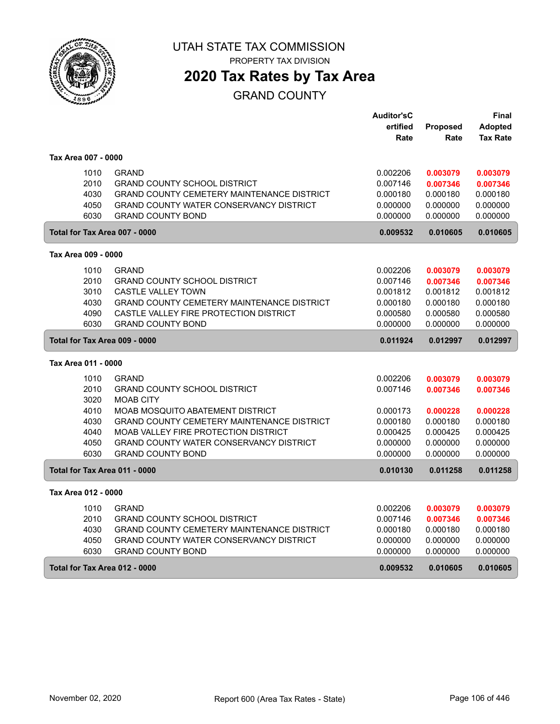

# **2020 Tax Rates by Tax Area**

#### GRAND COUNTY

|                     |                                                   | <b>Auditor'sC</b> |                 | Final           |
|---------------------|---------------------------------------------------|-------------------|-----------------|-----------------|
|                     |                                                   | ertified          | <b>Proposed</b> | <b>Adopted</b>  |
|                     |                                                   | Rate              | Rate            | <b>Tax Rate</b> |
| Tax Area 007 - 0000 |                                                   |                   |                 |                 |
| 1010                | <b>GRAND</b>                                      | 0.002206          | 0.003079        | 0.003079        |
| 2010                | <b>GRAND COUNTY SCHOOL DISTRICT</b>               | 0.007146          | 0.007346        | 0.007346        |
| 4030                | <b>GRAND COUNTY CEMETERY MAINTENANCE DISTRICT</b> | 0.000180          | 0.000180        | 0.000180        |
| 4050                | <b>GRAND COUNTY WATER CONSERVANCY DISTRICT</b>    | 0.000000          | 0.000000        | 0.000000        |
| 6030                | <b>GRAND COUNTY BOND</b>                          | 0.000000          | 0.000000        | 0.000000        |
|                     | Total for Tax Area 007 - 0000                     | 0.009532          | 0.010605        | 0.010605        |
| Tax Area 009 - 0000 |                                                   |                   |                 |                 |
| 1010                | <b>GRAND</b>                                      | 0.002206          | 0.003079        | 0.003079        |
| 2010                | <b>GRAND COUNTY SCHOOL DISTRICT</b>               | 0.007146          | 0.007346        | 0.007346        |
| 3010                | <b>CASTLE VALLEY TOWN</b>                         | 0.001812          | 0.001812        | 0.001812        |
| 4030                | <b>GRAND COUNTY CEMETERY MAINTENANCE DISTRICT</b> | 0.000180          | 0.000180        | 0.000180        |
| 4090                | CASTLE VALLEY FIRE PROTECTION DISTRICT            | 0.000580          | 0.000580        | 0.000580        |
| 6030                | <b>GRAND COUNTY BOND</b>                          | 0.000000          | 0.000000        | 0.000000        |
|                     | Total for Tax Area 009 - 0000                     | 0.011924          | 0.012997        | 0.012997        |
| Tax Area 011 - 0000 |                                                   |                   |                 |                 |
| 1010                | <b>GRAND</b>                                      | 0.002206          | 0.003079        | 0.003079        |
| 2010                | <b>GRAND COUNTY SCHOOL DISTRICT</b>               | 0.007146          | 0.007346        | 0.007346        |
| 3020                | <b>MOAB CITY</b>                                  |                   |                 |                 |
| 4010                | MOAB MOSQUITO ABATEMENT DISTRICT                  | 0.000173          | 0.000228        | 0.000228        |
| 4030                | <b>GRAND COUNTY CEMETERY MAINTENANCE DISTRICT</b> | 0.000180          | 0.000180        | 0.000180        |
| 4040                | MOAB VALLEY FIRE PROTECTION DISTRICT              | 0.000425          | 0.000425        | 0.000425        |
| 4050                | <b>GRAND COUNTY WATER CONSERVANCY DISTRICT</b>    | 0.000000          | 0.000000        | 0.000000        |
| 6030                | <b>GRAND COUNTY BOND</b>                          | 0.000000          | 0.000000        | 0.000000        |
|                     | Total for Tax Area 011 - 0000                     | 0.010130          | 0.011258        | 0.011258        |
| Tax Area 012 - 0000 |                                                   |                   |                 |                 |
| 1010                | <b>GRAND</b>                                      | 0.002206          | 0.003079        | 0.003079        |
| 2010                | <b>GRAND COUNTY SCHOOL DISTRICT</b>               | 0.007146          | 0.007346        | 0.007346        |
| 4030                | <b>GRAND COUNTY CEMETERY MAINTENANCE DISTRICT</b> | 0.000180          | 0.000180        | 0.000180        |
| 4050                | <b>GRAND COUNTY WATER CONSERVANCY DISTRICT</b>    | 0.000000          | 0.000000        | 0.000000        |
| 6030                | <b>GRAND COUNTY BOND</b>                          | 0.000000          | 0.000000        | 0.000000        |
|                     | Total for Tax Area 012 - 0000                     | 0.009532          | 0.010605        | 0.010605        |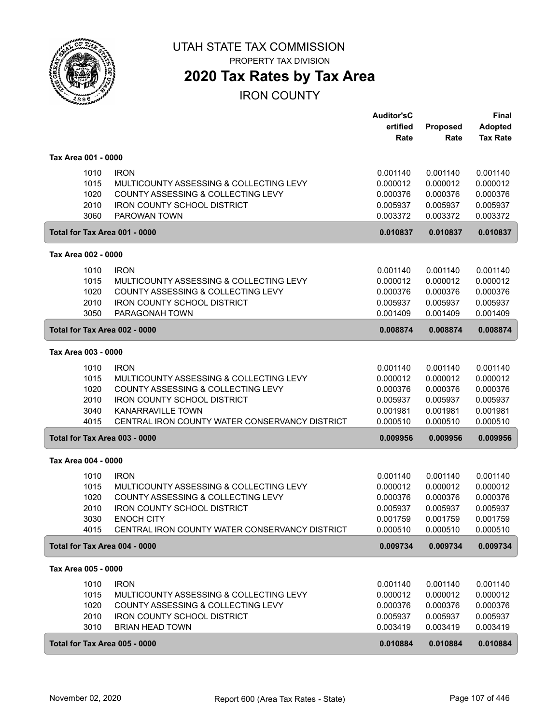

PROPERTY TAX DIVISION

### **2020 Tax Rates by Tax Area**

IRON COUNTY

|                     |                                                        | <b>Auditor'sC</b><br>ertified | <b>Proposed</b> | Final<br><b>Adopted</b> |
|---------------------|--------------------------------------------------------|-------------------------------|-----------------|-------------------------|
|                     |                                                        | Rate                          | Rate            | <b>Tax Rate</b>         |
| Tax Area 001 - 0000 |                                                        |                               |                 |                         |
|                     | <b>IRON</b><br>1010                                    | 0.001140                      | 0.001140        | 0.001140                |
|                     | 1015<br>MULTICOUNTY ASSESSING & COLLECTING LEVY        | 0.000012                      | 0.000012        | 0.000012                |
|                     | 1020<br>COUNTY ASSESSING & COLLECTING LEVY             | 0.000376                      | 0.000376        | 0.000376                |
|                     | 2010<br><b>IRON COUNTY SCHOOL DISTRICT</b>             | 0.005937                      | 0.005937        | 0.005937                |
|                     | 3060<br>PAROWAN TOWN                                   | 0.003372                      | 0.003372        | 0.003372                |
|                     | Total for Tax Area 001 - 0000                          | 0.010837                      | 0.010837        | 0.010837                |
| Tax Area 002 - 0000 |                                                        |                               |                 |                         |
|                     | 1010<br><b>IRON</b>                                    | 0.001140                      | 0.001140        | 0.001140                |
|                     | 1015<br>MULTICOUNTY ASSESSING & COLLECTING LEVY        | 0.000012                      | 0.000012        | 0.000012                |
|                     | 1020<br>COUNTY ASSESSING & COLLECTING LEVY             | 0.000376                      | 0.000376        | 0.000376                |
|                     | 2010<br><b>IRON COUNTY SCHOOL DISTRICT</b>             | 0.005937                      | 0.005937        | 0.005937                |
|                     | 3050<br>PARAGONAH TOWN                                 | 0.001409                      | 0.001409        | 0.001409                |
|                     | Total for Tax Area 002 - 0000                          | 0.008874                      | 0.008874        | 0.008874                |
| Tax Area 003 - 0000 |                                                        |                               |                 |                         |
|                     | 1010<br><b>IRON</b>                                    | 0.001140                      | 0.001140        | 0.001140                |
|                     | 1015<br>MULTICOUNTY ASSESSING & COLLECTING LEVY        | 0.000012                      | 0.000012        | 0.000012                |
|                     | 1020<br>COUNTY ASSESSING & COLLECTING LEVY             | 0.000376                      | 0.000376        | 0.000376                |
|                     | 2010<br><b>IRON COUNTY SCHOOL DISTRICT</b>             | 0.005937                      | 0.005937        | 0.005937                |
|                     | 3040<br><b>KANARRAVILLE TOWN</b>                       | 0.001981                      | 0.001981        | 0.001981                |
|                     | 4015<br>CENTRAL IRON COUNTY WATER CONSERVANCY DISTRICT | 0.000510                      | 0.000510        | 0.000510                |
|                     | Total for Tax Area 003 - 0000                          | 0.009956                      | 0.009956        | 0.009956                |
| Tax Area 004 - 0000 |                                                        |                               |                 |                         |
|                     | <b>IRON</b><br>1010                                    | 0.001140                      | 0.001140        | 0.001140                |
|                     | 1015<br>MULTICOUNTY ASSESSING & COLLECTING LEVY        | 0.000012                      | 0.000012        | 0.000012                |
|                     | 1020<br>COUNTY ASSESSING & COLLECTING LEVY             | 0.000376                      | 0.000376        | 0.000376                |
|                     | 2010<br><b>IRON COUNTY SCHOOL DISTRICT</b>             | 0.005937                      | 0.005937        | 0.005937                |
|                     | 3030<br><b>ENOCH CITY</b>                              | 0.001759                      | 0.001759        | 0.001759                |
|                     | CENTRAL IRON COUNTY WATER CONSERVANCY DISTRICT<br>4015 | 0.000510                      | 0.000510        | 0.000510                |
|                     | Total for Tax Area 004 - 0000                          | 0.009734                      | 0.009734        | 0.009734                |
| Tax Area 005 - 0000 |                                                        |                               |                 |                         |
|                     | 1010<br><b>IRON</b>                                    | 0.001140                      | 0.001140        | 0.001140                |
|                     | 1015<br>MULTICOUNTY ASSESSING & COLLECTING LEVY        | 0.000012                      | 0.000012        | 0.000012                |
|                     | 1020<br>COUNTY ASSESSING & COLLECTING LEVY             | 0.000376                      | 0.000376        | 0.000376                |
|                     | 2010<br>IRON COUNTY SCHOOL DISTRICT                    | 0.005937                      | 0.005937        | 0.005937                |
|                     | 3010<br><b>BRIAN HEAD TOWN</b>                         | 0.003419                      | 0.003419        | 0.003419                |
|                     | Total for Tax Area 005 - 0000                          | 0.010884                      | 0.010884        | 0.010884                |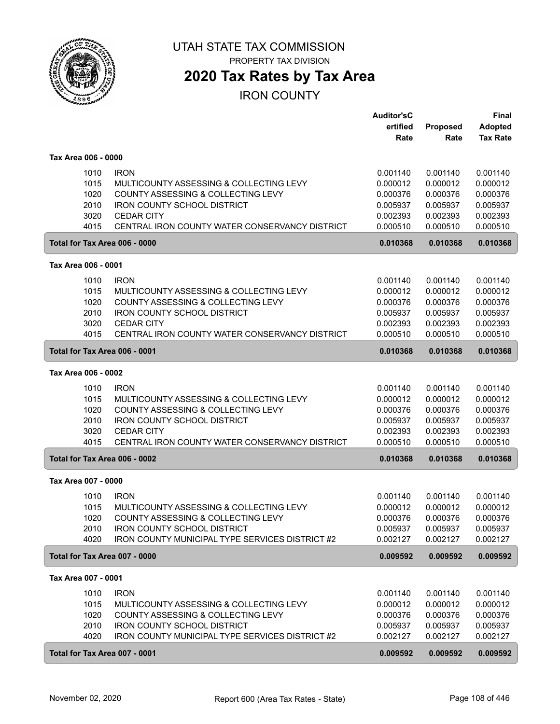

**2020 Tax Rates by Tax Area**

IRON COUNTY

|                               |                                                 | <b>Auditor'sC</b> |          | <b>Final</b>    |
|-------------------------------|-------------------------------------------------|-------------------|----------|-----------------|
|                               |                                                 | ertified          | Proposed | <b>Adopted</b>  |
|                               |                                                 | Rate              | Rate     | <b>Tax Rate</b> |
| Tax Area 006 - 0000           |                                                 |                   |          |                 |
| 1010                          | <b>IRON</b>                                     | 0.001140          | 0.001140 | 0.001140        |
| 1015                          | MULTICOUNTY ASSESSING & COLLECTING LEVY         | 0.000012          | 0.000012 | 0.000012        |
| 1020                          | COUNTY ASSESSING & COLLECTING LEVY              | 0.000376          | 0.000376 | 0.000376        |
| 2010                          | <b>IRON COUNTY SCHOOL DISTRICT</b>              | 0.005937          | 0.005937 | 0.005937        |
| 3020                          | <b>CEDAR CITY</b>                               | 0.002393          | 0.002393 | 0.002393        |
| 4015                          | CENTRAL IRON COUNTY WATER CONSERVANCY DISTRICT  | 0.000510          | 0.000510 | 0.000510        |
| Total for Tax Area 006 - 0000 |                                                 | 0.010368          | 0.010368 | 0.010368        |
| Tax Area 006 - 0001           |                                                 |                   |          |                 |
| 1010                          | <b>IRON</b>                                     | 0.001140          | 0.001140 | 0.001140        |
| 1015                          | MULTICOUNTY ASSESSING & COLLECTING LEVY         | 0.000012          | 0.000012 | 0.000012        |
| 1020                          | COUNTY ASSESSING & COLLECTING LEVY              | 0.000376          | 0.000376 | 0.000376        |
| 2010                          | <b>IRON COUNTY SCHOOL DISTRICT</b>              | 0.005937          | 0.005937 | 0.005937        |
| 3020                          | <b>CEDAR CITY</b>                               | 0.002393          | 0.002393 | 0.002393        |
| 4015                          | CENTRAL IRON COUNTY WATER CONSERVANCY DISTRICT  | 0.000510          | 0.000510 | 0.000510        |
| Total for Tax Area 006 - 0001 |                                                 | 0.010368          | 0.010368 | 0.010368        |
| Tax Area 006 - 0002           |                                                 |                   |          |                 |
| 1010                          | <b>IRON</b>                                     | 0.001140          | 0.001140 | 0.001140        |
| 1015                          | MULTICOUNTY ASSESSING & COLLECTING LEVY         | 0.000012          | 0.000012 | 0.000012        |
| 1020                          | COUNTY ASSESSING & COLLECTING LEVY              | 0.000376          | 0.000376 | 0.000376        |
| 2010                          | <b>IRON COUNTY SCHOOL DISTRICT</b>              | 0.005937          | 0.005937 | 0.005937        |
| 3020                          | <b>CEDAR CITY</b>                               | 0.002393          | 0.002393 | 0.002393        |
| 4015                          | CENTRAL IRON COUNTY WATER CONSERVANCY DISTRICT  | 0.000510          | 0.000510 | 0.000510        |
| Total for Tax Area 006 - 0002 |                                                 | 0.010368          | 0.010368 | 0.010368        |
| Tax Area 007 - 0000           |                                                 |                   |          |                 |
| 1010                          | <b>IRON</b>                                     | 0.001140          | 0.001140 | 0.001140        |
| 1015                          | MULTICOUNTY ASSESSING & COLLECTING LEVY         | 0.000012          | 0.000012 | 0.000012        |
| 1020                          | COUNTY ASSESSING & COLLECTING LEVY              | 0.000376          | 0.000376 | 0.000376        |
| 2010                          | IRON COUNTY SCHOOL DISTRICT                     | 0.005937          | 0.005937 | 0.005937        |
| 4020                          | IRON COUNTY MUNICIPAL TYPE SERVICES DISTRICT #2 | 0.002127          | 0.002127 | 0.002127        |
| Total for Tax Area 007 - 0000 |                                                 | 0.009592          | 0.009592 | 0.009592        |
| Tax Area 007 - 0001           |                                                 |                   |          |                 |
| 1010                          | <b>IRON</b>                                     | 0.001140          | 0.001140 | 0.001140        |
| 1015                          | MULTICOUNTY ASSESSING & COLLECTING LEVY         | 0.000012          | 0.000012 | 0.000012        |
| 1020                          | COUNTY ASSESSING & COLLECTING LEVY              | 0.000376          | 0.000376 | 0.000376        |
| 2010                          | <b>IRON COUNTY SCHOOL DISTRICT</b>              | 0.005937          | 0.005937 | 0.005937        |
| 4020                          | IRON COUNTY MUNICIPAL TYPE SERVICES DISTRICT #2 | 0.002127          | 0.002127 | 0.002127        |
| Total for Tax Area 007 - 0001 |                                                 | 0.009592          | 0.009592 | 0.009592        |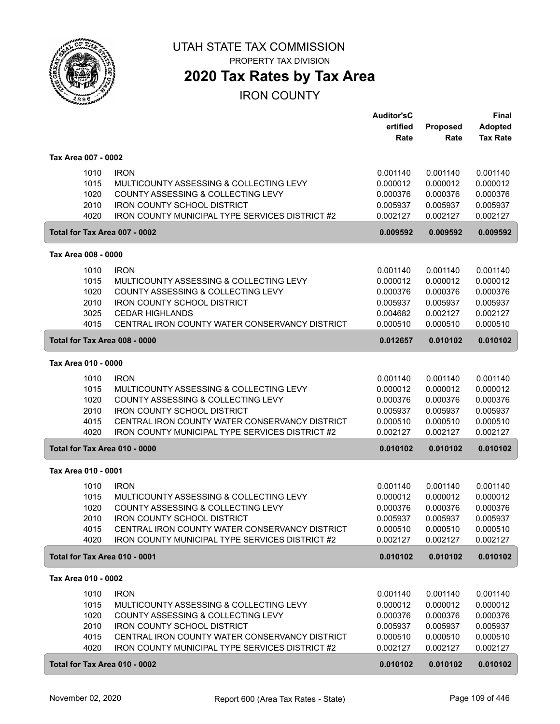

## **2020 Tax Rates by Tax Area**

|                               |                                                                                                   | <b>Auditor'sC</b>    |                      | Final                |
|-------------------------------|---------------------------------------------------------------------------------------------------|----------------------|----------------------|----------------------|
|                               |                                                                                                   | ertified             | Proposed             | <b>Adopted</b>       |
|                               |                                                                                                   | Rate                 | Rate                 | <b>Tax Rate</b>      |
| Tax Area 007 - 0002           |                                                                                                   |                      |                      |                      |
|                               |                                                                                                   |                      |                      |                      |
| 1010                          | <b>IRON</b>                                                                                       | 0.001140             | 0.001140             | 0.001140             |
| 1015                          | MULTICOUNTY ASSESSING & COLLECTING LEVY                                                           | 0.000012             | 0.000012             | 0.000012             |
| 1020                          | COUNTY ASSESSING & COLLECTING LEVY                                                                | 0.000376             | 0.000376             | 0.000376             |
| 2010                          | <b>IRON COUNTY SCHOOL DISTRICT</b><br>IRON COUNTY MUNICIPAL TYPE SERVICES DISTRICT #2             | 0.005937             | 0.005937<br>0.002127 | 0.005937             |
| 4020                          |                                                                                                   | 0.002127             |                      | 0.002127             |
| Total for Tax Area 007 - 0002 |                                                                                                   | 0.009592             | 0.009592             | 0.009592             |
| Tax Area 008 - 0000           |                                                                                                   |                      |                      |                      |
| 1010                          | <b>IRON</b>                                                                                       | 0.001140             | 0.001140             | 0.001140             |
| 1015                          | MULTICOUNTY ASSESSING & COLLECTING LEVY                                                           | 0.000012             | 0.000012             | 0.000012             |
| 1020                          | COUNTY ASSESSING & COLLECTING LEVY                                                                | 0.000376             | 0.000376             | 0.000376             |
| 2010                          | <b>IRON COUNTY SCHOOL DISTRICT</b>                                                                | 0.005937             | 0.005937             | 0.005937             |
| 3025                          | <b>CEDAR HIGHLANDS</b>                                                                            | 0.004682             | 0.002127             | 0.002127             |
| 4015                          | CENTRAL IRON COUNTY WATER CONSERVANCY DISTRICT                                                    | 0.000510             | 0.000510             | 0.000510             |
| Total for Tax Area 008 - 0000 |                                                                                                   | 0.012657             | 0.010102             | 0.010102             |
| Tax Area 010 - 0000           |                                                                                                   |                      |                      |                      |
|                               |                                                                                                   |                      |                      |                      |
| 1010                          | <b>IRON</b>                                                                                       | 0.001140             | 0.001140             | 0.001140             |
| 1015                          | MULTICOUNTY ASSESSING & COLLECTING LEVY                                                           | 0.000012             | 0.000012             | 0.000012             |
| 1020                          | COUNTY ASSESSING & COLLECTING LEVY                                                                | 0.000376             | 0.000376             | 0.000376             |
| 2010                          | <b>IRON COUNTY SCHOOL DISTRICT</b>                                                                | 0.005937             | 0.005937             | 0.005937             |
| 4015<br>4020                  | CENTRAL IRON COUNTY WATER CONSERVANCY DISTRICT                                                    | 0.000510             | 0.000510             | 0.000510             |
|                               | IRON COUNTY MUNICIPAL TYPE SERVICES DISTRICT #2                                                   | 0.002127             | 0.002127             | 0.002127             |
| Total for Tax Area 010 - 0000 |                                                                                                   | 0.010102             | 0.010102             | 0.010102             |
| Tax Area 010 - 0001           |                                                                                                   |                      |                      |                      |
| 1010                          | <b>IRON</b>                                                                                       | 0.001140             | 0.001140             | 0.001140             |
| 1015                          | MULTICOUNTY ASSESSING & COLLECTING LEVY                                                           | 0.000012             | 0.000012             | 0.000012             |
| 1020                          | COUNTY ASSESSING & COLLECTING LEVY                                                                | 0.000376             | 0.000376             | 0.000376             |
| 2010                          | <b>IRON COUNTY SCHOOL DISTRICT</b>                                                                | 0.005937             | 0.005937             | 0.005937             |
| 4015                          | CENTRAL IRON COUNTY WATER CONSERVANCY DISTRICT                                                    | 0.000510             | 0.000510             | 0.000510             |
| 4020                          | IRON COUNTY MUNICIPAL TYPE SERVICES DISTRICT #2                                                   | 0.002127             | 0.002127             | 0.002127             |
| Total for Tax Area 010 - 0001 |                                                                                                   | 0.010102             | 0.010102             | 0.010102             |
| Tax Area 010 - 0002           |                                                                                                   |                      |                      |                      |
| 1010                          | <b>IRON</b>                                                                                       |                      | 0.001140             | 0.001140             |
| 1015                          | MULTICOUNTY ASSESSING & COLLECTING LEVY                                                           | 0.001140<br>0.000012 | 0.000012             | 0.000012             |
| 1020                          | COUNTY ASSESSING & COLLECTING LEVY                                                                | 0.000376             | 0.000376             | 0.000376             |
| 2010                          | IRON COUNTY SCHOOL DISTRICT                                                                       |                      | 0.005937             | 0.005937             |
|                               |                                                                                                   | 0.005937             |                      |                      |
| 4015<br>4020                  | CENTRAL IRON COUNTY WATER CONSERVANCY DISTRICT<br>IRON COUNTY MUNICIPAL TYPE SERVICES DISTRICT #2 | 0.000510<br>0.002127 | 0.000510<br>0.002127 | 0.000510<br>0.002127 |
|                               |                                                                                                   |                      |                      |                      |
| Total for Tax Area 010 - 0002 |                                                                                                   | 0.010102             | 0.010102             | 0.010102             |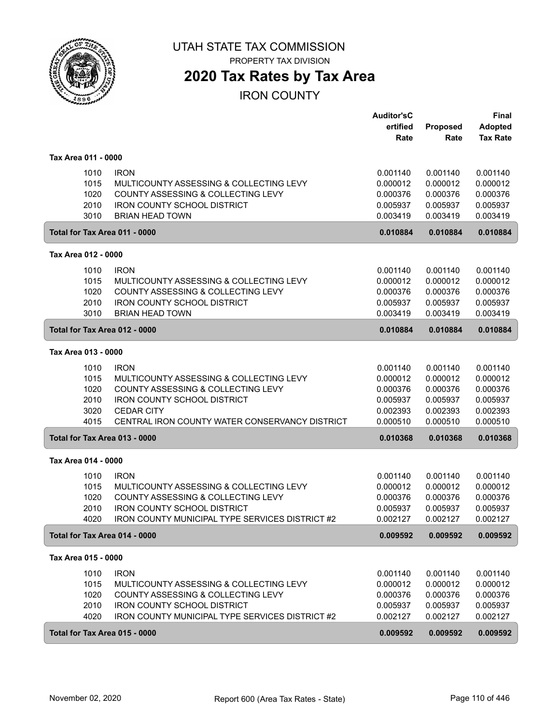

PROPERTY TAX DIVISION

## **2020 Tax Rates by Tax Area**

|                               |                                                 | <b>Auditor'sC</b> |          | <b>Final</b>    |
|-------------------------------|-------------------------------------------------|-------------------|----------|-----------------|
|                               |                                                 | ertified          | Proposed | <b>Adopted</b>  |
|                               |                                                 | Rate              | Rate     | <b>Tax Rate</b> |
| Tax Area 011 - 0000           |                                                 |                   |          |                 |
| 1010                          | <b>IRON</b>                                     | 0.001140          | 0.001140 | 0.001140        |
| 1015                          | MULTICOUNTY ASSESSING & COLLECTING LEVY         | 0.000012          | 0.000012 | 0.000012        |
| 1020                          | COUNTY ASSESSING & COLLECTING LEVY              | 0.000376          | 0.000376 | 0.000376        |
| 2010                          | <b>IRON COUNTY SCHOOL DISTRICT</b>              | 0.005937          | 0.005937 | 0.005937        |
| 3010                          | <b>BRIAN HEAD TOWN</b>                          | 0.003419          | 0.003419 | 0.003419        |
| Total for Tax Area 011 - 0000 |                                                 | 0.010884          | 0.010884 | 0.010884        |
| Tax Area 012 - 0000           |                                                 |                   |          |                 |
| 1010                          | <b>IRON</b>                                     | 0.001140          | 0.001140 | 0.001140        |
| 1015                          | MULTICOUNTY ASSESSING & COLLECTING LEVY         | 0.000012          | 0.000012 | 0.000012        |
| 1020                          | COUNTY ASSESSING & COLLECTING LEVY              | 0.000376          | 0.000376 | 0.000376        |
| 2010                          | <b>IRON COUNTY SCHOOL DISTRICT</b>              | 0.005937          | 0.005937 | 0.005937        |
| 3010                          | <b>BRIAN HEAD TOWN</b>                          | 0.003419          | 0.003419 | 0.003419        |
| Total for Tax Area 012 - 0000 |                                                 | 0.010884          | 0.010884 | 0.010884        |
| Tax Area 013 - 0000           |                                                 |                   |          |                 |
| 1010                          | <b>IRON</b>                                     | 0.001140          | 0.001140 | 0.001140        |
| 1015                          | MULTICOUNTY ASSESSING & COLLECTING LEVY         | 0.000012          | 0.000012 | 0.000012        |
| 1020                          | COUNTY ASSESSING & COLLECTING LEVY              | 0.000376          | 0.000376 | 0.000376        |
| 2010                          | <b>IRON COUNTY SCHOOL DISTRICT</b>              | 0.005937          | 0.005937 | 0.005937        |
| 3020                          | <b>CEDAR CITY</b>                               | 0.002393          | 0.002393 | 0.002393        |
| 4015                          | CENTRAL IRON COUNTY WATER CONSERVANCY DISTRICT  | 0.000510          | 0.000510 | 0.000510        |
| Total for Tax Area 013 - 0000 |                                                 | 0.010368          | 0.010368 | 0.010368        |
| Tax Area 014 - 0000           |                                                 |                   |          |                 |
| 1010                          | <b>IRON</b>                                     | 0.001140          | 0.001140 | 0.001140        |
| 1015                          | MULTICOUNTY ASSESSING & COLLECTING LEVY         | 0.000012          | 0.000012 | 0.000012        |
| 1020                          | COUNTY ASSESSING & COLLECTING LEVY              | 0.000376          | 0.000376 | 0.000376        |
| 2010                          | <b>IRON COUNTY SCHOOL DISTRICT</b>              | 0.005937          | 0.005937 | 0.005937        |
| 4020                          | IRON COUNTY MUNICIPAL TYPE SERVICES DISTRICT #2 | 0.002127          | 0.002127 | 0.002127        |
| Total for Tax Area 014 - 0000 |                                                 | 0.009592          | 0.009592 | 0.009592        |
| Tax Area 015 - 0000           |                                                 |                   |          |                 |
| 1010                          | <b>IRON</b>                                     | 0.001140          | 0.001140 | 0.001140        |
| 1015                          | MULTICOUNTY ASSESSING & COLLECTING LEVY         | 0.000012          | 0.000012 | 0.000012        |
| 1020                          | COUNTY ASSESSING & COLLECTING LEVY              | 0.000376          | 0.000376 | 0.000376        |
| 2010                          | <b>IRON COUNTY SCHOOL DISTRICT</b>              | 0.005937          | 0.005937 | 0.005937        |
| 4020                          | IRON COUNTY MUNICIPAL TYPE SERVICES DISTRICT #2 | 0.002127          | 0.002127 | 0.002127        |
| Total for Tax Area 015 - 0000 |                                                 | 0.009592          | 0.009592 | 0.009592        |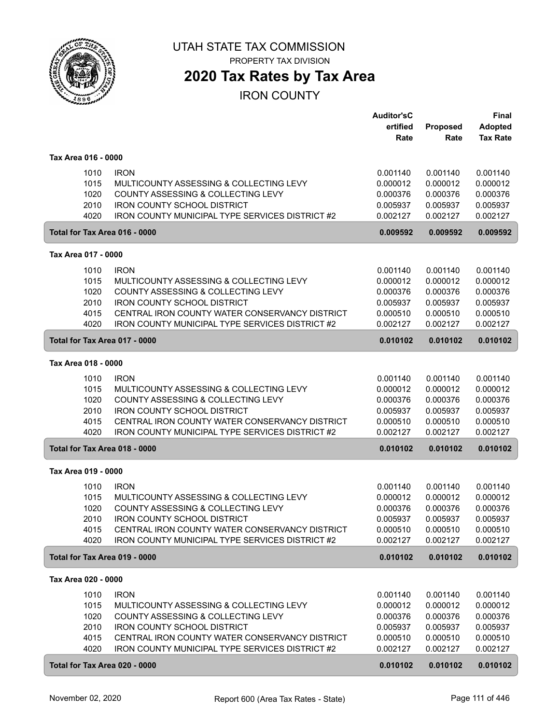

## **2020 Tax Rates by Tax Area**

|                               |                                                                                       | <b>Auditor'sC</b>    |                      | <b>Final</b>         |
|-------------------------------|---------------------------------------------------------------------------------------|----------------------|----------------------|----------------------|
|                               |                                                                                       | ertified             | Proposed             | <b>Adopted</b>       |
|                               |                                                                                       | Rate                 | Rate                 | <b>Tax Rate</b>      |
| Tax Area 016 - 0000           |                                                                                       |                      |                      |                      |
| 1010                          | <b>IRON</b>                                                                           | 0.001140             | 0.001140             | 0.001140             |
| 1015                          | MULTICOUNTY ASSESSING & COLLECTING LEVY                                               | 0.000012             | 0.000012             | 0.000012             |
| 1020                          | COUNTY ASSESSING & COLLECTING LEVY                                                    |                      |                      |                      |
| 2010                          |                                                                                       | 0.000376<br>0.005937 | 0.000376             | 0.000376             |
| 4020                          | <b>IRON COUNTY SCHOOL DISTRICT</b><br>IRON COUNTY MUNICIPAL TYPE SERVICES DISTRICT #2 | 0.002127             | 0.005937<br>0.002127 | 0.005937<br>0.002127 |
|                               |                                                                                       |                      |                      |                      |
| Total for Tax Area 016 - 0000 |                                                                                       | 0.009592             | 0.009592             | 0.009592             |
| Tax Area 017 - 0000           |                                                                                       |                      |                      |                      |
| 1010                          | <b>IRON</b>                                                                           | 0.001140             | 0.001140             | 0.001140             |
| 1015                          | MULTICOUNTY ASSESSING & COLLECTING LEVY                                               | 0.000012             | 0.000012             | 0.000012             |
| 1020                          | COUNTY ASSESSING & COLLECTING LEVY                                                    | 0.000376             | 0.000376             | 0.000376             |
| 2010                          | <b>IRON COUNTY SCHOOL DISTRICT</b>                                                    | 0.005937             | 0.005937             | 0.005937             |
| 4015                          | CENTRAL IRON COUNTY WATER CONSERVANCY DISTRICT                                        | 0.000510             | 0.000510             | 0.000510             |
| 4020                          | <b>IRON COUNTY MUNICIPAL TYPE SERVICES DISTRICT #2</b>                                | 0.002127             | 0.002127             | 0.002127             |
| Total for Tax Area 017 - 0000 |                                                                                       | 0.010102             | 0.010102             | 0.010102             |
| Tax Area 018 - 0000           |                                                                                       |                      |                      |                      |
|                               |                                                                                       |                      |                      |                      |
| 1010                          | <b>IRON</b>                                                                           | 0.001140             | 0.001140             | 0.001140             |
| 1015                          | MULTICOUNTY ASSESSING & COLLECTING LEVY                                               | 0.000012             | 0.000012             | 0.000012             |
| 1020                          | COUNTY ASSESSING & COLLECTING LEVY                                                    | 0.000376             | 0.000376             | 0.000376             |
| 2010                          | <b>IRON COUNTY SCHOOL DISTRICT</b>                                                    | 0.005937             | 0.005937             | 0.005937             |
| 4015                          | CENTRAL IRON COUNTY WATER CONSERVANCY DISTRICT                                        | 0.000510             | 0.000510             | 0.000510             |
| 4020                          | IRON COUNTY MUNICIPAL TYPE SERVICES DISTRICT #2                                       | 0.002127             | 0.002127             | 0.002127             |
| Total for Tax Area 018 - 0000 |                                                                                       | 0.010102             | 0.010102             | 0.010102             |
| Tax Area 019 - 0000           |                                                                                       |                      |                      |                      |
| 1010                          | <b>IRON</b>                                                                           | 0.001140             | 0.001140             | 0.001140             |
| 1015                          | MULTICOUNTY ASSESSING & COLLECTING LEVY                                               | 0.000012             | 0.000012             | 0.000012             |
| 1020                          | COUNTY ASSESSING & COLLECTING LEVY                                                    | 0.000376             | 0.000376             | 0.000376             |
| 2010                          | <b>IRON COUNTY SCHOOL DISTRICT</b>                                                    | 0.005937             | 0.005937             | 0.005937             |
| 4015                          | CENTRAL IRON COUNTY WATER CONSERVANCY DISTRICT                                        | 0.000510             | 0.000510             | 0.000510             |
| 4020                          | IRON COUNTY MUNICIPAL TYPE SERVICES DISTRICT #2                                       | 0.002127             | 0.002127             | 0.002127             |
| Total for Tax Area 019 - 0000 |                                                                                       | 0.010102             | 0.010102             | 0.010102             |
|                               |                                                                                       |                      |                      |                      |
| Tax Area 020 - 0000           |                                                                                       |                      |                      |                      |
| 1010                          | <b>IRON</b>                                                                           | 0.001140             | 0.001140             | 0.001140             |
| 1015                          | MULTICOUNTY ASSESSING & COLLECTING LEVY                                               | 0.000012             | 0.000012             | 0.000012             |
| 1020                          | COUNTY ASSESSING & COLLECTING LEVY                                                    | 0.000376             | 0.000376             | 0.000376             |
| 2010                          | <b>IRON COUNTY SCHOOL DISTRICT</b>                                                    | 0.005937             | 0.005937             | 0.005937             |
| 4015                          | CENTRAL IRON COUNTY WATER CONSERVANCY DISTRICT                                        | 0.000510             | 0.000510             | 0.000510             |
| 4020                          | IRON COUNTY MUNICIPAL TYPE SERVICES DISTRICT #2                                       | 0.002127             | 0.002127             | 0.002127             |
| Total for Tax Area 020 - 0000 |                                                                                       | 0.010102             | 0.010102             | 0.010102             |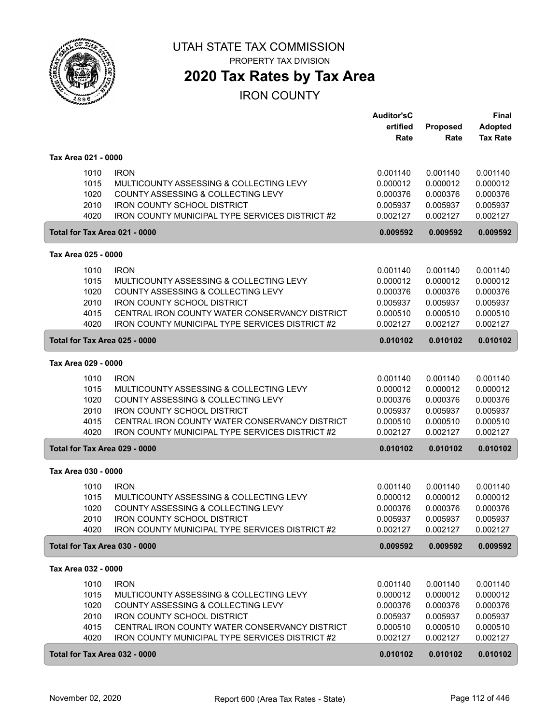

## **2020 Tax Rates by Tax Area**

|                               |                                                        | <b>Auditor'sC</b>    |                      | <b>Final</b>         |
|-------------------------------|--------------------------------------------------------|----------------------|----------------------|----------------------|
|                               |                                                        | ertified             | Proposed             | <b>Adopted</b>       |
|                               |                                                        | Rate                 | Rate                 | <b>Tax Rate</b>      |
| Tax Area 021 - 0000           |                                                        |                      |                      |                      |
| 1010                          | <b>IRON</b>                                            | 0.001140             | 0.001140             | 0.001140             |
| 1015                          | MULTICOUNTY ASSESSING & COLLECTING LEVY                | 0.000012             | 0.000012             | 0.000012             |
| 1020                          | COUNTY ASSESSING & COLLECTING LEVY                     | 0.000376             | 0.000376             | 0.000376             |
| 2010                          | <b>IRON COUNTY SCHOOL DISTRICT</b>                     | 0.005937             | 0.005937             | 0.005937             |
| 4020                          | IRON COUNTY MUNICIPAL TYPE SERVICES DISTRICT #2        | 0.002127             | 0.002127             | 0.002127             |
| Total for Tax Area 021 - 0000 |                                                        | 0.009592             | 0.009592             | 0.009592             |
| Tax Area 025 - 0000           |                                                        |                      |                      |                      |
| 1010                          | <b>IRON</b>                                            | 0.001140             | 0.001140             | 0.001140             |
| 1015                          | MULTICOUNTY ASSESSING & COLLECTING LEVY                | 0.000012             | 0.000012             | 0.000012             |
| 1020                          | COUNTY ASSESSING & COLLECTING LEVY                     | 0.000376             | 0.000376             | 0.000376             |
| 2010                          | <b>IRON COUNTY SCHOOL DISTRICT</b>                     | 0.005937             | 0.005937             | 0.005937             |
| 4015                          | CENTRAL IRON COUNTY WATER CONSERVANCY DISTRICT         | 0.000510             | 0.000510             | 0.000510             |
| 4020                          | <b>IRON COUNTY MUNICIPAL TYPE SERVICES DISTRICT #2</b> | 0.002127             | 0.002127             | 0.002127             |
| Total for Tax Area 025 - 0000 |                                                        | 0.010102             | 0.010102             | 0.010102             |
| Tax Area 029 - 0000           |                                                        |                      |                      |                      |
| 1010                          | <b>IRON</b>                                            | 0.001140             | 0.001140             | 0.001140             |
| 1015                          | MULTICOUNTY ASSESSING & COLLECTING LEVY                | 0.000012             | 0.000012             | 0.000012             |
| 1020                          | COUNTY ASSESSING & COLLECTING LEVY                     | 0.000376             | 0.000376             | 0.000376             |
| 2010                          | <b>IRON COUNTY SCHOOL DISTRICT</b>                     | 0.005937             | 0.005937             | 0.005937             |
| 4015                          | CENTRAL IRON COUNTY WATER CONSERVANCY DISTRICT         | 0.000510             | 0.000510             | 0.000510             |
| 4020                          | <b>IRON COUNTY MUNICIPAL TYPE SERVICES DISTRICT #2</b> | 0.002127             | 0.002127             | 0.002127             |
| Total for Tax Area 029 - 0000 |                                                        | 0.010102             | 0.010102             | 0.010102             |
| Tax Area 030 - 0000           |                                                        |                      |                      |                      |
|                               |                                                        | 0.001140             |                      |                      |
| 1010<br>1015                  | <b>IRON</b><br>MULTICOUNTY ASSESSING & COLLECTING LEVY | 0.000012             | 0.001140<br>0.000012 | 0.001140<br>0.000012 |
| 1020                          | COUNTY ASSESSING & COLLECTING LEVY                     | 0.000376             | 0.000376             | 0.000376             |
| 2010                          | <b>IRON COUNTY SCHOOL DISTRICT</b>                     | 0.005937             | 0.005937             | 0.005937             |
| 4020                          | <b>IRON COUNTY MUNICIPAL TYPE SERVICES DISTRICT #2</b> | 0.002127             | 0.002127             | 0.002127             |
| Total for Tax Area 030 - 0000 |                                                        | 0.009592             | 0.009592             | 0.009592             |
| Tax Area 032 - 0000           |                                                        |                      |                      |                      |
|                               | <b>IRON</b>                                            |                      |                      | 0.001140             |
| 1010<br>1015                  | MULTICOUNTY ASSESSING & COLLECTING LEVY                | 0.001140<br>0.000012 | 0.001140<br>0.000012 | 0.000012             |
| 1020                          | COUNTY ASSESSING & COLLECTING LEVY                     | 0.000376             | 0.000376             | 0.000376             |
| 2010                          | <b>IRON COUNTY SCHOOL DISTRICT</b>                     | 0.005937             | 0.005937             | 0.005937             |
| 4015                          | CENTRAL IRON COUNTY WATER CONSERVANCY DISTRICT         | 0.000510             | 0.000510             | 0.000510             |
| 4020                          | IRON COUNTY MUNICIPAL TYPE SERVICES DISTRICT #2        | 0.002127             | 0.002127             | 0.002127             |
| Total for Tax Area 032 - 0000 |                                                        | 0.010102             | 0.010102             | 0.010102             |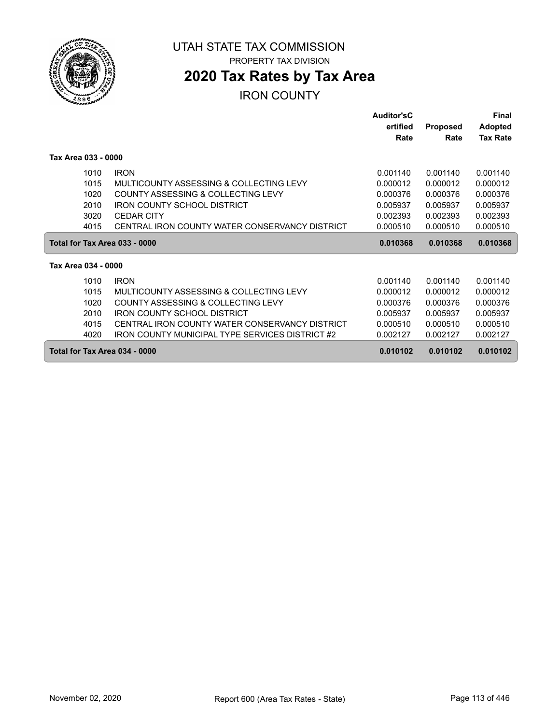

**2020 Tax Rates by Tax Area**

|                               |                                                 | Auditor'sC<br>ertified | <b>Proposed</b> | Final<br><b>Adopted</b> |
|-------------------------------|-------------------------------------------------|------------------------|-----------------|-------------------------|
|                               |                                                 | Rate                   | Rate            | <b>Tax Rate</b>         |
| Tax Area 033 - 0000           |                                                 |                        |                 |                         |
| 1010                          | <b>IRON</b>                                     | 0.001140               | 0.001140        | 0.001140                |
| 1015                          | MULTICOUNTY ASSESSING & COLLECTING LEVY         | 0.000012               | 0.000012        | 0.000012                |
| 1020                          | COUNTY ASSESSING & COLLECTING LEVY              | 0.000376               | 0.000376        | 0.000376                |
| 2010                          | <b>IRON COUNTY SCHOOL DISTRICT</b>              | 0.005937               | 0.005937        | 0.005937                |
| 3020                          | <b>CEDAR CITY</b>                               | 0.002393               | 0.002393        | 0.002393                |
| 4015                          | CENTRAL IRON COUNTY WATER CONSERVANCY DISTRICT  | 0.000510               | 0.000510        | 0.000510                |
| Total for Tax Area 033 - 0000 |                                                 | 0.010368               | 0.010368        | 0.010368                |
| Tax Area 034 - 0000           |                                                 |                        |                 |                         |
| 1010                          | <b>IRON</b>                                     | 0.001140               | 0.001140        | 0.001140                |
| 1015                          | MULTICOUNTY ASSESSING & COLLECTING LEVY         | 0.000012               | 0.000012        | 0.000012                |
| 1020                          | COUNTY ASSESSING & COLLECTING LEVY              | 0.000376               | 0.000376        | 0.000376                |
| 2010                          | <b>IRON COUNTY SCHOOL DISTRICT</b>              | 0.005937               | 0.005937        | 0.005937                |
| 4015                          | CENTRAL IRON COUNTY WATER CONSERVANCY DISTRICT  | 0.000510               | 0.000510        | 0.000510                |
| 4020                          | IRON COUNTY MUNICIPAL TYPE SERVICES DISTRICT #2 | 0.002127               | 0.002127        | 0.002127                |
| Total for Tax Area 034 - 0000 |                                                 | 0.010102               | 0.010102        | 0.010102                |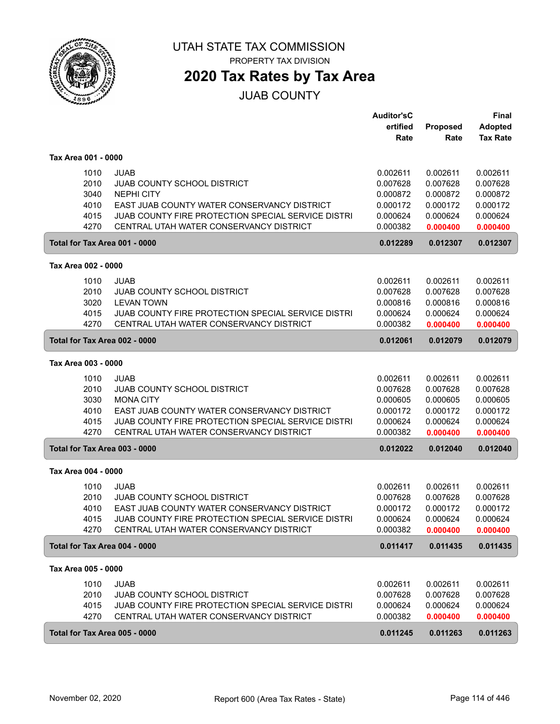

PROPERTY TAX DIVISION

## **2020 Tax Rates by Tax Area**

JUAB COUNTY

|                               |                                                    | <b>Auditor'sC</b> |          | <b>Final</b>    |
|-------------------------------|----------------------------------------------------|-------------------|----------|-----------------|
|                               |                                                    | ertified          | Proposed | <b>Adopted</b>  |
|                               |                                                    | Rate              | Rate     | <b>Tax Rate</b> |
|                               |                                                    |                   |          |                 |
| Tax Area 001 - 0000           |                                                    |                   |          |                 |
| 1010                          | <b>JUAB</b>                                        | 0.002611          | 0.002611 | 0.002611        |
| 2010                          | <b>JUAB COUNTY SCHOOL DISTRICT</b>                 | 0.007628          | 0.007628 | 0.007628        |
| 3040                          | <b>NEPHI CITY</b>                                  | 0.000872          | 0.000872 | 0.000872        |
| 4010                          | EAST JUAB COUNTY WATER CONSERVANCY DISTRICT        | 0.000172          | 0.000172 | 0.000172        |
| 4015                          | JUAB COUNTY FIRE PROTECTION SPECIAL SERVICE DISTRI | 0.000624          | 0.000624 | 0.000624        |
| 4270                          | CENTRAL UTAH WATER CONSERVANCY DISTRICT            | 0.000382          | 0.000400 | 0.000400        |
| Total for Tax Area 001 - 0000 |                                                    | 0.012289          | 0.012307 | 0.012307        |
|                               |                                                    |                   |          |                 |
| Tax Area 002 - 0000           |                                                    |                   |          |                 |
| 1010                          | <b>JUAB</b>                                        | 0.002611          | 0.002611 | 0.002611        |
| 2010                          | <b>JUAB COUNTY SCHOOL DISTRICT</b>                 | 0.007628          | 0.007628 | 0.007628        |
| 3020                          | <b>LEVAN TOWN</b>                                  | 0.000816          | 0.000816 | 0.000816        |
| 4015                          | JUAB COUNTY FIRE PROTECTION SPECIAL SERVICE DISTRI | 0.000624          | 0.000624 | 0.000624        |
| 4270                          | CENTRAL UTAH WATER CONSERVANCY DISTRICT            | 0.000382          | 0.000400 | 0.000400        |
| Total for Tax Area 002 - 0000 |                                                    | 0.012061          | 0.012079 | 0.012079        |
| Tax Area 003 - 0000           |                                                    |                   |          |                 |
| 1010                          | JUAB                                               | 0.002611          | 0.002611 | 0.002611        |
| 2010                          | <b>JUAB COUNTY SCHOOL DISTRICT</b>                 | 0.007628          | 0.007628 | 0.007628        |
| 3030                          | <b>MONA CITY</b>                                   | 0.000605          | 0.000605 | 0.000605        |
| 4010                          | EAST JUAB COUNTY WATER CONSERVANCY DISTRICT        | 0.000172          | 0.000172 | 0.000172        |
| 4015                          | JUAB COUNTY FIRE PROTECTION SPECIAL SERVICE DISTRI | 0.000624          | 0.000624 | 0.000624        |
| 4270                          | CENTRAL UTAH WATER CONSERVANCY DISTRICT            | 0.000382          | 0.000400 | 0.000400        |
|                               |                                                    |                   |          |                 |
| Total for Tax Area 003 - 0000 |                                                    | 0.012022          | 0.012040 | 0.012040        |
| Tax Area 004 - 0000           |                                                    |                   |          |                 |
| 1010                          | JUAB                                               | 0.002611          | 0.002611 | 0.002611        |
| 2010                          | <b>JUAB COUNTY SCHOOL DISTRICT</b>                 | 0.007628          | 0.007628 | 0.007628        |
| 4010                          | EAST JUAB COUNTY WATER CONSERVANCY DISTRICT        | 0.000172          | 0.000172 | 0.000172        |
| 4015                          | JUAB COUNTY FIRE PROTECTION SPECIAL SERVICE DISTRI | 0.000624          | 0.000624 | 0.000624        |
| 4270                          | CENTRAL UTAH WATER CONSERVANCY DISTRICT            | 0.000382          |          |                 |
|                               |                                                    |                   | 0.000400 | 0.000400        |
| Total for Tax Area 004 - 0000 |                                                    | 0.011417          | 0.011435 | 0.011435        |
| Tax Area 005 - 0000           |                                                    |                   |          |                 |
| 1010                          | <b>JUAB</b>                                        | 0.002611          | 0.002611 | 0.002611        |
| 2010                          | <b>JUAB COUNTY SCHOOL DISTRICT</b>                 | 0.007628          | 0.007628 | 0.007628        |
| 4015                          | JUAB COUNTY FIRE PROTECTION SPECIAL SERVICE DISTRI | 0.000624          | 0.000624 | 0.000624        |
| 4270                          | CENTRAL UTAH WATER CONSERVANCY DISTRICT            | 0.000382          | 0.000400 | 0.000400        |
|                               |                                                    |                   |          |                 |
| Total for Tax Area 005 - 0000 |                                                    | 0.011245          | 0.011263 | 0.011263        |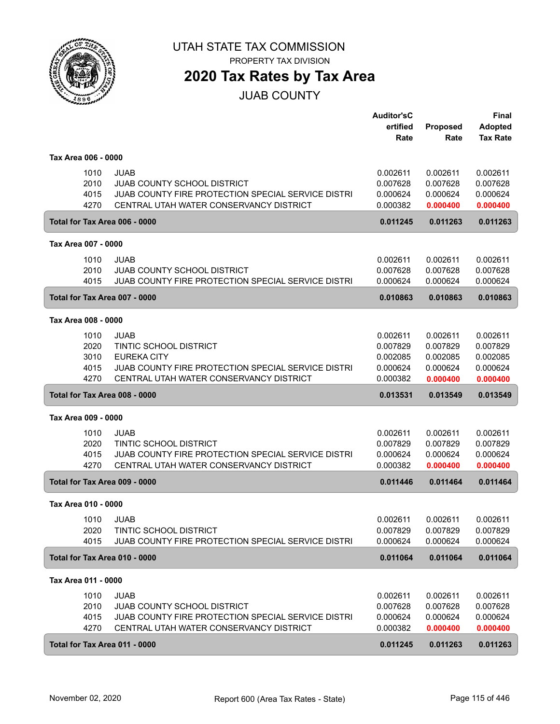

**2020 Tax Rates by Tax Area**

JUAB COUNTY

|                     |                                                    | <b>Auditor'sC</b> |                         | <b>Final</b>                      |
|---------------------|----------------------------------------------------|-------------------|-------------------------|-----------------------------------|
|                     |                                                    | ertified<br>Rate  | <b>Proposed</b><br>Rate | <b>Adopted</b><br><b>Tax Rate</b> |
|                     |                                                    |                   |                         |                                   |
| Tax Area 006 - 0000 |                                                    |                   |                         |                                   |
| 1010                | JUAB                                               | 0.002611          | 0.002611                | 0.002611                          |
| 2010                | JUAB COUNTY SCHOOL DISTRICT                        | 0.007628          | 0.007628                | 0.007628                          |
| 4015                | JUAB COUNTY FIRE PROTECTION SPECIAL SERVICE DISTRI | 0.000624          | 0.000624                | 0.000624                          |
| 4270                | CENTRAL UTAH WATER CONSERVANCY DISTRICT            | 0.000382          | 0.000400                | 0.000400                          |
|                     | Total for Tax Area 006 - 0000                      | 0.011245          | 0.011263                | 0.011263                          |
| Tax Area 007 - 0000 |                                                    |                   |                         |                                   |
| 1010                | JUAB                                               | 0.002611          | 0.002611                | 0.002611                          |
| 2010                | <b>JUAB COUNTY SCHOOL DISTRICT</b>                 | 0.007628          | 0.007628                | 0.007628                          |
| 4015                | JUAB COUNTY FIRE PROTECTION SPECIAL SERVICE DISTRI | 0.000624          | 0.000624                | 0.000624                          |
|                     | Total for Tax Area 007 - 0000                      | 0.010863          | 0.010863                | 0.010863                          |
| Tax Area 008 - 0000 |                                                    |                   |                         |                                   |
| 1010                | <b>JUAB</b>                                        | 0.002611          | 0.002611                | 0.002611                          |
| 2020                | TINTIC SCHOOL DISTRICT                             | 0.007829          | 0.007829                | 0.007829                          |
| 3010                | <b>EUREKA CITY</b>                                 | 0.002085          | 0.002085                | 0.002085                          |
| 4015                | JUAB COUNTY FIRE PROTECTION SPECIAL SERVICE DISTRI | 0.000624          | 0.000624                | 0.000624                          |
| 4270                | CENTRAL UTAH WATER CONSERVANCY DISTRICT            | 0.000382          | 0.000400                | 0.000400                          |
|                     | Total for Tax Area 008 - 0000                      | 0.013531          | 0.013549                | 0.013549                          |
| Tax Area 009 - 0000 |                                                    |                   |                         |                                   |
| 1010                | <b>JUAB</b>                                        | 0.002611          | 0.002611                | 0.002611                          |
| 2020                | <b>TINTIC SCHOOL DISTRICT</b>                      | 0.007829          | 0.007829                | 0.007829                          |
| 4015                | JUAB COUNTY FIRE PROTECTION SPECIAL SERVICE DISTRI | 0.000624          | 0.000624                | 0.000624                          |
| 4270                | CENTRAL UTAH WATER CONSERVANCY DISTRICT            | 0.000382          | 0.000400                | 0.000400                          |
|                     | Total for Tax Area 009 - 0000                      | 0.011446          | 0.011464                | 0.011464                          |
| Tax Area 010 - 0000 |                                                    |                   |                         |                                   |
|                     | 1010 JUAB                                          | 0.002611          | 0.002611                | 0.002611                          |
| 2020                | TINTIC SCHOOL DISTRICT                             | 0.007829          | 0.007829                | 0.007829                          |
| 4015                | JUAB COUNTY FIRE PROTECTION SPECIAL SERVICE DISTRI | 0.000624          | 0.000624                | 0.000624                          |
|                     | Total for Tax Area 010 - 0000                      | 0.011064          | 0.011064                | 0.011064                          |
| Tax Area 011 - 0000 |                                                    |                   |                         |                                   |
| 1010                | <b>JUAB</b>                                        | 0.002611          | 0.002611                | 0.002611                          |
| 2010                | <b>JUAB COUNTY SCHOOL DISTRICT</b>                 | 0.007628          | 0.007628                | 0.007628                          |
| 4015                | JUAB COUNTY FIRE PROTECTION SPECIAL SERVICE DISTRI | 0.000624          | 0.000624                | 0.000624                          |
| 4270                | CENTRAL UTAH WATER CONSERVANCY DISTRICT            | 0.000382          | 0.000400                | 0.000400                          |
|                     | Total for Tax Area 011 - 0000                      | 0.011245          | 0.011263                | 0.011263                          |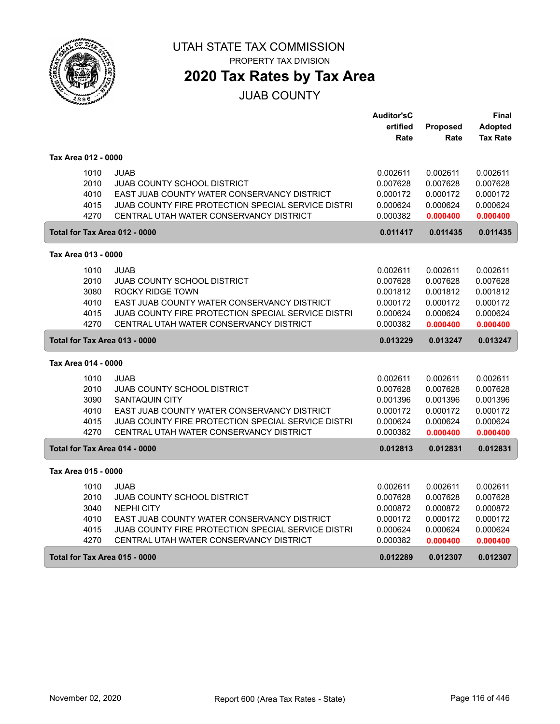

# **2020 Tax Rates by Tax Area**

### JUAB COUNTY

|                     |                                                            | <b>Auditor'sC</b> |                 | Final           |
|---------------------|------------------------------------------------------------|-------------------|-----------------|-----------------|
|                     |                                                            | ertified          | <b>Proposed</b> | <b>Adopted</b>  |
|                     |                                                            | Rate              | Rate            | <b>Tax Rate</b> |
|                     |                                                            |                   |                 |                 |
| Tax Area 012 - 0000 |                                                            |                   |                 |                 |
|                     | 1010<br><b>JUAB</b>                                        | 0.002611          | 0.002611        | 0.002611        |
|                     | 2010<br><b>JUAB COUNTY SCHOOL DISTRICT</b>                 | 0.007628          | 0.007628        | 0.007628        |
|                     | 4010<br>EAST JUAB COUNTY WATER CONSERVANCY DISTRICT        | 0.000172          | 0.000172        | 0.000172        |
|                     | JUAB COUNTY FIRE PROTECTION SPECIAL SERVICE DISTRI<br>4015 | 0.000624          | 0.000624        | 0.000624        |
|                     | 4270<br>CENTRAL UTAH WATER CONSERVANCY DISTRICT            | 0.000382          | 0.000400        | 0.000400        |
|                     | Total for Tax Area 012 - 0000                              | 0.011417          | 0.011435        | 0.011435        |
| Tax Area 013 - 0000 |                                                            |                   |                 |                 |
|                     | 1010<br><b>JUAB</b>                                        | 0.002611          | 0.002611        | 0.002611        |
|                     | 2010<br><b>JUAB COUNTY SCHOOL DISTRICT</b>                 | 0.007628          | 0.007628        | 0.007628        |
|                     | 3080<br><b>ROCKY RIDGE TOWN</b>                            | 0.001812          | 0.001812        | 0.001812        |
|                     | 4010<br>EAST JUAB COUNTY WATER CONSERVANCY DISTRICT        | 0.000172          | 0.000172        | 0.000172        |
|                     | 4015<br>JUAB COUNTY FIRE PROTECTION SPECIAL SERVICE DISTRI | 0.000624          | 0.000624        | 0.000624        |
|                     | 4270<br>CENTRAL UTAH WATER CONSERVANCY DISTRICT            | 0.000382          | 0.000400        | 0.000400        |
|                     | Total for Tax Area 013 - 0000                              | 0.013229          | 0.013247        | 0.013247        |
| Tax Area 014 - 0000 |                                                            |                   |                 |                 |
|                     | 1010<br><b>JUAB</b>                                        | 0.002611          | 0.002611        | 0.002611        |
|                     | 2010<br><b>JUAB COUNTY SCHOOL DISTRICT</b>                 | 0.007628          | 0.007628        | 0.007628        |
|                     | 3090<br><b>SANTAQUIN CITY</b>                              | 0.001396          | 0.001396        | 0.001396        |
|                     | 4010<br>EAST JUAB COUNTY WATER CONSERVANCY DISTRICT        | 0.000172          | 0.000172        | 0.000172        |
|                     | JUAB COUNTY FIRE PROTECTION SPECIAL SERVICE DISTRI<br>4015 | 0.000624          | 0.000624        | 0.000624        |
|                     | 4270<br>CENTRAL UTAH WATER CONSERVANCY DISTRICT            | 0.000382          | 0.000400        | 0.000400        |
|                     | Total for Tax Area 014 - 0000                              | 0.012813          | 0.012831        | 0.012831        |
| Tax Area 015 - 0000 |                                                            |                   |                 |                 |
|                     | 1010<br><b>JUAB</b>                                        | 0.002611          | 0.002611        | 0.002611        |
|                     | 2010<br>JUAB COUNTY SCHOOL DISTRICT                        | 0.007628          | 0.007628        | 0.007628        |
|                     | 3040<br><b>NEPHI CITY</b>                                  | 0.000872          | 0.000872        | 0.000872        |
|                     | 4010<br>EAST JUAB COUNTY WATER CONSERVANCY DISTRICT        | 0.000172          | 0.000172        | 0.000172        |
|                     | JUAB COUNTY FIRE PROTECTION SPECIAL SERVICE DISTRI<br>4015 | 0.000624          | 0.000624        | 0.000624        |
|                     | 4270<br>CENTRAL UTAH WATER CONSERVANCY DISTRICT            | 0.000382          | 0.000400        | 0.000400        |
|                     | Total for Tax Area 015 - 0000                              | 0.012289          | 0.012307        | 0.012307        |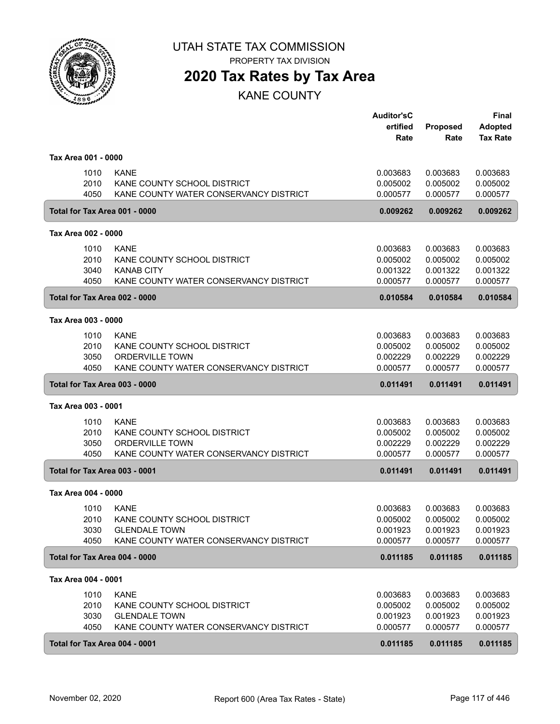

PROPERTY TAX DIVISION

## **2020 Tax Rates by Tax Area**

KANE COUNTY

|                               |                                        | <b>Auditor'sC</b> |                 | Final           |
|-------------------------------|----------------------------------------|-------------------|-----------------|-----------------|
|                               |                                        | ertified          | <b>Proposed</b> | <b>Adopted</b>  |
|                               |                                        | Rate              | Rate            | <b>Tax Rate</b> |
| Tax Area 001 - 0000           |                                        |                   |                 |                 |
| 1010                          | <b>KANE</b>                            | 0.003683          | 0.003683        | 0.003683        |
| 2010                          | KANE COUNTY SCHOOL DISTRICT            | 0.005002          | 0.005002        | 0.005002        |
| 4050                          | KANE COUNTY WATER CONSERVANCY DISTRICT | 0.000577          | 0.000577        | 0.000577        |
| Total for Tax Area 001 - 0000 |                                        | 0.009262          | 0.009262        | 0.009262        |
| Tax Area 002 - 0000           |                                        |                   |                 |                 |
| 1010                          | <b>KANE</b>                            | 0.003683          | 0.003683        | 0.003683        |
| 2010                          | KANE COUNTY SCHOOL DISTRICT            | 0.005002          | 0.005002        | 0.005002        |
| 3040                          | <b>KANAB CITY</b>                      | 0.001322          | 0.001322        | 0.001322        |
| 4050                          | KANE COUNTY WATER CONSERVANCY DISTRICT | 0.000577          | 0.000577        | 0.000577        |
| Total for Tax Area 002 - 0000 |                                        | 0.010584          | 0.010584        | 0.010584        |
| Tax Area 003 - 0000           |                                        |                   |                 |                 |
| 1010                          | <b>KANE</b>                            | 0.003683          | 0.003683        | 0.003683        |
| 2010                          | KANE COUNTY SCHOOL DISTRICT            | 0.005002          | 0.005002        | 0.005002        |
| 3050                          | <b>ORDERVILLE TOWN</b>                 | 0.002229          | 0.002229        | 0.002229        |
| 4050                          | KANE COUNTY WATER CONSERVANCY DISTRICT | 0.000577          | 0.000577        | 0.000577        |
| Total for Tax Area 003 - 0000 |                                        | 0.011491          | 0.011491        | 0.011491        |
| Tax Area 003 - 0001           |                                        |                   |                 |                 |
| 1010                          | <b>KANE</b>                            | 0.003683          | 0.003683        | 0.003683        |
| 2010                          | KANE COUNTY SCHOOL DISTRICT            | 0.005002          | 0.005002        | 0.005002        |
| 3050                          | <b>ORDERVILLE TOWN</b>                 | 0.002229          | 0.002229        | 0.002229        |
| 4050                          | KANE COUNTY WATER CONSERVANCY DISTRICT | 0.000577          | 0.000577        | 0.000577        |
| Total for Tax Area 003 - 0001 |                                        | 0.011491          | 0.011491        | 0.011491        |
| Tax Area 004 - 0000           |                                        |                   |                 |                 |
| 1010                          | <b>KANE</b>                            | 0.003683          | 0.003683        | 0.003683        |
| 2010                          | KANE COUNTY SCHOOL DISTRICT            | 0.005002          | 0.005002        | 0.005002        |
| 3030                          | <b>GLENDALE TOWN</b>                   | 0.001923          | 0.001923        | 0.001923        |
| 4050                          | KANE COUNTY WATER CONSERVANCY DISTRICT | 0.000577          | 0.000577        | 0.000577        |
| Total for Tax Area 004 - 0000 |                                        | 0.011185          | 0.011185        | 0.011185        |
| Tax Area 004 - 0001           |                                        |                   |                 |                 |
| 1010                          | <b>KANE</b>                            | 0.003683          | 0.003683        | 0.003683        |
| 2010                          | KANE COUNTY SCHOOL DISTRICT            | 0.005002          | 0.005002        | 0.005002        |
| 3030                          | <b>GLENDALE TOWN</b>                   | 0.001923          | 0.001923        | 0.001923        |
| 4050                          | KANE COUNTY WATER CONSERVANCY DISTRICT | 0.000577          | 0.000577        | 0.000577        |
| Total for Tax Area 004 - 0001 |                                        | 0.011185          | 0.011185        | 0.011185        |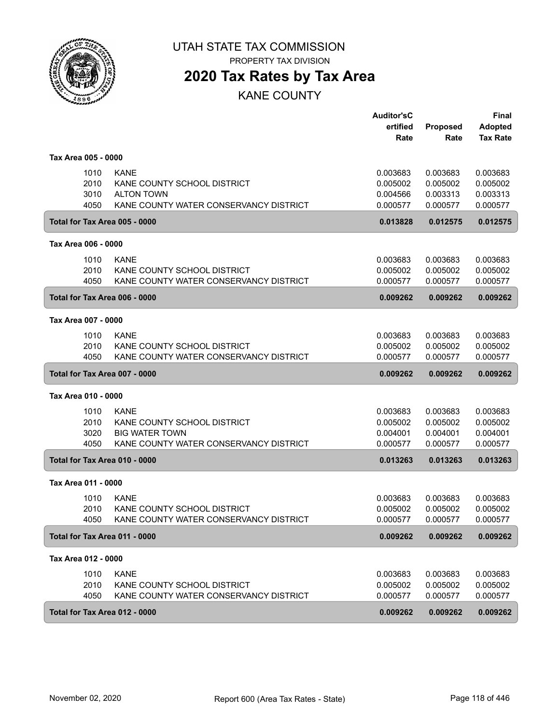

PROPERTY TAX DIVISION

## **2020 Tax Rates by Tax Area**

KANE COUNTY

|                               |                                                                                                               | <b>Auditor'sC</b><br>ertified<br>Rate        | Proposed<br>Rate                             | <b>Final</b><br><b>Adopted</b><br><b>Tax Rate</b> |
|-------------------------------|---------------------------------------------------------------------------------------------------------------|----------------------------------------------|----------------------------------------------|---------------------------------------------------|
| Tax Area 005 - 0000           |                                                                                                               |                                              |                                              |                                                   |
| 1010<br>2010<br>3010<br>4050  | <b>KANE</b><br>KANE COUNTY SCHOOL DISTRICT<br><b>ALTON TOWN</b><br>KANE COUNTY WATER CONSERVANCY DISTRICT     | 0.003683<br>0.005002<br>0.004566<br>0.000577 | 0.003683<br>0.005002<br>0.003313<br>0.000577 | 0.003683<br>0.005002<br>0.003313<br>0.000577      |
| Total for Tax Area 005 - 0000 |                                                                                                               | 0.013828                                     | 0.012575                                     | 0.012575                                          |
| Tax Area 006 - 0000           |                                                                                                               |                                              |                                              |                                                   |
| 1010<br>2010<br>4050          | <b>KANE</b><br>KANE COUNTY SCHOOL DISTRICT<br>KANE COUNTY WATER CONSERVANCY DISTRICT                          | 0.003683<br>0.005002<br>0.000577             | 0.003683<br>0.005002<br>0.000577             | 0.003683<br>0.005002<br>0.000577                  |
| Total for Tax Area 006 - 0000 |                                                                                                               | 0.009262                                     | 0.009262                                     | 0.009262                                          |
| Tax Area 007 - 0000           |                                                                                                               |                                              |                                              |                                                   |
| 1010<br>2010<br>4050          | <b>KANE</b><br>KANE COUNTY SCHOOL DISTRICT<br>KANE COUNTY WATER CONSERVANCY DISTRICT                          | 0.003683<br>0.005002<br>0.000577             | 0.003683<br>0.005002<br>0.000577             | 0.003683<br>0.005002<br>0.000577                  |
| Total for Tax Area 007 - 0000 |                                                                                                               | 0.009262                                     | 0.009262                                     | 0.009262                                          |
| Tax Area 010 - 0000           |                                                                                                               |                                              |                                              |                                                   |
| 1010<br>2010<br>3020<br>4050  | <b>KANE</b><br>KANE COUNTY SCHOOL DISTRICT<br><b>BIG WATER TOWN</b><br>KANE COUNTY WATER CONSERVANCY DISTRICT | 0.003683<br>0.005002<br>0.004001<br>0.000577 | 0.003683<br>0.005002<br>0.004001<br>0.000577 | 0.003683<br>0.005002<br>0.004001<br>0.000577      |
| Total for Tax Area 010 - 0000 |                                                                                                               | 0.013263                                     | 0.013263                                     | 0.013263                                          |
| Tax Area 011 - 0000           |                                                                                                               |                                              |                                              |                                                   |
| 1010<br>2010<br>4050          | <b>KANE</b><br>KANE COUNTY SCHOOL DISTRICT<br>KANE COUNTY WATER CONSERVANCY DISTRICT                          | 0.003683<br>0.005002<br>0.000577             | 0.003683<br>0.005002<br>0.000577             | 0.003683<br>0.005002<br>0.000577                  |
| Total for Tax Area 011 - 0000 |                                                                                                               | 0.009262                                     | 0.009262                                     | 0.009262                                          |
| Tax Area 012 - 0000           |                                                                                                               |                                              |                                              |                                                   |
| 1010<br>2010<br>4050          | <b>KANE</b><br>KANE COUNTY SCHOOL DISTRICT<br>KANE COUNTY WATER CONSERVANCY DISTRICT                          | 0.003683<br>0.005002<br>0.000577             | 0.003683<br>0.005002<br>0.000577             | 0.003683<br>0.005002<br>0.000577                  |
| Total for Tax Area 012 - 0000 |                                                                                                               | 0.009262                                     | 0.009262                                     | 0.009262                                          |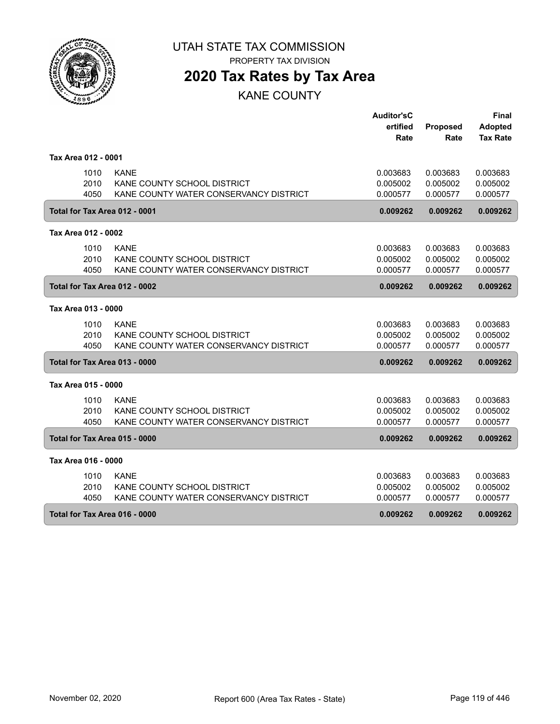

PROPERTY TAX DIVISION

# **2020 Tax Rates by Tax Area**

KANE COUNTY

|                               |                                        | <b>Auditor'sC</b> |                 | <b>Final</b>    |
|-------------------------------|----------------------------------------|-------------------|-----------------|-----------------|
|                               |                                        | ertified          | <b>Proposed</b> | <b>Adopted</b>  |
|                               |                                        | Rate              | Rate            | <b>Tax Rate</b> |
| Tax Area 012 - 0001           |                                        |                   |                 |                 |
| 1010                          | <b>KANE</b>                            | 0.003683          | 0.003683        | 0.003683        |
| 2010                          | KANE COUNTY SCHOOL DISTRICT            | 0.005002          | 0.005002        | 0.005002        |
| 4050                          | KANE COUNTY WATER CONSERVANCY DISTRICT | 0.000577          | 0.000577        | 0.000577        |
| Total for Tax Area 012 - 0001 |                                        | 0.009262          | 0.009262        | 0.009262        |
| Tax Area 012 - 0002           |                                        |                   |                 |                 |
| 1010                          | <b>KANE</b>                            | 0.003683          | 0.003683        | 0.003683        |
| 2010                          | KANE COUNTY SCHOOL DISTRICT            | 0.005002          | 0.005002        | 0.005002        |
| 4050                          | KANE COUNTY WATER CONSERVANCY DISTRICT | 0.000577          | 0.000577        | 0.000577        |
| Total for Tax Area 012 - 0002 |                                        | 0.009262          | 0.009262        | 0.009262        |
| Tax Area 013 - 0000           |                                        |                   |                 |                 |
| 1010                          | <b>KANE</b>                            | 0.003683          | 0.003683        | 0.003683        |
| 2010                          | KANE COUNTY SCHOOL DISTRICT            | 0.005002          | 0.005002        | 0.005002        |
| 4050                          | KANE COUNTY WATER CONSERVANCY DISTRICT | 0.000577          | 0.000577        | 0.000577        |
| Total for Tax Area 013 - 0000 |                                        | 0.009262          | 0.009262        | 0.009262        |
| Tax Area 015 - 0000           |                                        |                   |                 |                 |
| 1010                          | <b>KANE</b>                            | 0.003683          | 0.003683        | 0.003683        |
| 2010                          | KANE COUNTY SCHOOL DISTRICT            | 0.005002          | 0.005002        | 0.005002        |
| 4050                          | KANE COUNTY WATER CONSERVANCY DISTRICT | 0.000577          | 0.000577        | 0.000577        |
| Total for Tax Area 015 - 0000 |                                        | 0.009262          | 0.009262        | 0.009262        |
| Tax Area 016 - 0000           |                                        |                   |                 |                 |
| 1010                          | <b>KANE</b>                            | 0.003683          | 0.003683        | 0.003683        |
| 2010                          | KANE COUNTY SCHOOL DISTRICT            | 0.005002          | 0.005002        | 0.005002        |
| 4050                          | KANE COUNTY WATER CONSERVANCY DISTRICT | 0.000577          | 0.000577        | 0.000577        |
| Total for Tax Area 016 - 0000 |                                        | 0.009262          | 0.009262        | 0.009262        |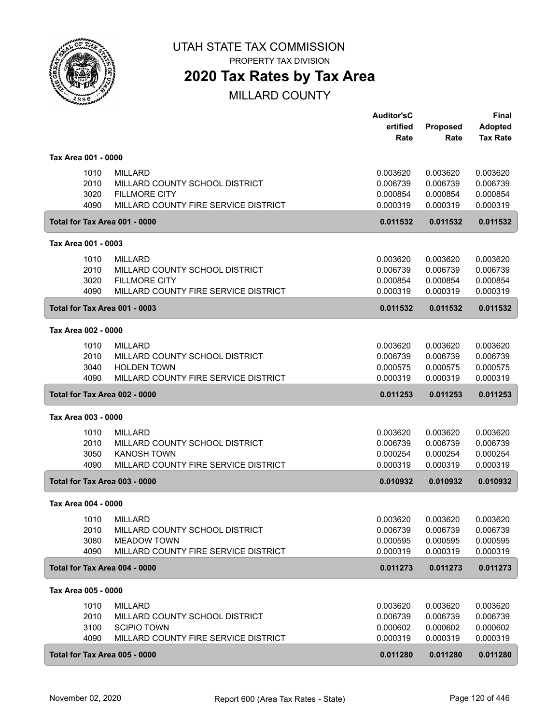

PROPERTY TAX DIVISION

## **2020 Tax Rates by Tax Area**

|                               |                                      | <b>Auditor'sC</b> |                 | Final           |
|-------------------------------|--------------------------------------|-------------------|-----------------|-----------------|
|                               |                                      | ertified          | <b>Proposed</b> | <b>Adopted</b>  |
|                               |                                      | Rate              | Rate            | <b>Tax Rate</b> |
| Tax Area 001 - 0000           |                                      |                   |                 |                 |
| 1010                          | <b>MILLARD</b>                       | 0.003620          | 0.003620        | 0.003620        |
| 2010                          | MILLARD COUNTY SCHOOL DISTRICT       | 0.006739          | 0.006739        | 0.006739        |
| 3020                          | <b>FILLMORE CITY</b>                 | 0.000854          | 0.000854        | 0.000854        |
| 4090                          | MILLARD COUNTY FIRE SERVICE DISTRICT | 0.000319          | 0.000319        | 0.000319        |
| Total for Tax Area 001 - 0000 |                                      | 0.011532          | 0.011532        | 0.011532        |
| Tax Area 001 - 0003           |                                      |                   |                 |                 |
| 1010                          | <b>MILLARD</b>                       | 0.003620          | 0.003620        | 0.003620        |
| 2010                          | MILLARD COUNTY SCHOOL DISTRICT       | 0.006739          | 0.006739        | 0.006739        |
| 3020                          | <b>FILLMORE CITY</b>                 | 0.000854          | 0.000854        | 0.000854        |
| 4090                          | MILLARD COUNTY FIRE SERVICE DISTRICT | 0.000319          | 0.000319        | 0.000319        |
| Total for Tax Area 001 - 0003 |                                      | 0.011532          | 0.011532        | 0.011532        |
| Tax Area 002 - 0000           |                                      |                   |                 |                 |
| 1010                          | <b>MILLARD</b>                       | 0.003620          | 0.003620        | 0.003620        |
| 2010                          | MILLARD COUNTY SCHOOL DISTRICT       | 0.006739          | 0.006739        | 0.006739        |
| 3040                          | <b>HOLDEN TOWN</b>                   | 0.000575          | 0.000575        | 0.000575        |
| 4090                          | MILLARD COUNTY FIRE SERVICE DISTRICT | 0.000319          | 0.000319        | 0.000319        |
| Total for Tax Area 002 - 0000 |                                      | 0.011253          | 0.011253        | 0.011253        |
| Tax Area 003 - 0000           |                                      |                   |                 |                 |
| 1010                          | <b>MILLARD</b>                       | 0.003620          | 0.003620        | 0.003620        |
| 2010                          | MILLARD COUNTY SCHOOL DISTRICT       | 0.006739          | 0.006739        | 0.006739        |
| 3050                          | <b>KANOSH TOWN</b>                   | 0.000254          | 0.000254        | 0.000254        |
| 4090                          | MILLARD COUNTY FIRE SERVICE DISTRICT | 0.000319          | 0.000319        | 0.000319        |
| Total for Tax Area 003 - 0000 |                                      | 0.010932          | 0.010932        | 0.010932        |
| Tax Area 004 - 0000           |                                      |                   |                 |                 |
| 1010                          | MILLARD                              | 0.003620          | 0.003620        | 0.003620        |
| 2010                          | MILLARD COUNTY SCHOOL DISTRICT       | 0.006739          | 0.006739        | 0.006739        |
| 3080                          | <b>MEADOW TOWN</b>                   | 0.000595          | 0.000595        | 0.000595        |
| 4090                          | MILLARD COUNTY FIRE SERVICE DISTRICT | 0.000319          | 0.000319        | 0.000319        |
| Total for Tax Area 004 - 0000 |                                      | 0.011273          | 0.011273        | 0.011273        |
| Tax Area 005 - 0000           |                                      |                   |                 |                 |
| 1010                          | <b>MILLARD</b>                       | 0.003620          | 0.003620        | 0.003620        |
| 2010                          | MILLARD COUNTY SCHOOL DISTRICT       | 0.006739          | 0.006739        | 0.006739        |
| 3100                          | <b>SCIPIO TOWN</b>                   | 0.000602          | 0.000602        | 0.000602        |
| 4090                          |                                      |                   |                 |                 |
|                               | MILLARD COUNTY FIRE SERVICE DISTRICT | 0.000319          | 0.000319        | 0.000319        |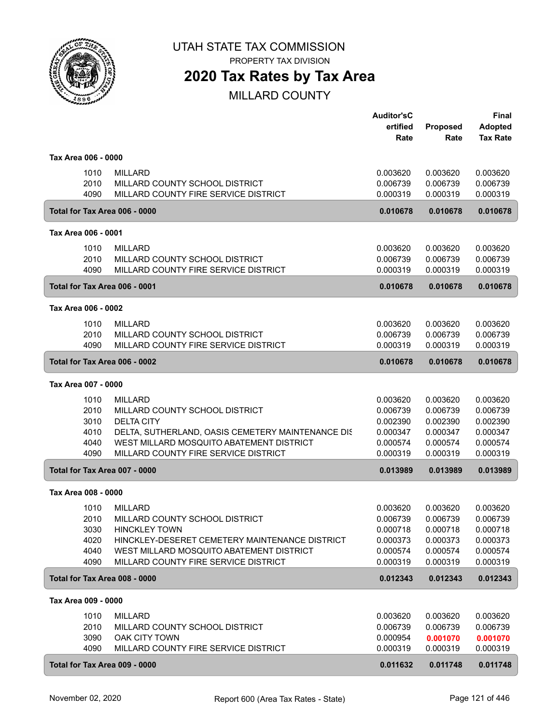

PROPERTY TAX DIVISION

## **2020 Tax Rates by Tax Area**

|                               |                                                                                  | <b>Auditor'sC</b><br>ertified | Proposed             | <b>Final</b><br><b>Adopted</b> |
|-------------------------------|----------------------------------------------------------------------------------|-------------------------------|----------------------|--------------------------------|
|                               |                                                                                  | Rate                          | Rate                 | <b>Tax Rate</b>                |
| Tax Area 006 - 0000           |                                                                                  |                               |                      |                                |
| 1010                          | <b>MILLARD</b>                                                                   | 0.003620                      | 0.003620             | 0.003620                       |
| 2010                          | MILLARD COUNTY SCHOOL DISTRICT                                                   | 0.006739                      | 0.006739             | 0.006739                       |
| 4090                          | MILLARD COUNTY FIRE SERVICE DISTRICT                                             | 0.000319                      | 0.000319             | 0.000319                       |
| Total for Tax Area 006 - 0000 |                                                                                  | 0.010678                      | 0.010678             | 0.010678                       |
| Tax Area 006 - 0001           |                                                                                  |                               |                      |                                |
| 1010                          | <b>MILLARD</b>                                                                   | 0.003620                      | 0.003620             | 0.003620                       |
| 2010                          | MILLARD COUNTY SCHOOL DISTRICT                                                   | 0.006739                      | 0.006739             | 0.006739                       |
| 4090                          | MILLARD COUNTY FIRE SERVICE DISTRICT                                             | 0.000319                      | 0.000319             | 0.000319                       |
| Total for Tax Area 006 - 0001 |                                                                                  | 0.010678                      | 0.010678             | 0.010678                       |
| Tax Area 006 - 0002           |                                                                                  |                               |                      |                                |
| 1010                          | <b>MILLARD</b>                                                                   | 0.003620                      | 0.003620             | 0.003620                       |
| 2010                          | MILLARD COUNTY SCHOOL DISTRICT                                                   | 0.006739                      | 0.006739             | 0.006739                       |
| 4090                          | MILLARD COUNTY FIRE SERVICE DISTRICT                                             | 0.000319                      | 0.000319             | 0.000319                       |
| Total for Tax Area 006 - 0002 |                                                                                  | 0.010678                      | 0.010678             | 0.010678                       |
| Tax Area 007 - 0000           |                                                                                  |                               |                      |                                |
| 1010                          | <b>MILLARD</b>                                                                   | 0.003620                      | 0.003620             | 0.003620                       |
| 2010                          | MILLARD COUNTY SCHOOL DISTRICT                                                   | 0.006739                      | 0.006739             | 0.006739                       |
| 3010                          | <b>DELTA CITY</b>                                                                | 0.002390                      | 0.002390             | 0.002390                       |
| 4010                          | DELTA, SUTHERLAND, OASIS CEMETERY MAINTENANCE DIS                                | 0.000347                      | 0.000347             | 0.000347                       |
| 4040                          | WEST MILLARD MOSQUITO ABATEMENT DISTRICT                                         | 0.000574                      | 0.000574             | 0.000574                       |
| 4090                          | MILLARD COUNTY FIRE SERVICE DISTRICT                                             | 0.000319                      | 0.000319             | 0.000319                       |
| Total for Tax Area 007 - 0000 |                                                                                  | 0.013989                      | 0.013989             | 0.013989                       |
| Tax Area 008 - 0000           |                                                                                  |                               |                      |                                |
| 1010                          | <b>MILLARD</b>                                                                   | 0.003620                      | 0.003620             | 0.003620                       |
| 2010                          | MILLARD COUNTY SCHOOL DISTRICT                                                   | 0.006739                      | 0.006739             | 0.006739                       |
| 3030                          | <b>HINCKLEY TOWN</b>                                                             | 0.000718                      | 0.000718             | 0.000718                       |
| 4020                          | HINCKLEY-DESERET CEMETERY MAINTENANCE DISTRICT                                   | 0.000373                      | 0.000373             | 0.000373                       |
| 4040<br>4090                  | WEST MILLARD MOSQUITO ABATEMENT DISTRICT<br>MILLARD COUNTY FIRE SERVICE DISTRICT | 0.000574<br>0.000319          | 0.000574<br>0.000319 | 0.000574<br>0.000319           |
| Total for Tax Area 008 - 0000 |                                                                                  | 0.012343                      | 0.012343             | 0.012343                       |
|                               |                                                                                  |                               |                      |                                |
| Tax Area 009 - 0000           |                                                                                  |                               |                      |                                |
| 1010                          | <b>MILLARD</b>                                                                   | 0.003620                      | 0.003620<br>0.006739 | 0.003620                       |
| 2010<br>3090                  | MILLARD COUNTY SCHOOL DISTRICT<br><b>OAK CITY TOWN</b>                           | 0.006739<br>0.000954          | 0.001070             | 0.006739<br>0.001070           |
| 4090                          | MILLARD COUNTY FIRE SERVICE DISTRICT                                             | 0.000319                      | 0.000319             | 0.000319                       |
| Total for Tax Area 009 - 0000 |                                                                                  | 0.011632                      | 0.011748             | 0.011748                       |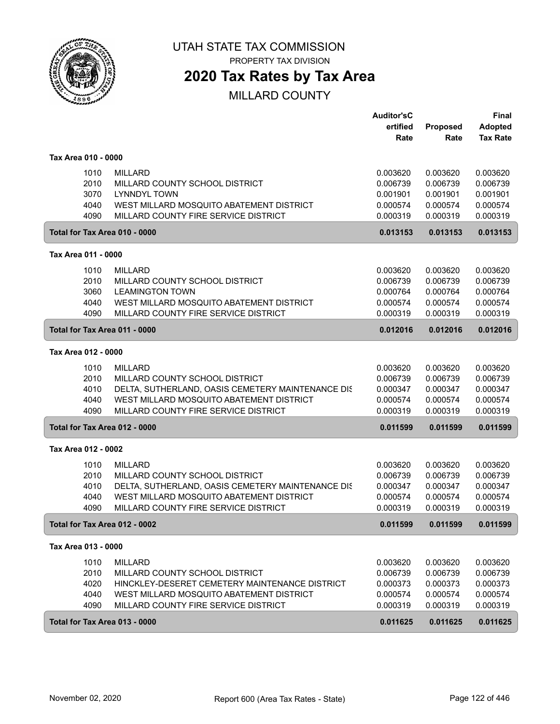

PROPERTY TAX DIVISION

## **2020 Tax Rates by Tax Area**

|                               |                                                   | <b>Auditor'sC</b><br>ertified<br>Rate | Proposed<br>Rate | <b>Final</b><br>Adopted<br><b>Tax Rate</b> |
|-------------------------------|---------------------------------------------------|---------------------------------------|------------------|--------------------------------------------|
| Tax Area 010 - 0000           |                                                   |                                       |                  |                                            |
| 1010                          | <b>MILLARD</b>                                    | 0.003620                              | 0.003620         | 0.003620                                   |
| 2010                          | MILLARD COUNTY SCHOOL DISTRICT                    | 0.006739                              | 0.006739         | 0.006739                                   |
| 3070                          | <b>LYNNDYL TOWN</b>                               | 0.001901                              | 0.001901         | 0.001901                                   |
| 4040                          | WEST MILLARD MOSQUITO ABATEMENT DISTRICT          | 0.000574                              | 0.000574         | 0.000574                                   |
| 4090                          | MILLARD COUNTY FIRE SERVICE DISTRICT              | 0.000319                              | 0.000319         | 0.000319                                   |
| Total for Tax Area 010 - 0000 |                                                   | 0.013153                              | 0.013153         | 0.013153                                   |
| Tax Area 011 - 0000           |                                                   |                                       |                  |                                            |
| 1010                          | <b>MILLARD</b>                                    | 0.003620                              | 0.003620         | 0.003620                                   |
| 2010                          | MILLARD COUNTY SCHOOL DISTRICT                    | 0.006739                              | 0.006739         | 0.006739                                   |
| 3060                          | <b>LEAMINGTON TOWN</b>                            | 0.000764                              | 0.000764         | 0.000764                                   |
| 4040                          | WEST MILLARD MOSQUITO ABATEMENT DISTRICT          | 0.000574                              | 0.000574         | 0.000574                                   |
| 4090                          | MILLARD COUNTY FIRE SERVICE DISTRICT              | 0.000319                              | 0.000319         | 0.000319                                   |
| Total for Tax Area 011 - 0000 |                                                   | 0.012016                              | 0.012016         | 0.012016                                   |
| Tax Area 012 - 0000           |                                                   |                                       |                  |                                            |
| 1010                          | <b>MILLARD</b>                                    | 0.003620                              | 0.003620         | 0.003620                                   |
| 2010                          | MILLARD COUNTY SCHOOL DISTRICT                    | 0.006739                              | 0.006739         | 0.006739                                   |
| 4010                          | DELTA, SUTHERLAND, OASIS CEMETERY MAINTENANCE DIS | 0.000347                              | 0.000347         | 0.000347                                   |
| 4040                          | WEST MILLARD MOSQUITO ABATEMENT DISTRICT          | 0.000574                              | 0.000574         | 0.000574                                   |
| 4090                          | MILLARD COUNTY FIRE SERVICE DISTRICT              | 0.000319                              | 0.000319         | 0.000319                                   |
| Total for Tax Area 012 - 0000 |                                                   | 0.011599                              | 0.011599         | 0.011599                                   |
| Tax Area 012 - 0002           |                                                   |                                       |                  |                                            |
| 1010                          | <b>MILLARD</b>                                    | 0.003620                              | 0.003620         | 0.003620                                   |
| 2010                          | MILLARD COUNTY SCHOOL DISTRICT                    | 0.006739                              | 0.006739         | 0.006739                                   |
| 4010                          | DELTA, SUTHERLAND, OASIS CEMETERY MAINTENANCE DIS | 0.000347                              | 0.000347         | 0.000347                                   |
| 4040                          | WEST MILLARD MOSQUITO ABATEMENT DISTRICT          | 0.000574                              | 0.000574         | 0.000574                                   |
| 4090                          | MILLARD COUNTY FIRE SERVICE DISTRICT              | 0.000319                              | 0.000319         | 0.000319                                   |
| Total for Tax Area 012 - 0002 |                                                   | 0.011599                              | 0.011599         | 0.011599                                   |
| Tax Area 013 - 0000           |                                                   |                                       |                  |                                            |
| 1010                          | MILLARD                                           | 0.003620                              | 0.003620         | 0.003620                                   |
| 2010                          | MILLARD COUNTY SCHOOL DISTRICT                    | 0.006739                              | 0.006739         | 0.006739                                   |
| 4020                          | HINCKLEY-DESERET CEMETERY MAINTENANCE DISTRICT    | 0.000373                              | 0.000373         | 0.000373                                   |
| 4040                          | WEST MILLARD MOSQUITO ABATEMENT DISTRICT          | 0.000574                              | 0.000574         | 0.000574                                   |
| 4090                          | MILLARD COUNTY FIRE SERVICE DISTRICT              | 0.000319                              | 0.000319         | 0.000319                                   |
| Total for Tax Area 013 - 0000 |                                                   | 0.011625                              | 0.011625         | 0.011625                                   |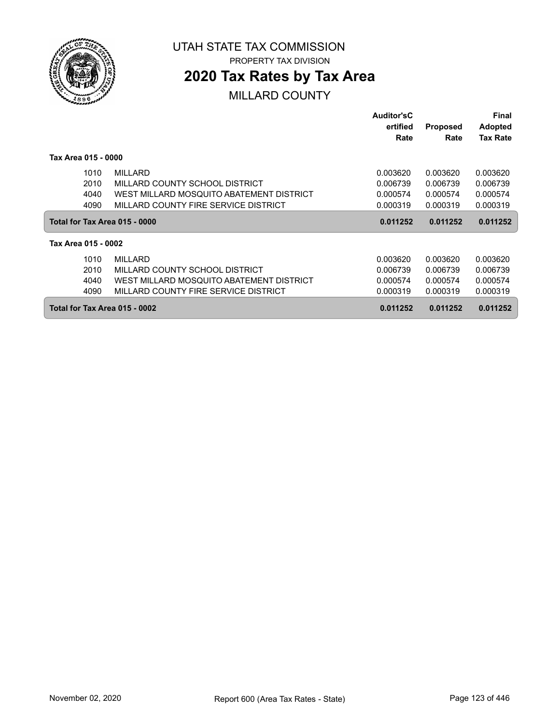

PROPERTY TAX DIVISION

## **2020 Tax Rates by Tax Area**

|                               |                                          | <b>Auditor'sC</b><br>ertified<br>Rate | Proposed<br>Rate | Final<br><b>Adopted</b><br><b>Tax Rate</b> |
|-------------------------------|------------------------------------------|---------------------------------------|------------------|--------------------------------------------|
| Tax Area 015 - 0000           |                                          |                                       |                  |                                            |
| 1010                          | <b>MILLARD</b>                           | 0.003620                              | 0.003620         | 0.003620                                   |
| 2010                          | MILLARD COUNTY SCHOOL DISTRICT           | 0.006739                              | 0.006739         | 0.006739                                   |
| 4040                          | WEST MILLARD MOSQUITO ABATEMENT DISTRICT | 0.000574                              | 0.000574         | 0.000574                                   |
| 4090                          | MILLARD COUNTY FIRE SERVICE DISTRICT     | 0.000319                              | 0.000319         | 0.000319                                   |
| Total for Tax Area 015 - 0000 |                                          | 0.011252                              | 0.011252         | 0.011252                                   |
| Tax Area 015 - 0002           |                                          |                                       |                  |                                            |
| 1010                          | <b>MILLARD</b>                           | 0.003620                              | 0.003620         | 0.003620                                   |
| 2010                          | MILLARD COUNTY SCHOOL DISTRICT           | 0.006739                              | 0.006739         | 0.006739                                   |
| 4040                          | WEST MILLARD MOSQUITO ABATEMENT DISTRICT | 0.000574                              | 0.000574         | 0.000574                                   |
| 4090                          | MILLARD COUNTY FIRE SERVICE DISTRICT     | 0.000319                              | 0.000319         | 0.000319                                   |
| Total for Tax Area 015 - 0002 |                                          | 0.011252                              | 0.011252         | 0.011252                                   |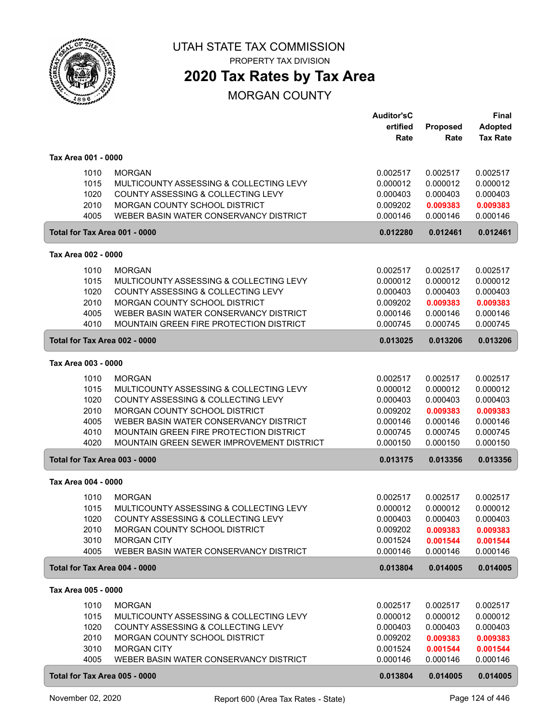

PROPERTY TAX DIVISION

# **2020 Tax Rates by Tax Area**

### MORGAN COUNTY

|                               |                                                                                                | <b>Auditor'sC</b><br>ertified | Proposed             | <b>Final</b><br><b>Adopted</b> |
|-------------------------------|------------------------------------------------------------------------------------------------|-------------------------------|----------------------|--------------------------------|
|                               |                                                                                                | Rate                          | Rate                 | <b>Tax Rate</b>                |
| Tax Area 001 - 0000           |                                                                                                |                               |                      |                                |
| 1010<br>1015                  | <b>MORGAN</b><br>MULTICOUNTY ASSESSING & COLLECTING LEVY<br>COUNTY ASSESSING & COLLECTING LEVY | 0.002517<br>0.000012          | 0.002517<br>0.000012 | 0.002517<br>0.000012           |
| 1020<br>2010                  | MORGAN COUNTY SCHOOL DISTRICT                                                                  | 0.000403<br>0.009202          | 0.000403<br>0.009383 | 0.000403<br>0.009383           |
| 4005                          | WEBER BASIN WATER CONSERVANCY DISTRICT                                                         | 0.000146                      | 0.000146             | 0.000146                       |
| Total for Tax Area 001 - 0000 |                                                                                                | 0.012280                      | 0.012461             | 0.012461                       |
| Tax Area 002 - 0000           |                                                                                                |                               |                      |                                |
| 1010                          | <b>MORGAN</b>                                                                                  | 0.002517                      | 0.002517             | 0.002517                       |
| 1015                          | MULTICOUNTY ASSESSING & COLLECTING LEVY                                                        | 0.000012                      | 0.000012             | 0.000012                       |
| 1020                          | COUNTY ASSESSING & COLLECTING LEVY                                                             | 0.000403                      | 0.000403             | 0.000403                       |
| 2010                          | MORGAN COUNTY SCHOOL DISTRICT                                                                  | 0.009202                      | 0.009383             | 0.009383                       |
| 4005                          | WEBER BASIN WATER CONSERVANCY DISTRICT                                                         | 0.000146                      | 0.000146             | 0.000146                       |
| 4010                          | <b>MOUNTAIN GREEN FIRE PROTECTION DISTRICT</b>                                                 | 0.000745                      | 0.000745             | 0.000745                       |
| Total for Tax Area 002 - 0000 |                                                                                                | 0.013025                      | 0.013206             | 0.013206                       |
| Tax Area 003 - 0000           |                                                                                                |                               |                      |                                |
| 1010                          | <b>MORGAN</b>                                                                                  | 0.002517                      | 0.002517             | 0.002517                       |
| 1015                          | MULTICOUNTY ASSESSING & COLLECTING LEVY                                                        | 0.000012                      | 0.000012             | 0.000012                       |
| 1020                          | COUNTY ASSESSING & COLLECTING LEVY                                                             | 0.000403                      | 0.000403             | 0.000403                       |
| 2010                          | MORGAN COUNTY SCHOOL DISTRICT                                                                  | 0.009202                      | 0.009383             | 0.009383                       |
| 4005                          | WEBER BASIN WATER CONSERVANCY DISTRICT                                                         | 0.000146                      | 0.000146             | 0.000146                       |
| 4010                          | MOUNTAIN GREEN FIRE PROTECTION DISTRICT                                                        | 0.000745                      | 0.000745             | 0.000745                       |
| 4020                          | MOUNTAIN GREEN SEWER IMPROVEMENT DISTRICT                                                      | 0.000150                      | 0.000150             | 0.000150                       |
| Total for Tax Area 003 - 0000 |                                                                                                | 0.013175                      | 0.013356             | 0.013356                       |
| Tax Area 004 - 0000           |                                                                                                |                               |                      |                                |
| 1010                          | <b>MORGAN</b>                                                                                  | 0.002517                      | 0.002517             | 0.002517                       |
| 1015                          | MULTICOUNTY ASSESSING & COLLECTING LEVY                                                        | 0.000012                      | 0.000012             | 0.000012                       |
| 1020                          | COUNTY ASSESSING & COLLECTING LEVY                                                             | 0.000403                      | 0.000403             | 0.000403                       |
| 2010                          | MORGAN COUNTY SCHOOL DISTRICT                                                                  | 0.009202                      | 0.009383             | 0.009383                       |
| 3010                          | <b>MORGAN CITY</b>                                                                             | 0.001524                      | 0.001544             | 0.001544                       |
| 4005                          | WEBER BASIN WATER CONSERVANCY DISTRICT                                                         | 0.000146                      | 0.000146             | 0.000146                       |
| Total for Tax Area 004 - 0000 |                                                                                                | 0.013804                      | 0.014005             | 0.014005                       |
| Tax Area 005 - 0000           |                                                                                                |                               |                      |                                |
|                               |                                                                                                |                               |                      |                                |
| 1010                          | <b>MORGAN</b>                                                                                  | 0.002517                      | 0.002517             | 0.002517                       |
| 1015                          | MULTICOUNTY ASSESSING & COLLECTING LEVY                                                        | 0.000012                      | 0.000012             | 0.000012                       |
| 1020                          | COUNTY ASSESSING & COLLECTING LEVY                                                             | 0.000403                      | 0.000403             | 0.000403                       |
| 2010                          | MORGAN COUNTY SCHOOL DISTRICT                                                                  | 0.009202                      | 0.009383             | 0.009383                       |
| 3010<br>4005                  | <b>MORGAN CITY</b><br>WEBER BASIN WATER CONSERVANCY DISTRICT                                   | 0.001524<br>0.000146          | 0.001544<br>0.000146 | 0.001544                       |
|                               |                                                                                                |                               |                      | 0.000146                       |
| Total for Tax Area 005 - 0000 |                                                                                                | 0.013804                      | 0.014005             | 0.014005                       |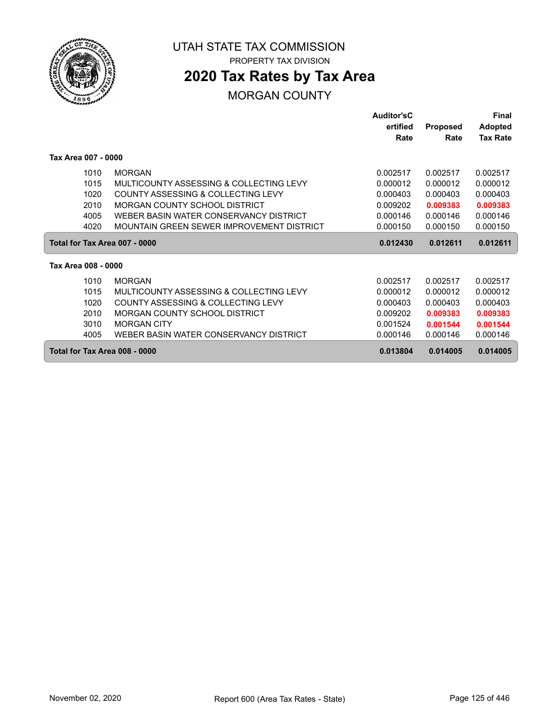

**2020 Tax Rates by Tax Area**

### MORGAN COUNTY

|                               |                                           | <b>Auditor'sC</b> |                 | Final           |
|-------------------------------|-------------------------------------------|-------------------|-----------------|-----------------|
|                               |                                           | ertified          | <b>Proposed</b> | <b>Adopted</b>  |
|                               |                                           | Rate              | Rate            | <b>Tax Rate</b> |
| Tax Area 007 - 0000           |                                           |                   |                 |                 |
| 1010                          | <b>MORGAN</b>                             | 0.002517          | 0.002517        | 0.002517        |
| 1015                          | MULTICOUNTY ASSESSING & COLLECTING LEVY   | 0.000012          | 0.000012        | 0.000012        |
| 1020                          | COUNTY ASSESSING & COLLECTING LEVY        | 0.000403          | 0.000403        | 0.000403        |
| 2010                          | MORGAN COUNTY SCHOOL DISTRICT             | 0.009202          | 0.009383        | 0.009383        |
| 4005                          | WEBER BASIN WATER CONSERVANCY DISTRICT    | 0.000146          | 0.000146        | 0.000146        |
| 4020                          | MOUNTAIN GREEN SEWER IMPROVEMENT DISTRICT | 0.000150          | 0.000150        | 0.000150        |
| Total for Tax Area 007 - 0000 |                                           | 0.012430          | 0.012611        | 0.012611        |
| Tax Area 008 - 0000           |                                           |                   |                 |                 |
| 1010                          | <b>MORGAN</b>                             | 0.002517          | 0.002517        | 0.002517        |
| 1015                          | MULTICOUNTY ASSESSING & COLLECTING LEVY   | 0.000012          | 0.000012        | 0.000012        |
| 1020                          | COUNTY ASSESSING & COLLECTING LEVY        | 0.000403          | 0.000403        | 0.000403        |
| 2010                          | MORGAN COUNTY SCHOOL DISTRICT             | 0.009202          | 0.009383        | 0.009383        |
| 3010                          | <b>MORGAN CITY</b>                        | 0.001524          | 0.001544        | 0.001544        |
| 4005                          | WEBER BASIN WATER CONSERVANCY DISTRICT    | 0.000146          | 0.000146        | 0.000146        |
| Total for Tax Area 008 - 0000 |                                           | 0.013804          | 0.014005        | 0.014005        |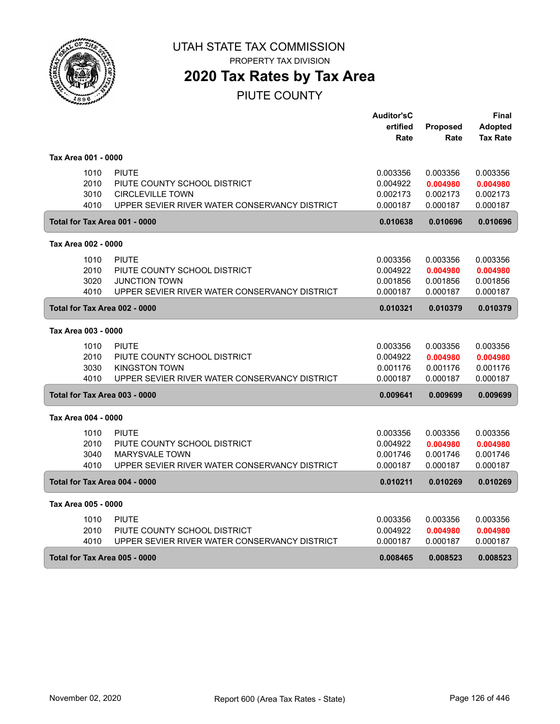

## **2020 Tax Rates by Tax Area**

PIUTE COUNTY

|                               |                                               | <b>Auditor'sC</b> |          | Final           |
|-------------------------------|-----------------------------------------------|-------------------|----------|-----------------|
|                               |                                               | ertified          | Proposed | <b>Adopted</b>  |
|                               |                                               | Rate              | Rate     | <b>Tax Rate</b> |
| Tax Area 001 - 0000           |                                               |                   |          |                 |
| 1010                          | <b>PIUTE</b>                                  | 0.003356          | 0.003356 | 0.003356        |
| 2010                          | PIUTE COUNTY SCHOOL DISTRICT                  | 0.004922          | 0.004980 | 0.004980        |
| 3010                          | <b>CIRCLEVILLE TOWN</b>                       | 0.002173          | 0.002173 | 0.002173        |
| 4010                          | UPPER SEVIER RIVER WATER CONSERVANCY DISTRICT | 0.000187          | 0.000187 | 0.000187        |
| Total for Tax Area 001 - 0000 |                                               | 0.010638          | 0.010696 | 0.010696        |
| Tax Area 002 - 0000           |                                               |                   |          |                 |
| 1010                          | <b>PIUTE</b>                                  | 0.003356          | 0.003356 | 0.003356        |
| 2010                          | PIUTE COUNTY SCHOOL DISTRICT                  | 0.004922          | 0.004980 | 0.004980        |
| 3020                          | <b>JUNCTION TOWN</b>                          | 0.001856          | 0.001856 | 0.001856        |
| 4010                          | UPPER SEVIER RIVER WATER CONSERVANCY DISTRICT | 0.000187          | 0.000187 | 0.000187        |
| Total for Tax Area 002 - 0000 |                                               | 0.010321          | 0.010379 | 0.010379        |
| Tax Area 003 - 0000           |                                               |                   |          |                 |
| 1010                          | <b>PIUTE</b>                                  | 0.003356          | 0.003356 | 0.003356        |
| 2010                          | PIUTE COUNTY SCHOOL DISTRICT                  | 0.004922          | 0.004980 | 0.004980        |
| 3030                          | <b>KINGSTON TOWN</b>                          | 0.001176          | 0.001176 | 0.001176        |
| 4010                          | UPPER SEVIER RIVER WATER CONSERVANCY DISTRICT | 0.000187          | 0.000187 | 0.000187        |
| Total for Tax Area 003 - 0000 |                                               | 0.009641          | 0.009699 | 0.009699        |
| Tax Area 004 - 0000           |                                               |                   |          |                 |
| 1010                          | <b>PIUTE</b>                                  | 0.003356          | 0.003356 | 0.003356        |
| 2010                          | PIUTE COUNTY SCHOOL DISTRICT                  | 0.004922          | 0.004980 | 0.004980        |
| 3040                          | <b>MARYSVALE TOWN</b>                         | 0.001746          | 0.001746 | 0.001746        |
| 4010                          | UPPER SEVIER RIVER WATER CONSERVANCY DISTRICT | 0.000187          | 0.000187 | 0.000187        |
| Total for Tax Area 004 - 0000 |                                               | 0.010211          | 0.010269 | 0.010269        |
| Tax Area 005 - 0000           |                                               |                   |          |                 |
| 1010                          | <b>PIUTE</b>                                  | 0.003356          | 0.003356 | 0.003356        |
| 2010                          | PIUTE COUNTY SCHOOL DISTRICT                  | 0.004922          | 0.004980 | 0.004980        |
| 4010                          | UPPER SEVIER RIVER WATER CONSERVANCY DISTRICT | 0.000187          | 0.000187 | 0.000187        |
| Total for Tax Area 005 - 0000 |                                               | 0.008465          | 0.008523 | 0.008523        |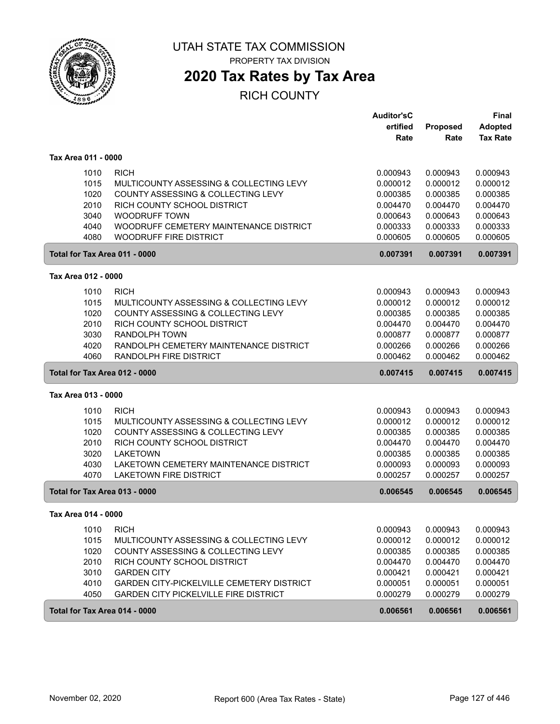

PROPERTY TAX DIVISION

# **2020 Tax Rates by Tax Area**

|                               |                                              | <b>Auditor'sC</b> |          | <b>Final</b>    |
|-------------------------------|----------------------------------------------|-------------------|----------|-----------------|
|                               |                                              | ertified          | Proposed | <b>Adopted</b>  |
|                               |                                              | Rate              | Rate     | <b>Tax Rate</b> |
| Tax Area 011 - 0000           |                                              |                   |          |                 |
| 1010                          | <b>RICH</b>                                  | 0.000943          | 0.000943 | 0.000943        |
| 1015                          | MULTICOUNTY ASSESSING & COLLECTING LEVY      | 0.000012          | 0.000012 | 0.000012        |
| 1020                          | COUNTY ASSESSING & COLLECTING LEVY           | 0.000385          | 0.000385 | 0.000385        |
| 2010                          | RICH COUNTY SCHOOL DISTRICT                  | 0.004470          | 0.004470 | 0.004470        |
| 3040                          | <b>WOODRUFF TOWN</b>                         | 0.000643          | 0.000643 | 0.000643        |
| 4040                          | WOODRUFF CEMETERY MAINTENANCE DISTRICT       | 0.000333          | 0.000333 | 0.000333        |
| 4080                          | <b>WOODRUFF FIRE DISTRICT</b>                | 0.000605          | 0.000605 | 0.000605        |
| Total for Tax Area 011 - 0000 |                                              | 0.007391          | 0.007391 | 0.007391        |
| Tax Area 012 - 0000           |                                              |                   |          |                 |
| 1010                          | <b>RICH</b>                                  | 0.000943          | 0.000943 | 0.000943        |
| 1015                          | MULTICOUNTY ASSESSING & COLLECTING LEVY      | 0.000012          | 0.000012 | 0.000012        |
| 1020                          | COUNTY ASSESSING & COLLECTING LEVY           | 0.000385          | 0.000385 | 0.000385        |
| 2010                          | RICH COUNTY SCHOOL DISTRICT                  | 0.004470          | 0.004470 | 0.004470        |
| 3030                          | <b>RANDOLPH TOWN</b>                         | 0.000877          | 0.000877 | 0.000877        |
| 4020                          | RANDOLPH CEMETERY MAINTENANCE DISTRICT       | 0.000266          | 0.000266 | 0.000266        |
| 4060                          | RANDOLPH FIRE DISTRICT                       | 0.000462          | 0.000462 | 0.000462        |
| Total for Tax Area 012 - 0000 |                                              | 0.007415          | 0.007415 | 0.007415        |
|                               |                                              |                   |          |                 |
| Tax Area 013 - 0000           |                                              |                   |          |                 |
| 1010                          | <b>RICH</b>                                  | 0.000943          | 0.000943 | 0.000943        |
| 1015                          | MULTICOUNTY ASSESSING & COLLECTING LEVY      | 0.000012          | 0.000012 | 0.000012        |
| 1020                          | COUNTY ASSESSING & COLLECTING LEVY           | 0.000385          | 0.000385 | 0.000385        |
| 2010                          | RICH COUNTY SCHOOL DISTRICT                  | 0.004470          | 0.004470 | 0.004470        |
| 3020                          | <b>LAKETOWN</b>                              | 0.000385          | 0.000385 | 0.000385        |
| 4030                          | LAKETOWN CEMETERY MAINTENANCE DISTRICT       | 0.000093          | 0.000093 | 0.000093        |
| 4070                          | <b>LAKETOWN FIRE DISTRICT</b>                | 0.000257          | 0.000257 | 0.000257        |
| Total for Tax Area 013 - 0000 |                                              | 0.006545          | 0.006545 | 0.006545        |
| Tax Area 014 - 0000           |                                              |                   |          |                 |
| 1010                          | <b>RICH</b>                                  | 0.000943          | 0.000943 | 0.000943        |
| 1015                          | MULTICOUNTY ASSESSING & COLLECTING LEVY      | 0.000012          | 0.000012 | 0.000012        |
| 1020                          | COUNTY ASSESSING & COLLECTING LEVY           | 0.000385          | 0.000385 | 0.000385        |
| 2010                          | RICH COUNTY SCHOOL DISTRICT                  | 0.004470          | 0.004470 | 0.004470        |
| 3010                          | <b>GARDEN CITY</b>                           | 0.000421          | 0.000421 | 0.000421        |
| 4010                          | GARDEN CITY-PICKELVILLE CEMETERY DISTRICT    | 0.000051          | 0.000051 | 0.000051        |
| 4050                          | <b>GARDEN CITY PICKELVILLE FIRE DISTRICT</b> | 0.000279          | 0.000279 | 0.000279        |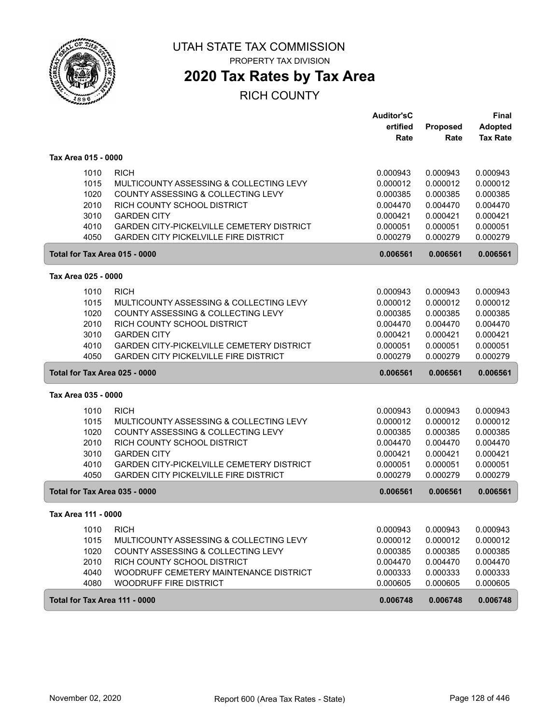

PROPERTY TAX DIVISION

## **2020 Tax Rates by Tax Area**

|                               |                                                  | <b>Auditor'sC</b> |                 | <b>Final</b>    |
|-------------------------------|--------------------------------------------------|-------------------|-----------------|-----------------|
|                               |                                                  | ertified          | <b>Proposed</b> | <b>Adopted</b>  |
|                               |                                                  | Rate              | Rate            | <b>Tax Rate</b> |
| Tax Area 015 - 0000           |                                                  |                   |                 |                 |
| 1010                          | <b>RICH</b>                                      | 0.000943          | 0.000943        | 0.000943        |
| 1015                          | MULTICOUNTY ASSESSING & COLLECTING LEVY          | 0.000012          | 0.000012        | 0.000012        |
| 1020                          | COUNTY ASSESSING & COLLECTING LEVY               | 0.000385          | 0.000385        | 0.000385        |
| 2010                          | RICH COUNTY SCHOOL DISTRICT                      | 0.004470          | 0.004470        | 0.004470        |
| 3010                          | <b>GARDEN CITY</b>                               | 0.000421          | 0.000421        | 0.000421        |
| 4010                          | GARDEN CITY-PICKELVILLE CEMETERY DISTRICT        | 0.000051          | 0.000051        | 0.000051        |
| 4050                          | <b>GARDEN CITY PICKELVILLE FIRE DISTRICT</b>     | 0.000279          | 0.000279        | 0.000279        |
| Total for Tax Area 015 - 0000 |                                                  | 0.006561          | 0.006561        | 0.006561        |
| Tax Area 025 - 0000           |                                                  |                   |                 |                 |
| 1010                          | <b>RICH</b>                                      | 0.000943          | 0.000943        | 0.000943        |
| 1015                          | MULTICOUNTY ASSESSING & COLLECTING LEVY          | 0.000012          | 0.000012        | 0.000012        |
| 1020                          | COUNTY ASSESSING & COLLECTING LEVY               | 0.000385          | 0.000385        | 0.000385        |
| 2010                          | RICH COUNTY SCHOOL DISTRICT                      | 0.004470          | 0.004470        | 0.004470        |
| 3010                          | <b>GARDEN CITY</b>                               | 0.000421          | 0.000421        | 0.000421        |
| 4010                          | <b>GARDEN CITY-PICKELVILLE CEMETERY DISTRICT</b> | 0.000051          | 0.000051        | 0.000051        |
| 4050                          | <b>GARDEN CITY PICKELVILLE FIRE DISTRICT</b>     | 0.000279          | 0.000279        | 0.000279        |
| Total for Tax Area 025 - 0000 |                                                  | 0.006561          | 0.006561        | 0.006561        |
| Tax Area 035 - 0000           |                                                  |                   |                 |                 |
| 1010                          | <b>RICH</b>                                      | 0.000943          | 0.000943        | 0.000943        |
| 1015                          | MULTICOUNTY ASSESSING & COLLECTING LEVY          | 0.000012          | 0.000012        | 0.000012        |
| 1020                          | COUNTY ASSESSING & COLLECTING LEVY               | 0.000385          | 0.000385        | 0.000385        |
| 2010                          | RICH COUNTY SCHOOL DISTRICT                      | 0.004470          | 0.004470        | 0.004470        |
| 3010                          | <b>GARDEN CITY</b>                               | 0.000421          | 0.000421        | 0.000421        |
| 4010                          | GARDEN CITY-PICKELVILLE CEMETERY DISTRICT        | 0.000051          | 0.000051        | 0.000051        |
| 4050                          | <b>GARDEN CITY PICKELVILLE FIRE DISTRICT</b>     | 0.000279          | 0.000279        | 0.000279        |
| Total for Tax Area 035 - 0000 |                                                  | 0.006561          | 0.006561        | 0.006561        |
| Tax Area 111 - 0000           |                                                  |                   |                 |                 |
| 1010                          | <b>RICH</b>                                      | 0.000943          | 0.000943        | 0.000943        |
| 1015                          | MULTICOUNTY ASSESSING & COLLECTING LEVY          | 0.000012          | 0.000012        | 0.000012        |
| 1020                          | COUNTY ASSESSING & COLLECTING LEVY               | 0.000385          | 0.000385        | 0.000385        |
| 2010                          | RICH COUNTY SCHOOL DISTRICT                      | 0.004470          | 0.004470        | 0.004470        |
| 4040                          | WOODRUFF CEMETERY MAINTENANCE DISTRICT           | 0.000333          | 0.000333        | 0.000333        |
| 4080                          | WOODRUFF FIRE DISTRICT                           | 0.000605          | 0.000605        | 0.000605        |
| Total for Tax Area 111 - 0000 |                                                  | 0.006748          | 0.006748        | 0.006748        |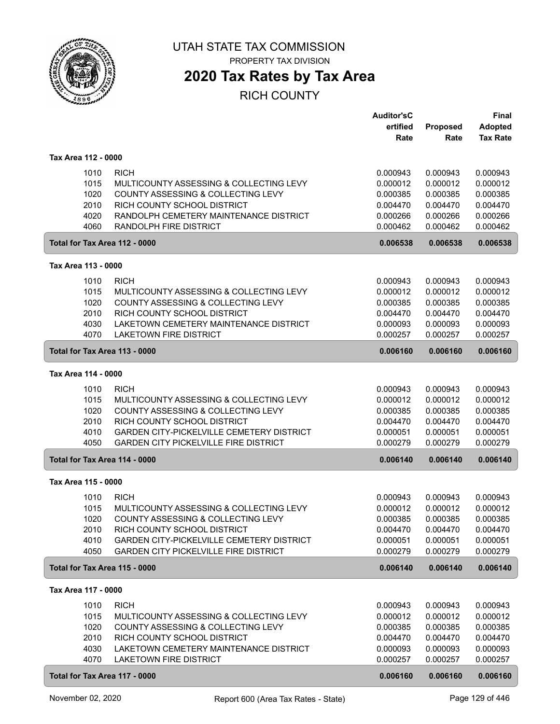

# **2020 Tax Rates by Tax Area**

|                                                                               |                                                                                                                                                                                                                          | <b>Auditor'sC</b><br>ertified<br>Rate                                            | Proposed<br>Rate                                                                 | <b>Final</b><br><b>Adopted</b><br><b>Tax Rate</b>                                |
|-------------------------------------------------------------------------------|--------------------------------------------------------------------------------------------------------------------------------------------------------------------------------------------------------------------------|----------------------------------------------------------------------------------|----------------------------------------------------------------------------------|----------------------------------------------------------------------------------|
| Tax Area 112 - 0000                                                           |                                                                                                                                                                                                                          |                                                                                  |                                                                                  |                                                                                  |
| 1010<br>1015<br>1020<br>2010<br>4020<br>4060                                  | <b>RICH</b><br>MULTICOUNTY ASSESSING & COLLECTING LEVY<br>COUNTY ASSESSING & COLLECTING LEVY<br>RICH COUNTY SCHOOL DISTRICT<br>RANDOLPH CEMETERY MAINTENANCE DISTRICT<br><b>RANDOLPH FIRE DISTRICT</b>                   | 0.000943<br>0.000012<br>0.000385<br>0.004470<br>0.000266<br>0.000462             | 0.000943<br>0.000012<br>0.000385<br>0.004470<br>0.000266<br>0.000462             | 0.000943<br>0.000012<br>0.000385<br>0.004470<br>0.000266<br>0.000462             |
| Total for Tax Area 112 - 0000                                                 |                                                                                                                                                                                                                          | 0.006538                                                                         | 0.006538                                                                         | 0.006538                                                                         |
| Tax Area 113 - 0000                                                           |                                                                                                                                                                                                                          |                                                                                  |                                                                                  |                                                                                  |
| 1010<br>1015<br>1020<br>2010<br>4030<br>4070                                  | <b>RICH</b><br>MULTICOUNTY ASSESSING & COLLECTING LEVY<br>COUNTY ASSESSING & COLLECTING LEVY<br>RICH COUNTY SCHOOL DISTRICT<br>LAKETOWN CEMETERY MAINTENANCE DISTRICT<br><b>LAKETOWN FIRE DISTRICT</b>                   | 0.000943<br>0.000012<br>0.000385<br>0.004470<br>0.000093<br>0.000257             | 0.000943<br>0.000012<br>0.000385<br>0.004470<br>0.000093<br>0.000257             | 0.000943<br>0.000012<br>0.000385<br>0.004470<br>0.000093<br>0.000257             |
| Total for Tax Area 113 - 0000                                                 |                                                                                                                                                                                                                          | 0.006160                                                                         | 0.006160                                                                         | 0.006160                                                                         |
| Tax Area 114 - 0000                                                           |                                                                                                                                                                                                                          |                                                                                  |                                                                                  |                                                                                  |
| 1010<br>1015<br>1020<br>2010<br>4010<br>4050                                  | <b>RICH</b><br>MULTICOUNTY ASSESSING & COLLECTING LEVY<br>COUNTY ASSESSING & COLLECTING LEVY<br>RICH COUNTY SCHOOL DISTRICT<br>GARDEN CITY-PICKELVILLE CEMETERY DISTRICT<br><b>GARDEN CITY PICKELVILLE FIRE DISTRICT</b> | 0.000943<br>0.000012<br>0.000385<br>0.004470<br>0.000051<br>0.000279             | 0.000943<br>0.000012<br>0.000385<br>0.004470<br>0.000051<br>0.000279             | 0.000943<br>0.000012<br>0.000385<br>0.004470<br>0.000051<br>0.000279             |
| Total for Tax Area 114 - 0000                                                 |                                                                                                                                                                                                                          | 0.006140                                                                         | 0.006140                                                                         | 0.006140                                                                         |
| Tax Area 115 - 0000                                                           |                                                                                                                                                                                                                          |                                                                                  |                                                                                  |                                                                                  |
| 1010<br>1015<br>1020<br>2010<br>4010<br>4050                                  | <b>RICH</b><br>MULTICOUNTY ASSESSING & COLLECTING LEVY<br>COUNTY ASSESSING & COLLECTING LEVY<br>RICH COUNTY SCHOOL DISTRICT<br>GARDEN CITY-PICKELVILLE CEMETERY DISTRICT<br><b>GARDEN CITY PICKELVILLE FIRE DISTRICT</b> | 0.000943<br>0.000012<br>0.000385<br>0.004470<br>0.000051<br>0.000279             | 0.000943<br>0.000012<br>0.000385<br>0.004470<br>0.000051<br>0.000279             | 0.000943<br>0.000012<br>0.000385<br>0.004470<br>0.000051<br>0.000279             |
| Total for Tax Area 115 - 0000                                                 |                                                                                                                                                                                                                          | 0.006140                                                                         | 0.006140                                                                         | 0.006140                                                                         |
| Tax Area 117 - 0000                                                           |                                                                                                                                                                                                                          |                                                                                  |                                                                                  |                                                                                  |
| 1010<br>1015<br>1020<br>2010<br>4030<br>4070<br>Total for Tax Area 117 - 0000 | <b>RICH</b><br>MULTICOUNTY ASSESSING & COLLECTING LEVY<br>COUNTY ASSESSING & COLLECTING LEVY<br>RICH COUNTY SCHOOL DISTRICT<br>LAKETOWN CEMETERY MAINTENANCE DISTRICT<br><b>LAKETOWN FIRE DISTRICT</b>                   | 0.000943<br>0.000012<br>0.000385<br>0.004470<br>0.000093<br>0.000257<br>0.006160 | 0.000943<br>0.000012<br>0.000385<br>0.004470<br>0.000093<br>0.000257<br>0.006160 | 0.000943<br>0.000012<br>0.000385<br>0.004470<br>0.000093<br>0.000257<br>0.006160 |
|                                                                               |                                                                                                                                                                                                                          |                                                                                  |                                                                                  |                                                                                  |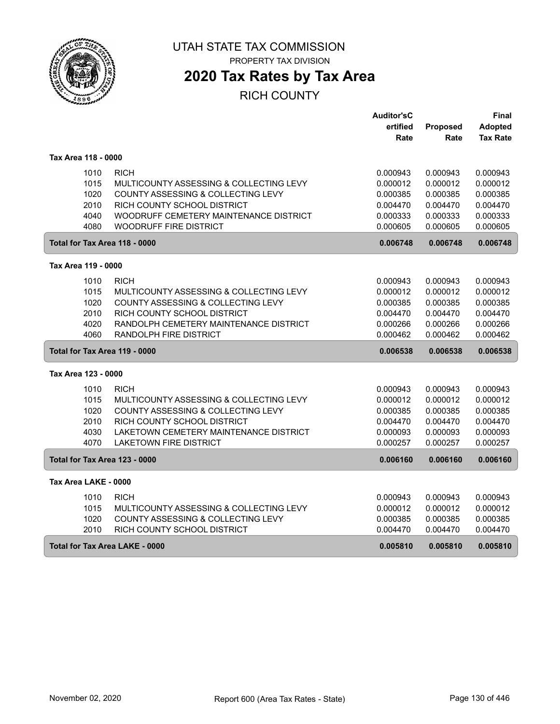

## **2020 Tax Rates by Tax Area**

|                               |                                         | <b>Auditor'sC</b> |          | Final           |
|-------------------------------|-----------------------------------------|-------------------|----------|-----------------|
|                               |                                         | ertified          | Proposed | <b>Adopted</b>  |
|                               |                                         | Rate              | Rate     | <b>Tax Rate</b> |
|                               |                                         |                   |          |                 |
| Tax Area 118 - 0000           |                                         |                   |          |                 |
| 1010                          | <b>RICH</b>                             | 0.000943          | 0.000943 | 0.000943        |
| 1015                          | MULTICOUNTY ASSESSING & COLLECTING LEVY | 0.000012          | 0.000012 | 0.000012        |
| 1020                          | COUNTY ASSESSING & COLLECTING LEVY      | 0.000385          | 0.000385 | 0.000385        |
| 2010                          | RICH COUNTY SCHOOL DISTRICT             | 0.004470          | 0.004470 | 0.004470        |
| 4040                          | WOODRUFF CEMETERY MAINTENANCE DISTRICT  | 0.000333          | 0.000333 | 0.000333        |
| 4080                          | <b>WOODRUFF FIRE DISTRICT</b>           | 0.000605          | 0.000605 | 0.000605        |
| Total for Tax Area 118 - 0000 |                                         | 0.006748          | 0.006748 | 0.006748        |
| Tax Area 119 - 0000           |                                         |                   |          |                 |
| 1010                          | <b>RICH</b>                             | 0.000943          | 0.000943 | 0.000943        |
| 1015                          | MULTICOUNTY ASSESSING & COLLECTING LEVY | 0.000012          | 0.000012 | 0.000012        |
| 1020                          | COUNTY ASSESSING & COLLECTING LEVY      | 0.000385          | 0.000385 | 0.000385        |
| 2010                          | RICH COUNTY SCHOOL DISTRICT             | 0.004470          | 0.004470 | 0.004470        |
| 4020                          | RANDOLPH CEMETERY MAINTENANCE DISTRICT  | 0.000266          | 0.000266 | 0.000266        |
| 4060                          | RANDOLPH FIRE DISTRICT                  | 0.000462          | 0.000462 | 0.000462        |
| Total for Tax Area 119 - 0000 |                                         | 0.006538          | 0.006538 | 0.006538        |
| Tax Area 123 - 0000           |                                         |                   |          |                 |
| 1010                          | <b>RICH</b>                             | 0.000943          | 0.000943 | 0.000943        |
| 1015                          | MULTICOUNTY ASSESSING & COLLECTING LEVY | 0.000012          | 0.000012 | 0.000012        |
| 1020                          | COUNTY ASSESSING & COLLECTING LEVY      | 0.000385          | 0.000385 | 0.000385        |
| 2010                          | RICH COUNTY SCHOOL DISTRICT             | 0.004470          | 0.004470 | 0.004470        |
| 4030                          | LAKETOWN CEMETERY MAINTENANCE DISTRICT  | 0.000093          | 0.000093 | 0.000093        |
| 4070                          | <b>LAKETOWN FIRE DISTRICT</b>           | 0.000257          | 0.000257 | 0.000257        |
| Total for Tax Area 123 - 0000 |                                         | 0.006160          | 0.006160 | 0.006160        |
| Tax Area LAKE - 0000          |                                         |                   |          |                 |
| 1010                          | <b>RICH</b>                             | 0.000943          | 0.000943 | 0.000943        |
| 1015                          | MULTICOUNTY ASSESSING & COLLECTING LEVY | 0.000012          | 0.000012 | 0.000012        |
| 1020                          | COUNTY ASSESSING & COLLECTING LEVY      | 0.000385          | 0.000385 | 0.000385        |
| 2010                          | RICH COUNTY SCHOOL DISTRICT             | 0.004470          | 0.004470 | 0.004470        |
|                               | Total for Tax Area LAKE - 0000          | 0.005810          | 0.005810 | 0.005810        |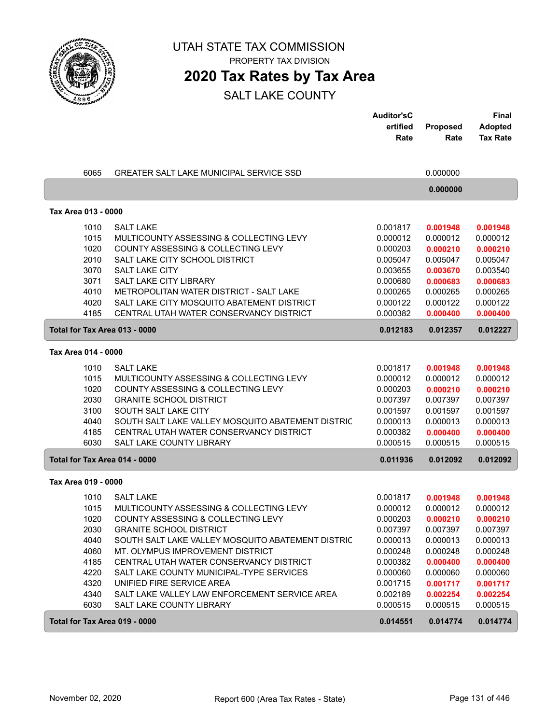

PROPERTY TAX DIVISION

## **2020 Tax Rates by Tax Area**

|                     |              |                                                                           | <b>Auditor'sC</b>    |                      | Final                |
|---------------------|--------------|---------------------------------------------------------------------------|----------------------|----------------------|----------------------|
|                     |              |                                                                           | ertified             | Proposed             | <b>Adopted</b>       |
|                     |              |                                                                           | Rate                 | Rate                 | <b>Tax Rate</b>      |
|                     |              |                                                                           |                      |                      |                      |
|                     | 6065         | <b>GREATER SALT LAKE MUNICIPAL SERVICE SSD</b>                            |                      | 0.000000             |                      |
|                     |              |                                                                           |                      | 0.000000             |                      |
| Tax Area 013 - 0000 |              |                                                                           |                      |                      |                      |
|                     | 1010         | <b>SALT LAKE</b>                                                          | 0.001817             | 0.001948             | 0.001948             |
|                     | 1015         | MULTICOUNTY ASSESSING & COLLECTING LEVY                                   | 0.000012             | 0.000012             | 0.000012             |
|                     | 1020         | COUNTY ASSESSING & COLLECTING LEVY                                        | 0.000203             | 0.000210             | 0.000210             |
|                     | 2010         | SALT LAKE CITY SCHOOL DISTRICT                                            | 0.005047             | 0.005047             | 0.005047             |
|                     | 3070         | <b>SALT LAKE CITY</b>                                                     | 0.003655             | 0.003670             | 0.003540             |
|                     | 3071         | <b>SALT LAKE CITY LIBRARY</b>                                             | 0.000680             | 0.000683             | 0.000683             |
|                     | 4010         | METROPOLITAN WATER DISTRICT - SALT LAKE                                   | 0.000265             | 0.000265             | 0.000265             |
|                     | 4020         | SALT LAKE CITY MOSQUITO ABATEMENT DISTRICT                                | 0.000122             | 0.000122             | 0.000122             |
|                     | 4185         | CENTRAL UTAH WATER CONSERVANCY DISTRICT                                   | 0.000382             | 0.000400             | 0.000400             |
|                     |              | Total for Tax Area 013 - 0000                                             | 0.012183             | 0.012357             | 0.012227             |
| Tax Area 014 - 0000 |              |                                                                           |                      |                      |                      |
|                     | 1010         | <b>SALT LAKE</b>                                                          | 0.001817             | 0.001948             | 0.001948             |
|                     | 1015         | MULTICOUNTY ASSESSING & COLLECTING LEVY                                   | 0.000012             | 0.000012             | 0.000012             |
|                     | 1020         | COUNTY ASSESSING & COLLECTING LEVY                                        | 0.000203             | 0.000210             | 0.000210             |
|                     | 2030         | <b>GRANITE SCHOOL DISTRICT</b>                                            | 0.007397             | 0.007397             | 0.007397             |
|                     | 3100         | SOUTH SALT LAKE CITY                                                      | 0.001597             | 0.001597             | 0.001597             |
|                     | 4040         | SOUTH SALT LAKE VALLEY MOSQUITO ABATEMENT DISTRIC                         | 0.000013             | 0.000013             | 0.000013             |
|                     | 4185         | CENTRAL UTAH WATER CONSERVANCY DISTRICT                                   | 0.000382             | 0.000400             | 0.000400             |
|                     | 6030         | SALT LAKE COUNTY LIBRARY                                                  | 0.000515             | 0.000515             | 0.000515             |
|                     |              | Total for Tax Area 014 - 0000                                             | 0.011936             | 0.012092             | 0.012092             |
| Tax Area 019 - 0000 |              |                                                                           |                      |                      |                      |
|                     | 1010         | <b>SALT LAKE</b>                                                          | 0.001817             | 0.001948             | 0.001948             |
|                     | 1015         | MULTICOUNTY ASSESSING & COLLECTING LEVY                                   | 0.000012             | 0.000012             | 0.000012             |
|                     | 1020         | COUNTY ASSESSING & COLLECTING LEVY                                        | 0.000203             | 0.000210             | 0.000210             |
|                     | 2030         | <b>GRANITE SCHOOL DISTRICT</b>                                            | 0.007397             | 0.007397             | 0.007397             |
|                     | 4040         | SOUTH SALT LAKE VALLEY MOSQUITO ABATEMENT DISTRIC                         | 0.000013             | 0.000013             | 0.000013             |
|                     | 4060         | MT. OLYMPUS IMPROVEMENT DISTRICT                                          | 0.000248             | 0.000248             | 0.000248             |
|                     | 4185         | CENTRAL UTAH WATER CONSERVANCY DISTRICT                                   | 0.000382             | 0.000400             | 0.000400             |
|                     | 4220         | SALT LAKE COUNTY MUNICIPAL-TYPE SERVICES                                  | 0.000060             | 0.000060             | 0.000060             |
|                     | 4320         | UNIFIED FIRE SERVICE AREA                                                 | 0.001715             | 0.001717             | 0.001717             |
|                     | 4340<br>6030 | SALT LAKE VALLEY LAW ENFORCEMENT SERVICE AREA<br>SALT LAKE COUNTY LIBRARY | 0.002189<br>0.000515 | 0.002254<br>0.000515 | 0.002254<br>0.000515 |
|                     |              |                                                                           |                      |                      |                      |
|                     |              | Total for Tax Area 019 - 0000                                             | 0.014551             | 0.014774             | 0.014774             |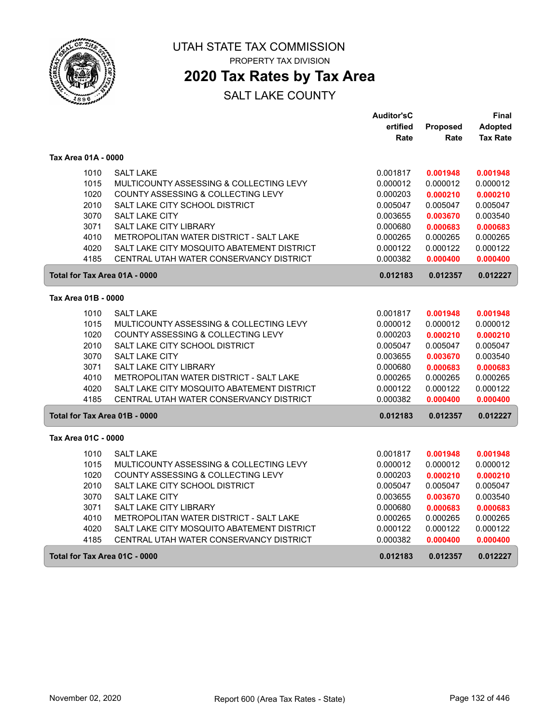

PROPERTY TAX DIVISION

## **2020 Tax Rates by Tax Area**

|                               |                                            | <b>Auditor'sC</b> |                 | Final           |
|-------------------------------|--------------------------------------------|-------------------|-----------------|-----------------|
|                               |                                            | ertified          | <b>Proposed</b> | <b>Adopted</b>  |
|                               |                                            | Rate              | Rate            | <b>Tax Rate</b> |
| Tax Area 01A - 0000           |                                            |                   |                 |                 |
| 1010                          | <b>SALT LAKE</b>                           | 0.001817          | 0.001948        | 0.001948        |
| 1015                          | MULTICOUNTY ASSESSING & COLLECTING LEVY    | 0.000012          | 0.000012        | 0.000012        |
| 1020                          | COUNTY ASSESSING & COLLECTING LEVY         | 0.000203          | 0.000210        | 0.000210        |
| 2010                          | SALT LAKE CITY SCHOOL DISTRICT             | 0.005047          | 0.005047        | 0.005047        |
| 3070                          | <b>SALT LAKE CITY</b>                      | 0.003655          | 0.003670        | 0.003540        |
| 3071                          | SALT LAKE CITY LIBRARY                     | 0.000680          | 0.000683        | 0.000683        |
| 4010                          | METROPOLITAN WATER DISTRICT - SALT LAKE    | 0.000265          | 0.000265        | 0.000265        |
| 4020                          | SALT LAKE CITY MOSQUITO ABATEMENT DISTRICT | 0.000122          | 0.000122        | 0.000122        |
| 4185                          | CENTRAL UTAH WATER CONSERVANCY DISTRICT    | 0.000382          | 0.000400        | 0.000400        |
| Total for Tax Area 01A - 0000 |                                            | 0.012183          | 0.012357        | 0.012227        |
| Tax Area 01B - 0000           |                                            |                   |                 |                 |
| 1010                          | <b>SALT LAKE</b>                           | 0.001817          | 0.001948        | 0.001948        |
| 1015                          | MULTICOUNTY ASSESSING & COLLECTING LEVY    | 0.000012          | 0.000012        | 0.000012        |
| 1020                          | COUNTY ASSESSING & COLLECTING LEVY         | 0.000203          | 0.000210        | 0.000210        |
| 2010                          | SALT LAKE CITY SCHOOL DISTRICT             | 0.005047          | 0.005047        | 0.005047        |
| 3070                          | <b>SALT LAKE CITY</b>                      | 0.003655          | 0.003670        | 0.003540        |
| 3071                          | SALT LAKE CITY LIBRARY                     | 0.000680          | 0.000683        | 0.000683        |
| 4010                          | METROPOLITAN WATER DISTRICT - SALT LAKE    | 0.000265          | 0.000265        | 0.000265        |
| 4020                          | SALT LAKE CITY MOSQUITO ABATEMENT DISTRICT | 0.000122          | 0.000122        | 0.000122        |
| 4185                          | CENTRAL UTAH WATER CONSERVANCY DISTRICT    | 0.000382          | 0.000400        | 0.000400        |
| Total for Tax Area 01B - 0000 |                                            | 0.012183          | 0.012357        | 0.012227        |
| Tax Area 01C - 0000           |                                            |                   |                 |                 |
| 1010                          | <b>SALT LAKE</b>                           | 0.001817          | 0.001948        | 0.001948        |
| 1015                          | MULTICOUNTY ASSESSING & COLLECTING LEVY    | 0.000012          | 0.000012        | 0.000012        |
| 1020                          | COUNTY ASSESSING & COLLECTING LEVY         | 0.000203          | 0.000210        | 0.000210        |
| 2010                          | SALT LAKE CITY SCHOOL DISTRICT             | 0.005047          | 0.005047        | 0.005047        |
| 3070                          | SALT LAKE CITY                             | 0.003655          | 0.003670        | 0.003540        |
| 3071                          | SALT LAKE CITY LIBRARY                     | 0.000680          | 0.000683        | 0.000683        |
| 4010                          | METROPOLITAN WATER DISTRICT - SALT LAKE    | 0.000265          | 0.000265        | 0.000265        |
| 4020                          | SALT LAKE CITY MOSQUITO ABATEMENT DISTRICT | 0.000122          | 0.000122        | 0.000122        |
| 4185                          | CENTRAL UTAH WATER CONSERVANCY DISTRICT    | 0.000382          | 0.000400        | 0.000400        |
| Total for Tax Area 01C - 0000 |                                            | 0.012183          | 0.012357        | 0.012227        |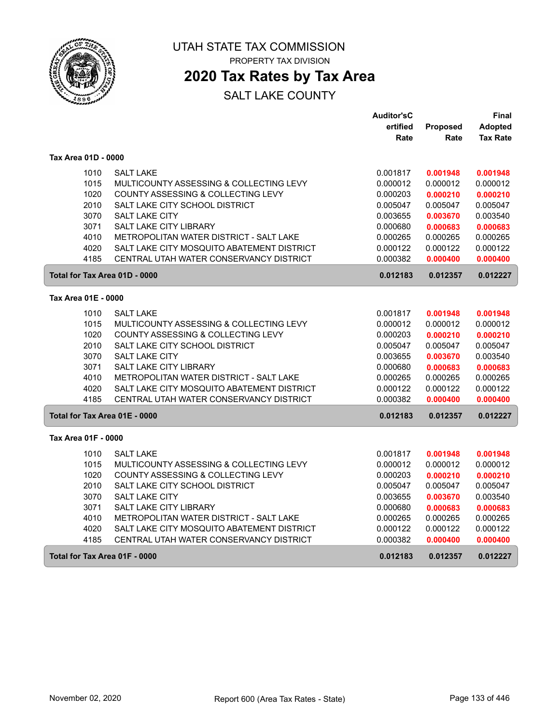

PROPERTY TAX DIVISION

## **2020 Tax Rates by Tax Area**

|                               |                                            | <b>Auditor'sC</b> |                 | Final           |
|-------------------------------|--------------------------------------------|-------------------|-----------------|-----------------|
|                               |                                            | ertified          | <b>Proposed</b> | <b>Adopted</b>  |
|                               |                                            | Rate              | Rate            | <b>Tax Rate</b> |
| Tax Area 01D - 0000           |                                            |                   |                 |                 |
| 1010                          | <b>SALT LAKE</b>                           | 0.001817          | 0.001948        | 0.001948        |
| 1015                          | MULTICOUNTY ASSESSING & COLLECTING LEVY    | 0.000012          | 0.000012        | 0.000012        |
| 1020                          | COUNTY ASSESSING & COLLECTING LEVY         | 0.000203          | 0.000210        | 0.000210        |
| 2010                          | SALT LAKE CITY SCHOOL DISTRICT             | 0.005047          | 0.005047        | 0.005047        |
| 3070                          | <b>SALT LAKE CITY</b>                      | 0.003655          | 0.003670        | 0.003540        |
| 3071                          | SALT LAKE CITY LIBRARY                     | 0.000680          | 0.000683        | 0.000683        |
| 4010                          | METROPOLITAN WATER DISTRICT - SALT LAKE    | 0.000265          | 0.000265        | 0.000265        |
| 4020                          | SALT LAKE CITY MOSQUITO ABATEMENT DISTRICT | 0.000122          | 0.000122        | 0.000122        |
| 4185                          | CENTRAL UTAH WATER CONSERVANCY DISTRICT    | 0.000382          | 0.000400        | 0.000400        |
| Total for Tax Area 01D - 0000 |                                            | 0.012183          | 0.012357        | 0.012227        |
| Tax Area 01E - 0000           |                                            |                   |                 |                 |
| 1010                          | <b>SALT LAKE</b>                           | 0.001817          | 0.001948        | 0.001948        |
| 1015                          | MULTICOUNTY ASSESSING & COLLECTING LEVY    | 0.000012          | 0.000012        | 0.000012        |
| 1020                          | COUNTY ASSESSING & COLLECTING LEVY         | 0.000203          | 0.000210        | 0.000210        |
| 2010                          | SALT LAKE CITY SCHOOL DISTRICT             | 0.005047          | 0.005047        | 0.005047        |
| 3070                          | <b>SALT LAKE CITY</b>                      | 0.003655          | 0.003670        | 0.003540        |
| 3071                          | SALT LAKE CITY LIBRARY                     | 0.000680          | 0.000683        | 0.000683        |
| 4010                          | METROPOLITAN WATER DISTRICT - SALT LAKE    | 0.000265          | 0.000265        | 0.000265        |
| 4020                          | SALT LAKE CITY MOSQUITO ABATEMENT DISTRICT | 0.000122          | 0.000122        | 0.000122        |
| 4185                          | CENTRAL UTAH WATER CONSERVANCY DISTRICT    | 0.000382          | 0.000400        | 0.000400        |
| Total for Tax Area 01E - 0000 |                                            | 0.012183          | 0.012357        | 0.012227        |
| Tax Area 01F - 0000           |                                            |                   |                 |                 |
| 1010                          | <b>SALT LAKE</b>                           | 0.001817          | 0.001948        | 0.001948        |
| 1015                          | MULTICOUNTY ASSESSING & COLLECTING LEVY    | 0.000012          | 0.000012        | 0.000012        |
| 1020                          | COUNTY ASSESSING & COLLECTING LEVY         | 0.000203          | 0.000210        | 0.000210        |
| 2010                          | SALT LAKE CITY SCHOOL DISTRICT             | 0.005047          | 0.005047        | 0.005047        |
| 3070                          | SALT LAKE CITY                             | 0.003655          | 0.003670        | 0.003540        |
| 3071                          | SALT LAKE CITY LIBRARY                     | 0.000680          | 0.000683        | 0.000683        |
| 4010                          | METROPOLITAN WATER DISTRICT - SALT LAKE    | 0.000265          | 0.000265        | 0.000265        |
| 4020                          | SALT LAKE CITY MOSQUITO ABATEMENT DISTRICT | 0.000122          | 0.000122        | 0.000122        |
| 4185                          | CENTRAL UTAH WATER CONSERVANCY DISTRICT    | 0.000382          | 0.000400        | 0.000400        |
| Total for Tax Area 01F - 0000 |                                            | 0.012183          | 0.012357        | 0.012227        |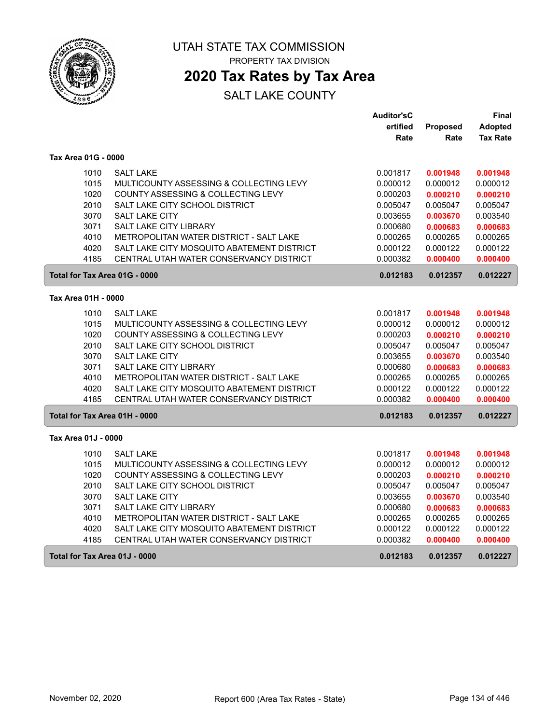

PROPERTY TAX DIVISION

## **2020 Tax Rates by Tax Area**

|                               |                                            | <b>Auditor'sC</b> |          | <b>Final</b>    |
|-------------------------------|--------------------------------------------|-------------------|----------|-----------------|
|                               |                                            | ertified          | Proposed | <b>Adopted</b>  |
|                               |                                            | Rate              | Rate     | <b>Tax Rate</b> |
| Tax Area 01G - 0000           |                                            |                   |          |                 |
| 1010                          | <b>SALT LAKE</b>                           | 0.001817          | 0.001948 | 0.001948        |
| 1015                          | MULTICOUNTY ASSESSING & COLLECTING LEVY    | 0.000012          | 0.000012 | 0.000012        |
| 1020                          | COUNTY ASSESSING & COLLECTING LEVY         | 0.000203          | 0.000210 | 0.000210        |
| 2010                          | SALT LAKE CITY SCHOOL DISTRICT             | 0.005047          | 0.005047 | 0.005047        |
| 3070                          | <b>SALT LAKE CITY</b>                      | 0.003655          | 0.003670 | 0.003540        |
| 3071                          | SALT LAKE CITY LIBRARY                     | 0.000680          | 0.000683 | 0.000683        |
| 4010                          | METROPOLITAN WATER DISTRICT - SALT LAKE    | 0.000265          | 0.000265 | 0.000265        |
| 4020                          | SALT LAKE CITY MOSQUITO ABATEMENT DISTRICT | 0.000122          | 0.000122 | 0.000122        |
| 4185                          | CENTRAL UTAH WATER CONSERVANCY DISTRICT    | 0.000382          | 0.000400 | 0.000400        |
| Total for Tax Area 01G - 0000 |                                            | 0.012183          | 0.012357 | 0.012227        |
| Tax Area 01H - 0000           |                                            |                   |          |                 |
| 1010                          | <b>SALT LAKE</b>                           | 0.001817          | 0.001948 | 0.001948        |
| 1015                          | MULTICOUNTY ASSESSING & COLLECTING LEVY    | 0.000012          | 0.000012 | 0.000012        |
| 1020                          | COUNTY ASSESSING & COLLECTING LEVY         | 0.000203          | 0.000210 | 0.000210        |
| 2010                          | SALT LAKE CITY SCHOOL DISTRICT             | 0.005047          | 0.005047 | 0.005047        |
| 3070                          | SALT LAKE CITY                             | 0.003655          | 0.003670 | 0.003540        |
| 3071                          | SALT LAKE CITY LIBRARY                     | 0.000680          | 0.000683 | 0.000683        |
| 4010                          | METROPOLITAN WATER DISTRICT - SALT LAKE    | 0.000265          | 0.000265 | 0.000265        |
| 4020                          | SALT LAKE CITY MOSQUITO ABATEMENT DISTRICT | 0.000122          | 0.000122 | 0.000122        |
| 4185                          | CENTRAL UTAH WATER CONSERVANCY DISTRICT    | 0.000382          | 0.000400 | 0.000400        |
| Total for Tax Area 01H - 0000 |                                            | 0.012183          | 0.012357 | 0.012227        |
| Tax Area 01J - 0000           |                                            |                   |          |                 |
| 1010                          | <b>SALT LAKE</b>                           | 0.001817          | 0.001948 | 0.001948        |
| 1015                          | MULTICOUNTY ASSESSING & COLLECTING LEVY    | 0.000012          | 0.000012 | 0.000012        |
| 1020                          | COUNTY ASSESSING & COLLECTING LEVY         | 0.000203          | 0.000210 | 0.000210        |
| 2010                          | SALT LAKE CITY SCHOOL DISTRICT             | 0.005047          | 0.005047 | 0.005047        |
| 3070                          | SALT LAKE CITY                             | 0.003655          | 0.003670 | 0.003540        |
| 3071                          | SALT LAKE CITY LIBRARY                     | 0.000680          | 0.000683 | 0.000683        |
| 4010                          | METROPOLITAN WATER DISTRICT - SALT LAKE    | 0.000265          | 0.000265 | 0.000265        |
| 4020                          | SALT LAKE CITY MOSQUITO ABATEMENT DISTRICT | 0.000122          | 0.000122 | 0.000122        |
| 4185                          | CENTRAL UTAH WATER CONSERVANCY DISTRICT    | 0.000382          | 0.000400 | 0.000400        |
| Total for Tax Area 01J - 0000 |                                            | 0.012183          | 0.012357 | 0.012227        |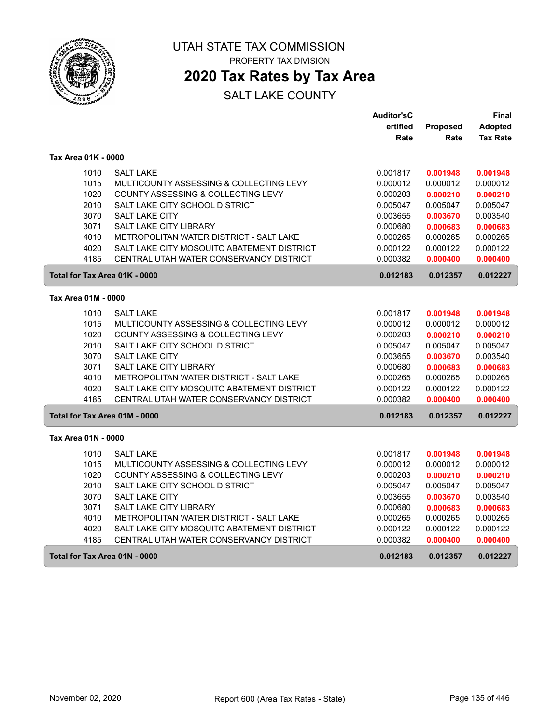

PROPERTY TAX DIVISION

## **2020 Tax Rates by Tax Area**

|                               |                                            | <b>Auditor'sC</b> |          | Final           |
|-------------------------------|--------------------------------------------|-------------------|----------|-----------------|
|                               |                                            | ertified          | Proposed | <b>Adopted</b>  |
|                               |                                            | Rate              | Rate     | <b>Tax Rate</b> |
| Tax Area 01K - 0000           |                                            |                   |          |                 |
| 1010                          | <b>SALT LAKE</b>                           | 0.001817          | 0.001948 | 0.001948        |
| 1015                          | MULTICOUNTY ASSESSING & COLLECTING LEVY    | 0.000012          | 0.000012 | 0.000012        |
| 1020                          | COUNTY ASSESSING & COLLECTING LEVY         | 0.000203          | 0.000210 | 0.000210        |
| 2010                          | SALT LAKE CITY SCHOOL DISTRICT             | 0.005047          | 0.005047 | 0.005047        |
| 3070                          | <b>SALT LAKE CITY</b>                      | 0.003655          | 0.003670 | 0.003540        |
| 3071                          | <b>SALT LAKE CITY LIBRARY</b>              | 0.000680          | 0.000683 | 0.000683        |
| 4010                          | METROPOLITAN WATER DISTRICT - SALT LAKE    | 0.000265          | 0.000265 | 0.000265        |
| 4020                          | SALT LAKE CITY MOSQUITO ABATEMENT DISTRICT | 0.000122          | 0.000122 | 0.000122        |
| 4185                          | CENTRAL UTAH WATER CONSERVANCY DISTRICT    | 0.000382          | 0.000400 | 0.000400        |
| Total for Tax Area 01K - 0000 |                                            | 0.012183          | 0.012357 | 0.012227        |
| Tax Area 01M - 0000           |                                            |                   |          |                 |
| 1010                          | <b>SALT LAKE</b>                           | 0.001817          | 0.001948 | 0.001948        |
| 1015                          | MULTICOUNTY ASSESSING & COLLECTING LEVY    | 0.000012          | 0.000012 | 0.000012        |
| 1020                          | COUNTY ASSESSING & COLLECTING LEVY         | 0.000203          | 0.000210 | 0.000210        |
| 2010                          | SALT LAKE CITY SCHOOL DISTRICT             | 0.005047          | 0.005047 | 0.005047        |
| 3070                          | <b>SALT LAKE CITY</b>                      | 0.003655          | 0.003670 | 0.003540        |
| 3071                          | SALT LAKE CITY LIBRARY                     | 0.000680          | 0.000683 | 0.000683        |
| 4010                          | METROPOLITAN WATER DISTRICT - SALT LAKE    | 0.000265          | 0.000265 | 0.000265        |
| 4020                          | SALT LAKE CITY MOSQUITO ABATEMENT DISTRICT | 0.000122          | 0.000122 | 0.000122        |
| 4185                          | CENTRAL UTAH WATER CONSERVANCY DISTRICT    | 0.000382          | 0.000400 | 0.000400        |
| Total for Tax Area 01M - 0000 |                                            | 0.012183          | 0.012357 | 0.012227        |
| Tax Area 01N - 0000           |                                            |                   |          |                 |
| 1010                          | <b>SALT LAKE</b>                           | 0.001817          | 0.001948 | 0.001948        |
| 1015                          | MULTICOUNTY ASSESSING & COLLECTING LEVY    | 0.000012          | 0.000012 | 0.000012        |
| 1020                          | COUNTY ASSESSING & COLLECTING LEVY         | 0.000203          | 0.000210 | 0.000210        |
| 2010                          | SALT LAKE CITY SCHOOL DISTRICT             | 0.005047          | 0.005047 | 0.005047        |
| 3070                          | <b>SALT LAKE CITY</b>                      | 0.003655          | 0.003670 | 0.003540        |
| 3071                          | <b>SALT LAKE CITY LIBRARY</b>              | 0.000680          | 0.000683 | 0.000683        |
| 4010                          | METROPOLITAN WATER DISTRICT - SALT LAKE    | 0.000265          | 0.000265 | 0.000265        |
| 4020                          | SALT LAKE CITY MOSQUITO ABATEMENT DISTRICT | 0.000122          | 0.000122 | 0.000122        |
| 4185                          | CENTRAL UTAH WATER CONSERVANCY DISTRICT    | 0.000382          | 0.000400 | 0.000400        |
| Total for Tax Area 01N - 0000 |                                            | 0.012183          | 0.012357 | 0.012227        |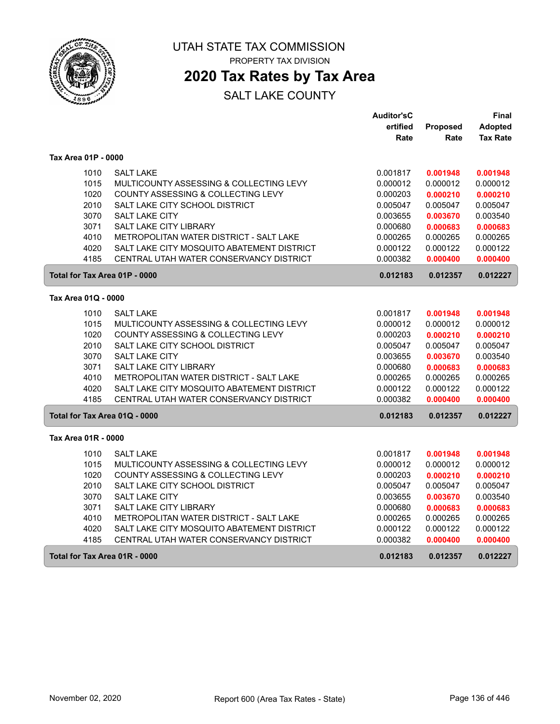

PROPERTY TAX DIVISION

## **2020 Tax Rates by Tax Area**

|                               |                                            | <b>Auditor'sC</b> |          | Final           |
|-------------------------------|--------------------------------------------|-------------------|----------|-----------------|
|                               |                                            | ertified          | Proposed | <b>Adopted</b>  |
|                               |                                            | Rate              | Rate     | <b>Tax Rate</b> |
| Tax Area 01P - 0000           |                                            |                   |          |                 |
| 1010                          | <b>SALT LAKE</b>                           | 0.001817          | 0.001948 | 0.001948        |
| 1015                          | MULTICOUNTY ASSESSING & COLLECTING LEVY    | 0.000012          | 0.000012 | 0.000012        |
| 1020                          | COUNTY ASSESSING & COLLECTING LEVY         | 0.000203          | 0.000210 | 0.000210        |
| 2010                          | SALT LAKE CITY SCHOOL DISTRICT             | 0.005047          | 0.005047 | 0.005047        |
| 3070                          | <b>SALT LAKE CITY</b>                      | 0.003655          | 0.003670 | 0.003540        |
| 3071                          | SALT LAKE CITY LIBRARY                     | 0.000680          | 0.000683 | 0.000683        |
| 4010                          | METROPOLITAN WATER DISTRICT - SALT LAKE    | 0.000265          | 0.000265 | 0.000265        |
| 4020                          | SALT LAKE CITY MOSQUITO ABATEMENT DISTRICT | 0.000122          | 0.000122 | 0.000122        |
| 4185                          | CENTRAL UTAH WATER CONSERVANCY DISTRICT    | 0.000382          | 0.000400 | 0.000400        |
| Total for Tax Area 01P - 0000 |                                            | 0.012183          | 0.012357 | 0.012227        |
| Tax Area 01Q - 0000           |                                            |                   |          |                 |
| 1010                          | <b>SALT LAKE</b>                           | 0.001817          | 0.001948 | 0.001948        |
| 1015                          | MULTICOUNTY ASSESSING & COLLECTING LEVY    | 0.000012          | 0.000012 | 0.000012        |
| 1020                          | COUNTY ASSESSING & COLLECTING LEVY         | 0.000203          | 0.000210 | 0.000210        |
| 2010                          | SALT LAKE CITY SCHOOL DISTRICT             | 0.005047          | 0.005047 | 0.005047        |
| 3070                          | <b>SALT LAKE CITY</b>                      | 0.003655          | 0.003670 | 0.003540        |
| 3071                          | SALT LAKE CITY LIBRARY                     | 0.000680          | 0.000683 | 0.000683        |
| 4010                          | METROPOLITAN WATER DISTRICT - SALT LAKE    | 0.000265          | 0.000265 | 0.000265        |
| 4020                          | SALT LAKE CITY MOSQUITO ABATEMENT DISTRICT | 0.000122          | 0.000122 | 0.000122        |
| 4185                          | CENTRAL UTAH WATER CONSERVANCY DISTRICT    | 0.000382          | 0.000400 | 0.000400        |
| Total for Tax Area 01Q - 0000 |                                            | 0.012183          | 0.012357 | 0.012227        |
| Tax Area 01R - 0000           |                                            |                   |          |                 |
| 1010                          | <b>SALT LAKE</b>                           | 0.001817          | 0.001948 | 0.001948        |
| 1015                          | MULTICOUNTY ASSESSING & COLLECTING LEVY    | 0.000012          | 0.000012 | 0.000012        |
| 1020                          | COUNTY ASSESSING & COLLECTING LEVY         | 0.000203          | 0.000210 | 0.000210        |
| 2010                          | SALT LAKE CITY SCHOOL DISTRICT             | 0.005047          | 0.005047 | 0.005047        |
| 3070                          | SALT LAKE CITY                             | 0.003655          | 0.003670 | 0.003540        |
| 3071                          | SALT LAKE CITY LIBRARY                     | 0.000680          | 0.000683 | 0.000683        |
| 4010                          | METROPOLITAN WATER DISTRICT - SALT LAKE    | 0.000265          | 0.000265 | 0.000265        |
| 4020                          | SALT LAKE CITY MOSQUITO ABATEMENT DISTRICT | 0.000122          | 0.000122 | 0.000122        |
| 4185                          | CENTRAL UTAH WATER CONSERVANCY DISTRICT    | 0.000382          | 0.000400 | 0.000400        |
| Total for Tax Area 01R - 0000 |                                            | 0.012183          | 0.012357 | 0.012227        |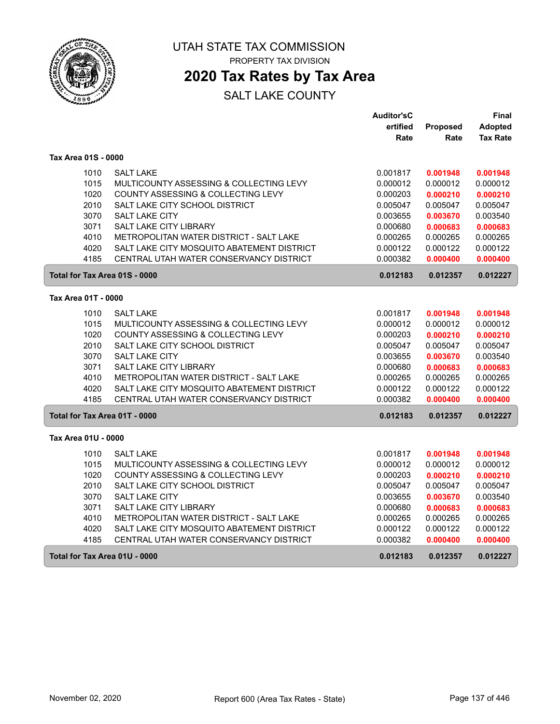

PROPERTY TAX DIVISION

## **2020 Tax Rates by Tax Area**

|                               |                                            | <b>Auditor'sC</b> |          | Final           |
|-------------------------------|--------------------------------------------|-------------------|----------|-----------------|
|                               |                                            | ertified          | Proposed | Adopted         |
|                               |                                            | Rate              | Rate     | <b>Tax Rate</b> |
| Tax Area 01S - 0000           |                                            |                   |          |                 |
| 1010                          | <b>SALT LAKE</b>                           | 0.001817          | 0.001948 | 0.001948        |
| 1015                          | MULTICOUNTY ASSESSING & COLLECTING LEVY    | 0.000012          | 0.000012 | 0.000012        |
| 1020                          | COUNTY ASSESSING & COLLECTING LEVY         | 0.000203          | 0.000210 | 0.000210        |
| 2010                          | SALT LAKE CITY SCHOOL DISTRICT             | 0.005047          | 0.005047 | 0.005047        |
| 3070                          | <b>SALT LAKE CITY</b>                      | 0.003655          | 0.003670 | 0.003540        |
| 3071                          | SALT LAKE CITY LIBRARY                     | 0.000680          | 0.000683 | 0.000683        |
| 4010                          | METROPOLITAN WATER DISTRICT - SALT LAKE    | 0.000265          | 0.000265 | 0.000265        |
| 4020                          | SALT LAKE CITY MOSQUITO ABATEMENT DISTRICT | 0.000122          | 0.000122 | 0.000122        |
| 4185                          | CENTRAL UTAH WATER CONSERVANCY DISTRICT    | 0.000382          | 0.000400 | 0.000400        |
| Total for Tax Area 01S - 0000 |                                            | 0.012183          | 0.012357 | 0.012227        |
| Tax Area 01T - 0000           |                                            |                   |          |                 |
| 1010                          | <b>SALT LAKE</b>                           | 0.001817          | 0.001948 | 0.001948        |
| 1015                          | MULTICOUNTY ASSESSING & COLLECTING LEVY    | 0.000012          | 0.000012 | 0.000012        |
| 1020                          | COUNTY ASSESSING & COLLECTING LEVY         | 0.000203          | 0.000210 | 0.000210        |
| 2010                          | SALT LAKE CITY SCHOOL DISTRICT             | 0.005047          | 0.005047 | 0.005047        |
| 3070                          | <b>SALT LAKE CITY</b>                      | 0.003655          | 0.003670 | 0.003540        |
| 3071                          | SALT LAKE CITY LIBRARY                     | 0.000680          | 0.000683 | 0.000683        |
| 4010                          | METROPOLITAN WATER DISTRICT - SALT LAKE    | 0.000265          | 0.000265 | 0.000265        |
| 4020                          | SALT LAKE CITY MOSQUITO ABATEMENT DISTRICT | 0.000122          | 0.000122 | 0.000122        |
| 4185                          | CENTRAL UTAH WATER CONSERVANCY DISTRICT    | 0.000382          | 0.000400 | 0.000400        |
| Total for Tax Area 01T - 0000 |                                            | 0.012183          | 0.012357 | 0.012227        |
| Tax Area 01U - 0000           |                                            |                   |          |                 |
| 1010                          | <b>SALT LAKE</b>                           | 0.001817          | 0.001948 | 0.001948        |
| 1015                          | MULTICOUNTY ASSESSING & COLLECTING LEVY    | 0.000012          | 0.000012 | 0.000012        |
| 1020                          | COUNTY ASSESSING & COLLECTING LEVY         | 0.000203          | 0.000210 | 0.000210        |
| 2010                          | SALT LAKE CITY SCHOOL DISTRICT             | 0.005047          | 0.005047 | 0.005047        |
| 3070                          | <b>SALT LAKE CITY</b>                      | 0.003655          | 0.003670 | 0.003540        |
| 3071                          | SALT LAKE CITY LIBRARY                     | 0.000680          | 0.000683 | 0.000683        |
| 4010                          | METROPOLITAN WATER DISTRICT - SALT LAKE    | 0.000265          | 0.000265 | 0.000265        |
| 4020                          | SALT LAKE CITY MOSQUITO ABATEMENT DISTRICT | 0.000122          | 0.000122 | 0.000122        |
| 4185                          | CENTRAL UTAH WATER CONSERVANCY DISTRICT    | 0.000382          | 0.000400 | 0.000400        |
| Total for Tax Area 01U - 0000 |                                            | 0.012183          | 0.012357 | 0.012227        |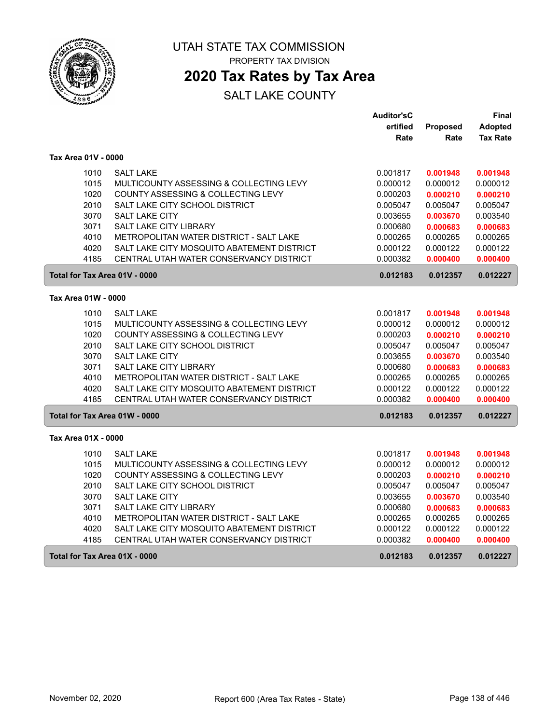

PROPERTY TAX DIVISION

## **2020 Tax Rates by Tax Area**

|                               |                                            | <b>Auditor'sC</b> |          | Final           |
|-------------------------------|--------------------------------------------|-------------------|----------|-----------------|
|                               |                                            | ertified          | Proposed | <b>Adopted</b>  |
|                               |                                            | Rate              | Rate     | <b>Tax Rate</b> |
| Tax Area 01V - 0000           |                                            |                   |          |                 |
| 1010                          | <b>SALT LAKE</b>                           | 0.001817          | 0.001948 | 0.001948        |
| 1015                          | MULTICOUNTY ASSESSING & COLLECTING LEVY    | 0.000012          | 0.000012 | 0.000012        |
| 1020                          | COUNTY ASSESSING & COLLECTING LEVY         | 0.000203          | 0.000210 | 0.000210        |
| 2010                          | SALT LAKE CITY SCHOOL DISTRICT             | 0.005047          | 0.005047 | 0.005047        |
| 3070                          | <b>SALT LAKE CITY</b>                      | 0.003655          | 0.003670 | 0.003540        |
| 3071                          | SALT LAKE CITY LIBRARY                     | 0.000680          | 0.000683 | 0.000683        |
| 4010                          | METROPOLITAN WATER DISTRICT - SALT LAKE    | 0.000265          | 0.000265 | 0.000265        |
| 4020                          | SALT LAKE CITY MOSQUITO ABATEMENT DISTRICT | 0.000122          | 0.000122 | 0.000122        |
| 4185                          | CENTRAL UTAH WATER CONSERVANCY DISTRICT    | 0.000382          | 0.000400 | 0.000400        |
| Total for Tax Area 01V - 0000 |                                            | 0.012183          | 0.012357 | 0.012227        |
| Tax Area 01W - 0000           |                                            |                   |          |                 |
| 1010                          | <b>SALT LAKE</b>                           | 0.001817          | 0.001948 | 0.001948        |
| 1015                          | MULTICOUNTY ASSESSING & COLLECTING LEVY    | 0.000012          | 0.000012 | 0.000012        |
| 1020                          | COUNTY ASSESSING & COLLECTING LEVY         | 0.000203          | 0.000210 | 0.000210        |
| 2010                          | SALT LAKE CITY SCHOOL DISTRICT             | 0.005047          | 0.005047 | 0.005047        |
| 3070                          | <b>SALT LAKE CITY</b>                      | 0.003655          | 0.003670 | 0.003540        |
| 3071                          | SALT LAKE CITY LIBRARY                     | 0.000680          | 0.000683 | 0.000683        |
| 4010                          | METROPOLITAN WATER DISTRICT - SALT LAKE    | 0.000265          | 0.000265 | 0.000265        |
| 4020                          | SALT LAKE CITY MOSQUITO ABATEMENT DISTRICT | 0.000122          | 0.000122 | 0.000122        |
| 4185                          | CENTRAL UTAH WATER CONSERVANCY DISTRICT    | 0.000382          | 0.000400 | 0.000400        |
| Total for Tax Area 01W - 0000 |                                            | 0.012183          | 0.012357 | 0.012227        |
| Tax Area 01X - 0000           |                                            |                   |          |                 |
| 1010                          | <b>SALT LAKE</b>                           | 0.001817          | 0.001948 | 0.001948        |
| 1015                          | MULTICOUNTY ASSESSING & COLLECTING LEVY    | 0.000012          | 0.000012 | 0.000012        |
| 1020                          | COUNTY ASSESSING & COLLECTING LEVY         | 0.000203          | 0.000210 | 0.000210        |
| 2010                          | SALT LAKE CITY SCHOOL DISTRICT             | 0.005047          | 0.005047 | 0.005047        |
| 3070                          | SALT LAKE CITY                             | 0.003655          | 0.003670 | 0.003540        |
| 3071                          | SALT LAKE CITY LIBRARY                     | 0.000680          | 0.000683 | 0.000683        |
| 4010                          | METROPOLITAN WATER DISTRICT - SALT LAKE    | 0.000265          | 0.000265 | 0.000265        |
| 4020                          | SALT LAKE CITY MOSQUITO ABATEMENT DISTRICT | 0.000122          | 0.000122 | 0.000122        |
| 4185                          | CENTRAL UTAH WATER CONSERVANCY DISTRICT    | 0.000382          | 0.000400 | 0.000400        |
| Total for Tax Area 01X - 0000 |                                            | 0.012183          | 0.012357 | 0.012227        |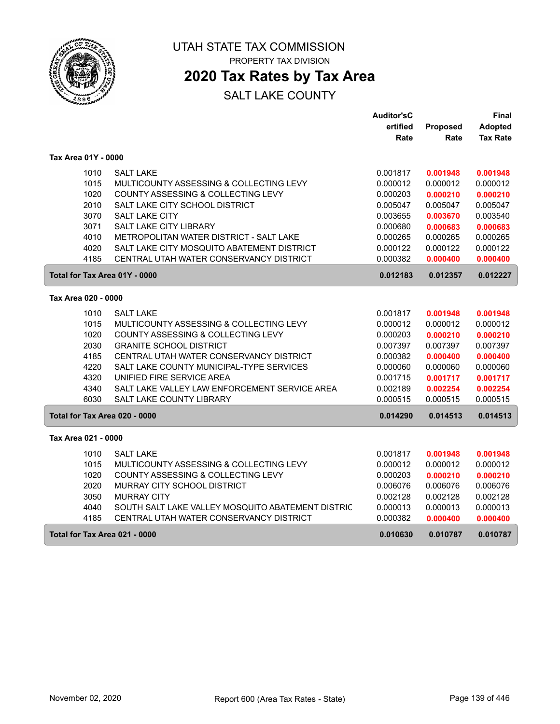

PROPERTY TAX DIVISION

## **2020 Tax Rates by Tax Area**

|                     |                                                   | <b>Auditor'sC</b> |                 | Final           |
|---------------------|---------------------------------------------------|-------------------|-----------------|-----------------|
|                     |                                                   | ertified          | <b>Proposed</b> | Adopted         |
|                     |                                                   | Rate              | Rate            | <b>Tax Rate</b> |
| Tax Area 01Y - 0000 |                                                   |                   |                 |                 |
| 1010                | <b>SALT LAKE</b>                                  | 0.001817          | 0.001948        | 0.001948        |
| 1015                | MULTICOUNTY ASSESSING & COLLECTING LEVY           | 0.000012          | 0.000012        | 0.000012        |
| 1020                | COUNTY ASSESSING & COLLECTING LEVY                | 0.000203          | 0.000210        | 0.000210        |
| 2010                | SALT LAKE CITY SCHOOL DISTRICT                    | 0.005047          | 0.005047        | 0.005047        |
| 3070                | SALT LAKE CITY                                    | 0.003655          | 0.003670        | 0.003540        |
| 3071                | <b>SALT LAKE CITY LIBRARY</b>                     | 0.000680          | 0.000683        | 0.000683        |
| 4010                | METROPOLITAN WATER DISTRICT - SALT LAKE           | 0.000265          | 0.000265        | 0.000265        |
| 4020                | SALT LAKE CITY MOSQUITO ABATEMENT DISTRICT        | 0.000122          | 0.000122        | 0.000122        |
| 4185                | CENTRAL UTAH WATER CONSERVANCY DISTRICT           | 0.000382          | 0.000400        | 0.000400        |
|                     | Total for Tax Area 01Y - 0000                     | 0.012183          | 0.012357        | 0.012227        |
| Tax Area 020 - 0000 |                                                   |                   |                 |                 |
| 1010                | <b>SALT LAKE</b>                                  | 0.001817          | 0.001948        | 0.001948        |
| 1015                | MULTICOUNTY ASSESSING & COLLECTING LEVY           | 0.000012          | 0.000012        | 0.000012        |
| 1020                | COUNTY ASSESSING & COLLECTING LEVY                | 0.000203          | 0.000210        | 0.000210        |
| 2030                | <b>GRANITE SCHOOL DISTRICT</b>                    | 0.007397          | 0.007397        | 0.007397        |
| 4185                | CENTRAL UTAH WATER CONSERVANCY DISTRICT           | 0.000382          | 0.000400        | 0.000400        |
| 4220                | SALT LAKE COUNTY MUNICIPAL-TYPE SERVICES          | 0.000060          | 0.000060        | 0.000060        |
| 4320                | UNIFIED FIRE SERVICE AREA                         | 0.001715          | 0.001717        | 0.001717        |
| 4340                | SALT LAKE VALLEY LAW ENFORCEMENT SERVICE AREA     | 0.002189          | 0.002254        | 0.002254        |
| 6030                | SALT LAKE COUNTY LIBRARY                          | 0.000515          | 0.000515        | 0.000515        |
|                     | Total for Tax Area 020 - 0000                     | 0.014290          | 0.014513        | 0.014513        |
| Tax Area 021 - 0000 |                                                   |                   |                 |                 |
| 1010                | <b>SALT LAKE</b>                                  | 0.001817          | 0.001948        | 0.001948        |
| 1015                | MULTICOUNTY ASSESSING & COLLECTING LEVY           | 0.000012          | 0.000012        | 0.000012        |
| 1020                | COUNTY ASSESSING & COLLECTING LEVY                | 0.000203          | 0.000210        | 0.000210        |
| 2020                | MURRAY CITY SCHOOL DISTRICT                       | 0.006076          | 0.006076        | 0.006076        |
| 3050                | <b>MURRAY CITY</b>                                | 0.002128          | 0.002128        | 0.002128        |
| 4040                | SOUTH SALT LAKE VALLEY MOSQUITO ABATEMENT DISTRIC | 0.000013          | 0.000013        | 0.000013        |
| 4185                | CENTRAL UTAH WATER CONSERVANCY DISTRICT           | 0.000382          | 0.000400        | 0.000400        |
|                     | Total for Tax Area 021 - 0000                     | 0.010630          | 0.010787        | 0.010787        |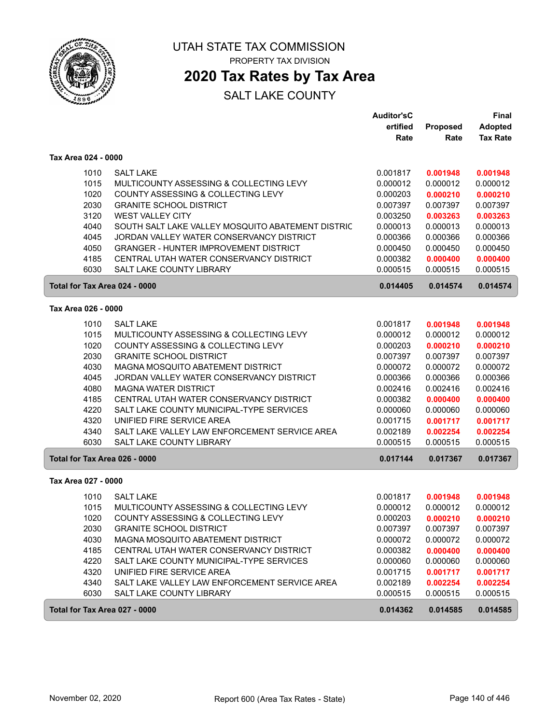

## **2020 Tax Rates by Tax Area**

|                     |                                                   | <b>Auditor'sC</b> |          | <b>Final</b>    |
|---------------------|---------------------------------------------------|-------------------|----------|-----------------|
|                     |                                                   | ertified          | Proposed | <b>Adopted</b>  |
|                     |                                                   | Rate              | Rate     | <b>Tax Rate</b> |
| Tax Area 024 - 0000 |                                                   |                   |          |                 |
| 1010                | <b>SALT LAKE</b>                                  | 0.001817          | 0.001948 | 0.001948        |
| 1015                | MULTICOUNTY ASSESSING & COLLECTING LEVY           | 0.000012          | 0.000012 | 0.000012        |
| 1020                | COUNTY ASSESSING & COLLECTING LEVY                | 0.000203          | 0.000210 | 0.000210        |
| 2030                | <b>GRANITE SCHOOL DISTRICT</b>                    | 0.007397          | 0.007397 | 0.007397        |
| 3120                | <b>WEST VALLEY CITY</b>                           | 0.003250          | 0.003263 | 0.003263        |
| 4040                | SOUTH SALT LAKE VALLEY MOSQUITO ABATEMENT DISTRIC | 0.000013          | 0.000013 | 0.000013        |
| 4045                | JORDAN VALLEY WATER CONSERVANCY DISTRICT          | 0.000366          | 0.000366 | 0.000366        |
| 4050                | <b>GRANGER - HUNTER IMPROVEMENT DISTRICT</b>      | 0.000450          | 0.000450 | 0.000450        |
| 4185                | CENTRAL UTAH WATER CONSERVANCY DISTRICT           | 0.000382          | 0.000400 | 0.000400        |
| 6030                | SALT LAKE COUNTY LIBRARY                          | 0.000515          | 0.000515 | 0.000515        |
|                     | Total for Tax Area 024 - 0000                     | 0.014405          | 0.014574 | 0.014574        |
| Tax Area 026 - 0000 |                                                   |                   |          |                 |
| 1010                | <b>SALT LAKE</b>                                  | 0.001817          | 0.001948 | 0.001948        |
| 1015                | MULTICOUNTY ASSESSING & COLLECTING LEVY           | 0.000012          | 0.000012 | 0.000012        |
| 1020                | COUNTY ASSESSING & COLLECTING LEVY                | 0.000203          | 0.000210 | 0.000210        |
| 2030                | <b>GRANITE SCHOOL DISTRICT</b>                    | 0.007397          | 0.007397 | 0.007397        |
| 4030                | MAGNA MOSQUITO ABATEMENT DISTRICT                 | 0.000072          | 0.000072 | 0.000072        |
| 4045                | JORDAN VALLEY WATER CONSERVANCY DISTRICT          | 0.000366          | 0.000366 | 0.000366        |
| 4080                | <b>MAGNA WATER DISTRICT</b>                       | 0.002416          | 0.002416 | 0.002416        |
| 4185                | CENTRAL UTAH WATER CONSERVANCY DISTRICT           | 0.000382          | 0.000400 | 0.000400        |
| 4220                | SALT LAKE COUNTY MUNICIPAL-TYPE SERVICES          | 0.000060          | 0.000060 | 0.000060        |
| 4320                | UNIFIED FIRE SERVICE AREA                         | 0.001715          | 0.001717 | 0.001717        |
| 4340                | SALT LAKE VALLEY LAW ENFORCEMENT SERVICE AREA     | 0.002189          | 0.002254 | 0.002254        |
| 6030                | <b>SALT LAKE COUNTY LIBRARY</b>                   | 0.000515          | 0.000515 | 0.000515        |
|                     | Total for Tax Area 026 - 0000                     | 0.017144          | 0.017367 | 0.017367        |
| Tax Area 027 - 0000 |                                                   |                   |          |                 |
| 1010                | <b>SALT LAKE</b>                                  | 0.001817          | 0.001948 | 0.001948        |
| 1015                | MULTICOUNTY ASSESSING & COLLECTING LEVY           | 0.000012          | 0.000012 | 0.000012        |
| 1020                | COUNTY ASSESSING & COLLECTING LEVY                | 0.000203          | 0.000210 | 0.000210        |
| 2030                | <b>GRANITE SCHOOL DISTRICT</b>                    | 0.007397          | 0.007397 | 0.007397        |
| 4030                | MAGNA MOSQUITO ABATEMENT DISTRICT                 | 0.000072          | 0.000072 | 0.000072        |
| 4185                | CENTRAL UTAH WATER CONSERVANCY DISTRICT           | 0.000382          | 0.000400 | 0.000400        |
| 4220                | SALT LAKE COUNTY MUNICIPAL-TYPE SERVICES          | 0.000060          | 0.000060 | 0.000060        |
| 4320                | UNIFIED FIRE SERVICE AREA                         | 0.001715          | 0.001717 | 0.001717        |
| 4340                | SALT LAKE VALLEY LAW ENFORCEMENT SERVICE AREA     | 0.002189          | 0.002254 | 0.002254        |
| 6030                | SALT LAKE COUNTY LIBRARY                          | 0.000515          | 0.000515 | 0.000515        |
|                     | Total for Tax Area 027 - 0000                     | 0.014362          | 0.014585 | 0.014585        |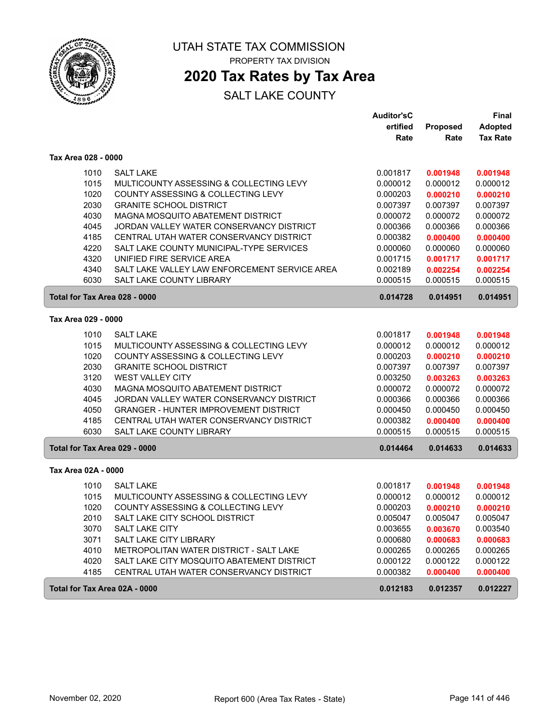

# **2020 Tax Rates by Tax Area**

|                     |                                               | <b>Auditor'sC</b> |          | Final           |
|---------------------|-----------------------------------------------|-------------------|----------|-----------------|
|                     |                                               | ertified          | Proposed | <b>Adopted</b>  |
|                     |                                               | Rate              | Rate     | <b>Tax Rate</b> |
| Tax Area 028 - 0000 |                                               |                   |          |                 |
| 1010                | <b>SALT LAKE</b>                              | 0.001817          | 0.001948 | 0.001948        |
| 1015                | MULTICOUNTY ASSESSING & COLLECTING LEVY       | 0.000012          | 0.000012 | 0.000012        |
| 1020                | COUNTY ASSESSING & COLLECTING LEVY            | 0.000203          | 0.000210 | 0.000210        |
| 2030                | <b>GRANITE SCHOOL DISTRICT</b>                | 0.007397          | 0.007397 | 0.007397        |
| 4030                | MAGNA MOSQUITO ABATEMENT DISTRICT             | 0.000072          | 0.000072 | 0.000072        |
| 4045                | JORDAN VALLEY WATER CONSERVANCY DISTRICT      | 0.000366          | 0.000366 | 0.000366        |
| 4185                | CENTRAL UTAH WATER CONSERVANCY DISTRICT       | 0.000382          | 0.000400 | 0.000400        |
| 4220                | SALT LAKE COUNTY MUNICIPAL-TYPE SERVICES      | 0.000060          | 0.000060 | 0.000060        |
| 4320                | UNIFIED FIRE SERVICE AREA                     | 0.001715          | 0.001717 | 0.001717        |
| 4340                | SALT LAKE VALLEY LAW ENFORCEMENT SERVICE AREA | 0.002189          | 0.002254 | 0.002254        |
| 6030                | SALT LAKE COUNTY LIBRARY                      | 0.000515          | 0.000515 | 0.000515        |
|                     | Total for Tax Area 028 - 0000                 | 0.014728          | 0.014951 | 0.014951        |
| Tax Area 029 - 0000 |                                               |                   |          |                 |
| 1010                | <b>SALT LAKE</b>                              | 0.001817          | 0.001948 | 0.001948        |
| 1015                | MULTICOUNTY ASSESSING & COLLECTING LEVY       | 0.000012          | 0.000012 | 0.000012        |
| 1020                | COUNTY ASSESSING & COLLECTING LEVY            | 0.000203          | 0.000210 | 0.000210        |
| 2030                | <b>GRANITE SCHOOL DISTRICT</b>                | 0.007397          | 0.007397 | 0.007397        |
| 3120                | WEST VALLEY CITY                              | 0.003250          | 0.003263 | 0.003263        |
| 4030                | MAGNA MOSQUITO ABATEMENT DISTRICT             | 0.000072          | 0.000072 | 0.000072        |
| 4045                | JORDAN VALLEY WATER CONSERVANCY DISTRICT      | 0.000366          | 0.000366 | 0.000366        |
| 4050                | <b>GRANGER - HUNTER IMPROVEMENT DISTRICT</b>  | 0.000450          | 0.000450 | 0.000450        |
| 4185                | CENTRAL UTAH WATER CONSERVANCY DISTRICT       | 0.000382          | 0.000400 | 0.000400        |
| 6030                | <b>SALT LAKE COUNTY LIBRARY</b>               | 0.000515          | 0.000515 | 0.000515        |
|                     | Total for Tax Area 029 - 0000                 | 0.014464          | 0.014633 | 0.014633        |
| Tax Area 02A - 0000 |                                               |                   |          |                 |
| 1010                | <b>SALT LAKE</b>                              | 0.001817          | 0.001948 | 0.001948        |
| 1015                | MULTICOUNTY ASSESSING & COLLECTING LEVY       | 0.000012          | 0.000012 | 0.000012        |
| 1020                | COUNTY ASSESSING & COLLECTING LEVY            | 0.000203          | 0.000210 | 0.000210        |
| 2010                | SALT LAKE CITY SCHOOL DISTRICT                | 0.005047          | 0.005047 | 0.005047        |
| 3070                | SALT LAKE CITY                                | 0.003655          | 0.003670 | 0.003540        |
| 3071                | SALT LAKE CITY LIBRARY                        | 0.000680          | 0.000683 | 0.000683        |
| 4010                | METROPOLITAN WATER DISTRICT - SALT LAKE       | 0.000265          | 0.000265 | 0.000265        |
| 4020                | SALT LAKE CITY MOSQUITO ABATEMENT DISTRICT    | 0.000122          | 0.000122 | 0.000122        |
| 4185                | CENTRAL UTAH WATER CONSERVANCY DISTRICT       | 0.000382          | 0.000400 | 0.000400        |
|                     | Total for Tax Area 02A - 0000                 | 0.012183          | 0.012357 | 0.012227        |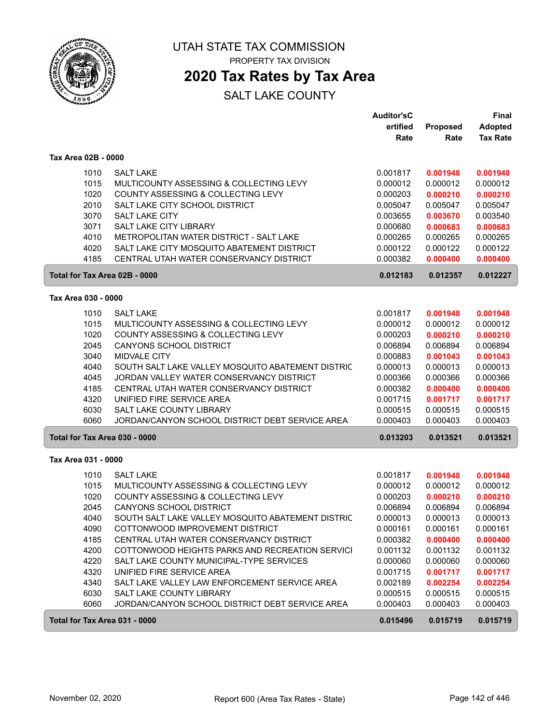

PROPERTY TAX DIVISION

## **2020 Tax Rates by Tax Area**

|                               |                                                                                            | <b>Auditor'sC</b><br>ertified | Proposed             | Final<br><b>Adopted</b> |
|-------------------------------|--------------------------------------------------------------------------------------------|-------------------------------|----------------------|-------------------------|
|                               |                                                                                            | Rate                          | Rate                 | <b>Tax Rate</b>         |
| Tax Area 02B - 0000           |                                                                                            |                               |                      |                         |
| 1010                          | <b>SALT LAKE</b>                                                                           | 0.001817                      | 0.001948             | 0.001948                |
| 1015                          | MULTICOUNTY ASSESSING & COLLECTING LEVY                                                    | 0.000012                      | 0.000012             | 0.000012                |
| 1020                          | COUNTY ASSESSING & COLLECTING LEVY                                                         | 0.000203                      | 0.000210             | 0.000210                |
| 2010<br>3070                  | SALT LAKE CITY SCHOOL DISTRICT<br><b>SALT LAKE CITY</b>                                    | 0.005047                      | 0.005047             | 0.005047                |
| 3071                          | SALT LAKE CITY LIBRARY                                                                     | 0.003655<br>0.000680          | 0.003670<br>0.000683 | 0.003540<br>0.000683    |
| 4010                          | METROPOLITAN WATER DISTRICT - SALT LAKE                                                    | 0.000265                      | 0.000265             | 0.000265                |
| 4020                          | SALT LAKE CITY MOSQUITO ABATEMENT DISTRICT                                                 | 0.000122                      | 0.000122             | 0.000122                |
| 4185                          | CENTRAL UTAH WATER CONSERVANCY DISTRICT                                                    | 0.000382                      | 0.000400             | 0.000400                |
| Total for Tax Area 02B - 0000 |                                                                                            | 0.012183                      | 0.012357             | 0.012227                |
| Tax Area 030 - 0000           |                                                                                            |                               |                      |                         |
| 1010                          | <b>SALT LAKE</b>                                                                           | 0.001817                      | 0.001948             | 0.001948                |
| 1015                          | MULTICOUNTY ASSESSING & COLLECTING LEVY                                                    | 0.000012                      | 0.000012             | 0.000012                |
| 1020                          | COUNTY ASSESSING & COLLECTING LEVY                                                         | 0.000203                      | 0.000210             | 0.000210                |
| 2045                          | CANYONS SCHOOL DISTRICT                                                                    | 0.006894                      | 0.006894             | 0.006894                |
| 3040                          | <b>MIDVALE CITY</b>                                                                        | 0.000883                      | 0.001043             | 0.001043                |
| 4040                          | SOUTH SALT LAKE VALLEY MOSQUITO ABATEMENT DISTRIC                                          | 0.000013                      | 0.000013             | 0.000013                |
| 4045<br>4185                  | JORDAN VALLEY WATER CONSERVANCY DISTRICT                                                   | 0.000366                      | 0.000366             | 0.000366                |
| 4320                          | CENTRAL UTAH WATER CONSERVANCY DISTRICT<br>UNIFIED FIRE SERVICE AREA                       | 0.000382<br>0.001715          | 0.000400<br>0.001717 | 0.000400<br>0.001717    |
| 6030                          | SALT LAKE COUNTY LIBRARY                                                                   | 0.000515                      | 0.000515             | 0.000515                |
| 6060                          | JORDAN/CANYON SCHOOL DISTRICT DEBT SERVICE AREA                                            | 0.000403                      | 0.000403             | 0.000403                |
| Total for Tax Area 030 - 0000 |                                                                                            | 0.013203                      | 0.013521             | 0.013521                |
| Tax Area 031 - 0000           |                                                                                            |                               |                      |                         |
| 1010                          | <b>SALT LAKE</b>                                                                           | 0.001817                      | 0.001948             | 0.001948                |
| 1015                          | MULTICOUNTY ASSESSING & COLLECTING LEVY                                                    | 0.000012                      | 0.000012             | 0.000012                |
| 1020                          | COUNTY ASSESSING & COLLECTING LEVY                                                         | 0.000203                      | 0.000210             | 0.000210                |
| 2045                          | <b>CANYONS SCHOOL DISTRICT</b>                                                             | 0.006894                      | 0.006894             | 0.006894                |
| 4040                          | SOUTH SALT LAKE VALLEY MOSQUITO ABATEMENT DISTRIC                                          | 0.000013                      | 0.000013             | 0.000013                |
| 4090                          | COTTONWOOD IMPROVEMENT DISTRICT                                                            | 0.000161                      | 0.000161             | 0.000161                |
| 4185<br>4200                  | CENTRAL UTAH WATER CONSERVANCY DISTRICT<br>COTTONWOOD HEIGHTS PARKS AND RECREATION SERVICI | 0.000382<br>0.001132          | 0.000400<br>0.001132 | 0.000400<br>0.001132    |
| 4220                          | SALT LAKE COUNTY MUNICIPAL-TYPE SERVICES                                                   | 0.000060                      | 0.000060             | 0.000060                |
| 4320                          | UNIFIED FIRE SERVICE AREA                                                                  | 0.001715                      | 0.001717             | 0.001717                |
| 4340                          | SALT LAKE VALLEY LAW ENFORCEMENT SERVICE AREA                                              | 0.002189                      | 0.002254             | 0.002254                |
| 6030                          | SALT LAKE COUNTY LIBRARY                                                                   | 0.000515                      | 0.000515             | 0.000515                |
| 6060                          | JORDAN/CANYON SCHOOL DISTRICT DEBT SERVICE AREA                                            | 0.000403                      | 0.000403             | 0.000403                |
| Total for Tax Area 031 - 0000 |                                                                                            | 0.015496                      | 0.015719             | 0.015719                |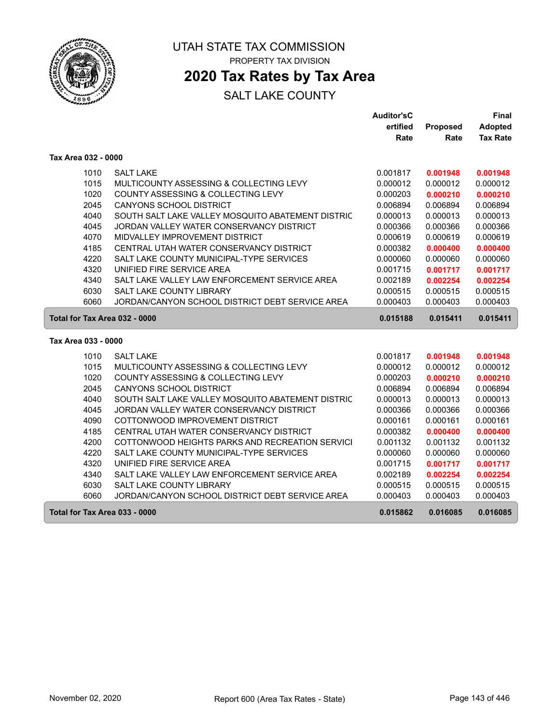

## **2020 Tax Rates by Tax Area**

|                               |                                                   | <b>Auditor'sC</b> |          | <b>Final</b>    |
|-------------------------------|---------------------------------------------------|-------------------|----------|-----------------|
|                               |                                                   | ertified          | Proposed | <b>Adopted</b>  |
|                               |                                                   | Rate              | Rate     | <b>Tax Rate</b> |
| Tax Area 032 - 0000           |                                                   |                   |          |                 |
| 1010                          | <b>SALT LAKE</b>                                  | 0.001817          | 0.001948 | 0.001948        |
| 1015                          | MULTICOUNTY ASSESSING & COLLECTING LEVY           | 0.000012          | 0.000012 | 0.000012        |
| 1020                          | COUNTY ASSESSING & COLLECTING LEVY                | 0.000203          | 0.000210 | 0.000210        |
| 2045                          | <b>CANYONS SCHOOL DISTRICT</b>                    | 0.006894          | 0.006894 | 0.006894        |
| 4040                          | SOUTH SALT LAKE VALLEY MOSQUITO ABATEMENT DISTRIC | 0.000013          | 0.000013 | 0.000013        |
| 4045                          | JORDAN VALLEY WATER CONSERVANCY DISTRICT          | 0.000366          | 0.000366 | 0.000366        |
| 4070                          | MIDVALLEY IMPROVEMENT DISTRICT                    | 0.000619          | 0.000619 | 0.000619        |
| 4185                          | CENTRAL UTAH WATER CONSERVANCY DISTRICT           | 0.000382          | 0.000400 | 0.000400        |
| 4220                          | SALT LAKE COUNTY MUNICIPAL-TYPE SERVICES          | 0.000060          | 0.000060 | 0.000060        |
| 4320                          | UNIFIED FIRE SERVICE AREA                         | 0.001715          | 0.001717 | 0.001717        |
| 4340                          | SALT LAKE VALLEY LAW ENFORCEMENT SERVICE AREA     | 0.002189          | 0.002254 | 0.002254        |
| 6030                          | SALT LAKE COUNTY LIBRARY                          | 0.000515          | 0.000515 | 0.000515        |
| 6060                          | JORDAN/CANYON SCHOOL DISTRICT DEBT SERVICE AREA   | 0.000403          | 0.000403 | 0.000403        |
| Total for Tax Area 032 - 0000 |                                                   | 0.015188          | 0.015411 | 0.015411        |
| Tax Area 033 - 0000           |                                                   |                   |          |                 |
| 1010                          | <b>SALT LAKE</b>                                  | 0.001817          | 0.001948 | 0.001948        |
| 1015                          | MULTICOUNTY ASSESSING & COLLECTING LEVY           | 0.000012          | 0.000012 | 0.000012        |
| 1020                          | COUNTY ASSESSING & COLLECTING LEVY                | 0.000203          | 0.000210 | 0.000210        |
| 2045                          | <b>CANYONS SCHOOL DISTRICT</b>                    | 0.006894          | 0.006894 | 0.006894        |
| 4040                          | SOUTH SALT LAKE VALLEY MOSQUITO ABATEMENT DISTRIC | 0.000013          | 0.000013 | 0.000013        |
| 4045                          | JORDAN VALLEY WATER CONSERVANCY DISTRICT          | 0.000366          | 0.000366 | 0.000366        |
| 4090                          | COTTONWOOD IMPROVEMENT DISTRICT                   | 0.000161          | 0.000161 | 0.000161        |
| 4185                          | CENTRAL UTAH WATER CONSERVANCY DISTRICT           | 0.000382          | 0.000400 | 0.000400        |
| 4200                          | COTTONWOOD HEIGHTS PARKS AND RECREATION SERVICI   | 0.001132          | 0.001132 | 0.001132        |
| 4220                          | SALT LAKE COUNTY MUNICIPAL-TYPE SERVICES          | 0.000060          | 0.000060 | 0.000060        |
| 4320                          | UNIFIED FIRE SERVICE AREA                         | 0.001715          | 0.001717 | 0.001717        |
| 4340                          | SALT LAKE VALLEY LAW ENFORCEMENT SERVICE AREA     | 0.002189          | 0.002254 | 0.002254        |
| 6030                          | SALT LAKE COUNTY LIBRARY                          | 0.000515          | 0.000515 | 0.000515        |
| 6060                          | JORDAN/CANYON SCHOOL DISTRICT DEBT SERVICE AREA   | 0.000403          | 0.000403 | 0.000403        |
| Total for Tax Area 033 - 0000 |                                                   | 0.015862          | 0.016085 | 0.016085        |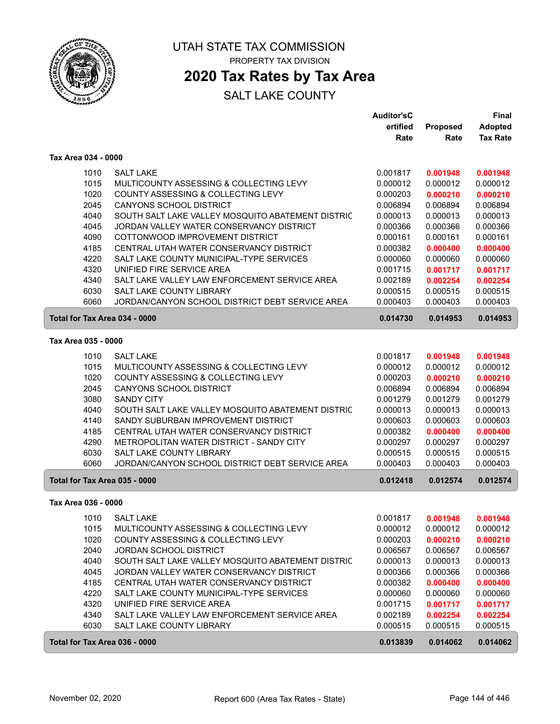

## **2020 Tax Rates by Tax Area**

|                               |                                                                                | <b>Auditor'sC</b>    |                      | <b>Final</b>         |
|-------------------------------|--------------------------------------------------------------------------------|----------------------|----------------------|----------------------|
|                               |                                                                                | ertified             | <b>Proposed</b>      | <b>Adopted</b>       |
|                               |                                                                                | Rate                 | Rate                 | <b>Tax Rate</b>      |
| Tax Area 034 - 0000           |                                                                                |                      |                      |                      |
| 1010                          | <b>SALT LAKE</b>                                                               | 0.001817             | 0.001948             | 0.001948             |
| 1015                          | MULTICOUNTY ASSESSING & COLLECTING LEVY                                        | 0.000012             | 0.000012             | 0.000012             |
| 1020                          | COUNTY ASSESSING & COLLECTING LEVY                                             | 0.000203             | 0.000210             | 0.000210             |
| 2045                          | <b>CANYONS SCHOOL DISTRICT</b>                                                 | 0.006894             | 0.006894             | 0.006894             |
| 4040                          | SOUTH SALT LAKE VALLEY MOSQUITO ABATEMENT DISTRIC                              | 0.000013             | 0.000013             | 0.000013             |
| 4045                          | JORDAN VALLEY WATER CONSERVANCY DISTRICT                                       | 0.000366             | 0.000366             | 0.000366             |
| 4090                          | COTTONWOOD IMPROVEMENT DISTRICT                                                | 0.000161             | 0.000161             | 0.000161             |
| 4185                          | CENTRAL UTAH WATER CONSERVANCY DISTRICT                                        | 0.000382             | 0.000400             | 0.000400             |
| 4220                          | SALT LAKE COUNTY MUNICIPAL-TYPE SERVICES                                       | 0.000060             | 0.000060             | 0.000060             |
| 4320                          | UNIFIED FIRE SERVICE AREA                                                      | 0.001715             | 0.001717             | 0.001717             |
| 4340                          | SALT LAKE VALLEY LAW ENFORCEMENT SERVICE AREA                                  | 0.002189             | 0.002254             | 0.002254             |
| 6030                          | SALT LAKE COUNTY LIBRARY                                                       | 0.000515             | 0.000515             | 0.000515             |
| 6060                          | JORDAN/CANYON SCHOOL DISTRICT DEBT SERVICE AREA                                | 0.000403             | 0.000403             | 0.000403             |
| Total for Tax Area 034 - 0000 |                                                                                | 0.014730             | 0.014953             | 0.014953             |
| Tax Area 035 - 0000           |                                                                                |                      |                      |                      |
|                               |                                                                                |                      |                      |                      |
| 1010                          | <b>SALT LAKE</b>                                                               | 0.001817             | 0.001948             | 0.001948             |
| 1015                          | MULTICOUNTY ASSESSING & COLLECTING LEVY                                        | 0.000012             | 0.000012             | 0.000012             |
| 1020                          | COUNTY ASSESSING & COLLECTING LEVY                                             | 0.000203             | 0.000210             | 0.000210             |
| 2045                          | CANYONS SCHOOL DISTRICT                                                        | 0.006894             | 0.006894             | 0.006894             |
| 3080                          | <b>SANDY CITY</b>                                                              | 0.001279             | 0.001279             | 0.001279             |
| 4040                          | SOUTH SALT LAKE VALLEY MOSQUITO ABATEMENT DISTRIC                              | 0.000013             | 0.000013             | 0.000013             |
| 4140<br>4185                  | SANDY SUBURBAN IMPROVEMENT DISTRICT<br>CENTRAL UTAH WATER CONSERVANCY DISTRICT | 0.000603<br>0.000382 | 0.000603             | 0.000603             |
| 4290                          | METROPOLITAN WATER DISTRICT - SANDY CITY                                       | 0.000297             | 0.000400<br>0.000297 | 0.000400<br>0.000297 |
| 6030                          | SALT LAKE COUNTY LIBRARY                                                       | 0.000515             | 0.000515             | 0.000515             |
| 6060                          | JORDAN/CANYON SCHOOL DISTRICT DEBT SERVICE AREA                                | 0.000403             | 0.000403             | 0.000403             |
|                               |                                                                                |                      |                      |                      |
| Total for Tax Area 035 - 0000 |                                                                                | 0.012418             | 0.012574             | 0.012574             |
| Tax Area 036 - 0000           |                                                                                |                      |                      |                      |
|                               | 1010 SALT LAKE                                                                 | 0.001817             | 0.001948             | 0.001948             |
| 1015                          | MULTICOUNTY ASSESSING & COLLECTING LEVY                                        | 0.000012             | 0.000012             | 0.000012             |
| 1020                          | COUNTY ASSESSING & COLLECTING LEVY                                             | 0.000203             | 0.000210             | 0.000210             |
| 2040                          | <b>JORDAN SCHOOL DISTRICT</b>                                                  | 0.006567             | 0.006567             | 0.006567             |
| 4040                          | SOUTH SALT LAKE VALLEY MOSQUITO ABATEMENT DISTRIC                              | 0.000013             | 0.000013             | 0.000013             |
| 4045                          | JORDAN VALLEY WATER CONSERVANCY DISTRICT                                       | 0.000366             | 0.000366             | 0.000366             |
| 4185                          | CENTRAL UTAH WATER CONSERVANCY DISTRICT                                        | 0.000382             | 0.000400             | 0.000400             |
| 4220                          | SALT LAKE COUNTY MUNICIPAL-TYPE SERVICES                                       | 0.000060             | 0.000060             | 0.000060             |
| 4320                          | UNIFIED FIRE SERVICE AREA                                                      | 0.001715             | 0.001717             | 0.001717             |
| 4340                          | SALT LAKE VALLEY LAW ENFORCEMENT SERVICE AREA                                  | 0.002189             | 0.002254             | 0.002254             |
| 6030                          | SALT LAKE COUNTY LIBRARY                                                       | 0.000515             | 0.000515             | 0.000515             |
| Total for Tax Area 036 - 0000 |                                                                                | 0.013839             | 0.014062             | 0.014062             |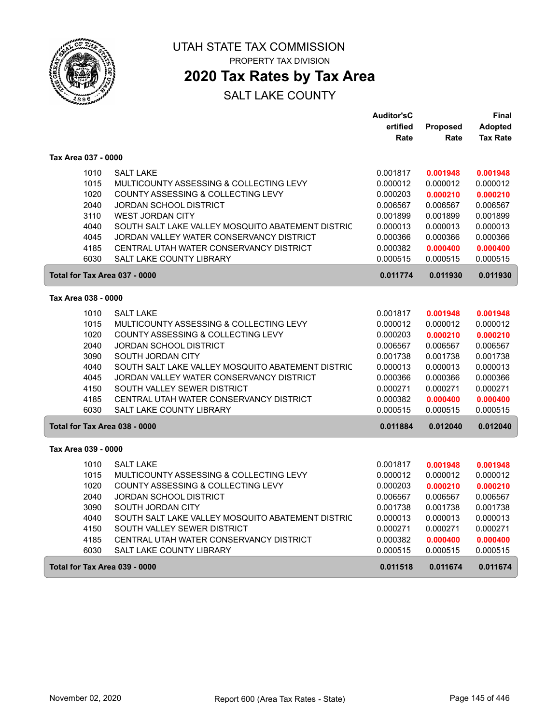

## **2020 Tax Rates by Tax Area**

### SALT LAKE COUNTY

|                               |                                                   | <b>Auditor'sC</b> |          | Final           |
|-------------------------------|---------------------------------------------------|-------------------|----------|-----------------|
|                               |                                                   | ertified          | Proposed | <b>Adopted</b>  |
|                               |                                                   | Rate              | Rate     | <b>Tax Rate</b> |
| Tax Area 037 - 0000           |                                                   |                   |          |                 |
| 1010                          | <b>SALT LAKE</b>                                  | 0.001817          | 0.001948 | 0.001948        |
| 1015                          | MULTICOUNTY ASSESSING & COLLECTING LEVY           | 0.000012          | 0.000012 | 0.000012        |
| 1020                          | COUNTY ASSESSING & COLLECTING LEVY                | 0.000203          | 0.000210 | 0.000210        |
| 2040                          | JORDAN SCHOOL DISTRICT                            | 0.006567          | 0.006567 | 0.006567        |
| 3110                          | <b>WEST JORDAN CITY</b>                           | 0.001899          | 0.001899 | 0.001899        |
| 4040                          | SOUTH SALT LAKE VALLEY MOSQUITO ABATEMENT DISTRIC | 0.000013          | 0.000013 | 0.000013        |
| 4045                          | JORDAN VALLEY WATER CONSERVANCY DISTRICT          | 0.000366          | 0.000366 | 0.000366        |
| 4185                          | CENTRAL UTAH WATER CONSERVANCY DISTRICT           | 0.000382          | 0.000400 | 0.000400        |
| 6030                          | SALT LAKE COUNTY LIBRARY                          | 0.000515          | 0.000515 | 0.000515        |
| Total for Tax Area 037 - 0000 |                                                   | 0.011774          | 0.011930 | 0.011930        |
| Tax Area 038 - 0000           |                                                   |                   |          |                 |
| 1010                          | <b>SALT LAKE</b>                                  | 0.001817          | 0.001948 | 0.001948        |
| 1015                          | MULTICOUNTY ASSESSING & COLLECTING LEVY           | 0.000012          | 0.000012 | 0.000012        |
| 1020                          | COUNTY ASSESSING & COLLECTING LEVY                | 0.000203          | 0.000210 | 0.000210        |
| 2040                          | <b>JORDAN SCHOOL DISTRICT</b>                     | 0.006567          | 0.006567 | 0.006567        |
| 3090                          | SOUTH JORDAN CITY                                 | 0.001738          | 0.001738 | 0.001738        |
| 4040                          | SOUTH SALT LAKE VALLEY MOSQUITO ABATEMENT DISTRIC | 0.000013          | 0.000013 | 0.000013        |
| 4045                          | JORDAN VALLEY WATER CONSERVANCY DISTRICT          | 0.000366          | 0.000366 | 0.000366        |
| 4150                          | SOUTH VALLEY SEWER DISTRICT                       | 0.000271          | 0.000271 | 0.000271        |
| 4185                          | CENTRAL UTAH WATER CONSERVANCY DISTRICT           | 0.000382          | 0.000400 | 0.000400        |
| 6030                          | <b>SALT LAKE COUNTY LIBRARY</b>                   | 0.000515          | 0.000515 | 0.000515        |
| Total for Tax Area 038 - 0000 |                                                   | 0.011884          | 0.012040 | 0.012040        |
| Tax Area 039 - 0000           |                                                   |                   |          |                 |
| 1010                          | <b>SALT LAKE</b>                                  | 0.001817          | 0.001948 | 0.001948        |
| 1015                          | MULTICOUNTY ASSESSING & COLLECTING LEVY           | 0.000012          | 0.000012 | 0.000012        |
| 1020                          | COUNTY ASSESSING & COLLECTING LEVY                | 0.000203          | 0.000210 | 0.000210        |
| 2040                          | <b>JORDAN SCHOOL DISTRICT</b>                     | 0.006567          | 0.006567 | 0.006567        |
| 3090                          | SOUTH JORDAN CITY                                 | 0.001738          | 0.001738 | 0.001738        |
| 4040                          | SOUTH SALT LAKE VALLEY MOSQUITO ABATEMENT DISTRIC | 0.000013          | 0.000013 | 0.000013        |
| 4150                          | SOUTH VALLEY SEWER DISTRICT                       | 0.000271          | 0.000271 | 0.000271        |
| 4185                          | CENTRAL UTAH WATER CONSERVANCY DISTRICT           | 0.000382          | 0.000400 | 0.000400        |
| 6030                          | <b>SALT LAKE COUNTY LIBRARY</b>                   | 0.000515          | 0.000515 | 0.000515        |
| Total for Tax Area 039 - 0000 |                                                   | 0.011518          | 0.011674 | 0.011674        |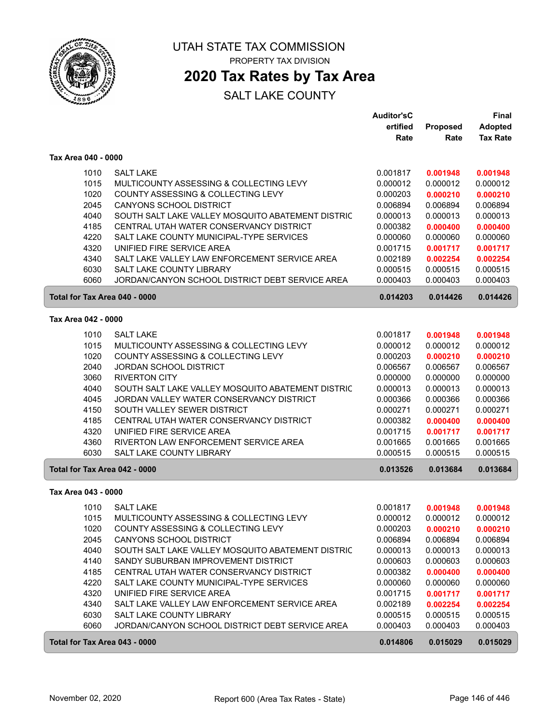

## **2020 Tax Rates by Tax Area**

|                               |                                                   | <b>Auditor'sC</b> |                      | <b>Final</b>         |
|-------------------------------|---------------------------------------------------|-------------------|----------------------|----------------------|
|                               |                                                   | ertified          | <b>Proposed</b>      | <b>Adopted</b>       |
|                               |                                                   | Rate              | Rate                 | <b>Tax Rate</b>      |
| Tax Area 040 - 0000           |                                                   |                   |                      |                      |
| 1010                          | <b>SALT LAKE</b>                                  | 0.001817          | 0.001948             | 0.001948             |
| 1015                          | MULTICOUNTY ASSESSING & COLLECTING LEVY           | 0.000012          | 0.000012             | 0.000012             |
| 1020                          | COUNTY ASSESSING & COLLECTING LEVY                | 0.000203          | 0.000210             | 0.000210             |
| 2045                          | CANYONS SCHOOL DISTRICT                           | 0.006894          | 0.006894             | 0.006894             |
| 4040                          | SOUTH SALT LAKE VALLEY MOSQUITO ABATEMENT DISTRIC | 0.000013          | 0.000013             | 0.000013             |
| 4185                          | CENTRAL UTAH WATER CONSERVANCY DISTRICT           | 0.000382          | 0.000400             | 0.000400             |
| 4220                          | SALT LAKE COUNTY MUNICIPAL-TYPE SERVICES          | 0.000060          | 0.000060             | 0.000060             |
| 4320                          | UNIFIED FIRE SERVICE AREA                         | 0.001715          | 0.001717             | 0.001717             |
| 4340                          | SALT LAKE VALLEY LAW ENFORCEMENT SERVICE AREA     | 0.002189          |                      |                      |
| 6030                          | SALT LAKE COUNTY LIBRARY                          | 0.000515          | 0.002254<br>0.000515 | 0.002254<br>0.000515 |
| 6060                          | JORDAN/CANYON SCHOOL DISTRICT DEBT SERVICE AREA   | 0.000403          | 0.000403             | 0.000403             |
|                               |                                                   |                   |                      |                      |
| Total for Tax Area 040 - 0000 |                                                   | 0.014203          | 0.014426             | 0.014426             |
| Tax Area 042 - 0000           |                                                   |                   |                      |                      |
| 1010                          | <b>SALT LAKE</b>                                  | 0.001817          | 0.001948             | 0.001948             |
| 1015                          | MULTICOUNTY ASSESSING & COLLECTING LEVY           | 0.000012          | 0.000012             | 0.000012             |
| 1020                          | COUNTY ASSESSING & COLLECTING LEVY                | 0.000203          | 0.000210             | 0.000210             |
| 2040                          | JORDAN SCHOOL DISTRICT                            | 0.006567          | 0.006567             | 0.006567             |
| 3060                          | <b>RIVERTON CITY</b>                              | 0.000000          | 0.000000             | 0.000000             |
| 4040                          | SOUTH SALT LAKE VALLEY MOSQUITO ABATEMENT DISTRIC | 0.000013          | 0.000013             | 0.000013             |
| 4045                          | JORDAN VALLEY WATER CONSERVANCY DISTRICT          | 0.000366          | 0.000366             | 0.000366             |
| 4150                          | SOUTH VALLEY SEWER DISTRICT                       | 0.000271          | 0.000271             | 0.000271             |
| 4185                          | CENTRAL UTAH WATER CONSERVANCY DISTRICT           | 0.000382          | 0.000400             | 0.000400             |
| 4320                          | UNIFIED FIRE SERVICE AREA                         | 0.001715          | 0.001717             | 0.001717             |
| 4360                          | RIVERTON LAW ENFORCEMENT SERVICE AREA             | 0.001665          | 0.001665             | 0.001665             |
| 6030                          | SALT LAKE COUNTY LIBRARY                          | 0.000515          | 0.000515             | 0.000515             |
| Total for Tax Area 042 - 0000 |                                                   | 0.013526          | 0.013684             | 0.013684             |
| Tax Area 043 - 0000           |                                                   |                   |                      |                      |
| 1010                          | <b>SALT LAKE</b>                                  | 0.001817          | 0.001948             | 0.001948             |
| 1015                          | MULTICOUNTY ASSESSING & COLLECTING LEVY           | 0.000012          | 0.000012             | 0.000012             |
| 1020                          | COUNTY ASSESSING & COLLECTING LEVY                | 0.000203          | 0.000210             | 0.000210             |
| 2045                          | <b>CANYONS SCHOOL DISTRICT</b>                    | 0.006894          | 0.006894             | 0.006894             |
| 4040                          | SOUTH SALT LAKE VALLEY MOSQUITO ABATEMENT DISTRIC | 0.000013          | 0.000013             | 0.000013             |
| 4140                          | SANDY SUBURBAN IMPROVEMENT DISTRICT               | 0.000603          | 0.000603             | 0.000603             |
| 4185                          | CENTRAL UTAH WATER CONSERVANCY DISTRICT           | 0.000382          | 0.000400             | 0.000400             |
| 4220                          | SALT LAKE COUNTY MUNICIPAL-TYPE SERVICES          | 0.000060          | 0.000060             | 0.000060             |
| 4320                          | UNIFIED FIRE SERVICE AREA                         | 0.001715          | 0.001717             | 0.001717             |
| 4340                          | SALT LAKE VALLEY LAW ENFORCEMENT SERVICE AREA     | 0.002189          | 0.002254             | 0.002254             |
| 6030                          | SALT LAKE COUNTY LIBRARY                          | 0.000515          | 0.000515             | 0.000515             |
| 6060                          | JORDAN/CANYON SCHOOL DISTRICT DEBT SERVICE AREA   | 0.000403          | 0.000403             | 0.000403             |
| Total for Tax Area 043 - 0000 |                                                   | 0.014806          | 0.015029             | 0.015029             |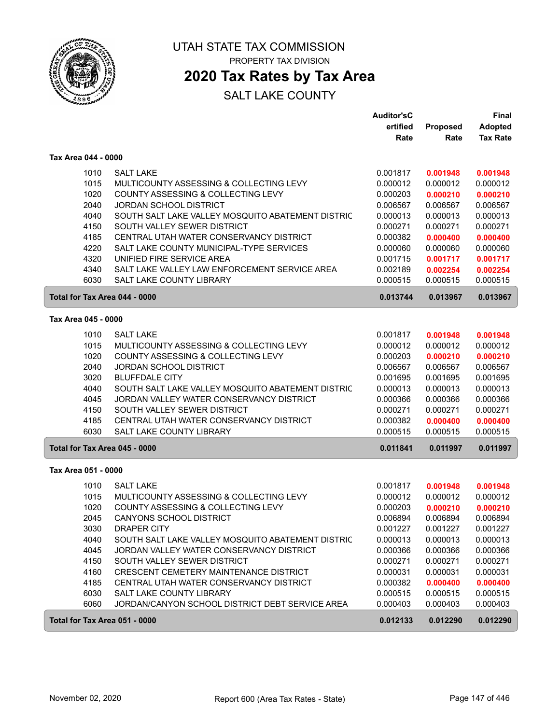

## **2020 Tax Rates by Tax Area**

### SALT LAKE COUNTY

|                               |                                                                             | <b>Auditor'sC</b>    |                      | <b>Final</b>         |
|-------------------------------|-----------------------------------------------------------------------------|----------------------|----------------------|----------------------|
|                               |                                                                             | ertified             | <b>Proposed</b>      | <b>Adopted</b>       |
|                               |                                                                             | Rate                 | Rate                 | <b>Tax Rate</b>      |
| Tax Area 044 - 0000           |                                                                             |                      |                      |                      |
| 1010                          | <b>SALT LAKE</b>                                                            | 0.001817             | 0.001948             | 0.001948             |
| 1015                          | MULTICOUNTY ASSESSING & COLLECTING LEVY                                     | 0.000012             | 0.000012             | 0.000012             |
| 1020                          | COUNTY ASSESSING & COLLECTING LEVY                                          | 0.000203             | 0.000210             | 0.000210             |
| 2040                          | <b>JORDAN SCHOOL DISTRICT</b>                                               | 0.006567             | 0.006567             | 0.006567             |
| 4040                          | SOUTH SALT LAKE VALLEY MOSQUITO ABATEMENT DISTRIC                           | 0.000013             | 0.000013             | 0.000013             |
| 4150                          | SOUTH VALLEY SEWER DISTRICT                                                 | 0.000271             | 0.000271             | 0.000271             |
| 4185                          | CENTRAL UTAH WATER CONSERVANCY DISTRICT                                     | 0.000382             | 0.000400             | 0.000400             |
| 4220                          | SALT LAKE COUNTY MUNICIPAL-TYPE SERVICES                                    | 0.000060             | 0.000060             | 0.000060             |
| 4320                          | UNIFIED FIRE SERVICE AREA                                                   | 0.001715             | 0.001717             | 0.001717             |
| 4340                          | SALT LAKE VALLEY LAW ENFORCEMENT SERVICE AREA                               | 0.002189             | 0.002254             | 0.002254             |
| 6030                          | <b>SALT LAKE COUNTY LIBRARY</b>                                             | 0.000515             | 0.000515             | 0.000515             |
| Total for Tax Area 044 - 0000 |                                                                             | 0.013744             | 0.013967             | 0.013967             |
| Tax Area 045 - 0000           |                                                                             |                      |                      |                      |
| 1010                          | <b>SALT LAKE</b>                                                            | 0.001817             | 0.001948             | 0.001948             |
| 1015                          | MULTICOUNTY ASSESSING & COLLECTING LEVY                                     | 0.000012             | 0.000012             | 0.000012             |
| 1020                          | COUNTY ASSESSING & COLLECTING LEVY                                          | 0.000203             | 0.000210             | 0.000210             |
| 2040                          | <b>JORDAN SCHOOL DISTRICT</b>                                               | 0.006567             | 0.006567             | 0.006567             |
| 3020                          | <b>BLUFFDALE CITY</b>                                                       | 0.001695             | 0.001695             | 0.001695             |
| 4040                          | SOUTH SALT LAKE VALLEY MOSQUITO ABATEMENT DISTRIC                           | 0.000013             | 0.000013             | 0.000013             |
| 4045                          | JORDAN VALLEY WATER CONSERVANCY DISTRICT                                    | 0.000366             | 0.000366             | 0.000366             |
| 4150                          | SOUTH VALLEY SEWER DISTRICT                                                 | 0.000271             | 0.000271             | 0.000271             |
| 4185                          | CENTRAL UTAH WATER CONSERVANCY DISTRICT                                     | 0.000382             | 0.000400             | 0.000400             |
| 6030                          | SALT LAKE COUNTY LIBRARY                                                    | 0.000515             | 0.000515             | 0.000515             |
| Total for Tax Area 045 - 0000 |                                                                             | 0.011841             | 0.011997             | 0.011997             |
| Tax Area 051 - 0000           |                                                                             |                      |                      |                      |
|                               |                                                                             |                      |                      |                      |
| 1010                          | <b>SALT LAKE</b>                                                            | 0.001817             | 0.001948             | 0.001948             |
| 1015                          | MULTICOUNTY ASSESSING & COLLECTING LEVY                                     | 0.000012             | 0.000012             | 0.000012             |
| 1020                          | COUNTY ASSESSING & COLLECTING LEVY                                          | 0.000203             | 0.000210             | 0.000210             |
| 2045                          | CANYONS SCHOOL DISTRICT                                                     | 0.006894             | 0.006894             | 0.006894             |
| 3030                          | DRAPER CITY                                                                 | 0.001227             | 0.001227             | 0.001227             |
| 4040                          | SOUTH SALT LAKE VALLEY MOSQUITO ABATEMENT DISTRIC                           | 0.000013             | 0.000013             | 0.000013             |
| 4045                          | JORDAN VALLEY WATER CONSERVANCY DISTRICT                                    | 0.000366             | 0.000366             | 0.000366             |
| 4150                          | SOUTH VALLEY SEWER DISTRICT                                                 | 0.000271             | 0.000271             | 0.000271             |
| 4160                          | CRESCENT CEMETERY MAINTENANCE DISTRICT                                      | 0.000031             | 0.000031             | 0.000031             |
| 4185                          | CENTRAL UTAH WATER CONSERVANCY DISTRICT                                     | 0.000382             | 0.000400             | 0.000400             |
| 6030<br>6060                  | SALT LAKE COUNTY LIBRARY<br>JORDAN/CANYON SCHOOL DISTRICT DEBT SERVICE AREA | 0.000515<br>0.000403 | 0.000515<br>0.000403 | 0.000515<br>0.000403 |
|                               |                                                                             |                      |                      |                      |
| Total for Tax Area 051 - 0000 |                                                                             | 0.012133             | 0.012290             | 0.012290             |

ſ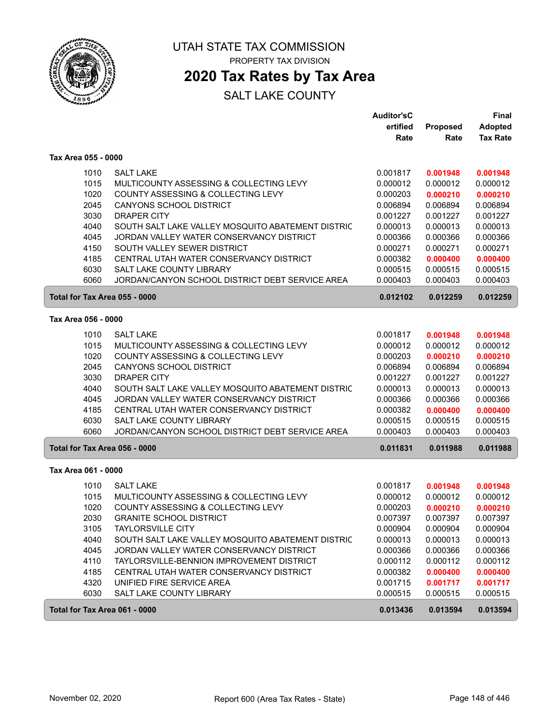

## **2020 Tax Rates by Tax Area**

|                               |                                                                      | <b>Auditor'sC</b>    |                      | Final                |
|-------------------------------|----------------------------------------------------------------------|----------------------|----------------------|----------------------|
|                               |                                                                      | ertified             | Proposed             | <b>Adopted</b>       |
|                               |                                                                      | Rate                 | Rate                 | <b>Tax Rate</b>      |
| Tax Area 055 - 0000           |                                                                      |                      |                      |                      |
| 1010                          | <b>SALT LAKE</b>                                                     | 0.001817             | 0.001948             | 0.001948             |
| 1015                          | MULTICOUNTY ASSESSING & COLLECTING LEVY                              | 0.000012             | 0.000012             | 0.000012             |
| 1020                          | COUNTY ASSESSING & COLLECTING LEVY                                   | 0.000203             | 0.000210             | 0.000210             |
| 2045                          | <b>CANYONS SCHOOL DISTRICT</b>                                       | 0.006894             | 0.006894             | 0.006894             |
| 3030                          | <b>DRAPER CITY</b>                                                   | 0.001227             | 0.001227             | 0.001227             |
| 4040                          | SOUTH SALT LAKE VALLEY MOSQUITO ABATEMENT DISTRIC                    | 0.000013             | 0.000013             | 0.000013             |
| 4045                          | JORDAN VALLEY WATER CONSERVANCY DISTRICT                             | 0.000366             | 0.000366             | 0.000366             |
| 4150                          | SOUTH VALLEY SEWER DISTRICT                                          | 0.000271             | 0.000271             | 0.000271             |
| 4185                          | CENTRAL UTAH WATER CONSERVANCY DISTRICT                              | 0.000382             | 0.000400             | 0.000400             |
| 6030                          | SALT LAKE COUNTY LIBRARY                                             | 0.000515             | 0.000515             | 0.000515             |
| 6060                          | JORDAN/CANYON SCHOOL DISTRICT DEBT SERVICE AREA                      | 0.000403             | 0.000403             | 0.000403             |
| Total for Tax Area 055 - 0000 |                                                                      | 0.012102             | 0.012259             | 0.012259             |
| Tax Area 056 - 0000           |                                                                      |                      |                      |                      |
| 1010                          | <b>SALT LAKE</b>                                                     | 0.001817             |                      | 0.001948             |
| 1015                          | MULTICOUNTY ASSESSING & COLLECTING LEVY                              | 0.000012             | 0.001948<br>0.000012 | 0.000012             |
| 1020                          | COUNTY ASSESSING & COLLECTING LEVY                                   | 0.000203             | 0.000210             | 0.000210             |
| 2045                          | CANYONS SCHOOL DISTRICT                                              | 0.006894             | 0.006894             | 0.006894             |
| 3030                          | <b>DRAPER CITY</b>                                                   | 0.001227             | 0.001227             | 0.001227             |
| 4040                          | SOUTH SALT LAKE VALLEY MOSQUITO ABATEMENT DISTRIC                    | 0.000013             | 0.000013             | 0.000013             |
| 4045                          | JORDAN VALLEY WATER CONSERVANCY DISTRICT                             | 0.000366             | 0.000366             | 0.000366             |
| 4185                          | CENTRAL UTAH WATER CONSERVANCY DISTRICT                              | 0.000382             | 0.000400             | 0.000400             |
| 6030                          | SALT LAKE COUNTY LIBRARY                                             | 0.000515             | 0.000515             | 0.000515             |
| 6060                          | JORDAN/CANYON SCHOOL DISTRICT DEBT SERVICE AREA                      | 0.000403             | 0.000403             | 0.000403             |
| Total for Tax Area 056 - 0000 |                                                                      | 0.011831             | 0.011988             | 0.011988             |
| Tax Area 061 - 0000           |                                                                      |                      |                      |                      |
|                               |                                                                      |                      |                      |                      |
| 1010                          | <b>SALT LAKE</b>                                                     | 0.001817             | 0.001948             | 0.001948             |
| 1015                          | MULTICOUNTY ASSESSING & COLLECTING LEVY                              | 0.000012             | 0.000012             | 0.000012             |
| 1020<br>2030                  | COUNTY ASSESSING & COLLECTING LEVY<br><b>GRANITE SCHOOL DISTRICT</b> | 0.000203<br>0.007397 | 0.000210<br>0.007397 | 0.000210<br>0.007397 |
|                               | <b>TAYLORSVILLE CITY</b>                                             |                      | 0.000904             |                      |
| 3105<br>4040                  | SOUTH SALT LAKE VALLEY MOSQUITO ABATEMENT DISTRIC                    | 0.000904<br>0.000013 | 0.000013             | 0.000904<br>0.000013 |
| 4045                          | JORDAN VALLEY WATER CONSERVANCY DISTRICT                             | 0.000366             | 0.000366             | 0.000366             |
| 4110                          | TAYLORSVILLE-BENNION IMPROVEMENT DISTRICT                            | 0.000112             | 0.000112             | 0.000112             |
| 4185                          | CENTRAL UTAH WATER CONSERVANCY DISTRICT                              | 0.000382             | 0.000400             | 0.000400             |
| 4320                          | UNIFIED FIRE SERVICE AREA                                            | 0.001715             | 0.001717             | 0.001717             |
| 6030                          | SALT LAKE COUNTY LIBRARY                                             | 0.000515             | 0.000515             | 0.000515             |
| Total for Tax Area 061 - 0000 |                                                                      | 0.013436             | 0.013594             | 0.013594             |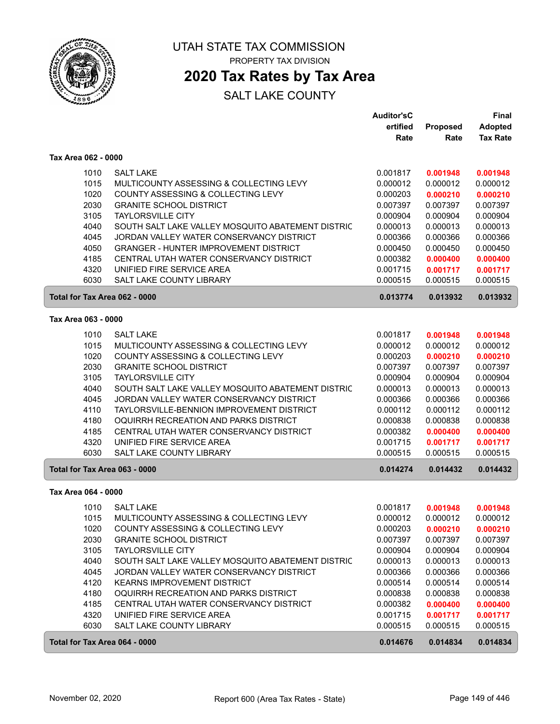

## **2020 Tax Rates by Tax Area**

|                               |                                                   | <b>Auditor'sC</b> |          | Final           |
|-------------------------------|---------------------------------------------------|-------------------|----------|-----------------|
|                               |                                                   | ertified          | Proposed | <b>Adopted</b>  |
|                               |                                                   | Rate              | Rate     | <b>Tax Rate</b> |
| Tax Area 062 - 0000           |                                                   |                   |          |                 |
| 1010                          | <b>SALT LAKE</b>                                  | 0.001817          | 0.001948 | 0.001948        |
| 1015                          | MULTICOUNTY ASSESSING & COLLECTING LEVY           | 0.000012          | 0.000012 | 0.000012        |
| 1020                          | COUNTY ASSESSING & COLLECTING LEVY                | 0.000203          | 0.000210 | 0.000210        |
| 2030                          | <b>GRANITE SCHOOL DISTRICT</b>                    | 0.007397          | 0.007397 | 0.007397        |
| 3105                          | <b>TAYLORSVILLE CITY</b>                          | 0.000904          | 0.000904 | 0.000904        |
| 4040                          | SOUTH SALT LAKE VALLEY MOSQUITO ABATEMENT DISTRIC | 0.000013          | 0.000013 | 0.000013        |
| 4045                          | JORDAN VALLEY WATER CONSERVANCY DISTRICT          | 0.000366          | 0.000366 | 0.000366        |
| 4050                          | <b>GRANGER - HUNTER IMPROVEMENT DISTRICT</b>      | 0.000450          | 0.000450 | 0.000450        |
| 4185                          | CENTRAL UTAH WATER CONSERVANCY DISTRICT           | 0.000382          | 0.000400 | 0.000400        |
| 4320                          | UNIFIED FIRE SERVICE AREA                         | 0.001715          | 0.001717 | 0.001717        |
| 6030                          | <b>SALT LAKE COUNTY LIBRARY</b>                   | 0.000515          | 0.000515 | 0.000515        |
| Total for Tax Area 062 - 0000 |                                                   | 0.013774          | 0.013932 | 0.013932        |
| Tax Area 063 - 0000           |                                                   |                   |          |                 |
|                               |                                                   |                   |          |                 |
| 1010                          | <b>SALT LAKE</b>                                  | 0.001817          | 0.001948 | 0.001948        |
| 1015                          | MULTICOUNTY ASSESSING & COLLECTING LEVY           | 0.000012          | 0.000012 | 0.000012        |
| 1020                          | COUNTY ASSESSING & COLLECTING LEVY                | 0.000203          | 0.000210 | 0.000210        |
| 2030                          | <b>GRANITE SCHOOL DISTRICT</b>                    | 0.007397          | 0.007397 | 0.007397        |
| 3105                          | <b>TAYLORSVILLE CITY</b>                          | 0.000904          | 0.000904 | 0.000904        |
| 4040                          | SOUTH SALT LAKE VALLEY MOSQUITO ABATEMENT DISTRIC | 0.000013          | 0.000013 | 0.000013        |
| 4045                          | JORDAN VALLEY WATER CONSERVANCY DISTRICT          | 0.000366          | 0.000366 | 0.000366        |
| 4110                          | TAYLORSVILLE-BENNION IMPROVEMENT DISTRICT         | 0.000112          | 0.000112 | 0.000112        |
| 4180                          | OQUIRRH RECREATION AND PARKS DISTRICT             | 0.000838          | 0.000838 | 0.000838        |
| 4185                          | CENTRAL UTAH WATER CONSERVANCY DISTRICT           | 0.000382          | 0.000400 | 0.000400        |
| 4320                          | UNIFIED FIRE SERVICE AREA                         | 0.001715          | 0.001717 | 0.001717        |
| 6030                          | SALT LAKE COUNTY LIBRARY                          | 0.000515          | 0.000515 | 0.000515        |
| Total for Tax Area 063 - 0000 |                                                   | 0.014274          | 0.014432 | 0.014432        |
| Tax Area 064 - 0000           |                                                   |                   |          |                 |
| 1010                          | <b>SALT LAKE</b>                                  | 0.001817          | 0.001948 | 0.001948        |
| 1015                          | MULTICOUNTY ASSESSING & COLLECTING LEVY           | 0.000012          | 0.000012 | 0.000012        |
| 1020                          | COUNTY ASSESSING & COLLECTING LEVY                | 0.000203          | 0.000210 | 0.000210        |
| 2030                          | <b>GRANITE SCHOOL DISTRICT</b>                    | 0.007397          | 0.007397 | 0.007397        |
| 3105                          | <b>TAYLORSVILLE CITY</b>                          | 0.000904          | 0.000904 | 0.000904        |
| 4040                          | SOUTH SALT LAKE VALLEY MOSQUITO ABATEMENT DISTRIC | 0.000013          | 0.000013 | 0.000013        |
| 4045                          | JORDAN VALLEY WATER CONSERVANCY DISTRICT          | 0.000366          | 0.000366 | 0.000366        |
| 4120                          | KEARNS IMPROVEMENT DISTRICT                       | 0.000514          | 0.000514 | 0.000514        |
| 4180                          | OQUIRRH RECREATION AND PARKS DISTRICT             | 0.000838          | 0.000838 | 0.000838        |
| 4185                          | CENTRAL UTAH WATER CONSERVANCY DISTRICT           | 0.000382          | 0.000400 | 0.000400        |
| 4320                          | UNIFIED FIRE SERVICE AREA                         | 0.001715          | 0.001717 | 0.001717        |
| 6030                          | SALT LAKE COUNTY LIBRARY                          | 0.000515          | 0.000515 | 0.000515        |
| Total for Tax Area 064 - 0000 |                                                   | 0.014676          | 0.014834 | 0.014834        |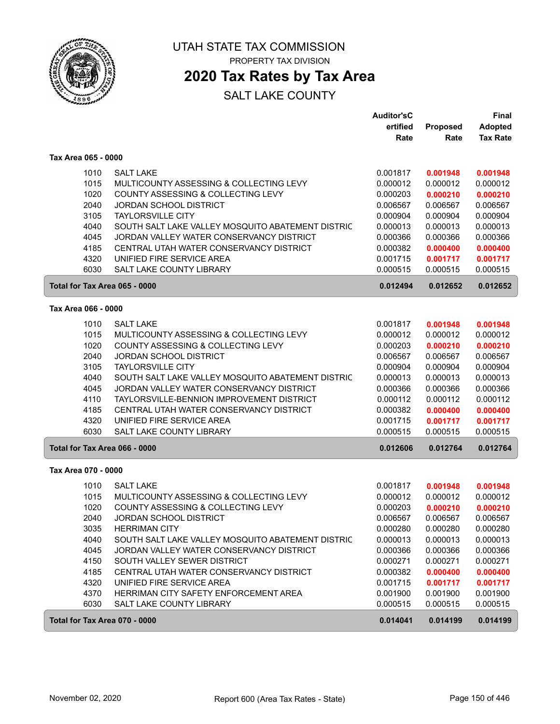

## **2020 Tax Rates by Tax Area**

|                     |                                                           | <b>Auditor'sC</b> |          | <b>Final</b>    |
|---------------------|-----------------------------------------------------------|-------------------|----------|-----------------|
|                     |                                                           | ertified          | Proposed | <b>Adopted</b>  |
|                     |                                                           | Rate              | Rate     | <b>Tax Rate</b> |
| Tax Area 065 - 0000 |                                                           |                   |          |                 |
|                     | 1010<br><b>SALT LAKE</b>                                  | 0.001817          | 0.001948 | 0.001948        |
|                     | 1015<br>MULTICOUNTY ASSESSING & COLLECTING LEVY           | 0.000012          | 0.000012 | 0.000012        |
|                     | 1020<br>COUNTY ASSESSING & COLLECTING LEVY                | 0.000203          | 0.000210 | 0.000210        |
|                     | 2040<br><b>JORDAN SCHOOL DISTRICT</b>                     | 0.006567          | 0.006567 | 0.006567        |
|                     | 3105<br><b>TAYLORSVILLE CITY</b>                          | 0.000904          | 0.000904 | 0.000904        |
|                     | 4040<br>SOUTH SALT LAKE VALLEY MOSQUITO ABATEMENT DISTRIC | 0.000013          | 0.000013 | 0.000013        |
|                     | 4045<br>JORDAN VALLEY WATER CONSERVANCY DISTRICT          | 0.000366          | 0.000366 | 0.000366        |
|                     | 4185<br>CENTRAL UTAH WATER CONSERVANCY DISTRICT           | 0.000382          | 0.000400 | 0.000400        |
|                     | 4320<br>UNIFIED FIRE SERVICE AREA                         | 0.001715          | 0.001717 | 0.001717        |
|                     | 6030<br>SALT LAKE COUNTY LIBRARY                          | 0.000515          | 0.000515 | 0.000515        |
|                     | Total for Tax Area 065 - 0000                             | 0.012494          | 0.012652 | 0.012652        |
| Tax Area 066 - 0000 |                                                           |                   |          |                 |
|                     | 1010<br><b>SALT LAKE</b>                                  | 0.001817          | 0.001948 | 0.001948        |
|                     | 1015<br>MULTICOUNTY ASSESSING & COLLECTING LEVY           | 0.000012          | 0.000012 | 0.000012        |
|                     | 1020<br>COUNTY ASSESSING & COLLECTING LEVY                | 0.000203          | 0.000210 | 0.000210        |
|                     | 2040<br><b>JORDAN SCHOOL DISTRICT</b>                     | 0.006567          | 0.006567 | 0.006567        |
|                     | 3105<br><b>TAYLORSVILLE CITY</b>                          | 0.000904          | 0.000904 | 0.000904        |
|                     | 4040<br>SOUTH SALT LAKE VALLEY MOSQUITO ABATEMENT DISTRIC | 0.000013          | 0.000013 | 0.000013        |
|                     | 4045<br>JORDAN VALLEY WATER CONSERVANCY DISTRICT          | 0.000366          | 0.000366 | 0.000366        |
|                     | 4110<br>TAYLORSVILLE-BENNION IMPROVEMENT DISTRICT         | 0.000112          | 0.000112 | 0.000112        |
|                     | 4185<br>CENTRAL UTAH WATER CONSERVANCY DISTRICT           | 0.000382          | 0.000400 | 0.000400        |
|                     | 4320<br>UNIFIED FIRE SERVICE AREA                         | 0.001715          | 0.001717 | 0.001717        |
|                     | 6030<br>SALT LAKE COUNTY LIBRARY                          | 0.000515          | 0.000515 | 0.000515        |
|                     | Total for Tax Area 066 - 0000                             | 0.012606          | 0.012764 | 0.012764        |
| Tax Area 070 - 0000 |                                                           |                   |          |                 |
|                     | 1010<br><b>SALT LAKE</b>                                  | 0.001817          | 0.001948 | 0.001948        |
|                     | 1015<br>MULTICOUNTY ASSESSING & COLLECTING LEVY           | 0.000012          | 0.000012 | 0.000012        |
|                     | 1020<br>COUNTY ASSESSING & COLLECTING LEVY                | 0.000203          | 0.000210 | 0.000210        |
|                     | 2040<br><b>JORDAN SCHOOL DISTRICT</b>                     | 0.006567          | 0.006567 | 0.006567        |
|                     | <b>HERRIMAN CITY</b><br>3035                              | 0.000280          | 0.000280 | 0.000280        |
|                     | 4040<br>SOUTH SALT LAKE VALLEY MOSQUITO ABATEMENT DISTRIC | 0.000013          | 0.000013 | 0.000013        |
|                     | 4045<br>JORDAN VALLEY WATER CONSERVANCY DISTRICT          | 0.000366          | 0.000366 | 0.000366        |
|                     | 4150<br>SOUTH VALLEY SEWER DISTRICT                       | 0.000271          | 0.000271 | 0.000271        |
|                     | 4185<br>CENTRAL UTAH WATER CONSERVANCY DISTRICT           | 0.000382          | 0.000400 | 0.000400        |
|                     | 4320<br>UNIFIED FIRE SERVICE AREA                         | 0.001715          | 0.001717 | 0.001717        |
|                     | 4370<br>HERRIMAN CITY SAFETY ENFORCEMENT AREA             | 0.001900          | 0.001900 | 0.001900        |
|                     | 6030<br>SALT LAKE COUNTY LIBRARY                          | 0.000515          | 0.000515 | 0.000515        |
|                     | Total for Tax Area 070 - 0000                             | 0.014041          | 0.014199 | 0.014199        |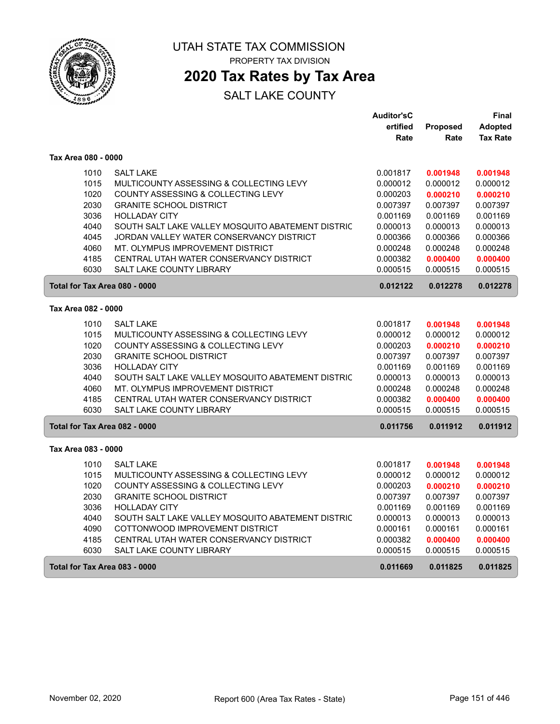

## **2020 Tax Rates by Tax Area**

|                               |                                                   | <b>Auditor'sC</b> |          | Final           |
|-------------------------------|---------------------------------------------------|-------------------|----------|-----------------|
|                               |                                                   | ertified          | Proposed | Adopted         |
|                               |                                                   | Rate              | Rate     | <b>Tax Rate</b> |
| Tax Area 080 - 0000           |                                                   |                   |          |                 |
| 1010                          | <b>SALT LAKE</b>                                  | 0.001817          | 0.001948 | 0.001948        |
| 1015                          | MULTICOUNTY ASSESSING & COLLECTING LEVY           | 0.000012          | 0.000012 | 0.000012        |
| 1020                          | COUNTY ASSESSING & COLLECTING LEVY                | 0.000203          | 0.000210 | 0.000210        |
| 2030                          | <b>GRANITE SCHOOL DISTRICT</b>                    | 0.007397          | 0.007397 | 0.007397        |
| 3036                          | <b>HOLLADAY CITY</b>                              | 0.001169          | 0.001169 | 0.001169        |
| 4040                          | SOUTH SALT LAKE VALLEY MOSQUITO ABATEMENT DISTRIC | 0.000013          | 0.000013 | 0.000013        |
| 4045                          | JORDAN VALLEY WATER CONSERVANCY DISTRICT          | 0.000366          | 0.000366 | 0.000366        |
| 4060                          | MT. OLYMPUS IMPROVEMENT DISTRICT                  | 0.000248          | 0.000248 | 0.000248        |
| 4185                          | CENTRAL UTAH WATER CONSERVANCY DISTRICT           | 0.000382          | 0.000400 | 0.000400        |
| 6030                          | SALT LAKE COUNTY LIBRARY                          | 0.000515          | 0.000515 | 0.000515        |
| Total for Tax Area 080 - 0000 |                                                   | 0.012122          | 0.012278 | 0.012278        |
| Tax Area 082 - 0000           |                                                   |                   |          |                 |
| 1010                          | <b>SALT LAKE</b>                                  | 0.001817          | 0.001948 | 0.001948        |
| 1015                          | MULTICOUNTY ASSESSING & COLLECTING LEVY           | 0.000012          | 0.000012 | 0.000012        |
| 1020                          | COUNTY ASSESSING & COLLECTING LEVY                | 0.000203          | 0.000210 | 0.000210        |
| 2030                          | <b>GRANITE SCHOOL DISTRICT</b>                    | 0.007397          | 0.007397 | 0.007397        |
| 3036                          | <b>HOLLADAY CITY</b>                              | 0.001169          | 0.001169 | 0.001169        |
| 4040                          | SOUTH SALT LAKE VALLEY MOSQUITO ABATEMENT DISTRIC | 0.000013          | 0.000013 | 0.000013        |
| 4060                          | MT. OLYMPUS IMPROVEMENT DISTRICT                  | 0.000248          | 0.000248 | 0.000248        |
| 4185                          | CENTRAL UTAH WATER CONSERVANCY DISTRICT           | 0.000382          | 0.000400 | 0.000400        |
| 6030                          | <b>SALT LAKE COUNTY LIBRARY</b>                   | 0.000515          | 0.000515 | 0.000515        |
| Total for Tax Area 082 - 0000 |                                                   | 0.011756          | 0.011912 | 0.011912        |
| Tax Area 083 - 0000           |                                                   |                   |          |                 |
| 1010                          | <b>SALT LAKE</b>                                  | 0.001817          | 0.001948 | 0.001948        |
| 1015                          | MULTICOUNTY ASSESSING & COLLECTING LEVY           | 0.000012          | 0.000012 | 0.000012        |
| 1020                          | COUNTY ASSESSING & COLLECTING LEVY                | 0.000203          | 0.000210 | 0.000210        |
| 2030                          | <b>GRANITE SCHOOL DISTRICT</b>                    | 0.007397          | 0.007397 | 0.007397        |
| 3036                          | <b>HOLLADAY CITY</b>                              | 0.001169          | 0.001169 | 0.001169        |
| 4040                          | SOUTH SALT LAKE VALLEY MOSQUITO ABATEMENT DISTRIC | 0.000013          | 0.000013 | 0.000013        |
| 4090                          | COTTONWOOD IMPROVEMENT DISTRICT                   | 0.000161          | 0.000161 | 0.000161        |
| 4185                          | CENTRAL UTAH WATER CONSERVANCY DISTRICT           | 0.000382          | 0.000400 | 0.000400        |
| 6030                          | <b>SALT LAKE COUNTY LIBRARY</b>                   | 0.000515          | 0.000515 | 0.000515        |
| Total for Tax Area 083 - 0000 |                                                   | 0.011669          | 0.011825 | 0.011825        |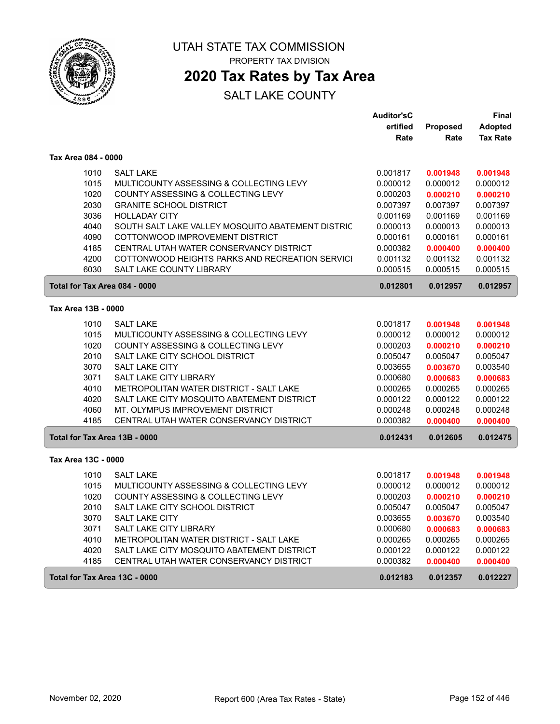

PROPERTY TAX DIVISION

## **2020 Tax Rates by Tax Area**

|                               |                                                   | <b>Auditor'sC</b> |          | Final           |
|-------------------------------|---------------------------------------------------|-------------------|----------|-----------------|
|                               |                                                   | ertified          | Proposed | <b>Adopted</b>  |
|                               |                                                   | Rate              | Rate     | <b>Tax Rate</b> |
| Tax Area 084 - 0000           |                                                   |                   |          |                 |
| 1010                          | <b>SALT LAKE</b>                                  | 0.001817          | 0.001948 | 0.001948        |
| 1015                          | MULTICOUNTY ASSESSING & COLLECTING LEVY           | 0.000012          | 0.000012 | 0.000012        |
| 1020                          | COUNTY ASSESSING & COLLECTING LEVY                | 0.000203          | 0.000210 | 0.000210        |
| 2030                          | <b>GRANITE SCHOOL DISTRICT</b>                    | 0.007397          | 0.007397 | 0.007397        |
| 3036                          | <b>HOLLADAY CITY</b>                              | 0.001169          | 0.001169 | 0.001169        |
| 4040                          | SOUTH SALT LAKE VALLEY MOSQUITO ABATEMENT DISTRIC | 0.000013          | 0.000013 | 0.000013        |
| 4090                          | COTTONWOOD IMPROVEMENT DISTRICT                   | 0.000161          | 0.000161 | 0.000161        |
| 4185                          | CENTRAL UTAH WATER CONSERVANCY DISTRICT           | 0.000382          | 0.000400 | 0.000400        |
| 4200                          | COTTONWOOD HEIGHTS PARKS AND RECREATION SERVICI   | 0.001132          | 0.001132 | 0.001132        |
| 6030                          | <b>SALT LAKE COUNTY LIBRARY</b>                   | 0.000515          | 0.000515 | 0.000515        |
| Total for Tax Area 084 - 0000 |                                                   | 0.012801          | 0.012957 | 0.012957        |
| Tax Area 13B - 0000           |                                                   |                   |          |                 |
| 1010                          | <b>SALT LAKE</b>                                  | 0.001817          | 0.001948 | 0.001948        |
| 1015                          | MULTICOUNTY ASSESSING & COLLECTING LEVY           | 0.000012          | 0.000012 | 0.000012        |
| 1020                          | COUNTY ASSESSING & COLLECTING LEVY                | 0.000203          | 0.000210 | 0.000210        |
| 2010                          | SALT LAKE CITY SCHOOL DISTRICT                    | 0.005047          | 0.005047 | 0.005047        |
| 3070                          | <b>SALT LAKE CITY</b>                             | 0.003655          | 0.003670 | 0.003540        |
| 3071                          | <b>SALT LAKE CITY LIBRARY</b>                     | 0.000680          | 0.000683 | 0.000683        |
| 4010                          | METROPOLITAN WATER DISTRICT - SALT LAKE           | 0.000265          | 0.000265 | 0.000265        |
| 4020                          | SALT LAKE CITY MOSQUITO ABATEMENT DISTRICT        | 0.000122          | 0.000122 | 0.000122        |
| 4060                          | MT. OLYMPUS IMPROVEMENT DISTRICT                  | 0.000248          | 0.000248 | 0.000248        |
| 4185                          | CENTRAL UTAH WATER CONSERVANCY DISTRICT           | 0.000382          | 0.000400 | 0.000400        |
| Total for Tax Area 13B - 0000 |                                                   | 0.012431          | 0.012605 | 0.012475        |
| Tax Area 13C - 0000           |                                                   |                   |          |                 |
| 1010                          | <b>SALT LAKE</b>                                  | 0.001817          | 0.001948 | 0.001948        |
| 1015                          | MULTICOUNTY ASSESSING & COLLECTING LEVY           | 0.000012          | 0.000012 | 0.000012        |
| 1020                          | COUNTY ASSESSING & COLLECTING LEVY                | 0.000203          | 0.000210 | 0.000210        |
| 2010                          | SALT LAKE CITY SCHOOL DISTRICT                    | 0.005047          | 0.005047 | 0.005047        |
| 3070                          | <b>SALT LAKE CITY</b>                             | 0.003655          | 0.003670 | 0.003540        |
| 3071                          | <b>SALT LAKE CITY LIBRARY</b>                     | 0.000680          | 0.000683 | 0.000683        |
| 4010                          | <b>METROPOLITAN WATER DISTRICT - SALT LAKE</b>    | 0.000265          | 0.000265 | 0.000265        |
| 4020                          | SALT LAKE CITY MOSQUITO ABATEMENT DISTRICT        | 0.000122          | 0.000122 | 0.000122        |
| 4185                          | CENTRAL UTAH WATER CONSERVANCY DISTRICT           | 0.000382          | 0.000400 | 0.000400        |
| Total for Tax Area 13C - 0000 |                                                   | 0.012183          | 0.012357 | 0.012227        |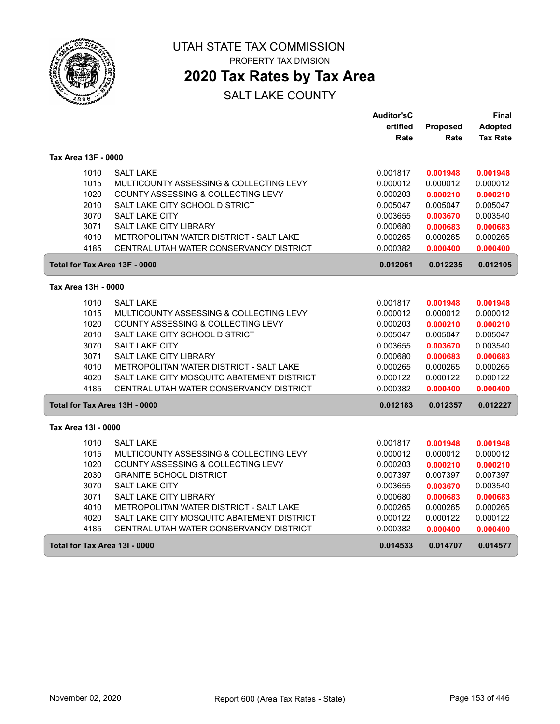

PROPERTY TAX DIVISION

## **2020 Tax Rates by Tax Area**

|                               |                                            | <b>Auditor'sC</b> |          | Final           |
|-------------------------------|--------------------------------------------|-------------------|----------|-----------------|
|                               |                                            | ertified          | Proposed | Adopted         |
|                               |                                            | Rate              | Rate     | <b>Tax Rate</b> |
| Tax Area 13F - 0000           |                                            |                   |          |                 |
| 1010                          | <b>SALT LAKE</b>                           | 0.001817          | 0.001948 | 0.001948        |
| 1015                          | MULTICOUNTY ASSESSING & COLLECTING LEVY    | 0.000012          | 0.000012 | 0.000012        |
| 1020                          | COUNTY ASSESSING & COLLECTING LEVY         | 0.000203          | 0.000210 | 0.000210        |
| 2010                          | SALT LAKE CITY SCHOOL DISTRICT             | 0.005047          | 0.005047 | 0.005047        |
| 3070                          | <b>SALT LAKE CITY</b>                      | 0.003655          | 0.003670 | 0.003540        |
| 3071                          | <b>SALT LAKE CITY LIBRARY</b>              | 0.000680          | 0.000683 | 0.000683        |
| 4010                          | METROPOLITAN WATER DISTRICT - SALT LAKE    | 0.000265          | 0.000265 | 0.000265        |
| 4185                          | CENTRAL UTAH WATER CONSERVANCY DISTRICT    | 0.000382          | 0.000400 | 0.000400        |
| Total for Tax Area 13F - 0000 |                                            | 0.012061          | 0.012235 | 0.012105        |
| Tax Area 13H - 0000           |                                            |                   |          |                 |
| 1010                          | <b>SALT LAKE</b>                           | 0.001817          | 0.001948 | 0.001948        |
| 1015                          | MULTICOUNTY ASSESSING & COLLECTING LEVY    | 0.000012          | 0.000012 | 0.000012        |
| 1020                          | COUNTY ASSESSING & COLLECTING LEVY         | 0.000203          | 0.000210 | 0.000210        |
| 2010                          | SALT LAKE CITY SCHOOL DISTRICT             | 0.005047          | 0.005047 | 0.005047        |
| 3070                          | <b>SALT LAKE CITY</b>                      | 0.003655          | 0.003670 | 0.003540        |
| 3071                          | <b>SALT LAKE CITY LIBRARY</b>              | 0.000680          | 0.000683 | 0.000683        |
| 4010                          | METROPOLITAN WATER DISTRICT - SALT LAKE    | 0.000265          | 0.000265 | 0.000265        |
| 4020                          | SALT LAKE CITY MOSQUITO ABATEMENT DISTRICT | 0.000122          | 0.000122 | 0.000122        |
| 4185                          | CENTRAL UTAH WATER CONSERVANCY DISTRICT    | 0.000382          | 0.000400 | 0.000400        |
| Total for Tax Area 13H - 0000 |                                            | 0.012183          | 0.012357 | 0.012227        |
| Tax Area 13I - 0000           |                                            |                   |          |                 |
| 1010                          | <b>SALT LAKE</b>                           | 0.001817          | 0.001948 | 0.001948        |
| 1015                          | MULTICOUNTY ASSESSING & COLLECTING LEVY    | 0.000012          | 0.000012 | 0.000012        |
| 1020                          | COUNTY ASSESSING & COLLECTING LEVY         | 0.000203          | 0.000210 | 0.000210        |
| 2030                          | <b>GRANITE SCHOOL DISTRICT</b>             | 0.007397          | 0.007397 | 0.007397        |
| 3070                          | SALT LAKE CITY                             | 0.003655          | 0.003670 | 0.003540        |
| 3071                          | <b>SALT LAKE CITY LIBRARY</b>              | 0.000680          | 0.000683 | 0.000683        |
| 4010                          | METROPOLITAN WATER DISTRICT - SALT LAKE    | 0.000265          | 0.000265 | 0.000265        |
| 4020                          | SALT LAKE CITY MOSQUITO ABATEMENT DISTRICT | 0.000122          | 0.000122 | 0.000122        |
| 4185                          | CENTRAL UTAH WATER CONSERVANCY DISTRICT    | 0.000382          | 0.000400 | 0.000400        |
| Total for Tax Area 13I - 0000 |                                            | 0.014533          | 0.014707 | 0.014577        |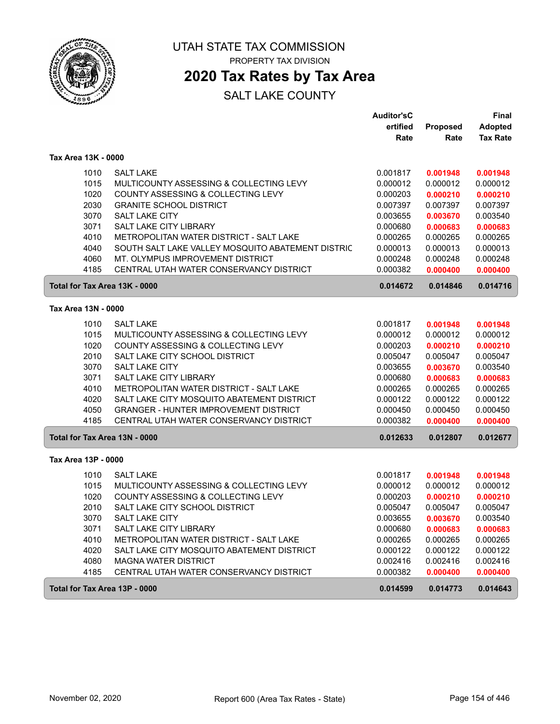

PROPERTY TAX DIVISION

# **2020 Tax Rates by Tax Area**

|                               |                                                   | <b>Auditor'sC</b>    |                      | Final                |
|-------------------------------|---------------------------------------------------|----------------------|----------------------|----------------------|
|                               |                                                   | ertified             | Proposed             | <b>Adopted</b>       |
|                               |                                                   | Rate                 | Rate                 | <b>Tax Rate</b>      |
| Tax Area 13K - 0000           |                                                   |                      |                      |                      |
| 1010                          | <b>SALT LAKE</b>                                  | 0.001817             | 0.001948             | 0.001948             |
| 1015                          | MULTICOUNTY ASSESSING & COLLECTING LEVY           | 0.000012             | 0.000012             | 0.000012             |
| 1020                          | COUNTY ASSESSING & COLLECTING LEVY                | 0.000203             | 0.000210             | 0.000210             |
| 2030                          | <b>GRANITE SCHOOL DISTRICT</b>                    | 0.007397             | 0.007397             | 0.007397             |
| 3070                          | <b>SALT LAKE CITY</b>                             | 0.003655             | 0.003670             | 0.003540             |
| 3071                          | <b>SALT LAKE CITY LIBRARY</b>                     | 0.000680             | 0.000683             | 0.000683             |
| 4010                          | METROPOLITAN WATER DISTRICT - SALT LAKE           | 0.000265             | 0.000265             | 0.000265             |
| 4040                          | SOUTH SALT LAKE VALLEY MOSQUITO ABATEMENT DISTRIC | 0.000013             | 0.000013             | 0.000013             |
| 4060                          | MT. OLYMPUS IMPROVEMENT DISTRICT                  | 0.000248             | 0.000248             | 0.000248             |
| 4185                          | CENTRAL UTAH WATER CONSERVANCY DISTRICT           | 0.000382             | 0.000400             | 0.000400             |
| Total for Tax Area 13K - 0000 |                                                   | 0.014672             | 0.014846             | 0.014716             |
| Tax Area 13N - 0000           |                                                   |                      |                      |                      |
|                               | <b>SALT LAKE</b>                                  |                      |                      |                      |
| 1010<br>1015                  | MULTICOUNTY ASSESSING & COLLECTING LEVY           | 0.001817             | 0.001948<br>0.000012 | 0.001948<br>0.000012 |
| 1020                          | COUNTY ASSESSING & COLLECTING LEVY                | 0.000012<br>0.000203 | 0.000210             | 0.000210             |
| 2010                          | SALT LAKE CITY SCHOOL DISTRICT                    | 0.005047             | 0.005047             | 0.005047             |
| 3070                          | <b>SALT LAKE CITY</b>                             | 0.003655             | 0.003670             | 0.003540             |
| 3071                          | SALT LAKE CITY LIBRARY                            | 0.000680             | 0.000683             | 0.000683             |
| 4010                          | METROPOLITAN WATER DISTRICT - SALT LAKE           | 0.000265             | 0.000265             | 0.000265             |
| 4020                          | SALT LAKE CITY MOSQUITO ABATEMENT DISTRICT        | 0.000122             | 0.000122             | 0.000122             |
| 4050                          | <b>GRANGER - HUNTER IMPROVEMENT DISTRICT</b>      | 0.000450             | 0.000450             | 0.000450             |
| 4185                          | CENTRAL UTAH WATER CONSERVANCY DISTRICT           | 0.000382             | 0.000400             | 0.000400             |
| Total for Tax Area 13N - 0000 |                                                   | 0.012633             | 0.012807             | 0.012677             |
| Tax Area 13P - 0000           |                                                   |                      |                      |                      |
| 1010                          | <b>SALT LAKE</b>                                  | 0.001817             | 0.001948             | 0.001948             |
| 1015                          | MULTICOUNTY ASSESSING & COLLECTING LEVY           | 0.000012             | 0.000012             | 0.000012             |
| 1020                          | COUNTY ASSESSING & COLLECTING LEVY                | 0.000203             | 0.000210             | 0.000210             |
| 2010                          | SALT LAKE CITY SCHOOL DISTRICT                    | 0.005047             | 0.005047             | 0.005047             |
| 3070                          | <b>SALT LAKE CITY</b>                             | 0.003655             | 0.003670             | 0.003540             |
| 3071                          | SALT LAKE CITY LIBRARY                            | 0.000680             | 0.000683             | 0.000683             |
| 4010                          | METROPOLITAN WATER DISTRICT - SALT LAKE           | 0.000265             | 0.000265             | 0.000265             |
| 4020                          | SALT LAKE CITY MOSQUITO ABATEMENT DISTRICT        | 0.000122             | 0.000122             | 0.000122             |
| 4080                          | <b>MAGNA WATER DISTRICT</b>                       | 0.002416             | 0.002416             | 0.002416             |
| 4185                          | CENTRAL UTAH WATER CONSERVANCY DISTRICT           | 0.000382             | 0.000400             | 0.000400             |
| Total for Tax Area 13P - 0000 |                                                   | 0.014599             | 0.014773             | 0.014643             |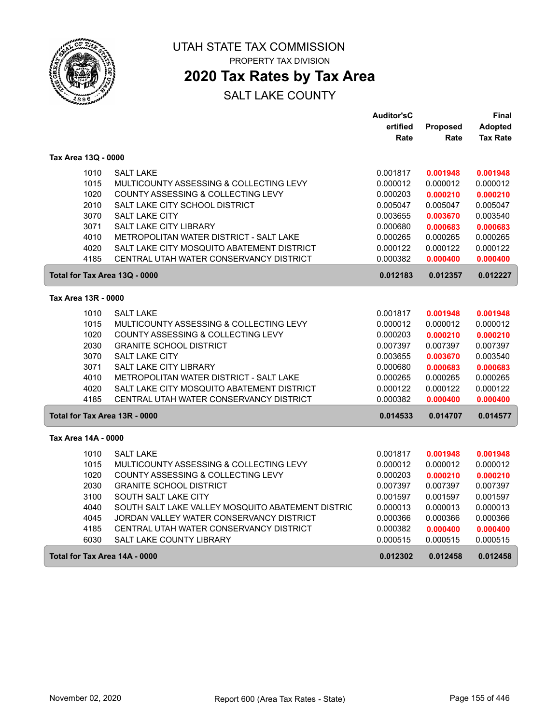

PROPERTY TAX DIVISION

## **2020 Tax Rates by Tax Area**

|                               |                                                   | <b>Auditor'sC</b> |          | Final           |
|-------------------------------|---------------------------------------------------|-------------------|----------|-----------------|
|                               |                                                   | ertified          | Proposed | <b>Adopted</b>  |
|                               |                                                   | Rate              | Rate     | <b>Tax Rate</b> |
| Tax Area 13Q - 0000           |                                                   |                   |          |                 |
| 1010                          | <b>SALT LAKE</b>                                  | 0.001817          | 0.001948 | 0.001948        |
| 1015                          | MULTICOUNTY ASSESSING & COLLECTING LEVY           | 0.000012          | 0.000012 | 0.000012        |
| 1020                          | COUNTY ASSESSING & COLLECTING LEVY                | 0.000203          | 0.000210 | 0.000210        |
| 2010                          | SALT LAKE CITY SCHOOL DISTRICT                    | 0.005047          | 0.005047 | 0.005047        |
| 3070                          | <b>SALT LAKE CITY</b>                             | 0.003655          | 0.003670 | 0.003540        |
| 3071                          | <b>SALT LAKE CITY LIBRARY</b>                     | 0.000680          | 0.000683 | 0.000683        |
| 4010                          | METROPOLITAN WATER DISTRICT - SALT LAKE           | 0.000265          | 0.000265 | 0.000265        |
| 4020                          | SALT LAKE CITY MOSQUITO ABATEMENT DISTRICT        | 0.000122          | 0.000122 | 0.000122        |
| 4185                          | CENTRAL UTAH WATER CONSERVANCY DISTRICT           | 0.000382          | 0.000400 | 0.000400        |
| Total for Tax Area 13Q - 0000 |                                                   | 0.012183          | 0.012357 | 0.012227        |
| Tax Area 13R - 0000           |                                                   |                   |          |                 |
| 1010                          | <b>SALT LAKE</b>                                  | 0.001817          | 0.001948 | 0.001948        |
| 1015                          | MULTICOUNTY ASSESSING & COLLECTING LEVY           | 0.000012          | 0.000012 | 0.000012        |
| 1020                          | COUNTY ASSESSING & COLLECTING LEVY                | 0.000203          | 0.000210 | 0.000210        |
| 2030                          | <b>GRANITE SCHOOL DISTRICT</b>                    | 0.007397          | 0.007397 | 0.007397        |
| 3070                          | <b>SALT LAKE CITY</b>                             | 0.003655          | 0.003670 | 0.003540        |
| 3071                          | SALT LAKE CITY LIBRARY                            | 0.000680          | 0.000683 | 0.000683        |
| 4010                          | <b>METROPOLITAN WATER DISTRICT - SALT LAKE</b>    | 0.000265          | 0.000265 | 0.000265        |
| 4020                          | SALT LAKE CITY MOSQUITO ABATEMENT DISTRICT        | 0.000122          | 0.000122 | 0.000122        |
| 4185                          | CENTRAL UTAH WATER CONSERVANCY DISTRICT           | 0.000382          | 0.000400 | 0.000400        |
| Total for Tax Area 13R - 0000 |                                                   | 0.014533          | 0.014707 | 0.014577        |
| Tax Area 14A - 0000           |                                                   |                   |          |                 |
| 1010                          | <b>SALT LAKE</b>                                  | 0.001817          | 0.001948 | 0.001948        |
| 1015                          | MULTICOUNTY ASSESSING & COLLECTING LEVY           | 0.000012          | 0.000012 | 0.000012        |
| 1020                          | COUNTY ASSESSING & COLLECTING LEVY                | 0.000203          | 0.000210 | 0.000210        |
| 2030                          | <b>GRANITE SCHOOL DISTRICT</b>                    | 0.007397          | 0.007397 | 0.007397        |
| 3100                          | SOUTH SALT LAKE CITY                              | 0.001597          | 0.001597 | 0.001597        |
| 4040                          | SOUTH SALT LAKE VALLEY MOSQUITO ABATEMENT DISTRIC | 0.000013          | 0.000013 | 0.000013        |
| 4045                          | JORDAN VALLEY WATER CONSERVANCY DISTRICT          | 0.000366          | 0.000366 | 0.000366        |
| 4185                          | CENTRAL UTAH WATER CONSERVANCY DISTRICT           | 0.000382          | 0.000400 | 0.000400        |
| 6030                          | SALT LAKE COUNTY LIBRARY                          | 0.000515          | 0.000515 | 0.000515        |
| Total for Tax Area 14A - 0000 |                                                   | 0.012302          | 0.012458 | 0.012458        |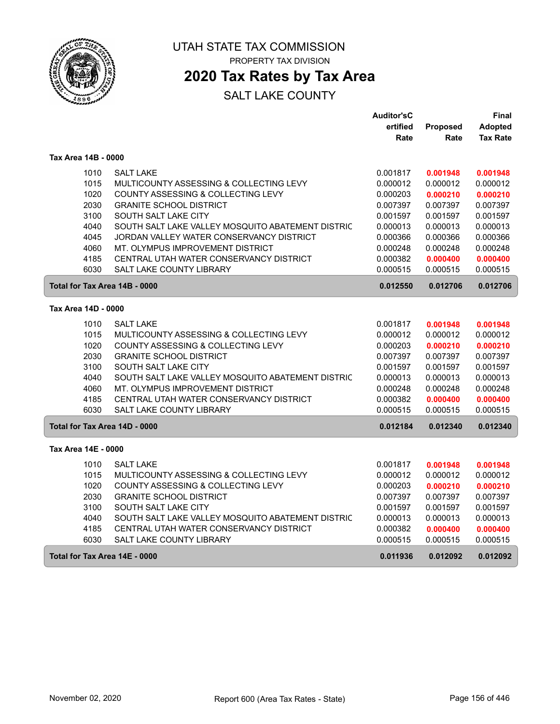

## **2020 Tax Rates by Tax Area**

|                               |                                                   | <b>Auditor'sC</b> |          | Final           |
|-------------------------------|---------------------------------------------------|-------------------|----------|-----------------|
|                               |                                                   | ertified          | Proposed | <b>Adopted</b>  |
|                               |                                                   | Rate              | Rate     | <b>Tax Rate</b> |
| Tax Area 14B - 0000           |                                                   |                   |          |                 |
| 1010                          | <b>SALT LAKE</b>                                  | 0.001817          | 0.001948 | 0.001948        |
| 1015                          | MULTICOUNTY ASSESSING & COLLECTING LEVY           | 0.000012          | 0.000012 | 0.000012        |
| 1020                          | COUNTY ASSESSING & COLLECTING LEVY                | 0.000203          | 0.000210 | 0.000210        |
| 2030                          | <b>GRANITE SCHOOL DISTRICT</b>                    | 0.007397          | 0.007397 | 0.007397        |
| 3100                          | SOUTH SALT LAKE CITY                              | 0.001597          | 0.001597 | 0.001597        |
| 4040                          | SOUTH SALT LAKE VALLEY MOSQUITO ABATEMENT DISTRIC | 0.000013          | 0.000013 | 0.000013        |
| 4045                          | JORDAN VALLEY WATER CONSERVANCY DISTRICT          | 0.000366          | 0.000366 | 0.000366        |
| 4060                          | MT. OLYMPUS IMPROVEMENT DISTRICT                  | 0.000248          | 0.000248 | 0.000248        |
| 4185                          | CENTRAL UTAH WATER CONSERVANCY DISTRICT           | 0.000382          | 0.000400 | 0.000400        |
| 6030                          | <b>SALT LAKE COUNTY LIBRARY</b>                   | 0.000515          | 0.000515 | 0.000515        |
| Total for Tax Area 14B - 0000 |                                                   | 0.012550          | 0.012706 | 0.012706        |
| Tax Area 14D - 0000           |                                                   |                   |          |                 |
| 1010                          | <b>SALT LAKE</b>                                  | 0.001817          | 0.001948 | 0.001948        |
| 1015                          | MULTICOUNTY ASSESSING & COLLECTING LEVY           | 0.000012          | 0.000012 | 0.000012        |
| 1020                          | COUNTY ASSESSING & COLLECTING LEVY                | 0.000203          | 0.000210 | 0.000210        |
| 2030                          | <b>GRANITE SCHOOL DISTRICT</b>                    | 0.007397          | 0.007397 | 0.007397        |
| 3100                          | SOUTH SALT LAKE CITY                              | 0.001597          | 0.001597 | 0.001597        |
| 4040                          | SOUTH SALT LAKE VALLEY MOSQUITO ABATEMENT DISTRIC | 0.000013          | 0.000013 | 0.000013        |
| 4060                          | MT. OLYMPUS IMPROVEMENT DISTRICT                  | 0.000248          | 0.000248 | 0.000248        |
| 4185                          | CENTRAL UTAH WATER CONSERVANCY DISTRICT           | 0.000382          | 0.000400 | 0.000400        |
| 6030                          | <b>SALT LAKE COUNTY LIBRARY</b>                   | 0.000515          | 0.000515 | 0.000515        |
| Total for Tax Area 14D - 0000 |                                                   | 0.012184          | 0.012340 | 0.012340        |
| Tax Area 14E - 0000           |                                                   |                   |          |                 |
| 1010                          | <b>SALT LAKE</b>                                  | 0.001817          | 0.001948 | 0.001948        |
| 1015                          | MULTICOUNTY ASSESSING & COLLECTING LEVY           | 0.000012          | 0.000012 | 0.000012        |
| 1020                          | COUNTY ASSESSING & COLLECTING LEVY                | 0.000203          | 0.000210 | 0.000210        |
| 2030                          | <b>GRANITE SCHOOL DISTRICT</b>                    | 0.007397          | 0.007397 | 0.007397        |
| 3100                          | SOUTH SALT LAKE CITY                              | 0.001597          | 0.001597 | 0.001597        |
| 4040                          | SOUTH SALT LAKE VALLEY MOSQUITO ABATEMENT DISTRIC | 0.000013          | 0.000013 | 0.000013        |
| 4185                          | CENTRAL UTAH WATER CONSERVANCY DISTRICT           | 0.000382          | 0.000400 | 0.000400        |
| 6030                          | <b>SALT LAKE COUNTY LIBRARY</b>                   | 0.000515          | 0.000515 | 0.000515        |
| Total for Tax Area 14E - 0000 |                                                   | 0.011936          | 0.012092 | 0.012092        |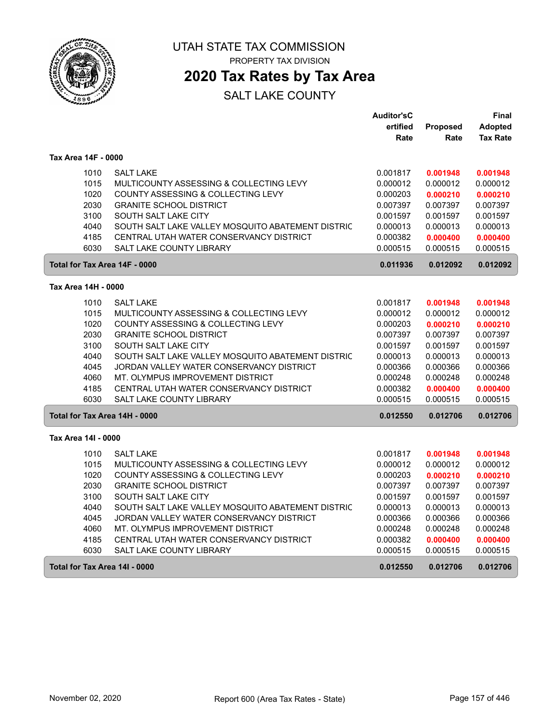

PROPERTY TAX DIVISION

## **2020 Tax Rates by Tax Area**

|                               |                                                   | <b>Auditor'sC</b> |          | <b>Final</b>    |
|-------------------------------|---------------------------------------------------|-------------------|----------|-----------------|
|                               |                                                   | ertified          | Proposed | <b>Adopted</b>  |
|                               |                                                   | Rate              | Rate     | <b>Tax Rate</b> |
| Tax Area 14F - 0000           |                                                   |                   |          |                 |
| 1010                          | <b>SALT LAKE</b>                                  | 0.001817          | 0.001948 | 0.001948        |
| 1015                          | MULTICOUNTY ASSESSING & COLLECTING LEVY           | 0.000012          | 0.000012 | 0.000012        |
| 1020                          | COUNTY ASSESSING & COLLECTING LEVY                | 0.000203          | 0.000210 | 0.000210        |
| 2030                          | <b>GRANITE SCHOOL DISTRICT</b>                    | 0.007397          | 0.007397 | 0.007397        |
| 3100                          | SOUTH SALT LAKE CITY                              | 0.001597          | 0.001597 | 0.001597        |
| 4040                          | SOUTH SALT LAKE VALLEY MOSQUITO ABATEMENT DISTRIC | 0.000013          | 0.000013 | 0.000013        |
| 4185                          | CENTRAL UTAH WATER CONSERVANCY DISTRICT           | 0.000382          | 0.000400 | 0.000400        |
| 6030                          | <b>SALT LAKE COUNTY LIBRARY</b>                   | 0.000515          | 0.000515 | 0.000515        |
| Total for Tax Area 14F - 0000 |                                                   | 0.011936          | 0.012092 | 0.012092        |
| Tax Area 14H - 0000           |                                                   |                   |          |                 |
| 1010                          | <b>SALT LAKE</b>                                  | 0.001817          | 0.001948 | 0.001948        |
| 1015                          | MULTICOUNTY ASSESSING & COLLECTING LEVY           | 0.000012          | 0.000012 | 0.000012        |
| 1020                          | COUNTY ASSESSING & COLLECTING LEVY                | 0.000203          | 0.000210 | 0.000210        |
| 2030                          | <b>GRANITE SCHOOL DISTRICT</b>                    | 0.007397          | 0.007397 | 0.007397        |
| 3100                          | SOUTH SALT LAKE CITY                              | 0.001597          | 0.001597 | 0.001597        |
| 4040                          | SOUTH SALT LAKE VALLEY MOSQUITO ABATEMENT DISTRIC | 0.000013          | 0.000013 | 0.000013        |
| 4045                          | JORDAN VALLEY WATER CONSERVANCY DISTRICT          | 0.000366          | 0.000366 | 0.000366        |
| 4060                          | MT. OLYMPUS IMPROVEMENT DISTRICT                  | 0.000248          | 0.000248 | 0.000248        |
| 4185                          | CENTRAL UTAH WATER CONSERVANCY DISTRICT           | 0.000382          | 0.000400 | 0.000400        |
| 6030                          | <b>SALT LAKE COUNTY LIBRARY</b>                   | 0.000515          | 0.000515 | 0.000515        |
| Total for Tax Area 14H - 0000 |                                                   | 0.012550          | 0.012706 | 0.012706        |
| Tax Area 14I - 0000           |                                                   |                   |          |                 |
| 1010                          | <b>SALT LAKE</b>                                  | 0.001817          | 0.001948 | 0.001948        |
| 1015                          | MULTICOUNTY ASSESSING & COLLECTING LEVY           | 0.000012          | 0.000012 | 0.000012        |
| 1020                          | COUNTY ASSESSING & COLLECTING LEVY                | 0.000203          | 0.000210 | 0.000210        |
| 2030                          | <b>GRANITE SCHOOL DISTRICT</b>                    | 0.007397          | 0.007397 | 0.007397        |
| 3100                          | SOUTH SALT LAKE CITY                              | 0.001597          | 0.001597 | 0.001597        |
| 4040                          | SOUTH SALT LAKE VALLEY MOSQUITO ABATEMENT DISTRIC | 0.000013          | 0.000013 | 0.000013        |
| 4045                          | JORDAN VALLEY WATER CONSERVANCY DISTRICT          | 0.000366          | 0.000366 | 0.000366        |
| 4060                          | MT. OLYMPUS IMPROVEMENT DISTRICT                  | 0.000248          | 0.000248 | 0.000248        |
| 4185                          | CENTRAL UTAH WATER CONSERVANCY DISTRICT           | 0.000382          | 0.000400 | 0.000400        |
| 6030                          | SALT LAKE COUNTY LIBRARY                          | 0.000515          | 0.000515 | 0.000515        |
| Total for Tax Area 14I - 0000 |                                                   | 0.012550          | 0.012706 | 0.012706        |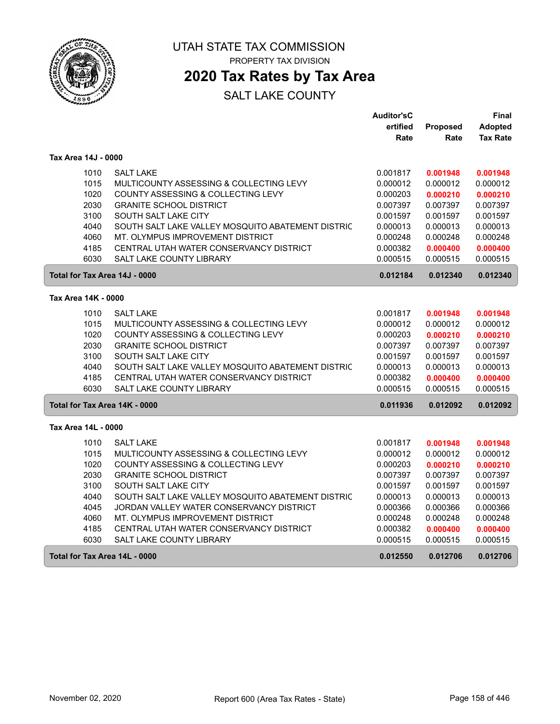

## **2020 Tax Rates by Tax Area**

|                               |                                                   | <b>Auditor'sC</b> |          | Final           |
|-------------------------------|---------------------------------------------------|-------------------|----------|-----------------|
|                               |                                                   | ertified          | Proposed | <b>Adopted</b>  |
|                               |                                                   | Rate              | Rate     | <b>Tax Rate</b> |
| Tax Area 14J - 0000           |                                                   |                   |          |                 |
| 1010                          | <b>SALT LAKE</b>                                  | 0.001817          | 0.001948 | 0.001948        |
| 1015                          | MULTICOUNTY ASSESSING & COLLECTING LEVY           | 0.000012          | 0.000012 | 0.000012        |
| 1020                          | COUNTY ASSESSING & COLLECTING LEVY                | 0.000203          | 0.000210 | 0.000210        |
| 2030                          | <b>GRANITE SCHOOL DISTRICT</b>                    | 0.007397          | 0.007397 | 0.007397        |
| 3100                          | SOUTH SALT LAKE CITY                              | 0.001597          | 0.001597 | 0.001597        |
| 4040                          | SOUTH SALT LAKE VALLEY MOSQUITO ABATEMENT DISTRIC | 0.000013          | 0.000013 | 0.000013        |
| 4060                          | MT. OLYMPUS IMPROVEMENT DISTRICT                  | 0.000248          | 0.000248 | 0.000248        |
| 4185                          | CENTRAL UTAH WATER CONSERVANCY DISTRICT           | 0.000382          | 0.000400 | 0.000400        |
| 6030                          | <b>SALT LAKE COUNTY LIBRARY</b>                   | 0.000515          | 0.000515 | 0.000515        |
| Total for Tax Area 14J - 0000 |                                                   | 0.012184          | 0.012340 | 0.012340        |
| Tax Area 14K - 0000           |                                                   |                   |          |                 |
| 1010                          | <b>SALT LAKE</b>                                  | 0.001817          | 0.001948 | 0.001948        |
| 1015                          | MULTICOUNTY ASSESSING & COLLECTING LEVY           | 0.000012          | 0.000012 | 0.000012        |
| 1020                          | COUNTY ASSESSING & COLLECTING LEVY                | 0.000203          | 0.000210 | 0.000210        |
| 2030                          | <b>GRANITE SCHOOL DISTRICT</b>                    | 0.007397          | 0.007397 | 0.007397        |
| 3100                          | SOUTH SALT LAKE CITY                              | 0.001597          | 0.001597 | 0.001597        |
| 4040                          | SOUTH SALT LAKE VALLEY MOSQUITO ABATEMENT DISTRIC | 0.000013          | 0.000013 | 0.000013        |
| 4185                          | CENTRAL UTAH WATER CONSERVANCY DISTRICT           | 0.000382          | 0.000400 | 0.000400        |
| 6030                          | SALT LAKE COUNTY LIBRARY                          | 0.000515          | 0.000515 | 0.000515        |
| Total for Tax Area 14K - 0000 |                                                   | 0.011936          | 0.012092 | 0.012092        |
| Tax Area 14L - 0000           |                                                   |                   |          |                 |
| 1010                          | <b>SALT LAKE</b>                                  | 0.001817          | 0.001948 | 0.001948        |
| 1015                          | MULTICOUNTY ASSESSING & COLLECTING LEVY           | 0.000012          | 0.000012 | 0.000012        |
| 1020                          | COUNTY ASSESSING & COLLECTING LEVY                | 0.000203          | 0.000210 | 0.000210        |
| 2030                          | <b>GRANITE SCHOOL DISTRICT</b>                    | 0.007397          | 0.007397 | 0.007397        |
| 3100                          | SOUTH SALT LAKE CITY                              | 0.001597          | 0.001597 | 0.001597        |
| 4040                          | SOUTH SALT LAKE VALLEY MOSQUITO ABATEMENT DISTRIC | 0.000013          | 0.000013 | 0.000013        |
| 4045                          | JORDAN VALLEY WATER CONSERVANCY DISTRICT          | 0.000366          | 0.000366 | 0.000366        |
| 4060                          | MT. OLYMPUS IMPROVEMENT DISTRICT                  | 0.000248          | 0.000248 | 0.000248        |
| 4185                          | CENTRAL UTAH WATER CONSERVANCY DISTRICT           | 0.000382          | 0.000400 | 0.000400        |
| 6030                          | SALT LAKE COUNTY LIBRARY                          | 0.000515          | 0.000515 | 0.000515        |
| Total for Tax Area 14L - 0000 |                                                   | 0.012550          | 0.012706 | 0.012706        |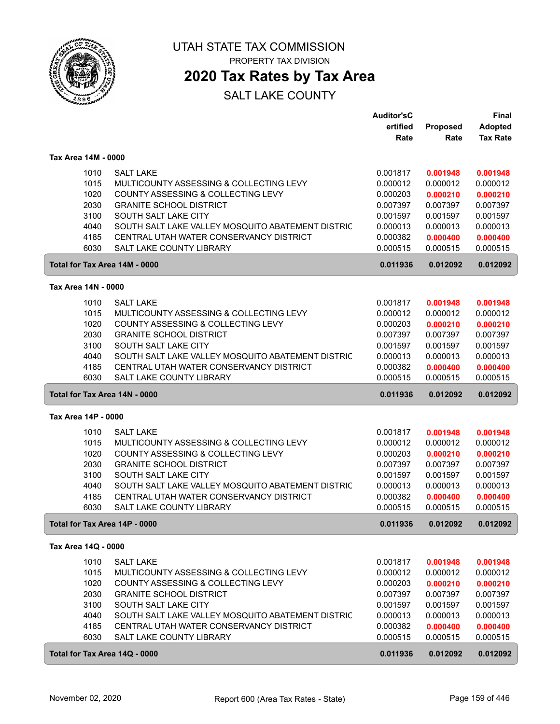

PROPERTY TAX DIVISION

## **2020 Tax Rates by Tax Area**

|                     |                                                                            | <b>Auditor'sC</b>    |                      | Final                |
|---------------------|----------------------------------------------------------------------------|----------------------|----------------------|----------------------|
|                     |                                                                            | ertified             | Proposed             | Adopted              |
|                     |                                                                            | Rate                 | Rate                 | <b>Tax Rate</b>      |
| Tax Area 14M - 0000 |                                                                            |                      |                      |                      |
|                     |                                                                            |                      |                      |                      |
| 1010                | <b>SALT LAKE</b>                                                           | 0.001817             | 0.001948             | 0.001948             |
| 1015                | MULTICOUNTY ASSESSING & COLLECTING LEVY                                    | 0.000012             | 0.000012             | 0.000012             |
| 1020                | COUNTY ASSESSING & COLLECTING LEVY                                         | 0.000203             | 0.000210             | 0.000210             |
| 2030                | <b>GRANITE SCHOOL DISTRICT</b>                                             | 0.007397             | 0.007397             | 0.007397             |
| 3100                | SOUTH SALT LAKE CITY                                                       | 0.001597             | 0.001597             | 0.001597             |
| 4040                | SOUTH SALT LAKE VALLEY MOSQUITO ABATEMENT DISTRIC                          | 0.000013             | 0.000013             | 0.000013             |
| 4185                | CENTRAL UTAH WATER CONSERVANCY DISTRICT<br><b>SALT LAKE COUNTY LIBRARY</b> | 0.000382             | 0.000400             | 0.000400             |
| 6030                |                                                                            | 0.000515             | 0.000515             | 0.000515             |
|                     | Total for Tax Area 14M - 0000                                              | 0.011936             | 0.012092             | 0.012092             |
| Tax Area 14N - 0000 |                                                                            |                      |                      |                      |
| 1010                | <b>SALT LAKE</b>                                                           | 0.001817             | 0.001948             | 0.001948             |
| 1015                | MULTICOUNTY ASSESSING & COLLECTING LEVY                                    | 0.000012             | 0.000012             | 0.000012             |
| 1020                | COUNTY ASSESSING & COLLECTING LEVY                                         | 0.000203             | 0.000210             | 0.000210             |
| 2030                | <b>GRANITE SCHOOL DISTRICT</b>                                             | 0.007397             | 0.007397             | 0.007397             |
| 3100                | SOUTH SALT LAKE CITY                                                       | 0.001597             | 0.001597             | 0.001597             |
| 4040                | SOUTH SALT LAKE VALLEY MOSQUITO ABATEMENT DISTRIC                          | 0.000013             | 0.000013             | 0.000013             |
| 4185                | CENTRAL UTAH WATER CONSERVANCY DISTRICT                                    | 0.000382             | 0.000400             | 0.000400             |
| 6030                | <b>SALT LAKE COUNTY LIBRARY</b>                                            | 0.000515             | 0.000515             | 0.000515             |
|                     | Total for Tax Area 14N - 0000                                              | 0.011936             | 0.012092             | 0.012092             |
| Tax Area 14P - 0000 |                                                                            |                      |                      |                      |
| 1010                | <b>SALT LAKE</b>                                                           | 0.001817             | 0.001948             | 0.001948             |
| 1015                | MULTICOUNTY ASSESSING & COLLECTING LEVY                                    | 0.000012             | 0.000012             | 0.000012             |
| 1020                | COUNTY ASSESSING & COLLECTING LEVY                                         | 0.000203             | 0.000210             | 0.000210             |
| 2030                | <b>GRANITE SCHOOL DISTRICT</b>                                             | 0.007397             | 0.007397             | 0.007397             |
| 3100                | SOUTH SALT LAKE CITY                                                       | 0.001597             | 0.001597             | 0.001597             |
| 4040                | SOUTH SALT LAKE VALLEY MOSQUITO ABATEMENT DISTRIC                          | 0.000013             | 0.000013             | 0.000013             |
| 4185                | CENTRAL UTAH WATER CONSERVANCY DISTRICT                                    | 0.000382             | 0.000400             | 0.000400             |
| 6030                | <b>SALT LAKE COUNTY LIBRARY</b>                                            | 0.000515             | 0.000515             | 0.000515             |
|                     | Total for Tax Area 14P - 0000                                              | 0.011936             | 0.012092             | 0.012092             |
| Tax Area 14Q - 0000 |                                                                            |                      |                      |                      |
| 1010                | <b>SALT LAKE</b>                                                           |                      | 0.001948             | 0.001948             |
| 1015                | MULTICOUNTY ASSESSING & COLLECTING LEVY                                    | 0.001817<br>0.000012 |                      |                      |
| 1020                | COUNTY ASSESSING & COLLECTING LEVY                                         | 0.000203             | 0.000012<br>0.000210 | 0.000012<br>0.000210 |
| 2030                | <b>GRANITE SCHOOL DISTRICT</b>                                             | 0.007397             | 0.007397             | 0.007397             |
| 3100                | SOUTH SALT LAKE CITY                                                       | 0.001597             | 0.001597             | 0.001597             |
| 4040                | SOUTH SALT LAKE VALLEY MOSQUITO ABATEMENT DISTRIC                          | 0.000013             | 0.000013             | 0.000013             |
| 4185                | CENTRAL UTAH WATER CONSERVANCY DISTRICT                                    | 0.000382             | 0.000400             | 0.000400             |
| 6030                | SALT LAKE COUNTY LIBRARY                                                   | 0.000515             | 0.000515             | 0.000515             |
|                     | Total for Tax Area 14Q - 0000                                              | 0.011936             | 0.012092             | 0.012092             |
|                     |                                                                            |                      |                      |                      |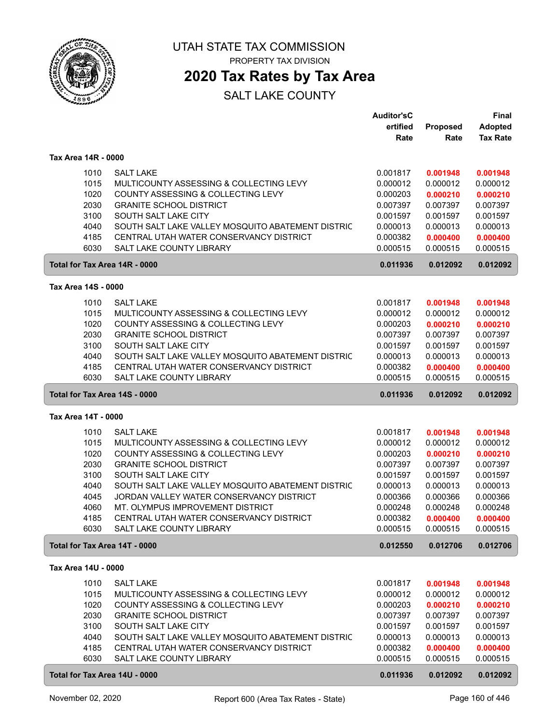

PROPERTY TAX DIVISION

## **2020 Tax Rates by Tax Area**

|                     |                                                                                              | <b>Auditor'sC</b><br>ertified | Proposed             | <b>Final</b><br><b>Adopted</b> |
|---------------------|----------------------------------------------------------------------------------------------|-------------------------------|----------------------|--------------------------------|
|                     |                                                                                              | Rate                          | Rate                 | <b>Tax Rate</b>                |
| Tax Area 14R - 0000 |                                                                                              |                               |                      |                                |
| 1010                | <b>SALT LAKE</b>                                                                             | 0.001817                      | 0.001948             | 0.001948                       |
| 1015                | MULTICOUNTY ASSESSING & COLLECTING LEVY                                                      | 0.000012                      | 0.000012             | 0.000012                       |
| 1020                | COUNTY ASSESSING & COLLECTING LEVY                                                           | 0.000203                      | 0.000210             | 0.000210                       |
| 2030                | <b>GRANITE SCHOOL DISTRICT</b>                                                               | 0.007397                      | 0.007397             | 0.007397                       |
| 3100                | SOUTH SALT LAKE CITY                                                                         | 0.001597                      | 0.001597             | 0.001597                       |
| 4040<br>4185        | SOUTH SALT LAKE VALLEY MOSQUITO ABATEMENT DISTRIC<br>CENTRAL UTAH WATER CONSERVANCY DISTRICT | 0.000013<br>0.000382          | 0.000013<br>0.000400 | 0.000013<br>0.000400           |
| 6030                | <b>SALT LAKE COUNTY LIBRARY</b>                                                              | 0.000515                      | 0.000515             | 0.000515                       |
|                     | Total for Tax Area 14R - 0000                                                                | 0.011936                      | 0.012092             | 0.012092                       |
| Tax Area 14S - 0000 |                                                                                              |                               |                      |                                |
| 1010                | <b>SALT LAKE</b>                                                                             | 0.001817                      | 0.001948             | 0.001948                       |
| 1015                | MULTICOUNTY ASSESSING & COLLECTING LEVY                                                      | 0.000012                      | 0.000012             | 0.000012                       |
| 1020                | COUNTY ASSESSING & COLLECTING LEVY                                                           | 0.000203                      | 0.000210             | 0.000210                       |
| 2030                | <b>GRANITE SCHOOL DISTRICT</b>                                                               | 0.007397                      | 0.007397             | 0.007397                       |
| 3100                | SOUTH SALT LAKE CITY                                                                         | 0.001597                      | 0.001597             | 0.001597                       |
| 4040                | SOUTH SALT LAKE VALLEY MOSQUITO ABATEMENT DISTRIC                                            | 0.000013                      | 0.000013             | 0.000013                       |
| 4185                | CENTRAL UTAH WATER CONSERVANCY DISTRICT                                                      | 0.000382                      | 0.000400             | 0.000400                       |
| 6030                | SALT LAKE COUNTY LIBRARY                                                                     | 0.000515                      | 0.000515             | 0.000515                       |
|                     | Total for Tax Area 14S - 0000                                                                | 0.011936                      | 0.012092             | 0.012092                       |
| Tax Area 14T - 0000 |                                                                                              |                               |                      |                                |
| 1010                | <b>SALT LAKE</b>                                                                             | 0.001817                      | 0.001948             | 0.001948                       |
| 1015                | MULTICOUNTY ASSESSING & COLLECTING LEVY                                                      | 0.000012                      | 0.000012             | 0.000012                       |
| 1020                | COUNTY ASSESSING & COLLECTING LEVY                                                           | 0.000203                      | 0.000210             | 0.000210                       |
| 2030                | <b>GRANITE SCHOOL DISTRICT</b>                                                               | 0.007397                      | 0.007397             | 0.007397                       |
| 3100                | SOUTH SALT LAKE CITY                                                                         | 0.001597                      | 0.001597             | 0.001597                       |
| 4040                | SOUTH SALT LAKE VALLEY MOSQUITO ABATEMENT DISTRIC                                            | 0.000013                      | 0.000013             | 0.000013                       |
| 4045                | JORDAN VALLEY WATER CONSERVANCY DISTRICT                                                     | 0.000366                      | 0.000366             | 0.000366                       |
| 4060<br>4185        | MT. OLYMPUS IMPROVEMENT DISTRICT<br>CENTRAL UTAH WATER CONSERVANCY DISTRICT                  | 0.000248<br>0.000382          | 0.000248             | 0.000248                       |
| 6030                | SALT LAKE COUNTY LIBRARY                                                                     | 0.000515                      | 0.000400<br>0.000515 | 0.000400<br>0.000515           |
|                     | Total for Tax Area 14T - 0000                                                                | 0.012550                      | 0.012706             | 0.012706                       |
| Tax Area 14U - 0000 |                                                                                              |                               |                      |                                |
| 1010                | <b>SALT LAKE</b>                                                                             | 0.001817                      | 0.001948             | 0.001948                       |
| 1015                | MULTICOUNTY ASSESSING & COLLECTING LEVY                                                      | 0.000012                      | 0.000012             | 0.000012                       |
| 1020                | COUNTY ASSESSING & COLLECTING LEVY                                                           | 0.000203                      | 0.000210             | 0.000210                       |
| 2030                | <b>GRANITE SCHOOL DISTRICT</b>                                                               | 0.007397                      | 0.007397             | 0.007397                       |
| 3100                | SOUTH SALT LAKE CITY                                                                         | 0.001597                      | 0.001597             | 0.001597                       |
| 4040                | SOUTH SALT LAKE VALLEY MOSQUITO ABATEMENT DISTRIC                                            | 0.000013                      | 0.000013             | 0.000013                       |
| 4185                | CENTRAL UTAH WATER CONSERVANCY DISTRICT                                                      | 0.000382                      | 0.000400             | 0.000400                       |
| 6030                | SALT LAKE COUNTY LIBRARY                                                                     | 0.000515                      | 0.000515             | 0.000515                       |
|                     | Total for Tax Area 14U - 0000                                                                | 0.011936                      | 0.012092             | 0.012092                       |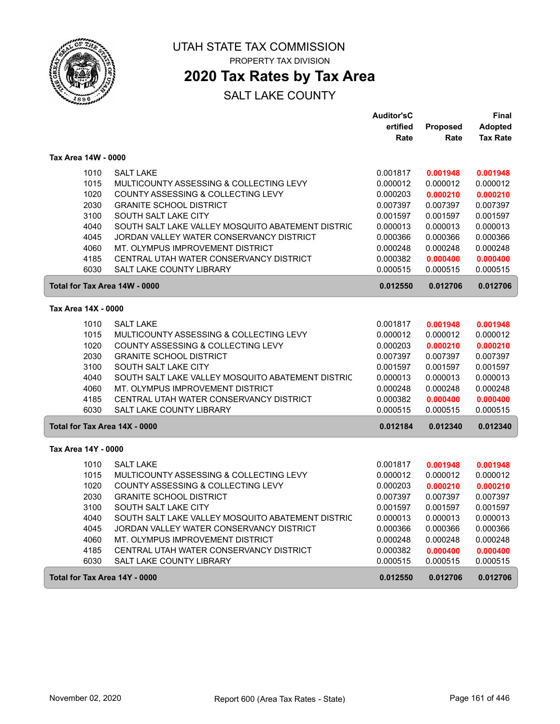

## **2020 Tax Rates by Tax Area**

|                               |                                                   | <b>Auditor'sC</b> |                 | Final           |
|-------------------------------|---------------------------------------------------|-------------------|-----------------|-----------------|
|                               |                                                   | ertified          | <b>Proposed</b> | <b>Adopted</b>  |
|                               |                                                   | Rate              | Rate            | <b>Tax Rate</b> |
| Tax Area 14W - 0000           |                                                   |                   |                 |                 |
| 1010                          | <b>SALT LAKE</b>                                  | 0.001817          | 0.001948        | 0.001948        |
| 1015                          | MULTICOUNTY ASSESSING & COLLECTING LEVY           | 0.000012          | 0.000012        | 0.000012        |
| 1020                          | COUNTY ASSESSING & COLLECTING LEVY                | 0.000203          | 0.000210        | 0.000210        |
| 2030                          | <b>GRANITE SCHOOL DISTRICT</b>                    | 0.007397          | 0.007397        | 0.007397        |
| 3100                          | SOUTH SALT LAKE CITY                              | 0.001597          | 0.001597        | 0.001597        |
| 4040                          | SOUTH SALT LAKE VALLEY MOSQUITO ABATEMENT DISTRIC | 0.000013          | 0.000013        | 0.000013        |
| 4045                          | JORDAN VALLEY WATER CONSERVANCY DISTRICT          | 0.000366          | 0.000366        | 0.000366        |
| 4060                          | MT. OLYMPUS IMPROVEMENT DISTRICT                  | 0.000248          | 0.000248        | 0.000248        |
| 4185                          | CENTRAL UTAH WATER CONSERVANCY DISTRICT           | 0.000382          | 0.000400        | 0.000400        |
| 6030                          | <b>SALT LAKE COUNTY LIBRARY</b>                   | 0.000515          | 0.000515        | 0.000515        |
| Total for Tax Area 14W - 0000 |                                                   | 0.012550          | 0.012706        | 0.012706        |
| Tax Area 14X - 0000           |                                                   |                   |                 |                 |
| 1010                          | <b>SALT LAKE</b>                                  | 0.001817          | 0.001948        | 0.001948        |
| 1015                          | MULTICOUNTY ASSESSING & COLLECTING LEVY           | 0.000012          | 0.000012        | 0.000012        |
| 1020                          | COUNTY ASSESSING & COLLECTING LEVY                | 0.000203          | 0.000210        | 0.000210        |
| 2030                          | <b>GRANITE SCHOOL DISTRICT</b>                    | 0.007397          | 0.007397        | 0.007397        |
| 3100                          | SOUTH SALT LAKE CITY                              | 0.001597          | 0.001597        | 0.001597        |
| 4040                          | SOUTH SALT LAKE VALLEY MOSQUITO ABATEMENT DISTRIC | 0.000013          | 0.000013        | 0.000013        |
| 4060                          | MT. OLYMPUS IMPROVEMENT DISTRICT                  | 0.000248          | 0.000248        | 0.000248        |
| 4185                          | CENTRAL UTAH WATER CONSERVANCY DISTRICT           | 0.000382          | 0.000400        | 0.000400        |
| 6030                          | <b>SALT LAKE COUNTY LIBRARY</b>                   | 0.000515          | 0.000515        | 0.000515        |
| Total for Tax Area 14X - 0000 |                                                   | 0.012184          | 0.012340        | 0.012340        |
| Tax Area 14Y - 0000           |                                                   |                   |                 |                 |
| 1010                          | <b>SALT LAKE</b>                                  | 0.001817          | 0.001948        | 0.001948        |
| 1015                          | MULTICOUNTY ASSESSING & COLLECTING LEVY           | 0.000012          | 0.000012        | 0.000012        |
| 1020                          | COUNTY ASSESSING & COLLECTING LEVY                | 0.000203          | 0.000210        | 0.000210        |
| 2030                          | <b>GRANITE SCHOOL DISTRICT</b>                    | 0.007397          | 0.007397        | 0.007397        |
| 3100                          | SOUTH SALT LAKE CITY                              | 0.001597          | 0.001597        | 0.001597        |
| 4040                          | SOUTH SALT LAKE VALLEY MOSQUITO ABATEMENT DISTRIC | 0.000013          | 0.000013        | 0.000013        |
| 4045                          | JORDAN VALLEY WATER CONSERVANCY DISTRICT          | 0.000366          | 0.000366        | 0.000366        |
| 4060                          | MT. OLYMPUS IMPROVEMENT DISTRICT                  | 0.000248          | 0.000248        | 0.000248        |
| 4185                          | CENTRAL UTAH WATER CONSERVANCY DISTRICT           | 0.000382          | 0.000400        | 0.000400        |
| 6030                          | <b>SALT LAKE COUNTY LIBRARY</b>                   | 0.000515          | 0.000515        | 0.000515        |
| Total for Tax Area 14Y - 0000 |                                                   | 0.012550          | 0.012706        | 0.012706        |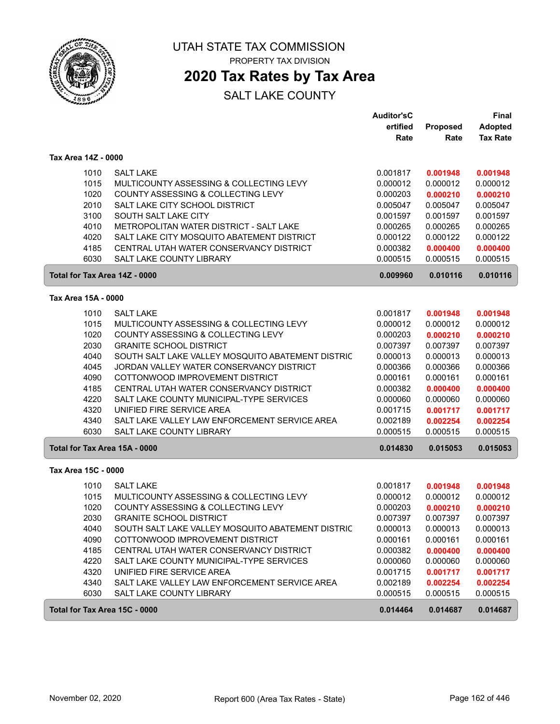

**2020 Tax Rates by Tax Area**

|                               |                                                   | <b>Auditor'sC</b> |                 | Final           |
|-------------------------------|---------------------------------------------------|-------------------|-----------------|-----------------|
|                               |                                                   | ertified          | <b>Proposed</b> | <b>Adopted</b>  |
|                               |                                                   | Rate              | Rate            | <b>Tax Rate</b> |
| Tax Area 14Z - 0000           |                                                   |                   |                 |                 |
| 1010                          | <b>SALT LAKE</b>                                  | 0.001817          | 0.001948        | 0.001948        |
| 1015                          | MULTICOUNTY ASSESSING & COLLECTING LEVY           | 0.000012          | 0.000012        | 0.000012        |
| 1020                          | COUNTY ASSESSING & COLLECTING LEVY                | 0.000203          | 0.000210        | 0.000210        |
| 2010                          | SALT LAKE CITY SCHOOL DISTRICT                    | 0.005047          | 0.005047        | 0.005047        |
| 3100                          | SOUTH SALT LAKE CITY                              | 0.001597          | 0.001597        | 0.001597        |
| 4010                          | METROPOLITAN WATER DISTRICT - SALT LAKE           | 0.000265          | 0.000265        | 0.000265        |
| 4020                          | SALT LAKE CITY MOSQUITO ABATEMENT DISTRICT        | 0.000122          | 0.000122        | 0.000122        |
| 4185                          | CENTRAL UTAH WATER CONSERVANCY DISTRICT           | 0.000382          | 0.000400        | 0.000400        |
| 6030                          | <b>SALT LAKE COUNTY LIBRARY</b>                   | 0.000515          | 0.000515        | 0.000515        |
| Total for Tax Area 14Z - 0000 |                                                   | 0.009960          | 0.010116        | 0.010116        |
| Tax Area 15A - 0000           |                                                   |                   |                 |                 |
|                               |                                                   |                   |                 |                 |
| 1010                          | <b>SALT LAKE</b>                                  | 0.001817          | 0.001948        | 0.001948        |
| 1015                          | MULTICOUNTY ASSESSING & COLLECTING LEVY           | 0.000012          | 0.000012        | 0.000012        |
| 1020                          | COUNTY ASSESSING & COLLECTING LEVY                | 0.000203          | 0.000210        | 0.000210        |
| 2030                          | <b>GRANITE SCHOOL DISTRICT</b>                    | 0.007397          | 0.007397        | 0.007397        |
| 4040                          | SOUTH SALT LAKE VALLEY MOSQUITO ABATEMENT DISTRIC | 0.000013          | 0.000013        | 0.000013        |
| 4045                          | JORDAN VALLEY WATER CONSERVANCY DISTRICT          | 0.000366          | 0.000366        | 0.000366        |
| 4090                          | COTTONWOOD IMPROVEMENT DISTRICT                   | 0.000161          | 0.000161        | 0.000161        |
| 4185                          | CENTRAL UTAH WATER CONSERVANCY DISTRICT           | 0.000382          | 0.000400        | 0.000400        |
| 4220                          | SALT LAKE COUNTY MUNICIPAL-TYPE SERVICES          | 0.000060          | 0.000060        | 0.000060        |
| 4320                          | UNIFIED FIRE SERVICE AREA                         | 0.001715          | 0.001717        | 0.001717        |
| 4340                          | SALT LAKE VALLEY LAW ENFORCEMENT SERVICE AREA     | 0.002189          | 0.002254        | 0.002254        |
| 6030                          | <b>SALT LAKE COUNTY LIBRARY</b>                   | 0.000515          | 0.000515        | 0.000515        |
| Total for Tax Area 15A - 0000 |                                                   | 0.014830          | 0.015053        | 0.015053        |
| Tax Area 15C - 0000           |                                                   |                   |                 |                 |
| 1010                          | <b>SALT LAKE</b>                                  | 0.001817          | 0.001948        | 0.001948        |
| 1015                          | MULTICOUNTY ASSESSING & COLLECTING LEVY           | 0.000012          | 0.000012        | 0.000012        |
| 1020                          | COUNTY ASSESSING & COLLECTING LEVY                | 0.000203          | 0.000210        | 0.000210        |
| 2030                          | <b>GRANITE SCHOOL DISTRICT</b>                    | 0.007397          | 0.007397        | 0.007397        |
| 4040                          | SOUTH SALT LAKE VALLEY MOSQUITO ABATEMENT DISTRIC | 0.000013          | 0.000013        | 0.000013        |
| 4090                          | COTTONWOOD IMPROVEMENT DISTRICT                   | 0.000161          | 0.000161        | 0.000161        |
| 4185                          | CENTRAL UTAH WATER CONSERVANCY DISTRICT           | 0.000382          | 0.000400        | 0.000400        |
| 4220                          | SALT LAKE COUNTY MUNICIPAL-TYPE SERVICES          | 0.000060          | 0.000060        | 0.000060        |
| 4320                          | UNIFIED FIRE SERVICE AREA                         | 0.001715          | 0.001717        | 0.001717        |
| 4340                          | SALT LAKE VALLEY LAW ENFORCEMENT SERVICE AREA     | 0.002189          | 0.002254        | 0.002254        |
| 6030                          | SALT LAKE COUNTY LIBRARY                          | 0.000515          | 0.000515        | 0.000515        |
| Total for Tax Area 15C - 0000 |                                                   | 0.014464          | 0.014687        | 0.014687        |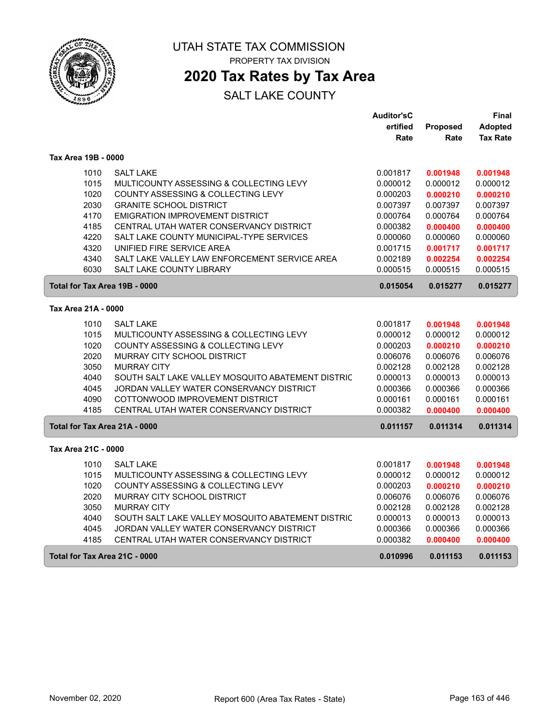

## **2020 Tax Rates by Tax Area**

|                               |                                                   | <b>Auditor'sC</b> |          | Final           |
|-------------------------------|---------------------------------------------------|-------------------|----------|-----------------|
|                               |                                                   | ertified          | Proposed | <b>Adopted</b>  |
|                               |                                                   | Rate              | Rate     | <b>Tax Rate</b> |
| Tax Area 19B - 0000           |                                                   |                   |          |                 |
| 1010                          | <b>SALT LAKE</b>                                  | 0.001817          | 0.001948 | 0.001948        |
| 1015                          | MULTICOUNTY ASSESSING & COLLECTING LEVY           | 0.000012          | 0.000012 | 0.000012        |
| 1020                          | COUNTY ASSESSING & COLLECTING LEVY                | 0.000203          | 0.000210 | 0.000210        |
| 2030                          | <b>GRANITE SCHOOL DISTRICT</b>                    | 0.007397          | 0.007397 | 0.007397        |
| 4170                          | EMIGRATION IMPROVEMENT DISTRICT                   | 0.000764          | 0.000764 | 0.000764        |
| 4185                          | CENTRAL UTAH WATER CONSERVANCY DISTRICT           | 0.000382          | 0.000400 | 0.000400        |
| 4220                          | SALT LAKE COUNTY MUNICIPAL-TYPE SERVICES          | 0.000060          | 0.000060 | 0.000060        |
| 4320                          | UNIFIED FIRE SERVICE AREA                         | 0.001715          | 0.001717 | 0.001717        |
| 4340                          | SALT LAKE VALLEY LAW ENFORCEMENT SERVICE AREA     | 0.002189          | 0.002254 | 0.002254        |
| 6030                          | <b>SALT LAKE COUNTY LIBRARY</b>                   | 0.000515          | 0.000515 | 0.000515        |
| Total for Tax Area 19B - 0000 |                                                   | 0.015054          | 0.015277 | 0.015277        |
| Tax Area 21A - 0000           |                                                   |                   |          |                 |
| 1010                          | <b>SALT LAKE</b>                                  | 0.001817          | 0.001948 | 0.001948        |
| 1015                          | MULTICOUNTY ASSESSING & COLLECTING LEVY           | 0.000012          | 0.000012 | 0.000012        |
| 1020                          | COUNTY ASSESSING & COLLECTING LEVY                | 0.000203          | 0.000210 | 0.000210        |
| 2020                          | <b>MURRAY CITY SCHOOL DISTRICT</b>                | 0.006076          | 0.006076 | 0.006076        |
| 3050                          | <b>MURRAY CITY</b>                                | 0.002128          | 0.002128 | 0.002128        |
| 4040                          | SOUTH SALT LAKE VALLEY MOSQUITO ABATEMENT DISTRIC | 0.000013          | 0.000013 | 0.000013        |
| 4045                          | JORDAN VALLEY WATER CONSERVANCY DISTRICT          | 0.000366          | 0.000366 | 0.000366        |
| 4090                          | COTTONWOOD IMPROVEMENT DISTRICT                   | 0.000161          | 0.000161 | 0.000161        |
| 4185                          | CENTRAL UTAH WATER CONSERVANCY DISTRICT           | 0.000382          | 0.000400 | 0.000400        |
| Total for Tax Area 21A - 0000 |                                                   | 0.011157          | 0.011314 | 0.011314        |
| Tax Area 21C - 0000           |                                                   |                   |          |                 |
| 1010                          | <b>SALT LAKE</b>                                  | 0.001817          | 0.001948 | 0.001948        |
| 1015                          | MULTICOUNTY ASSESSING & COLLECTING LEVY           | 0.000012          | 0.000012 | 0.000012        |
| 1020                          | COUNTY ASSESSING & COLLECTING LEVY                | 0.000203          | 0.000210 | 0.000210        |
| 2020                          | MURRAY CITY SCHOOL DISTRICT                       | 0.006076          | 0.006076 | 0.006076        |
| 3050                          | <b>MURRAY CITY</b>                                | 0.002128          | 0.002128 | 0.002128        |
| 4040                          | SOUTH SALT LAKE VALLEY MOSQUITO ABATEMENT DISTRIC | 0.000013          | 0.000013 | 0.000013        |
| 4045                          | JORDAN VALLEY WATER CONSERVANCY DISTRICT          | 0.000366          | 0.000366 | 0.000366        |
| 4185                          | CENTRAL UTAH WATER CONSERVANCY DISTRICT           | 0.000382          | 0.000400 | 0.000400        |
| Total for Tax Area 21C - 0000 |                                                   | 0.010996          | 0.011153 | 0.011153        |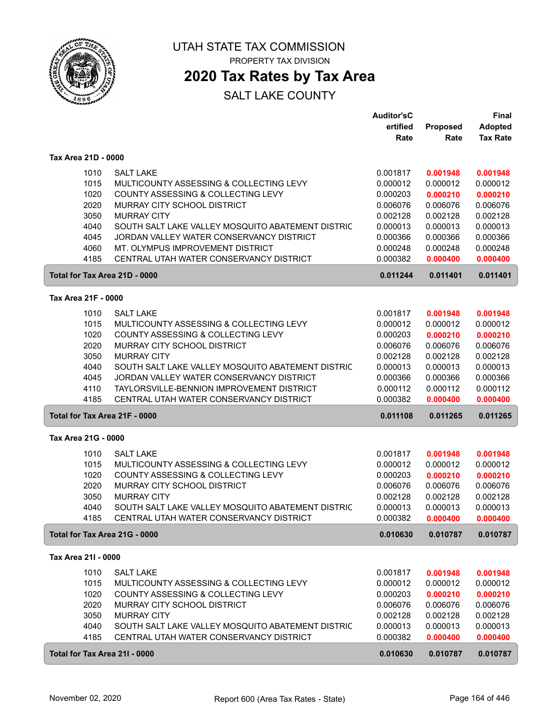

## **2020 Tax Rates by Tax Area**

|                               |                                                   | <b>Auditor'sC</b> |                      | <b>Final</b>         |
|-------------------------------|---------------------------------------------------|-------------------|----------------------|----------------------|
|                               |                                                   | ertified          | <b>Proposed</b>      | <b>Adopted</b>       |
|                               |                                                   | Rate              | Rate                 | <b>Tax Rate</b>      |
| Tax Area 21D - 0000           |                                                   |                   |                      |                      |
| 1010                          | <b>SALT LAKE</b>                                  | 0.001817          | 0.001948             | 0.001948             |
| 1015                          | MULTICOUNTY ASSESSING & COLLECTING LEVY           | 0.000012          | 0.000012             | 0.000012             |
| 1020                          | COUNTY ASSESSING & COLLECTING LEVY                | 0.000203          | 0.000210             | 0.000210             |
| 2020                          | MURRAY CITY SCHOOL DISTRICT                       | 0.006076          | 0.006076             | 0.006076             |
| 3050                          | <b>MURRAY CITY</b>                                | 0.002128          | 0.002128             | 0.002128             |
| 4040                          | SOUTH SALT LAKE VALLEY MOSQUITO ABATEMENT DISTRIC | 0.000013          | 0.000013             | 0.000013             |
| 4045                          | JORDAN VALLEY WATER CONSERVANCY DISTRICT          | 0.000366          | 0.000366             | 0.000366             |
| 4060                          | MT. OLYMPUS IMPROVEMENT DISTRICT                  | 0.000248          | 0.000248             | 0.000248             |
| 4185                          | CENTRAL UTAH WATER CONSERVANCY DISTRICT           | 0.000382          | 0.000400             | 0.000400             |
| Total for Tax Area 21D - 0000 |                                                   | 0.011244          | 0.011401             | 0.011401             |
|                               |                                                   |                   |                      |                      |
| Tax Area 21F - 0000           |                                                   |                   |                      |                      |
| 1010                          | <b>SALT LAKE</b>                                  | 0.001817          | 0.001948             | 0.001948             |
| 1015                          | MULTICOUNTY ASSESSING & COLLECTING LEVY           | 0.000012          | 0.000012             | 0.000012             |
| 1020                          | COUNTY ASSESSING & COLLECTING LEVY                | 0.000203          | 0.000210             | 0.000210             |
| 2020                          | MURRAY CITY SCHOOL DISTRICT                       | 0.006076          | 0.006076             | 0.006076             |
| 3050                          | <b>MURRAY CITY</b>                                | 0.002128          | 0.002128             | 0.002128             |
| 4040                          | SOUTH SALT LAKE VALLEY MOSQUITO ABATEMENT DISTRIC | 0.000013          | 0.000013             | 0.000013             |
| 4045                          | JORDAN VALLEY WATER CONSERVANCY DISTRICT          | 0.000366          | 0.000366             | 0.000366             |
| 4110                          | TAYLORSVILLE-BENNION IMPROVEMENT DISTRICT         | 0.000112          | 0.000112             | 0.000112             |
| 4185                          | CENTRAL UTAH WATER CONSERVANCY DISTRICT           | 0.000382          | 0.000400             | 0.000400             |
| Total for Tax Area 21F - 0000 |                                                   | 0.011108          | 0.011265             | 0.011265             |
| Tax Area 21G - 0000           |                                                   |                   |                      |                      |
| 1010                          | <b>SALT LAKE</b>                                  | 0.001817          | 0.001948             | 0.001948             |
| 1015                          | MULTICOUNTY ASSESSING & COLLECTING LEVY           | 0.000012          | 0.000012             | 0.000012             |
| 1020                          | COUNTY ASSESSING & COLLECTING LEVY                | 0.000203          | 0.000210             | 0.000210             |
| 2020                          | MURRAY CITY SCHOOL DISTRICT                       | 0.006076          | 0.006076             | 0.006076             |
| 3050                          | <b>MURRAY CITY</b>                                | 0.002128          | 0.002128             | 0.002128             |
| 4040                          | SOUTH SALT LAKE VALLEY MOSQUITO ABATEMENT DISTRIC | 0.000013          | 0.000013             | 0.000013             |
| 4185                          | CENTRAL UTAH WATER CONSERVANCY DISTRICT           | 0.000382          | 0.000400             | 0.000400             |
| Total for Tax Area 21G - 0000 |                                                   | 0.010630          | 0.010787             | 0.010787             |
| Tax Area 21I - 0000           |                                                   |                   |                      |                      |
| 1010                          | <b>SALT LAKE</b>                                  | 0.001817          |                      |                      |
| 1015                          | MULTICOUNTY ASSESSING & COLLECTING LEVY           | 0.000012          | 0.001948<br>0.000012 | 0.001948<br>0.000012 |
| 1020                          | COUNTY ASSESSING & COLLECTING LEVY                | 0.000203          | 0.000210             | 0.000210             |
| 2020                          | MURRAY CITY SCHOOL DISTRICT                       | 0.006076          | 0.006076             | 0.006076             |
| 3050                          | <b>MURRAY CITY</b>                                | 0.002128          | 0.002128             | 0.002128             |
| 4040                          | SOUTH SALT LAKE VALLEY MOSQUITO ABATEMENT DISTRIC | 0.000013          | 0.000013             | 0.000013             |
| 4185                          | CENTRAL UTAH WATER CONSERVANCY DISTRICT           | 0.000382          | 0.000400             | 0.000400             |
|                               |                                                   |                   |                      |                      |
| Total for Tax Area 211 - 0000 |                                                   | 0.010630          | 0.010787             | 0.010787             |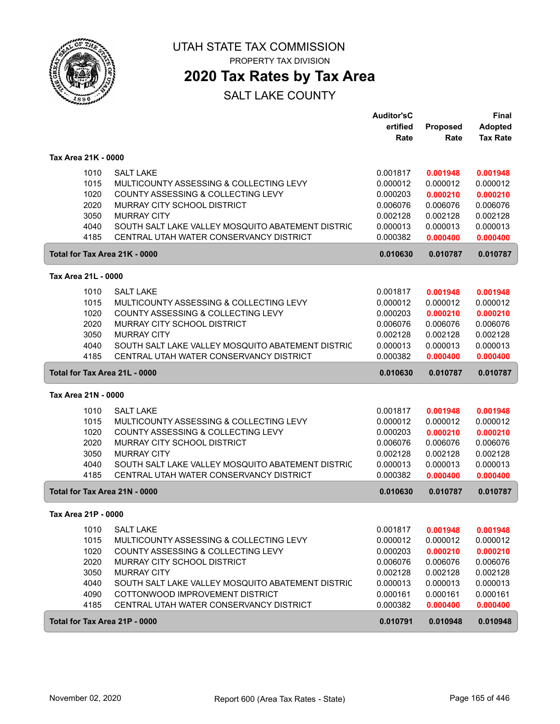

PROPERTY TAX DIVISION

## **2020 Tax Rates by Tax Area**

|                                                                                                              | <b>Auditor'sC</b><br>ertified | <b>Proposed</b>      | <b>Final</b><br><b>Adopted</b> |
|--------------------------------------------------------------------------------------------------------------|-------------------------------|----------------------|--------------------------------|
|                                                                                                              | Rate                          | Rate                 | <b>Tax Rate</b>                |
| Tax Area 21K - 0000                                                                                          |                               |                      |                                |
| <b>SALT LAKE</b><br>1010                                                                                     | 0.001817                      | 0.001948             | 0.001948                       |
| 1015<br>MULTICOUNTY ASSESSING & COLLECTING LEVY                                                              | 0.000012                      | 0.000012             | 0.000012                       |
| 1020<br>COUNTY ASSESSING & COLLECTING LEVY                                                                   | 0.000203                      | 0.000210             | 0.000210                       |
| 2020<br>MURRAY CITY SCHOOL DISTRICT                                                                          | 0.006076                      | 0.006076             | 0.006076                       |
| 3050<br><b>MURRAY CITY</b>                                                                                   | 0.002128                      | 0.002128             | 0.002128                       |
| 4040<br>SOUTH SALT LAKE VALLEY MOSQUITO ABATEMENT DISTRIC<br>4185<br>CENTRAL UTAH WATER CONSERVANCY DISTRICT | 0.000013<br>0.000382          | 0.000013<br>0.000400 | 0.000013<br>0.000400           |
| Total for Tax Area 21K - 0000                                                                                | 0.010630                      | 0.010787             | 0.010787                       |
|                                                                                                              |                               |                      |                                |
| Tax Area 21L - 0000                                                                                          |                               |                      |                                |
| <b>SALT LAKE</b><br>1010                                                                                     | 0.001817                      | 0.001948             | 0.001948                       |
| 1015<br>MULTICOUNTY ASSESSING & COLLECTING LEVY                                                              | 0.000012                      | 0.000012             | 0.000012                       |
| 1020<br>COUNTY ASSESSING & COLLECTING LEVY<br>2020<br>MURRAY CITY SCHOOL DISTRICT                            | 0.000203<br>0.006076          | 0.000210<br>0.006076 | 0.000210<br>0.006076           |
| 3050<br><b>MURRAY CITY</b>                                                                                   | 0.002128                      | 0.002128             | 0.002128                       |
| 4040<br>SOUTH SALT LAKE VALLEY MOSQUITO ABATEMENT DISTRIC                                                    | 0.000013                      | 0.000013             | 0.000013                       |
| 4185<br>CENTRAL UTAH WATER CONSERVANCY DISTRICT                                                              | 0.000382                      | 0.000400             | 0.000400                       |
| Total for Tax Area 21L - 0000                                                                                | 0.010630                      | 0.010787             | 0.010787                       |
| Tax Area 21N - 0000                                                                                          |                               |                      |                                |
| 1010<br><b>SALT LAKE</b>                                                                                     | 0.001817                      | 0.001948             | 0.001948                       |
| 1015<br>MULTICOUNTY ASSESSING & COLLECTING LEVY                                                              | 0.000012                      | 0.000012             | 0.000012                       |
| 1020<br>COUNTY ASSESSING & COLLECTING LEVY                                                                   | 0.000203                      | 0.000210             | 0.000210                       |
| 2020<br>MURRAY CITY SCHOOL DISTRICT                                                                          | 0.006076                      | 0.006076             | 0.006076                       |
| 3050<br><b>MURRAY CITY</b>                                                                                   | 0.002128                      | 0.002128             | 0.002128                       |
| 4040<br>SOUTH SALT LAKE VALLEY MOSQUITO ABATEMENT DISTRIC                                                    | 0.000013                      | 0.000013             | 0.000013                       |
| 4185<br>CENTRAL UTAH WATER CONSERVANCY DISTRICT                                                              | 0.000382                      | 0.000400             | 0.000400                       |
| Total for Tax Area 21N - 0000                                                                                | 0.010630                      | 0.010787             | 0.010787                       |
| Tax Area 21P - 0000                                                                                          |                               |                      |                                |
| 1010<br><b>SALT LAKE</b>                                                                                     | 0.001817                      | 0.001948             | 0.001948                       |
| 1015<br>MULTICOUNTY ASSESSING & COLLECTING LEVY                                                              | 0.000012                      | 0.000012             | 0.000012                       |
| 1020<br>COUNTY ASSESSING & COLLECTING LEVY                                                                   | 0.000203                      | 0.000210             | 0.000210                       |
| 2020<br>MURRAY CITY SCHOOL DISTRICT                                                                          | 0.006076                      | 0.006076             | 0.006076                       |
| 3050<br><b>MURRAY CITY</b>                                                                                   | 0.002128                      | 0.002128             | 0.002128                       |
| 4040<br>SOUTH SALT LAKE VALLEY MOSQUITO ABATEMENT DISTRIC                                                    | 0.000013                      | 0.000013             | 0.000013                       |
| 4090<br>COTTONWOOD IMPROVEMENT DISTRICT                                                                      | 0.000161                      | 0.000161             | 0.000161                       |
| 4185<br>CENTRAL UTAH WATER CONSERVANCY DISTRICT                                                              | 0.000382                      | 0.000400             | 0.000400                       |
| Total for Tax Area 21P - 0000                                                                                | 0.010791                      | 0.010948             | 0.010948                       |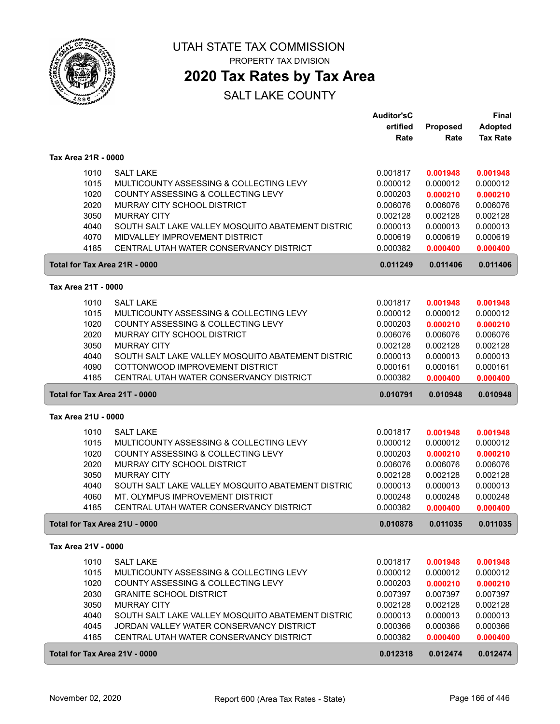

PROPERTY TAX DIVISION

## **2020 Tax Rates by Tax Area**

|                               |                                                                               | <b>Auditor'sC</b>    |                      | <b>Final</b>         |
|-------------------------------|-------------------------------------------------------------------------------|----------------------|----------------------|----------------------|
|                               |                                                                               | ertified             | Proposed             | <b>Adopted</b>       |
|                               |                                                                               | Rate                 | Rate                 | <b>Tax Rate</b>      |
| Tax Area 21R - 0000           |                                                                               |                      |                      |                      |
| 1010                          | <b>SALT LAKE</b>                                                              | 0.001817             | 0.001948             | 0.001948             |
| 1015                          | MULTICOUNTY ASSESSING & COLLECTING LEVY                                       | 0.000012             | 0.000012             | 0.000012             |
| 1020                          | COUNTY ASSESSING & COLLECTING LEVY                                            | 0.000203             | 0.000210             | 0.000210             |
| 2020                          | MURRAY CITY SCHOOL DISTRICT                                                   | 0.006076             | 0.006076             | 0.006076             |
| 3050                          | <b>MURRAY CITY</b>                                                            | 0.002128             | 0.002128             | 0.002128             |
| 4040                          | SOUTH SALT LAKE VALLEY MOSQUITO ABATEMENT DISTRIC                             | 0.000013             | 0.000013             | 0.000013             |
| 4070                          | MIDVALLEY IMPROVEMENT DISTRICT                                                | 0.000619             | 0.000619             | 0.000619             |
| 4185                          | CENTRAL UTAH WATER CONSERVANCY DISTRICT                                       | 0.000382             | 0.000400             | 0.000400             |
| Total for Tax Area 21R - 0000 |                                                                               | 0.011249             | 0.011406             | 0.011406             |
|                               |                                                                               |                      |                      |                      |
| Tax Area 21T - 0000           |                                                                               |                      |                      |                      |
| 1010                          | <b>SALT LAKE</b>                                                              | 0.001817             | 0.001948             | 0.001948             |
| 1015                          | MULTICOUNTY ASSESSING & COLLECTING LEVY                                       | 0.000012             | 0.000012             | 0.000012             |
| 1020                          | COUNTY ASSESSING & COLLECTING LEVY                                            | 0.000203             | 0.000210             | 0.000210             |
| 2020                          | MURRAY CITY SCHOOL DISTRICT                                                   | 0.006076             | 0.006076             | 0.006076             |
| 3050                          | <b>MURRAY CITY</b>                                                            | 0.002128             | 0.002128             | 0.002128             |
| 4040                          | SOUTH SALT LAKE VALLEY MOSQUITO ABATEMENT DISTRIC                             | 0.000013             | 0.000013             | 0.000013             |
| 4090                          | COTTONWOOD IMPROVEMENT DISTRICT                                               | 0.000161             | 0.000161             | 0.000161             |
| 4185                          | CENTRAL UTAH WATER CONSERVANCY DISTRICT                                       | 0.000382             | 0.000400             | 0.000400             |
| Total for Tax Area 21T - 0000 |                                                                               | 0.010791             | 0.010948             | 0.010948             |
| Tax Area 21U - 0000           |                                                                               |                      |                      |                      |
| 1010                          | <b>SALT LAKE</b>                                                              | 0.001817             | 0.001948             | 0.001948             |
| 1015                          |                                                                               |                      |                      |                      |
|                               |                                                                               | 0.000012             | 0.000012             | 0.000012             |
|                               | MULTICOUNTY ASSESSING & COLLECTING LEVY<br>COUNTY ASSESSING & COLLECTING LEVY |                      |                      |                      |
| 1020<br>2020                  | MURRAY CITY SCHOOL DISTRICT                                                   | 0.000203<br>0.006076 | 0.000210<br>0.006076 | 0.000210             |
| 3050                          | <b>MURRAY CITY</b>                                                            | 0.002128             | 0.002128             | 0.006076<br>0.002128 |
| 4040                          | SOUTH SALT LAKE VALLEY MOSQUITO ABATEMENT DISTRIC                             | 0.000013             | 0.000013             | 0.000013             |
| 4060                          | MT. OLYMPUS IMPROVEMENT DISTRICT                                              | 0.000248             | 0.000248             | 0.000248             |
| 4185                          | CENTRAL UTAH WATER CONSERVANCY DISTRICT                                       | 0.000382             | 0.000400             | 0.000400             |
| Total for Tax Area 21U - 0000 |                                                                               | 0.010878             | 0.011035             | 0.011035             |
|                               |                                                                               |                      |                      |                      |
| Tax Area 21V - 0000           |                                                                               |                      |                      |                      |
| 1010                          | <b>SALT LAKE</b>                                                              | 0.001817             | 0.001948             | 0.001948             |
| 1015                          | MULTICOUNTY ASSESSING & COLLECTING LEVY                                       | 0.000012             | 0.000012             | 0.000012             |
| 1020                          | COUNTY ASSESSING & COLLECTING LEVY                                            | 0.000203             | 0.000210             | 0.000210             |
| 2030                          | <b>GRANITE SCHOOL DISTRICT</b>                                                | 0.007397             | 0.007397             | 0.007397             |
| 3050                          | <b>MURRAY CITY</b>                                                            | 0.002128             | 0.002128             | 0.002128             |
| 4040                          | SOUTH SALT LAKE VALLEY MOSQUITO ABATEMENT DISTRIC                             | 0.000013             | 0.000013             | 0.000013             |
| 4045                          | JORDAN VALLEY WATER CONSERVANCY DISTRICT                                      | 0.000366             | 0.000366             | 0.000366             |
| 4185                          | CENTRAL UTAH WATER CONSERVANCY DISTRICT                                       | 0.000382             | 0.000400             | 0.000400             |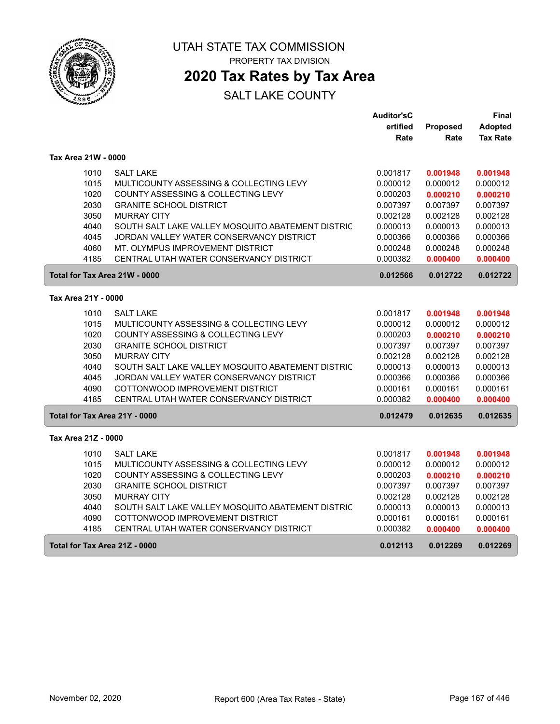

## **2020 Tax Rates by Tax Area**

|                     |                                                   | <b>Auditor'sC</b> |          | Final           |
|---------------------|---------------------------------------------------|-------------------|----------|-----------------|
|                     |                                                   | ertified          | Proposed | Adopted         |
|                     |                                                   | Rate              | Rate     | <b>Tax Rate</b> |
| Tax Area 21W - 0000 |                                                   |                   |          |                 |
| 1010                | <b>SALT LAKE</b>                                  | 0.001817          | 0.001948 | 0.001948        |
| 1015                | MULTICOUNTY ASSESSING & COLLECTING LEVY           | 0.000012          | 0.000012 | 0.000012        |
| 1020                | COUNTY ASSESSING & COLLECTING LEVY                | 0.000203          | 0.000210 | 0.000210        |
| 2030                | <b>GRANITE SCHOOL DISTRICT</b>                    | 0.007397          | 0.007397 | 0.007397        |
| 3050                | <b>MURRAY CITY</b>                                | 0.002128          | 0.002128 | 0.002128        |
| 4040                | SOUTH SALT LAKE VALLEY MOSQUITO ABATEMENT DISTRIC | 0.000013          | 0.000013 | 0.000013        |
| 4045                | JORDAN VALLEY WATER CONSERVANCY DISTRICT          | 0.000366          | 0.000366 | 0.000366        |
| 4060                | MT. OLYMPUS IMPROVEMENT DISTRICT                  | 0.000248          | 0.000248 | 0.000248        |
| 4185                | CENTRAL UTAH WATER CONSERVANCY DISTRICT           | 0.000382          | 0.000400 | 0.000400        |
|                     | Total for Tax Area 21W - 0000                     | 0.012566          | 0.012722 | 0.012722        |
| Tax Area 21Y - 0000 |                                                   |                   |          |                 |
| 1010                | <b>SALT LAKE</b>                                  | 0.001817          | 0.001948 | 0.001948        |
| 1015                | MULTICOUNTY ASSESSING & COLLECTING LEVY           | 0.000012          | 0.000012 | 0.000012        |
| 1020                | COUNTY ASSESSING & COLLECTING LEVY                | 0.000203          | 0.000210 | 0.000210        |
| 2030                | <b>GRANITE SCHOOL DISTRICT</b>                    | 0.007397          | 0.007397 | 0.007397        |
| 3050                | <b>MURRAY CITY</b>                                | 0.002128          | 0.002128 | 0.002128        |
| 4040                | SOUTH SALT LAKE VALLEY MOSQUITO ABATEMENT DISTRIC | 0.000013          | 0.000013 | 0.000013        |
| 4045                | JORDAN VALLEY WATER CONSERVANCY DISTRICT          | 0.000366          | 0.000366 | 0.000366        |
| 4090                | COTTONWOOD IMPROVEMENT DISTRICT                   | 0.000161          | 0.000161 | 0.000161        |
| 4185                | CENTRAL UTAH WATER CONSERVANCY DISTRICT           | 0.000382          | 0.000400 | 0.000400        |
|                     | Total for Tax Area 21Y - 0000                     | 0.012479          | 0.012635 | 0.012635        |
| Tax Area 21Z - 0000 |                                                   |                   |          |                 |
| 1010                | <b>SALT LAKE</b>                                  | 0.001817          | 0.001948 | 0.001948        |
| 1015                | MULTICOUNTY ASSESSING & COLLECTING LEVY           | 0.000012          | 0.000012 | 0.000012        |
| 1020                | COUNTY ASSESSING & COLLECTING LEVY                | 0.000203          | 0.000210 | 0.000210        |
| 2030                | <b>GRANITE SCHOOL DISTRICT</b>                    | 0.007397          | 0.007397 | 0.007397        |
| 3050                | <b>MURRAY CITY</b>                                | 0.002128          | 0.002128 | 0.002128        |
| 4040                | SOUTH SALT LAKE VALLEY MOSQUITO ABATEMENT DISTRIC | 0.000013          | 0.000013 | 0.000013        |
| 4090                | COTTONWOOD IMPROVEMENT DISTRICT                   | 0.000161          | 0.000161 | 0.000161        |
| 4185                | CENTRAL UTAH WATER CONSERVANCY DISTRICT           | 0.000382          | 0.000400 | 0.000400        |
|                     | Total for Tax Area 21Z - 0000                     | 0.012113          | 0.012269 | 0.012269        |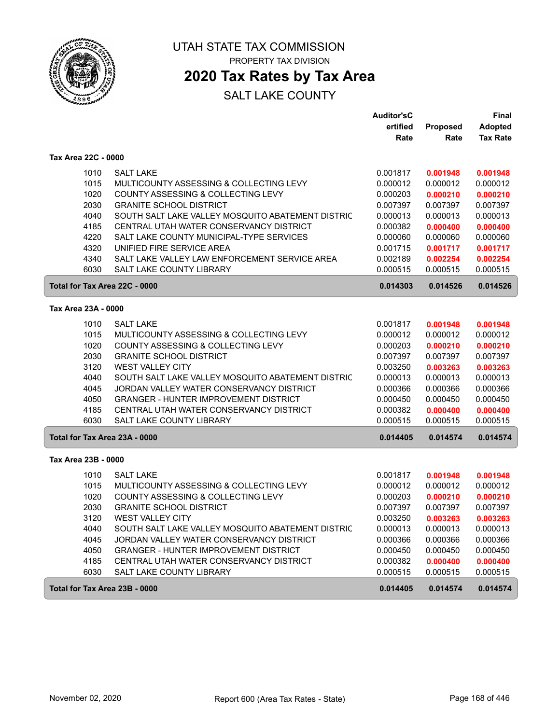

# **2020 Tax Rates by Tax Area**

|                               |                                                   | <b>Auditor'sC</b> |          | <b>Final</b>    |
|-------------------------------|---------------------------------------------------|-------------------|----------|-----------------|
|                               |                                                   | ertified          | Proposed | <b>Adopted</b>  |
|                               |                                                   | Rate              | Rate     | <b>Tax Rate</b> |
| Tax Area 22C - 0000           |                                                   |                   |          |                 |
| 1010                          | <b>SALT LAKE</b>                                  | 0.001817          | 0.001948 | 0.001948        |
| 1015                          | MULTICOUNTY ASSESSING & COLLECTING LEVY           | 0.000012          | 0.000012 | 0.000012        |
| 1020                          | COUNTY ASSESSING & COLLECTING LEVY                | 0.000203          | 0.000210 | 0.000210        |
| 2030                          | <b>GRANITE SCHOOL DISTRICT</b>                    | 0.007397          | 0.007397 | 0.007397        |
| 4040                          | SOUTH SALT LAKE VALLEY MOSQUITO ABATEMENT DISTRIC | 0.000013          | 0.000013 | 0.000013        |
| 4185                          | CENTRAL UTAH WATER CONSERVANCY DISTRICT           | 0.000382          | 0.000400 | 0.000400        |
| 4220                          | SALT LAKE COUNTY MUNICIPAL-TYPE SERVICES          | 0.000060          | 0.000060 | 0.000060        |
| 4320                          | UNIFIED FIRE SERVICE AREA                         | 0.001715          | 0.001717 | 0.001717        |
| 4340                          | SALT LAKE VALLEY LAW ENFORCEMENT SERVICE AREA     | 0.002189          | 0.002254 | 0.002254        |
| 6030                          | SALT LAKE COUNTY LIBRARY                          | 0.000515          | 0.000515 | 0.000515        |
| Total for Tax Area 22C - 0000 |                                                   | 0.014303          | 0.014526 | 0.014526        |
| Tax Area 23A - 0000           |                                                   |                   |          |                 |
| 1010                          | <b>SALT LAKE</b>                                  | 0.001817          | 0.001948 | 0.001948        |
| 1015                          | MULTICOUNTY ASSESSING & COLLECTING LEVY           | 0.000012          | 0.000012 | 0.000012        |
| 1020                          | COUNTY ASSESSING & COLLECTING LEVY                | 0.000203          | 0.000210 | 0.000210        |
| 2030                          | <b>GRANITE SCHOOL DISTRICT</b>                    | 0.007397          | 0.007397 | 0.007397        |
| 3120                          | <b>WEST VALLEY CITY</b>                           | 0.003250          | 0.003263 | 0.003263        |
| 4040                          | SOUTH SALT LAKE VALLEY MOSQUITO ABATEMENT DISTRIC | 0.000013          | 0.000013 | 0.000013        |
| 4045                          | JORDAN VALLEY WATER CONSERVANCY DISTRICT          | 0.000366          | 0.000366 | 0.000366        |
| 4050                          | <b>GRANGER - HUNTER IMPROVEMENT DISTRICT</b>      | 0.000450          | 0.000450 | 0.000450        |
| 4185                          | CENTRAL UTAH WATER CONSERVANCY DISTRICT           | 0.000382          | 0.000400 | 0.000400        |
| 6030                          | SALT LAKE COUNTY LIBRARY                          | 0.000515          | 0.000515 | 0.000515        |
|                               |                                                   |                   |          |                 |
| Total for Tax Area 23A - 0000 |                                                   | 0.014405          | 0.014574 | 0.014574        |
| Tax Area 23B - 0000           |                                                   |                   |          |                 |
| 1010                          | <b>SALT LAKE</b>                                  | 0.001817          | 0.001948 | 0.001948        |
| 1015                          | MULTICOUNTY ASSESSING & COLLECTING LEVY           | 0.000012          | 0.000012 | 0.000012        |
| 1020                          | COUNTY ASSESSING & COLLECTING LEVY                | 0.000203          | 0.000210 | 0.000210        |
| 2030                          | <b>GRANITE SCHOOL DISTRICT</b>                    | 0.007397          | 0.007397 | 0.007397        |
| 3120                          | <b>WEST VALLEY CITY</b>                           | 0.003250          | 0.003263 | 0.003263        |
| 4040                          | SOUTH SALT LAKE VALLEY MOSQUITO ABATEMENT DISTRIC | 0.000013          | 0.000013 | 0.000013        |
| 4045                          | JORDAN VALLEY WATER CONSERVANCY DISTRICT          | 0.000366          | 0.000366 | 0.000366        |
| 4050                          | <b>GRANGER - HUNTER IMPROVEMENT DISTRICT</b>      | 0.000450          | 0.000450 | 0.000450        |
| 4185                          | CENTRAL UTAH WATER CONSERVANCY DISTRICT           | 0.000382          | 0.000400 | 0.000400        |
| 6030                          | SALT LAKE COUNTY LIBRARY                          | 0.000515          | 0.000515 | 0.000515        |
| Total for Tax Area 23B - 0000 |                                                   | 0.014405          | 0.014574 | 0.014574        |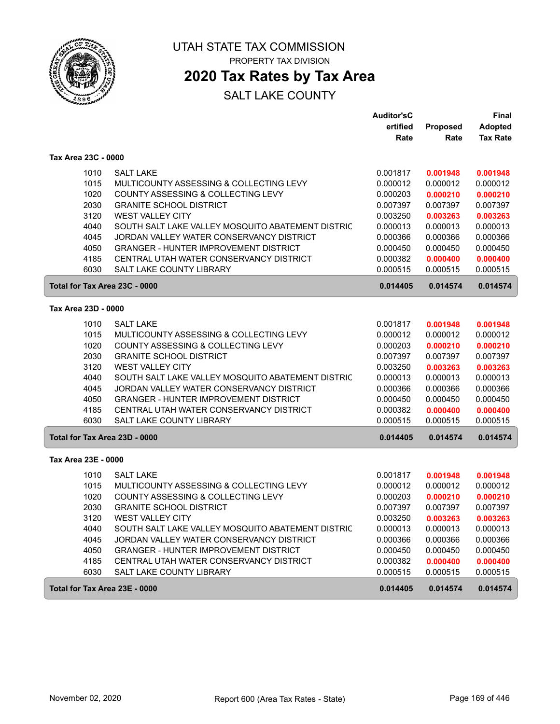

# **2020 Tax Rates by Tax Area**

|                               |                                                   | <b>Auditor'sC</b> |                 | <b>Final</b>    |
|-------------------------------|---------------------------------------------------|-------------------|-----------------|-----------------|
|                               |                                                   | ertified          | <b>Proposed</b> | <b>Adopted</b>  |
|                               |                                                   | Rate              | Rate            | <b>Tax Rate</b> |
| Tax Area 23C - 0000           |                                                   |                   |                 |                 |
| 1010                          | <b>SALT LAKE</b>                                  | 0.001817          | 0.001948        | 0.001948        |
| 1015                          | MULTICOUNTY ASSESSING & COLLECTING LEVY           | 0.000012          | 0.000012        | 0.000012        |
| 1020                          | COUNTY ASSESSING & COLLECTING LEVY                | 0.000203          | 0.000210        | 0.000210        |
| 2030                          | <b>GRANITE SCHOOL DISTRICT</b>                    | 0.007397          | 0.007397        | 0.007397        |
| 3120                          | <b>WEST VALLEY CITY</b>                           | 0.003250          | 0.003263        | 0.003263        |
| 4040                          | SOUTH SALT LAKE VALLEY MOSQUITO ABATEMENT DISTRIC | 0.000013          | 0.000013        | 0.000013        |
| 4045                          | JORDAN VALLEY WATER CONSERVANCY DISTRICT          | 0.000366          | 0.000366        | 0.000366        |
| 4050                          | <b>GRANGER - HUNTER IMPROVEMENT DISTRICT</b>      | 0.000450          | 0.000450        | 0.000450        |
| 4185                          | CENTRAL UTAH WATER CONSERVANCY DISTRICT           | 0.000382          | 0.000400        | 0.000400        |
| 6030                          | <b>SALT LAKE COUNTY LIBRARY</b>                   | 0.000515          | 0.000515        | 0.000515        |
| Total for Tax Area 23C - 0000 |                                                   | 0.014405          | 0.014574        | 0.014574        |
| Tax Area 23D - 0000           |                                                   |                   |                 |                 |
|                               |                                                   |                   |                 |                 |
| 1010                          | <b>SALT LAKE</b>                                  | 0.001817          | 0.001948        | 0.001948        |
| 1015                          | MULTICOUNTY ASSESSING & COLLECTING LEVY           | 0.000012          | 0.000012        | 0.000012        |
| 1020                          | COUNTY ASSESSING & COLLECTING LEVY                | 0.000203          | 0.000210        | 0.000210        |
| 2030                          | <b>GRANITE SCHOOL DISTRICT</b>                    | 0.007397          | 0.007397        | 0.007397        |
| 3120                          | <b>WEST VALLEY CITY</b>                           | 0.003250          | 0.003263        | 0.003263        |
| 4040                          | SOUTH SALT LAKE VALLEY MOSQUITO ABATEMENT DISTRIC | 0.000013          | 0.000013        | 0.000013        |
| 4045                          | JORDAN VALLEY WATER CONSERVANCY DISTRICT          | 0.000366          | 0.000366        | 0.000366        |
| 4050                          | <b>GRANGER - HUNTER IMPROVEMENT DISTRICT</b>      | 0.000450          | 0.000450        | 0.000450        |
| 4185                          | CENTRAL UTAH WATER CONSERVANCY DISTRICT           | 0.000382          | 0.000400        | 0.000400        |
| 6030                          | SALT LAKE COUNTY LIBRARY                          | 0.000515          | 0.000515        | 0.000515        |
| Total for Tax Area 23D - 0000 |                                                   | 0.014405          | 0.014574        | 0.014574        |
| Tax Area 23E - 0000           |                                                   |                   |                 |                 |
| 1010                          | <b>SALT LAKE</b>                                  | 0.001817          | 0.001948        | 0.001948        |
| 1015                          | MULTICOUNTY ASSESSING & COLLECTING LEVY           | 0.000012          | 0.000012        | 0.000012        |
| 1020                          | COUNTY ASSESSING & COLLECTING LEVY                | 0.000203          | 0.000210        | 0.000210        |
| 2030                          | <b>GRANITE SCHOOL DISTRICT</b>                    | 0.007397          | 0.007397        | 0.007397        |
| 3120                          | <b>WEST VALLEY CITY</b>                           | 0.003250          | 0.003263        | 0.003263        |
| 4040                          | SOUTH SALT LAKE VALLEY MOSQUITO ABATEMENT DISTRIC | 0.000013          | 0.000013        | 0.000013        |
| 4045                          | JORDAN VALLEY WATER CONSERVANCY DISTRICT          | 0.000366          | 0.000366        | 0.000366        |
| 4050                          | <b>GRANGER - HUNTER IMPROVEMENT DISTRICT</b>      | 0.000450          | 0.000450        | 0.000450        |
| 4185                          | CENTRAL UTAH WATER CONSERVANCY DISTRICT           | 0.000382          | 0.000400        | 0.000400        |
| 6030                          | SALT LAKE COUNTY LIBRARY                          | 0.000515          | 0.000515        | 0.000515        |
| Total for Tax Area 23E - 0000 |                                                   | 0.014405          | 0.014574        | 0.014574        |
|                               |                                                   |                   |                 |                 |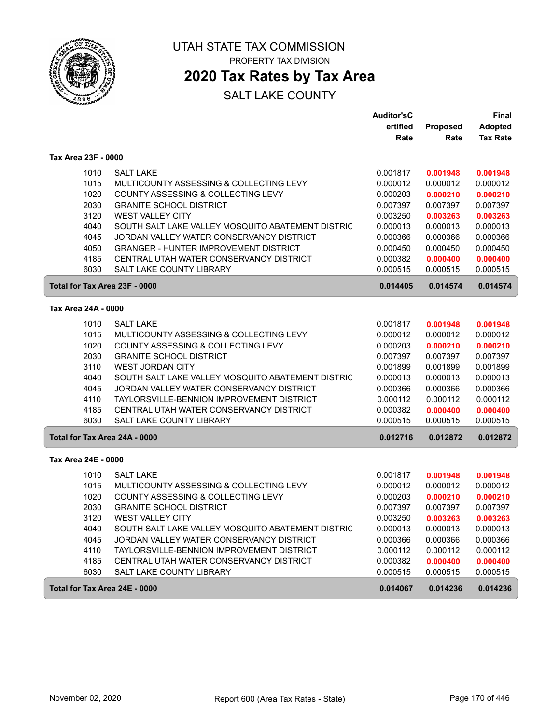

# **2020 Tax Rates by Tax Area**

|                     |                                                   | <b>Auditor'sC</b> |                 | <b>Final</b>    |
|---------------------|---------------------------------------------------|-------------------|-----------------|-----------------|
|                     |                                                   | ertified          | <b>Proposed</b> | <b>Adopted</b>  |
|                     |                                                   | Rate              | Rate            | <b>Tax Rate</b> |
| Tax Area 23F - 0000 |                                                   |                   |                 |                 |
| 1010                | <b>SALT LAKE</b>                                  | 0.001817          | 0.001948        | 0.001948        |
| 1015                | MULTICOUNTY ASSESSING & COLLECTING LEVY           | 0.000012          | 0.000012        | 0.000012        |
| 1020                | COUNTY ASSESSING & COLLECTING LEVY                | 0.000203          | 0.000210        | 0.000210        |
| 2030                | <b>GRANITE SCHOOL DISTRICT</b>                    | 0.007397          | 0.007397        | 0.007397        |
| 3120                | <b>WEST VALLEY CITY</b>                           | 0.003250          | 0.003263        | 0.003263        |
| 4040                | SOUTH SALT LAKE VALLEY MOSQUITO ABATEMENT DISTRIC | 0.000013          | 0.000013        | 0.000013        |
| 4045                | JORDAN VALLEY WATER CONSERVANCY DISTRICT          | 0.000366          | 0.000366        | 0.000366        |
| 4050                | <b>GRANGER - HUNTER IMPROVEMENT DISTRICT</b>      | 0.000450          | 0.000450        | 0.000450        |
| 4185                | CENTRAL UTAH WATER CONSERVANCY DISTRICT           | 0.000382          | 0.000400        | 0.000400        |
| 6030                | <b>SALT LAKE COUNTY LIBRARY</b>                   | 0.000515          | 0.000515        | 0.000515        |
|                     | Total for Tax Area 23F - 0000                     | 0.014405          | 0.014574        | 0.014574        |
| Tax Area 24A - 0000 |                                                   |                   |                 |                 |
|                     |                                                   |                   |                 |                 |
| 1010                | <b>SALT LAKE</b>                                  | 0.001817          | 0.001948        | 0.001948        |
| 1015                | MULTICOUNTY ASSESSING & COLLECTING LEVY           | 0.000012          | 0.000012        | 0.000012        |
| 1020                | COUNTY ASSESSING & COLLECTING LEVY                | 0.000203          | 0.000210        | 0.000210        |
| 2030                | <b>GRANITE SCHOOL DISTRICT</b>                    | 0.007397          | 0.007397        | 0.007397        |
| 3110                | <b>WEST JORDAN CITY</b>                           | 0.001899          | 0.001899        | 0.001899        |
| 4040                | SOUTH SALT LAKE VALLEY MOSQUITO ABATEMENT DISTRIC | 0.000013          | 0.000013        | 0.000013        |
| 4045                | JORDAN VALLEY WATER CONSERVANCY DISTRICT          | 0.000366          | 0.000366        | 0.000366        |
| 4110                | TAYLORSVILLE-BENNION IMPROVEMENT DISTRICT         | 0.000112          | 0.000112        | 0.000112        |
| 4185                | CENTRAL UTAH WATER CONSERVANCY DISTRICT           | 0.000382          | 0.000400        | 0.000400        |
| 6030                | SALT LAKE COUNTY LIBRARY                          | 0.000515          | 0.000515        | 0.000515        |
|                     | Total for Tax Area 24A - 0000                     | 0.012716          | 0.012872        | 0.012872        |
| Tax Area 24E - 0000 |                                                   |                   |                 |                 |
| 1010                | <b>SALT LAKE</b>                                  | 0.001817          | 0.001948        | 0.001948        |
| 1015                | MULTICOUNTY ASSESSING & COLLECTING LEVY           | 0.000012          | 0.000012        | 0.000012        |
| 1020                | COUNTY ASSESSING & COLLECTING LEVY                | 0.000203          | 0.000210        | 0.000210        |
| 2030                | <b>GRANITE SCHOOL DISTRICT</b>                    | 0.007397          | 0.007397        | 0.007397        |
| 3120                | <b>WEST VALLEY CITY</b>                           | 0.003250          | 0.003263        | 0.003263        |
| 4040                | SOUTH SALT LAKE VALLEY MOSQUITO ABATEMENT DISTRIC | 0.000013          | 0.000013        | 0.000013        |
| 4045                | JORDAN VALLEY WATER CONSERVANCY DISTRICT          | 0.000366          | 0.000366        | 0.000366        |
| 4110                | TAYLORSVILLE-BENNION IMPROVEMENT DISTRICT         | 0.000112          | 0.000112        | 0.000112        |
| 4185                | CENTRAL UTAH WATER CONSERVANCY DISTRICT           | 0.000382          | 0.000400        | 0.000400        |
| 6030                | SALT LAKE COUNTY LIBRARY                          | 0.000515          | 0.000515        | 0.000515        |
|                     | Total for Tax Area 24E - 0000                     | 0.014067          | 0.014236        | 0.014236        |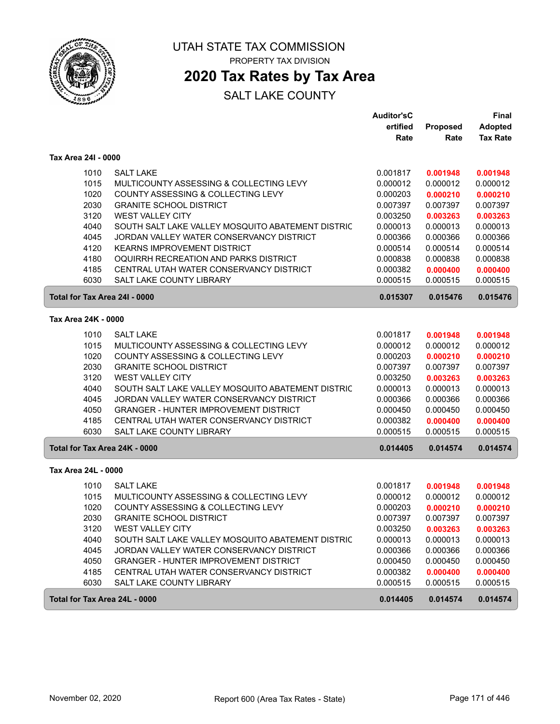

## **2020 Tax Rates by Tax Area**

|                     |                                                   | <b>Auditor'sC</b> |          | Final           |
|---------------------|---------------------------------------------------|-------------------|----------|-----------------|
|                     |                                                   | ertified          | Proposed | <b>Adopted</b>  |
|                     |                                                   | Rate              | Rate     | <b>Tax Rate</b> |
| Tax Area 24I - 0000 |                                                   |                   |          |                 |
| 1010                | <b>SALT LAKE</b>                                  | 0.001817          | 0.001948 | 0.001948        |
| 1015                | MULTICOUNTY ASSESSING & COLLECTING LEVY           | 0.000012          | 0.000012 | 0.000012        |
| 1020                | COUNTY ASSESSING & COLLECTING LEVY                | 0.000203          | 0.000210 | 0.000210        |
| 2030                | <b>GRANITE SCHOOL DISTRICT</b>                    | 0.007397          | 0.007397 | 0.007397        |
| 3120                | <b>WEST VALLEY CITY</b>                           | 0.003250          | 0.003263 | 0.003263        |
| 4040                | SOUTH SALT LAKE VALLEY MOSQUITO ABATEMENT DISTRIC | 0.000013          | 0.000013 | 0.000013        |
| 4045                | JORDAN VALLEY WATER CONSERVANCY DISTRICT          | 0.000366          | 0.000366 | 0.000366        |
| 4120                | <b>KEARNS IMPROVEMENT DISTRICT</b>                | 0.000514          | 0.000514 | 0.000514        |
| 4180                | OQUIRRH RECREATION AND PARKS DISTRICT             | 0.000838          | 0.000838 | 0.000838        |
| 4185                | CENTRAL UTAH WATER CONSERVANCY DISTRICT           | 0.000382          | 0.000400 | 0.000400        |
| 6030                | SALT LAKE COUNTY LIBRARY                          | 0.000515          | 0.000515 | 0.000515        |
|                     | Total for Tax Area 24I - 0000                     | 0.015307          | 0.015476 | 0.015476        |
| Tax Area 24K - 0000 |                                                   |                   |          |                 |
| 1010                | <b>SALT LAKE</b>                                  | 0.001817          | 0.001948 | 0.001948        |
| 1015                | MULTICOUNTY ASSESSING & COLLECTING LEVY           | 0.000012          | 0.000012 | 0.000012        |
| 1020                | COUNTY ASSESSING & COLLECTING LEVY                | 0.000203          | 0.000210 | 0.000210        |
| 2030                | <b>GRANITE SCHOOL DISTRICT</b>                    | 0.007397          | 0.007397 | 0.007397        |
| 3120                | <b>WEST VALLEY CITY</b>                           | 0.003250          | 0.003263 | 0.003263        |
| 4040                | SOUTH SALT LAKE VALLEY MOSQUITO ABATEMENT DISTRIC | 0.000013          | 0.000013 | 0.000013        |
| 4045                | JORDAN VALLEY WATER CONSERVANCY DISTRICT          | 0.000366          | 0.000366 | 0.000366        |
| 4050                | <b>GRANGER - HUNTER IMPROVEMENT DISTRICT</b>      | 0.000450          | 0.000450 | 0.000450        |
| 4185                | CENTRAL UTAH WATER CONSERVANCY DISTRICT           | 0.000382          | 0.000400 | 0.000400        |
| 6030                | SALT LAKE COUNTY LIBRARY                          | 0.000515          | 0.000515 | 0.000515        |
|                     | Total for Tax Area 24K - 0000                     | 0.014405          | 0.014574 | 0.014574        |
| Tax Area 24L - 0000 |                                                   |                   |          |                 |
| 1010                | <b>SALT LAKE</b>                                  | 0.001817          | 0.001948 | 0.001948        |
| 1015                | MULTICOUNTY ASSESSING & COLLECTING LEVY           | 0.000012          | 0.000012 | 0.000012        |
| 1020                | COUNTY ASSESSING & COLLECTING LEVY                | 0.000203          | 0.000210 | 0.000210        |
| 2030                | <b>GRANITE SCHOOL DISTRICT</b>                    | 0.007397          | 0.007397 | 0.007397        |
| 3120                | <b>WEST VALLEY CITY</b>                           | 0.003250          | 0.003263 | 0.003263        |
| 4040                | SOUTH SALT LAKE VALLEY MOSQUITO ABATEMENT DISTRIC | 0.000013          | 0.000013 | 0.000013        |
| 4045                | JORDAN VALLEY WATER CONSERVANCY DISTRICT          | 0.000366          | 0.000366 | 0.000366        |
| 4050                | <b>GRANGER - HUNTER IMPROVEMENT DISTRICT</b>      | 0.000450          | 0.000450 | 0.000450        |
| 4185                | CENTRAL UTAH WATER CONSERVANCY DISTRICT           | 0.000382          | 0.000400 | 0.000400        |
| 6030                | SALT LAKE COUNTY LIBRARY                          | 0.000515          | 0.000515 | 0.000515        |
|                     | Total for Tax Area 24L - 0000                     | 0.014405          | 0.014574 | 0.014574        |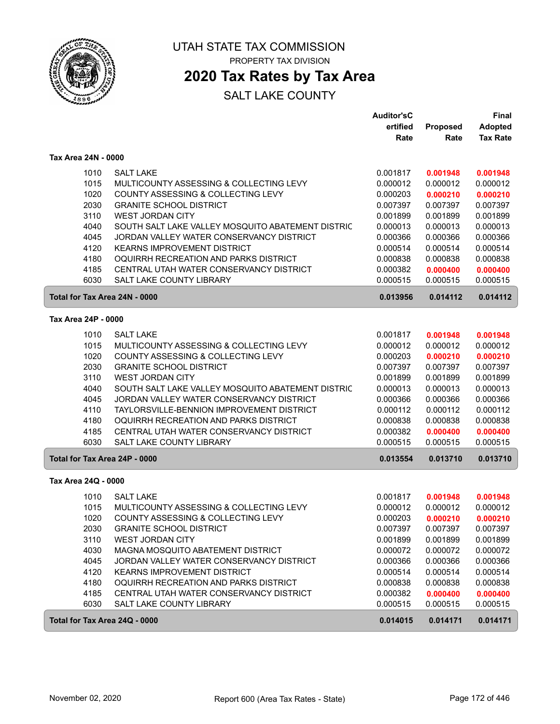

## **2020 Tax Rates by Tax Area**

|                               |                                                   | <b>Auditor'sC</b> |          | Final           |
|-------------------------------|---------------------------------------------------|-------------------|----------|-----------------|
|                               |                                                   | ertified          | Proposed | <b>Adopted</b>  |
|                               |                                                   | Rate              | Rate     | <b>Tax Rate</b> |
| Tax Area 24N - 0000           |                                                   |                   |          |                 |
| 1010                          | <b>SALT LAKE</b>                                  | 0.001817          | 0.001948 | 0.001948        |
| 1015                          | MULTICOUNTY ASSESSING & COLLECTING LEVY           | 0.000012          | 0.000012 | 0.000012        |
| 1020                          | COUNTY ASSESSING & COLLECTING LEVY                | 0.000203          | 0.000210 | 0.000210        |
| 2030                          | <b>GRANITE SCHOOL DISTRICT</b>                    | 0.007397          | 0.007397 | 0.007397        |
| 3110                          | <b>WEST JORDAN CITY</b>                           | 0.001899          | 0.001899 | 0.001899        |
| 4040                          | SOUTH SALT LAKE VALLEY MOSQUITO ABATEMENT DISTRIC | 0.000013          | 0.000013 | 0.000013        |
| 4045                          | JORDAN VALLEY WATER CONSERVANCY DISTRICT          | 0.000366          | 0.000366 | 0.000366        |
| 4120                          | <b>KEARNS IMPROVEMENT DISTRICT</b>                | 0.000514          | 0.000514 | 0.000514        |
| 4180                          | OQUIRRH RECREATION AND PARKS DISTRICT             | 0.000838          | 0.000838 | 0.000838        |
| 4185                          | CENTRAL UTAH WATER CONSERVANCY DISTRICT           | 0.000382          | 0.000400 | 0.000400        |
| 6030                          | SALT LAKE COUNTY LIBRARY                          | 0.000515          | 0.000515 | 0.000515        |
| Total for Tax Area 24N - 0000 |                                                   | 0.013956          | 0.014112 | 0.014112        |
| Tax Area 24P - 0000           |                                                   |                   |          |                 |
| 1010                          | <b>SALT LAKE</b>                                  | 0.001817          | 0.001948 | 0.001948        |
| 1015                          | MULTICOUNTY ASSESSING & COLLECTING LEVY           | 0.000012          | 0.000012 | 0.000012        |
| 1020                          | COUNTY ASSESSING & COLLECTING LEVY                | 0.000203          | 0.000210 | 0.000210        |
| 2030                          | <b>GRANITE SCHOOL DISTRICT</b>                    | 0.007397          | 0.007397 | 0.007397        |
| 3110                          | <b>WEST JORDAN CITY</b>                           | 0.001899          | 0.001899 | 0.001899        |
| 4040                          | SOUTH SALT LAKE VALLEY MOSQUITO ABATEMENT DISTRIC | 0.000013          | 0.000013 | 0.000013        |
| 4045                          | JORDAN VALLEY WATER CONSERVANCY DISTRICT          | 0.000366          | 0.000366 | 0.000366        |
| 4110                          | TAYLORSVILLE-BENNION IMPROVEMENT DISTRICT         | 0.000112          | 0.000112 | 0.000112        |
| 4180                          | OQUIRRH RECREATION AND PARKS DISTRICT             | 0.000838          | 0.000838 | 0.000838        |
| 4185                          | CENTRAL UTAH WATER CONSERVANCY DISTRICT           | 0.000382          | 0.000400 | 0.000400        |
| 6030                          | SALT LAKE COUNTY LIBRARY                          | 0.000515          | 0.000515 | 0.000515        |
| Total for Tax Area 24P - 0000 |                                                   | 0.013554          | 0.013710 | 0.013710        |
| Tax Area 24Q - 0000           |                                                   |                   |          |                 |
| 1010                          | <b>SALT LAKE</b>                                  | 0.001817          | 0.001948 | 0.001948        |
| 1015                          | MULTICOUNTY ASSESSING & COLLECTING LEVY           | 0.000012          | 0.000012 | 0.000012        |
| 1020                          | COUNTY ASSESSING & COLLECTING LEVY                | 0.000203          | 0.000210 | 0.000210        |
| 2030                          | <b>GRANITE SCHOOL DISTRICT</b>                    | 0.007397          | 0.007397 | 0.007397        |
| 3110                          | <b>WEST JORDAN CITY</b>                           | 0.001899          | 0.001899 | 0.001899        |
| 4030                          | MAGNA MOSQUITO ABATEMENT DISTRICT                 | 0.000072          | 0.000072 | 0.000072        |
| 4045                          | JORDAN VALLEY WATER CONSERVANCY DISTRICT          | 0.000366          | 0.000366 | 0.000366        |
| 4120                          | KEARNS IMPROVEMENT DISTRICT                       | 0.000514          | 0.000514 | 0.000514        |
| 4180                          | OQUIRRH RECREATION AND PARKS DISTRICT             | 0.000838          | 0.000838 | 0.000838        |
| 4185                          | CENTRAL UTAH WATER CONSERVANCY DISTRICT           | 0.000382          | 0.000400 | 0.000400        |
| 6030                          | SALT LAKE COUNTY LIBRARY                          | 0.000515          | 0.000515 | 0.000515        |
| Total for Tax Area 24Q - 0000 |                                                   | 0.014015          | 0.014171 | 0.014171        |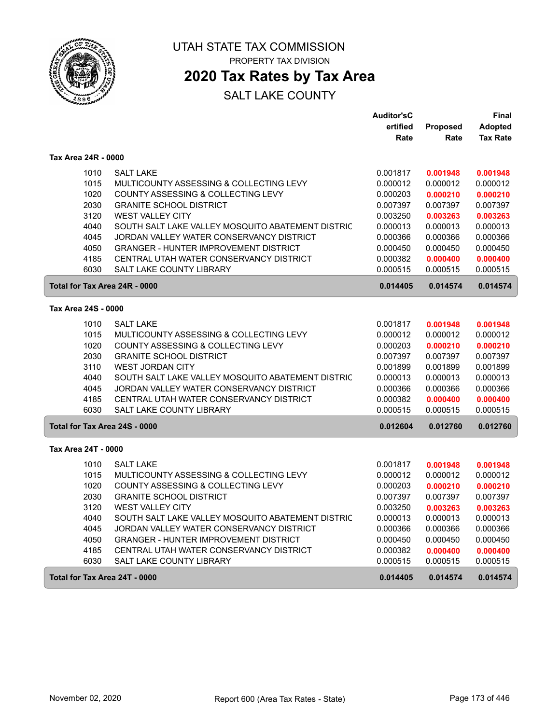

## **2020 Tax Rates by Tax Area**

|                               |                                                   | <b>Auditor'sC</b> |                 | Final           |
|-------------------------------|---------------------------------------------------|-------------------|-----------------|-----------------|
|                               |                                                   | ertified          | <b>Proposed</b> | <b>Adopted</b>  |
|                               |                                                   | Rate              | Rate            | <b>Tax Rate</b> |
| Tax Area 24R - 0000           |                                                   |                   |                 |                 |
| 1010                          | <b>SALT LAKE</b>                                  | 0.001817          | 0.001948        | 0.001948        |
| 1015                          | MULTICOUNTY ASSESSING & COLLECTING LEVY           | 0.000012          | 0.000012        | 0.000012        |
| 1020                          | COUNTY ASSESSING & COLLECTING LEVY                | 0.000203          | 0.000210        | 0.000210        |
| 2030                          | <b>GRANITE SCHOOL DISTRICT</b>                    | 0.007397          | 0.007397        | 0.007397        |
| 3120                          | <b>WEST VALLEY CITY</b>                           | 0.003250          | 0.003263        | 0.003263        |
| 4040                          | SOUTH SALT LAKE VALLEY MOSQUITO ABATEMENT DISTRIC | 0.000013          | 0.000013        | 0.000013        |
| 4045                          | JORDAN VALLEY WATER CONSERVANCY DISTRICT          | 0.000366          | 0.000366        | 0.000366        |
| 4050                          | <b>GRANGER - HUNTER IMPROVEMENT DISTRICT</b>      | 0.000450          | 0.000450        | 0.000450        |
| 4185                          | CENTRAL UTAH WATER CONSERVANCY DISTRICT           | 0.000382          | 0.000400        | 0.000400        |
| 6030                          | <b>SALT LAKE COUNTY LIBRARY</b>                   | 0.000515          | 0.000515        | 0.000515        |
| Total for Tax Area 24R - 0000 |                                                   | 0.014405          | 0.014574        | 0.014574        |
| Tax Area 24S - 0000           |                                                   |                   |                 |                 |
| 1010                          | <b>SALT LAKE</b>                                  | 0.001817          | 0.001948        | 0.001948        |
| 1015                          | MULTICOUNTY ASSESSING & COLLECTING LEVY           | 0.000012          | 0.000012        | 0.000012        |
| 1020                          | COUNTY ASSESSING & COLLECTING LEVY                | 0.000203          | 0.000210        | 0.000210        |
| 2030                          | <b>GRANITE SCHOOL DISTRICT</b>                    | 0.007397          | 0.007397        | 0.007397        |
| 3110                          | <b>WEST JORDAN CITY</b>                           | 0.001899          | 0.001899        | 0.001899        |
| 4040                          | SOUTH SALT LAKE VALLEY MOSQUITO ABATEMENT DISTRIC | 0.000013          | 0.000013        | 0.000013        |
| 4045                          | JORDAN VALLEY WATER CONSERVANCY DISTRICT          | 0.000366          | 0.000366        | 0.000366        |
| 4185                          | CENTRAL UTAH WATER CONSERVANCY DISTRICT           | 0.000382          | 0.000400        | 0.000400        |
| 6030                          | <b>SALT LAKE COUNTY LIBRARY</b>                   | 0.000515          | 0.000515        | 0.000515        |
| Total for Tax Area 24S - 0000 |                                                   | 0.012604          | 0.012760        | 0.012760        |
| Tax Area 24T - 0000           |                                                   |                   |                 |                 |
| 1010                          | <b>SALT LAKE</b>                                  | 0.001817          | 0.001948        | 0.001948        |
| 1015                          | MULTICOUNTY ASSESSING & COLLECTING LEVY           | 0.000012          | 0.000012        | 0.000012        |
| 1020                          | COUNTY ASSESSING & COLLECTING LEVY                | 0.000203          | 0.000210        | 0.000210        |
| 2030                          | <b>GRANITE SCHOOL DISTRICT</b>                    | 0.007397          | 0.007397        | 0.007397        |
| 3120                          | <b>WEST VALLEY CITY</b>                           | 0.003250          | 0.003263        | 0.003263        |
| 4040                          | SOUTH SALT LAKE VALLEY MOSQUITO ABATEMENT DISTRIC | 0.000013          | 0.000013        | 0.000013        |
| 4045                          | JORDAN VALLEY WATER CONSERVANCY DISTRICT          | 0.000366          | 0.000366        | 0.000366        |
| 4050                          | <b>GRANGER - HUNTER IMPROVEMENT DISTRICT</b>      | 0.000450          | 0.000450        | 0.000450        |
| 4185                          | CENTRAL UTAH WATER CONSERVANCY DISTRICT           | 0.000382          | 0.000400        | 0.000400        |
| 6030                          | SALT LAKE COUNTY LIBRARY                          | 0.000515          | 0.000515        | 0.000515        |
| Total for Tax Area 24T - 0000 |                                                   | 0.014405          | 0.014574        | 0.014574        |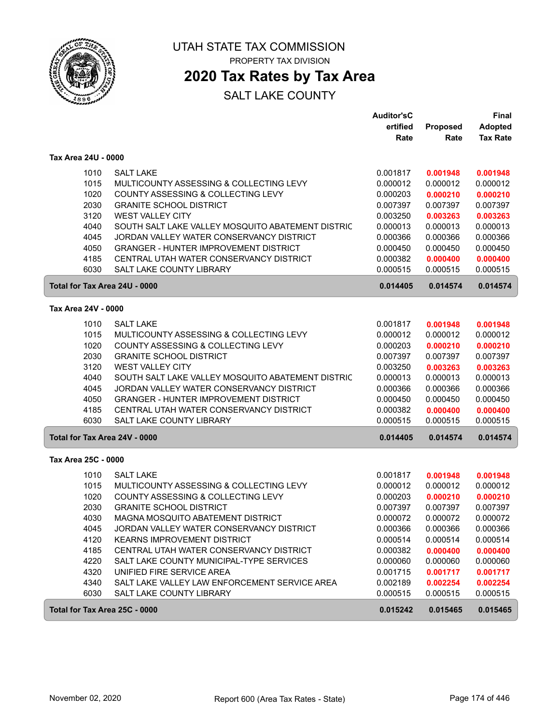

## **2020 Tax Rates by Tax Area**

|                               |                                                   | <b>Auditor'sC</b><br>ertified | Proposed | Final<br><b>Adopted</b> |
|-------------------------------|---------------------------------------------------|-------------------------------|----------|-------------------------|
|                               |                                                   | Rate                          | Rate     | <b>Tax Rate</b>         |
| Tax Area 24U - 0000           |                                                   |                               |          |                         |
| 1010                          | <b>SALT LAKE</b>                                  | 0.001817                      | 0.001948 | 0.001948                |
| 1015                          | MULTICOUNTY ASSESSING & COLLECTING LEVY           | 0.000012                      | 0.000012 | 0.000012                |
| 1020                          | COUNTY ASSESSING & COLLECTING LEVY                | 0.000203                      | 0.000210 | 0.000210                |
| 2030                          | <b>GRANITE SCHOOL DISTRICT</b>                    | 0.007397                      | 0.007397 | 0.007397                |
| 3120                          | <b>WEST VALLEY CITY</b>                           | 0.003250                      | 0.003263 | 0.003263                |
| 4040                          | SOUTH SALT LAKE VALLEY MOSQUITO ABATEMENT DISTRIC | 0.000013                      | 0.000013 | 0.000013                |
| 4045                          | JORDAN VALLEY WATER CONSERVANCY DISTRICT          | 0.000366                      | 0.000366 | 0.000366                |
| 4050                          | <b>GRANGER - HUNTER IMPROVEMENT DISTRICT</b>      | 0.000450                      | 0.000450 | 0.000450                |
| 4185                          | CENTRAL UTAH WATER CONSERVANCY DISTRICT           | 0.000382                      | 0.000400 | 0.000400                |
| 6030                          | SALT LAKE COUNTY LIBRARY                          | 0.000515                      | 0.000515 | 0.000515                |
| Total for Tax Area 24U - 0000 |                                                   | 0.014405                      | 0.014574 | 0.014574                |
| Tax Area 24V - 0000           |                                                   |                               |          |                         |
| 1010                          | <b>SALT LAKE</b>                                  | 0.001817                      | 0.001948 | 0.001948                |
| 1015                          | MULTICOUNTY ASSESSING & COLLECTING LEVY           | 0.000012                      | 0.000012 | 0.000012                |
| 1020                          | COUNTY ASSESSING & COLLECTING LEVY                | 0.000203                      | 0.000210 | 0.000210                |
| 2030                          | <b>GRANITE SCHOOL DISTRICT</b>                    | 0.007397                      | 0.007397 | 0.007397                |
| 3120                          | <b>WEST VALLEY CITY</b>                           | 0.003250                      | 0.003263 | 0.003263                |
| 4040                          | SOUTH SALT LAKE VALLEY MOSQUITO ABATEMENT DISTRIC | 0.000013                      | 0.000013 | 0.000013                |
| 4045                          | JORDAN VALLEY WATER CONSERVANCY DISTRICT          | 0.000366                      | 0.000366 | 0.000366                |
| 4050                          | <b>GRANGER - HUNTER IMPROVEMENT DISTRICT</b>      | 0.000450                      | 0.000450 | 0.000450                |
| 4185                          | CENTRAL UTAH WATER CONSERVANCY DISTRICT           | 0.000382                      | 0.000400 | 0.000400                |
| 6030                          | SALT LAKE COUNTY LIBRARY                          | 0.000515                      | 0.000515 | 0.000515                |
| Total for Tax Area 24V - 0000 |                                                   | 0.014405                      | 0.014574 | 0.014574                |
| Tax Area 25C - 0000           |                                                   |                               |          |                         |
| 1010                          | <b>SALT LAKE</b>                                  | 0.001817                      | 0.001948 | 0.001948                |
| 1015                          | MULTICOUNTY ASSESSING & COLLECTING LEVY           | 0.000012                      | 0.000012 | 0.000012                |
| 1020                          | COUNTY ASSESSING & COLLECTING LEVY                | 0.000203                      | 0.000210 | 0.000210                |
| 2030                          | <b>GRANITE SCHOOL DISTRICT</b>                    | 0.007397                      | 0.007397 | 0.007397                |
| 4030                          | MAGNA MOSQUITO ABATEMENT DISTRICT                 | 0.000072                      | 0.000072 | 0.000072                |
| 4045                          | JORDAN VALLEY WATER CONSERVANCY DISTRICT          | 0.000366                      | 0.000366 | 0.000366                |
| 4120                          | <b>KEARNS IMPROVEMENT DISTRICT</b>                | 0.000514                      | 0.000514 | 0.000514                |
| 4185                          | CENTRAL UTAH WATER CONSERVANCY DISTRICT           | 0.000382                      | 0.000400 | 0.000400                |
| 4220                          | SALT LAKE COUNTY MUNICIPAL-TYPE SERVICES          | 0.000060                      | 0.000060 | 0.000060                |
| 4320                          | UNIFIED FIRE SERVICE AREA                         | 0.001715                      | 0.001717 | 0.001717                |
| 4340                          | SALT LAKE VALLEY LAW ENFORCEMENT SERVICE AREA     | 0.002189                      | 0.002254 | 0.002254                |
| 6030                          | SALT LAKE COUNTY LIBRARY                          | 0.000515                      | 0.000515 | 0.000515                |
| Total for Tax Area 25C - 0000 |                                                   | 0.015242                      | 0.015465 | 0.015465                |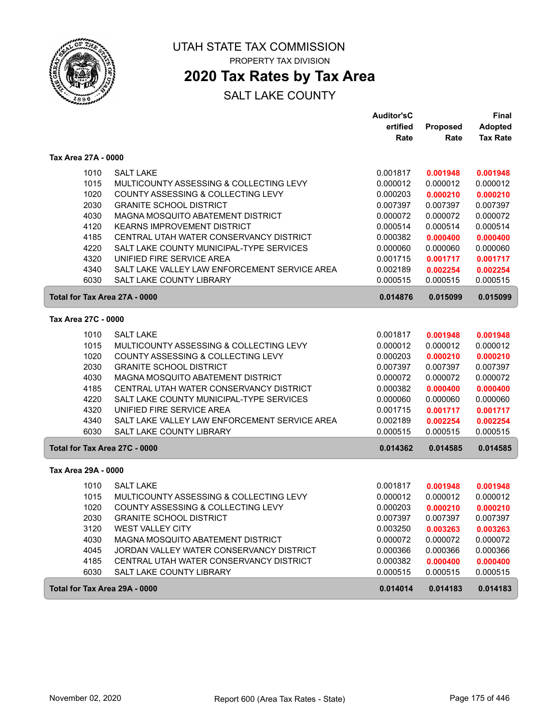

# **2020 Tax Rates by Tax Area**

|                     |                                               | <b>Auditor'sC</b> |          | Final           |
|---------------------|-----------------------------------------------|-------------------|----------|-----------------|
|                     |                                               | ertified          | Proposed | <b>Adopted</b>  |
|                     |                                               | Rate              | Rate     | <b>Tax Rate</b> |
| Tax Area 27A - 0000 |                                               |                   |          |                 |
| 1010                | <b>SALT LAKE</b>                              | 0.001817          | 0.001948 | 0.001948        |
| 1015                | MULTICOUNTY ASSESSING & COLLECTING LEVY       | 0.000012          | 0.000012 | 0.000012        |
| 1020                | COUNTY ASSESSING & COLLECTING LEVY            | 0.000203          | 0.000210 | 0.000210        |
| 2030                | <b>GRANITE SCHOOL DISTRICT</b>                | 0.007397          | 0.007397 | 0.007397        |
| 4030                | MAGNA MOSQUITO ABATEMENT DISTRICT             | 0.000072          | 0.000072 | 0.000072        |
| 4120                | <b>KEARNS IMPROVEMENT DISTRICT</b>            | 0.000514          | 0.000514 | 0.000514        |
| 4185                | CENTRAL UTAH WATER CONSERVANCY DISTRICT       | 0.000382          | 0.000400 | 0.000400        |
| 4220                | SALT LAKE COUNTY MUNICIPAL-TYPE SERVICES      | 0.000060          | 0.000060 | 0.000060        |
| 4320                | UNIFIED FIRE SERVICE AREA                     | 0.001715          | 0.001717 | 0.001717        |
| 4340                | SALT LAKE VALLEY LAW ENFORCEMENT SERVICE AREA | 0.002189          | 0.002254 | 0.002254        |
| 6030                | SALT LAKE COUNTY LIBRARY                      | 0.000515          | 0.000515 | 0.000515        |
|                     | Total for Tax Area 27A - 0000                 | 0.014876          | 0.015099 | 0.015099        |
| Tax Area 27C - 0000 |                                               |                   |          |                 |
| 1010                | <b>SALT LAKE</b>                              | 0.001817          | 0.001948 | 0.001948        |
| 1015                | MULTICOUNTY ASSESSING & COLLECTING LEVY       | 0.000012          | 0.000012 | 0.000012        |
| 1020                | COUNTY ASSESSING & COLLECTING LEVY            | 0.000203          | 0.000210 | 0.000210        |
| 2030                | <b>GRANITE SCHOOL DISTRICT</b>                | 0.007397          | 0.007397 | 0.007397        |
| 4030                | MAGNA MOSQUITO ABATEMENT DISTRICT             | 0.000072          | 0.000072 | 0.000072        |
| 4185                | CENTRAL UTAH WATER CONSERVANCY DISTRICT       | 0.000382          | 0.000400 | 0.000400        |
| 4220                | SALT LAKE COUNTY MUNICIPAL-TYPE SERVICES      | 0.000060          | 0.000060 | 0.000060        |
| 4320                | UNIFIED FIRE SERVICE AREA                     | 0.001715          | 0.001717 | 0.001717        |
| 4340                | SALT LAKE VALLEY LAW ENFORCEMENT SERVICE AREA | 0.002189          | 0.002254 | 0.002254        |
| 6030                | <b>SALT LAKE COUNTY LIBRARY</b>               | 0.000515          | 0.000515 | 0.000515        |
|                     | Total for Tax Area 27C - 0000                 | 0.014362          | 0.014585 | 0.014585        |
| Tax Area 29A - 0000 |                                               |                   |          |                 |
| 1010                | <b>SALT LAKE</b>                              | 0.001817          | 0.001948 | 0.001948        |
| 1015                | MULTICOUNTY ASSESSING & COLLECTING LEVY       | 0.000012          | 0.000012 | 0.000012        |
| 1020                | COUNTY ASSESSING & COLLECTING LEVY            | 0.000203          | 0.000210 | 0.000210        |
| 2030                | <b>GRANITE SCHOOL DISTRICT</b>                | 0.007397          | 0.007397 | 0.007397        |
| 3120                | <b>WEST VALLEY CITY</b>                       | 0.003250          | 0.003263 | 0.003263        |
| 4030                | MAGNA MOSQUITO ABATEMENT DISTRICT             | 0.000072          | 0.000072 | 0.000072        |
| 4045                | JORDAN VALLEY WATER CONSERVANCY DISTRICT      | 0.000366          | 0.000366 | 0.000366        |
| 4185                | CENTRAL UTAH WATER CONSERVANCY DISTRICT       | 0.000382          | 0.000400 | 0.000400        |
| 6030                | SALT LAKE COUNTY LIBRARY                      | 0.000515          | 0.000515 | 0.000515        |
|                     | Total for Tax Area 29A - 0000                 | 0.014014          | 0.014183 | 0.014183        |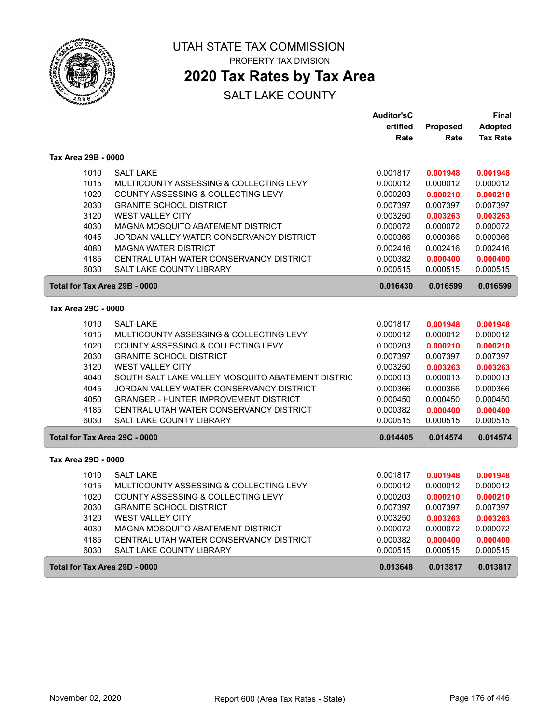

## **2020 Tax Rates by Tax Area**

|                               |                                                   | <b>Auditor'sC</b> |          | Final           |
|-------------------------------|---------------------------------------------------|-------------------|----------|-----------------|
|                               |                                                   | ertified          | Proposed | <b>Adopted</b>  |
|                               |                                                   | Rate              | Rate     | <b>Tax Rate</b> |
| Tax Area 29B - 0000           |                                                   |                   |          |                 |
| 1010                          | <b>SALT LAKE</b>                                  | 0.001817          | 0.001948 | 0.001948        |
| 1015                          | MULTICOUNTY ASSESSING & COLLECTING LEVY           | 0.000012          | 0.000012 | 0.000012        |
| 1020                          | COUNTY ASSESSING & COLLECTING LEVY                | 0.000203          | 0.000210 | 0.000210        |
| 2030                          | <b>GRANITE SCHOOL DISTRICT</b>                    | 0.007397          | 0.007397 | 0.007397        |
| 3120                          | <b>WEST VALLEY CITY</b>                           | 0.003250          | 0.003263 | 0.003263        |
| 4030                          | <b>MAGNA MOSQUITO ABATEMENT DISTRICT</b>          | 0.000072          | 0.000072 | 0.000072        |
| 4045                          | JORDAN VALLEY WATER CONSERVANCY DISTRICT          | 0.000366          | 0.000366 | 0.000366        |
| 4080                          | <b>MAGNA WATER DISTRICT</b>                       | 0.002416          | 0.002416 | 0.002416        |
| 4185                          | CENTRAL UTAH WATER CONSERVANCY DISTRICT           | 0.000382          | 0.000400 | 0.000400        |
| 6030                          | SALT LAKE COUNTY LIBRARY                          | 0.000515          | 0.000515 | 0.000515        |
| Total for Tax Area 29B - 0000 |                                                   | 0.016430          | 0.016599 | 0.016599        |
| Tax Area 29C - 0000           |                                                   |                   |          |                 |
| 1010                          | <b>SALT LAKE</b>                                  | 0.001817          | 0.001948 | 0.001948        |
| 1015                          | MULTICOUNTY ASSESSING & COLLECTING LEVY           | 0.000012          | 0.000012 | 0.000012        |
| 1020                          | COUNTY ASSESSING & COLLECTING LEVY                | 0.000203          | 0.000210 | 0.000210        |
| 2030                          | <b>GRANITE SCHOOL DISTRICT</b>                    | 0.007397          | 0.007397 | 0.007397        |
| 3120                          | <b>WEST VALLEY CITY</b>                           | 0.003250          | 0.003263 | 0.003263        |
| 4040                          | SOUTH SALT LAKE VALLEY MOSQUITO ABATEMENT DISTRIC | 0.000013          | 0.000013 | 0.000013        |
| 4045                          | JORDAN VALLEY WATER CONSERVANCY DISTRICT          | 0.000366          | 0.000366 | 0.000366        |
| 4050                          | <b>GRANGER - HUNTER IMPROVEMENT DISTRICT</b>      | 0.000450          | 0.000450 | 0.000450        |
| 4185                          | CENTRAL UTAH WATER CONSERVANCY DISTRICT           | 0.000382          | 0.000400 | 0.000400        |
| 6030                          | <b>SALT LAKE COUNTY LIBRARY</b>                   | 0.000515          | 0.000515 | 0.000515        |
| Total for Tax Area 29C - 0000 |                                                   | 0.014405          | 0.014574 | 0.014574        |
| Tax Area 29D - 0000           |                                                   |                   |          |                 |
| 1010                          | <b>SALT LAKE</b>                                  | 0.001817          | 0.001948 | 0.001948        |
| 1015                          | MULTICOUNTY ASSESSING & COLLECTING LEVY           | 0.000012          | 0.000012 | 0.000012        |
| 1020                          | COUNTY ASSESSING & COLLECTING LEVY                | 0.000203          | 0.000210 | 0.000210        |
| 2030                          | <b>GRANITE SCHOOL DISTRICT</b>                    | 0.007397          | 0.007397 | 0.007397        |
| 3120                          | <b>WEST VALLEY CITY</b>                           | 0.003250          | 0.003263 | 0.003263        |
| 4030                          | <b>MAGNA MOSQUITO ABATEMENT DISTRICT</b>          | 0.000072          | 0.000072 | 0.000072        |
| 4185                          | CENTRAL UTAH WATER CONSERVANCY DISTRICT           | 0.000382          | 0.000400 | 0.000400        |
| 6030                          | <b>SALT LAKE COUNTY LIBRARY</b>                   | 0.000515          | 0.000515 | 0.000515        |
| Total for Tax Area 29D - 0000 |                                                   | 0.013648          | 0.013817 | 0.013817        |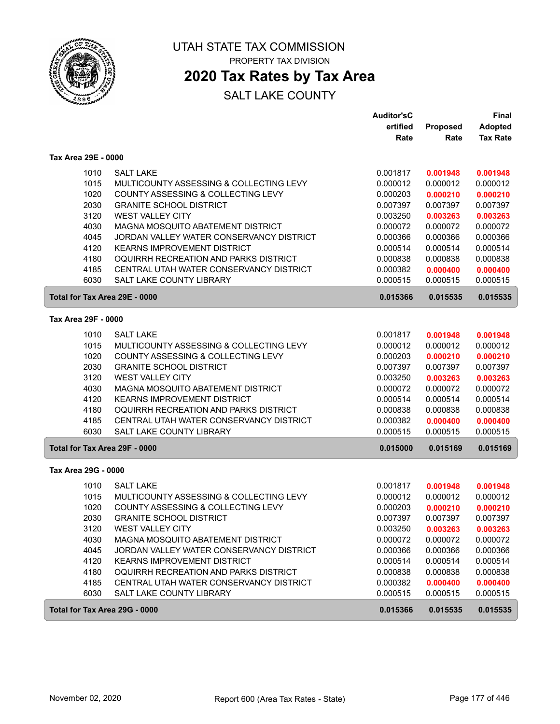

# **2020 Tax Rates by Tax Area**

|                               |                                                              | <b>Auditor'sC</b>    |                      | <b>Final</b>         |
|-------------------------------|--------------------------------------------------------------|----------------------|----------------------|----------------------|
|                               |                                                              | ertified             | Proposed             | <b>Adopted</b>       |
|                               |                                                              | Rate                 | Rate                 | <b>Tax Rate</b>      |
| Tax Area 29E - 0000           |                                                              |                      |                      |                      |
| 1010                          | <b>SALT LAKE</b>                                             | 0.001817             | 0.001948             | 0.001948             |
| 1015                          | MULTICOUNTY ASSESSING & COLLECTING LEVY                      | 0.000012             | 0.000012             | 0.000012             |
| 1020                          | COUNTY ASSESSING & COLLECTING LEVY                           | 0.000203             | 0.000210             | 0.000210             |
| 2030                          | <b>GRANITE SCHOOL DISTRICT</b>                               | 0.007397             | 0.007397             | 0.007397             |
| 3120                          | <b>WEST VALLEY CITY</b>                                      | 0.003250             | 0.003263             | 0.003263             |
| 4030                          | MAGNA MOSQUITO ABATEMENT DISTRICT                            | 0.000072             | 0.000072             | 0.000072             |
| 4045                          | JORDAN VALLEY WATER CONSERVANCY DISTRICT                     | 0.000366             | 0.000366             | 0.000366             |
| 4120                          | <b>KEARNS IMPROVEMENT DISTRICT</b>                           | 0.000514             | 0.000514             | 0.000514             |
| 4180                          | OQUIRRH RECREATION AND PARKS DISTRICT                        | 0.000838             | 0.000838             | 0.000838             |
| 4185                          | CENTRAL UTAH WATER CONSERVANCY DISTRICT                      | 0.000382             | 0.000400             | 0.000400             |
| 6030                          | <b>SALT LAKE COUNTY LIBRARY</b>                              | 0.000515             | 0.000515             | 0.000515             |
| Total for Tax Area 29E - 0000 |                                                              | 0.015366             | 0.015535             | 0.015535             |
| Tax Area 29F - 0000           |                                                              |                      |                      |                      |
| 1010                          | <b>SALT LAKE</b>                                             | 0.001817             |                      |                      |
| 1015                          | MULTICOUNTY ASSESSING & COLLECTING LEVY                      | 0.000012             | 0.001948<br>0.000012 | 0.001948<br>0.000012 |
| 1020                          | COUNTY ASSESSING & COLLECTING LEVY                           | 0.000203             | 0.000210             | 0.000210             |
| 2030                          | <b>GRANITE SCHOOL DISTRICT</b>                               | 0.007397             | 0.007397             | 0.007397             |
| 3120                          | <b>WEST VALLEY CITY</b>                                      | 0.003250             | 0.003263             | 0.003263             |
| 4030                          | MAGNA MOSQUITO ABATEMENT DISTRICT                            | 0.000072             | 0.000072             | 0.000072             |
| 4120                          | <b>KEARNS IMPROVEMENT DISTRICT</b>                           | 0.000514             | 0.000514             | 0.000514             |
| 4180                          | OQUIRRH RECREATION AND PARKS DISTRICT                        | 0.000838             | 0.000838             | 0.000838             |
| 4185                          | CENTRAL UTAH WATER CONSERVANCY DISTRICT                      | 0.000382             | 0.000400             | 0.000400             |
| 6030                          | SALT LAKE COUNTY LIBRARY                                     | 0.000515             | 0.000515             | 0.000515             |
| Total for Tax Area 29F - 0000 |                                                              | 0.015000             | 0.015169             | 0.015169             |
| Tax Area 29G - 0000           |                                                              |                      |                      |                      |
|                               |                                                              |                      |                      |                      |
| 1010                          | <b>SALT LAKE</b>                                             | 0.001817             | 0.001948             | 0.001948             |
| 1015                          | MULTICOUNTY ASSESSING & COLLECTING LEVY                      | 0.000012             | 0.000012             | 0.000012             |
| 1020                          | COUNTY ASSESSING & COLLECTING LEVY                           | 0.000203             | 0.000210             | 0.000210             |
| 2030                          | <b>GRANITE SCHOOL DISTRICT</b>                               | 0.007397             | 0.007397             | 0.007397             |
| 3120                          | <b>WEST VALLEY CITY</b><br>MAGNA MOSQUITO ABATEMENT DISTRICT | 0.003250             | 0.003263             | 0.003263             |
| 4030                          | JORDAN VALLEY WATER CONSERVANCY DISTRICT                     | 0.000072             | 0.000072             | 0.000072             |
| 4045<br>4120                  | KEARNS IMPROVEMENT DISTRICT                                  | 0.000366<br>0.000514 | 0.000366<br>0.000514 | 0.000366<br>0.000514 |
| 4180                          | OQUIRRH RECREATION AND PARKS DISTRICT                        | 0.000838             | 0.000838             | 0.000838             |
| 4185                          | CENTRAL UTAH WATER CONSERVANCY DISTRICT                      | 0.000382             | 0.000400             | 0.000400             |
| 6030                          | SALT LAKE COUNTY LIBRARY                                     | 0.000515             | 0.000515             | 0.000515             |
|                               |                                                              |                      |                      |                      |
| Total for Tax Area 29G - 0000 |                                                              | 0.015366             | 0.015535             | 0.015535             |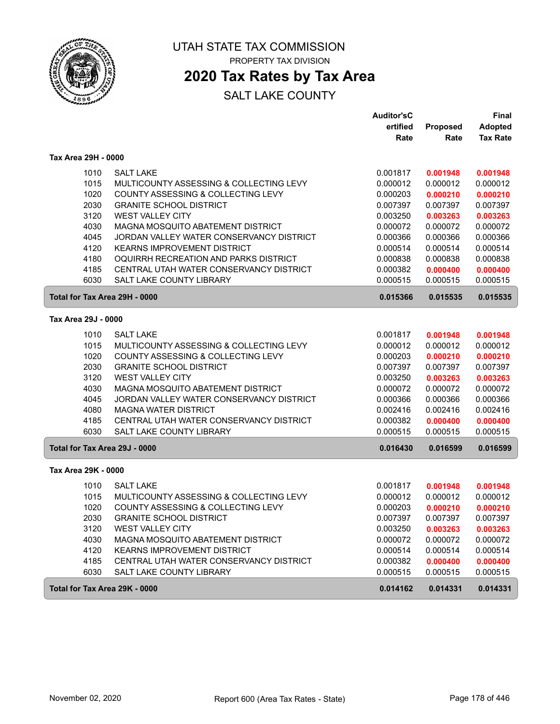

# **2020 Tax Rates by Tax Area**

|                               |                                          | <b>Auditor'sC</b> |          | <b>Final</b>    |
|-------------------------------|------------------------------------------|-------------------|----------|-----------------|
|                               |                                          | ertified          | Proposed | <b>Adopted</b>  |
|                               |                                          | Rate              | Rate     | <b>Tax Rate</b> |
| Tax Area 29H - 0000           |                                          |                   |          |                 |
| 1010                          | <b>SALT LAKE</b>                         | 0.001817          | 0.001948 | 0.001948        |
| 1015                          | MULTICOUNTY ASSESSING & COLLECTING LEVY  | 0.000012          | 0.000012 | 0.000012        |
| 1020                          | COUNTY ASSESSING & COLLECTING LEVY       | 0.000203          | 0.000210 | 0.000210        |
| 2030                          | <b>GRANITE SCHOOL DISTRICT</b>           | 0.007397          | 0.007397 | 0.007397        |
| 3120                          | <b>WEST VALLEY CITY</b>                  | 0.003250          | 0.003263 | 0.003263        |
| 4030                          | MAGNA MOSQUITO ABATEMENT DISTRICT        | 0.000072          | 0.000072 | 0.000072        |
| 4045                          | JORDAN VALLEY WATER CONSERVANCY DISTRICT | 0.000366          | 0.000366 | 0.000366        |
| 4120                          | <b>KEARNS IMPROVEMENT DISTRICT</b>       | 0.000514          | 0.000514 | 0.000514        |
| 4180                          | OQUIRRH RECREATION AND PARKS DISTRICT    | 0.000838          | 0.000838 | 0.000838        |
| 4185                          | CENTRAL UTAH WATER CONSERVANCY DISTRICT  | 0.000382          | 0.000400 | 0.000400        |
| 6030                          | SALT LAKE COUNTY LIBRARY                 | 0.000515          | 0.000515 | 0.000515        |
| Total for Tax Area 29H - 0000 |                                          | 0.015366          | 0.015535 | 0.015535        |
| Tax Area 29J - 0000           |                                          |                   |          |                 |
| 1010                          | <b>SALT LAKE</b>                         | 0.001817          | 0.001948 | 0.001948        |
| 1015                          | MULTICOUNTY ASSESSING & COLLECTING LEVY  | 0.000012          | 0.000012 | 0.000012        |
| 1020                          | COUNTY ASSESSING & COLLECTING LEVY       | 0.000203          | 0.000210 | 0.000210        |
| 2030                          | <b>GRANITE SCHOOL DISTRICT</b>           | 0.007397          | 0.007397 | 0.007397        |
| 3120                          | <b>WEST VALLEY CITY</b>                  | 0.003250          | 0.003263 | 0.003263        |
| 4030                          | MAGNA MOSQUITO ABATEMENT DISTRICT        | 0.000072          | 0.000072 | 0.000072        |
| 4045                          | JORDAN VALLEY WATER CONSERVANCY DISTRICT | 0.000366          | 0.000366 | 0.000366        |
| 4080                          | <b>MAGNA WATER DISTRICT</b>              | 0.002416          | 0.002416 | 0.002416        |
| 4185                          | CENTRAL UTAH WATER CONSERVANCY DISTRICT  | 0.000382          | 0.000400 | 0.000400        |
| 6030                          | SALT LAKE COUNTY LIBRARY                 | 0.000515          | 0.000515 | 0.000515        |
| Total for Tax Area 29J - 0000 |                                          | 0.016430          | 0.016599 | 0.016599        |
| Tax Area 29K - 0000           |                                          |                   |          |                 |
| 1010                          | <b>SALT LAKE</b>                         | 0.001817          | 0.001948 | 0.001948        |
| 1015                          | MULTICOUNTY ASSESSING & COLLECTING LEVY  | 0.000012          | 0.000012 | 0.000012        |
| 1020                          | COUNTY ASSESSING & COLLECTING LEVY       | 0.000203          | 0.000210 | 0.000210        |
| 2030                          | <b>GRANITE SCHOOL DISTRICT</b>           | 0.007397          | 0.007397 | 0.007397        |
| 3120                          | <b>WEST VALLEY CITY</b>                  | 0.003250          | 0.003263 | 0.003263        |
| 4030                          | MAGNA MOSQUITO ABATEMENT DISTRICT        | 0.000072          | 0.000072 | 0.000072        |
| 4120                          | <b>KEARNS IMPROVEMENT DISTRICT</b>       | 0.000514          | 0.000514 | 0.000514        |
| 4185                          | CENTRAL UTAH WATER CONSERVANCY DISTRICT  | 0.000382          | 0.000400 | 0.000400        |
| 6030                          | SALT LAKE COUNTY LIBRARY                 | 0.000515          | 0.000515 | 0.000515        |
| Total for Tax Area 29K - 0000 |                                          | 0.014162          | 0.014331 | 0.014331        |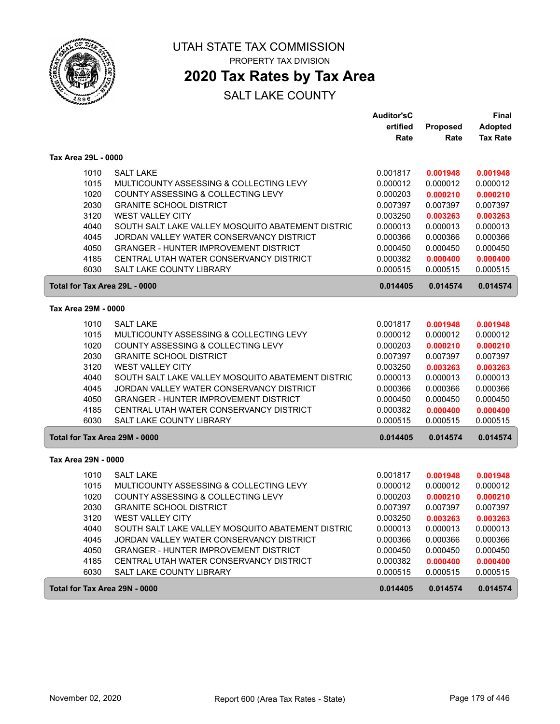

# **2020 Tax Rates by Tax Area**

|                               |                                                   | <b>Auditor'sC</b> |          | Final           |
|-------------------------------|---------------------------------------------------|-------------------|----------|-----------------|
|                               |                                                   | ertified          | Proposed | <b>Adopted</b>  |
|                               |                                                   | Rate              | Rate     | <b>Tax Rate</b> |
| Tax Area 29L - 0000           |                                                   |                   |          |                 |
| 1010                          | <b>SALT LAKE</b>                                  | 0.001817          | 0.001948 | 0.001948        |
| 1015                          | MULTICOUNTY ASSESSING & COLLECTING LEVY           | 0.000012          | 0.000012 | 0.000012        |
| 1020                          | COUNTY ASSESSING & COLLECTING LEVY                | 0.000203          | 0.000210 | 0.000210        |
| 2030                          | <b>GRANITE SCHOOL DISTRICT</b>                    | 0.007397          | 0.007397 | 0.007397        |
| 3120                          | WEST VALLEY CITY                                  | 0.003250          | 0.003263 | 0.003263        |
| 4040                          | SOUTH SALT LAKE VALLEY MOSQUITO ABATEMENT DISTRIC | 0.000013          | 0.000013 | 0.000013        |
| 4045                          | JORDAN VALLEY WATER CONSERVANCY DISTRICT          | 0.000366          | 0.000366 | 0.000366        |
| 4050                          | <b>GRANGER - HUNTER IMPROVEMENT DISTRICT</b>      | 0.000450          | 0.000450 | 0.000450        |
| 4185                          | CENTRAL UTAH WATER CONSERVANCY DISTRICT           | 0.000382          | 0.000400 | 0.000400        |
| 6030                          | SALT LAKE COUNTY LIBRARY                          | 0.000515          | 0.000515 | 0.000515        |
| Total for Tax Area 29L - 0000 |                                                   | 0.014405          | 0.014574 | 0.014574        |
| Tax Area 29M - 0000           |                                                   |                   |          |                 |
|                               |                                                   |                   |          |                 |
| 1010                          | <b>SALT LAKE</b>                                  | 0.001817          | 0.001948 | 0.001948        |
| 1015                          | MULTICOUNTY ASSESSING & COLLECTING LEVY           | 0.000012          | 0.000012 | 0.000012        |
| 1020                          | COUNTY ASSESSING & COLLECTING LEVY                | 0.000203          | 0.000210 | 0.000210        |
| 2030                          | <b>GRANITE SCHOOL DISTRICT</b>                    | 0.007397          | 0.007397 | 0.007397        |
| 3120                          | <b>WEST VALLEY CITY</b>                           | 0.003250          | 0.003263 | 0.003263        |
| 4040                          | SOUTH SALT LAKE VALLEY MOSQUITO ABATEMENT DISTRIC | 0.000013          | 0.000013 | 0.000013        |
| 4045                          | JORDAN VALLEY WATER CONSERVANCY DISTRICT          | 0.000366          | 0.000366 | 0.000366        |
| 4050                          | <b>GRANGER - HUNTER IMPROVEMENT DISTRICT</b>      | 0.000450          | 0.000450 | 0.000450        |
| 4185                          | CENTRAL UTAH WATER CONSERVANCY DISTRICT           | 0.000382          | 0.000400 | 0.000400        |
| 6030                          | SALT LAKE COUNTY LIBRARY                          | 0.000515          | 0.000515 | 0.000515        |
| Total for Tax Area 29M - 0000 |                                                   | 0.014405          | 0.014574 | 0.014574        |
| Tax Area 29N - 0000           |                                                   |                   |          |                 |
| 1010                          | <b>SALT LAKE</b>                                  | 0.001817          | 0.001948 | 0.001948        |
| 1015                          | MULTICOUNTY ASSESSING & COLLECTING LEVY           | 0.000012          | 0.000012 | 0.000012        |
| 1020                          | COUNTY ASSESSING & COLLECTING LEVY                | 0.000203          | 0.000210 | 0.000210        |
| 2030                          | <b>GRANITE SCHOOL DISTRICT</b>                    | 0.007397          | 0.007397 | 0.007397        |
| 3120                          | <b>WEST VALLEY CITY</b>                           | 0.003250          | 0.003263 | 0.003263        |
| 4040                          | SOUTH SALT LAKE VALLEY MOSQUITO ABATEMENT DISTRIC | 0.000013          | 0.000013 | 0.000013        |
| 4045                          | JORDAN VALLEY WATER CONSERVANCY DISTRICT          | 0.000366          | 0.000366 | 0.000366        |
| 4050                          | <b>GRANGER - HUNTER IMPROVEMENT DISTRICT</b>      | 0.000450          | 0.000450 | 0.000450        |
| 4185                          | CENTRAL UTAH WATER CONSERVANCY DISTRICT           | 0.000382          | 0.000400 | 0.000400        |
| 6030                          | SALT LAKE COUNTY LIBRARY                          | 0.000515          | 0.000515 | 0.000515        |
| Total for Tax Area 29N - 0000 |                                                   | 0.014405          | 0.014574 | 0.014574        |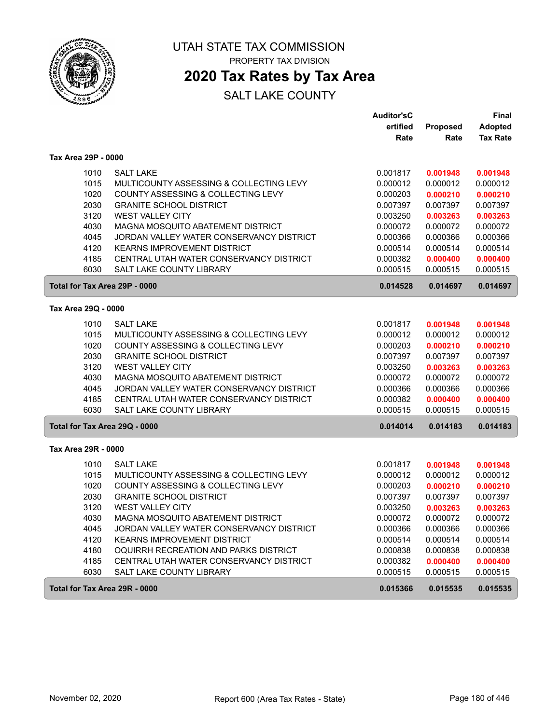

PROPERTY TAX DIVISION

## **2020 Tax Rates by Tax Area**

|                               |                                          | <b>Auditor'sC</b> |          | Final           |
|-------------------------------|------------------------------------------|-------------------|----------|-----------------|
|                               |                                          | ertified          | Proposed | <b>Adopted</b>  |
|                               |                                          | Rate              | Rate     | <b>Tax Rate</b> |
| Tax Area 29P - 0000           |                                          |                   |          |                 |
| 1010                          | <b>SALT LAKE</b>                         | 0.001817          | 0.001948 | 0.001948        |
| 1015                          | MULTICOUNTY ASSESSING & COLLECTING LEVY  | 0.000012          | 0.000012 | 0.000012        |
| 1020                          | COUNTY ASSESSING & COLLECTING LEVY       | 0.000203          | 0.000210 | 0.000210        |
| 2030                          | <b>GRANITE SCHOOL DISTRICT</b>           | 0.007397          | 0.007397 | 0.007397        |
| 3120                          | <b>WEST VALLEY CITY</b>                  | 0.003250          | 0.003263 | 0.003263        |
| 4030                          | MAGNA MOSQUITO ABATEMENT DISTRICT        | 0.000072          | 0.000072 | 0.000072        |
| 4045                          | JORDAN VALLEY WATER CONSERVANCY DISTRICT | 0.000366          | 0.000366 | 0.000366        |
| 4120                          | <b>KEARNS IMPROVEMENT DISTRICT</b>       | 0.000514          | 0.000514 | 0.000514        |
| 4185                          | CENTRAL UTAH WATER CONSERVANCY DISTRICT  | 0.000382          | 0.000400 | 0.000400        |
| 6030                          | <b>SALT LAKE COUNTY LIBRARY</b>          | 0.000515          | 0.000515 | 0.000515        |
| Total for Tax Area 29P - 0000 |                                          | 0.014528          | 0.014697 | 0.014697        |
|                               |                                          |                   |          |                 |
| Tax Area 29Q - 0000           |                                          |                   |          |                 |
| 1010                          | <b>SALT LAKE</b>                         | 0.001817          | 0.001948 | 0.001948        |
| 1015                          | MULTICOUNTY ASSESSING & COLLECTING LEVY  | 0.000012          | 0.000012 | 0.000012        |
| 1020                          | COUNTY ASSESSING & COLLECTING LEVY       | 0.000203          | 0.000210 | 0.000210        |
| 2030                          | <b>GRANITE SCHOOL DISTRICT</b>           | 0.007397          | 0.007397 | 0.007397        |
| 3120                          | <b>WEST VALLEY CITY</b>                  | 0.003250          | 0.003263 | 0.003263        |
| 4030                          | MAGNA MOSQUITO ABATEMENT DISTRICT        | 0.000072          | 0.000072 | 0.000072        |
| 4045                          | JORDAN VALLEY WATER CONSERVANCY DISTRICT | 0.000366          | 0.000366 | 0.000366        |
| 4185                          | CENTRAL UTAH WATER CONSERVANCY DISTRICT  | 0.000382          | 0.000400 | 0.000400        |
| 6030                          | <b>SALT LAKE COUNTY LIBRARY</b>          | 0.000515          | 0.000515 | 0.000515        |
| Total for Tax Area 29Q - 0000 |                                          | 0.014014          | 0.014183 | 0.014183        |
| Tax Area 29R - 0000           |                                          |                   |          |                 |
| 1010                          | <b>SALT LAKE</b>                         | 0.001817          | 0.001948 | 0.001948        |
| 1015                          | MULTICOUNTY ASSESSING & COLLECTING LEVY  | 0.000012          | 0.000012 | 0.000012        |
| 1020                          | COUNTY ASSESSING & COLLECTING LEVY       | 0.000203          | 0.000210 | 0.000210        |
| 2030                          | <b>GRANITE SCHOOL DISTRICT</b>           | 0.007397          | 0.007397 | 0.007397        |
| 3120                          | <b>WEST VALLEY CITY</b>                  | 0.003250          | 0.003263 | 0.003263        |
| 4030                          | MAGNA MOSQUITO ABATEMENT DISTRICT        | 0.000072          | 0.000072 | 0.000072        |
| 4045                          | JORDAN VALLEY WATER CONSERVANCY DISTRICT | 0.000366          | 0.000366 | 0.000366        |
| 4120                          | <b>KEARNS IMPROVEMENT DISTRICT</b>       | 0.000514          | 0.000514 | 0.000514        |
| 4180                          | OQUIRRH RECREATION AND PARKS DISTRICT    | 0.000838          | 0.000838 | 0.000838        |
| 4185                          | CENTRAL UTAH WATER CONSERVANCY DISTRICT  | 0.000382          | 0.000400 | 0.000400        |
| 6030                          | SALT LAKE COUNTY LIBRARY                 | 0.000515          | 0.000515 | 0.000515        |
| Total for Tax Area 29R - 0000 |                                          | 0.015366          | 0.015535 | 0.015535        |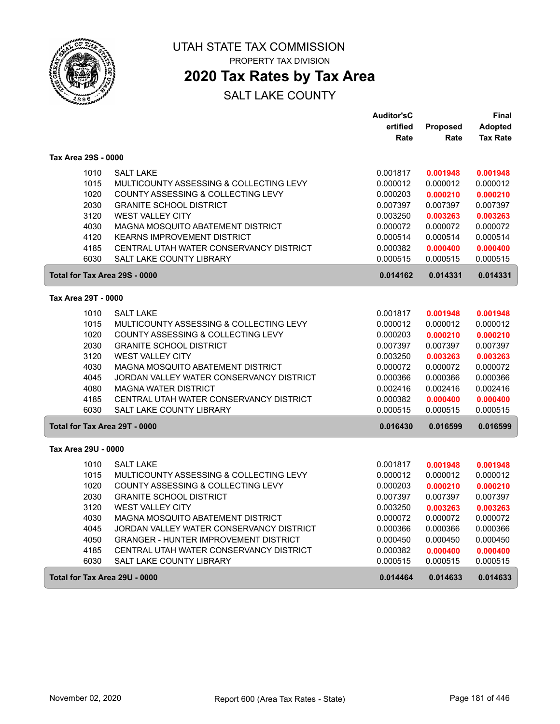

# UTAH STATE TAX COMMISSION

PROPERTY TAX DIVISION

# **2020 Tax Rates by Tax Area**

|                     |                                              | <b>Auditor'sC</b> |          | Final           |
|---------------------|----------------------------------------------|-------------------|----------|-----------------|
|                     |                                              | ertified          | Proposed | <b>Adopted</b>  |
|                     |                                              | Rate              | Rate     | <b>Tax Rate</b> |
| Tax Area 29S - 0000 |                                              |                   |          |                 |
| 1010                | <b>SALT LAKE</b>                             | 0.001817          | 0.001948 | 0.001948        |
| 1015                | MULTICOUNTY ASSESSING & COLLECTING LEVY      | 0.000012          | 0.000012 | 0.000012        |
| 1020                | COUNTY ASSESSING & COLLECTING LEVY           | 0.000203          | 0.000210 | 0.000210        |
| 2030                | <b>GRANITE SCHOOL DISTRICT</b>               | 0.007397          | 0.007397 | 0.007397        |
| 3120                | <b>WEST VALLEY CITY</b>                      | 0.003250          | 0.003263 | 0.003263        |
| 4030                | MAGNA MOSQUITO ABATEMENT DISTRICT            | 0.000072          | 0.000072 | 0.000072        |
| 4120                | <b>KEARNS IMPROVEMENT DISTRICT</b>           | 0.000514          | 0.000514 | 0.000514        |
| 4185                | CENTRAL UTAH WATER CONSERVANCY DISTRICT      | 0.000382          | 0.000400 | 0.000400        |
| 6030                | SALT LAKE COUNTY LIBRARY                     | 0.000515          | 0.000515 | 0.000515        |
|                     | Total for Tax Area 29S - 0000                | 0.014162          | 0.014331 | 0.014331        |
| Tax Area 29T - 0000 |                                              |                   |          |                 |
| 1010                | <b>SALT LAKE</b>                             | 0.001817          | 0.001948 | 0.001948        |
| 1015                | MULTICOUNTY ASSESSING & COLLECTING LEVY      | 0.000012          | 0.000012 | 0.000012        |
| 1020                | COUNTY ASSESSING & COLLECTING LEVY           | 0.000203          | 0.000210 | 0.000210        |
| 2030                | <b>GRANITE SCHOOL DISTRICT</b>               | 0.007397          | 0.007397 | 0.007397        |
| 3120                | <b>WEST VALLEY CITY</b>                      | 0.003250          | 0.003263 | 0.003263        |
| 4030                | MAGNA MOSQUITO ABATEMENT DISTRICT            | 0.000072          | 0.000072 | 0.000072        |
| 4045                | JORDAN VALLEY WATER CONSERVANCY DISTRICT     | 0.000366          | 0.000366 | 0.000366        |
| 4080                | <b>MAGNA WATER DISTRICT</b>                  | 0.002416          | 0.002416 | 0.002416        |
| 4185                | CENTRAL UTAH WATER CONSERVANCY DISTRICT      | 0.000382          | 0.000400 | 0.000400        |
| 6030                | SALT LAKE COUNTY LIBRARY                     | 0.000515          | 0.000515 | 0.000515        |
|                     | Total for Tax Area 29T - 0000                | 0.016430          | 0.016599 | 0.016599        |
| Tax Area 29U - 0000 |                                              |                   |          |                 |
| 1010                | <b>SALT LAKE</b>                             | 0.001817          | 0.001948 | 0.001948        |
| 1015                | MULTICOUNTY ASSESSING & COLLECTING LEVY      | 0.000012          | 0.000012 | 0.000012        |
| 1020                | COUNTY ASSESSING & COLLECTING LEVY           | 0.000203          | 0.000210 | 0.000210        |
| 2030                | <b>GRANITE SCHOOL DISTRICT</b>               | 0.007397          | 0.007397 | 0.007397        |
| 3120                | <b>WEST VALLEY CITY</b>                      | 0.003250          | 0.003263 | 0.003263        |
| 4030                | MAGNA MOSQUITO ABATEMENT DISTRICT            | 0.000072          | 0.000072 | 0.000072        |
| 4045                | JORDAN VALLEY WATER CONSERVANCY DISTRICT     | 0.000366          | 0.000366 | 0.000366        |
| 4050                | <b>GRANGER - HUNTER IMPROVEMENT DISTRICT</b> | 0.000450          | 0.000450 | 0.000450        |
| 4185                | CENTRAL UTAH WATER CONSERVANCY DISTRICT      | 0.000382          | 0.000400 | 0.000400        |
| 6030                | SALT LAKE COUNTY LIBRARY                     | 0.000515          | 0.000515 | 0.000515        |
|                     | Total for Tax Area 29U - 0000                | 0.014464          | 0.014633 | 0.014633        |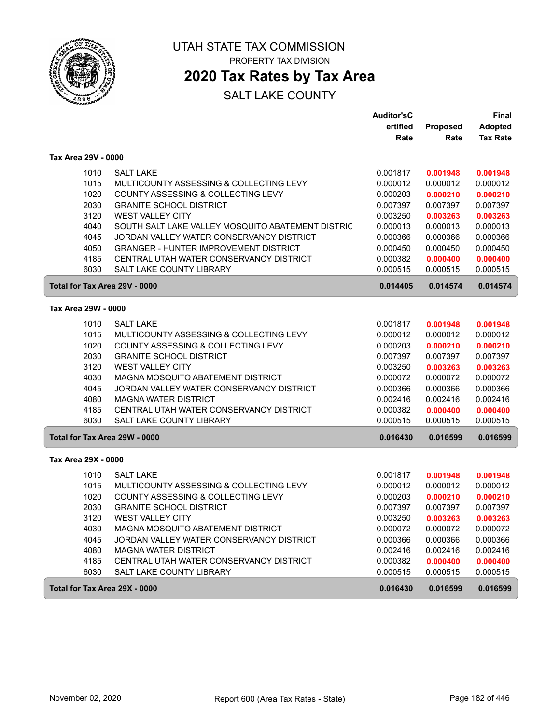

# UTAH STATE TAX COMMISSION

PROPERTY TAX DIVISION

# **2020 Tax Rates by Tax Area**

|                               |                                                   | <b>Auditor'sC</b> |                      | <b>Final</b>         |
|-------------------------------|---------------------------------------------------|-------------------|----------------------|----------------------|
|                               |                                                   | ertified          | <b>Proposed</b>      | <b>Adopted</b>       |
|                               |                                                   | Rate              | Rate                 | <b>Tax Rate</b>      |
| Tax Area 29V - 0000           |                                                   |                   |                      |                      |
| 1010                          | <b>SALT LAKE</b>                                  | 0.001817          | 0.001948             | 0.001948             |
| 1015                          | MULTICOUNTY ASSESSING & COLLECTING LEVY           | 0.000012          | 0.000012             | 0.000012             |
| 1020                          | COUNTY ASSESSING & COLLECTING LEVY                | 0.000203          | 0.000210             | 0.000210             |
| 2030                          | <b>GRANITE SCHOOL DISTRICT</b>                    | 0.007397          | 0.007397             | 0.007397             |
| 3120                          | <b>WEST VALLEY CITY</b>                           | 0.003250          | 0.003263             | 0.003263             |
| 4040                          | SOUTH SALT LAKE VALLEY MOSQUITO ABATEMENT DISTRIC | 0.000013          | 0.000013             | 0.000013             |
| 4045                          | JORDAN VALLEY WATER CONSERVANCY DISTRICT          | 0.000366          | 0.000366             | 0.000366             |
| 4050                          | <b>GRANGER - HUNTER IMPROVEMENT DISTRICT</b>      | 0.000450          | 0.000450             | 0.000450             |
| 4185                          | CENTRAL UTAH WATER CONSERVANCY DISTRICT           | 0.000382          | 0.000400             | 0.000400             |
| 6030                          | SALT LAKE COUNTY LIBRARY                          | 0.000515          | 0.000515             | 0.000515             |
| Total for Tax Area 29V - 0000 |                                                   | 0.014405          | 0.014574             | 0.014574             |
| Tax Area 29W - 0000           |                                                   |                   |                      |                      |
| 1010                          | <b>SALT LAKE</b>                                  | 0.001817          |                      |                      |
| 1015                          | MULTICOUNTY ASSESSING & COLLECTING LEVY           | 0.000012          | 0.001948<br>0.000012 | 0.001948<br>0.000012 |
| 1020                          | COUNTY ASSESSING & COLLECTING LEVY                | 0.000203          | 0.000210             | 0.000210             |
| 2030                          | <b>GRANITE SCHOOL DISTRICT</b>                    | 0.007397          | 0.007397             | 0.007397             |
| 3120                          | <b>WEST VALLEY CITY</b>                           | 0.003250          | 0.003263             | 0.003263             |
| 4030                          | MAGNA MOSQUITO ABATEMENT DISTRICT                 | 0.000072          | 0.000072             | 0.000072             |
| 4045                          | JORDAN VALLEY WATER CONSERVANCY DISTRICT          | 0.000366          | 0.000366             | 0.000366             |
| 4080                          | <b>MAGNA WATER DISTRICT</b>                       | 0.002416          | 0.002416             | 0.002416             |
| 4185                          | CENTRAL UTAH WATER CONSERVANCY DISTRICT           | 0.000382          | 0.000400             | 0.000400             |
| 6030                          | SALT LAKE COUNTY LIBRARY                          | 0.000515          | 0.000515             | 0.000515             |
| Total for Tax Area 29W - 0000 |                                                   | 0.016430          | 0.016599             | 0.016599             |
| Tax Area 29X - 0000           |                                                   |                   |                      |                      |
|                               |                                                   |                   |                      |                      |
| 1010                          | <b>SALT LAKE</b>                                  | 0.001817          | 0.001948             | 0.001948             |
| 1015                          | MULTICOUNTY ASSESSING & COLLECTING LEVY           | 0.000012          | 0.000012             | 0.000012             |
| 1020                          | COUNTY ASSESSING & COLLECTING LEVY                | 0.000203          | 0.000210             | 0.000210             |
| 2030                          | <b>GRANITE SCHOOL DISTRICT</b>                    | 0.007397          | 0.007397             | 0.007397             |
| 3120                          | <b>WEST VALLEY CITY</b>                           | 0.003250          | 0.003263             | 0.003263             |
| 4030                          | MAGNA MOSQUITO ABATEMENT DISTRICT                 | 0.000072          | 0.000072             | 0.000072             |
| 4045                          | JORDAN VALLEY WATER CONSERVANCY DISTRICT          | 0.000366          | 0.000366             | 0.000366             |
| 4080                          | <b>MAGNA WATER DISTRICT</b>                       | 0.002416          | 0.002416             | 0.002416             |
| 4185                          | CENTRAL UTAH WATER CONSERVANCY DISTRICT           | 0.000382          | 0.000400             | 0.000400             |
| 6030                          | SALT LAKE COUNTY LIBRARY                          | 0.000515          | 0.000515             | 0.000515             |
| Total for Tax Area 29X - 0000 |                                                   | 0.016430          | 0.016599             | 0.016599             |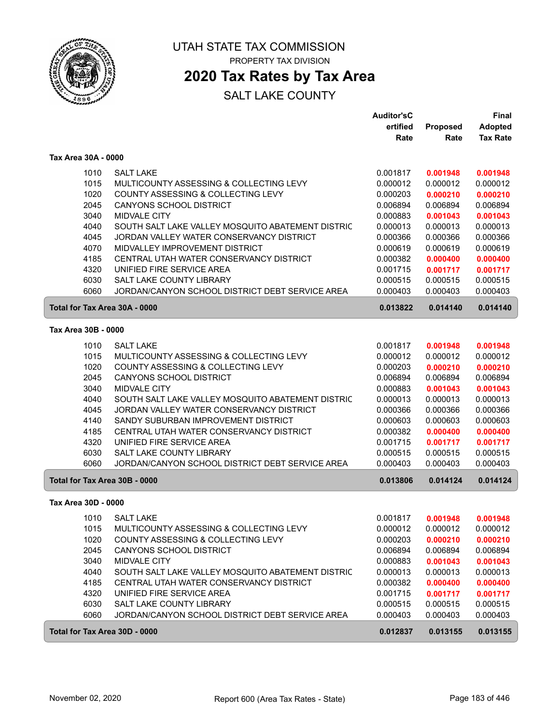

# **2020 Tax Rates by Tax Area**

|                               |                                                   | <b>Auditor'sC</b> |          | <b>Final</b>    |
|-------------------------------|---------------------------------------------------|-------------------|----------|-----------------|
|                               |                                                   | ertified          | Proposed | <b>Adopted</b>  |
|                               |                                                   | Rate              | Rate     | <b>Tax Rate</b> |
| Tax Area 30A - 0000           |                                                   |                   |          |                 |
| 1010                          | <b>SALT LAKE</b>                                  | 0.001817          | 0.001948 | 0.001948        |
| 1015                          | MULTICOUNTY ASSESSING & COLLECTING LEVY           | 0.000012          | 0.000012 | 0.000012        |
| 1020                          | COUNTY ASSESSING & COLLECTING LEVY                | 0.000203          | 0.000210 | 0.000210        |
| 2045                          | <b>CANYONS SCHOOL DISTRICT</b>                    | 0.006894          | 0.006894 | 0.006894        |
| 3040                          | <b>MIDVALE CITY</b>                               | 0.000883          | 0.001043 | 0.001043        |
| 4040                          | SOUTH SALT LAKE VALLEY MOSQUITO ABATEMENT DISTRIC | 0.000013          | 0.000013 | 0.000013        |
| 4045                          | JORDAN VALLEY WATER CONSERVANCY DISTRICT          | 0.000366          | 0.000366 | 0.000366        |
| 4070                          | MIDVALLEY IMPROVEMENT DISTRICT                    | 0.000619          | 0.000619 | 0.000619        |
| 4185                          | CENTRAL UTAH WATER CONSERVANCY DISTRICT           | 0.000382          | 0.000400 | 0.000400        |
| 4320                          | UNIFIED FIRE SERVICE AREA                         | 0.001715          | 0.001717 | 0.001717        |
| 6030                          | SALT LAKE COUNTY LIBRARY                          | 0.000515          | 0.000515 | 0.000515        |
| 6060                          | JORDAN/CANYON SCHOOL DISTRICT DEBT SERVICE AREA   | 0.000403          | 0.000403 | 0.000403        |
| Total for Tax Area 30A - 0000 |                                                   | 0.013822          | 0.014140 | 0.014140        |
| Tax Area 30B - 0000           |                                                   |                   |          |                 |
| 1010                          | <b>SALT LAKE</b>                                  | 0.001817          | 0.001948 | 0.001948        |
| 1015                          | MULTICOUNTY ASSESSING & COLLECTING LEVY           | 0.000012          | 0.000012 | 0.000012        |
| 1020                          | COUNTY ASSESSING & COLLECTING LEVY                | 0.000203          | 0.000210 | 0.000210        |
| 2045                          | CANYONS SCHOOL DISTRICT                           | 0.006894          | 0.006894 | 0.006894        |
| 3040                          | <b>MIDVALE CITY</b>                               | 0.000883          | 0.001043 | 0.001043        |
| 4040                          | SOUTH SALT LAKE VALLEY MOSQUITO ABATEMENT DISTRIC | 0.000013          | 0.000013 | 0.000013        |
| 4045                          | JORDAN VALLEY WATER CONSERVANCY DISTRICT          | 0.000366          | 0.000366 | 0.000366        |
| 4140                          | SANDY SUBURBAN IMPROVEMENT DISTRICT               | 0.000603          | 0.000603 | 0.000603        |
| 4185                          | CENTRAL UTAH WATER CONSERVANCY DISTRICT           | 0.000382          | 0.000400 | 0.000400        |
| 4320                          | UNIFIED FIRE SERVICE AREA                         | 0.001715          | 0.001717 | 0.001717        |
| 6030                          | SALT LAKE COUNTY LIBRARY                          | 0.000515          | 0.000515 | 0.000515        |
| 6060                          | JORDAN/CANYON SCHOOL DISTRICT DEBT SERVICE AREA   | 0.000403          | 0.000403 | 0.000403        |
| Total for Tax Area 30B - 0000 |                                                   | 0.013806          | 0.014124 | 0.014124        |
| Tax Area 30D - 0000           |                                                   |                   |          |                 |
| 1010                          | <b>SALT LAKE</b>                                  | 0.001817          | 0.001948 | 0.001948        |
| 1015                          | MULTICOUNTY ASSESSING & COLLECTING LEVY           | 0.000012          | 0.000012 | 0.000012        |
| 1020                          | COUNTY ASSESSING & COLLECTING LEVY                | 0.000203          | 0.000210 | 0.000210        |
| 2045                          | CANYONS SCHOOL DISTRICT                           | 0.006894          | 0.006894 | 0.006894        |
| 3040                          | MIDVALE CITY                                      | 0.000883          | 0.001043 | 0.001043        |
| 4040                          | SOUTH SALT LAKE VALLEY MOSQUITO ABATEMENT DISTRIC | 0.000013          | 0.000013 | 0.000013        |
| 4185                          | CENTRAL UTAH WATER CONSERVANCY DISTRICT           | 0.000382          | 0.000400 | 0.000400        |
| 4320                          | UNIFIED FIRE SERVICE AREA                         | 0.001715          | 0.001717 | 0.001717        |
| 6030                          | SALT LAKE COUNTY LIBRARY                          | 0.000515          | 0.000515 | 0.000515        |
| 6060                          | JORDAN/CANYON SCHOOL DISTRICT DEBT SERVICE AREA   | 0.000403          | 0.000403 | 0.000403        |
| Total for Tax Area 30D - 0000 |                                                   | 0.012837          | 0.013155 | 0.013155        |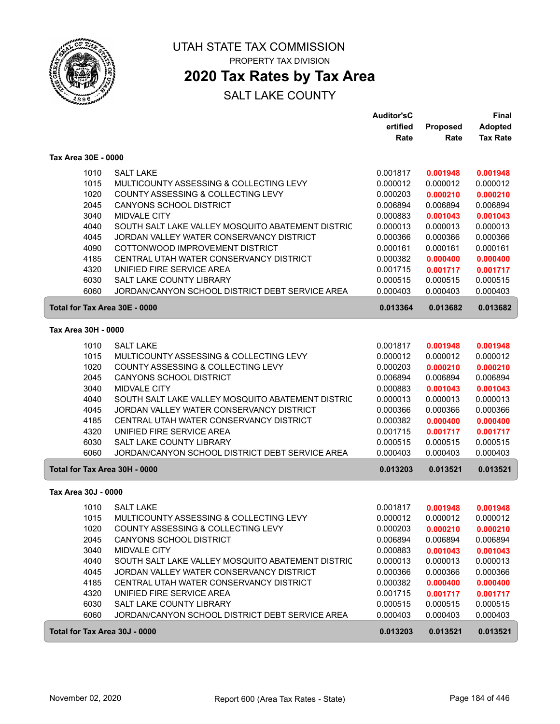

# **2020 Tax Rates by Tax Area**

|                               |                                                   | <b>Auditor'sC</b> |                 | <b>Final</b>    |
|-------------------------------|---------------------------------------------------|-------------------|-----------------|-----------------|
|                               |                                                   | ertified          | <b>Proposed</b> | <b>Adopted</b>  |
|                               |                                                   | Rate              | Rate            | <b>Tax Rate</b> |
| Tax Area 30E - 0000           |                                                   |                   |                 |                 |
| 1010                          | <b>SALT LAKE</b>                                  | 0.001817          | 0.001948        | 0.001948        |
| 1015                          | MULTICOUNTY ASSESSING & COLLECTING LEVY           | 0.000012          | 0.000012        | 0.000012        |
| 1020                          | COUNTY ASSESSING & COLLECTING LEVY                | 0.000203          | 0.000210        | 0.000210        |
| 2045                          | CANYONS SCHOOL DISTRICT                           | 0.006894          | 0.006894        | 0.006894        |
| 3040                          | <b>MIDVALE CITY</b>                               | 0.000883          | 0.001043        | 0.001043        |
| 4040                          | SOUTH SALT LAKE VALLEY MOSQUITO ABATEMENT DISTRIC | 0.000013          | 0.000013        | 0.000013        |
| 4045                          | JORDAN VALLEY WATER CONSERVANCY DISTRICT          | 0.000366          | 0.000366        | 0.000366        |
| 4090                          | COTTONWOOD IMPROVEMENT DISTRICT                   | 0.000161          | 0.000161        | 0.000161        |
| 4185                          | CENTRAL UTAH WATER CONSERVANCY DISTRICT           | 0.000382          | 0.000400        | 0.000400        |
| 4320                          | UNIFIED FIRE SERVICE AREA                         | 0.001715          | 0.001717        | 0.001717        |
| 6030                          | SALT LAKE COUNTY LIBRARY                          | 0.000515          | 0.000515        | 0.000515        |
| 6060                          | JORDAN/CANYON SCHOOL DISTRICT DEBT SERVICE AREA   | 0.000403          | 0.000403        | 0.000403        |
| Total for Tax Area 30E - 0000 |                                                   | 0.013364          | 0.013682        | 0.013682        |
| Tax Area 30H - 0000           |                                                   |                   |                 |                 |
| 1010                          | <b>SALT LAKE</b>                                  | 0.001817          | 0.001948        | 0.001948        |
| 1015                          | MULTICOUNTY ASSESSING & COLLECTING LEVY           | 0.000012          | 0.000012        | 0.000012        |
| 1020                          | COUNTY ASSESSING & COLLECTING LEVY                | 0.000203          | 0.000210        | 0.000210        |
| 2045                          | <b>CANYONS SCHOOL DISTRICT</b>                    | 0.006894          | 0.006894        | 0.006894        |
| 3040                          | <b>MIDVALE CITY</b>                               | 0.000883          | 0.001043        | 0.001043        |
| 4040                          | SOUTH SALT LAKE VALLEY MOSQUITO ABATEMENT DISTRIC | 0.000013          | 0.000013        | 0.000013        |
| 4045                          | JORDAN VALLEY WATER CONSERVANCY DISTRICT          | 0.000366          | 0.000366        | 0.000366        |
| 4185                          | CENTRAL UTAH WATER CONSERVANCY DISTRICT           | 0.000382          | 0.000400        | 0.000400        |
| 4320                          | UNIFIED FIRE SERVICE AREA                         | 0.001715          | 0.001717        | 0.001717        |
| 6030                          | SALT LAKE COUNTY LIBRARY                          | 0.000515          | 0.000515        | 0.000515        |
| 6060                          | JORDAN/CANYON SCHOOL DISTRICT DEBT SERVICE AREA   | 0.000403          | 0.000403        | 0.000403        |
| Total for Tax Area 30H - 0000 |                                                   | 0.013203          | 0.013521        | 0.013521        |
| Tax Area 30J - 0000           |                                                   |                   |                 |                 |
| 1010                          | <b>SALT LAKE</b>                                  | 0.001817          | 0.001948        | 0.001948        |
| 1015                          | MULTICOUNTY ASSESSING & COLLECTING LEVY           | 0.000012          | 0.000012        | 0.000012        |
| 1020                          | COUNTY ASSESSING & COLLECTING LEVY                | 0.000203          | 0.000210        | 0.000210        |
| 2045                          | CANYONS SCHOOL DISTRICT                           | 0.006894          | 0.006894        | 0.006894        |
| 3040                          | MIDVALE CITY                                      | 0.000883          | 0.001043        | 0.001043        |
| 4040                          | SOUTH SALT LAKE VALLEY MOSQUITO ABATEMENT DISTRIC | 0.000013          | 0.000013        | 0.000013        |
| 4045                          | JORDAN VALLEY WATER CONSERVANCY DISTRICT          | 0.000366          | 0.000366        | 0.000366        |
| 4185                          | CENTRAL UTAH WATER CONSERVANCY DISTRICT           | 0.000382          | 0.000400        | 0.000400        |
| 4320                          | UNIFIED FIRE SERVICE AREA                         | 0.001715          | 0.001717        | 0.001717        |
| 6030                          | SALT LAKE COUNTY LIBRARY                          | 0.000515          | 0.000515        | 0.000515        |
| 6060                          | JORDAN/CANYON SCHOOL DISTRICT DEBT SERVICE AREA   | 0.000403          | 0.000403        | 0.000403        |
| Total for Tax Area 30J - 0000 |                                                   | 0.013203          | 0.013521        | 0.013521        |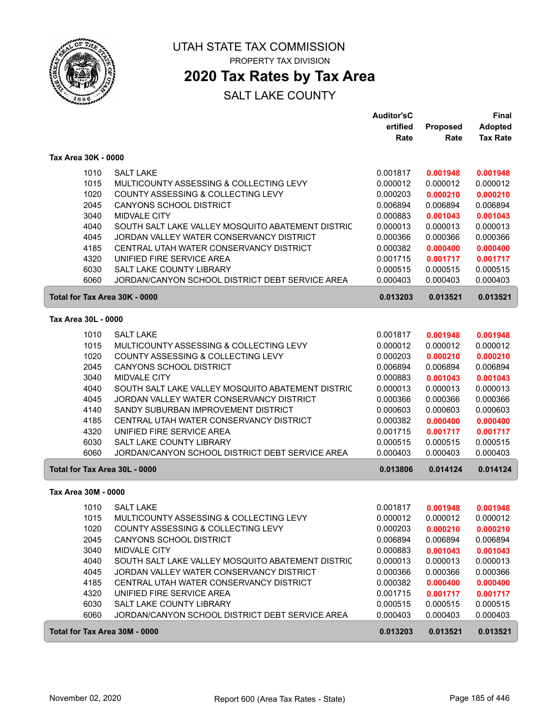

# **2020 Tax Rates by Tax Area**

| ertified<br>Proposed<br><b>Adopted</b><br><b>Tax Rate</b><br>Rate<br>Rate<br>Tax Area 30K - 0000<br>1010<br><b>SALT LAKE</b><br>0.001817<br>0.001948<br>0.001948<br>1015<br>MULTICOUNTY ASSESSING & COLLECTING LEVY<br>0.000012<br>0.000012<br>0.000012<br>1020<br>COUNTY ASSESSING & COLLECTING LEVY<br>0.000203<br>0.000210<br>0.000210<br>2045<br><b>CANYONS SCHOOL DISTRICT</b><br>0.006894<br>0.006894<br>0.006894<br>3040<br><b>MIDVALE CITY</b><br>0.000883<br>0.001043<br>0.001043<br>4040<br>SOUTH SALT LAKE VALLEY MOSQUITO ABATEMENT DISTRIC<br>0.000013<br>0.000013<br>0.000013<br>4045<br>JORDAN VALLEY WATER CONSERVANCY DISTRICT<br>0.000366<br>0.000366<br>0.000366<br>4185<br>CENTRAL UTAH WATER CONSERVANCY DISTRICT<br>0.000382<br>0.000400<br>0.000400<br>4320<br>UNIFIED FIRE SERVICE AREA<br>0.001715<br>0.001717<br>0.001717<br>6030<br>SALT LAKE COUNTY LIBRARY<br>0.000515<br>0.000515<br>0.000515<br>6060<br>JORDAN/CANYON SCHOOL DISTRICT DEBT SERVICE AREA<br>0.000403<br>0.000403<br>0.000403<br>Total for Tax Area 30K - 0000<br>0.013203<br>0.013521<br>0.013521<br>Tax Area 30L - 0000<br>1010<br><b>SALT LAKE</b><br>0.001817<br>0.001948<br>0.001948<br>1015<br>MULTICOUNTY ASSESSING & COLLECTING LEVY<br>0.000012<br>0.000012<br>0.000012<br>1020<br>COUNTY ASSESSING & COLLECTING LEVY<br>0.000203<br>0.000210<br>0.000210<br>2045<br>CANYONS SCHOOL DISTRICT<br>0.006894<br>0.006894<br>0.006894<br>3040<br><b>MIDVALE CITY</b><br>0.000883<br>0.001043<br>0.001043<br>4040<br>SOUTH SALT LAKE VALLEY MOSQUITO ABATEMENT DISTRIC<br>0.000013<br>0.000013<br>0.000013<br>4045<br>JORDAN VALLEY WATER CONSERVANCY DISTRICT<br>0.000366<br>0.000366<br>0.000366<br>4140<br>SANDY SUBURBAN IMPROVEMENT DISTRICT<br>0.000603<br>0.000603<br>0.000603<br>4185<br>CENTRAL UTAH WATER CONSERVANCY DISTRICT<br>0.000382<br>0.000400<br>0.000400<br>4320<br>UNIFIED FIRE SERVICE AREA<br>0.001715<br>0.001717<br>0.001717<br>6030<br>SALT LAKE COUNTY LIBRARY<br>0.000515<br>0.000515<br>0.000515<br>6060<br>JORDAN/CANYON SCHOOL DISTRICT DEBT SERVICE AREA<br>0.000403<br>0.000403<br>0.000403<br>Total for Tax Area 30L - 0000<br>0.013806<br>0.014124<br>0.014124<br>Tax Area 30M - 0000<br>1010<br><b>SALT LAKE</b><br>0.001817<br>0.001948<br>0.001948<br>1015<br>MULTICOUNTY ASSESSING & COLLECTING LEVY<br>0.000012<br>0.000012<br>0.000012<br>COUNTY ASSESSING & COLLECTING LEVY<br>1020<br>0.000203<br>0.000210<br>0.000210<br>2045<br>CANYONS SCHOOL DISTRICT<br>0.006894<br>0.006894<br>0.006894<br>3040<br>MIDVALE CITY<br>0.000883<br>0.001043<br>0.001043<br>4040<br>SOUTH SALT LAKE VALLEY MOSQUITO ABATEMENT DISTRIC<br>0.000013<br>0.000013<br>0.000013<br>4045<br>JORDAN VALLEY WATER CONSERVANCY DISTRICT<br>0.000366<br>0.000366<br>0.000366<br>4185<br>CENTRAL UTAH WATER CONSERVANCY DISTRICT<br>0.000382<br>0.000400<br>0.000400<br>4320<br>UNIFIED FIRE SERVICE AREA<br>0.001715<br>0.001717<br>0.001717<br>6030<br>SALT LAKE COUNTY LIBRARY<br>0.000515<br>0.000515<br>0.000515<br>6060<br>JORDAN/CANYON SCHOOL DISTRICT DEBT SERVICE AREA<br>0.000403<br>0.000403<br>0.000403<br>Total for Tax Area 30M - 0000<br>0.013203<br>0.013521<br>0.013521 |  | <b>Auditor'sC</b> | Final |
|-----------------------------------------------------------------------------------------------------------------------------------------------------------------------------------------------------------------------------------------------------------------------------------------------------------------------------------------------------------------------------------------------------------------------------------------------------------------------------------------------------------------------------------------------------------------------------------------------------------------------------------------------------------------------------------------------------------------------------------------------------------------------------------------------------------------------------------------------------------------------------------------------------------------------------------------------------------------------------------------------------------------------------------------------------------------------------------------------------------------------------------------------------------------------------------------------------------------------------------------------------------------------------------------------------------------------------------------------------------------------------------------------------------------------------------------------------------------------------------------------------------------------------------------------------------------------------------------------------------------------------------------------------------------------------------------------------------------------------------------------------------------------------------------------------------------------------------------------------------------------------------------------------------------------------------------------------------------------------------------------------------------------------------------------------------------------------------------------------------------------------------------------------------------------------------------------------------------------------------------------------------------------------------------------------------------------------------------------------------------------------------------------------------------------------------------------------------------------------------------------------------------------------------------------------------------------------------------------------------------------------------------------------------------------------------------------------------------------------------------------------------------------------------------------------------------------------------------------------------------------------------------------------------------------------------------------------------------------------------------------------------------------------------------------------------------------------------------------------------------------------------------------------------------------------------------------------------|--|-------------------|-------|
|                                                                                                                                                                                                                                                                                                                                                                                                                                                                                                                                                                                                                                                                                                                                                                                                                                                                                                                                                                                                                                                                                                                                                                                                                                                                                                                                                                                                                                                                                                                                                                                                                                                                                                                                                                                                                                                                                                                                                                                                                                                                                                                                                                                                                                                                                                                                                                                                                                                                                                                                                                                                                                                                                                                                                                                                                                                                                                                                                                                                                                                                                                                                                                                                           |  |                   |       |
|                                                                                                                                                                                                                                                                                                                                                                                                                                                                                                                                                                                                                                                                                                                                                                                                                                                                                                                                                                                                                                                                                                                                                                                                                                                                                                                                                                                                                                                                                                                                                                                                                                                                                                                                                                                                                                                                                                                                                                                                                                                                                                                                                                                                                                                                                                                                                                                                                                                                                                                                                                                                                                                                                                                                                                                                                                                                                                                                                                                                                                                                                                                                                                                                           |  |                   |       |
|                                                                                                                                                                                                                                                                                                                                                                                                                                                                                                                                                                                                                                                                                                                                                                                                                                                                                                                                                                                                                                                                                                                                                                                                                                                                                                                                                                                                                                                                                                                                                                                                                                                                                                                                                                                                                                                                                                                                                                                                                                                                                                                                                                                                                                                                                                                                                                                                                                                                                                                                                                                                                                                                                                                                                                                                                                                                                                                                                                                                                                                                                                                                                                                                           |  |                   |       |
|                                                                                                                                                                                                                                                                                                                                                                                                                                                                                                                                                                                                                                                                                                                                                                                                                                                                                                                                                                                                                                                                                                                                                                                                                                                                                                                                                                                                                                                                                                                                                                                                                                                                                                                                                                                                                                                                                                                                                                                                                                                                                                                                                                                                                                                                                                                                                                                                                                                                                                                                                                                                                                                                                                                                                                                                                                                                                                                                                                                                                                                                                                                                                                                                           |  |                   |       |
|                                                                                                                                                                                                                                                                                                                                                                                                                                                                                                                                                                                                                                                                                                                                                                                                                                                                                                                                                                                                                                                                                                                                                                                                                                                                                                                                                                                                                                                                                                                                                                                                                                                                                                                                                                                                                                                                                                                                                                                                                                                                                                                                                                                                                                                                                                                                                                                                                                                                                                                                                                                                                                                                                                                                                                                                                                                                                                                                                                                                                                                                                                                                                                                                           |  |                   |       |
|                                                                                                                                                                                                                                                                                                                                                                                                                                                                                                                                                                                                                                                                                                                                                                                                                                                                                                                                                                                                                                                                                                                                                                                                                                                                                                                                                                                                                                                                                                                                                                                                                                                                                                                                                                                                                                                                                                                                                                                                                                                                                                                                                                                                                                                                                                                                                                                                                                                                                                                                                                                                                                                                                                                                                                                                                                                                                                                                                                                                                                                                                                                                                                                                           |  |                   |       |
|                                                                                                                                                                                                                                                                                                                                                                                                                                                                                                                                                                                                                                                                                                                                                                                                                                                                                                                                                                                                                                                                                                                                                                                                                                                                                                                                                                                                                                                                                                                                                                                                                                                                                                                                                                                                                                                                                                                                                                                                                                                                                                                                                                                                                                                                                                                                                                                                                                                                                                                                                                                                                                                                                                                                                                                                                                                                                                                                                                                                                                                                                                                                                                                                           |  |                   |       |
|                                                                                                                                                                                                                                                                                                                                                                                                                                                                                                                                                                                                                                                                                                                                                                                                                                                                                                                                                                                                                                                                                                                                                                                                                                                                                                                                                                                                                                                                                                                                                                                                                                                                                                                                                                                                                                                                                                                                                                                                                                                                                                                                                                                                                                                                                                                                                                                                                                                                                                                                                                                                                                                                                                                                                                                                                                                                                                                                                                                                                                                                                                                                                                                                           |  |                   |       |
|                                                                                                                                                                                                                                                                                                                                                                                                                                                                                                                                                                                                                                                                                                                                                                                                                                                                                                                                                                                                                                                                                                                                                                                                                                                                                                                                                                                                                                                                                                                                                                                                                                                                                                                                                                                                                                                                                                                                                                                                                                                                                                                                                                                                                                                                                                                                                                                                                                                                                                                                                                                                                                                                                                                                                                                                                                                                                                                                                                                                                                                                                                                                                                                                           |  |                   |       |
|                                                                                                                                                                                                                                                                                                                                                                                                                                                                                                                                                                                                                                                                                                                                                                                                                                                                                                                                                                                                                                                                                                                                                                                                                                                                                                                                                                                                                                                                                                                                                                                                                                                                                                                                                                                                                                                                                                                                                                                                                                                                                                                                                                                                                                                                                                                                                                                                                                                                                                                                                                                                                                                                                                                                                                                                                                                                                                                                                                                                                                                                                                                                                                                                           |  |                   |       |
|                                                                                                                                                                                                                                                                                                                                                                                                                                                                                                                                                                                                                                                                                                                                                                                                                                                                                                                                                                                                                                                                                                                                                                                                                                                                                                                                                                                                                                                                                                                                                                                                                                                                                                                                                                                                                                                                                                                                                                                                                                                                                                                                                                                                                                                                                                                                                                                                                                                                                                                                                                                                                                                                                                                                                                                                                                                                                                                                                                                                                                                                                                                                                                                                           |  |                   |       |
|                                                                                                                                                                                                                                                                                                                                                                                                                                                                                                                                                                                                                                                                                                                                                                                                                                                                                                                                                                                                                                                                                                                                                                                                                                                                                                                                                                                                                                                                                                                                                                                                                                                                                                                                                                                                                                                                                                                                                                                                                                                                                                                                                                                                                                                                                                                                                                                                                                                                                                                                                                                                                                                                                                                                                                                                                                                                                                                                                                                                                                                                                                                                                                                                           |  |                   |       |
|                                                                                                                                                                                                                                                                                                                                                                                                                                                                                                                                                                                                                                                                                                                                                                                                                                                                                                                                                                                                                                                                                                                                                                                                                                                                                                                                                                                                                                                                                                                                                                                                                                                                                                                                                                                                                                                                                                                                                                                                                                                                                                                                                                                                                                                                                                                                                                                                                                                                                                                                                                                                                                                                                                                                                                                                                                                                                                                                                                                                                                                                                                                                                                                                           |  |                   |       |
|                                                                                                                                                                                                                                                                                                                                                                                                                                                                                                                                                                                                                                                                                                                                                                                                                                                                                                                                                                                                                                                                                                                                                                                                                                                                                                                                                                                                                                                                                                                                                                                                                                                                                                                                                                                                                                                                                                                                                                                                                                                                                                                                                                                                                                                                                                                                                                                                                                                                                                                                                                                                                                                                                                                                                                                                                                                                                                                                                                                                                                                                                                                                                                                                           |  |                   |       |
|                                                                                                                                                                                                                                                                                                                                                                                                                                                                                                                                                                                                                                                                                                                                                                                                                                                                                                                                                                                                                                                                                                                                                                                                                                                                                                                                                                                                                                                                                                                                                                                                                                                                                                                                                                                                                                                                                                                                                                                                                                                                                                                                                                                                                                                                                                                                                                                                                                                                                                                                                                                                                                                                                                                                                                                                                                                                                                                                                                                                                                                                                                                                                                                                           |  |                   |       |
|                                                                                                                                                                                                                                                                                                                                                                                                                                                                                                                                                                                                                                                                                                                                                                                                                                                                                                                                                                                                                                                                                                                                                                                                                                                                                                                                                                                                                                                                                                                                                                                                                                                                                                                                                                                                                                                                                                                                                                                                                                                                                                                                                                                                                                                                                                                                                                                                                                                                                                                                                                                                                                                                                                                                                                                                                                                                                                                                                                                                                                                                                                                                                                                                           |  |                   |       |
|                                                                                                                                                                                                                                                                                                                                                                                                                                                                                                                                                                                                                                                                                                                                                                                                                                                                                                                                                                                                                                                                                                                                                                                                                                                                                                                                                                                                                                                                                                                                                                                                                                                                                                                                                                                                                                                                                                                                                                                                                                                                                                                                                                                                                                                                                                                                                                                                                                                                                                                                                                                                                                                                                                                                                                                                                                                                                                                                                                                                                                                                                                                                                                                                           |  |                   |       |
|                                                                                                                                                                                                                                                                                                                                                                                                                                                                                                                                                                                                                                                                                                                                                                                                                                                                                                                                                                                                                                                                                                                                                                                                                                                                                                                                                                                                                                                                                                                                                                                                                                                                                                                                                                                                                                                                                                                                                                                                                                                                                                                                                                                                                                                                                                                                                                                                                                                                                                                                                                                                                                                                                                                                                                                                                                                                                                                                                                                                                                                                                                                                                                                                           |  |                   |       |
|                                                                                                                                                                                                                                                                                                                                                                                                                                                                                                                                                                                                                                                                                                                                                                                                                                                                                                                                                                                                                                                                                                                                                                                                                                                                                                                                                                                                                                                                                                                                                                                                                                                                                                                                                                                                                                                                                                                                                                                                                                                                                                                                                                                                                                                                                                                                                                                                                                                                                                                                                                                                                                                                                                                                                                                                                                                                                                                                                                                                                                                                                                                                                                                                           |  |                   |       |
|                                                                                                                                                                                                                                                                                                                                                                                                                                                                                                                                                                                                                                                                                                                                                                                                                                                                                                                                                                                                                                                                                                                                                                                                                                                                                                                                                                                                                                                                                                                                                                                                                                                                                                                                                                                                                                                                                                                                                                                                                                                                                                                                                                                                                                                                                                                                                                                                                                                                                                                                                                                                                                                                                                                                                                                                                                                                                                                                                                                                                                                                                                                                                                                                           |  |                   |       |
|                                                                                                                                                                                                                                                                                                                                                                                                                                                                                                                                                                                                                                                                                                                                                                                                                                                                                                                                                                                                                                                                                                                                                                                                                                                                                                                                                                                                                                                                                                                                                                                                                                                                                                                                                                                                                                                                                                                                                                                                                                                                                                                                                                                                                                                                                                                                                                                                                                                                                                                                                                                                                                                                                                                                                                                                                                                                                                                                                                                                                                                                                                                                                                                                           |  |                   |       |
|                                                                                                                                                                                                                                                                                                                                                                                                                                                                                                                                                                                                                                                                                                                                                                                                                                                                                                                                                                                                                                                                                                                                                                                                                                                                                                                                                                                                                                                                                                                                                                                                                                                                                                                                                                                                                                                                                                                                                                                                                                                                                                                                                                                                                                                                                                                                                                                                                                                                                                                                                                                                                                                                                                                                                                                                                                                                                                                                                                                                                                                                                                                                                                                                           |  |                   |       |
|                                                                                                                                                                                                                                                                                                                                                                                                                                                                                                                                                                                                                                                                                                                                                                                                                                                                                                                                                                                                                                                                                                                                                                                                                                                                                                                                                                                                                                                                                                                                                                                                                                                                                                                                                                                                                                                                                                                                                                                                                                                                                                                                                                                                                                                                                                                                                                                                                                                                                                                                                                                                                                                                                                                                                                                                                                                                                                                                                                                                                                                                                                                                                                                                           |  |                   |       |
|                                                                                                                                                                                                                                                                                                                                                                                                                                                                                                                                                                                                                                                                                                                                                                                                                                                                                                                                                                                                                                                                                                                                                                                                                                                                                                                                                                                                                                                                                                                                                                                                                                                                                                                                                                                                                                                                                                                                                                                                                                                                                                                                                                                                                                                                                                                                                                                                                                                                                                                                                                                                                                                                                                                                                                                                                                                                                                                                                                                                                                                                                                                                                                                                           |  |                   |       |
|                                                                                                                                                                                                                                                                                                                                                                                                                                                                                                                                                                                                                                                                                                                                                                                                                                                                                                                                                                                                                                                                                                                                                                                                                                                                                                                                                                                                                                                                                                                                                                                                                                                                                                                                                                                                                                                                                                                                                                                                                                                                                                                                                                                                                                                                                                                                                                                                                                                                                                                                                                                                                                                                                                                                                                                                                                                                                                                                                                                                                                                                                                                                                                                                           |  |                   |       |
|                                                                                                                                                                                                                                                                                                                                                                                                                                                                                                                                                                                                                                                                                                                                                                                                                                                                                                                                                                                                                                                                                                                                                                                                                                                                                                                                                                                                                                                                                                                                                                                                                                                                                                                                                                                                                                                                                                                                                                                                                                                                                                                                                                                                                                                                                                                                                                                                                                                                                                                                                                                                                                                                                                                                                                                                                                                                                                                                                                                                                                                                                                                                                                                                           |  |                   |       |
|                                                                                                                                                                                                                                                                                                                                                                                                                                                                                                                                                                                                                                                                                                                                                                                                                                                                                                                                                                                                                                                                                                                                                                                                                                                                                                                                                                                                                                                                                                                                                                                                                                                                                                                                                                                                                                                                                                                                                                                                                                                                                                                                                                                                                                                                                                                                                                                                                                                                                                                                                                                                                                                                                                                                                                                                                                                                                                                                                                                                                                                                                                                                                                                                           |  |                   |       |
|                                                                                                                                                                                                                                                                                                                                                                                                                                                                                                                                                                                                                                                                                                                                                                                                                                                                                                                                                                                                                                                                                                                                                                                                                                                                                                                                                                                                                                                                                                                                                                                                                                                                                                                                                                                                                                                                                                                                                                                                                                                                                                                                                                                                                                                                                                                                                                                                                                                                                                                                                                                                                                                                                                                                                                                                                                                                                                                                                                                                                                                                                                                                                                                                           |  |                   |       |
|                                                                                                                                                                                                                                                                                                                                                                                                                                                                                                                                                                                                                                                                                                                                                                                                                                                                                                                                                                                                                                                                                                                                                                                                                                                                                                                                                                                                                                                                                                                                                                                                                                                                                                                                                                                                                                                                                                                                                                                                                                                                                                                                                                                                                                                                                                                                                                                                                                                                                                                                                                                                                                                                                                                                                                                                                                                                                                                                                                                                                                                                                                                                                                                                           |  |                   |       |
|                                                                                                                                                                                                                                                                                                                                                                                                                                                                                                                                                                                                                                                                                                                                                                                                                                                                                                                                                                                                                                                                                                                                                                                                                                                                                                                                                                                                                                                                                                                                                                                                                                                                                                                                                                                                                                                                                                                                                                                                                                                                                                                                                                                                                                                                                                                                                                                                                                                                                                                                                                                                                                                                                                                                                                                                                                                                                                                                                                                                                                                                                                                                                                                                           |  |                   |       |
|                                                                                                                                                                                                                                                                                                                                                                                                                                                                                                                                                                                                                                                                                                                                                                                                                                                                                                                                                                                                                                                                                                                                                                                                                                                                                                                                                                                                                                                                                                                                                                                                                                                                                                                                                                                                                                                                                                                                                                                                                                                                                                                                                                                                                                                                                                                                                                                                                                                                                                                                                                                                                                                                                                                                                                                                                                                                                                                                                                                                                                                                                                                                                                                                           |  |                   |       |
|                                                                                                                                                                                                                                                                                                                                                                                                                                                                                                                                                                                                                                                                                                                                                                                                                                                                                                                                                                                                                                                                                                                                                                                                                                                                                                                                                                                                                                                                                                                                                                                                                                                                                                                                                                                                                                                                                                                                                                                                                                                                                                                                                                                                                                                                                                                                                                                                                                                                                                                                                                                                                                                                                                                                                                                                                                                                                                                                                                                                                                                                                                                                                                                                           |  |                   |       |
|                                                                                                                                                                                                                                                                                                                                                                                                                                                                                                                                                                                                                                                                                                                                                                                                                                                                                                                                                                                                                                                                                                                                                                                                                                                                                                                                                                                                                                                                                                                                                                                                                                                                                                                                                                                                                                                                                                                                                                                                                                                                                                                                                                                                                                                                                                                                                                                                                                                                                                                                                                                                                                                                                                                                                                                                                                                                                                                                                                                                                                                                                                                                                                                                           |  |                   |       |
|                                                                                                                                                                                                                                                                                                                                                                                                                                                                                                                                                                                                                                                                                                                                                                                                                                                                                                                                                                                                                                                                                                                                                                                                                                                                                                                                                                                                                                                                                                                                                                                                                                                                                                                                                                                                                                                                                                                                                                                                                                                                                                                                                                                                                                                                                                                                                                                                                                                                                                                                                                                                                                                                                                                                                                                                                                                                                                                                                                                                                                                                                                                                                                                                           |  |                   |       |
|                                                                                                                                                                                                                                                                                                                                                                                                                                                                                                                                                                                                                                                                                                                                                                                                                                                                                                                                                                                                                                                                                                                                                                                                                                                                                                                                                                                                                                                                                                                                                                                                                                                                                                                                                                                                                                                                                                                                                                                                                                                                                                                                                                                                                                                                                                                                                                                                                                                                                                                                                                                                                                                                                                                                                                                                                                                                                                                                                                                                                                                                                                                                                                                                           |  |                   |       |
|                                                                                                                                                                                                                                                                                                                                                                                                                                                                                                                                                                                                                                                                                                                                                                                                                                                                                                                                                                                                                                                                                                                                                                                                                                                                                                                                                                                                                                                                                                                                                                                                                                                                                                                                                                                                                                                                                                                                                                                                                                                                                                                                                                                                                                                                                                                                                                                                                                                                                                                                                                                                                                                                                                                                                                                                                                                                                                                                                                                                                                                                                                                                                                                                           |  |                   |       |
|                                                                                                                                                                                                                                                                                                                                                                                                                                                                                                                                                                                                                                                                                                                                                                                                                                                                                                                                                                                                                                                                                                                                                                                                                                                                                                                                                                                                                                                                                                                                                                                                                                                                                                                                                                                                                                                                                                                                                                                                                                                                                                                                                                                                                                                                                                                                                                                                                                                                                                                                                                                                                                                                                                                                                                                                                                                                                                                                                                                                                                                                                                                                                                                                           |  |                   |       |
|                                                                                                                                                                                                                                                                                                                                                                                                                                                                                                                                                                                                                                                                                                                                                                                                                                                                                                                                                                                                                                                                                                                                                                                                                                                                                                                                                                                                                                                                                                                                                                                                                                                                                                                                                                                                                                                                                                                                                                                                                                                                                                                                                                                                                                                                                                                                                                                                                                                                                                                                                                                                                                                                                                                                                                                                                                                                                                                                                                                                                                                                                                                                                                                                           |  |                   |       |
|                                                                                                                                                                                                                                                                                                                                                                                                                                                                                                                                                                                                                                                                                                                                                                                                                                                                                                                                                                                                                                                                                                                                                                                                                                                                                                                                                                                                                                                                                                                                                                                                                                                                                                                                                                                                                                                                                                                                                                                                                                                                                                                                                                                                                                                                                                                                                                                                                                                                                                                                                                                                                                                                                                                                                                                                                                                                                                                                                                                                                                                                                                                                                                                                           |  |                   |       |
|                                                                                                                                                                                                                                                                                                                                                                                                                                                                                                                                                                                                                                                                                                                                                                                                                                                                                                                                                                                                                                                                                                                                                                                                                                                                                                                                                                                                                                                                                                                                                                                                                                                                                                                                                                                                                                                                                                                                                                                                                                                                                                                                                                                                                                                                                                                                                                                                                                                                                                                                                                                                                                                                                                                                                                                                                                                                                                                                                                                                                                                                                                                                                                                                           |  |                   |       |
|                                                                                                                                                                                                                                                                                                                                                                                                                                                                                                                                                                                                                                                                                                                                                                                                                                                                                                                                                                                                                                                                                                                                                                                                                                                                                                                                                                                                                                                                                                                                                                                                                                                                                                                                                                                                                                                                                                                                                                                                                                                                                                                                                                                                                                                                                                                                                                                                                                                                                                                                                                                                                                                                                                                                                                                                                                                                                                                                                                                                                                                                                                                                                                                                           |  |                   |       |
|                                                                                                                                                                                                                                                                                                                                                                                                                                                                                                                                                                                                                                                                                                                                                                                                                                                                                                                                                                                                                                                                                                                                                                                                                                                                                                                                                                                                                                                                                                                                                                                                                                                                                                                                                                                                                                                                                                                                                                                                                                                                                                                                                                                                                                                                                                                                                                                                                                                                                                                                                                                                                                                                                                                                                                                                                                                                                                                                                                                                                                                                                                                                                                                                           |  |                   |       |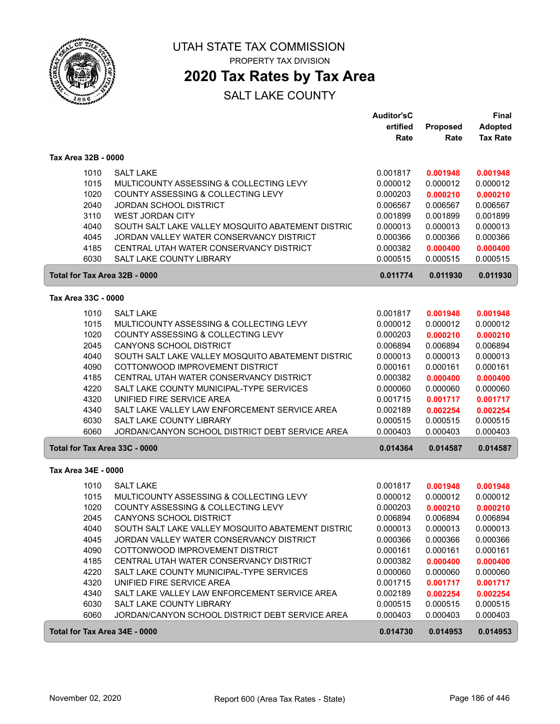

**2020 Tax Rates by Tax Area**

|                                                                                                      |                                                                                                                                                                                                                                                                                                                                                                                                                                                                                                                      | <b>Auditor'sC</b><br>ertified<br>Rate                                                                                                                    | Proposed<br>Rate                                                                                                                                         | <b>Final</b><br><b>Adopted</b><br><b>Tax Rate</b>                                                                                                        |
|------------------------------------------------------------------------------------------------------|----------------------------------------------------------------------------------------------------------------------------------------------------------------------------------------------------------------------------------------------------------------------------------------------------------------------------------------------------------------------------------------------------------------------------------------------------------------------------------------------------------------------|----------------------------------------------------------------------------------------------------------------------------------------------------------|----------------------------------------------------------------------------------------------------------------------------------------------------------|----------------------------------------------------------------------------------------------------------------------------------------------------------|
| Tax Area 32B - 0000                                                                                  |                                                                                                                                                                                                                                                                                                                                                                                                                                                                                                                      |                                                                                                                                                          |                                                                                                                                                          |                                                                                                                                                          |
| 1010<br>1015<br>1020<br>2040<br>3110<br>4040<br>4045<br>4185<br>6030                                 | <b>SALT LAKE</b><br>MULTICOUNTY ASSESSING & COLLECTING LEVY<br>COUNTY ASSESSING & COLLECTING LEVY<br><b>JORDAN SCHOOL DISTRICT</b><br><b>WEST JORDAN CITY</b><br>SOUTH SALT LAKE VALLEY MOSQUITO ABATEMENT DISTRIC<br>JORDAN VALLEY WATER CONSERVANCY DISTRICT<br>CENTRAL UTAH WATER CONSERVANCY DISTRICT<br><b>SALT LAKE COUNTY LIBRARY</b>                                                                                                                                                                         | 0.001817<br>0.000012<br>0.000203<br>0.006567<br>0.001899<br>0.000013<br>0.000366<br>0.000382<br>0.000515                                                 | 0.001948<br>0.000012<br>0.000210<br>0.006567<br>0.001899<br>0.000013<br>0.000366<br>0.000400<br>0.000515                                                 | 0.001948<br>0.000012<br>0.000210<br>0.006567<br>0.001899<br>0.000013<br>0.000366<br>0.000400<br>0.000515                                                 |
| Total for Tax Area 32B - 0000                                                                        |                                                                                                                                                                                                                                                                                                                                                                                                                                                                                                                      | 0.011774                                                                                                                                                 | 0.011930                                                                                                                                                 | 0.011930                                                                                                                                                 |
| Tax Area 33C - 0000                                                                                  |                                                                                                                                                                                                                                                                                                                                                                                                                                                                                                                      |                                                                                                                                                          |                                                                                                                                                          |                                                                                                                                                          |
| 1010<br>1015<br>1020<br>2045<br>4040<br>4090<br>4185<br>4220<br>4320<br>4340<br>6030<br>6060         | <b>SALT LAKE</b><br>MULTICOUNTY ASSESSING & COLLECTING LEVY<br>COUNTY ASSESSING & COLLECTING LEVY<br>CANYONS SCHOOL DISTRICT<br>SOUTH SALT LAKE VALLEY MOSQUITO ABATEMENT DISTRIC<br>COTTONWOOD IMPROVEMENT DISTRICT<br>CENTRAL UTAH WATER CONSERVANCY DISTRICT<br>SALT LAKE COUNTY MUNICIPAL-TYPE SERVICES<br>UNIFIED FIRE SERVICE AREA<br>SALT LAKE VALLEY LAW ENFORCEMENT SERVICE AREA<br><b>SALT LAKE COUNTY LIBRARY</b><br>JORDAN/CANYON SCHOOL DISTRICT DEBT SERVICE AREA                                      | 0.001817<br>0.000012<br>0.000203<br>0.006894<br>0.000013<br>0.000161<br>0.000382<br>0.000060<br>0.001715<br>0.002189<br>0.000515<br>0.000403             | 0.001948<br>0.000012<br>0.000210<br>0.006894<br>0.000013<br>0.000161<br>0.000400<br>0.000060<br>0.001717<br>0.002254<br>0.000515<br>0.000403             | 0.001948<br>0.000012<br>0.000210<br>0.006894<br>0.000013<br>0.000161<br>0.000400<br>0.000060<br>0.001717<br>0.002254<br>0.000515<br>0.000403             |
| Total for Tax Area 33C - 0000                                                                        |                                                                                                                                                                                                                                                                                                                                                                                                                                                                                                                      | 0.014364                                                                                                                                                 | 0.014587                                                                                                                                                 | 0.014587                                                                                                                                                 |
| Tax Area 34E - 0000                                                                                  |                                                                                                                                                                                                                                                                                                                                                                                                                                                                                                                      |                                                                                                                                                          |                                                                                                                                                          |                                                                                                                                                          |
| 1010<br>1015<br>1020<br>2045<br>4040<br>4045<br>4090<br>4185<br>4220<br>4320<br>4340<br>6030<br>6060 | <b>SALT LAKE</b><br>MULTICOUNTY ASSESSING & COLLECTING LEVY<br>COUNTY ASSESSING & COLLECTING LEVY<br>CANYONS SCHOOL DISTRICT<br>SOUTH SALT LAKE VALLEY MOSQUITO ABATEMENT DISTRIC<br>JORDAN VALLEY WATER CONSERVANCY DISTRICT<br>COTTONWOOD IMPROVEMENT DISTRICT<br>CENTRAL UTAH WATER CONSERVANCY DISTRICT<br>SALT LAKE COUNTY MUNICIPAL-TYPE SERVICES<br>UNIFIED FIRE SERVICE AREA<br>SALT LAKE VALLEY LAW ENFORCEMENT SERVICE AREA<br>SALT LAKE COUNTY LIBRARY<br>JORDAN/CANYON SCHOOL DISTRICT DEBT SERVICE AREA | 0.001817<br>0.000012<br>0.000203<br>0.006894<br>0.000013<br>0.000366<br>0.000161<br>0.000382<br>0.000060<br>0.001715<br>0.002189<br>0.000515<br>0.000403 | 0.001948<br>0.000012<br>0.000210<br>0.006894<br>0.000013<br>0.000366<br>0.000161<br>0.000400<br>0.000060<br>0.001717<br>0.002254<br>0.000515<br>0.000403 | 0.001948<br>0.000012<br>0.000210<br>0.006894<br>0.000013<br>0.000366<br>0.000161<br>0.000400<br>0.000060<br>0.001717<br>0.002254<br>0.000515<br>0.000403 |
| Total for Tax Area 34E - 0000                                                                        |                                                                                                                                                                                                                                                                                                                                                                                                                                                                                                                      | 0.014730                                                                                                                                                 | 0.014953                                                                                                                                                 | 0.014953                                                                                                                                                 |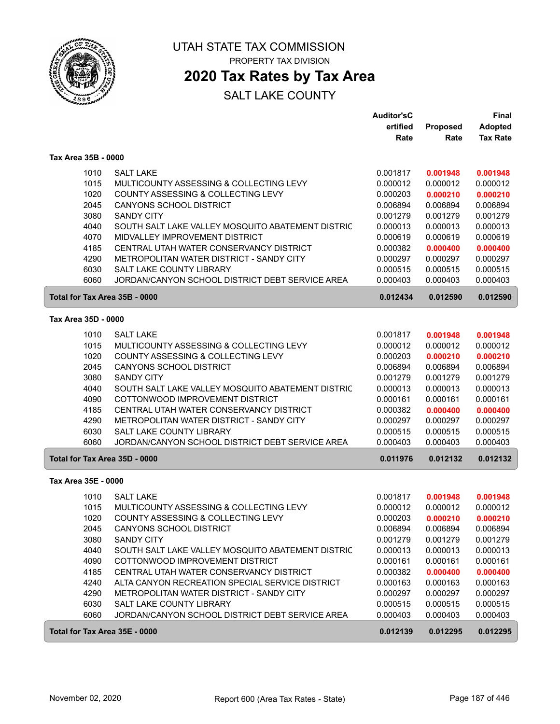

# **2020 Tax Rates by Tax Area**

|                     |                                                                                                      | <b>Auditor'sC</b>    |                      | Final                |
|---------------------|------------------------------------------------------------------------------------------------------|----------------------|----------------------|----------------------|
|                     |                                                                                                      | ertified             | <b>Proposed</b>      | <b>Adopted</b>       |
|                     |                                                                                                      | Rate                 | Rate                 | <b>Tax Rate</b>      |
| Tax Area 35B - 0000 |                                                                                                      |                      |                      |                      |
|                     | <b>SALT LAKE</b><br>1010                                                                             | 0.001817             | 0.001948             | 0.001948             |
|                     | 1015<br>MULTICOUNTY ASSESSING & COLLECTING LEVY                                                      | 0.000012             | 0.000012             | 0.000012             |
|                     | 1020<br>COUNTY ASSESSING & COLLECTING LEVY                                                           | 0.000203             | 0.000210             | 0.000210             |
|                     | 2045<br><b>CANYONS SCHOOL DISTRICT</b>                                                               | 0.006894             | 0.006894             | 0.006894             |
|                     | 3080<br><b>SANDY CITY</b>                                                                            | 0.001279             | 0.001279             | 0.001279             |
|                     | 4040<br>SOUTH SALT LAKE VALLEY MOSQUITO ABATEMENT DISTRIC                                            | 0.000013             | 0.000013             | 0.000013             |
|                     | 4070<br>MIDVALLEY IMPROVEMENT DISTRICT                                                               | 0.000619             | 0.000619             | 0.000619             |
|                     | 4185<br>CENTRAL UTAH WATER CONSERVANCY DISTRICT                                                      | 0.000382             | 0.000400             | 0.000400             |
|                     | 4290<br>METROPOLITAN WATER DISTRICT - SANDY CITY                                                     | 0.000297             | 0.000297             | 0.000297             |
|                     | 6030<br>SALT LAKE COUNTY LIBRARY                                                                     | 0.000515             | 0.000515             | 0.000515             |
|                     | 6060<br>JORDAN/CANYON SCHOOL DISTRICT DEBT SERVICE AREA                                              | 0.000403             | 0.000403             | 0.000403             |
|                     | Total for Tax Area 35B - 0000                                                                        | 0.012434             | 0.012590             | 0.012590             |
| Tax Area 35D - 0000 |                                                                                                      |                      |                      |                      |
|                     |                                                                                                      |                      |                      |                      |
|                     | 1010<br><b>SALT LAKE</b>                                                                             | 0.001817             | 0.001948             | 0.001948             |
|                     | 1015<br>MULTICOUNTY ASSESSING & COLLECTING LEVY                                                      | 0.000012             | 0.000012             | 0.000012             |
|                     | 1020<br>COUNTY ASSESSING & COLLECTING LEVY                                                           | 0.000203             | 0.000210             | 0.000210             |
|                     | 2045<br><b>CANYONS SCHOOL DISTRICT</b>                                                               | 0.006894             | 0.006894             | 0.006894             |
|                     | 3080<br><b>SANDY CITY</b>                                                                            | 0.001279             | 0.001279             | 0.001279             |
|                     | 4040<br>SOUTH SALT LAKE VALLEY MOSQUITO ABATEMENT DISTRIC<br>4090<br>COTTONWOOD IMPROVEMENT DISTRICT | 0.000013<br>0.000161 | 0.000013<br>0.000161 | 0.000013<br>0.000161 |
|                     | 4185<br>CENTRAL UTAH WATER CONSERVANCY DISTRICT                                                      | 0.000382             | 0.000400             | 0.000400             |
|                     | 4290<br>METROPOLITAN WATER DISTRICT - SANDY CITY                                                     | 0.000297             | 0.000297             | 0.000297             |
|                     | 6030<br>SALT LAKE COUNTY LIBRARY                                                                     | 0.000515             | 0.000515             | 0.000515             |
|                     | 6060<br>JORDAN/CANYON SCHOOL DISTRICT DEBT SERVICE AREA                                              | 0.000403             | 0.000403             | 0.000403             |
|                     | Total for Tax Area 35D - 0000                                                                        | 0.011976             | 0.012132             | 0.012132             |
|                     |                                                                                                      |                      |                      |                      |
| Tax Area 35E - 0000 |                                                                                                      |                      |                      |                      |
|                     | 1010<br><b>SALT LAKE</b>                                                                             | 0.001817             | 0.001948             | 0.001948             |
|                     | 1015<br>MULTICOUNTY ASSESSING & COLLECTING LEVY                                                      | 0.000012             | 0.000012             | 0.000012             |
|                     | 1020<br>COUNTY ASSESSING & COLLECTING LEVY                                                           | 0.000203             | 0.000210             | 0.000210             |
|                     | CANYONS SCHOOL DISTRICT<br>2045                                                                      | 0.006894             | 0.006894             | 0.006894             |
|                     | 3080<br><b>SANDY CITY</b>                                                                            | 0.001279             | 0.001279             | 0.001279             |
|                     | 4040<br>SOUTH SALT LAKE VALLEY MOSQUITO ABATEMENT DISTRIC                                            | 0.000013             | 0.000013             | 0.000013             |
|                     | 4090<br>COTTONWOOD IMPROVEMENT DISTRICT                                                              | 0.000161             | 0.000161             | 0.000161             |
|                     | 4185<br>CENTRAL UTAH WATER CONSERVANCY DISTRICT                                                      | 0.000382             | 0.000400             | 0.000400             |
|                     | 4240<br>ALTA CANYON RECREATION SPECIAL SERVICE DISTRICT                                              | 0.000163             | 0.000163             | 0.000163             |
|                     | 4290<br>METROPOLITAN WATER DISTRICT - SANDY CITY                                                     | 0.000297             | 0.000297             | 0.000297             |
|                     | 6030<br>SALT LAKE COUNTY LIBRARY                                                                     | 0.000515             | 0.000515             | 0.000515             |
|                     | 6060<br>JORDAN/CANYON SCHOOL DISTRICT DEBT SERVICE AREA                                              | 0.000403             | 0.000403             | 0.000403             |
|                     | Total for Tax Area 35E - 0000                                                                        | 0.012139             | 0.012295             | 0.012295             |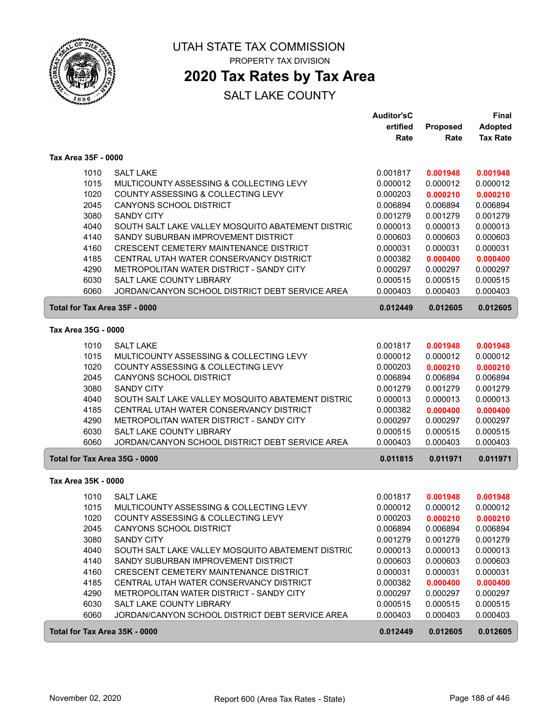

# **2020 Tax Rates by Tax Area**

|                               |                                                             | Auditor'sC           |                      | Final                |
|-------------------------------|-------------------------------------------------------------|----------------------|----------------------|----------------------|
|                               |                                                             | ertified             | Proposed             | <b>Adopted</b>       |
|                               |                                                             | Rate                 | Rate                 | <b>Tax Rate</b>      |
| Tax Area 35F - 0000           |                                                             |                      |                      |                      |
| 1010                          | <b>SALT LAKE</b>                                            | 0.001817             | 0.001948             | 0.001948             |
| 1015                          | MULTICOUNTY ASSESSING & COLLECTING LEVY                     | 0.000012             | 0.000012             | 0.000012             |
| 1020                          | COUNTY ASSESSING & COLLECTING LEVY                          | 0.000203             | 0.000210             | 0.000210             |
| 2045                          | <b>CANYONS SCHOOL DISTRICT</b>                              | 0.006894             | 0.006894             | 0.006894             |
| 3080                          | <b>SANDY CITY</b>                                           | 0.001279             | 0.001279             | 0.001279             |
| 4040                          | SOUTH SALT LAKE VALLEY MOSQUITO ABATEMENT DISTRIC           | 0.000013             | 0.000013             | 0.000013             |
| 4140                          | SANDY SUBURBAN IMPROVEMENT DISTRICT                         | 0.000603             | 0.000603             | 0.000603             |
| 4160                          | CRESCENT CEMETERY MAINTENANCE DISTRICT                      | 0.000031             | 0.000031             | 0.000031             |
| 4185                          | CENTRAL UTAH WATER CONSERVANCY DISTRICT                     | 0.000382             | 0.000400             | 0.000400             |
| 4290                          | METROPOLITAN WATER DISTRICT - SANDY CITY                    | 0.000297             | 0.000297             | 0.000297             |
| 6030                          | <b>SALT LAKE COUNTY LIBRARY</b>                             | 0.000515             | 0.000515             | 0.000515             |
| 6060                          | JORDAN/CANYON SCHOOL DISTRICT DEBT SERVICE AREA             | 0.000403             | 0.000403             | 0.000403             |
| Total for Tax Area 35F - 0000 |                                                             | 0.012449             | 0.012605             | 0.012605             |
| Tax Area 35G - 0000           |                                                             |                      |                      |                      |
|                               |                                                             |                      |                      |                      |
| 1010                          | <b>SALT LAKE</b><br>MULTICOUNTY ASSESSING & COLLECTING LEVY | 0.001817             | 0.001948             | 0.001948             |
| 1015                          |                                                             | 0.000012<br>0.000203 | 0.000012             | 0.000012             |
| 1020                          | COUNTY ASSESSING & COLLECTING LEVY                          |                      | 0.000210<br>0.006894 | 0.000210<br>0.006894 |
| 2045<br>3080                  | CANYONS SCHOOL DISTRICT<br><b>SANDY CITY</b>                | 0.006894<br>0.001279 | 0.001279             | 0.001279             |
| 4040                          | SOUTH SALT LAKE VALLEY MOSQUITO ABATEMENT DISTRIC           | 0.000013             | 0.000013             | 0.000013             |
| 4185                          | CENTRAL UTAH WATER CONSERVANCY DISTRICT                     | 0.000382             | 0.000400             | 0.000400             |
| 4290                          | METROPOLITAN WATER DISTRICT - SANDY CITY                    | 0.000297             | 0.000297             | 0.000297             |
| 6030                          | <b>SALT LAKE COUNTY LIBRARY</b>                             | 0.000515             | 0.000515             | 0.000515             |
| 6060                          | JORDAN/CANYON SCHOOL DISTRICT DEBT SERVICE AREA             | 0.000403             | 0.000403             | 0.000403             |
| Total for Tax Area 35G - 0000 |                                                             | 0.011815             | 0.011971             | 0.011971             |
|                               |                                                             |                      |                      |                      |
| Tax Area 35K - 0000           |                                                             |                      |                      |                      |
| 1010                          | <b>SALT LAKE</b>                                            | 0.001817             | 0.001948             | 0.001948             |
| 1015                          | MULTICOUNTY ASSESSING & COLLECTING LEVY                     | 0.000012             | 0.000012             | 0.000012             |
| 1020                          | COUNTY ASSESSING & COLLECTING LEVY                          | 0.000203             | 0.000210             | 0.000210             |
| 2045                          | CANYONS SCHOOL DISTRICT                                     | 0.006894             | 0.006894             | 0.006894             |
| 3080                          | <b>SANDY CITY</b>                                           | 0.001279             | 0.001279             | 0.001279             |
| 4040                          | SOUTH SALT LAKE VALLEY MOSQUITO ABATEMENT DISTRIC           | 0.000013             | 0.000013             | 0.000013             |
| 4140                          | SANDY SUBURBAN IMPROVEMENT DISTRICT                         | 0.000603             | 0.000603             | 0.000603             |
| 4160                          | CRESCENT CEMETERY MAINTENANCE DISTRICT                      | 0.000031             | 0.000031             | 0.000031             |
| 4185                          | CENTRAL UTAH WATER CONSERVANCY DISTRICT                     | 0.000382             | 0.000400             | 0.000400             |
| 4290                          | METROPOLITAN WATER DISTRICT - SANDY CITY                    | 0.000297             | 0.000297             | 0.000297             |
| 6030                          | SALT LAKE COUNTY LIBRARY                                    | 0.000515             | 0.000515             | 0.000515             |
| 6060                          | JORDAN/CANYON SCHOOL DISTRICT DEBT SERVICE AREA             | 0.000403             | 0.000403             | 0.000403             |
| Total for Tax Area 35K - 0000 |                                                             | 0.012449             | 0.012605             | 0.012605             |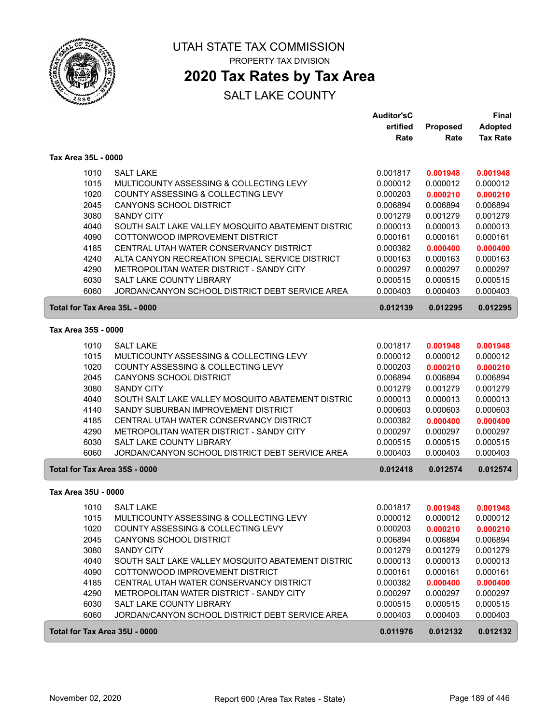

# **2020 Tax Rates by Tax Area**

|                               |                                                   | <b>Auditor'sC</b> |          | <b>Final</b>    |
|-------------------------------|---------------------------------------------------|-------------------|----------|-----------------|
|                               |                                                   | ertified          | Proposed | <b>Adopted</b>  |
|                               |                                                   | Rate              | Rate     | <b>Tax Rate</b> |
| Tax Area 35L - 0000           |                                                   |                   |          |                 |
| 1010                          | <b>SALT LAKE</b>                                  | 0.001817          | 0.001948 | 0.001948        |
| 1015                          | MULTICOUNTY ASSESSING & COLLECTING LEVY           | 0.000012          | 0.000012 | 0.000012        |
| 1020                          | COUNTY ASSESSING & COLLECTING LEVY                | 0.000203          | 0.000210 | 0.000210        |
| 2045                          | <b>CANYONS SCHOOL DISTRICT</b>                    | 0.006894          | 0.006894 | 0.006894        |
| 3080                          | <b>SANDY CITY</b>                                 | 0.001279          | 0.001279 | 0.001279        |
| 4040                          | SOUTH SALT LAKE VALLEY MOSQUITO ABATEMENT DISTRIC | 0.000013          | 0.000013 | 0.000013        |
| 4090                          | COTTONWOOD IMPROVEMENT DISTRICT                   | 0.000161          | 0.000161 | 0.000161        |
| 4185                          | CENTRAL UTAH WATER CONSERVANCY DISTRICT           | 0.000382          | 0.000400 | 0.000400        |
| 4240                          | ALTA CANYON RECREATION SPECIAL SERVICE DISTRICT   | 0.000163          | 0.000163 | 0.000163        |
| 4290                          | METROPOLITAN WATER DISTRICT - SANDY CITY          | 0.000297          | 0.000297 | 0.000297        |
| 6030                          | SALT LAKE COUNTY LIBRARY                          | 0.000515          | 0.000515 | 0.000515        |
| 6060                          | JORDAN/CANYON SCHOOL DISTRICT DEBT SERVICE AREA   | 0.000403          | 0.000403 | 0.000403        |
| Total for Tax Area 35L - 0000 |                                                   | 0.012139          | 0.012295 | 0.012295        |
| Tax Area 35S - 0000           |                                                   |                   |          |                 |
| 1010                          | <b>SALT LAKE</b>                                  | 0.001817          | 0.001948 | 0.001948        |
| 1015                          | MULTICOUNTY ASSESSING & COLLECTING LEVY           | 0.000012          | 0.000012 | 0.000012        |
| 1020                          | COUNTY ASSESSING & COLLECTING LEVY                | 0.000203          | 0.000210 | 0.000210        |
| 2045                          | CANYONS SCHOOL DISTRICT                           | 0.006894          | 0.006894 | 0.006894        |
| 3080                          | <b>SANDY CITY</b>                                 | 0.001279          | 0.001279 | 0.001279        |
| 4040                          | SOUTH SALT LAKE VALLEY MOSQUITO ABATEMENT DISTRIC | 0.000013          | 0.000013 | 0.000013        |
| 4140                          | SANDY SUBURBAN IMPROVEMENT DISTRICT               | 0.000603          | 0.000603 | 0.000603        |
| 4185                          | CENTRAL UTAH WATER CONSERVANCY DISTRICT           | 0.000382          | 0.000400 | 0.000400        |
| 4290                          | METROPOLITAN WATER DISTRICT - SANDY CITY          | 0.000297          | 0.000297 | 0.000297        |
| 6030                          | SALT LAKE COUNTY LIBRARY                          | 0.000515          | 0.000515 | 0.000515        |
| 6060                          | JORDAN/CANYON SCHOOL DISTRICT DEBT SERVICE AREA   | 0.000403          | 0.000403 | 0.000403        |
| Total for Tax Area 35S - 0000 |                                                   | 0.012418          | 0.012574 | 0.012574        |
| Tax Area 35U - 0000           |                                                   |                   |          |                 |
| 1010                          | <b>SALT LAKE</b>                                  | 0.001817          | 0.001948 | 0.001948        |
| 1015                          | MULTICOUNTY ASSESSING & COLLECTING LEVY           | 0.000012          | 0.000012 | 0.000012        |
| 1020                          | COUNTY ASSESSING & COLLECTING LEVY                | 0.000203          | 0.000210 | 0.000210        |
| 2045                          | CANYONS SCHOOL DISTRICT                           | 0.006894          | 0.006894 | 0.006894        |
| 3080                          | SANDY CITY                                        | 0.001279          | 0.001279 | 0.001279        |
| 4040                          | SOUTH SALT LAKE VALLEY MOSQUITO ABATEMENT DISTRIC | 0.000013          | 0.000013 | 0.000013        |
| 4090                          | COTTONWOOD IMPROVEMENT DISTRICT                   | 0.000161          | 0.000161 | 0.000161        |
| 4185                          | CENTRAL UTAH WATER CONSERVANCY DISTRICT           | 0.000382          | 0.000400 | 0.000400        |
| 4290                          | METROPOLITAN WATER DISTRICT - SANDY CITY          | 0.000297          | 0.000297 | 0.000297        |
| 6030                          | SALT LAKE COUNTY LIBRARY                          | 0.000515          | 0.000515 | 0.000515        |
| 6060                          | JORDAN/CANYON SCHOOL DISTRICT DEBT SERVICE AREA   | 0.000403          | 0.000403 | 0.000403        |
| Total for Tax Area 35U - 0000 |                                                   | 0.011976          | 0.012132 | 0.012132        |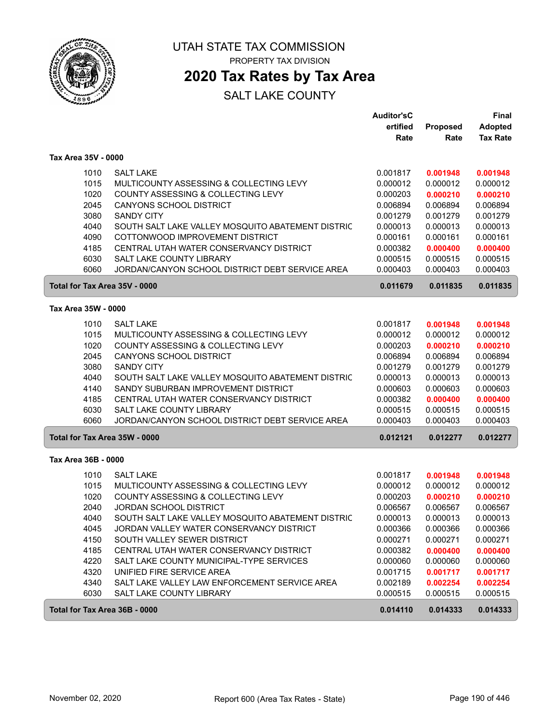

ſ

UTAH STATE TAX COMMISSION PROPERTY TAX DIVISION

**2020 Tax Rates by Tax Area**

|                               |                                                                                    | Auditor'sC |                 | <b>Final</b>    |
|-------------------------------|------------------------------------------------------------------------------------|------------|-----------------|-----------------|
|                               |                                                                                    | ertified   | <b>Proposed</b> | <b>Adopted</b>  |
|                               |                                                                                    | Rate       | Rate            | <b>Tax Rate</b> |
| Tax Area 35V - 0000           |                                                                                    |            |                 |                 |
| 1010                          | <b>SALT LAKE</b>                                                                   | 0.001817   | 0.001948        | 0.001948        |
| 1015                          | MULTICOUNTY ASSESSING & COLLECTING LEVY                                            | 0.000012   | 0.000012        | 0.000012        |
| 1020                          | COUNTY ASSESSING & COLLECTING LEVY                                                 | 0.000203   | 0.000210        | 0.000210        |
| 2045                          | <b>CANYONS SCHOOL DISTRICT</b>                                                     | 0.006894   | 0.006894        | 0.006894        |
| 3080                          | <b>SANDY CITY</b>                                                                  | 0.001279   | 0.001279        | 0.001279        |
| 4040                          | SOUTH SALT LAKE VALLEY MOSQUITO ABATEMENT DISTRIC                                  | 0.000013   | 0.000013        | 0.000013        |
| 4090                          | COTTONWOOD IMPROVEMENT DISTRICT                                                    | 0.000161   | 0.000161        | 0.000161        |
| 4185                          | CENTRAL UTAH WATER CONSERVANCY DISTRICT                                            | 0.000382   | 0.000400        | 0.000400        |
| 6030                          | <b>SALT LAKE COUNTY LIBRARY</b>                                                    | 0.000515   | 0.000515        | 0.000515        |
| 6060                          | JORDAN/CANYON SCHOOL DISTRICT DEBT SERVICE AREA                                    | 0.000403   | 0.000403        | 0.000403        |
| Total for Tax Area 35V - 0000 |                                                                                    | 0.011679   | 0.011835        | 0.011835        |
| Tax Area 35W - 0000           |                                                                                    |            |                 |                 |
|                               |                                                                                    |            |                 |                 |
| 1010                          | <b>SALT LAKE</b>                                                                   | 0.001817   | 0.001948        | 0.001948        |
| 1015                          | MULTICOUNTY ASSESSING & COLLECTING LEVY                                            | 0.000012   | 0.000012        | 0.000012        |
| 1020                          | COUNTY ASSESSING & COLLECTING LEVY                                                 | 0.000203   | 0.000210        | 0.000210        |
| 2045                          | CANYONS SCHOOL DISTRICT                                                            | 0.006894   | 0.006894        | 0.006894        |
| 3080                          | <b>SANDY CITY</b>                                                                  | 0.001279   | 0.001279        | 0.001279        |
| 4040                          | SOUTH SALT LAKE VALLEY MOSQUITO ABATEMENT DISTRIC                                  | 0.000013   | 0.000013        | 0.000013        |
| 4140                          | SANDY SUBURBAN IMPROVEMENT DISTRICT                                                | 0.000603   | 0.000603        | 0.000603        |
| 4185                          | CENTRAL UTAH WATER CONSERVANCY DISTRICT                                            | 0.000382   | 0.000400        | 0.000400        |
| 6030                          | <b>SALT LAKE COUNTY LIBRARY</b><br>JORDAN/CANYON SCHOOL DISTRICT DEBT SERVICE AREA | 0.000515   | 0.000515        | 0.000515        |
| 6060                          |                                                                                    | 0.000403   | 0.000403        | 0.000403        |
| Total for Tax Area 35W - 0000 |                                                                                    | 0.012121   | 0.012277        | 0.012277        |
| Tax Area 36B - 0000           |                                                                                    |            |                 |                 |
| 1010                          | <b>SALT LAKE</b>                                                                   | 0.001817   | 0.001948        | 0.001948        |
| 1015                          | MULTICOUNTY ASSESSING & COLLECTING LEVY                                            | 0.000012   | 0.000012        | 0.000012        |
| 1020                          | COUNTY ASSESSING & COLLECTING LEVY                                                 | 0.000203   | 0.000210        | 0.000210        |
| 2040                          | <b>JORDAN SCHOOL DISTRICT</b>                                                      | 0.006567   | 0.006567        | 0.006567        |
| 4040                          | SOUTH SALT LAKE VALLEY MOSQUITO ABATEMENT DISTRIC                                  | 0.000013   | 0.000013        | 0.000013        |
| 4045                          | JORDAN VALLEY WATER CONSERVANCY DISTRICT                                           | 0.000366   | 0.000366        | 0.000366        |
| 4150                          | SOUTH VALLEY SEWER DISTRICT                                                        | 0.000271   | 0.000271        | 0.000271        |
| 4185                          | CENTRAL UTAH WATER CONSERVANCY DISTRICT                                            | 0.000382   | 0.000400        | 0.000400        |
| 4220                          | SALT LAKE COUNTY MUNICIPAL-TYPE SERVICES                                           | 0.000060   | 0.000060        | 0.000060        |
| 4320                          | UNIFIED FIRE SERVICE AREA                                                          | 0.001715   | 0.001717        | 0.001717        |
| 4340                          | SALT LAKE VALLEY LAW ENFORCEMENT SERVICE AREA                                      | 0.002189   | 0.002254        | 0.002254        |
| 6030                          | SALT LAKE COUNTY LIBRARY                                                           | 0.000515   | 0.000515        | 0.000515        |
| Total for Tax Area 36B - 0000 |                                                                                    | 0.014110   | 0.014333        | 0.014333        |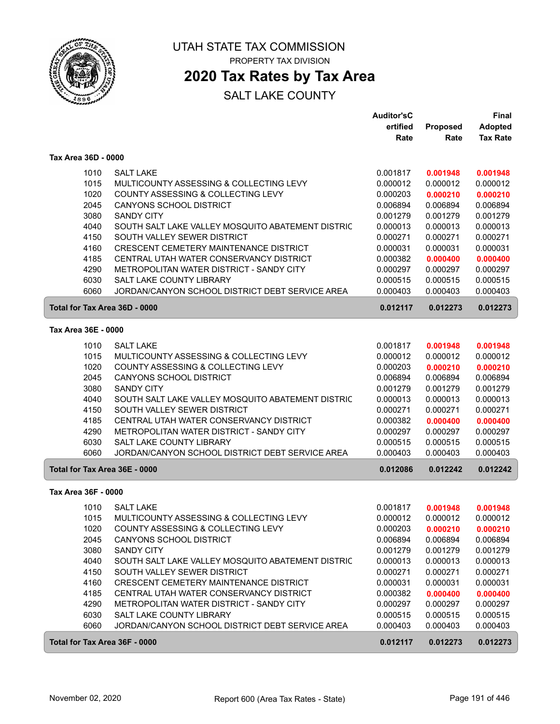

# **2020 Tax Rates by Tax Area**

|                               |                                                   | <b>Auditor'sC</b> |                 | Final           |
|-------------------------------|---------------------------------------------------|-------------------|-----------------|-----------------|
|                               |                                                   | ertified          | <b>Proposed</b> | <b>Adopted</b>  |
|                               |                                                   | Rate              | Rate            | <b>Tax Rate</b> |
| Tax Area 36D - 0000           |                                                   |                   |                 |                 |
| 1010                          | <b>SALT LAKE</b>                                  | 0.001817          | 0.001948        | 0.001948        |
| 1015                          | MULTICOUNTY ASSESSING & COLLECTING LEVY           | 0.000012          | 0.000012        | 0.000012        |
| 1020                          | COUNTY ASSESSING & COLLECTING LEVY                | 0.000203          | 0.000210        | 0.000210        |
| 2045                          | CANYONS SCHOOL DISTRICT                           | 0.006894          | 0.006894        | 0.006894        |
| 3080                          | <b>SANDY CITY</b>                                 | 0.001279          | 0.001279        | 0.001279        |
| 4040                          | SOUTH SALT LAKE VALLEY MOSQUITO ABATEMENT DISTRIC | 0.000013          | 0.000013        | 0.000013        |
| 4150                          | SOUTH VALLEY SEWER DISTRICT                       | 0.000271          | 0.000271        | 0.000271        |
| 4160                          | <b>CRESCENT CEMETERY MAINTENANCE DISTRICT</b>     | 0.000031          | 0.000031        | 0.000031        |
| 4185                          | CENTRAL UTAH WATER CONSERVANCY DISTRICT           | 0.000382          | 0.000400        | 0.000400        |
| 4290                          | METROPOLITAN WATER DISTRICT - SANDY CITY          | 0.000297          | 0.000297        | 0.000297        |
| 6030                          | SALT LAKE COUNTY LIBRARY                          | 0.000515          | 0.000515        | 0.000515        |
| 6060                          | JORDAN/CANYON SCHOOL DISTRICT DEBT SERVICE AREA   | 0.000403          | 0.000403        | 0.000403        |
| Total for Tax Area 36D - 0000 |                                                   | 0.012117          | 0.012273        | 0.012273        |
|                               |                                                   |                   |                 |                 |
| Tax Area 36E - 0000           |                                                   |                   |                 |                 |
| 1010                          | <b>SALT LAKE</b>                                  | 0.001817          | 0.001948        | 0.001948        |
| 1015                          | MULTICOUNTY ASSESSING & COLLECTING LEVY           | 0.000012          | 0.000012        | 0.000012        |
| 1020                          | COUNTY ASSESSING & COLLECTING LEVY                | 0.000203          | 0.000210        | 0.000210        |
| 2045                          | <b>CANYONS SCHOOL DISTRICT</b>                    | 0.006894          | 0.006894        | 0.006894        |
| 3080                          | <b>SANDY CITY</b>                                 | 0.001279          | 0.001279        | 0.001279        |
| 4040                          | SOUTH SALT LAKE VALLEY MOSQUITO ABATEMENT DISTRIC | 0.000013          | 0.000013        | 0.000013        |
| 4150                          | SOUTH VALLEY SEWER DISTRICT                       | 0.000271          | 0.000271        | 0.000271        |
| 4185                          | CENTRAL UTAH WATER CONSERVANCY DISTRICT           | 0.000382          | 0.000400        | 0.000400        |
| 4290                          | METROPOLITAN WATER DISTRICT - SANDY CITY          | 0.000297          | 0.000297        | 0.000297        |
| 6030                          | SALT LAKE COUNTY LIBRARY                          | 0.000515          | 0.000515        | 0.000515        |
| 6060                          | JORDAN/CANYON SCHOOL DISTRICT DEBT SERVICE AREA   | 0.000403          | 0.000403        | 0.000403        |
| Total for Tax Area 36E - 0000 |                                                   | 0.012086          | 0.012242        | 0.012242        |
| Tax Area 36F - 0000           |                                                   |                   |                 |                 |
| 1010                          | <b>SALT LAKE</b>                                  | 0.001817          | 0.001948        | 0.001948        |
| 1015                          | MULTICOUNTY ASSESSING & COLLECTING LEVY           | 0.000012          | 0.000012        | 0.000012        |
| 1020                          | COUNTY ASSESSING & COLLECTING LEVY                | 0.000203          | 0.000210        | 0.000210        |
| 2045                          | <b>CANYONS SCHOOL DISTRICT</b>                    | 0.006894          | 0.006894        | 0.006894        |
| 3080                          | <b>SANDY CITY</b>                                 | 0.001279          | 0.001279        | 0.001279        |
| 4040                          | SOUTH SALT LAKE VALLEY MOSQUITO ABATEMENT DISTRIC | 0.000013          | 0.000013        | 0.000013        |
| 4150                          | SOUTH VALLEY SEWER DISTRICT                       | 0.000271          | 0.000271        | 0.000271        |
| 4160                          | <b>CRESCENT CEMETERY MAINTENANCE DISTRICT</b>     | 0.000031          | 0.000031        | 0.000031        |
| 4185                          | CENTRAL UTAH WATER CONSERVANCY DISTRICT           | 0.000382          | 0.000400        | 0.000400        |
| 4290                          | METROPOLITAN WATER DISTRICT - SANDY CITY          | 0.000297          | 0.000297        | 0.000297        |
| 6030                          | SALT LAKE COUNTY LIBRARY                          | 0.000515          | 0.000515        | 0.000515        |
| 6060                          | JORDAN/CANYON SCHOOL DISTRICT DEBT SERVICE AREA   | 0.000403          | 0.000403        | 0.000403        |
| Total for Tax Area 36F - 0000 |                                                   | 0.012117          | 0.012273        | 0.012273        |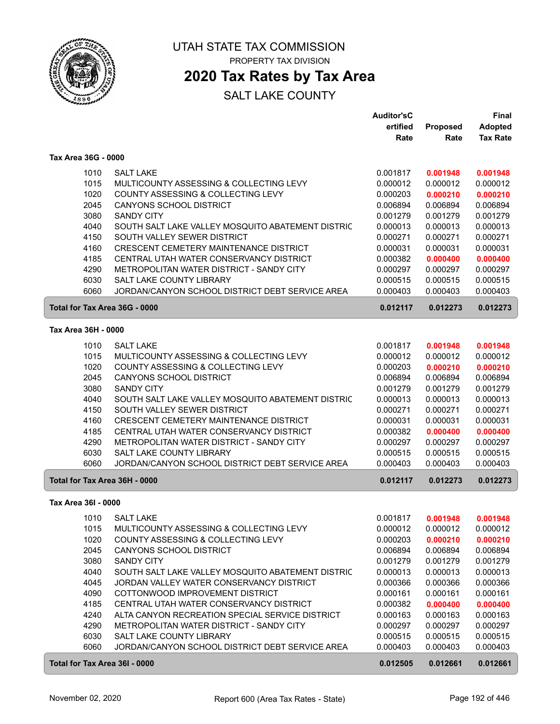

# **2020 Tax Rates by Tax Area**

|                     |                                                                             | <b>Auditor'sC</b>    |                      | <b>Final</b>         |
|---------------------|-----------------------------------------------------------------------------|----------------------|----------------------|----------------------|
|                     |                                                                             | ertified             | <b>Proposed</b>      | <b>Adopted</b>       |
|                     |                                                                             | Rate                 | Rate                 | <b>Tax Rate</b>      |
| Tax Area 36G - 0000 |                                                                             |                      |                      |                      |
|                     |                                                                             |                      |                      |                      |
| 1010                | <b>SALT LAKE</b>                                                            | 0.001817             | 0.001948             | 0.001948             |
| 1015                | MULTICOUNTY ASSESSING & COLLECTING LEVY                                     | 0.000012             | 0.000012             | 0.000012             |
| 1020                | COUNTY ASSESSING & COLLECTING LEVY                                          | 0.000203             | 0.000210             | 0.000210             |
| 2045                | CANYONS SCHOOL DISTRICT                                                     | 0.006894             | 0.006894             | 0.006894             |
| 3080                | <b>SANDY CITY</b>                                                           | 0.001279             | 0.001279             | 0.001279             |
| 4040                | SOUTH SALT LAKE VALLEY MOSQUITO ABATEMENT DISTRIC                           | 0.000013             | 0.000013             | 0.000013             |
| 4150                | SOUTH VALLEY SEWER DISTRICT                                                 | 0.000271             | 0.000271             | 0.000271             |
| 4160                | CRESCENT CEMETERY MAINTENANCE DISTRICT                                      | 0.000031             | 0.000031             | 0.000031             |
| 4185                | CENTRAL UTAH WATER CONSERVANCY DISTRICT                                     | 0.000382             | 0.000400             | 0.000400             |
| 4290                | METROPOLITAN WATER DISTRICT - SANDY CITY                                    | 0.000297             | 0.000297             | 0.000297             |
| 6030<br>6060        | SALT LAKE COUNTY LIBRARY<br>JORDAN/CANYON SCHOOL DISTRICT DEBT SERVICE AREA | 0.000515<br>0.000403 | 0.000515<br>0.000403 | 0.000515<br>0.000403 |
|                     |                                                                             |                      |                      |                      |
|                     | Total for Tax Area 36G - 0000                                               | 0.012117             | 0.012273             | 0.012273             |
| Tax Area 36H - 0000 |                                                                             |                      |                      |                      |
| 1010                | <b>SALT LAKE</b>                                                            | 0.001817             | 0.001948             | 0.001948             |
| 1015                | MULTICOUNTY ASSESSING & COLLECTING LEVY                                     | 0.000012             | 0.000012             | 0.000012             |
| 1020                | COUNTY ASSESSING & COLLECTING LEVY                                          | 0.000203             | 0.000210             | 0.000210             |
| 2045                | CANYONS SCHOOL DISTRICT                                                     | 0.006894             | 0.006894             | 0.006894             |
| 3080                | <b>SANDY CITY</b>                                                           | 0.001279             | 0.001279             | 0.001279             |
| 4040                | SOUTH SALT LAKE VALLEY MOSQUITO ABATEMENT DISTRIC                           | 0.000013             | 0.000013             | 0.000013             |
| 4150                | SOUTH VALLEY SEWER DISTRICT                                                 | 0.000271             | 0.000271             | 0.000271             |
| 4160                | CRESCENT CEMETERY MAINTENANCE DISTRICT                                      | 0.000031             | 0.000031             | 0.000031             |
| 4185                | CENTRAL UTAH WATER CONSERVANCY DISTRICT                                     | 0.000382             | 0.000400             | 0.000400             |
| 4290                | METROPOLITAN WATER DISTRICT - SANDY CITY                                    | 0.000297             | 0.000297             | 0.000297             |
| 6030                | SALT LAKE COUNTY LIBRARY                                                    | 0.000515             | 0.000515             | 0.000515             |
| 6060                | JORDAN/CANYON SCHOOL DISTRICT DEBT SERVICE AREA                             | 0.000403             | 0.000403             | 0.000403             |
|                     | Total for Tax Area 36H - 0000                                               | 0.012117             | 0.012273             | 0.012273             |
|                     |                                                                             |                      |                      |                      |
| Tax Area 36I - 0000 |                                                                             |                      |                      |                      |
|                     | 1010 SALT LAKE                                                              | 0.001817             | 0.001948             | 0.001948             |
| 1015                | MULTICOUNTY ASSESSING & COLLECTING LEVY                                     | 0.000012             | 0.000012             | 0.000012             |
| 1020                | COUNTY ASSESSING & COLLECTING LEVY                                          | 0.000203             | 0.000210             | 0.000210             |
| 2045                | <b>CANYONS SCHOOL DISTRICT</b>                                              | 0.006894             | 0.006894             | 0.006894             |
| 3080                | <b>SANDY CITY</b>                                                           | 0.001279             | 0.001279             | 0.001279             |
| 4040                | SOUTH SALT LAKE VALLEY MOSQUITO ABATEMENT DISTRIC                           | 0.000013             | 0.000013             | 0.000013             |
| 4045                | JORDAN VALLEY WATER CONSERVANCY DISTRICT                                    | 0.000366             | 0.000366             | 0.000366             |
| 4090                | COTTONWOOD IMPROVEMENT DISTRICT                                             | 0.000161             | 0.000161             | 0.000161             |
| 4185                | CENTRAL UTAH WATER CONSERVANCY DISTRICT                                     | 0.000382             | 0.000400             | 0.000400             |
| 4240                | ALTA CANYON RECREATION SPECIAL SERVICE DISTRICT                             | 0.000163             | 0.000163             | 0.000163             |
| 4290                | METROPOLITAN WATER DISTRICT - SANDY CITY                                    | 0.000297             | 0.000297             | 0.000297             |
| 6030                | SALT LAKE COUNTY LIBRARY                                                    | 0.000515             | 0.000515             | 0.000515             |
| 6060                | JORDAN/CANYON SCHOOL DISTRICT DEBT SERVICE AREA                             | 0.000403             | 0.000403             | 0.000403             |
|                     | Total for Tax Area 36I - 0000                                               | 0.012505             | 0.012661             | 0.012661             |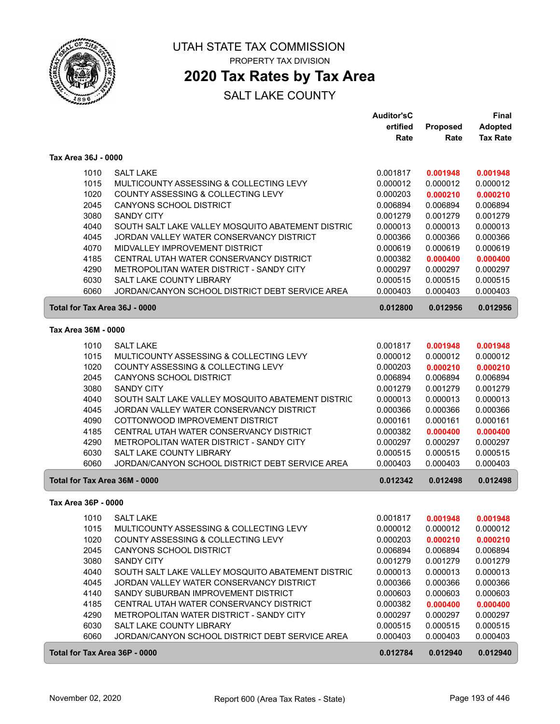

# **2020 Tax Rates by Tax Area**

|                               |                                                   | <b>Auditor'sC</b> |          | Final           |
|-------------------------------|---------------------------------------------------|-------------------|----------|-----------------|
|                               |                                                   | ertified          | Proposed | <b>Adopted</b>  |
|                               |                                                   | Rate              | Rate     | <b>Tax Rate</b> |
| Tax Area 36J - 0000           |                                                   |                   |          |                 |
| 1010                          | <b>SALT LAKE</b>                                  | 0.001817          | 0.001948 | 0.001948        |
| 1015                          | MULTICOUNTY ASSESSING & COLLECTING LEVY           | 0.000012          | 0.000012 | 0.000012        |
| 1020                          | COUNTY ASSESSING & COLLECTING LEVY                | 0.000203          | 0.000210 | 0.000210        |
| 2045                          | CANYONS SCHOOL DISTRICT                           | 0.006894          | 0.006894 | 0.006894        |
| 3080                          | <b>SANDY CITY</b>                                 | 0.001279          | 0.001279 | 0.001279        |
| 4040                          | SOUTH SALT LAKE VALLEY MOSQUITO ABATEMENT DISTRIC | 0.000013          | 0.000013 | 0.000013        |
| 4045                          | JORDAN VALLEY WATER CONSERVANCY DISTRICT          | 0.000366          | 0.000366 | 0.000366        |
| 4070                          | MIDVALLEY IMPROVEMENT DISTRICT                    | 0.000619          | 0.000619 | 0.000619        |
| 4185                          | CENTRAL UTAH WATER CONSERVANCY DISTRICT           | 0.000382          | 0.000400 | 0.000400        |
| 4290                          | METROPOLITAN WATER DISTRICT - SANDY CITY          | 0.000297          | 0.000297 | 0.000297        |
| 6030                          | SALT LAKE COUNTY LIBRARY                          | 0.000515          | 0.000515 | 0.000515        |
| 6060                          | JORDAN/CANYON SCHOOL DISTRICT DEBT SERVICE AREA   | 0.000403          | 0.000403 | 0.000403        |
| Total for Tax Area 36J - 0000 |                                                   | 0.012800          | 0.012956 | 0.012956        |
| Tax Area 36M - 0000           |                                                   |                   |          |                 |
| 1010                          | <b>SALT LAKE</b>                                  | 0.001817          | 0.001948 | 0.001948        |
| 1015                          | MULTICOUNTY ASSESSING & COLLECTING LEVY           | 0.000012          | 0.000012 | 0.000012        |
| 1020                          | COUNTY ASSESSING & COLLECTING LEVY                | 0.000203          | 0.000210 | 0.000210        |
| 2045                          | <b>CANYONS SCHOOL DISTRICT</b>                    | 0.006894          | 0.006894 | 0.006894        |
| 3080                          | <b>SANDY CITY</b>                                 | 0.001279          | 0.001279 | 0.001279        |
| 4040                          | SOUTH SALT LAKE VALLEY MOSQUITO ABATEMENT DISTRIC | 0.000013          | 0.000013 | 0.000013        |
| 4045                          | JORDAN VALLEY WATER CONSERVANCY DISTRICT          | 0.000366          | 0.000366 | 0.000366        |
| 4090                          | COTTONWOOD IMPROVEMENT DISTRICT                   | 0.000161          | 0.000161 | 0.000161        |
| 4185                          | CENTRAL UTAH WATER CONSERVANCY DISTRICT           | 0.000382          | 0.000400 | 0.000400        |
| 4290                          | METROPOLITAN WATER DISTRICT - SANDY CITY          | 0.000297          | 0.000297 | 0.000297        |
| 6030                          | SALT LAKE COUNTY LIBRARY                          | 0.000515          | 0.000515 | 0.000515        |
| 6060                          | JORDAN/CANYON SCHOOL DISTRICT DEBT SERVICE AREA   | 0.000403          | 0.000403 | 0.000403        |
| Total for Tax Area 36M - 0000 |                                                   | 0.012342          | 0.012498 | 0.012498        |
| Tax Area 36P - 0000           |                                                   |                   |          |                 |
| 1010                          | <b>SALT LAKE</b>                                  | 0.001817          | 0.001948 | 0.001948        |
| 1015                          | MULTICOUNTY ASSESSING & COLLECTING LEVY           | 0.000012          | 0.000012 | 0.000012        |
| 1020                          | COUNTY ASSESSING & COLLECTING LEVY                | 0.000203          | 0.000210 | 0.000210        |
| 2045                          | CANYONS SCHOOL DISTRICT                           | 0.006894          | 0.006894 | 0.006894        |
| 3080                          | <b>SANDY CITY</b>                                 | 0.001279          | 0.001279 | 0.001279        |
| 4040                          | SOUTH SALT LAKE VALLEY MOSQUITO ABATEMENT DISTRIC | 0.000013          | 0.000013 | 0.000013        |
| 4045                          | JORDAN VALLEY WATER CONSERVANCY DISTRICT          | 0.000366          | 0.000366 | 0.000366        |
| 4140                          | SANDY SUBURBAN IMPROVEMENT DISTRICT               | 0.000603          | 0.000603 | 0.000603        |
| 4185                          | CENTRAL UTAH WATER CONSERVANCY DISTRICT           | 0.000382          | 0.000400 | 0.000400        |
| 4290                          | METROPOLITAN WATER DISTRICT - SANDY CITY          | 0.000297          | 0.000297 | 0.000297        |
| 6030                          | SALT LAKE COUNTY LIBRARY                          | 0.000515          | 0.000515 | 0.000515        |
| 6060                          | JORDAN/CANYON SCHOOL DISTRICT DEBT SERVICE AREA   | 0.000403          | 0.000403 | 0.000403        |
| Total for Tax Area 36P - 0000 |                                                   | 0.012784          | 0.012940 | 0.012940        |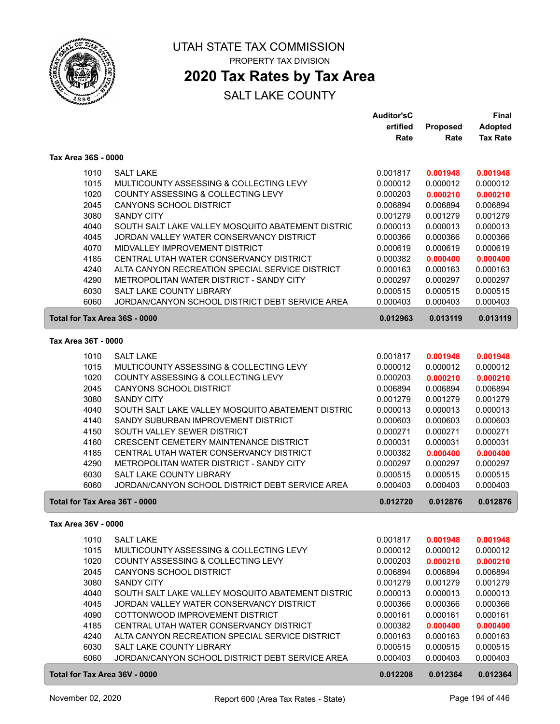

# **2020 Tax Rates by Tax Area**

|                               |                                                                                   | <b>Auditor'sC</b>    |                      | Final                |
|-------------------------------|-----------------------------------------------------------------------------------|----------------------|----------------------|----------------------|
|                               |                                                                                   | ertified             | Proposed             | <b>Adopted</b>       |
|                               |                                                                                   | Rate                 | Rate                 | <b>Tax Rate</b>      |
| Tax Area 36S - 0000           |                                                                                   |                      |                      |                      |
| 1010                          | <b>SALT LAKE</b>                                                                  | 0.001817             | 0.001948             | 0.001948             |
| 1015                          | MULTICOUNTY ASSESSING & COLLECTING LEVY                                           | 0.000012             | 0.000012             | 0.000012             |
| 1020                          | COUNTY ASSESSING & COLLECTING LEVY                                                | 0.000203             | 0.000210             | 0.000210             |
| 2045                          | CANYONS SCHOOL DISTRICT                                                           | 0.006894             | 0.006894             | 0.006894             |
| 3080                          | <b>SANDY CITY</b>                                                                 | 0.001279             | 0.001279             | 0.001279             |
| 4040                          | SOUTH SALT LAKE VALLEY MOSQUITO ABATEMENT DISTRIC                                 | 0.000013             | 0.000013             | 0.000013             |
| 4045                          | JORDAN VALLEY WATER CONSERVANCY DISTRICT                                          | 0.000366             | 0.000366             | 0.000366             |
| 4070                          | MIDVALLEY IMPROVEMENT DISTRICT                                                    | 0.000619             | 0.000619             | 0.000619             |
| 4185                          | CENTRAL UTAH WATER CONSERVANCY DISTRICT                                           | 0.000382             | 0.000400             | 0.000400             |
| 4240                          | ALTA CANYON RECREATION SPECIAL SERVICE DISTRICT                                   | 0.000163             | 0.000163             | 0.000163             |
| 4290                          | METROPOLITAN WATER DISTRICT - SANDY CITY                                          | 0.000297             | 0.000297             | 0.000297             |
| 6030                          | <b>SALT LAKE COUNTY LIBRARY</b>                                                   | 0.000515             | 0.000515             | 0.000515             |
| 6060                          | JORDAN/CANYON SCHOOL DISTRICT DEBT SERVICE AREA                                   | 0.000403             | 0.000403             | 0.000403             |
| Total for Tax Area 36S - 0000 |                                                                                   | 0.012963             | 0.013119             | 0.013119             |
| Tax Area 36T - 0000           |                                                                                   |                      |                      |                      |
|                               |                                                                                   |                      |                      |                      |
| 1010                          | SALT LAKE                                                                         | 0.001817             | 0.001948             | 0.001948             |
| 1015                          | MULTICOUNTY ASSESSING & COLLECTING LEVY                                           | 0.000012             | 0.000012             | 0.000012             |
| 1020                          | COUNTY ASSESSING & COLLECTING LEVY                                                | 0.000203             | 0.000210             | 0.000210             |
| 2045                          | <b>CANYONS SCHOOL DISTRICT</b>                                                    | 0.006894             | 0.006894             | 0.006894             |
| 3080                          | <b>SANDY CITY</b>                                                                 | 0.001279             | 0.001279             | 0.001279             |
| 4040                          | SOUTH SALT LAKE VALLEY MOSQUITO ABATEMENT DISTRIC                                 | 0.000013             | 0.000013             | 0.000013             |
| 4140                          | SANDY SUBURBAN IMPROVEMENT DISTRICT                                               | 0.000603             | 0.000603             | 0.000603             |
| 4150                          | SOUTH VALLEY SEWER DISTRICT                                                       | 0.000271             | 0.000271             | 0.000271             |
| 4160<br>4185                  | CRESCENT CEMETERY MAINTENANCE DISTRICT<br>CENTRAL UTAH WATER CONSERVANCY DISTRICT | 0.000031<br>0.000382 | 0.000031             | 0.000031             |
| 4290                          | METROPOLITAN WATER DISTRICT - SANDY CITY                                          | 0.000297             | 0.000400<br>0.000297 | 0.000400<br>0.000297 |
| 6030                          | SALT LAKE COUNTY LIBRARY                                                          | 0.000515             | 0.000515             | 0.000515             |
| 6060                          | JORDAN/CANYON SCHOOL DISTRICT DEBT SERVICE AREA                                   | 0.000403             | 0.000403             | 0.000403             |
|                               |                                                                                   |                      |                      |                      |
| Total for Tax Area 36T - 0000 |                                                                                   | 0.012720             | 0.012876             | 0.012876             |
| Tax Area 36V - 0000           |                                                                                   |                      |                      |                      |
| 1010                          | <b>SALT LAKE</b>                                                                  | 0.001817             | 0.001948             | 0.001948             |
| 1015                          | MULTICOUNTY ASSESSING & COLLECTING LEVY                                           | 0.000012             | 0.000012             | 0.000012             |
| 1020                          | COUNTY ASSESSING & COLLECTING LEVY                                                | 0.000203             | 0.000210             | 0.000210             |
| 2045                          | CANYONS SCHOOL DISTRICT                                                           | 0.006894             | 0.006894             | 0.006894             |
| 3080                          | <b>SANDY CITY</b>                                                                 | 0.001279             | 0.001279             | 0.001279             |
| 4040                          | SOUTH SALT LAKE VALLEY MOSQUITO ABATEMENT DISTRIC                                 | 0.000013             | 0.000013             | 0.000013             |
| 4045                          | JORDAN VALLEY WATER CONSERVANCY DISTRICT                                          | 0.000366             | 0.000366             | 0.000366             |
| 4090                          | COTTONWOOD IMPROVEMENT DISTRICT                                                   | 0.000161             | 0.000161             | 0.000161             |
| 4185                          | CENTRAL UTAH WATER CONSERVANCY DISTRICT                                           | 0.000382             | 0.000400             | 0.000400             |
| 4240                          | ALTA CANYON RECREATION SPECIAL SERVICE DISTRICT                                   | 0.000163             | 0.000163             | 0.000163             |
| 6030                          | SALT LAKE COUNTY LIBRARY                                                          | 0.000515             | 0.000515             | 0.000515             |
| 6060                          | JORDAN/CANYON SCHOOL DISTRICT DEBT SERVICE AREA                                   | 0.000403             | 0.000403             | 0.000403             |
| Total for Tax Area 36V - 0000 |                                                                                   | 0.012208             | 0.012364             | 0.012364             |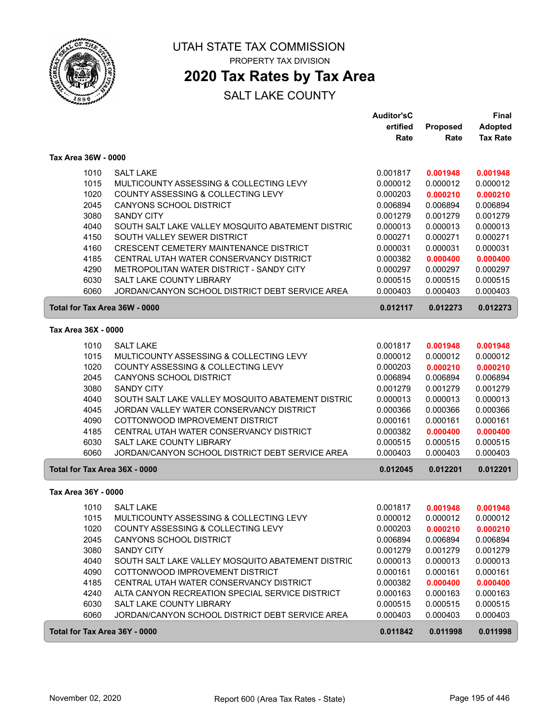

# **2020 Tax Rates by Tax Area**

|                               |                                                   | <b>Auditor'sC</b> |          | Final           |
|-------------------------------|---------------------------------------------------|-------------------|----------|-----------------|
|                               |                                                   | ertified          | Proposed | <b>Adopted</b>  |
|                               |                                                   | Rate              | Rate     | <b>Tax Rate</b> |
| Tax Area 36W - 0000           |                                                   |                   |          |                 |
| 1010                          | <b>SALT LAKE</b>                                  | 0.001817          | 0.001948 | 0.001948        |
| 1015                          | MULTICOUNTY ASSESSING & COLLECTING LEVY           | 0.000012          | 0.000012 | 0.000012        |
| 1020                          | COUNTY ASSESSING & COLLECTING LEVY                | 0.000203          | 0.000210 | 0.000210        |
| 2045                          | <b>CANYONS SCHOOL DISTRICT</b>                    | 0.006894          | 0.006894 | 0.006894        |
| 3080                          | <b>SANDY CITY</b>                                 | 0.001279          | 0.001279 | 0.001279        |
| 4040                          | SOUTH SALT LAKE VALLEY MOSQUITO ABATEMENT DISTRIC | 0.000013          | 0.000013 | 0.000013        |
| 4150                          | SOUTH VALLEY SEWER DISTRICT                       | 0.000271          | 0.000271 | 0.000271        |
| 4160                          | CRESCENT CEMETERY MAINTENANCE DISTRICT            | 0.000031          | 0.000031 | 0.000031        |
| 4185                          | CENTRAL UTAH WATER CONSERVANCY DISTRICT           | 0.000382          | 0.000400 | 0.000400        |
| 4290                          | METROPOLITAN WATER DISTRICT - SANDY CITY          | 0.000297          | 0.000297 | 0.000297        |
| 6030                          | SALT LAKE COUNTY LIBRARY                          | 0.000515          | 0.000515 | 0.000515        |
| 6060                          | JORDAN/CANYON SCHOOL DISTRICT DEBT SERVICE AREA   | 0.000403          | 0.000403 | 0.000403        |
| Total for Tax Area 36W - 0000 |                                                   | 0.012117          | 0.012273 | 0.012273        |
| Tax Area 36X - 0000           |                                                   |                   |          |                 |
| 1010                          | <b>SALT LAKE</b>                                  | 0.001817          | 0.001948 | 0.001948        |
| 1015                          | MULTICOUNTY ASSESSING & COLLECTING LEVY           | 0.000012          | 0.000012 | 0.000012        |
| 1020                          | COUNTY ASSESSING & COLLECTING LEVY                | 0.000203          | 0.000210 | 0.000210        |
| 2045                          | CANYONS SCHOOL DISTRICT                           | 0.006894          | 0.006894 | 0.006894        |
| 3080                          | <b>SANDY CITY</b>                                 | 0.001279          | 0.001279 | 0.001279        |
| 4040                          | SOUTH SALT LAKE VALLEY MOSQUITO ABATEMENT DISTRIC | 0.000013          | 0.000013 | 0.000013        |
| 4045                          | JORDAN VALLEY WATER CONSERVANCY DISTRICT          | 0.000366          | 0.000366 | 0.000366        |
| 4090                          | COTTONWOOD IMPROVEMENT DISTRICT                   | 0.000161          | 0.000161 | 0.000161        |
| 4185                          | CENTRAL UTAH WATER CONSERVANCY DISTRICT           | 0.000382          | 0.000400 | 0.000400        |
| 6030                          | SALT LAKE COUNTY LIBRARY                          | 0.000515          | 0.000515 | 0.000515        |
| 6060                          | JORDAN/CANYON SCHOOL DISTRICT DEBT SERVICE AREA   | 0.000403          | 0.000403 | 0.000403        |
| Total for Tax Area 36X - 0000 |                                                   | 0.012045          | 0.012201 | 0.012201        |
| Tax Area 36Y - 0000           |                                                   |                   |          |                 |
| 1010                          | <b>SALT LAKE</b>                                  | 0.001817          | 0.001948 | 0.001948        |
| 1015                          | MULTICOUNTY ASSESSING & COLLECTING LEVY           | 0.000012          | 0.000012 | 0.000012        |
| 1020                          | COUNTY ASSESSING & COLLECTING LEVY                | 0.000203          | 0.000210 | 0.000210        |
| 2045                          | CANYONS SCHOOL DISTRICT                           | 0.006894          | 0.006894 | 0.006894        |
| 3080                          | <b>SANDY CITY</b>                                 | 0.001279          | 0.001279 | 0.001279        |
| 4040                          | SOUTH SALT LAKE VALLEY MOSQUITO ABATEMENT DISTRIC | 0.000013          | 0.000013 | 0.000013        |
| 4090                          | COTTONWOOD IMPROVEMENT DISTRICT                   | 0.000161          | 0.000161 | 0.000161        |
| 4185                          | CENTRAL UTAH WATER CONSERVANCY DISTRICT           | 0.000382          | 0.000400 | 0.000400        |
| 4240                          | ALTA CANYON RECREATION SPECIAL SERVICE DISTRICT   | 0.000163          | 0.000163 | 0.000163        |
| 6030                          | SALT LAKE COUNTY LIBRARY                          | 0.000515          | 0.000515 | 0.000515        |
| 6060                          | JORDAN/CANYON SCHOOL DISTRICT DEBT SERVICE AREA   | 0.000403          | 0.000403 | 0.000403        |
| Total for Tax Area 36Y - 0000 |                                                   | 0.011842          | 0.011998 | 0.011998        |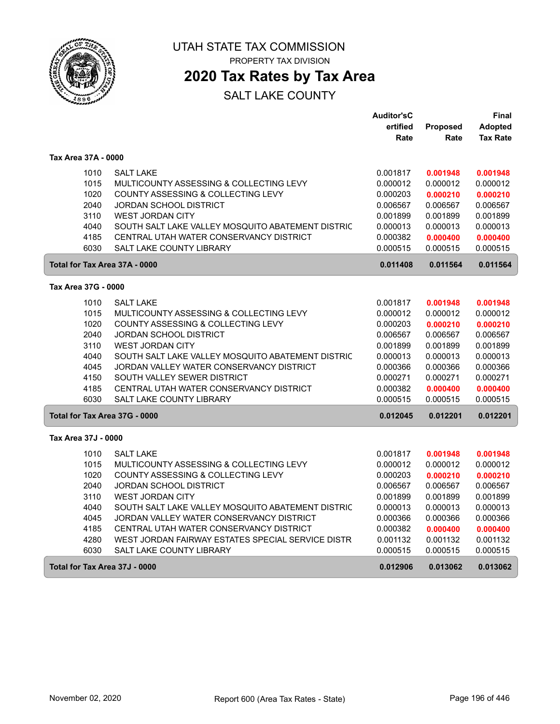

# UTAH STATE TAX COMMISSION

PROPERTY TAX DIVISION

# **2020 Tax Rates by Tax Area**

|                               |                                                   | <b>Auditor'sC</b> |          | Final           |
|-------------------------------|---------------------------------------------------|-------------------|----------|-----------------|
|                               |                                                   | ertified          | Proposed | Adopted         |
|                               |                                                   | Rate              | Rate     | <b>Tax Rate</b> |
| Tax Area 37A - 0000           |                                                   |                   |          |                 |
| 1010                          | <b>SALT LAKE</b>                                  | 0.001817          | 0.001948 | 0.001948        |
| 1015                          | MULTICOUNTY ASSESSING & COLLECTING LEVY           | 0.000012          | 0.000012 | 0.000012        |
| 1020                          | COUNTY ASSESSING & COLLECTING LEVY                | 0.000203          | 0.000210 | 0.000210        |
| 2040                          | JORDAN SCHOOL DISTRICT                            | 0.006567          | 0.006567 | 0.006567        |
| 3110                          | <b>WEST JORDAN CITY</b>                           | 0.001899          | 0.001899 | 0.001899        |
| 4040                          | SOUTH SALT LAKE VALLEY MOSQUITO ABATEMENT DISTRIC | 0.000013          | 0.000013 | 0.000013        |
| 4185                          | CENTRAL UTAH WATER CONSERVANCY DISTRICT           | 0.000382          | 0.000400 | 0.000400        |
| 6030                          | <b>SALT LAKE COUNTY LIBRARY</b>                   | 0.000515          | 0.000515 | 0.000515        |
| Total for Tax Area 37A - 0000 |                                                   | 0.011408          | 0.011564 | 0.011564        |
| Tax Area 37G - 0000           |                                                   |                   |          |                 |
| 1010                          | <b>SALT LAKE</b>                                  | 0.001817          | 0.001948 | 0.001948        |
| 1015                          | MULTICOUNTY ASSESSING & COLLECTING LEVY           | 0.000012          | 0.000012 | 0.000012        |
| 1020                          | COUNTY ASSESSING & COLLECTING LEVY                | 0.000203          | 0.000210 | 0.000210        |
| 2040                          | <b>JORDAN SCHOOL DISTRICT</b>                     | 0.006567          | 0.006567 | 0.006567        |
| 3110                          | <b>WEST JORDAN CITY</b>                           | 0.001899          | 0.001899 | 0.001899        |
| 4040                          | SOUTH SALT LAKE VALLEY MOSQUITO ABATEMENT DISTRIC | 0.000013          | 0.000013 | 0.000013        |
| 4045                          | JORDAN VALLEY WATER CONSERVANCY DISTRICT          | 0.000366          | 0.000366 | 0.000366        |
| 4150                          | SOUTH VALLEY SEWER DISTRICT                       | 0.000271          | 0.000271 | 0.000271        |
| 4185                          | CENTRAL UTAH WATER CONSERVANCY DISTRICT           | 0.000382          | 0.000400 | 0.000400        |
| 6030                          | SALT LAKE COUNTY LIBRARY                          | 0.000515          | 0.000515 | 0.000515        |
| Total for Tax Area 37G - 0000 |                                                   | 0.012045          | 0.012201 | 0.012201        |
| Tax Area 37J - 0000           |                                                   |                   |          |                 |
| 1010                          | <b>SALT LAKE</b>                                  | 0.001817          | 0.001948 | 0.001948        |
| 1015                          | MULTICOUNTY ASSESSING & COLLECTING LEVY           | 0.000012          | 0.000012 | 0.000012        |
| 1020                          | COUNTY ASSESSING & COLLECTING LEVY                | 0.000203          | 0.000210 | 0.000210        |
| 2040                          | <b>JORDAN SCHOOL DISTRICT</b>                     | 0.006567          | 0.006567 | 0.006567        |
| 3110                          | <b>WEST JORDAN CITY</b>                           | 0.001899          | 0.001899 | 0.001899        |
| 4040                          | SOUTH SALT LAKE VALLEY MOSQUITO ABATEMENT DISTRIC | 0.000013          | 0.000013 | 0.000013        |
| 4045                          | JORDAN VALLEY WATER CONSERVANCY DISTRICT          | 0.000366          | 0.000366 | 0.000366        |
| 4185                          | CENTRAL UTAH WATER CONSERVANCY DISTRICT           | 0.000382          | 0.000400 | 0.000400        |
| 4280                          | WEST JORDAN FAIRWAY ESTATES SPECIAL SERVICE DISTR | 0.001132          | 0.001132 | 0.001132        |
| 6030                          | SALT LAKE COUNTY LIBRARY                          | 0.000515          | 0.000515 | 0.000515        |
| Total for Tax Area 37J - 0000 |                                                   | 0.012906          | 0.013062 | 0.013062        |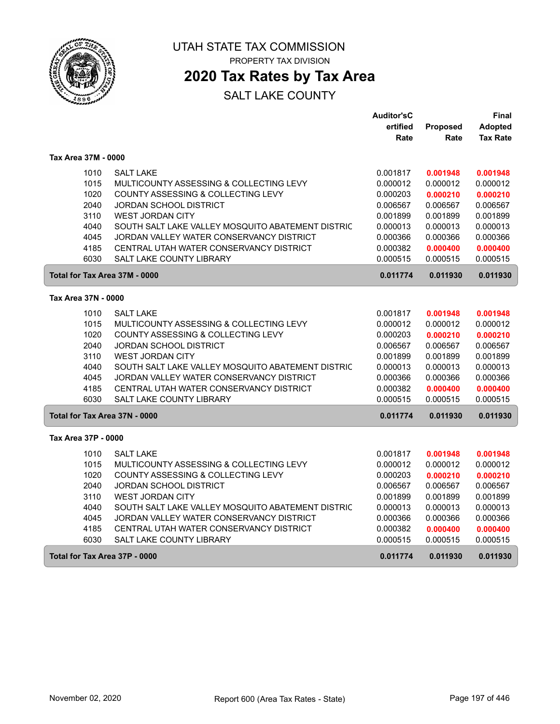

 $\sqrt{2}$ 

ſ

UTAH STATE TAX COMMISSION PROPERTY TAX DIVISION

**2020 Tax Rates by Tax Area**

|                               |                                                   | <b>Auditor'sC</b> |          | Final           |
|-------------------------------|---------------------------------------------------|-------------------|----------|-----------------|
|                               |                                                   | ertified          | Proposed | Adopted         |
|                               |                                                   | Rate              | Rate     | <b>Tax Rate</b> |
| Tax Area 37M - 0000           |                                                   |                   |          |                 |
| 1010                          | <b>SALT LAKE</b>                                  | 0.001817          | 0.001948 | 0.001948        |
| 1015                          | MULTICOUNTY ASSESSING & COLLECTING LEVY           | 0.000012          | 0.000012 | 0.000012        |
| 1020                          | COUNTY ASSESSING & COLLECTING LEVY                | 0.000203          | 0.000210 | 0.000210        |
| 2040                          | <b>JORDAN SCHOOL DISTRICT</b>                     | 0.006567          | 0.006567 | 0.006567        |
| 3110                          | <b>WEST JORDAN CITY</b>                           | 0.001899          | 0.001899 | 0.001899        |
| 4040                          | SOUTH SALT LAKE VALLEY MOSQUITO ABATEMENT DISTRIC | 0.000013          | 0.000013 | 0.000013        |
| 4045                          | JORDAN VALLEY WATER CONSERVANCY DISTRICT          | 0.000366          | 0.000366 | 0.000366        |
| 4185                          | CENTRAL UTAH WATER CONSERVANCY DISTRICT           | 0.000382          | 0.000400 | 0.000400        |
| 6030                          | <b>SALT LAKE COUNTY LIBRARY</b>                   | 0.000515          | 0.000515 | 0.000515        |
| Total for Tax Area 37M - 0000 |                                                   | 0.011774          | 0.011930 | 0.011930        |
| Tax Area 37N - 0000           |                                                   |                   |          |                 |
| 1010                          | <b>SALT LAKE</b>                                  | 0.001817          | 0.001948 | 0.001948        |
| 1015                          | MULTICOUNTY ASSESSING & COLLECTING LEVY           | 0.000012          | 0.000012 | 0.000012        |
| 1020                          | COUNTY ASSESSING & COLLECTING LEVY                | 0.000203          | 0.000210 | 0.000210        |
| 2040                          | <b>JORDAN SCHOOL DISTRICT</b>                     | 0.006567          | 0.006567 | 0.006567        |
| 3110                          | <b>WEST JORDAN CITY</b>                           | 0.001899          | 0.001899 | 0.001899        |
| 4040                          | SOUTH SALT LAKE VALLEY MOSQUITO ABATEMENT DISTRIC | 0.000013          | 0.000013 | 0.000013        |
| 4045                          | JORDAN VALLEY WATER CONSERVANCY DISTRICT          | 0.000366          | 0.000366 | 0.000366        |
| 4185                          | CENTRAL UTAH WATER CONSERVANCY DISTRICT           | 0.000382          | 0.000400 | 0.000400        |
| 6030                          | <b>SALT LAKE COUNTY LIBRARY</b>                   | 0.000515          | 0.000515 | 0.000515        |
| Total for Tax Area 37N - 0000 |                                                   | 0.011774          | 0.011930 | 0.011930        |
| Tax Area 37P - 0000           |                                                   |                   |          |                 |
| 1010                          | <b>SALT LAKE</b>                                  | 0.001817          | 0.001948 | 0.001948        |
| 1015                          | MULTICOUNTY ASSESSING & COLLECTING LEVY           | 0.000012          | 0.000012 | 0.000012        |
| 1020                          | COUNTY ASSESSING & COLLECTING LEVY                | 0.000203          | 0.000210 | 0.000210        |
| 2040                          | <b>JORDAN SCHOOL DISTRICT</b>                     | 0.006567          | 0.006567 | 0.006567        |
| 3110                          | <b>WEST JORDAN CITY</b>                           | 0.001899          | 0.001899 | 0.001899        |
| 4040                          | SOUTH SALT LAKE VALLEY MOSQUITO ABATEMENT DISTRIC | 0.000013          | 0.000013 | 0.000013        |
| 4045                          | JORDAN VALLEY WATER CONSERVANCY DISTRICT          | 0.000366          | 0.000366 | 0.000366        |
| 4185                          | CENTRAL UTAH WATER CONSERVANCY DISTRICT           | 0.000382          | 0.000400 | 0.000400        |
| 6030                          | SALT LAKE COUNTY LIBRARY                          | 0.000515          | 0.000515 | 0.000515        |
| Total for Tax Area 37P - 0000 |                                                   | 0.011774          | 0.011930 | 0.011930        |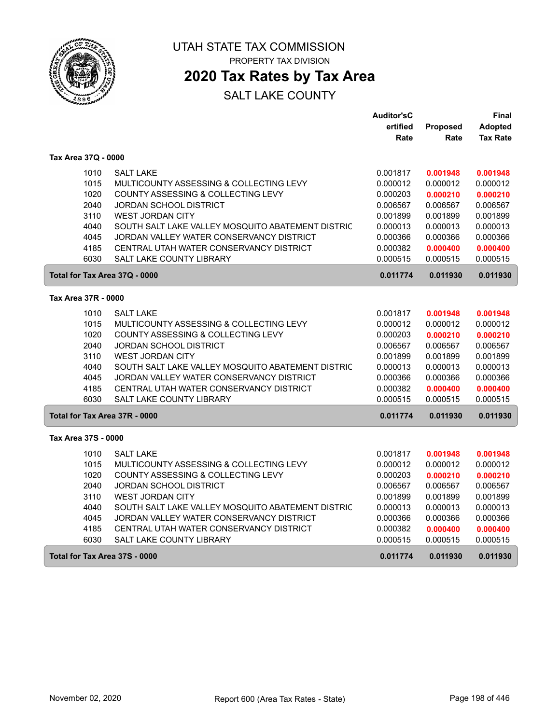

 $\sqrt{2}$ 

ſ

UTAH STATE TAX COMMISSION PROPERTY TAX DIVISION

**2020 Tax Rates by Tax Area**

|                               |                                                   | <b>Auditor'sC</b> |          | Final           |
|-------------------------------|---------------------------------------------------|-------------------|----------|-----------------|
|                               |                                                   | ertified          | Proposed | Adopted         |
|                               |                                                   | Rate              | Rate     | <b>Tax Rate</b> |
| Tax Area 37Q - 0000           |                                                   |                   |          |                 |
| 1010                          | <b>SALT LAKE</b>                                  | 0.001817          | 0.001948 | 0.001948        |
| 1015                          | MULTICOUNTY ASSESSING & COLLECTING LEVY           | 0.000012          | 0.000012 | 0.000012        |
| 1020                          | COUNTY ASSESSING & COLLECTING LEVY                | 0.000203          | 0.000210 | 0.000210        |
| 2040                          | <b>JORDAN SCHOOL DISTRICT</b>                     | 0.006567          | 0.006567 | 0.006567        |
| 3110                          | <b>WEST JORDAN CITY</b>                           | 0.001899          | 0.001899 | 0.001899        |
| 4040                          | SOUTH SALT LAKE VALLEY MOSQUITO ABATEMENT DISTRIC | 0.000013          | 0.000013 | 0.000013        |
| 4045                          | JORDAN VALLEY WATER CONSERVANCY DISTRICT          | 0.000366          | 0.000366 | 0.000366        |
| 4185                          | CENTRAL UTAH WATER CONSERVANCY DISTRICT           | 0.000382          | 0.000400 | 0.000400        |
| 6030                          | <b>SALT LAKE COUNTY LIBRARY</b>                   | 0.000515          | 0.000515 | 0.000515        |
| Total for Tax Area 37Q - 0000 |                                                   | 0.011774          | 0.011930 | 0.011930        |
| Tax Area 37R - 0000           |                                                   |                   |          |                 |
| 1010                          | <b>SALT LAKE</b>                                  | 0.001817          | 0.001948 | 0.001948        |
| 1015                          | MULTICOUNTY ASSESSING & COLLECTING LEVY           | 0.000012          | 0.000012 | 0.000012        |
| 1020                          | COUNTY ASSESSING & COLLECTING LEVY                | 0.000203          | 0.000210 | 0.000210        |
| 2040                          | <b>JORDAN SCHOOL DISTRICT</b>                     | 0.006567          | 0.006567 | 0.006567        |
| 3110                          | <b>WEST JORDAN CITY</b>                           | 0.001899          | 0.001899 | 0.001899        |
| 4040                          | SOUTH SALT LAKE VALLEY MOSQUITO ABATEMENT DISTRIC | 0.000013          | 0.000013 | 0.000013        |
| 4045                          | JORDAN VALLEY WATER CONSERVANCY DISTRICT          | 0.000366          | 0.000366 | 0.000366        |
| 4185                          | CENTRAL UTAH WATER CONSERVANCY DISTRICT           | 0.000382          | 0.000400 | 0.000400        |
| 6030                          | <b>SALT LAKE COUNTY LIBRARY</b>                   | 0.000515          | 0.000515 | 0.000515        |
| Total for Tax Area 37R - 0000 |                                                   | 0.011774          | 0.011930 | 0.011930        |
| Tax Area 37S - 0000           |                                                   |                   |          |                 |
| 1010                          | <b>SALT LAKE</b>                                  | 0.001817          | 0.001948 | 0.001948        |
| 1015                          | MULTICOUNTY ASSESSING & COLLECTING LEVY           | 0.000012          | 0.000012 | 0.000012        |
| 1020                          | COUNTY ASSESSING & COLLECTING LEVY                | 0.000203          | 0.000210 | 0.000210        |
| 2040                          | <b>JORDAN SCHOOL DISTRICT</b>                     | 0.006567          | 0.006567 | 0.006567        |
| 3110                          | <b>WEST JORDAN CITY</b>                           | 0.001899          | 0.001899 | 0.001899        |
| 4040                          | SOUTH SALT LAKE VALLEY MOSQUITO ABATEMENT DISTRIC | 0.000013          | 0.000013 | 0.000013        |
| 4045                          | JORDAN VALLEY WATER CONSERVANCY DISTRICT          | 0.000366          | 0.000366 | 0.000366        |
| 4185                          | CENTRAL UTAH WATER CONSERVANCY DISTRICT           | 0.000382          | 0.000400 | 0.000400        |
| 6030                          | SALT LAKE COUNTY LIBRARY                          | 0.000515          | 0.000515 | 0.000515        |
| Total for Tax Area 37S - 0000 |                                                   | 0.011774          | 0.011930 | 0.011930        |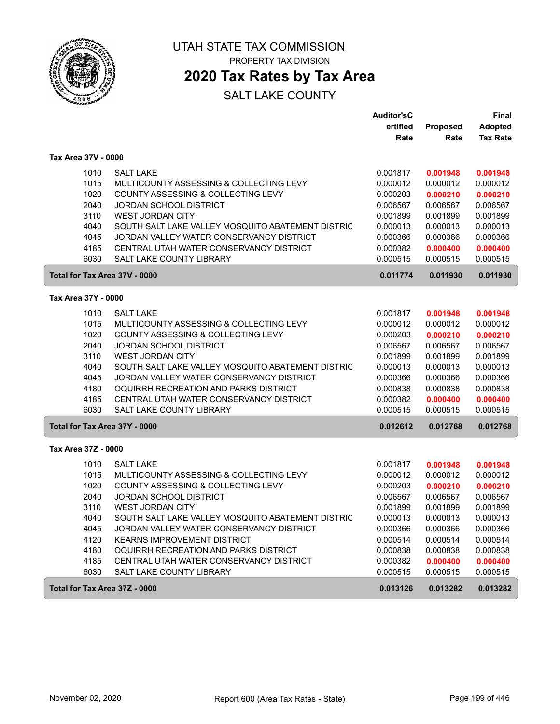

 $\begin{bmatrix} \phantom{-} \end{bmatrix}$ 

 $\begin{bmatrix} \phantom{-} \end{bmatrix}$ 

UTAH STATE TAX COMMISSION PROPERTY TAX DIVISION

**2020 Tax Rates by Tax Area**

|                               |                                                   | <b>Auditor'sC</b> |          | Final           |
|-------------------------------|---------------------------------------------------|-------------------|----------|-----------------|
|                               |                                                   | ertified          | Proposed | <b>Adopted</b>  |
|                               |                                                   | Rate              | Rate     | <b>Tax Rate</b> |
| Tax Area 37V - 0000           |                                                   |                   |          |                 |
| 1010                          | <b>SALT LAKE</b>                                  | 0.001817          | 0.001948 | 0.001948        |
| 1015                          | MULTICOUNTY ASSESSING & COLLECTING LEVY           | 0.000012          | 0.000012 | 0.000012        |
| 1020                          | COUNTY ASSESSING & COLLECTING LEVY                | 0.000203          | 0.000210 | 0.000210        |
| 2040                          | <b>JORDAN SCHOOL DISTRICT</b>                     | 0.006567          | 0.006567 | 0.006567        |
| 3110                          | <b>WEST JORDAN CITY</b>                           | 0.001899          | 0.001899 | 0.001899        |
| 4040                          | SOUTH SALT LAKE VALLEY MOSQUITO ABATEMENT DISTRIC | 0.000013          | 0.000013 | 0.000013        |
| 4045                          | JORDAN VALLEY WATER CONSERVANCY DISTRICT          | 0.000366          | 0.000366 | 0.000366        |
| 4185                          | CENTRAL UTAH WATER CONSERVANCY DISTRICT           | 0.000382          | 0.000400 | 0.000400        |
| 6030                          | <b>SALT LAKE COUNTY LIBRARY</b>                   | 0.000515          | 0.000515 | 0.000515        |
| Total for Tax Area 37V - 0000 |                                                   | 0.011774          | 0.011930 | 0.011930        |
| Tax Area 37Y - 0000           |                                                   |                   |          |                 |
| 1010                          | <b>SALT LAKE</b>                                  | 0.001817          | 0.001948 | 0.001948        |
| 1015                          | MULTICOUNTY ASSESSING & COLLECTING LEVY           | 0.000012          | 0.000012 | 0.000012        |
| 1020                          | COUNTY ASSESSING & COLLECTING LEVY                | 0.000203          | 0.000210 | 0.000210        |
| 2040                          | <b>JORDAN SCHOOL DISTRICT</b>                     | 0.006567          | 0.006567 | 0.006567        |
| 3110                          | <b>WEST JORDAN CITY</b>                           | 0.001899          | 0.001899 | 0.001899        |
| 4040                          | SOUTH SALT LAKE VALLEY MOSQUITO ABATEMENT DISTRIC | 0.000013          | 0.000013 | 0.000013        |
| 4045                          | JORDAN VALLEY WATER CONSERVANCY DISTRICT          | 0.000366          | 0.000366 | 0.000366        |
| 4180                          | OQUIRRH RECREATION AND PARKS DISTRICT             | 0.000838          | 0.000838 | 0.000838        |
| 4185                          | CENTRAL UTAH WATER CONSERVANCY DISTRICT           | 0.000382          | 0.000400 | 0.000400        |
| 6030                          | <b>SALT LAKE COUNTY LIBRARY</b>                   | 0.000515          | 0.000515 | 0.000515        |
| Total for Tax Area 37Y - 0000 |                                                   | 0.012612          | 0.012768 | 0.012768        |
| Tax Area 37Z - 0000           |                                                   |                   |          |                 |
| 1010                          | <b>SALT LAKE</b>                                  | 0.001817          | 0.001948 | 0.001948        |
| 1015                          | MULTICOUNTY ASSESSING & COLLECTING LEVY           | 0.000012          | 0.000012 | 0.000012        |
| 1020                          | COUNTY ASSESSING & COLLECTING LEVY                | 0.000203          | 0.000210 | 0.000210        |
| 2040                          | <b>JORDAN SCHOOL DISTRICT</b>                     | 0.006567          | 0.006567 | 0.006567        |
| 3110                          | <b>WEST JORDAN CITY</b>                           | 0.001899          | 0.001899 | 0.001899        |
| 4040                          | SOUTH SALT LAKE VALLEY MOSQUITO ABATEMENT DISTRIC | 0.000013          | 0.000013 | 0.000013        |
| 4045                          | JORDAN VALLEY WATER CONSERVANCY DISTRICT          | 0.000366          | 0.000366 | 0.000366        |
| 4120                          | <b>KEARNS IMPROVEMENT DISTRICT</b>                | 0.000514          | 0.000514 | 0.000514        |
| 4180                          | OQUIRRH RECREATION AND PARKS DISTRICT             | 0.000838          | 0.000838 | 0.000838        |
| 4185                          | CENTRAL UTAH WATER CONSERVANCY DISTRICT           | 0.000382          | 0.000400 | 0.000400        |
| 6030                          | SALT LAKE COUNTY LIBRARY                          | 0.000515          | 0.000515 | 0.000515        |
| Total for Tax Area 37Z - 0000 |                                                   | 0.013126          | 0.013282 | 0.013282        |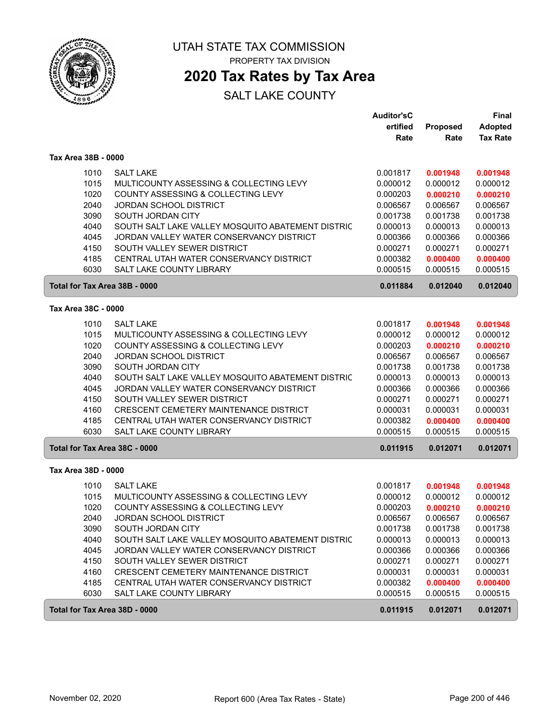

# **2020 Tax Rates by Tax Area**

|                               |                                                   | <b>Auditor'sC</b><br>ertified | Proposed | <b>Final</b><br><b>Adopted</b> |
|-------------------------------|---------------------------------------------------|-------------------------------|----------|--------------------------------|
|                               |                                                   | Rate                          | Rate     | <b>Tax Rate</b>                |
| Tax Area 38B - 0000           |                                                   |                               |          |                                |
| 1010                          | <b>SALT LAKE</b>                                  | 0.001817                      | 0.001948 | 0.001948                       |
| 1015                          | MULTICOUNTY ASSESSING & COLLECTING LEVY           | 0.000012                      | 0.000012 | 0.000012                       |
| 1020                          | COUNTY ASSESSING & COLLECTING LEVY                | 0.000203                      | 0.000210 | 0.000210                       |
| 2040                          | <b>JORDAN SCHOOL DISTRICT</b>                     | 0.006567                      | 0.006567 | 0.006567                       |
| 3090                          | SOUTH JORDAN CITY                                 | 0.001738                      | 0.001738 | 0.001738                       |
| 4040                          | SOUTH SALT LAKE VALLEY MOSQUITO ABATEMENT DISTRIC | 0.000013                      | 0.000013 | 0.000013                       |
| 4045                          | JORDAN VALLEY WATER CONSERVANCY DISTRICT          | 0.000366                      | 0.000366 | 0.000366                       |
| 4150                          | SOUTH VALLEY SEWER DISTRICT                       | 0.000271                      | 0.000271 | 0.000271                       |
| 4185                          | CENTRAL UTAH WATER CONSERVANCY DISTRICT           | 0.000382                      | 0.000400 | 0.000400                       |
| 6030                          | <b>SALT LAKE COUNTY LIBRARY</b>                   | 0.000515                      | 0.000515 | 0.000515                       |
| Total for Tax Area 38B - 0000 |                                                   | 0.011884                      | 0.012040 | 0.012040                       |
| Tax Area 38C - 0000           |                                                   |                               |          |                                |
| 1010                          | <b>SALT LAKE</b>                                  | 0.001817                      | 0.001948 | 0.001948                       |
| 1015                          | MULTICOUNTY ASSESSING & COLLECTING LEVY           | 0.000012                      | 0.000012 | 0.000012                       |
| 1020                          | COUNTY ASSESSING & COLLECTING LEVY                | 0.000203                      | 0.000210 | 0.000210                       |
| 2040                          | <b>JORDAN SCHOOL DISTRICT</b>                     | 0.006567                      | 0.006567 | 0.006567                       |
| 3090                          | SOUTH JORDAN CITY                                 | 0.001738                      | 0.001738 | 0.001738                       |
| 4040                          | SOUTH SALT LAKE VALLEY MOSQUITO ABATEMENT DISTRIC | 0.000013                      | 0.000013 | 0.000013                       |
| 4045                          | JORDAN VALLEY WATER CONSERVANCY DISTRICT          | 0.000366                      | 0.000366 | 0.000366                       |
| 4150                          | SOUTH VALLEY SEWER DISTRICT                       | 0.000271                      | 0.000271 | 0.000271                       |
| 4160                          | CRESCENT CEMETERY MAINTENANCE DISTRICT            | 0.000031                      | 0.000031 | 0.000031                       |
| 4185                          | CENTRAL UTAH WATER CONSERVANCY DISTRICT           | 0.000382                      | 0.000400 | 0.000400                       |
| 6030                          | <b>SALT LAKE COUNTY LIBRARY</b>                   | 0.000515                      | 0.000515 | 0.000515                       |
| Total for Tax Area 38C - 0000 |                                                   | 0.011915                      | 0.012071 | 0.012071                       |
| Tax Area 38D - 0000           |                                                   |                               |          |                                |
| 1010                          | <b>SALT LAKE</b>                                  | 0.001817                      | 0.001948 | 0.001948                       |
| 1015                          | MULTICOUNTY ASSESSING & COLLECTING LEVY           | 0.000012                      | 0.000012 | 0.000012                       |
| 1020                          | COUNTY ASSESSING & COLLECTING LEVY                | 0.000203                      | 0.000210 | 0.000210                       |
| 2040                          | <b>JORDAN SCHOOL DISTRICT</b>                     | 0.006567                      | 0.006567 | 0.006567                       |
| 3090                          | SOUTH JORDAN CITY                                 | 0.001738                      | 0.001738 | 0.001738                       |
| 4040                          | SOUTH SALT LAKE VALLEY MOSQUITO ABATEMENT DISTRIC | 0.000013                      | 0.000013 | 0.000013                       |
| 4045                          | JORDAN VALLEY WATER CONSERVANCY DISTRICT          | 0.000366                      | 0.000366 | 0.000366                       |
| 4150                          | SOUTH VALLEY SEWER DISTRICT                       | 0.000271                      | 0.000271 | 0.000271                       |
| 4160                          | CRESCENT CEMETERY MAINTENANCE DISTRICT            | 0.000031                      | 0.000031 | 0.000031                       |
| 4185                          | CENTRAL UTAH WATER CONSERVANCY DISTRICT           | 0.000382                      | 0.000400 | 0.000400                       |
| 6030                          | SALT LAKE COUNTY LIBRARY                          | 0.000515                      | 0.000515 | 0.000515                       |
| Total for Tax Area 38D - 0000 |                                                   | 0.011915                      | 0.012071 | 0.012071                       |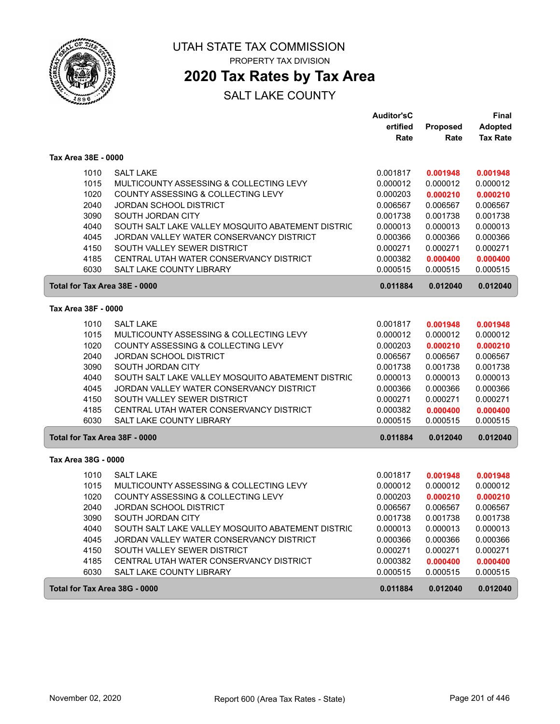

# **2020 Tax Rates by Tax Area**

|                               |                                                   | <b>Auditor'sC</b> |                 | <b>Final</b>    |
|-------------------------------|---------------------------------------------------|-------------------|-----------------|-----------------|
|                               |                                                   | ertified          | <b>Proposed</b> | <b>Adopted</b>  |
|                               |                                                   | Rate              | Rate            | <b>Tax Rate</b> |
| Tax Area 38E - 0000           |                                                   |                   |                 |                 |
| 1010                          | <b>SALT LAKE</b>                                  | 0.001817          | 0.001948        | 0.001948        |
| 1015                          | MULTICOUNTY ASSESSING & COLLECTING LEVY           | 0.000012          | 0.000012        | 0.000012        |
| 1020                          | COUNTY ASSESSING & COLLECTING LEVY                | 0.000203          | 0.000210        | 0.000210        |
| 2040                          | <b>JORDAN SCHOOL DISTRICT</b>                     | 0.006567          | 0.006567        | 0.006567        |
| 3090                          | SOUTH JORDAN CITY                                 | 0.001738          | 0.001738        | 0.001738        |
| 4040                          | SOUTH SALT LAKE VALLEY MOSQUITO ABATEMENT DISTRIC | 0.000013          | 0.000013        | 0.000013        |
| 4045                          | JORDAN VALLEY WATER CONSERVANCY DISTRICT          | 0.000366          | 0.000366        | 0.000366        |
| 4150                          | SOUTH VALLEY SEWER DISTRICT                       | 0.000271          | 0.000271        | 0.000271        |
| 4185                          | CENTRAL UTAH WATER CONSERVANCY DISTRICT           | 0.000382          | 0.000400        | 0.000400        |
| 6030                          | <b>SALT LAKE COUNTY LIBRARY</b>                   | 0.000515          | 0.000515        | 0.000515        |
|                               | Total for Tax Area 38E - 0000                     | 0.011884          | 0.012040        | 0.012040        |
| Tax Area 38F - 0000           |                                                   |                   |                 |                 |
| 1010                          | <b>SALT LAKE</b>                                  | 0.001817          | 0.001948        | 0.001948        |
| 1015                          | MULTICOUNTY ASSESSING & COLLECTING LEVY           | 0.000012          | 0.000012        | 0.000012        |
| 1020                          | COUNTY ASSESSING & COLLECTING LEVY                | 0.000203          | 0.000210        | 0.000210        |
| 2040                          | <b>JORDAN SCHOOL DISTRICT</b>                     | 0.006567          | 0.006567        | 0.006567        |
| 3090                          | SOUTH JORDAN CITY                                 | 0.001738          | 0.001738        | 0.001738        |
| 4040                          | SOUTH SALT LAKE VALLEY MOSQUITO ABATEMENT DISTRIC | 0.000013          | 0.000013        | 0.000013        |
| 4045                          | JORDAN VALLEY WATER CONSERVANCY DISTRICT          | 0.000366          | 0.000366        | 0.000366        |
| 4150                          | SOUTH VALLEY SEWER DISTRICT                       | 0.000271          | 0.000271        | 0.000271        |
| 4185                          | CENTRAL UTAH WATER CONSERVANCY DISTRICT           | 0.000382          | 0.000400        | 0.000400        |
| 6030                          | SALT LAKE COUNTY LIBRARY                          | 0.000515          | 0.000515        | 0.000515        |
| Total for Tax Area 38F - 0000 |                                                   | 0.011884          | 0.012040        | 0.012040        |
| Tax Area 38G - 0000           |                                                   |                   |                 |                 |
| 1010                          | <b>SALT LAKE</b>                                  | 0.001817          | 0.001948        | 0.001948        |
| 1015                          | MULTICOUNTY ASSESSING & COLLECTING LEVY           | 0.000012          | 0.000012        | 0.000012        |
| 1020                          | COUNTY ASSESSING & COLLECTING LEVY                | 0.000203          | 0.000210        | 0.000210        |
| 2040                          | <b>JORDAN SCHOOL DISTRICT</b>                     | 0.006567          | 0.006567        | 0.006567        |
| 3090                          | SOUTH JORDAN CITY                                 | 0.001738          | 0.001738        | 0.001738        |
| 4040                          | SOUTH SALT LAKE VALLEY MOSQUITO ABATEMENT DISTRIC | 0.000013          | 0.000013        | 0.000013        |
| 4045                          | JORDAN VALLEY WATER CONSERVANCY DISTRICT          | 0.000366          | 0.000366        | 0.000366        |
| 4150                          | SOUTH VALLEY SEWER DISTRICT                       | 0.000271          | 0.000271        | 0.000271        |
| 4185                          | CENTRAL UTAH WATER CONSERVANCY DISTRICT           | 0.000382          | 0.000400        | 0.000400        |
| 6030                          | SALT LAKE COUNTY LIBRARY                          | 0.000515          | 0.000515        | 0.000515        |
|                               | Total for Tax Area 38G - 0000                     | 0.011884          | 0.012040        | 0.012040        |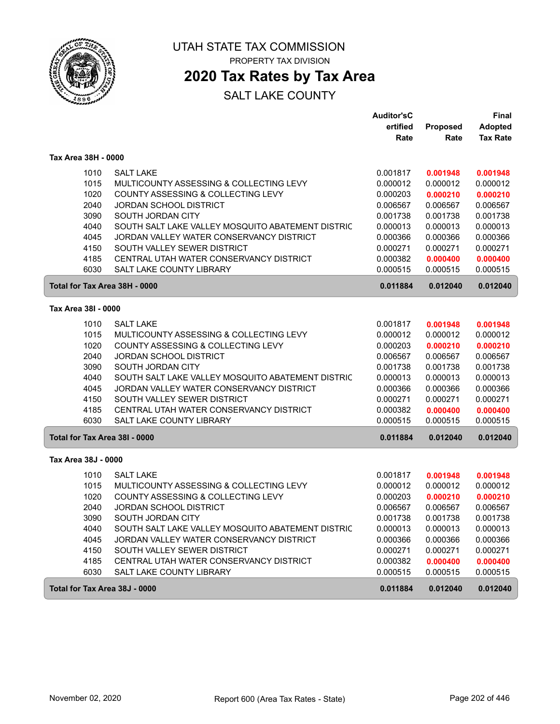

**2020 Tax Rates by Tax Area**

|                               |                                                                         | <b>Auditor'sC</b>    |                      | Final                |
|-------------------------------|-------------------------------------------------------------------------|----------------------|----------------------|----------------------|
|                               |                                                                         | ertified             | Proposed             | <b>Adopted</b>       |
|                               |                                                                         | Rate                 | Rate                 | <b>Tax Rate</b>      |
| Tax Area 38H - 0000           |                                                                         |                      |                      |                      |
| 1010                          | <b>SALT LAKE</b>                                                        | 0.001817             | 0.001948             | 0.001948             |
| 1015                          | MULTICOUNTY ASSESSING & COLLECTING LEVY                                 | 0.000012             | 0.000012             | 0.000012             |
| 1020                          | COUNTY ASSESSING & COLLECTING LEVY                                      | 0.000203             | 0.000210             | 0.000210             |
| 2040                          | <b>JORDAN SCHOOL DISTRICT</b>                                           | 0.006567             | 0.006567             | 0.006567             |
| 3090                          | SOUTH JORDAN CITY                                                       | 0.001738             | 0.001738             | 0.001738             |
| 4040                          | SOUTH SALT LAKE VALLEY MOSQUITO ABATEMENT DISTRIC                       | 0.000013             | 0.000013             | 0.000013             |
| 4045                          | JORDAN VALLEY WATER CONSERVANCY DISTRICT                                | 0.000366             | 0.000366             | 0.000366             |
| 4150                          | SOUTH VALLEY SEWER DISTRICT                                             | 0.000271             | 0.000271             | 0.000271             |
| 4185                          | CENTRAL UTAH WATER CONSERVANCY DISTRICT                                 | 0.000382             | 0.000400             | 0.000400             |
| 6030                          | <b>SALT LAKE COUNTY LIBRARY</b>                                         | 0.000515             | 0.000515             | 0.000515             |
| Total for Tax Area 38H - 0000 |                                                                         | 0.011884             | 0.012040             | 0.012040             |
| Tax Area 38I - 0000           |                                                                         |                      |                      |                      |
|                               | <b>SALT LAKE</b>                                                        |                      |                      |                      |
| 1010                          | MULTICOUNTY ASSESSING & COLLECTING LEVY                                 | 0.001817             | 0.001948             | 0.001948             |
| 1015                          |                                                                         | 0.000012<br>0.000203 | 0.000012             | 0.000012<br>0.000210 |
| 1020<br>2040                  | COUNTY ASSESSING & COLLECTING LEVY                                      | 0.006567             | 0.000210             |                      |
| 3090                          | JORDAN SCHOOL DISTRICT<br>SOUTH JORDAN CITY                             | 0.001738             | 0.006567<br>0.001738 | 0.006567<br>0.001738 |
| 4040                          | SOUTH SALT LAKE VALLEY MOSQUITO ABATEMENT DISTRIC                       | 0.000013             | 0.000013             | 0.000013             |
| 4045                          | JORDAN VALLEY WATER CONSERVANCY DISTRICT                                | 0.000366             | 0.000366             | 0.000366             |
| 4150                          | SOUTH VALLEY SEWER DISTRICT                                             | 0.000271             | 0.000271             | 0.000271             |
| 4185                          | CENTRAL UTAH WATER CONSERVANCY DISTRICT                                 | 0.000382             | 0.000400             | 0.000400             |
| 6030                          | <b>SALT LAKE COUNTY LIBRARY</b>                                         | 0.000515             | 0.000515             | 0.000515             |
| Total for Tax Area 38I - 0000 |                                                                         | 0.011884             | 0.012040             | 0.012040             |
| Tax Area 38J - 0000           |                                                                         |                      |                      |                      |
|                               |                                                                         |                      |                      |                      |
| 1010                          | <b>SALT LAKE</b>                                                        | 0.001817             | 0.001948             | 0.001948             |
| 1015                          | MULTICOUNTY ASSESSING & COLLECTING LEVY                                 | 0.000012             | 0.000012             | 0.000012             |
| 1020                          | COUNTY ASSESSING & COLLECTING LEVY                                      | 0.000203             | 0.000210             | 0.000210             |
| 2040                          | JORDAN SCHOOL DISTRICT                                                  | 0.006567<br>0.001738 | 0.006567             | 0.006567             |
| 3090                          | SOUTH JORDAN CITY                                                       |                      | 0.001738             | 0.001738             |
| 4040                          | SOUTH SALT LAKE VALLEY MOSQUITO ABATEMENT DISTRIC                       | 0.000013             | 0.000013             | 0.000013             |
| 4045<br>4150                  | JORDAN VALLEY WATER CONSERVANCY DISTRICT<br>SOUTH VALLEY SEWER DISTRICT | 0.000366<br>0.000271 | 0.000366<br>0.000271 | 0.000366             |
| 4185                          | CENTRAL UTAH WATER CONSERVANCY DISTRICT                                 | 0.000382             | 0.000400             | 0.000271<br>0.000400 |
| 6030                          | SALT LAKE COUNTY LIBRARY                                                | 0.000515             | 0.000515             | 0.000515             |
|                               |                                                                         |                      |                      |                      |
| Total for Tax Area 38J - 0000 |                                                                         | 0.011884             | 0.012040             | 0.012040             |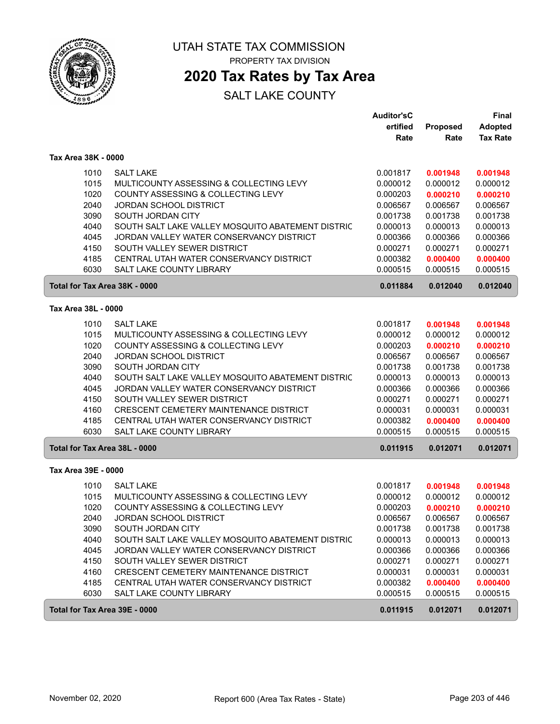

# **2020 Tax Rates by Tax Area**

|                               |                                                   | <b>Auditor'sC</b><br>ertified | Proposed | <b>Final</b><br><b>Adopted</b> |
|-------------------------------|---------------------------------------------------|-------------------------------|----------|--------------------------------|
|                               |                                                   | Rate                          | Rate     | <b>Tax Rate</b>                |
| Tax Area 38K - 0000           |                                                   |                               |          |                                |
| 1010                          | <b>SALT LAKE</b>                                  | 0.001817                      | 0.001948 | 0.001948                       |
| 1015                          | MULTICOUNTY ASSESSING & COLLECTING LEVY           | 0.000012                      | 0.000012 | 0.000012                       |
| 1020                          | COUNTY ASSESSING & COLLECTING LEVY                | 0.000203                      | 0.000210 | 0.000210                       |
| 2040                          | <b>JORDAN SCHOOL DISTRICT</b>                     | 0.006567                      | 0.006567 | 0.006567                       |
| 3090                          | SOUTH JORDAN CITY                                 | 0.001738                      | 0.001738 | 0.001738                       |
| 4040                          | SOUTH SALT LAKE VALLEY MOSQUITO ABATEMENT DISTRIC | 0.000013                      | 0.000013 | 0.000013                       |
| 4045                          | JORDAN VALLEY WATER CONSERVANCY DISTRICT          | 0.000366                      | 0.000366 | 0.000366                       |
| 4150                          | SOUTH VALLEY SEWER DISTRICT                       | 0.000271                      | 0.000271 | 0.000271                       |
| 4185                          | CENTRAL UTAH WATER CONSERVANCY DISTRICT           | 0.000382                      | 0.000400 | 0.000400                       |
| 6030                          | <b>SALT LAKE COUNTY LIBRARY</b>                   | 0.000515                      | 0.000515 | 0.000515                       |
| Total for Tax Area 38K - 0000 |                                                   | 0.011884                      | 0.012040 | 0.012040                       |
| Tax Area 38L - 0000           |                                                   |                               |          |                                |
| 1010                          | <b>SALT LAKE</b>                                  | 0.001817                      | 0.001948 | 0.001948                       |
| 1015                          | MULTICOUNTY ASSESSING & COLLECTING LEVY           | 0.000012                      | 0.000012 | 0.000012                       |
| 1020                          | COUNTY ASSESSING & COLLECTING LEVY                | 0.000203                      | 0.000210 | 0.000210                       |
| 2040                          | <b>JORDAN SCHOOL DISTRICT</b>                     | 0.006567                      | 0.006567 | 0.006567                       |
| 3090                          | SOUTH JORDAN CITY                                 | 0.001738                      | 0.001738 | 0.001738                       |
| 4040                          | SOUTH SALT LAKE VALLEY MOSQUITO ABATEMENT DISTRIC | 0.000013                      | 0.000013 | 0.000013                       |
| 4045                          | JORDAN VALLEY WATER CONSERVANCY DISTRICT          | 0.000366                      | 0.000366 | 0.000366                       |
| 4150                          | SOUTH VALLEY SEWER DISTRICT                       | 0.000271                      | 0.000271 | 0.000271                       |
| 4160                          | CRESCENT CEMETERY MAINTENANCE DISTRICT            | 0.000031                      | 0.000031 | 0.000031                       |
| 4185                          | CENTRAL UTAH WATER CONSERVANCY DISTRICT           | 0.000382                      | 0.000400 | 0.000400                       |
| 6030                          | <b>SALT LAKE COUNTY LIBRARY</b>                   | 0.000515                      | 0.000515 | 0.000515                       |
| Total for Tax Area 38L - 0000 |                                                   | 0.011915                      | 0.012071 | 0.012071                       |
| Tax Area 39E - 0000           |                                                   |                               |          |                                |
| 1010                          | <b>SALT LAKE</b>                                  | 0.001817                      | 0.001948 | 0.001948                       |
| 1015                          | MULTICOUNTY ASSESSING & COLLECTING LEVY           | 0.000012                      | 0.000012 | 0.000012                       |
| 1020                          | COUNTY ASSESSING & COLLECTING LEVY                | 0.000203                      | 0.000210 | 0.000210                       |
| 2040                          | <b>JORDAN SCHOOL DISTRICT</b>                     | 0.006567                      | 0.006567 | 0.006567                       |
| 3090                          | SOUTH JORDAN CITY                                 | 0.001738                      | 0.001738 | 0.001738                       |
| 4040                          | SOUTH SALT LAKE VALLEY MOSQUITO ABATEMENT DISTRIC | 0.000013                      | 0.000013 | 0.000013                       |
| 4045                          | JORDAN VALLEY WATER CONSERVANCY DISTRICT          | 0.000366                      | 0.000366 | 0.000366                       |
| 4150                          | SOUTH VALLEY SEWER DISTRICT                       | 0.000271                      | 0.000271 | 0.000271                       |
| 4160                          | CRESCENT CEMETERY MAINTENANCE DISTRICT            | 0.000031                      | 0.000031 | 0.000031                       |
| 4185                          | CENTRAL UTAH WATER CONSERVANCY DISTRICT           | 0.000382                      | 0.000400 | 0.000400                       |
| 6030                          | SALT LAKE COUNTY LIBRARY                          | 0.000515                      | 0.000515 | 0.000515                       |
| Total for Tax Area 39E - 0000 |                                                   | 0.011915                      | 0.012071 | 0.012071                       |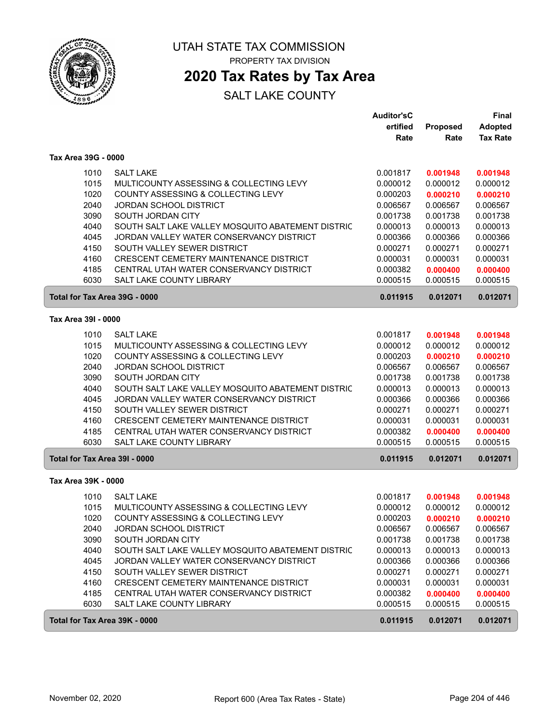

# **2020 Tax Rates by Tax Area**

|                               |                                                                     | <b>Auditor'sC</b><br>ertified | Proposed             | Final<br><b>Adopted</b> |
|-------------------------------|---------------------------------------------------------------------|-------------------------------|----------------------|-------------------------|
|                               |                                                                     | Rate                          | Rate                 | <b>Tax Rate</b>         |
| Tax Area 39G - 0000           |                                                                     |                               |                      |                         |
| 1010                          | <b>SALT LAKE</b>                                                    | 0.001817                      | 0.001948             | 0.001948                |
| 1015                          | MULTICOUNTY ASSESSING & COLLECTING LEVY                             | 0.000012                      | 0.000012             | 0.000012                |
| 1020                          | COUNTY ASSESSING & COLLECTING LEVY                                  | 0.000203                      | 0.000210             | 0.000210                |
| 2040                          | JORDAN SCHOOL DISTRICT                                              | 0.006567                      | 0.006567             | 0.006567                |
| 3090                          | SOUTH JORDAN CITY                                                   | 0.001738                      | 0.001738             | 0.001738                |
| 4040                          | SOUTH SALT LAKE VALLEY MOSQUITO ABATEMENT DISTRIC                   | 0.000013                      | 0.000013             | 0.000013                |
| 4045                          | JORDAN VALLEY WATER CONSERVANCY DISTRICT                            | 0.000366                      | 0.000366             | 0.000366                |
| 4150                          | SOUTH VALLEY SEWER DISTRICT                                         | 0.000271                      | 0.000271             | 0.000271                |
| 4160                          | CRESCENT CEMETERY MAINTENANCE DISTRICT                              | 0.000031                      | 0.000031             | 0.000031                |
| 4185<br>6030                  | CENTRAL UTAH WATER CONSERVANCY DISTRICT<br>SALT LAKE COUNTY LIBRARY | 0.000382<br>0.000515          | 0.000400<br>0.000515 | 0.000400<br>0.000515    |
| Total for Tax Area 39G - 0000 |                                                                     | 0.011915                      | 0.012071             | 0.012071                |
| Tax Area 39I - 0000           |                                                                     |                               |                      |                         |
| 1010                          | <b>SALT LAKE</b>                                                    | 0.001817                      | 0.001948             | 0.001948                |
| 1015                          | MULTICOUNTY ASSESSING & COLLECTING LEVY                             | 0.000012                      | 0.000012             | 0.000012                |
| 1020                          | COUNTY ASSESSING & COLLECTING LEVY                                  | 0.000203                      | 0.000210             | 0.000210                |
| 2040                          | JORDAN SCHOOL DISTRICT                                              | 0.006567                      | 0.006567             | 0.006567                |
| 3090                          | SOUTH JORDAN CITY                                                   | 0.001738                      | 0.001738             | 0.001738                |
| 4040                          | SOUTH SALT LAKE VALLEY MOSQUITO ABATEMENT DISTRIC                   | 0.000013                      | 0.000013             | 0.000013                |
| 4045                          | JORDAN VALLEY WATER CONSERVANCY DISTRICT                            | 0.000366                      | 0.000366             | 0.000366                |
| 4150                          | SOUTH VALLEY SEWER DISTRICT                                         | 0.000271                      | 0.000271             | 0.000271                |
| 4160                          | CRESCENT CEMETERY MAINTENANCE DISTRICT                              | 0.000031                      | 0.000031             | 0.000031                |
| 4185                          | CENTRAL UTAH WATER CONSERVANCY DISTRICT                             | 0.000382                      | 0.000400             | 0.000400                |
| 6030                          | SALT LAKE COUNTY LIBRARY                                            | 0.000515                      | 0.000515             | 0.000515                |
| Total for Tax Area 39I - 0000 |                                                                     | 0.011915                      | 0.012071             | 0.012071                |
| Tax Area 39K - 0000           |                                                                     |                               |                      |                         |
| 1010                          | <b>SALT LAKE</b>                                                    | 0.001817                      | 0.001948             | 0.001948                |
| 1015                          | MULTICOUNTY ASSESSING & COLLECTING LEVY                             | 0.000012                      | 0.000012             | 0.000012                |
| 1020                          | COUNTY ASSESSING & COLLECTING LEVY                                  | 0.000203                      | 0.000210             | 0.000210                |
| 2040                          | <b>JORDAN SCHOOL DISTRICT</b>                                       | 0.006567                      | 0.006567             | 0.006567                |
| 3090                          | SOUTH JORDAN CITY                                                   | 0.001738                      | 0.001738             | 0.001738                |
| 4040                          | SOUTH SALT LAKE VALLEY MOSQUITO ABATEMENT DISTRIC                   | 0.000013                      | 0.000013             | 0.000013                |
| 4045                          | JORDAN VALLEY WATER CONSERVANCY DISTRICT                            | 0.000366                      | 0.000366             | 0.000366                |
| 4150                          | SOUTH VALLEY SEWER DISTRICT                                         | 0.000271                      | 0.000271             | 0.000271                |
| 4160                          | CRESCENT CEMETERY MAINTENANCE DISTRICT                              | 0.000031                      | 0.000031             | 0.000031                |
| 4185                          | CENTRAL UTAH WATER CONSERVANCY DISTRICT                             | 0.000382                      | 0.000400             | 0.000400                |
| 6030                          | SALT LAKE COUNTY LIBRARY                                            | 0.000515                      | 0.000515             | 0.000515                |
| Total for Tax Area 39K - 0000 |                                                                     | 0.011915                      | 0.012071             | 0.012071                |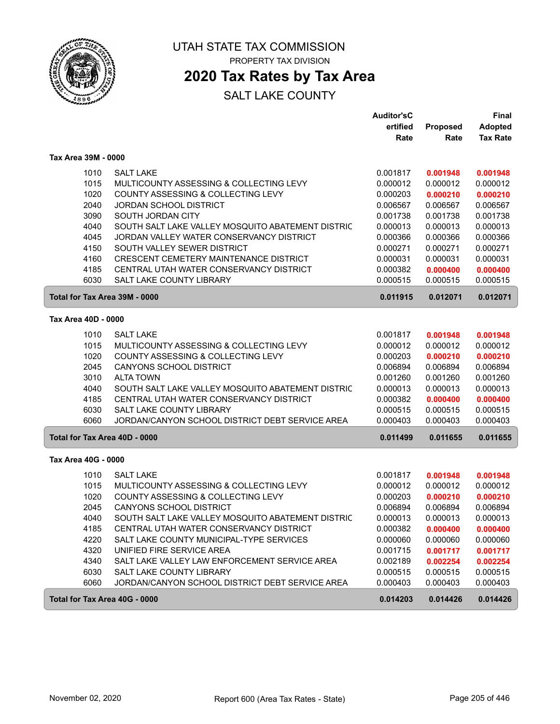

# **2020 Tax Rates by Tax Area**

|                               |                                                   | Auditor'sC |          | <b>Final</b>    |
|-------------------------------|---------------------------------------------------|------------|----------|-----------------|
|                               |                                                   | ertified   | Proposed | <b>Adopted</b>  |
|                               |                                                   | Rate       | Rate     | <b>Tax Rate</b> |
| Tax Area 39M - 0000           |                                                   |            |          |                 |
| 1010                          | <b>SALT LAKE</b>                                  | 0.001817   | 0.001948 | 0.001948        |
| 1015                          | MULTICOUNTY ASSESSING & COLLECTING LEVY           | 0.000012   | 0.000012 | 0.000012        |
| 1020                          | COUNTY ASSESSING & COLLECTING LEVY                | 0.000203   | 0.000210 | 0.000210        |
| 2040                          | <b>JORDAN SCHOOL DISTRICT</b>                     | 0.006567   | 0.006567 | 0.006567        |
| 3090                          | SOUTH JORDAN CITY                                 | 0.001738   | 0.001738 | 0.001738        |
| 4040                          | SOUTH SALT LAKE VALLEY MOSQUITO ABATEMENT DISTRIC | 0.000013   | 0.000013 | 0.000013        |
| 4045                          | JORDAN VALLEY WATER CONSERVANCY DISTRICT          | 0.000366   | 0.000366 | 0.000366        |
| 4150                          | SOUTH VALLEY SEWER DISTRICT                       | 0.000271   | 0.000271 | 0.000271        |
| 4160                          | CRESCENT CEMETERY MAINTENANCE DISTRICT            | 0.000031   | 0.000031 | 0.000031        |
| 4185                          | CENTRAL UTAH WATER CONSERVANCY DISTRICT           | 0.000382   | 0.000400 | 0.000400        |
| 6030                          | <b>SALT LAKE COUNTY LIBRARY</b>                   | 0.000515   | 0.000515 | 0.000515        |
| Total for Tax Area 39M - 0000 |                                                   | 0.011915   | 0.012071 | 0.012071        |
| Tax Area 40D - 0000           |                                                   |            |          |                 |
| 1010                          | <b>SALT LAKE</b>                                  | 0.001817   | 0.001948 | 0.001948        |
| 1015                          | MULTICOUNTY ASSESSING & COLLECTING LEVY           | 0.000012   | 0.000012 | 0.000012        |
| 1020                          | COUNTY ASSESSING & COLLECTING LEVY                | 0.000203   | 0.000210 | 0.000210        |
| 2045                          | <b>CANYONS SCHOOL DISTRICT</b>                    | 0.006894   | 0.006894 | 0.006894        |
| 3010                          | <b>ALTA TOWN</b>                                  | 0.001260   | 0.001260 | 0.001260        |
| 4040                          | SOUTH SALT LAKE VALLEY MOSQUITO ABATEMENT DISTRIC | 0.000013   | 0.000013 | 0.000013        |
| 4185                          | CENTRAL UTAH WATER CONSERVANCY DISTRICT           | 0.000382   | 0.000400 | 0.000400        |
| 6030                          | <b>SALT LAKE COUNTY LIBRARY</b>                   | 0.000515   | 0.000515 | 0.000515        |
| 6060                          | JORDAN/CANYON SCHOOL DISTRICT DEBT SERVICE AREA   | 0.000403   | 0.000403 | 0.000403        |
| Total for Tax Area 40D - 0000 |                                                   | 0.011499   | 0.011655 | 0.011655        |
| Tax Area 40G - 0000           |                                                   |            |          |                 |
| 1010                          | <b>SALT LAKE</b>                                  | 0.001817   | 0.001948 | 0.001948        |
| 1015                          | MULTICOUNTY ASSESSING & COLLECTING LEVY           | 0.000012   | 0.000012 | 0.000012        |
| 1020                          | COUNTY ASSESSING & COLLECTING LEVY                | 0.000203   | 0.000210 | 0.000210        |
| 2045                          | CANYONS SCHOOL DISTRICT                           | 0.006894   | 0.006894 | 0.006894        |
| 4040                          | SOUTH SALT LAKE VALLEY MOSQUITO ABATEMENT DISTRIC | 0.000013   | 0.000013 | 0.000013        |
| 4185                          | CENTRAL UTAH WATER CONSERVANCY DISTRICT           | 0.000382   | 0.000400 | 0.000400        |
| 4220                          | SALT LAKE COUNTY MUNICIPAL-TYPE SERVICES          | 0.000060   | 0.000060 | 0.000060        |
| 4320                          | UNIFIED FIRE SERVICE AREA                         | 0.001715   | 0.001717 | 0.001717        |
| 4340                          | SALT LAKE VALLEY LAW ENFORCEMENT SERVICE AREA     | 0.002189   | 0.002254 | 0.002254        |
| 6030                          | SALT LAKE COUNTY LIBRARY                          | 0.000515   | 0.000515 | 0.000515        |
| 6060                          | JORDAN/CANYON SCHOOL DISTRICT DEBT SERVICE AREA   | 0.000403   | 0.000403 | 0.000403        |
| Total for Tax Area 40G - 0000 |                                                   | 0.014203   | 0.014426 | 0.014426        |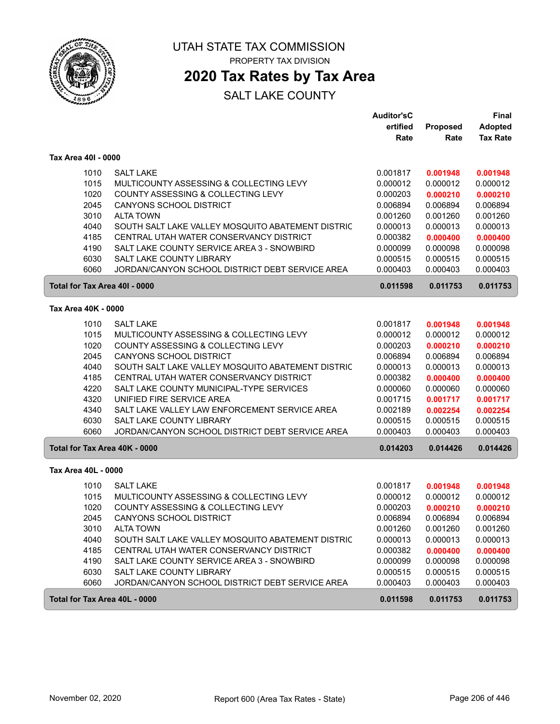

**2020 Tax Rates by Tax Area**

|                               |                                                   | <b>Auditor'sC</b> |          | <b>Final</b>    |
|-------------------------------|---------------------------------------------------|-------------------|----------|-----------------|
|                               |                                                   | ertified          | Proposed | <b>Adopted</b>  |
|                               |                                                   | Rate              | Rate     | <b>Tax Rate</b> |
| Tax Area 40I - 0000           |                                                   |                   |          |                 |
| 1010                          | <b>SALT LAKE</b>                                  | 0.001817          | 0.001948 | 0.001948        |
| 1015                          | MULTICOUNTY ASSESSING & COLLECTING LEVY           | 0.000012          | 0.000012 | 0.000012        |
| 1020                          | COUNTY ASSESSING & COLLECTING LEVY                | 0.000203          | 0.000210 | 0.000210        |
| 2045                          | <b>CANYONS SCHOOL DISTRICT</b>                    | 0.006894          | 0.006894 | 0.006894        |
| 3010                          | <b>ALTA TOWN</b>                                  | 0.001260          | 0.001260 | 0.001260        |
| 4040                          | SOUTH SALT LAKE VALLEY MOSQUITO ABATEMENT DISTRIC | 0.000013          | 0.000013 | 0.000013        |
| 4185                          | CENTRAL UTAH WATER CONSERVANCY DISTRICT           | 0.000382          | 0.000400 | 0.000400        |
| 4190                          | SALT LAKE COUNTY SERVICE AREA 3 - SNOWBIRD        | 0.000099          | 0.000098 | 0.000098        |
| 6030                          | SALT LAKE COUNTY LIBRARY                          | 0.000515          | 0.000515 | 0.000515        |
| 6060                          | JORDAN/CANYON SCHOOL DISTRICT DEBT SERVICE AREA   | 0.000403          | 0.000403 | 0.000403        |
| Total for Tax Area 40I - 0000 |                                                   | 0.011598          | 0.011753 | 0.011753        |
| Tax Area 40K - 0000           |                                                   |                   |          |                 |
| 1010                          | <b>SALT LAKE</b>                                  | 0.001817          | 0.001948 | 0.001948        |
| 1015                          | MULTICOUNTY ASSESSING & COLLECTING LEVY           | 0.000012          | 0.000012 | 0.000012        |
| 1020                          | COUNTY ASSESSING & COLLECTING LEVY                | 0.000203          | 0.000210 | 0.000210        |
| 2045                          | CANYONS SCHOOL DISTRICT                           | 0.006894          | 0.006894 | 0.006894        |
| 4040                          | SOUTH SALT LAKE VALLEY MOSQUITO ABATEMENT DISTRIC | 0.000013          | 0.000013 | 0.000013        |
| 4185                          | CENTRAL UTAH WATER CONSERVANCY DISTRICT           | 0.000382          | 0.000400 | 0.000400        |
| 4220                          | SALT LAKE COUNTY MUNICIPAL-TYPE SERVICES          | 0.000060          | 0.000060 | 0.000060        |
| 4320                          | UNIFIED FIRE SERVICE AREA                         | 0.001715          | 0.001717 | 0.001717        |
| 4340                          | SALT LAKE VALLEY LAW ENFORCEMENT SERVICE AREA     | 0.002189          | 0.002254 | 0.002254        |
| 6030                          | SALT LAKE COUNTY LIBRARY                          | 0.000515          | 0.000515 | 0.000515        |
| 6060                          | JORDAN/CANYON SCHOOL DISTRICT DEBT SERVICE AREA   | 0.000403          | 0.000403 | 0.000403        |
| Total for Tax Area 40K - 0000 |                                                   | 0.014203          | 0.014426 | 0.014426        |
| Tax Area 40L - 0000           |                                                   |                   |          |                 |
| 1010                          | <b>SALT LAKE</b>                                  | 0.001817          | 0.001948 | 0.001948        |
| 1015                          | MULTICOUNTY ASSESSING & COLLECTING LEVY           | 0.000012          | 0.000012 | 0.000012        |
| 1020                          | COUNTY ASSESSING & COLLECTING LEVY                | 0.000203          | 0.000210 | 0.000210        |
| 2045                          | <b>CANYONS SCHOOL DISTRICT</b>                    | 0.006894          | 0.006894 | 0.006894        |
| 3010                          | <b>ALTA TOWN</b>                                  | 0.001260          | 0.001260 | 0.001260        |
| 4040                          | SOUTH SALT LAKE VALLEY MOSQUITO ABATEMENT DISTRIC | 0.000013          | 0.000013 | 0.000013        |
| 4185                          | CENTRAL UTAH WATER CONSERVANCY DISTRICT           | 0.000382          | 0.000400 | 0.000400        |
| 4190                          | SALT LAKE COUNTY SERVICE AREA 3 - SNOWBIRD        | 0.000099          | 0.000098 | 0.000098        |
| 6030                          | SALT LAKE COUNTY LIBRARY                          | 0.000515          | 0.000515 | 0.000515        |
| 6060                          | JORDAN/CANYON SCHOOL DISTRICT DEBT SERVICE AREA   | 0.000403          | 0.000403 | 0.000403        |
| Total for Tax Area 40L - 0000 |                                                   | 0.011598          | 0.011753 | 0.011753        |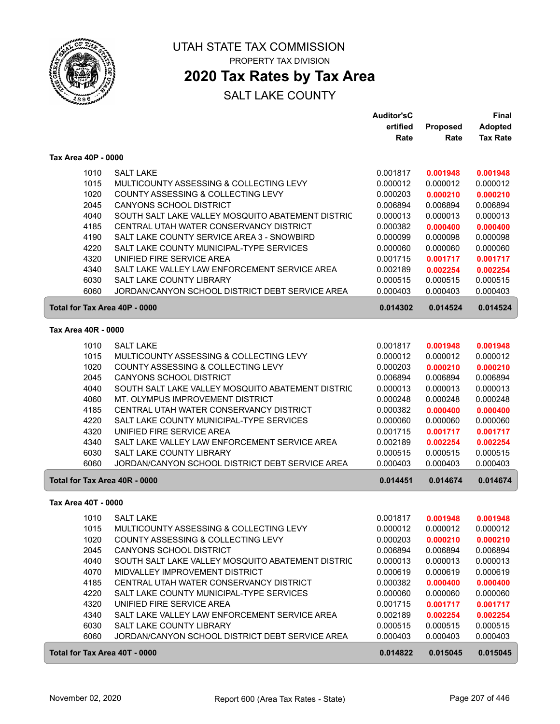

# **2020 Tax Rates by Tax Area**

|                               |                                                   | <b>Auditor'sC</b> |                 | <b>Final</b>    |
|-------------------------------|---------------------------------------------------|-------------------|-----------------|-----------------|
|                               |                                                   | ertified          | <b>Proposed</b> | <b>Adopted</b>  |
|                               |                                                   | Rate              | Rate            | <b>Tax Rate</b> |
| Tax Area 40P - 0000           |                                                   |                   |                 |                 |
| 1010                          | <b>SALT LAKE</b>                                  | 0.001817          | 0.001948        | 0.001948        |
| 1015                          | MULTICOUNTY ASSESSING & COLLECTING LEVY           | 0.000012          | 0.000012        | 0.000012        |
| 1020                          | COUNTY ASSESSING & COLLECTING LEVY                | 0.000203          | 0.000210        | 0.000210        |
| 2045                          | <b>CANYONS SCHOOL DISTRICT</b>                    | 0.006894          | 0.006894        | 0.006894        |
| 4040                          | SOUTH SALT LAKE VALLEY MOSQUITO ABATEMENT DISTRIC | 0.000013          | 0.000013        | 0.000013        |
| 4185                          | CENTRAL UTAH WATER CONSERVANCY DISTRICT           | 0.000382          | 0.000400        | 0.000400        |
| 4190                          | SALT LAKE COUNTY SERVICE AREA 3 - SNOWBIRD        | 0.000099          | 0.000098        | 0.000098        |
| 4220                          | SALT LAKE COUNTY MUNICIPAL-TYPE SERVICES          | 0.000060          | 0.000060        | 0.000060        |
| 4320                          | UNIFIED FIRE SERVICE AREA                         | 0.001715          | 0.001717        | 0.001717        |
| 4340                          | SALT LAKE VALLEY LAW ENFORCEMENT SERVICE AREA     | 0.002189          | 0.002254        | 0.002254        |
| 6030                          | SALT LAKE COUNTY LIBRARY                          | 0.000515          | 0.000515        | 0.000515        |
| 6060                          | JORDAN/CANYON SCHOOL DISTRICT DEBT SERVICE AREA   | 0.000403          | 0.000403        | 0.000403        |
| Total for Tax Area 40P - 0000 |                                                   | 0.014302          | 0.014524        | 0.014524        |
| Tax Area 40R - 0000           |                                                   |                   |                 |                 |
| 1010                          | <b>SALT LAKE</b>                                  | 0.001817          | 0.001948        | 0.001948        |
| 1015                          | MULTICOUNTY ASSESSING & COLLECTING LEVY           | 0.000012          | 0.000012        | 0.000012        |
| 1020                          | COUNTY ASSESSING & COLLECTING LEVY                | 0.000203          | 0.000210        | 0.000210        |
| 2045                          | CANYONS SCHOOL DISTRICT                           | 0.006894          | 0.006894        | 0.006894        |
| 4040                          | SOUTH SALT LAKE VALLEY MOSQUITO ABATEMENT DISTRIC | 0.000013          | 0.000013        | 0.000013        |
| 4060                          | MT. OLYMPUS IMPROVEMENT DISTRICT                  | 0.000248          | 0.000248        | 0.000248        |
| 4185                          | CENTRAL UTAH WATER CONSERVANCY DISTRICT           | 0.000382          | 0.000400        | 0.000400        |
| 4220                          | SALT LAKE COUNTY MUNICIPAL-TYPE SERVICES          | 0.000060          | 0.000060        | 0.000060        |
| 4320                          | UNIFIED FIRE SERVICE AREA                         | 0.001715          | 0.001717        | 0.001717        |
| 4340                          | SALT LAKE VALLEY LAW ENFORCEMENT SERVICE AREA     | 0.002189          | 0.002254        | 0.002254        |
| 6030                          | SALT LAKE COUNTY LIBRARY                          | 0.000515          | 0.000515        | 0.000515        |
| 6060                          | JORDAN/CANYON SCHOOL DISTRICT DEBT SERVICE AREA   | 0.000403          | 0.000403        | 0.000403        |
| Total for Tax Area 40R - 0000 |                                                   | 0.014451          | 0.014674        | 0.014674        |
| Tax Area 40T - 0000           |                                                   |                   |                 |                 |
|                               | 1010 SALT LAKE                                    | 0.001817          | 0.001948        | 0.001948        |
| 1015                          | MULTICOUNTY ASSESSING & COLLECTING LEVY           | 0.000012          | 0.000012        | 0.000012        |
| 1020                          | COUNTY ASSESSING & COLLECTING LEVY                | 0.000203          | 0.000210        | 0.000210        |
| 2045                          | <b>CANYONS SCHOOL DISTRICT</b>                    | 0.006894          | 0.006894        | 0.006894        |
| 4040                          | SOUTH SALT LAKE VALLEY MOSQUITO ABATEMENT DISTRIC | 0.000013          | 0.000013        | 0.000013        |
| 4070                          | MIDVALLEY IMPROVEMENT DISTRICT                    | 0.000619          | 0.000619        | 0.000619        |
| 4185                          | CENTRAL UTAH WATER CONSERVANCY DISTRICT           | 0.000382          | 0.000400        | 0.000400        |
| 4220                          | SALT LAKE COUNTY MUNICIPAL-TYPE SERVICES          | 0.000060          | 0.000060        | 0.000060        |
| 4320                          | UNIFIED FIRE SERVICE AREA                         | 0.001715          | 0.001717        | 0.001717        |
| 4340                          | SALT LAKE VALLEY LAW ENFORCEMENT SERVICE AREA     | 0.002189          | 0.002254        | 0.002254        |
| 6030                          | SALT LAKE COUNTY LIBRARY                          | 0.000515          | 0.000515        | 0.000515        |
| 6060                          | JORDAN/CANYON SCHOOL DISTRICT DEBT SERVICE AREA   | 0.000403          | 0.000403        | 0.000403        |
| Total for Tax Area 40T - 0000 |                                                   | 0.014822          | 0.015045        | 0.015045        |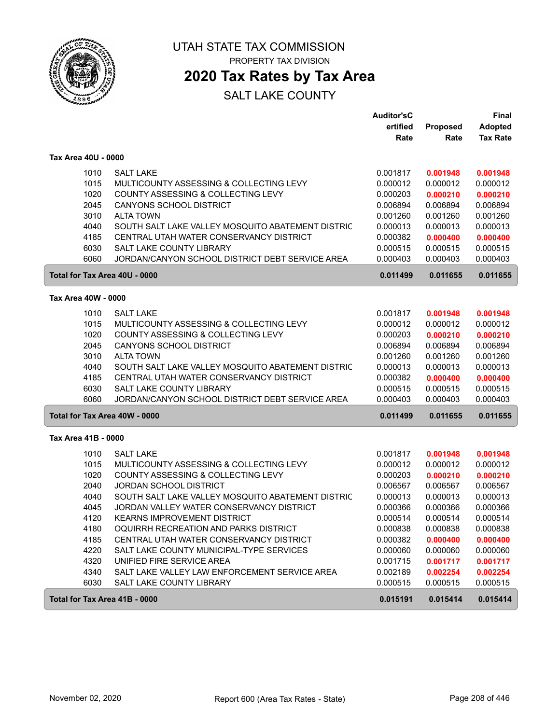

# **2020 Tax Rates by Tax Area**

|                               |                                                   | <b>Auditor'sC</b> |          | <b>Final</b>    |
|-------------------------------|---------------------------------------------------|-------------------|----------|-----------------|
|                               |                                                   | ertified          | Proposed | <b>Adopted</b>  |
|                               |                                                   | Rate              | Rate     | <b>Tax Rate</b> |
| Tax Area 40U - 0000           |                                                   |                   |          |                 |
| 1010                          | <b>SALT LAKE</b>                                  | 0.001817          | 0.001948 | 0.001948        |
| 1015                          | MULTICOUNTY ASSESSING & COLLECTING LEVY           | 0.000012          | 0.000012 | 0.000012        |
| 1020                          | COUNTY ASSESSING & COLLECTING LEVY                | 0.000203          | 0.000210 | 0.000210        |
| 2045                          | <b>CANYONS SCHOOL DISTRICT</b>                    | 0.006894          | 0.006894 | 0.006894        |
| 3010                          | <b>ALTA TOWN</b>                                  | 0.001260          | 0.001260 | 0.001260        |
| 4040                          | SOUTH SALT LAKE VALLEY MOSQUITO ABATEMENT DISTRIC | 0.000013          | 0.000013 | 0.000013        |
| 4185                          | CENTRAL UTAH WATER CONSERVANCY DISTRICT           | 0.000382          | 0.000400 | 0.000400        |
| 6030                          | SALT LAKE COUNTY LIBRARY                          | 0.000515          | 0.000515 | 0.000515        |
| 6060                          | JORDAN/CANYON SCHOOL DISTRICT DEBT SERVICE AREA   | 0.000403          | 0.000403 | 0.000403        |
| Total for Tax Area 40U - 0000 |                                                   | 0.011499          | 0.011655 | 0.011655        |
| Tax Area 40W - 0000           |                                                   |                   |          |                 |
|                               |                                                   |                   |          |                 |
| 1010                          | <b>SALT LAKE</b>                                  | 0.001817          | 0.001948 | 0.001948        |
| 1015                          | MULTICOUNTY ASSESSING & COLLECTING LEVY           | 0.000012          | 0.000012 | 0.000012        |
| 1020                          | COUNTY ASSESSING & COLLECTING LEVY                | 0.000203          | 0.000210 | 0.000210        |
| 2045                          | <b>CANYONS SCHOOL DISTRICT</b>                    | 0.006894          | 0.006894 | 0.006894        |
| 3010                          | <b>ALTA TOWN</b>                                  | 0.001260          | 0.001260 | 0.001260        |
| 4040                          | SOUTH SALT LAKE VALLEY MOSQUITO ABATEMENT DISTRIC | 0.000013          | 0.000013 | 0.000013        |
| 4185                          | CENTRAL UTAH WATER CONSERVANCY DISTRICT           | 0.000382          | 0.000400 | 0.000400        |
| 6030                          | <b>SALT LAKE COUNTY LIBRARY</b>                   | 0.000515          | 0.000515 | 0.000515        |
| 6060                          | JORDAN/CANYON SCHOOL DISTRICT DEBT SERVICE AREA   | 0.000403          | 0.000403 | 0.000403        |
|                               | Total for Tax Area 40W - 0000                     | 0.011499          | 0.011655 | 0.011655        |
| Tax Area 41B - 0000           |                                                   |                   |          |                 |
| 1010                          | <b>SALT LAKE</b>                                  | 0.001817          | 0.001948 | 0.001948        |
| 1015                          | MULTICOUNTY ASSESSING & COLLECTING LEVY           | 0.000012          | 0.000012 | 0.000012        |
| 1020                          | COUNTY ASSESSING & COLLECTING LEVY                | 0.000203          | 0.000210 | 0.000210        |
| 2040                          | <b>JORDAN SCHOOL DISTRICT</b>                     | 0.006567          | 0.006567 | 0.006567        |
| 4040                          | SOUTH SALT LAKE VALLEY MOSQUITO ABATEMENT DISTRIC | 0.000013          | 0.000013 | 0.000013        |
| 4045                          | JORDAN VALLEY WATER CONSERVANCY DISTRICT          | 0.000366          | 0.000366 | 0.000366        |
| 4120                          | <b>KEARNS IMPROVEMENT DISTRICT</b>                | 0.000514          | 0.000514 | 0.000514        |
| 4180                          | OQUIRRH RECREATION AND PARKS DISTRICT             | 0.000838          | 0.000838 | 0.000838        |
| 4185                          | CENTRAL UTAH WATER CONSERVANCY DISTRICT           | 0.000382          | 0.000400 | 0.000400        |
| 4220                          | SALT LAKE COUNTY MUNICIPAL-TYPE SERVICES          | 0.000060          | 0.000060 | 0.000060        |
| 4320                          | UNIFIED FIRE SERVICE AREA                         | 0.001715          | 0.001717 | 0.001717        |
| 4340                          | SALT LAKE VALLEY LAW ENFORCEMENT SERVICE AREA     | 0.002189          | 0.002254 | 0.002254        |
| 6030                          | SALT LAKE COUNTY LIBRARY                          | 0.000515          | 0.000515 | 0.000515        |
| Total for Tax Area 41B - 0000 |                                                   | 0.015191          | 0.015414 | 0.015414        |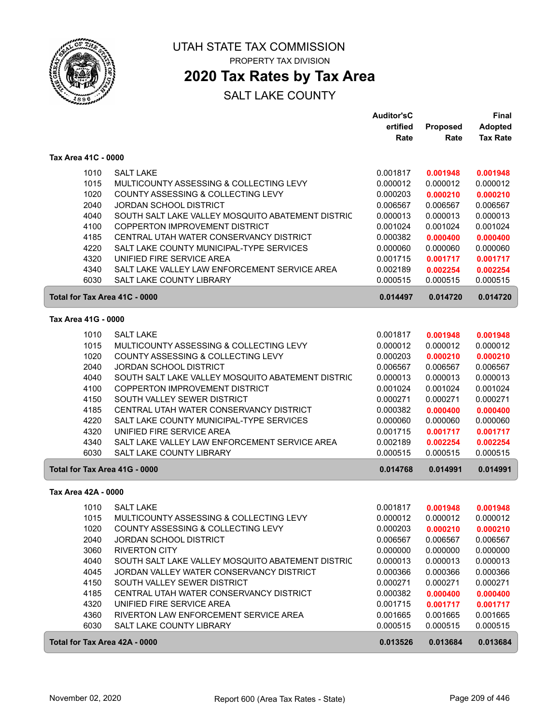

# **2020 Tax Rates by Tax Area**

|                               |                                                   | <b>Auditor'sC</b> |                 | <b>Final</b>    |
|-------------------------------|---------------------------------------------------|-------------------|-----------------|-----------------|
|                               |                                                   | ertified          | <b>Proposed</b> | <b>Adopted</b>  |
|                               |                                                   | Rate              | Rate            | <b>Tax Rate</b> |
| Tax Area 41C - 0000           |                                                   |                   |                 |                 |
| 1010                          | <b>SALT LAKE</b>                                  | 0.001817          | 0.001948        | 0.001948        |
| 1015                          | MULTICOUNTY ASSESSING & COLLECTING LEVY           | 0.000012          | 0.000012        | 0.000012        |
| 1020                          | COUNTY ASSESSING & COLLECTING LEVY                | 0.000203          | 0.000210        | 0.000210        |
| 2040                          | <b>JORDAN SCHOOL DISTRICT</b>                     | 0.006567          | 0.006567        | 0.006567        |
|                               |                                                   |                   |                 | 0.000013        |
| 4040                          | SOUTH SALT LAKE VALLEY MOSQUITO ABATEMENT DISTRIC | 0.000013          | 0.000013        |                 |
| 4100                          | COPPERTON IMPROVEMENT DISTRICT                    | 0.001024          | 0.001024        | 0.001024        |
| 4185                          | CENTRAL UTAH WATER CONSERVANCY DISTRICT           | 0.000382          | 0.000400        | 0.000400        |
| 4220                          | SALT LAKE COUNTY MUNICIPAL-TYPE SERVICES          | 0.000060          | 0.000060        | 0.000060        |
| 4320                          | UNIFIED FIRE SERVICE AREA                         | 0.001715          | 0.001717        | 0.001717        |
| 4340                          | SALT LAKE VALLEY LAW ENFORCEMENT SERVICE AREA     | 0.002189          | 0.002254        | 0.002254        |
| 6030                          | SALT LAKE COUNTY LIBRARY                          | 0.000515          | 0.000515        | 0.000515        |
| Total for Tax Area 41C - 0000 |                                                   | 0.014497          | 0.014720        | 0.014720        |
| Tax Area 41G - 0000           |                                                   |                   |                 |                 |
|                               |                                                   |                   |                 |                 |
| 1010                          | <b>SALT LAKE</b>                                  | 0.001817          | 0.001948        | 0.001948        |
| 1015                          | MULTICOUNTY ASSESSING & COLLECTING LEVY           | 0.000012          | 0.000012        | 0.000012        |
| 1020                          | COUNTY ASSESSING & COLLECTING LEVY                | 0.000203          | 0.000210        | 0.000210        |
| 2040                          | JORDAN SCHOOL DISTRICT                            | 0.006567          | 0.006567        | 0.006567        |
| 4040                          | SOUTH SALT LAKE VALLEY MOSQUITO ABATEMENT DISTRIC | 0.000013          | 0.000013        | 0.000013        |
| 4100                          | COPPERTON IMPROVEMENT DISTRICT                    | 0.001024          | 0.001024        | 0.001024        |
| 4150                          | SOUTH VALLEY SEWER DISTRICT                       | 0.000271          | 0.000271        | 0.000271        |
| 4185                          | CENTRAL UTAH WATER CONSERVANCY DISTRICT           | 0.000382          | 0.000400        | 0.000400        |
| 4220                          | SALT LAKE COUNTY MUNICIPAL-TYPE SERVICES          | 0.000060          | 0.000060        | 0.000060        |
| 4320                          | UNIFIED FIRE SERVICE AREA                         | 0.001715          | 0.001717        | 0.001717        |
| 4340                          | SALT LAKE VALLEY LAW ENFORCEMENT SERVICE AREA     | 0.002189          | 0.002254        | 0.002254        |
| 6030                          | SALT LAKE COUNTY LIBRARY                          | 0.000515          | 0.000515        | 0.000515        |
| Total for Tax Area 41G - 0000 |                                                   | 0.014768          | 0.014991        | 0.014991        |
| Tax Area 42A - 0000           |                                                   |                   |                 |                 |
| 1010                          | <b>SALT LAKE</b>                                  | 0.001817          | 0.001948        | 0.001948        |
| 1015                          | MULTICOUNTY ASSESSING & COLLECTING LEVY           | 0.000012          | 0.000012        | 0.000012        |
| 1020                          | COUNTY ASSESSING & COLLECTING LEVY                | 0.000203          | 0.000210        | 0.000210        |
| 2040                          | <b>JORDAN SCHOOL DISTRICT</b>                     | 0.006567          | 0.006567        | 0.006567        |
| 3060                          | <b>RIVERTON CITY</b>                              | 0.000000          | 0.000000        | 0.000000        |
| 4040                          | SOUTH SALT LAKE VALLEY MOSQUITO ABATEMENT DISTRIC | 0.000013          | 0.000013        | 0.000013        |
| 4045                          | JORDAN VALLEY WATER CONSERVANCY DISTRICT          | 0.000366          | 0.000366        | 0.000366        |
| 4150                          | SOUTH VALLEY SEWER DISTRICT                       | 0.000271          | 0.000271        | 0.000271        |
| 4185                          | CENTRAL UTAH WATER CONSERVANCY DISTRICT           | 0.000382          | 0.000400        | 0.000400        |
| 4320                          | UNIFIED FIRE SERVICE AREA                         | 0.001715          | 0.001717        | 0.001717        |
| 4360                          | RIVERTON LAW ENFORCEMENT SERVICE AREA             | 0.001665          | 0.001665        | 0.001665        |
| 6030                          | SALT LAKE COUNTY LIBRARY                          | 0.000515          | 0.000515        | 0.000515        |
| Total for Tax Area 42A - 0000 |                                                   | 0.013526          | 0.013684        | 0.013684        |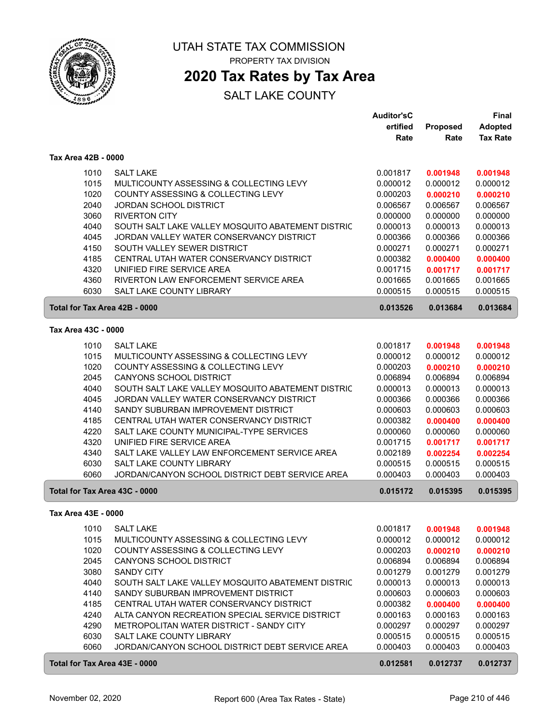

# **2020 Tax Rates by Tax Area**

|                               |                                                   | <b>Auditor'sC</b> |          | <b>Final</b>    |
|-------------------------------|---------------------------------------------------|-------------------|----------|-----------------|
|                               |                                                   | ertified          | Proposed | <b>Adopted</b>  |
|                               |                                                   | Rate              | Rate     | <b>Tax Rate</b> |
| Tax Area 42B - 0000           |                                                   |                   |          |                 |
| 1010                          | <b>SALT LAKE</b>                                  | 0.001817          | 0.001948 | 0.001948        |
| 1015                          | MULTICOUNTY ASSESSING & COLLECTING LEVY           | 0.000012          | 0.000012 | 0.000012        |
| 1020                          | COUNTY ASSESSING & COLLECTING LEVY                | 0.000203          | 0.000210 | 0.000210        |
| 2040                          | <b>JORDAN SCHOOL DISTRICT</b>                     | 0.006567          | 0.006567 | 0.006567        |
| 3060                          | <b>RIVERTON CITY</b>                              | 0.000000          | 0.000000 | 0.000000        |
| 4040                          | SOUTH SALT LAKE VALLEY MOSQUITO ABATEMENT DISTRIC | 0.000013          | 0.000013 | 0.000013        |
| 4045                          | JORDAN VALLEY WATER CONSERVANCY DISTRICT          | 0.000366          | 0.000366 | 0.000366        |
| 4150                          | SOUTH VALLEY SEWER DISTRICT                       | 0.000271          | 0.000271 | 0.000271        |
| 4185                          | CENTRAL UTAH WATER CONSERVANCY DISTRICT           | 0.000382          | 0.000400 | 0.000400        |
| 4320                          | UNIFIED FIRE SERVICE AREA                         | 0.001715          | 0.001717 | 0.001717        |
| 4360                          | RIVERTON LAW ENFORCEMENT SERVICE AREA             | 0.001665          | 0.001665 | 0.001665        |
| 6030                          | <b>SALT LAKE COUNTY LIBRARY</b>                   | 0.000515          | 0.000515 | 0.000515        |
| Total for Tax Area 42B - 0000 |                                                   | 0.013526          | 0.013684 | 0.013684        |
|                               |                                                   |                   |          |                 |
| Tax Area 43C - 0000           |                                                   |                   |          |                 |
| 1010                          | <b>SALT LAKE</b>                                  | 0.001817          | 0.001948 | 0.001948        |
| 1015                          | MULTICOUNTY ASSESSING & COLLECTING LEVY           | 0.000012          | 0.000012 | 0.000012        |
| 1020                          | COUNTY ASSESSING & COLLECTING LEVY                | 0.000203          | 0.000210 | 0.000210        |
| 2045                          | CANYONS SCHOOL DISTRICT                           | 0.006894          | 0.006894 | 0.006894        |
| 4040                          | SOUTH SALT LAKE VALLEY MOSQUITO ABATEMENT DISTRIC | 0.000013          | 0.000013 | 0.000013        |
| 4045                          | JORDAN VALLEY WATER CONSERVANCY DISTRICT          | 0.000366          | 0.000366 | 0.000366        |
| 4140                          | SANDY SUBURBAN IMPROVEMENT DISTRICT               | 0.000603          | 0.000603 | 0.000603        |
| 4185                          | CENTRAL UTAH WATER CONSERVANCY DISTRICT           | 0.000382          | 0.000400 | 0.000400        |
| 4220                          | SALT LAKE COUNTY MUNICIPAL-TYPE SERVICES          | 0.000060          | 0.000060 | 0.000060        |
| 4320                          | UNIFIED FIRE SERVICE AREA                         | 0.001715          | 0.001717 | 0.001717        |
| 4340                          | SALT LAKE VALLEY LAW ENFORCEMENT SERVICE AREA     | 0.002189          | 0.002254 | 0.002254        |
| 6030                          | SALT LAKE COUNTY LIBRARY                          | 0.000515          | 0.000515 | 0.000515        |
| 6060                          | JORDAN/CANYON SCHOOL DISTRICT DEBT SERVICE AREA   | 0.000403          | 0.000403 | 0.000403        |
| Total for Tax Area 43C - 0000 |                                                   | 0.015172          | 0.015395 | 0.015395        |
| Tax Area 43E - 0000           |                                                   |                   |          |                 |
| 1010                          | <b>SALT LAKE</b>                                  | 0.001817          | 0.001948 | 0.001948        |
| 1015                          | MULTICOUNTY ASSESSING & COLLECTING LEVY           | 0.000012          | 0.000012 | 0.000012        |
| 1020                          | COUNTY ASSESSING & COLLECTING LEVY                | 0.000203          | 0.000210 | 0.000210        |
| 2045                          | CANYONS SCHOOL DISTRICT                           | 0.006894          | 0.006894 | 0.006894        |
| 3080                          | <b>SANDY CITY</b>                                 | 0.001279          | 0.001279 | 0.001279        |
| 4040                          | SOUTH SALT LAKE VALLEY MOSQUITO ABATEMENT DISTRIC | 0.000013          | 0.000013 | 0.000013        |
| 4140                          | SANDY SUBURBAN IMPROVEMENT DISTRICT               | 0.000603          | 0.000603 | 0.000603        |
| 4185                          | CENTRAL UTAH WATER CONSERVANCY DISTRICT           | 0.000382          | 0.000400 | 0.000400        |
| 4240                          | ALTA CANYON RECREATION SPECIAL SERVICE DISTRICT   | 0.000163          | 0.000163 | 0.000163        |
| 4290                          | METROPOLITAN WATER DISTRICT - SANDY CITY          | 0.000297          | 0.000297 | 0.000297        |
| 6030                          | SALT LAKE COUNTY LIBRARY                          | 0.000515          | 0.000515 | 0.000515        |
| 6060                          | JORDAN/CANYON SCHOOL DISTRICT DEBT SERVICE AREA   | 0.000403          | 0.000403 | 0.000403        |
| Total for Tax Area 43E - 0000 |                                                   | 0.012581          | 0.012737 | 0.012737        |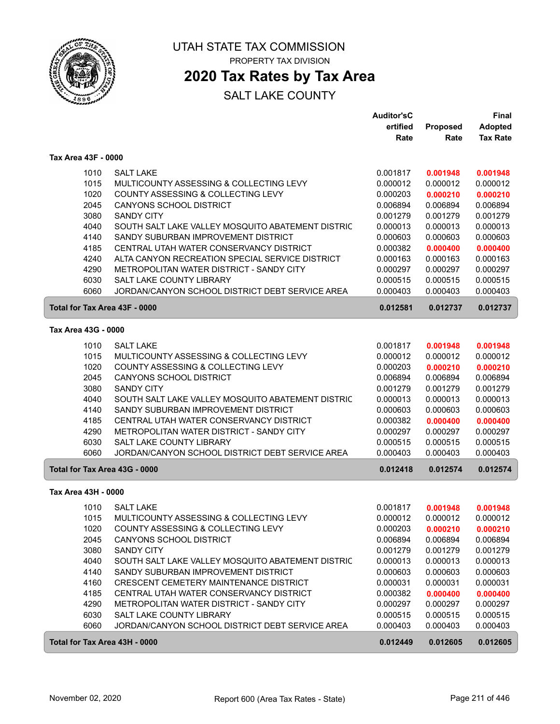

# **2020 Tax Rates by Tax Area**

|                               |                                                   | <b>Auditor'sC</b> |          | Final           |
|-------------------------------|---------------------------------------------------|-------------------|----------|-----------------|
|                               |                                                   | ertified          | Proposed | <b>Adopted</b>  |
|                               |                                                   | Rate              | Rate     | <b>Tax Rate</b> |
| Tax Area 43F - 0000           |                                                   |                   |          |                 |
| 1010                          | <b>SALT LAKE</b>                                  | 0.001817          | 0.001948 | 0.001948        |
| 1015                          | MULTICOUNTY ASSESSING & COLLECTING LEVY           | 0.000012          | 0.000012 | 0.000012        |
| 1020                          | COUNTY ASSESSING & COLLECTING LEVY                | 0.000203          | 0.000210 | 0.000210        |
| 2045                          | CANYONS SCHOOL DISTRICT                           | 0.006894          | 0.006894 | 0.006894        |
| 3080                          | <b>SANDY CITY</b>                                 | 0.001279          | 0.001279 | 0.001279        |
| 4040                          | SOUTH SALT LAKE VALLEY MOSQUITO ABATEMENT DISTRIC | 0.000013          | 0.000013 | 0.000013        |
| 4140                          | SANDY SUBURBAN IMPROVEMENT DISTRICT               | 0.000603          | 0.000603 | 0.000603        |
| 4185                          | CENTRAL UTAH WATER CONSERVANCY DISTRICT           | 0.000382          | 0.000400 | 0.000400        |
| 4240                          | ALTA CANYON RECREATION SPECIAL SERVICE DISTRICT   | 0.000163          | 0.000163 | 0.000163        |
| 4290                          | METROPOLITAN WATER DISTRICT - SANDY CITY          | 0.000297          | 0.000297 | 0.000297        |
| 6030                          | SALT LAKE COUNTY LIBRARY                          | 0.000515          | 0.000515 | 0.000515        |
| 6060                          | JORDAN/CANYON SCHOOL DISTRICT DEBT SERVICE AREA   | 0.000403          | 0.000403 | 0.000403        |
| Total for Tax Area 43F - 0000 |                                                   | 0.012581          | 0.012737 | 0.012737        |
| Tax Area 43G - 0000           |                                                   |                   |          |                 |
| 1010                          | <b>SALT LAKE</b>                                  | 0.001817          | 0.001948 | 0.001948        |
| 1015                          | MULTICOUNTY ASSESSING & COLLECTING LEVY           | 0.000012          | 0.000012 | 0.000012        |
| 1020                          | COUNTY ASSESSING & COLLECTING LEVY                | 0.000203          | 0.000210 | 0.000210        |
| 2045                          | CANYONS SCHOOL DISTRICT                           | 0.006894          | 0.006894 | 0.006894        |
| 3080                          | <b>SANDY CITY</b>                                 | 0.001279          | 0.001279 | 0.001279        |
| 4040                          | SOUTH SALT LAKE VALLEY MOSQUITO ABATEMENT DISTRIC | 0.000013          | 0.000013 | 0.000013        |
| 4140                          | SANDY SUBURBAN IMPROVEMENT DISTRICT               | 0.000603          | 0.000603 | 0.000603        |
| 4185                          | CENTRAL UTAH WATER CONSERVANCY DISTRICT           | 0.000382          | 0.000400 | 0.000400        |
| 4290                          | METROPOLITAN WATER DISTRICT - SANDY CITY          | 0.000297          | 0.000297 | 0.000297        |
| 6030                          | SALT LAKE COUNTY LIBRARY                          | 0.000515          | 0.000515 | 0.000515        |
| 6060                          | JORDAN/CANYON SCHOOL DISTRICT DEBT SERVICE AREA   | 0.000403          | 0.000403 | 0.000403        |
| Total for Tax Area 43G - 0000 |                                                   | 0.012418          | 0.012574 | 0.012574        |
| Tax Area 43H - 0000           |                                                   |                   |          |                 |
| 1010                          | <b>SALT LAKE</b>                                  | 0.001817          | 0.001948 | 0.001948        |
| 1015                          | MULTICOUNTY ASSESSING & COLLECTING LEVY           | 0.000012          | 0.000012 | 0.000012        |
| 1020                          | COUNTY ASSESSING & COLLECTING LEVY                | 0.000203          | 0.000210 | 0.000210        |
| 2045                          | CANYONS SCHOOL DISTRICT                           | 0.006894          | 0.006894 | 0.006894        |
| 3080                          | <b>SANDY CITY</b>                                 | 0.001279          | 0.001279 | 0.001279        |
| 4040                          | SOUTH SALT LAKE VALLEY MOSQUITO ABATEMENT DISTRIC | 0.000013          | 0.000013 | 0.000013        |
| 4140                          | SANDY SUBURBAN IMPROVEMENT DISTRICT               | 0.000603          | 0.000603 | 0.000603        |
| 4160                          | CRESCENT CEMETERY MAINTENANCE DISTRICT            | 0.000031          | 0.000031 | 0.000031        |
| 4185                          | CENTRAL UTAH WATER CONSERVANCY DISTRICT           | 0.000382          | 0.000400 | 0.000400        |
| 4290                          | METROPOLITAN WATER DISTRICT - SANDY CITY          | 0.000297          | 0.000297 | 0.000297        |
| 6030                          | SALT LAKE COUNTY LIBRARY                          | 0.000515          | 0.000515 | 0.000515        |
| 6060                          | JORDAN/CANYON SCHOOL DISTRICT DEBT SERVICE AREA   | 0.000403          | 0.000403 | 0.000403        |
| Total for Tax Area 43H - 0000 |                                                   | 0.012449          | 0.012605 | 0.012605        |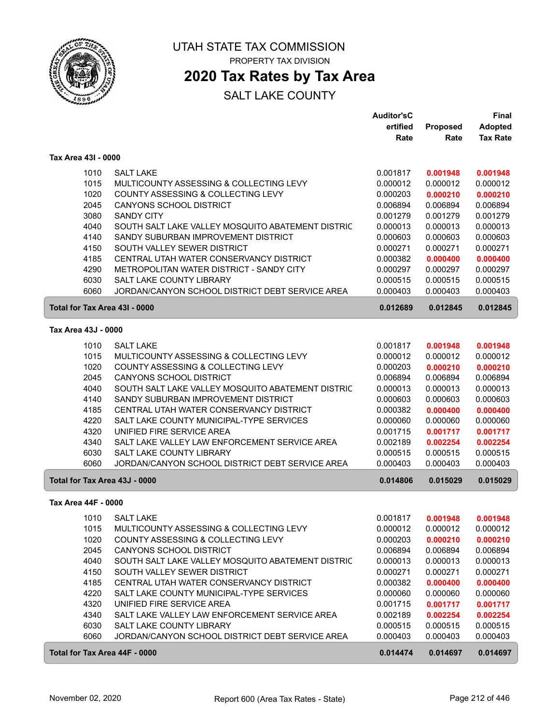

# **2020 Tax Rates by Tax Area**

|                               |                                                                                     | <b>Auditor'sC</b><br>ertified | <b>Proposed</b>      | Final<br><b>Adopted</b> |
|-------------------------------|-------------------------------------------------------------------------------------|-------------------------------|----------------------|-------------------------|
|                               |                                                                                     | Rate                          | Rate                 | <b>Tax Rate</b>         |
| Tax Area 43I - 0000           |                                                                                     |                               |                      |                         |
| 1010                          | <b>SALT LAKE</b>                                                                    | 0.001817                      | 0.001948             | 0.001948                |
| 1015                          | MULTICOUNTY ASSESSING & COLLECTING LEVY                                             | 0.000012                      | 0.000012             | 0.000012                |
| 1020                          | COUNTY ASSESSING & COLLECTING LEVY                                                  | 0.000203                      | 0.000210             | 0.000210                |
| 2045                          | CANYONS SCHOOL DISTRICT                                                             | 0.006894                      | 0.006894             | 0.006894                |
| 3080                          | <b>SANDY CITY</b>                                                                   | 0.001279                      | 0.001279             | 0.001279                |
| 4040                          | SOUTH SALT LAKE VALLEY MOSQUITO ABATEMENT DISTRIC                                   | 0.000013                      | 0.000013             | 0.000013                |
| 4140                          | SANDY SUBURBAN IMPROVEMENT DISTRICT                                                 | 0.000603                      | 0.000603             | 0.000603                |
| 4150                          | SOUTH VALLEY SEWER DISTRICT                                                         | 0.000271                      | 0.000271             | 0.000271                |
| 4185                          | CENTRAL UTAH WATER CONSERVANCY DISTRICT                                             | 0.000382                      | 0.000400             | 0.000400                |
| 4290                          | METROPOLITAN WATER DISTRICT - SANDY CITY                                            | 0.000297                      | 0.000297             | 0.000297                |
| 6030                          | SALT LAKE COUNTY LIBRARY                                                            | 0.000515                      | 0.000515             | 0.000515                |
| 6060                          | JORDAN/CANYON SCHOOL DISTRICT DEBT SERVICE AREA                                     | 0.000403                      | 0.000403             | 0.000403                |
| Total for Tax Area 43I - 0000 |                                                                                     | 0.012689                      | 0.012845             | 0.012845                |
| Tax Area 43J - 0000           |                                                                                     |                               |                      |                         |
| 1010                          | <b>SALT LAKE</b>                                                                    | 0.001817                      | 0.001948             | 0.001948                |
| 1015                          | MULTICOUNTY ASSESSING & COLLECTING LEVY                                             | 0.000012                      | 0.000012             | 0.000012                |
| 1020                          | COUNTY ASSESSING & COLLECTING LEVY                                                  | 0.000203                      | 0.000210             | 0.000210                |
| 2045                          | <b>CANYONS SCHOOL DISTRICT</b>                                                      | 0.006894                      | 0.006894             | 0.006894                |
| 4040                          | SOUTH SALT LAKE VALLEY MOSQUITO ABATEMENT DISTRIC                                   | 0.000013                      | 0.000013             | 0.000013                |
| 4140                          | SANDY SUBURBAN IMPROVEMENT DISTRICT                                                 | 0.000603                      | 0.000603             | 0.000603                |
| 4185<br>4220                  | CENTRAL UTAH WATER CONSERVANCY DISTRICT<br>SALT LAKE COUNTY MUNICIPAL-TYPE SERVICES | 0.000382<br>0.000060          | 0.000400<br>0.000060 | 0.000400<br>0.000060    |
| 4320                          | UNIFIED FIRE SERVICE AREA                                                           | 0.001715                      | 0.001717             | 0.001717                |
| 4340                          | SALT LAKE VALLEY LAW ENFORCEMENT SERVICE AREA                                       | 0.002189                      | 0.002254             | 0.002254                |
| 6030                          | SALT LAKE COUNTY LIBRARY                                                            | 0.000515                      | 0.000515             | 0.000515                |
| 6060                          | JORDAN/CANYON SCHOOL DISTRICT DEBT SERVICE AREA                                     | 0.000403                      | 0.000403             | 0.000403                |
| Total for Tax Area 43J - 0000 |                                                                                     | 0.014806                      | 0.015029             | 0.015029                |
| Tax Area 44F - 0000           |                                                                                     |                               |                      |                         |
|                               | 1010 SALT LAKE                                                                      | 0.001817                      | 0.001948             | 0.001948                |
| 1015                          | MULTICOUNTY ASSESSING & COLLECTING LEVY                                             | 0.000012                      | 0.000012             | 0.000012                |
| 1020                          | COUNTY ASSESSING & COLLECTING LEVY                                                  | 0.000203                      | 0.000210             | 0.000210                |
| 2045                          | <b>CANYONS SCHOOL DISTRICT</b>                                                      | 0.006894                      | 0.006894             | 0.006894                |
| 4040                          | SOUTH SALT LAKE VALLEY MOSQUITO ABATEMENT DISTRIC                                   | 0.000013                      | 0.000013             | 0.000013                |
| 4150                          | SOUTH VALLEY SEWER DISTRICT                                                         | 0.000271                      | 0.000271             | 0.000271                |
| 4185                          | CENTRAL UTAH WATER CONSERVANCY DISTRICT                                             | 0.000382                      | 0.000400             | 0.000400                |
| 4220                          | SALT LAKE COUNTY MUNICIPAL-TYPE SERVICES                                            | 0.000060                      | 0.000060             | 0.000060                |
| 4320                          | UNIFIED FIRE SERVICE AREA                                                           | 0.001715                      | 0.001717             | 0.001717                |
| 4340                          | SALT LAKE VALLEY LAW ENFORCEMENT SERVICE AREA                                       | 0.002189                      | 0.002254             | 0.002254                |
| 6030<br>6060                  | SALT LAKE COUNTY LIBRARY<br>JORDAN/CANYON SCHOOL DISTRICT DEBT SERVICE AREA         | 0.000515<br>0.000403          | 0.000515<br>0.000403 | 0.000515<br>0.000403    |
|                               |                                                                                     |                               |                      |                         |
| Total for Tax Area 44F - 0000 |                                                                                     | 0.014474                      | 0.014697             | 0.014697                |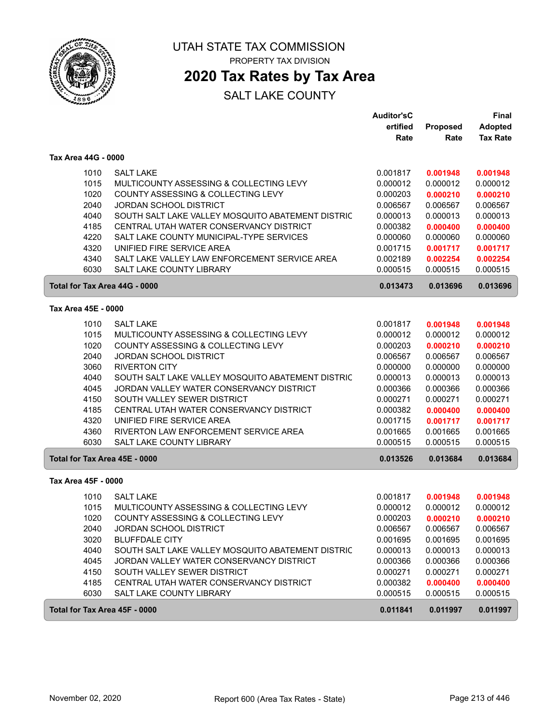

# **2020 Tax Rates by Tax Area**

|                               |                                                   | <b>Auditor'sC</b><br>ertified | Proposed | Final<br><b>Adopted</b> |
|-------------------------------|---------------------------------------------------|-------------------------------|----------|-------------------------|
|                               |                                                   | Rate                          | Rate     | <b>Tax Rate</b>         |
| Tax Area 44G - 0000           |                                                   |                               |          |                         |
| 1010                          | <b>SALT LAKE</b>                                  | 0.001817                      | 0.001948 | 0.001948                |
| 1015                          | MULTICOUNTY ASSESSING & COLLECTING LEVY           | 0.000012                      | 0.000012 | 0.000012                |
| 1020                          | COUNTY ASSESSING & COLLECTING LEVY                | 0.000203                      | 0.000210 | 0.000210                |
| 2040                          | JORDAN SCHOOL DISTRICT                            | 0.006567                      | 0.006567 | 0.006567                |
| 4040                          | SOUTH SALT LAKE VALLEY MOSQUITO ABATEMENT DISTRIC | 0.000013                      | 0.000013 | 0.000013                |
| 4185                          | CENTRAL UTAH WATER CONSERVANCY DISTRICT           | 0.000382                      | 0.000400 | 0.000400                |
| 4220                          | SALT LAKE COUNTY MUNICIPAL-TYPE SERVICES          | 0.000060                      | 0.000060 | 0.000060                |
| 4320                          | UNIFIED FIRE SERVICE AREA                         | 0.001715                      | 0.001717 | 0.001717                |
| 4340                          | SALT LAKE VALLEY LAW ENFORCEMENT SERVICE AREA     | 0.002189                      | 0.002254 | 0.002254                |
| 6030                          | SALT LAKE COUNTY LIBRARY                          | 0.000515                      | 0.000515 | 0.000515                |
| Total for Tax Area 44G - 0000 |                                                   | 0.013473                      | 0.013696 | 0.013696                |
| Tax Area 45E - 0000           |                                                   |                               |          |                         |
| 1010                          | <b>SALT LAKE</b>                                  | 0.001817                      | 0.001948 | 0.001948                |
| 1015                          | MULTICOUNTY ASSESSING & COLLECTING LEVY           | 0.000012                      | 0.000012 | 0.000012                |
| 1020                          | COUNTY ASSESSING & COLLECTING LEVY                | 0.000203                      | 0.000210 | 0.000210                |
| 2040                          | <b>JORDAN SCHOOL DISTRICT</b>                     | 0.006567                      | 0.006567 | 0.006567                |
| 3060                          | <b>RIVERTON CITY</b>                              | 0.000000                      | 0.000000 | 0.000000                |
| 4040                          | SOUTH SALT LAKE VALLEY MOSQUITO ABATEMENT DISTRIC | 0.000013                      | 0.000013 | 0.000013                |
| 4045                          | JORDAN VALLEY WATER CONSERVANCY DISTRICT          | 0.000366                      | 0.000366 | 0.000366                |
| 4150                          | SOUTH VALLEY SEWER DISTRICT                       | 0.000271                      | 0.000271 | 0.000271                |
| 4185                          | CENTRAL UTAH WATER CONSERVANCY DISTRICT           | 0.000382                      | 0.000400 | 0.000400                |
| 4320                          | UNIFIED FIRE SERVICE AREA                         | 0.001715                      | 0.001717 | 0.001717                |
| 4360                          | RIVERTON LAW ENFORCEMENT SERVICE AREA             | 0.001665                      | 0.001665 | 0.001665                |
| 6030                          | <b>SALT LAKE COUNTY LIBRARY</b>                   | 0.000515                      | 0.000515 | 0.000515                |
| Total for Tax Area 45E - 0000 |                                                   | 0.013526                      | 0.013684 | 0.013684                |
| Tax Area 45F - 0000           |                                                   |                               |          |                         |
| 1010                          | <b>SALT LAKE</b>                                  | 0.001817                      | 0.001948 | 0.001948                |
| 1015                          | MULTICOUNTY ASSESSING & COLLECTING LEVY           | 0.000012                      | 0.000012 | 0.000012                |
| 1020                          | COUNTY ASSESSING & COLLECTING LEVY                | 0.000203                      | 0.000210 | 0.000210                |
| 2040                          | <b>JORDAN SCHOOL DISTRICT</b>                     | 0.006567                      | 0.006567 | 0.006567                |
| 3020                          | <b>BLUFFDALE CITY</b>                             | 0.001695                      | 0.001695 | 0.001695                |
| 4040                          | SOUTH SALT LAKE VALLEY MOSQUITO ABATEMENT DISTRIC | 0.000013                      | 0.000013 | 0.000013                |
| 4045                          | JORDAN VALLEY WATER CONSERVANCY DISTRICT          | 0.000366                      | 0.000366 | 0.000366                |
| 4150                          | SOUTH VALLEY SEWER DISTRICT                       | 0.000271                      | 0.000271 | 0.000271                |
| 4185                          | CENTRAL UTAH WATER CONSERVANCY DISTRICT           | 0.000382                      | 0.000400 | 0.000400                |
| 6030                          | SALT LAKE COUNTY LIBRARY                          | 0.000515                      | 0.000515 | 0.000515                |
| Total for Tax Area 45F - 0000 |                                                   | 0.011841                      | 0.011997 | 0.011997                |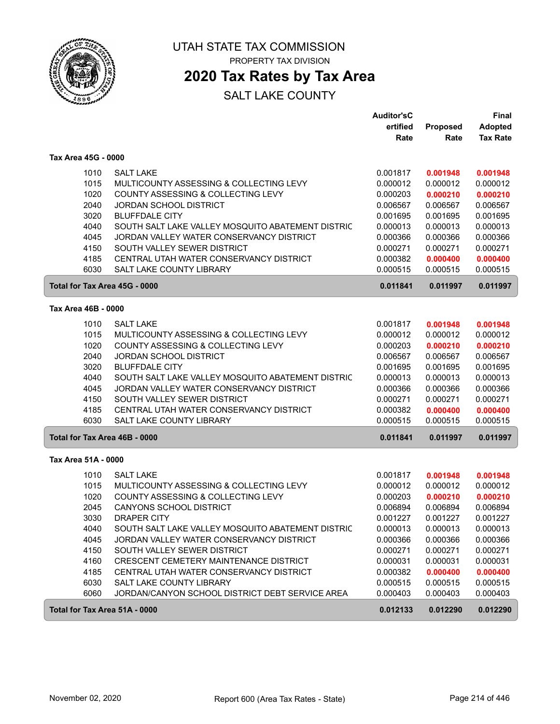

# **2020 Tax Rates by Tax Area**

|                     |                                                   | <b>Auditor'sC</b> |          | <b>Final</b>    |
|---------------------|---------------------------------------------------|-------------------|----------|-----------------|
|                     |                                                   | ertified          | Proposed | <b>Adopted</b>  |
|                     |                                                   | Rate              | Rate     | <b>Tax Rate</b> |
| Tax Area 45G - 0000 |                                                   |                   |          |                 |
| 1010                | <b>SALT LAKE</b>                                  | 0.001817          | 0.001948 | 0.001948        |
| 1015                | MULTICOUNTY ASSESSING & COLLECTING LEVY           | 0.000012          | 0.000012 | 0.000012        |
| 1020                | COUNTY ASSESSING & COLLECTING LEVY                | 0.000203          | 0.000210 | 0.000210        |
| 2040                | <b>JORDAN SCHOOL DISTRICT</b>                     | 0.006567          | 0.006567 | 0.006567        |
| 3020                | <b>BLUFFDALE CITY</b>                             | 0.001695          | 0.001695 | 0.001695        |
| 4040                | SOUTH SALT LAKE VALLEY MOSQUITO ABATEMENT DISTRIC | 0.000013          | 0.000013 | 0.000013        |
| 4045                | JORDAN VALLEY WATER CONSERVANCY DISTRICT          | 0.000366          | 0.000366 | 0.000366        |
| 4150                | SOUTH VALLEY SEWER DISTRICT                       | 0.000271          | 0.000271 | 0.000271        |
| 4185                | CENTRAL UTAH WATER CONSERVANCY DISTRICT           | 0.000382          | 0.000400 | 0.000400        |
| 6030                | <b>SALT LAKE COUNTY LIBRARY</b>                   | 0.000515          | 0.000515 | 0.000515        |
|                     |                                                   |                   |          |                 |
|                     | Total for Tax Area 45G - 0000                     | 0.011841          | 0.011997 | 0.011997        |
| Tax Area 46B - 0000 |                                                   |                   |          |                 |
| 1010                | <b>SALT LAKE</b>                                  | 0.001817          | 0.001948 | 0.001948        |
| 1015                | MULTICOUNTY ASSESSING & COLLECTING LEVY           | 0.000012          | 0.000012 | 0.000012        |
| 1020                | COUNTY ASSESSING & COLLECTING LEVY                | 0.000203          | 0.000210 | 0.000210        |
| 2040                | <b>JORDAN SCHOOL DISTRICT</b>                     | 0.006567          | 0.006567 | 0.006567        |
| 3020                | <b>BLUFFDALE CITY</b>                             | 0.001695          | 0.001695 | 0.001695        |
| 4040                | SOUTH SALT LAKE VALLEY MOSQUITO ABATEMENT DISTRIC | 0.000013          | 0.000013 | 0.000013        |
| 4045                | JORDAN VALLEY WATER CONSERVANCY DISTRICT          | 0.000366          | 0.000366 | 0.000366        |
| 4150                | SOUTH VALLEY SEWER DISTRICT                       | 0.000271          | 0.000271 | 0.000271        |
| 4185                | CENTRAL UTAH WATER CONSERVANCY DISTRICT           | 0.000382          | 0.000400 | 0.000400        |
| 6030                | SALT LAKE COUNTY LIBRARY                          | 0.000515          | 0.000515 | 0.000515        |
|                     | Total for Tax Area 46B - 0000                     | 0.011841          | 0.011997 | 0.011997        |
| Tax Area 51A - 0000 |                                                   |                   |          |                 |
| 1010                | <b>SALT LAKE</b>                                  | 0.001817          | 0.001948 | 0.001948        |
| 1015                | MULTICOUNTY ASSESSING & COLLECTING LEVY           | 0.000012          | 0.000012 | 0.000012        |
| 1020                | COUNTY ASSESSING & COLLECTING LEVY                | 0.000203          | 0.000210 | 0.000210        |
| 2045                | CANYONS SCHOOL DISTRICT                           | 0.006894          | 0.006894 | 0.006894        |
| 3030                | DRAPER CITY                                       | 0.001227          | 0.001227 | 0.001227        |
| 4040                | SOUTH SALT LAKE VALLEY MOSQUITO ABATEMENT DISTRIC | 0.000013          | 0.000013 | 0.000013        |
| 4045                | JORDAN VALLEY WATER CONSERVANCY DISTRICT          | 0.000366          | 0.000366 | 0.000366        |
| 4150                | SOUTH VALLEY SEWER DISTRICT                       | 0.000271          | 0.000271 | 0.000271        |
| 4160                | CRESCENT CEMETERY MAINTENANCE DISTRICT            | 0.000031          | 0.000031 | 0.000031        |
| 4185                | CENTRAL UTAH WATER CONSERVANCY DISTRICT           | 0.000382          | 0.000400 | 0.000400        |
| 6030                | SALT LAKE COUNTY LIBRARY                          | 0.000515          | 0.000515 | 0.000515        |
| 6060                | JORDAN/CANYON SCHOOL DISTRICT DEBT SERVICE AREA   | 0.000403          | 0.000403 | 0.000403        |
|                     | Total for Tax Area 51A - 0000                     | 0.012133          | 0.012290 | 0.012290        |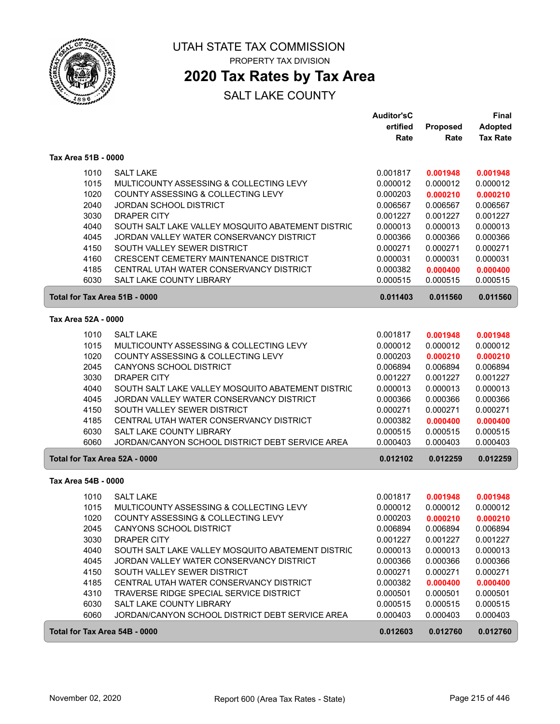

# **2020 Tax Rates by Tax Area**

|                               |                                                   | <b>Auditor'sC</b> |                 | Final           |
|-------------------------------|---------------------------------------------------|-------------------|-----------------|-----------------|
|                               |                                                   | ertified          | <b>Proposed</b> | <b>Adopted</b>  |
|                               |                                                   | Rate              | Rate            | <b>Tax Rate</b> |
| Tax Area 51B - 0000           |                                                   |                   |                 |                 |
| 1010                          | <b>SALT LAKE</b>                                  | 0.001817          | 0.001948        | 0.001948        |
| 1015                          | MULTICOUNTY ASSESSING & COLLECTING LEVY           | 0.000012          | 0.000012        | 0.000012        |
| 1020                          | COUNTY ASSESSING & COLLECTING LEVY                | 0.000203          | 0.000210        | 0.000210        |
| 2040                          | <b>JORDAN SCHOOL DISTRICT</b>                     | 0.006567          | 0.006567        | 0.006567        |
| 3030                          | <b>DRAPER CITY</b>                                | 0.001227          | 0.001227        | 0.001227        |
| 4040                          | SOUTH SALT LAKE VALLEY MOSQUITO ABATEMENT DISTRIC | 0.000013          | 0.000013        | 0.000013        |
| 4045                          | JORDAN VALLEY WATER CONSERVANCY DISTRICT          | 0.000366          | 0.000366        | 0.000366        |
| 4150                          | SOUTH VALLEY SEWER DISTRICT                       | 0.000271          | 0.000271        | 0.000271        |
| 4160                          | CRESCENT CEMETERY MAINTENANCE DISTRICT            | 0.000031          | 0.000031        | 0.000031        |
| 4185                          | CENTRAL UTAH WATER CONSERVANCY DISTRICT           | 0.000382          | 0.000400        | 0.000400        |
| 6030                          | SALT LAKE COUNTY LIBRARY                          | 0.000515          | 0.000515        | 0.000515        |
| Total for Tax Area 51B - 0000 |                                                   | 0.011403          | 0.011560        | 0.011560        |
| Tax Area 52A - 0000           |                                                   |                   |                 |                 |
| 1010                          | <b>SALT LAKE</b>                                  | 0.001817          | 0.001948        | 0.001948        |
| 1015                          | MULTICOUNTY ASSESSING & COLLECTING LEVY           | 0.000012          | 0.000012        | 0.000012        |
| 1020                          | COUNTY ASSESSING & COLLECTING LEVY                | 0.000203          | 0.000210        | 0.000210        |
| 2045                          | CANYONS SCHOOL DISTRICT                           | 0.006894          | 0.006894        | 0.006894        |
| 3030                          | <b>DRAPER CITY</b>                                | 0.001227          | 0.001227        | 0.001227        |
| 4040                          | SOUTH SALT LAKE VALLEY MOSQUITO ABATEMENT DISTRIC | 0.000013          | 0.000013        | 0.000013        |
| 4045                          | JORDAN VALLEY WATER CONSERVANCY DISTRICT          | 0.000366          | 0.000366        | 0.000366        |
| 4150                          | SOUTH VALLEY SEWER DISTRICT                       | 0.000271          | 0.000271        | 0.000271        |
| 4185                          | CENTRAL UTAH WATER CONSERVANCY DISTRICT           | 0.000382          | 0.000400        | 0.000400        |
| 6030                          | SALT LAKE COUNTY LIBRARY                          | 0.000515          | 0.000515        | 0.000515        |
| 6060                          | JORDAN/CANYON SCHOOL DISTRICT DEBT SERVICE AREA   | 0.000403          | 0.000403        | 0.000403        |
| Total for Tax Area 52A - 0000 |                                                   | 0.012102          | 0.012259        | 0.012259        |
| Tax Area 54B - 0000           |                                                   |                   |                 |                 |
| 1010                          | <b>SALT LAKE</b>                                  | 0.001817          | 0.001948        | 0.001948        |
| 1015                          | MULTICOUNTY ASSESSING & COLLECTING LEVY           | 0.000012          | 0.000012        | 0.000012        |
| 1020                          | COUNTY ASSESSING & COLLECTING LEVY                | 0.000203          | 0.000210        | 0.000210        |
| 2045                          | CANYONS SCHOOL DISTRICT                           | 0.006894          | 0.006894        | 0.006894        |
| 3030                          | DRAPER CITY                                       | 0.001227          | 0.001227        | 0.001227        |
| 4040                          | SOUTH SALT LAKE VALLEY MOSQUITO ABATEMENT DISTRIC | 0.000013          | 0.000013        | 0.000013        |
| 4045                          | JORDAN VALLEY WATER CONSERVANCY DISTRICT          | 0.000366          | 0.000366        | 0.000366        |
| 4150                          | SOUTH VALLEY SEWER DISTRICT                       | 0.000271          | 0.000271        | 0.000271        |
| 4185                          | CENTRAL UTAH WATER CONSERVANCY DISTRICT           | 0.000382          | 0.000400        | 0.000400        |
| 4310                          | TRAVERSE RIDGE SPECIAL SERVICE DISTRICT           | 0.000501          | 0.000501        | 0.000501        |
| 6030                          | SALT LAKE COUNTY LIBRARY                          | 0.000515          | 0.000515        | 0.000515        |
| 6060                          | JORDAN/CANYON SCHOOL DISTRICT DEBT SERVICE AREA   | 0.000403          | 0.000403        | 0.000403        |
| Total for Tax Area 54B - 0000 |                                                   | 0.012603          | 0.012760        | 0.012760        |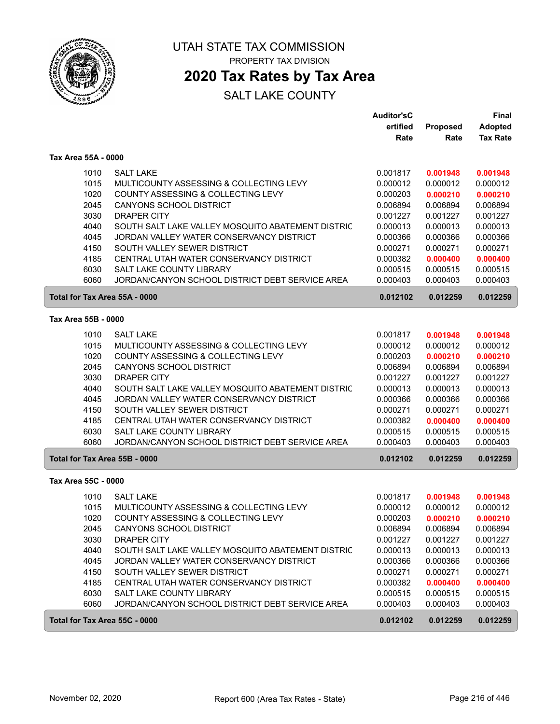

# **2020 Tax Rates by Tax Area**

|                     |                                                           | <b>Auditor'sC</b> |          | <b>Final</b>    |
|---------------------|-----------------------------------------------------------|-------------------|----------|-----------------|
|                     |                                                           | ertified          | Proposed | <b>Adopted</b>  |
|                     |                                                           | Rate              | Rate     | <b>Tax Rate</b> |
| Tax Area 55A - 0000 |                                                           |                   |          |                 |
|                     | <b>SALT LAKE</b><br>1010                                  | 0.001817          | 0.001948 | 0.001948        |
|                     | 1015<br>MULTICOUNTY ASSESSING & COLLECTING LEVY           | 0.000012          | 0.000012 | 0.000012        |
|                     | 1020<br>COUNTY ASSESSING & COLLECTING LEVY                | 0.000203          | 0.000210 | 0.000210        |
|                     | 2045<br><b>CANYONS SCHOOL DISTRICT</b>                    | 0.006894          | 0.006894 | 0.006894        |
|                     | 3030<br><b>DRAPER CITY</b>                                | 0.001227          | 0.001227 | 0.001227        |
|                     | 4040<br>SOUTH SALT LAKE VALLEY MOSQUITO ABATEMENT DISTRIC | 0.000013          | 0.000013 | 0.000013        |
|                     | 4045<br>JORDAN VALLEY WATER CONSERVANCY DISTRICT          | 0.000366          | 0.000366 | 0.000366        |
|                     | 4150<br>SOUTH VALLEY SEWER DISTRICT                       | 0.000271          | 0.000271 | 0.000271        |
|                     | CENTRAL UTAH WATER CONSERVANCY DISTRICT<br>4185           | 0.000382          | 0.000400 | 0.000400        |
|                     | 6030<br>SALT LAKE COUNTY LIBRARY                          | 0.000515          | 0.000515 | 0.000515        |
|                     | 6060<br>JORDAN/CANYON SCHOOL DISTRICT DEBT SERVICE AREA   | 0.000403          | 0.000403 | 0.000403        |
|                     | Total for Tax Area 55A - 0000                             | 0.012102          | 0.012259 | 0.012259        |
| Tax Area 55B - 0000 |                                                           |                   |          |                 |
|                     | 1010<br><b>SALT LAKE</b>                                  | 0.001817          | 0.001948 | 0.001948        |
|                     | 1015<br>MULTICOUNTY ASSESSING & COLLECTING LEVY           | 0.000012          | 0.000012 | 0.000012        |
|                     | 1020<br>COUNTY ASSESSING & COLLECTING LEVY                | 0.000203          | 0.000210 | 0.000210        |
|                     | 2045<br>CANYONS SCHOOL DISTRICT                           | 0.006894          | 0.006894 | 0.006894        |
|                     | 3030<br><b>DRAPER CITY</b>                                | 0.001227          | 0.001227 | 0.001227        |
|                     | 4040<br>SOUTH SALT LAKE VALLEY MOSQUITO ABATEMENT DISTRIC | 0.000013          | 0.000013 | 0.000013        |
|                     | 4045<br>JORDAN VALLEY WATER CONSERVANCY DISTRICT          | 0.000366          | 0.000366 | 0.000366        |
|                     | 4150<br>SOUTH VALLEY SEWER DISTRICT                       | 0.000271          | 0.000271 | 0.000271        |
|                     | 4185<br>CENTRAL UTAH WATER CONSERVANCY DISTRICT           | 0.000382          | 0.000400 | 0.000400        |
|                     | 6030<br>SALT LAKE COUNTY LIBRARY                          | 0.000515          | 0.000515 | 0.000515        |
|                     | 6060<br>JORDAN/CANYON SCHOOL DISTRICT DEBT SERVICE AREA   | 0.000403          | 0.000403 | 0.000403        |
|                     | Total for Tax Area 55B - 0000                             | 0.012102          | 0.012259 | 0.012259        |
| Tax Area 55C - 0000 |                                                           |                   |          |                 |
|                     | 1010<br><b>SALT LAKE</b>                                  | 0.001817          | 0.001948 | 0.001948        |
|                     | 1015<br>MULTICOUNTY ASSESSING & COLLECTING LEVY           | 0.000012          | 0.000012 | 0.000012        |
|                     | 1020<br>COUNTY ASSESSING & COLLECTING LEVY                | 0.000203          | 0.000210 | 0.000210        |
|                     | 2045<br>CANYONS SCHOOL DISTRICT                           | 0.006894          | 0.006894 | 0.006894        |
|                     | 3030<br><b>DRAPER CITY</b>                                | 0.001227          | 0.001227 | 0.001227        |
|                     | 4040<br>SOUTH SALT LAKE VALLEY MOSQUITO ABATEMENT DISTRIC | 0.000013          | 0.000013 | 0.000013        |
|                     | 4045<br>JORDAN VALLEY WATER CONSERVANCY DISTRICT          | 0.000366          | 0.000366 | 0.000366        |
|                     | 4150<br>SOUTH VALLEY SEWER DISTRICT                       | 0.000271          | 0.000271 | 0.000271        |
|                     | 4185<br>CENTRAL UTAH WATER CONSERVANCY DISTRICT           | 0.000382          | 0.000400 | 0.000400        |
|                     | 6030<br>SALT LAKE COUNTY LIBRARY                          | 0.000515          | 0.000515 | 0.000515        |
|                     | 6060<br>JORDAN/CANYON SCHOOL DISTRICT DEBT SERVICE AREA   | 0.000403          | 0.000403 | 0.000403        |
|                     | Total for Tax Area 55C - 0000                             | 0.012102          | 0.012259 | 0.012259        |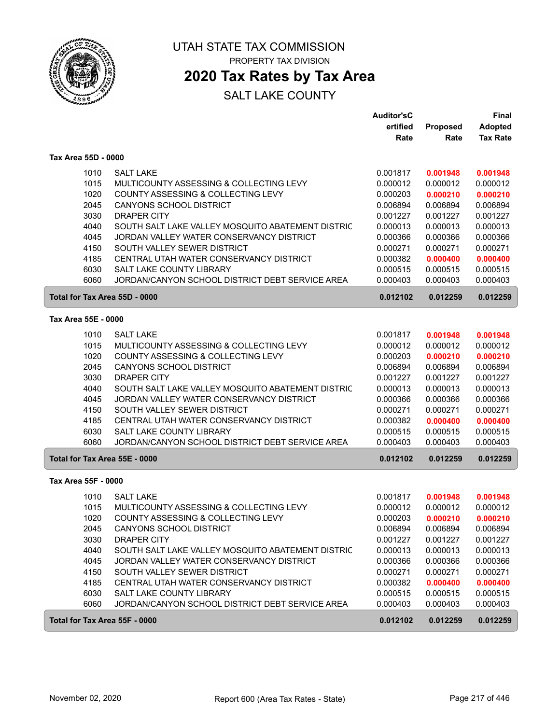

## **2020 Tax Rates by Tax Area**

|                     |                                                                                             | <b>Auditor'sC</b><br>ertified | Proposed             | Final<br><b>Adopted</b> |
|---------------------|---------------------------------------------------------------------------------------------|-------------------------------|----------------------|-------------------------|
|                     |                                                                                             | Rate                          | Rate                 | <b>Tax Rate</b>         |
| Tax Area 55D - 0000 |                                                                                             |                               |                      |                         |
|                     | <b>SALT LAKE</b><br>1010                                                                    | 0.001817                      | 0.001948             | 0.001948                |
|                     | 1015<br>MULTICOUNTY ASSESSING & COLLECTING LEVY                                             | 0.000012                      | 0.000012             | 0.000012                |
|                     | 1020<br>COUNTY ASSESSING & COLLECTING LEVY                                                  | 0.000203                      | 0.000210             | 0.000210                |
|                     | 2045<br><b>CANYONS SCHOOL DISTRICT</b>                                                      | 0.006894                      | 0.006894             | 0.006894                |
|                     | 3030<br><b>DRAPER CITY</b>                                                                  | 0.001227                      | 0.001227             | 0.001227                |
|                     | 4040<br>SOUTH SALT LAKE VALLEY MOSQUITO ABATEMENT DISTRIC                                   | 0.000013                      | 0.000013             | 0.000013                |
|                     | 4045<br>JORDAN VALLEY WATER CONSERVANCY DISTRICT                                            | 0.000366                      | 0.000366             | 0.000366                |
|                     | 4150<br>SOUTH VALLEY SEWER DISTRICT                                                         | 0.000271                      | 0.000271             | 0.000271                |
|                     | CENTRAL UTAH WATER CONSERVANCY DISTRICT<br>4185                                             | 0.000382                      | 0.000400             | 0.000400                |
|                     | 6030<br>SALT LAKE COUNTY LIBRARY<br>6060<br>JORDAN/CANYON SCHOOL DISTRICT DEBT SERVICE AREA | 0.000515<br>0.000403          | 0.000515<br>0.000403 | 0.000515<br>0.000403    |
|                     | Total for Tax Area 55D - 0000                                                               | 0.012102                      | 0.012259             | 0.012259                |
| Tax Area 55E - 0000 |                                                                                             |                               |                      |                         |
|                     | <b>SALT LAKE</b><br>1010                                                                    | 0.001817                      |                      |                         |
|                     | 1015<br>MULTICOUNTY ASSESSING & COLLECTING LEVY                                             | 0.000012                      | 0.001948<br>0.000012 | 0.001948<br>0.000012    |
|                     | 1020<br>COUNTY ASSESSING & COLLECTING LEVY                                                  | 0.000203                      | 0.000210             | 0.000210                |
|                     | 2045<br>CANYONS SCHOOL DISTRICT                                                             | 0.006894                      | 0.006894             | 0.006894                |
|                     | 3030<br><b>DRAPER CITY</b>                                                                  | 0.001227                      | 0.001227             | 0.001227                |
|                     | 4040<br>SOUTH SALT LAKE VALLEY MOSQUITO ABATEMENT DISTRIC                                   | 0.000013                      | 0.000013             | 0.000013                |
|                     | 4045<br>JORDAN VALLEY WATER CONSERVANCY DISTRICT                                            | 0.000366                      | 0.000366             | 0.000366                |
|                     | SOUTH VALLEY SEWER DISTRICT<br>4150                                                         | 0.000271                      | 0.000271             | 0.000271                |
|                     | 4185<br>CENTRAL UTAH WATER CONSERVANCY DISTRICT                                             | 0.000382                      | 0.000400             | 0.000400                |
|                     | 6030<br>SALT LAKE COUNTY LIBRARY                                                            | 0.000515                      | 0.000515             | 0.000515                |
|                     | 6060<br>JORDAN/CANYON SCHOOL DISTRICT DEBT SERVICE AREA                                     | 0.000403                      | 0.000403             | 0.000403                |
|                     | Total for Tax Area 55E - 0000                                                               | 0.012102                      | 0.012259             | 0.012259                |
| Tax Area 55F - 0000 |                                                                                             |                               |                      |                         |
|                     | 1010<br><b>SALT LAKE</b>                                                                    | 0.001817                      | 0.001948             | 0.001948                |
|                     | 1015<br>MULTICOUNTY ASSESSING & COLLECTING LEVY                                             | 0.000012                      | 0.000012             | 0.000012                |
|                     | 1020<br>COUNTY ASSESSING & COLLECTING LEVY                                                  | 0.000203                      | 0.000210             | 0.000210                |
|                     | 2045<br>CANYONS SCHOOL DISTRICT                                                             | 0.006894                      | 0.006894             | 0.006894                |
|                     | 3030<br>DRAPER CITY                                                                         | 0.001227                      | 0.001227             | 0.001227                |
|                     | 4040<br>SOUTH SALT LAKE VALLEY MOSQUITO ABATEMENT DISTRIC                                   | 0.000013                      | 0.000013             | 0.000013                |
|                     | 4045<br>JORDAN VALLEY WATER CONSERVANCY DISTRICT                                            | 0.000366                      | 0.000366             | 0.000366                |
|                     | 4150<br>SOUTH VALLEY SEWER DISTRICT                                                         | 0.000271                      | 0.000271             | 0.000271                |
|                     | 4185<br>CENTRAL UTAH WATER CONSERVANCY DISTRICT                                             | 0.000382                      | 0.000400             | 0.000400                |
|                     | 6030<br>SALT LAKE COUNTY LIBRARY<br>6060<br>JORDAN/CANYON SCHOOL DISTRICT DEBT SERVICE AREA | 0.000515<br>0.000403          | 0.000515<br>0.000403 | 0.000515<br>0.000403    |
|                     |                                                                                             |                               |                      |                         |
|                     | Total for Tax Area 55F - 0000                                                               | 0.012102                      | 0.012259             | 0.012259                |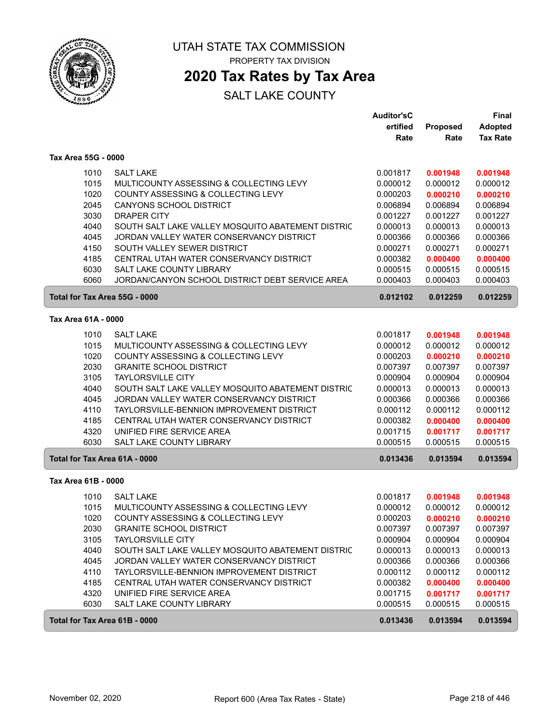

### **2020 Tax Rates by Tax Area**

|                     |                                                   | <b>Auditor'sC</b> |          | <b>Final</b>    |
|---------------------|---------------------------------------------------|-------------------|----------|-----------------|
|                     |                                                   | ertified          | Proposed | <b>Adopted</b>  |
|                     |                                                   | Rate              | Rate     | <b>Tax Rate</b> |
| Tax Area 55G - 0000 |                                                   |                   |          |                 |
| 1010                | <b>SALT LAKE</b>                                  | 0.001817          | 0.001948 | 0.001948        |
| 1015                | MULTICOUNTY ASSESSING & COLLECTING LEVY           | 0.000012          | 0.000012 | 0.000012        |
| 1020                | COUNTY ASSESSING & COLLECTING LEVY                | 0.000203          | 0.000210 | 0.000210        |
| 2045                | <b>CANYONS SCHOOL DISTRICT</b>                    | 0.006894          | 0.006894 | 0.006894        |
| 3030                | <b>DRAPER CITY</b>                                | 0.001227          | 0.001227 | 0.001227        |
| 4040                | SOUTH SALT LAKE VALLEY MOSQUITO ABATEMENT DISTRIC | 0.000013          | 0.000013 | 0.000013        |
| 4045                | JORDAN VALLEY WATER CONSERVANCY DISTRICT          | 0.000366          | 0.000366 | 0.000366        |
| 4150                | SOUTH VALLEY SEWER DISTRICT                       | 0.000271          | 0.000271 | 0.000271        |
| 4185                | CENTRAL UTAH WATER CONSERVANCY DISTRICT           | 0.000382          | 0.000400 | 0.000400        |
| 6030                | SALT LAKE COUNTY LIBRARY                          | 0.000515          | 0.000515 | 0.000515        |
| 6060                | JORDAN/CANYON SCHOOL DISTRICT DEBT SERVICE AREA   | 0.000403          | 0.000403 | 0.000403        |
|                     | Total for Tax Area 55G - 0000                     | 0.012102          | 0.012259 | 0.012259        |
| Tax Area 61A - 0000 |                                                   |                   |          |                 |
| 1010                | <b>SALT LAKE</b>                                  | 0.001817          | 0.001948 | 0.001948        |
| 1015                | MULTICOUNTY ASSESSING & COLLECTING LEVY           | 0.000012          | 0.000012 | 0.000012        |
| 1020                | COUNTY ASSESSING & COLLECTING LEVY                | 0.000203          | 0.000210 | 0.000210        |
| 2030                | <b>GRANITE SCHOOL DISTRICT</b>                    | 0.007397          | 0.007397 | 0.007397        |
| 3105                | <b>TAYLORSVILLE CITY</b>                          | 0.000904          | 0.000904 | 0.000904        |
| 4040                | SOUTH SALT LAKE VALLEY MOSQUITO ABATEMENT DISTRIC | 0.000013          | 0.000013 | 0.000013        |
| 4045                | JORDAN VALLEY WATER CONSERVANCY DISTRICT          | 0.000366          | 0.000366 | 0.000366        |
| 4110                | TAYLORSVILLE-BENNION IMPROVEMENT DISTRICT         | 0.000112          | 0.000112 | 0.000112        |
| 4185                | CENTRAL UTAH WATER CONSERVANCY DISTRICT           | 0.000382          | 0.000400 | 0.000400        |
| 4320                | UNIFIED FIRE SERVICE AREA                         | 0.001715          | 0.001717 | 0.001717        |
| 6030                | SALT LAKE COUNTY LIBRARY                          | 0.000515          | 0.000515 | 0.000515        |
|                     | Total for Tax Area 61A - 0000                     | 0.013436          | 0.013594 | 0.013594        |
| Tax Area 61B - 0000 |                                                   |                   |          |                 |
| 1010                | <b>SALT LAKE</b>                                  | 0.001817          | 0.001948 | 0.001948        |
| 1015                | MULTICOUNTY ASSESSING & COLLECTING LEVY           | 0.000012          | 0.000012 | 0.000012        |
| 1020                | COUNTY ASSESSING & COLLECTING LEVY                | 0.000203          | 0.000210 | 0.000210        |
| 2030                | <b>GRANITE SCHOOL DISTRICT</b>                    | 0.007397          | 0.007397 | 0.007397        |
| 3105                | <b>TAYLORSVILLE CITY</b>                          | 0.000904          | 0.000904 | 0.000904        |
| 4040                | SOUTH SALT LAKE VALLEY MOSQUITO ABATEMENT DISTRIC | 0.000013          | 0.000013 | 0.000013        |
| 4045                | JORDAN VALLEY WATER CONSERVANCY DISTRICT          | 0.000366          | 0.000366 | 0.000366        |
| 4110                | TAYLORSVILLE-BENNION IMPROVEMENT DISTRICT         | 0.000112          | 0.000112 | 0.000112        |
| 4185                | CENTRAL UTAH WATER CONSERVANCY DISTRICT           | 0.000382          | 0.000400 | 0.000400        |
| 4320                | UNIFIED FIRE SERVICE AREA                         | 0.001715          | 0.001717 | 0.001717        |
| 6030                | SALT LAKE COUNTY LIBRARY                          | 0.000515          | 0.000515 | 0.000515        |
|                     | Total for Tax Area 61B - 0000                     | 0.013436          | 0.013594 | 0.013594        |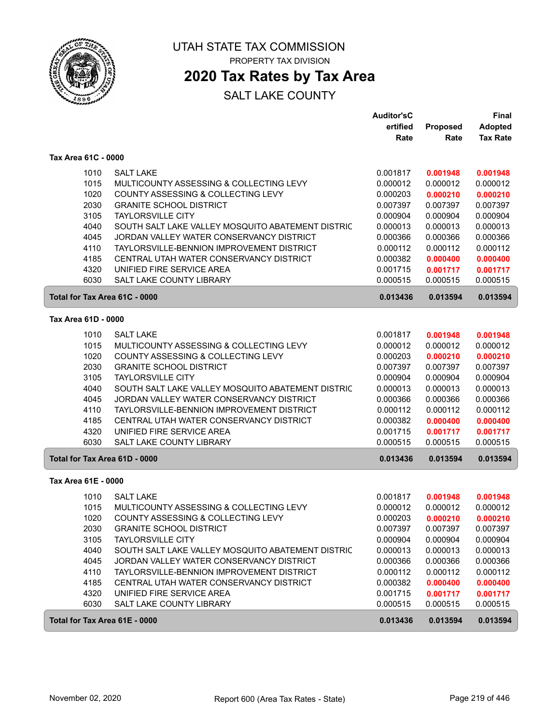

### **2020 Tax Rates by Tax Area**

|                     |                                                   | <b>Auditor'sC</b><br>ertified | Proposed | Final<br><b>Adopted</b> |
|---------------------|---------------------------------------------------|-------------------------------|----------|-------------------------|
|                     |                                                   | Rate                          | Rate     | <b>Tax Rate</b>         |
| Tax Area 61C - 0000 |                                                   |                               |          |                         |
| 1010                | <b>SALT LAKE</b>                                  | 0.001817                      | 0.001948 | 0.001948                |
| 1015                | MULTICOUNTY ASSESSING & COLLECTING LEVY           | 0.000012                      | 0.000012 | 0.000012                |
| 1020                | COUNTY ASSESSING & COLLECTING LEVY                | 0.000203                      | 0.000210 | 0.000210                |
| 2030                | <b>GRANITE SCHOOL DISTRICT</b>                    | 0.007397                      | 0.007397 | 0.007397                |
| 3105                | <b>TAYLORSVILLE CITY</b>                          | 0.000904                      | 0.000904 | 0.000904                |
| 4040                | SOUTH SALT LAKE VALLEY MOSQUITO ABATEMENT DISTRIC | 0.000013                      | 0.000013 | 0.000013                |
| 4045                | JORDAN VALLEY WATER CONSERVANCY DISTRICT          | 0.000366                      | 0.000366 | 0.000366                |
| 4110                | TAYLORSVILLE-BENNION IMPROVEMENT DISTRICT         | 0.000112                      | 0.000112 | 0.000112                |
| 4185                | CENTRAL UTAH WATER CONSERVANCY DISTRICT           | 0.000382                      | 0.000400 | 0.000400                |
| 4320                | UNIFIED FIRE SERVICE AREA                         | 0.001715                      | 0.001717 | 0.001717                |
| 6030                | <b>SALT LAKE COUNTY LIBRARY</b>                   | 0.000515                      | 0.000515 | 0.000515                |
|                     | Total for Tax Area 61C - 0000                     | 0.013436                      | 0.013594 | 0.013594                |
| Tax Area 61D - 0000 |                                                   |                               |          |                         |
| 1010                | <b>SALT LAKE</b>                                  | 0.001817                      | 0.001948 | 0.001948                |
| 1015                | MULTICOUNTY ASSESSING & COLLECTING LEVY           | 0.000012                      | 0.000012 | 0.000012                |
| 1020                | COUNTY ASSESSING & COLLECTING LEVY                | 0.000203                      | 0.000210 | 0.000210                |
| 2030                | <b>GRANITE SCHOOL DISTRICT</b>                    | 0.007397                      | 0.007397 | 0.007397                |
| 3105                | <b>TAYLORSVILLE CITY</b>                          | 0.000904                      | 0.000904 | 0.000904                |
| 4040                | SOUTH SALT LAKE VALLEY MOSQUITO ABATEMENT DISTRIC | 0.000013                      | 0.000013 | 0.000013                |
| 4045                | JORDAN VALLEY WATER CONSERVANCY DISTRICT          | 0.000366                      | 0.000366 | 0.000366                |
| 4110                | TAYLORSVILLE-BENNION IMPROVEMENT DISTRICT         | 0.000112                      | 0.000112 | 0.000112                |
| 4185                | CENTRAL UTAH WATER CONSERVANCY DISTRICT           | 0.000382                      | 0.000400 | 0.000400                |
| 4320                | UNIFIED FIRE SERVICE AREA                         | 0.001715                      | 0.001717 | 0.001717                |
| 6030                | SALT LAKE COUNTY LIBRARY                          | 0.000515                      | 0.000515 | 0.000515                |
|                     | Total for Tax Area 61D - 0000                     | 0.013436                      | 0.013594 | 0.013594                |
| Tax Area 61E - 0000 |                                                   |                               |          |                         |
| 1010                | <b>SALT LAKE</b>                                  | 0.001817                      | 0.001948 | 0.001948                |
| 1015                | MULTICOUNTY ASSESSING & COLLECTING LEVY           | 0.000012                      | 0.000012 | 0.000012                |
| 1020                | COUNTY ASSESSING & COLLECTING LEVY                | 0.000203                      | 0.000210 | 0.000210                |
| 2030                | <b>GRANITE SCHOOL DISTRICT</b>                    | 0.007397                      | 0.007397 | 0.007397                |
| 3105                | <b>TAYLORSVILLE CITY</b>                          | 0.000904                      | 0.000904 | 0.000904                |
| 4040                | SOUTH SALT LAKE VALLEY MOSQUITO ABATEMENT DISTRIC | 0.000013                      | 0.000013 | 0.000013                |
| 4045                | JORDAN VALLEY WATER CONSERVANCY DISTRICT          | 0.000366                      | 0.000366 | 0.000366                |
| 4110                | TAYLORSVILLE-BENNION IMPROVEMENT DISTRICT         | 0.000112                      | 0.000112 | 0.000112                |
| 4185                | CENTRAL UTAH WATER CONSERVANCY DISTRICT           | 0.000382                      | 0.000400 | 0.000400                |
| 4320                | UNIFIED FIRE SERVICE AREA                         | 0.001715                      | 0.001717 | 0.001717                |
| 6030                | SALT LAKE COUNTY LIBRARY                          | 0.000515                      | 0.000515 | 0.000515                |
|                     | Total for Tax Area 61E - 0000                     | 0.013436                      | 0.013594 | 0.013594                |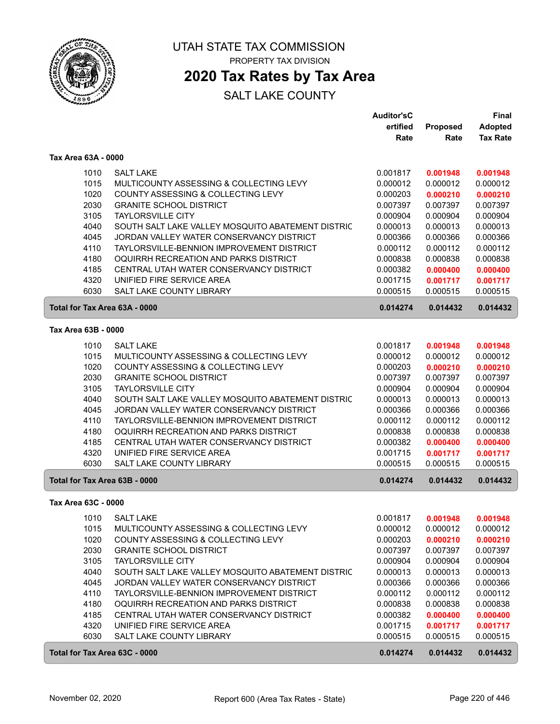

### **2020 Tax Rates by Tax Area**

|                     |                                                                                               | <b>Auditor'sC</b><br>ertified | <b>Proposed</b>      | Final<br><b>Adopted</b> |
|---------------------|-----------------------------------------------------------------------------------------------|-------------------------------|----------------------|-------------------------|
|                     |                                                                                               | Rate                          | Rate                 | <b>Tax Rate</b>         |
| Tax Area 63A - 0000 |                                                                                               |                               |                      |                         |
| 1010                | <b>SALT LAKE</b>                                                                              | 0.001817                      | 0.001948             | 0.001948                |
| 1015                | MULTICOUNTY ASSESSING & COLLECTING LEVY                                                       | 0.000012                      | 0.000012             | 0.000012                |
| 1020                | COUNTY ASSESSING & COLLECTING LEVY                                                            | 0.000203                      | 0.000210             | 0.000210                |
| 2030                | <b>GRANITE SCHOOL DISTRICT</b>                                                                | 0.007397                      | 0.007397             | 0.007397                |
| 3105                | <b>TAYLORSVILLE CITY</b>                                                                      | 0.000904                      | 0.000904             | 0.000904                |
| 4040                | SOUTH SALT LAKE VALLEY MOSQUITO ABATEMENT DISTRIC                                             | 0.000013                      | 0.000013             | 0.000013                |
| 4045                | JORDAN VALLEY WATER CONSERVANCY DISTRICT                                                      | 0.000366                      | 0.000366             | 0.000366                |
| 4110                | TAYLORSVILLE-BENNION IMPROVEMENT DISTRICT                                                     | 0.000112                      | 0.000112             | 0.000112                |
| 4180                | OQUIRRH RECREATION AND PARKS DISTRICT                                                         | 0.000838                      | 0.000838             | 0.000838                |
| 4185<br>4320        | CENTRAL UTAH WATER CONSERVANCY DISTRICT<br>UNIFIED FIRE SERVICE AREA                          | 0.000382<br>0.001715          | 0.000400             | 0.000400                |
| 6030                | SALT LAKE COUNTY LIBRARY                                                                      | 0.000515                      | 0.001717<br>0.000515 | 0.001717<br>0.000515    |
|                     | Total for Tax Area 63A - 0000                                                                 | 0.014274                      | 0.014432             | 0.014432                |
|                     |                                                                                               |                               |                      |                         |
| Tax Area 63B - 0000 |                                                                                               |                               |                      |                         |
| 1010                | <b>SALT LAKE</b>                                                                              | 0.001817                      | 0.001948             | 0.001948                |
| 1015<br>1020        | MULTICOUNTY ASSESSING & COLLECTING LEVY                                                       | 0.000012<br>0.000203          | 0.000012             | 0.000012                |
| 2030                | COUNTY ASSESSING & COLLECTING LEVY<br><b>GRANITE SCHOOL DISTRICT</b>                          | 0.007397                      | 0.000210<br>0.007397 | 0.000210<br>0.007397    |
| 3105                | <b>TAYLORSVILLE CITY</b>                                                                      | 0.000904                      | 0.000904             | 0.000904                |
| 4040                | SOUTH SALT LAKE VALLEY MOSQUITO ABATEMENT DISTRIC                                             | 0.000013                      | 0.000013             | 0.000013                |
| 4045                | JORDAN VALLEY WATER CONSERVANCY DISTRICT                                                      | 0.000366                      | 0.000366             | 0.000366                |
| 4110                | TAYLORSVILLE-BENNION IMPROVEMENT DISTRICT                                                     | 0.000112                      | 0.000112             | 0.000112                |
| 4180                | OQUIRRH RECREATION AND PARKS DISTRICT                                                         | 0.000838                      | 0.000838             | 0.000838                |
| 4185                | CENTRAL UTAH WATER CONSERVANCY DISTRICT                                                       | 0.000382                      | 0.000400             | 0.000400                |
| 4320                | UNIFIED FIRE SERVICE AREA                                                                     | 0.001715                      | 0.001717             | 0.001717                |
| 6030                | <b>SALT LAKE COUNTY LIBRARY</b>                                                               | 0.000515                      | 0.000515             | 0.000515                |
|                     | Total for Tax Area 63B - 0000                                                                 | 0.014274                      | 0.014432             | 0.014432                |
| Tax Area 63C - 0000 |                                                                                               |                               |                      |                         |
|                     | 1010 SALT LAKE                                                                                | 0.001817                      | 0.001948             | 0.001948                |
| 1015                | MULTICOUNTY ASSESSING & COLLECTING LEVY                                                       | 0.000012                      | 0.000012             | 0.000012                |
| 1020                | COUNTY ASSESSING & COLLECTING LEVY                                                            | 0.000203                      | 0.000210             | 0.000210                |
| 2030                | <b>GRANITE SCHOOL DISTRICT</b>                                                                | 0.007397                      | 0.007397             | 0.007397                |
| 3105                | <b>TAYLORSVILLE CITY</b>                                                                      | 0.000904                      | 0.000904             | 0.000904                |
| 4040<br>4045        | SOUTH SALT LAKE VALLEY MOSQUITO ABATEMENT DISTRIC<br>JORDAN VALLEY WATER CONSERVANCY DISTRICT | 0.000013                      | 0.000013<br>0.000366 | 0.000013<br>0.000366    |
| 4110                | TAYLORSVILLE-BENNION IMPROVEMENT DISTRICT                                                     | 0.000366<br>0.000112          | 0.000112             | 0.000112                |
| 4180                | OQUIRRH RECREATION AND PARKS DISTRICT                                                         | 0.000838                      | 0.000838             | 0.000838                |
| 4185                | CENTRAL UTAH WATER CONSERVANCY DISTRICT                                                       | 0.000382                      | 0.000400             | 0.000400                |
| 4320                | UNIFIED FIRE SERVICE AREA                                                                     | 0.001715                      | 0.001717             | 0.001717                |
| 6030                | SALT LAKE COUNTY LIBRARY                                                                      | 0.000515                      | 0.000515             | 0.000515                |
|                     | Total for Tax Area 63C - 0000                                                                 | 0.014274                      | 0.014432             | 0.014432                |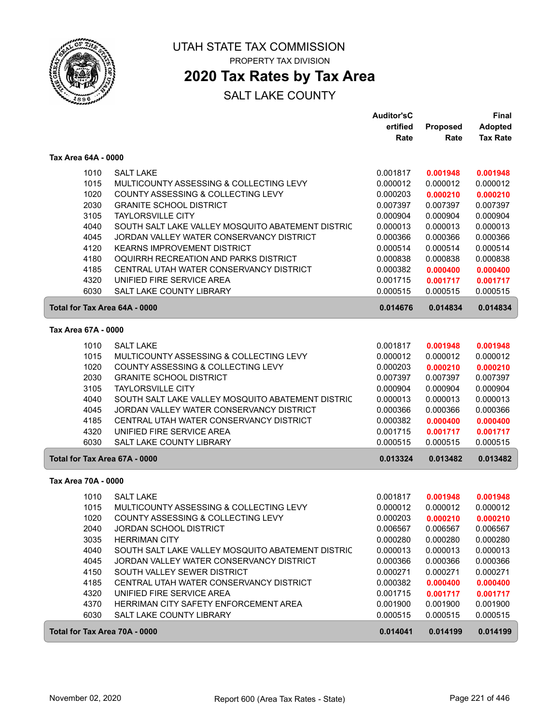

### **2020 Tax Rates by Tax Area**

|                               |                                                   | <b>Auditor'sC</b>    |          | Final           |
|-------------------------------|---------------------------------------------------|----------------------|----------|-----------------|
|                               |                                                   | ertified             | Proposed | <b>Adopted</b>  |
|                               |                                                   | Rate                 | Rate     | <b>Tax Rate</b> |
| Tax Area 64A - 0000           |                                                   |                      |          |                 |
| 1010                          | <b>SALT LAKE</b>                                  | 0.001817             | 0.001948 | 0.001948        |
| 1015                          | MULTICOUNTY ASSESSING & COLLECTING LEVY           | 0.000012             | 0.000012 | 0.000012        |
| 1020                          | COUNTY ASSESSING & COLLECTING LEVY                | 0.000203             | 0.000210 | 0.000210        |
| 2030                          | <b>GRANITE SCHOOL DISTRICT</b>                    | 0.007397             | 0.007397 | 0.007397        |
| 3105                          | <b>TAYLORSVILLE CITY</b>                          | 0.000904             | 0.000904 | 0.000904        |
| 4040                          | SOUTH SALT LAKE VALLEY MOSQUITO ABATEMENT DISTRIC | 0.000013             | 0.000013 | 0.000013        |
| 4045                          | JORDAN VALLEY WATER CONSERVANCY DISTRICT          | 0.000366             | 0.000366 | 0.000366        |
| 4120                          | <b>KEARNS IMPROVEMENT DISTRICT</b>                | 0.000514             | 0.000514 | 0.000514        |
| 4180                          | OQUIRRH RECREATION AND PARKS DISTRICT             | 0.000838             | 0.000838 | 0.000838        |
| 4185                          | CENTRAL UTAH WATER CONSERVANCY DISTRICT           | 0.000382             | 0.000400 | 0.000400        |
| 4320                          | UNIFIED FIRE SERVICE AREA                         | 0.001715             | 0.001717 | 0.001717        |
| 6030                          | <b>SALT LAKE COUNTY LIBRARY</b>                   | 0.000515             | 0.000515 | 0.000515        |
| Total for Tax Area 64A - 0000 |                                                   | 0.014676             | 0.014834 | 0.014834        |
| Tax Area 67A - 0000           |                                                   |                      |          |                 |
|                               |                                                   |                      |          |                 |
| 1010                          | <b>SALT LAKE</b>                                  | 0.001817             | 0.001948 | 0.001948        |
| 1015                          | MULTICOUNTY ASSESSING & COLLECTING LEVY           | 0.000012<br>0.000203 | 0.000012 | 0.000012        |
| 1020                          | COUNTY ASSESSING & COLLECTING LEVY                |                      | 0.000210 | 0.000210        |
| 2030                          | <b>GRANITE SCHOOL DISTRICT</b>                    | 0.007397             | 0.007397 | 0.007397        |
| 3105                          | <b>TAYLORSVILLE CITY</b>                          | 0.000904             | 0.000904 | 0.000904        |
| 4040                          | SOUTH SALT LAKE VALLEY MOSQUITO ABATEMENT DISTRIC | 0.000013             | 0.000013 | 0.000013        |
| 4045                          | JORDAN VALLEY WATER CONSERVANCY DISTRICT          | 0.000366             | 0.000366 | 0.000366        |
| 4185                          | CENTRAL UTAH WATER CONSERVANCY DISTRICT           | 0.000382             | 0.000400 | 0.000400        |
| 4320                          | UNIFIED FIRE SERVICE AREA                         | 0.001715             | 0.001717 | 0.001717        |
| 6030                          | SALT LAKE COUNTY LIBRARY                          | 0.000515             | 0.000515 | 0.000515        |
| Total for Tax Area 67A - 0000 |                                                   | 0.013324             | 0.013482 | 0.013482        |
| Tax Area 70A - 0000           |                                                   |                      |          |                 |
| 1010                          | <b>SALT LAKE</b>                                  | 0.001817             | 0.001948 | 0.001948        |
| 1015                          | MULTICOUNTY ASSESSING & COLLECTING LEVY           | 0.000012             | 0.000012 | 0.000012        |
| 1020                          | COUNTY ASSESSING & COLLECTING LEVY                | 0.000203             | 0.000210 | 0.000210        |
| 2040                          | JORDAN SCHOOL DISTRICT                            | 0.006567             | 0.006567 | 0.006567        |
| 3035                          | <b>HERRIMAN CITY</b>                              | 0.000280             | 0.000280 | 0.000280        |
| 4040                          | SOUTH SALT LAKE VALLEY MOSQUITO ABATEMENT DISTRIC | 0.000013             | 0.000013 | 0.000013        |
| 4045                          | JORDAN VALLEY WATER CONSERVANCY DISTRICT          | 0.000366             | 0.000366 | 0.000366        |
| 4150                          | SOUTH VALLEY SEWER DISTRICT                       | 0.000271             | 0.000271 | 0.000271        |
| 4185                          | CENTRAL UTAH WATER CONSERVANCY DISTRICT           | 0.000382             | 0.000400 | 0.000400        |
| 4320                          | UNIFIED FIRE SERVICE AREA                         | 0.001715             | 0.001717 | 0.001717        |
| 4370                          | HERRIMAN CITY SAFETY ENFORCEMENT AREA             | 0.001900             | 0.001900 | 0.001900        |
| 6030                          | SALT LAKE COUNTY LIBRARY                          | 0.000515             | 0.000515 | 0.000515        |
| Total for Tax Area 70A - 0000 |                                                   | 0.014041             | 0.014199 | 0.014199        |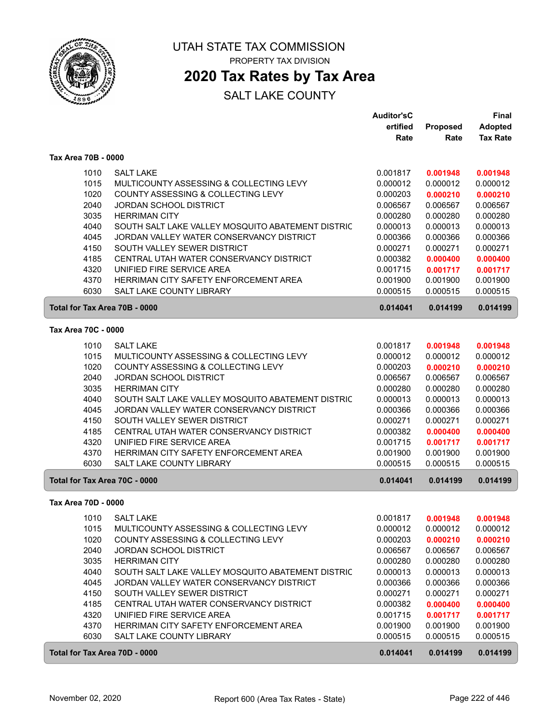

### **2020 Tax Rates by Tax Area**

|                               |                                                   | <b>Auditor'sC</b> |                 | <b>Final</b>    |
|-------------------------------|---------------------------------------------------|-------------------|-----------------|-----------------|
|                               |                                                   | ertified          | <b>Proposed</b> | Adopted         |
|                               |                                                   | Rate              | Rate            | <b>Tax Rate</b> |
| Tax Area 70B - 0000           |                                                   |                   |                 |                 |
| 1010                          | <b>SALT LAKE</b>                                  | 0.001817          | 0.001948        | 0.001948        |
| 1015                          | MULTICOUNTY ASSESSING & COLLECTING LEVY           | 0.000012          | 0.000012        | 0.000012        |
| 1020                          | COUNTY ASSESSING & COLLECTING LEVY                | 0.000203          | 0.000210        | 0.000210        |
| 2040                          | <b>JORDAN SCHOOL DISTRICT</b>                     | 0.006567          | 0.006567        | 0.006567        |
| 3035                          | <b>HERRIMAN CITY</b>                              | 0.000280          | 0.000280        | 0.000280        |
| 4040                          | SOUTH SALT LAKE VALLEY MOSQUITO ABATEMENT DISTRIC | 0.000013          | 0.000013        | 0.000013        |
| 4045                          | JORDAN VALLEY WATER CONSERVANCY DISTRICT          | 0.000366          | 0.000366        | 0.000366        |
| 4150                          | SOUTH VALLEY SEWER DISTRICT                       | 0.000271          | 0.000271        | 0.000271        |
| 4185                          | CENTRAL UTAH WATER CONSERVANCY DISTRICT           | 0.000382          | 0.000400        | 0.000400        |
| 4320                          | UNIFIED FIRE SERVICE AREA                         | 0.001715          | 0.001717        | 0.001717        |
| 4370                          | HERRIMAN CITY SAFETY ENFORCEMENT AREA             | 0.001900          | 0.001900        | 0.001900        |
| 6030                          | <b>SALT LAKE COUNTY LIBRARY</b>                   | 0.000515          | 0.000515        | 0.000515        |
| Total for Tax Area 70B - 0000 |                                                   | 0.014041          | 0.014199        | 0.014199        |
| Tax Area 70C - 0000           |                                                   |                   |                 |                 |
| 1010                          | <b>SALT LAKE</b>                                  | 0.001817          | 0.001948        | 0.001948        |
| 1015                          | MULTICOUNTY ASSESSING & COLLECTING LEVY           | 0.000012          | 0.000012        | 0.000012        |
| 1020                          | COUNTY ASSESSING & COLLECTING LEVY                | 0.000203          | 0.000210        | 0.000210        |
| 2040                          | <b>JORDAN SCHOOL DISTRICT</b>                     | 0.006567          | 0.006567        | 0.006567        |
| 3035                          | <b>HERRIMAN CITY</b>                              | 0.000280          | 0.000280        | 0.000280        |
| 4040                          | SOUTH SALT LAKE VALLEY MOSQUITO ABATEMENT DISTRIC | 0.000013          | 0.000013        | 0.000013        |
| 4045                          | JORDAN VALLEY WATER CONSERVANCY DISTRICT          | 0.000366          | 0.000366        | 0.000366        |
| 4150                          | SOUTH VALLEY SEWER DISTRICT                       | 0.000271          | 0.000271        | 0.000271        |
| 4185                          | CENTRAL UTAH WATER CONSERVANCY DISTRICT           | 0.000382          | 0.000400        | 0.000400        |
| 4320                          | UNIFIED FIRE SERVICE AREA                         | 0.001715          | 0.001717        | 0.001717        |
| 4370                          | HERRIMAN CITY SAFETY ENFORCEMENT AREA             | 0.001900          | 0.001900        | 0.001900        |
| 6030                          | SALT LAKE COUNTY LIBRARY                          | 0.000515          | 0.000515        | 0.000515        |
| Total for Tax Area 70C - 0000 |                                                   | 0.014041          | 0.014199        | 0.014199        |
| Tax Area 70D - 0000           |                                                   |                   |                 |                 |
|                               | 1010 SALT LAKE                                    | 0.001817          | 0.001948        | 0.001948        |
| 1015                          | MULTICOUNTY ASSESSING & COLLECTING LEVY           | 0.000012          | 0.000012        | 0.000012        |
| 1020                          | COUNTY ASSESSING & COLLECTING LEVY                | 0.000203          | 0.000210        | 0.000210        |
| 2040                          | <b>JORDAN SCHOOL DISTRICT</b>                     | 0.006567          | 0.006567        | 0.006567        |
| 3035                          | <b>HERRIMAN CITY</b>                              | 0.000280          | 0.000280        | 0.000280        |
| 4040                          | SOUTH SALT LAKE VALLEY MOSQUITO ABATEMENT DISTRIC | 0.000013          | 0.000013        | 0.000013        |
| 4045                          | JORDAN VALLEY WATER CONSERVANCY DISTRICT          | 0.000366          | 0.000366        | 0.000366        |
| 4150                          | SOUTH VALLEY SEWER DISTRICT                       | 0.000271          | 0.000271        | 0.000271        |
| 4185                          | CENTRAL UTAH WATER CONSERVANCY DISTRICT           | 0.000382          | 0.000400        | 0.000400        |
| 4320                          | UNIFIED FIRE SERVICE AREA                         | 0.001715          | 0.001717        | 0.001717        |
| 4370                          | HERRIMAN CITY SAFETY ENFORCEMENT AREA             | 0.001900          | 0.001900        | 0.001900        |
| 6030                          | SALT LAKE COUNTY LIBRARY                          | 0.000515          | 0.000515        | 0.000515        |
| Total for Tax Area 70D - 0000 |                                                   | 0.014041          | 0.014199        | 0.014199        |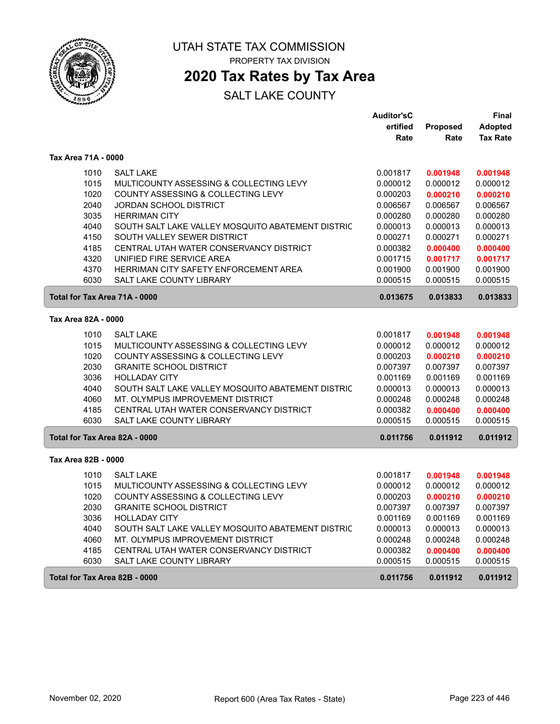

## **2020 Tax Rates by Tax Area**

|                               |                                                                                       | <b>Auditor'sC</b>    |                      | Final                |
|-------------------------------|---------------------------------------------------------------------------------------|----------------------|----------------------|----------------------|
|                               |                                                                                       | ertified             | Proposed             | <b>Adopted</b>       |
|                               |                                                                                       | Rate                 | Rate                 | <b>Tax Rate</b>      |
| Tax Area 71A - 0000           |                                                                                       |                      |                      |                      |
| 1010                          | <b>SALT LAKE</b>                                                                      | 0.001817             | 0.001948             | 0.001948             |
| 1015                          | MULTICOUNTY ASSESSING & COLLECTING LEVY                                               | 0.000012             | 0.000012             | 0.000012             |
| 1020                          | COUNTY ASSESSING & COLLECTING LEVY                                                    | 0.000203             | 0.000210             | 0.000210             |
| 2040                          | <b>JORDAN SCHOOL DISTRICT</b>                                                         | 0.006567             | 0.006567             | 0.006567             |
| 3035                          | <b>HERRIMAN CITY</b>                                                                  | 0.000280             | 0.000280             | 0.000280             |
| 4040                          | SOUTH SALT LAKE VALLEY MOSQUITO ABATEMENT DISTRIC                                     | 0.000013             | 0.000013             | 0.000013             |
| 4150                          | SOUTH VALLEY SEWER DISTRICT                                                           | 0.000271             | 0.000271             | 0.000271             |
| 4185                          | CENTRAL UTAH WATER CONSERVANCY DISTRICT                                               | 0.000382             | 0.000400             | 0.000400             |
| 4320                          | UNIFIED FIRE SERVICE AREA                                                             | 0.001715             | 0.001717             | 0.001717             |
| 4370                          | HERRIMAN CITY SAFETY ENFORCEMENT AREA                                                 | 0.001900             | 0.001900             | 0.001900             |
| 6030                          | <b>SALT LAKE COUNTY LIBRARY</b>                                                       | 0.000515             | 0.000515             | 0.000515             |
| Total for Tax Area 71A - 0000 |                                                                                       | 0.013675             | 0.013833             | 0.013833             |
| Tax Area 82A - 0000           |                                                                                       |                      |                      |                      |
| 1010                          | <b>SALT LAKE</b>                                                                      | 0.001817             | 0.001948             | 0.001948             |
| 1015                          | MULTICOUNTY ASSESSING & COLLECTING LEVY                                               | 0.000012             | 0.000012             | 0.000012             |
| 1020                          | COUNTY ASSESSING & COLLECTING LEVY                                                    | 0.000203             | 0.000210             | 0.000210             |
| 2030                          | <b>GRANITE SCHOOL DISTRICT</b>                                                        | 0.007397             | 0.007397             | 0.007397             |
| 3036                          | <b>HOLLADAY CITY</b>                                                                  | 0.001169             | 0.001169             | 0.001169             |
| 4040                          | SOUTH SALT LAKE VALLEY MOSQUITO ABATEMENT DISTRIC                                     | 0.000013             | 0.000013             | 0.000013             |
| 4060                          | MT. OLYMPUS IMPROVEMENT DISTRICT                                                      | 0.000248             | 0.000248             | 0.000248             |
| 4185                          | CENTRAL UTAH WATER CONSERVANCY DISTRICT                                               | 0.000382             | 0.000400             | 0.000400             |
| 6030                          | <b>SALT LAKE COUNTY LIBRARY</b>                                                       | 0.000515             | 0.000515             | 0.000515             |
| Total for Tax Area 82A - 0000 |                                                                                       | 0.011756             | 0.011912             | 0.011912             |
| Tax Area 82B - 0000           |                                                                                       |                      |                      |                      |
|                               |                                                                                       |                      |                      |                      |
| 1010                          | <b>SALT LAKE</b>                                                                      | 0.001817             | 0.001948             | 0.001948             |
| 1015                          | MULTICOUNTY ASSESSING & COLLECTING LEVY                                               | 0.000012             | 0.000012             | 0.000012             |
| 1020                          | COUNTY ASSESSING & COLLECTING LEVY                                                    | 0.000203             | 0.000210             | 0.000210             |
| 2030                          | <b>GRANITE SCHOOL DISTRICT</b>                                                        | 0.007397             | 0.007397             | 0.007397             |
| 3036                          | <b>HOLLADAY CITY</b>                                                                  | 0.001169             | 0.001169             | 0.001169             |
| 4040<br>4060                  | SOUTH SALT LAKE VALLEY MOSQUITO ABATEMENT DISTRIC<br>MT. OLYMPUS IMPROVEMENT DISTRICT | 0.000013             | 0.000013<br>0.000248 | 0.000013<br>0.000248 |
| 4185                          | CENTRAL UTAH WATER CONSERVANCY DISTRICT                                               | 0.000248<br>0.000382 |                      |                      |
| 6030                          | <b>SALT LAKE COUNTY LIBRARY</b>                                                       | 0.000515             | 0.000400<br>0.000515 | 0.000400<br>0.000515 |
|                               |                                                                                       |                      |                      |                      |
| Total for Tax Area 82B - 0000 |                                                                                       | 0.011756             | 0.011912             | 0.011912             |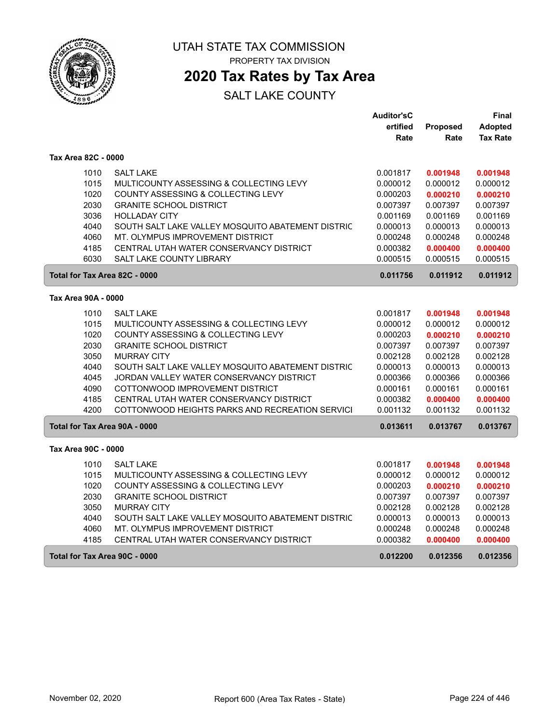

**2020 Tax Rates by Tax Area**

|                               |                                                   | <b>Auditor'sC</b> |          | Final           |
|-------------------------------|---------------------------------------------------|-------------------|----------|-----------------|
|                               |                                                   | ertified          | Proposed | <b>Adopted</b>  |
|                               |                                                   | Rate              | Rate     | <b>Tax Rate</b> |
| Tax Area 82C - 0000           |                                                   |                   |          |                 |
| 1010                          | <b>SALT LAKE</b>                                  | 0.001817          | 0.001948 | 0.001948        |
| 1015                          | MULTICOUNTY ASSESSING & COLLECTING LEVY           | 0.000012          | 0.000012 | 0.000012        |
| 1020                          | COUNTY ASSESSING & COLLECTING LEVY                | 0.000203          | 0.000210 | 0.000210        |
| 2030                          | <b>GRANITE SCHOOL DISTRICT</b>                    | 0.007397          | 0.007397 | 0.007397        |
| 3036                          | <b>HOLLADAY CITY</b>                              | 0.001169          | 0.001169 | 0.001169        |
| 4040                          | SOUTH SALT LAKE VALLEY MOSQUITO ABATEMENT DISTRIC | 0.000013          | 0.000013 | 0.000013        |
| 4060                          | MT. OLYMPUS IMPROVEMENT DISTRICT                  | 0.000248          | 0.000248 | 0.000248        |
| 4185                          | CENTRAL UTAH WATER CONSERVANCY DISTRICT           | 0.000382          | 0.000400 | 0.000400        |
| 6030                          | <b>SALT LAKE COUNTY LIBRARY</b>                   | 0.000515          | 0.000515 | 0.000515        |
| Total for Tax Area 82C - 0000 |                                                   | 0.011756          | 0.011912 | 0.011912        |
| Tax Area 90A - 0000           |                                                   |                   |          |                 |
| 1010                          | <b>SALT LAKE</b>                                  | 0.001817          | 0.001948 | 0.001948        |
| 1015                          | MULTICOUNTY ASSESSING & COLLECTING LEVY           | 0.000012          | 0.000012 | 0.000012        |
| 1020                          | COUNTY ASSESSING & COLLECTING LEVY                | 0.000203          | 0.000210 | 0.000210        |
| 2030                          | <b>GRANITE SCHOOL DISTRICT</b>                    | 0.007397          | 0.007397 | 0.007397        |
| 3050                          | <b>MURRAY CITY</b>                                | 0.002128          | 0.002128 | 0.002128        |
| 4040                          | SOUTH SALT LAKE VALLEY MOSQUITO ABATEMENT DISTRIC | 0.000013          | 0.000013 | 0.000013        |
| 4045                          | JORDAN VALLEY WATER CONSERVANCY DISTRICT          | 0.000366          | 0.000366 | 0.000366        |
| 4090                          | COTTONWOOD IMPROVEMENT DISTRICT                   | 0.000161          | 0.000161 | 0.000161        |
| 4185                          | CENTRAL UTAH WATER CONSERVANCY DISTRICT           | 0.000382          | 0.000400 | 0.000400        |
| 4200                          | COTTONWOOD HEIGHTS PARKS AND RECREATION SERVICI   | 0.001132          | 0.001132 | 0.001132        |
| Total for Tax Area 90A - 0000 |                                                   | 0.013611          | 0.013767 | 0.013767        |
| Tax Area 90C - 0000           |                                                   |                   |          |                 |
| 1010                          | <b>SALT LAKE</b>                                  | 0.001817          | 0.001948 | 0.001948        |
| 1015                          | MULTICOUNTY ASSESSING & COLLECTING LEVY           | 0.000012          | 0.000012 | 0.000012        |
| 1020                          | COUNTY ASSESSING & COLLECTING LEVY                | 0.000203          | 0.000210 | 0.000210        |
| 2030                          | <b>GRANITE SCHOOL DISTRICT</b>                    | 0.007397          | 0.007397 | 0.007397        |
| 3050                          | <b>MURRAY CITY</b>                                | 0.002128          | 0.002128 | 0.002128        |
| 4040                          | SOUTH SALT LAKE VALLEY MOSQUITO ABATEMENT DISTRIC | 0.000013          | 0.000013 | 0.000013        |
| 4060                          | MT. OLYMPUS IMPROVEMENT DISTRICT                  | 0.000248          | 0.000248 | 0.000248        |
| 4185                          | CENTRAL UTAH WATER CONSERVANCY DISTRICT           | 0.000382          | 0.000400 | 0.000400        |
| Total for Tax Area 90C - 0000 |                                                   | 0.012200          | 0.012356 | 0.012356        |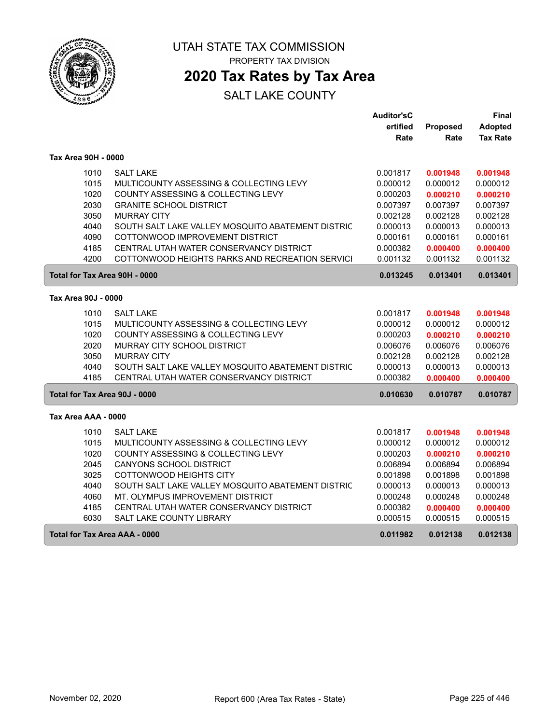

**2020 Tax Rates by Tax Area**

|                               |                                                   | <b>Auditor'sC</b> |          | Final           |
|-------------------------------|---------------------------------------------------|-------------------|----------|-----------------|
|                               |                                                   | ertified          | Proposed | <b>Adopted</b>  |
|                               |                                                   | Rate              | Rate     | <b>Tax Rate</b> |
| Tax Area 90H - 0000           |                                                   |                   |          |                 |
| 1010                          | <b>SALT LAKE</b>                                  | 0.001817          | 0.001948 | 0.001948        |
| 1015                          | MULTICOUNTY ASSESSING & COLLECTING LEVY           | 0.000012          | 0.000012 | 0.000012        |
| 1020                          | COUNTY ASSESSING & COLLECTING LEVY                | 0.000203          | 0.000210 | 0.000210        |
| 2030                          | <b>GRANITE SCHOOL DISTRICT</b>                    | 0.007397          | 0.007397 | 0.007397        |
| 3050                          | <b>MURRAY CITY</b>                                | 0.002128          | 0.002128 | 0.002128        |
| 4040                          | SOUTH SALT LAKE VALLEY MOSQUITO ABATEMENT DISTRIC | 0.000013          | 0.000013 | 0.000013        |
| 4090                          | COTTONWOOD IMPROVEMENT DISTRICT                   | 0.000161          | 0.000161 | 0.000161        |
| 4185                          | CENTRAL UTAH WATER CONSERVANCY DISTRICT           | 0.000382          | 0.000400 | 0.000400        |
| 4200                          | COTTONWOOD HEIGHTS PARKS AND RECREATION SERVICI   | 0.001132          | 0.001132 | 0.001132        |
| Total for Tax Area 90H - 0000 |                                                   | 0.013245          | 0.013401 | 0.013401        |
| Tax Area 90J - 0000           |                                                   |                   |          |                 |
| 1010                          | <b>SALT LAKE</b>                                  | 0.001817          | 0.001948 | 0.001948        |
| 1015                          | MULTICOUNTY ASSESSING & COLLECTING LEVY           | 0.000012          | 0.000012 | 0.000012        |
| 1020                          | COUNTY ASSESSING & COLLECTING LEVY                | 0.000203          | 0.000210 | 0.000210        |
| 2020                          | MURRAY CITY SCHOOL DISTRICT                       | 0.006076          | 0.006076 | 0.006076        |
| 3050                          | <b>MURRAY CITY</b>                                | 0.002128          | 0.002128 | 0.002128        |
| 4040                          | SOUTH SALT LAKE VALLEY MOSQUITO ABATEMENT DISTRIC | 0.000013          | 0.000013 | 0.000013        |
| 4185                          | CENTRAL UTAH WATER CONSERVANCY DISTRICT           | 0.000382          | 0.000400 | 0.000400        |
| Total for Tax Area 90J - 0000 |                                                   | 0.010630          | 0.010787 | 0.010787        |
|                               |                                                   |                   |          |                 |
| Tax Area AAA - 0000           |                                                   |                   |          |                 |
| 1010                          | <b>SALT LAKE</b>                                  | 0.001817          | 0.001948 | 0.001948        |
| 1015                          | MULTICOUNTY ASSESSING & COLLECTING LEVY           | 0.000012          | 0.000012 | 0.000012        |
| 1020                          | COUNTY ASSESSING & COLLECTING LEVY                | 0.000203          | 0.000210 | 0.000210        |
| 2045                          | CANYONS SCHOOL DISTRICT                           | 0.006894          | 0.006894 | 0.006894        |
| 3025                          | COTTONWOOD HEIGHTS CITY                           | 0.001898          | 0.001898 | 0.001898        |
| 4040                          | SOUTH SALT LAKE VALLEY MOSQUITO ABATEMENT DISTRIC | 0.000013          | 0.000013 | 0.000013        |
| 4060                          | MT. OLYMPUS IMPROVEMENT DISTRICT                  | 0.000248          | 0.000248 | 0.000248        |
| 4185                          | CENTRAL UTAH WATER CONSERVANCY DISTRICT           | 0.000382          | 0.000400 | 0.000400        |
| 6030                          | SALT LAKE COUNTY LIBRARY                          | 0.000515          | 0.000515 | 0.000515        |
| Total for Tax Area AAA - 0000 |                                                   | 0.011982          | 0.012138 | 0.012138        |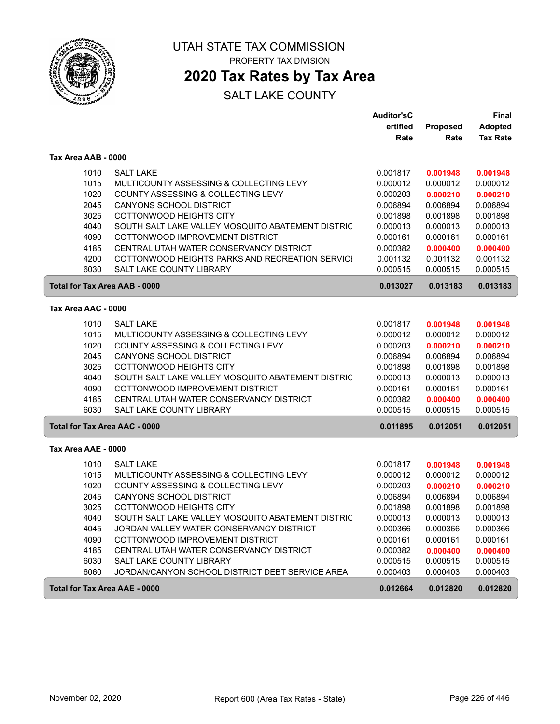

### **2020 Tax Rates by Tax Area**

|                                      |                                                   | <b>Auditor'sC</b> |          | Final           |
|--------------------------------------|---------------------------------------------------|-------------------|----------|-----------------|
|                                      |                                                   | ertified          | Proposed | <b>Adopted</b>  |
|                                      |                                                   | Rate              | Rate     | <b>Tax Rate</b> |
| Tax Area AAB - 0000                  |                                                   |                   |          |                 |
| 1010                                 | <b>SALT LAKE</b>                                  | 0.001817          | 0.001948 | 0.001948        |
| 1015                                 | MULTICOUNTY ASSESSING & COLLECTING LEVY           | 0.000012          | 0.000012 | 0.000012        |
| 1020                                 | COUNTY ASSESSING & COLLECTING LEVY                | 0.000203          | 0.000210 | 0.000210        |
| 2045                                 | <b>CANYONS SCHOOL DISTRICT</b>                    | 0.006894          | 0.006894 | 0.006894        |
| 3025                                 | COTTONWOOD HEIGHTS CITY                           | 0.001898          | 0.001898 | 0.001898        |
| 4040                                 | SOUTH SALT LAKE VALLEY MOSQUITO ABATEMENT DISTRIC | 0.000013          | 0.000013 | 0.000013        |
| 4090                                 | COTTONWOOD IMPROVEMENT DISTRICT                   | 0.000161          | 0.000161 | 0.000161        |
| 4185                                 | CENTRAL UTAH WATER CONSERVANCY DISTRICT           | 0.000382          | 0.000400 | 0.000400        |
| 4200                                 | COTTONWOOD HEIGHTS PARKS AND RECREATION SERVICI   | 0.001132          | 0.001132 | 0.001132        |
| 6030                                 | SALT LAKE COUNTY LIBRARY                          | 0.000515          | 0.000515 | 0.000515        |
| <b>Total for Tax Area AAB - 0000</b> |                                                   | 0.013027          | 0.013183 | 0.013183        |
| Tax Area AAC - 0000                  |                                                   |                   |          |                 |
|                                      |                                                   |                   |          |                 |
| 1010                                 | <b>SALT LAKE</b>                                  | 0.001817          | 0.001948 | 0.001948        |
| 1015                                 | MULTICOUNTY ASSESSING & COLLECTING LEVY           | 0.000012          | 0.000012 | 0.000012        |
| 1020                                 | COUNTY ASSESSING & COLLECTING LEVY                | 0.000203          | 0.000210 | 0.000210        |
| 2045                                 | <b>CANYONS SCHOOL DISTRICT</b>                    | 0.006894          | 0.006894 | 0.006894        |
| 3025                                 | COTTONWOOD HEIGHTS CITY                           | 0.001898          | 0.001898 | 0.001898        |
| 4040                                 | SOUTH SALT LAKE VALLEY MOSQUITO ABATEMENT DISTRIC | 0.000013          | 0.000013 | 0.000013        |
| 4090                                 | COTTONWOOD IMPROVEMENT DISTRICT                   | 0.000161          | 0.000161 | 0.000161        |
| 4185                                 | CENTRAL UTAH WATER CONSERVANCY DISTRICT           | 0.000382          | 0.000400 | 0.000400        |
| 6030                                 | SALT LAKE COUNTY LIBRARY                          | 0.000515          | 0.000515 | 0.000515        |
| <b>Total for Tax Area AAC - 0000</b> |                                                   | 0.011895          | 0.012051 | 0.012051        |
| Tax Area AAE - 0000                  |                                                   |                   |          |                 |
| 1010                                 | <b>SALT LAKE</b>                                  | 0.001817          | 0.001948 | 0.001948        |
| 1015                                 | MULTICOUNTY ASSESSING & COLLECTING LEVY           | 0.000012          | 0.000012 | 0.000012        |
| 1020                                 | COUNTY ASSESSING & COLLECTING LEVY                | 0.000203          | 0.000210 | 0.000210        |
| 2045                                 | <b>CANYONS SCHOOL DISTRICT</b>                    | 0.006894          | 0.006894 | 0.006894        |
| 3025                                 | COTTONWOOD HEIGHTS CITY                           | 0.001898          | 0.001898 | 0.001898        |
| 4040                                 | SOUTH SALT LAKE VALLEY MOSQUITO ABATEMENT DISTRIC | 0.000013          | 0.000013 | 0.000013        |
| 4045                                 | JORDAN VALLEY WATER CONSERVANCY DISTRICT          | 0.000366          | 0.000366 | 0.000366        |
| 4090                                 | COTTONWOOD IMPROVEMENT DISTRICT                   | 0.000161          | 0.000161 | 0.000161        |
| 4185                                 | CENTRAL UTAH WATER CONSERVANCY DISTRICT           | 0.000382          | 0.000400 | 0.000400        |
| 6030                                 | SALT LAKE COUNTY LIBRARY                          | 0.000515          | 0.000515 | 0.000515        |
| 6060                                 | JORDAN/CANYON SCHOOL DISTRICT DEBT SERVICE AREA   | 0.000403          | 0.000403 | 0.000403        |
| Total for Tax Area AAE - 0000        |                                                   | 0.012664          | 0.012820 | 0.012820        |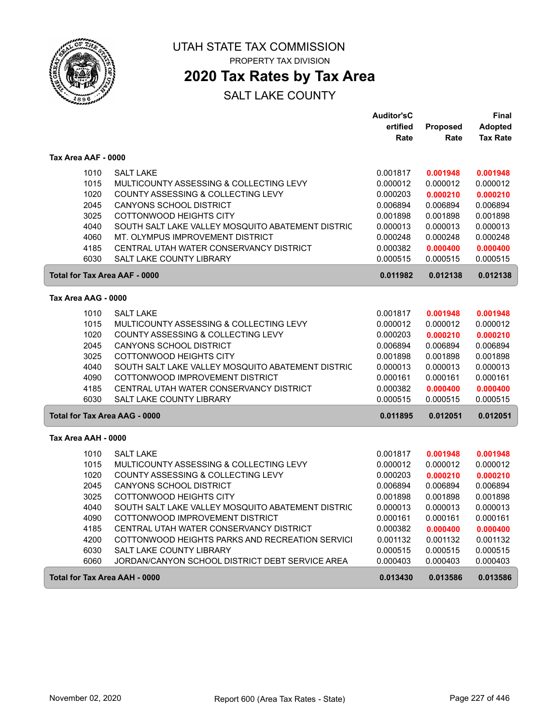

### **2020 Tax Rates by Tax Area**

|                     |                                                   | <b>Auditor'sC</b> |          | Final           |
|---------------------|---------------------------------------------------|-------------------|----------|-----------------|
|                     |                                                   | ertified          | Proposed | <b>Adopted</b>  |
|                     |                                                   | Rate              | Rate     | <b>Tax Rate</b> |
| Tax Area AAF - 0000 |                                                   |                   |          |                 |
| 1010                | <b>SALT LAKE</b>                                  | 0.001817          | 0.001948 | 0.001948        |
| 1015                | MULTICOUNTY ASSESSING & COLLECTING LEVY           | 0.000012          | 0.000012 | 0.000012        |
| 1020                | COUNTY ASSESSING & COLLECTING LEVY                | 0.000203          | 0.000210 | 0.000210        |
| 2045                | <b>CANYONS SCHOOL DISTRICT</b>                    | 0.006894          | 0.006894 | 0.006894        |
| 3025                | COTTONWOOD HEIGHTS CITY                           | 0.001898          | 0.001898 | 0.001898        |
| 4040                | SOUTH SALT LAKE VALLEY MOSQUITO ABATEMENT DISTRIC | 0.000013          | 0.000013 | 0.000013        |
| 4060                | MT. OLYMPUS IMPROVEMENT DISTRICT                  | 0.000248          | 0.000248 | 0.000248        |
| 4185                | CENTRAL UTAH WATER CONSERVANCY DISTRICT           | 0.000382          | 0.000400 | 0.000400        |
| 6030                | SALT LAKE COUNTY LIBRARY                          | 0.000515          | 0.000515 | 0.000515        |
|                     | <b>Total for Tax Area AAF - 0000</b>              | 0.011982          | 0.012138 | 0.012138        |
| Tax Area AAG - 0000 |                                                   |                   |          |                 |
| 1010                | <b>SALT LAKE</b>                                  | 0.001817          | 0.001948 | 0.001948        |
| 1015                | MULTICOUNTY ASSESSING & COLLECTING LEVY           | 0.000012          | 0.000012 | 0.000012        |
| 1020                | COUNTY ASSESSING & COLLECTING LEVY                | 0.000203          | 0.000210 | 0.000210        |
| 2045                | CANYONS SCHOOL DISTRICT                           | 0.006894          | 0.006894 | 0.006894        |
| 3025                | COTTONWOOD HEIGHTS CITY                           | 0.001898          | 0.001898 | 0.001898        |
| 4040                | SOUTH SALT LAKE VALLEY MOSQUITO ABATEMENT DISTRIC | 0.000013          | 0.000013 | 0.000013        |
| 4090                | COTTONWOOD IMPROVEMENT DISTRICT                   | 0.000161          | 0.000161 | 0.000161        |
| 4185                | CENTRAL UTAH WATER CONSERVANCY DISTRICT           | 0.000382          | 0.000400 | 0.000400        |
| 6030                | <b>SALT LAKE COUNTY LIBRARY</b>                   | 0.000515          | 0.000515 | 0.000515        |
|                     | Total for Tax Area AAG - 0000                     | 0.011895          | 0.012051 | 0.012051        |
| Tax Area AAH - 0000 |                                                   |                   |          |                 |
| 1010                | <b>SALT LAKE</b>                                  | 0.001817          | 0.001948 | 0.001948        |
| 1015                | MULTICOUNTY ASSESSING & COLLECTING LEVY           | 0.000012          | 0.000012 | 0.000012        |
| 1020                | COUNTY ASSESSING & COLLECTING LEVY                | 0.000203          | 0.000210 | 0.000210        |
| 2045                | <b>CANYONS SCHOOL DISTRICT</b>                    | 0.006894          | 0.006894 | 0.006894        |
| 3025                | COTTONWOOD HEIGHTS CITY                           | 0.001898          | 0.001898 | 0.001898        |
| 4040                | SOUTH SALT LAKE VALLEY MOSQUITO ABATEMENT DISTRIC | 0.000013          | 0.000013 | 0.000013        |
| 4090                | COTTONWOOD IMPROVEMENT DISTRICT                   | 0.000161          | 0.000161 | 0.000161        |
| 4185                | CENTRAL UTAH WATER CONSERVANCY DISTRICT           | 0.000382          | 0.000400 | 0.000400        |
| 4200                | COTTONWOOD HEIGHTS PARKS AND RECREATION SERVICI   | 0.001132          | 0.001132 | 0.001132        |
| 6030                | SALT LAKE COUNTY LIBRARY                          | 0.000515          | 0.000515 | 0.000515        |
| 6060                | JORDAN/CANYON SCHOOL DISTRICT DEBT SERVICE AREA   | 0.000403          | 0.000403 | 0.000403        |
|                     | Total for Tax Area AAH - 0000                     | 0.013430          | 0.013586 | 0.013586        |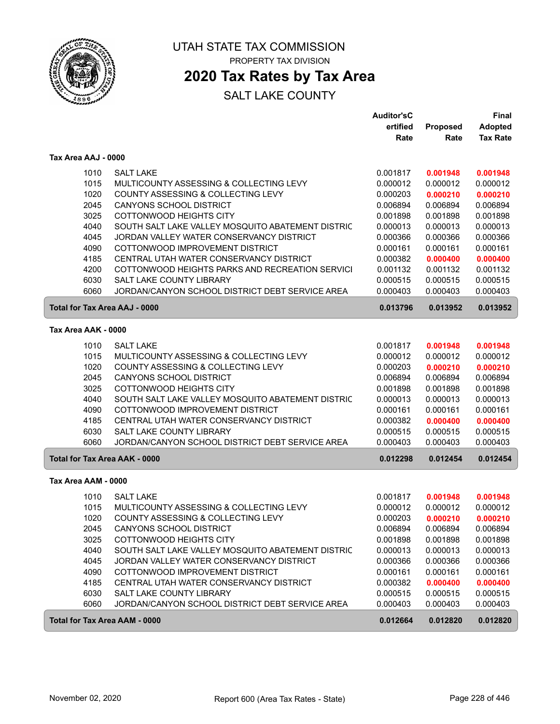

### **2020 Tax Rates by Tax Area**

|                                      |                                                   | <b>Auditor'sC</b><br>ertified | Proposed | Final<br><b>Adopted</b> |
|--------------------------------------|---------------------------------------------------|-------------------------------|----------|-------------------------|
|                                      |                                                   | Rate                          | Rate     | <b>Tax Rate</b>         |
| Tax Area AAJ - 0000                  |                                                   |                               |          |                         |
| 1010                                 | <b>SALT LAKE</b>                                  | 0.001817                      | 0.001948 | 0.001948                |
| 1015                                 | MULTICOUNTY ASSESSING & COLLECTING LEVY           | 0.000012                      | 0.000012 | 0.000012                |
| 1020                                 | COUNTY ASSESSING & COLLECTING LEVY                | 0.000203                      | 0.000210 | 0.000210                |
| 2045                                 | CANYONS SCHOOL DISTRICT                           | 0.006894                      | 0.006894 | 0.006894                |
| 3025                                 | COTTONWOOD HEIGHTS CITY                           | 0.001898                      | 0.001898 | 0.001898                |
| 4040                                 | SOUTH SALT LAKE VALLEY MOSQUITO ABATEMENT DISTRIC | 0.000013                      | 0.000013 | 0.000013                |
| 4045                                 | JORDAN VALLEY WATER CONSERVANCY DISTRICT          | 0.000366                      | 0.000366 | 0.000366                |
| 4090                                 | COTTONWOOD IMPROVEMENT DISTRICT                   | 0.000161                      | 0.000161 | 0.000161                |
| 4185                                 | CENTRAL UTAH WATER CONSERVANCY DISTRICT           | 0.000382                      | 0.000400 | 0.000400                |
| 4200                                 | COTTONWOOD HEIGHTS PARKS AND RECREATION SERVICI   | 0.001132                      | 0.001132 | 0.001132                |
| 6030                                 | SALT LAKE COUNTY LIBRARY                          | 0.000515                      | 0.000515 | 0.000515                |
| 6060                                 | JORDAN/CANYON SCHOOL DISTRICT DEBT SERVICE AREA   | 0.000403                      | 0.000403 | 0.000403                |
| Total for Tax Area AAJ - 0000        |                                                   | 0.013796                      | 0.013952 | 0.013952                |
| Tax Area AAK - 0000                  |                                                   |                               |          |                         |
| 1010                                 | <b>SALT LAKE</b>                                  | 0.001817                      | 0.001948 | 0.001948                |
| 1015                                 | MULTICOUNTY ASSESSING & COLLECTING LEVY           | 0.000012                      | 0.000012 | 0.000012                |
| 1020                                 | COUNTY ASSESSING & COLLECTING LEVY                | 0.000203                      | 0.000210 | 0.000210                |
| 2045                                 | CANYONS SCHOOL DISTRICT                           | 0.006894                      | 0.006894 | 0.006894                |
| 3025                                 | COTTONWOOD HEIGHTS CITY                           | 0.001898                      | 0.001898 | 0.001898                |
| 4040                                 | SOUTH SALT LAKE VALLEY MOSQUITO ABATEMENT DISTRIC | 0.000013                      | 0.000013 | 0.000013                |
| 4090                                 | COTTONWOOD IMPROVEMENT DISTRICT                   | 0.000161                      | 0.000161 | 0.000161                |
| 4185                                 | CENTRAL UTAH WATER CONSERVANCY DISTRICT           | 0.000382                      | 0.000400 | 0.000400                |
| 6030                                 | SALT LAKE COUNTY LIBRARY                          | 0.000515                      | 0.000515 | 0.000515                |
| 6060                                 | JORDAN/CANYON SCHOOL DISTRICT DEBT SERVICE AREA   | 0.000403                      | 0.000403 | 0.000403                |
| <b>Total for Tax Area AAK - 0000</b> |                                                   | 0.012298                      | 0.012454 | 0.012454                |
| Tax Area AAM - 0000                  |                                                   |                               |          |                         |
| 1010                                 | <b>SALT LAKE</b>                                  | 0.001817                      | 0.001948 | 0.001948                |
| 1015                                 | MULTICOUNTY ASSESSING & COLLECTING LEVY           | 0.000012                      | 0.000012 | 0.000012                |
| 1020                                 | COUNTY ASSESSING & COLLECTING LEVY                | 0.000203                      | 0.000210 | 0.000210                |
| 2045                                 | <b>CANYONS SCHOOL DISTRICT</b>                    | 0.006894                      | 0.006894 | 0.006894                |
| 3025                                 | COTTONWOOD HEIGHTS CITY                           | 0.001898                      | 0.001898 | 0.001898                |
| 4040                                 | SOUTH SALT LAKE VALLEY MOSQUITO ABATEMENT DISTRIC | 0.000013                      | 0.000013 | 0.000013                |
| 4045                                 | JORDAN VALLEY WATER CONSERVANCY DISTRICT          | 0.000366                      | 0.000366 | 0.000366                |
| 4090                                 | COTTONWOOD IMPROVEMENT DISTRICT                   | 0.000161                      | 0.000161 | 0.000161                |
| 4185                                 | CENTRAL UTAH WATER CONSERVANCY DISTRICT           | 0.000382                      | 0.000400 | 0.000400                |
| 6030                                 | SALT LAKE COUNTY LIBRARY                          | 0.000515                      | 0.000515 | 0.000515                |
| 6060                                 | JORDAN/CANYON SCHOOL DISTRICT DEBT SERVICE AREA   | 0.000403                      | 0.000403 | 0.000403                |
| <b>Total for Tax Area AAM - 0000</b> |                                                   | 0.012664                      | 0.012820 | 0.012820                |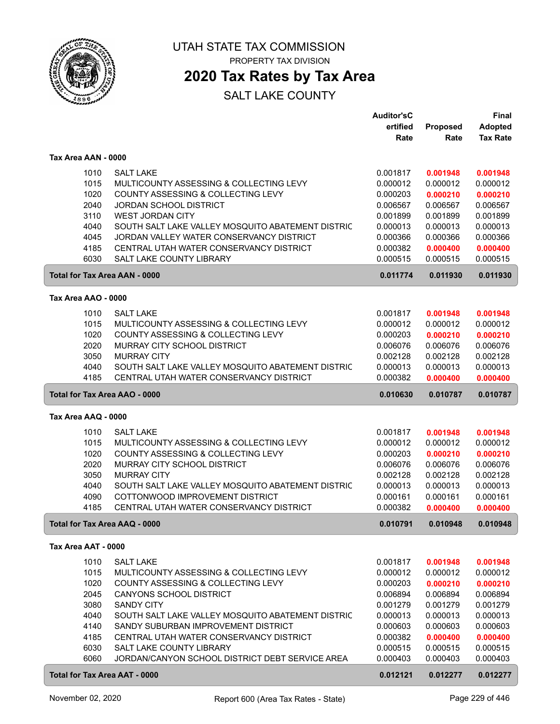

### **2020 Tax Rates by Tax Area**

|                     |                                                                             | <b>Auditor'sC</b>    |                      | Final                |
|---------------------|-----------------------------------------------------------------------------|----------------------|----------------------|----------------------|
|                     |                                                                             | ertified             | Proposed             | <b>Adopted</b>       |
|                     |                                                                             | Rate                 | Rate                 | <b>Tax Rate</b>      |
|                     |                                                                             |                      |                      |                      |
| Tax Area AAN - 0000 |                                                                             |                      |                      |                      |
| 1010                | <b>SALT LAKE</b>                                                            | 0.001817             | 0.001948             | 0.001948             |
| 1015                | MULTICOUNTY ASSESSING & COLLECTING LEVY                                     | 0.000012             | 0.000012             | 0.000012             |
| 1020                | COUNTY ASSESSING & COLLECTING LEVY                                          | 0.000203             | 0.000210             | 0.000210             |
| 2040                | <b>JORDAN SCHOOL DISTRICT</b>                                               | 0.006567             | 0.006567             | 0.006567             |
| 3110                | <b>WEST JORDAN CITY</b>                                                     | 0.001899             | 0.001899             | 0.001899             |
| 4040                | SOUTH SALT LAKE VALLEY MOSQUITO ABATEMENT DISTRIC                           | 0.000013             | 0.000013             | 0.000013             |
| 4045                | JORDAN VALLEY WATER CONSERVANCY DISTRICT                                    | 0.000366             | 0.000366             | 0.000366             |
| 4185                | CENTRAL UTAH WATER CONSERVANCY DISTRICT                                     | 0.000382             | 0.000400             | 0.000400             |
| 6030                | <b>SALT LAKE COUNTY LIBRARY</b>                                             | 0.000515             | 0.000515             | 0.000515             |
|                     |                                                                             |                      |                      |                      |
|                     | <b>Total for Tax Area AAN - 0000</b>                                        | 0.011774             | 0.011930             | 0.011930             |
| Tax Area AAO - 0000 |                                                                             |                      |                      |                      |
| 1010                | <b>SALT LAKE</b>                                                            | 0.001817             | 0.001948             | 0.001948             |
| 1015                | MULTICOUNTY ASSESSING & COLLECTING LEVY                                     | 0.000012             | 0.000012             | 0.000012             |
| 1020                | COUNTY ASSESSING & COLLECTING LEVY                                          | 0.000203             | 0.000210             | 0.000210             |
| 2020                | MURRAY CITY SCHOOL DISTRICT                                                 | 0.006076             | 0.006076             | 0.006076             |
| 3050                | <b>MURRAY CITY</b>                                                          | 0.002128             | 0.002128             | 0.002128             |
|                     |                                                                             | 0.000013             |                      |                      |
| 4040                | SOUTH SALT LAKE VALLEY MOSQUITO ABATEMENT DISTRIC                           |                      | 0.000013             | 0.000013             |
| 4185                | CENTRAL UTAH WATER CONSERVANCY DISTRICT                                     | 0.000382             | 0.000400             | 0.000400             |
|                     | <b>Total for Tax Area AAO - 0000</b>                                        | 0.010630             | 0.010787             | 0.010787             |
| Tax Area AAQ - 0000 |                                                                             |                      |                      |                      |
| 1010                | <b>SALT LAKE</b>                                                            | 0.001817             | 0.001948             | 0.001948             |
| 1015                | MULTICOUNTY ASSESSING & COLLECTING LEVY                                     | 0.000012             | 0.000012             | 0.000012             |
| 1020                | COUNTY ASSESSING & COLLECTING LEVY                                          | 0.000203             | 0.000210             | 0.000210             |
| 2020                | MURRAY CITY SCHOOL DISTRICT                                                 | 0.006076             | 0.006076             | 0.006076             |
| 3050                | <b>MURRAY CITY</b>                                                          | 0.002128             | 0.002128             | 0.002128             |
| 4040                | SOUTH SALT LAKE VALLEY MOSQUITO ABATEMENT DISTRIC                           | 0.000013             | 0.000013             | 0.000013             |
|                     |                                                                             |                      |                      |                      |
| 4090<br>4185        | COTTONWOOD IMPROVEMENT DISTRICT<br>CENTRAL UTAH WATER CONSERVANCY DISTRICT  | 0.000161<br>0.000382 | 0.000161<br>0.000400 | 0.000161<br>0.000400 |
|                     |                                                                             |                      |                      |                      |
|                     | Total for Tax Area AAQ - 0000                                               | 0.010791             | 0.010948             | 0.010948             |
| Tax Area AAT - 0000 |                                                                             |                      |                      |                      |
| 1010                | <b>SALT LAKE</b>                                                            | 0.001817             | 0.001948             | 0.001948             |
| 1015                | MULTICOUNTY ASSESSING & COLLECTING LEVY                                     | 0.000012             | 0.000012             | 0.000012             |
| 1020                | COUNTY ASSESSING & COLLECTING LEVY                                          | 0.000203             | 0.000210             | 0.000210             |
| 2045                | CANYONS SCHOOL DISTRICT                                                     | 0.006894             | 0.006894             | 0.006894             |
| 3080                | <b>SANDY CITY</b>                                                           | 0.001279             | 0.001279             | 0.001279             |
| 4040                | SOUTH SALT LAKE VALLEY MOSQUITO ABATEMENT DISTRIC                           | 0.000013             | 0.000013             | 0.000013             |
| 4140                | SANDY SUBURBAN IMPROVEMENT DISTRICT                                         | 0.000603             | 0.000603             | 0.000603             |
| 4185                | CENTRAL UTAH WATER CONSERVANCY DISTRICT                                     |                      |                      |                      |
|                     |                                                                             | 0.000382             | 0.000400             | 0.000400             |
| 6030<br>6060        | SALT LAKE COUNTY LIBRARY<br>JORDAN/CANYON SCHOOL DISTRICT DEBT SERVICE AREA | 0.000515<br>0.000403 | 0.000515<br>0.000403 | 0.000515<br>0.000403 |
|                     |                                                                             |                      |                      |                      |
|                     | <b>Total for Tax Area AAT - 0000</b>                                        | 0.012121             | 0.012277             | 0.012277             |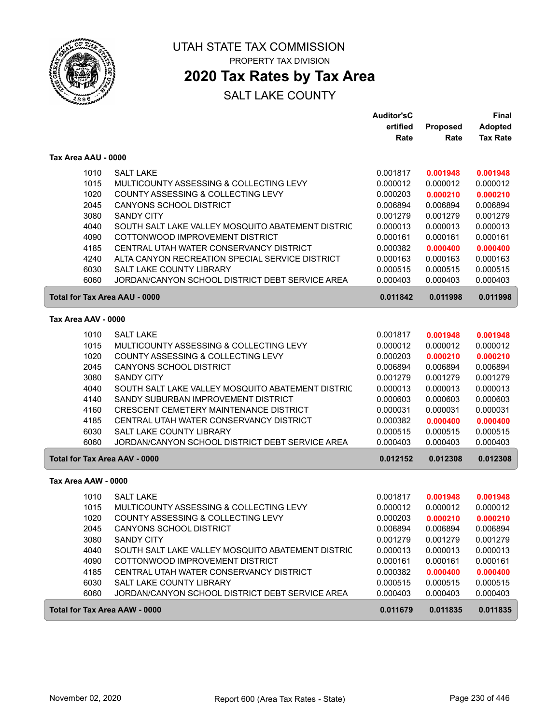

### **2020 Tax Rates by Tax Area**

|                                      |                                                   | Auditor'sC |          | <b>Final</b>    |
|--------------------------------------|---------------------------------------------------|------------|----------|-----------------|
|                                      |                                                   | ertified   | Proposed | <b>Adopted</b>  |
|                                      |                                                   | Rate       | Rate     | <b>Tax Rate</b> |
| Tax Area AAU - 0000                  |                                                   |            |          |                 |
| 1010                                 | <b>SALT LAKE</b>                                  | 0.001817   | 0.001948 | 0.001948        |
| 1015                                 | MULTICOUNTY ASSESSING & COLLECTING LEVY           | 0.000012   | 0.000012 | 0.000012        |
| 1020                                 | COUNTY ASSESSING & COLLECTING LEVY                | 0.000203   | 0.000210 | 0.000210        |
| 2045                                 | CANYONS SCHOOL DISTRICT                           | 0.006894   | 0.006894 | 0.006894        |
| 3080                                 | <b>SANDY CITY</b>                                 | 0.001279   | 0.001279 | 0.001279        |
| 4040                                 | SOUTH SALT LAKE VALLEY MOSQUITO ABATEMENT DISTRIC | 0.000013   | 0.000013 | 0.000013        |
| 4090                                 | COTTONWOOD IMPROVEMENT DISTRICT                   | 0.000161   | 0.000161 | 0.000161        |
| 4185                                 | CENTRAL UTAH WATER CONSERVANCY DISTRICT           | 0.000382   | 0.000400 | 0.000400        |
| 4240                                 | ALTA CANYON RECREATION SPECIAL SERVICE DISTRICT   | 0.000163   | 0.000163 | 0.000163        |
| 6030                                 | SALT LAKE COUNTY LIBRARY                          | 0.000515   | 0.000515 | 0.000515        |
| 6060                                 | JORDAN/CANYON SCHOOL DISTRICT DEBT SERVICE AREA   | 0.000403   | 0.000403 | 0.000403        |
| <b>Total for Tax Area AAU - 0000</b> |                                                   | 0.011842   | 0.011998 | 0.011998        |
| Tax Area AAV - 0000                  |                                                   |            |          |                 |
| 1010                                 | <b>SALT LAKE</b>                                  | 0.001817   | 0.001948 | 0.001948        |
| 1015                                 | MULTICOUNTY ASSESSING & COLLECTING LEVY           | 0.000012   | 0.000012 | 0.000012        |
| 1020                                 | COUNTY ASSESSING & COLLECTING LEVY                | 0.000203   | 0.000210 | 0.000210        |
| 2045                                 | <b>CANYONS SCHOOL DISTRICT</b>                    | 0.006894   | 0.006894 | 0.006894        |
| 3080                                 | <b>SANDY CITY</b>                                 | 0.001279   | 0.001279 | 0.001279        |
| 4040                                 | SOUTH SALT LAKE VALLEY MOSQUITO ABATEMENT DISTRIC | 0.000013   | 0.000013 | 0.000013        |
| 4140                                 | SANDY SUBURBAN IMPROVEMENT DISTRICT               | 0.000603   | 0.000603 | 0.000603        |
| 4160                                 | CRESCENT CEMETERY MAINTENANCE DISTRICT            | 0.000031   | 0.000031 | 0.000031        |
| 4185                                 | CENTRAL UTAH WATER CONSERVANCY DISTRICT           | 0.000382   | 0.000400 | 0.000400        |
| 6030                                 | <b>SALT LAKE COUNTY LIBRARY</b>                   | 0.000515   | 0.000515 | 0.000515        |
| 6060                                 | JORDAN/CANYON SCHOOL DISTRICT DEBT SERVICE AREA   | 0.000403   | 0.000403 | 0.000403        |
| <b>Total for Tax Area AAV - 0000</b> |                                                   | 0.012152   | 0.012308 | 0.012308        |
| Tax Area AAW - 0000                  |                                                   |            |          |                 |
| 1010                                 | <b>SALT LAKE</b>                                  | 0.001817   | 0.001948 | 0.001948        |
| 1015                                 | MULTICOUNTY ASSESSING & COLLECTING LEVY           | 0.000012   | 0.000012 | 0.000012        |
| 1020                                 | COUNTY ASSESSING & COLLECTING LEVY                | 0.000203   | 0.000210 | 0.000210        |
| 2045                                 | CANYONS SCHOOL DISTRICT                           | 0.006894   | 0.006894 | 0.006894        |
| 3080                                 | <b>SANDY CITY</b>                                 | 0.001279   | 0.001279 | 0.001279        |
| 4040                                 | SOUTH SALT LAKE VALLEY MOSQUITO ABATEMENT DISTRIC | 0.000013   | 0.000013 | 0.000013        |
| 4090                                 | COTTONWOOD IMPROVEMENT DISTRICT                   | 0.000161   | 0.000161 | 0.000161        |
| 4185                                 | CENTRAL UTAH WATER CONSERVANCY DISTRICT           | 0.000382   | 0.000400 | 0.000400        |
| 6030                                 | SALT LAKE COUNTY LIBRARY                          | 0.000515   | 0.000515 | 0.000515        |
| 6060                                 | JORDAN/CANYON SCHOOL DISTRICT DEBT SERVICE AREA   | 0.000403   | 0.000403 | 0.000403        |
| <b>Total for Tax Area AAW - 0000</b> |                                                   | 0.011679   | 0.011835 | 0.011835        |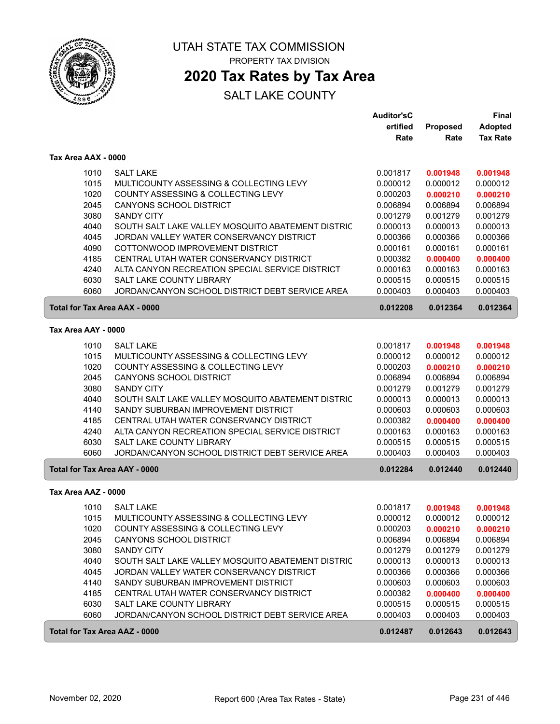

## **2020 Tax Rates by Tax Area**

|                                      |                                                   | <b>Auditor'sC</b> |                 | Final           |
|--------------------------------------|---------------------------------------------------|-------------------|-----------------|-----------------|
|                                      |                                                   | ertified          | <b>Proposed</b> | <b>Adopted</b>  |
|                                      |                                                   | Rate              | Rate            | <b>Tax Rate</b> |
| Tax Area AAX - 0000                  |                                                   |                   |                 |                 |
| 1010                                 | <b>SALT LAKE</b>                                  | 0.001817          | 0.001948        | 0.001948        |
| 1015                                 | MULTICOUNTY ASSESSING & COLLECTING LEVY           | 0.000012          | 0.000012        | 0.000012        |
| 1020                                 | COUNTY ASSESSING & COLLECTING LEVY                | 0.000203          | 0.000210        | 0.000210        |
| 2045                                 | <b>CANYONS SCHOOL DISTRICT</b>                    | 0.006894          | 0.006894        | 0.006894        |
| 3080                                 | <b>SANDY CITY</b>                                 | 0.001279          | 0.001279        | 0.001279        |
| 4040                                 | SOUTH SALT LAKE VALLEY MOSQUITO ABATEMENT DISTRIC | 0.000013          | 0.000013        | 0.000013        |
| 4045                                 | JORDAN VALLEY WATER CONSERVANCY DISTRICT          | 0.000366          | 0.000366        | 0.000366        |
| 4090                                 | COTTONWOOD IMPROVEMENT DISTRICT                   | 0.000161          | 0.000161        | 0.000161        |
| 4185                                 | CENTRAL UTAH WATER CONSERVANCY DISTRICT           | 0.000382          | 0.000400        | 0.000400        |
| 4240                                 | ALTA CANYON RECREATION SPECIAL SERVICE DISTRICT   | 0.000163          | 0.000163        | 0.000163        |
| 6030                                 | SALT LAKE COUNTY LIBRARY                          | 0.000515          | 0.000515        | 0.000515        |
| 6060                                 | JORDAN/CANYON SCHOOL DISTRICT DEBT SERVICE AREA   | 0.000403          | 0.000403        | 0.000403        |
| <b>Total for Tax Area AAX - 0000</b> |                                                   | 0.012208          | 0.012364        | 0.012364        |
| Tax Area AAY - 0000                  |                                                   |                   |                 |                 |
| 1010                                 | <b>SALT LAKE</b>                                  | 0.001817          | 0.001948        | 0.001948        |
| 1015                                 | MULTICOUNTY ASSESSING & COLLECTING LEVY           | 0.000012          | 0.000012        | 0.000012        |
| 1020                                 | COUNTY ASSESSING & COLLECTING LEVY                | 0.000203          | 0.000210        | 0.000210        |
| 2045                                 | CANYONS SCHOOL DISTRICT                           | 0.006894          | 0.006894        | 0.006894        |
| 3080                                 | <b>SANDY CITY</b>                                 | 0.001279          | 0.001279        | 0.001279        |
| 4040                                 | SOUTH SALT LAKE VALLEY MOSQUITO ABATEMENT DISTRIC | 0.000013          | 0.000013        | 0.000013        |
| 4140                                 | SANDY SUBURBAN IMPROVEMENT DISTRICT               | 0.000603          | 0.000603        | 0.000603        |
| 4185                                 | CENTRAL UTAH WATER CONSERVANCY DISTRICT           | 0.000382          | 0.000400        | 0.000400        |
| 4240                                 | ALTA CANYON RECREATION SPECIAL SERVICE DISTRICT   | 0.000163          | 0.000163        | 0.000163        |
| 6030                                 | SALT LAKE COUNTY LIBRARY                          | 0.000515          | 0.000515        | 0.000515        |
| 6060                                 | JORDAN/CANYON SCHOOL DISTRICT DEBT SERVICE AREA   | 0.000403          | 0.000403        | 0.000403        |
| Total for Tax Area AAY - 0000        |                                                   | 0.012284          | 0.012440        | 0.012440        |
| Tax Area AAZ - 0000                  |                                                   |                   |                 |                 |
| 1010                                 | <b>SALT LAKE</b>                                  | 0.001817          | 0.001948        | 0.001948        |
| 1015                                 | MULTICOUNTY ASSESSING & COLLECTING LEVY           | 0.000012          | 0.000012        | 0.000012        |
| 1020                                 | COUNTY ASSESSING & COLLECTING LEVY                | 0.000203          | 0.000210        | 0.000210        |
| 2045                                 | CANYONS SCHOOL DISTRICT                           | 0.006894          | 0.006894        | 0.006894        |
| 3080                                 | <b>SANDY CITY</b>                                 | 0.001279          | 0.001279        | 0.001279        |
| 4040                                 | SOUTH SALT LAKE VALLEY MOSQUITO ABATEMENT DISTRIC | 0.000013          | 0.000013        | 0.000013        |
| 4045                                 | JORDAN VALLEY WATER CONSERVANCY DISTRICT          | 0.000366          | 0.000366        | 0.000366        |
| 4140                                 | SANDY SUBURBAN IMPROVEMENT DISTRICT               | 0.000603          | 0.000603        | 0.000603        |
| 4185                                 | CENTRAL UTAH WATER CONSERVANCY DISTRICT           | 0.000382          | 0.000400        | 0.000400        |
| 6030                                 | SALT LAKE COUNTY LIBRARY                          | 0.000515          | 0.000515        | 0.000515        |
| 6060                                 | JORDAN/CANYON SCHOOL DISTRICT DEBT SERVICE AREA   | 0.000403          | 0.000403        | 0.000403        |
| Total for Tax Area AAZ - 0000        |                                                   | 0.012487          | 0.012643        | 0.012643        |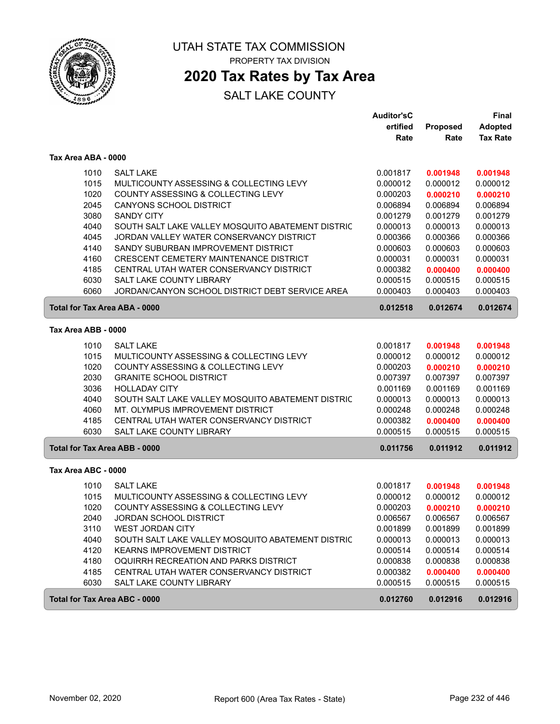

### **2020 Tax Rates by Tax Area**

|                                      |                                                   | Auditor'sC |          | <b>Final</b>    |
|--------------------------------------|---------------------------------------------------|------------|----------|-----------------|
|                                      |                                                   | ertified   | Proposed | <b>Adopted</b>  |
|                                      |                                                   | Rate       | Rate     | <b>Tax Rate</b> |
| Tax Area ABA - 0000                  |                                                   |            |          |                 |
| 1010                                 | <b>SALT LAKE</b>                                  | 0.001817   | 0.001948 | 0.001948        |
| 1015                                 | MULTICOUNTY ASSESSING & COLLECTING LEVY           | 0.000012   | 0.000012 | 0.000012        |
| 1020                                 | COUNTY ASSESSING & COLLECTING LEVY                | 0.000203   | 0.000210 | 0.000210        |
| 2045                                 | CANYONS SCHOOL DISTRICT                           | 0.006894   | 0.006894 | 0.006894        |
| 3080                                 | <b>SANDY CITY</b>                                 | 0.001279   | 0.001279 | 0.001279        |
| 4040                                 | SOUTH SALT LAKE VALLEY MOSQUITO ABATEMENT DISTRIC | 0.000013   | 0.000013 | 0.000013        |
| 4045                                 | JORDAN VALLEY WATER CONSERVANCY DISTRICT          | 0.000366   | 0.000366 | 0.000366        |
| 4140                                 | SANDY SUBURBAN IMPROVEMENT DISTRICT               | 0.000603   | 0.000603 | 0.000603        |
| 4160                                 | <b>CRESCENT CEMETERY MAINTENANCE DISTRICT</b>     | 0.000031   | 0.000031 | 0.000031        |
| 4185                                 | CENTRAL UTAH WATER CONSERVANCY DISTRICT           | 0.000382   | 0.000400 | 0.000400        |
| 6030                                 | <b>SALT LAKE COUNTY LIBRARY</b>                   | 0.000515   | 0.000515 | 0.000515        |
| 6060                                 | JORDAN/CANYON SCHOOL DISTRICT DEBT SERVICE AREA   | 0.000403   | 0.000403 | 0.000403        |
| <b>Total for Tax Area ABA - 0000</b> |                                                   | 0.012518   | 0.012674 | 0.012674        |
| Tax Area ABB - 0000                  |                                                   |            |          |                 |
| 1010                                 | <b>SALT LAKE</b>                                  | 0.001817   | 0.001948 | 0.001948        |
| 1015                                 | MULTICOUNTY ASSESSING & COLLECTING LEVY           | 0.000012   | 0.000012 | 0.000012        |
| 1020                                 | COUNTY ASSESSING & COLLECTING LEVY                | 0.000203   | 0.000210 | 0.000210        |
| 2030                                 | <b>GRANITE SCHOOL DISTRICT</b>                    | 0.007397   | 0.007397 | 0.007397        |
| 3036                                 | <b>HOLLADAY CITY</b>                              | 0.001169   | 0.001169 | 0.001169        |
| 4040                                 | SOUTH SALT LAKE VALLEY MOSQUITO ABATEMENT DISTRIC | 0.000013   | 0.000013 | 0.000013        |
| 4060                                 | MT. OLYMPUS IMPROVEMENT DISTRICT                  | 0.000248   | 0.000248 | 0.000248        |
| 4185                                 | CENTRAL UTAH WATER CONSERVANCY DISTRICT           | 0.000382   | 0.000400 | 0.000400        |
| 6030                                 | <b>SALT LAKE COUNTY LIBRARY</b>                   | 0.000515   | 0.000515 | 0.000515        |
| Total for Tax Area ABB - 0000        |                                                   | 0.011756   | 0.011912 | 0.011912        |
| Tax Area ABC - 0000                  |                                                   |            |          |                 |
| 1010                                 | <b>SALT LAKE</b>                                  | 0.001817   | 0.001948 | 0.001948        |
| 1015                                 | MULTICOUNTY ASSESSING & COLLECTING LEVY           | 0.000012   | 0.000012 | 0.000012        |
| 1020                                 | COUNTY ASSESSING & COLLECTING LEVY                | 0.000203   | 0.000210 | 0.000210        |
| 2040                                 | JORDAN SCHOOL DISTRICT                            | 0.006567   | 0.006567 | 0.006567        |
| 3110                                 | <b>WEST JORDAN CITY</b>                           | 0.001899   | 0.001899 | 0.001899        |
| 4040                                 | SOUTH SALT LAKE VALLEY MOSQUITO ABATEMENT DISTRIC | 0.000013   | 0.000013 | 0.000013        |
| 4120                                 | <b>KEARNS IMPROVEMENT DISTRICT</b>                | 0.000514   | 0.000514 | 0.000514        |
| 4180                                 | OQUIRRH RECREATION AND PARKS DISTRICT             | 0.000838   | 0.000838 | 0.000838        |
| 4185                                 | CENTRAL UTAH WATER CONSERVANCY DISTRICT           | 0.000382   | 0.000400 | 0.000400        |
| 6030                                 | SALT LAKE COUNTY LIBRARY                          | 0.000515   | 0.000515 | 0.000515        |
| Total for Tax Area ABC - 0000        |                                                   | 0.012760   | 0.012916 | 0.012916        |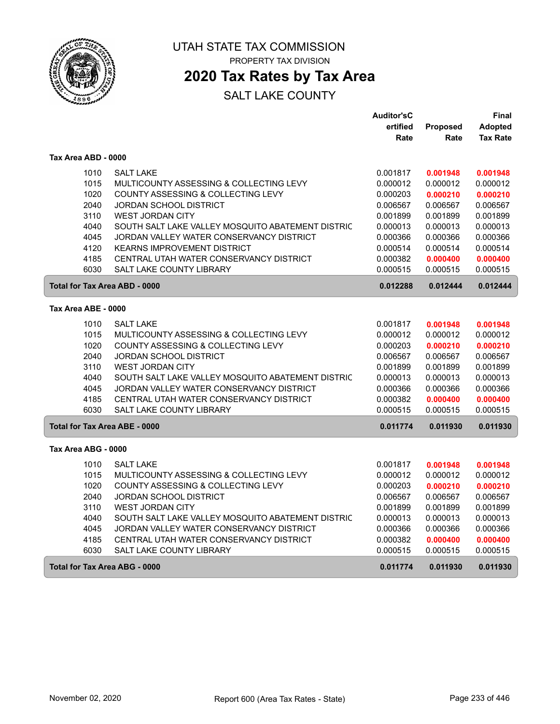

### **2020 Tax Rates by Tax Area**

|                                      |                                                   | <b>Auditor'sC</b> |          | Final           |
|--------------------------------------|---------------------------------------------------|-------------------|----------|-----------------|
|                                      |                                                   | ertified          | Proposed | <b>Adopted</b>  |
|                                      |                                                   | Rate              | Rate     | <b>Tax Rate</b> |
| Tax Area ABD - 0000                  |                                                   |                   |          |                 |
| 1010                                 | <b>SALT LAKE</b>                                  | 0.001817          | 0.001948 | 0.001948        |
| 1015                                 | MULTICOUNTY ASSESSING & COLLECTING LEVY           | 0.000012          | 0.000012 | 0.000012        |
| 1020                                 | COUNTY ASSESSING & COLLECTING LEVY                | 0.000203          | 0.000210 | 0.000210        |
| 2040                                 | <b>JORDAN SCHOOL DISTRICT</b>                     | 0.006567          | 0.006567 | 0.006567        |
| 3110                                 | <b>WEST JORDAN CITY</b>                           | 0.001899          | 0.001899 | 0.001899        |
| 4040                                 | SOUTH SALT LAKE VALLEY MOSQUITO ABATEMENT DISTRIC | 0.000013          | 0.000013 | 0.000013        |
| 4045                                 | JORDAN VALLEY WATER CONSERVANCY DISTRICT          | 0.000366          | 0.000366 | 0.000366        |
| 4120                                 | <b>KEARNS IMPROVEMENT DISTRICT</b>                | 0.000514          | 0.000514 | 0.000514        |
| 4185                                 | CENTRAL UTAH WATER CONSERVANCY DISTRICT           | 0.000382          | 0.000400 | 0.000400        |
| 6030                                 | <b>SALT LAKE COUNTY LIBRARY</b>                   | 0.000515          | 0.000515 | 0.000515        |
| Total for Tax Area ABD - 0000        |                                                   | 0.012288          | 0.012444 | 0.012444        |
| Tax Area ABE - 0000                  |                                                   |                   |          |                 |
| 1010                                 | <b>SALT LAKE</b>                                  | 0.001817          | 0.001948 | 0.001948        |
| 1015                                 | MULTICOUNTY ASSESSING & COLLECTING LEVY           | 0.000012          | 0.000012 | 0.000012        |
| 1020                                 | COUNTY ASSESSING & COLLECTING LEVY                | 0.000203          | 0.000210 | 0.000210        |
| 2040                                 | <b>JORDAN SCHOOL DISTRICT</b>                     | 0.006567          | 0.006567 | 0.006567        |
| 3110                                 | WEST JORDAN CITY                                  | 0.001899          | 0.001899 | 0.001899        |
| 4040                                 | SOUTH SALT LAKE VALLEY MOSQUITO ABATEMENT DISTRIC | 0.000013          | 0.000013 | 0.000013        |
| 4045                                 | JORDAN VALLEY WATER CONSERVANCY DISTRICT          | 0.000366          | 0.000366 | 0.000366        |
| 4185                                 | CENTRAL UTAH WATER CONSERVANCY DISTRICT           | 0.000382          | 0.000400 | 0.000400        |
| 6030                                 | <b>SALT LAKE COUNTY LIBRARY</b>                   | 0.000515          | 0.000515 | 0.000515        |
| <b>Total for Tax Area ABE - 0000</b> |                                                   | 0.011774          | 0.011930 | 0.011930        |
| Tax Area ABG - 0000                  |                                                   |                   |          |                 |
| 1010                                 | <b>SALT LAKE</b>                                  | 0.001817          | 0.001948 | 0.001948        |
| 1015                                 | MULTICOUNTY ASSESSING & COLLECTING LEVY           | 0.000012          | 0.000012 | 0.000012        |
| 1020                                 | COUNTY ASSESSING & COLLECTING LEVY                | 0.000203          | 0.000210 | 0.000210        |
| 2040                                 | <b>JORDAN SCHOOL DISTRICT</b>                     | 0.006567          | 0.006567 | 0.006567        |
| 3110                                 | <b>WEST JORDAN CITY</b>                           | 0.001899          | 0.001899 | 0.001899        |
| 4040                                 | SOUTH SALT LAKE VALLEY MOSQUITO ABATEMENT DISTRIC | 0.000013          | 0.000013 | 0.000013        |
| 4045                                 | JORDAN VALLEY WATER CONSERVANCY DISTRICT          | 0.000366          | 0.000366 | 0.000366        |
| 4185                                 | CENTRAL UTAH WATER CONSERVANCY DISTRICT           | 0.000382          | 0.000400 | 0.000400        |
| 6030                                 | <b>SALT LAKE COUNTY LIBRARY</b>                   | 0.000515          | 0.000515 | 0.000515        |
| Total for Tax Area ABG - 0000        |                                                   | 0.011774          | 0.011930 | 0.011930        |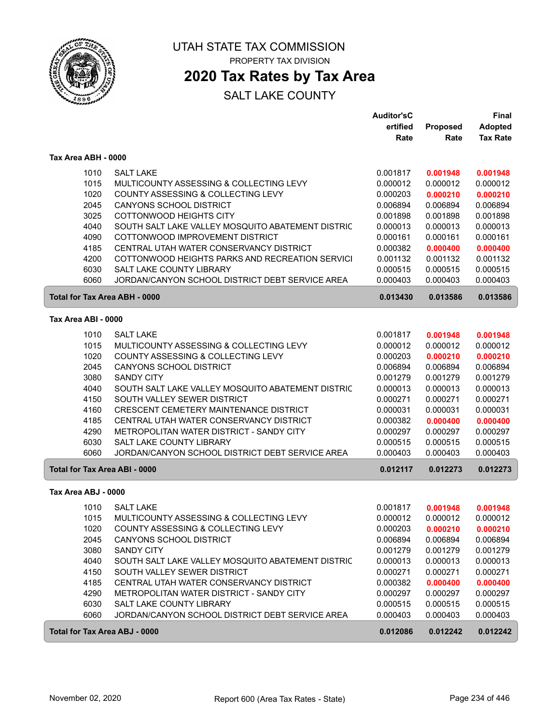

### **2020 Tax Rates by Tax Area**

|                                      |                                                   | <b>Auditor'sC</b> |                 | <b>Final</b>    |
|--------------------------------------|---------------------------------------------------|-------------------|-----------------|-----------------|
|                                      |                                                   | ertified          | <b>Proposed</b> | <b>Adopted</b>  |
|                                      |                                                   | Rate              | Rate            | <b>Tax Rate</b> |
| Tax Area ABH - 0000                  |                                                   |                   |                 |                 |
| 1010                                 | <b>SALT LAKE</b>                                  | 0.001817          | 0.001948        | 0.001948        |
| 1015                                 | MULTICOUNTY ASSESSING & COLLECTING LEVY           | 0.000012          | 0.000012        | 0.000012        |
| 1020                                 | COUNTY ASSESSING & COLLECTING LEVY                | 0.000203          | 0.000210        | 0.000210        |
| 2045                                 | <b>CANYONS SCHOOL DISTRICT</b>                    | 0.006894          | 0.006894        | 0.006894        |
| 3025                                 | COTTONWOOD HEIGHTS CITY                           | 0.001898          | 0.001898        | 0.001898        |
| 4040                                 | SOUTH SALT LAKE VALLEY MOSQUITO ABATEMENT DISTRIC | 0.000013          | 0.000013        | 0.000013        |
| 4090                                 | COTTONWOOD IMPROVEMENT DISTRICT                   | 0.000161          | 0.000161        | 0.000161        |
| 4185                                 | CENTRAL UTAH WATER CONSERVANCY DISTRICT           | 0.000382          | 0.000400        | 0.000400        |
| 4200                                 | COTTONWOOD HEIGHTS PARKS AND RECREATION SERVICI   | 0.001132          | 0.001132        | 0.001132        |
| 6030                                 | SALT LAKE COUNTY LIBRARY                          | 0.000515          | 0.000515        | 0.000515        |
| 6060                                 | JORDAN/CANYON SCHOOL DISTRICT DEBT SERVICE AREA   | 0.000403          | 0.000403        | 0.000403        |
| <b>Total for Tax Area ABH - 0000</b> |                                                   | 0.013430          | 0.013586        | 0.013586        |
| Tax Area ABI - 0000                  |                                                   |                   |                 |                 |
| 1010                                 | <b>SALT LAKE</b>                                  | 0.001817          | 0.001948        | 0.001948        |
| 1015                                 | MULTICOUNTY ASSESSING & COLLECTING LEVY           | 0.000012          | 0.000012        | 0.000012        |
| 1020                                 | COUNTY ASSESSING & COLLECTING LEVY                | 0.000203          | 0.000210        | 0.000210        |
| 2045                                 | <b>CANYONS SCHOOL DISTRICT</b>                    | 0.006894          | 0.006894        | 0.006894        |
| 3080                                 | <b>SANDY CITY</b>                                 | 0.001279          | 0.001279        | 0.001279        |
| 4040                                 | SOUTH SALT LAKE VALLEY MOSQUITO ABATEMENT DISTRIC | 0.000013          | 0.000013        | 0.000013        |
| 4150                                 | SOUTH VALLEY SEWER DISTRICT                       | 0.000271          | 0.000271        | 0.000271        |
| 4160                                 | CRESCENT CEMETERY MAINTENANCE DISTRICT            | 0.000031          | 0.000031        | 0.000031        |
| 4185                                 | CENTRAL UTAH WATER CONSERVANCY DISTRICT           | 0.000382          | 0.000400        | 0.000400        |
| 4290                                 | METROPOLITAN WATER DISTRICT - SANDY CITY          | 0.000297          | 0.000297        | 0.000297        |
| 6030                                 | SALT LAKE COUNTY LIBRARY                          | 0.000515          | 0.000515        | 0.000515        |
| 6060                                 | JORDAN/CANYON SCHOOL DISTRICT DEBT SERVICE AREA   | 0.000403          | 0.000403        | 0.000403        |
| <b>Total for Tax Area ABI - 0000</b> |                                                   | 0.012117          | 0.012273        | 0.012273        |
| Tax Area ABJ - 0000                  |                                                   |                   |                 |                 |
| 1010                                 | <b>SALT LAKE</b>                                  | 0.001817          | 0.001948        | 0.001948        |
| 1015                                 | MULTICOUNTY ASSESSING & COLLECTING LEVY           | 0.000012          | 0.000012        | 0.000012        |
| 1020                                 | COUNTY ASSESSING & COLLECTING LEVY                | 0.000203          | 0.000210        | 0.000210        |
| 2045                                 | CANYONS SCHOOL DISTRICT                           | 0.006894          | 0.006894        | 0.006894        |
| 3080                                 | <b>SANDY CITY</b>                                 | 0.001279          | 0.001279        | 0.001279        |
| 4040                                 | SOUTH SALT LAKE VALLEY MOSQUITO ABATEMENT DISTRIC | 0.000013          | 0.000013        | 0.000013        |
| 4150                                 | SOUTH VALLEY SEWER DISTRICT                       | 0.000271          | 0.000271        | 0.000271        |
| 4185                                 | CENTRAL UTAH WATER CONSERVANCY DISTRICT           | 0.000382          | 0.000400        | 0.000400        |
| 4290                                 | METROPOLITAN WATER DISTRICT - SANDY CITY          | 0.000297          | 0.000297        | 0.000297        |
| 6030                                 | SALT LAKE COUNTY LIBRARY                          | 0.000515          | 0.000515        | 0.000515        |
| 6060                                 | JORDAN/CANYON SCHOOL DISTRICT DEBT SERVICE AREA   | 0.000403          | 0.000403        | 0.000403        |
| Total for Tax Area ABJ - 0000        |                                                   | 0.012086          | 0.012242        | 0.012242        |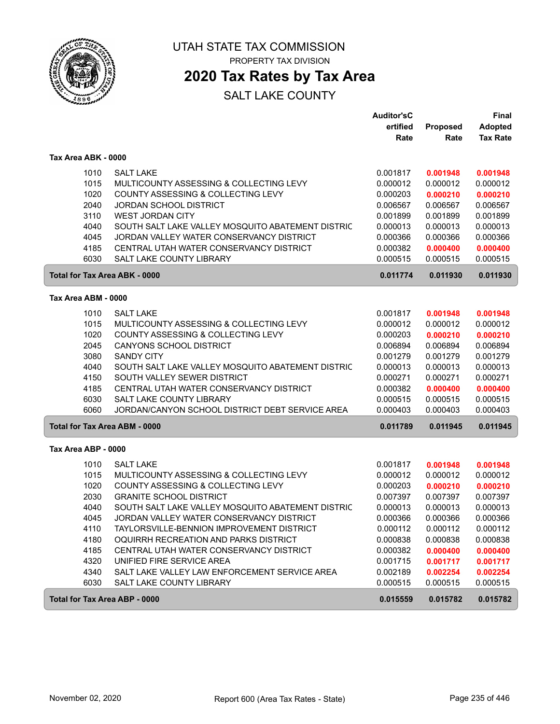

 $\sqrt{2}$ 

UTAH STATE TAX COMMISSION PROPERTY TAX DIVISION

### **2020 Tax Rates by Tax Area**

|                                      |                                                   | <b>Auditor'sC</b> |                 | Final           |
|--------------------------------------|---------------------------------------------------|-------------------|-----------------|-----------------|
|                                      |                                                   | ertified          | <b>Proposed</b> | <b>Adopted</b>  |
|                                      |                                                   | Rate              | Rate            | <b>Tax Rate</b> |
| Tax Area ABK - 0000                  |                                                   |                   |                 |                 |
| 1010                                 | <b>SALT LAKE</b>                                  | 0.001817          | 0.001948        | 0.001948        |
| 1015                                 | MULTICOUNTY ASSESSING & COLLECTING LEVY           | 0.000012          | 0.000012        | 0.000012        |
| 1020                                 | COUNTY ASSESSING & COLLECTING LEVY                | 0.000203          | 0.000210        | 0.000210        |
| 2040                                 | <b>JORDAN SCHOOL DISTRICT</b>                     | 0.006567          | 0.006567        | 0.006567        |
| 3110                                 | <b>WEST JORDAN CITY</b>                           | 0.001899          | 0.001899        | 0.001899        |
| 4040                                 | SOUTH SALT LAKE VALLEY MOSQUITO ABATEMENT DISTRIC | 0.000013          | 0.000013        | 0.000013        |
| 4045                                 | JORDAN VALLEY WATER CONSERVANCY DISTRICT          | 0.000366          | 0.000366        | 0.000366        |
| 4185                                 | CENTRAL UTAH WATER CONSERVANCY DISTRICT           | 0.000382          | 0.000400        | 0.000400        |
| 6030                                 | <b>SALT LAKE COUNTY LIBRARY</b>                   | 0.000515          | 0.000515        | 0.000515        |
| <b>Total for Tax Area ABK - 0000</b> |                                                   | 0.011774          | 0.011930        | 0.011930        |
| Tax Area ABM - 0000                  |                                                   |                   |                 |                 |
| 1010                                 | <b>SALT LAKE</b>                                  | 0.001817          | 0.001948        | 0.001948        |
| 1015                                 | MULTICOUNTY ASSESSING & COLLECTING LEVY           | 0.000012          | 0.000012        | 0.000012        |
| 1020                                 | COUNTY ASSESSING & COLLECTING LEVY                | 0.000203          | 0.000210        | 0.000210        |
| 2045                                 | CANYONS SCHOOL DISTRICT                           | 0.006894          | 0.006894        | 0.006894        |
| 3080                                 | <b>SANDY CITY</b>                                 | 0.001279          | 0.001279        | 0.001279        |
| 4040                                 | SOUTH SALT LAKE VALLEY MOSQUITO ABATEMENT DISTRIC | 0.000013          | 0.000013        | 0.000013        |
| 4150                                 | SOUTH VALLEY SEWER DISTRICT                       | 0.000271          | 0.000271        | 0.000271        |
| 4185                                 | CENTRAL UTAH WATER CONSERVANCY DISTRICT           | 0.000382          | 0.000400        | 0.000400        |
| 6030                                 | <b>SALT LAKE COUNTY LIBRARY</b>                   | 0.000515          | 0.000515        | 0.000515        |
| 6060                                 | JORDAN/CANYON SCHOOL DISTRICT DEBT SERVICE AREA   | 0.000403          | 0.000403        | 0.000403        |
| Total for Tax Area ABM - 0000        |                                                   | 0.011789          | 0.011945        | 0.011945        |
| Tax Area ABP - 0000                  |                                                   |                   |                 |                 |
| 1010                                 | <b>SALT LAKE</b>                                  | 0.001817          | 0.001948        | 0.001948        |
| 1015                                 | MULTICOUNTY ASSESSING & COLLECTING LEVY           | 0.000012          | 0.000012        | 0.000012        |
| 1020                                 | COUNTY ASSESSING & COLLECTING LEVY                | 0.000203          | 0.000210        | 0.000210        |
| 2030                                 | <b>GRANITE SCHOOL DISTRICT</b>                    | 0.007397          | 0.007397        | 0.007397        |
| 4040                                 | SOUTH SALT LAKE VALLEY MOSQUITO ABATEMENT DISTRIC | 0.000013          | 0.000013        | 0.000013        |
| 4045                                 | JORDAN VALLEY WATER CONSERVANCY DISTRICT          | 0.000366          | 0.000366        | 0.000366        |
| 4110                                 | TAYLORSVILLE-BENNION IMPROVEMENT DISTRICT         | 0.000112          | 0.000112        | 0.000112        |
| 4180                                 | OQUIRRH RECREATION AND PARKS DISTRICT             | 0.000838          | 0.000838        | 0.000838        |
| 4185                                 | CENTRAL UTAH WATER CONSERVANCY DISTRICT           | 0.000382          | 0.000400        | 0.000400        |
| 4320                                 | UNIFIED FIRE SERVICE AREA                         | 0.001715          | 0.001717        | 0.001717        |
| 4340                                 | SALT LAKE VALLEY LAW ENFORCEMENT SERVICE AREA     | 0.002189          | 0.002254        | 0.002254        |
| 6030                                 | SALT LAKE COUNTY LIBRARY                          | 0.000515          | 0.000515        | 0.000515        |
| Total for Tax Area ABP - 0000        |                                                   | 0.015559          | 0.015782        | 0.015782        |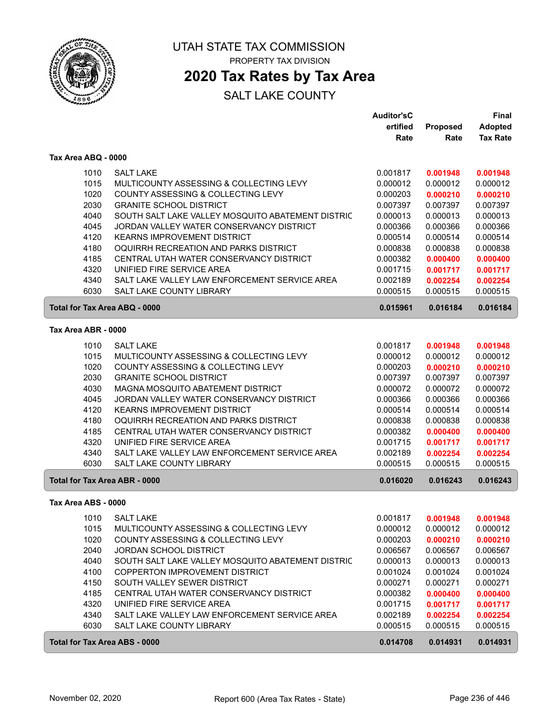

### **2020 Tax Rates by Tax Area**

|                                      |                                                   | <b>Auditor'sC</b> |                 | <b>Final</b>    |
|--------------------------------------|---------------------------------------------------|-------------------|-----------------|-----------------|
|                                      |                                                   | ertified          | <b>Proposed</b> | <b>Adopted</b>  |
|                                      |                                                   | Rate              | Rate            | <b>Tax Rate</b> |
| Tax Area ABQ - 0000                  |                                                   |                   |                 |                 |
| 1010                                 | <b>SALT LAKE</b>                                  | 0.001817          | 0.001948        | 0.001948        |
| 1015                                 | MULTICOUNTY ASSESSING & COLLECTING LEVY           | 0.000012          | 0.000012        | 0.000012        |
| 1020                                 | COUNTY ASSESSING & COLLECTING LEVY                | 0.000203          | 0.000210        | 0.000210        |
| 2030                                 | <b>GRANITE SCHOOL DISTRICT</b>                    | 0.007397          | 0.007397        | 0.007397        |
| 4040                                 | SOUTH SALT LAKE VALLEY MOSQUITO ABATEMENT DISTRIC | 0.000013          | 0.000013        | 0.000013        |
| 4045                                 | JORDAN VALLEY WATER CONSERVANCY DISTRICT          | 0.000366          | 0.000366        | 0.000366        |
| 4120                                 | <b>KEARNS IMPROVEMENT DISTRICT</b>                | 0.000514          | 0.000514        | 0.000514        |
| 4180                                 | OQUIRRH RECREATION AND PARKS DISTRICT             | 0.000838          | 0.000838        | 0.000838        |
| 4185                                 | CENTRAL UTAH WATER CONSERVANCY DISTRICT           | 0.000382          | 0.000400        | 0.000400        |
| 4320                                 | UNIFIED FIRE SERVICE AREA                         | 0.001715          | 0.001717        | 0.001717        |
| 4340                                 | SALT LAKE VALLEY LAW ENFORCEMENT SERVICE AREA     | 0.002189          | 0.002254        | 0.002254        |
| 6030                                 | SALT LAKE COUNTY LIBRARY                          | 0.000515          | 0.000515        | 0.000515        |
| Total for Tax Area ABQ - 0000        |                                                   | 0.015961          | 0.016184        | 0.016184        |
| Tax Area ABR - 0000                  |                                                   |                   |                 |                 |
|                                      |                                                   |                   |                 |                 |
| 1010                                 | <b>SALT LAKE</b>                                  | 0.001817          | 0.001948        | 0.001948        |
| 1015                                 | MULTICOUNTY ASSESSING & COLLECTING LEVY           | 0.000012          | 0.000012        | 0.000012        |
| 1020                                 | COUNTY ASSESSING & COLLECTING LEVY                | 0.000203          | 0.000210        | 0.000210        |
| 2030                                 | <b>GRANITE SCHOOL DISTRICT</b>                    | 0.007397          | 0.007397        | 0.007397        |
| 4030                                 | MAGNA MOSQUITO ABATEMENT DISTRICT                 | 0.000072          | 0.000072        | 0.000072        |
| 4045                                 | JORDAN VALLEY WATER CONSERVANCY DISTRICT          | 0.000366          | 0.000366        | 0.000366        |
| 4120                                 | <b>KEARNS IMPROVEMENT DISTRICT</b>                | 0.000514          | 0.000514        | 0.000514        |
| 4180                                 | OQUIRRH RECREATION AND PARKS DISTRICT             | 0.000838          | 0.000838        | 0.000838        |
| 4185                                 | CENTRAL UTAH WATER CONSERVANCY DISTRICT           | 0.000382          | 0.000400        | 0.000400        |
| 4320                                 | UNIFIED FIRE SERVICE AREA                         | 0.001715          | 0.001717        | 0.001717        |
| 4340                                 | SALT LAKE VALLEY LAW ENFORCEMENT SERVICE AREA     | 0.002189          | 0.002254        | 0.002254        |
| 6030                                 | <b>SALT LAKE COUNTY LIBRARY</b>                   | 0.000515          | 0.000515        | 0.000515        |
| <b>Total for Tax Area ABR - 0000</b> |                                                   | 0.016020          | 0.016243        | 0.016243        |
| Tax Area ABS - 0000                  |                                                   |                   |                 |                 |
|                                      | 1010 SALT LAKE                                    | 0.001817          | 0.001948        | 0.001948        |
| 1015                                 | MULTICOUNTY ASSESSING & COLLECTING LEVY           | 0.000012          | 0.000012        | 0.000012        |
| 1020                                 | COUNTY ASSESSING & COLLECTING LEVY                | 0.000203          | 0.000210        | 0.000210        |
| 2040                                 | <b>JORDAN SCHOOL DISTRICT</b>                     | 0.006567          | 0.006567        | 0.006567        |
| 4040                                 | SOUTH SALT LAKE VALLEY MOSQUITO ABATEMENT DISTRIC | 0.000013          | 0.000013        | 0.000013        |
| 4100                                 | COPPERTON IMPROVEMENT DISTRICT                    | 0.001024          | 0.001024        | 0.001024        |
| 4150                                 | SOUTH VALLEY SEWER DISTRICT                       | 0.000271          | 0.000271        | 0.000271        |
| 4185                                 | CENTRAL UTAH WATER CONSERVANCY DISTRICT           | 0.000382          | 0.000400        | 0.000400        |
| 4320                                 | UNIFIED FIRE SERVICE AREA                         | 0.001715          | 0.001717        | 0.001717        |
| 4340                                 | SALT LAKE VALLEY LAW ENFORCEMENT SERVICE AREA     | 0.002189          | 0.002254        | 0.002254        |
| 6030                                 | SALT LAKE COUNTY LIBRARY                          | 0.000515          | 0.000515        | 0.000515        |
| <b>Total for Tax Area ABS - 0000</b> |                                                   | 0.014708          | 0.014931        | 0.014931        |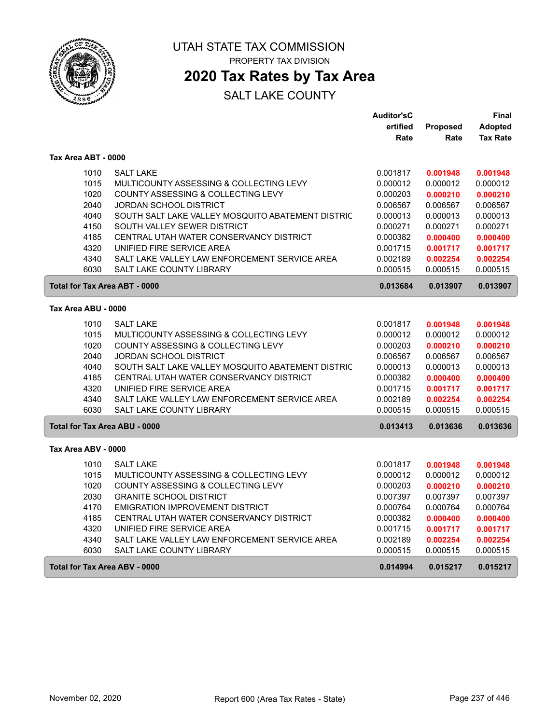

### **2020 Tax Rates by Tax Area**

|                                      |                                                   | <b>Auditor'sC</b> |                 | Final           |
|--------------------------------------|---------------------------------------------------|-------------------|-----------------|-----------------|
|                                      |                                                   | ertified          | <b>Proposed</b> | <b>Adopted</b>  |
|                                      |                                                   | Rate              | Rate            | <b>Tax Rate</b> |
| Tax Area ABT - 0000                  |                                                   |                   |                 |                 |
| 1010                                 | <b>SALT LAKE</b>                                  | 0.001817          | 0.001948        | 0.001948        |
| 1015                                 | MULTICOUNTY ASSESSING & COLLECTING LEVY           | 0.000012          | 0.000012        | 0.000012        |
| 1020                                 | COUNTY ASSESSING & COLLECTING LEVY                | 0.000203          | 0.000210        | 0.000210        |
| 2040                                 | <b>JORDAN SCHOOL DISTRICT</b>                     | 0.006567          | 0.006567        | 0.006567        |
| 4040                                 | SOUTH SALT LAKE VALLEY MOSQUITO ABATEMENT DISTRIC | 0.000013          | 0.000013        | 0.000013        |
| 4150                                 | SOUTH VALLEY SEWER DISTRICT                       | 0.000271          | 0.000271        | 0.000271        |
| 4185                                 | CENTRAL UTAH WATER CONSERVANCY DISTRICT           | 0.000382          | 0.000400        | 0.000400        |
| 4320                                 | UNIFIED FIRE SERVICE AREA                         | 0.001715          | 0.001717        | 0.001717        |
| 4340                                 | SALT LAKE VALLEY LAW ENFORCEMENT SERVICE AREA     | 0.002189          | 0.002254        | 0.002254        |
| 6030                                 | <b>SALT LAKE COUNTY LIBRARY</b>                   | 0.000515          | 0.000515        | 0.000515        |
| <b>Total for Tax Area ABT - 0000</b> |                                                   | 0.013684          | 0.013907        | 0.013907        |
| Tax Area ABU - 0000                  |                                                   |                   |                 |                 |
| 1010                                 | <b>SALT LAKE</b>                                  | 0.001817          | 0.001948        | 0.001948        |
| 1015                                 | MULTICOUNTY ASSESSING & COLLECTING LEVY           | 0.000012          | 0.000012        | 0.000012        |
| 1020                                 | COUNTY ASSESSING & COLLECTING LEVY                | 0.000203          | 0.000210        | 0.000210        |
| 2040                                 | <b>JORDAN SCHOOL DISTRICT</b>                     | 0.006567          | 0.006567        | 0.006567        |
| 4040                                 | SOUTH SALT LAKE VALLEY MOSQUITO ABATEMENT DISTRIC | 0.000013          | 0.000013        | 0.000013        |
| 4185                                 | CENTRAL UTAH WATER CONSERVANCY DISTRICT           | 0.000382          | 0.000400        | 0.000400        |
| 4320                                 | UNIFIED FIRE SERVICE AREA                         | 0.001715          | 0.001717        | 0.001717        |
| 4340                                 | SALT LAKE VALLEY LAW ENFORCEMENT SERVICE AREA     | 0.002189          | 0.002254        | 0.002254        |
| 6030                                 | <b>SALT LAKE COUNTY LIBRARY</b>                   | 0.000515          | 0.000515        | 0.000515        |
| <b>Total for Tax Area ABU - 0000</b> |                                                   | 0.013413          | 0.013636        | 0.013636        |
| Tax Area ABV - 0000                  |                                                   |                   |                 |                 |
| 1010                                 | <b>SALT LAKE</b>                                  | 0.001817          | 0.001948        | 0.001948        |
| 1015                                 | MULTICOUNTY ASSESSING & COLLECTING LEVY           | 0.000012          | 0.000012        | 0.000012        |
| 1020                                 | COUNTY ASSESSING & COLLECTING LEVY                | 0.000203          | 0.000210        | 0.000210        |
| 2030                                 | <b>GRANITE SCHOOL DISTRICT</b>                    | 0.007397          | 0.007397        | 0.007397        |
| 4170                                 | EMIGRATION IMPROVEMENT DISTRICT                   | 0.000764          | 0.000764        | 0.000764        |
| 4185                                 | CENTRAL UTAH WATER CONSERVANCY DISTRICT           | 0.000382          | 0.000400        | 0.000400        |
| 4320                                 | UNIFIED FIRE SERVICE AREA                         | 0.001715          | 0.001717        | 0.001717        |
| 4340                                 | SALT LAKE VALLEY LAW ENFORCEMENT SERVICE AREA     | 0.002189          | 0.002254        | 0.002254        |
| 6030                                 | SALT LAKE COUNTY LIBRARY                          | 0.000515          | 0.000515        | 0.000515        |
| Total for Tax Area ABV - 0000        |                                                   | 0.014994          | 0.015217        | 0.015217        |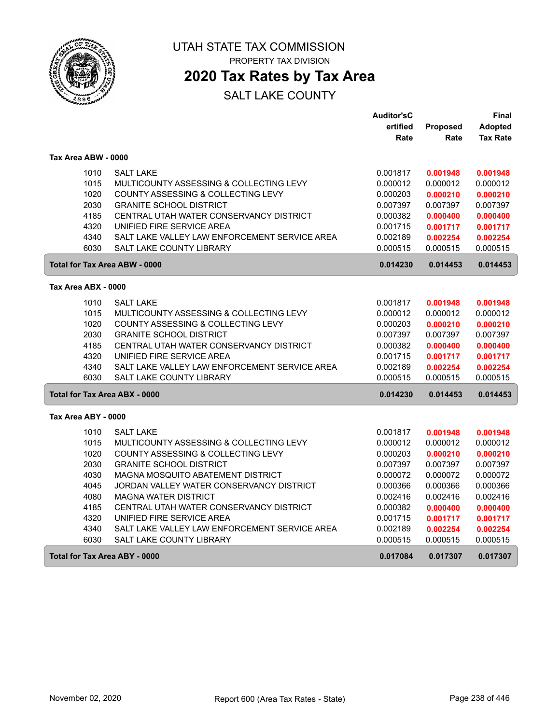

### **2020 Tax Rates by Tax Area**

|                                      |                                               | <b>Auditor'sC</b> |          | Final           |
|--------------------------------------|-----------------------------------------------|-------------------|----------|-----------------|
|                                      |                                               | ertified          | Proposed | Adopted         |
|                                      |                                               | Rate              | Rate     | <b>Tax Rate</b> |
| Tax Area ABW - 0000                  |                                               |                   |          |                 |
| 1010                                 | <b>SALT LAKE</b>                              | 0.001817          | 0.001948 | 0.001948        |
| 1015                                 | MULTICOUNTY ASSESSING & COLLECTING LEVY       | 0.000012          | 0.000012 | 0.000012        |
| 1020                                 | COUNTY ASSESSING & COLLECTING LEVY            | 0.000203          | 0.000210 | 0.000210        |
| 2030                                 | <b>GRANITE SCHOOL DISTRICT</b>                | 0.007397          | 0.007397 | 0.007397        |
| 4185                                 | CENTRAL UTAH WATER CONSERVANCY DISTRICT       | 0.000382          | 0.000400 | 0.000400        |
| 4320                                 | UNIFIED FIRE SERVICE AREA                     | 0.001715          | 0.001717 | 0.001717        |
| 4340                                 | SALT LAKE VALLEY LAW ENFORCEMENT SERVICE AREA | 0.002189          | 0.002254 | 0.002254        |
| 6030                                 | SALT LAKE COUNTY LIBRARY                      | 0.000515          | 0.000515 | 0.000515        |
| <b>Total for Tax Area ABW - 0000</b> |                                               | 0.014230          | 0.014453 | 0.014453        |
| Tax Area ABX - 0000                  |                                               |                   |          |                 |
| 1010                                 | <b>SALT LAKE</b>                              | 0.001817          | 0.001948 | 0.001948        |
| 1015                                 | MULTICOUNTY ASSESSING & COLLECTING LEVY       | 0.000012          | 0.000012 | 0.000012        |
| 1020                                 | COUNTY ASSESSING & COLLECTING LEVY            | 0.000203          | 0.000210 | 0.000210        |
| 2030                                 | <b>GRANITE SCHOOL DISTRICT</b>                | 0.007397          | 0.007397 | 0.007397        |
| 4185                                 | CENTRAL UTAH WATER CONSERVANCY DISTRICT       | 0.000382          | 0.000400 | 0.000400        |
| 4320                                 | UNIFIED FIRE SERVICE AREA                     | 0.001715          | 0.001717 | 0.001717        |
| 4340                                 | SALT LAKE VALLEY LAW ENFORCEMENT SERVICE AREA | 0.002189          | 0.002254 | 0.002254        |
| 6030                                 | <b>SALT LAKE COUNTY LIBRARY</b>               | 0.000515          | 0.000515 | 0.000515        |
| Total for Tax Area ABX - 0000        |                                               | 0.014230          | 0.014453 | 0.014453        |
| Tax Area ABY - 0000                  |                                               |                   |          |                 |
| 1010                                 | <b>SALT LAKE</b>                              | 0.001817          | 0.001948 | 0.001948        |
| 1015                                 | MULTICOUNTY ASSESSING & COLLECTING LEVY       | 0.000012          | 0.000012 | 0.000012        |
| 1020                                 | COUNTY ASSESSING & COLLECTING LEVY            | 0.000203          | 0.000210 | 0.000210        |
| 2030                                 | <b>GRANITE SCHOOL DISTRICT</b>                | 0.007397          | 0.007397 | 0.007397        |
| 4030                                 | MAGNA MOSQUITO ABATEMENT DISTRICT             | 0.000072          | 0.000072 | 0.000072        |
| 4045                                 | JORDAN VALLEY WATER CONSERVANCY DISTRICT      | 0.000366          | 0.000366 | 0.000366        |
| 4080                                 | <b>MAGNA WATER DISTRICT</b>                   | 0.002416          | 0.002416 | 0.002416        |
| 4185                                 | CENTRAL UTAH WATER CONSERVANCY DISTRICT       | 0.000382          | 0.000400 | 0.000400        |
| 4320                                 | UNIFIED FIRE SERVICE AREA                     | 0.001715          | 0.001717 | 0.001717        |
| 4340                                 | SALT LAKE VALLEY LAW ENFORCEMENT SERVICE AREA | 0.002189          | 0.002254 | 0.002254        |
| 6030                                 | SALT LAKE COUNTY LIBRARY                      | 0.000515          | 0.000515 | 0.000515        |
| <b>Total for Tax Area ABY - 0000</b> |                                               | 0.017084          | 0.017307 | 0.017307        |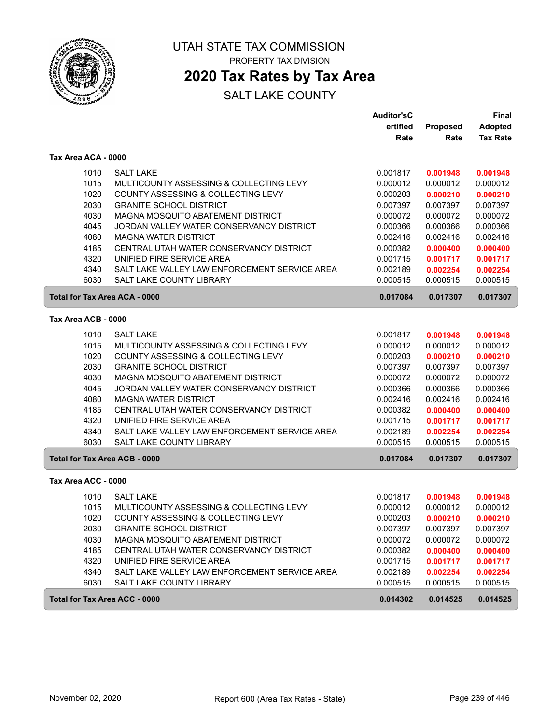

### **2020 Tax Rates by Tax Area**

|                                      |                                               | Auditor'sC |          | <b>Final</b>    |
|--------------------------------------|-----------------------------------------------|------------|----------|-----------------|
|                                      |                                               | ertified   | Proposed | <b>Adopted</b>  |
|                                      |                                               | Rate       | Rate     | <b>Tax Rate</b> |
| Tax Area ACA - 0000                  |                                               |            |          |                 |
| 1010                                 | <b>SALT LAKE</b>                              | 0.001817   | 0.001948 | 0.001948        |
| 1015                                 | MULTICOUNTY ASSESSING & COLLECTING LEVY       | 0.000012   | 0.000012 | 0.000012        |
| 1020                                 | COUNTY ASSESSING & COLLECTING LEVY            | 0.000203   | 0.000210 | 0.000210        |
| 2030                                 | <b>GRANITE SCHOOL DISTRICT</b>                | 0.007397   | 0.007397 | 0.007397        |
| 4030                                 | MAGNA MOSQUITO ABATEMENT DISTRICT             | 0.000072   | 0.000072 | 0.000072        |
| 4045                                 | JORDAN VALLEY WATER CONSERVANCY DISTRICT      | 0.000366   | 0.000366 | 0.000366        |
| 4080                                 | <b>MAGNA WATER DISTRICT</b>                   | 0.002416   | 0.002416 | 0.002416        |
| 4185                                 | CENTRAL UTAH WATER CONSERVANCY DISTRICT       | 0.000382   | 0.000400 | 0.000400        |
| 4320                                 | UNIFIED FIRE SERVICE AREA                     | 0.001715   | 0.001717 | 0.001717        |
| 4340                                 | SALT LAKE VALLEY LAW ENFORCEMENT SERVICE AREA | 0.002189   | 0.002254 | 0.002254        |
| 6030                                 | SALT LAKE COUNTY LIBRARY                      | 0.000515   | 0.000515 | 0.000515        |
| <b>Total for Tax Area ACA - 0000</b> |                                               | 0.017084   | 0.017307 | 0.017307        |
| Tax Area ACB - 0000                  |                                               |            |          |                 |
| 1010                                 | <b>SALT LAKE</b>                              | 0.001817   | 0.001948 | 0.001948        |
| 1015                                 | MULTICOUNTY ASSESSING & COLLECTING LEVY       | 0.000012   | 0.000012 | 0.000012        |
| 1020                                 | COUNTY ASSESSING & COLLECTING LEVY            | 0.000203   | 0.000210 | 0.000210        |
| 2030                                 | <b>GRANITE SCHOOL DISTRICT</b>                | 0.007397   | 0.007397 | 0.007397        |
| 4030                                 | MAGNA MOSQUITO ABATEMENT DISTRICT             | 0.000072   | 0.000072 | 0.000072        |
| 4045                                 | JORDAN VALLEY WATER CONSERVANCY DISTRICT      | 0.000366   | 0.000366 | 0.000366        |
| 4080                                 | <b>MAGNA WATER DISTRICT</b>                   | 0.002416   | 0.002416 | 0.002416        |
| 4185                                 | CENTRAL UTAH WATER CONSERVANCY DISTRICT       | 0.000382   | 0.000400 | 0.000400        |
| 4320                                 | UNIFIED FIRE SERVICE AREA                     | 0.001715   | 0.001717 | 0.001717        |
| 4340                                 | SALT LAKE VALLEY LAW ENFORCEMENT SERVICE AREA | 0.002189   | 0.002254 | 0.002254        |
| 6030                                 | SALT LAKE COUNTY LIBRARY                      | 0.000515   | 0.000515 | 0.000515        |
| <b>Total for Tax Area ACB - 0000</b> |                                               | 0.017084   | 0.017307 | 0.017307        |
| Tax Area ACC - 0000                  |                                               |            |          |                 |
| 1010                                 | <b>SALT LAKE</b>                              | 0.001817   | 0.001948 | 0.001948        |
| 1015                                 | MULTICOUNTY ASSESSING & COLLECTING LEVY       | 0.000012   | 0.000012 | 0.000012        |
| 1020                                 | COUNTY ASSESSING & COLLECTING LEVY            | 0.000203   | 0.000210 | 0.000210        |
| 2030                                 | <b>GRANITE SCHOOL DISTRICT</b>                | 0.007397   | 0.007397 | 0.007397        |
| 4030                                 | MAGNA MOSQUITO ABATEMENT DISTRICT             | 0.000072   | 0.000072 | 0.000072        |
| 4185                                 | CENTRAL UTAH WATER CONSERVANCY DISTRICT       | 0.000382   | 0.000400 | 0.000400        |
| 4320                                 | UNIFIED FIRE SERVICE AREA                     | 0.001715   | 0.001717 | 0.001717        |
| 4340                                 | SALT LAKE VALLEY LAW ENFORCEMENT SERVICE AREA | 0.002189   | 0.002254 | 0.002254        |
| 6030                                 | SALT LAKE COUNTY LIBRARY                      | 0.000515   | 0.000515 | 0.000515        |
| <b>Total for Tax Area ACC - 0000</b> |                                               | 0.014302   | 0.014525 | 0.014525        |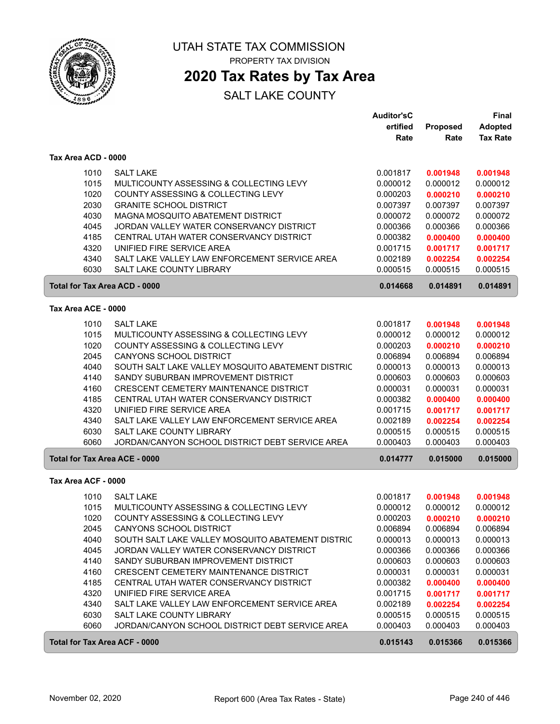

## **2020 Tax Rates by Tax Area**

|                     |                                                   | <b>Auditor'sC</b> |          | <b>Final</b>    |
|---------------------|---------------------------------------------------|-------------------|----------|-----------------|
|                     |                                                   | ertified          | Proposed | <b>Adopted</b>  |
|                     |                                                   | Rate              | Rate     | <b>Tax Rate</b> |
| Tax Area ACD - 0000 |                                                   |                   |          |                 |
|                     |                                                   |                   |          |                 |
| 1010                | <b>SALT LAKE</b>                                  | 0.001817          | 0.001948 | 0.001948        |
| 1015                | MULTICOUNTY ASSESSING & COLLECTING LEVY           | 0.000012          | 0.000012 | 0.000012        |
| 1020                | COUNTY ASSESSING & COLLECTING LEVY                | 0.000203          | 0.000210 | 0.000210        |
| 2030                | <b>GRANITE SCHOOL DISTRICT</b>                    | 0.007397          | 0.007397 | 0.007397        |
| 4030                | MAGNA MOSQUITO ABATEMENT DISTRICT                 | 0.000072          | 0.000072 | 0.000072        |
| 4045                | JORDAN VALLEY WATER CONSERVANCY DISTRICT          | 0.000366          | 0.000366 | 0.000366        |
| 4185                | CENTRAL UTAH WATER CONSERVANCY DISTRICT           | 0.000382          | 0.000400 | 0.000400        |
| 4320                | UNIFIED FIRE SERVICE AREA                         | 0.001715          | 0.001717 | 0.001717        |
| 4340                | SALT LAKE VALLEY LAW ENFORCEMENT SERVICE AREA     | 0.002189          | 0.002254 | 0.002254        |
| 6030                | <b>SALT LAKE COUNTY LIBRARY</b>                   | 0.000515          | 0.000515 | 0.000515        |
|                     | Total for Tax Area ACD - 0000                     | 0.014668          | 0.014891 | 0.014891        |
| Tax Area ACE - 0000 |                                                   |                   |          |                 |
| 1010                | <b>SALT LAKE</b>                                  | 0.001817          | 0.001948 | 0.001948        |
| 1015                | MULTICOUNTY ASSESSING & COLLECTING LEVY           | 0.000012          | 0.000012 | 0.000012        |
| 1020                | COUNTY ASSESSING & COLLECTING LEVY                | 0.000203          | 0.000210 | 0.000210        |
| 2045                | <b>CANYONS SCHOOL DISTRICT</b>                    | 0.006894          | 0.006894 | 0.006894        |
| 4040                | SOUTH SALT LAKE VALLEY MOSQUITO ABATEMENT DISTRIC | 0.000013          | 0.000013 | 0.000013        |
| 4140                | SANDY SUBURBAN IMPROVEMENT DISTRICT               | 0.000603          | 0.000603 | 0.000603        |
| 4160                | <b>CRESCENT CEMETERY MAINTENANCE DISTRICT</b>     | 0.000031          | 0.000031 | 0.000031        |
| 4185                | CENTRAL UTAH WATER CONSERVANCY DISTRICT           | 0.000382          | 0.000400 | 0.000400        |
| 4320                | UNIFIED FIRE SERVICE AREA                         | 0.001715          | 0.001717 | 0.001717        |
| 4340                | SALT LAKE VALLEY LAW ENFORCEMENT SERVICE AREA     | 0.002189          | 0.002254 | 0.002254        |
| 6030                | SALT LAKE COUNTY LIBRARY                          | 0.000515          | 0.000515 | 0.000515        |
| 6060                | JORDAN/CANYON SCHOOL DISTRICT DEBT SERVICE AREA   | 0.000403          | 0.000403 | 0.000403        |
|                     | <b>Total for Tax Area ACE - 0000</b>              | 0.014777          | 0.015000 | 0.015000        |
| Tax Area ACF - 0000 |                                                   |                   |          |                 |
| 1010                | <b>SALT LAKE</b>                                  | 0.001817          | 0.001948 | 0.001948        |
| 1015                | MULTICOUNTY ASSESSING & COLLECTING LEVY           | 0.000012          | 0.000012 | 0.000012        |
| 1020                | COUNTY ASSESSING & COLLECTING LEVY                | 0.000203          | 0.000210 | 0.000210        |
| 2045                | CANYONS SCHOOL DISTRICT                           | 0.006894          | 0.006894 | 0.006894        |
| 4040                | SOUTH SALT LAKE VALLEY MOSQUITO ABATEMENT DISTRIC | 0.000013          | 0.000013 | 0.000013        |
| 4045                | JORDAN VALLEY WATER CONSERVANCY DISTRICT          | 0.000366          | 0.000366 | 0.000366        |
| 4140                | SANDY SUBURBAN IMPROVEMENT DISTRICT               | 0.000603          | 0.000603 | 0.000603        |
| 4160                | CRESCENT CEMETERY MAINTENANCE DISTRICT            | 0.000031          | 0.000031 | 0.000031        |
| 4185                | CENTRAL UTAH WATER CONSERVANCY DISTRICT           | 0.000382          | 0.000400 | 0.000400        |
| 4320                | UNIFIED FIRE SERVICE AREA                         | 0.001715          | 0.001717 | 0.001717        |
| 4340                | SALT LAKE VALLEY LAW ENFORCEMENT SERVICE AREA     | 0.002189          | 0.002254 | 0.002254        |
| 6030                | SALT LAKE COUNTY LIBRARY                          | 0.000515          | 0.000515 | 0.000515        |
| 6060                | JORDAN/CANYON SCHOOL DISTRICT DEBT SERVICE AREA   | 0.000403          | 0.000403 | 0.000403        |
|                     | <b>Total for Tax Area ACF - 0000</b>              | 0.015143          | 0.015366 | 0.015366        |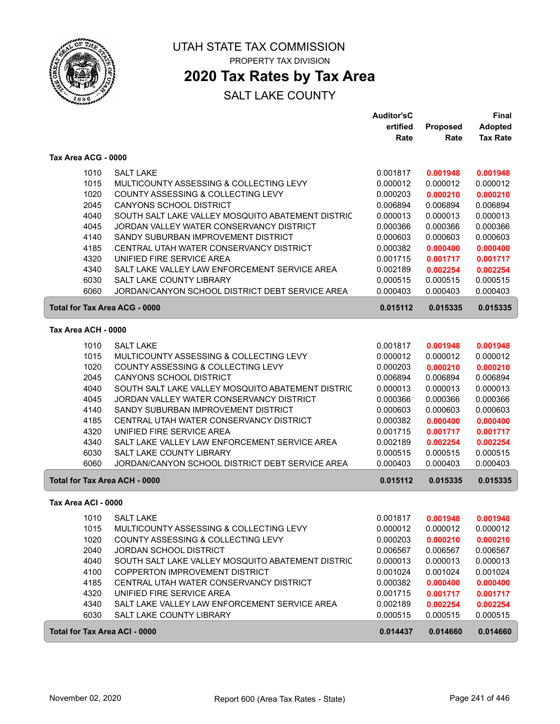

### **2020 Tax Rates by Tax Area**

|                                      |                                                             | <b>Auditor'sC</b>    |                      | <b>Final</b>         |
|--------------------------------------|-------------------------------------------------------------|----------------------|----------------------|----------------------|
|                                      |                                                             | ertified             | Proposed             | <b>Adopted</b>       |
|                                      |                                                             | Rate                 | Rate                 | <b>Tax Rate</b>      |
| Tax Area ACG - 0000                  |                                                             |                      |                      |                      |
| 1010                                 | <b>SALT LAKE</b>                                            | 0.001817             | 0.001948             | 0.001948             |
| 1015                                 | MULTICOUNTY ASSESSING & COLLECTING LEVY                     | 0.000012             | 0.000012             | 0.000012             |
| 1020                                 | COUNTY ASSESSING & COLLECTING LEVY                          | 0.000203             | 0.000210             | 0.000210             |
| 2045                                 | <b>CANYONS SCHOOL DISTRICT</b>                              | 0.006894             | 0.006894             | 0.006894             |
| 4040                                 | SOUTH SALT LAKE VALLEY MOSQUITO ABATEMENT DISTRIC           | 0.000013             | 0.000013             | 0.000013             |
| 4045                                 | JORDAN VALLEY WATER CONSERVANCY DISTRICT                    | 0.000366             | 0.000366             | 0.000366             |
| 4140                                 | SANDY SUBURBAN IMPROVEMENT DISTRICT                         | 0.000603             | 0.000603             | 0.000603             |
| 4185                                 | CENTRAL UTAH WATER CONSERVANCY DISTRICT                     | 0.000382             | 0.000400             | 0.000400             |
| 4320                                 | UNIFIED FIRE SERVICE AREA                                   | 0.001715             | 0.001717             | 0.001717             |
| 4340                                 | SALT LAKE VALLEY LAW ENFORCEMENT SERVICE AREA               | 0.002189             | 0.002254             | 0.002254             |
| 6030                                 | SALT LAKE COUNTY LIBRARY                                    | 0.000515             | 0.000515             | 0.000515             |
| 6060                                 | JORDAN/CANYON SCHOOL DISTRICT DEBT SERVICE AREA             | 0.000403             | 0.000403             | 0.000403             |
| <b>Total for Tax Area ACG - 0000</b> |                                                             | 0.015112             | 0.015335             | 0.015335             |
| Tax Area ACH - 0000                  |                                                             |                      |                      |                      |
|                                      |                                                             |                      |                      |                      |
| 1010                                 | <b>SALT LAKE</b><br>MULTICOUNTY ASSESSING & COLLECTING LEVY | 0.001817             | 0.001948             | 0.001948<br>0.000012 |
| 1015<br>1020                         | COUNTY ASSESSING & COLLECTING LEVY                          | 0.000012             | 0.000012             | 0.000210             |
| 2045                                 | CANYONS SCHOOL DISTRICT                                     | 0.000203<br>0.006894 | 0.000210<br>0.006894 | 0.006894             |
| 4040                                 | SOUTH SALT LAKE VALLEY MOSQUITO ABATEMENT DISTRIC           | 0.000013             | 0.000013             | 0.000013             |
| 4045                                 | JORDAN VALLEY WATER CONSERVANCY DISTRICT                    | 0.000366             | 0.000366             | 0.000366             |
| 4140                                 | SANDY SUBURBAN IMPROVEMENT DISTRICT                         | 0.000603             | 0.000603             | 0.000603             |
| 4185                                 | CENTRAL UTAH WATER CONSERVANCY DISTRICT                     | 0.000382             | 0.000400             | 0.000400             |
| 4320                                 | UNIFIED FIRE SERVICE AREA                                   | 0.001715             | 0.001717             | 0.001717             |
| 4340                                 | SALT LAKE VALLEY LAW ENFORCEMENT SERVICE AREA               | 0.002189             | 0.002254             | 0.002254             |
| 6030                                 | SALT LAKE COUNTY LIBRARY                                    | 0.000515             | 0.000515             | 0.000515             |
| 6060                                 | JORDAN/CANYON SCHOOL DISTRICT DEBT SERVICE AREA             | 0.000403             | 0.000403             | 0.000403             |
| Total for Tax Area ACH - 0000        |                                                             | 0.015112             | 0.015335             | 0.015335             |
|                                      |                                                             |                      |                      |                      |
| Tax Area ACI - 0000                  |                                                             |                      |                      |                      |
| 1010                                 | <b>SALT LAKE</b>                                            | 0.001817             | 0.001948             | 0.001948             |
| 1015                                 | MULTICOUNTY ASSESSING & COLLECTING LEVY                     | 0.000012             | 0.000012             | 0.000012             |
| 1020                                 | COUNTY ASSESSING & COLLECTING LEVY                          | 0.000203             | 0.000210             | 0.000210             |
| 2040                                 | <b>JORDAN SCHOOL DISTRICT</b>                               | 0.006567             | 0.006567             | 0.006567             |
| 4040                                 | SOUTH SALT LAKE VALLEY MOSQUITO ABATEMENT DISTRIC           | 0.000013             | 0.000013             | 0.000013             |
| 4100                                 | COPPERTON IMPROVEMENT DISTRICT                              | 0.001024             | 0.001024             | 0.001024             |
| 4185                                 | CENTRAL UTAH WATER CONSERVANCY DISTRICT                     | 0.000382             | 0.000400             | 0.000400             |
| 4320                                 | UNIFIED FIRE SERVICE AREA                                   | 0.001715             | 0.001717             | 0.001717             |
| 4340                                 | SALT LAKE VALLEY LAW ENFORCEMENT SERVICE AREA               | 0.002189             | 0.002254             | 0.002254             |
| 6030                                 | SALT LAKE COUNTY LIBRARY                                    | 0.000515             | 0.000515             | 0.000515             |
| <b>Total for Tax Area ACI - 0000</b> |                                                             | 0.014437             | 0.014660             | 0.014660             |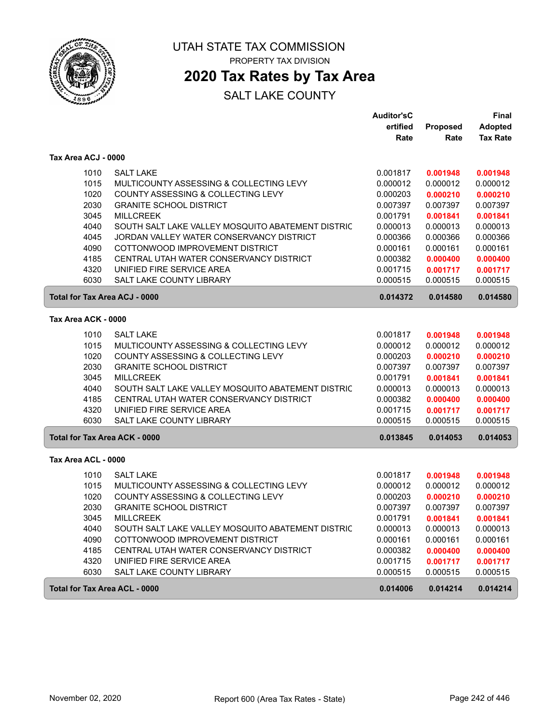

## **2020 Tax Rates by Tax Area**

|                               |                                                   | <b>Auditor'sC</b> |          | <b>Final</b>    |
|-------------------------------|---------------------------------------------------|-------------------|----------|-----------------|
|                               |                                                   | ertified          | Proposed | <b>Adopted</b>  |
|                               |                                                   | Rate              | Rate     | <b>Tax Rate</b> |
| Tax Area ACJ - 0000           |                                                   |                   |          |                 |
| 1010                          | <b>SALT LAKE</b>                                  | 0.001817          | 0.001948 | 0.001948        |
| 1015                          | MULTICOUNTY ASSESSING & COLLECTING LEVY           | 0.000012          | 0.000012 | 0.000012        |
| 1020                          | COUNTY ASSESSING & COLLECTING LEVY                | 0.000203          | 0.000210 | 0.000210        |
| 2030                          | <b>GRANITE SCHOOL DISTRICT</b>                    | 0.007397          | 0.007397 | 0.007397        |
| 3045                          | <b>MILLCREEK</b>                                  | 0.001791          | 0.001841 | 0.001841        |
| 4040                          | SOUTH SALT LAKE VALLEY MOSQUITO ABATEMENT DISTRIC | 0.000013          | 0.000013 | 0.000013        |
| 4045                          | JORDAN VALLEY WATER CONSERVANCY DISTRICT          | 0.000366          | 0.000366 | 0.000366        |
| 4090                          | COTTONWOOD IMPROVEMENT DISTRICT                   | 0.000161          | 0.000161 | 0.000161        |
| 4185                          | CENTRAL UTAH WATER CONSERVANCY DISTRICT           | 0.000382          | 0.000400 | 0.000400        |
| 4320                          | UNIFIED FIRE SERVICE AREA                         | 0.001715          | 0.001717 | 0.001717        |
| 6030                          | <b>SALT LAKE COUNTY LIBRARY</b>                   | 0.000515          | 0.000515 | 0.000515        |
| Total for Tax Area ACJ - 0000 |                                                   | 0.014372          | 0.014580 | 0.014580        |
| Tax Area ACK - 0000           |                                                   |                   |          |                 |
| 1010                          | <b>SALT LAKE</b>                                  | 0.001817          | 0.001948 | 0.001948        |
| 1015                          | MULTICOUNTY ASSESSING & COLLECTING LEVY           | 0.000012          | 0.000012 | 0.000012        |
| 1020                          | COUNTY ASSESSING & COLLECTING LEVY                | 0.000203          | 0.000210 | 0.000210        |
| 2030                          | <b>GRANITE SCHOOL DISTRICT</b>                    | 0.007397          | 0.007397 | 0.007397        |
| 3045                          | <b>MILLCREEK</b>                                  | 0.001791          | 0.001841 | 0.001841        |
| 4040                          | SOUTH SALT LAKE VALLEY MOSQUITO ABATEMENT DISTRIC | 0.000013          | 0.000013 | 0.000013        |
| 4185                          | CENTRAL UTAH WATER CONSERVANCY DISTRICT           | 0.000382          | 0.000400 | 0.000400        |
| 4320                          | UNIFIED FIRE SERVICE AREA                         | 0.001715          | 0.001717 | 0.001717        |
| 6030                          | <b>SALT LAKE COUNTY LIBRARY</b>                   | 0.000515          | 0.000515 | 0.000515        |
| Total for Tax Area ACK - 0000 |                                                   | 0.013845          | 0.014053 | 0.014053        |
| Tax Area ACL - 0000           |                                                   |                   |          |                 |
| 1010                          | <b>SALT LAKE</b>                                  | 0.001817          | 0.001948 | 0.001948        |
| 1015                          | MULTICOUNTY ASSESSING & COLLECTING LEVY           | 0.000012          | 0.000012 | 0.000012        |
| 1020                          | COUNTY ASSESSING & COLLECTING LEVY                | 0.000203          | 0.000210 | 0.000210        |
| 2030                          | <b>GRANITE SCHOOL DISTRICT</b>                    | 0.007397          | 0.007397 | 0.007397        |
| 3045                          | <b>MILLCREEK</b>                                  | 0.001791          | 0.001841 | 0.001841        |
| 4040                          | SOUTH SALT LAKE VALLEY MOSQUITO ABATEMENT DISTRIC | 0.000013          | 0.000013 | 0.000013        |
| 4090                          | COTTONWOOD IMPROVEMENT DISTRICT                   | 0.000161          | 0.000161 | 0.000161        |
| 4185                          | CENTRAL UTAH WATER CONSERVANCY DISTRICT           | 0.000382          | 0.000400 | 0.000400        |
| 4320                          | UNIFIED FIRE SERVICE AREA                         | 0.001715          | 0.001717 | 0.001717        |
| 6030                          | SALT LAKE COUNTY LIBRARY                          | 0.000515          | 0.000515 | 0.000515        |
| Total for Tax Area ACL - 0000 |                                                   | 0.014006          | 0.014214 | 0.014214        |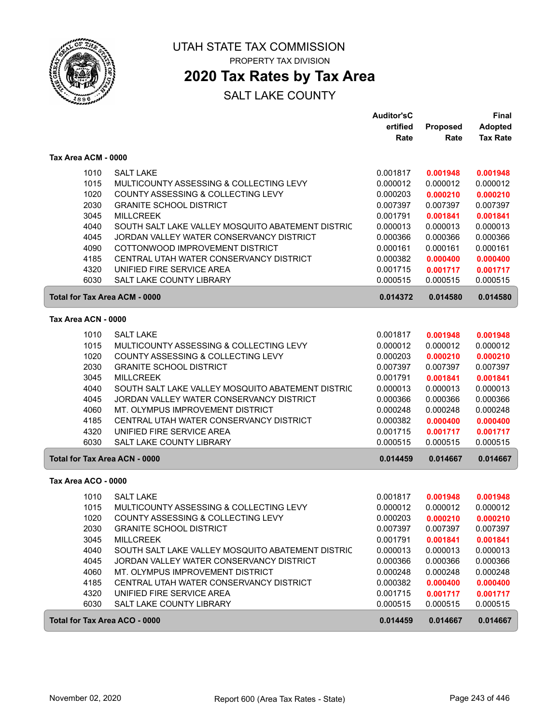

### **2020 Tax Rates by Tax Area**

|                     |                                                   | <b>Auditor'sC</b> |          | <b>Final</b>    |
|---------------------|---------------------------------------------------|-------------------|----------|-----------------|
|                     |                                                   | ertified          | Proposed | <b>Adopted</b>  |
|                     |                                                   | Rate              | Rate     | <b>Tax Rate</b> |
| Tax Area ACM - 0000 |                                                   |                   |          |                 |
| 1010                | <b>SALT LAKE</b>                                  | 0.001817          | 0.001948 | 0.001948        |
| 1015                | MULTICOUNTY ASSESSING & COLLECTING LEVY           | 0.000012          | 0.000012 | 0.000012        |
| 1020                | COUNTY ASSESSING & COLLECTING LEVY                | 0.000203          | 0.000210 | 0.000210        |
| 2030                | <b>GRANITE SCHOOL DISTRICT</b>                    | 0.007397          | 0.007397 | 0.007397        |
| 3045                | <b>MILLCREEK</b>                                  | 0.001791          | 0.001841 | 0.001841        |
| 4040                | SOUTH SALT LAKE VALLEY MOSQUITO ABATEMENT DISTRIC | 0.000013          | 0.000013 | 0.000013        |
| 4045                | JORDAN VALLEY WATER CONSERVANCY DISTRICT          | 0.000366          | 0.000366 | 0.000366        |
| 4090                | COTTONWOOD IMPROVEMENT DISTRICT                   | 0.000161          | 0.000161 | 0.000161        |
| 4185                | CENTRAL UTAH WATER CONSERVANCY DISTRICT           | 0.000382          | 0.000400 | 0.000400        |
| 4320                | UNIFIED FIRE SERVICE AREA                         | 0.001715          | 0.001717 | 0.001717        |
| 6030                | SALT LAKE COUNTY LIBRARY                          | 0.000515          | 0.000515 | 0.000515        |
|                     | <b>Total for Tax Area ACM - 0000</b>              | 0.014372          | 0.014580 | 0.014580        |
| Tax Area ACN - 0000 |                                                   |                   |          |                 |
| 1010                | <b>SALT LAKE</b>                                  | 0.001817          | 0.001948 | 0.001948        |
| 1015                | MULTICOUNTY ASSESSING & COLLECTING LEVY           | 0.000012          | 0.000012 | 0.000012        |
| 1020                | COUNTY ASSESSING & COLLECTING LEVY                | 0.000203          | 0.000210 | 0.000210        |
| 2030                | <b>GRANITE SCHOOL DISTRICT</b>                    | 0.007397          | 0.007397 | 0.007397        |
| 3045                | <b>MILLCREEK</b>                                  | 0.001791          | 0.001841 | 0.001841        |
| 4040                | SOUTH SALT LAKE VALLEY MOSQUITO ABATEMENT DISTRIC | 0.000013          | 0.000013 | 0.000013        |
| 4045                | JORDAN VALLEY WATER CONSERVANCY DISTRICT          | 0.000366          | 0.000366 | 0.000366        |
| 4060                | MT. OLYMPUS IMPROVEMENT DISTRICT                  | 0.000248          | 0.000248 | 0.000248        |
| 4185                | CENTRAL UTAH WATER CONSERVANCY DISTRICT           | 0.000382          | 0.000400 | 0.000400        |
| 4320                | UNIFIED FIRE SERVICE AREA                         | 0.001715          | 0.001717 | 0.001717        |
| 6030                | SALT LAKE COUNTY LIBRARY                          | 0.000515          | 0.000515 | 0.000515        |
|                     | <b>Total for Tax Area ACN - 0000</b>              | 0.014459          | 0.014667 | 0.014667        |
| Tax Area ACO - 0000 |                                                   |                   |          |                 |
| 1010                | <b>SALT LAKE</b>                                  | 0.001817          | 0.001948 | 0.001948        |
| 1015                | MULTICOUNTY ASSESSING & COLLECTING LEVY           | 0.000012          | 0.000012 | 0.000012        |
| 1020                | COUNTY ASSESSING & COLLECTING LEVY                | 0.000203          | 0.000210 | 0.000210        |
| 2030                | <b>GRANITE SCHOOL DISTRICT</b>                    | 0.007397          | 0.007397 | 0.007397        |
| 3045                | <b>MILLCREEK</b>                                  | 0.001791          | 0.001841 | 0.001841        |
| 4040                | SOUTH SALT LAKE VALLEY MOSQUITO ABATEMENT DISTRIC | 0.000013          | 0.000013 | 0.000013        |
| 4045                | JORDAN VALLEY WATER CONSERVANCY DISTRICT          | 0.000366          | 0.000366 | 0.000366        |
| 4060                | MT. OLYMPUS IMPROVEMENT DISTRICT                  | 0.000248          | 0.000248 | 0.000248        |
| 4185                | CENTRAL UTAH WATER CONSERVANCY DISTRICT           | 0.000382          | 0.000400 | 0.000400        |
| 4320                | UNIFIED FIRE SERVICE AREA                         | 0.001715          | 0.001717 | 0.001717        |
| 6030                | SALT LAKE COUNTY LIBRARY                          | 0.000515          | 0.000515 | 0.000515        |
|                     | Total for Tax Area ACO - 0000                     | 0.014459          | 0.014667 | 0.014667        |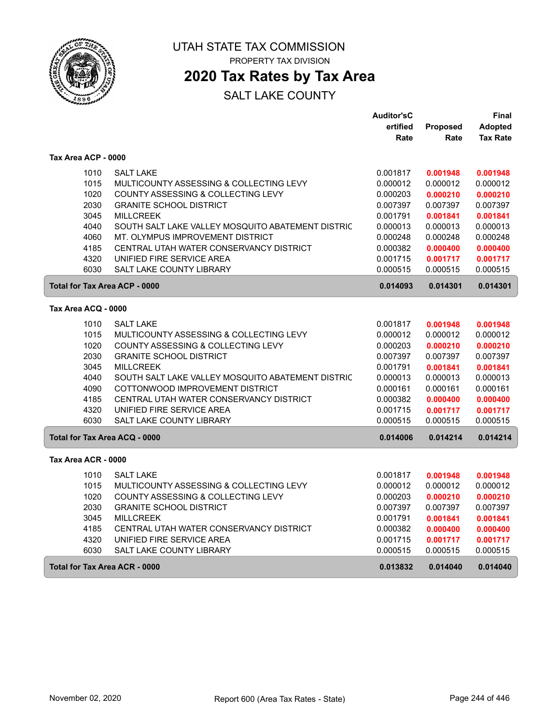

## **2020 Tax Rates by Tax Area**

|                                      |                                                   | <b>Auditor'sC</b> |                 | Final           |
|--------------------------------------|---------------------------------------------------|-------------------|-----------------|-----------------|
|                                      |                                                   | ertified          | <b>Proposed</b> | <b>Adopted</b>  |
|                                      |                                                   | Rate              | Rate            | <b>Tax Rate</b> |
| Tax Area ACP - 0000                  |                                                   |                   |                 |                 |
| 1010                                 | <b>SALT LAKE</b>                                  | 0.001817          | 0.001948        | 0.001948        |
| 1015                                 | MULTICOUNTY ASSESSING & COLLECTING LEVY           | 0.000012          | 0.000012        | 0.000012        |
| 1020                                 | COUNTY ASSESSING & COLLECTING LEVY                | 0.000203          | 0.000210        | 0.000210        |
| 2030                                 | <b>GRANITE SCHOOL DISTRICT</b>                    | 0.007397          | 0.007397        | 0.007397        |
| 3045                                 | <b>MILLCREEK</b>                                  | 0.001791          | 0.001841        | 0.001841        |
| 4040                                 | SOUTH SALT LAKE VALLEY MOSQUITO ABATEMENT DISTRIC | 0.000013          | 0.000013        | 0.000013        |
| 4060                                 | MT. OLYMPUS IMPROVEMENT DISTRICT                  | 0.000248          | 0.000248        | 0.000248        |
| 4185                                 | CENTRAL UTAH WATER CONSERVANCY DISTRICT           | 0.000382          | 0.000400        | 0.000400        |
| 4320                                 | UNIFIED FIRE SERVICE AREA                         | 0.001715          | 0.001717        | 0.001717        |
| 6030                                 | SALT LAKE COUNTY LIBRARY                          | 0.000515          | 0.000515        | 0.000515        |
| <b>Total for Tax Area ACP - 0000</b> |                                                   | 0.014093          | 0.014301        | 0.014301        |
| Tax Area ACQ - 0000                  |                                                   |                   |                 |                 |
| 1010                                 | <b>SALT LAKE</b>                                  | 0.001817          | 0.001948        | 0.001948        |
| 1015                                 | MULTICOUNTY ASSESSING & COLLECTING LEVY           | 0.000012          | 0.000012        | 0.000012        |
| 1020                                 | COUNTY ASSESSING & COLLECTING LEVY                | 0.000203          | 0.000210        | 0.000210        |
| 2030                                 | <b>GRANITE SCHOOL DISTRICT</b>                    | 0.007397          | 0.007397        | 0.007397        |
| 3045                                 | <b>MILLCREEK</b>                                  | 0.001791          | 0.001841        | 0.001841        |
| 4040                                 | SOUTH SALT LAKE VALLEY MOSQUITO ABATEMENT DISTRIC | 0.000013          | 0.000013        | 0.000013        |
| 4090                                 | COTTONWOOD IMPROVEMENT DISTRICT                   | 0.000161          | 0.000161        | 0.000161        |
| 4185                                 | CENTRAL UTAH WATER CONSERVANCY DISTRICT           | 0.000382          | 0.000400        | 0.000400        |
| 4320                                 | UNIFIED FIRE SERVICE AREA                         | 0.001715          | 0.001717        | 0.001717        |
| 6030                                 | <b>SALT LAKE COUNTY LIBRARY</b>                   | 0.000515          | 0.000515        | 0.000515        |
| Total for Tax Area ACQ - 0000        |                                                   | 0.014006          | 0.014214        | 0.014214        |
| Tax Area ACR - 0000                  |                                                   |                   |                 |                 |
| 1010                                 | <b>SALT LAKE</b>                                  | 0.001817          | 0.001948        | 0.001948        |
| 1015                                 | MULTICOUNTY ASSESSING & COLLECTING LEVY           | 0.000012          | 0.000012        | 0.000012        |
| 1020                                 | COUNTY ASSESSING & COLLECTING LEVY                | 0.000203          | 0.000210        | 0.000210        |
| 2030                                 | <b>GRANITE SCHOOL DISTRICT</b>                    | 0.007397          | 0.007397        | 0.007397        |
| 3045                                 | <b>MILLCREEK</b>                                  | 0.001791          | 0.001841        | 0.001841        |
| 4185                                 | CENTRAL UTAH WATER CONSERVANCY DISTRICT           | 0.000382          | 0.000400        | 0.000400        |
| 4320                                 | UNIFIED FIRE SERVICE AREA                         | 0.001715          | 0.001717        | 0.001717        |
| 6030                                 | <b>SALT LAKE COUNTY LIBRARY</b>                   | 0.000515          | 0.000515        | 0.000515        |
| Total for Tax Area ACR - 0000        |                                                   | 0.013832          | 0.014040        | 0.014040        |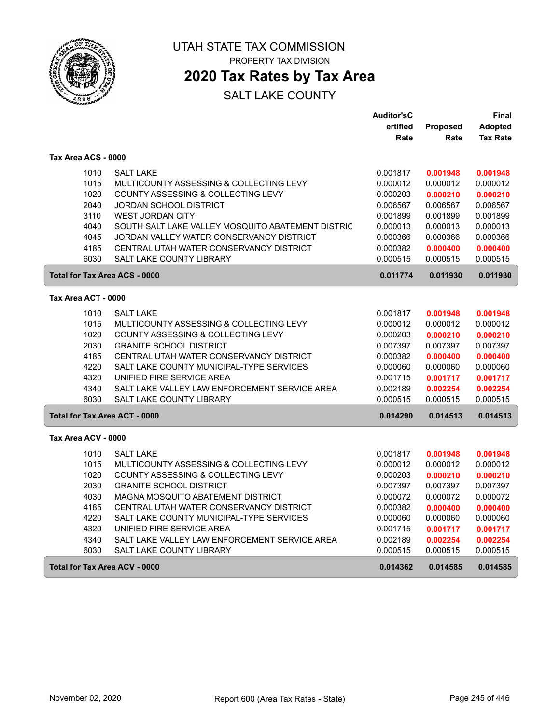

 $\sqrt{2}$ 

ſ

UTAH STATE TAX COMMISSION PROPERTY TAX DIVISION

**2020 Tax Rates by Tax Area**

|                                      |                                                   | <b>Auditor'sC</b> |          | Final           |
|--------------------------------------|---------------------------------------------------|-------------------|----------|-----------------|
|                                      |                                                   | ertified          | Proposed | <b>Adopted</b>  |
|                                      |                                                   | Rate              | Rate     | <b>Tax Rate</b> |
| Tax Area ACS - 0000                  |                                                   |                   |          |                 |
| 1010                                 | <b>SALT LAKE</b>                                  | 0.001817          | 0.001948 | 0.001948        |
| 1015                                 | MULTICOUNTY ASSESSING & COLLECTING LEVY           | 0.000012          | 0.000012 | 0.000012        |
| 1020                                 | COUNTY ASSESSING & COLLECTING LEVY                | 0.000203          | 0.000210 | 0.000210        |
| 2040                                 | <b>JORDAN SCHOOL DISTRICT</b>                     | 0.006567          | 0.006567 | 0.006567        |
| 3110                                 | <b>WEST JORDAN CITY</b>                           | 0.001899          | 0.001899 | 0.001899        |
| 4040                                 | SOUTH SALT LAKE VALLEY MOSQUITO ABATEMENT DISTRIC | 0.000013          | 0.000013 | 0.000013        |
| 4045                                 | JORDAN VALLEY WATER CONSERVANCY DISTRICT          | 0.000366          | 0.000366 | 0.000366        |
| 4185                                 | CENTRAL UTAH WATER CONSERVANCY DISTRICT           | 0.000382          | 0.000400 | 0.000400        |
| 6030                                 | <b>SALT LAKE COUNTY LIBRARY</b>                   | 0.000515          | 0.000515 | 0.000515        |
| <b>Total for Tax Area ACS - 0000</b> |                                                   | 0.011774          | 0.011930 | 0.011930        |
| Tax Area ACT - 0000                  |                                                   |                   |          |                 |
| 1010                                 | <b>SALT LAKE</b>                                  | 0.001817          | 0.001948 | 0.001948        |
| 1015                                 | MULTICOUNTY ASSESSING & COLLECTING LEVY           | 0.000012          | 0.000012 | 0.000012        |
| 1020                                 | COUNTY ASSESSING & COLLECTING LEVY                | 0.000203          | 0.000210 | 0.000210        |
| 2030                                 | <b>GRANITE SCHOOL DISTRICT</b>                    | 0.007397          | 0.007397 | 0.007397        |
| 4185                                 | CENTRAL UTAH WATER CONSERVANCY DISTRICT           | 0.000382          | 0.000400 | 0.000400        |
| 4220                                 | SALT LAKE COUNTY MUNICIPAL-TYPE SERVICES          | 0.000060          | 0.000060 | 0.000060        |
| 4320                                 | UNIFIED FIRE SERVICE AREA                         | 0.001715          | 0.001717 | 0.001717        |
| 4340                                 | SALT LAKE VALLEY LAW ENFORCEMENT SERVICE AREA     | 0.002189          | 0.002254 | 0.002254        |
| 6030                                 | <b>SALT LAKE COUNTY LIBRARY</b>                   | 0.000515          | 0.000515 | 0.000515        |
| Total for Tax Area ACT - 0000        |                                                   | 0.014290          | 0.014513 | 0.014513        |
| Tax Area ACV - 0000                  |                                                   |                   |          |                 |
| 1010                                 | <b>SALT LAKE</b>                                  | 0.001817          | 0.001948 | 0.001948        |
| 1015                                 | MULTICOUNTY ASSESSING & COLLECTING LEVY           | 0.000012          | 0.000012 | 0.000012        |
| 1020                                 | COUNTY ASSESSING & COLLECTING LEVY                | 0.000203          | 0.000210 | 0.000210        |
| 2030                                 | <b>GRANITE SCHOOL DISTRICT</b>                    | 0.007397          | 0.007397 | 0.007397        |
| 4030                                 | MAGNA MOSQUITO ABATEMENT DISTRICT                 | 0.000072          | 0.000072 | 0.000072        |
| 4185                                 | CENTRAL UTAH WATER CONSERVANCY DISTRICT           | 0.000382          | 0.000400 | 0.000400        |
| 4220                                 | SALT LAKE COUNTY MUNICIPAL-TYPE SERVICES          | 0.000060          | 0.000060 | 0.000060        |
| 4320                                 | UNIFIED FIRE SERVICE AREA                         | 0.001715          | 0.001717 | 0.001717        |
| 4340                                 | SALT LAKE VALLEY LAW ENFORCEMENT SERVICE AREA     | 0.002189          | 0.002254 | 0.002254        |
| 6030                                 | <b>SALT LAKE COUNTY LIBRARY</b>                   | 0.000515          | 0.000515 | 0.000515        |
| Total for Tax Area ACV - 0000        |                                                   | 0.014362          | 0.014585 | 0.014585        |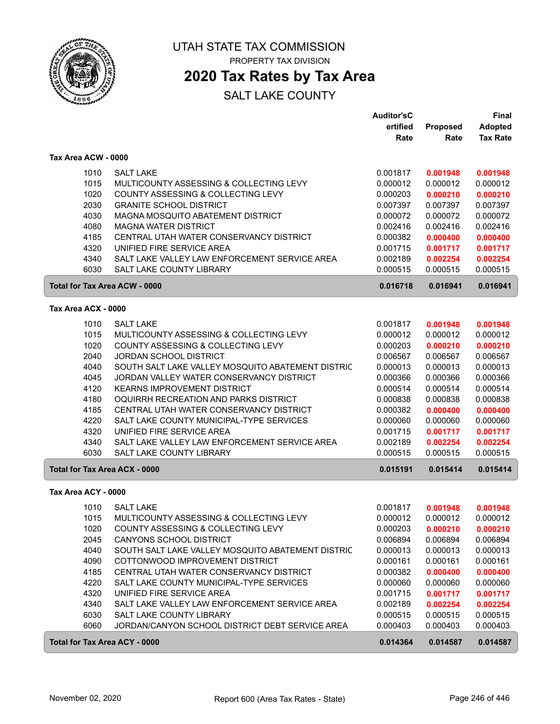

## **2020 Tax Rates by Tax Area**

|                     |                                                   | <b>Auditor'sC</b> |          | Final           |
|---------------------|---------------------------------------------------|-------------------|----------|-----------------|
|                     |                                                   | ertified          | Proposed | <b>Adopted</b>  |
|                     |                                                   | Rate              | Rate     | <b>Tax Rate</b> |
| Tax Area ACW - 0000 |                                                   |                   |          |                 |
| 1010                | <b>SALT LAKE</b>                                  | 0.001817          |          |                 |
|                     |                                                   |                   | 0.001948 | 0.001948        |
| 1015                | MULTICOUNTY ASSESSING & COLLECTING LEVY           | 0.000012          | 0.000012 | 0.000012        |
| 1020                | COUNTY ASSESSING & COLLECTING LEVY                | 0.000203          | 0.000210 | 0.000210        |
| 2030                | <b>GRANITE SCHOOL DISTRICT</b>                    | 0.007397          | 0.007397 | 0.007397        |
| 4030                | MAGNA MOSQUITO ABATEMENT DISTRICT                 | 0.000072          | 0.000072 | 0.000072        |
| 4080                | <b>MAGNA WATER DISTRICT</b>                       | 0.002416          | 0.002416 | 0.002416        |
| 4185                | CENTRAL UTAH WATER CONSERVANCY DISTRICT           | 0.000382          | 0.000400 | 0.000400        |
| 4320                | UNIFIED FIRE SERVICE AREA                         | 0.001715          | 0.001717 | 0.001717        |
| 4340                | SALT LAKE VALLEY LAW ENFORCEMENT SERVICE AREA     | 0.002189          | 0.002254 | 0.002254        |
| 6030                | SALT LAKE COUNTY LIBRARY                          | 0.000515          | 0.000515 | 0.000515        |
|                     | Total for Tax Area ACW - 0000                     | 0.016718          | 0.016941 | 0.016941        |
| Tax Area ACX - 0000 |                                                   |                   |          |                 |
| 1010                | <b>SALT LAKE</b>                                  | 0.001817          | 0.001948 | 0.001948        |
| 1015                | MULTICOUNTY ASSESSING & COLLECTING LEVY           | 0.000012          | 0.000012 | 0.000012        |
| 1020                | COUNTY ASSESSING & COLLECTING LEVY                | 0.000203          | 0.000210 | 0.000210        |
| 2040                | <b>JORDAN SCHOOL DISTRICT</b>                     | 0.006567          | 0.006567 | 0.006567        |
| 4040                | SOUTH SALT LAKE VALLEY MOSQUITO ABATEMENT DISTRIC | 0.000013          | 0.000013 | 0.000013        |
| 4045                | JORDAN VALLEY WATER CONSERVANCY DISTRICT          | 0.000366          | 0.000366 | 0.000366        |
| 4120                | <b>KEARNS IMPROVEMENT DISTRICT</b>                | 0.000514          | 0.000514 | 0.000514        |
| 4180                | OQUIRRH RECREATION AND PARKS DISTRICT             | 0.000838          | 0.000838 | 0.000838        |
| 4185                | CENTRAL UTAH WATER CONSERVANCY DISTRICT           | 0.000382          | 0.000400 | 0.000400        |
| 4220                | SALT LAKE COUNTY MUNICIPAL-TYPE SERVICES          | 0.000060          | 0.000060 | 0.000060        |
| 4320                | UNIFIED FIRE SERVICE AREA                         | 0.001715          | 0.001717 | 0.001717        |
| 4340                | SALT LAKE VALLEY LAW ENFORCEMENT SERVICE AREA     | 0.002189          | 0.002254 | 0.002254        |
| 6030                | SALT LAKE COUNTY LIBRARY                          | 0.000515          | 0.000515 | 0.000515        |
|                     | <b>Total for Tax Area ACX - 0000</b>              | 0.015191          | 0.015414 | 0.015414        |
|                     |                                                   |                   |          |                 |
| Tax Area ACY - 0000 |                                                   |                   |          |                 |
| 1010                | <b>SALT LAKE</b>                                  | 0.001817          | 0.001948 | 0.001948        |
| 1015                | MULTICOUNTY ASSESSING & COLLECTING LEVY           | 0.000012          | 0.000012 | 0.000012        |
| 1020                | COUNTY ASSESSING & COLLECTING LEVY                | 0.000203          | 0.000210 | 0.000210        |
| 2045                | <b>CANYONS SCHOOL DISTRICT</b>                    | 0.006894          | 0.006894 | 0.006894        |
| 4040                | SOUTH SALT LAKE VALLEY MOSQUITO ABATEMENT DISTRIC | 0.000013          | 0.000013 | 0.000013        |
| 4090                | COTTONWOOD IMPROVEMENT DISTRICT                   | 0.000161          | 0.000161 | 0.000161        |
| 4185                | CENTRAL UTAH WATER CONSERVANCY DISTRICT           | 0.000382          | 0.000400 | 0.000400        |
| 4220                | SALT LAKE COUNTY MUNICIPAL-TYPE SERVICES          | 0.000060          | 0.000060 | 0.000060        |
| 4320                | UNIFIED FIRE SERVICE AREA                         | 0.001715          | 0.001717 | 0.001717        |
| 4340                | SALT LAKE VALLEY LAW ENFORCEMENT SERVICE AREA     | 0.002189          | 0.002254 | 0.002254        |
| 6030                | SALT LAKE COUNTY LIBRARY                          | 0.000515          | 0.000515 | 0.000515        |
| 6060                | JORDAN/CANYON SCHOOL DISTRICT DEBT SERVICE AREA   | 0.000403          | 0.000403 | 0.000403        |
|                     | <b>Total for Tax Area ACY - 0000</b>              | 0.014364          | 0.014587 | 0.014587        |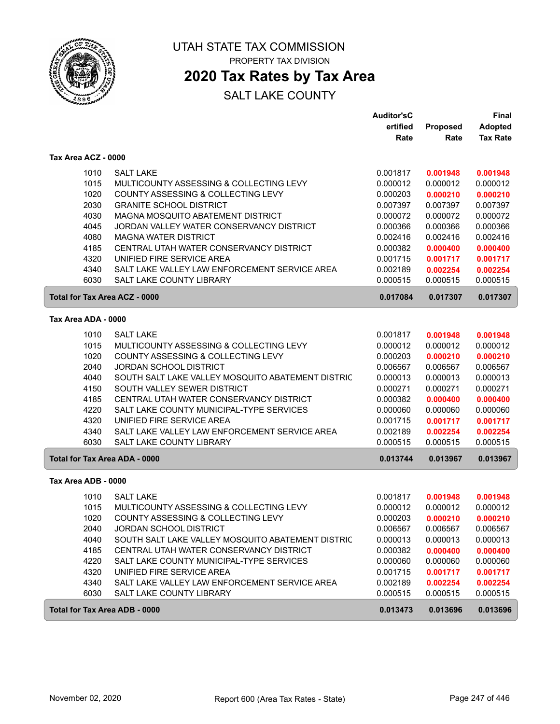

## **2020 Tax Rates by Tax Area**

|                                      |                                                   | <b>Auditor'sC</b> |          | Final           |
|--------------------------------------|---------------------------------------------------|-------------------|----------|-----------------|
|                                      |                                                   | ertified          | Proposed | <b>Adopted</b>  |
|                                      |                                                   | Rate              | Rate     | <b>Tax Rate</b> |
| Tax Area ACZ - 0000                  |                                                   |                   |          |                 |
| 1010                                 | <b>SALT LAKE</b>                                  | 0.001817          | 0.001948 | 0.001948        |
| 1015                                 | MULTICOUNTY ASSESSING & COLLECTING LEVY           | 0.000012          | 0.000012 | 0.000012        |
| 1020                                 | COUNTY ASSESSING & COLLECTING LEVY                | 0.000203          | 0.000210 | 0.000210        |
| 2030                                 | <b>GRANITE SCHOOL DISTRICT</b>                    | 0.007397          | 0.007397 | 0.007397        |
| 4030                                 | MAGNA MOSQUITO ABATEMENT DISTRICT                 | 0.000072          | 0.000072 | 0.000072        |
| 4045                                 | JORDAN VALLEY WATER CONSERVANCY DISTRICT          | 0.000366          | 0.000366 | 0.000366        |
| 4080                                 | <b>MAGNA WATER DISTRICT</b>                       | 0.002416          | 0.002416 | 0.002416        |
| 4185                                 | CENTRAL UTAH WATER CONSERVANCY DISTRICT           | 0.000382          | 0.000400 | 0.000400        |
| 4320                                 | UNIFIED FIRE SERVICE AREA                         | 0.001715          | 0.001717 | 0.001717        |
| 4340                                 | SALT LAKE VALLEY LAW ENFORCEMENT SERVICE AREA     | 0.002189          | 0.002254 | 0.002254        |
| 6030                                 | SALT LAKE COUNTY LIBRARY                          | 0.000515          | 0.000515 | 0.000515        |
| Total for Tax Area ACZ - 0000        |                                                   | 0.017084          | 0.017307 | 0.017307        |
| Tax Area ADA - 0000                  |                                                   |                   |          |                 |
|                                      |                                                   |                   |          |                 |
| 1010                                 | <b>SALT LAKE</b>                                  | 0.001817          | 0.001948 | 0.001948        |
| 1015                                 | MULTICOUNTY ASSESSING & COLLECTING LEVY           | 0.000012          | 0.000012 | 0.000012        |
| 1020                                 | COUNTY ASSESSING & COLLECTING LEVY                | 0.000203          | 0.000210 | 0.000210        |
| 2040                                 | JORDAN SCHOOL DISTRICT                            | 0.006567          | 0.006567 | 0.006567        |
| 4040                                 | SOUTH SALT LAKE VALLEY MOSQUITO ABATEMENT DISTRIC | 0.000013          | 0.000013 | 0.000013        |
| 4150                                 | SOUTH VALLEY SEWER DISTRICT                       | 0.000271          | 0.000271 | 0.000271        |
| 4185                                 | CENTRAL UTAH WATER CONSERVANCY DISTRICT           | 0.000382          | 0.000400 | 0.000400        |
| 4220                                 | SALT LAKE COUNTY MUNICIPAL-TYPE SERVICES          | 0.000060          | 0.000060 | 0.000060        |
| 4320                                 | UNIFIED FIRE SERVICE AREA                         | 0.001715          | 0.001717 | 0.001717        |
| 4340                                 | SALT LAKE VALLEY LAW ENFORCEMENT SERVICE AREA     | 0.002189          | 0.002254 | 0.002254        |
| 6030                                 | SALT LAKE COUNTY LIBRARY                          | 0.000515          | 0.000515 | 0.000515        |
| Total for Tax Area ADA - 0000        |                                                   | 0.013744          | 0.013967 | 0.013967        |
| Tax Area ADB - 0000                  |                                                   |                   |          |                 |
| 1010                                 | <b>SALT LAKE</b>                                  | 0.001817          | 0.001948 | 0.001948        |
| 1015                                 | MULTICOUNTY ASSESSING & COLLECTING LEVY           | 0.000012          | 0.000012 | 0.000012        |
| 1020                                 | COUNTY ASSESSING & COLLECTING LEVY                | 0.000203          | 0.000210 | 0.000210        |
| 2040                                 | <b>JORDAN SCHOOL DISTRICT</b>                     | 0.006567          | 0.006567 | 0.006567        |
| 4040                                 | SOUTH SALT LAKE VALLEY MOSQUITO ABATEMENT DISTRIC | 0.000013          | 0.000013 | 0.000013        |
| 4185                                 | CENTRAL UTAH WATER CONSERVANCY DISTRICT           | 0.000382          | 0.000400 | 0.000400        |
| 4220                                 | SALT LAKE COUNTY MUNICIPAL-TYPE SERVICES          | 0.000060          | 0.000060 | 0.000060        |
| 4320                                 | UNIFIED FIRE SERVICE AREA                         | 0.001715          | 0.001717 | 0.001717        |
| 4340                                 | SALT LAKE VALLEY LAW ENFORCEMENT SERVICE AREA     | 0.002189          | 0.002254 | 0.002254        |
| 6030                                 | SALT LAKE COUNTY LIBRARY                          | 0.000515          | 0.000515 | 0.000515        |
| <b>Total for Tax Area ADB - 0000</b> |                                                   | 0.013473          | 0.013696 | 0.013696        |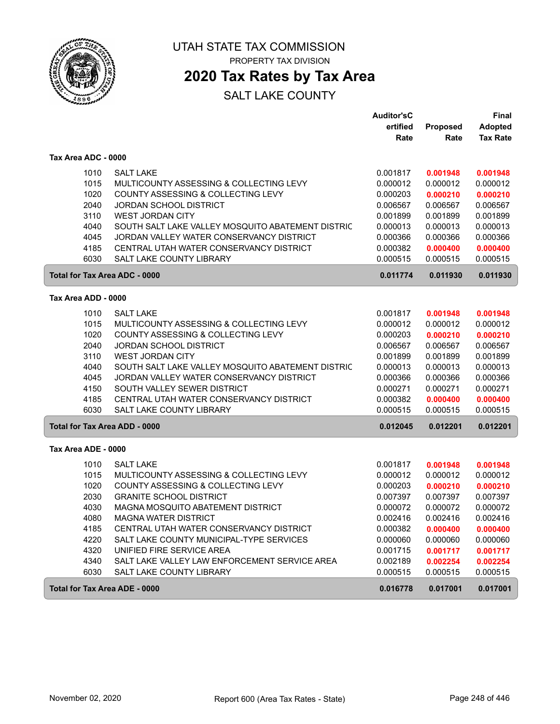

ſ

UTAH STATE TAX COMMISSION PROPERTY TAX DIVISION

### **2020 Tax Rates by Tax Area**

|                                      |                                                   | <b>Auditor'sC</b> |          | Final           |
|--------------------------------------|---------------------------------------------------|-------------------|----------|-----------------|
|                                      |                                                   | ertified          | Proposed | <b>Adopted</b>  |
|                                      |                                                   | Rate              | Rate     | <b>Tax Rate</b> |
| Tax Area ADC - 0000                  |                                                   |                   |          |                 |
| 1010                                 | <b>SALT LAKE</b>                                  | 0.001817          | 0.001948 | 0.001948        |
| 1015                                 | MULTICOUNTY ASSESSING & COLLECTING LEVY           | 0.000012          | 0.000012 | 0.000012        |
| 1020                                 | COUNTY ASSESSING & COLLECTING LEVY                | 0.000203          | 0.000210 | 0.000210        |
| 2040                                 | <b>JORDAN SCHOOL DISTRICT</b>                     | 0.006567          | 0.006567 | 0.006567        |
| 3110                                 | <b>WEST JORDAN CITY</b>                           | 0.001899          | 0.001899 | 0.001899        |
| 4040                                 | SOUTH SALT LAKE VALLEY MOSQUITO ABATEMENT DISTRIC | 0.000013          | 0.000013 | 0.000013        |
| 4045                                 | JORDAN VALLEY WATER CONSERVANCY DISTRICT          | 0.000366          | 0.000366 | 0.000366        |
| 4185                                 | CENTRAL UTAH WATER CONSERVANCY DISTRICT           | 0.000382          | 0.000400 | 0.000400        |
| 6030                                 | <b>SALT LAKE COUNTY LIBRARY</b>                   | 0.000515          | 0.000515 | 0.000515        |
| <b>Total for Tax Area ADC - 0000</b> |                                                   | 0.011774          | 0.011930 | 0.011930        |
| Tax Area ADD - 0000                  |                                                   |                   |          |                 |
| 1010                                 | <b>SALT LAKE</b>                                  | 0.001817          | 0.001948 | 0.001948        |
| 1015                                 | MULTICOUNTY ASSESSING & COLLECTING LEVY           | 0.000012          | 0.000012 | 0.000012        |
| 1020                                 | COUNTY ASSESSING & COLLECTING LEVY                | 0.000203          | 0.000210 | 0.000210        |
| 2040                                 | JORDAN SCHOOL DISTRICT                            | 0.006567          | 0.006567 | 0.006567        |
| 3110                                 | <b>WEST JORDAN CITY</b>                           | 0.001899          | 0.001899 | 0.001899        |
| 4040                                 | SOUTH SALT LAKE VALLEY MOSQUITO ABATEMENT DISTRIC | 0.000013          | 0.000013 | 0.000013        |
| 4045                                 | JORDAN VALLEY WATER CONSERVANCY DISTRICT          | 0.000366          | 0.000366 | 0.000366        |
| 4150                                 | SOUTH VALLEY SEWER DISTRICT                       | 0.000271          | 0.000271 | 0.000271        |
| 4185                                 | CENTRAL UTAH WATER CONSERVANCY DISTRICT           | 0.000382          | 0.000400 | 0.000400        |
| 6030                                 | <b>SALT LAKE COUNTY LIBRARY</b>                   | 0.000515          | 0.000515 | 0.000515        |
| <b>Total for Tax Area ADD - 0000</b> |                                                   | 0.012045          | 0.012201 | 0.012201        |
| Tax Area ADE - 0000                  |                                                   |                   |          |                 |
| 1010                                 | <b>SALT LAKE</b>                                  | 0.001817          | 0.001948 | 0.001948        |
| 1015                                 | MULTICOUNTY ASSESSING & COLLECTING LEVY           | 0.000012          | 0.000012 | 0.000012        |
| 1020                                 | COUNTY ASSESSING & COLLECTING LEVY                | 0.000203          | 0.000210 | 0.000210        |
| 2030                                 | <b>GRANITE SCHOOL DISTRICT</b>                    | 0.007397          | 0.007397 | 0.007397        |
| 4030                                 | MAGNA MOSQUITO ABATEMENT DISTRICT                 | 0.000072          | 0.000072 | 0.000072        |
| 4080                                 | <b>MAGNA WATER DISTRICT</b>                       | 0.002416          | 0.002416 | 0.002416        |
| 4185                                 | CENTRAL UTAH WATER CONSERVANCY DISTRICT           | 0.000382          | 0.000400 | 0.000400        |
| 4220                                 | SALT LAKE COUNTY MUNICIPAL-TYPE SERVICES          | 0.000060          | 0.000060 | 0.000060        |
| 4320                                 | UNIFIED FIRE SERVICE AREA                         | 0.001715          | 0.001717 | 0.001717        |
| 4340                                 | SALT LAKE VALLEY LAW ENFORCEMENT SERVICE AREA     | 0.002189          | 0.002254 | 0.002254        |
| 6030                                 | SALT LAKE COUNTY LIBRARY                          | 0.000515          | 0.000515 | 0.000515        |
| Total for Tax Area ADE - 0000        |                                                   | 0.016778          | 0.017001 | 0.017001        |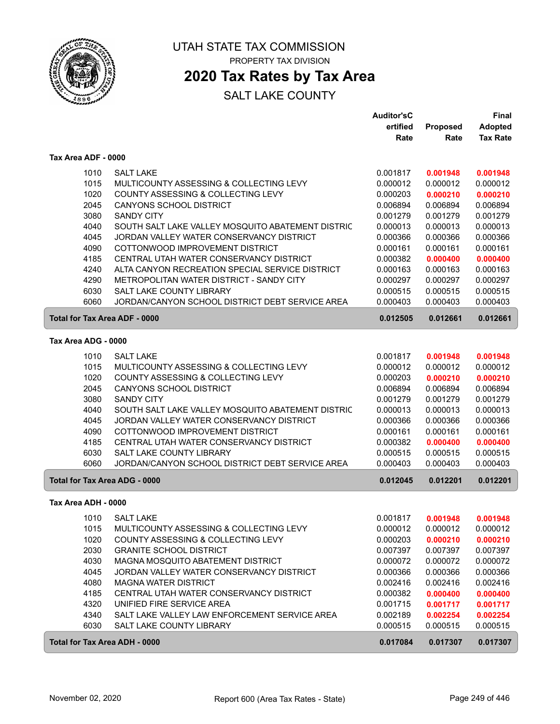

### **2020 Tax Rates by Tax Area**

|                                      |                                                   | <b>Auditor'sC</b> |                 | Final           |
|--------------------------------------|---------------------------------------------------|-------------------|-----------------|-----------------|
|                                      |                                                   | ertified          | <b>Proposed</b> | <b>Adopted</b>  |
|                                      |                                                   | Rate              | Rate            | <b>Tax Rate</b> |
| Tax Area ADF - 0000                  |                                                   |                   |                 |                 |
| 1010                                 | <b>SALT LAKE</b>                                  | 0.001817          | 0.001948        | 0.001948        |
| 1015                                 | MULTICOUNTY ASSESSING & COLLECTING LEVY           | 0.000012          | 0.000012        | 0.000012        |
| 1020                                 | COUNTY ASSESSING & COLLECTING LEVY                | 0.000203          | 0.000210        | 0.000210        |
| 2045                                 | <b>CANYONS SCHOOL DISTRICT</b>                    | 0.006894          | 0.006894        | 0.006894        |
| 3080                                 | <b>SANDY CITY</b>                                 | 0.001279          | 0.001279        | 0.001279        |
| 4040                                 | SOUTH SALT LAKE VALLEY MOSQUITO ABATEMENT DISTRIC | 0.000013          | 0.000013        | 0.000013        |
| 4045                                 | JORDAN VALLEY WATER CONSERVANCY DISTRICT          | 0.000366          | 0.000366        | 0.000366        |
| 4090                                 | COTTONWOOD IMPROVEMENT DISTRICT                   | 0.000161          | 0.000161        | 0.000161        |
| 4185                                 | CENTRAL UTAH WATER CONSERVANCY DISTRICT           | 0.000382          | 0.000400        | 0.000400        |
| 4240                                 | ALTA CANYON RECREATION SPECIAL SERVICE DISTRICT   | 0.000163          | 0.000163        | 0.000163        |
| 4290                                 | METROPOLITAN WATER DISTRICT - SANDY CITY          | 0.000297          | 0.000297        | 0.000297        |
| 6030                                 | <b>SALT LAKE COUNTY LIBRARY</b>                   | 0.000515          | 0.000515        | 0.000515        |
| 6060                                 | JORDAN/CANYON SCHOOL DISTRICT DEBT SERVICE AREA   | 0.000403          | 0.000403        | 0.000403        |
| <b>Total for Tax Area ADF - 0000</b> |                                                   | 0.012505          | 0.012661        | 0.012661        |
| Tax Area ADG - 0000                  |                                                   |                   |                 |                 |
| 1010                                 | <b>SALT LAKE</b>                                  | 0.001817          | 0.001948        | 0.001948        |
| 1015                                 | MULTICOUNTY ASSESSING & COLLECTING LEVY           | 0.000012          | 0.000012        | 0.000012        |
| 1020                                 | COUNTY ASSESSING & COLLECTING LEVY                | 0.000203          | 0.000210        | 0.000210        |
| 2045                                 | <b>CANYONS SCHOOL DISTRICT</b>                    | 0.006894          | 0.006894        | 0.006894        |
| 3080                                 | <b>SANDY CITY</b>                                 | 0.001279          | 0.001279        | 0.001279        |
| 4040                                 | SOUTH SALT LAKE VALLEY MOSQUITO ABATEMENT DISTRIC | 0.000013          | 0.000013        | 0.000013        |
| 4045                                 | JORDAN VALLEY WATER CONSERVANCY DISTRICT          | 0.000366          | 0.000366        | 0.000366        |
| 4090                                 | COTTONWOOD IMPROVEMENT DISTRICT                   | 0.000161          | 0.000161        | 0.000161        |
| 4185                                 | CENTRAL UTAH WATER CONSERVANCY DISTRICT           | 0.000382          | 0.000400        | 0.000400        |
| 6030                                 | SALT LAKE COUNTY LIBRARY                          | 0.000515          | 0.000515        | 0.000515        |
| 6060                                 | JORDAN/CANYON SCHOOL DISTRICT DEBT SERVICE AREA   | 0.000403          | 0.000403        | 0.000403        |
| Total for Tax Area ADG - 0000        |                                                   | 0.012045          | 0.012201        | 0.012201        |
| Tax Area ADH - 0000                  |                                                   |                   |                 |                 |
| 1010                                 | <b>SALT LAKE</b>                                  | 0.001817          | 0.001948        | 0.001948        |
| 1015                                 | MULTICOUNTY ASSESSING & COLLECTING LEVY           | 0.000012          | 0.000012        | 0.000012        |
| 1020                                 | COUNTY ASSESSING & COLLECTING LEVY                | 0.000203          | 0.000210        | 0.000210        |
| 2030                                 | <b>GRANITE SCHOOL DISTRICT</b>                    | 0.007397          | 0.007397        | 0.007397        |
| 4030                                 | MAGNA MOSQUITO ABATEMENT DISTRICT                 | 0.000072          | 0.000072        | 0.000072        |
| 4045                                 | JORDAN VALLEY WATER CONSERVANCY DISTRICT          | 0.000366          | 0.000366        | 0.000366        |
| 4080                                 | <b>MAGNA WATER DISTRICT</b>                       | 0.002416          | 0.002416        | 0.002416        |
| 4185                                 | CENTRAL UTAH WATER CONSERVANCY DISTRICT           | 0.000382          | 0.000400        | 0.000400        |
| 4320                                 | UNIFIED FIRE SERVICE AREA                         | 0.001715          | 0.001717        | 0.001717        |
| 4340                                 | SALT LAKE VALLEY LAW ENFORCEMENT SERVICE AREA     | 0.002189          | 0.002254        | 0.002254        |
| 6030                                 | SALT LAKE COUNTY LIBRARY                          | 0.000515          | 0.000515        | 0.000515        |
| Total for Tax Area ADH - 0000        |                                                   | 0.017084          | 0.017307        | 0.017307        |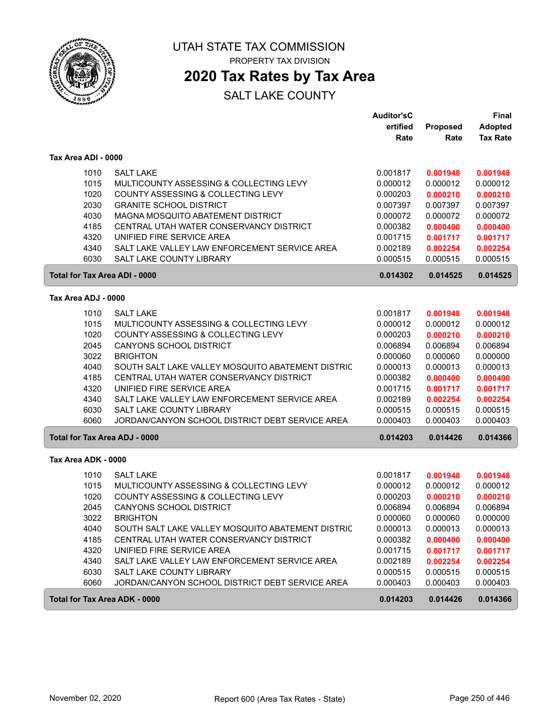

## UTAH STATE TAX COMMISSION

PROPERTY TAX DIVISION

### **2020 Tax Rates by Tax Area**

|                                      |                                                   | <b>Auditor'sC</b> |          | <b>Final</b>    |
|--------------------------------------|---------------------------------------------------|-------------------|----------|-----------------|
|                                      |                                                   | ertified          | Proposed | <b>Adopted</b>  |
|                                      |                                                   | Rate              | Rate     | <b>Tax Rate</b> |
| Tax Area ADI - 0000                  |                                                   |                   |          |                 |
| 1010                                 | <b>SALT LAKE</b>                                  | 0.001817          | 0.001948 | 0.001948        |
| 1015                                 | MULTICOUNTY ASSESSING & COLLECTING LEVY           | 0.000012          | 0.000012 | 0.000012        |
| 1020                                 | COUNTY ASSESSING & COLLECTING LEVY                | 0.000203          | 0.000210 | 0.000210        |
| 2030                                 | <b>GRANITE SCHOOL DISTRICT</b>                    | 0.007397          | 0.007397 | 0.007397        |
| 4030                                 | MAGNA MOSQUITO ABATEMENT DISTRICT                 | 0.000072          | 0.000072 | 0.000072        |
| 4185                                 | CENTRAL UTAH WATER CONSERVANCY DISTRICT           | 0.000382          | 0.000400 | 0.000400        |
| 4320                                 | UNIFIED FIRE SERVICE AREA                         | 0.001715          | 0.001717 | 0.001717        |
| 4340                                 | SALT LAKE VALLEY LAW ENFORCEMENT SERVICE AREA     | 0.002189          | 0.002254 | 0.002254        |
| 6030                                 | SALT LAKE COUNTY LIBRARY                          | 0.000515          | 0.000515 | 0.000515        |
| Total for Tax Area ADI - 0000        |                                                   | 0.014302          | 0.014525 | 0.014525        |
| Tax Area ADJ - 0000                  |                                                   |                   |          |                 |
| 1010                                 | <b>SALT LAKE</b>                                  | 0.001817          | 0.001948 | 0.001948        |
| 1015                                 | MULTICOUNTY ASSESSING & COLLECTING LEVY           | 0.000012          | 0.000012 | 0.000012        |
| 1020                                 | COUNTY ASSESSING & COLLECTING LEVY                | 0.000203          | 0.000210 | 0.000210        |
| 2045                                 | <b>CANYONS SCHOOL DISTRICT</b>                    | 0.006894          | 0.006894 | 0.006894        |
| 3022                                 | <b>BRIGHTON</b>                                   | 0.000060          | 0.000060 | 0.000000        |
| 4040                                 | SOUTH SALT LAKE VALLEY MOSQUITO ABATEMENT DISTRIC | 0.000013          | 0.000013 | 0.000013        |
| 4185                                 | CENTRAL UTAH WATER CONSERVANCY DISTRICT           | 0.000382          | 0.000400 | 0.000400        |
| 4320                                 | UNIFIED FIRE SERVICE AREA                         | 0.001715          | 0.001717 | 0.001717        |
| 4340                                 | SALT LAKE VALLEY LAW ENFORCEMENT SERVICE AREA     | 0.002189          | 0.002254 | 0.002254        |
| 6030                                 | <b>SALT LAKE COUNTY LIBRARY</b>                   | 0.000515          | 0.000515 | 0.000515        |
| 6060                                 | JORDAN/CANYON SCHOOL DISTRICT DEBT SERVICE AREA   | 0.000403          | 0.000403 | 0.000403        |
| <b>Total for Tax Area ADJ - 0000</b> |                                                   | 0.014203          | 0.014426 | 0.014366        |
| Tax Area ADK - 0000                  |                                                   |                   |          |                 |
| 1010                                 | <b>SALT LAKE</b>                                  | 0.001817          | 0.001948 | 0.001948        |
| 1015                                 | MULTICOUNTY ASSESSING & COLLECTING LEVY           | 0.000012          | 0.000012 | 0.000012        |
| 1020                                 | COUNTY ASSESSING & COLLECTING LEVY                | 0.000203          | 0.000210 | 0.000210        |
| 2045                                 | CANYONS SCHOOL DISTRICT                           | 0.006894          | 0.006894 | 0.006894        |
| 3022                                 | <b>BRIGHTON</b>                                   | 0.000060          | 0.000060 | 0.000000        |
| 4040                                 | SOUTH SALT LAKE VALLEY MOSQUITO ABATEMENT DISTRIC | 0.000013          | 0.000013 | 0.000013        |
| 4185                                 | CENTRAL UTAH WATER CONSERVANCY DISTRICT           | 0.000382          | 0.000400 | 0.000400        |
| 4320                                 | UNIFIED FIRE SERVICE AREA                         | 0.001715          | 0.001717 | 0.001717        |
| 4340                                 | SALT LAKE VALLEY LAW ENFORCEMENT SERVICE AREA     | 0.002189          | 0.002254 | 0.002254        |
| 6030                                 | SALT LAKE COUNTY LIBRARY                          | 0.000515          | 0.000515 | 0.000515        |
| 6060                                 | JORDAN/CANYON SCHOOL DISTRICT DEBT SERVICE AREA   | 0.000403          | 0.000403 | 0.000403        |
| Total for Tax Area ADK - 0000        |                                                   | 0.014203          | 0.014426 | 0.014366        |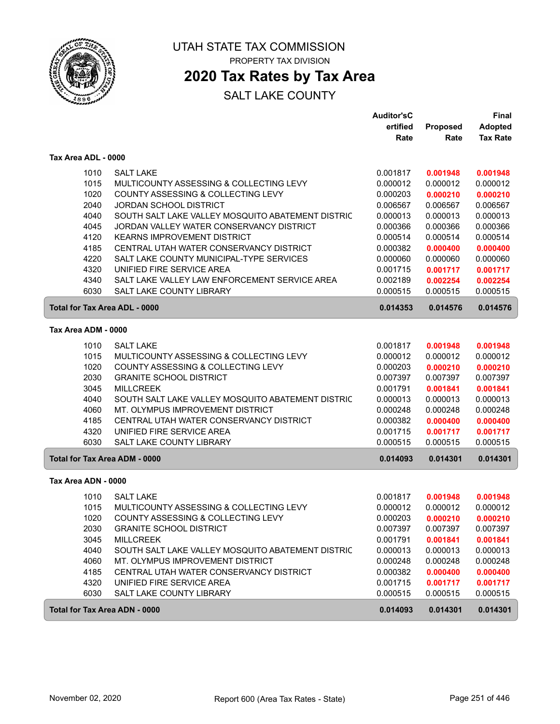

### **2020 Tax Rates by Tax Area**

|                     |                                                   | <b>Auditor'sC</b> |          | Final           |
|---------------------|---------------------------------------------------|-------------------|----------|-----------------|
|                     |                                                   | ertified          | Proposed | Adopted         |
|                     |                                                   | Rate              | Rate     | <b>Tax Rate</b> |
| Tax Area ADL - 0000 |                                                   |                   |          |                 |
| 1010                | <b>SALT LAKE</b>                                  | 0.001817          | 0.001948 | 0.001948        |
| 1015                | MULTICOUNTY ASSESSING & COLLECTING LEVY           | 0.000012          | 0.000012 | 0.000012        |
| 1020                | COUNTY ASSESSING & COLLECTING LEVY                | 0.000203          | 0.000210 | 0.000210        |
| 2040                | <b>JORDAN SCHOOL DISTRICT</b>                     | 0.006567          | 0.006567 | 0.006567        |
| 4040                | SOUTH SALT LAKE VALLEY MOSQUITO ABATEMENT DISTRIC | 0.000013          | 0.000013 | 0.000013        |
| 4045                | JORDAN VALLEY WATER CONSERVANCY DISTRICT          | 0.000366          | 0.000366 | 0.000366        |
| 4120                | <b>KEARNS IMPROVEMENT DISTRICT</b>                | 0.000514          | 0.000514 | 0.000514        |
| 4185                | CENTRAL UTAH WATER CONSERVANCY DISTRICT           | 0.000382          | 0.000400 | 0.000400        |
| 4220                | SALT LAKE COUNTY MUNICIPAL-TYPE SERVICES          | 0.000060          | 0.000060 | 0.000060        |
| 4320                | UNIFIED FIRE SERVICE AREA                         | 0.001715          | 0.001717 | 0.001717        |
| 4340                | SALT LAKE VALLEY LAW ENFORCEMENT SERVICE AREA     | 0.002189          | 0.002254 | 0.002254        |
| 6030                | <b>SALT LAKE COUNTY LIBRARY</b>                   | 0.000515          | 0.000515 | 0.000515        |
|                     | <b>Total for Tax Area ADL - 0000</b>              | 0.014353          | 0.014576 | 0.014576        |
| Tax Area ADM - 0000 |                                                   |                   |          |                 |
| 1010                | <b>SALT LAKE</b>                                  | 0.001817          | 0.001948 | 0.001948        |
| 1015                | MULTICOUNTY ASSESSING & COLLECTING LEVY           | 0.000012          | 0.000012 | 0.000012        |
| 1020                | COUNTY ASSESSING & COLLECTING LEVY                | 0.000203          | 0.000210 | 0.000210        |
| 2030                | <b>GRANITE SCHOOL DISTRICT</b>                    | 0.007397          | 0.007397 | 0.007397        |
| 3045                | <b>MILLCREEK</b>                                  | 0.001791          | 0.001841 | 0.001841        |
| 4040                | SOUTH SALT LAKE VALLEY MOSQUITO ABATEMENT DISTRIC | 0.000013          | 0.000013 | 0.000013        |
| 4060                | MT. OLYMPUS IMPROVEMENT DISTRICT                  | 0.000248          | 0.000248 | 0.000248        |
| 4185                | CENTRAL UTAH WATER CONSERVANCY DISTRICT           | 0.000382          | 0.000400 | 0.000400        |
| 4320                | UNIFIED FIRE SERVICE AREA                         | 0.001715          | 0.001717 | 0.001717        |
| 6030                | <b>SALT LAKE COUNTY LIBRARY</b>                   | 0.000515          | 0.000515 | 0.000515        |
|                     | <b>Total for Tax Area ADM - 0000</b>              | 0.014093          | 0.014301 | 0.014301        |
| Tax Area ADN - 0000 |                                                   |                   |          |                 |
| 1010                | <b>SALT LAKE</b>                                  | 0.001817          | 0.001948 | 0.001948        |
| 1015                | MULTICOUNTY ASSESSING & COLLECTING LEVY           | 0.000012          | 0.000012 | 0.000012        |
| 1020                | COUNTY ASSESSING & COLLECTING LEVY                | 0.000203          | 0.000210 | 0.000210        |
| 2030                | <b>GRANITE SCHOOL DISTRICT</b>                    | 0.007397          | 0.007397 | 0.007397        |
| 3045                | <b>MILLCREEK</b>                                  | 0.001791          | 0.001841 | 0.001841        |
| 4040                | SOUTH SALT LAKE VALLEY MOSQUITO ABATEMENT DISTRIC | 0.000013          | 0.000013 | 0.000013        |
| 4060                | MT. OLYMPUS IMPROVEMENT DISTRICT                  | 0.000248          | 0.000248 | 0.000248        |
| 4185                | CENTRAL UTAH WATER CONSERVANCY DISTRICT           | 0.000382          | 0.000400 | 0.000400        |
| 4320                | UNIFIED FIRE SERVICE AREA                         | 0.001715          | 0.001717 | 0.001717        |
| 6030                | SALT LAKE COUNTY LIBRARY                          | 0.000515          | 0.000515 | 0.000515        |
|                     | <b>Total for Tax Area ADN - 0000</b>              | 0.014093          | 0.014301 | 0.014301        |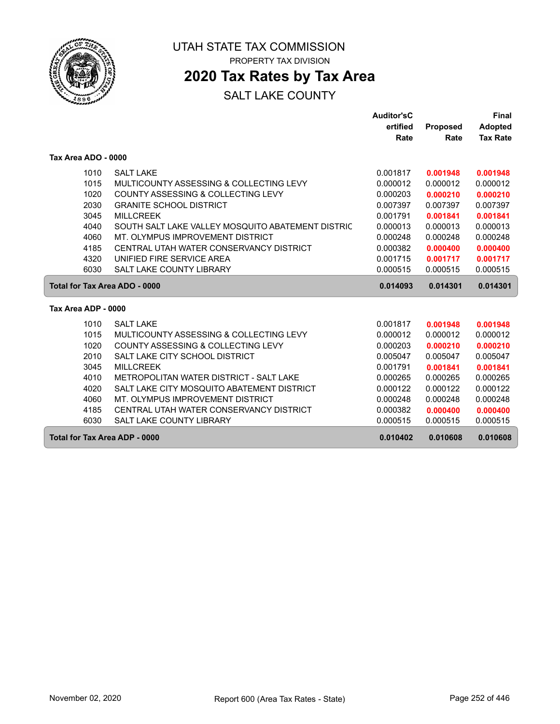

# UTAH STATE TAX COMMISSION

PROPERTY TAX DIVISION

### **2020 Tax Rates by Tax Area**

|                               |                                                   | <b>Auditor'sC</b> |                 | <b>Final</b>    |
|-------------------------------|---------------------------------------------------|-------------------|-----------------|-----------------|
|                               |                                                   | ertified          | <b>Proposed</b> | <b>Adopted</b>  |
|                               |                                                   | Rate              | Rate            | <b>Tax Rate</b> |
| Tax Area ADO - 0000           |                                                   |                   |                 |                 |
| 1010                          | <b>SALT LAKE</b>                                  | 0.001817          | 0.001948        | 0.001948        |
| 1015                          | MULTICOUNTY ASSESSING & COLLECTING LEVY           | 0.000012          | 0.000012        | 0.000012        |
| 1020                          | COUNTY ASSESSING & COLLECTING LEVY                | 0.000203          | 0.000210        | 0.000210        |
| 2030                          | <b>GRANITE SCHOOL DISTRICT</b>                    | 0.007397          | 0.007397        | 0.007397        |
| 3045                          | <b>MILLCREEK</b>                                  | 0.001791          | 0.001841        | 0.001841        |
| 4040                          | SOUTH SALT LAKE VALLEY MOSQUITO ABATEMENT DISTRIC | 0.000013          | 0.000013        | 0.000013        |
| 4060                          | MT. OLYMPUS IMPROVEMENT DISTRICT                  | 0.000248          | 0.000248        | 0.000248        |
| 4185                          | CENTRAL UTAH WATER CONSERVANCY DISTRICT           | 0.000382          | 0.000400        | 0.000400        |
| 4320                          | UNIFIED FIRE SERVICE AREA                         | 0.001715          | 0.001717        | 0.001717        |
| 6030                          | <b>SALT LAKE COUNTY LIBRARY</b>                   | 0.000515          | 0.000515        | 0.000515        |
| Total for Tax Area ADO - 0000 |                                                   | 0.014093          | 0.014301        | 0.014301        |
| Tax Area ADP - 0000           |                                                   |                   |                 |                 |
| 1010                          | <b>SALT LAKE</b>                                  | 0.001817          | 0.001948        | 0.001948        |
| 1015                          | MULTICOUNTY ASSESSING & COLLECTING LEVY           | 0.000012          | 0.000012        | 0.000012        |
| 1020                          | COUNTY ASSESSING & COLLECTING LEVY                | 0.000203          | 0.000210        | 0.000210        |
| 2010                          | SALT LAKE CITY SCHOOL DISTRICT                    | 0.005047          | 0.005047        | 0.005047        |
| 3045                          | <b>MILLCREEK</b>                                  | 0.001791          | 0.001841        | 0.001841        |
| 4010                          | METROPOLITAN WATER DISTRICT - SALT LAKE           | 0.000265          | 0.000265        | 0.000265        |
| 4020                          | SALT LAKE CITY MOSQUITO ABATEMENT DISTRICT        | 0.000122          | 0.000122        | 0.000122        |
| 4060                          | MT. OLYMPUS IMPROVEMENT DISTRICT                  | 0.000248          | 0.000248        | 0.000248        |
| 4185                          | CENTRAL UTAH WATER CONSERVANCY DISTRICT           | 0.000382          | 0.000400        | 0.000400        |
| 6030                          | SALT LAKE COUNTY LIBRARY                          | 0.000515          | 0.000515        | 0.000515        |
|                               | <b>Total for Tax Area ADP - 0000</b>              | 0.010402          | 0.010608        | 0.010608        |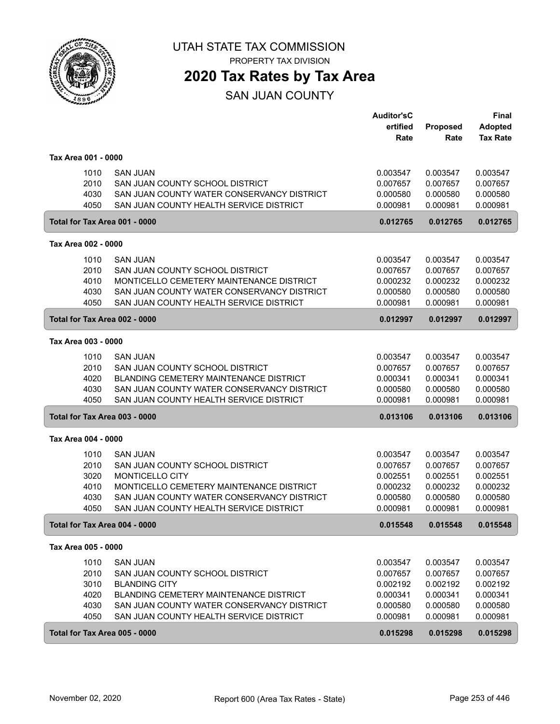

PROPERTY TAX DIVISION

### **2020 Tax Rates by Tax Area**

SAN JUAN COUNTY

|                               |                                               | <b>Auditor'sC</b> |          | <b>Final</b>    |
|-------------------------------|-----------------------------------------------|-------------------|----------|-----------------|
|                               |                                               | ertified          | Proposed | <b>Adopted</b>  |
|                               |                                               | Rate              | Rate     | <b>Tax Rate</b> |
| Tax Area 001 - 0000           |                                               |                   |          |                 |
| 1010                          | <b>SAN JUAN</b>                               | 0.003547          | 0.003547 | 0.003547        |
| 2010                          | SAN JUAN COUNTY SCHOOL DISTRICT               | 0.007657          | 0.007657 | 0.007657        |
| 4030                          | SAN JUAN COUNTY WATER CONSERVANCY DISTRICT    | 0.000580          | 0.000580 | 0.000580        |
| 4050                          | SAN JUAN COUNTY HEALTH SERVICE DISTRICT       | 0.000981          | 0.000981 | 0.000981        |
| Total for Tax Area 001 - 0000 |                                               | 0.012765          | 0.012765 | 0.012765        |
| Tax Area 002 - 0000           |                                               |                   |          |                 |
| 1010                          | <b>SAN JUAN</b>                               | 0.003547          | 0.003547 | 0.003547        |
| 2010                          | SAN JUAN COUNTY SCHOOL DISTRICT               | 0.007657          | 0.007657 | 0.007657        |
| 4010                          | MONTICELLO CEMETERY MAINTENANCE DISTRICT      | 0.000232          | 0.000232 | 0.000232        |
| 4030                          | SAN JUAN COUNTY WATER CONSERVANCY DISTRICT    | 0.000580          | 0.000580 | 0.000580        |
| 4050                          | SAN JUAN COUNTY HEALTH SERVICE DISTRICT       | 0.000981          | 0.000981 | 0.000981        |
| Total for Tax Area 002 - 0000 |                                               | 0.012997          | 0.012997 | 0.012997        |
| Tax Area 003 - 0000           |                                               |                   |          |                 |
| 1010                          | <b>SAN JUAN</b>                               | 0.003547          | 0.003547 | 0.003547        |
| 2010                          | SAN JUAN COUNTY SCHOOL DISTRICT               | 0.007657          | 0.007657 | 0.007657        |
| 4020                          | BLANDING CEMETERY MAINTENANCE DISTRICT        | 0.000341          | 0.000341 | 0.000341        |
| 4030                          | SAN JUAN COUNTY WATER CONSERVANCY DISTRICT    | 0.000580          | 0.000580 | 0.000580        |
| 4050                          | SAN JUAN COUNTY HEALTH SERVICE DISTRICT       | 0.000981          | 0.000981 | 0.000981        |
| Total for Tax Area 003 - 0000 |                                               | 0.013106          | 0.013106 | 0.013106        |
| Tax Area 004 - 0000           |                                               |                   |          |                 |
| 1010                          | <b>SAN JUAN</b>                               | 0.003547          | 0.003547 | 0.003547        |
| 2010                          | SAN JUAN COUNTY SCHOOL DISTRICT               | 0.007657          | 0.007657 | 0.007657        |
| 3020                          | MONTICELLO CITY                               | 0.002551          | 0.002551 | 0.002551        |
| 4010                          | MONTICELLO CEMETERY MAINTENANCE DISTRICT      | 0.000232          | 0.000232 | 0.000232        |
| 4030                          | SAN JUAN COUNTY WATER CONSERVANCY DISTRICT    | 0.000580          | 0.000580 | 0.000580        |
| 4050                          | SAN JUAN COUNTY HEALTH SERVICE DISTRICT       | 0.000981          | 0.000981 | 0.000981        |
| Total for Tax Area 004 - 0000 |                                               | 0.015548          | 0.015548 | 0.015548        |
| Tax Area 005 - 0000           |                                               |                   |          |                 |
| 1010                          | <b>SAN JUAN</b>                               | 0.003547          | 0.003547 | 0.003547        |
| 2010                          | SAN JUAN COUNTY SCHOOL DISTRICT               | 0.007657          | 0.007657 | 0.007657        |
| 3010                          | <b>BLANDING CITY</b>                          | 0.002192          | 0.002192 | 0.002192        |
| 4020                          | <b>BLANDING CEMETERY MAINTENANCE DISTRICT</b> | 0.000341          | 0.000341 | 0.000341        |
| 4030                          | SAN JUAN COUNTY WATER CONSERVANCY DISTRICT    | 0.000580          | 0.000580 | 0.000580        |
| 4050                          | SAN JUAN COUNTY HEALTH SERVICE DISTRICT       | 0.000981          | 0.000981 | 0.000981        |
| Total for Tax Area 005 - 0000 |                                               | 0.015298          | 0.015298 | 0.015298        |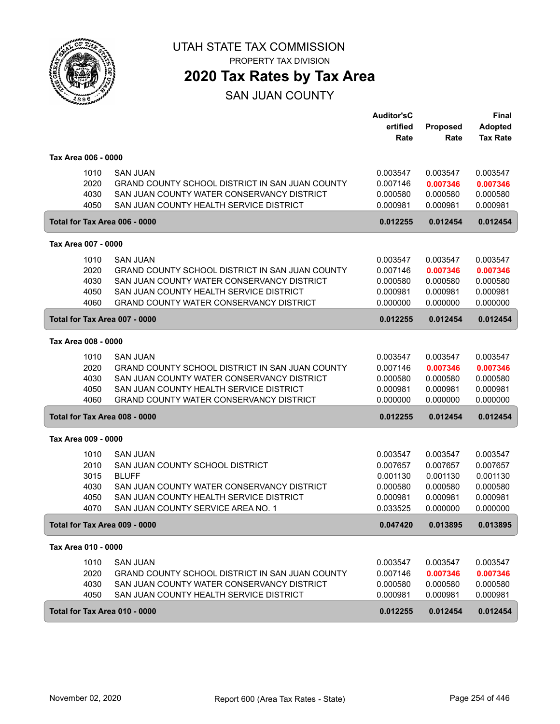

## **2020 Tax Rates by Tax Area**

SAN JUAN COUNTY

|                                                               |                                                                                                                                                                                                               | <b>Auditor'sC</b><br>ertified<br>Rate                                | Proposed<br>Rate                                                     | Final<br><b>Adopted</b><br><b>Tax Rate</b>                           |
|---------------------------------------------------------------|---------------------------------------------------------------------------------------------------------------------------------------------------------------------------------------------------------------|----------------------------------------------------------------------|----------------------------------------------------------------------|----------------------------------------------------------------------|
| Tax Area 006 - 0000                                           |                                                                                                                                                                                                               |                                                                      |                                                                      |                                                                      |
| 1010<br>2020<br>4030<br>4050                                  | <b>SAN JUAN</b><br>GRAND COUNTY SCHOOL DISTRICT IN SAN JUAN COUNTY<br>SAN JUAN COUNTY WATER CONSERVANCY DISTRICT<br>SAN JUAN COUNTY HEALTH SERVICE DISTRICT                                                   | 0.003547<br>0.007146<br>0.000580<br>0.000981                         | 0.003547<br>0.007346<br>0.000580<br>0.000981                         | 0.003547<br>0.007346<br>0.000580<br>0.000981                         |
| Total for Tax Area 006 - 0000                                 |                                                                                                                                                                                                               | 0.012255                                                             | 0.012454                                                             | 0.012454                                                             |
| Tax Area 007 - 0000                                           |                                                                                                                                                                                                               |                                                                      |                                                                      |                                                                      |
| 1010<br>2020<br>4030<br>4050<br>4060                          | <b>SAN JUAN</b><br>GRAND COUNTY SCHOOL DISTRICT IN SAN JUAN COUNTY<br>SAN JUAN COUNTY WATER CONSERVANCY DISTRICT<br>SAN JUAN COUNTY HEALTH SERVICE DISTRICT<br><b>GRAND COUNTY WATER CONSERVANCY DISTRICT</b> | 0.003547<br>0.007146<br>0.000580<br>0.000981<br>0.000000             | 0.003547<br>0.007346<br>0.000580<br>0.000981<br>0.000000             | 0.003547<br>0.007346<br>0.000580<br>0.000981<br>0.000000             |
| Total for Tax Area 007 - 0000                                 |                                                                                                                                                                                                               | 0.012255                                                             | 0.012454                                                             | 0.012454                                                             |
| Tax Area 008 - 0000                                           |                                                                                                                                                                                                               |                                                                      |                                                                      |                                                                      |
| 1010<br>2020<br>4030<br>4050<br>4060                          | <b>SAN JUAN</b><br>GRAND COUNTY SCHOOL DISTRICT IN SAN JUAN COUNTY<br>SAN JUAN COUNTY WATER CONSERVANCY DISTRICT<br>SAN JUAN COUNTY HEALTH SERVICE DISTRICT<br><b>GRAND COUNTY WATER CONSERVANCY DISTRICT</b> | 0.003547<br>0.007146<br>0.000580<br>0.000981<br>0.000000             | 0.003547<br>0.007346<br>0.000580<br>0.000981<br>0.000000             | 0.003547<br>0.007346<br>0.000580<br>0.000981<br>0.000000             |
| Total for Tax Area 008 - 0000                                 |                                                                                                                                                                                                               | 0.012255                                                             | 0.012454                                                             | 0.012454                                                             |
| Tax Area 009 - 0000                                           |                                                                                                                                                                                                               |                                                                      |                                                                      |                                                                      |
| 1010<br>2010<br>3015<br>4030<br>4050<br>4070                  | <b>SAN JUAN</b><br>SAN JUAN COUNTY SCHOOL DISTRICT<br><b>BLUFF</b><br>SAN JUAN COUNTY WATER CONSERVANCY DISTRICT<br>SAN JUAN COUNTY HEALTH SERVICE DISTRICT<br>SAN JUAN COUNTY SERVICE AREA NO. 1             | 0.003547<br>0.007657<br>0.001130<br>0.000580<br>0.000981<br>0.033525 | 0.003547<br>0.007657<br>0.001130<br>0.000580<br>0.000981<br>0.000000 | 0.003547<br>0.007657<br>0.001130<br>0.000580<br>0.000981<br>0.000000 |
| Total for Tax Area 009 - 0000                                 |                                                                                                                                                                                                               | 0.047420                                                             | 0.013895                                                             | 0.013895                                                             |
| Tax Area 010 - 0000                                           |                                                                                                                                                                                                               |                                                                      |                                                                      |                                                                      |
| 1010<br>2020<br>4030<br>4050<br>Total for Tax Area 010 - 0000 | <b>SAN JUAN</b><br>GRAND COUNTY SCHOOL DISTRICT IN SAN JUAN COUNTY<br>SAN JUAN COUNTY WATER CONSERVANCY DISTRICT<br>SAN JUAN COUNTY HEALTH SERVICE DISTRICT                                                   | 0.003547<br>0.007146<br>0.000580<br>0.000981<br>0.012255             | 0.003547<br>0.007346<br>0.000580<br>0.000981<br>0.012454             | 0.003547<br>0.007346<br>0.000580<br>0.000981<br>0.012454             |
|                                                               |                                                                                                                                                                                                               |                                                                      |                                                                      |                                                                      |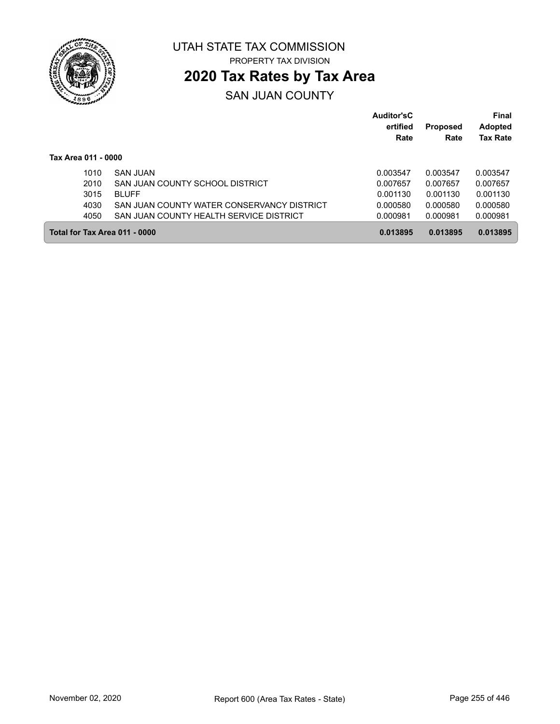

### **2020 Tax Rates by Tax Area**

#### SAN JUAN COUNTY

|                               |                                            | Auditor'sC<br>ertified<br>Rate | <b>Proposed</b><br>Rate | <b>Final</b><br><b>Adopted</b><br><b>Tax Rate</b> |
|-------------------------------|--------------------------------------------|--------------------------------|-------------------------|---------------------------------------------------|
| Tax Area 011 - 0000           |                                            |                                |                         |                                                   |
| 1010                          | <b>SAN JUAN</b>                            | 0.003547                       | 0.003547                | 0.003547                                          |
| 2010                          | SAN JUAN COUNTY SCHOOL DISTRICT            | 0.007657                       | 0.007657                | 0.007657                                          |
| 3015                          | <b>BLUFF</b>                               | 0.001130                       | 0.001130                | 0.001130                                          |
| 4030                          | SAN JUAN COUNTY WATER CONSERVANCY DISTRICT | 0.000580                       | 0.000580                | 0.000580                                          |
| 4050                          | SAN JUAN COUNTY HEALTH SERVICE DISTRICT    | 0.000981                       | 0.000981                | 0.000981                                          |
| Total for Tax Area 011 - 0000 |                                            | 0.013895                       | 0.013895                | 0.013895                                          |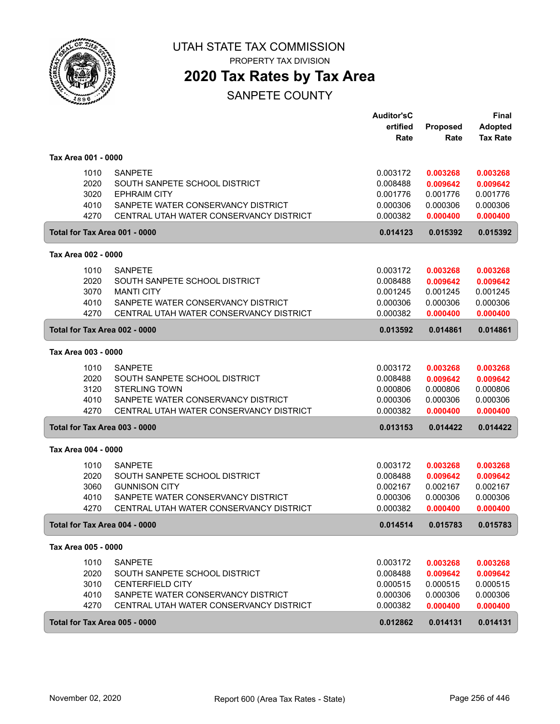

PROPERTY TAX DIVISION

### **2020 Tax Rates by Tax Area**

|                                      |                                                                                                                                                             | <b>Auditor'sC</b><br>ertified<br>Rate                    | <b>Proposed</b><br>Rate                                  | <b>Final</b><br><b>Adopted</b><br><b>Tax Rate</b>        |
|--------------------------------------|-------------------------------------------------------------------------------------------------------------------------------------------------------------|----------------------------------------------------------|----------------------------------------------------------|----------------------------------------------------------|
| Tax Area 001 - 0000                  |                                                                                                                                                             |                                                          |                                                          |                                                          |
| 1010<br>2020<br>3020<br>4010<br>4270 | <b>SANPETE</b><br>SOUTH SANPETE SCHOOL DISTRICT<br><b>EPHRAIM CITY</b><br>SANPETE WATER CONSERVANCY DISTRICT<br>CENTRAL UTAH WATER CONSERVANCY DISTRICT     | 0.003172<br>0.008488<br>0.001776<br>0.000306<br>0.000382 | 0.003268<br>0.009642<br>0.001776<br>0.000306<br>0.000400 | 0.003268<br>0.009642<br>0.001776<br>0.000306<br>0.000400 |
| Total for Tax Area 001 - 0000        |                                                                                                                                                             | 0.014123                                                 | 0.015392                                                 | 0.015392                                                 |
| Tax Area 002 - 0000                  |                                                                                                                                                             |                                                          |                                                          |                                                          |
| 1010<br>2020<br>3070<br>4010<br>4270 | <b>SANPETE</b><br>SOUTH SANPETE SCHOOL DISTRICT<br><b>MANTI CITY</b><br>SANPETE WATER CONSERVANCY DISTRICT<br>CENTRAL UTAH WATER CONSERVANCY DISTRICT       | 0.003172<br>0.008488<br>0.001245<br>0.000306<br>0.000382 | 0.003268<br>0.009642<br>0.001245<br>0.000306<br>0.000400 | 0.003268<br>0.009642<br>0.001245<br>0.000306<br>0.000400 |
| Total for Tax Area 002 - 0000        |                                                                                                                                                             | 0.013592                                                 | 0.014861                                                 | 0.014861                                                 |
| Tax Area 003 - 0000                  |                                                                                                                                                             |                                                          |                                                          |                                                          |
| 1010<br>2020<br>3120<br>4010<br>4270 | <b>SANPETE</b><br>SOUTH SANPETE SCHOOL DISTRICT<br><b>STERLING TOWN</b><br>SANPETE WATER CONSERVANCY DISTRICT<br>CENTRAL UTAH WATER CONSERVANCY DISTRICT    | 0.003172<br>0.008488<br>0.000806<br>0.000306<br>0.000382 | 0.003268<br>0.009642<br>0.000806<br>0.000306<br>0.000400 | 0.003268<br>0.009642<br>0.000806<br>0.000306<br>0.000400 |
| Total for Tax Area 003 - 0000        |                                                                                                                                                             | 0.013153                                                 | 0.014422                                                 | 0.014422                                                 |
| Tax Area 004 - 0000                  |                                                                                                                                                             |                                                          |                                                          |                                                          |
| 1010<br>2020<br>3060<br>4010<br>4270 | <b>SANPETE</b><br>SOUTH SANPETE SCHOOL DISTRICT<br><b>GUNNISON CITY</b><br>SANPETE WATER CONSERVANCY DISTRICT<br>CENTRAL UTAH WATER CONSERVANCY DISTRICT    | 0.003172<br>0.008488<br>0.002167<br>0.000306<br>0.000382 | 0.003268<br>0.009642<br>0.002167<br>0.000306<br>0.000400 | 0.003268<br>0.009642<br>0.002167<br>0.000306<br>0.000400 |
| Total for Tax Area 004 - 0000        |                                                                                                                                                             | 0.014514                                                 | 0.015783                                                 | 0.015783                                                 |
| Tax Area 005 - 0000                  |                                                                                                                                                             |                                                          |                                                          |                                                          |
| 1010<br>2020<br>3010<br>4010<br>4270 | <b>SANPETE</b><br>SOUTH SANPETE SCHOOL DISTRICT<br><b>CENTERFIELD CITY</b><br>SANPETE WATER CONSERVANCY DISTRICT<br>CENTRAL UTAH WATER CONSERVANCY DISTRICT | 0.003172<br>0.008488<br>0.000515<br>0.000306<br>0.000382 | 0.003268<br>0.009642<br>0.000515<br>0.000306<br>0.000400 | 0.003268<br>0.009642<br>0.000515<br>0.000306<br>0.000400 |
| Total for Tax Area 005 - 0000        |                                                                                                                                                             | 0.012862                                                 | 0.014131                                                 | 0.014131                                                 |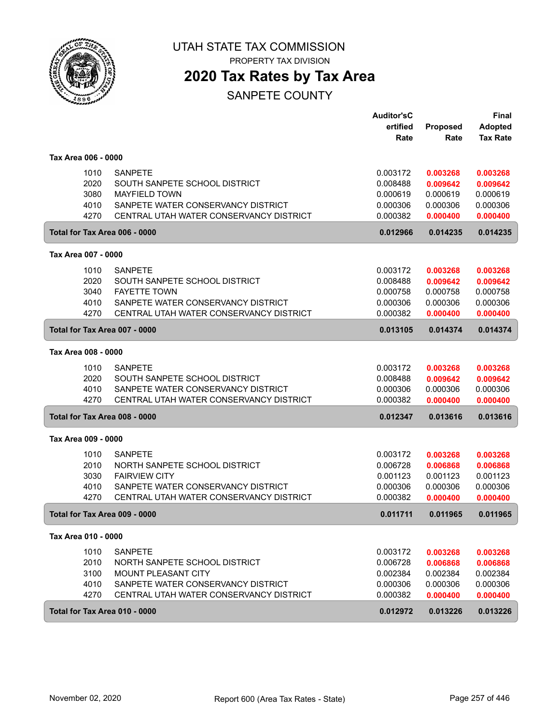

PROPERTY TAX DIVISION

### **2020 Tax Rates by Tax Area**

|                               |                                         | <b>Auditor'sC</b> |                  | <b>Final</b>                      |
|-------------------------------|-----------------------------------------|-------------------|------------------|-----------------------------------|
|                               |                                         | ertified<br>Rate  | Proposed<br>Rate | <b>Adopted</b><br><b>Tax Rate</b> |
|                               |                                         |                   |                  |                                   |
| Tax Area 006 - 0000           |                                         |                   |                  |                                   |
| 1010                          | <b>SANPETE</b>                          | 0.003172          | 0.003268         | 0.003268                          |
| 2020                          | SOUTH SANPETE SCHOOL DISTRICT           | 0.008488          | 0.009642         | 0.009642                          |
| 3080                          | <b>MAYFIELD TOWN</b>                    | 0.000619          | 0.000619         | 0.000619                          |
| 4010                          | SANPETE WATER CONSERVANCY DISTRICT      | 0.000306          | 0.000306         | 0.000306                          |
| 4270                          | CENTRAL UTAH WATER CONSERVANCY DISTRICT | 0.000382          | 0.000400         | 0.000400                          |
| Total for Tax Area 006 - 0000 |                                         | 0.012966          | 0.014235         | 0.014235                          |
| Tax Area 007 - 0000           |                                         |                   |                  |                                   |
| 1010                          | <b>SANPETE</b>                          | 0.003172          | 0.003268         | 0.003268                          |
| 2020                          | SOUTH SANPETE SCHOOL DISTRICT           | 0.008488          | 0.009642         | 0.009642                          |
| 3040                          | <b>FAYETTE TOWN</b>                     | 0.000758          | 0.000758         | 0.000758                          |
| 4010                          | SANPETE WATER CONSERVANCY DISTRICT      | 0.000306          | 0.000306         | 0.000306                          |
| 4270                          | CENTRAL UTAH WATER CONSERVANCY DISTRICT | 0.000382          | 0.000400         | 0.000400                          |
| Total for Tax Area 007 - 0000 |                                         | 0.013105          | 0.014374         | 0.014374                          |
| Tax Area 008 - 0000           |                                         |                   |                  |                                   |
| 1010                          | <b>SANPETE</b>                          | 0.003172          | 0.003268         | 0.003268                          |
| 2020                          | SOUTH SANPETE SCHOOL DISTRICT           | 0.008488          | 0.009642         | 0.009642                          |
| 4010                          | SANPETE WATER CONSERVANCY DISTRICT      | 0.000306          | 0.000306         | 0.000306                          |
| 4270                          | CENTRAL UTAH WATER CONSERVANCY DISTRICT | 0.000382          | 0.000400         | 0.000400                          |
| Total for Tax Area 008 - 0000 |                                         | 0.012347          | 0.013616         | 0.013616                          |
| Tax Area 009 - 0000           |                                         |                   |                  |                                   |
| 1010                          | <b>SANPETE</b>                          | 0.003172          | 0.003268         | 0.003268                          |
| 2010                          | NORTH SANPETE SCHOOL DISTRICT           | 0.006728          | 0.006868         | 0.006868                          |
| 3030                          | <b>FAIRVIEW CITY</b>                    | 0.001123          | 0.001123         | 0.001123                          |
| 4010                          | SANPETE WATER CONSERVANCY DISTRICT      | 0.000306          | 0.000306         | 0.000306                          |
| 4270                          | CENTRAL UTAH WATER CONSERVANCY DISTRICT | 0.000382          | 0.000400         | 0.000400                          |
| Total for Tax Area 009 - 0000 |                                         | 0.011711          | 0.011965         | 0.011965                          |
| Tax Area 010 - 0000           |                                         |                   |                  |                                   |
| 1010                          | <b>SANPETE</b>                          | 0.003172          | 0.003268         | 0.003268                          |
| 2010                          | NORTH SANPETE SCHOOL DISTRICT           | 0.006728          | 0.006868         | 0.006868                          |
| 3100                          | <b>MOUNT PLEASANT CITY</b>              | 0.002384          | 0.002384         | 0.002384                          |
| 4010                          | SANPETE WATER CONSERVANCY DISTRICT      | 0.000306          | 0.000306         | 0.000306                          |
| 4270                          | CENTRAL UTAH WATER CONSERVANCY DISTRICT | 0.000382          | 0.000400         | 0.000400                          |
| Total for Tax Area 010 - 0000 |                                         | 0.012972          | 0.013226         | 0.013226                          |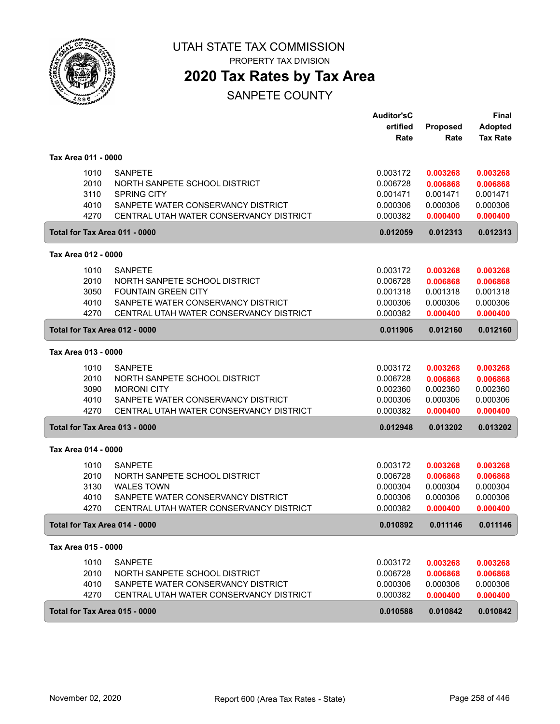

PROPERTY TAX DIVISION

### **2020 Tax Rates by Tax Area**

|                               |                                         | <b>Auditor'sC</b> |                 | Final           |
|-------------------------------|-----------------------------------------|-------------------|-----------------|-----------------|
|                               |                                         | ertified          | <b>Proposed</b> | <b>Adopted</b>  |
|                               |                                         | Rate              | Rate            | <b>Tax Rate</b> |
| Tax Area 011 - 0000           |                                         |                   |                 |                 |
| 1010                          | <b>SANPETE</b>                          | 0.003172          | 0.003268        | 0.003268        |
| 2010                          | NORTH SANPETE SCHOOL DISTRICT           | 0.006728          | 0.006868        | 0.006868        |
| 3110                          | <b>SPRING CITY</b>                      | 0.001471          | 0.001471        | 0.001471        |
| 4010                          | SANPETE WATER CONSERVANCY DISTRICT      | 0.000306          | 0.000306        | 0.000306        |
| 4270                          | CENTRAL UTAH WATER CONSERVANCY DISTRICT | 0.000382          | 0.000400        | 0.000400        |
| Total for Tax Area 011 - 0000 |                                         | 0.012059          | 0.012313        | 0.012313        |
| Tax Area 012 - 0000           |                                         |                   |                 |                 |
| 1010                          | <b>SANPETE</b>                          | 0.003172          | 0.003268        | 0.003268        |
| 2010                          | NORTH SANPETE SCHOOL DISTRICT           | 0.006728          | 0.006868        | 0.006868        |
| 3050                          | <b>FOUNTAIN GREEN CITY</b>              | 0.001318          | 0.001318        | 0.001318        |
| 4010                          | SANPETE WATER CONSERVANCY DISTRICT      | 0.000306          | 0.000306        | 0.000306        |
| 4270                          | CENTRAL UTAH WATER CONSERVANCY DISTRICT | 0.000382          | 0.000400        | 0.000400        |
| Total for Tax Area 012 - 0000 |                                         | 0.011906          | 0.012160        | 0.012160        |
| Tax Area 013 - 0000           |                                         |                   |                 |                 |
| 1010                          | <b>SANPETE</b>                          | 0.003172          | 0.003268        | 0.003268        |
| 2010                          | NORTH SANPETE SCHOOL DISTRICT           | 0.006728          | 0.006868        | 0.006868        |
| 3090                          | <b>MORONI CITY</b>                      | 0.002360          | 0.002360        | 0.002360        |
| 4010                          | SANPETE WATER CONSERVANCY DISTRICT      | 0.000306          | 0.000306        | 0.000306        |
| 4270                          | CENTRAL UTAH WATER CONSERVANCY DISTRICT | 0.000382          | 0.000400        | 0.000400        |
| Total for Tax Area 013 - 0000 |                                         | 0.012948          | 0.013202        | 0.013202        |
| Tax Area 014 - 0000           |                                         |                   |                 |                 |
| 1010                          | <b>SANPETE</b>                          | 0.003172          | 0.003268        | 0.003268        |
| 2010                          | NORTH SANPETE SCHOOL DISTRICT           | 0.006728          | 0.006868        | 0.006868        |
| 3130                          | <b>WALES TOWN</b>                       | 0.000304          | 0.000304        | 0.000304        |
| 4010                          | SANPETE WATER CONSERVANCY DISTRICT      | 0.000306          | 0.000306        | 0.000306        |
| 4270                          | CENTRAL UTAH WATER CONSERVANCY DISTRICT | 0.000382          | 0.000400        | 0.000400        |
| Total for Tax Area 014 - 0000 |                                         | 0.010892          | 0.011146        | 0.011146        |
| Tax Area 015 - 0000           |                                         |                   |                 |                 |
| 1010                          | <b>SANPETE</b>                          | 0.003172          | 0.003268        | 0.003268        |
| 2010                          | NORTH SANPETE SCHOOL DISTRICT           | 0.006728          | 0.006868        | 0.006868        |
| 4010                          | SANPETE WATER CONSERVANCY DISTRICT      | 0.000306          | 0.000306        | 0.000306        |
| 4270                          | CENTRAL UTAH WATER CONSERVANCY DISTRICT | 0.000382          | 0.000400        | 0.000400        |
| Total for Tax Area 015 - 0000 |                                         | 0.010588          | 0.010842        | 0.010842        |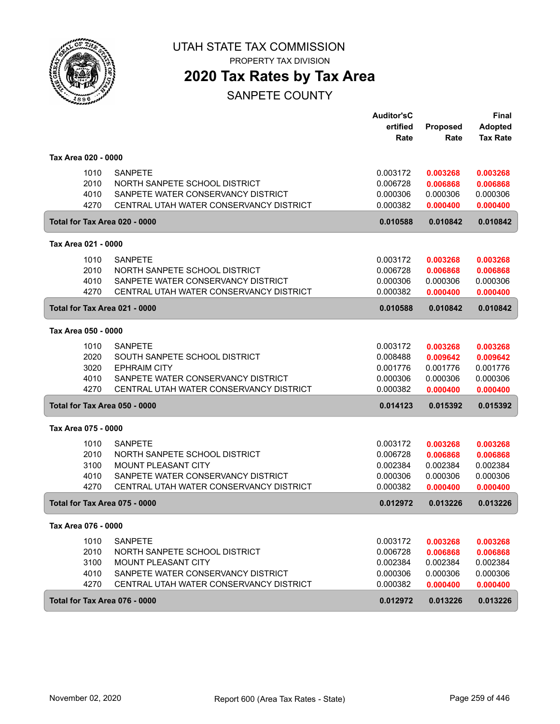

PROPERTY TAX DIVISION

### **2020 Tax Rates by Tax Area**

|                     |      |                                         | <b>Auditor'sC</b> |                 | <b>Final</b>    |
|---------------------|------|-----------------------------------------|-------------------|-----------------|-----------------|
|                     |      |                                         | ertified          | <b>Proposed</b> | <b>Adopted</b>  |
|                     |      |                                         | Rate              | Rate            | <b>Tax Rate</b> |
| Tax Area 020 - 0000 |      |                                         |                   |                 |                 |
|                     | 1010 | <b>SANPETE</b>                          | 0.003172          | 0.003268        | 0.003268        |
|                     | 2010 | NORTH SANPETE SCHOOL DISTRICT           | 0.006728          | 0.006868        | 0.006868        |
|                     | 4010 | SANPETE WATER CONSERVANCY DISTRICT      | 0.000306          | 0.000306        | 0.000306        |
|                     | 4270 | CENTRAL UTAH WATER CONSERVANCY DISTRICT | 0.000382          | 0.000400        | 0.000400        |
|                     |      | Total for Tax Area 020 - 0000           | 0.010588          | 0.010842        | 0.010842        |
| Tax Area 021 - 0000 |      |                                         |                   |                 |                 |
|                     | 1010 | <b>SANPETE</b>                          | 0.003172          | 0.003268        | 0.003268        |
|                     | 2010 | NORTH SANPETE SCHOOL DISTRICT           | 0.006728          | 0.006868        | 0.006868        |
|                     | 4010 | SANPETE WATER CONSERVANCY DISTRICT      | 0.000306          | 0.000306        | 0.000306        |
|                     | 4270 | CENTRAL UTAH WATER CONSERVANCY DISTRICT | 0.000382          | 0.000400        | 0.000400        |
|                     |      | Total for Tax Area 021 - 0000           | 0.010588          | 0.010842        | 0.010842        |
| Tax Area 050 - 0000 |      |                                         |                   |                 |                 |
|                     | 1010 | <b>SANPETE</b>                          | 0.003172          | 0.003268        | 0.003268        |
|                     | 2020 | SOUTH SANPETE SCHOOL DISTRICT           | 0.008488          | 0.009642        | 0.009642        |
|                     | 3020 | <b>EPHRAIM CITY</b>                     | 0.001776          | 0.001776        | 0.001776        |
|                     | 4010 | SANPETE WATER CONSERVANCY DISTRICT      | 0.000306          | 0.000306        | 0.000306        |
|                     | 4270 | CENTRAL UTAH WATER CONSERVANCY DISTRICT | 0.000382          | 0.000400        | 0.000400        |
|                     |      | Total for Tax Area 050 - 0000           | 0.014123          | 0.015392        | 0.015392        |
| Tax Area 075 - 0000 |      |                                         |                   |                 |                 |
|                     | 1010 | <b>SANPETE</b>                          | 0.003172          | 0.003268        | 0.003268        |
|                     | 2010 | NORTH SANPETE SCHOOL DISTRICT           | 0.006728          | 0.006868        | 0.006868        |
|                     | 3100 | MOUNT PLEASANT CITY                     | 0.002384          | 0.002384        | 0.002384        |
|                     | 4010 | SANPETE WATER CONSERVANCY DISTRICT      | 0.000306          | 0.000306        | 0.000306        |
|                     | 4270 | CENTRAL UTAH WATER CONSERVANCY DISTRICT | 0.000382          | 0.000400        | 0.000400        |
|                     |      | Total for Tax Area 075 - 0000           | 0.012972          | 0.013226        | 0.013226        |
| Tax Area 076 - 0000 |      |                                         |                   |                 |                 |
|                     | 1010 | <b>SANPETE</b>                          | 0.003172          | 0.003268        | 0.003268        |
|                     | 2010 | NORTH SANPETE SCHOOL DISTRICT           | 0.006728          | 0.006868        | 0.006868        |
|                     | 3100 | <b>MOUNT PLEASANT CITY</b>              | 0.002384          | 0.002384        | 0.002384        |
|                     | 4010 | SANPETE WATER CONSERVANCY DISTRICT      | 0.000306          | 0.000306        | 0.000306        |
|                     | 4270 | CENTRAL UTAH WATER CONSERVANCY DISTRICT | 0.000382          | 0.000400        | 0.000400        |
|                     |      | Total for Tax Area 076 - 0000           | 0.012972          | 0.013226        | 0.013226        |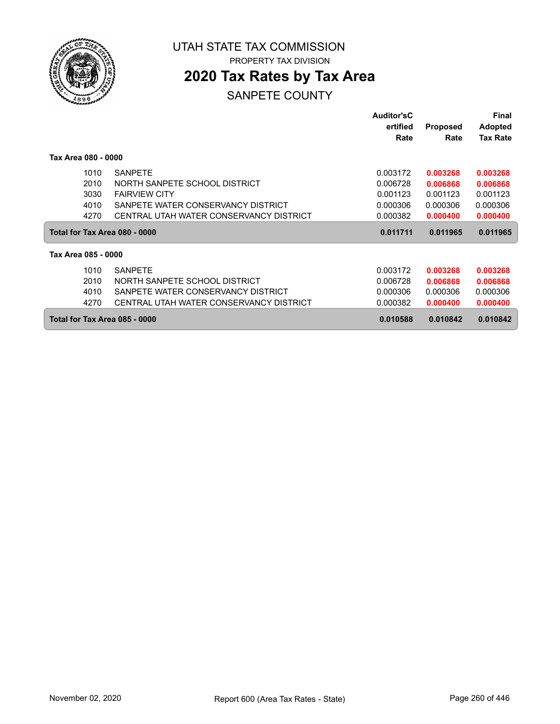

PROPERTY TAX DIVISION

## **2020 Tax Rates by Tax Area**

|                     |                                         | Auditor'sC |                 | Final           |
|---------------------|-----------------------------------------|------------|-----------------|-----------------|
|                     |                                         | ertified   | <b>Proposed</b> | <b>Adopted</b>  |
|                     |                                         | Rate       | Rate            | <b>Tax Rate</b> |
| Tax Area 080 - 0000 |                                         |            |                 |                 |
| 1010                | <b>SANPETE</b>                          | 0.003172   | 0.003268        | 0.003268        |
| 2010                | NORTH SANPETE SCHOOL DISTRICT           | 0.006728   | 0.006868        | 0.006868        |
| 3030                | <b>FAIRVIEW CITY</b>                    | 0.001123   | 0.001123        | 0.001123        |
| 4010                | SANPETE WATER CONSERVANCY DISTRICT      | 0.000306   | 0.000306        | 0.000306        |
| 4270                | CENTRAL UTAH WATER CONSERVANCY DISTRICT | 0.000382   | 0.000400        | 0.000400        |
|                     | Total for Tax Area 080 - 0000           | 0.011711   | 0.011965        | 0.011965        |
| Tax Area 085 - 0000 |                                         |            |                 |                 |
| 1010                | <b>SANPETE</b>                          | 0.003172   | 0.003268        | 0.003268        |
| 2010                | NORTH SANPETE SCHOOL DISTRICT           | 0.006728   | 0.006868        | 0.006868        |
| 4010                | SANPETE WATER CONSERVANCY DISTRICT      | 0.000306   | 0.000306        | 0.000306        |
| 4270                | CENTRAL UTAH WATER CONSERVANCY DISTRICT | 0.000382   | 0.000400        | 0.000400        |
|                     | Total for Tax Area 085 - 0000           | 0.010588   | 0.010842        | 0.010842        |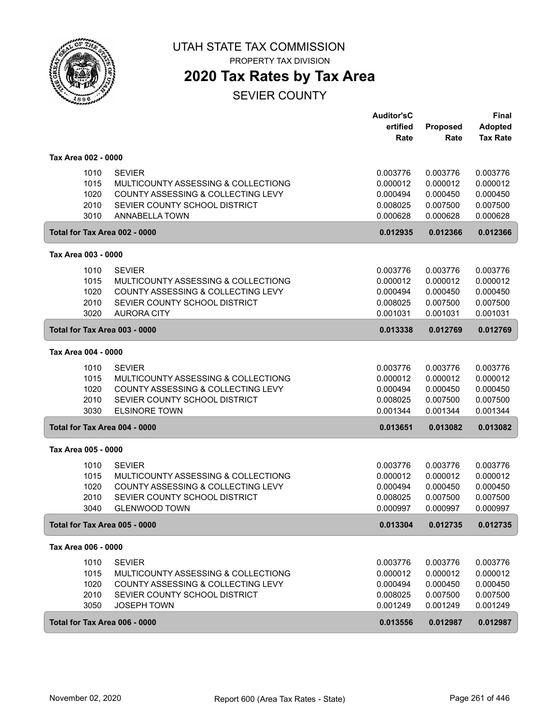

PROPERTY TAX DIVISION

### **2020 Tax Rates by Tax Area**

SEVIER COUNTY

|                                      |                                                                                                                                                     | <b>Auditor'sC</b><br>ertified<br>Rate                    | Proposed<br>Rate                                         | Final<br><b>Adopted</b><br><b>Tax Rate</b>               |
|--------------------------------------|-----------------------------------------------------------------------------------------------------------------------------------------------------|----------------------------------------------------------|----------------------------------------------------------|----------------------------------------------------------|
| Tax Area 002 - 0000                  |                                                                                                                                                     |                                                          |                                                          |                                                          |
| 1010<br>1015<br>1020<br>2010<br>3010 | <b>SEVIER</b><br>MULTICOUNTY ASSESSING & COLLECTIONG<br>COUNTY ASSESSING & COLLECTING LEVY<br>SEVIER COUNTY SCHOOL DISTRICT<br>ANNABELLA TOWN       | 0.003776<br>0.000012<br>0.000494<br>0.008025<br>0.000628 | 0.003776<br>0.000012<br>0.000450<br>0.007500<br>0.000628 | 0.003776<br>0.000012<br>0.000450<br>0.007500<br>0.000628 |
| Total for Tax Area 002 - 0000        |                                                                                                                                                     | 0.012935                                                 | 0.012366                                                 | 0.012366                                                 |
| Tax Area 003 - 0000                  |                                                                                                                                                     |                                                          |                                                          |                                                          |
| 1010<br>1015<br>1020<br>2010<br>3020 | <b>SEVIER</b><br>MULTICOUNTY ASSESSING & COLLECTIONG<br>COUNTY ASSESSING & COLLECTING LEVY<br>SEVIER COUNTY SCHOOL DISTRICT<br><b>AURORA CITY</b>   | 0.003776<br>0.000012<br>0.000494<br>0.008025<br>0.001031 | 0.003776<br>0.000012<br>0.000450<br>0.007500<br>0.001031 | 0.003776<br>0.000012<br>0.000450<br>0.007500<br>0.001031 |
| Total for Tax Area 003 - 0000        |                                                                                                                                                     | 0.013338                                                 | 0.012769                                                 | 0.012769                                                 |
| Tax Area 004 - 0000                  |                                                                                                                                                     |                                                          |                                                          |                                                          |
| 1010<br>1015<br>1020<br>2010<br>3030 | <b>SEVIER</b><br>MULTICOUNTY ASSESSING & COLLECTIONG<br>COUNTY ASSESSING & COLLECTING LEVY<br>SEVIER COUNTY SCHOOL DISTRICT<br><b>ELSINORE TOWN</b> | 0.003776<br>0.000012<br>0.000494<br>0.008025<br>0.001344 | 0.003776<br>0.000012<br>0.000450<br>0.007500<br>0.001344 | 0.003776<br>0.000012<br>0.000450<br>0.007500<br>0.001344 |
| Total for Tax Area 004 - 0000        |                                                                                                                                                     | 0.013651                                                 | 0.013082                                                 | 0.013082                                                 |
| Tax Area 005 - 0000                  |                                                                                                                                                     |                                                          |                                                          |                                                          |
| 1010<br>1015<br>1020<br>2010<br>3040 | <b>SEVIER</b><br>MULTICOUNTY ASSESSING & COLLECTIONG<br>COUNTY ASSESSING & COLLECTING LEVY<br>SEVIER COUNTY SCHOOL DISTRICT<br><b>GLENWOOD TOWN</b> | 0.003776<br>0.000012<br>0.000494<br>0.008025<br>0.000997 | 0.003776<br>0.000012<br>0.000450<br>0.007500<br>0.000997 | 0.003776<br>0.000012<br>0.000450<br>0.007500<br>0.000997 |
| Total for Tax Area 005 - 0000        |                                                                                                                                                     | 0.013304                                                 | 0.012735                                                 | 0.012735                                                 |
| Tax Area 006 - 0000                  |                                                                                                                                                     |                                                          |                                                          |                                                          |
| 1010<br>1015<br>1020<br>2010<br>3050 | <b>SEVIER</b><br>MULTICOUNTY ASSESSING & COLLECTIONG<br>COUNTY ASSESSING & COLLECTING LEVY<br>SEVIER COUNTY SCHOOL DISTRICT<br><b>JOSEPH TOWN</b>   | 0.003776<br>0.000012<br>0.000494<br>0.008025<br>0.001249 | 0.003776<br>0.000012<br>0.000450<br>0.007500<br>0.001249 | 0.003776<br>0.000012<br>0.000450<br>0.007500<br>0.001249 |
| Total for Tax Area 006 - 0000        |                                                                                                                                                     | 0.013556                                                 | 0.012987                                                 | 0.012987                                                 |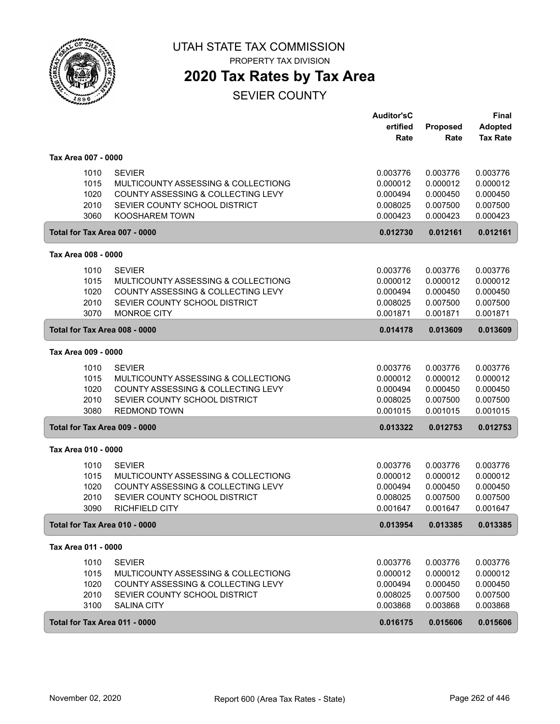

PROPERTY TAX DIVISION

### **2020 Tax Rates by Tax Area**

SEVIER COUNTY

|                                      |                                                                                                                                                      | <b>Auditor'sC</b><br>ertified<br>Rate                    | Proposed<br>Rate                                         | <b>Final</b><br><b>Adopted</b><br><b>Tax Rate</b>        |
|--------------------------------------|------------------------------------------------------------------------------------------------------------------------------------------------------|----------------------------------------------------------|----------------------------------------------------------|----------------------------------------------------------|
| Tax Area 007 - 0000                  |                                                                                                                                                      |                                                          |                                                          |                                                          |
| 1010<br>1015<br>1020<br>2010<br>3060 | <b>SEVIER</b><br>MULTICOUNTY ASSESSING & COLLECTIONG<br>COUNTY ASSESSING & COLLECTING LEVY<br>SEVIER COUNTY SCHOOL DISTRICT<br><b>KOOSHAREM TOWN</b> | 0.003776<br>0.000012<br>0.000494<br>0.008025<br>0.000423 | 0.003776<br>0.000012<br>0.000450<br>0.007500<br>0.000423 | 0.003776<br>0.000012<br>0.000450<br>0.007500<br>0.000423 |
| Total for Tax Area 007 - 0000        |                                                                                                                                                      | 0.012730                                                 | 0.012161                                                 | 0.012161                                                 |
| Tax Area 008 - 0000                  |                                                                                                                                                      |                                                          |                                                          |                                                          |
| 1010<br>1015<br>1020<br>2010<br>3070 | <b>SEVIER</b><br>MULTICOUNTY ASSESSING & COLLECTIONG<br>COUNTY ASSESSING & COLLECTING LEVY<br>SEVIER COUNTY SCHOOL DISTRICT<br><b>MONROE CITY</b>    | 0.003776<br>0.000012<br>0.000494<br>0.008025<br>0.001871 | 0.003776<br>0.000012<br>0.000450<br>0.007500<br>0.001871 | 0.003776<br>0.000012<br>0.000450<br>0.007500<br>0.001871 |
| Total for Tax Area 008 - 0000        |                                                                                                                                                      | 0.014178                                                 | 0.013609                                                 | 0.013609                                                 |
| Tax Area 009 - 0000                  |                                                                                                                                                      |                                                          |                                                          |                                                          |
| 1010<br>1015<br>1020<br>2010<br>3080 | <b>SEVIER</b><br>MULTICOUNTY ASSESSING & COLLECTIONG<br>COUNTY ASSESSING & COLLECTING LEVY<br>SEVIER COUNTY SCHOOL DISTRICT<br><b>REDMOND TOWN</b>   | 0.003776<br>0.000012<br>0.000494<br>0.008025<br>0.001015 | 0.003776<br>0.000012<br>0.000450<br>0.007500<br>0.001015 | 0.003776<br>0.000012<br>0.000450<br>0.007500<br>0.001015 |
| Total for Tax Area 009 - 0000        |                                                                                                                                                      | 0.013322                                                 | 0.012753                                                 | 0.012753                                                 |
| Tax Area 010 - 0000                  |                                                                                                                                                      |                                                          |                                                          |                                                          |
| 1010<br>1015<br>1020<br>2010<br>3090 | <b>SEVIER</b><br>MULTICOUNTY ASSESSING & COLLECTIONG<br>COUNTY ASSESSING & COLLECTING LEVY<br>SEVIER COUNTY SCHOOL DISTRICT<br><b>RICHFIELD CITY</b> | 0.003776<br>0.000012<br>0.000494<br>0.008025<br>0.001647 | 0.003776<br>0.000012<br>0.000450<br>0.007500<br>0.001647 | 0.003776<br>0.000012<br>0.000450<br>0.007500<br>0.001647 |
| Total for Tax Area 010 - 0000        |                                                                                                                                                      | 0.013954                                                 | 0.013385                                                 | 0.013385                                                 |
| Tax Area 011 - 0000                  |                                                                                                                                                      |                                                          |                                                          |                                                          |
| 1010<br>1015<br>1020<br>2010<br>3100 | <b>SEVIER</b><br>MULTICOUNTY ASSESSING & COLLECTIONG<br>COUNTY ASSESSING & COLLECTING LEVY<br>SEVIER COUNTY SCHOOL DISTRICT<br><b>SALINA CITY</b>    | 0.003776<br>0.000012<br>0.000494<br>0.008025<br>0.003868 | 0.003776<br>0.000012<br>0.000450<br>0.007500<br>0.003868 | 0.003776<br>0.000012<br>0.000450<br>0.007500<br>0.003868 |
| Total for Tax Area 011 - 0000        |                                                                                                                                                      | 0.016175                                                 | 0.015606                                                 | 0.015606                                                 |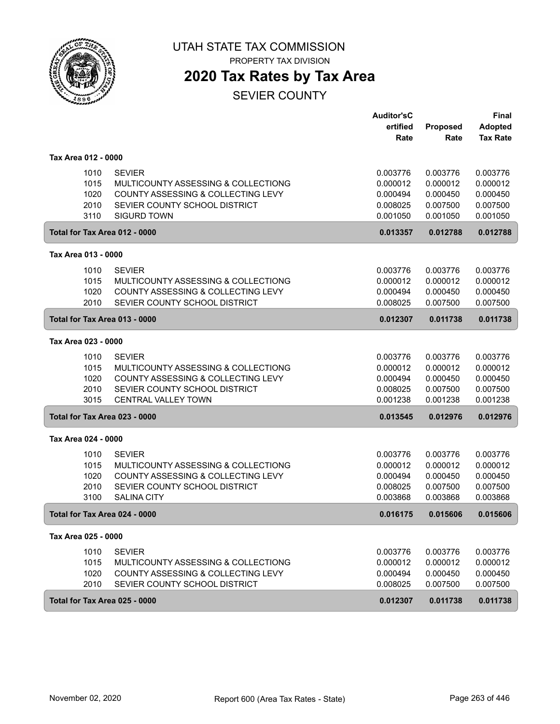

PROPERTY TAX DIVISION

### **2020 Tax Rates by Tax Area**

SEVIER COUNTY

|                                      |                                                                                                                                                           | <b>Auditor'sC</b><br>ertified                            | Proposed                                                 | <b>Final</b><br><b>Adopted</b>                           |
|--------------------------------------|-----------------------------------------------------------------------------------------------------------------------------------------------------------|----------------------------------------------------------|----------------------------------------------------------|----------------------------------------------------------|
|                                      |                                                                                                                                                           | Rate                                                     | Rate                                                     | <b>Tax Rate</b>                                          |
| Tax Area 012 - 0000                  |                                                                                                                                                           |                                                          |                                                          |                                                          |
| 1010<br>1015<br>1020<br>2010<br>3110 | <b>SEVIER</b><br>MULTICOUNTY ASSESSING & COLLECTIONG<br>COUNTY ASSESSING & COLLECTING LEVY<br>SEVIER COUNTY SCHOOL DISTRICT<br><b>SIGURD TOWN</b>         | 0.003776<br>0.000012<br>0.000494<br>0.008025<br>0.001050 | 0.003776<br>0.000012<br>0.000450<br>0.007500<br>0.001050 | 0.003776<br>0.000012<br>0.000450<br>0.007500<br>0.001050 |
| Total for Tax Area 012 - 0000        |                                                                                                                                                           | 0.013357                                                 | 0.012788                                                 | 0.012788                                                 |
| Tax Area 013 - 0000                  |                                                                                                                                                           |                                                          |                                                          |                                                          |
| 1010<br>1015<br>1020<br>2010         | <b>SEVIER</b><br>MULTICOUNTY ASSESSING & COLLECTIONG<br>COUNTY ASSESSING & COLLECTING LEVY<br>SEVIER COUNTY SCHOOL DISTRICT                               | 0.003776<br>0.000012<br>0.000494<br>0.008025             | 0.003776<br>0.000012<br>0.000450<br>0.007500             | 0.003776<br>0.000012<br>0.000450<br>0.007500             |
| Total for Tax Area 013 - 0000        |                                                                                                                                                           | 0.012307                                                 | 0.011738                                                 | 0.011738                                                 |
| Tax Area 023 - 0000                  |                                                                                                                                                           |                                                          |                                                          |                                                          |
| 1010<br>1015<br>1020<br>2010<br>3015 | <b>SEVIER</b><br>MULTICOUNTY ASSESSING & COLLECTIONG<br>COUNTY ASSESSING & COLLECTING LEVY<br>SEVIER COUNTY SCHOOL DISTRICT<br><b>CENTRAL VALLEY TOWN</b> | 0.003776<br>0.000012<br>0.000494<br>0.008025<br>0.001238 | 0.003776<br>0.000012<br>0.000450<br>0.007500<br>0.001238 | 0.003776<br>0.000012<br>0.000450<br>0.007500<br>0.001238 |
| Total for Tax Area 023 - 0000        |                                                                                                                                                           | 0.013545                                                 | 0.012976                                                 | 0.012976                                                 |
| Tax Area 024 - 0000                  |                                                                                                                                                           |                                                          |                                                          |                                                          |
| 1010<br>1015<br>1020<br>2010<br>3100 | <b>SEVIER</b><br>MULTICOUNTY ASSESSING & COLLECTIONG<br>COUNTY ASSESSING & COLLECTING LEVY<br>SEVIER COUNTY SCHOOL DISTRICT<br><b>SALINA CITY</b>         | 0.003776<br>0.000012<br>0.000494<br>0.008025<br>0.003868 | 0.003776<br>0.000012<br>0.000450<br>0.007500<br>0.003868 | 0.003776<br>0.000012<br>0.000450<br>0.007500<br>0.003868 |
| Total for Tax Area 024 - 0000        |                                                                                                                                                           | 0.016175                                                 | 0.015606                                                 | 0.015606                                                 |
| Tax Area 025 - 0000                  |                                                                                                                                                           |                                                          |                                                          |                                                          |
| 1010<br>1015<br>1020<br>2010         | <b>SEVIER</b><br>MULTICOUNTY ASSESSING & COLLECTIONG<br>COUNTY ASSESSING & COLLECTING LEVY<br>SEVIER COUNTY SCHOOL DISTRICT                               | 0.003776<br>0.000012<br>0.000494<br>0.008025             | 0.003776<br>0.000012<br>0.000450<br>0.007500             | 0.003776<br>0.000012<br>0.000450<br>0.007500             |
| Total for Tax Area 025 - 0000        |                                                                                                                                                           | 0.012307                                                 | 0.011738                                                 | 0.011738                                                 |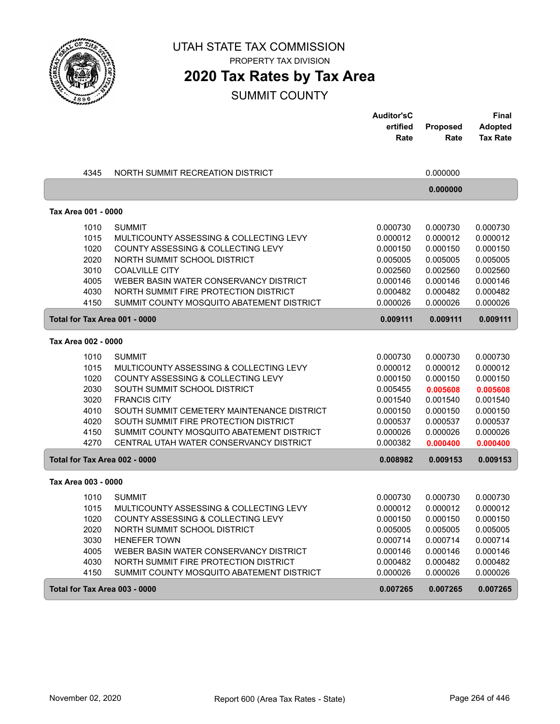

PROPERTY TAX DIVISION

### **2020 Tax Rates by Tax Area**

|                               |                                            | <b>Auditor'sC</b> |          | <b>Final</b>    |
|-------------------------------|--------------------------------------------|-------------------|----------|-----------------|
|                               |                                            | ertified          | Proposed | <b>Adopted</b>  |
|                               |                                            | Rate              | Rate     | <b>Tax Rate</b> |
|                               |                                            |                   |          |                 |
| 4345                          | NORTH SUMMIT RECREATION DISTRICT           |                   | 0.000000 |                 |
|                               |                                            |                   | 0.000000 |                 |
| Tax Area 001 - 0000           |                                            |                   |          |                 |
| 1010                          | <b>SUMMIT</b>                              | 0.000730          | 0.000730 | 0.000730        |
| 1015                          | MULTICOUNTY ASSESSING & COLLECTING LEVY    | 0.000012          | 0.000012 | 0.000012        |
| 1020                          | COUNTY ASSESSING & COLLECTING LEVY         | 0.000150          | 0.000150 | 0.000150        |
| 2020                          | NORTH SUMMIT SCHOOL DISTRICT               | 0.005005          | 0.005005 | 0.005005        |
| 3010                          | <b>COALVILLE CITY</b>                      | 0.002560          | 0.002560 | 0.002560        |
| 4005                          | WEBER BASIN WATER CONSERVANCY DISTRICT     | 0.000146          | 0.000146 | 0.000146        |
| 4030                          | NORTH SUMMIT FIRE PROTECTION DISTRICT      | 0.000482          | 0.000482 | 0.000482        |
| 4150                          | SUMMIT COUNTY MOSQUITO ABATEMENT DISTRICT  | 0.000026          | 0.000026 | 0.000026        |
| Total for Tax Area 001 - 0000 |                                            | 0.009111          | 0.009111 | 0.009111        |
| Tax Area 002 - 0000           |                                            |                   |          |                 |
| 1010                          | <b>SUMMIT</b>                              | 0.000730          | 0.000730 | 0.000730        |
| 1015                          | MULTICOUNTY ASSESSING & COLLECTING LEVY    | 0.000012          | 0.000012 | 0.000012        |
| 1020                          | COUNTY ASSESSING & COLLECTING LEVY         | 0.000150          | 0.000150 | 0.000150        |
| 2030                          | SOUTH SUMMIT SCHOOL DISTRICT               | 0.005455          | 0.005608 | 0.005608        |
| 3020                          | <b>FRANCIS CITY</b>                        | 0.001540          | 0.001540 | 0.001540        |
| 4010                          | SOUTH SUMMIT CEMETERY MAINTENANCE DISTRICT | 0.000150          | 0.000150 | 0.000150        |
| 4020                          | SOUTH SUMMIT FIRE PROTECTION DISTRICT      | 0.000537          | 0.000537 | 0.000537        |
| 4150                          | SUMMIT COUNTY MOSQUITO ABATEMENT DISTRICT  | 0.000026          | 0.000026 | 0.000026        |
| 4270                          | CENTRAL UTAH WATER CONSERVANCY DISTRICT    | 0.000382          | 0.000400 | 0.000400        |
| Total for Tax Area 002 - 0000 |                                            | 0.008982          | 0.009153 | 0.009153        |
| Tax Area 003 - 0000           |                                            |                   |          |                 |
| 1010                          | <b>SUMMIT</b>                              | 0.000730          | 0.000730 | 0.000730        |
| 1015                          | MULTICOUNTY ASSESSING & COLLECTING LEVY    | 0.000012          | 0.000012 | 0.000012        |
| 1020                          | COUNTY ASSESSING & COLLECTING LEVY         | 0.000150          | 0.000150 | 0.000150        |
| 2020                          | NORTH SUMMIT SCHOOL DISTRICT               | 0.005005          | 0.005005 | 0.005005        |
| 3030                          | <b>HENEFER TOWN</b>                        | 0.000714          | 0.000714 | 0.000714        |
| 4005                          | WEBER BASIN WATER CONSERVANCY DISTRICT     | 0.000146          | 0.000146 | 0.000146        |
| 4030                          | NORTH SUMMIT FIRE PROTECTION DISTRICT      | 0.000482          | 0.000482 | 0.000482        |
| 4150                          | SUMMIT COUNTY MOSQUITO ABATEMENT DISTRICT  | 0.000026          | 0.000026 | 0.000026        |
| Total for Tax Area 003 - 0000 |                                            | 0.007265          | 0.007265 | 0.007265        |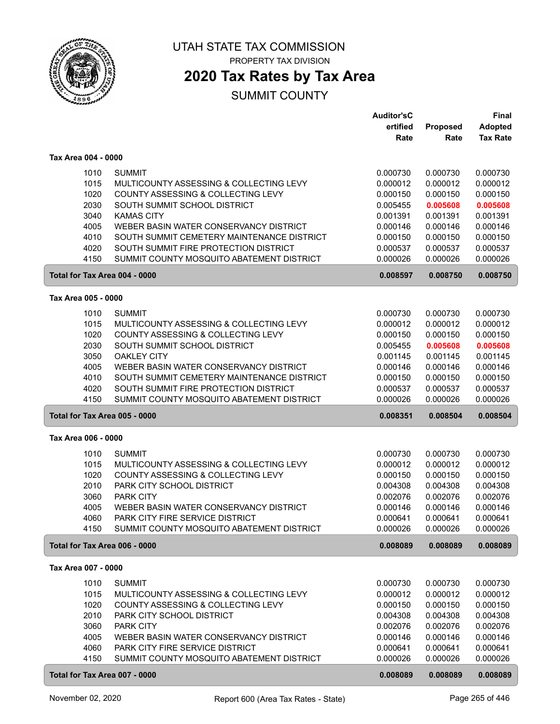

PROPERTY TAX DIVISION

### **2020 Tax Rates by Tax Area**

|                               |                                            | <b>Auditor'sC</b> |          | <b>Final</b>    |
|-------------------------------|--------------------------------------------|-------------------|----------|-----------------|
|                               |                                            | ertified          | Proposed | <b>Adopted</b>  |
|                               |                                            | Rate              | Rate     | <b>Tax Rate</b> |
|                               |                                            |                   |          |                 |
| Tax Area 004 - 0000           |                                            |                   |          |                 |
| 1010                          | <b>SUMMIT</b>                              | 0.000730          | 0.000730 | 0.000730        |
| 1015                          | MULTICOUNTY ASSESSING & COLLECTING LEVY    | 0.000012          | 0.000012 | 0.000012        |
| 1020                          | COUNTY ASSESSING & COLLECTING LEVY         | 0.000150          | 0.000150 | 0.000150        |
| 2030                          | SOUTH SUMMIT SCHOOL DISTRICT               | 0.005455          | 0.005608 | 0.005608        |
| 3040                          | <b>KAMAS CITY</b>                          | 0.001391          | 0.001391 | 0.001391        |
| 4005                          | WEBER BASIN WATER CONSERVANCY DISTRICT     | 0.000146          | 0.000146 | 0.000146        |
| 4010                          | SOUTH SUMMIT CEMETERY MAINTENANCE DISTRICT | 0.000150          | 0.000150 | 0.000150        |
| 4020                          | SOUTH SUMMIT FIRE PROTECTION DISTRICT      | 0.000537          | 0.000537 | 0.000537        |
| 4150                          | SUMMIT COUNTY MOSQUITO ABATEMENT DISTRICT  | 0.000026          | 0.000026 | 0.000026        |
| Total for Tax Area 004 - 0000 |                                            | 0.008597          | 0.008750 | 0.008750        |
| Tax Area 005 - 0000           |                                            |                   |          |                 |
| 1010                          | <b>SUMMIT</b>                              | 0.000730          | 0.000730 | 0.000730        |
| 1015                          | MULTICOUNTY ASSESSING & COLLECTING LEVY    | 0.000012          | 0.000012 | 0.000012        |
| 1020                          | COUNTY ASSESSING & COLLECTING LEVY         | 0.000150          | 0.000150 | 0.000150        |
| 2030                          | SOUTH SUMMIT SCHOOL DISTRICT               | 0.005455          | 0.005608 | 0.005608        |
| 3050                          | <b>OAKLEY CITY</b>                         | 0.001145          | 0.001145 | 0.001145        |
| 4005                          | WEBER BASIN WATER CONSERVANCY DISTRICT     | 0.000146          | 0.000146 | 0.000146        |
| 4010                          | SOUTH SUMMIT CEMETERY MAINTENANCE DISTRICT | 0.000150          | 0.000150 | 0.000150        |
| 4020                          | SOUTH SUMMIT FIRE PROTECTION DISTRICT      | 0.000537          | 0.000537 | 0.000537        |
| 4150                          | SUMMIT COUNTY MOSQUITO ABATEMENT DISTRICT  | 0.000026          | 0.000026 | 0.000026        |
| Total for Tax Area 005 - 0000 |                                            | 0.008351          | 0.008504 | 0.008504        |
| Tax Area 006 - 0000           |                                            |                   |          |                 |
|                               |                                            |                   |          |                 |
| 1010                          | <b>SUMMIT</b>                              | 0.000730          | 0.000730 | 0.000730        |
| 1015                          | MULTICOUNTY ASSESSING & COLLECTING LEVY    | 0.000012          | 0.000012 | 0.000012        |
| 1020                          | COUNTY ASSESSING & COLLECTING LEVY         | 0.000150          | 0.000150 | 0.000150        |
| 2010                          | PARK CITY SCHOOL DISTRICT                  | 0.004308          | 0.004308 | 0.004308        |
| 3060                          | PARK CITY                                  | 0.002076          | 0.002076 | 0.002076        |
| 4005                          | WEBER BASIN WATER CONSERVANCY DISTRICT     | 0.000146          | 0.000146 | 0.000146        |
| 4060                          | PARK CITY FIRE SERVICE DISTRICT            | 0.000641          | 0.000641 | 0.000641        |
| 4150                          | SUMMIT COUNTY MOSQUITO ABATEMENT DISTRICT  | 0.000026          | 0.000026 | 0.000026        |
| Total for Tax Area 006 - 0000 |                                            | 0.008089          | 0.008089 | 0.008089        |
| Tax Area 007 - 0000           |                                            |                   |          |                 |
| 1010                          | <b>SUMMIT</b>                              | 0.000730          | 0.000730 | 0.000730        |
| 1015                          | MULTICOUNTY ASSESSING & COLLECTING LEVY    | 0.000012          | 0.000012 | 0.000012        |
| 1020                          | COUNTY ASSESSING & COLLECTING LEVY         | 0.000150          | 0.000150 | 0.000150        |
| 2010                          | PARK CITY SCHOOL DISTRICT                  | 0.004308          | 0.004308 | 0.004308        |
| 3060                          | PARK CITY                                  | 0.002076          | 0.002076 | 0.002076        |
| 4005                          | WEBER BASIN WATER CONSERVANCY DISTRICT     | 0.000146          | 0.000146 | 0.000146        |
| 4060                          | PARK CITY FIRE SERVICE DISTRICT            | 0.000641          | 0.000641 | 0.000641        |
| 4150                          | SUMMIT COUNTY MOSQUITO ABATEMENT DISTRICT  | 0.000026          | 0.000026 | 0.000026        |
| Total for Tax Area 007 - 0000 |                                            | 0.008089          | 0.008089 | 0.008089        |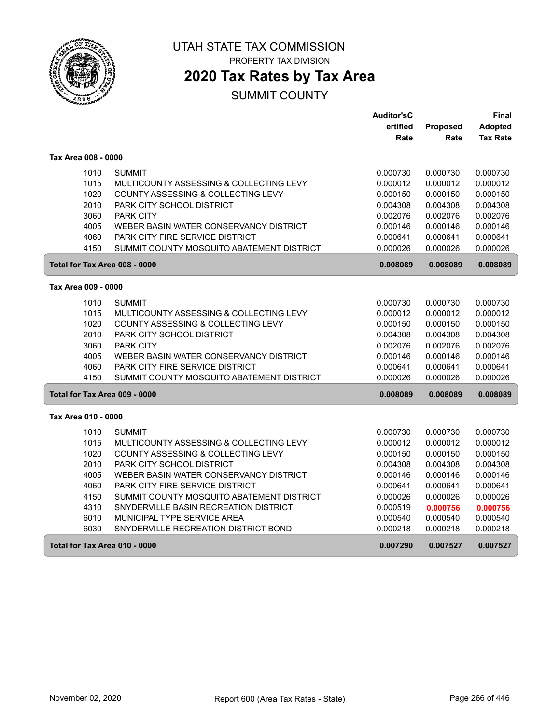

PROPERTY TAX DIVISION

# **2020 Tax Rates by Tax Area**

|                     |                                                   | <b>Auditor'sC</b> |          | Final           |
|---------------------|---------------------------------------------------|-------------------|----------|-----------------|
|                     |                                                   | ertified          | Proposed | Adopted         |
|                     |                                                   | Rate              | Rate     | <b>Tax Rate</b> |
| Tax Area 008 - 0000 |                                                   |                   |          |                 |
|                     | 1010<br><b>SUMMIT</b>                             | 0.000730          | 0.000730 | 0.000730        |
|                     | 1015<br>MULTICOUNTY ASSESSING & COLLECTING LEVY   | 0.000012          | 0.000012 | 0.000012        |
|                     | 1020<br>COUNTY ASSESSING & COLLECTING LEVY        | 0.000150          | 0.000150 | 0.000150        |
|                     | 2010<br>PARK CITY SCHOOL DISTRICT                 | 0.004308          | 0.004308 | 0.004308        |
|                     | 3060<br><b>PARK CITY</b>                          | 0.002076          | 0.002076 | 0.002076        |
|                     | 4005<br>WEBER BASIN WATER CONSERVANCY DISTRICT    | 0.000146          | 0.000146 | 0.000146        |
|                     | 4060<br>PARK CITY FIRE SERVICE DISTRICT           | 0.000641          | 0.000641 | 0.000641        |
|                     | 4150<br>SUMMIT COUNTY MOSQUITO ABATEMENT DISTRICT | 0.000026          | 0.000026 | 0.000026        |
|                     | Total for Tax Area 008 - 0000                     | 0.008089          | 0.008089 | 0.008089        |
| Tax Area 009 - 0000 |                                                   |                   |          |                 |
|                     | 1010<br><b>SUMMIT</b>                             | 0.000730          | 0.000730 | 0.000730        |
|                     | 1015<br>MULTICOUNTY ASSESSING & COLLECTING LEVY   | 0.000012          | 0.000012 | 0.000012        |
|                     | 1020<br>COUNTY ASSESSING & COLLECTING LEVY        | 0.000150          | 0.000150 | 0.000150        |
|                     | 2010<br>PARK CITY SCHOOL DISTRICT                 | 0.004308          | 0.004308 | 0.004308        |
|                     | 3060<br><b>PARK CITY</b>                          | 0.002076          | 0.002076 | 0.002076        |
|                     | 4005<br>WEBER BASIN WATER CONSERVANCY DISTRICT    | 0.000146          | 0.000146 | 0.000146        |
|                     | 4060<br>PARK CITY FIRE SERVICE DISTRICT           | 0.000641          | 0.000641 | 0.000641        |
|                     | 4150<br>SUMMIT COUNTY MOSQUITO ABATEMENT DISTRICT | 0.000026          | 0.000026 | 0.000026        |
|                     | Total for Tax Area 009 - 0000                     | 0.008089          | 0.008089 | 0.008089        |
| Tax Area 010 - 0000 |                                                   |                   |          |                 |
|                     | 1010<br><b>SUMMIT</b>                             | 0.000730          | 0.000730 | 0.000730        |
|                     | 1015<br>MULTICOUNTY ASSESSING & COLLECTING LEVY   | 0.000012          | 0.000012 | 0.000012        |
|                     | 1020<br>COUNTY ASSESSING & COLLECTING LEVY        | 0.000150          | 0.000150 | 0.000150        |
|                     | 2010<br><b>PARK CITY SCHOOL DISTRICT</b>          | 0.004308          | 0.004308 | 0.004308        |
|                     | 4005<br>WEBER BASIN WATER CONSERVANCY DISTRICT    | 0.000146          | 0.000146 | 0.000146        |
|                     | 4060<br>PARK CITY FIRE SERVICE DISTRICT           | 0.000641          | 0.000641 | 0.000641        |
|                     | 4150<br>SUMMIT COUNTY MOSQUITO ABATEMENT DISTRICT | 0.000026          | 0.000026 | 0.000026        |
|                     | 4310<br>SNYDERVILLE BASIN RECREATION DISTRICT     | 0.000519          | 0.000756 | 0.000756        |
|                     | 6010<br>MUNICIPAL TYPE SERVICE AREA               | 0.000540          | 0.000540 | 0.000540        |
|                     | 6030<br>SNYDERVILLE RECREATION DISTRICT BOND      | 0.000218          | 0.000218 | 0.000218        |
|                     | Total for Tax Area 010 - 0000                     | 0.007290          | 0.007527 | 0.007527        |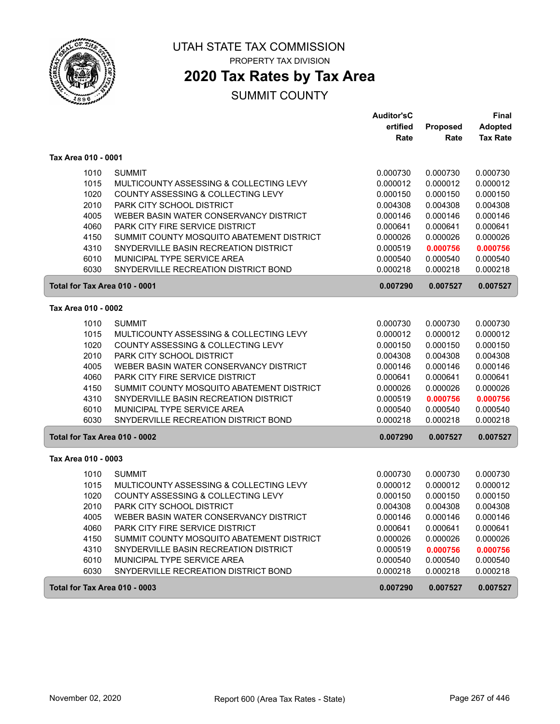

PROPERTY TAX DIVISION

# **2020 Tax Rates by Tax Area**

|                               |                                           | <b>Auditor'sC</b> |          | <b>Final</b>    |
|-------------------------------|-------------------------------------------|-------------------|----------|-----------------|
|                               |                                           | ertified          | Proposed | <b>Adopted</b>  |
|                               |                                           | Rate              | Rate     | <b>Tax Rate</b> |
| Tax Area 010 - 0001           |                                           |                   |          |                 |
| 1010                          | <b>SUMMIT</b>                             | 0.000730          | 0.000730 | 0.000730        |
| 1015                          | MULTICOUNTY ASSESSING & COLLECTING LEVY   | 0.000012          | 0.000012 | 0.000012        |
| 1020                          | COUNTY ASSESSING & COLLECTING LEVY        | 0.000150          | 0.000150 | 0.000150        |
| 2010                          | PARK CITY SCHOOL DISTRICT                 | 0.004308          | 0.004308 | 0.004308        |
| 4005                          | WEBER BASIN WATER CONSERVANCY DISTRICT    | 0.000146          | 0.000146 | 0.000146        |
| 4060                          | PARK CITY FIRE SERVICE DISTRICT           | 0.000641          | 0.000641 | 0.000641        |
| 4150                          | SUMMIT COUNTY MOSQUITO ABATEMENT DISTRICT | 0.000026          | 0.000026 | 0.000026        |
| 4310                          | SNYDERVILLE BASIN RECREATION DISTRICT     | 0.000519          | 0.000756 | 0.000756        |
| 6010                          | MUNICIPAL TYPE SERVICE AREA               | 0.000540          | 0.000540 | 0.000540        |
| 6030                          | SNYDERVILLE RECREATION DISTRICT BOND      | 0.000218          | 0.000218 | 0.000218        |
| Total for Tax Area 010 - 0001 |                                           | 0.007290          | 0.007527 | 0.007527        |
| Tax Area 010 - 0002           |                                           |                   |          |                 |
| 1010                          | <b>SUMMIT</b>                             | 0.000730          | 0.000730 | 0.000730        |
| 1015                          | MULTICOUNTY ASSESSING & COLLECTING LEVY   | 0.000012          | 0.000012 | 0.000012        |
| 1020                          | COUNTY ASSESSING & COLLECTING LEVY        | 0.000150          | 0.000150 | 0.000150        |
| 2010                          | PARK CITY SCHOOL DISTRICT                 | 0.004308          | 0.004308 | 0.004308        |
| 4005                          | WEBER BASIN WATER CONSERVANCY DISTRICT    | 0.000146          | 0.000146 | 0.000146        |
| 4060                          | PARK CITY FIRE SERVICE DISTRICT           | 0.000641          | 0.000641 | 0.000641        |
| 4150                          | SUMMIT COUNTY MOSQUITO ABATEMENT DISTRICT | 0.000026          | 0.000026 | 0.000026        |
| 4310                          | SNYDERVILLE BASIN RECREATION DISTRICT     | 0.000519          | 0.000756 | 0.000756        |
| 6010                          | MUNICIPAL TYPE SERVICE AREA               | 0.000540          | 0.000540 | 0.000540        |
| 6030                          | SNYDERVILLE RECREATION DISTRICT BOND      | 0.000218          | 0.000218 | 0.000218        |
| Total for Tax Area 010 - 0002 |                                           | 0.007290          | 0.007527 | 0.007527        |
| Tax Area 010 - 0003           |                                           |                   |          |                 |
| 1010                          | <b>SUMMIT</b>                             | 0.000730          | 0.000730 | 0.000730        |
| 1015                          | MULTICOUNTY ASSESSING & COLLECTING LEVY   | 0.000012          | 0.000012 | 0.000012        |
| 1020                          | COUNTY ASSESSING & COLLECTING LEVY        | 0.000150          | 0.000150 | 0.000150        |
| 2010                          | PARK CITY SCHOOL DISTRICT                 | 0.004308          | 0.004308 | 0.004308        |
| 4005                          | WEBER BASIN WATER CONSERVANCY DISTRICT    | 0.000146          | 0.000146 | 0.000146        |
| 4060                          | <b>PARK CITY FIRE SERVICE DISTRICT</b>    | 0.000641          | 0.000641 | 0.000641        |
| 4150                          | SUMMIT COUNTY MOSQUITO ABATEMENT DISTRICT | 0.000026          | 0.000026 | 0.000026        |
| 4310                          | SNYDERVILLE BASIN RECREATION DISTRICT     | 0.000519          | 0.000756 | 0.000756        |
| 6010                          | MUNICIPAL TYPE SERVICE AREA               | 0.000540          | 0.000540 | 0.000540        |
| 6030                          | SNYDERVILLE RECREATION DISTRICT BOND      | 0.000218          | 0.000218 | 0.000218        |
| Total for Tax Area 010 - 0003 |                                           | 0.007290          | 0.007527 | 0.007527        |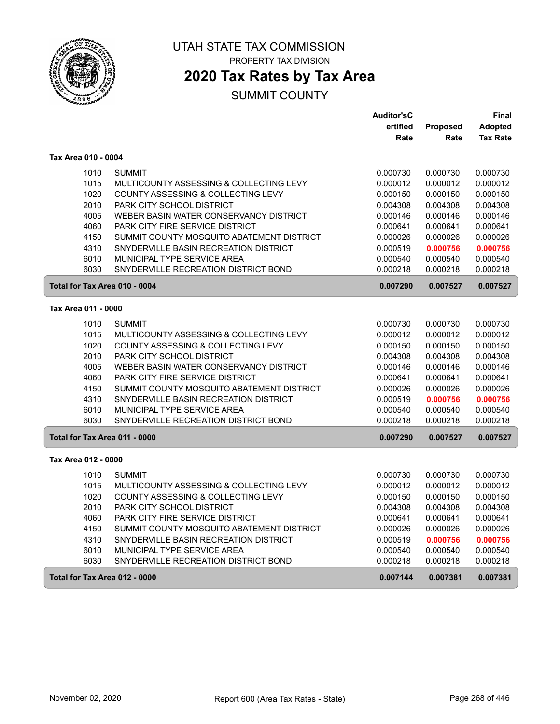

PROPERTY TAX DIVISION

### **2020 Tax Rates by Tax Area**

|                               |                                           | <b>Auditor'sC</b> |                 | Final           |
|-------------------------------|-------------------------------------------|-------------------|-----------------|-----------------|
|                               |                                           | ertified          | <b>Proposed</b> | <b>Adopted</b>  |
|                               |                                           | Rate              | Rate            | <b>Tax Rate</b> |
| Tax Area 010 - 0004           |                                           |                   |                 |                 |
| 1010                          | <b>SUMMIT</b>                             | 0.000730          | 0.000730        | 0.000730        |
| 1015                          | MULTICOUNTY ASSESSING & COLLECTING LEVY   | 0.000012          | 0.000012        | 0.000012        |
| 1020                          | COUNTY ASSESSING & COLLECTING LEVY        | 0.000150          | 0.000150        | 0.000150        |
| 2010                          | PARK CITY SCHOOL DISTRICT                 | 0.004308          | 0.004308        | 0.004308        |
| 4005                          | WEBER BASIN WATER CONSERVANCY DISTRICT    | 0.000146          | 0.000146        | 0.000146        |
| 4060                          | PARK CITY FIRE SERVICE DISTRICT           | 0.000641          | 0.000641        | 0.000641        |
| 4150                          | SUMMIT COUNTY MOSQUITO ABATEMENT DISTRICT | 0.000026          | 0.000026        | 0.000026        |
| 4310                          | SNYDERVILLE BASIN RECREATION DISTRICT     | 0.000519          | 0.000756        | 0.000756        |
| 6010                          | MUNICIPAL TYPE SERVICE AREA               | 0.000540          | 0.000540        | 0.000540        |
| 6030                          | SNYDERVILLE RECREATION DISTRICT BOND      | 0.000218          | 0.000218        | 0.000218        |
| Total for Tax Area 010 - 0004 |                                           | 0.007290          | 0.007527        | 0.007527        |
| Tax Area 011 - 0000           |                                           |                   |                 |                 |
| 1010                          | <b>SUMMIT</b>                             | 0.000730          | 0.000730        | 0.000730        |
| 1015                          | MULTICOUNTY ASSESSING & COLLECTING LEVY   | 0.000012          | 0.000012        | 0.000012        |
| 1020                          | COUNTY ASSESSING & COLLECTING LEVY        | 0.000150          | 0.000150        | 0.000150        |
| 2010                          | PARK CITY SCHOOL DISTRICT                 | 0.004308          | 0.004308        | 0.004308        |
| 4005                          | WEBER BASIN WATER CONSERVANCY DISTRICT    | 0.000146          | 0.000146        | 0.000146        |
| 4060                          | <b>PARK CITY FIRE SERVICE DISTRICT</b>    | 0.000641          | 0.000641        | 0.000641        |
| 4150                          | SUMMIT COUNTY MOSQUITO ABATEMENT DISTRICT | 0.000026          | 0.000026        | 0.000026        |
| 4310                          | SNYDERVILLE BASIN RECREATION DISTRICT     | 0.000519          | 0.000756        | 0.000756        |
| 6010                          | MUNICIPAL TYPE SERVICE AREA               | 0.000540          | 0.000540        | 0.000540        |
| 6030                          | SNYDERVILLE RECREATION DISTRICT BOND      | 0.000218          | 0.000218        | 0.000218        |
| Total for Tax Area 011 - 0000 |                                           | 0.007290          | 0.007527        | 0.007527        |
| Tax Area 012 - 0000           |                                           |                   |                 |                 |
| 1010                          | <b>SUMMIT</b>                             | 0.000730          | 0.000730        | 0.000730        |
| 1015                          | MULTICOUNTY ASSESSING & COLLECTING LEVY   | 0.000012          | 0.000012        | 0.000012        |
| 1020                          | COUNTY ASSESSING & COLLECTING LEVY        | 0.000150          | 0.000150        | 0.000150        |
| 2010                          | PARK CITY SCHOOL DISTRICT                 | 0.004308          | 0.004308        | 0.004308        |
| 4060                          | PARK CITY FIRE SERVICE DISTRICT           | 0.000641          | 0.000641        | 0.000641        |
| 4150                          | SUMMIT COUNTY MOSQUITO ABATEMENT DISTRICT | 0.000026          | 0.000026        | 0.000026        |
| 4310                          | SNYDERVILLE BASIN RECREATION DISTRICT     | 0.000519          | 0.000756        | 0.000756        |
| 6010                          | MUNICIPAL TYPE SERVICE AREA               | 0.000540          | 0.000540        | 0.000540        |
| 6030                          | SNYDERVILLE RECREATION DISTRICT BOND      | 0.000218          | 0.000218        | 0.000218        |
| Total for Tax Area 012 - 0000 |                                           | 0.007144          | 0.007381        | 0.007381        |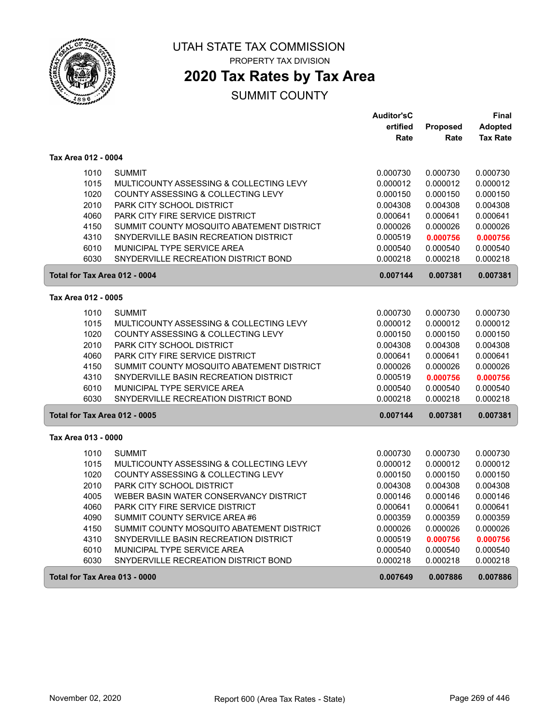

PROPERTY TAX DIVISION

### **2020 Tax Rates by Tax Area**

|                     |                                           | <b>Auditor'sC</b> |                 | <b>Final</b>    |
|---------------------|-------------------------------------------|-------------------|-----------------|-----------------|
|                     |                                           | ertified          | <b>Proposed</b> | <b>Adopted</b>  |
|                     |                                           | Rate              | Rate            | <b>Tax Rate</b> |
| Tax Area 012 - 0004 |                                           |                   |                 |                 |
| 1010                | <b>SUMMIT</b>                             | 0.000730          | 0.000730        | 0.000730        |
| 1015                | MULTICOUNTY ASSESSING & COLLECTING LEVY   | 0.000012          | 0.000012        | 0.000012        |
| 1020                | COUNTY ASSESSING & COLLECTING LEVY        | 0.000150          | 0.000150        | 0.000150        |
| 2010                | PARK CITY SCHOOL DISTRICT                 | 0.004308          | 0.004308        | 0.004308        |
| 4060                | <b>PARK CITY FIRE SERVICE DISTRICT</b>    | 0.000641          | 0.000641        | 0.000641        |
| 4150                | SUMMIT COUNTY MOSQUITO ABATEMENT DISTRICT | 0.000026          | 0.000026        | 0.000026        |
| 4310                | SNYDERVILLE BASIN RECREATION DISTRICT     | 0.000519          | 0.000756        | 0.000756        |
| 6010                | MUNICIPAL TYPE SERVICE AREA               | 0.000540          | 0.000540        | 0.000540        |
| 6030                | SNYDERVILLE RECREATION DISTRICT BOND      | 0.000218          | 0.000218        | 0.000218        |
|                     | Total for Tax Area 012 - 0004             | 0.007144          | 0.007381        | 0.007381        |
| Tax Area 012 - 0005 |                                           |                   |                 |                 |
| 1010                | <b>SUMMIT</b>                             | 0.000730          | 0.000730        | 0.000730        |
| 1015                | MULTICOUNTY ASSESSING & COLLECTING LEVY   | 0.000012          | 0.000012        | 0.000012        |
| 1020                | COUNTY ASSESSING & COLLECTING LEVY        | 0.000150          | 0.000150        | 0.000150        |
| 2010                | PARK CITY SCHOOL DISTRICT                 | 0.004308          | 0.004308        | 0.004308        |
| 4060                | PARK CITY FIRE SERVICE DISTRICT           | 0.000641          | 0.000641        | 0.000641        |
| 4150                | SUMMIT COUNTY MOSQUITO ABATEMENT DISTRICT | 0.000026          | 0.000026        | 0.000026        |
| 4310                | SNYDERVILLE BASIN RECREATION DISTRICT     | 0.000519          | 0.000756        | 0.000756        |
| 6010                | MUNICIPAL TYPE SERVICE AREA               | 0.000540          | 0.000540        | 0.000540        |
| 6030                | SNYDERVILLE RECREATION DISTRICT BOND      | 0.000218          | 0.000218        | 0.000218        |
|                     | Total for Tax Area 012 - 0005             | 0.007144          | 0.007381        | 0.007381        |
| Tax Area 013 - 0000 |                                           |                   |                 |                 |
| 1010                | <b>SUMMIT</b>                             | 0.000730          | 0.000730        | 0.000730        |
| 1015                | MULTICOUNTY ASSESSING & COLLECTING LEVY   | 0.000012          | 0.000012        | 0.000012        |
| 1020                | COUNTY ASSESSING & COLLECTING LEVY        | 0.000150          | 0.000150        | 0.000150        |
| 2010                | PARK CITY SCHOOL DISTRICT                 | 0.004308          | 0.004308        | 0.004308        |
| 4005                | WEBER BASIN WATER CONSERVANCY DISTRICT    | 0.000146          | 0.000146        | 0.000146        |
| 4060                | <b>PARK CITY FIRE SERVICE DISTRICT</b>    | 0.000641          | 0.000641        | 0.000641        |
| 4090                | SUMMIT COUNTY SERVICE AREA #6             | 0.000359          | 0.000359        | 0.000359        |
| 4150                | SUMMIT COUNTY MOSQUITO ABATEMENT DISTRICT | 0.000026          | 0.000026        | 0.000026        |
| 4310                | SNYDERVILLE BASIN RECREATION DISTRICT     | 0.000519          | 0.000756        | 0.000756        |
| 6010                | MUNICIPAL TYPE SERVICE AREA               | 0.000540          | 0.000540        | 0.000540        |
| 6030                | SNYDERVILLE RECREATION DISTRICT BOND      | 0.000218          | 0.000218        | 0.000218        |
|                     | Total for Tax Area 013 - 0000             | 0.007649          | 0.007886        | 0.007886        |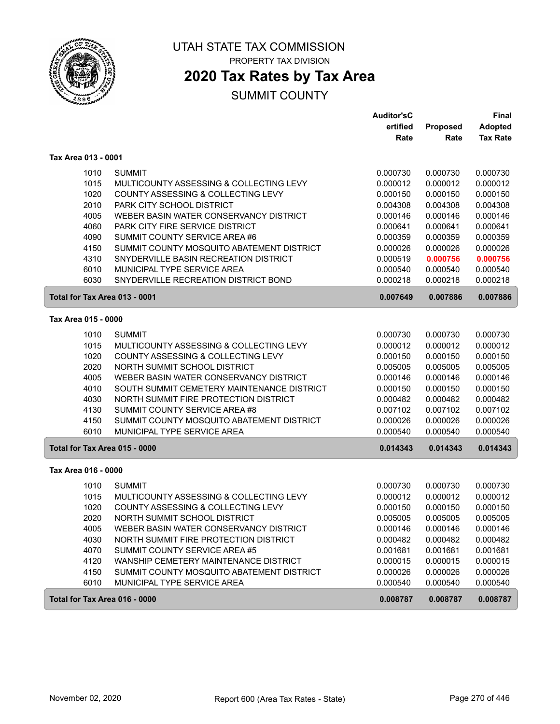

PROPERTY TAX DIVISION

# **2020 Tax Rates by Tax Area**

|                               |                                            | Auditor'sC |                 | <b>Final</b>    |
|-------------------------------|--------------------------------------------|------------|-----------------|-----------------|
|                               |                                            | ertified   | <b>Proposed</b> | <b>Adopted</b>  |
|                               |                                            | Rate       | Rate            | <b>Tax Rate</b> |
| Tax Area 013 - 0001           |                                            |            |                 |                 |
| 1010                          | <b>SUMMIT</b>                              | 0.000730   | 0.000730        | 0.000730        |
| 1015                          | MULTICOUNTY ASSESSING & COLLECTING LEVY    | 0.000012   | 0.000012        | 0.000012        |
| 1020                          | COUNTY ASSESSING & COLLECTING LEVY         | 0.000150   | 0.000150        | 0.000150        |
| 2010                          | PARK CITY SCHOOL DISTRICT                  | 0.004308   | 0.004308        | 0.004308        |
| 4005                          | WEBER BASIN WATER CONSERVANCY DISTRICT     | 0.000146   | 0.000146        | 0.000146        |
| 4060                          | PARK CITY FIRE SERVICE DISTRICT            | 0.000641   | 0.000641        | 0.000641        |
| 4090                          | SUMMIT COUNTY SERVICE AREA #6              | 0.000359   | 0.000359        | 0.000359        |
| 4150                          | SUMMIT COUNTY MOSQUITO ABATEMENT DISTRICT  | 0.000026   | 0.000026        | 0.000026        |
| 4310                          | SNYDERVILLE BASIN RECREATION DISTRICT      | 0.000519   | 0.000756        | 0.000756        |
| 6010                          | MUNICIPAL TYPE SERVICE AREA                | 0.000540   | 0.000540        | 0.000540        |
| 6030                          | SNYDERVILLE RECREATION DISTRICT BOND       | 0.000218   | 0.000218        | 0.000218        |
| Total for Tax Area 013 - 0001 |                                            | 0.007649   | 0.007886        | 0.007886        |
| Tax Area 015 - 0000           |                                            |            |                 |                 |
| 1010                          | <b>SUMMIT</b>                              | 0.000730   | 0.000730        | 0.000730        |
| 1015                          | MULTICOUNTY ASSESSING & COLLECTING LEVY    | 0.000012   | 0.000012        | 0.000012        |
| 1020                          | COUNTY ASSESSING & COLLECTING LEVY         | 0.000150   | 0.000150        | 0.000150        |
| 2020                          | NORTH SUMMIT SCHOOL DISTRICT               | 0.005005   | 0.005005        | 0.005005        |
| 4005                          | WEBER BASIN WATER CONSERVANCY DISTRICT     | 0.000146   | 0.000146        | 0.000146        |
| 4010                          | SOUTH SUMMIT CEMETERY MAINTENANCE DISTRICT | 0.000150   | 0.000150        | 0.000150        |
| 4030                          | NORTH SUMMIT FIRE PROTECTION DISTRICT      | 0.000482   | 0.000482        | 0.000482        |
| 4130                          | SUMMIT COUNTY SERVICE AREA #8              | 0.007102   | 0.007102        | 0.007102        |
| 4150                          | SUMMIT COUNTY MOSQUITO ABATEMENT DISTRICT  | 0.000026   | 0.000026        | 0.000026        |
| 6010                          | MUNICIPAL TYPE SERVICE AREA                | 0.000540   | 0.000540        | 0.000540        |
| Total for Tax Area 015 - 0000 |                                            | 0.014343   | 0.014343        | 0.014343        |
| Tax Area 016 - 0000           |                                            |            |                 |                 |
| 1010                          | <b>SUMMIT</b>                              | 0.000730   | 0.000730        | 0.000730        |
| 1015                          | MULTICOUNTY ASSESSING & COLLECTING LEVY    | 0.000012   | 0.000012        | 0.000012        |
| 1020                          | COUNTY ASSESSING & COLLECTING LEVY         | 0.000150   | 0.000150        | 0.000150        |
| 2020                          | NORTH SUMMIT SCHOOL DISTRICT               | 0.005005   | 0.005005        | 0.005005        |
| 4005                          | WEBER BASIN WATER CONSERVANCY DISTRICT     | 0.000146   | 0.000146        | 0.000146        |
| 4030                          | NORTH SUMMIT FIRE PROTECTION DISTRICT      | 0.000482   | 0.000482        | 0.000482        |
| 4070                          | SUMMIT COUNTY SERVICE AREA #5              | 0.001681   | 0.001681        | 0.001681        |
| 4120                          | WANSHIP CEMETERY MAINTENANCE DISTRICT      | 0.000015   | 0.000015        | 0.000015        |
| 4150                          | SUMMIT COUNTY MOSQUITO ABATEMENT DISTRICT  | 0.000026   | 0.000026        | 0.000026        |
| 6010                          | MUNICIPAL TYPE SERVICE AREA                | 0.000540   | 0.000540        | 0.000540        |
| Total for Tax Area 016 - 0000 |                                            | 0.008787   | 0.008787        | 0.008787        |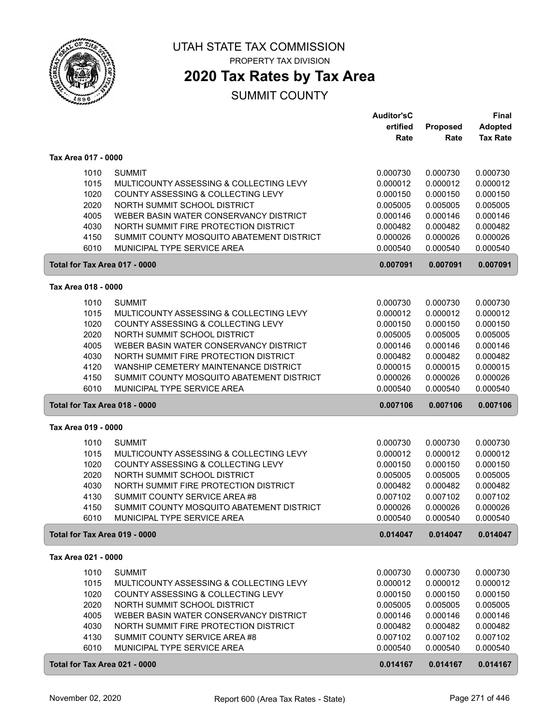

PROPERTY TAX DIVISION

### **2020 Tax Rates by Tax Area**

|                               |                                           | <b>Auditor'sC</b> |          | <b>Final</b>    |
|-------------------------------|-------------------------------------------|-------------------|----------|-----------------|
|                               |                                           | ertified          | Proposed | <b>Adopted</b>  |
|                               |                                           | Rate              | Rate     | <b>Tax Rate</b> |
| Tax Area 017 - 0000           |                                           |                   |          |                 |
| 1010                          | <b>SUMMIT</b>                             | 0.000730          | 0.000730 | 0.000730        |
| 1015                          | MULTICOUNTY ASSESSING & COLLECTING LEVY   | 0.000012          | 0.000012 | 0.000012        |
| 1020                          | COUNTY ASSESSING & COLLECTING LEVY        | 0.000150          | 0.000150 | 0.000150        |
| 2020                          | NORTH SUMMIT SCHOOL DISTRICT              | 0.005005          | 0.005005 | 0.005005        |
| 4005                          | WEBER BASIN WATER CONSERVANCY DISTRICT    | 0.000146          | 0.000146 | 0.000146        |
| 4030                          | NORTH SUMMIT FIRE PROTECTION DISTRICT     | 0.000482          | 0.000482 | 0.000482        |
| 4150                          | SUMMIT COUNTY MOSQUITO ABATEMENT DISTRICT | 0.000026          | 0.000026 | 0.000026        |
| 6010                          | MUNICIPAL TYPE SERVICE AREA               | 0.000540          | 0.000540 | 0.000540        |
| Total for Tax Area 017 - 0000 |                                           | 0.007091          | 0.007091 | 0.007091        |
| Tax Area 018 - 0000           |                                           |                   |          |                 |
| 1010                          | <b>SUMMIT</b>                             | 0.000730          | 0.000730 | 0.000730        |
| 1015                          | MULTICOUNTY ASSESSING & COLLECTING LEVY   | 0.000012          | 0.000012 | 0.000012        |
| 1020                          | COUNTY ASSESSING & COLLECTING LEVY        | 0.000150          | 0.000150 | 0.000150        |
| 2020                          | NORTH SUMMIT SCHOOL DISTRICT              | 0.005005          | 0.005005 | 0.005005        |
| 4005                          | WEBER BASIN WATER CONSERVANCY DISTRICT    | 0.000146          | 0.000146 | 0.000146        |
| 4030                          | NORTH SUMMIT FIRE PROTECTION DISTRICT     | 0.000482          | 0.000482 | 0.000482        |
| 4120                          | WANSHIP CEMETERY MAINTENANCE DISTRICT     | 0.000015          | 0.000015 | 0.000015        |
| 4150                          | SUMMIT COUNTY MOSQUITO ABATEMENT DISTRICT | 0.000026          | 0.000026 | 0.000026        |
| 6010                          | MUNICIPAL TYPE SERVICE AREA               | 0.000540          | 0.000540 | 0.000540        |
| Total for Tax Area 018 - 0000 |                                           | 0.007106          | 0.007106 | 0.007106        |
| Tax Area 019 - 0000           |                                           |                   |          |                 |
| 1010                          | <b>SUMMIT</b>                             | 0.000730          | 0.000730 | 0.000730        |
| 1015                          | MULTICOUNTY ASSESSING & COLLECTING LEVY   | 0.000012          | 0.000012 | 0.000012        |
| 1020                          | COUNTY ASSESSING & COLLECTING LEVY        | 0.000150          | 0.000150 | 0.000150        |
| 2020                          | NORTH SUMMIT SCHOOL DISTRICT              | 0.005005          | 0.005005 | 0.005005        |
| 4030                          | NORTH SUMMIT FIRE PROTECTION DISTRICT     | 0.000482          | 0.000482 | 0.000482        |
| 4130                          | SUMMIT COUNTY SERVICE AREA #8             | 0.007102          | 0.007102 | 0.007102        |
| 4150                          | SUMMIT COUNTY MOSQUITO ABATEMENT DISTRICT | 0.000026          | 0.000026 | 0.000026        |
| 6010                          | MUNICIPAL TYPE SERVICE AREA               | 0.000540          | 0.000540 | 0.000540        |
| Total for Tax Area 019 - 0000 |                                           | 0.014047          | 0.014047 | 0.014047        |
| Tax Area 021 - 0000           |                                           |                   |          |                 |
| 1010                          | <b>SUMMIT</b>                             | 0.000730          | 0.000730 | 0.000730        |
| 1015                          | MULTICOUNTY ASSESSING & COLLECTING LEVY   | 0.000012          | 0.000012 | 0.000012        |
| 1020                          | COUNTY ASSESSING & COLLECTING LEVY        | 0.000150          | 0.000150 | 0.000150        |
| 2020                          | NORTH SUMMIT SCHOOL DISTRICT              | 0.005005          | 0.005005 | 0.005005        |
| 4005                          | WEBER BASIN WATER CONSERVANCY DISTRICT    | 0.000146          | 0.000146 | 0.000146        |
| 4030                          | NORTH SUMMIT FIRE PROTECTION DISTRICT     | 0.000482          | 0.000482 | 0.000482        |
| 4130                          | SUMMIT COUNTY SERVICE AREA #8             | 0.007102          | 0.007102 | 0.007102        |
| 6010                          | MUNICIPAL TYPE SERVICE AREA               | 0.000540          | 0.000540 | 0.000540        |
| Total for Tax Area 021 - 0000 |                                           | 0.014167          | 0.014167 | 0.014167        |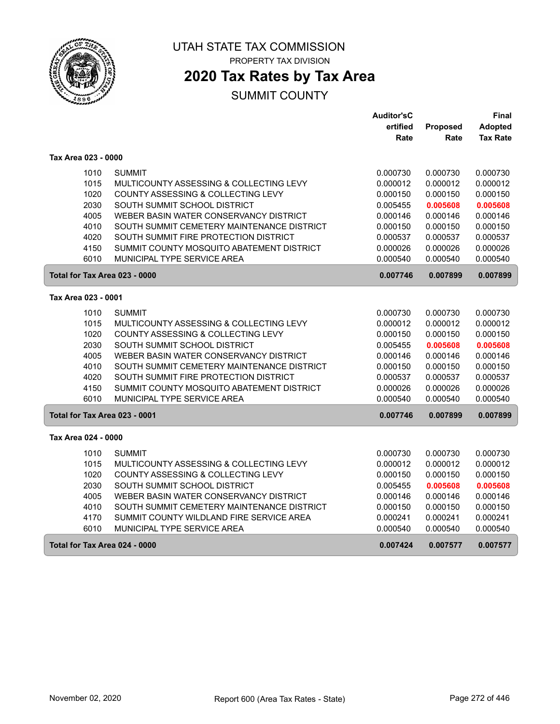

PROPERTY TAX DIVISION

# **2020 Tax Rates by Tax Area**

|                               |                                            | <b>Auditor'sC</b> |                 | Final           |
|-------------------------------|--------------------------------------------|-------------------|-----------------|-----------------|
|                               |                                            | ertified          | <b>Proposed</b> | <b>Adopted</b>  |
|                               |                                            | Rate              | Rate            | <b>Tax Rate</b> |
| Tax Area 023 - 0000           |                                            |                   |                 |                 |
| 1010                          | <b>SUMMIT</b>                              | 0.000730          | 0.000730        | 0.000730        |
| 1015                          | MULTICOUNTY ASSESSING & COLLECTING LEVY    | 0.000012          | 0.000012        | 0.000012        |
| 1020                          | COUNTY ASSESSING & COLLECTING LEVY         | 0.000150          | 0.000150        | 0.000150        |
| 2030                          | SOUTH SUMMIT SCHOOL DISTRICT               | 0.005455          | 0.005608        | 0.005608        |
| 4005                          | WEBER BASIN WATER CONSERVANCY DISTRICT     | 0.000146          | 0.000146        | 0.000146        |
| 4010                          | SOUTH SUMMIT CEMETERY MAINTENANCE DISTRICT | 0.000150          | 0.000150        | 0.000150        |
| 4020                          | SOUTH SUMMIT FIRE PROTECTION DISTRICT      | 0.000537          | 0.000537        | 0.000537        |
| 4150                          | SUMMIT COUNTY MOSQUITO ABATEMENT DISTRICT  | 0.000026          | 0.000026        | 0.000026        |
| 6010                          | MUNICIPAL TYPE SERVICE AREA                | 0.000540          | 0.000540        | 0.000540        |
| Total for Tax Area 023 - 0000 |                                            | 0.007746          | 0.007899        | 0.007899        |
| Tax Area 023 - 0001           |                                            |                   |                 |                 |
| 1010                          | <b>SUMMIT</b>                              | 0.000730          | 0.000730        | 0.000730        |
| 1015                          | MULTICOUNTY ASSESSING & COLLECTING LEVY    | 0.000012          | 0.000012        | 0.000012        |
| 1020                          | COUNTY ASSESSING & COLLECTING LEVY         | 0.000150          | 0.000150        | 0.000150        |
| 2030                          | SOUTH SUMMIT SCHOOL DISTRICT               | 0.005455          | 0.005608        | 0.005608        |
| 4005                          | WEBER BASIN WATER CONSERVANCY DISTRICT     | 0.000146          | 0.000146        | 0.000146        |
| 4010                          | SOUTH SUMMIT CEMETERY MAINTENANCE DISTRICT | 0.000150          | 0.000150        | 0.000150        |
| 4020                          | SOUTH SUMMIT FIRE PROTECTION DISTRICT      | 0.000537          | 0.000537        | 0.000537        |
| 4150                          | SUMMIT COUNTY MOSQUITO ABATEMENT DISTRICT  | 0.000026          | 0.000026        | 0.000026        |
| 6010                          | MUNICIPAL TYPE SERVICE AREA                | 0.000540          | 0.000540        | 0.000540        |
| Total for Tax Area 023 - 0001 |                                            | 0.007746          | 0.007899        | 0.007899        |
| Tax Area 024 - 0000           |                                            |                   |                 |                 |
| 1010                          | <b>SUMMIT</b>                              | 0.000730          | 0.000730        | 0.000730        |
| 1015                          | MULTICOUNTY ASSESSING & COLLECTING LEVY    | 0.000012          | 0.000012        | 0.000012        |
| 1020                          | COUNTY ASSESSING & COLLECTING LEVY         | 0.000150          | 0.000150        | 0.000150        |
| 2030                          | SOUTH SUMMIT SCHOOL DISTRICT               | 0.005455          | 0.005608        | 0.005608        |
| 4005                          | WEBER BASIN WATER CONSERVANCY DISTRICT     | 0.000146          | 0.000146        | 0.000146        |
| 4010                          | SOUTH SUMMIT CEMETERY MAINTENANCE DISTRICT | 0.000150          | 0.000150        | 0.000150        |
| 4170                          | SUMMIT COUNTY WILDLAND FIRE SERVICE AREA   | 0.000241          | 0.000241        | 0.000241        |
| 6010                          | MUNICIPAL TYPE SERVICE AREA                | 0.000540          | 0.000540        | 0.000540        |
| Total for Tax Area 024 - 0000 |                                            | 0.007424          | 0.007577        | 0.007577        |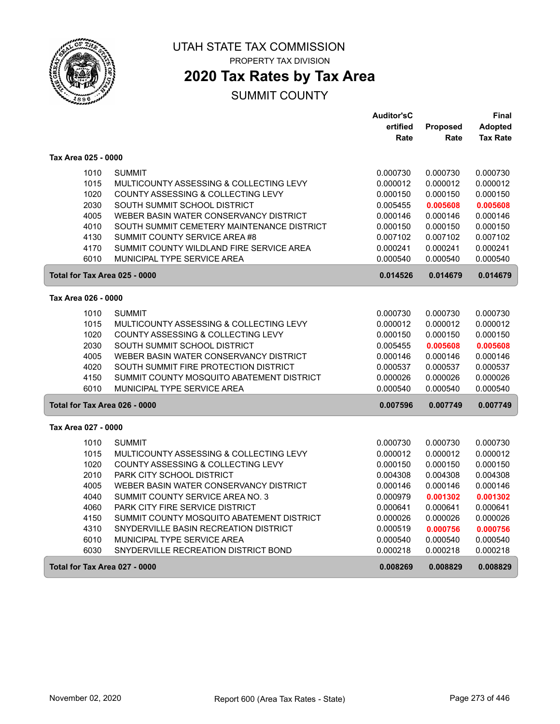

PROPERTY TAX DIVISION

### **2020 Tax Rates by Tax Area**

|                               |                                            | <b>Auditor'sC</b> |          | Final           |
|-------------------------------|--------------------------------------------|-------------------|----------|-----------------|
|                               |                                            | ertified          | Proposed | Adopted         |
|                               |                                            | Rate              | Rate     | <b>Tax Rate</b> |
| Tax Area 025 - 0000           |                                            |                   |          |                 |
| 1010                          | <b>SUMMIT</b>                              | 0.000730          | 0.000730 | 0.000730        |
| 1015                          | MULTICOUNTY ASSESSING & COLLECTING LEVY    | 0.000012          | 0.000012 | 0.000012        |
| 1020                          | COUNTY ASSESSING & COLLECTING LEVY         | 0.000150          | 0.000150 | 0.000150        |
| 2030                          | SOUTH SUMMIT SCHOOL DISTRICT               | 0.005455          | 0.005608 | 0.005608        |
| 4005                          | WEBER BASIN WATER CONSERVANCY DISTRICT     | 0.000146          | 0.000146 | 0.000146        |
| 4010                          | SOUTH SUMMIT CEMETERY MAINTENANCE DISTRICT | 0.000150          | 0.000150 | 0.000150        |
| 4130                          | SUMMIT COUNTY SERVICE AREA #8              | 0.007102          | 0.007102 | 0.007102        |
| 4170                          | SUMMIT COUNTY WILDLAND FIRE SERVICE AREA   | 0.000241          | 0.000241 | 0.000241        |
| 6010                          | MUNICIPAL TYPE SERVICE AREA                | 0.000540          | 0.000540 | 0.000540        |
| Total for Tax Area 025 - 0000 |                                            | 0.014526          | 0.014679 | 0.014679        |
| Tax Area 026 - 0000           |                                            |                   |          |                 |
| 1010                          | <b>SUMMIT</b>                              | 0.000730          | 0.000730 | 0.000730        |
| 1015                          | MULTICOUNTY ASSESSING & COLLECTING LEVY    | 0.000012          | 0.000012 | 0.000012        |
| 1020                          | COUNTY ASSESSING & COLLECTING LEVY         | 0.000150          | 0.000150 | 0.000150        |
| 2030                          | SOUTH SUMMIT SCHOOL DISTRICT               | 0.005455          | 0.005608 | 0.005608        |
| 4005                          | WEBER BASIN WATER CONSERVANCY DISTRICT     | 0.000146          | 0.000146 | 0.000146        |
| 4020                          | SOUTH SUMMIT FIRE PROTECTION DISTRICT      | 0.000537          | 0.000537 | 0.000537        |
| 4150                          | SUMMIT COUNTY MOSQUITO ABATEMENT DISTRICT  | 0.000026          | 0.000026 | 0.000026        |
| 6010                          | MUNICIPAL TYPE SERVICE AREA                | 0.000540          | 0.000540 | 0.000540        |
| Total for Tax Area 026 - 0000 |                                            | 0.007596          | 0.007749 | 0.007749        |
| Tax Area 027 - 0000           |                                            |                   |          |                 |
| 1010                          | <b>SUMMIT</b>                              | 0.000730          | 0.000730 | 0.000730        |
| 1015                          | MULTICOUNTY ASSESSING & COLLECTING LEVY    | 0.000012          | 0.000012 | 0.000012        |
| 1020                          | COUNTY ASSESSING & COLLECTING LEVY         | 0.000150          | 0.000150 | 0.000150        |
| 2010                          | PARK CITY SCHOOL DISTRICT                  | 0.004308          | 0.004308 | 0.004308        |
| 4005                          | WEBER BASIN WATER CONSERVANCY DISTRICT     | 0.000146          | 0.000146 | 0.000146        |
| 4040                          | SUMMIT COUNTY SERVICE AREA NO. 3           | 0.000979          | 0.001302 | 0.001302        |
| 4060                          | PARK CITY FIRE SERVICE DISTRICT            | 0.000641          | 0.000641 | 0.000641        |
| 4150                          | SUMMIT COUNTY MOSQUITO ABATEMENT DISTRICT  | 0.000026          | 0.000026 | 0.000026        |
| 4310                          | SNYDERVILLE BASIN RECREATION DISTRICT      | 0.000519          | 0.000756 | 0.000756        |
| 6010                          | MUNICIPAL TYPE SERVICE AREA                | 0.000540          | 0.000540 | 0.000540        |
| 6030                          | SNYDERVILLE RECREATION DISTRICT BOND       | 0.000218          | 0.000218 | 0.000218        |
| Total for Tax Area 027 - 0000 |                                            | 0.008269          | 0.008829 | 0.008829        |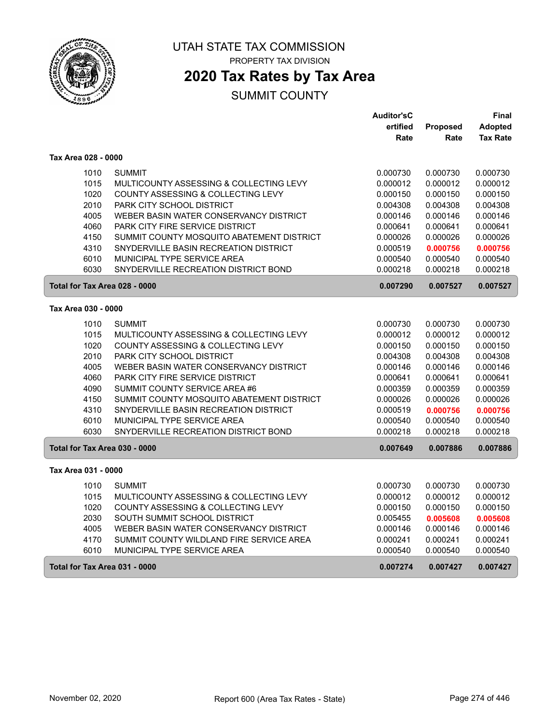

PROPERTY TAX DIVISION

## **2020 Tax Rates by Tax Area**

|                               |                                           | <b>Auditor'sC</b> |                 | Final           |
|-------------------------------|-------------------------------------------|-------------------|-----------------|-----------------|
|                               |                                           | ertified          | <b>Proposed</b> | Adopted         |
|                               |                                           | Rate              | Rate            | <b>Tax Rate</b> |
| Tax Area 028 - 0000           |                                           |                   |                 |                 |
| 1010                          | <b>SUMMIT</b>                             | 0.000730          | 0.000730        | 0.000730        |
| 1015                          | MULTICOUNTY ASSESSING & COLLECTING LEVY   | 0.000012          | 0.000012        | 0.000012        |
| 1020                          | COUNTY ASSESSING & COLLECTING LEVY        | 0.000150          | 0.000150        | 0.000150        |
| 2010                          | PARK CITY SCHOOL DISTRICT                 | 0.004308          | 0.004308        | 0.004308        |
| 4005                          | WEBER BASIN WATER CONSERVANCY DISTRICT    | 0.000146          | 0.000146        | 0.000146        |
| 4060                          | <b>PARK CITY FIRE SERVICE DISTRICT</b>    | 0.000641          | 0.000641        | 0.000641        |
| 4150                          | SUMMIT COUNTY MOSQUITO ABATEMENT DISTRICT | 0.000026          | 0.000026        | 0.000026        |
| 4310                          | SNYDERVILLE BASIN RECREATION DISTRICT     | 0.000519          | 0.000756        | 0.000756        |
| 6010                          | MUNICIPAL TYPE SERVICE AREA               | 0.000540          | 0.000540        | 0.000540        |
| 6030                          | SNYDERVILLE RECREATION DISTRICT BOND      | 0.000218          | 0.000218        | 0.000218        |
| Total for Tax Area 028 - 0000 |                                           | 0.007290          | 0.007527        | 0.007527        |
| Tax Area 030 - 0000           |                                           |                   |                 |                 |
| 1010                          | <b>SUMMIT</b>                             | 0.000730          | 0.000730        | 0.000730        |
| 1015                          | MULTICOUNTY ASSESSING & COLLECTING LEVY   | 0.000012          | 0.000012        | 0.000012        |
| 1020                          | COUNTY ASSESSING & COLLECTING LEVY        | 0.000150          | 0.000150        | 0.000150        |
| 2010                          | PARK CITY SCHOOL DISTRICT                 | 0.004308          | 0.004308        | 0.004308        |
| 4005                          | WEBER BASIN WATER CONSERVANCY DISTRICT    | 0.000146          | 0.000146        | 0.000146        |
| 4060                          | <b>PARK CITY FIRE SERVICE DISTRICT</b>    | 0.000641          | 0.000641        | 0.000641        |
| 4090                          | SUMMIT COUNTY SERVICE AREA #6             | 0.000359          | 0.000359        | 0.000359        |
| 4150                          | SUMMIT COUNTY MOSQUITO ABATEMENT DISTRICT | 0.000026          | 0.000026        | 0.000026        |
| 4310                          | SNYDERVILLE BASIN RECREATION DISTRICT     | 0.000519          | 0.000756        | 0.000756        |
| 6010                          | MUNICIPAL TYPE SERVICE AREA               | 0.000540          | 0.000540        | 0.000540        |
| 6030                          | SNYDERVILLE RECREATION DISTRICT BOND      | 0.000218          | 0.000218        | 0.000218        |
| Total for Tax Area 030 - 0000 |                                           | 0.007649          | 0.007886        | 0.007886        |
| Tax Area 031 - 0000           |                                           |                   |                 |                 |
| 1010                          | <b>SUMMIT</b>                             | 0.000730          | 0.000730        | 0.000730        |
| 1015                          | MULTICOUNTY ASSESSING & COLLECTING LEVY   | 0.000012          | 0.000012        | 0.000012        |
| 1020                          | COUNTY ASSESSING & COLLECTING LEVY        | 0.000150          | 0.000150        | 0.000150        |
| 2030                          | SOUTH SUMMIT SCHOOL DISTRICT              | 0.005455          | 0.005608        | 0.005608        |
| 4005                          | WEBER BASIN WATER CONSERVANCY DISTRICT    | 0.000146          | 0.000146        | 0.000146        |
| 4170                          | SUMMIT COUNTY WILDLAND FIRE SERVICE AREA  | 0.000241          | 0.000241        | 0.000241        |
| 6010                          | MUNICIPAL TYPE SERVICE AREA               | 0.000540          | 0.000540        | 0.000540        |
| Total for Tax Area 031 - 0000 |                                           | 0.007274          | 0.007427        | 0.007427        |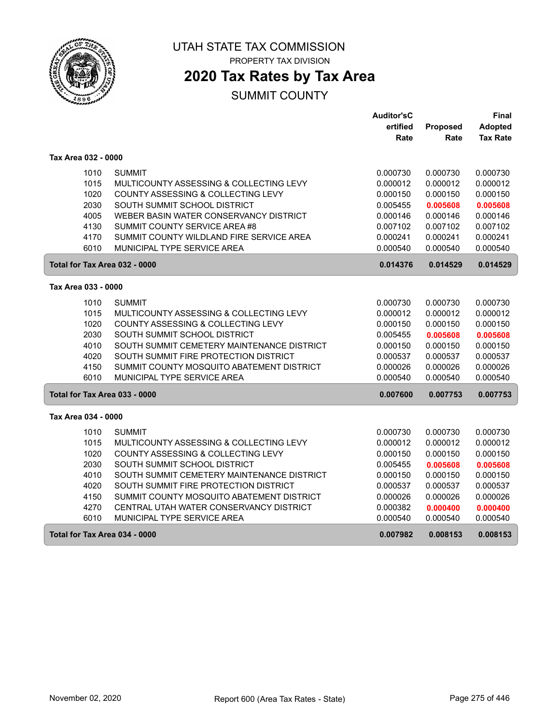

PROPERTY TAX DIVISION

# **2020 Tax Rates by Tax Area**

|                               |                                            | Auditor'sC |          | Final           |
|-------------------------------|--------------------------------------------|------------|----------|-----------------|
|                               |                                            | ertified   | Proposed | Adopted         |
|                               |                                            | Rate       | Rate     | <b>Tax Rate</b> |
| Tax Area 032 - 0000           |                                            |            |          |                 |
| 1010                          | <b>SUMMIT</b>                              | 0.000730   | 0.000730 | 0.000730        |
| 1015                          | MULTICOUNTY ASSESSING & COLLECTING LEVY    | 0.000012   | 0.000012 | 0.000012        |
| 1020                          | COUNTY ASSESSING & COLLECTING LEVY         | 0.000150   | 0.000150 | 0.000150        |
| 2030                          | SOUTH SUMMIT SCHOOL DISTRICT               | 0.005455   | 0.005608 | 0.005608        |
| 4005                          | WEBER BASIN WATER CONSERVANCY DISTRICT     | 0.000146   | 0.000146 | 0.000146        |
| 4130                          | SUMMIT COUNTY SERVICE AREA #8              | 0.007102   | 0.007102 | 0.007102        |
| 4170                          | SUMMIT COUNTY WILDLAND FIRE SERVICE AREA   | 0.000241   | 0.000241 | 0.000241        |
| 6010                          | MUNICIPAL TYPE SERVICE AREA                | 0.000540   | 0.000540 | 0.000540        |
| Total for Tax Area 032 - 0000 |                                            | 0.014376   | 0.014529 | 0.014529        |
| Tax Area 033 - 0000           |                                            |            |          |                 |
| 1010                          | <b>SUMMIT</b>                              | 0.000730   | 0.000730 | 0.000730        |
| 1015                          | MULTICOUNTY ASSESSING & COLLECTING LEVY    | 0.000012   | 0.000012 | 0.000012        |
| 1020                          | COUNTY ASSESSING & COLLECTING LEVY         | 0.000150   | 0.000150 | 0.000150        |
| 2030                          | SOUTH SUMMIT SCHOOL DISTRICT               | 0.005455   | 0.005608 | 0.005608        |
| 4010                          | SOUTH SUMMIT CEMETERY MAINTENANCE DISTRICT | 0.000150   | 0.000150 | 0.000150        |
| 4020                          | SOUTH SUMMIT FIRE PROTECTION DISTRICT      | 0.000537   | 0.000537 | 0.000537        |
| 4150                          | SUMMIT COUNTY MOSQUITO ABATEMENT DISTRICT  | 0.000026   | 0.000026 | 0.000026        |
| 6010                          | MUNICIPAL TYPE SERVICE AREA                | 0.000540   | 0.000540 | 0.000540        |
| Total for Tax Area 033 - 0000 |                                            | 0.007600   | 0.007753 | 0.007753        |
| Tax Area 034 - 0000           |                                            |            |          |                 |
| 1010                          | <b>SUMMIT</b>                              | 0.000730   | 0.000730 | 0.000730        |
| 1015                          | MULTICOUNTY ASSESSING & COLLECTING LEVY    | 0.000012   | 0.000012 | 0.000012        |
| 1020                          | COUNTY ASSESSING & COLLECTING LEVY         | 0.000150   | 0.000150 | 0.000150        |
| 2030                          | SOUTH SUMMIT SCHOOL DISTRICT               | 0.005455   | 0.005608 | 0.005608        |
| 4010                          | SOUTH SUMMIT CEMETERY MAINTENANCE DISTRICT | 0.000150   | 0.000150 | 0.000150        |
| 4020                          | SOUTH SUMMIT FIRE PROTECTION DISTRICT      | 0.000537   | 0.000537 | 0.000537        |
| 4150                          | SUMMIT COUNTY MOSQUITO ABATEMENT DISTRICT  | 0.000026   | 0.000026 | 0.000026        |
| 4270                          | CENTRAL UTAH WATER CONSERVANCY DISTRICT    | 0.000382   | 0.000400 | 0.000400        |
| 6010                          | MUNICIPAL TYPE SERVICE AREA                | 0.000540   | 0.000540 | 0.000540        |
| Total for Tax Area 034 - 0000 |                                            | 0.007982   | 0.008153 | 0.008153        |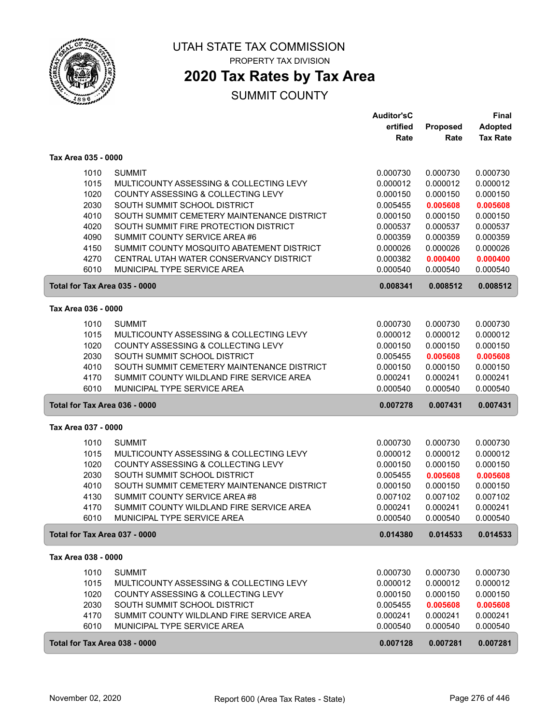

PROPERTY TAX DIVISION

### **2020 Tax Rates by Tax Area**

| ertified<br>Proposed<br><b>Adopted</b><br><b>Tax Rate</b><br>Rate<br>Rate<br>Tax Area 035 - 0000<br><b>SUMMIT</b><br>1010<br>0.000730<br>0.000730<br>0.000730<br>1015<br>MULTICOUNTY ASSESSING & COLLECTING LEVY<br>0.000012<br>0.000012<br>0.000012<br>1020<br>COUNTY ASSESSING & COLLECTING LEVY<br>0.000150<br>0.000150<br>0.000150<br>2030<br>SOUTH SUMMIT SCHOOL DISTRICT<br>0.005455<br>0.005608<br>0.005608<br>4010<br>SOUTH SUMMIT CEMETERY MAINTENANCE DISTRICT<br>0.000150<br>0.000150<br>0.000150<br>4020<br>SOUTH SUMMIT FIRE PROTECTION DISTRICT<br>0.000537<br>0.000537<br>0.000537<br>SUMMIT COUNTY SERVICE AREA #6<br>4090<br>0.000359<br>0.000359<br>0.000359<br>4150<br>SUMMIT COUNTY MOSQUITO ABATEMENT DISTRICT<br>0.000026<br>0.000026<br>0.000026<br>4270<br>CENTRAL UTAH WATER CONSERVANCY DISTRICT<br>0.000382<br>0.000400<br>0.000400<br>6010<br>MUNICIPAL TYPE SERVICE AREA<br>0.000540<br>0.000540<br>0.000540<br>Total for Tax Area 035 - 0000<br>0.008341<br>0.008512<br>0.008512<br>Tax Area 036 - 0000<br>1010<br><b>SUMMIT</b><br>0.000730<br>0.000730<br>0.000730<br>1015<br>MULTICOUNTY ASSESSING & COLLECTING LEVY<br>0.000012<br>0.000012<br>0.000012<br>1020<br>COUNTY ASSESSING & COLLECTING LEVY<br>0.000150<br>0.000150<br>0.000150<br>2030<br>SOUTH SUMMIT SCHOOL DISTRICT<br>0.005608<br>0.005455<br>0.005608<br>4010<br>SOUTH SUMMIT CEMETERY MAINTENANCE DISTRICT<br>0.000150<br>0.000150<br>0.000150<br>4170<br>SUMMIT COUNTY WILDLAND FIRE SERVICE AREA<br>0.000241<br>0.000241<br>0.000241<br>6010<br>MUNICIPAL TYPE SERVICE AREA<br>0.000540<br>0.000540<br>0.000540<br>Total for Tax Area 036 - 0000<br>0.007278<br>0.007431<br>0.007431<br>Tax Area 037 - 0000<br>1010<br><b>SUMMIT</b><br>0.000730<br>0.000730<br>0.000730<br>1015<br>MULTICOUNTY ASSESSING & COLLECTING LEVY<br>0.000012<br>0.000012<br>0.000012<br>1020<br>COUNTY ASSESSING & COLLECTING LEVY<br>0.000150<br>0.000150<br>0.000150<br>2030<br>SOUTH SUMMIT SCHOOL DISTRICT<br>0.005455<br>0.005608<br>0.005608<br>4010<br>SOUTH SUMMIT CEMETERY MAINTENANCE DISTRICT<br>0.000150<br>0.000150<br>0.000150<br>4130<br>SUMMIT COUNTY SERVICE AREA #8<br>0.007102<br>0.007102<br>0.007102<br>4170<br>SUMMIT COUNTY WILDLAND FIRE SERVICE AREA<br>0.000241<br>0.000241<br>0.000241 |  | <b>Auditor'sC</b> | <b>Final</b> |
|---------------------------------------------------------------------------------------------------------------------------------------------------------------------------------------------------------------------------------------------------------------------------------------------------------------------------------------------------------------------------------------------------------------------------------------------------------------------------------------------------------------------------------------------------------------------------------------------------------------------------------------------------------------------------------------------------------------------------------------------------------------------------------------------------------------------------------------------------------------------------------------------------------------------------------------------------------------------------------------------------------------------------------------------------------------------------------------------------------------------------------------------------------------------------------------------------------------------------------------------------------------------------------------------------------------------------------------------------------------------------------------------------------------------------------------------------------------------------------------------------------------------------------------------------------------------------------------------------------------------------------------------------------------------------------------------------------------------------------------------------------------------------------------------------------------------------------------------------------------------------------------------------------------------------------------------------------------------------------------------------------------------------------------------------------------------------------------------------------------------------------------------------------------------------------------------------------------------------------------------------------------------------------------------------|--|-------------------|--------------|
|                                                                                                                                                                                                                                                                                                                                                                                                                                                                                                                                                                                                                                                                                                                                                                                                                                                                                                                                                                                                                                                                                                                                                                                                                                                                                                                                                                                                                                                                                                                                                                                                                                                                                                                                                                                                                                                                                                                                                                                                                                                                                                                                                                                                                                                                                                   |  |                   |              |
|                                                                                                                                                                                                                                                                                                                                                                                                                                                                                                                                                                                                                                                                                                                                                                                                                                                                                                                                                                                                                                                                                                                                                                                                                                                                                                                                                                                                                                                                                                                                                                                                                                                                                                                                                                                                                                                                                                                                                                                                                                                                                                                                                                                                                                                                                                   |  |                   |              |
|                                                                                                                                                                                                                                                                                                                                                                                                                                                                                                                                                                                                                                                                                                                                                                                                                                                                                                                                                                                                                                                                                                                                                                                                                                                                                                                                                                                                                                                                                                                                                                                                                                                                                                                                                                                                                                                                                                                                                                                                                                                                                                                                                                                                                                                                                                   |  |                   |              |
|                                                                                                                                                                                                                                                                                                                                                                                                                                                                                                                                                                                                                                                                                                                                                                                                                                                                                                                                                                                                                                                                                                                                                                                                                                                                                                                                                                                                                                                                                                                                                                                                                                                                                                                                                                                                                                                                                                                                                                                                                                                                                                                                                                                                                                                                                                   |  |                   |              |
|                                                                                                                                                                                                                                                                                                                                                                                                                                                                                                                                                                                                                                                                                                                                                                                                                                                                                                                                                                                                                                                                                                                                                                                                                                                                                                                                                                                                                                                                                                                                                                                                                                                                                                                                                                                                                                                                                                                                                                                                                                                                                                                                                                                                                                                                                                   |  |                   |              |
|                                                                                                                                                                                                                                                                                                                                                                                                                                                                                                                                                                                                                                                                                                                                                                                                                                                                                                                                                                                                                                                                                                                                                                                                                                                                                                                                                                                                                                                                                                                                                                                                                                                                                                                                                                                                                                                                                                                                                                                                                                                                                                                                                                                                                                                                                                   |  |                   |              |
|                                                                                                                                                                                                                                                                                                                                                                                                                                                                                                                                                                                                                                                                                                                                                                                                                                                                                                                                                                                                                                                                                                                                                                                                                                                                                                                                                                                                                                                                                                                                                                                                                                                                                                                                                                                                                                                                                                                                                                                                                                                                                                                                                                                                                                                                                                   |  |                   |              |
|                                                                                                                                                                                                                                                                                                                                                                                                                                                                                                                                                                                                                                                                                                                                                                                                                                                                                                                                                                                                                                                                                                                                                                                                                                                                                                                                                                                                                                                                                                                                                                                                                                                                                                                                                                                                                                                                                                                                                                                                                                                                                                                                                                                                                                                                                                   |  |                   |              |
|                                                                                                                                                                                                                                                                                                                                                                                                                                                                                                                                                                                                                                                                                                                                                                                                                                                                                                                                                                                                                                                                                                                                                                                                                                                                                                                                                                                                                                                                                                                                                                                                                                                                                                                                                                                                                                                                                                                                                                                                                                                                                                                                                                                                                                                                                                   |  |                   |              |
|                                                                                                                                                                                                                                                                                                                                                                                                                                                                                                                                                                                                                                                                                                                                                                                                                                                                                                                                                                                                                                                                                                                                                                                                                                                                                                                                                                                                                                                                                                                                                                                                                                                                                                                                                                                                                                                                                                                                                                                                                                                                                                                                                                                                                                                                                                   |  |                   |              |
|                                                                                                                                                                                                                                                                                                                                                                                                                                                                                                                                                                                                                                                                                                                                                                                                                                                                                                                                                                                                                                                                                                                                                                                                                                                                                                                                                                                                                                                                                                                                                                                                                                                                                                                                                                                                                                                                                                                                                                                                                                                                                                                                                                                                                                                                                                   |  |                   |              |
|                                                                                                                                                                                                                                                                                                                                                                                                                                                                                                                                                                                                                                                                                                                                                                                                                                                                                                                                                                                                                                                                                                                                                                                                                                                                                                                                                                                                                                                                                                                                                                                                                                                                                                                                                                                                                                                                                                                                                                                                                                                                                                                                                                                                                                                                                                   |  |                   |              |
|                                                                                                                                                                                                                                                                                                                                                                                                                                                                                                                                                                                                                                                                                                                                                                                                                                                                                                                                                                                                                                                                                                                                                                                                                                                                                                                                                                                                                                                                                                                                                                                                                                                                                                                                                                                                                                                                                                                                                                                                                                                                                                                                                                                                                                                                                                   |  |                   |              |
|                                                                                                                                                                                                                                                                                                                                                                                                                                                                                                                                                                                                                                                                                                                                                                                                                                                                                                                                                                                                                                                                                                                                                                                                                                                                                                                                                                                                                                                                                                                                                                                                                                                                                                                                                                                                                                                                                                                                                                                                                                                                                                                                                                                                                                                                                                   |  |                   |              |
|                                                                                                                                                                                                                                                                                                                                                                                                                                                                                                                                                                                                                                                                                                                                                                                                                                                                                                                                                                                                                                                                                                                                                                                                                                                                                                                                                                                                                                                                                                                                                                                                                                                                                                                                                                                                                                                                                                                                                                                                                                                                                                                                                                                                                                                                                                   |  |                   |              |
|                                                                                                                                                                                                                                                                                                                                                                                                                                                                                                                                                                                                                                                                                                                                                                                                                                                                                                                                                                                                                                                                                                                                                                                                                                                                                                                                                                                                                                                                                                                                                                                                                                                                                                                                                                                                                                                                                                                                                                                                                                                                                                                                                                                                                                                                                                   |  |                   |              |
|                                                                                                                                                                                                                                                                                                                                                                                                                                                                                                                                                                                                                                                                                                                                                                                                                                                                                                                                                                                                                                                                                                                                                                                                                                                                                                                                                                                                                                                                                                                                                                                                                                                                                                                                                                                                                                                                                                                                                                                                                                                                                                                                                                                                                                                                                                   |  |                   |              |
|                                                                                                                                                                                                                                                                                                                                                                                                                                                                                                                                                                                                                                                                                                                                                                                                                                                                                                                                                                                                                                                                                                                                                                                                                                                                                                                                                                                                                                                                                                                                                                                                                                                                                                                                                                                                                                                                                                                                                                                                                                                                                                                                                                                                                                                                                                   |  |                   |              |
|                                                                                                                                                                                                                                                                                                                                                                                                                                                                                                                                                                                                                                                                                                                                                                                                                                                                                                                                                                                                                                                                                                                                                                                                                                                                                                                                                                                                                                                                                                                                                                                                                                                                                                                                                                                                                                                                                                                                                                                                                                                                                                                                                                                                                                                                                                   |  |                   |              |
|                                                                                                                                                                                                                                                                                                                                                                                                                                                                                                                                                                                                                                                                                                                                                                                                                                                                                                                                                                                                                                                                                                                                                                                                                                                                                                                                                                                                                                                                                                                                                                                                                                                                                                                                                                                                                                                                                                                                                                                                                                                                                                                                                                                                                                                                                                   |  |                   |              |
|                                                                                                                                                                                                                                                                                                                                                                                                                                                                                                                                                                                                                                                                                                                                                                                                                                                                                                                                                                                                                                                                                                                                                                                                                                                                                                                                                                                                                                                                                                                                                                                                                                                                                                                                                                                                                                                                                                                                                                                                                                                                                                                                                                                                                                                                                                   |  |                   |              |
|                                                                                                                                                                                                                                                                                                                                                                                                                                                                                                                                                                                                                                                                                                                                                                                                                                                                                                                                                                                                                                                                                                                                                                                                                                                                                                                                                                                                                                                                                                                                                                                                                                                                                                                                                                                                                                                                                                                                                                                                                                                                                                                                                                                                                                                                                                   |  |                   |              |
|                                                                                                                                                                                                                                                                                                                                                                                                                                                                                                                                                                                                                                                                                                                                                                                                                                                                                                                                                                                                                                                                                                                                                                                                                                                                                                                                                                                                                                                                                                                                                                                                                                                                                                                                                                                                                                                                                                                                                                                                                                                                                                                                                                                                                                                                                                   |  |                   |              |
|                                                                                                                                                                                                                                                                                                                                                                                                                                                                                                                                                                                                                                                                                                                                                                                                                                                                                                                                                                                                                                                                                                                                                                                                                                                                                                                                                                                                                                                                                                                                                                                                                                                                                                                                                                                                                                                                                                                                                                                                                                                                                                                                                                                                                                                                                                   |  |                   |              |
|                                                                                                                                                                                                                                                                                                                                                                                                                                                                                                                                                                                                                                                                                                                                                                                                                                                                                                                                                                                                                                                                                                                                                                                                                                                                                                                                                                                                                                                                                                                                                                                                                                                                                                                                                                                                                                                                                                                                                                                                                                                                                                                                                                                                                                                                                                   |  |                   |              |
|                                                                                                                                                                                                                                                                                                                                                                                                                                                                                                                                                                                                                                                                                                                                                                                                                                                                                                                                                                                                                                                                                                                                                                                                                                                                                                                                                                                                                                                                                                                                                                                                                                                                                                                                                                                                                                                                                                                                                                                                                                                                                                                                                                                                                                                                                                   |  |                   |              |
|                                                                                                                                                                                                                                                                                                                                                                                                                                                                                                                                                                                                                                                                                                                                                                                                                                                                                                                                                                                                                                                                                                                                                                                                                                                                                                                                                                                                                                                                                                                                                                                                                                                                                                                                                                                                                                                                                                                                                                                                                                                                                                                                                                                                                                                                                                   |  |                   |              |
|                                                                                                                                                                                                                                                                                                                                                                                                                                                                                                                                                                                                                                                                                                                                                                                                                                                                                                                                                                                                                                                                                                                                                                                                                                                                                                                                                                                                                                                                                                                                                                                                                                                                                                                                                                                                                                                                                                                                                                                                                                                                                                                                                                                                                                                                                                   |  |                   |              |
|                                                                                                                                                                                                                                                                                                                                                                                                                                                                                                                                                                                                                                                                                                                                                                                                                                                                                                                                                                                                                                                                                                                                                                                                                                                                                                                                                                                                                                                                                                                                                                                                                                                                                                                                                                                                                                                                                                                                                                                                                                                                                                                                                                                                                                                                                                   |  |                   |              |
|                                                                                                                                                                                                                                                                                                                                                                                                                                                                                                                                                                                                                                                                                                                                                                                                                                                                                                                                                                                                                                                                                                                                                                                                                                                                                                                                                                                                                                                                                                                                                                                                                                                                                                                                                                                                                                                                                                                                                                                                                                                                                                                                                                                                                                                                                                   |  |                   |              |
|                                                                                                                                                                                                                                                                                                                                                                                                                                                                                                                                                                                                                                                                                                                                                                                                                                                                                                                                                                                                                                                                                                                                                                                                                                                                                                                                                                                                                                                                                                                                                                                                                                                                                                                                                                                                                                                                                                                                                                                                                                                                                                                                                                                                                                                                                                   |  |                   |              |
|                                                                                                                                                                                                                                                                                                                                                                                                                                                                                                                                                                                                                                                                                                                                                                                                                                                                                                                                                                                                                                                                                                                                                                                                                                                                                                                                                                                                                                                                                                                                                                                                                                                                                                                                                                                                                                                                                                                                                                                                                                                                                                                                                                                                                                                                                                   |  |                   |              |
| 6010<br>MUNICIPAL TYPE SERVICE AREA<br>0.000540<br>0.000540<br>0.000540                                                                                                                                                                                                                                                                                                                                                                                                                                                                                                                                                                                                                                                                                                                                                                                                                                                                                                                                                                                                                                                                                                                                                                                                                                                                                                                                                                                                                                                                                                                                                                                                                                                                                                                                                                                                                                                                                                                                                                                                                                                                                                                                                                                                                           |  |                   |              |
| Total for Tax Area 037 - 0000<br>0.014533<br>0.014533<br>0.014380                                                                                                                                                                                                                                                                                                                                                                                                                                                                                                                                                                                                                                                                                                                                                                                                                                                                                                                                                                                                                                                                                                                                                                                                                                                                                                                                                                                                                                                                                                                                                                                                                                                                                                                                                                                                                                                                                                                                                                                                                                                                                                                                                                                                                                 |  |                   |              |
| Tax Area 038 - 0000                                                                                                                                                                                                                                                                                                                                                                                                                                                                                                                                                                                                                                                                                                                                                                                                                                                                                                                                                                                                                                                                                                                                                                                                                                                                                                                                                                                                                                                                                                                                                                                                                                                                                                                                                                                                                                                                                                                                                                                                                                                                                                                                                                                                                                                                               |  |                   |              |
| 1010<br><b>SUMMIT</b><br>0.000730<br>0.000730<br>0.000730                                                                                                                                                                                                                                                                                                                                                                                                                                                                                                                                                                                                                                                                                                                                                                                                                                                                                                                                                                                                                                                                                                                                                                                                                                                                                                                                                                                                                                                                                                                                                                                                                                                                                                                                                                                                                                                                                                                                                                                                                                                                                                                                                                                                                                         |  |                   |              |
| 1015<br>0.000012<br>0.000012<br>MULTICOUNTY ASSESSING & COLLECTING LEVY<br>0.000012                                                                                                                                                                                                                                                                                                                                                                                                                                                                                                                                                                                                                                                                                                                                                                                                                                                                                                                                                                                                                                                                                                                                                                                                                                                                                                                                                                                                                                                                                                                                                                                                                                                                                                                                                                                                                                                                                                                                                                                                                                                                                                                                                                                                               |  |                   |              |
| 1020<br><b>COUNTY ASSESSING &amp; COLLECTING LEVY</b><br>0.000150<br>0.000150<br>0.000150                                                                                                                                                                                                                                                                                                                                                                                                                                                                                                                                                                                                                                                                                                                                                                                                                                                                                                                                                                                                                                                                                                                                                                                                                                                                                                                                                                                                                                                                                                                                                                                                                                                                                                                                                                                                                                                                                                                                                                                                                                                                                                                                                                                                         |  |                   |              |
| 2030<br>SOUTH SUMMIT SCHOOL DISTRICT<br>0.005455<br>0.005608<br>0.005608                                                                                                                                                                                                                                                                                                                                                                                                                                                                                                                                                                                                                                                                                                                                                                                                                                                                                                                                                                                                                                                                                                                                                                                                                                                                                                                                                                                                                                                                                                                                                                                                                                                                                                                                                                                                                                                                                                                                                                                                                                                                                                                                                                                                                          |  |                   |              |
| 4170<br>SUMMIT COUNTY WILDLAND FIRE SERVICE AREA<br>0.000241<br>0.000241<br>0.000241                                                                                                                                                                                                                                                                                                                                                                                                                                                                                                                                                                                                                                                                                                                                                                                                                                                                                                                                                                                                                                                                                                                                                                                                                                                                                                                                                                                                                                                                                                                                                                                                                                                                                                                                                                                                                                                                                                                                                                                                                                                                                                                                                                                                              |  |                   |              |
| 6010<br>MUNICIPAL TYPE SERVICE AREA<br>0.000540<br>0.000540<br>0.000540                                                                                                                                                                                                                                                                                                                                                                                                                                                                                                                                                                                                                                                                                                                                                                                                                                                                                                                                                                                                                                                                                                                                                                                                                                                                                                                                                                                                                                                                                                                                                                                                                                                                                                                                                                                                                                                                                                                                                                                                                                                                                                                                                                                                                           |  |                   |              |
| Total for Tax Area 038 - 0000<br>0.007128<br>0.007281<br>0.007281                                                                                                                                                                                                                                                                                                                                                                                                                                                                                                                                                                                                                                                                                                                                                                                                                                                                                                                                                                                                                                                                                                                                                                                                                                                                                                                                                                                                                                                                                                                                                                                                                                                                                                                                                                                                                                                                                                                                                                                                                                                                                                                                                                                                                                 |  |                   |              |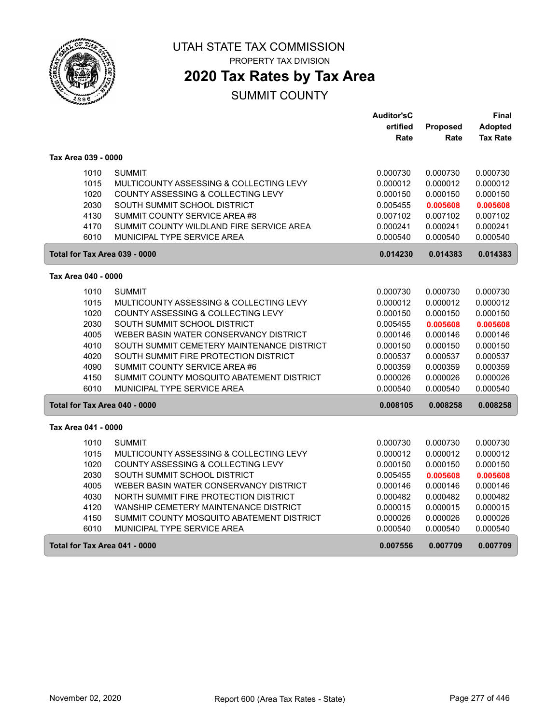

PROPERTY TAX DIVISION

# **2020 Tax Rates by Tax Area**

|                               |                                            | <b>Auditor'sC</b> |                 | <b>Final</b>    |
|-------------------------------|--------------------------------------------|-------------------|-----------------|-----------------|
|                               |                                            | ertified          | <b>Proposed</b> | Adopted         |
|                               |                                            | Rate              | Rate            | <b>Tax Rate</b> |
| Tax Area 039 - 0000           |                                            |                   |                 |                 |
| 1010                          | <b>SUMMIT</b>                              | 0.000730          | 0.000730        | 0.000730        |
| 1015                          | MULTICOUNTY ASSESSING & COLLECTING LEVY    | 0.000012          | 0.000012        | 0.000012        |
| 1020                          | COUNTY ASSESSING & COLLECTING LEVY         | 0.000150          | 0.000150        | 0.000150        |
| 2030                          | SOUTH SUMMIT SCHOOL DISTRICT               | 0.005455          | 0.005608        | 0.005608        |
| 4130                          | SUMMIT COUNTY SERVICE AREA #8              | 0.007102          | 0.007102        | 0.007102        |
| 4170                          | SUMMIT COUNTY WILDLAND FIRE SERVICE AREA   | 0.000241          | 0.000241        | 0.000241        |
| 6010                          | MUNICIPAL TYPE SERVICE AREA                | 0.000540          | 0.000540        | 0.000540        |
| Total for Tax Area 039 - 0000 |                                            | 0.014230          | 0.014383        | 0.014383        |
| Tax Area 040 - 0000           |                                            |                   |                 |                 |
| 1010                          | <b>SUMMIT</b>                              | 0.000730          | 0.000730        | 0.000730        |
| 1015                          | MULTICOUNTY ASSESSING & COLLECTING LEVY    | 0.000012          | 0.000012        | 0.000012        |
| 1020                          | COUNTY ASSESSING & COLLECTING LEVY         | 0.000150          | 0.000150        | 0.000150        |
| 2030                          | SOUTH SUMMIT SCHOOL DISTRICT               | 0.005455          | 0.005608        | 0.005608        |
| 4005                          | WEBER BASIN WATER CONSERVANCY DISTRICT     | 0.000146          | 0.000146        | 0.000146        |
| 4010                          | SOUTH SUMMIT CEMETERY MAINTENANCE DISTRICT | 0.000150          | 0.000150        | 0.000150        |
| 4020                          | SOUTH SUMMIT FIRE PROTECTION DISTRICT      | 0.000537          | 0.000537        | 0.000537        |
| 4090                          | SUMMIT COUNTY SERVICE AREA #6              | 0.000359          | 0.000359        | 0.000359        |
| 4150                          | SUMMIT COUNTY MOSQUITO ABATEMENT DISTRICT  | 0.000026          | 0.000026        | 0.000026        |
| 6010                          | MUNICIPAL TYPE SERVICE AREA                | 0.000540          | 0.000540        | 0.000540        |
| Total for Tax Area 040 - 0000 |                                            | 0.008105          | 0.008258        | 0.008258        |
| Tax Area 041 - 0000           |                                            |                   |                 |                 |
| 1010                          | <b>SUMMIT</b>                              | 0.000730          | 0.000730        | 0.000730        |
| 1015                          | MULTICOUNTY ASSESSING & COLLECTING LEVY    | 0.000012          | 0.000012        | 0.000012        |
| 1020                          | COUNTY ASSESSING & COLLECTING LEVY         | 0.000150          | 0.000150        | 0.000150        |
| 2030                          | SOUTH SUMMIT SCHOOL DISTRICT               | 0.005455          | 0.005608        | 0.005608        |
| 4005                          | WEBER BASIN WATER CONSERVANCY DISTRICT     | 0.000146          | 0.000146        | 0.000146        |
| 4030                          | NORTH SUMMIT FIRE PROTECTION DISTRICT      | 0.000482          | 0.000482        | 0.000482        |
| 4120                          | WANSHIP CEMETERY MAINTENANCE DISTRICT      | 0.000015          | 0.000015        | 0.000015        |
| 4150                          | SUMMIT COUNTY MOSQUITO ABATEMENT DISTRICT  | 0.000026          | 0.000026        | 0.000026        |
| 6010                          | MUNICIPAL TYPE SERVICE AREA                | 0.000540          | 0.000540        | 0.000540        |
| Total for Tax Area 041 - 0000 |                                            | 0.007556          | 0.007709        | 0.007709        |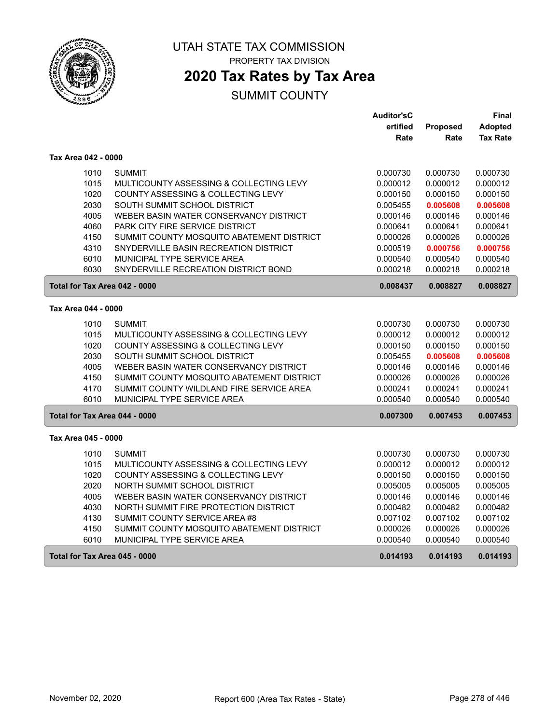

PROPERTY TAX DIVISION

### **2020 Tax Rates by Tax Area**

|                               |                                               | <b>Auditor'sC</b> |          | Final           |
|-------------------------------|-----------------------------------------------|-------------------|----------|-----------------|
|                               |                                               | ertified          | Proposed | Adopted         |
|                               |                                               | Rate              | Rate     | <b>Tax Rate</b> |
| Tax Area 042 - 0000           |                                               |                   |          |                 |
| 1010                          | <b>SUMMIT</b>                                 | 0.000730          | 0.000730 | 0.000730        |
| 1015                          | MULTICOUNTY ASSESSING & COLLECTING LEVY       | 0.000012          | 0.000012 | 0.000012        |
| 1020                          | <b>COUNTY ASSESSING &amp; COLLECTING LEVY</b> | 0.000150          | 0.000150 | 0.000150        |
| 2030                          | SOUTH SUMMIT SCHOOL DISTRICT                  | 0.005455          | 0.005608 | 0.005608        |
| 4005                          | WEBER BASIN WATER CONSERVANCY DISTRICT        | 0.000146          | 0.000146 | 0.000146        |
| 4060                          | PARK CITY FIRE SERVICE DISTRICT               | 0.000641          | 0.000641 | 0.000641        |
| 4150                          | SUMMIT COUNTY MOSQUITO ABATEMENT DISTRICT     | 0.000026          | 0.000026 | 0.000026        |
| 4310                          | SNYDERVILLE BASIN RECREATION DISTRICT         | 0.000519          | 0.000756 | 0.000756        |
| 6010                          | MUNICIPAL TYPE SERVICE AREA                   | 0.000540          | 0.000540 | 0.000540        |
| 6030                          | SNYDERVILLE RECREATION DISTRICT BOND          | 0.000218          | 0.000218 | 0.000218        |
| Total for Tax Area 042 - 0000 |                                               | 0.008437          | 0.008827 | 0.008827        |
| Tax Area 044 - 0000           |                                               |                   |          |                 |
| 1010                          | <b>SUMMIT</b>                                 | 0.000730          | 0.000730 | 0.000730        |
| 1015                          | MULTICOUNTY ASSESSING & COLLECTING LEVY       | 0.000012          | 0.000012 | 0.000012        |
| 1020                          | <b>COUNTY ASSESSING &amp; COLLECTING LEVY</b> | 0.000150          | 0.000150 | 0.000150        |
| 2030                          | SOUTH SUMMIT SCHOOL DISTRICT                  | 0.005455          | 0.005608 | 0.005608        |
| 4005                          | WEBER BASIN WATER CONSERVANCY DISTRICT        | 0.000146          | 0.000146 | 0.000146        |
| 4150                          | SUMMIT COUNTY MOSQUITO ABATEMENT DISTRICT     | 0.000026          | 0.000026 | 0.000026        |
| 4170                          | SUMMIT COUNTY WILDLAND FIRE SERVICE AREA      | 0.000241          | 0.000241 | 0.000241        |
| 6010                          | MUNICIPAL TYPE SERVICE AREA                   | 0.000540          | 0.000540 | 0.000540        |
| Total for Tax Area 044 - 0000 |                                               | 0.007300          | 0.007453 | 0.007453        |
| Tax Area 045 - 0000           |                                               |                   |          |                 |
| 1010                          | <b>SUMMIT</b>                                 | 0.000730          | 0.000730 | 0.000730        |
| 1015                          | MULTICOUNTY ASSESSING & COLLECTING LEVY       | 0.000012          | 0.000012 | 0.000012        |
| 1020                          | COUNTY ASSESSING & COLLECTING LEVY            | 0.000150          | 0.000150 | 0.000150        |
| 2020                          | NORTH SUMMIT SCHOOL DISTRICT                  | 0.005005          | 0.005005 | 0.005005        |
| 4005                          | WEBER BASIN WATER CONSERVANCY DISTRICT        | 0.000146          | 0.000146 | 0.000146        |
| 4030                          | NORTH SUMMIT FIRE PROTECTION DISTRICT         | 0.000482          | 0.000482 | 0.000482        |
| 4130                          | SUMMIT COUNTY SERVICE AREA #8                 | 0.007102          | 0.007102 | 0.007102        |
| 4150                          | SUMMIT COUNTY MOSQUITO ABATEMENT DISTRICT     | 0.000026          | 0.000026 | 0.000026        |
| 6010                          | MUNICIPAL TYPE SERVICE AREA                   | 0.000540          | 0.000540 | 0.000540        |
| Total for Tax Area 045 - 0000 |                                               | 0.014193          | 0.014193 | 0.014193        |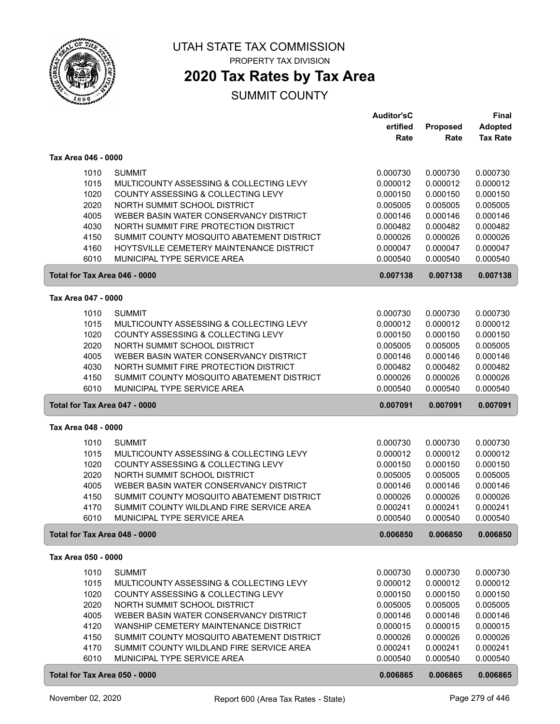

PROPERTY TAX DIVISION

### **2020 Tax Rates by Tax Area**

|                               |                                           | <b>Auditor'sC</b>    |                      | <b>Final</b>         |
|-------------------------------|-------------------------------------------|----------------------|----------------------|----------------------|
|                               |                                           | ertified             | Proposed             | <b>Adopted</b>       |
|                               |                                           | Rate                 | Rate                 | <b>Tax Rate</b>      |
| Tax Area 046 - 0000           |                                           |                      |                      |                      |
|                               | <b>SUMMIT</b>                             |                      |                      |                      |
| 1010<br>1015                  | MULTICOUNTY ASSESSING & COLLECTING LEVY   | 0.000730<br>0.000012 | 0.000730<br>0.000012 | 0.000730<br>0.000012 |
| 1020                          | COUNTY ASSESSING & COLLECTING LEVY        | 0.000150             | 0.000150             | 0.000150             |
| 2020                          | NORTH SUMMIT SCHOOL DISTRICT              | 0.005005             | 0.005005             | 0.005005             |
| 4005                          | WEBER BASIN WATER CONSERVANCY DISTRICT    | 0.000146             | 0.000146             | 0.000146             |
| 4030                          | NORTH SUMMIT FIRE PROTECTION DISTRICT     | 0.000482             | 0.000482             | 0.000482             |
| 4150                          | SUMMIT COUNTY MOSQUITO ABATEMENT DISTRICT | 0.000026             | 0.000026             | 0.000026             |
| 4160                          | HOYTSVILLE CEMETERY MAINTENANCE DISTRICT  | 0.000047             | 0.000047             | 0.000047             |
| 6010                          | MUNICIPAL TYPE SERVICE AREA               | 0.000540             | 0.000540             | 0.000540             |
| Total for Tax Area 046 - 0000 |                                           | 0.007138             | 0.007138             | 0.007138             |
|                               |                                           |                      |                      |                      |
| Tax Area 047 - 0000           |                                           |                      |                      |                      |
| 1010                          | <b>SUMMIT</b>                             | 0.000730             | 0.000730             | 0.000730             |
| 1015                          | MULTICOUNTY ASSESSING & COLLECTING LEVY   | 0.000012             | 0.000012             | 0.000012             |
| 1020                          | COUNTY ASSESSING & COLLECTING LEVY        | 0.000150             | 0.000150             | 0.000150             |
| 2020                          | NORTH SUMMIT SCHOOL DISTRICT              | 0.005005             | 0.005005             | 0.005005             |
| 4005                          | WEBER BASIN WATER CONSERVANCY DISTRICT    | 0.000146             | 0.000146             | 0.000146             |
| 4030                          | NORTH SUMMIT FIRE PROTECTION DISTRICT     | 0.000482             | 0.000482             | 0.000482             |
| 4150                          | SUMMIT COUNTY MOSQUITO ABATEMENT DISTRICT | 0.000026             | 0.000026             | 0.000026             |
| 6010                          | MUNICIPAL TYPE SERVICE AREA               | 0.000540             | 0.000540             | 0.000540             |
| Total for Tax Area 047 - 0000 |                                           | 0.007091             | 0.007091             | 0.007091             |
| Tax Area 048 - 0000           |                                           |                      |                      |                      |
| 1010                          | <b>SUMMIT</b>                             | 0.000730             | 0.000730             | 0.000730             |
| 1015                          | MULTICOUNTY ASSESSING & COLLECTING LEVY   | 0.000012             | 0.000012             | 0.000012             |
| 1020                          | COUNTY ASSESSING & COLLECTING LEVY        | 0.000150             | 0.000150             | 0.000150             |
| 2020                          | NORTH SUMMIT SCHOOL DISTRICT              | 0.005005             | 0.005005             | 0.005005             |
| 4005                          | WEBER BASIN WATER CONSERVANCY DISTRICT    | 0.000146             | 0.000146             | 0.000146             |
| 4150                          | SUMMIT COUNTY MOSQUITO ABATEMENT DISTRICT | 0.000026             | 0.000026             | 0.000026             |
| 4170                          | SUMMIT COUNTY WILDLAND FIRE SERVICE AREA  | 0.000241             | 0.000241             | 0.000241             |
| 6010                          | MUNICIPAL TYPE SERVICE AREA               | 0.000540             | 0.000540             | 0.000540             |
| Total for Tax Area 048 - 0000 |                                           | 0.006850             | 0.006850             | 0.006850             |
| Tax Area 050 - 0000           |                                           |                      |                      |                      |
| 1010                          | <b>SUMMIT</b>                             | 0.000730             | 0.000730             | 0.000730             |
| 1015                          | MULTICOUNTY ASSESSING & COLLECTING LEVY   | 0.000012             | 0.000012             | 0.000012             |
| 1020                          | COUNTY ASSESSING & COLLECTING LEVY        | 0.000150             | 0.000150             | 0.000150             |
| 2020                          | NORTH SUMMIT SCHOOL DISTRICT              | 0.005005             | 0.005005             | 0.005005             |
| 4005                          | WEBER BASIN WATER CONSERVANCY DISTRICT    | 0.000146             | 0.000146             | 0.000146             |
| 4120                          | WANSHIP CEMETERY MAINTENANCE DISTRICT     | 0.000015             | 0.000015             | 0.000015             |
| 4150                          | SUMMIT COUNTY MOSQUITO ABATEMENT DISTRICT | 0.000026             | 0.000026             | 0.000026             |
| 4170                          | SUMMIT COUNTY WILDLAND FIRE SERVICE AREA  | 0.000241             | 0.000241             | 0.000241             |
| 6010                          | MUNICIPAL TYPE SERVICE AREA               | 0.000540             | 0.000540             | 0.000540             |
| Total for Tax Area 050 - 0000 |                                           | 0.006865             | 0.006865             | 0.006865             |
|                               |                                           |                      |                      |                      |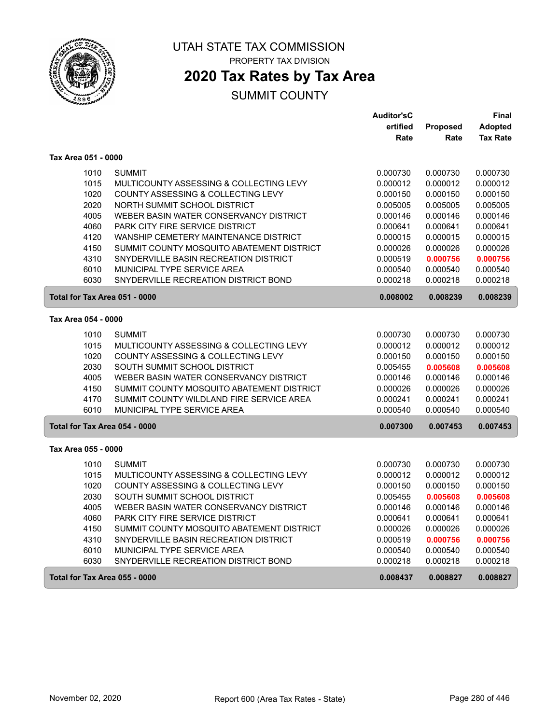

PROPERTY TAX DIVISION

### **2020 Tax Rates by Tax Area**

|                     |                                               | <b>Auditor'sC</b> |          | Final           |
|---------------------|-----------------------------------------------|-------------------|----------|-----------------|
|                     |                                               | ertified          | Proposed | <b>Adopted</b>  |
|                     |                                               | Rate              | Rate     | <b>Tax Rate</b> |
| Tax Area 051 - 0000 |                                               |                   |          |                 |
| 1010                | <b>SUMMIT</b>                                 | 0.000730          | 0.000730 | 0.000730        |
| 1015                | MULTICOUNTY ASSESSING & COLLECTING LEVY       | 0.000012          | 0.000012 | 0.000012        |
| 1020                | <b>COUNTY ASSESSING &amp; COLLECTING LEVY</b> | 0.000150          | 0.000150 | 0.000150        |
| 2020                | NORTH SUMMIT SCHOOL DISTRICT                  | 0.005005          | 0.005005 | 0.005005        |
| 4005                | WEBER BASIN WATER CONSERVANCY DISTRICT        | 0.000146          | 0.000146 | 0.000146        |
| 4060                | PARK CITY FIRE SERVICE DISTRICT               | 0.000641          | 0.000641 | 0.000641        |
| 4120                | WANSHIP CEMETERY MAINTENANCE DISTRICT         | 0.000015          | 0.000015 | 0.000015        |
| 4150                | SUMMIT COUNTY MOSQUITO ABATEMENT DISTRICT     | 0.000026          | 0.000026 | 0.000026        |
| 4310                | SNYDERVILLE BASIN RECREATION DISTRICT         | 0.000519          | 0.000756 | 0.000756        |
| 6010                | MUNICIPAL TYPE SERVICE AREA                   | 0.000540          | 0.000540 | 0.000540        |
| 6030                | SNYDERVILLE RECREATION DISTRICT BOND          | 0.000218          | 0.000218 | 0.000218        |
|                     | Total for Tax Area 051 - 0000                 | 0.008002          | 0.008239 | 0.008239        |
| Tax Area 054 - 0000 |                                               |                   |          |                 |
| 1010                | <b>SUMMIT</b>                                 | 0.000730          | 0.000730 | 0.000730        |
| 1015                | MULTICOUNTY ASSESSING & COLLECTING LEVY       | 0.000012          | 0.000012 | 0.000012        |
| 1020                | COUNTY ASSESSING & COLLECTING LEVY            | 0.000150          | 0.000150 | 0.000150        |
| 2030                | SOUTH SUMMIT SCHOOL DISTRICT                  | 0.005455          | 0.005608 | 0.005608        |
| 4005                | WEBER BASIN WATER CONSERVANCY DISTRICT        | 0.000146          | 0.000146 | 0.000146        |
| 4150                | SUMMIT COUNTY MOSQUITO ABATEMENT DISTRICT     | 0.000026          | 0.000026 | 0.000026        |
| 4170                | SUMMIT COUNTY WILDLAND FIRE SERVICE AREA      | 0.000241          | 0.000241 | 0.000241        |
| 6010                | MUNICIPAL TYPE SERVICE AREA                   | 0.000540          | 0.000540 | 0.000540        |
|                     | Total for Tax Area 054 - 0000                 | 0.007300          | 0.007453 | 0.007453        |
| Tax Area 055 - 0000 |                                               |                   |          |                 |
| 1010                | <b>SUMMIT</b>                                 | 0.000730          | 0.000730 | 0.000730        |
| 1015                | MULTICOUNTY ASSESSING & COLLECTING LEVY       | 0.000012          | 0.000012 | 0.000012        |
| 1020                | COUNTY ASSESSING & COLLECTING LEVY            | 0.000150          | 0.000150 | 0.000150        |
| 2030                | SOUTH SUMMIT SCHOOL DISTRICT                  | 0.005455          | 0.005608 | 0.005608        |
| 4005                | WEBER BASIN WATER CONSERVANCY DISTRICT        | 0.000146          | 0.000146 | 0.000146        |
| 4060                | <b>PARK CITY FIRE SERVICE DISTRICT</b>        | 0.000641          | 0.000641 | 0.000641        |
| 4150                | SUMMIT COUNTY MOSQUITO ABATEMENT DISTRICT     | 0.000026          | 0.000026 | 0.000026        |
| 4310                | SNYDERVILLE BASIN RECREATION DISTRICT         | 0.000519          | 0.000756 | 0.000756        |
| 6010                | MUNICIPAL TYPE SERVICE AREA                   | 0.000540          | 0.000540 | 0.000540        |
| 6030                | SNYDERVILLE RECREATION DISTRICT BOND          | 0.000218          | 0.000218 | 0.000218        |
|                     | Total for Tax Area 055 - 0000                 | 0.008437          | 0.008827 | 0.008827        |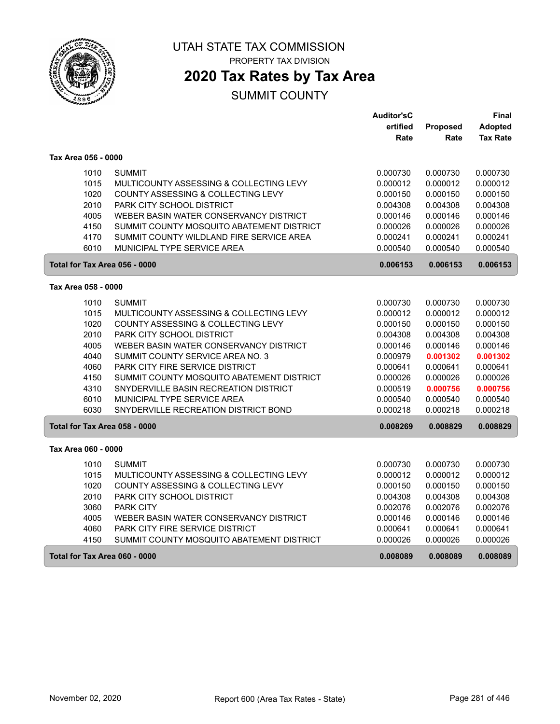

PROPERTY TAX DIVISION

### **2020 Tax Rates by Tax Area**

|                               |                                           | <b>Auditor'sC</b> |          | Final           |
|-------------------------------|-------------------------------------------|-------------------|----------|-----------------|
|                               |                                           | ertified          | Proposed | <b>Adopted</b>  |
|                               |                                           | Rate              | Rate     | <b>Tax Rate</b> |
| Tax Area 056 - 0000           |                                           |                   |          |                 |
| 1010                          | <b>SUMMIT</b>                             | 0.000730          | 0.000730 | 0.000730        |
| 1015                          | MULTICOUNTY ASSESSING & COLLECTING LEVY   | 0.000012          | 0.000012 | 0.000012        |
| 1020                          | COUNTY ASSESSING & COLLECTING LEVY        | 0.000150          | 0.000150 | 0.000150        |
| 2010                          | PARK CITY SCHOOL DISTRICT                 | 0.004308          | 0.004308 | 0.004308        |
| 4005                          | WEBER BASIN WATER CONSERVANCY DISTRICT    | 0.000146          | 0.000146 | 0.000146        |
| 4150                          | SUMMIT COUNTY MOSQUITO ABATEMENT DISTRICT | 0.000026          | 0.000026 | 0.000026        |
| 4170                          | SUMMIT COUNTY WILDLAND FIRE SERVICE AREA  | 0.000241          | 0.000241 | 0.000241        |
| 6010                          | MUNICIPAL TYPE SERVICE AREA               | 0.000540          | 0.000540 | 0.000540        |
| Total for Tax Area 056 - 0000 |                                           | 0.006153          | 0.006153 | 0.006153        |
| Tax Area 058 - 0000           |                                           |                   |          |                 |
| 1010                          | <b>SUMMIT</b>                             | 0.000730          | 0.000730 | 0.000730        |
| 1015                          | MULTICOUNTY ASSESSING & COLLECTING LEVY   | 0.000012          | 0.000012 | 0.000012        |
| 1020                          | COUNTY ASSESSING & COLLECTING LEVY        | 0.000150          | 0.000150 | 0.000150        |
| 2010                          | PARK CITY SCHOOL DISTRICT                 | 0.004308          | 0.004308 | 0.004308        |
| 4005                          | WEBER BASIN WATER CONSERVANCY DISTRICT    | 0.000146          | 0.000146 | 0.000146        |
| 4040                          | SUMMIT COUNTY SERVICE AREA NO. 3          | 0.000979          | 0.001302 | 0.001302        |
| 4060                          | PARK CITY FIRE SERVICE DISTRICT           | 0.000641          | 0.000641 | 0.000641        |
| 4150                          | SUMMIT COUNTY MOSQUITO ABATEMENT DISTRICT | 0.000026          | 0.000026 | 0.000026        |
| 4310                          | SNYDERVILLE BASIN RECREATION DISTRICT     | 0.000519          | 0.000756 | 0.000756        |
| 6010                          | MUNICIPAL TYPE SERVICE AREA               | 0.000540          | 0.000540 | 0.000540        |
| 6030                          | SNYDERVILLE RECREATION DISTRICT BOND      | 0.000218          | 0.000218 | 0.000218        |
| Total for Tax Area 058 - 0000 |                                           | 0.008269          | 0.008829 | 0.008829        |
| Tax Area 060 - 0000           |                                           |                   |          |                 |
| 1010                          | <b>SUMMIT</b>                             | 0.000730          | 0.000730 | 0.000730        |
| 1015                          | MULTICOUNTY ASSESSING & COLLECTING LEVY   | 0.000012          | 0.000012 | 0.000012        |
| 1020                          | COUNTY ASSESSING & COLLECTING LEVY        | 0.000150          | 0.000150 | 0.000150        |
| 2010                          | PARK CITY SCHOOL DISTRICT                 | 0.004308          | 0.004308 | 0.004308        |
| 3060                          | <b>PARK CITY</b>                          | 0.002076          | 0.002076 | 0.002076        |
| 4005                          | WEBER BASIN WATER CONSERVANCY DISTRICT    | 0.000146          | 0.000146 | 0.000146        |
| 4060                          | <b>PARK CITY FIRE SERVICE DISTRICT</b>    | 0.000641          | 0.000641 | 0.000641        |
| 4150                          | SUMMIT COUNTY MOSQUITO ABATEMENT DISTRICT | 0.000026          | 0.000026 | 0.000026        |
| Total for Tax Area 060 - 0000 |                                           | 0.008089          | 0.008089 | 0.008089        |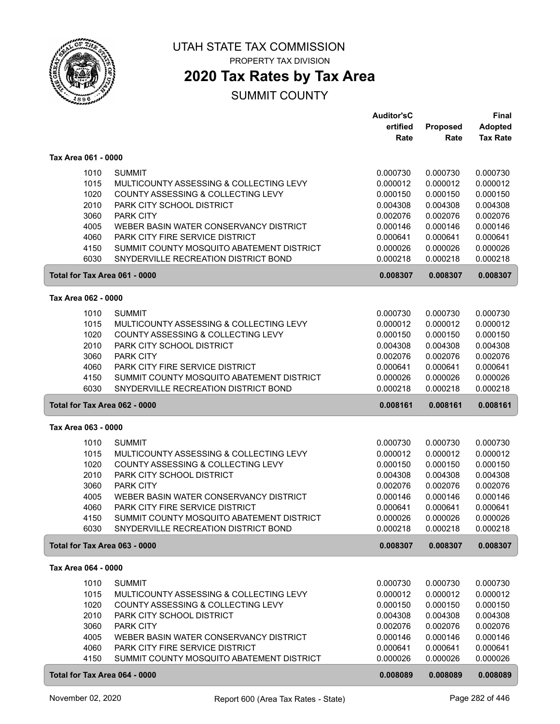

PROPERTY TAX DIVISION

### **2020 Tax Rates by Tax Area**

|                               |                                           | <b>Auditor'sC</b> |          | <b>Final</b>    |
|-------------------------------|-------------------------------------------|-------------------|----------|-----------------|
|                               |                                           | ertified          | Proposed | <b>Adopted</b>  |
|                               |                                           | Rate              | Rate     | <b>Tax Rate</b> |
| Tax Area 061 - 0000           |                                           |                   |          |                 |
|                               |                                           |                   |          |                 |
| 1010                          | <b>SUMMIT</b>                             | 0.000730          | 0.000730 | 0.000730        |
| 1015                          | MULTICOUNTY ASSESSING & COLLECTING LEVY   | 0.000012          | 0.000012 | 0.000012        |
| 1020                          | COUNTY ASSESSING & COLLECTING LEVY        | 0.000150          | 0.000150 | 0.000150        |
| 2010                          | PARK CITY SCHOOL DISTRICT                 | 0.004308          | 0.004308 | 0.004308        |
| 3060                          | PARK CITY                                 | 0.002076          | 0.002076 | 0.002076        |
| 4005                          | WEBER BASIN WATER CONSERVANCY DISTRICT    | 0.000146          | 0.000146 | 0.000146        |
| 4060                          | PARK CITY FIRE SERVICE DISTRICT           | 0.000641          | 0.000641 | 0.000641        |
| 4150                          | SUMMIT COUNTY MOSQUITO ABATEMENT DISTRICT | 0.000026          | 0.000026 | 0.000026        |
| 6030                          | SNYDERVILLE RECREATION DISTRICT BOND      | 0.000218          | 0.000218 | 0.000218        |
| Total for Tax Area 061 - 0000 |                                           | 0.008307          | 0.008307 | 0.008307        |
| Tax Area 062 - 0000           |                                           |                   |          |                 |
| 1010                          | <b>SUMMIT</b>                             | 0.000730          | 0.000730 | 0.000730        |
| 1015                          | MULTICOUNTY ASSESSING & COLLECTING LEVY   | 0.000012          | 0.000012 | 0.000012        |
| 1020                          | COUNTY ASSESSING & COLLECTING LEVY        | 0.000150          | 0.000150 | 0.000150        |
| 2010                          | PARK CITY SCHOOL DISTRICT                 | 0.004308          | 0.004308 | 0.004308        |
| 3060                          | PARK CITY                                 | 0.002076          | 0.002076 | 0.002076        |
| 4060                          | PARK CITY FIRE SERVICE DISTRICT           | 0.000641          | 0.000641 | 0.000641        |
| 4150                          | SUMMIT COUNTY MOSQUITO ABATEMENT DISTRICT | 0.000026          | 0.000026 | 0.000026        |
| 6030                          | SNYDERVILLE RECREATION DISTRICT BOND      | 0.000218          | 0.000218 | 0.000218        |
|                               |                                           |                   |          |                 |
| Total for Tax Area 062 - 0000 |                                           | 0.008161          | 0.008161 | 0.008161        |
| Tax Area 063 - 0000           |                                           |                   |          |                 |
| 1010                          | <b>SUMMIT</b>                             | 0.000730          | 0.000730 | 0.000730        |
| 1015                          | MULTICOUNTY ASSESSING & COLLECTING LEVY   | 0.000012          | 0.000012 | 0.000012        |
| 1020                          | COUNTY ASSESSING & COLLECTING LEVY        | 0.000150          | 0.000150 | 0.000150        |
| 2010                          | PARK CITY SCHOOL DISTRICT                 | 0.004308          | 0.004308 | 0.004308        |
| 3060                          | PARK CITY                                 | 0.002076          | 0.002076 | 0.002076        |
| 4005                          | WEBER BASIN WATER CONSERVANCY DISTRICT    | 0.000146          | 0.000146 | 0.000146        |
| 4060                          | PARK CITY FIRE SERVICE DISTRICT           | 0.000641          | 0.000641 | 0.000641        |
| 4150                          | SUMMIT COUNTY MOSQUITO ABATEMENT DISTRICT | 0.000026          | 0.000026 | 0.000026        |
| 6030                          | SNYDERVILLE RECREATION DISTRICT BOND      | 0.000218          | 0.000218 | 0.000218        |
| Total for Tax Area 063 - 0000 |                                           | 0.008307          | 0.008307 | 0.008307        |
| Tax Area 064 - 0000           |                                           |                   |          |                 |
|                               |                                           |                   |          |                 |
| 1010                          | <b>SUMMIT</b>                             | 0.000730          | 0.000730 | 0.000730        |
| 1015                          | MULTICOUNTY ASSESSING & COLLECTING LEVY   | 0.000012          | 0.000012 | 0.000012        |
| 1020                          | COUNTY ASSESSING & COLLECTING LEVY        | 0.000150          | 0.000150 | 0.000150        |
| 2010                          | PARK CITY SCHOOL DISTRICT                 | 0.004308          | 0.004308 | 0.004308        |
| 3060                          | PARK CITY                                 | 0.002076          | 0.002076 | 0.002076        |
| 4005                          | WEBER BASIN WATER CONSERVANCY DISTRICT    | 0.000146          | 0.000146 | 0.000146        |
| 4060                          | PARK CITY FIRE SERVICE DISTRICT           | 0.000641          | 0.000641 | 0.000641        |
| 4150                          | SUMMIT COUNTY MOSQUITO ABATEMENT DISTRICT | 0.000026          | 0.000026 | 0.000026        |
|                               | Total for Tax Area 064 - 0000             | 0.008089          | 0.008089 | 0.008089        |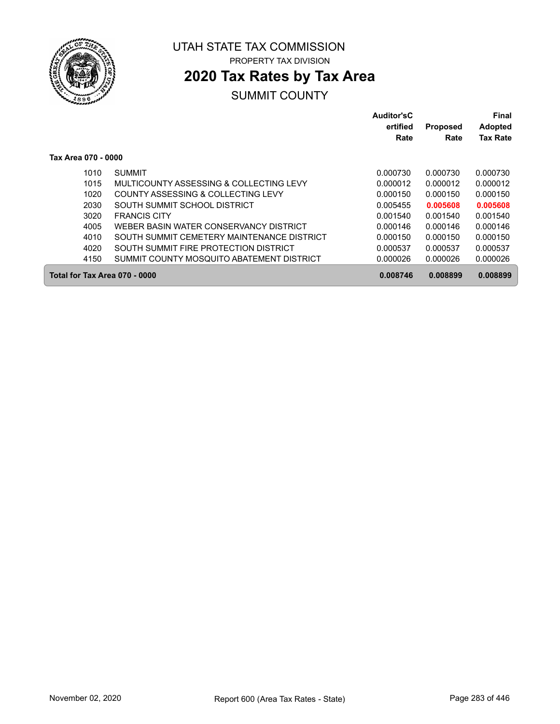

## **2020 Tax Rates by Tax Area**

|                               |                                            | Auditor'sC<br>ertified<br>Rate | <b>Proposed</b><br>Rate | Final<br><b>Adopted</b><br><b>Tax Rate</b> |
|-------------------------------|--------------------------------------------|--------------------------------|-------------------------|--------------------------------------------|
| Tax Area 070 - 0000           |                                            |                                |                         |                                            |
| 1010                          | <b>SUMMIT</b>                              | 0.000730                       | 0.000730                | 0.000730                                   |
| 1015                          | MULTICOUNTY ASSESSING & COLLECTING LEVY    | 0.000012                       | 0.000012                | 0.000012                                   |
| 1020                          | COUNTY ASSESSING & COLLECTING LEVY         | 0.000150                       | 0.000150                | 0.000150                                   |
| 2030                          | SOUTH SUMMIT SCHOOL DISTRICT               | 0.005455                       | 0.005608                | 0.005608                                   |
| 3020                          | <b>FRANCIS CITY</b>                        | 0.001540                       | 0.001540                | 0.001540                                   |
| 4005                          | WEBER BASIN WATER CONSERVANCY DISTRICT     | 0.000146                       | 0.000146                | 0.000146                                   |
| 4010                          | SOUTH SUMMIT CEMETERY MAINTENANCE DISTRICT | 0.000150                       | 0.000150                | 0.000150                                   |
| 4020                          | SOUTH SUMMIT FIRE PROTECTION DISTRICT      | 0.000537                       | 0.000537                | 0.000537                                   |
| 4150                          | SUMMIT COUNTY MOSQUITO ABATEMENT DISTRICT  | 0.000026                       | 0.000026                | 0.000026                                   |
| Total for Tax Area 070 - 0000 |                                            | 0.008746                       | 0.008899                | 0.008899                                   |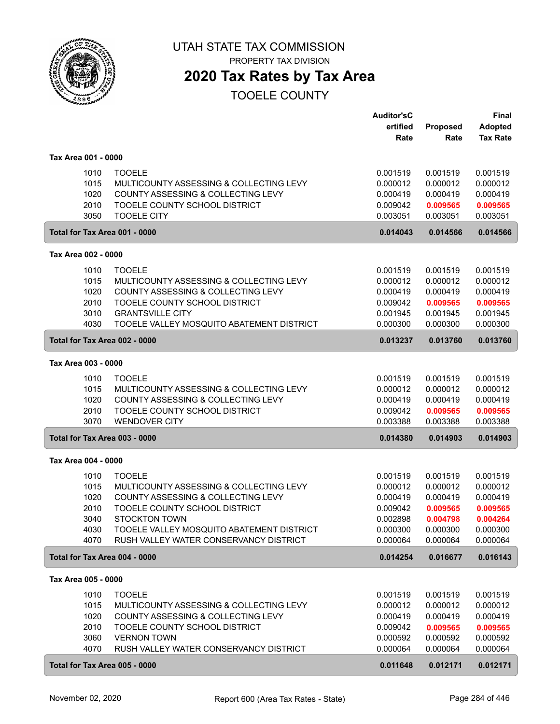

PROPERTY TAX DIVISION

### **2020 Tax Rates by Tax Area**

|                     |      |                                           | <b>Auditor'sC</b> |          | <b>Final</b>    |
|---------------------|------|-------------------------------------------|-------------------|----------|-----------------|
|                     |      |                                           | ertified          | Proposed | <b>Adopted</b>  |
|                     |      |                                           | Rate              | Rate     | <b>Tax Rate</b> |
| Tax Area 001 - 0000 |      |                                           |                   |          |                 |
|                     | 1010 | <b>TOOELE</b>                             | 0.001519          | 0.001519 | 0.001519        |
|                     | 1015 | MULTICOUNTY ASSESSING & COLLECTING LEVY   | 0.000012          | 0.000012 | 0.000012        |
|                     | 1020 | COUNTY ASSESSING & COLLECTING LEVY        | 0.000419          | 0.000419 | 0.000419        |
|                     | 2010 | TOOELE COUNTY SCHOOL DISTRICT             | 0.009042          | 0.009565 | 0.009565        |
|                     | 3050 | <b>TOOELE CITY</b>                        | 0.003051          | 0.003051 | 0.003051        |
|                     |      | Total for Tax Area 001 - 0000             | 0.014043          | 0.014566 | 0.014566        |
| Tax Area 002 - 0000 |      |                                           |                   |          |                 |
|                     | 1010 | <b>TOOELE</b>                             | 0.001519          | 0.001519 | 0.001519        |
|                     | 1015 | MULTICOUNTY ASSESSING & COLLECTING LEVY   | 0.000012          | 0.000012 | 0.000012        |
|                     | 1020 | COUNTY ASSESSING & COLLECTING LEVY        | 0.000419          | 0.000419 | 0.000419        |
|                     | 2010 | TOOELE COUNTY SCHOOL DISTRICT             | 0.009042          | 0.009565 | 0.009565        |
|                     | 3010 | <b>GRANTSVILLE CITY</b>                   | 0.001945          | 0.001945 | 0.001945        |
|                     | 4030 | TOOELE VALLEY MOSQUITO ABATEMENT DISTRICT | 0.000300          | 0.000300 | 0.000300        |
|                     |      | Total for Tax Area 002 - 0000             | 0.013237          | 0.013760 | 0.013760        |
| Tax Area 003 - 0000 |      |                                           |                   |          |                 |
|                     | 1010 | <b>TOOELE</b>                             | 0.001519          | 0.001519 | 0.001519        |
|                     | 1015 | MULTICOUNTY ASSESSING & COLLECTING LEVY   | 0.000012          | 0.000012 | 0.000012        |
|                     | 1020 | COUNTY ASSESSING & COLLECTING LEVY        | 0.000419          | 0.000419 | 0.000419        |
|                     | 2010 | TOOELE COUNTY SCHOOL DISTRICT             | 0.009042          | 0.009565 | 0.009565        |
|                     | 3070 | <b>WENDOVER CITY</b>                      | 0.003388          | 0.003388 | 0.003388        |
|                     |      | Total for Tax Area 003 - 0000             | 0.014380          | 0.014903 | 0.014903        |
| Tax Area 004 - 0000 |      |                                           |                   |          |                 |
|                     | 1010 | <b>TOOELE</b>                             | 0.001519          | 0.001519 | 0.001519        |
|                     | 1015 | MULTICOUNTY ASSESSING & COLLECTING LEVY   | 0.000012          | 0.000012 | 0.000012        |
|                     | 1020 | COUNTY ASSESSING & COLLECTING LEVY        | 0.000419          | 0.000419 | 0.000419        |
|                     | 2010 | TOOELE COUNTY SCHOOL DISTRICT             | 0.009042          | 0.009565 | 0.009565        |
|                     | 3040 | <b>STOCKTON TOWN</b>                      | 0.002898          | 0.004798 | 0.004264        |
|                     | 4030 | TOOELE VALLEY MOSQUITO ABATEMENT DISTRICT | 0.000300          | 0.000300 | 0.000300        |
|                     | 4070 | RUSH VALLEY WATER CONSERVANCY DISTRICT    | 0.000064          | 0.000064 | 0.000064        |
|                     |      | Total for Tax Area 004 - 0000             | 0.014254          | 0.016677 | 0.016143        |
| Tax Area 005 - 0000 |      |                                           |                   |          |                 |
|                     | 1010 | <b>TOOELE</b>                             | 0.001519          | 0.001519 | 0.001519        |
|                     | 1015 | MULTICOUNTY ASSESSING & COLLECTING LEVY   | 0.000012          | 0.000012 | 0.000012        |
|                     | 1020 | COUNTY ASSESSING & COLLECTING LEVY        | 0.000419          | 0.000419 | 0.000419        |
|                     | 2010 | TOOELE COUNTY SCHOOL DISTRICT             | 0.009042          | 0.009565 | 0.009565        |
|                     | 3060 | <b>VERNON TOWN</b>                        | 0.000592          | 0.000592 | 0.000592        |
|                     | 4070 | RUSH VALLEY WATER CONSERVANCY DISTRICT    | 0.000064          | 0.000064 | 0.000064        |
|                     |      | Total for Tax Area 005 - 0000             | 0.011648          | 0.012171 | 0.012171        |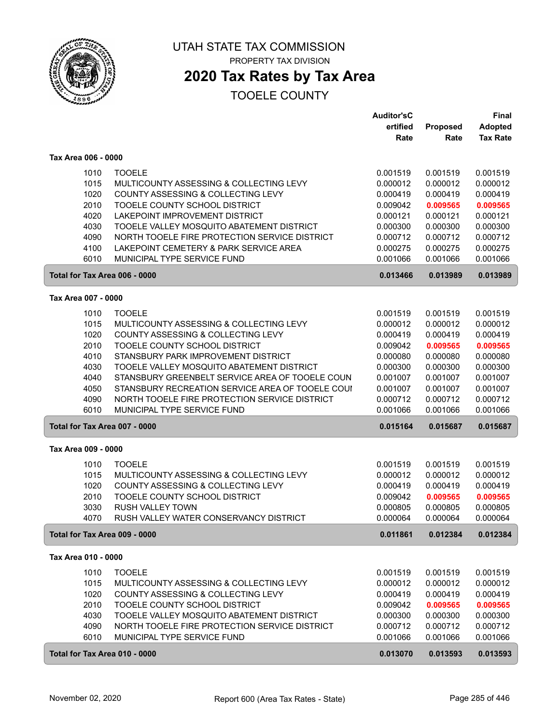

### **2020 Tax Rates by Tax Area**

|                               |                                                  | <b>Auditor'sC</b> |          | <b>Final</b>    |
|-------------------------------|--------------------------------------------------|-------------------|----------|-----------------|
|                               |                                                  | ertified          | Proposed | <b>Adopted</b>  |
|                               |                                                  | Rate              | Rate     | <b>Tax Rate</b> |
| Tax Area 006 - 0000           |                                                  |                   |          |                 |
|                               |                                                  |                   |          |                 |
| 1010                          | <b>TOOELE</b>                                    | 0.001519          | 0.001519 | 0.001519        |
| 1015                          | MULTICOUNTY ASSESSING & COLLECTING LEVY          | 0.000012          | 0.000012 | 0.000012        |
| 1020                          | COUNTY ASSESSING & COLLECTING LEVY               | 0.000419          | 0.000419 | 0.000419        |
| 2010                          | TOOELE COUNTY SCHOOL DISTRICT                    | 0.009042          | 0.009565 | 0.009565        |
| 4020                          | LAKEPOINT IMPROVEMENT DISTRICT                   | 0.000121          | 0.000121 | 0.000121        |
| 4030                          | TOOELE VALLEY MOSQUITO ABATEMENT DISTRICT        | 0.000300          | 0.000300 | 0.000300        |
| 4090                          | NORTH TOOELE FIRE PROTECTION SERVICE DISTRICT    | 0.000712          | 0.000712 | 0.000712        |
| 4100                          | LAKEPOINT CEMETERY & PARK SERVICE AREA           | 0.000275          | 0.000275 | 0.000275        |
| 6010                          | MUNICIPAL TYPE SERVICE FUND                      | 0.001066          | 0.001066 | 0.001066        |
| Total for Tax Area 006 - 0000 |                                                  | 0.013466          | 0.013989 | 0.013989        |
| Tax Area 007 - 0000           |                                                  |                   |          |                 |
| 1010                          | <b>TOOELE</b>                                    | 0.001519          | 0.001519 | 0.001519        |
| 1015                          | MULTICOUNTY ASSESSING & COLLECTING LEVY          | 0.000012          | 0.000012 | 0.000012        |
| 1020                          | COUNTY ASSESSING & COLLECTING LEVY               | 0.000419          | 0.000419 | 0.000419        |
| 2010                          | TOOELE COUNTY SCHOOL DISTRICT                    | 0.009042          | 0.009565 | 0.009565        |
| 4010                          | STANSBURY PARK IMPROVEMENT DISTRICT              | 0.000080          | 0.000080 | 0.000080        |
| 4030                          | TOOELE VALLEY MOSQUITO ABATEMENT DISTRICT        | 0.000300          | 0.000300 | 0.000300        |
| 4040                          | STANSBURY GREENBELT SERVICE AREA OF TOOELE COUN  | 0.001007          | 0.001007 | 0.001007        |
| 4050                          | STANSBURY RECREATION SERVICE AREA OF TOOELE COUI | 0.001007          | 0.001007 | 0.001007        |
| 4090                          | NORTH TOOELE FIRE PROTECTION SERVICE DISTRICT    | 0.000712          | 0.000712 | 0.000712        |
| 6010                          | MUNICIPAL TYPE SERVICE FUND                      | 0.001066          | 0.001066 | 0.001066        |
| Total for Tax Area 007 - 0000 |                                                  | 0.015164          | 0.015687 | 0.015687        |
| Tax Area 009 - 0000           |                                                  |                   |          |                 |
|                               |                                                  |                   |          |                 |
| 1010                          | <b>TOOELE</b>                                    | 0.001519          | 0.001519 | 0.001519        |
| 1015                          | MULTICOUNTY ASSESSING & COLLECTING LEVY          | 0.000012          | 0.000012 | 0.000012        |
| 1020                          | COUNTY ASSESSING & COLLECTING LEVY               | 0.000419          | 0.000419 | 0.000419        |
| 2010                          | TOOELE COUNTY SCHOOL DISTRICT                    | 0.009042          | 0.009565 | 0.009565        |
| 3030                          | <b>RUSH VALLEY TOWN</b>                          | 0.000805          | 0.000805 | 0.000805        |
| 4070                          | RUSH VALLEY WATER CONSERVANCY DISTRICT           | 0.000064          | 0.000064 | 0.000064        |
| Total for Tax Area 009 - 0000 |                                                  | 0.011861          | 0.012384 | 0.012384        |
| Tax Area 010 - 0000           |                                                  |                   |          |                 |
| 1010                          | <b>TOOELE</b>                                    | 0.001519          | 0.001519 | 0.001519        |
| 1015                          | MULTICOUNTY ASSESSING & COLLECTING LEVY          | 0.000012          | 0.000012 | 0.000012        |
| 1020                          | <b>COUNTY ASSESSING &amp; COLLECTING LEVY</b>    | 0.000419          | 0.000419 | 0.000419        |
| 2010                          | TOOELE COUNTY SCHOOL DISTRICT                    | 0.009042          | 0.009565 | 0.009565        |
| 4030                          | TOOELE VALLEY MOSQUITO ABATEMENT DISTRICT        | 0.000300          | 0.000300 | 0.000300        |
| 4090                          | NORTH TOOELE FIRE PROTECTION SERVICE DISTRICT    | 0.000712          | 0.000712 | 0.000712        |
| 6010                          | MUNICIPAL TYPE SERVICE FUND                      | 0.001066          | 0.001066 | 0.001066        |
| Total for Tax Area 010 - 0000 |                                                  | 0.013070          | 0.013593 | 0.013593        |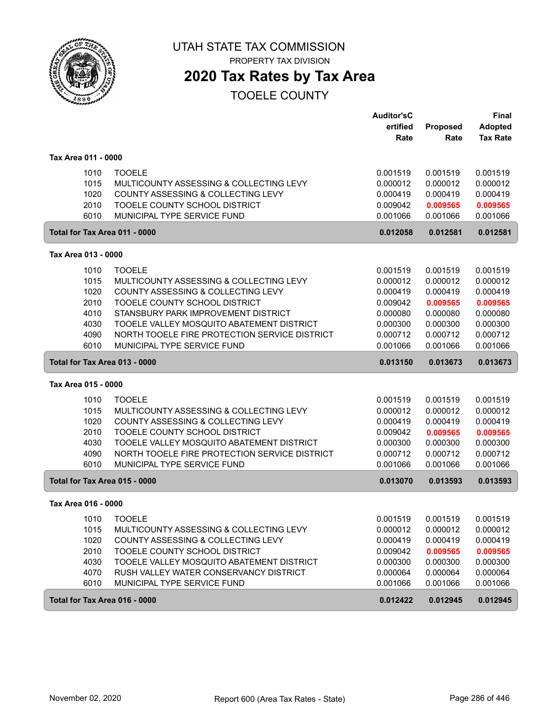

**2020 Tax Rates by Tax Area**

|                     |                                               | <b>Auditor'sC</b> |          | <b>Final</b>    |
|---------------------|-----------------------------------------------|-------------------|----------|-----------------|
|                     |                                               | ertified          | Proposed | <b>Adopted</b>  |
|                     |                                               | Rate              | Rate     | <b>Tax Rate</b> |
| Tax Area 011 - 0000 |                                               |                   |          |                 |
| 1010                | <b>TOOELE</b>                                 | 0.001519          | 0.001519 | 0.001519        |
| 1015                | MULTICOUNTY ASSESSING & COLLECTING LEVY       | 0.000012          | 0.000012 | 0.000012        |
| 1020                | COUNTY ASSESSING & COLLECTING LEVY            | 0.000419          | 0.000419 | 0.000419        |
| 2010                | TOOELE COUNTY SCHOOL DISTRICT                 | 0.009042          | 0.009565 | 0.009565        |
| 6010                | MUNICIPAL TYPE SERVICE FUND                   | 0.001066          | 0.001066 | 0.001066        |
|                     | Total for Tax Area 011 - 0000                 | 0.012058          | 0.012581 | 0.012581        |
| Tax Area 013 - 0000 |                                               |                   |          |                 |
|                     |                                               |                   |          |                 |
| 1010                | <b>TOOELE</b>                                 | 0.001519          | 0.001519 | 0.001519        |
| 1015                | MULTICOUNTY ASSESSING & COLLECTING LEVY       | 0.000012          | 0.000012 | 0.000012        |
| 1020                | COUNTY ASSESSING & COLLECTING LEVY            | 0.000419          | 0.000419 | 0.000419        |
| 2010                | TOOELE COUNTY SCHOOL DISTRICT                 | 0.009042          | 0.009565 | 0.009565        |
| 4010                | STANSBURY PARK IMPROVEMENT DISTRICT           | 0.000080          | 0.000080 | 0.000080        |
| 4030                | TOOELE VALLEY MOSQUITO ABATEMENT DISTRICT     | 0.000300          | 0.000300 | 0.000300        |
| 4090                | NORTH TOOELE FIRE PROTECTION SERVICE DISTRICT | 0.000712          | 0.000712 | 0.000712        |
| 6010                | MUNICIPAL TYPE SERVICE FUND                   | 0.001066          | 0.001066 | 0.001066        |
|                     | Total for Tax Area 013 - 0000                 | 0.013150          | 0.013673 | 0.013673        |
| Tax Area 015 - 0000 |                                               |                   |          |                 |
| 1010                | <b>TOOELE</b>                                 | 0.001519          | 0.001519 | 0.001519        |
| 1015                | MULTICOUNTY ASSESSING & COLLECTING LEVY       | 0.000012          | 0.000012 | 0.000012        |
| 1020                | COUNTY ASSESSING & COLLECTING LEVY            | 0.000419          | 0.000419 | 0.000419        |
| 2010                | TOOELE COUNTY SCHOOL DISTRICT                 | 0.009042          | 0.009565 | 0.009565        |
| 4030                | TOOELE VALLEY MOSQUITO ABATEMENT DISTRICT     | 0.000300          | 0.000300 | 0.000300        |
| 4090                | NORTH TOOELE FIRE PROTECTION SERVICE DISTRICT | 0.000712          | 0.000712 | 0.000712        |
| 6010                | MUNICIPAL TYPE SERVICE FUND                   | 0.001066          | 0.001066 | 0.001066        |
|                     | Total for Tax Area 015 - 0000                 | 0.013070          | 0.013593 | 0.013593        |
| Tax Area 016 - 0000 |                                               |                   |          |                 |
| 1010                | <b>TOOELE</b>                                 | 0.001519          | 0.001519 | 0.001519        |
| 1015                | MULTICOUNTY ASSESSING & COLLECTING LEVY       | 0.000012          | 0.000012 | 0.000012        |
| 1020                | COUNTY ASSESSING & COLLECTING LEVY            | 0.000419          | 0.000419 | 0.000419        |
| 2010                | TOOELE COUNTY SCHOOL DISTRICT                 | 0.009042          | 0.009565 | 0.009565        |
| 4030                | TOOELE VALLEY MOSQUITO ABATEMENT DISTRICT     | 0.000300          | 0.000300 | 0.000300        |
| 4070                | RUSH VALLEY WATER CONSERVANCY DISTRICT        | 0.000064          | 0.000064 | 0.000064        |
| 6010                | MUNICIPAL TYPE SERVICE FUND                   | 0.001066          | 0.001066 | 0.001066        |
|                     | Total for Tax Area 016 - 0000                 | 0.012422          | 0.012945 | 0.012945        |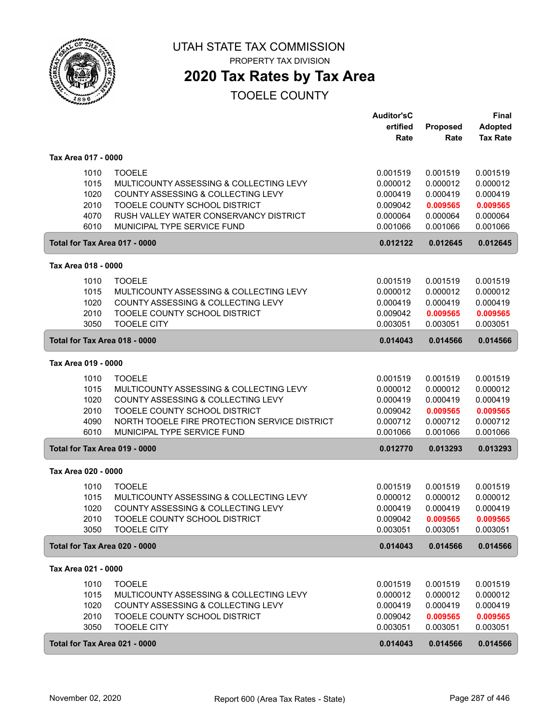

**2020 Tax Rates by Tax Area**

|                               |                                               | <b>Auditor'sC</b><br>ertified | Proposed | Final<br><b>Adopted</b> |
|-------------------------------|-----------------------------------------------|-------------------------------|----------|-------------------------|
|                               |                                               | Rate                          | Rate     | <b>Tax Rate</b>         |
| Tax Area 017 - 0000           |                                               |                               |          |                         |
| 1010                          | <b>TOOELE</b>                                 | 0.001519                      | 0.001519 | 0.001519                |
| 1015                          | MULTICOUNTY ASSESSING & COLLECTING LEVY       | 0.000012                      | 0.000012 | 0.000012                |
| 1020                          | COUNTY ASSESSING & COLLECTING LEVY            | 0.000419                      | 0.000419 | 0.000419                |
| 2010                          | TOOELE COUNTY SCHOOL DISTRICT                 | 0.009042                      | 0.009565 | 0.009565                |
| 4070                          | RUSH VALLEY WATER CONSERVANCY DISTRICT        | 0.000064                      | 0.000064 | 0.000064                |
| 6010                          | MUNICIPAL TYPE SERVICE FUND                   | 0.001066                      | 0.001066 | 0.001066                |
| Total for Tax Area 017 - 0000 |                                               | 0.012122                      | 0.012645 | 0.012645                |
| Tax Area 018 - 0000           |                                               |                               |          |                         |
| 1010                          | <b>TOOELE</b>                                 | 0.001519                      | 0.001519 | 0.001519                |
| 1015                          | MULTICOUNTY ASSESSING & COLLECTING LEVY       | 0.000012                      | 0.000012 | 0.000012                |
| 1020                          | COUNTY ASSESSING & COLLECTING LEVY            | 0.000419                      | 0.000419 | 0.000419                |
| 2010                          | TOOELE COUNTY SCHOOL DISTRICT                 | 0.009042                      | 0.009565 | 0.009565                |
| 3050                          | <b>TOOELE CITY</b>                            | 0.003051                      | 0.003051 | 0.003051                |
| Total for Tax Area 018 - 0000 |                                               | 0.014043                      | 0.014566 | 0.014566                |
| Tax Area 019 - 0000           |                                               |                               |          |                         |
| 1010                          | <b>TOOELE</b>                                 | 0.001519                      | 0.001519 | 0.001519                |
| 1015                          | MULTICOUNTY ASSESSING & COLLECTING LEVY       | 0.000012                      | 0.000012 | 0.000012                |
| 1020                          | COUNTY ASSESSING & COLLECTING LEVY            | 0.000419                      | 0.000419 | 0.000419                |
| 2010                          | TOOELE COUNTY SCHOOL DISTRICT                 | 0.009042                      | 0.009565 | 0.009565                |
| 4090                          | NORTH TOOELE FIRE PROTECTION SERVICE DISTRICT | 0.000712                      | 0.000712 | 0.000712                |
| 6010                          | MUNICIPAL TYPE SERVICE FUND                   | 0.001066                      | 0.001066 | 0.001066                |
| Total for Tax Area 019 - 0000 |                                               | 0.012770                      | 0.013293 | 0.013293                |
| Tax Area 020 - 0000           |                                               |                               |          |                         |
| 1010                          | <b>TOOELE</b>                                 | 0.001519                      | 0.001519 | 0.001519                |
| 1015                          | MULTICOUNTY ASSESSING & COLLECTING LEVY       | 0.000012                      | 0.000012 | 0.000012                |
| 1020                          | COUNTY ASSESSING & COLLECTING LEVY            | 0.000419                      | 0.000419 | 0.000419                |
| 2010                          | TOOELE COUNTY SCHOOL DISTRICT                 | 0.009042                      | 0.009565 | 0.009565                |
| 3050                          | <b>TOOELE CITY</b>                            | 0.003051                      | 0.003051 | 0.003051                |
| Total for Tax Area 020 - 0000 |                                               | 0.014043                      | 0.014566 | 0.014566                |
| Tax Area 021 - 0000           |                                               |                               |          |                         |
| 1010                          | <b>TOOELE</b>                                 | 0.001519                      | 0.001519 | 0.001519                |
| 1015                          | MULTICOUNTY ASSESSING & COLLECTING LEVY       | 0.000012                      | 0.000012 | 0.000012                |
| 1020                          | COUNTY ASSESSING & COLLECTING LEVY            | 0.000419                      | 0.000419 | 0.000419                |
| 2010                          | TOOELE COUNTY SCHOOL DISTRICT                 | 0.009042                      | 0.009565 | 0.009565                |
| 3050                          | <b>TOOELE CITY</b>                            | 0.003051                      | 0.003051 | 0.003051                |
| Total for Tax Area 021 - 0000 |                                               | 0.014043                      | 0.014566 | 0.014566                |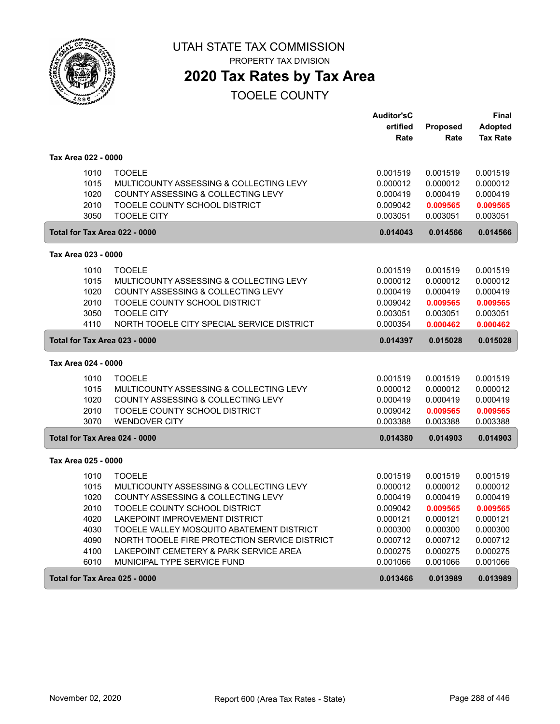

PROPERTY TAX DIVISION

### **2020 Tax Rates by Tax Area**

|                               |                                               | <b>Auditor'sC</b> |                 | Final           |
|-------------------------------|-----------------------------------------------|-------------------|-----------------|-----------------|
|                               |                                               | ertified          | <b>Proposed</b> | <b>Adopted</b>  |
|                               |                                               | Rate              | Rate            | <b>Tax Rate</b> |
| Tax Area 022 - 0000           |                                               |                   |                 |                 |
| 1010                          | <b>TOOELE</b>                                 | 0.001519          | 0.001519        | 0.001519        |
| 1015                          | MULTICOUNTY ASSESSING & COLLECTING LEVY       | 0.000012          | 0.000012        | 0.000012        |
| 1020                          | COUNTY ASSESSING & COLLECTING LEVY            | 0.000419          | 0.000419        | 0.000419        |
| 2010                          | TOOELE COUNTY SCHOOL DISTRICT                 | 0.009042          | 0.009565        | 0.009565        |
| 3050                          | <b>TOOELE CITY</b>                            | 0.003051          | 0.003051        | 0.003051        |
| Total for Tax Area 022 - 0000 |                                               | 0.014043          | 0.014566        | 0.014566        |
| Tax Area 023 - 0000           |                                               |                   |                 |                 |
| 1010                          | <b>TOOELE</b>                                 | 0.001519          | 0.001519        | 0.001519        |
| 1015                          | MULTICOUNTY ASSESSING & COLLECTING LEVY       | 0.000012          | 0.000012        | 0.000012        |
| 1020                          | COUNTY ASSESSING & COLLECTING LEVY            | 0.000419          | 0.000419        | 0.000419        |
| 2010                          | TOOELE COUNTY SCHOOL DISTRICT                 | 0.009042          | 0.009565        | 0.009565        |
| 3050                          | <b>TOOELE CITY</b>                            | 0.003051          | 0.003051        | 0.003051        |
| 4110                          | NORTH TOOELE CITY SPECIAL SERVICE DISTRICT    | 0.000354          | 0.000462        | 0.000462        |
| Total for Tax Area 023 - 0000 |                                               | 0.014397          | 0.015028        | 0.015028        |
| Tax Area 024 - 0000           |                                               |                   |                 |                 |
| 1010                          | <b>TOOELE</b>                                 | 0.001519          | 0.001519        | 0.001519        |
| 1015                          | MULTICOUNTY ASSESSING & COLLECTING LEVY       | 0.000012          | 0.000012        | 0.000012        |
| 1020                          | COUNTY ASSESSING & COLLECTING LEVY            | 0.000419          | 0.000419        | 0.000419        |
| 2010                          | TOOELE COUNTY SCHOOL DISTRICT                 | 0.009042          | 0.009565        | 0.009565        |
| 3070                          | <b>WENDOVER CITY</b>                          | 0.003388          | 0.003388        | 0.003388        |
| Total for Tax Area 024 - 0000 |                                               | 0.014380          | 0.014903        | 0.014903        |
| Tax Area 025 - 0000           |                                               |                   |                 |                 |
| 1010                          | <b>TOOELE</b>                                 | 0.001519          | 0.001519        | 0.001519        |
| 1015                          | MULTICOUNTY ASSESSING & COLLECTING LEVY       | 0.000012          | 0.000012        | 0.000012        |
| 1020                          | COUNTY ASSESSING & COLLECTING LEVY            | 0.000419          | 0.000419        | 0.000419        |
| 2010                          | TOOELE COUNTY SCHOOL DISTRICT                 | 0.009042          | 0.009565        | 0.009565        |
| 4020                          | LAKEPOINT IMPROVEMENT DISTRICT                | 0.000121          | 0.000121        | 0.000121        |
| 4030                          | TOOELE VALLEY MOSQUITO ABATEMENT DISTRICT     | 0.000300          | 0.000300        | 0.000300        |
| 4090                          | NORTH TOOELE FIRE PROTECTION SERVICE DISTRICT | 0.000712          | 0.000712        | 0.000712        |
| 4100                          | LAKEPOINT CEMETERY & PARK SERVICE AREA        | 0.000275          | 0.000275        | 0.000275        |
| 6010                          | MUNICIPAL TYPE SERVICE FUND                   | 0.001066          | 0.001066        | 0.001066        |
| Total for Tax Area 025 - 0000 |                                               | 0.013466          | 0.013989        | 0.013989        |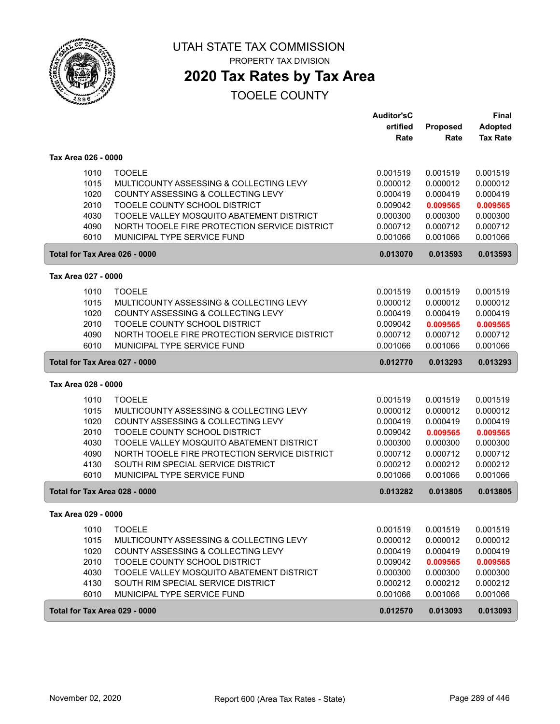

# **2020 Tax Rates by Tax Area**

| ertified<br><b>Tax Rate</b><br>Rate<br>Rate<br>Tax Area 026 - 0000<br>1010<br><b>TOOELE</b><br>0.001519<br>0.001519<br>0.001519<br>1015<br>MULTICOUNTY ASSESSING & COLLECTING LEVY<br>0.000012<br>0.000012<br>0.000012<br>1020<br>COUNTY ASSESSING & COLLECTING LEVY<br>0.000419<br>0.000419<br>0.000419<br>2010<br>TOOELE COUNTY SCHOOL DISTRICT<br>0.009042<br>0.009565<br>0.009565<br>4030<br>TOOELE VALLEY MOSQUITO ABATEMENT DISTRICT<br>0.000300<br>0.000300<br>0.000300<br>4090<br>NORTH TOOELE FIRE PROTECTION SERVICE DISTRICT<br>0.000712<br>0.000712<br>0.000712<br>6010<br>MUNICIPAL TYPE SERVICE FUND<br>0.001066<br>0.001066<br>0.001066<br>Total for Tax Area 026 - 0000<br>0.013070<br>0.013593<br>0.013593<br>Tax Area 027 - 0000<br>1010<br><b>TOOELE</b><br>0.001519<br>0.001519<br>0.001519<br>1015<br>MULTICOUNTY ASSESSING & COLLECTING LEVY<br>0.000012<br>0.000012<br>0.000012<br>1020<br>COUNTY ASSESSING & COLLECTING LEVY<br>0.000419<br>0.000419<br>0.000419<br>2010<br>TOOELE COUNTY SCHOOL DISTRICT<br>0.009042<br>0.009565<br>0.009565<br>4090<br>NORTH TOOELE FIRE PROTECTION SERVICE DISTRICT<br>0.000712<br>0.000712<br>0.000712<br>6010<br>MUNICIPAL TYPE SERVICE FUND<br>0.001066<br>0.001066<br>0.001066<br>Total for Tax Area 027 - 0000<br>0.012770<br>0.013293<br>0.013293<br>Tax Area 028 - 0000<br>1010<br><b>TOOELE</b><br>0.001519<br>0.001519<br>0.001519<br>1015<br>MULTICOUNTY ASSESSING & COLLECTING LEVY<br>0.000012<br>0.000012<br>0.000012<br>1020<br>COUNTY ASSESSING & COLLECTING LEVY<br>0.000419<br>0.000419<br>0.000419<br>2010<br>TOOELE COUNTY SCHOOL DISTRICT<br>0.009042<br>0.009565<br>0.009565<br>4030<br>TOOELE VALLEY MOSQUITO ABATEMENT DISTRICT<br>0.000300<br>0.000300<br>0.000300<br>4090<br>NORTH TOOELE FIRE PROTECTION SERVICE DISTRICT<br>0.000712<br>0.000712<br>0.000712<br>4130<br>SOUTH RIM SPECIAL SERVICE DISTRICT<br>0.000212<br>0.000212<br>0.000212<br>6010<br>MUNICIPAL TYPE SERVICE FUND<br>0.001066<br>0.001066<br>0.001066<br>Total for Tax Area 028 - 0000<br>0.013282<br>0.013805<br>0.013805<br>Tax Area 029 - 0000<br>1010<br><b>TOOELE</b><br>0.001519<br>0.001519<br>0.001519<br>1015<br>MULTICOUNTY ASSESSING & COLLECTING LEVY<br>0.000012<br>0.000012<br>0.000012<br>1020<br>COUNTY ASSESSING & COLLECTING LEVY<br>0.000419<br>0.000419<br>0.000419<br>2010<br>TOOELE COUNTY SCHOOL DISTRICT<br>0.009042<br>0.009565<br>0.009565 |  | <b>Auditor'sC</b> |          | Final          |
|--------------------------------------------------------------------------------------------------------------------------------------------------------------------------------------------------------------------------------------------------------------------------------------------------------------------------------------------------------------------------------------------------------------------------------------------------------------------------------------------------------------------------------------------------------------------------------------------------------------------------------------------------------------------------------------------------------------------------------------------------------------------------------------------------------------------------------------------------------------------------------------------------------------------------------------------------------------------------------------------------------------------------------------------------------------------------------------------------------------------------------------------------------------------------------------------------------------------------------------------------------------------------------------------------------------------------------------------------------------------------------------------------------------------------------------------------------------------------------------------------------------------------------------------------------------------------------------------------------------------------------------------------------------------------------------------------------------------------------------------------------------------------------------------------------------------------------------------------------------------------------------------------------------------------------------------------------------------------------------------------------------------------------------------------------------------------------------------------------------------------------------------------------------------------------------------------------------------------------------------------------------------------------------------------------------------------------------------------------------------------------------------------------------------------------|--|-------------------|----------|----------------|
|                                                                                                                                                                                                                                                                                                                                                                                                                                                                                                                                                                                                                                                                                                                                                                                                                                                                                                                                                                                                                                                                                                                                                                                                                                                                                                                                                                                                                                                                                                                                                                                                                                                                                                                                                                                                                                                                                                                                                                                                                                                                                                                                                                                                                                                                                                                                                                                                                                |  |                   | Proposed | <b>Adopted</b> |
|                                                                                                                                                                                                                                                                                                                                                                                                                                                                                                                                                                                                                                                                                                                                                                                                                                                                                                                                                                                                                                                                                                                                                                                                                                                                                                                                                                                                                                                                                                                                                                                                                                                                                                                                                                                                                                                                                                                                                                                                                                                                                                                                                                                                                                                                                                                                                                                                                                |  |                   |          |                |
|                                                                                                                                                                                                                                                                                                                                                                                                                                                                                                                                                                                                                                                                                                                                                                                                                                                                                                                                                                                                                                                                                                                                                                                                                                                                                                                                                                                                                                                                                                                                                                                                                                                                                                                                                                                                                                                                                                                                                                                                                                                                                                                                                                                                                                                                                                                                                                                                                                |  |                   |          |                |
|                                                                                                                                                                                                                                                                                                                                                                                                                                                                                                                                                                                                                                                                                                                                                                                                                                                                                                                                                                                                                                                                                                                                                                                                                                                                                                                                                                                                                                                                                                                                                                                                                                                                                                                                                                                                                                                                                                                                                                                                                                                                                                                                                                                                                                                                                                                                                                                                                                |  |                   |          |                |
|                                                                                                                                                                                                                                                                                                                                                                                                                                                                                                                                                                                                                                                                                                                                                                                                                                                                                                                                                                                                                                                                                                                                                                                                                                                                                                                                                                                                                                                                                                                                                                                                                                                                                                                                                                                                                                                                                                                                                                                                                                                                                                                                                                                                                                                                                                                                                                                                                                |  |                   |          |                |
|                                                                                                                                                                                                                                                                                                                                                                                                                                                                                                                                                                                                                                                                                                                                                                                                                                                                                                                                                                                                                                                                                                                                                                                                                                                                                                                                                                                                                                                                                                                                                                                                                                                                                                                                                                                                                                                                                                                                                                                                                                                                                                                                                                                                                                                                                                                                                                                                                                |  |                   |          |                |
|                                                                                                                                                                                                                                                                                                                                                                                                                                                                                                                                                                                                                                                                                                                                                                                                                                                                                                                                                                                                                                                                                                                                                                                                                                                                                                                                                                                                                                                                                                                                                                                                                                                                                                                                                                                                                                                                                                                                                                                                                                                                                                                                                                                                                                                                                                                                                                                                                                |  |                   |          |                |
|                                                                                                                                                                                                                                                                                                                                                                                                                                                                                                                                                                                                                                                                                                                                                                                                                                                                                                                                                                                                                                                                                                                                                                                                                                                                                                                                                                                                                                                                                                                                                                                                                                                                                                                                                                                                                                                                                                                                                                                                                                                                                                                                                                                                                                                                                                                                                                                                                                |  |                   |          |                |
|                                                                                                                                                                                                                                                                                                                                                                                                                                                                                                                                                                                                                                                                                                                                                                                                                                                                                                                                                                                                                                                                                                                                                                                                                                                                                                                                                                                                                                                                                                                                                                                                                                                                                                                                                                                                                                                                                                                                                                                                                                                                                                                                                                                                                                                                                                                                                                                                                                |  |                   |          |                |
|                                                                                                                                                                                                                                                                                                                                                                                                                                                                                                                                                                                                                                                                                                                                                                                                                                                                                                                                                                                                                                                                                                                                                                                                                                                                                                                                                                                                                                                                                                                                                                                                                                                                                                                                                                                                                                                                                                                                                                                                                                                                                                                                                                                                                                                                                                                                                                                                                                |  |                   |          |                |
|                                                                                                                                                                                                                                                                                                                                                                                                                                                                                                                                                                                                                                                                                                                                                                                                                                                                                                                                                                                                                                                                                                                                                                                                                                                                                                                                                                                                                                                                                                                                                                                                                                                                                                                                                                                                                                                                                                                                                                                                                                                                                                                                                                                                                                                                                                                                                                                                                                |  |                   |          |                |
|                                                                                                                                                                                                                                                                                                                                                                                                                                                                                                                                                                                                                                                                                                                                                                                                                                                                                                                                                                                                                                                                                                                                                                                                                                                                                                                                                                                                                                                                                                                                                                                                                                                                                                                                                                                                                                                                                                                                                                                                                                                                                                                                                                                                                                                                                                                                                                                                                                |  |                   |          |                |
|                                                                                                                                                                                                                                                                                                                                                                                                                                                                                                                                                                                                                                                                                                                                                                                                                                                                                                                                                                                                                                                                                                                                                                                                                                                                                                                                                                                                                                                                                                                                                                                                                                                                                                                                                                                                                                                                                                                                                                                                                                                                                                                                                                                                                                                                                                                                                                                                                                |  |                   |          |                |
|                                                                                                                                                                                                                                                                                                                                                                                                                                                                                                                                                                                                                                                                                                                                                                                                                                                                                                                                                                                                                                                                                                                                                                                                                                                                                                                                                                                                                                                                                                                                                                                                                                                                                                                                                                                                                                                                                                                                                                                                                                                                                                                                                                                                                                                                                                                                                                                                                                |  |                   |          |                |
|                                                                                                                                                                                                                                                                                                                                                                                                                                                                                                                                                                                                                                                                                                                                                                                                                                                                                                                                                                                                                                                                                                                                                                                                                                                                                                                                                                                                                                                                                                                                                                                                                                                                                                                                                                                                                                                                                                                                                                                                                                                                                                                                                                                                                                                                                                                                                                                                                                |  |                   |          |                |
|                                                                                                                                                                                                                                                                                                                                                                                                                                                                                                                                                                                                                                                                                                                                                                                                                                                                                                                                                                                                                                                                                                                                                                                                                                                                                                                                                                                                                                                                                                                                                                                                                                                                                                                                                                                                                                                                                                                                                                                                                                                                                                                                                                                                                                                                                                                                                                                                                                |  |                   |          |                |
|                                                                                                                                                                                                                                                                                                                                                                                                                                                                                                                                                                                                                                                                                                                                                                                                                                                                                                                                                                                                                                                                                                                                                                                                                                                                                                                                                                                                                                                                                                                                                                                                                                                                                                                                                                                                                                                                                                                                                                                                                                                                                                                                                                                                                                                                                                                                                                                                                                |  |                   |          |                |
|                                                                                                                                                                                                                                                                                                                                                                                                                                                                                                                                                                                                                                                                                                                                                                                                                                                                                                                                                                                                                                                                                                                                                                                                                                                                                                                                                                                                                                                                                                                                                                                                                                                                                                                                                                                                                                                                                                                                                                                                                                                                                                                                                                                                                                                                                                                                                                                                                                |  |                   |          |                |
|                                                                                                                                                                                                                                                                                                                                                                                                                                                                                                                                                                                                                                                                                                                                                                                                                                                                                                                                                                                                                                                                                                                                                                                                                                                                                                                                                                                                                                                                                                                                                                                                                                                                                                                                                                                                                                                                                                                                                                                                                                                                                                                                                                                                                                                                                                                                                                                                                                |  |                   |          |                |
|                                                                                                                                                                                                                                                                                                                                                                                                                                                                                                                                                                                                                                                                                                                                                                                                                                                                                                                                                                                                                                                                                                                                                                                                                                                                                                                                                                                                                                                                                                                                                                                                                                                                                                                                                                                                                                                                                                                                                                                                                                                                                                                                                                                                                                                                                                                                                                                                                                |  |                   |          |                |
|                                                                                                                                                                                                                                                                                                                                                                                                                                                                                                                                                                                                                                                                                                                                                                                                                                                                                                                                                                                                                                                                                                                                                                                                                                                                                                                                                                                                                                                                                                                                                                                                                                                                                                                                                                                                                                                                                                                                                                                                                                                                                                                                                                                                                                                                                                                                                                                                                                |  |                   |          |                |
|                                                                                                                                                                                                                                                                                                                                                                                                                                                                                                                                                                                                                                                                                                                                                                                                                                                                                                                                                                                                                                                                                                                                                                                                                                                                                                                                                                                                                                                                                                                                                                                                                                                                                                                                                                                                                                                                                                                                                                                                                                                                                                                                                                                                                                                                                                                                                                                                                                |  |                   |          |                |
|                                                                                                                                                                                                                                                                                                                                                                                                                                                                                                                                                                                                                                                                                                                                                                                                                                                                                                                                                                                                                                                                                                                                                                                                                                                                                                                                                                                                                                                                                                                                                                                                                                                                                                                                                                                                                                                                                                                                                                                                                                                                                                                                                                                                                                                                                                                                                                                                                                |  |                   |          |                |
|                                                                                                                                                                                                                                                                                                                                                                                                                                                                                                                                                                                                                                                                                                                                                                                                                                                                                                                                                                                                                                                                                                                                                                                                                                                                                                                                                                                                                                                                                                                                                                                                                                                                                                                                                                                                                                                                                                                                                                                                                                                                                                                                                                                                                                                                                                                                                                                                                                |  |                   |          |                |
|                                                                                                                                                                                                                                                                                                                                                                                                                                                                                                                                                                                                                                                                                                                                                                                                                                                                                                                                                                                                                                                                                                                                                                                                                                                                                                                                                                                                                                                                                                                                                                                                                                                                                                                                                                                                                                                                                                                                                                                                                                                                                                                                                                                                                                                                                                                                                                                                                                |  |                   |          |                |
|                                                                                                                                                                                                                                                                                                                                                                                                                                                                                                                                                                                                                                                                                                                                                                                                                                                                                                                                                                                                                                                                                                                                                                                                                                                                                                                                                                                                                                                                                                                                                                                                                                                                                                                                                                                                                                                                                                                                                                                                                                                                                                                                                                                                                                                                                                                                                                                                                                |  |                   |          |                |
|                                                                                                                                                                                                                                                                                                                                                                                                                                                                                                                                                                                                                                                                                                                                                                                                                                                                                                                                                                                                                                                                                                                                                                                                                                                                                                                                                                                                                                                                                                                                                                                                                                                                                                                                                                                                                                                                                                                                                                                                                                                                                                                                                                                                                                                                                                                                                                                                                                |  |                   |          |                |
|                                                                                                                                                                                                                                                                                                                                                                                                                                                                                                                                                                                                                                                                                                                                                                                                                                                                                                                                                                                                                                                                                                                                                                                                                                                                                                                                                                                                                                                                                                                                                                                                                                                                                                                                                                                                                                                                                                                                                                                                                                                                                                                                                                                                                                                                                                                                                                                                                                |  |                   |          |                |
|                                                                                                                                                                                                                                                                                                                                                                                                                                                                                                                                                                                                                                                                                                                                                                                                                                                                                                                                                                                                                                                                                                                                                                                                                                                                                                                                                                                                                                                                                                                                                                                                                                                                                                                                                                                                                                                                                                                                                                                                                                                                                                                                                                                                                                                                                                                                                                                                                                |  |                   |          |                |
|                                                                                                                                                                                                                                                                                                                                                                                                                                                                                                                                                                                                                                                                                                                                                                                                                                                                                                                                                                                                                                                                                                                                                                                                                                                                                                                                                                                                                                                                                                                                                                                                                                                                                                                                                                                                                                                                                                                                                                                                                                                                                                                                                                                                                                                                                                                                                                                                                                |  |                   |          |                |
|                                                                                                                                                                                                                                                                                                                                                                                                                                                                                                                                                                                                                                                                                                                                                                                                                                                                                                                                                                                                                                                                                                                                                                                                                                                                                                                                                                                                                                                                                                                                                                                                                                                                                                                                                                                                                                                                                                                                                                                                                                                                                                                                                                                                                                                                                                                                                                                                                                |  |                   |          |                |
|                                                                                                                                                                                                                                                                                                                                                                                                                                                                                                                                                                                                                                                                                                                                                                                                                                                                                                                                                                                                                                                                                                                                                                                                                                                                                                                                                                                                                                                                                                                                                                                                                                                                                                                                                                                                                                                                                                                                                                                                                                                                                                                                                                                                                                                                                                                                                                                                                                |  |                   |          |                |
|                                                                                                                                                                                                                                                                                                                                                                                                                                                                                                                                                                                                                                                                                                                                                                                                                                                                                                                                                                                                                                                                                                                                                                                                                                                                                                                                                                                                                                                                                                                                                                                                                                                                                                                                                                                                                                                                                                                                                                                                                                                                                                                                                                                                                                                                                                                                                                                                                                |  |                   |          |                |
|                                                                                                                                                                                                                                                                                                                                                                                                                                                                                                                                                                                                                                                                                                                                                                                                                                                                                                                                                                                                                                                                                                                                                                                                                                                                                                                                                                                                                                                                                                                                                                                                                                                                                                                                                                                                                                                                                                                                                                                                                                                                                                                                                                                                                                                                                                                                                                                                                                |  |                   |          |                |
|                                                                                                                                                                                                                                                                                                                                                                                                                                                                                                                                                                                                                                                                                                                                                                                                                                                                                                                                                                                                                                                                                                                                                                                                                                                                                                                                                                                                                                                                                                                                                                                                                                                                                                                                                                                                                                                                                                                                                                                                                                                                                                                                                                                                                                                                                                                                                                                                                                |  |                   |          |                |
| 4030<br>TOOELE VALLEY MOSQUITO ABATEMENT DISTRICT<br>0.000300<br>0.000300<br>0.000300                                                                                                                                                                                                                                                                                                                                                                                                                                                                                                                                                                                                                                                                                                                                                                                                                                                                                                                                                                                                                                                                                                                                                                                                                                                                                                                                                                                                                                                                                                                                                                                                                                                                                                                                                                                                                                                                                                                                                                                                                                                                                                                                                                                                                                                                                                                                          |  |                   |          |                |
| 4130<br>SOUTH RIM SPECIAL SERVICE DISTRICT<br>0.000212<br>0.000212<br>0.000212                                                                                                                                                                                                                                                                                                                                                                                                                                                                                                                                                                                                                                                                                                                                                                                                                                                                                                                                                                                                                                                                                                                                                                                                                                                                                                                                                                                                                                                                                                                                                                                                                                                                                                                                                                                                                                                                                                                                                                                                                                                                                                                                                                                                                                                                                                                                                 |  |                   |          |                |
| 6010<br>MUNICIPAL TYPE SERVICE FUND<br>0.001066<br>0.001066<br>0.001066                                                                                                                                                                                                                                                                                                                                                                                                                                                                                                                                                                                                                                                                                                                                                                                                                                                                                                                                                                                                                                                                                                                                                                                                                                                                                                                                                                                                                                                                                                                                                                                                                                                                                                                                                                                                                                                                                                                                                                                                                                                                                                                                                                                                                                                                                                                                                        |  |                   |          |                |
| Total for Tax Area 029 - 0000<br>0.012570<br>0.013093<br>0.013093                                                                                                                                                                                                                                                                                                                                                                                                                                                                                                                                                                                                                                                                                                                                                                                                                                                                                                                                                                                                                                                                                                                                                                                                                                                                                                                                                                                                                                                                                                                                                                                                                                                                                                                                                                                                                                                                                                                                                                                                                                                                                                                                                                                                                                                                                                                                                              |  |                   |          |                |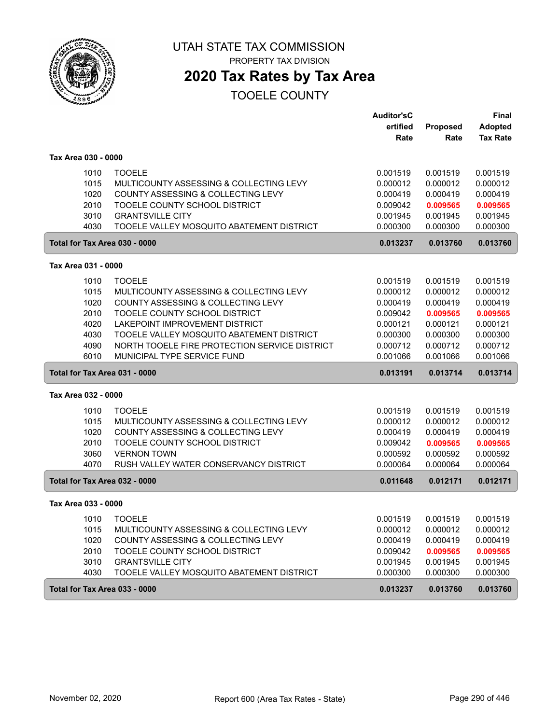

# UTAH STATE TAX COMMISSION

PROPERTY TAX DIVISION

# **2020 Tax Rates by Tax Area**

|                               |                                               | <b>Auditor'sC</b> |          | <b>Final</b>    |
|-------------------------------|-----------------------------------------------|-------------------|----------|-----------------|
|                               |                                               | ertified          | Proposed | <b>Adopted</b>  |
|                               |                                               | Rate              | Rate     | <b>Tax Rate</b> |
| Tax Area 030 - 0000           |                                               |                   |          |                 |
| 1010                          | <b>TOOELE</b>                                 | 0.001519          | 0.001519 | 0.001519        |
| 1015                          | MULTICOUNTY ASSESSING & COLLECTING LEVY       | 0.000012          | 0.000012 | 0.000012        |
| 1020                          | COUNTY ASSESSING & COLLECTING LEVY            | 0.000419          | 0.000419 | 0.000419        |
| 2010                          | TOOELE COUNTY SCHOOL DISTRICT                 | 0.009042          | 0.009565 | 0.009565        |
| 3010                          | <b>GRANTSVILLE CITY</b>                       | 0.001945          | 0.001945 | 0.001945        |
| 4030                          | TOOELE VALLEY MOSQUITO ABATEMENT DISTRICT     | 0.000300          | 0.000300 | 0.000300        |
| Total for Tax Area 030 - 0000 |                                               | 0.013237          | 0.013760 | 0.013760        |
| Tax Area 031 - 0000           |                                               |                   |          |                 |
| 1010                          | <b>TOOELE</b>                                 | 0.001519          | 0.001519 | 0.001519        |
| 1015                          | MULTICOUNTY ASSESSING & COLLECTING LEVY       | 0.000012          | 0.000012 | 0.000012        |
| 1020                          | COUNTY ASSESSING & COLLECTING LEVY            | 0.000419          | 0.000419 | 0.000419        |
| 2010                          | TOOELE COUNTY SCHOOL DISTRICT                 | 0.009042          | 0.009565 | 0.009565        |
| 4020                          | LAKEPOINT IMPROVEMENT DISTRICT                | 0.000121          | 0.000121 | 0.000121        |
| 4030                          | TOOELE VALLEY MOSQUITO ABATEMENT DISTRICT     | 0.000300          | 0.000300 | 0.000300        |
| 4090                          | NORTH TOOELE FIRE PROTECTION SERVICE DISTRICT | 0.000712          | 0.000712 | 0.000712        |
| 6010                          | MUNICIPAL TYPE SERVICE FUND                   | 0.001066          | 0.001066 | 0.001066        |
| Total for Tax Area 031 - 0000 |                                               | 0.013191          | 0.013714 | 0.013714        |
| Tax Area 032 - 0000           |                                               |                   |          |                 |
| 1010                          | <b>TOOELE</b>                                 | 0.001519          | 0.001519 | 0.001519        |
| 1015                          | MULTICOUNTY ASSESSING & COLLECTING LEVY       | 0.000012          | 0.000012 | 0.000012        |
| 1020                          | COUNTY ASSESSING & COLLECTING LEVY            | 0.000419          | 0.000419 | 0.000419        |
| 2010                          | TOOELE COUNTY SCHOOL DISTRICT                 | 0.009042          | 0.009565 | 0.009565        |
| 3060                          | <b>VERNON TOWN</b>                            | 0.000592          | 0.000592 | 0.000592        |
| 4070                          | RUSH VALLEY WATER CONSERVANCY DISTRICT        | 0.000064          | 0.000064 | 0.000064        |
| Total for Tax Area 032 - 0000 |                                               | 0.011648          | 0.012171 | 0.012171        |
| Tax Area 033 - 0000           |                                               |                   |          |                 |
| 1010                          | <b>TOOELE</b>                                 | 0.001519          | 0.001519 | 0.001519        |
| 1015                          | MULTICOUNTY ASSESSING & COLLECTING LEVY       | 0.000012          | 0.000012 | 0.000012        |
| 1020                          | COUNTY ASSESSING & COLLECTING LEVY            | 0.000419          | 0.000419 | 0.000419        |
| 2010                          | TOOELE COUNTY SCHOOL DISTRICT                 | 0.009042          | 0.009565 | 0.009565        |
| 3010                          | <b>GRANTSVILLE CITY</b>                       | 0.001945          | 0.001945 | 0.001945        |
| 4030                          | TOOELE VALLEY MOSQUITO ABATEMENT DISTRICT     | 0.000300          | 0.000300 | 0.000300        |
| Total for Tax Area 033 - 0000 |                                               | 0.013237          | 0.013760 | 0.013760        |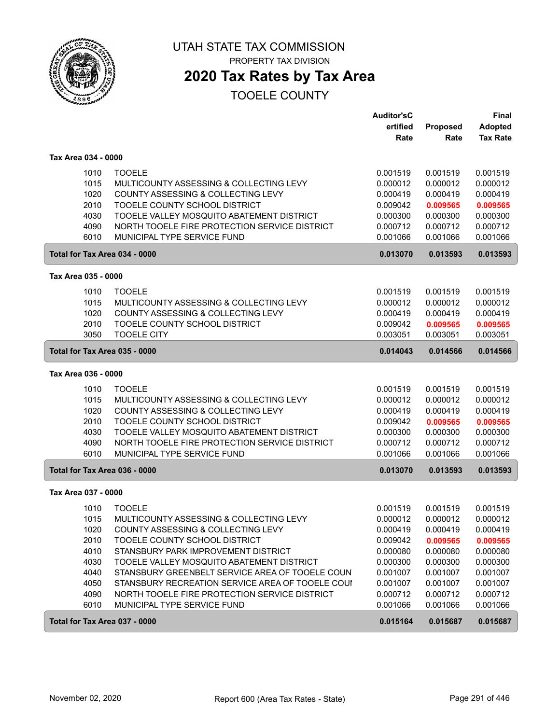

## **2020 Tax Rates by Tax Area**

|                               |                                                  | <b>Auditor'sC</b><br>ertified | Proposed | <b>Final</b><br><b>Adopted</b> |
|-------------------------------|--------------------------------------------------|-------------------------------|----------|--------------------------------|
|                               |                                                  | Rate                          | Rate     | <b>Tax Rate</b>                |
| Tax Area 034 - 0000           |                                                  |                               |          |                                |
| 1010                          | <b>TOOELE</b>                                    | 0.001519                      | 0.001519 | 0.001519                       |
| 1015                          | MULTICOUNTY ASSESSING & COLLECTING LEVY          | 0.000012                      | 0.000012 | 0.000012                       |
| 1020                          | COUNTY ASSESSING & COLLECTING LEVY               | 0.000419                      | 0.000419 | 0.000419                       |
| 2010                          | TOOELE COUNTY SCHOOL DISTRICT                    | 0.009042                      | 0.009565 | 0.009565                       |
| 4030                          | TOOELE VALLEY MOSQUITO ABATEMENT DISTRICT        | 0.000300                      | 0.000300 | 0.000300                       |
| 4090                          | NORTH TOOELE FIRE PROTECTION SERVICE DISTRICT    | 0.000712                      | 0.000712 | 0.000712                       |
| 6010                          | MUNICIPAL TYPE SERVICE FUND                      | 0.001066                      | 0.001066 | 0.001066                       |
| Total for Tax Area 034 - 0000 |                                                  | 0.013070                      | 0.013593 | 0.013593                       |
| Tax Area 035 - 0000           |                                                  |                               |          |                                |
| 1010                          | <b>TOOELE</b>                                    | 0.001519                      | 0.001519 | 0.001519                       |
| 1015                          | MULTICOUNTY ASSESSING & COLLECTING LEVY          | 0.000012                      | 0.000012 | 0.000012                       |
| 1020                          | COUNTY ASSESSING & COLLECTING LEVY               | 0.000419                      | 0.000419 | 0.000419                       |
| 2010                          | TOOELE COUNTY SCHOOL DISTRICT                    | 0.009042                      | 0.009565 | 0.009565                       |
| 3050                          | <b>TOOELE CITY</b>                               | 0.003051                      | 0.003051 | 0.003051                       |
| Total for Tax Area 035 - 0000 |                                                  | 0.014043                      | 0.014566 | 0.014566                       |
| Tax Area 036 - 0000           |                                                  |                               |          |                                |
| 1010                          | <b>TOOELE</b>                                    | 0.001519                      | 0.001519 | 0.001519                       |
| 1015                          | MULTICOUNTY ASSESSING & COLLECTING LEVY          | 0.000012                      | 0.000012 | 0.000012                       |
| 1020                          | COUNTY ASSESSING & COLLECTING LEVY               | 0.000419                      | 0.000419 | 0.000419                       |
| 2010                          | TOOELE COUNTY SCHOOL DISTRICT                    | 0.009042                      | 0.009565 | 0.009565                       |
| 4030                          | TOOELE VALLEY MOSQUITO ABATEMENT DISTRICT        | 0.000300                      | 0.000300 | 0.000300                       |
| 4090                          | NORTH TOOELE FIRE PROTECTION SERVICE DISTRICT    | 0.000712                      | 0.000712 | 0.000712                       |
| 6010                          | MUNICIPAL TYPE SERVICE FUND                      | 0.001066                      | 0.001066 | 0.001066                       |
| Total for Tax Area 036 - 0000 |                                                  | 0.013070                      | 0.013593 | 0.013593                       |
| Tax Area 037 - 0000           |                                                  |                               |          |                                |
| 1010                          | <b>TOOELE</b>                                    | 0.001519                      | 0.001519 | 0.001519                       |
| 1015                          | MULTICOUNTY ASSESSING & COLLECTING LEVY          | 0.000012                      | 0.000012 | 0.000012                       |
| 1020                          | COUNTY ASSESSING & COLLECTING LEVY               | 0.000419                      | 0.000419 | 0.000419                       |
| 2010                          | TOOELE COUNTY SCHOOL DISTRICT                    | 0.009042                      | 0.009565 | 0.009565                       |
| 4010                          | STANSBURY PARK IMPROVEMENT DISTRICT              | 0.000080                      | 0.000080 | 0.000080                       |
| 4030                          | TOOELE VALLEY MOSQUITO ABATEMENT DISTRICT        | 0.000300                      | 0.000300 | 0.000300                       |
| 4040                          | STANSBURY GREENBELT SERVICE AREA OF TOOELE COUN  | 0.001007                      | 0.001007 | 0.001007                       |
| 4050                          | STANSBURY RECREATION SERVICE AREA OF TOOELE COUI | 0.001007                      | 0.001007 | 0.001007                       |
| 4090                          | NORTH TOOELE FIRE PROTECTION SERVICE DISTRICT    | 0.000712                      | 0.000712 | 0.000712                       |
| 6010                          | MUNICIPAL TYPE SERVICE FUND                      | 0.001066                      | 0.001066 | 0.001066                       |
| Total for Tax Area 037 - 0000 |                                                  | 0.015164                      | 0.015687 | 0.015687                       |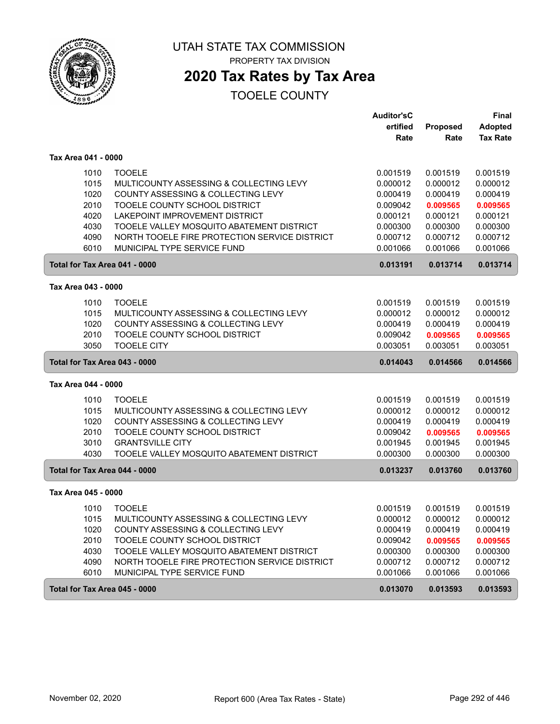

# UTAH STATE TAX COMMISSION

PROPERTY TAX DIVISION

# **2020 Tax Rates by Tax Area**

|                               |                                               | <b>Auditor'sC</b> |          | <b>Final</b>    |
|-------------------------------|-----------------------------------------------|-------------------|----------|-----------------|
|                               |                                               | ertified          | Proposed | <b>Adopted</b>  |
|                               |                                               | Rate              | Rate     | <b>Tax Rate</b> |
| Tax Area 041 - 0000           |                                               |                   |          |                 |
| 1010                          | <b>TOOELE</b>                                 | 0.001519          | 0.001519 | 0.001519        |
| 1015                          | MULTICOUNTY ASSESSING & COLLECTING LEVY       | 0.000012          | 0.000012 | 0.000012        |
| 1020                          | COUNTY ASSESSING & COLLECTING LEVY            | 0.000419          | 0.000419 | 0.000419        |
| 2010                          | TOOELE COUNTY SCHOOL DISTRICT                 | 0.009042          | 0.009565 | 0.009565        |
| 4020                          | LAKEPOINT IMPROVEMENT DISTRICT                | 0.000121          | 0.000121 | 0.000121        |
| 4030                          | TOOELE VALLEY MOSQUITO ABATEMENT DISTRICT     | 0.000300          | 0.000300 | 0.000300        |
| 4090                          | NORTH TOOELE FIRE PROTECTION SERVICE DISTRICT | 0.000712          | 0.000712 | 0.000712        |
| 6010                          | MUNICIPAL TYPE SERVICE FUND                   | 0.001066          | 0.001066 | 0.001066        |
| Total for Tax Area 041 - 0000 |                                               | 0.013191          | 0.013714 | 0.013714        |
| Tax Area 043 - 0000           |                                               |                   |          |                 |
| 1010                          | <b>TOOELE</b>                                 | 0.001519          | 0.001519 | 0.001519        |
| 1015                          | MULTICOUNTY ASSESSING & COLLECTING LEVY       | 0.000012          | 0.000012 | 0.000012        |
| 1020                          | COUNTY ASSESSING & COLLECTING LEVY            | 0.000419          | 0.000419 | 0.000419        |
| 2010                          | TOOELE COUNTY SCHOOL DISTRICT                 | 0.009042          | 0.009565 | 0.009565        |
| 3050                          | <b>TOOELE CITY</b>                            | 0.003051          | 0.003051 | 0.003051        |
| Total for Tax Area 043 - 0000 |                                               | 0.014043          | 0.014566 | 0.014566        |
|                               |                                               |                   |          |                 |
| Tax Area 044 - 0000           |                                               |                   |          |                 |
| 1010                          | <b>TOOELE</b>                                 | 0.001519          | 0.001519 | 0.001519        |
| 1015                          | MULTICOUNTY ASSESSING & COLLECTING LEVY       | 0.000012          | 0.000012 | 0.000012        |
| 1020                          | COUNTY ASSESSING & COLLECTING LEVY            | 0.000419          | 0.000419 | 0.000419        |
| 2010                          | TOOELE COUNTY SCHOOL DISTRICT                 | 0.009042          | 0.009565 | 0.009565        |
| 3010                          | <b>GRANTSVILLE CITY</b>                       | 0.001945          | 0.001945 | 0.001945        |
| 4030                          | TOOELE VALLEY MOSQUITO ABATEMENT DISTRICT     | 0.000300          | 0.000300 | 0.000300        |
| Total for Tax Area 044 - 0000 |                                               | 0.013237          | 0.013760 | 0.013760        |
| Tax Area 045 - 0000           |                                               |                   |          |                 |
| 1010                          | <b>TOOELE</b>                                 | 0.001519          | 0.001519 | 0.001519        |
| 1015                          | MULTICOUNTY ASSESSING & COLLECTING LEVY       | 0.000012          | 0.000012 | 0.000012        |
| 1020                          | COUNTY ASSESSING & COLLECTING LEVY            | 0.000419          | 0.000419 | 0.000419        |
| 2010                          | TOOELE COUNTY SCHOOL DISTRICT                 | 0.009042          | 0.009565 | 0.009565        |
| 4030                          | TOOELE VALLEY MOSQUITO ABATEMENT DISTRICT     | 0.000300          | 0.000300 | 0.000300        |
| 4090                          | NORTH TOOELE FIRE PROTECTION SERVICE DISTRICT | 0.000712          | 0.000712 | 0.000712        |
| 6010                          | MUNICIPAL TYPE SERVICE FUND                   | 0.001066          | 0.001066 | 0.001066        |
| Total for Tax Area 045 - 0000 |                                               | 0.013070          | 0.013593 | 0.013593        |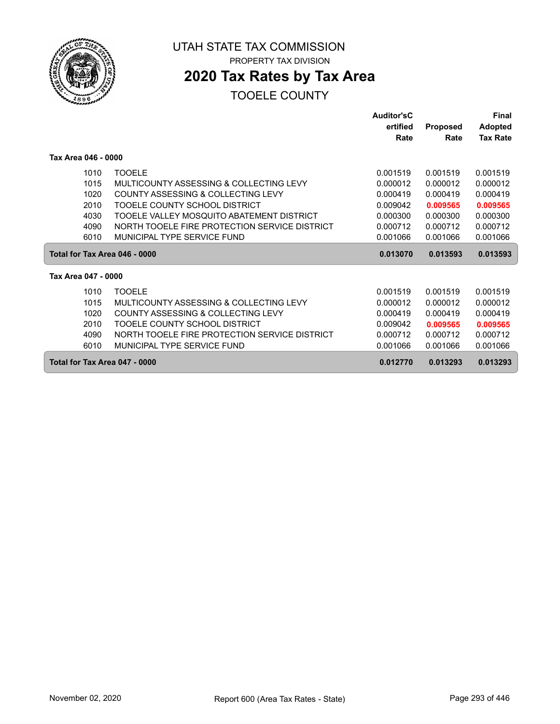

## **2020 Tax Rates by Tax Area**

|                               |                                               | Auditor'sC |                 | Final           |
|-------------------------------|-----------------------------------------------|------------|-----------------|-----------------|
|                               |                                               | ertified   | <b>Proposed</b> | <b>Adopted</b>  |
|                               |                                               | Rate       | Rate            | <b>Tax Rate</b> |
| Tax Area 046 - 0000           |                                               |            |                 |                 |
| 1010                          | <b>TOOELE</b>                                 | 0.001519   | 0.001519        | 0.001519        |
| 1015                          | MULTICOUNTY ASSESSING & COLLECTING LEVY       | 0.000012   | 0.000012        | 0.000012        |
| 1020                          | <b>COUNTY ASSESSING &amp; COLLECTING LEVY</b> | 0.000419   | 0.000419        | 0.000419        |
| 2010                          | TOOELE COUNTY SCHOOL DISTRICT                 | 0.009042   | 0.009565        | 0.009565        |
| 4030                          | TOOELE VALLEY MOSQUITO ABATEMENT DISTRICT     | 0.000300   | 0.000300        | 0.000300        |
| 4090                          | NORTH TOOELE FIRE PROTECTION SERVICE DISTRICT | 0.000712   | 0.000712        | 0.000712        |
| 6010                          | MUNICIPAL TYPE SERVICE FUND                   | 0.001066   | 0.001066        | 0.001066        |
| Total for Tax Area 046 - 0000 |                                               | 0.013070   | 0.013593        | 0.013593        |
| Tax Area 047 - 0000           |                                               |            |                 |                 |
| 1010                          | <b>TOOELE</b>                                 | 0.001519   | 0.001519        | 0.001519        |
| 1015                          | MULTICOUNTY ASSESSING & COLLECTING LEVY       | 0.000012   | 0.000012        | 0.000012        |
| 1020                          | <b>COUNTY ASSESSING &amp; COLLECTING LEVY</b> | 0.000419   | 0.000419        | 0.000419        |
| 2010                          | TOOELE COUNTY SCHOOL DISTRICT                 | 0.009042   | 0.009565        | 0.009565        |
| 4090                          | NORTH TOOELE FIRE PROTECTION SERVICE DISTRICT | 0.000712   | 0.000712        | 0.000712        |
| 6010                          | MUNICIPAL TYPE SERVICE FUND                   | 0.001066   | 0.001066        | 0.001066        |
| Total for Tax Area 047 - 0000 |                                               | 0.012770   | 0.013293        | 0.013293        |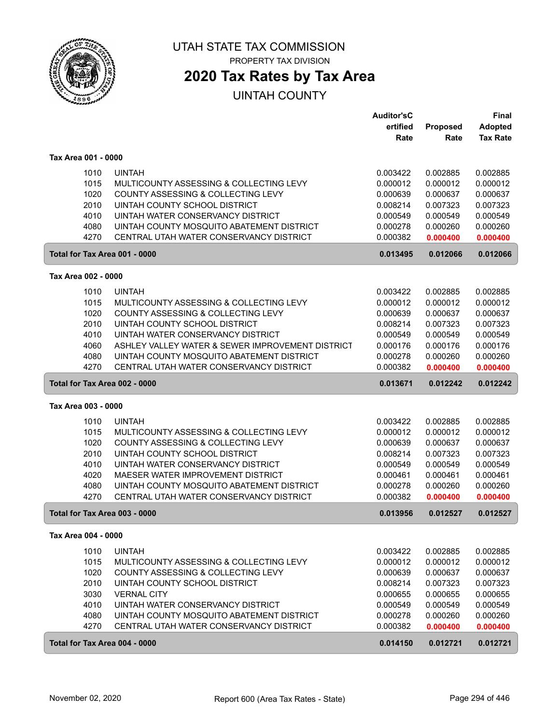

## **2020 Tax Rates by Tax Area**

|                     |                                                  | <b>Auditor'sC</b> |          | <b>Final</b>    |
|---------------------|--------------------------------------------------|-------------------|----------|-----------------|
|                     |                                                  | ertified          | Proposed | <b>Adopted</b>  |
|                     |                                                  | Rate              | Rate     | <b>Tax Rate</b> |
| Tax Area 001 - 0000 |                                                  |                   |          |                 |
| 1010                | <b>UINTAH</b>                                    | 0.003422          | 0.002885 | 0.002885        |
| 1015                | MULTICOUNTY ASSESSING & COLLECTING LEVY          | 0.000012          | 0.000012 | 0.000012        |
| 1020                | COUNTY ASSESSING & COLLECTING LEVY               | 0.000639          | 0.000637 | 0.000637        |
| 2010                | UINTAH COUNTY SCHOOL DISTRICT                    | 0.008214          | 0.007323 | 0.007323        |
| 4010                | UINTAH WATER CONSERVANCY DISTRICT                | 0.000549          | 0.000549 | 0.000549        |
| 4080                | UINTAH COUNTY MOSQUITO ABATEMENT DISTRICT        | 0.000278          | 0.000260 | 0.000260        |
| 4270                | CENTRAL UTAH WATER CONSERVANCY DISTRICT          | 0.000382          | 0.000400 | 0.000400        |
|                     | Total for Tax Area 001 - 0000                    | 0.013495          | 0.012066 | 0.012066        |
| Tax Area 002 - 0000 |                                                  |                   |          |                 |
| 1010                | <b>UINTAH</b>                                    | 0.003422          | 0.002885 | 0.002885        |
| 1015                | MULTICOUNTY ASSESSING & COLLECTING LEVY          | 0.000012          | 0.000012 | 0.000012        |
| 1020                | COUNTY ASSESSING & COLLECTING LEVY               | 0.000639          | 0.000637 | 0.000637        |
| 2010                | UINTAH COUNTY SCHOOL DISTRICT                    | 0.008214          | 0.007323 | 0.007323        |
| 4010                | UINTAH WATER CONSERVANCY DISTRICT                | 0.000549          | 0.000549 | 0.000549        |
| 4060                | ASHLEY VALLEY WATER & SEWER IMPROVEMENT DISTRICT | 0.000176          | 0.000176 | 0.000176        |
| 4080                | UINTAH COUNTY MOSQUITO ABATEMENT DISTRICT        | 0.000278          | 0.000260 | 0.000260        |
| 4270                | CENTRAL UTAH WATER CONSERVANCY DISTRICT          | 0.000382          | 0.000400 | 0.000400        |
|                     | Total for Tax Area 002 - 0000                    | 0.013671          | 0.012242 | 0.012242        |
| Tax Area 003 - 0000 |                                                  |                   |          |                 |
| 1010                | <b>UINTAH</b>                                    | 0.003422          | 0.002885 | 0.002885        |
| 1015                | MULTICOUNTY ASSESSING & COLLECTING LEVY          | 0.000012          | 0.000012 | 0.000012        |
| 1020                | COUNTY ASSESSING & COLLECTING LEVY               | 0.000639          | 0.000637 | 0.000637        |
| 2010                | UINTAH COUNTY SCHOOL DISTRICT                    | 0.008214          | 0.007323 | 0.007323        |
| 4010                | UINTAH WATER CONSERVANCY DISTRICT                | 0.000549          | 0.000549 | 0.000549        |
| 4020                | MAESER WATER IMPROVEMENT DISTRICT                | 0.000461          | 0.000461 | 0.000461        |
| 4080                | UINTAH COUNTY MOSQUITO ABATEMENT DISTRICT        | 0.000278          | 0.000260 | 0.000260        |
| 4270                | CENTRAL UTAH WATER CONSERVANCY DISTRICT          | 0.000382          | 0.000400 | 0.000400        |
|                     | Total for Tax Area 003 - 0000                    | 0.013956          | 0.012527 | 0.012527        |
| Tax Area 004 - 0000 |                                                  |                   |          |                 |
| 1010                | <b>UINTAH</b>                                    | 0.003422          | 0.002885 | 0.002885        |
| 1015                | MULTICOUNTY ASSESSING & COLLECTING LEVY          | 0.000012          | 0.000012 | 0.000012        |
| 1020                | COUNTY ASSESSING & COLLECTING LEVY               | 0.000639          | 0.000637 | 0.000637        |
| 2010                | UINTAH COUNTY SCHOOL DISTRICT                    | 0.008214          | 0.007323 | 0.007323        |
| 3030                | <b>VERNAL CITY</b>                               | 0.000655          | 0.000655 | 0.000655        |
| 4010                | UINTAH WATER CONSERVANCY DISTRICT                | 0.000549          | 0.000549 | 0.000549        |
| 4080                | UINTAH COUNTY MOSQUITO ABATEMENT DISTRICT        | 0.000278          | 0.000260 | 0.000260        |
| 4270                | CENTRAL UTAH WATER CONSERVANCY DISTRICT          | 0.000382          | 0.000400 | 0.000400        |
|                     | Total for Tax Area 004 - 0000                    | 0.014150          | 0.012721 | 0.012721        |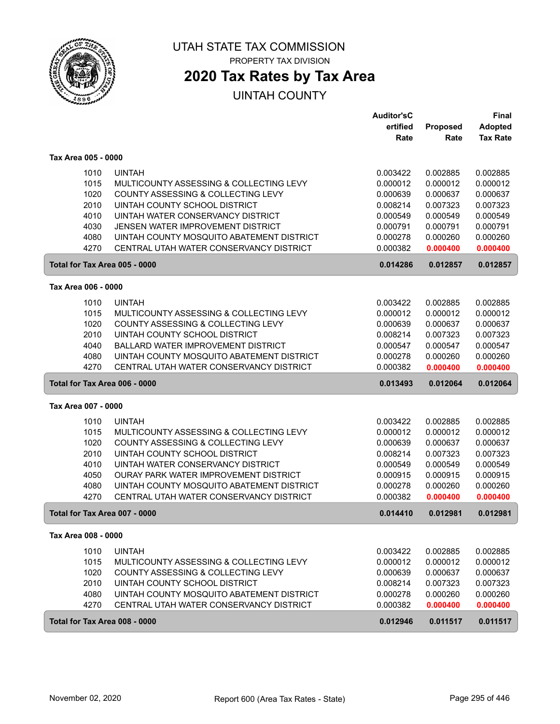

## **2020 Tax Rates by Tax Area**

|                               |                                           | <b>Auditor'sC</b> |          | <b>Final</b>    |
|-------------------------------|-------------------------------------------|-------------------|----------|-----------------|
|                               |                                           | ertified          | Proposed | <b>Adopted</b>  |
|                               |                                           | Rate              | Rate     | <b>Tax Rate</b> |
| Tax Area 005 - 0000           |                                           |                   |          |                 |
| 1010                          | <b>UINTAH</b>                             | 0.003422          | 0.002885 | 0.002885        |
| 1015                          | MULTICOUNTY ASSESSING & COLLECTING LEVY   | 0.000012          | 0.000012 | 0.000012        |
| 1020                          | COUNTY ASSESSING & COLLECTING LEVY        | 0.000639          | 0.000637 | 0.000637        |
| 2010                          | UINTAH COUNTY SCHOOL DISTRICT             | 0.008214          | 0.007323 | 0.007323        |
| 4010                          | UINTAH WATER CONSERVANCY DISTRICT         | 0.000549          | 0.000549 | 0.000549        |
| 4030                          | JENSEN WATER IMPROVEMENT DISTRICT         | 0.000791          | 0.000791 | 0.000791        |
| 4080                          | UINTAH COUNTY MOSQUITO ABATEMENT DISTRICT | 0.000278          | 0.000260 | 0.000260        |
| 4270                          | CENTRAL UTAH WATER CONSERVANCY DISTRICT   | 0.000382          | 0.000400 | 0.000400        |
| Total for Tax Area 005 - 0000 |                                           | 0.014286          | 0.012857 | 0.012857        |
| Tax Area 006 - 0000           |                                           |                   |          |                 |
| 1010                          | <b>UINTAH</b>                             | 0.003422          | 0.002885 | 0.002885        |
| 1015                          | MULTICOUNTY ASSESSING & COLLECTING LEVY   | 0.000012          | 0.000012 | 0.000012        |
| 1020                          | COUNTY ASSESSING & COLLECTING LEVY        | 0.000639          | 0.000637 | 0.000637        |
| 2010                          | UINTAH COUNTY SCHOOL DISTRICT             | 0.008214          | 0.007323 | 0.007323        |
| 4040                          | BALLARD WATER IMPROVEMENT DISTRICT        | 0.000547          | 0.000547 | 0.000547        |
| 4080                          | UINTAH COUNTY MOSQUITO ABATEMENT DISTRICT | 0.000278          | 0.000260 | 0.000260        |
| 4270                          | CENTRAL UTAH WATER CONSERVANCY DISTRICT   | 0.000382          | 0.000400 | 0.000400        |
| Total for Tax Area 006 - 0000 |                                           | 0.013493          | 0.012064 | 0.012064        |
| Tax Area 007 - 0000           |                                           |                   |          |                 |
| 1010                          | <b>UINTAH</b>                             | 0.003422          | 0.002885 | 0.002885        |
| 1015                          | MULTICOUNTY ASSESSING & COLLECTING LEVY   | 0.000012          | 0.000012 | 0.000012        |
| 1020                          | COUNTY ASSESSING & COLLECTING LEVY        | 0.000639          | 0.000637 | 0.000637        |
| 2010                          | UINTAH COUNTY SCHOOL DISTRICT             | 0.008214          | 0.007323 | 0.007323        |
| 4010                          | UINTAH WATER CONSERVANCY DISTRICT         | 0.000549          | 0.000549 | 0.000549        |
| 4050                          | OURAY PARK WATER IMPROVEMENT DISTRICT     | 0.000915          | 0.000915 | 0.000915        |
| 4080                          | UINTAH COUNTY MOSQUITO ABATEMENT DISTRICT | 0.000278          | 0.000260 | 0.000260        |
| 4270                          | CENTRAL UTAH WATER CONSERVANCY DISTRICT   | 0.000382          | 0.000400 | 0.000400        |
| Total for Tax Area 007 - 0000 |                                           | 0.014410          | 0.012981 | 0.012981        |
| Tax Area 008 - 0000           |                                           |                   |          |                 |
| 1010                          | <b>UINTAH</b>                             | 0.003422          | 0.002885 | 0.002885        |
| 1015                          | MULTICOUNTY ASSESSING & COLLECTING LEVY   | 0.000012          | 0.000012 | 0.000012        |
| 1020                          | COUNTY ASSESSING & COLLECTING LEVY        | 0.000639          | 0.000637 | 0.000637        |
| 2010                          | UINTAH COUNTY SCHOOL DISTRICT             | 0.008214          | 0.007323 | 0.007323        |
| 4080                          | UINTAH COUNTY MOSQUITO ABATEMENT DISTRICT | 0.000278          | 0.000260 | 0.000260        |
| 4270                          | CENTRAL UTAH WATER CONSERVANCY DISTRICT   | 0.000382          | 0.000400 | 0.000400        |
| Total for Tax Area 008 - 0000 |                                           | 0.012946          | 0.011517 | 0.011517        |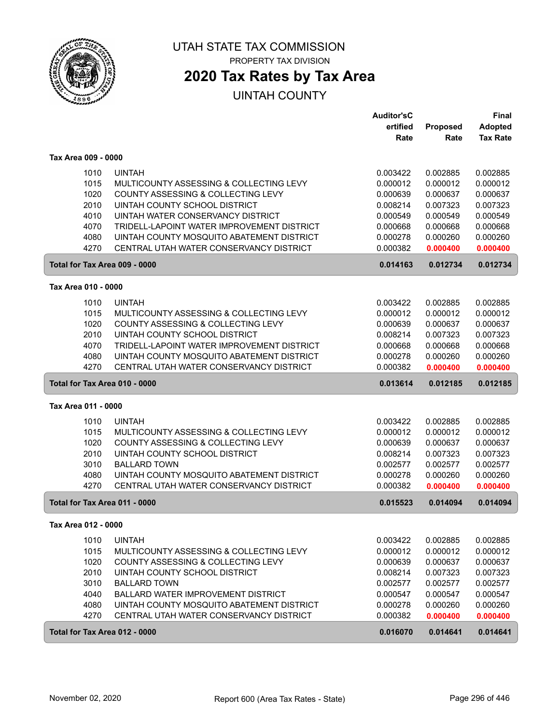

## **2020 Tax Rates by Tax Area**

|                               |                                                                             | <b>Auditor'sC</b>    |                      | <b>Final</b>         |
|-------------------------------|-----------------------------------------------------------------------------|----------------------|----------------------|----------------------|
|                               |                                                                             | ertified             | Proposed             | <b>Adopted</b>       |
|                               |                                                                             | Rate                 | Rate                 | <b>Tax Rate</b>      |
| Tax Area 009 - 0000           |                                                                             |                      |                      |                      |
| 1010                          | <b>UINTAH</b>                                                               | 0.003422             | 0.002885             | 0.002885             |
| 1015                          | MULTICOUNTY ASSESSING & COLLECTING LEVY                                     | 0.000012             | 0.000012             | 0.000012             |
| 1020                          | COUNTY ASSESSING & COLLECTING LEVY                                          | 0.000639             | 0.000637             | 0.000637             |
| 2010                          | UINTAH COUNTY SCHOOL DISTRICT                                               | 0.008214             | 0.007323             | 0.007323             |
| 4010                          | UINTAH WATER CONSERVANCY DISTRICT                                           | 0.000549             | 0.000549             | 0.000549             |
| 4070                          | TRIDELL-LAPOINT WATER IMPROVEMENT DISTRICT                                  | 0.000668             | 0.000668             | 0.000668             |
| 4080                          | UINTAH COUNTY MOSQUITO ABATEMENT DISTRICT                                   | 0.000278             | 0.000260             | 0.000260             |
| 4270                          | CENTRAL UTAH WATER CONSERVANCY DISTRICT                                     | 0.000382             | 0.000400             | 0.000400             |
| Total for Tax Area 009 - 0000 |                                                                             | 0.014163             | 0.012734             | 0.012734             |
| Tax Area 010 - 0000           |                                                                             |                      |                      |                      |
|                               | <b>UINTAH</b>                                                               |                      | 0.002885             | 0.002885             |
| 1010                          | MULTICOUNTY ASSESSING & COLLECTING LEVY                                     | 0.003422             | 0.000012             |                      |
| 1015                          | COUNTY ASSESSING & COLLECTING LEVY                                          | 0.000012             |                      | 0.000012<br>0.000637 |
| 1020<br>2010                  |                                                                             | 0.000639             | 0.000637             |                      |
| 4070                          | UINTAH COUNTY SCHOOL DISTRICT<br>TRIDELL-LAPOINT WATER IMPROVEMENT DISTRICT | 0.008214             | 0.007323             | 0.007323             |
| 4080                          | UINTAH COUNTY MOSQUITO ABATEMENT DISTRICT                                   | 0.000668<br>0.000278 | 0.000668<br>0.000260 | 0.000668<br>0.000260 |
| 4270                          | CENTRAL UTAH WATER CONSERVANCY DISTRICT                                     | 0.000382             | 0.000400             | 0.000400             |
|                               |                                                                             |                      |                      |                      |
| Total for Tax Area 010 - 0000 |                                                                             | 0.013614             | 0.012185             | 0.012185             |
| Tax Area 011 - 0000           |                                                                             |                      |                      |                      |
| 1010                          | <b>UINTAH</b>                                                               | 0.003422             | 0.002885             | 0.002885             |
| 1015                          | MULTICOUNTY ASSESSING & COLLECTING LEVY                                     | 0.000012             | 0.000012             | 0.000012             |
| 1020                          | COUNTY ASSESSING & COLLECTING LEVY                                          | 0.000639             | 0.000637             | 0.000637             |
| 2010                          | UINTAH COUNTY SCHOOL DISTRICT                                               | 0.008214             | 0.007323             | 0.007323             |
| 3010                          | <b>BALLARD TOWN</b>                                                         | 0.002577             | 0.002577             | 0.002577             |
| 4080                          | UINTAH COUNTY MOSQUITO ABATEMENT DISTRICT                                   | 0.000278             | 0.000260             | 0.000260             |
| 4270                          | CENTRAL UTAH WATER CONSERVANCY DISTRICT                                     | 0.000382             | 0.000400             | 0.000400             |
| Total for Tax Area 011 - 0000 |                                                                             | 0.015523             | 0.014094             | 0.014094             |
| Tax Area 012 - 0000           |                                                                             |                      |                      |                      |
| 1010                          | <b>UINTAH</b>                                                               | 0.003422             | 0.002885             | 0.002885             |
| 1015                          | MULTICOUNTY ASSESSING & COLLECTING LEVY                                     | 0.000012             | 0.000012             | 0.000012             |
| 1020                          | COUNTY ASSESSING & COLLECTING LEVY                                          | 0.000639             | 0.000637             | 0.000637             |
| 2010                          | UINTAH COUNTY SCHOOL DISTRICT                                               | 0.008214             | 0.007323             | 0.007323             |
| 3010                          | <b>BALLARD TOWN</b>                                                         | 0.002577             | 0.002577             | 0.002577             |
| 4040                          | BALLARD WATER IMPROVEMENT DISTRICT                                          | 0.000547             | 0.000547             | 0.000547             |
| 4080                          | UINTAH COUNTY MOSQUITO ABATEMENT DISTRICT                                   | 0.000278             | 0.000260             | 0.000260             |
| 4270                          | CENTRAL UTAH WATER CONSERVANCY DISTRICT                                     | 0.000382             | 0.000400             | 0.000400             |
| Total for Tax Area 012 - 0000 |                                                                             | 0.016070             | 0.014641             | 0.014641             |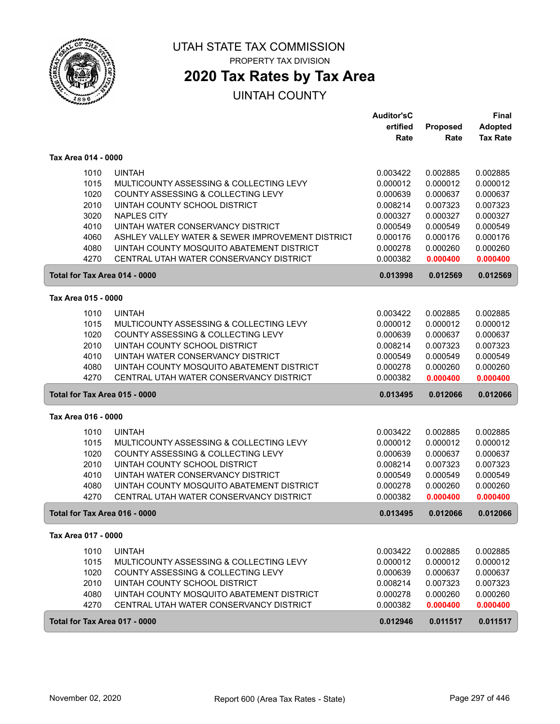

# **2020 Tax Rates by Tax Area**

|                     |                                                                                    | <b>Auditor'sC</b>    |                      | <b>Final</b>                      |
|---------------------|------------------------------------------------------------------------------------|----------------------|----------------------|-----------------------------------|
|                     |                                                                                    | ertified<br>Rate     | Proposed<br>Rate     | <b>Adopted</b><br><b>Tax Rate</b> |
|                     |                                                                                    |                      |                      |                                   |
| Tax Area 014 - 0000 |                                                                                    |                      |                      |                                   |
|                     | <b>UINTAH</b><br>1010                                                              | 0.003422             | 0.002885             | 0.002885                          |
|                     | 1015<br>MULTICOUNTY ASSESSING & COLLECTING LEVY                                    | 0.000012             | 0.000012             | 0.000012                          |
|                     | 1020<br>COUNTY ASSESSING & COLLECTING LEVY                                         | 0.000639             | 0.000637             | 0.000637                          |
|                     | 2010<br>UINTAH COUNTY SCHOOL DISTRICT                                              | 0.008214             | 0.007323             | 0.007323                          |
|                     | 3020<br><b>NAPLES CITY</b><br>4010<br>UINTAH WATER CONSERVANCY DISTRICT            | 0.000327<br>0.000549 | 0.000327<br>0.000549 | 0.000327<br>0.000549              |
|                     | 4060<br>ASHLEY VALLEY WATER & SEWER IMPROVEMENT DISTRICT                           | 0.000176             | 0.000176             | 0.000176                          |
|                     | 4080<br>UINTAH COUNTY MOSQUITO ABATEMENT DISTRICT                                  | 0.000278             | 0.000260             | 0.000260                          |
|                     | 4270<br>CENTRAL UTAH WATER CONSERVANCY DISTRICT                                    | 0.000382             | 0.000400             | 0.000400                          |
|                     | Total for Tax Area 014 - 0000                                                      | 0.013998             | 0.012569             | 0.012569                          |
|                     |                                                                                    |                      |                      |                                   |
| Tax Area 015 - 0000 |                                                                                    |                      |                      |                                   |
|                     | 1010<br><b>UINTAH</b>                                                              | 0.003422             | 0.002885             | 0.002885                          |
|                     | 1015<br>MULTICOUNTY ASSESSING & COLLECTING LEVY                                    | 0.000012             | 0.000012             | 0.000012                          |
|                     | 1020<br>COUNTY ASSESSING & COLLECTING LEVY                                         | 0.000639<br>0.008214 | 0.000637             | 0.000637<br>0.007323              |
|                     | 2010<br>UINTAH COUNTY SCHOOL DISTRICT<br>4010<br>UINTAH WATER CONSERVANCY DISTRICT | 0.000549             | 0.007323<br>0.000549 | 0.000549                          |
|                     | 4080<br>UINTAH COUNTY MOSQUITO ABATEMENT DISTRICT                                  | 0.000278             | 0.000260             | 0.000260                          |
|                     | 4270<br>CENTRAL UTAH WATER CONSERVANCY DISTRICT                                    | 0.000382             | 0.000400             | 0.000400                          |
|                     | Total for Tax Area 015 - 0000                                                      | 0.013495             | 0.012066             | 0.012066                          |
| Tax Area 016 - 0000 |                                                                                    |                      |                      |                                   |
|                     | 1010<br><b>UINTAH</b>                                                              | 0.003422             | 0.002885             | 0.002885                          |
|                     | 1015<br>MULTICOUNTY ASSESSING & COLLECTING LEVY                                    | 0.000012             | 0.000012             | 0.000012                          |
|                     | 1020<br>COUNTY ASSESSING & COLLECTING LEVY                                         | 0.000639             | 0.000637             | 0.000637                          |
|                     | 2010<br>UINTAH COUNTY SCHOOL DISTRICT                                              | 0.008214             | 0.007323             | 0.007323                          |
|                     | 4010<br>UINTAH WATER CONSERVANCY DISTRICT                                          | 0.000549             | 0.000549             | 0.000549                          |
|                     | 4080<br>UINTAH COUNTY MOSQUITO ABATEMENT DISTRICT                                  | 0.000278             | 0.000260             | 0.000260                          |
|                     | 4270<br>CENTRAL UTAH WATER CONSERVANCY DISTRICT                                    | 0.000382             | 0.000400             | 0.000400                          |
|                     | Total for Tax Area 016 - 0000                                                      | 0.013495             | 0.012066             | 0.012066                          |
| Tax Area 017 - 0000 |                                                                                    |                      |                      |                                   |
|                     | 1010<br><b>UINTAH</b>                                                              | 0.003422             | 0.002885             | 0.002885                          |
|                     | 1015<br>MULTICOUNTY ASSESSING & COLLECTING LEVY                                    | 0.000012             | 0.000012             | 0.000012                          |
|                     | 1020<br>COUNTY ASSESSING & COLLECTING LEVY                                         | 0.000639             | 0.000637             | 0.000637                          |
|                     | 2010<br>UINTAH COUNTY SCHOOL DISTRICT                                              | 0.008214             | 0.007323             | 0.007323                          |
|                     | 4080<br>UINTAH COUNTY MOSQUITO ABATEMENT DISTRICT                                  | 0.000278             | 0.000260             | 0.000260                          |
|                     | 4270<br>CENTRAL UTAH WATER CONSERVANCY DISTRICT                                    | 0.000382             | 0.000400             | 0.000400                          |
|                     | Total for Tax Area 017 - 0000                                                      | 0.012946             | 0.011517             | 0.011517                          |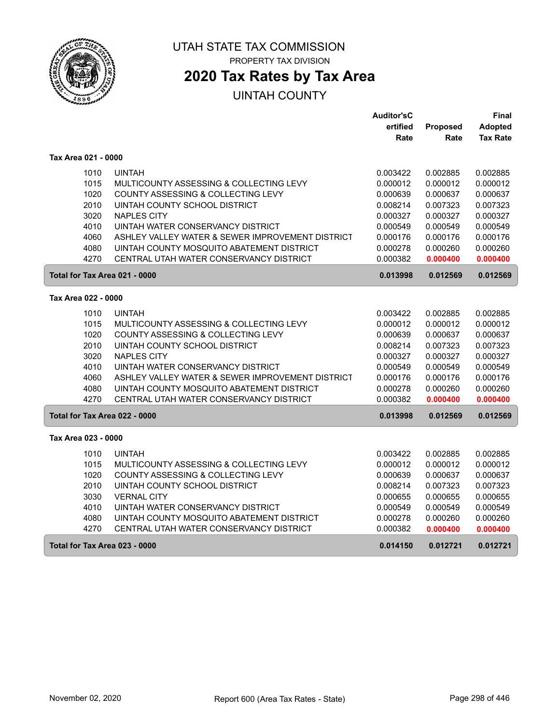

# **2020 Tax Rates by Tax Area**

|                               |                                                  | <b>Auditor'sC</b> |                 | Final           |
|-------------------------------|--------------------------------------------------|-------------------|-----------------|-----------------|
|                               |                                                  | ertified          | <b>Proposed</b> | <b>Adopted</b>  |
|                               |                                                  | Rate              | Rate            | <b>Tax Rate</b> |
| Tax Area 021 - 0000           |                                                  |                   |                 |                 |
| 1010                          | <b>UINTAH</b>                                    | 0.003422          | 0.002885        | 0.002885        |
| 1015                          | MULTICOUNTY ASSESSING & COLLECTING LEVY          | 0.000012          | 0.000012        | 0.000012        |
| 1020                          | COUNTY ASSESSING & COLLECTING LEVY               | 0.000639          | 0.000637        | 0.000637        |
| 2010                          | UINTAH COUNTY SCHOOL DISTRICT                    | 0.008214          | 0.007323        | 0.007323        |
| 3020                          | <b>NAPLES CITY</b>                               | 0.000327          | 0.000327        | 0.000327        |
| 4010                          | UINTAH WATER CONSERVANCY DISTRICT                | 0.000549          | 0.000549        | 0.000549        |
| 4060                          | ASHLEY VALLEY WATER & SEWER IMPROVEMENT DISTRICT | 0.000176          | 0.000176        | 0.000176        |
| 4080                          | UINTAH COUNTY MOSQUITO ABATEMENT DISTRICT        | 0.000278          | 0.000260        | 0.000260        |
| 4270                          | CENTRAL UTAH WATER CONSERVANCY DISTRICT          | 0.000382          | 0.000400        | 0.000400        |
| Total for Tax Area 021 - 0000 |                                                  | 0.013998          | 0.012569        | 0.012569        |
| Tax Area 022 - 0000           |                                                  |                   |                 |                 |
| 1010                          | <b>UINTAH</b>                                    | 0.003422          | 0.002885        | 0.002885        |
| 1015                          | MULTICOUNTY ASSESSING & COLLECTING LEVY          | 0.000012          | 0.000012        | 0.000012        |
| 1020                          | COUNTY ASSESSING & COLLECTING LEVY               | 0.000639          | 0.000637        | 0.000637        |
| 2010                          | UINTAH COUNTY SCHOOL DISTRICT                    | 0.008214          | 0.007323        | 0.007323        |
| 3020                          | <b>NAPLES CITY</b>                               | 0.000327          | 0.000327        | 0.000327        |
| 4010                          | UINTAH WATER CONSERVANCY DISTRICT                | 0.000549          | 0.000549        | 0.000549        |
| 4060                          | ASHLEY VALLEY WATER & SEWER IMPROVEMENT DISTRICT | 0.000176          | 0.000176        | 0.000176        |
| 4080                          | UINTAH COUNTY MOSQUITO ABATEMENT DISTRICT        | 0.000278          | 0.000260        | 0.000260        |
| 4270                          | CENTRAL UTAH WATER CONSERVANCY DISTRICT          | 0.000382          | 0.000400        | 0.000400        |
| Total for Tax Area 022 - 0000 |                                                  | 0.013998          | 0.012569        | 0.012569        |
| Tax Area 023 - 0000           |                                                  |                   |                 |                 |
| 1010                          | <b>UINTAH</b>                                    | 0.003422          | 0.002885        | 0.002885        |
| 1015                          | MULTICOUNTY ASSESSING & COLLECTING LEVY          | 0.000012          | 0.000012        | 0.000012        |
| 1020                          | COUNTY ASSESSING & COLLECTING LEVY               | 0.000639          | 0.000637        | 0.000637        |
| 2010                          | UINTAH COUNTY SCHOOL DISTRICT                    | 0.008214          | 0.007323        | 0.007323        |
| 3030                          | <b>VERNAL CITY</b>                               | 0.000655          | 0.000655        | 0.000655        |
| 4010                          | UINTAH WATER CONSERVANCY DISTRICT                | 0.000549          | 0.000549        | 0.000549        |
| 4080                          | UINTAH COUNTY MOSQUITO ABATEMENT DISTRICT        | 0.000278          | 0.000260        | 0.000260        |
| 4270                          | CENTRAL UTAH WATER CONSERVANCY DISTRICT          | 0.000382          | 0.000400        | 0.000400        |
| Total for Tax Area 023 - 0000 |                                                  | 0.014150          | 0.012721        | 0.012721        |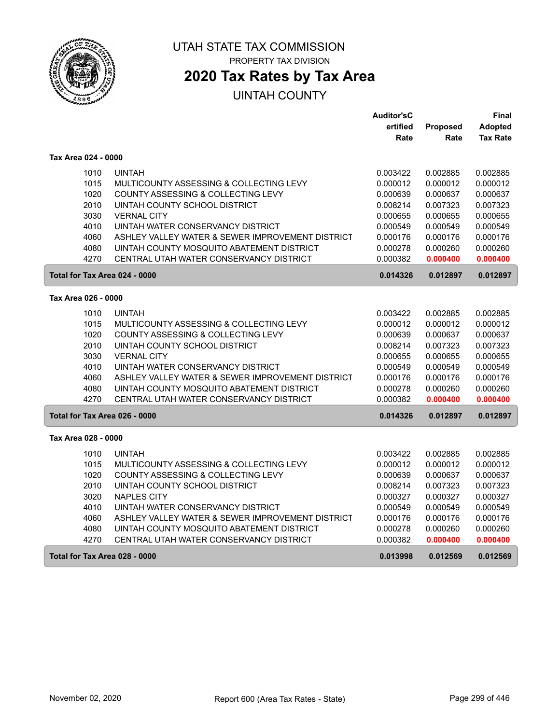

 $\sqrt{2}$ 

ſ

### UTAH STATE TAX COMMISSION PROPERTY TAX DIVISION

## **2020 Tax Rates by Tax Area**

|                               |                                                  | <b>Auditor'sC</b> |                 | Final           |
|-------------------------------|--------------------------------------------------|-------------------|-----------------|-----------------|
|                               |                                                  | ertified          | <b>Proposed</b> | <b>Adopted</b>  |
|                               |                                                  | Rate              | Rate            | <b>Tax Rate</b> |
| Tax Area 024 - 0000           |                                                  |                   |                 |                 |
| 1010                          | <b>UINTAH</b>                                    | 0.003422          | 0.002885        | 0.002885        |
| 1015                          | MULTICOUNTY ASSESSING & COLLECTING LEVY          | 0.000012          | 0.000012        | 0.000012        |
| 1020                          | COUNTY ASSESSING & COLLECTING LEVY               | 0.000639          | 0.000637        | 0.000637        |
| 2010                          | UINTAH COUNTY SCHOOL DISTRICT                    | 0.008214          | 0.007323        | 0.007323        |
| 3030                          | <b>VERNAL CITY</b>                               | 0.000655          | 0.000655        | 0.000655        |
| 4010                          | UINTAH WATER CONSERVANCY DISTRICT                | 0.000549          | 0.000549        | 0.000549        |
| 4060                          | ASHLEY VALLEY WATER & SEWER IMPROVEMENT DISTRICT | 0.000176          | 0.000176        | 0.000176        |
| 4080                          | UINTAH COUNTY MOSQUITO ABATEMENT DISTRICT        | 0.000278          | 0.000260        | 0.000260        |
| 4270                          | CENTRAL UTAH WATER CONSERVANCY DISTRICT          | 0.000382          | 0.000400        | 0.000400        |
| Total for Tax Area 024 - 0000 |                                                  | 0.014326          | 0.012897        | 0.012897        |
| Tax Area 026 - 0000           |                                                  |                   |                 |                 |
| 1010                          | <b>UINTAH</b>                                    | 0.003422          | 0.002885        | 0.002885        |
| 1015                          | MULTICOUNTY ASSESSING & COLLECTING LEVY          | 0.000012          | 0.000012        | 0.000012        |
| 1020                          | COUNTY ASSESSING & COLLECTING LEVY               | 0.000639          | 0.000637        | 0.000637        |
| 2010                          | UINTAH COUNTY SCHOOL DISTRICT                    | 0.008214          | 0.007323        | 0.007323        |
| 3030                          | <b>VERNAL CITY</b>                               | 0.000655          | 0.000655        | 0.000655        |
| 4010                          | UINTAH WATER CONSERVANCY DISTRICT                | 0.000549          | 0.000549        | 0.000549        |
| 4060                          | ASHLEY VALLEY WATER & SEWER IMPROVEMENT DISTRICT | 0.000176          | 0.000176        | 0.000176        |
| 4080                          | UINTAH COUNTY MOSQUITO ABATEMENT DISTRICT        | 0.000278          | 0.000260        | 0.000260        |
| 4270                          | CENTRAL UTAH WATER CONSERVANCY DISTRICT          | 0.000382          | 0.000400        | 0.000400        |
| Total for Tax Area 026 - 0000 |                                                  | 0.014326          | 0.012897        | 0.012897        |
| Tax Area 028 - 0000           |                                                  |                   |                 |                 |
| 1010                          | <b>UINTAH</b>                                    | 0.003422          | 0.002885        | 0.002885        |
| 1015                          | MULTICOUNTY ASSESSING & COLLECTING LEVY          | 0.000012          | 0.000012        | 0.000012        |
| 1020                          | COUNTY ASSESSING & COLLECTING LEVY               | 0.000639          | 0.000637        | 0.000637        |
| 2010                          | UINTAH COUNTY SCHOOL DISTRICT                    | 0.008214          | 0.007323        | 0.007323        |
| 3020                          | <b>NAPLES CITY</b>                               | 0.000327          | 0.000327        | 0.000327        |
| 4010                          | UINTAH WATER CONSERVANCY DISTRICT                | 0.000549          | 0.000549        | 0.000549        |
| 4060                          | ASHLEY VALLEY WATER & SEWER IMPROVEMENT DISTRICT | 0.000176          | 0.000176        | 0.000176        |
| 4080                          | UINTAH COUNTY MOSQUITO ABATEMENT DISTRICT        | 0.000278          | 0.000260        | 0.000260        |
| 4270                          | CENTRAL UTAH WATER CONSERVANCY DISTRICT          | 0.000382          | 0.000400        | 0.000400        |
| Total for Tax Area 028 - 0000 |                                                  | 0.013998          | 0.012569        | 0.012569        |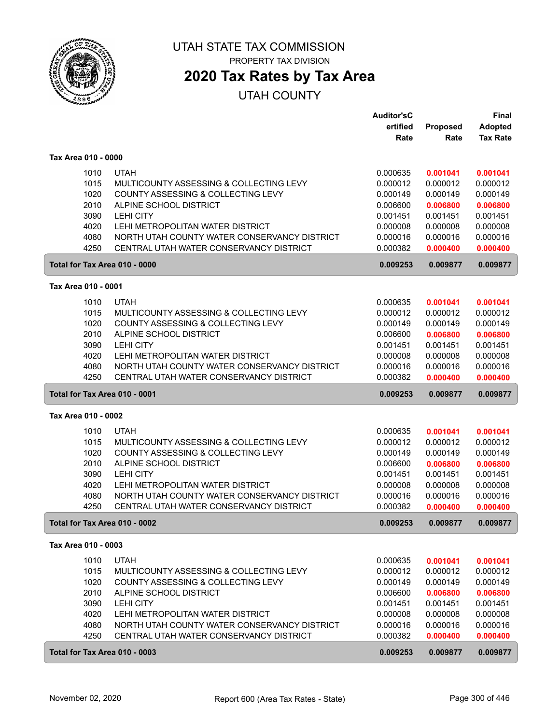

## **2020 Tax Rates by Tax Area**

|                     |                                                      | <b>Auditor'sC</b> |          | Final           |
|---------------------|------------------------------------------------------|-------------------|----------|-----------------|
|                     |                                                      | ertified          | Proposed | <b>Adopted</b>  |
|                     |                                                      | Rate              | Rate     | <b>Tax Rate</b> |
| Tax Area 010 - 0000 |                                                      |                   |          |                 |
|                     | <b>UTAH</b><br>1010                                  | 0.000635          | 0.001041 | 0.001041        |
|                     | 1015<br>MULTICOUNTY ASSESSING & COLLECTING LEVY      | 0.000012          | 0.000012 | 0.000012        |
|                     | 1020<br>COUNTY ASSESSING & COLLECTING LEVY           | 0.000149          | 0.000149 | 0.000149        |
|                     | 2010<br>ALPINE SCHOOL DISTRICT                       | 0.006600          | 0.006800 | 0.006800        |
|                     | 3090<br><b>LEHI CITY</b>                             | 0.001451          | 0.001451 | 0.001451        |
|                     | 4020<br>LEHI METROPOLITAN WATER DISTRICT             | 0.000008          | 0.000008 | 0.000008        |
|                     | 4080<br>NORTH UTAH COUNTY WATER CONSERVANCY DISTRICT | 0.000016          | 0.000016 | 0.000016        |
|                     | 4250<br>CENTRAL UTAH WATER CONSERVANCY DISTRICT      | 0.000382          | 0.000400 | 0.000400        |
|                     | Total for Tax Area 010 - 0000                        | 0.009253          | 0.009877 | 0.009877        |
|                     |                                                      |                   |          |                 |
| Tax Area 010 - 0001 |                                                      |                   |          |                 |
|                     | <b>UTAH</b><br>1010                                  | 0.000635          | 0.001041 | 0.001041        |
|                     | 1015<br>MULTICOUNTY ASSESSING & COLLECTING LEVY      | 0.000012          | 0.000012 | 0.000012        |
|                     | 1020<br>COUNTY ASSESSING & COLLECTING LEVY           | 0.000149          | 0.000149 | 0.000149        |
|                     | 2010<br>ALPINE SCHOOL DISTRICT                       | 0.006600          | 0.006800 | 0.006800        |
|                     | 3090<br><b>LEHI CITY</b>                             | 0.001451          | 0.001451 | 0.001451        |
|                     | 4020<br>LEHI METROPOLITAN WATER DISTRICT             | 0.000008          | 0.000008 | 0.000008        |
|                     | NORTH UTAH COUNTY WATER CONSERVANCY DISTRICT<br>4080 | 0.000016          | 0.000016 | 0.000016        |
|                     | 4250<br>CENTRAL UTAH WATER CONSERVANCY DISTRICT      | 0.000382          | 0.000400 | 0.000400        |
|                     | Total for Tax Area 010 - 0001                        | 0.009253          | 0.009877 | 0.009877        |
| Tax Area 010 - 0002 |                                                      |                   |          |                 |
|                     | 1010<br><b>UTAH</b>                                  | 0.000635          | 0.001041 | 0.001041        |
|                     | 1015<br>MULTICOUNTY ASSESSING & COLLECTING LEVY      | 0.000012          | 0.000012 | 0.000012        |
|                     | 1020<br>COUNTY ASSESSING & COLLECTING LEVY           | 0.000149          | 0.000149 | 0.000149        |
|                     | 2010<br>ALPINE SCHOOL DISTRICT                       | 0.006600          | 0.006800 | 0.006800        |
|                     | 3090<br><b>LEHI CITY</b>                             | 0.001451          | 0.001451 | 0.001451        |
|                     | 4020<br>LEHI METROPOLITAN WATER DISTRICT             | 0.000008          | 0.000008 | 0.000008        |
|                     | 4080<br>NORTH UTAH COUNTY WATER CONSERVANCY DISTRICT | 0.000016          | 0.000016 | 0.000016        |
|                     | 4250<br>CENTRAL UTAH WATER CONSERVANCY DISTRICT      | 0.000382          | 0.000400 | 0.000400        |
|                     | Total for Tax Area 010 - 0002                        | 0.009253          | 0.009877 | 0.009877        |
| Tax Area 010 - 0003 |                                                      |                   |          |                 |
|                     | 1010<br><b>UTAH</b>                                  | 0.000635          | 0.001041 | 0.001041        |
|                     | 1015<br>MULTICOUNTY ASSESSING & COLLECTING LEVY      | 0.000012          | 0.000012 | 0.000012        |
|                     | 1020<br>COUNTY ASSESSING & COLLECTING LEVY           | 0.000149          | 0.000149 | 0.000149        |
|                     | 2010<br>ALPINE SCHOOL DISTRICT                       | 0.006600          | 0.006800 | 0.006800        |
|                     | 3090<br>LEHI CITY                                    | 0.001451          | 0.001451 | 0.001451        |
|                     | 4020<br>LEHI METROPOLITAN WATER DISTRICT             | 0.000008          | 0.000008 | 0.000008        |
|                     | 4080<br>NORTH UTAH COUNTY WATER CONSERVANCY DISTRICT | 0.000016          | 0.000016 | 0.000016        |
|                     | 4250<br>CENTRAL UTAH WATER CONSERVANCY DISTRICT      | 0.000382          | 0.000400 | 0.000400        |
|                     | Total for Tax Area 010 - 0003                        | 0.009253          | 0.009877 | 0.009877        |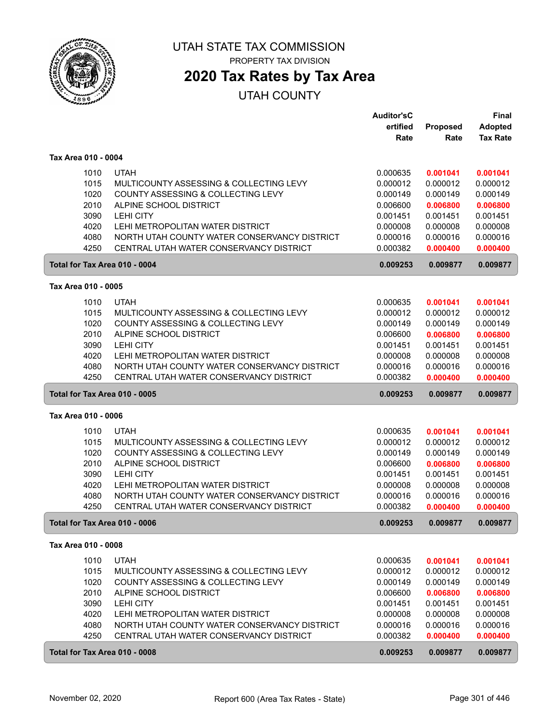

## **2020 Tax Rates by Tax Area**

|                     |      |                                              | <b>Auditor'sC</b> |          | Final           |
|---------------------|------|----------------------------------------------|-------------------|----------|-----------------|
|                     |      |                                              | ertified          | Proposed | <b>Adopted</b>  |
|                     |      |                                              | Rate              | Rate     | <b>Tax Rate</b> |
| Tax Area 010 - 0004 |      |                                              |                   |          |                 |
|                     | 1010 | <b>UTAH</b>                                  | 0.000635          | 0.001041 | 0.001041        |
|                     | 1015 | MULTICOUNTY ASSESSING & COLLECTING LEVY      | 0.000012          | 0.000012 | 0.000012        |
|                     | 1020 | COUNTY ASSESSING & COLLECTING LEVY           | 0.000149          | 0.000149 | 0.000149        |
|                     | 2010 | ALPINE SCHOOL DISTRICT                       | 0.006600          | 0.006800 | 0.006800        |
|                     | 3090 | <b>LEHI CITY</b>                             | 0.001451          | 0.001451 | 0.001451        |
|                     | 4020 | LEHI METROPOLITAN WATER DISTRICT             | 0.000008          | 0.000008 | 0.000008        |
|                     | 4080 | NORTH UTAH COUNTY WATER CONSERVANCY DISTRICT | 0.000016          | 0.000016 | 0.000016        |
|                     | 4250 | CENTRAL UTAH WATER CONSERVANCY DISTRICT      | 0.000382          | 0.000400 | 0.000400        |
|                     |      | Total for Tax Area 010 - 0004                | 0.009253          | 0.009877 | 0.009877        |
| Tax Area 010 - 0005 |      |                                              |                   |          |                 |
|                     |      |                                              |                   |          |                 |
|                     | 1010 | <b>UTAH</b>                                  | 0.000635          | 0.001041 | 0.001041        |
|                     | 1015 | MULTICOUNTY ASSESSING & COLLECTING LEVY      | 0.000012          | 0.000012 | 0.000012        |
|                     | 1020 | COUNTY ASSESSING & COLLECTING LEVY           | 0.000149          | 0.000149 | 0.000149        |
|                     | 2010 | ALPINE SCHOOL DISTRICT                       | 0.006600          | 0.006800 | 0.006800        |
|                     | 3090 | <b>LEHI CITY</b>                             | 0.001451          | 0.001451 | 0.001451        |
|                     | 4020 | LEHI METROPOLITAN WATER DISTRICT             | 0.000008          | 0.000008 | 0.000008        |
|                     | 4080 | NORTH UTAH COUNTY WATER CONSERVANCY DISTRICT | 0.000016          | 0.000016 | 0.000016        |
|                     | 4250 | CENTRAL UTAH WATER CONSERVANCY DISTRICT      | 0.000382          | 0.000400 | 0.000400        |
|                     |      | Total for Tax Area 010 - 0005                | 0.009253          | 0.009877 | 0.009877        |
| Tax Area 010 - 0006 |      |                                              |                   |          |                 |
|                     | 1010 | <b>UTAH</b>                                  | 0.000635          | 0.001041 | 0.001041        |
|                     | 1015 | MULTICOUNTY ASSESSING & COLLECTING LEVY      | 0.000012          | 0.000012 | 0.000012        |
|                     | 1020 | COUNTY ASSESSING & COLLECTING LEVY           | 0.000149          | 0.000149 | 0.000149        |
|                     | 2010 | ALPINE SCHOOL DISTRICT                       | 0.006600          | 0.006800 | 0.006800        |
|                     | 3090 | <b>LEHI CITY</b>                             | 0.001451          | 0.001451 | 0.001451        |
|                     | 4020 | LEHI METROPOLITAN WATER DISTRICT             | 0.000008          | 0.000008 | 0.000008        |
|                     | 4080 | NORTH UTAH COUNTY WATER CONSERVANCY DISTRICT | 0.000016          | 0.000016 | 0.000016        |
|                     | 4250 | CENTRAL UTAH WATER CONSERVANCY DISTRICT      | 0.000382          | 0.000400 | 0.000400        |
|                     |      | Total for Tax Area 010 - 0006                | 0.009253          | 0.009877 | 0.009877        |
| Tax Area 010 - 0008 |      |                                              |                   |          |                 |
|                     | 1010 | <b>UTAH</b>                                  | 0.000635          | 0.001041 | 0.001041        |
|                     | 1015 | MULTICOUNTY ASSESSING & COLLECTING LEVY      | 0.000012          | 0.000012 | 0.000012        |
|                     | 1020 | COUNTY ASSESSING & COLLECTING LEVY           | 0.000149          | 0.000149 | 0.000149        |
|                     | 2010 | ALPINE SCHOOL DISTRICT                       | 0.006600          | 0.006800 | 0.006800        |
|                     | 3090 | LEHI CITY                                    | 0.001451          | 0.001451 | 0.001451        |
|                     | 4020 | LEHI METROPOLITAN WATER DISTRICT             | 0.000008          | 0.000008 | 0.000008        |
|                     | 4080 | NORTH UTAH COUNTY WATER CONSERVANCY DISTRICT | 0.000016          | 0.000016 | 0.000016        |
|                     | 4250 | CENTRAL UTAH WATER CONSERVANCY DISTRICT      | 0.000382          | 0.000400 | 0.000400        |
|                     |      | Total for Tax Area 010 - 0008                | 0.009253          | 0.009877 | 0.009877        |
|                     |      |                                              |                   |          |                 |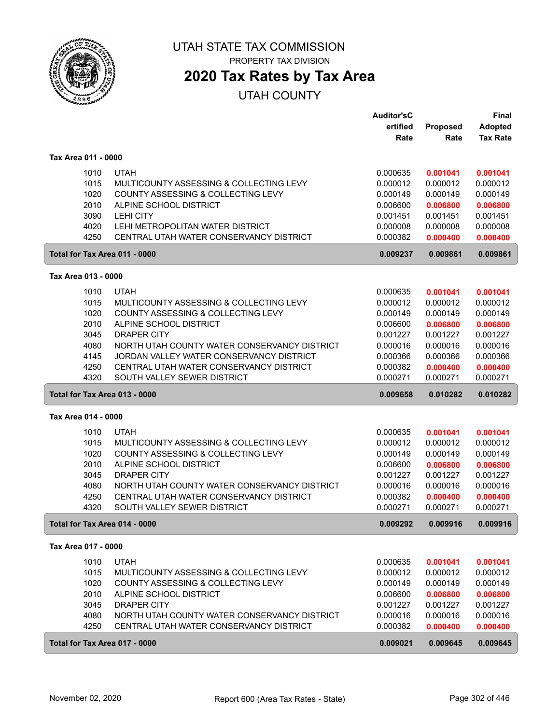

# UTAH STATE TAX COMMISSION

PROPERTY TAX DIVISION

## **2020 Tax Rates by Tax Area**

|                     |                                              | <b>Auditor'sC</b> |          | Final           |
|---------------------|----------------------------------------------|-------------------|----------|-----------------|
|                     |                                              | ertified          | Proposed | Adopted         |
|                     |                                              | Rate              | Rate     | <b>Tax Rate</b> |
| Tax Area 011 - 0000 |                                              |                   |          |                 |
|                     |                                              |                   |          |                 |
| 1010                | <b>UTAH</b>                                  | 0.000635          | 0.001041 | 0.001041        |
| 1015                | MULTICOUNTY ASSESSING & COLLECTING LEVY      | 0.000012          | 0.000012 | 0.000012        |
| 1020                | COUNTY ASSESSING & COLLECTING LEVY           | 0.000149          | 0.000149 | 0.000149        |
| 2010                | ALPINE SCHOOL DISTRICT                       | 0.006600          | 0.006800 | 0.006800        |
| 3090                | <b>LEHI CITY</b>                             | 0.001451          | 0.001451 | 0.001451        |
| 4020                | LEHI METROPOLITAN WATER DISTRICT             | 0.000008          | 0.000008 | 0.000008        |
| 4250                | CENTRAL UTAH WATER CONSERVANCY DISTRICT      | 0.000382          | 0.000400 | 0.000400        |
|                     | Total for Tax Area 011 - 0000                | 0.009237          | 0.009861 | 0.009861        |
| Tax Area 013 - 0000 |                                              |                   |          |                 |
| 1010                | <b>UTAH</b>                                  | 0.000635          | 0.001041 | 0.001041        |
| 1015                | MULTICOUNTY ASSESSING & COLLECTING LEVY      | 0.000012          | 0.000012 | 0.000012        |
| 1020                | COUNTY ASSESSING & COLLECTING LEVY           | 0.000149          | 0.000149 | 0.000149        |
| 2010                | ALPINE SCHOOL DISTRICT                       | 0.006600          | 0.006800 | 0.006800        |
| 3045                | <b>DRAPER CITY</b>                           | 0.001227          | 0.001227 | 0.001227        |
| 4080                | NORTH UTAH COUNTY WATER CONSERVANCY DISTRICT | 0.000016          | 0.000016 | 0.000016        |
| 4145                | JORDAN VALLEY WATER CONSERVANCY DISTRICT     | 0.000366          | 0.000366 | 0.000366        |
| 4250                | CENTRAL UTAH WATER CONSERVANCY DISTRICT      | 0.000382          | 0.000400 | 0.000400        |
| 4320                | SOUTH VALLEY SEWER DISTRICT                  | 0.000271          | 0.000271 | 0.000271        |
|                     | Total for Tax Area 013 - 0000                | 0.009658          | 0.010282 | 0.010282        |
|                     |                                              |                   |          |                 |
| Tax Area 014 - 0000 |                                              |                   |          |                 |
| 1010                | <b>UTAH</b>                                  | 0.000635          | 0.001041 | 0.001041        |
| 1015                | MULTICOUNTY ASSESSING & COLLECTING LEVY      | 0.000012          | 0.000012 | 0.000012        |
| 1020                | COUNTY ASSESSING & COLLECTING LEVY           | 0.000149          | 0.000149 | 0.000149        |
| 2010                | ALPINE SCHOOL DISTRICT                       | 0.006600          | 0.006800 | 0.006800        |
| 3045                | <b>DRAPER CITY</b>                           | 0.001227          | 0.001227 | 0.001227        |
| 4080                | NORTH UTAH COUNTY WATER CONSERVANCY DISTRICT | 0.000016          | 0.000016 | 0.000016        |
| 4250                | CENTRAL UTAH WATER CONSERVANCY DISTRICT      | 0.000382          | 0.000400 | 0.000400        |
| 4320                | SOUTH VALLEY SEWER DISTRICT                  | 0.000271          | 0.000271 | 0.000271        |
|                     | Total for Tax Area 014 - 0000                | 0.009292          | 0.009916 | 0.009916        |
| Tax Area 017 - 0000 |                                              |                   |          |                 |
| 1010                | <b>UTAH</b>                                  | 0.000635          | 0.001041 | 0.001041        |
| 1015                | MULTICOUNTY ASSESSING & COLLECTING LEVY      | 0.000012          | 0.000012 | 0.000012        |
| 1020                | COUNTY ASSESSING & COLLECTING LEVY           | 0.000149          | 0.000149 | 0.000149        |
| 2010                | ALPINE SCHOOL DISTRICT                       | 0.006600          | 0.006800 | 0.006800        |
| 3045                | DRAPER CITY                                  | 0.001227          | 0.001227 | 0.001227        |
| 4080                | NORTH UTAH COUNTY WATER CONSERVANCY DISTRICT | 0.000016          | 0.000016 | 0.000016        |
| 4250                | CENTRAL UTAH WATER CONSERVANCY DISTRICT      | 0.000382          | 0.000400 | 0.000400        |
|                     |                                              |                   |          |                 |
|                     | Total for Tax Area 017 - 0000                | 0.009021          | 0.009645 | 0.009645        |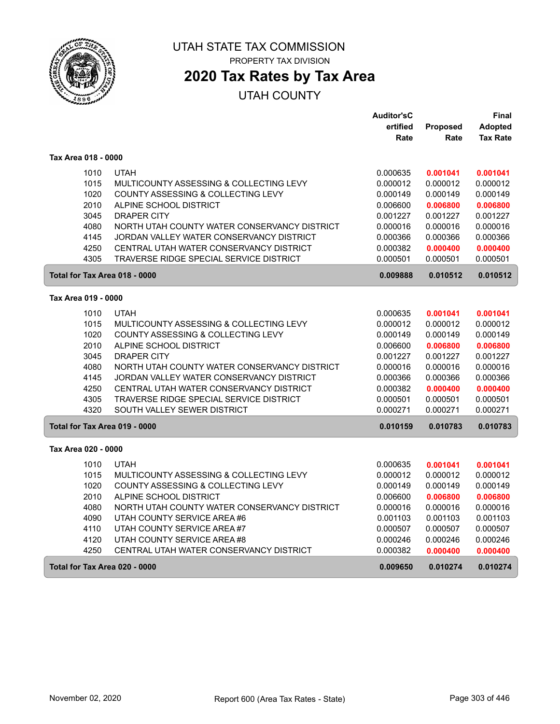

## **2020 Tax Rates by Tax Area**

|                               |                                              | <b>Auditor'sC</b> |          | <b>Final</b>    |
|-------------------------------|----------------------------------------------|-------------------|----------|-----------------|
|                               |                                              | ertified          | Proposed | <b>Adopted</b>  |
|                               |                                              | Rate              | Rate     | <b>Tax Rate</b> |
| Tax Area 018 - 0000           |                                              |                   |          |                 |
| 1010                          | <b>UTAH</b>                                  | 0.000635          | 0.001041 | 0.001041        |
| 1015                          | MULTICOUNTY ASSESSING & COLLECTING LEVY      | 0.000012          | 0.000012 | 0.000012        |
| 1020                          | COUNTY ASSESSING & COLLECTING LEVY           | 0.000149          | 0.000149 | 0.000149        |
| 2010                          | ALPINE SCHOOL DISTRICT                       | 0.006600          | 0.006800 | 0.006800        |
| 3045                          | <b>DRAPER CITY</b>                           | 0.001227          | 0.001227 | 0.001227        |
| 4080                          | NORTH UTAH COUNTY WATER CONSERVANCY DISTRICT | 0.000016          | 0.000016 | 0.000016        |
| 4145                          | JORDAN VALLEY WATER CONSERVANCY DISTRICT     | 0.000366          | 0.000366 | 0.000366        |
| 4250                          | CENTRAL UTAH WATER CONSERVANCY DISTRICT      | 0.000382          | 0.000400 | 0.000400        |
| 4305                          | TRAVERSE RIDGE SPECIAL SERVICE DISTRICT      | 0.000501          | 0.000501 | 0.000501        |
| Total for Tax Area 018 - 0000 |                                              | 0.009888          | 0.010512 | 0.010512        |
| Tax Area 019 - 0000           |                                              |                   |          |                 |
| 1010                          | <b>UTAH</b>                                  | 0.000635          | 0.001041 | 0.001041        |
| 1015                          | MULTICOUNTY ASSESSING & COLLECTING LEVY      | 0.000012          | 0.000012 | 0.000012        |
| 1020                          | COUNTY ASSESSING & COLLECTING LEVY           | 0.000149          | 0.000149 | 0.000149        |
| 2010                          | ALPINE SCHOOL DISTRICT                       | 0.006600          | 0.006800 | 0.006800        |
| 3045                          | <b>DRAPER CITY</b>                           | 0.001227          | 0.001227 | 0.001227        |
| 4080                          | NORTH UTAH COUNTY WATER CONSERVANCY DISTRICT | 0.000016          | 0.000016 | 0.000016        |
| 4145                          | JORDAN VALLEY WATER CONSERVANCY DISTRICT     | 0.000366          | 0.000366 | 0.000366        |
| 4250                          | CENTRAL UTAH WATER CONSERVANCY DISTRICT      | 0.000382          | 0.000400 | 0.000400        |
| 4305                          | TRAVERSE RIDGE SPECIAL SERVICE DISTRICT      | 0.000501          | 0.000501 | 0.000501        |
| 4320                          | SOUTH VALLEY SEWER DISTRICT                  | 0.000271          | 0.000271 | 0.000271        |
| Total for Tax Area 019 - 0000 |                                              | 0.010159          | 0.010783 | 0.010783        |
| Tax Area 020 - 0000           |                                              |                   |          |                 |
| 1010                          | <b>UTAH</b>                                  | 0.000635          | 0.001041 | 0.001041        |
| 1015                          | MULTICOUNTY ASSESSING & COLLECTING LEVY      | 0.000012          | 0.000012 | 0.000012        |
| 1020                          | COUNTY ASSESSING & COLLECTING LEVY           | 0.000149          | 0.000149 | 0.000149        |
| 2010                          | ALPINE SCHOOL DISTRICT                       | 0.006600          | 0.006800 | 0.006800        |
| 4080                          | NORTH UTAH COUNTY WATER CONSERVANCY DISTRICT | 0.000016          | 0.000016 | 0.000016        |
| 4090                          | UTAH COUNTY SERVICE AREA #6                  | 0.001103          | 0.001103 | 0.001103        |
| 4110                          | UTAH COUNTY SERVICE AREA#7                   | 0.000507          | 0.000507 | 0.000507        |
| 4120                          | UTAH COUNTY SERVICE AREA #8                  | 0.000246          | 0.000246 | 0.000246        |
| 4250                          | CENTRAL UTAH WATER CONSERVANCY DISTRICT      | 0.000382          | 0.000400 | 0.000400        |
| Total for Tax Area 020 - 0000 |                                              | 0.009650          | 0.010274 | 0.010274        |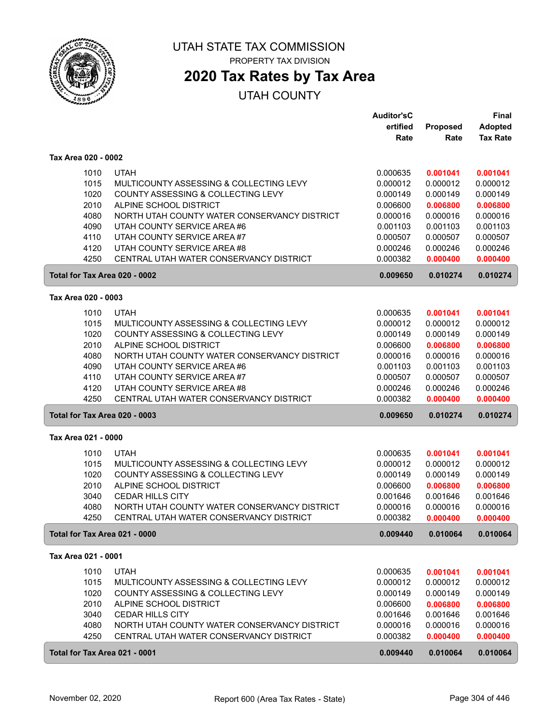

## **2020 Tax Rates by Tax Area**

|                               |                                                                                         | <b>Auditor'sC</b>    |                      | <b>Final</b>         |
|-------------------------------|-----------------------------------------------------------------------------------------|----------------------|----------------------|----------------------|
|                               |                                                                                         | ertified             | Proposed             | <b>Adopted</b>       |
|                               |                                                                                         | Rate                 | Rate                 | <b>Tax Rate</b>      |
| Tax Area 020 - 0002           |                                                                                         |                      |                      |                      |
| 1010                          | <b>UTAH</b>                                                                             | 0.000635             | 0.001041             | 0.001041             |
| 1015                          | MULTICOUNTY ASSESSING & COLLECTING LEVY                                                 | 0.000012             | 0.000012             | 0.000012             |
| 1020                          | COUNTY ASSESSING & COLLECTING LEVY                                                      | 0.000149             | 0.000149             | 0.000149             |
| 2010                          | ALPINE SCHOOL DISTRICT                                                                  | 0.006600             |                      | 0.006800             |
| 4080                          | NORTH UTAH COUNTY WATER CONSERVANCY DISTRICT                                            |                      | 0.006800             |                      |
|                               | UTAH COUNTY SERVICE AREA #6                                                             | 0.000016<br>0.001103 | 0.000016             | 0.000016<br>0.001103 |
| 4090<br>4110                  | UTAH COUNTY SERVICE AREA #7                                                             |                      | 0.001103             |                      |
|                               | UTAH COUNTY SERVICE AREA #8                                                             | 0.000507             | 0.000507             | 0.000507             |
| 4120                          |                                                                                         | 0.000246             | 0.000246             | 0.000246             |
| 4250                          | CENTRAL UTAH WATER CONSERVANCY DISTRICT                                                 | 0.000382             | 0.000400             | 0.000400             |
| Total for Tax Area 020 - 0002 |                                                                                         | 0.009650             | 0.010274             | 0.010274             |
| Tax Area 020 - 0003           |                                                                                         |                      |                      |                      |
| 1010                          | <b>UTAH</b>                                                                             | 0.000635             | 0.001041             | 0.001041             |
| 1015                          | MULTICOUNTY ASSESSING & COLLECTING LEVY                                                 | 0.000012             | 0.000012             | 0.000012             |
| 1020                          | COUNTY ASSESSING & COLLECTING LEVY                                                      | 0.000149             | 0.000149             | 0.000149             |
| 2010                          | ALPINE SCHOOL DISTRICT                                                                  | 0.006600             | 0.006800             | 0.006800             |
| 4080                          | NORTH UTAH COUNTY WATER CONSERVANCY DISTRICT                                            | 0.000016             | 0.000016             | 0.000016             |
| 4090                          | UTAH COUNTY SERVICE AREA #6                                                             | 0.001103             | 0.001103             | 0.001103             |
| 4110                          | UTAH COUNTY SERVICE AREA #7                                                             | 0.000507             | 0.000507             | 0.000507             |
| 4120                          | UTAH COUNTY SERVICE AREA #8                                                             | 0.000246             | 0.000246             | 0.000246             |
| 4250                          | CENTRAL UTAH WATER CONSERVANCY DISTRICT                                                 | 0.000382             | 0.000400             | 0.000400             |
| Total for Tax Area 020 - 0003 |                                                                                         | 0.009650             | 0.010274             | 0.010274             |
| Tax Area 021 - 0000           |                                                                                         |                      |                      |                      |
|                               |                                                                                         |                      |                      |                      |
| 1010                          | <b>UTAH</b>                                                                             | 0.000635             | 0.001041             | 0.001041             |
| 1015                          | MULTICOUNTY ASSESSING & COLLECTING LEVY                                                 | 0.000012             | 0.000012             | 0.000012             |
| 1020                          | COUNTY ASSESSING & COLLECTING LEVY                                                      | 0.000149             | 0.000149             | 0.000149             |
| 2010                          | ALPINE SCHOOL DISTRICT                                                                  | 0.006600             | 0.006800             | 0.006800             |
| 3040                          | <b>CEDAR HILLS CITY</b>                                                                 | 0.001646             | 0.001646             | 0.001646             |
| 4080<br>4250                  | NORTH UTAH COUNTY WATER CONSERVANCY DISTRICT<br>CENTRAL UTAH WATER CONSERVANCY DISTRICT | 0.000016<br>0.000382 | 0.000016<br>0.000400 | 0.000016<br>0.000400 |
| Total for Tax Area 021 - 0000 |                                                                                         | 0.009440             | 0.010064             | 0.010064             |
|                               |                                                                                         |                      |                      |                      |
| Tax Area 021 - 0001           |                                                                                         |                      |                      |                      |
| 1010                          | <b>UTAH</b>                                                                             | 0.000635             | 0.001041             | 0.001041             |
| 1015                          | MULTICOUNTY ASSESSING & COLLECTING LEVY                                                 | 0.000012             | 0.000012             | 0.000012             |
| 1020                          | COUNTY ASSESSING & COLLECTING LEVY                                                      | 0.000149             | 0.000149             | 0.000149             |
| 2010                          | ALPINE SCHOOL DISTRICT                                                                  | 0.006600             | 0.006800             | 0.006800             |
| 3040                          | <b>CEDAR HILLS CITY</b>                                                                 | 0.001646             | 0.001646             | 0.001646             |
| 4080                          | NORTH UTAH COUNTY WATER CONSERVANCY DISTRICT                                            | 0.000016             | 0.000016             | 0.000016             |
| 4250                          | CENTRAL UTAH WATER CONSERVANCY DISTRICT                                                 | 0.000382             | 0.000400             | 0.000400             |
| Total for Tax Area 021 - 0001 |                                                                                         | 0.009440             | 0.010064             | 0.010064             |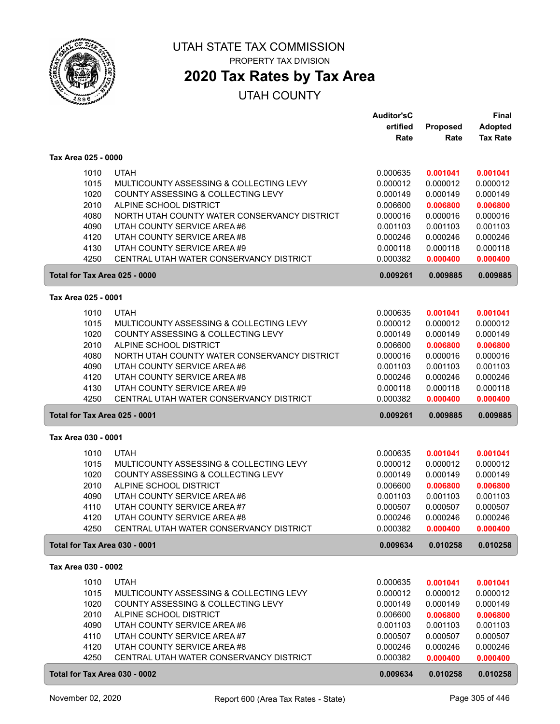

## **2020 Tax Rates by Tax Area**

|                     |                                                                        | <b>Auditor'sC</b>    |                      | Final                |
|---------------------|------------------------------------------------------------------------|----------------------|----------------------|----------------------|
|                     |                                                                        | ertified             | Proposed             | <b>Adopted</b>       |
|                     |                                                                        | Rate                 | Rate                 | <b>Tax Rate</b>      |
| Tax Area 025 - 0000 |                                                                        |                      |                      |                      |
| 1010                | <b>UTAH</b>                                                            |                      |                      |                      |
| 1015                | MULTICOUNTY ASSESSING & COLLECTING LEVY                                | 0.000635<br>0.000012 | 0.001041<br>0.000012 | 0.001041<br>0.000012 |
| 1020                | COUNTY ASSESSING & COLLECTING LEVY                                     | 0.000149             | 0.000149             | 0.000149             |
| 2010                | ALPINE SCHOOL DISTRICT                                                 | 0.006600             | 0.006800             | 0.006800             |
| 4080                | NORTH UTAH COUNTY WATER CONSERVANCY DISTRICT                           | 0.000016             | 0.000016             | 0.000016             |
| 4090                | UTAH COUNTY SERVICE AREA #6                                            | 0.001103             | 0.001103             | 0.001103             |
| 4120                | UTAH COUNTY SERVICE AREA #8                                            | 0.000246             | 0.000246             | 0.000246             |
| 4130                | UTAH COUNTY SERVICE AREA #9                                            | 0.000118             | 0.000118             | 0.000118             |
| 4250                | CENTRAL UTAH WATER CONSERVANCY DISTRICT                                | 0.000382             | 0.000400             | 0.000400             |
|                     | Total for Tax Area 025 - 0000                                          | 0.009261             | 0.009885             | 0.009885             |
|                     |                                                                        |                      |                      |                      |
| Tax Area 025 - 0001 |                                                                        |                      |                      |                      |
| 1010                | <b>UTAH</b>                                                            | 0.000635             | 0.001041             | 0.001041             |
| 1015                | MULTICOUNTY ASSESSING & COLLECTING LEVY                                | 0.000012             | 0.000012             | 0.000012             |
| 1020                | COUNTY ASSESSING & COLLECTING LEVY                                     | 0.000149             | 0.000149             | 0.000149             |
| 2010                | ALPINE SCHOOL DISTRICT                                                 | 0.006600             | 0.006800             | 0.006800             |
| 4080                | NORTH UTAH COUNTY WATER CONSERVANCY DISTRICT                           | 0.000016             | 0.000016             | 0.000016             |
| 4090                | UTAH COUNTY SERVICE AREA #6                                            | 0.001103             | 0.001103             | 0.001103             |
| 4120                | UTAH COUNTY SERVICE AREA #8                                            | 0.000246             | 0.000246             | 0.000246             |
| 4130                | UTAH COUNTY SERVICE AREA #9                                            | 0.000118             | 0.000118             | 0.000118             |
| 4250                | CENTRAL UTAH WATER CONSERVANCY DISTRICT                                | 0.000382             | 0.000400             | 0.000400             |
|                     | Total for Tax Area 025 - 0001                                          | 0.009261             | 0.009885             | 0.009885             |
| Tax Area 030 - 0001 |                                                                        |                      |                      |                      |
| 1010                | <b>UTAH</b>                                                            | 0.000635             | 0.001041             | 0.001041             |
| 1015                | MULTICOUNTY ASSESSING & COLLECTING LEVY                                | 0.000012             | 0.000012             | 0.000012             |
| 1020                | COUNTY ASSESSING & COLLECTING LEVY                                     | 0.000149             | 0.000149             | 0.000149             |
| 2010                | ALPINE SCHOOL DISTRICT                                                 | 0.006600             | 0.006800             | 0.006800             |
| 4090                | UTAH COUNTY SERVICE AREA #6                                            | 0.001103             | 0.001103             | 0.001103             |
| 4110                | UTAH COUNTY SERVICE AREA #7                                            | 0.000507             | 0.000507             | 0.000507             |
| 4120                | UTAH COUNTY SERVICE AREA #8                                            | 0.000246             | 0.000246             | 0.000246             |
| 4250                | CENTRAL UTAH WATER CONSERVANCY DISTRICT                                | 0.000382             | 0.000400             | 0.000400             |
|                     | Total for Tax Area 030 - 0001                                          | 0.009634             | 0.010258             | 0.010258             |
| Tax Area 030 - 0002 |                                                                        |                      |                      |                      |
|                     |                                                                        |                      |                      |                      |
| 1010                | <b>UTAH</b>                                                            | 0.000635             | 0.001041             | 0.001041             |
| 1015                | MULTICOUNTY ASSESSING & COLLECTING LEVY                                | 0.000012             | 0.000012             | 0.000012             |
| 1020                | COUNTY ASSESSING & COLLECTING LEVY                                     | 0.000149             | 0.000149             | 0.000149             |
| 2010                | ALPINE SCHOOL DISTRICT                                                 | 0.006600             | 0.006800             | 0.006800             |
| 4090                | UTAH COUNTY SERVICE AREA #6                                            | 0.001103             | 0.001103             | 0.001103             |
| 4110                | UTAH COUNTY SERVICE AREA #7                                            | 0.000507             | 0.000507             | 0.000507             |
| 4120<br>4250        | UTAH COUNTY SERVICE AREA #8<br>CENTRAL UTAH WATER CONSERVANCY DISTRICT | 0.000246<br>0.000382 | 0.000246<br>0.000400 | 0.000246<br>0.000400 |
|                     |                                                                        |                      |                      |                      |
|                     | Total for Tax Area 030 - 0002                                          | 0.009634             | 0.010258             | 0.010258             |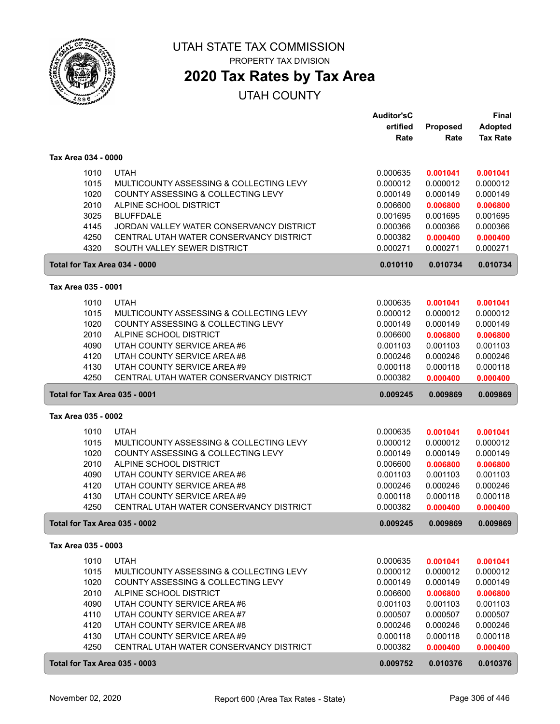

## **2020 Tax Rates by Tax Area**

|                     |                                          | <b>Auditor'sC</b> |          | Final           |
|---------------------|------------------------------------------|-------------------|----------|-----------------|
|                     |                                          | ertified          | Proposed | <b>Adopted</b>  |
|                     |                                          | Rate              | Rate     | <b>Tax Rate</b> |
| Tax Area 034 - 0000 |                                          |                   |          |                 |
|                     |                                          |                   |          |                 |
| 1010                | <b>UTAH</b>                              | 0.000635          | 0.001041 | 0.001041        |
| 1015                | MULTICOUNTY ASSESSING & COLLECTING LEVY  | 0.000012          | 0.000012 | 0.000012        |
| 1020                | COUNTY ASSESSING & COLLECTING LEVY       | 0.000149          | 0.000149 | 0.000149        |
| 2010                | ALPINE SCHOOL DISTRICT                   | 0.006600          | 0.006800 | 0.006800        |
| 3025                | <b>BLUFFDALE</b>                         | 0.001695          | 0.001695 | 0.001695        |
| 4145                | JORDAN VALLEY WATER CONSERVANCY DISTRICT | 0.000366          | 0.000366 | 0.000366        |
| 4250                | CENTRAL UTAH WATER CONSERVANCY DISTRICT  | 0.000382          | 0.000400 | 0.000400        |
| 4320                | SOUTH VALLEY SEWER DISTRICT              | 0.000271          | 0.000271 | 0.000271        |
|                     | Total for Tax Area 034 - 0000            | 0.010110          | 0.010734 | 0.010734        |
| Tax Area 035 - 0001 |                                          |                   |          |                 |
| 1010                | <b>UTAH</b>                              | 0.000635          | 0.001041 | 0.001041        |
| 1015                | MULTICOUNTY ASSESSING & COLLECTING LEVY  | 0.000012          | 0.000012 | 0.000012        |
| 1020                | COUNTY ASSESSING & COLLECTING LEVY       | 0.000149          | 0.000149 | 0.000149        |
| 2010                | ALPINE SCHOOL DISTRICT                   | 0.006600          | 0.006800 | 0.006800        |
| 4090                | UTAH COUNTY SERVICE AREA #6              | 0.001103          | 0.001103 | 0.001103        |
| 4120                | UTAH COUNTY SERVICE AREA #8              | 0.000246          | 0.000246 | 0.000246        |
| 4130                | UTAH COUNTY SERVICE AREA #9              | 0.000118          | 0.000118 | 0.000118        |
| 4250                | CENTRAL UTAH WATER CONSERVANCY DISTRICT  | 0.000382          | 0.000400 | 0.000400        |
|                     | Total for Tax Area 035 - 0001            | 0.009245          | 0.009869 | 0.009869        |
| Tax Area 035 - 0002 |                                          |                   |          |                 |
| 1010                | <b>UTAH</b>                              | 0.000635          | 0.001041 | 0.001041        |
| 1015                | MULTICOUNTY ASSESSING & COLLECTING LEVY  | 0.000012          | 0.000012 | 0.000012        |
| 1020                | COUNTY ASSESSING & COLLECTING LEVY       | 0.000149          | 0.000149 | 0.000149        |
| 2010                | ALPINE SCHOOL DISTRICT                   | 0.006600          | 0.006800 | 0.006800        |
| 4090                | UTAH COUNTY SERVICE AREA #6              | 0.001103          | 0.001103 | 0.001103        |
| 4120                | UTAH COUNTY SERVICE AREA #8              | 0.000246          | 0.000246 | 0.000246        |
| 4130                | UTAH COUNTY SERVICE AREA #9              | 0.000118          | 0.000118 | 0.000118        |
| 4250                | CENTRAL UTAH WATER CONSERVANCY DISTRICT  | 0.000382          | 0.000400 | 0.000400        |
|                     | Total for Tax Area 035 - 0002            | 0.009245          | 0.009869 | 0.009869        |
| Tax Area 035 - 0003 |                                          |                   |          |                 |
| 1010                | <b>UTAH</b>                              | 0.000635          | 0.001041 | 0.001041        |
| 1015                | MULTICOUNTY ASSESSING & COLLECTING LEVY  | 0.000012          | 0.000012 | 0.000012        |
| 1020                | COUNTY ASSESSING & COLLECTING LEVY       | 0.000149          | 0.000149 | 0.000149        |
| 2010                | ALPINE SCHOOL DISTRICT                   | 0.006600          | 0.006800 | 0.006800        |
| 4090                | UTAH COUNTY SERVICE AREA #6              | 0.001103          | 0.001103 | 0.001103        |
| 4110                | UTAH COUNTY SERVICE AREA #7              | 0.000507          | 0.000507 | 0.000507        |
| 4120                | UTAH COUNTY SERVICE AREA #8              | 0.000246          | 0.000246 | 0.000246        |
| 4130                | UTAH COUNTY SERVICE AREA #9              | 0.000118          | 0.000118 | 0.000118        |
| 4250                | CENTRAL UTAH WATER CONSERVANCY DISTRICT  | 0.000382          | 0.000400 | 0.000400        |
|                     | Total for Tax Area 035 - 0003            | 0.009752          | 0.010376 | 0.010376        |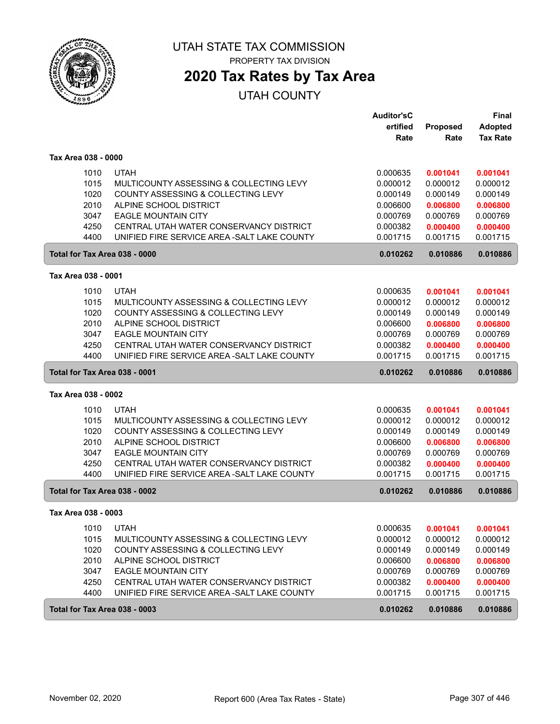

# **2020 Tax Rates by Tax Area**

|                               |      |                                              | <b>Auditor'sC</b>    |          | <b>Final</b>    |
|-------------------------------|------|----------------------------------------------|----------------------|----------|-----------------|
|                               |      |                                              | ertified             | Proposed | <b>Adopted</b>  |
|                               |      |                                              | Rate                 | Rate     | <b>Tax Rate</b> |
| Tax Area 038 - 0000           |      |                                              |                      |          |                 |
|                               | 1010 | <b>UTAH</b>                                  | 0.000635             | 0.001041 | 0.001041        |
|                               | 1015 | MULTICOUNTY ASSESSING & COLLECTING LEVY      | 0.000012             | 0.000012 | 0.000012        |
|                               | 1020 | COUNTY ASSESSING & COLLECTING LEVY           | 0.000149             | 0.000149 | 0.000149        |
|                               | 2010 | ALPINE SCHOOL DISTRICT                       | 0.006600             | 0.006800 | 0.006800        |
|                               | 3047 | <b>EAGLE MOUNTAIN CITY</b>                   | 0.000769             | 0.000769 | 0.000769        |
|                               | 4250 | CENTRAL UTAH WATER CONSERVANCY DISTRICT      | 0.000382             | 0.000400 | 0.000400        |
|                               | 4400 | UNIFIED FIRE SERVICE AREA - SALT LAKE COUNTY | 0.001715             | 0.001715 | 0.001715        |
|                               |      | Total for Tax Area 038 - 0000                | 0.010262             | 0.010886 | 0.010886        |
| Tax Area 038 - 0001           |      |                                              |                      |          |                 |
|                               | 1010 | <b>UTAH</b>                                  | 0.000635             | 0.001041 | 0.001041        |
|                               | 1015 | MULTICOUNTY ASSESSING & COLLECTING LEVY      | 0.000012             | 0.000012 | 0.000012        |
|                               | 1020 | COUNTY ASSESSING & COLLECTING LEVY           | 0.000149             | 0.000149 | 0.000149        |
|                               | 2010 | ALPINE SCHOOL DISTRICT                       | 0.006600             | 0.006800 | 0.006800        |
|                               | 3047 | <b>EAGLE MOUNTAIN CITY</b>                   | 0.000769             | 0.000769 | 0.000769        |
|                               | 4250 | CENTRAL UTAH WATER CONSERVANCY DISTRICT      | 0.000382             | 0.000400 | 0.000400        |
|                               | 4400 | UNIFIED FIRE SERVICE AREA - SALT LAKE COUNTY | 0.001715             | 0.001715 | 0.001715        |
|                               |      |                                              |                      |          |                 |
| Total for Tax Area 038 - 0001 |      |                                              | 0.010262             | 0.010886 | 0.010886        |
| Tax Area 038 - 0002           |      |                                              |                      |          |                 |
|                               | 1010 | <b>UTAH</b>                                  |                      | 0.001041 | 0.001041        |
|                               | 1015 | MULTICOUNTY ASSESSING & COLLECTING LEVY      | 0.000635<br>0.000012 | 0.000012 | 0.000012        |
|                               | 1020 | COUNTY ASSESSING & COLLECTING LEVY           | 0.000149             | 0.000149 | 0.000149        |
|                               | 2010 | ALPINE SCHOOL DISTRICT                       | 0.006600             | 0.006800 | 0.006800        |
|                               | 3047 | <b>EAGLE MOUNTAIN CITY</b>                   | 0.000769             | 0.000769 | 0.000769        |
|                               | 4250 | CENTRAL UTAH WATER CONSERVANCY DISTRICT      | 0.000382             | 0.000400 | 0.000400        |
|                               | 4400 | UNIFIED FIRE SERVICE AREA - SALT LAKE COUNTY | 0.001715             | 0.001715 | 0.001715        |
|                               |      | Total for Tax Area 038 - 0002                | 0.010262             | 0.010886 | 0.010886        |
| Tax Area 038 - 0003           |      |                                              |                      |          |                 |
|                               | 1010 | <b>UTAH</b>                                  | 0.000635             | 0.001041 | 0.001041        |
|                               | 1015 | MULTICOUNTY ASSESSING & COLLECTING LEVY      | 0.000012             | 0.000012 | 0.000012        |
|                               | 1020 | COUNTY ASSESSING & COLLECTING LEVY           | 0.000149             | 0.000149 | 0.000149        |
|                               | 2010 | ALPINE SCHOOL DISTRICT                       | 0.006600             | 0.006800 | 0.006800        |
|                               | 3047 | <b>EAGLE MOUNTAIN CITY</b>                   | 0.000769             | 0.000769 | 0.000769        |
|                               | 4250 | CENTRAL UTAH WATER CONSERVANCY DISTRICT      | 0.000382             | 0.000400 | 0.000400        |
|                               | 4400 | UNIFIED FIRE SERVICE AREA - SALT LAKE COUNTY | 0.001715             | 0.001715 | 0.001715        |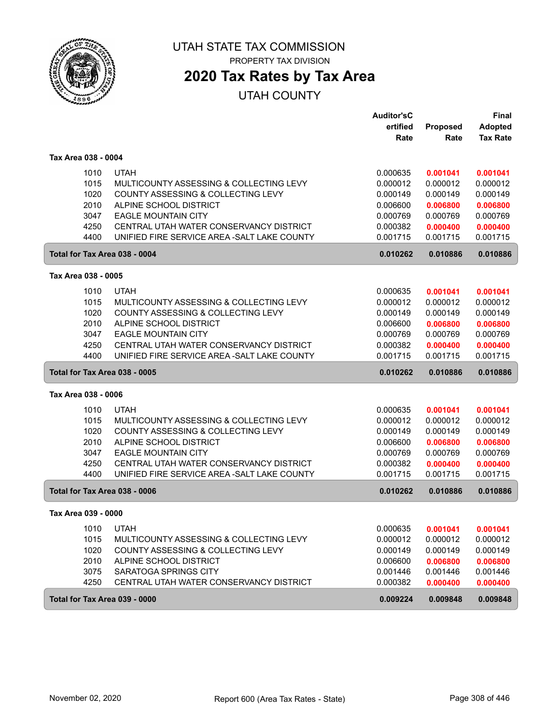

## **2020 Tax Rates by Tax Area**

|                               |                                              | <b>Auditor'sC</b> |          | Final           |
|-------------------------------|----------------------------------------------|-------------------|----------|-----------------|
|                               |                                              | ertified          | Proposed | <b>Adopted</b>  |
|                               |                                              | Rate              | Rate     | <b>Tax Rate</b> |
| Tax Area 038 - 0004           |                                              |                   |          |                 |
| 1010                          | <b>UTAH</b>                                  | 0.000635          | 0.001041 | 0.001041        |
| 1015                          | MULTICOUNTY ASSESSING & COLLECTING LEVY      | 0.000012          | 0.000012 | 0.000012        |
| 1020                          | COUNTY ASSESSING & COLLECTING LEVY           | 0.000149          | 0.000149 | 0.000149        |
| 2010                          | ALPINE SCHOOL DISTRICT                       | 0.006600          | 0.006800 | 0.006800        |
| 3047                          | <b>EAGLE MOUNTAIN CITY</b>                   | 0.000769          | 0.000769 | 0.000769        |
| 4250                          | CENTRAL UTAH WATER CONSERVANCY DISTRICT      | 0.000382          | 0.000400 | 0.000400        |
| 4400                          | UNIFIED FIRE SERVICE AREA - SALT LAKE COUNTY | 0.001715          | 0.001715 | 0.001715        |
| Total for Tax Area 038 - 0004 |                                              | 0.010262          | 0.010886 | 0.010886        |
| Tax Area 038 - 0005           |                                              |                   |          |                 |
| 1010                          | <b>UTAH</b>                                  | 0.000635          | 0.001041 | 0.001041        |
| 1015                          | MULTICOUNTY ASSESSING & COLLECTING LEVY      | 0.000012          | 0.000012 | 0.000012        |
| 1020                          | COUNTY ASSESSING & COLLECTING LEVY           | 0.000149          | 0.000149 | 0.000149        |
| 2010                          | ALPINE SCHOOL DISTRICT                       | 0.006600          | 0.006800 | 0.006800        |
| 3047                          | <b>EAGLE MOUNTAIN CITY</b>                   | 0.000769          | 0.000769 | 0.000769        |
| 4250                          | CENTRAL UTAH WATER CONSERVANCY DISTRICT      | 0.000382          | 0.000400 | 0.000400        |
| 4400                          | UNIFIED FIRE SERVICE AREA - SALT LAKE COUNTY | 0.001715          | 0.001715 | 0.001715        |
| Total for Tax Area 038 - 0005 |                                              | 0.010262          | 0.010886 | 0.010886        |
|                               |                                              |                   |          |                 |
| Tax Area 038 - 0006           |                                              |                   |          |                 |
| 1010                          | <b>UTAH</b>                                  | 0.000635          | 0.001041 | 0.001041        |
| 1015                          | MULTICOUNTY ASSESSING & COLLECTING LEVY      | 0.000012          | 0.000012 | 0.000012        |
| 1020                          | COUNTY ASSESSING & COLLECTING LEVY           | 0.000149          | 0.000149 | 0.000149        |
| 2010                          | ALPINE SCHOOL DISTRICT                       | 0.006600          | 0.006800 | 0.006800        |
| 3047                          | <b>EAGLE MOUNTAIN CITY</b>                   | 0.000769          | 0.000769 | 0.000769        |
| 4250                          | CENTRAL UTAH WATER CONSERVANCY DISTRICT      | 0.000382          | 0.000400 | 0.000400        |
| 4400                          | UNIFIED FIRE SERVICE AREA - SALT LAKE COUNTY | 0.001715          | 0.001715 | 0.001715        |
| Total for Tax Area 038 - 0006 |                                              | 0.010262          | 0.010886 | 0.010886        |
| Tax Area 039 - 0000           |                                              |                   |          |                 |
| 1010                          | <b>UTAH</b>                                  | 0.000635          | 0.001041 | 0.001041        |
| 1015                          | MULTICOUNTY ASSESSING & COLLECTING LEVY      | 0.000012          | 0.000012 | 0.000012        |
| 1020                          | COUNTY ASSESSING & COLLECTING LEVY           | 0.000149          | 0.000149 | 0.000149        |
| 2010                          | ALPINE SCHOOL DISTRICT                       | 0.006600          | 0.006800 | 0.006800        |
| 3075                          | SARATOGA SPRINGS CITY                        | 0.001446          | 0.001446 | 0.001446        |
| 4250                          | CENTRAL UTAH WATER CONSERVANCY DISTRICT      | 0.000382          | 0.000400 | 0.000400        |
| Total for Tax Area 039 - 0000 |                                              | 0.009224          | 0.009848 | 0.009848        |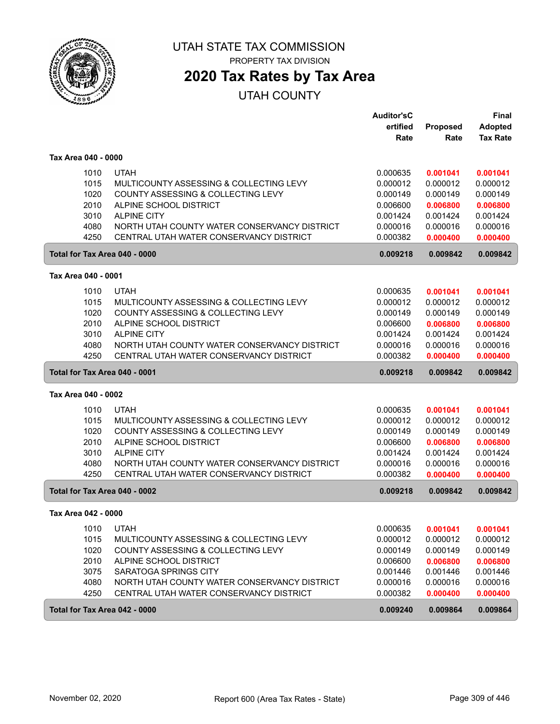

# **2020 Tax Rates by Tax Area**

|                     |      |                                              | <b>Auditor'sC</b> |          | <b>Final</b>    |
|---------------------|------|----------------------------------------------|-------------------|----------|-----------------|
|                     |      |                                              | ertified          | Proposed | <b>Adopted</b>  |
|                     |      |                                              | Rate              | Rate     | <b>Tax Rate</b> |
| Tax Area 040 - 0000 |      |                                              |                   |          |                 |
|                     | 1010 | <b>UTAH</b>                                  | 0.000635          | 0.001041 | 0.001041        |
|                     | 1015 | MULTICOUNTY ASSESSING & COLLECTING LEVY      | 0.000012          | 0.000012 | 0.000012        |
|                     | 1020 | COUNTY ASSESSING & COLLECTING LEVY           | 0.000149          | 0.000149 | 0.000149        |
|                     | 2010 | ALPINE SCHOOL DISTRICT                       | 0.006600          | 0.006800 | 0.006800        |
|                     | 3010 | <b>ALPINE CITY</b>                           | 0.001424          | 0.001424 | 0.001424        |
|                     | 4080 | NORTH UTAH COUNTY WATER CONSERVANCY DISTRICT | 0.000016          | 0.000016 | 0.000016        |
|                     | 4250 | CENTRAL UTAH WATER CONSERVANCY DISTRICT      | 0.000382          | 0.000400 | 0.000400        |
|                     |      | Total for Tax Area 040 - 0000                | 0.009218          | 0.009842 | 0.009842        |
| Tax Area 040 - 0001 |      |                                              |                   |          |                 |
|                     | 1010 | <b>UTAH</b>                                  | 0.000635          | 0.001041 | 0.001041        |
|                     | 1015 | MULTICOUNTY ASSESSING & COLLECTING LEVY      | 0.000012          | 0.000012 | 0.000012        |
|                     | 1020 | COUNTY ASSESSING & COLLECTING LEVY           | 0.000149          | 0.000149 | 0.000149        |
|                     | 2010 | ALPINE SCHOOL DISTRICT                       | 0.006600          | 0.006800 | 0.006800        |
|                     | 3010 | <b>ALPINE CITY</b>                           | 0.001424          | 0.001424 | 0.001424        |
|                     | 4080 | NORTH UTAH COUNTY WATER CONSERVANCY DISTRICT | 0.000016          | 0.000016 | 0.000016        |
|                     | 4250 | CENTRAL UTAH WATER CONSERVANCY DISTRICT      | 0.000382          | 0.000400 | 0.000400        |
|                     |      | Total for Tax Area 040 - 0001                | 0.009218          | 0.009842 | 0.009842        |
| Tax Area 040 - 0002 |      |                                              |                   |          |                 |
|                     | 1010 | <b>UTAH</b>                                  | 0.000635          | 0.001041 | 0.001041        |
|                     | 1015 |                                              |                   |          |                 |
|                     |      | MULTICOUNTY ASSESSING & COLLECTING LEVY      | 0.000012          | 0.000012 | 0.000012        |
|                     | 1020 | COUNTY ASSESSING & COLLECTING LEVY           | 0.000149          | 0.000149 | 0.000149        |
|                     | 2010 | ALPINE SCHOOL DISTRICT                       | 0.006600          | 0.006800 | 0.006800        |
|                     | 3010 | <b>ALPINE CITY</b>                           | 0.001424          | 0.001424 | 0.001424        |
|                     | 4080 | NORTH UTAH COUNTY WATER CONSERVANCY DISTRICT | 0.000016          | 0.000016 | 0.000016        |
|                     | 4250 | CENTRAL UTAH WATER CONSERVANCY DISTRICT      | 0.000382          | 0.000400 | 0.000400        |
|                     |      | Total for Tax Area 040 - 0002                | 0.009218          | 0.009842 | 0.009842        |
| Tax Area 042 - 0000 |      |                                              |                   |          |                 |
|                     | 1010 | <b>UTAH</b>                                  | 0.000635          | 0.001041 | 0.001041        |
|                     | 1015 | MULTICOUNTY ASSESSING & COLLECTING LEVY      | 0.000012          | 0.000012 | 0.000012        |
|                     | 1020 | COUNTY ASSESSING & COLLECTING LEVY           | 0.000149          | 0.000149 | 0.000149        |
|                     | 2010 | ALPINE SCHOOL DISTRICT                       | 0.006600          | 0.006800 | 0.006800        |
|                     | 3075 | <b>SARATOGA SPRINGS CITY</b>                 | 0.001446          | 0.001446 | 0.001446        |
|                     | 4080 | NORTH UTAH COUNTY WATER CONSERVANCY DISTRICT | 0.000016          | 0.000016 | 0.000016        |
|                     | 4250 | CENTRAL UTAH WATER CONSERVANCY DISTRICT      | 0.000382          | 0.000400 | 0.000400        |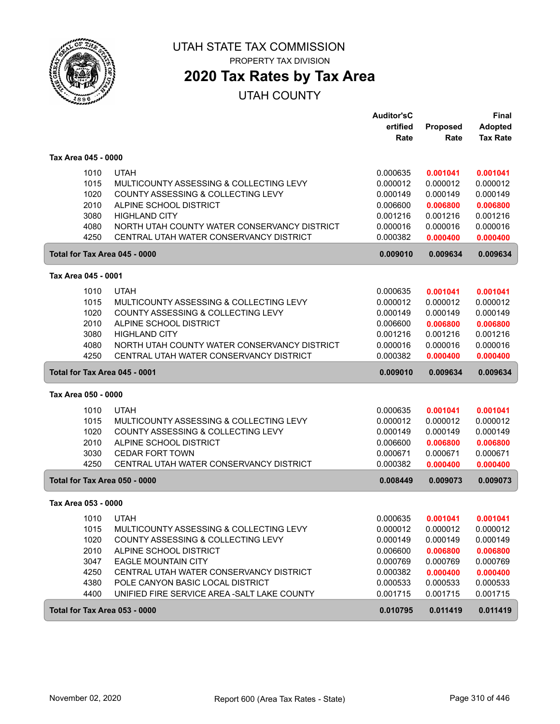

**2020 Tax Rates by Tax Area**

|                     |                                              | <b>Auditor'sC</b> |                         | <b>Final</b>                      |
|---------------------|----------------------------------------------|-------------------|-------------------------|-----------------------------------|
|                     |                                              | ertified<br>Rate  | <b>Proposed</b><br>Rate | <b>Adopted</b><br><b>Tax Rate</b> |
| Tax Area 045 - 0000 |                                              |                   |                         |                                   |
| 1010                | <b>UTAH</b>                                  | 0.000635          | 0.001041                | 0.001041                          |
| 1015                | MULTICOUNTY ASSESSING & COLLECTING LEVY      | 0.000012          | 0.000012                | 0.000012                          |
| 1020                | COUNTY ASSESSING & COLLECTING LEVY           | 0.000149          | 0.000149                | 0.000149                          |
| 2010                | ALPINE SCHOOL DISTRICT                       | 0.006600          | 0.006800                | 0.006800                          |
| 3080                | <b>HIGHLAND CITY</b>                         | 0.001216          | 0.001216                | 0.001216                          |
| 4080                | NORTH UTAH COUNTY WATER CONSERVANCY DISTRICT | 0.000016          | 0.000016                | 0.000016                          |
| 4250                | CENTRAL UTAH WATER CONSERVANCY DISTRICT      | 0.000382          | 0.000400                | 0.000400                          |
|                     | Total for Tax Area 045 - 0000                | 0.009010          | 0.009634                | 0.009634                          |
| Tax Area 045 - 0001 |                                              |                   |                         |                                   |
| 1010                | <b>UTAH</b>                                  | 0.000635          | 0.001041                | 0.001041                          |
| 1015                | MULTICOUNTY ASSESSING & COLLECTING LEVY      | 0.000012          | 0.000012                | 0.000012                          |
| 1020                | COUNTY ASSESSING & COLLECTING LEVY           | 0.000149          | 0.000149                | 0.000149                          |
| 2010                | ALPINE SCHOOL DISTRICT                       | 0.006600          | 0.006800                | 0.006800                          |
| 3080                | <b>HIGHLAND CITY</b>                         | 0.001216          | 0.001216                | 0.001216                          |
| 4080                | NORTH UTAH COUNTY WATER CONSERVANCY DISTRICT | 0.000016          | 0.000016                | 0.000016                          |
| 4250                | CENTRAL UTAH WATER CONSERVANCY DISTRICT      | 0.000382          | 0.000400                | 0.000400                          |
|                     | Total for Tax Area 045 - 0001                | 0.009010          | 0.009634                | 0.009634                          |
| Tax Area 050 - 0000 |                                              |                   |                         |                                   |
| 1010                | <b>UTAH</b>                                  | 0.000635          | 0.001041                | 0.001041                          |
| 1015                | MULTICOUNTY ASSESSING & COLLECTING LEVY      | 0.000012          | 0.000012                | 0.000012                          |
| 1020                | COUNTY ASSESSING & COLLECTING LEVY           | 0.000149          | 0.000149                | 0.000149                          |
| 2010                | ALPINE SCHOOL DISTRICT                       | 0.006600          | 0.006800                | 0.006800                          |
| 3030                | <b>CEDAR FORT TOWN</b>                       | 0.000671          | 0.000671                | 0.000671                          |
| 4250                | CENTRAL UTAH WATER CONSERVANCY DISTRICT      | 0.000382          | 0.000400                | 0.000400                          |
|                     | Total for Tax Area 050 - 0000                | 0.008449          | 0.009073                | 0.009073                          |
| Tax Area 053 - 0000 |                                              |                   |                         |                                   |
| 1010                | <b>UTAH</b>                                  | 0.000635          | 0.001041                | 0.001041                          |
| 1015                | MULTICOUNTY ASSESSING & COLLECTING LEVY      | 0.000012          | 0.000012                | 0.000012                          |
| 1020                | COUNTY ASSESSING & COLLECTING LEVY           | 0.000149          | 0.000149                | 0.000149                          |
| 2010                | ALPINE SCHOOL DISTRICT                       | 0.006600          | 0.006800                | 0.006800                          |
| 3047                | <b>EAGLE MOUNTAIN CITY</b>                   | 0.000769          | 0.000769                | 0.000769                          |
| 4250                | CENTRAL UTAH WATER CONSERVANCY DISTRICT      | 0.000382          | 0.000400                | 0.000400                          |
| 4380                | POLE CANYON BASIC LOCAL DISTRICT             | 0.000533          | 0.000533                | 0.000533                          |
| 4400                | UNIFIED FIRE SERVICE AREA - SALT LAKE COUNTY | 0.001715          | 0.001715                | 0.001715                          |
|                     | Total for Tax Area 053 - 0000                | 0.010795          | 0.011419                | 0.011419                          |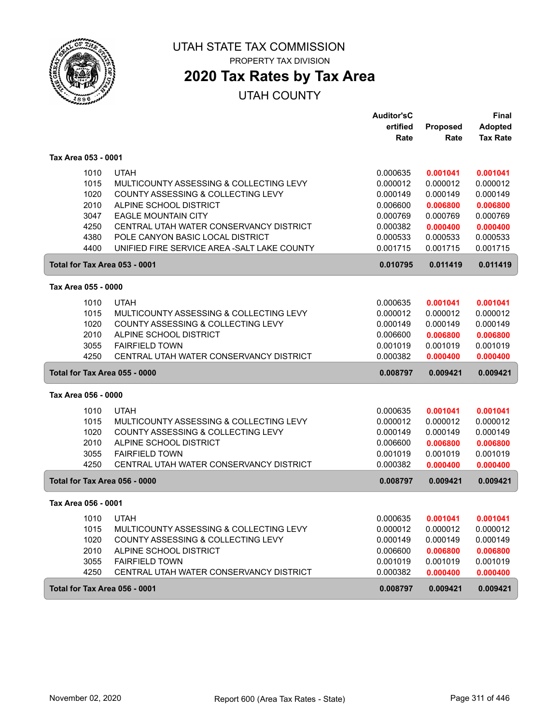

# **2020 Tax Rates by Tax Area**

|                               |                                              | <b>Auditor'sC</b>    |                      | Final                |
|-------------------------------|----------------------------------------------|----------------------|----------------------|----------------------|
|                               |                                              | ertified             | Proposed             | <b>Adopted</b>       |
|                               |                                              | Rate                 | Rate                 | <b>Tax Rate</b>      |
| Tax Area 053 - 0001           |                                              |                      |                      |                      |
| 1010                          | <b>UTAH</b>                                  | 0.000635             | 0.001041             | 0.001041             |
| 1015                          | MULTICOUNTY ASSESSING & COLLECTING LEVY      | 0.000012             | 0.000012             | 0.000012             |
| 1020                          | COUNTY ASSESSING & COLLECTING LEVY           | 0.000149             | 0.000149             | 0.000149             |
| 2010                          | ALPINE SCHOOL DISTRICT                       | 0.006600             | 0.006800             | 0.006800             |
| 3047                          | <b>EAGLE MOUNTAIN CITY</b>                   | 0.000769             | 0.000769             | 0.000769             |
| 4250                          | CENTRAL UTAH WATER CONSERVANCY DISTRICT      | 0.000382             | 0.000400             | 0.000400             |
| 4380                          | POLE CANYON BASIC LOCAL DISTRICT             | 0.000533             | 0.000533             | 0.000533             |
| 4400                          | UNIFIED FIRE SERVICE AREA - SALT LAKE COUNTY | 0.001715             | 0.001715             | 0.001715             |
| Total for Tax Area 053 - 0001 |                                              | 0.010795             | 0.011419             | 0.011419             |
| Tax Area 055 - 0000           |                                              |                      |                      |                      |
| 1010                          | <b>UTAH</b>                                  | 0.000635             | 0.001041             | 0.001041             |
| 1015                          | MULTICOUNTY ASSESSING & COLLECTING LEVY      | 0.000012             | 0.000012             | 0.000012             |
| 1020                          | COUNTY ASSESSING & COLLECTING LEVY           | 0.000149             | 0.000149             | 0.000149             |
| 2010                          | ALPINE SCHOOL DISTRICT                       | 0.006600             | 0.006800             | 0.006800             |
| 3055                          | <b>FAIRFIELD TOWN</b>                        | 0.001019             | 0.001019             | 0.001019             |
| 4250                          | CENTRAL UTAH WATER CONSERVANCY DISTRICT      | 0.000382             | 0.000400             | 0.000400             |
| Total for Tax Area 055 - 0000 |                                              | 0.008797             | 0.009421             | 0.009421             |
| Tax Area 056 - 0000           |                                              |                      |                      |                      |
|                               | <b>UTAH</b>                                  |                      |                      |                      |
| 1010<br>1015                  | MULTICOUNTY ASSESSING & COLLECTING LEVY      | 0.000635<br>0.000012 | 0.001041<br>0.000012 | 0.001041<br>0.000012 |
| 1020                          | COUNTY ASSESSING & COLLECTING LEVY           | 0.000149             | 0.000149             | 0.000149             |
| 2010                          | ALPINE SCHOOL DISTRICT                       | 0.006600             | 0.006800             | 0.006800             |
| 3055                          | <b>FAIRFIELD TOWN</b>                        | 0.001019             | 0.001019             | 0.001019             |
| 4250                          | CENTRAL UTAH WATER CONSERVANCY DISTRICT      | 0.000382             | 0.000400             | 0.000400             |
| Total for Tax Area 056 - 0000 |                                              | 0.008797             | 0.009421             | 0.009421             |
| Tax Area 056 - 0001           |                                              |                      |                      |                      |
| 1010                          | <b>UTAH</b>                                  | 0.000635             | 0.001041             | 0.001041             |
| 1015                          | MULTICOUNTY ASSESSING & COLLECTING LEVY      | 0.000012             | 0.000012             | 0.000012             |
| 1020                          | COUNTY ASSESSING & COLLECTING LEVY           | 0.000149             | 0.000149             | 0.000149             |
| 2010                          | ALPINE SCHOOL DISTRICT                       | 0.006600             | 0.006800             | 0.006800             |
| 3055                          | <b>FAIRFIELD TOWN</b>                        | 0.001019             | 0.001019             | 0.001019             |
| 4250                          | CENTRAL UTAH WATER CONSERVANCY DISTRICT      | 0.000382             | 0.000400             | 0.000400             |
| Total for Tax Area 056 - 0001 |                                              | 0.008797             | 0.009421             | 0.009421             |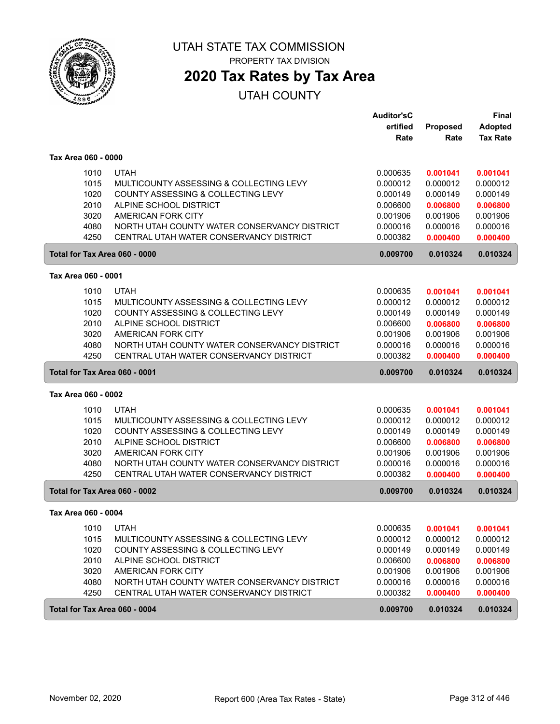

## **2020 Tax Rates by Tax Area**

|                     |      |                                              | <b>Auditor'sC</b>    |          | <b>Final</b>    |
|---------------------|------|----------------------------------------------|----------------------|----------|-----------------|
|                     |      |                                              | ertified             | Proposed | <b>Adopted</b>  |
|                     |      |                                              | Rate                 | Rate     | <b>Tax Rate</b> |
| Tax Area 060 - 0000 |      |                                              |                      |          |                 |
|                     | 1010 | <b>UTAH</b>                                  | 0.000635             | 0.001041 | 0.001041        |
|                     | 1015 | MULTICOUNTY ASSESSING & COLLECTING LEVY      | 0.000012             | 0.000012 | 0.000012        |
|                     | 1020 | COUNTY ASSESSING & COLLECTING LEVY           | 0.000149             | 0.000149 | 0.000149        |
|                     | 2010 | ALPINE SCHOOL DISTRICT                       | 0.006600             | 0.006800 | 0.006800        |
|                     | 3020 | AMERICAN FORK CITY                           | 0.001906             | 0.001906 | 0.001906        |
|                     | 4080 | NORTH UTAH COUNTY WATER CONSERVANCY DISTRICT | 0.000016             | 0.000016 | 0.000016        |
|                     | 4250 | CENTRAL UTAH WATER CONSERVANCY DISTRICT      | 0.000382             | 0.000400 | 0.000400        |
|                     |      | Total for Tax Area 060 - 0000                | 0.009700             | 0.010324 | 0.010324        |
| Tax Area 060 - 0001 |      |                                              |                      |          |                 |
|                     | 1010 | <b>UTAH</b>                                  | 0.000635             | 0.001041 | 0.001041        |
|                     | 1015 | MULTICOUNTY ASSESSING & COLLECTING LEVY      | 0.000012             | 0.000012 | 0.000012        |
|                     | 1020 | COUNTY ASSESSING & COLLECTING LEVY           | 0.000149             | 0.000149 | 0.000149        |
|                     | 2010 | ALPINE SCHOOL DISTRICT                       | 0.006600             | 0.006800 | 0.006800        |
|                     | 3020 | AMERICAN FORK CITY                           | 0.001906             | 0.001906 | 0.001906        |
|                     | 4080 | NORTH UTAH COUNTY WATER CONSERVANCY DISTRICT | 0.000016             | 0.000016 | 0.000016        |
|                     | 4250 | CENTRAL UTAH WATER CONSERVANCY DISTRICT      | 0.000382             | 0.000400 | 0.000400        |
|                     |      |                                              |                      |          |                 |
|                     |      | Total for Tax Area 060 - 0001                | 0.009700             | 0.010324 | 0.010324        |
| Tax Area 060 - 0002 |      |                                              |                      |          |                 |
|                     | 1010 | <b>UTAH</b>                                  |                      | 0.001041 | 0.001041        |
|                     | 1015 | MULTICOUNTY ASSESSING & COLLECTING LEVY      | 0.000635<br>0.000012 | 0.000012 | 0.000012        |
|                     | 1020 | COUNTY ASSESSING & COLLECTING LEVY           | 0.000149             | 0.000149 | 0.000149        |
|                     | 2010 | ALPINE SCHOOL DISTRICT                       | 0.006600             | 0.006800 | 0.006800        |
|                     | 3020 | AMERICAN FORK CITY                           | 0.001906             | 0.001906 | 0.001906        |
|                     | 4080 | NORTH UTAH COUNTY WATER CONSERVANCY DISTRICT | 0.000016             | 0.000016 | 0.000016        |
|                     | 4250 | CENTRAL UTAH WATER CONSERVANCY DISTRICT      | 0.000382             | 0.000400 | 0.000400        |
|                     |      | Total for Tax Area 060 - 0002                | 0.009700             | 0.010324 | 0.010324        |
| Tax Area 060 - 0004 |      |                                              |                      |          |                 |
|                     | 1010 | <b>UTAH</b>                                  | 0.000635             | 0.001041 | 0.001041        |
|                     | 1015 | MULTICOUNTY ASSESSING & COLLECTING LEVY      | 0.000012             | 0.000012 | 0.000012        |
|                     | 1020 | COUNTY ASSESSING & COLLECTING LEVY           | 0.000149             | 0.000149 | 0.000149        |
|                     | 2010 | ALPINE SCHOOL DISTRICT                       | 0.006600             | 0.006800 | 0.006800        |
|                     | 3020 | AMERICAN FORK CITY                           | 0.001906             | 0.001906 | 0.001906        |
|                     | 4080 | NORTH UTAH COUNTY WATER CONSERVANCY DISTRICT | 0.000016             | 0.000016 | 0.000016        |
|                     | 4250 | CENTRAL UTAH WATER CONSERVANCY DISTRICT      | 0.000382             | 0.000400 | 0.000400        |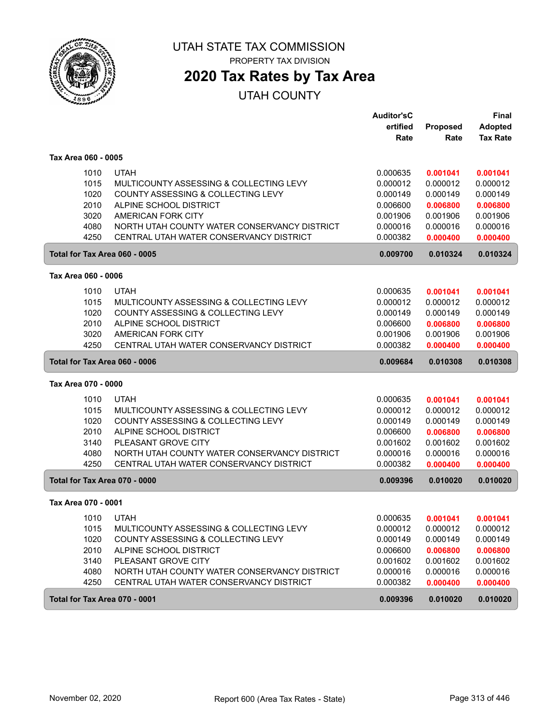

## **2020 Tax Rates by Tax Area**

|                               |                                              | <b>Auditor'sC</b> |          | <b>Final</b>    |
|-------------------------------|----------------------------------------------|-------------------|----------|-----------------|
|                               |                                              | ertified          | Proposed | <b>Adopted</b>  |
|                               |                                              | Rate              | Rate     | <b>Tax Rate</b> |
| Tax Area 060 - 0005           |                                              |                   |          |                 |
| 1010                          | <b>UTAH</b>                                  | 0.000635          | 0.001041 | 0.001041        |
| 1015                          | MULTICOUNTY ASSESSING & COLLECTING LEVY      | 0.000012          | 0.000012 | 0.000012        |
| 1020                          | COUNTY ASSESSING & COLLECTING LEVY           | 0.000149          | 0.000149 | 0.000149        |
| 2010                          | ALPINE SCHOOL DISTRICT                       | 0.006600          | 0.006800 | 0.006800        |
| 3020                          | AMERICAN FORK CITY                           | 0.001906          | 0.001906 | 0.001906        |
| 4080                          | NORTH UTAH COUNTY WATER CONSERVANCY DISTRICT | 0.000016          | 0.000016 | 0.000016        |
| 4250                          | CENTRAL UTAH WATER CONSERVANCY DISTRICT      | 0.000382          | 0.000400 | 0.000400        |
| Total for Tax Area 060 - 0005 |                                              | 0.009700          | 0.010324 | 0.010324        |
| Tax Area 060 - 0006           |                                              |                   |          |                 |
| 1010                          | <b>UTAH</b>                                  | 0.000635          | 0.001041 | 0.001041        |
| 1015                          | MULTICOUNTY ASSESSING & COLLECTING LEVY      | 0.000012          | 0.000012 | 0.000012        |
| 1020                          | COUNTY ASSESSING & COLLECTING LEVY           | 0.000149          | 0.000149 | 0.000149        |
| 2010                          | ALPINE SCHOOL DISTRICT                       | 0.006600          | 0.006800 | 0.006800        |
| 3020                          | AMERICAN FORK CITY                           | 0.001906          | 0.001906 | 0.001906        |
| 4250                          | CENTRAL UTAH WATER CONSERVANCY DISTRICT      | 0.000382          | 0.000400 | 0.000400        |
|                               |                                              |                   |          |                 |
| Total for Tax Area 060 - 0006 |                                              | 0.009684          | 0.010308 | 0.010308        |
| Tax Area 070 - 0000           |                                              |                   |          |                 |
| 1010                          | <b>UTAH</b>                                  | 0.000635          | 0.001041 | 0.001041        |
| 1015                          | MULTICOUNTY ASSESSING & COLLECTING LEVY      | 0.000012          | 0.000012 | 0.000012        |
| 1020                          | COUNTY ASSESSING & COLLECTING LEVY           | 0.000149          | 0.000149 | 0.000149        |
| 2010                          | ALPINE SCHOOL DISTRICT                       | 0.006600          | 0.006800 | 0.006800        |
| 3140                          | PLEASANT GROVE CITY                          | 0.001602          | 0.001602 | 0.001602        |
| 4080                          | NORTH UTAH COUNTY WATER CONSERVANCY DISTRICT | 0.000016          | 0.000016 | 0.000016        |
| 4250                          | CENTRAL UTAH WATER CONSERVANCY DISTRICT      | 0.000382          | 0.000400 | 0.000400        |
| Total for Tax Area 070 - 0000 |                                              | 0.009396          | 0.010020 | 0.010020        |
| Tax Area 070 - 0001           |                                              |                   |          |                 |
| 1010                          | <b>UTAH</b>                                  | 0.000635          | 0.001041 | 0.001041        |
| 1015                          | MULTICOUNTY ASSESSING & COLLECTING LEVY      | 0.000012          | 0.000012 | 0.000012        |
| 1020                          | COUNTY ASSESSING & COLLECTING LEVY           | 0.000149          | 0.000149 | 0.000149        |
| 2010                          | ALPINE SCHOOL DISTRICT                       | 0.006600          | 0.006800 | 0.006800        |
| 3140                          | PLEASANT GROVE CITY                          | 0.001602          | 0.001602 | 0.001602        |
| 4080                          | NORTH UTAH COUNTY WATER CONSERVANCY DISTRICT | 0.000016          | 0.000016 | 0.000016        |
| 4250                          | CENTRAL UTAH WATER CONSERVANCY DISTRICT      | 0.000382          | 0.000400 | 0.000400        |
| Total for Tax Area 070 - 0001 |                                              | 0.009396          | 0.010020 | 0.010020        |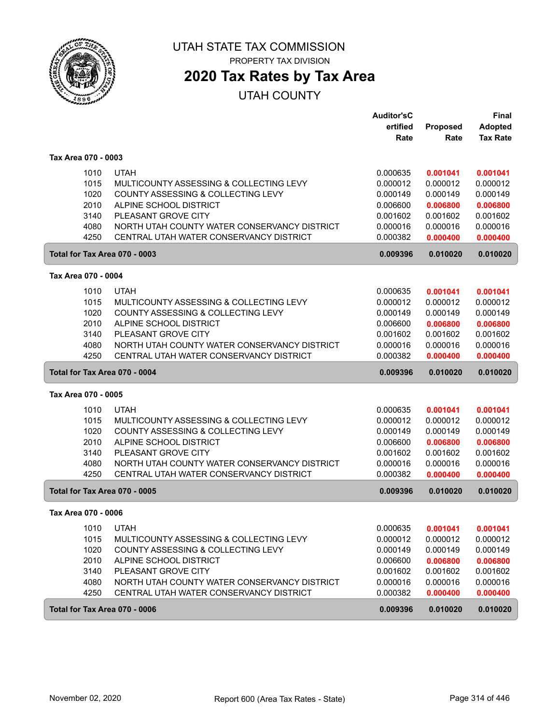

## **2020 Tax Rates by Tax Area**

|                               |                                                      | <b>Auditor'sC</b> |          | <b>Final</b>    |
|-------------------------------|------------------------------------------------------|-------------------|----------|-----------------|
|                               |                                                      | ertified          | Proposed | <b>Adopted</b>  |
|                               |                                                      | Rate              | Rate     | <b>Tax Rate</b> |
| Tax Area 070 - 0003           |                                                      |                   |          |                 |
|                               | <b>UTAH</b><br>1010                                  | 0.000635          | 0.001041 | 0.001041        |
|                               | 1015<br>MULTICOUNTY ASSESSING & COLLECTING LEVY      | 0.000012          | 0.000012 | 0.000012        |
|                               | 1020<br>COUNTY ASSESSING & COLLECTING LEVY           | 0.000149          | 0.000149 | 0.000149        |
|                               | 2010<br>ALPINE SCHOOL DISTRICT                       | 0.006600          | 0.006800 | 0.006800        |
|                               | 3140<br>PLEASANT GROVE CITY                          | 0.001602          | 0.001602 | 0.001602        |
|                               | 4080<br>NORTH UTAH COUNTY WATER CONSERVANCY DISTRICT | 0.000016          | 0.000016 | 0.000016        |
|                               | 4250<br>CENTRAL UTAH WATER CONSERVANCY DISTRICT      | 0.000382          | 0.000400 | 0.000400        |
|                               | Total for Tax Area 070 - 0003                        | 0.009396          | 0.010020 | 0.010020        |
| Tax Area 070 - 0004           |                                                      |                   |          |                 |
|                               | 1010<br><b>UTAH</b>                                  | 0.000635          | 0.001041 | 0.001041        |
|                               | 1015<br>MULTICOUNTY ASSESSING & COLLECTING LEVY      | 0.000012          | 0.000012 | 0.000012        |
|                               | 1020<br>COUNTY ASSESSING & COLLECTING LEVY           | 0.000149          | 0.000149 | 0.000149        |
|                               | 2010<br>ALPINE SCHOOL DISTRICT                       | 0.006600          | 0.006800 | 0.006800        |
|                               | 3140<br>PLEASANT GROVE CITY                          | 0.001602          | 0.001602 | 0.001602        |
|                               | 4080<br>NORTH UTAH COUNTY WATER CONSERVANCY DISTRICT | 0.000016          | 0.000016 | 0.000016        |
|                               | 4250<br>CENTRAL UTAH WATER CONSERVANCY DISTRICT      | 0.000382          | 0.000400 | 0.000400        |
|                               | Total for Tax Area 070 - 0004                        | 0.009396          | 0.010020 | 0.010020        |
| Tax Area 070 - 0005           |                                                      |                   |          |                 |
|                               | <b>UTAH</b><br>1010                                  | 0.000635          | 0.001041 | 0.001041        |
|                               | 1015<br>MULTICOUNTY ASSESSING & COLLECTING LEVY      | 0.000012          | 0.000012 | 0.000012        |
|                               | 1020<br>COUNTY ASSESSING & COLLECTING LEVY           | 0.000149          | 0.000149 | 0.000149        |
|                               | 2010<br>ALPINE SCHOOL DISTRICT                       | 0.006600          | 0.006800 | 0.006800        |
|                               | PLEASANT GROVE CITY<br>3140                          | 0.001602          | 0.001602 | 0.001602        |
|                               | 4080<br>NORTH UTAH COUNTY WATER CONSERVANCY DISTRICT | 0.000016          | 0.000016 | 0.000016        |
|                               | 4250<br>CENTRAL UTAH WATER CONSERVANCY DISTRICT      | 0.000382          | 0.000400 | 0.000400        |
|                               | Total for Tax Area 070 - 0005                        | 0.009396          | 0.010020 | 0.010020        |
| Tax Area 070 - 0006           |                                                      |                   |          |                 |
|                               | 1010<br><b>UTAH</b>                                  | 0.000635          | 0.001041 | 0.001041        |
|                               | 1015<br>MULTICOUNTY ASSESSING & COLLECTING LEVY      | 0.000012          | 0.000012 | 0.000012        |
|                               | 1020<br>COUNTY ASSESSING & COLLECTING LEVY           | 0.000149          | 0.000149 | 0.000149        |
|                               | 2010<br>ALPINE SCHOOL DISTRICT                       | 0.006600          | 0.006800 | 0.006800        |
|                               | 3140<br>PLEASANT GROVE CITY                          | 0.001602          | 0.001602 | 0.001602        |
|                               | 4080<br>NORTH UTAH COUNTY WATER CONSERVANCY DISTRICT | 0.000016          | 0.000016 | 0.000016        |
|                               | 4250<br>CENTRAL UTAH WATER CONSERVANCY DISTRICT      | 0.000382          | 0.000400 | 0.000400        |
| Total for Tax Area 070 - 0006 |                                                      | 0.009396          |          |                 |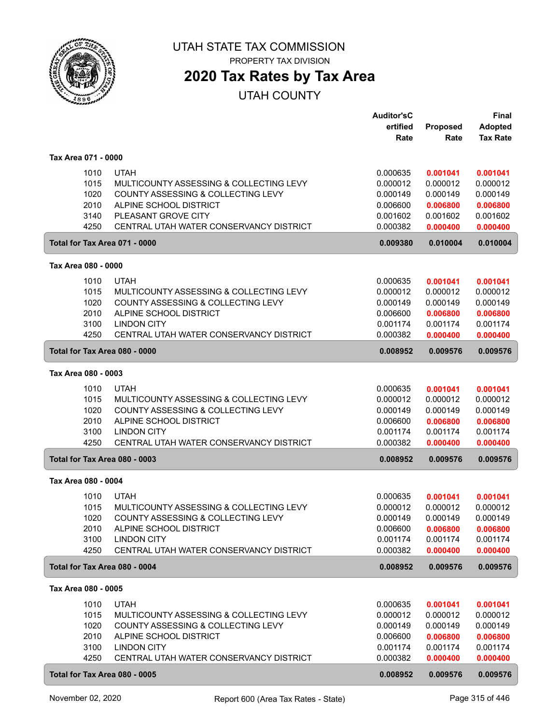

## **2020 Tax Rates by Tax Area**

|                                                                               |                                                                                                                                                                                          | <b>Auditor'sC</b><br>ertified<br>Rate                                            | Proposed<br>Rate                                                                 | <b>Final</b><br><b>Adopted</b><br><b>Tax Rate</b>                                |
|-------------------------------------------------------------------------------|------------------------------------------------------------------------------------------------------------------------------------------------------------------------------------------|----------------------------------------------------------------------------------|----------------------------------------------------------------------------------|----------------------------------------------------------------------------------|
| Tax Area 071 - 0000                                                           |                                                                                                                                                                                          |                                                                                  |                                                                                  |                                                                                  |
| 1010<br>1015<br>1020<br>2010<br>3140<br>4250                                  | <b>UTAH</b><br>MULTICOUNTY ASSESSING & COLLECTING LEVY<br>COUNTY ASSESSING & COLLECTING LEVY<br>ALPINE SCHOOL DISTRICT<br>PLEASANT GROVE CITY<br>CENTRAL UTAH WATER CONSERVANCY DISTRICT | 0.000635<br>0.000012<br>0.000149<br>0.006600<br>0.001602<br>0.000382             | 0.001041<br>0.000012<br>0.000149<br>0.006800<br>0.001602<br>0.000400             | 0.001041<br>0.000012<br>0.000149<br>0.006800<br>0.001602<br>0.000400             |
| Total for Tax Area 071 - 0000                                                 |                                                                                                                                                                                          | 0.009380                                                                         | 0.010004                                                                         | 0.010004                                                                         |
| Tax Area 080 - 0000                                                           |                                                                                                                                                                                          |                                                                                  |                                                                                  |                                                                                  |
| 1010<br>1015<br>1020<br>2010<br>3100<br>4250                                  | <b>UTAH</b><br>MULTICOUNTY ASSESSING & COLLECTING LEVY<br>COUNTY ASSESSING & COLLECTING LEVY<br>ALPINE SCHOOL DISTRICT<br><b>LINDON CITY</b><br>CENTRAL UTAH WATER CONSERVANCY DISTRICT  | 0.000635<br>0.000012<br>0.000149<br>0.006600<br>0.001174<br>0.000382             | 0.001041<br>0.000012<br>0.000149<br>0.006800<br>0.001174<br>0.000400             | 0.001041<br>0.000012<br>0.000149<br>0.006800<br>0.001174<br>0.000400             |
| Total for Tax Area 080 - 0000                                                 |                                                                                                                                                                                          | 0.008952                                                                         | 0.009576                                                                         | 0.009576                                                                         |
| Tax Area 080 - 0003                                                           |                                                                                                                                                                                          |                                                                                  |                                                                                  |                                                                                  |
| 1010<br>1015<br>1020<br>2010<br>3100<br>4250                                  | <b>UTAH</b><br>MULTICOUNTY ASSESSING & COLLECTING LEVY<br>COUNTY ASSESSING & COLLECTING LEVY<br>ALPINE SCHOOL DISTRICT<br><b>LINDON CITY</b><br>CENTRAL UTAH WATER CONSERVANCY DISTRICT  | 0.000635<br>0.000012<br>0.000149<br>0.006600<br>0.001174<br>0.000382             | 0.001041<br>0.000012<br>0.000149<br>0.006800<br>0.001174<br>0.000400             | 0.001041<br>0.000012<br>0.000149<br>0.006800<br>0.001174<br>0.000400             |
| Total for Tax Area 080 - 0003                                                 |                                                                                                                                                                                          | 0.008952                                                                         | 0.009576                                                                         | 0.009576                                                                         |
| Tax Area 080 - 0004                                                           |                                                                                                                                                                                          |                                                                                  |                                                                                  |                                                                                  |
| 1010<br>1015<br>1020<br>2010<br>3100<br>4250                                  | <b>UTAH</b><br>MULTICOUNTY ASSESSING & COLLECTING LEVY<br>COUNTY ASSESSING & COLLECTING LEVY<br>ALPINE SCHOOL DISTRICT<br><b>LINDON CITY</b><br>CENTRAL UTAH WATER CONSERVANCY DISTRICT  | 0.000635<br>0.000012<br>0.000149<br>0.006600<br>0.001174<br>0.000382             | 0.001041<br>0.000012<br>0.000149<br>0.006800<br>0.001174<br>0.000400             | 0.001041<br>0.000012<br>0.000149<br>0.006800<br>0.001174<br>0.000400             |
| Total for Tax Area 080 - 0004                                                 |                                                                                                                                                                                          | 0.008952                                                                         | 0.009576                                                                         | 0.009576                                                                         |
| Tax Area 080 - 0005                                                           |                                                                                                                                                                                          |                                                                                  |                                                                                  |                                                                                  |
| 1010<br>1015<br>1020<br>2010<br>3100<br>4250<br>Total for Tax Area 080 - 0005 | <b>UTAH</b><br>MULTICOUNTY ASSESSING & COLLECTING LEVY<br>COUNTY ASSESSING & COLLECTING LEVY<br>ALPINE SCHOOL DISTRICT<br><b>LINDON CITY</b><br>CENTRAL UTAH WATER CONSERVANCY DISTRICT  | 0.000635<br>0.000012<br>0.000149<br>0.006600<br>0.001174<br>0.000382<br>0.008952 | 0.001041<br>0.000012<br>0.000149<br>0.006800<br>0.001174<br>0.000400<br>0.009576 | 0.001041<br>0.000012<br>0.000149<br>0.006800<br>0.001174<br>0.000400<br>0.009576 |
|                                                                               |                                                                                                                                                                                          |                                                                                  |                                                                                  |                                                                                  |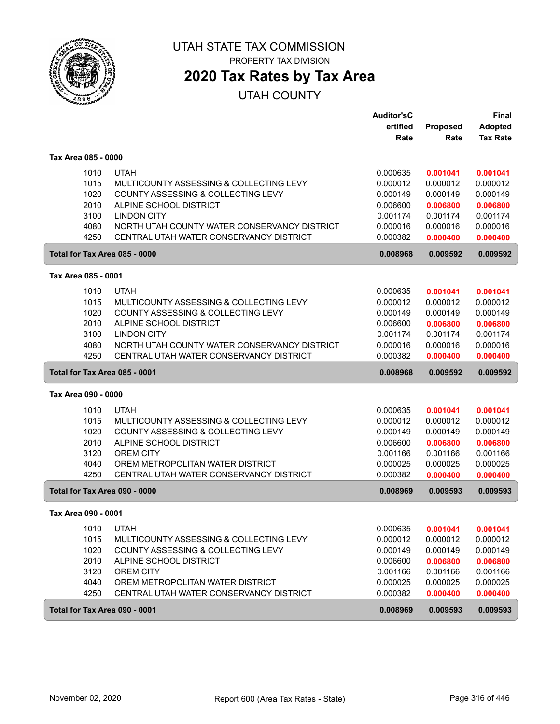

# **2020 Tax Rates by Tax Area**

|                     |                                                                                               | <b>Auditor'sC</b>    |                      | <b>Final</b>         |
|---------------------|-----------------------------------------------------------------------------------------------|----------------------|----------------------|----------------------|
|                     |                                                                                               | ertified             | Proposed             | <b>Adopted</b>       |
|                     |                                                                                               | Rate                 | Rate                 | <b>Tax Rate</b>      |
| Tax Area 085 - 0000 |                                                                                               |                      |                      |                      |
|                     | <b>UTAH</b><br>1010                                                                           | 0.000635             | 0.001041             | 0.001041             |
|                     | 1015<br>MULTICOUNTY ASSESSING & COLLECTING LEVY                                               | 0.000012             | 0.000012             | 0.000012             |
|                     | 1020<br>COUNTY ASSESSING & COLLECTING LEVY                                                    | 0.000149             | 0.000149             | 0.000149             |
|                     | 2010<br>ALPINE SCHOOL DISTRICT                                                                | 0.006600             | 0.006800             | 0.006800             |
|                     | 3100<br><b>LINDON CITY</b>                                                                    | 0.001174             | 0.001174             | 0.001174             |
|                     | 4080<br>NORTH UTAH COUNTY WATER CONSERVANCY DISTRICT                                          | 0.000016             | 0.000016             | 0.000016             |
|                     | 4250<br>CENTRAL UTAH WATER CONSERVANCY DISTRICT                                               | 0.000382             | 0.000400             | 0.000400             |
|                     | Total for Tax Area 085 - 0000                                                                 | 0.008968             | 0.009592             | 0.009592             |
| Tax Area 085 - 0001 |                                                                                               |                      |                      |                      |
|                     | 1010<br><b>UTAH</b>                                                                           | 0.000635             | 0.001041             | 0.001041             |
|                     | 1015<br>MULTICOUNTY ASSESSING & COLLECTING LEVY                                               | 0.000012             | 0.000012             | 0.000012             |
|                     | 1020<br>COUNTY ASSESSING & COLLECTING LEVY                                                    | 0.000149             | 0.000149             | 0.000149             |
|                     | 2010<br>ALPINE SCHOOL DISTRICT                                                                | 0.006600             | 0.006800             | 0.006800             |
|                     | 3100<br><b>LINDON CITY</b>                                                                    | 0.001174             | 0.001174             | 0.001174             |
|                     | 4080<br>NORTH UTAH COUNTY WATER CONSERVANCY DISTRICT                                          | 0.000016             | 0.000016             | 0.000016             |
|                     | 4250<br>CENTRAL UTAH WATER CONSERVANCY DISTRICT                                               | 0.000382             | 0.000400             | 0.000400             |
|                     | Total for Tax Area 085 - 0001                                                                 | 0.008968             | 0.009592             | 0.009592             |
| Tax Area 090 - 0000 |                                                                                               |                      |                      |                      |
|                     |                                                                                               |                      |                      |                      |
|                     |                                                                                               |                      |                      |                      |
|                     | <b>UTAH</b><br>1010                                                                           | 0.000635<br>0.000012 | 0.001041<br>0.000012 | 0.001041             |
|                     | 1015<br>MULTICOUNTY ASSESSING & COLLECTING LEVY<br>1020<br>COUNTY ASSESSING & COLLECTING LEVY | 0.000149             | 0.000149             | 0.000012<br>0.000149 |
|                     | 2010<br>ALPINE SCHOOL DISTRICT                                                                | 0.006600             | 0.006800             | 0.006800             |
|                     | 3120<br><b>OREM CITY</b>                                                                      | 0.001166             | 0.001166             | 0.001166             |
|                     | 4040<br>OREM METROPOLITAN WATER DISTRICT                                                      | 0.000025             | 0.000025             | 0.000025             |
|                     | 4250<br>CENTRAL UTAH WATER CONSERVANCY DISTRICT                                               | 0.000382             | 0.000400             | 0.000400             |
|                     | Total for Tax Area 090 - 0000                                                                 | 0.008969             | 0.009593             | 0.009593             |
| Tax Area 090 - 0001 |                                                                                               |                      |                      |                      |
|                     | <b>UTAH</b>                                                                                   |                      |                      |                      |
|                     | 1010<br>1015<br>MULTICOUNTY ASSESSING & COLLECTING LEVY                                       | 0.000635<br>0.000012 | 0.001041<br>0.000012 | 0.001041<br>0.000012 |
|                     | 1020<br>COUNTY ASSESSING & COLLECTING LEVY                                                    | 0.000149             | 0.000149             | 0.000149             |
|                     | 2010<br>ALPINE SCHOOL DISTRICT                                                                | 0.006600             | 0.006800             | 0.006800             |
|                     | 3120<br><b>OREM CITY</b>                                                                      | 0.001166             | 0.001166             | 0.001166             |
|                     | 4040<br>OREM METROPOLITAN WATER DISTRICT                                                      | 0.000025             | 0.000025             | 0.000025             |
|                     | 4250<br>CENTRAL UTAH WATER CONSERVANCY DISTRICT                                               | 0.000382             | 0.000400             | 0.000400             |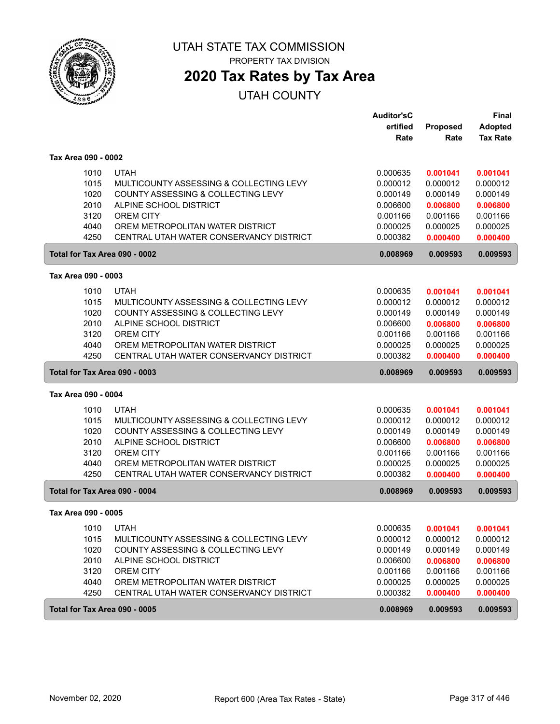

# UTAH STATE TAX COMMISSION

PROPERTY TAX DIVISION

## **2020 Tax Rates by Tax Area**

|                     |                                         | <b>Auditor'sC</b> |          | <b>Final</b>    |
|---------------------|-----------------------------------------|-------------------|----------|-----------------|
|                     |                                         | ertified          | Proposed | <b>Adopted</b>  |
|                     |                                         | Rate              | Rate     | <b>Tax Rate</b> |
| Tax Area 090 - 0002 |                                         |                   |          |                 |
| 1010                | <b>UTAH</b>                             | 0.000635          | 0.001041 | 0.001041        |
| 1015                | MULTICOUNTY ASSESSING & COLLECTING LEVY | 0.000012          | 0.000012 | 0.000012        |
| 1020                | COUNTY ASSESSING & COLLECTING LEVY      | 0.000149          | 0.000149 | 0.000149        |
| 2010                | ALPINE SCHOOL DISTRICT                  | 0.006600          | 0.006800 | 0.006800        |
| 3120                | <b>OREM CITY</b>                        | 0.001166          | 0.001166 | 0.001166        |
| 4040                | OREM METROPOLITAN WATER DISTRICT        | 0.000025          | 0.000025 | 0.000025        |
| 4250                | CENTRAL UTAH WATER CONSERVANCY DISTRICT | 0.000382          | 0.000400 | 0.000400        |
|                     | Total for Tax Area 090 - 0002           | 0.008969          | 0.009593 | 0.009593        |
| Tax Area 090 - 0003 |                                         |                   |          |                 |
| 1010                | <b>UTAH</b>                             | 0.000635          | 0.001041 | 0.001041        |
| 1015                | MULTICOUNTY ASSESSING & COLLECTING LEVY | 0.000012          | 0.000012 | 0.000012        |
| 1020                | COUNTY ASSESSING & COLLECTING LEVY      | 0.000149          | 0.000149 | 0.000149        |
| 2010                | ALPINE SCHOOL DISTRICT                  | 0.006600          | 0.006800 | 0.006800        |
| 3120                | <b>OREM CITY</b>                        | 0.001166          | 0.001166 | 0.001166        |
| 4040                | OREM METROPOLITAN WATER DISTRICT        | 0.000025          | 0.000025 | 0.000025        |
| 4250                | CENTRAL UTAH WATER CONSERVANCY DISTRICT | 0.000382          | 0.000400 | 0.000400        |
|                     | Total for Tax Area 090 - 0003           | 0.008969          | 0.009593 | 0.009593        |
| Tax Area 090 - 0004 |                                         |                   |          |                 |
| 1010                | <b>UTAH</b>                             | 0.000635          | 0.001041 | 0.001041        |
| 1015                | MULTICOUNTY ASSESSING & COLLECTING LEVY | 0.000012          | 0.000012 | 0.000012        |
| 1020                | COUNTY ASSESSING & COLLECTING LEVY      | 0.000149          | 0.000149 | 0.000149        |
| 2010                | ALPINE SCHOOL DISTRICT                  | 0.006600          | 0.006800 | 0.006800        |
| 3120                | <b>OREM CITY</b>                        | 0.001166          | 0.001166 | 0.001166        |
| 4040                | OREM METROPOLITAN WATER DISTRICT        | 0.000025          | 0.000025 | 0.000025        |
| 4250                | CENTRAL UTAH WATER CONSERVANCY DISTRICT | 0.000382          | 0.000400 | 0.000400        |
|                     | Total for Tax Area 090 - 0004           | 0.008969          | 0.009593 | 0.009593        |
| Tax Area 090 - 0005 |                                         |                   |          |                 |
| 1010                | <b>UTAH</b>                             | 0.000635          | 0.001041 | 0.001041        |
| 1015                | MULTICOUNTY ASSESSING & COLLECTING LEVY | 0.000012          | 0.000012 | 0.000012        |
| 1020                | COUNTY ASSESSING & COLLECTING LEVY      | 0.000149          | 0.000149 | 0.000149        |
| 2010                | ALPINE SCHOOL DISTRICT                  | 0.006600          | 0.006800 | 0.006800        |
| 3120                | OREM CITY                               | 0.001166          | 0.001166 | 0.001166        |
| 4040                | OREM METROPOLITAN WATER DISTRICT        | 0.000025          | 0.000025 | 0.000025        |
| 4250                | CENTRAL UTAH WATER CONSERVANCY DISTRICT | 0.000382          | 0.000400 | 0.000400        |
|                     | Total for Tax Area 090 - 0005           | 0.008969          | 0.009593 | 0.009593        |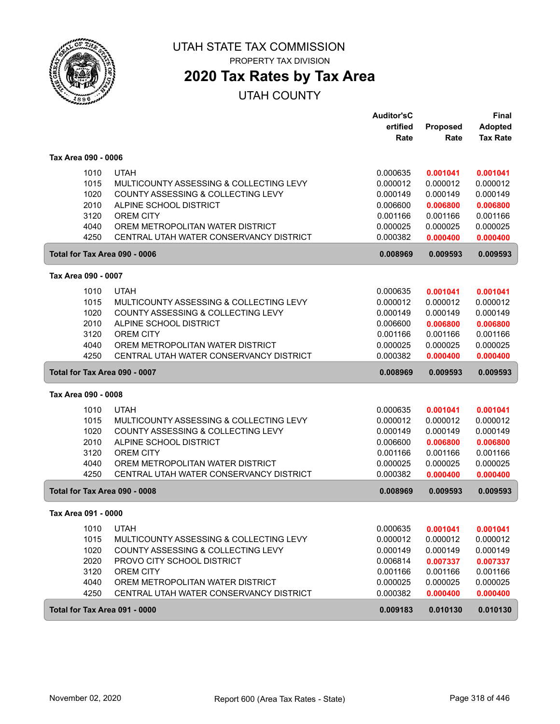

# UTAH STATE TAX COMMISSION

PROPERTY TAX DIVISION

# **2020 Tax Rates by Tax Area**

|                     |                                         | <b>Auditor'sC</b> |          | <b>Final</b>    |
|---------------------|-----------------------------------------|-------------------|----------|-----------------|
|                     |                                         | ertified          | Proposed | <b>Adopted</b>  |
|                     |                                         | Rate              | Rate     | <b>Tax Rate</b> |
| Tax Area 090 - 0006 |                                         |                   |          |                 |
| 1010                | <b>UTAH</b>                             | 0.000635          | 0.001041 | 0.001041        |
| 1015                | MULTICOUNTY ASSESSING & COLLECTING LEVY | 0.000012          | 0.000012 | 0.000012        |
| 1020                | COUNTY ASSESSING & COLLECTING LEVY      | 0.000149          | 0.000149 | 0.000149        |
| 2010                | ALPINE SCHOOL DISTRICT                  | 0.006600          | 0.006800 | 0.006800        |
| 3120                | <b>OREM CITY</b>                        | 0.001166          | 0.001166 | 0.001166        |
| 4040                | OREM METROPOLITAN WATER DISTRICT        | 0.000025          | 0.000025 | 0.000025        |
| 4250                | CENTRAL UTAH WATER CONSERVANCY DISTRICT | 0.000382          | 0.000400 | 0.000400        |
|                     | Total for Tax Area 090 - 0006           | 0.008969          | 0.009593 | 0.009593        |
| Tax Area 090 - 0007 |                                         |                   |          |                 |
| 1010                | <b>UTAH</b>                             | 0.000635          | 0.001041 | 0.001041        |
| 1015                | MULTICOUNTY ASSESSING & COLLECTING LEVY | 0.000012          | 0.000012 | 0.000012        |
| 1020                | COUNTY ASSESSING & COLLECTING LEVY      | 0.000149          | 0.000149 | 0.000149        |
| 2010                | ALPINE SCHOOL DISTRICT                  | 0.006600          | 0.006800 | 0.006800        |
| 3120                | <b>OREM CITY</b>                        | 0.001166          | 0.001166 | 0.001166        |
| 4040                | OREM METROPOLITAN WATER DISTRICT        | 0.000025          | 0.000025 | 0.000025        |
| 4250                | CENTRAL UTAH WATER CONSERVANCY DISTRICT | 0.000382          | 0.000400 | 0.000400        |
|                     | Total for Tax Area 090 - 0007           | 0.008969          | 0.009593 | 0.009593        |
| Tax Area 090 - 0008 |                                         |                   |          |                 |
| 1010                | <b>UTAH</b>                             | 0.000635          | 0.001041 | 0.001041        |
| 1015                | MULTICOUNTY ASSESSING & COLLECTING LEVY | 0.000012          | 0.000012 | 0.000012        |
| 1020                | COUNTY ASSESSING & COLLECTING LEVY      | 0.000149          | 0.000149 | 0.000149        |
| 2010                | ALPINE SCHOOL DISTRICT                  | 0.006600          | 0.006800 | 0.006800        |
| 3120                | <b>OREM CITY</b>                        | 0.001166          | 0.001166 | 0.001166        |
| 4040                | OREM METROPOLITAN WATER DISTRICT        | 0.000025          | 0.000025 | 0.000025        |
| 4250                | CENTRAL UTAH WATER CONSERVANCY DISTRICT | 0.000382          | 0.000400 | 0.000400        |
|                     | Total for Tax Area 090 - 0008           | 0.008969          | 0.009593 | 0.009593        |
| Tax Area 091 - 0000 |                                         |                   |          |                 |
| 1010                | <b>UTAH</b>                             | 0.000635          | 0.001041 | 0.001041        |
| 1015                | MULTICOUNTY ASSESSING & COLLECTING LEVY | 0.000012          | 0.000012 | 0.000012        |
| 1020                | COUNTY ASSESSING & COLLECTING LEVY      | 0.000149          | 0.000149 | 0.000149        |
| 2020                | PROVO CITY SCHOOL DISTRICT              | 0.006814          | 0.007337 | 0.007337        |
| 3120                | <b>OREM CITY</b>                        | 0.001166          | 0.001166 | 0.001166        |
| 4040                | OREM METROPOLITAN WATER DISTRICT        | 0.000025          | 0.000025 | 0.000025        |
| 4250                | CENTRAL UTAH WATER CONSERVANCY DISTRICT | 0.000382          | 0.000400 | 0.000400        |
|                     | Total for Tax Area 091 - 0000           | 0.009183          | 0.010130 | 0.010130        |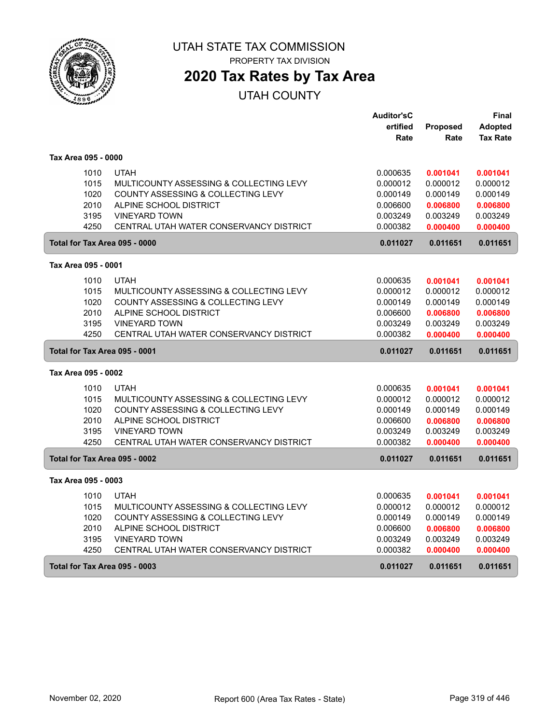

## **2020 Tax Rates by Tax Area**

|                               |                                         | <b>Auditor'sC</b> |                 | Final           |
|-------------------------------|-----------------------------------------|-------------------|-----------------|-----------------|
|                               |                                         | ertified          | <b>Proposed</b> | <b>Adopted</b>  |
|                               |                                         | Rate              | Rate            | <b>Tax Rate</b> |
| Tax Area 095 - 0000           |                                         |                   |                 |                 |
| 1010                          | <b>UTAH</b>                             | 0.000635          | 0.001041        | 0.001041        |
| 1015                          | MULTICOUNTY ASSESSING & COLLECTING LEVY | 0.000012          | 0.000012        | 0.000012        |
| 1020                          | COUNTY ASSESSING & COLLECTING LEVY      | 0.000149          | 0.000149        | 0.000149        |
| 2010                          | ALPINE SCHOOL DISTRICT                  | 0.006600          | 0.006800        | 0.006800        |
| 3195                          | <b>VINEYARD TOWN</b>                    | 0.003249          | 0.003249        | 0.003249        |
| 4250                          | CENTRAL UTAH WATER CONSERVANCY DISTRICT | 0.000382          | 0.000400        | 0.000400        |
| Total for Tax Area 095 - 0000 |                                         | 0.011027          | 0.011651        | 0.011651        |
| Tax Area 095 - 0001           |                                         |                   |                 |                 |
| 1010                          | <b>UTAH</b>                             | 0.000635          | 0.001041        | 0.001041        |
| 1015                          | MULTICOUNTY ASSESSING & COLLECTING LEVY | 0.000012          | 0.000012        | 0.000012        |
| 1020                          | COUNTY ASSESSING & COLLECTING LEVY      | 0.000149          | 0.000149        | 0.000149        |
| 2010                          | ALPINE SCHOOL DISTRICT                  | 0.006600          | 0.006800        | 0.006800        |
| 3195                          | <b>VINEYARD TOWN</b>                    | 0.003249          | 0.003249        | 0.003249        |
| 4250                          | CENTRAL UTAH WATER CONSERVANCY DISTRICT | 0.000382          | 0.000400        | 0.000400        |
| Total for Tax Area 095 - 0001 |                                         | 0.011027          | 0.011651        | 0.011651        |
| Tax Area 095 - 0002           |                                         |                   |                 |                 |
| 1010                          | <b>UTAH</b>                             | 0.000635          | 0.001041        | 0.001041        |
| 1015                          | MULTICOUNTY ASSESSING & COLLECTING LEVY | 0.000012          | 0.000012        | 0.000012        |
| 1020                          | COUNTY ASSESSING & COLLECTING LEVY      | 0.000149          | 0.000149        | 0.000149        |
| 2010                          | ALPINE SCHOOL DISTRICT                  | 0.006600          | 0.006800        | 0.006800        |
| 3195                          | <b>VINEYARD TOWN</b>                    | 0.003249          | 0.003249        | 0.003249        |
| 4250                          | CENTRAL UTAH WATER CONSERVANCY DISTRICT | 0.000382          | 0.000400        | 0.000400        |
| Total for Tax Area 095 - 0002 |                                         | 0.011027          | 0.011651        | 0.011651        |
| Tax Area 095 - 0003           |                                         |                   |                 |                 |
| 1010                          | <b>UTAH</b>                             | 0.000635          | 0.001041        | 0.001041        |
| 1015                          | MULTICOUNTY ASSESSING & COLLECTING LEVY | 0.000012          | 0.000012        | 0.000012        |
| 1020                          | COUNTY ASSESSING & COLLECTING LEVY      | 0.000149          | 0.000149        | 0.000149        |
| 2010                          | ALPINE SCHOOL DISTRICT                  | 0.006600          | 0.006800        | 0.006800        |
| 3195                          | <b>VINEYARD TOWN</b>                    | 0.003249          | 0.003249        | 0.003249        |
| 4250                          | CENTRAL UTAH WATER CONSERVANCY DISTRICT | 0.000382          | 0.000400        | 0.000400        |
| Total for Tax Area 095 - 0003 |                                         | 0.011027          | 0.011651        | 0.011651        |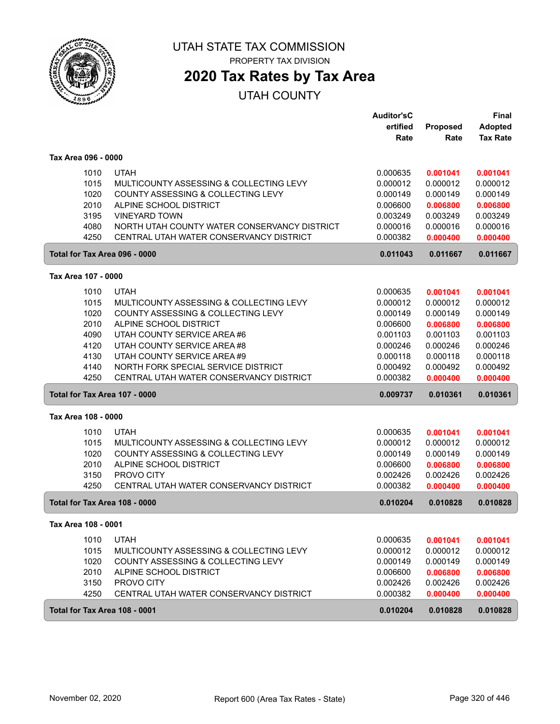

## **2020 Tax Rates by Tax Area**

|                     |              |                                                       | <b>Auditor'sC</b>    |                      | <b>Final</b>         |
|---------------------|--------------|-------------------------------------------------------|----------------------|----------------------|----------------------|
|                     |              |                                                       | ertified             | Proposed             | <b>Adopted</b>       |
|                     |              |                                                       | Rate                 | Rate                 | <b>Tax Rate</b>      |
| Tax Area 096 - 0000 |              |                                                       |                      |                      |                      |
|                     | 1010         | <b>UTAH</b>                                           | 0.000635             | 0.001041             | 0.001041             |
|                     | 1015         | MULTICOUNTY ASSESSING & COLLECTING LEVY               | 0.000012             | 0.000012             | 0.000012             |
|                     | 1020         | COUNTY ASSESSING & COLLECTING LEVY                    | 0.000149             | 0.000149             | 0.000149             |
|                     | 2010         | ALPINE SCHOOL DISTRICT                                | 0.006600             | 0.006800             | 0.006800             |
|                     | 3195         | <b>VINEYARD TOWN</b>                                  | 0.003249             | 0.003249             | 0.003249             |
|                     | 4080         | NORTH UTAH COUNTY WATER CONSERVANCY DISTRICT          | 0.000016             | 0.000016             | 0.000016             |
|                     | 4250         | CENTRAL UTAH WATER CONSERVANCY DISTRICT               | 0.000382             | 0.000400             | 0.000400             |
|                     |              | Total for Tax Area 096 - 0000                         | 0.011043             | 0.011667             | 0.011667             |
| Tax Area 107 - 0000 |              |                                                       |                      |                      |                      |
|                     | 1010         | <b>UTAH</b>                                           | 0.000635             | 0.001041             | 0.001041             |
|                     | 1015         | MULTICOUNTY ASSESSING & COLLECTING LEVY               | 0.000012             | 0.000012             | 0.000012             |
|                     | 1020         | COUNTY ASSESSING & COLLECTING LEVY                    | 0.000149             | 0.000149             | 0.000149             |
|                     | 2010         | ALPINE SCHOOL DISTRICT                                | 0.006600             | 0.006800             | 0.006800             |
|                     | 4090         | UTAH COUNTY SERVICE AREA #6                           | 0.001103             | 0.001103             | 0.001103             |
|                     | 4120         | UTAH COUNTY SERVICE AREA #8                           | 0.000246             | 0.000246             | 0.000246             |
|                     | 4130         | UTAH COUNTY SERVICE AREA #9                           | 0.000118             | 0.000118             | 0.000118             |
|                     | 4140         | NORTH FORK SPECIAL SERVICE DISTRICT                   | 0.000492             | 0.000492             | 0.000492             |
|                     | 4250         | CENTRAL UTAH WATER CONSERVANCY DISTRICT               | 0.000382             | 0.000400             | 0.000400             |
|                     |              | Total for Tax Area 107 - 0000                         | 0.009737             | 0.010361             | 0.010361             |
| Tax Area 108 - 0000 |              |                                                       |                      |                      |                      |
|                     | 1010         | <b>UTAH</b>                                           | 0.000635             | 0.001041             | 0.001041             |
|                     | 1015         | MULTICOUNTY ASSESSING & COLLECTING LEVY               | 0.000012             | 0.000012             | 0.000012             |
|                     | 1020         | COUNTY ASSESSING & COLLECTING LEVY                    | 0.000149             | 0.000149             | 0.000149             |
|                     | 2010         | ALPINE SCHOOL DISTRICT                                | 0.006600             | 0.006800             | 0.006800             |
|                     | 3150         | PROVO CITY                                            | 0.002426             | 0.002426             | 0.002426             |
|                     | 4250         | CENTRAL UTAH WATER CONSERVANCY DISTRICT               | 0.000382             | 0.000400             | 0.000400             |
|                     |              | Total for Tax Area 108 - 0000                         | 0.010204             | 0.010828             | 0.010828             |
| Tax Area 108 - 0001 |              |                                                       |                      |                      |                      |
|                     | 1010         | <b>UTAH</b>                                           | 0.000635             | 0.001041             | 0.001041             |
|                     | 1015         | MULTICOUNTY ASSESSING & COLLECTING LEVY               | 0.000012             | 0.000012             | 0.000012             |
|                     | 1020         | COUNTY ASSESSING & COLLECTING LEVY                    | 0.000149             | 0.000149             | 0.000149             |
|                     | 2010         | ALPINE SCHOOL DISTRICT                                | 0.006600             | 0.006800             | 0.006800             |
|                     | 3150<br>4250 | PROVO CITY<br>CENTRAL UTAH WATER CONSERVANCY DISTRICT | 0.002426<br>0.000382 | 0.002426<br>0.000400 | 0.002426<br>0.000400 |
|                     |              |                                                       |                      |                      |                      |
|                     |              | Total for Tax Area 108 - 0001                         | 0.010204             | 0.010828             | 0.010828             |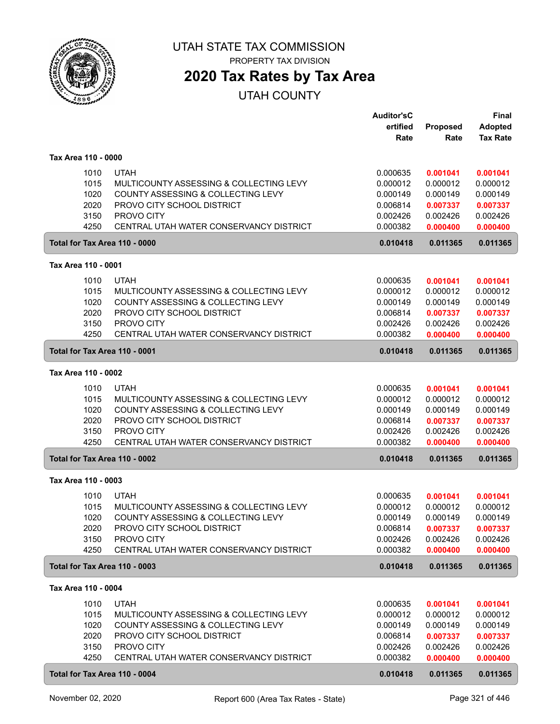

# **2020 Tax Rates by Tax Area**

|                     |                                         | <b>Auditor'sC</b><br>ertified | <b>Proposed</b> | <b>Final</b><br><b>Adopted</b> |
|---------------------|-----------------------------------------|-------------------------------|-----------------|--------------------------------|
|                     |                                         | Rate                          | Rate            | <b>Tax Rate</b>                |
| Tax Area 110 - 0000 |                                         |                               |                 |                                |
| 1010                | <b>UTAH</b>                             | 0.000635                      | 0.001041        | 0.001041                       |
| 1015                | MULTICOUNTY ASSESSING & COLLECTING LEVY | 0.000012                      | 0.000012        | 0.000012                       |
| 1020                | COUNTY ASSESSING & COLLECTING LEVY      | 0.000149                      | 0.000149        | 0.000149                       |
| 2020                | PROVO CITY SCHOOL DISTRICT              | 0.006814                      | 0.007337        | 0.007337                       |
| 3150                | PROVO CITY                              | 0.002426                      | 0.002426        | 0.002426                       |
| 4250                | CENTRAL UTAH WATER CONSERVANCY DISTRICT | 0.000382                      | 0.000400        | 0.000400                       |
|                     | Total for Tax Area 110 - 0000           | 0.010418                      | 0.011365        | 0.011365                       |
| Tax Area 110 - 0001 |                                         |                               |                 |                                |
| 1010                | <b>UTAH</b>                             | 0.000635                      | 0.001041        | 0.001041                       |
| 1015                | MULTICOUNTY ASSESSING & COLLECTING LEVY | 0.000012                      | 0.000012        | 0.000012                       |
| 1020                | COUNTY ASSESSING & COLLECTING LEVY      | 0.000149                      | 0.000149        | 0.000149                       |
| 2020                | PROVO CITY SCHOOL DISTRICT              | 0.006814                      | 0.007337        | 0.007337                       |
| 3150                | PROVO CITY                              | 0.002426                      | 0.002426        | 0.002426                       |
| 4250                | CENTRAL UTAH WATER CONSERVANCY DISTRICT | 0.000382                      | 0.000400        | 0.000400                       |
|                     | Total for Tax Area 110 - 0001           | 0.010418                      | 0.011365        | 0.011365                       |
| Tax Area 110 - 0002 |                                         |                               |                 |                                |
| 1010                | <b>UTAH</b>                             | 0.000635                      | 0.001041        | 0.001041                       |
| 1015                | MULTICOUNTY ASSESSING & COLLECTING LEVY | 0.000012                      | 0.000012        | 0.000012                       |
| 1020                | COUNTY ASSESSING & COLLECTING LEVY      | 0.000149                      | 0.000149        | 0.000149                       |
| 2020                | PROVO CITY SCHOOL DISTRICT              | 0.006814                      | 0.007337        | 0.007337                       |
| 3150                | PROVO CITY                              | 0.002426                      | 0.002426        | 0.002426                       |
| 4250                | CENTRAL UTAH WATER CONSERVANCY DISTRICT | 0.000382                      | 0.000400        | 0.000400                       |
|                     | Total for Tax Area 110 - 0002           | 0.010418                      | 0.011365        | 0.011365                       |
| Tax Area 110 - 0003 |                                         |                               |                 |                                |
| 1010                | <b>UTAH</b>                             | 0.000635                      | 0.001041        | 0.001041                       |
| 1015                | MULTICOUNTY ASSESSING & COLLECTING LEVY | 0.000012                      | 0.000012        | 0.000012                       |
| 1020                | COUNTY ASSESSING & COLLECTING LEVY      | 0.000149                      | 0.000149        | 0.000149                       |
| 2020                | PROVO CITY SCHOOL DISTRICT              | 0.006814                      | 0.007337        | 0.007337                       |
| 3150                | PROVO CITY                              | 0.002426                      | 0.002426        | 0.002426                       |
| 4250                | CENTRAL UTAH WATER CONSERVANCY DISTRICT | 0.000382                      | 0.000400        | 0.000400                       |
|                     | Total for Tax Area 110 - 0003           | 0.010418                      | 0.011365        | 0.011365                       |
| Tax Area 110 - 0004 |                                         |                               |                 |                                |
| 1010                | <b>UTAH</b>                             | 0.000635                      | 0.001041        | 0.001041                       |
| 1015                | MULTICOUNTY ASSESSING & COLLECTING LEVY | 0.000012                      | 0.000012        | 0.000012                       |
| 1020                | COUNTY ASSESSING & COLLECTING LEVY      | 0.000149                      | 0.000149        | 0.000149                       |
| 2020                | PROVO CITY SCHOOL DISTRICT              | 0.006814                      | 0.007337        | 0.007337                       |
| 3150                | PROVO CITY                              | 0.002426                      | 0.002426        | 0.002426                       |
| 4250                | CENTRAL UTAH WATER CONSERVANCY DISTRICT | 0.000382                      | 0.000400        | 0.000400                       |
|                     | Total for Tax Area 110 - 0004           | 0.010418                      | 0.011365        | 0.011365                       |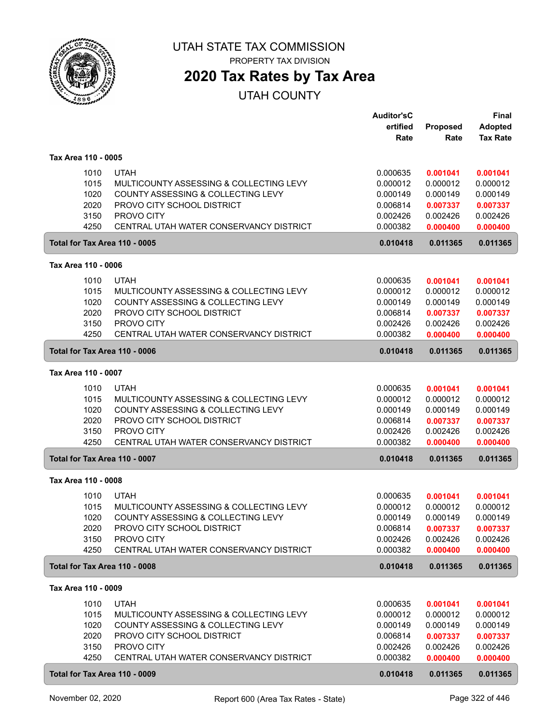

# **2020 Tax Rates by Tax Area**

|                     |                                                       | <b>Auditor'sC</b><br>ertified | <b>Proposed</b>      | <b>Final</b><br><b>Adopted</b> |
|---------------------|-------------------------------------------------------|-------------------------------|----------------------|--------------------------------|
|                     |                                                       | Rate                          | Rate                 | <b>Tax Rate</b>                |
| Tax Area 110 - 0005 |                                                       |                               |                      |                                |
| 1010                | <b>UTAH</b>                                           | 0.000635                      | 0.001041             | 0.001041                       |
| 1015                | MULTICOUNTY ASSESSING & COLLECTING LEVY               | 0.000012                      | 0.000012             | 0.000012                       |
| 1020                | COUNTY ASSESSING & COLLECTING LEVY                    | 0.000149                      | 0.000149             | 0.000149                       |
| 2020                | PROVO CITY SCHOOL DISTRICT                            | 0.006814                      | 0.007337             | 0.007337                       |
| 3150                | PROVO CITY                                            | 0.002426                      | 0.002426             | 0.002426                       |
| 4250                | CENTRAL UTAH WATER CONSERVANCY DISTRICT               | 0.000382                      | 0.000400             | 0.000400                       |
|                     | Total for Tax Area 110 - 0005                         | 0.010418                      | 0.011365             | 0.011365                       |
| Tax Area 110 - 0006 |                                                       |                               |                      |                                |
| 1010                | <b>UTAH</b>                                           | 0.000635                      | 0.001041             | 0.001041                       |
| 1015                | MULTICOUNTY ASSESSING & COLLECTING LEVY               | 0.000012                      | 0.000012             | 0.000012                       |
| 1020                | COUNTY ASSESSING & COLLECTING LEVY                    | 0.000149                      | 0.000149             | 0.000149                       |
| 2020                | PROVO CITY SCHOOL DISTRICT                            | 0.006814                      | 0.007337             | 0.007337                       |
| 3150                | PROVO CITY                                            | 0.002426                      | 0.002426             | 0.002426                       |
| 4250                | CENTRAL UTAH WATER CONSERVANCY DISTRICT               | 0.000382                      | 0.000400             | 0.000400                       |
|                     | Total for Tax Area 110 - 0006                         | 0.010418                      | 0.011365             | 0.011365                       |
| Tax Area 110 - 0007 |                                                       |                               |                      |                                |
| 1010                | <b>UTAH</b>                                           | 0.000635                      | 0.001041             | 0.001041                       |
| 1015                | MULTICOUNTY ASSESSING & COLLECTING LEVY               | 0.000012                      | 0.000012             | 0.000012                       |
| 1020                | COUNTY ASSESSING & COLLECTING LEVY                    | 0.000149                      | 0.000149             | 0.000149                       |
| 2020                | PROVO CITY SCHOOL DISTRICT                            | 0.006814                      | 0.007337             | 0.007337                       |
| 3150<br>4250        | PROVO CITY<br>CENTRAL UTAH WATER CONSERVANCY DISTRICT | 0.002426                      | 0.002426             | 0.002426                       |
|                     |                                                       | 0.000382                      | 0.000400             | 0.000400                       |
|                     | Total for Tax Area 110 - 0007                         | 0.010418                      | 0.011365             | 0.011365                       |
| Tax Area 110 - 0008 |                                                       |                               |                      |                                |
| 1010                | <b>UTAH</b>                                           | 0.000635                      | 0.001041             | 0.001041                       |
| 1015                | MULTICOUNTY ASSESSING & COLLECTING LEVY               | 0.000012                      | 0.000012             | 0.000012                       |
| 1020                | COUNTY ASSESSING & COLLECTING LEVY                    | 0.000149                      | 0.000149             | 0.000149                       |
| 2020                | PROVO CITY SCHOOL DISTRICT                            | 0.006814                      | 0.007337             | 0.007337                       |
| 3150                | PROVO CITY                                            | 0.002426                      | 0.002426             | 0.002426                       |
| 4250                | CENTRAL UTAH WATER CONSERVANCY DISTRICT               | 0.000382                      | 0.000400             | 0.000400                       |
|                     | Total for Tax Area 110 - 0008                         | 0.010418                      | 0.011365             | 0.011365                       |
| Tax Area 110 - 0009 |                                                       |                               |                      |                                |
| 1010                | <b>UTAH</b>                                           | 0.000635                      | 0.001041             | 0.001041                       |
| 1015                | MULTICOUNTY ASSESSING & COLLECTING LEVY               | 0.000012                      | 0.000012             | 0.000012                       |
| 1020                | COUNTY ASSESSING & COLLECTING LEVY                    | 0.000149                      | 0.000149             | 0.000149                       |
| 2020                | PROVO CITY SCHOOL DISTRICT                            | 0.006814                      | 0.007337             | 0.007337                       |
| 3150<br>4250        | PROVO CITY<br>CENTRAL UTAH WATER CONSERVANCY DISTRICT | 0.002426<br>0.000382          | 0.002426<br>0.000400 | 0.002426<br>0.000400           |
|                     |                                                       |                               |                      |                                |
|                     | Total for Tax Area 110 - 0009                         | 0.010418                      | 0.011365             | 0.011365                       |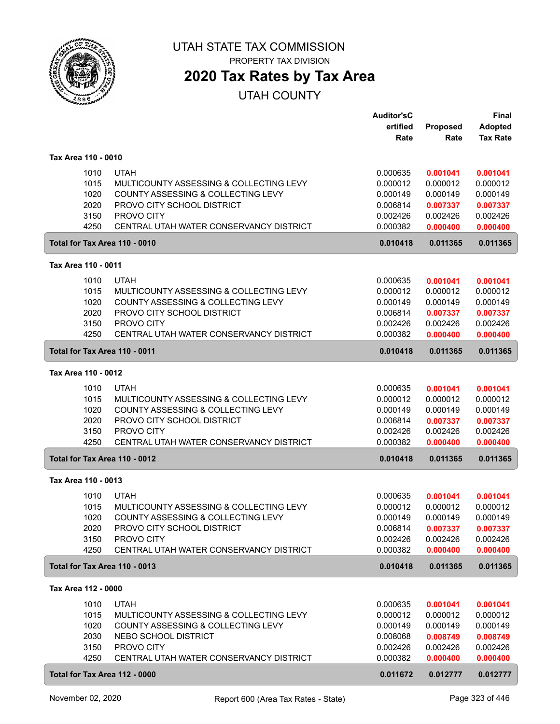

# **2020 Tax Rates by Tax Area**

|                     |                                                 | <b>Auditor'sC</b><br>ertified | Proposed | <b>Final</b><br><b>Adopted</b> |
|---------------------|-------------------------------------------------|-------------------------------|----------|--------------------------------|
|                     |                                                 | Rate                          | Rate     | <b>Tax Rate</b>                |
| Tax Area 110 - 0010 |                                                 |                               |          |                                |
|                     | <b>UTAH</b><br>1010                             | 0.000635                      | 0.001041 | 0.001041                       |
|                     | 1015<br>MULTICOUNTY ASSESSING & COLLECTING LEVY | 0.000012                      | 0.000012 | 0.000012                       |
|                     | 1020<br>COUNTY ASSESSING & COLLECTING LEVY      | 0.000149                      | 0.000149 | 0.000149                       |
|                     | 2020<br>PROVO CITY SCHOOL DISTRICT              | 0.006814                      | 0.007337 | 0.007337                       |
|                     | 3150<br>PROVO CITY                              | 0.002426                      | 0.002426 | 0.002426                       |
|                     | 4250<br>CENTRAL UTAH WATER CONSERVANCY DISTRICT | 0.000382                      | 0.000400 | 0.000400                       |
|                     | Total for Tax Area 110 - 0010                   | 0.010418                      | 0.011365 | 0.011365                       |
| Tax Area 110 - 0011 |                                                 |                               |          |                                |
|                     | 1010<br><b>UTAH</b>                             | 0.000635                      | 0.001041 | 0.001041                       |
|                     | 1015<br>MULTICOUNTY ASSESSING & COLLECTING LEVY | 0.000012                      | 0.000012 | 0.000012                       |
|                     | 1020<br>COUNTY ASSESSING & COLLECTING LEVY      | 0.000149                      | 0.000149 | 0.000149                       |
|                     | 2020<br>PROVO CITY SCHOOL DISTRICT              | 0.006814                      | 0.007337 | 0.007337                       |
|                     | 3150<br>PROVO CITY                              | 0.002426                      | 0.002426 | 0.002426                       |
|                     | 4250<br>CENTRAL UTAH WATER CONSERVANCY DISTRICT | 0.000382                      | 0.000400 | 0.000400                       |
|                     | Total for Tax Area 110 - 0011                   | 0.010418                      | 0.011365 | 0.011365                       |
| Tax Area 110 - 0012 |                                                 |                               |          |                                |
|                     | 1010<br><b>UTAH</b>                             | 0.000635                      | 0.001041 | 0.001041                       |
|                     | 1015<br>MULTICOUNTY ASSESSING & COLLECTING LEVY | 0.000012                      | 0.000012 | 0.000012                       |
|                     | 1020<br>COUNTY ASSESSING & COLLECTING LEVY      | 0.000149                      | 0.000149 | 0.000149                       |
|                     | 2020<br>PROVO CITY SCHOOL DISTRICT              | 0.006814                      | 0.007337 | 0.007337                       |
|                     | 3150<br>PROVO CITY                              | 0.002426                      | 0.002426 | 0.002426                       |
|                     | 4250<br>CENTRAL UTAH WATER CONSERVANCY DISTRICT | 0.000382                      | 0.000400 | 0.000400                       |
|                     | Total for Tax Area 110 - 0012                   | 0.010418                      | 0.011365 | 0.011365                       |
| Tax Area 110 - 0013 |                                                 |                               |          |                                |
|                     | 1010<br><b>UTAH</b>                             | 0.000635                      | 0.001041 | 0.001041                       |
|                     | 1015<br>MULTICOUNTY ASSESSING & COLLECTING LEVY | 0.000012                      | 0.000012 | 0.000012                       |
|                     | 1020<br>COUNTY ASSESSING & COLLECTING LEVY      | 0.000149                      | 0.000149 | 0.000149                       |
|                     | 2020<br>PROVO CITY SCHOOL DISTRICT              | 0.006814                      | 0.007337 | 0.007337                       |
|                     | 3150<br>PROVO CITY                              | 0.002426                      | 0.002426 | 0.002426                       |
|                     | 4250<br>CENTRAL UTAH WATER CONSERVANCY DISTRICT | 0.000382                      | 0.000400 | 0.000400                       |
|                     | Total for Tax Area 110 - 0013                   | 0.010418                      | 0.011365 | 0.011365                       |
| Tax Area 112 - 0000 |                                                 |                               |          |                                |
|                     | 1010<br><b>UTAH</b>                             | 0.000635                      | 0.001041 | 0.001041                       |
|                     | 1015<br>MULTICOUNTY ASSESSING & COLLECTING LEVY | 0.000012                      | 0.000012 | 0.000012                       |
|                     | 1020<br>COUNTY ASSESSING & COLLECTING LEVY      | 0.000149                      | 0.000149 | 0.000149                       |
|                     | 2030<br>NEBO SCHOOL DISTRICT                    | 0.008068                      | 0.008749 | 0.008749                       |
|                     | 3150<br>PROVO CITY                              | 0.002426                      | 0.002426 | 0.002426                       |
|                     | 4250<br>CENTRAL UTAH WATER CONSERVANCY DISTRICT | 0.000382                      | 0.000400 | 0.000400                       |
|                     | Total for Tax Area 112 - 0000                   | 0.011672                      | 0.012777 | 0.012777                       |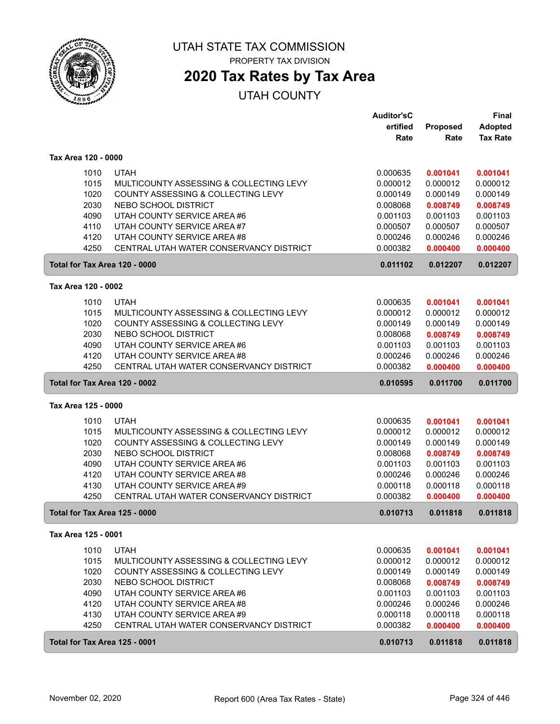

## **2020 Tax Rates by Tax Area**

|                     |      |                                         | <b>Auditor'sC</b> |                 | <b>Final</b>    |
|---------------------|------|-----------------------------------------|-------------------|-----------------|-----------------|
|                     |      |                                         | ertified          | <b>Proposed</b> | <b>Adopted</b>  |
|                     |      |                                         | Rate              | Rate            | <b>Tax Rate</b> |
| Tax Area 120 - 0000 |      |                                         |                   |                 |                 |
|                     | 1010 | <b>UTAH</b>                             | 0.000635          | 0.001041        | 0.001041        |
|                     | 1015 | MULTICOUNTY ASSESSING & COLLECTING LEVY | 0.000012          | 0.000012        | 0.000012        |
|                     | 1020 | COUNTY ASSESSING & COLLECTING LEVY      | 0.000149          | 0.000149        | 0.000149        |
|                     | 2030 | NEBO SCHOOL DISTRICT                    | 0.008068          | 0.008749        | 0.008749        |
|                     | 4090 | UTAH COUNTY SERVICE AREA #6             | 0.001103          | 0.001103        | 0.001103        |
|                     | 4110 | UTAH COUNTY SERVICE AREA #7             | 0.000507          | 0.000507        | 0.000507        |
|                     | 4120 | UTAH COUNTY SERVICE AREA #8             | 0.000246          | 0.000246        | 0.000246        |
|                     | 4250 | CENTRAL UTAH WATER CONSERVANCY DISTRICT | 0.000382          | 0.000400        | 0.000400        |
|                     |      | Total for Tax Area 120 - 0000           | 0.011102          | 0.012207        | 0.012207        |
| Tax Area 120 - 0002 |      |                                         |                   |                 |                 |
|                     |      |                                         |                   |                 |                 |
|                     | 1010 | <b>UTAH</b>                             | 0.000635          | 0.001041        | 0.001041        |
|                     | 1015 | MULTICOUNTY ASSESSING & COLLECTING LEVY | 0.000012          | 0.000012        | 0.000012        |
|                     | 1020 | COUNTY ASSESSING & COLLECTING LEVY      | 0.000149          | 0.000149        | 0.000149        |
|                     | 2030 | NEBO SCHOOL DISTRICT                    | 0.008068          | 0.008749        | 0.008749        |
|                     | 4090 | UTAH COUNTY SERVICE AREA #6             | 0.001103          | 0.001103        | 0.001103        |
|                     | 4120 | UTAH COUNTY SERVICE AREA #8             | 0.000246          | 0.000246        | 0.000246        |
|                     | 4250 | CENTRAL UTAH WATER CONSERVANCY DISTRICT | 0.000382          | 0.000400        | 0.000400        |
|                     |      | Total for Tax Area 120 - 0002           | 0.010595          | 0.011700        | 0.011700        |
| Tax Area 125 - 0000 |      |                                         |                   |                 |                 |
|                     | 1010 | <b>UTAH</b>                             | 0.000635          | 0.001041        | 0.001041        |
|                     | 1015 | MULTICOUNTY ASSESSING & COLLECTING LEVY | 0.000012          | 0.000012        | 0.000012        |
|                     | 1020 | COUNTY ASSESSING & COLLECTING LEVY      | 0.000149          | 0.000149        | 0.000149        |
|                     | 2030 | NEBO SCHOOL DISTRICT                    | 0.008068          | 0.008749        | 0.008749        |
|                     | 4090 | UTAH COUNTY SERVICE AREA #6             | 0.001103          | 0.001103        | 0.001103        |
|                     | 4120 | UTAH COUNTY SERVICE AREA #8             | 0.000246          | 0.000246        | 0.000246        |
|                     | 4130 | UTAH COUNTY SERVICE AREA #9             | 0.000118          | 0.000118        | 0.000118        |
|                     | 4250 | CENTRAL UTAH WATER CONSERVANCY DISTRICT | 0.000382          | 0.000400        | 0.000400        |
|                     |      | Total for Tax Area 125 - 0000           | 0.010713          | 0.011818        | 0.011818        |
| Tax Area 125 - 0001 |      |                                         |                   |                 |                 |
|                     | 1010 | <b>UTAH</b>                             | 0.000635          | 0.001041        | 0.001041        |
|                     | 1015 | MULTICOUNTY ASSESSING & COLLECTING LEVY | 0.000012          | 0.000012        | 0.000012        |
|                     | 1020 | COUNTY ASSESSING & COLLECTING LEVY      | 0.000149          | 0.000149        | 0.000149        |
|                     | 2030 | NEBO SCHOOL DISTRICT                    | 0.008068          | 0.008749        | 0.008749        |
|                     | 4090 | UTAH COUNTY SERVICE AREA #6             | 0.001103          | 0.001103        | 0.001103        |
|                     | 4120 | UTAH COUNTY SERVICE AREA #8             | 0.000246          | 0.000246        | 0.000246        |
|                     | 4130 | UTAH COUNTY SERVICE AREA #9             | 0.000118          | 0.000118        | 0.000118        |
|                     | 4250 | CENTRAL UTAH WATER CONSERVANCY DISTRICT | 0.000382          | 0.000400        | 0.000400        |
|                     |      |                                         |                   |                 |                 |
|                     |      | Total for Tax Area 125 - 0001           | 0.010713          | 0.011818        | 0.011818        |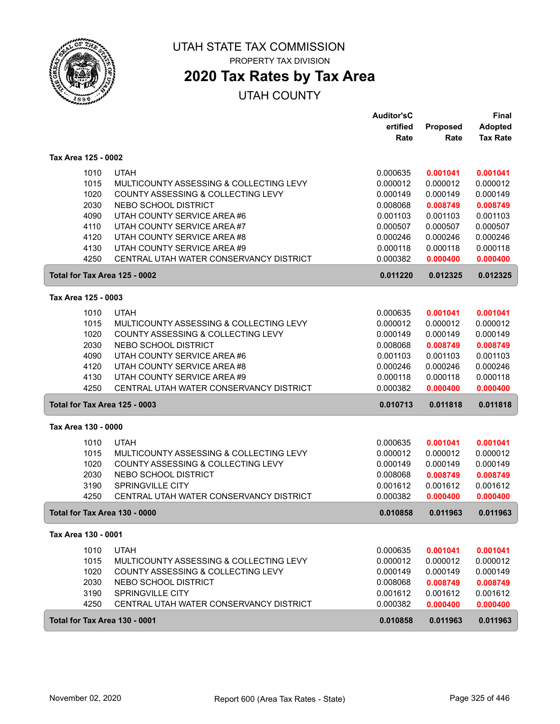

# **2020 Tax Rates by Tax Area**

|                     |              |                                                                        | <b>Auditor'sC</b>    |                      | <b>Final</b>                      |
|---------------------|--------------|------------------------------------------------------------------------|----------------------|----------------------|-----------------------------------|
|                     |              |                                                                        | ertified<br>Rate     | Proposed<br>Rate     | <b>Adopted</b><br><b>Tax Rate</b> |
|                     |              |                                                                        |                      |                      |                                   |
| Tax Area 125 - 0002 |              |                                                                        |                      |                      |                                   |
|                     | 1010         | <b>UTAH</b>                                                            | 0.000635             | 0.001041             | 0.001041                          |
|                     | 1015         | MULTICOUNTY ASSESSING & COLLECTING LEVY                                | 0.000012             | 0.000012             | 0.000012                          |
|                     | 1020         | COUNTY ASSESSING & COLLECTING LEVY                                     | 0.000149             | 0.000149             | 0.000149                          |
|                     | 2030         | NEBO SCHOOL DISTRICT                                                   | 0.008068             | 0.008749             | 0.008749                          |
|                     | 4090         | UTAH COUNTY SERVICE AREA #6                                            | 0.001103             | 0.001103             | 0.001103                          |
|                     | 4110         | UTAH COUNTY SERVICE AREA #7                                            | 0.000507             | 0.000507             | 0.000507                          |
|                     | 4120         | UTAH COUNTY SERVICE AREA #8                                            | 0.000246             | 0.000246             | 0.000246                          |
|                     | 4130<br>4250 | UTAH COUNTY SERVICE AREA #9<br>CENTRAL UTAH WATER CONSERVANCY DISTRICT | 0.000118<br>0.000382 | 0.000118<br>0.000400 | 0.000118<br>0.000400              |
|                     |              | Total for Tax Area 125 - 0002                                          | 0.011220             | 0.012325             | 0.012325                          |
|                     |              |                                                                        |                      |                      |                                   |
| Tax Area 125 - 0003 |              |                                                                        |                      |                      |                                   |
|                     | 1010         | <b>UTAH</b>                                                            | 0.000635             | 0.001041             | 0.001041                          |
|                     | 1015         | MULTICOUNTY ASSESSING & COLLECTING LEVY                                | 0.000012             | 0.000012             | 0.000012                          |
|                     | 1020         | COUNTY ASSESSING & COLLECTING LEVY                                     | 0.000149             | 0.000149             | 0.000149                          |
|                     | 2030         | NEBO SCHOOL DISTRICT                                                   | 0.008068             | 0.008749             | 0.008749                          |
|                     | 4090         | UTAH COUNTY SERVICE AREA #6                                            | 0.001103             | 0.001103             | 0.001103                          |
|                     | 4120         | UTAH COUNTY SERVICE AREA #8                                            | 0.000246             | 0.000246             | 0.000246                          |
|                     | 4130         | UTAH COUNTY SERVICE AREA #9                                            | 0.000118             | 0.000118             | 0.000118                          |
|                     | 4250         | CENTRAL UTAH WATER CONSERVANCY DISTRICT                                | 0.000382             | 0.000400             | 0.000400                          |
|                     |              | <b>Total for Tax Area 125 - 0003</b>                                   | 0.010713             | 0.011818             | 0.011818                          |
| Tax Area 130 - 0000 |              |                                                                        |                      |                      |                                   |
|                     | 1010         | <b>UTAH</b>                                                            | 0.000635             | 0.001041             | 0.001041                          |
|                     | 1015         | MULTICOUNTY ASSESSING & COLLECTING LEVY                                | 0.000012             | 0.000012             | 0.000012                          |
|                     | 1020         | COUNTY ASSESSING & COLLECTING LEVY                                     | 0.000149             | 0.000149             | 0.000149                          |
|                     | 2030         | NEBO SCHOOL DISTRICT                                                   | 0.008068             | 0.008749             | 0.008749                          |
|                     | 3190         | SPRINGVILLE CITY                                                       | 0.001612             | 0.001612             | 0.001612                          |
|                     | 4250         | CENTRAL UTAH WATER CONSERVANCY DISTRICT                                | 0.000382             | 0.000400             | 0.000400                          |
|                     |              | Total for Tax Area 130 - 0000                                          | 0.010858             | 0.011963             | 0.011963                          |
| Tax Area 130 - 0001 |              |                                                                        |                      |                      |                                   |
|                     | 1010         | <b>UTAH</b>                                                            | 0.000635             | 0.001041             | 0.001041                          |
|                     | 1015         | MULTICOUNTY ASSESSING & COLLECTING LEVY                                | 0.000012             | 0.000012             | 0.000012                          |
|                     | 1020         | COUNTY ASSESSING & COLLECTING LEVY                                     | 0.000149             | 0.000149             | 0.000149                          |
|                     | 2030         | NEBO SCHOOL DISTRICT                                                   | 0.008068             | 0.008749             | 0.008749                          |
|                     | 3190         | SPRINGVILLE CITY                                                       | 0.001612             | 0.001612             | 0.001612                          |
|                     | 4250         | CENTRAL UTAH WATER CONSERVANCY DISTRICT                                | 0.000382             | 0.000400             | 0.000400                          |
|                     |              | Total for Tax Area 130 - 0001                                          | 0.010858             | 0.011963             | 0.011963                          |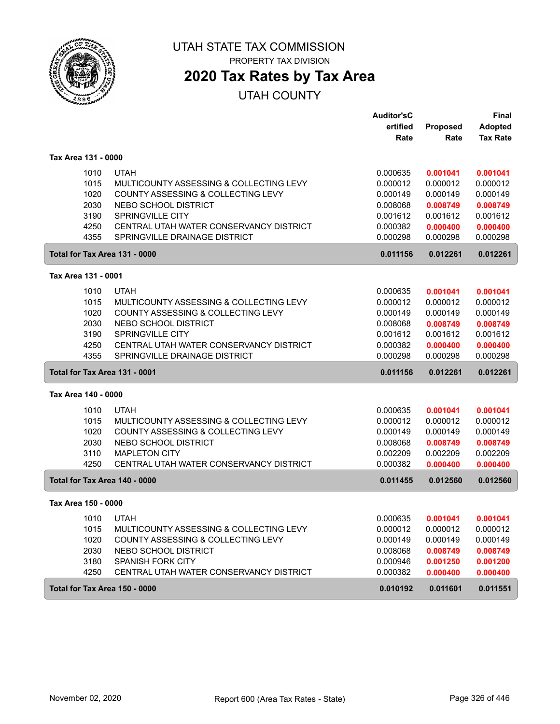

PROPERTY TAX DIVISION

# **2020 Tax Rates by Tax Area**

|                               |                                         | <b>Auditor'sC</b> |          | Final           |
|-------------------------------|-----------------------------------------|-------------------|----------|-----------------|
|                               |                                         | ertified          | Proposed | <b>Adopted</b>  |
|                               |                                         | Rate              | Rate     | <b>Tax Rate</b> |
| Tax Area 131 - 0000           |                                         |                   |          |                 |
| 1010                          | <b>UTAH</b>                             | 0.000635          | 0.001041 | 0.001041        |
| 1015                          | MULTICOUNTY ASSESSING & COLLECTING LEVY | 0.000012          | 0.000012 | 0.000012        |
| 1020                          | COUNTY ASSESSING & COLLECTING LEVY      | 0.000149          | 0.000149 | 0.000149        |
| 2030                          | NEBO SCHOOL DISTRICT                    | 0.008068          | 0.008749 | 0.008749        |
| 3190                          | SPRINGVILLE CITY                        | 0.001612          | 0.001612 | 0.001612        |
| 4250                          | CENTRAL UTAH WATER CONSERVANCY DISTRICT | 0.000382          | 0.000400 | 0.000400        |
| 4355                          | SPRINGVILLE DRAINAGE DISTRICT           | 0.000298          | 0.000298 | 0.000298        |
| Total for Tax Area 131 - 0000 |                                         | 0.011156          | 0.012261 | 0.012261        |
| Tax Area 131 - 0001           |                                         |                   |          |                 |
| 1010                          | <b>UTAH</b>                             | 0.000635          | 0.001041 | 0.001041        |
| 1015                          | MULTICOUNTY ASSESSING & COLLECTING LEVY | 0.000012          | 0.000012 | 0.000012        |
| 1020                          | COUNTY ASSESSING & COLLECTING LEVY      | 0.000149          | 0.000149 | 0.000149        |
| 2030                          | NEBO SCHOOL DISTRICT                    | 0.008068          | 0.008749 | 0.008749        |
| 3190                          | <b>SPRINGVILLE CITY</b>                 | 0.001612          | 0.001612 | 0.001612        |
| 4250                          | CENTRAL UTAH WATER CONSERVANCY DISTRICT | 0.000382          | 0.000400 | 0.000400        |
| 4355                          | SPRINGVILLE DRAINAGE DISTRICT           | 0.000298          | 0.000298 | 0.000298        |
|                               | Total for Tax Area 131 - 0001           |                   | 0.012261 | 0.012261        |
| Tax Area 140 - 0000           |                                         |                   |          |                 |
| 1010                          | <b>UTAH</b>                             | 0.000635          | 0.001041 | 0.001041        |
| 1015                          | MULTICOUNTY ASSESSING & COLLECTING LEVY | 0.000012          | 0.000012 | 0.000012        |
| 1020                          | COUNTY ASSESSING & COLLECTING LEVY      | 0.000149          | 0.000149 | 0.000149        |
| 2030                          | NEBO SCHOOL DISTRICT                    | 0.008068          | 0.008749 | 0.008749        |
| 3110                          | <b>MAPLETON CITY</b>                    | 0.002209          | 0.002209 | 0.002209        |
| 4250                          | CENTRAL UTAH WATER CONSERVANCY DISTRICT | 0.000382          | 0.000400 | 0.000400        |
| Total for Tax Area 140 - 0000 |                                         | 0.011455          | 0.012560 | 0.012560        |
| Tax Area 150 - 0000           |                                         |                   |          |                 |
| 1010                          | <b>UTAH</b>                             | 0.000635          | 0.001041 | 0.001041        |
| 1015                          | MULTICOUNTY ASSESSING & COLLECTING LEVY | 0.000012          | 0.000012 | 0.000012        |
| 1020                          | COUNTY ASSESSING & COLLECTING LEVY      | 0.000149          | 0.000149 | 0.000149        |
| 2030                          | NEBO SCHOOL DISTRICT                    | 0.008068          | 0.008749 | 0.008749        |
| 3180                          | SPANISH FORK CITY                       | 0.000946          | 0.001250 | 0.001200        |
| 4250                          | CENTRAL UTAH WATER CONSERVANCY DISTRICT | 0.000382          | 0.000400 | 0.000400        |
| Total for Tax Area 150 - 0000 |                                         | 0.010192          | 0.011601 | 0.011551        |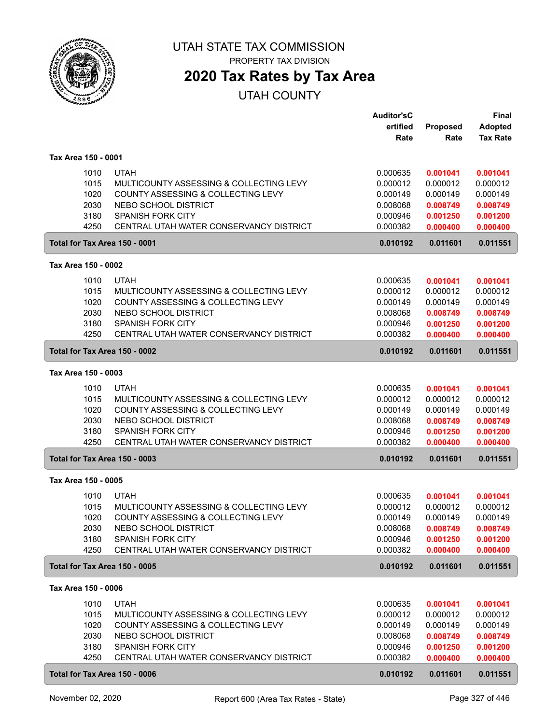

# **2020 Tax Rates by Tax Area**

|                     |                                         | <b>Auditor'sC</b> |                  | <b>Final</b>                      |
|---------------------|-----------------------------------------|-------------------|------------------|-----------------------------------|
|                     |                                         | ertified<br>Rate  | Proposed<br>Rate | <b>Adopted</b><br><b>Tax Rate</b> |
|                     |                                         |                   |                  |                                   |
| Tax Area 150 - 0001 |                                         |                   |                  |                                   |
| 1010                | <b>UTAH</b>                             | 0.000635          | 0.001041         | 0.001041                          |
| 1015                | MULTICOUNTY ASSESSING & COLLECTING LEVY | 0.000012          | 0.000012         | 0.000012                          |
| 1020                | COUNTY ASSESSING & COLLECTING LEVY      | 0.000149          | 0.000149         | 0.000149                          |
| 2030                | NEBO SCHOOL DISTRICT                    | 0.008068          | 0.008749         | 0.008749                          |
| 3180                | <b>SPANISH FORK CITY</b>                | 0.000946          | 0.001250         | 0.001200                          |
| 4250                | CENTRAL UTAH WATER CONSERVANCY DISTRICT | 0.000382          | 0.000400         | 0.000400                          |
|                     | Total for Tax Area 150 - 0001           | 0.010192          | 0.011601         | 0.011551                          |
| Tax Area 150 - 0002 |                                         |                   |                  |                                   |
| 1010                | <b>UTAH</b>                             | 0.000635          | 0.001041         | 0.001041                          |
| 1015                | MULTICOUNTY ASSESSING & COLLECTING LEVY | 0.000012          | 0.000012         | 0.000012                          |
| 1020                | COUNTY ASSESSING & COLLECTING LEVY      | 0.000149          | 0.000149         | 0.000149                          |
| 2030                | NEBO SCHOOL DISTRICT                    | 0.008068          | 0.008749         | 0.008749                          |
| 3180                | <b>SPANISH FORK CITY</b>                | 0.000946          | 0.001250         | 0.001200                          |
| 4250                | CENTRAL UTAH WATER CONSERVANCY DISTRICT | 0.000382          | 0.000400         | 0.000400                          |
|                     | Total for Tax Area 150 - 0002           | 0.010192          | 0.011601         | 0.011551                          |
| Tax Area 150 - 0003 |                                         |                   |                  |                                   |
| 1010                | <b>UTAH</b>                             | 0.000635          | 0.001041         | 0.001041                          |
| 1015                | MULTICOUNTY ASSESSING & COLLECTING LEVY | 0.000012          | 0.000012         | 0.000012                          |
| 1020                | COUNTY ASSESSING & COLLECTING LEVY      | 0.000149          | 0.000149         | 0.000149                          |
| 2030                | NEBO SCHOOL DISTRICT                    | 0.008068          | 0.008749         | 0.008749                          |
| 3180                | SPANISH FORK CITY                       | 0.000946          | 0.001250         | 0.001200                          |
| 4250                | CENTRAL UTAH WATER CONSERVANCY DISTRICT | 0.000382          | 0.000400         | 0.000400                          |
|                     | Total for Tax Area 150 - 0003           | 0.010192          | 0.011601         | 0.011551                          |
| Tax Area 150 - 0005 |                                         |                   |                  |                                   |
| 1010                | <b>UTAH</b>                             | 0.000635          | 0.001041         | 0.001041                          |
| 1015                | MULTICOUNTY ASSESSING & COLLECTING LEVY | 0.000012          | 0.000012         | 0.000012                          |
| 1020                | COUNTY ASSESSING & COLLECTING LEVY      | 0.000149          | 0.000149         | 0.000149                          |
| 2030                | NEBO SCHOOL DISTRICT                    | 0.008068          | 0.008749         | 0.008749                          |
| 3180                | SPANISH FORK CITY                       | 0.000946          | 0.001250         | 0.001200                          |
| 4250                | CENTRAL UTAH WATER CONSERVANCY DISTRICT | 0.000382          | 0.000400         | 0.000400                          |
|                     | Total for Tax Area 150 - 0005           | 0.010192          | 0.011601         | 0.011551                          |
| Tax Area 150 - 0006 |                                         |                   |                  |                                   |
| 1010                | <b>UTAH</b>                             | 0.000635          | 0.001041         | 0.001041                          |
| 1015                | MULTICOUNTY ASSESSING & COLLECTING LEVY | 0.000012          | 0.000012         | 0.000012                          |
| 1020                | COUNTY ASSESSING & COLLECTING LEVY      | 0.000149          | 0.000149         | 0.000149                          |
| 2030                | NEBO SCHOOL DISTRICT                    | 0.008068          | 0.008749         | 0.008749                          |
| 3180                | SPANISH FORK CITY                       | 0.000946          | 0.001250         | 0.001200                          |
| 4250                | CENTRAL UTAH WATER CONSERVANCY DISTRICT | 0.000382          | 0.000400         | 0.000400                          |
|                     | Total for Tax Area 150 - 0006           | 0.010192          | 0.011601         | 0.011551                          |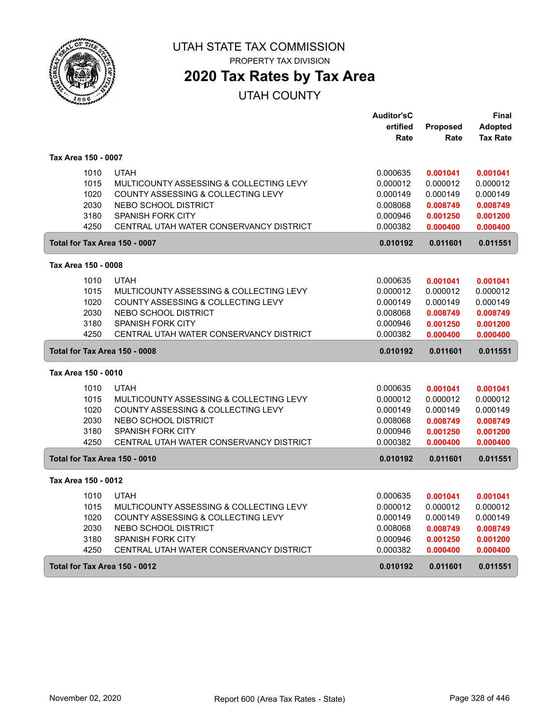

# **2020 Tax Rates by Tax Area**

|                               |                                         | <b>Auditor'sC</b> |                 | Final           |
|-------------------------------|-----------------------------------------|-------------------|-----------------|-----------------|
|                               |                                         | ertified          | <b>Proposed</b> | <b>Adopted</b>  |
|                               |                                         | Rate              | Rate            | <b>Tax Rate</b> |
| Tax Area 150 - 0007           |                                         |                   |                 |                 |
| 1010                          | <b>UTAH</b>                             | 0.000635          | 0.001041        | 0.001041        |
| 1015                          | MULTICOUNTY ASSESSING & COLLECTING LEVY | 0.000012          | 0.000012        | 0.000012        |
| 1020                          | COUNTY ASSESSING & COLLECTING LEVY      | 0.000149          | 0.000149        | 0.000149        |
| 2030                          | <b>NEBO SCHOOL DISTRICT</b>             | 0.008068          | 0.008749        | 0.008749        |
| 3180                          | <b>SPANISH FORK CITY</b>                | 0.000946          | 0.001250        | 0.001200        |
| 4250                          | CENTRAL UTAH WATER CONSERVANCY DISTRICT | 0.000382          | 0.000400        | 0.000400        |
| Total for Tax Area 150 - 0007 |                                         | 0.010192          | 0.011601        | 0.011551        |
| Tax Area 150 - 0008           |                                         |                   |                 |                 |
| 1010                          | <b>UTAH</b>                             | 0.000635          | 0.001041        | 0.001041        |
| 1015                          | MULTICOUNTY ASSESSING & COLLECTING LEVY | 0.000012          | 0.000012        | 0.000012        |
| 1020                          | COUNTY ASSESSING & COLLECTING LEVY      | 0.000149          | 0.000149        | 0.000149        |
| 2030                          | <b>NEBO SCHOOL DISTRICT</b>             | 0.008068          | 0.008749        | 0.008749        |
| 3180                          | <b>SPANISH FORK CITY</b>                | 0.000946          | 0.001250        | 0.001200        |
| 4250                          | CENTRAL UTAH WATER CONSERVANCY DISTRICT | 0.000382          | 0.000400        | 0.000400        |
| Total for Tax Area 150 - 0008 |                                         | 0.010192          | 0.011601        | 0.011551        |
| Tax Area 150 - 0010           |                                         |                   |                 |                 |
| 1010                          | <b>UTAH</b>                             | 0.000635          | 0.001041        | 0.001041        |
| 1015                          | MULTICOUNTY ASSESSING & COLLECTING LEVY | 0.000012          | 0.000012        | 0.000012        |
| 1020                          | COUNTY ASSESSING & COLLECTING LEVY      | 0.000149          | 0.000149        | 0.000149        |
| 2030                          | NEBO SCHOOL DISTRICT                    | 0.008068          | 0.008749        | 0.008749        |
| 3180                          | <b>SPANISH FORK CITY</b>                | 0.000946          | 0.001250        | 0.001200        |
| 4250                          | CENTRAL UTAH WATER CONSERVANCY DISTRICT | 0.000382          | 0.000400        | 0.000400        |
| Total for Tax Area 150 - 0010 |                                         | 0.010192          | 0.011601        | 0.011551        |
| Tax Area 150 - 0012           |                                         |                   |                 |                 |
| 1010                          | <b>UTAH</b>                             | 0.000635          | 0.001041        | 0.001041        |
| 1015                          | MULTICOUNTY ASSESSING & COLLECTING LEVY | 0.000012          | 0.000012        | 0.000012        |
| 1020                          | COUNTY ASSESSING & COLLECTING LEVY      | 0.000149          | 0.000149        | 0.000149        |
| 2030                          | NEBO SCHOOL DISTRICT                    | 0.008068          | 0.008749        | 0.008749        |
| 3180                          | <b>SPANISH FORK CITY</b>                | 0.000946          | 0.001250        | 0.001200        |
| 4250                          | CENTRAL UTAH WATER CONSERVANCY DISTRICT | 0.000382          | 0.000400        | 0.000400        |
| Total for Tax Area 150 - 0012 |                                         | 0.010192          | 0.011601        | 0.011551        |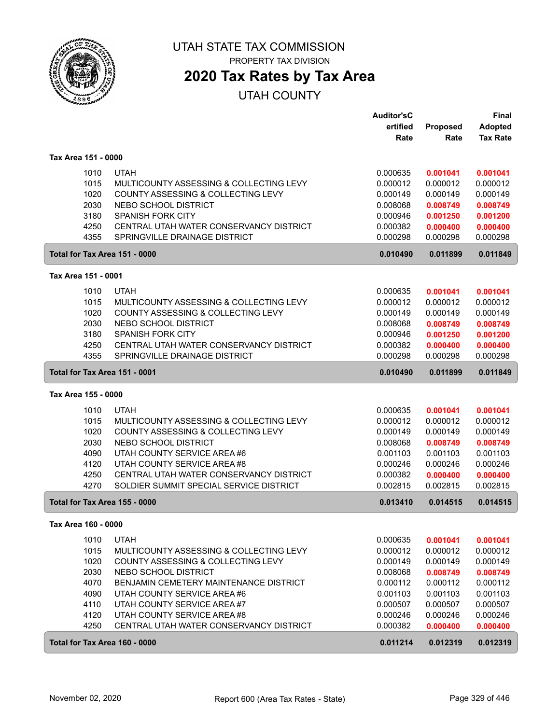

PROPERTY TAX DIVISION

## **2020 Tax Rates by Tax Area**

|                     |      |                                               | <b>Auditor'sC</b><br>ertified | Proposed | Final<br><b>Adopted</b> |
|---------------------|------|-----------------------------------------------|-------------------------------|----------|-------------------------|
|                     |      |                                               | Rate                          | Rate     | <b>Tax Rate</b>         |
| Tax Area 151 - 0000 |      |                                               |                               |          |                         |
|                     | 1010 | <b>UTAH</b>                                   | 0.000635                      | 0.001041 | 0.001041                |
|                     | 1015 | MULTICOUNTY ASSESSING & COLLECTING LEVY       | 0.000012                      | 0.000012 | 0.000012                |
|                     | 1020 | COUNTY ASSESSING & COLLECTING LEVY            | 0.000149                      | 0.000149 | 0.000149                |
|                     | 2030 | NEBO SCHOOL DISTRICT                          | 0.008068                      | 0.008749 | 0.008749                |
|                     | 3180 | <b>SPANISH FORK CITY</b>                      | 0.000946                      | 0.001250 | 0.001200                |
|                     | 4250 | CENTRAL UTAH WATER CONSERVANCY DISTRICT       | 0.000382                      | 0.000400 | 0.000400                |
|                     | 4355 | SPRINGVILLE DRAINAGE DISTRICT                 | 0.000298                      | 0.000298 | 0.000298                |
|                     |      | Total for Tax Area 151 - 0000                 | 0.010490                      | 0.011899 | 0.011849                |
| Tax Area 151 - 0001 |      |                                               |                               |          |                         |
|                     | 1010 | <b>UTAH</b>                                   | 0.000635                      | 0.001041 | 0.001041                |
|                     | 1015 | MULTICOUNTY ASSESSING & COLLECTING LEVY       | 0.000012                      | 0.000012 | 0.000012                |
|                     | 1020 | COUNTY ASSESSING & COLLECTING LEVY            | 0.000149                      | 0.000149 | 0.000149                |
|                     | 2030 | NEBO SCHOOL DISTRICT                          | 0.008068                      | 0.008749 | 0.008749                |
|                     | 3180 | <b>SPANISH FORK CITY</b>                      | 0.000946                      | 0.001250 | 0.001200                |
|                     | 4250 | CENTRAL UTAH WATER CONSERVANCY DISTRICT       | 0.000382                      | 0.000400 | 0.000400                |
|                     | 4355 | SPRINGVILLE DRAINAGE DISTRICT                 | 0.000298                      | 0.000298 | 0.000298                |
|                     |      | Total for Tax Area 151 - 0001                 | 0.010490                      | 0.011899 | 0.011849                |
| Tax Area 155 - 0000 |      |                                               |                               |          |                         |
|                     | 1010 | <b>UTAH</b>                                   | 0.000635                      | 0.001041 | 0.001041                |
|                     | 1015 | MULTICOUNTY ASSESSING & COLLECTING LEVY       | 0.000012                      | 0.000012 | 0.000012                |
|                     | 1020 | COUNTY ASSESSING & COLLECTING LEVY            | 0.000149                      | 0.000149 | 0.000149                |
|                     | 2030 | NEBO SCHOOL DISTRICT                          | 0.008068                      | 0.008749 | 0.008749                |
|                     | 4090 | UTAH COUNTY SERVICE AREA #6                   | 0.001103                      | 0.001103 | 0.001103                |
|                     | 4120 | UTAH COUNTY SERVICE AREA #8                   | 0.000246                      | 0.000246 | 0.000246                |
|                     | 4250 | CENTRAL UTAH WATER CONSERVANCY DISTRICT       | 0.000382                      | 0.000400 | 0.000400                |
|                     | 4270 | SOLDIER SUMMIT SPECIAL SERVICE DISTRICT       | 0.002815                      | 0.002815 | 0.002815                |
|                     |      | Total for Tax Area 155 - 0000                 | 0.013410                      | 0.014515 | 0.014515                |
| Tax Area 160 - 0000 |      |                                               |                               |          |                         |
|                     | 1010 | <b>UTAH</b>                                   | 0.000635                      | 0.001041 | 0.001041                |
|                     | 1015 | MULTICOUNTY ASSESSING & COLLECTING LEVY       | 0.000012                      | 0.000012 | 0.000012                |
|                     | 1020 | COUNTY ASSESSING & COLLECTING LEVY            | 0.000149                      | 0.000149 | 0.000149                |
|                     | 2030 | NEBO SCHOOL DISTRICT                          | 0.008068                      | 0.008749 | 0.008749                |
|                     | 4070 | <b>BENJAMIN CEMETERY MAINTENANCE DISTRICT</b> | 0.000112                      | 0.000112 | 0.000112                |
|                     | 4090 | UTAH COUNTY SERVICE AREA #6                   | 0.001103                      | 0.001103 | 0.001103                |
|                     | 4110 | UTAH COUNTY SERVICE AREA #7                   | 0.000507                      | 0.000507 | 0.000507                |
|                     | 4120 | UTAH COUNTY SERVICE AREA #8                   | 0.000246                      | 0.000246 | 0.000246                |
|                     | 4250 | CENTRAL UTAH WATER CONSERVANCY DISTRICT       | 0.000382                      | 0.000400 | 0.000400                |
|                     |      | Total for Tax Area 160 - 0000                 | 0.011214                      | 0.012319 | 0.012319                |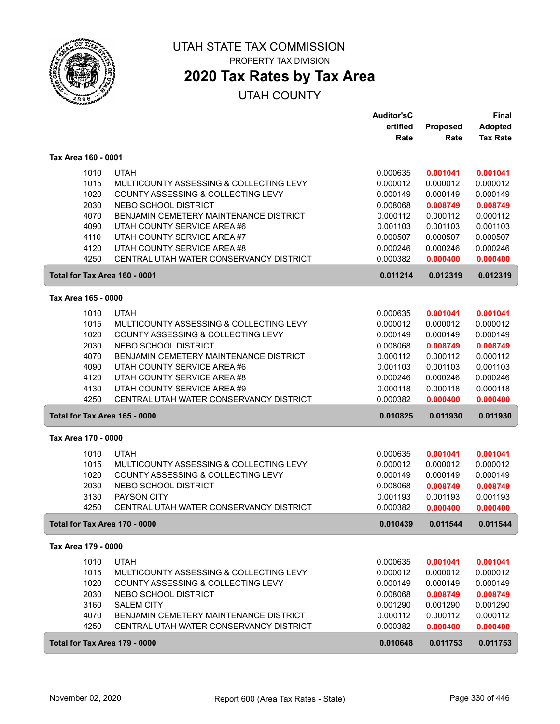

## **2020 Tax Rates by Tax Area**

|                                      |                                         | <b>Auditor'sC</b> |          | Final           |  |
|--------------------------------------|-----------------------------------------|-------------------|----------|-----------------|--|
|                                      |                                         | ertified          | Proposed | <b>Adopted</b>  |  |
|                                      |                                         | Rate              | Rate     | <b>Tax Rate</b> |  |
| Tax Area 160 - 0001                  |                                         |                   |          |                 |  |
| 1010                                 | <b>UTAH</b>                             | 0.000635          | 0.001041 | 0.001041        |  |
| 1015                                 | MULTICOUNTY ASSESSING & COLLECTING LEVY | 0.000012          | 0.000012 | 0.000012        |  |
| 1020                                 | COUNTY ASSESSING & COLLECTING LEVY      | 0.000149          | 0.000149 | 0.000149        |  |
| 2030                                 | NEBO SCHOOL DISTRICT                    | 0.008068          | 0.008749 | 0.008749        |  |
| 4070                                 | BENJAMIN CEMETERY MAINTENANCE DISTRICT  | 0.000112          | 0.000112 | 0.000112        |  |
| 4090                                 | UTAH COUNTY SERVICE AREA #6             | 0.001103          | 0.001103 | 0.001103        |  |
| 4110                                 | UTAH COUNTY SERVICE AREA #7             | 0.000507          | 0.000507 | 0.000507        |  |
| 4120                                 | UTAH COUNTY SERVICE AREA #8             | 0.000246          | 0.000246 | 0.000246        |  |
| 4250                                 | CENTRAL UTAH WATER CONSERVANCY DISTRICT | 0.000382          | 0.000400 | 0.000400        |  |
| Total for Tax Area 160 - 0001        |                                         | 0.011214          | 0.012319 | 0.012319        |  |
|                                      | Tax Area 165 - 0000                     |                   |          |                 |  |
| 1010                                 | <b>UTAH</b>                             | 0.000635          | 0.001041 | 0.001041        |  |
| 1015                                 | MULTICOUNTY ASSESSING & COLLECTING LEVY | 0.000012          | 0.000012 | 0.000012        |  |
| 1020                                 | COUNTY ASSESSING & COLLECTING LEVY      | 0.000149          | 0.000149 | 0.000149        |  |
| 2030                                 | NEBO SCHOOL DISTRICT                    | 0.008068          | 0.008749 | 0.008749        |  |
| 4070                                 | BENJAMIN CEMETERY MAINTENANCE DISTRICT  | 0.000112          | 0.000112 | 0.000112        |  |
| 4090                                 | UTAH COUNTY SERVICE AREA #6             | 0.001103          | 0.001103 | 0.001103        |  |
| 4120                                 | UTAH COUNTY SERVICE AREA #8             | 0.000246          | 0.000246 | 0.000246        |  |
| 4130                                 | UTAH COUNTY SERVICE AREA #9             | 0.000118          | 0.000118 | 0.000118        |  |
| 4250                                 | CENTRAL UTAH WATER CONSERVANCY DISTRICT | 0.000382          | 0.000400 | 0.000400        |  |
| <b>Total for Tax Area 165 - 0000</b> |                                         | 0.010825          | 0.011930 | 0.011930        |  |
| Tax Area 170 - 0000                  |                                         |                   |          |                 |  |
| 1010                                 | <b>UTAH</b>                             | 0.000635          | 0.001041 | 0.001041        |  |
| 1015                                 | MULTICOUNTY ASSESSING & COLLECTING LEVY | 0.000012          | 0.000012 | 0.000012        |  |
| 1020                                 | COUNTY ASSESSING & COLLECTING LEVY      | 0.000149          | 0.000149 | 0.000149        |  |
| 2030                                 | NEBO SCHOOL DISTRICT                    | 0.008068          | 0.008749 | 0.008749        |  |
| 3130                                 | PAYSON CITY                             | 0.001193          | 0.001193 | 0.001193        |  |
| 4250                                 | CENTRAL UTAH WATER CONSERVANCY DISTRICT | 0.000382          | 0.000400 | 0.000400        |  |
| Total for Tax Area 170 - 0000        |                                         | 0.010439          | 0.011544 | 0.011544        |  |
| Tax Area 179 - 0000                  |                                         |                   |          |                 |  |
| 1010                                 | <b>UTAH</b>                             | 0.000635          | 0.001041 | 0.001041        |  |
| 1015                                 | MULTICOUNTY ASSESSING & COLLECTING LEVY | 0.000012          | 0.000012 | 0.000012        |  |
| 1020                                 | COUNTY ASSESSING & COLLECTING LEVY      | 0.000149          | 0.000149 | 0.000149        |  |
| 2030                                 | NEBO SCHOOL DISTRICT                    | 0.008068          | 0.008749 | 0.008749        |  |
| 3160                                 | <b>SALEM CITY</b>                       | 0.001290          | 0.001290 | 0.001290        |  |
| 4070                                 | BENJAMIN CEMETERY MAINTENANCE DISTRICT  | 0.000112          | 0.000112 | 0.000112        |  |
| 4250                                 | CENTRAL UTAH WATER CONSERVANCY DISTRICT | 0.000382          | 0.000400 | 0.000400        |  |
| Total for Tax Area 179 - 0000        |                                         | 0.010648          | 0.011753 | 0.011753        |  |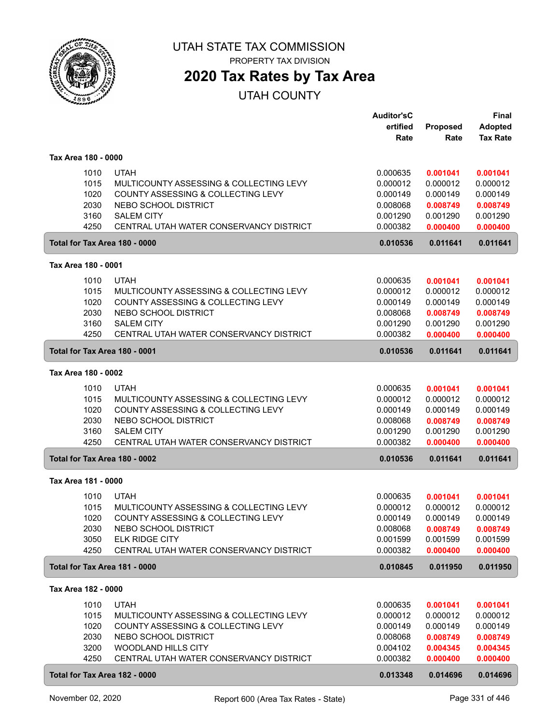

# **2020 Tax Rates by Tax Area**

|                               |                                                              | <b>Auditor'sC</b><br>ertified | Proposed             | <b>Final</b><br><b>Adopted</b> |
|-------------------------------|--------------------------------------------------------------|-------------------------------|----------------------|--------------------------------|
|                               |                                                              | Rate                          | Rate                 | <b>Tax Rate</b>                |
| Tax Area 180 - 0000           |                                                              |                               |                      |                                |
| 1010                          | <b>UTAH</b>                                                  | 0.000635                      | 0.001041             | 0.001041                       |
| 1015                          | MULTICOUNTY ASSESSING & COLLECTING LEVY                      | 0.000012                      | 0.000012             | 0.000012                       |
| 1020                          | COUNTY ASSESSING & COLLECTING LEVY                           | 0.000149                      | 0.000149             | 0.000149                       |
| 2030                          | NEBO SCHOOL DISTRICT                                         | 0.008068                      | 0.008749             | 0.008749                       |
| 3160<br>4250                  | <b>SALEM CITY</b><br>CENTRAL UTAH WATER CONSERVANCY DISTRICT | 0.001290<br>0.000382          | 0.001290<br>0.000400 | 0.001290                       |
| Total for Tax Area 180 - 0000 |                                                              | 0.010536                      | 0.011641             | 0.000400<br>0.011641           |
|                               |                                                              |                               |                      |                                |
| Tax Area 180 - 0001           |                                                              |                               |                      |                                |
| 1010                          | <b>UTAH</b>                                                  | 0.000635                      | 0.001041             | 0.001041                       |
| 1015                          | MULTICOUNTY ASSESSING & COLLECTING LEVY                      | 0.000012                      | 0.000012             | 0.000012                       |
| 1020                          | COUNTY ASSESSING & COLLECTING LEVY                           | 0.000149                      | 0.000149             | 0.000149                       |
| 2030                          | NEBO SCHOOL DISTRICT                                         | 0.008068                      | 0.008749             | 0.008749                       |
| 3160<br>4250                  | <b>SALEM CITY</b><br>CENTRAL UTAH WATER CONSERVANCY DISTRICT | 0.001290<br>0.000382          | 0.001290<br>0.000400 | 0.001290<br>0.000400           |
|                               |                                                              |                               |                      |                                |
| Total for Tax Area 180 - 0001 |                                                              | 0.010536                      | 0.011641             | 0.011641                       |
| Tax Area 180 - 0002           |                                                              |                               |                      |                                |
| 1010                          | <b>UTAH</b>                                                  | 0.000635                      | 0.001041             | 0.001041                       |
| 1015                          | MULTICOUNTY ASSESSING & COLLECTING LEVY                      | 0.000012                      | 0.000012             | 0.000012                       |
| 1020                          | COUNTY ASSESSING & COLLECTING LEVY                           | 0.000149                      | 0.000149             | 0.000149                       |
| 2030                          | NEBO SCHOOL DISTRICT                                         | 0.008068                      | 0.008749             | 0.008749                       |
| 3160                          | <b>SALEM CITY</b>                                            | 0.001290                      | 0.001290             | 0.001290                       |
| 4250                          | CENTRAL UTAH WATER CONSERVANCY DISTRICT                      | 0.000382                      | 0.000400             | 0.000400                       |
| Total for Tax Area 180 - 0002 |                                                              | 0.010536                      | 0.011641             | 0.011641                       |
| Tax Area 181 - 0000           |                                                              |                               |                      |                                |
| 1010                          | <b>UTAH</b>                                                  | 0.000635                      | 0.001041             | 0.001041                       |
| 1015                          | MULTICOUNTY ASSESSING & COLLECTING LEVY                      | 0.000012                      | 0.000012             | 0.000012                       |
| 1020                          | COUNTY ASSESSING & COLLECTING LEVY                           | 0.000149                      | 0.000149             | 0.000149                       |
| 2030                          | NEBO SCHOOL DISTRICT                                         | 0.008068                      | 0.008749             | 0.008749                       |
| 3050                          | <b>ELK RIDGE CITY</b>                                        | 0.001599                      | 0.001599             | 0.001599                       |
| 4250                          | CENTRAL UTAH WATER CONSERVANCY DISTRICT                      | 0.000382                      | 0.000400             | 0.000400                       |
| Total for Tax Area 181 - 0000 |                                                              | 0.010845                      | 0.011950             | 0.011950                       |
| Tax Area 182 - 0000           |                                                              |                               |                      |                                |
| 1010                          | <b>UTAH</b>                                                  | 0.000635                      | 0.001041             | 0.001041                       |
| 1015                          | MULTICOUNTY ASSESSING & COLLECTING LEVY                      | 0.000012                      | 0.000012             | 0.000012                       |
| 1020                          | COUNTY ASSESSING & COLLECTING LEVY                           | 0.000149                      | 0.000149             | 0.000149                       |
| 2030                          | NEBO SCHOOL DISTRICT                                         | 0.008068                      | 0.008749             | 0.008749                       |
| 3200                          | WOODLAND HILLS CITY                                          | 0.004102                      | 0.004345             | 0.004345                       |
| 4250                          | CENTRAL UTAH WATER CONSERVANCY DISTRICT                      | 0.000382                      | 0.000400             | 0.000400                       |
| Total for Tax Area 182 - 0000 |                                                              | 0.013348                      | 0.014696             | 0.014696                       |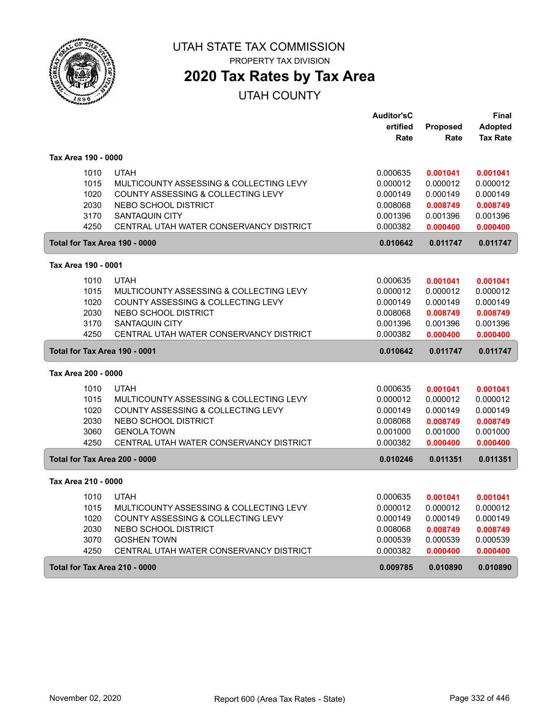

# **2020 Tax Rates by Tax Area**

|                               |                                         | <b>Auditor'sC</b> |                 | Final           |
|-------------------------------|-----------------------------------------|-------------------|-----------------|-----------------|
|                               |                                         | ertified          | <b>Proposed</b> | Adopted         |
|                               |                                         | Rate              | Rate            | <b>Tax Rate</b> |
| Tax Area 190 - 0000           |                                         |                   |                 |                 |
| 1010                          | <b>UTAH</b>                             | 0.000635          | 0.001041        | 0.001041        |
| 1015                          | MULTICOUNTY ASSESSING & COLLECTING LEVY | 0.000012          | 0.000012        | 0.000012        |
| 1020                          | COUNTY ASSESSING & COLLECTING LEVY      | 0.000149          | 0.000149        | 0.000149        |
| 2030                          | NEBO SCHOOL DISTRICT                    | 0.008068          | 0.008749        | 0.008749        |
| 3170                          | <b>SANTAQUIN CITY</b>                   | 0.001396          | 0.001396        | 0.001396        |
| 4250                          | CENTRAL UTAH WATER CONSERVANCY DISTRICT | 0.000382          | 0.000400        | 0.000400        |
| Total for Tax Area 190 - 0000 |                                         | 0.010642          | 0.011747        | 0.011747        |
| Tax Area 190 - 0001           |                                         |                   |                 |                 |
| 1010                          | <b>UTAH</b>                             | 0.000635          | 0.001041        | 0.001041        |
| 1015                          | MULTICOUNTY ASSESSING & COLLECTING LEVY | 0.000012          | 0.000012        | 0.000012        |
| 1020                          | COUNTY ASSESSING & COLLECTING LEVY      | 0.000149          | 0.000149        | 0.000149        |
| 2030                          | NEBO SCHOOL DISTRICT                    | 0.008068          | 0.008749        | 0.008749        |
| 3170                          | <b>SANTAQUIN CITY</b>                   | 0.001396          | 0.001396        | 0.001396        |
| 4250                          | CENTRAL UTAH WATER CONSERVANCY DISTRICT | 0.000382          | 0.000400        | 0.000400        |
| Total for Tax Area 190 - 0001 |                                         | 0.010642          | 0.011747        | 0.011747        |
| Tax Area 200 - 0000           |                                         |                   |                 |                 |
| 1010                          | <b>UTAH</b>                             | 0.000635          | 0.001041        | 0.001041        |
| 1015                          | MULTICOUNTY ASSESSING & COLLECTING LEVY | 0.000012          | 0.000012        | 0.000012        |
| 1020                          | COUNTY ASSESSING & COLLECTING LEVY      | 0.000149          | 0.000149        | 0.000149        |
| 2030                          | NEBO SCHOOL DISTRICT                    | 0.008068          | 0.008749        | 0.008749        |
| 3060                          | <b>GENOLA TOWN</b>                      | 0.001000          | 0.001000        | 0.001000        |
| 4250                          | CENTRAL UTAH WATER CONSERVANCY DISTRICT | 0.000382          | 0.000400        | 0.000400        |
| Total for Tax Area 200 - 0000 |                                         | 0.010246          | 0.011351        | 0.011351        |
| Tax Area 210 - 0000           |                                         |                   |                 |                 |
| 1010                          | <b>UTAH</b>                             | 0.000635          | 0.001041        | 0.001041        |
| 1015                          | MULTICOUNTY ASSESSING & COLLECTING LEVY | 0.000012          | 0.000012        | 0.000012        |
| 1020                          | COUNTY ASSESSING & COLLECTING LEVY      | 0.000149          | 0.000149        | 0.000149        |
| 2030                          | NEBO SCHOOL DISTRICT                    | 0.008068          | 0.008749        | 0.008749        |
| 3070                          | <b>GOSHEN TOWN</b>                      | 0.000539          | 0.000539        | 0.000539        |
| 4250                          | CENTRAL UTAH WATER CONSERVANCY DISTRICT | 0.000382          | 0.000400        | 0.000400        |
| Total for Tax Area 210 - 0000 |                                         | 0.009785          | 0.010890        | 0.010890        |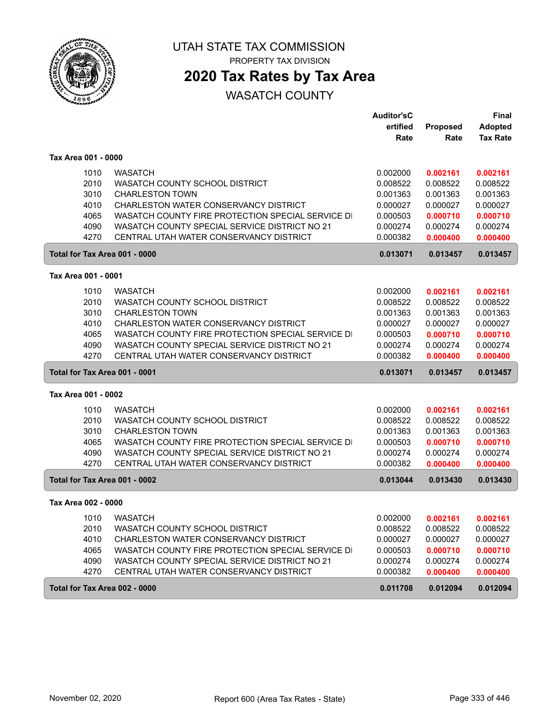

PROPERTY TAX DIVISION

## **2020 Tax Rates by Tax Area**

|                               |                                                   | <b>Auditor'sC</b> |                 | <b>Final</b>    |
|-------------------------------|---------------------------------------------------|-------------------|-----------------|-----------------|
|                               |                                                   | ertified          | <b>Proposed</b> | <b>Adopted</b>  |
|                               |                                                   | Rate              | Rate            | <b>Tax Rate</b> |
| Tax Area 001 - 0000           |                                                   |                   |                 |                 |
| 1010                          | <b>WASATCH</b>                                    | 0.002000          | 0.002161        | 0.002161        |
| 2010                          | WASATCH COUNTY SCHOOL DISTRICT                    | 0.008522          | 0.008522        | 0.008522        |
| 3010                          | <b>CHARLESTON TOWN</b>                            | 0.001363          | 0.001363        | 0.001363        |
| 4010                          | CHARLESTON WATER CONSERVANCY DISTRICT             | 0.000027          | 0.000027        | 0.000027        |
| 4065                          | WASATCH COUNTY FIRE PROTECTION SPECIAL SERVICE DI | 0.000503          | 0.000710        | 0.000710        |
| 4090                          | WASATCH COUNTY SPECIAL SERVICE DISTRICT NO 21     | 0.000274          | 0.000274        | 0.000274        |
| 4270                          | CENTRAL UTAH WATER CONSERVANCY DISTRICT           | 0.000382          | 0.000400        | 0.000400        |
| Total for Tax Area 001 - 0000 |                                                   | 0.013071          | 0.013457        | 0.013457        |
| Tax Area 001 - 0001           |                                                   |                   |                 |                 |
| 1010                          | <b>WASATCH</b>                                    | 0.002000          | 0.002161        | 0.002161        |
| 2010                          | WASATCH COUNTY SCHOOL DISTRICT                    | 0.008522          | 0.008522        | 0.008522        |
| 3010                          | <b>CHARLESTON TOWN</b>                            | 0.001363          | 0.001363        | 0.001363        |
| 4010                          | CHARLESTON WATER CONSERVANCY DISTRICT             | 0.000027          | 0.000027        | 0.000027        |
| 4065                          | WASATCH COUNTY FIRE PROTECTION SPECIAL SERVICE DI | 0.000503          | 0.000710        | 0.000710        |
| 4090                          | WASATCH COUNTY SPECIAL SERVICE DISTRICT NO 21     | 0.000274          | 0.000274        | 0.000274        |
| 4270                          | CENTRAL UTAH WATER CONSERVANCY DISTRICT           | 0.000382          | 0.000400        | 0.000400        |
| Total for Tax Area 001 - 0001 |                                                   | 0.013071          | 0.013457        | 0.013457        |
| Tax Area 001 - 0002           |                                                   |                   |                 |                 |
| 1010                          | <b>WASATCH</b>                                    | 0.002000          | 0.002161        | 0.002161        |
| 2010                          | WASATCH COUNTY SCHOOL DISTRICT                    | 0.008522          | 0.008522        | 0.008522        |
| 3010                          | <b>CHARLESTON TOWN</b>                            | 0.001363          | 0.001363        | 0.001363        |
| 4065                          | WASATCH COUNTY FIRE PROTECTION SPECIAL SERVICE DI | 0.000503          | 0.000710        | 0.000710        |
| 4090                          | WASATCH COUNTY SPECIAL SERVICE DISTRICT NO 21     | 0.000274          | 0.000274        | 0.000274        |
| 4270                          | CENTRAL UTAH WATER CONSERVANCY DISTRICT           | 0.000382          | 0.000400        | 0.000400        |
| Total for Tax Area 001 - 0002 |                                                   | 0.013044          | 0.013430        | 0.013430        |
| Tax Area 002 - 0000           |                                                   |                   |                 |                 |
| 1010                          | <b>WASATCH</b>                                    | 0.002000          | 0.002161        | 0.002161        |
| 2010                          | WASATCH COUNTY SCHOOL DISTRICT                    | 0.008522          | 0.008522        | 0.008522        |
| 4010                          | CHARLESTON WATER CONSERVANCY DISTRICT             | 0.000027          | 0.000027        | 0.000027        |
| 4065                          | WASATCH COUNTY FIRE PROTECTION SPECIAL SERVICE DI | 0.000503          | 0.000710        | 0.000710        |
| 4090                          | WASATCH COUNTY SPECIAL SERVICE DISTRICT NO 21     | 0.000274          | 0.000274        | 0.000274        |
| 4270                          | CENTRAL UTAH WATER CONSERVANCY DISTRICT           | 0.000382          | 0.000400        | 0.000400        |
| Total for Tax Area 002 - 0000 |                                                   | 0.011708          | 0.012094        | 0.012094        |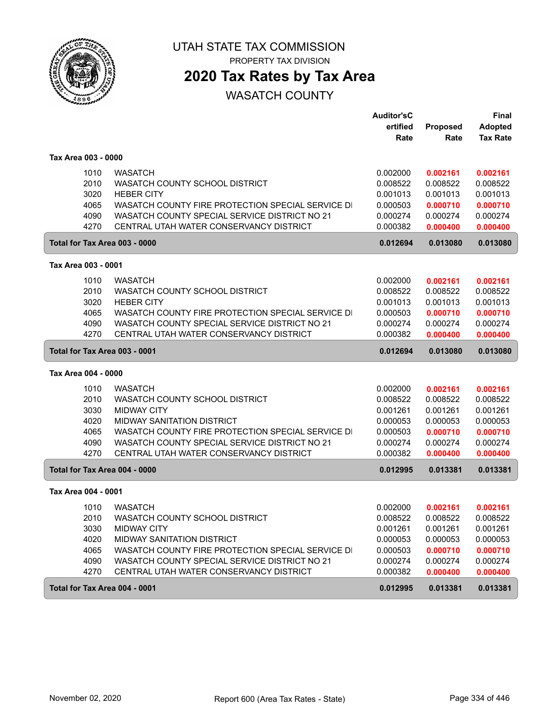

PROPERTY TAX DIVISION

## **2020 Tax Rates by Tax Area**

|                               |                                                   | <b>Auditor'sC</b> |          | Final           |
|-------------------------------|---------------------------------------------------|-------------------|----------|-----------------|
|                               |                                                   | ertified          | Proposed | <b>Adopted</b>  |
|                               |                                                   | Rate              | Rate     | <b>Tax Rate</b> |
| Tax Area 003 - 0000           |                                                   |                   |          |                 |
| 1010                          | <b>WASATCH</b>                                    | 0.002000          | 0.002161 | 0.002161        |
| 2010                          | WASATCH COUNTY SCHOOL DISTRICT                    | 0.008522          | 0.008522 | 0.008522        |
| 3020                          | <b>HEBER CITY</b>                                 | 0.001013          | 0.001013 | 0.001013        |
| 4065                          | WASATCH COUNTY FIRE PROTECTION SPECIAL SERVICE DI | 0.000503          | 0.000710 | 0.000710        |
| 4090                          | WASATCH COUNTY SPECIAL SERVICE DISTRICT NO 21     | 0.000274          | 0.000274 | 0.000274        |
| 4270                          | CENTRAL UTAH WATER CONSERVANCY DISTRICT           | 0.000382          | 0.000400 | 0.000400        |
| Total for Tax Area 003 - 0000 |                                                   | 0.012694          | 0.013080 | 0.013080        |
| Tax Area 003 - 0001           |                                                   |                   |          |                 |
| 1010                          | <b>WASATCH</b>                                    | 0.002000          | 0.002161 | 0.002161        |
| 2010                          | WASATCH COUNTY SCHOOL DISTRICT                    | 0.008522          | 0.008522 | 0.008522        |
| 3020                          | <b>HEBER CITY</b>                                 | 0.001013          | 0.001013 | 0.001013        |
| 4065                          | WASATCH COUNTY FIRE PROTECTION SPECIAL SERVICE DI | 0.000503          | 0.000710 | 0.000710        |
| 4090                          | WASATCH COUNTY SPECIAL SERVICE DISTRICT NO 21     | 0.000274          | 0.000274 | 0.000274        |
| 4270                          | CENTRAL UTAH WATER CONSERVANCY DISTRICT           | 0.000382          | 0.000400 | 0.000400        |
| Total for Tax Area 003 - 0001 |                                                   | 0.012694          | 0.013080 | 0.013080        |
| Tax Area 004 - 0000           |                                                   |                   |          |                 |
| 1010                          | <b>WASATCH</b>                                    | 0.002000          | 0.002161 | 0.002161        |
| 2010                          | WASATCH COUNTY SCHOOL DISTRICT                    | 0.008522          | 0.008522 | 0.008522        |
| 3030                          | <b>MIDWAY CITY</b>                                | 0.001261          | 0.001261 | 0.001261        |
| 4020                          | <b>MIDWAY SANITATION DISTRICT</b>                 | 0.000053          | 0.000053 | 0.000053        |
| 4065                          | WASATCH COUNTY FIRE PROTECTION SPECIAL SERVICE DI | 0.000503          | 0.000710 | 0.000710        |
| 4090                          | WASATCH COUNTY SPECIAL SERVICE DISTRICT NO 21     | 0.000274          | 0.000274 | 0.000274        |
| 4270                          | CENTRAL UTAH WATER CONSERVANCY DISTRICT           | 0.000382          | 0.000400 | 0.000400        |
| Total for Tax Area 004 - 0000 |                                                   | 0.012995          | 0.013381 | 0.013381        |
| Tax Area 004 - 0001           |                                                   |                   |          |                 |
| 1010                          | <b>WASATCH</b>                                    | 0.002000          | 0.002161 | 0.002161        |
| 2010                          | <b>WASATCH COUNTY SCHOOL DISTRICT</b>             | 0.008522          | 0.008522 | 0.008522        |
| 3030                          | <b>MIDWAY CITY</b>                                | 0.001261          | 0.001261 | 0.001261        |
| 4020                          | <b>MIDWAY SANITATION DISTRICT</b>                 | 0.000053          | 0.000053 | 0.000053        |
| 4065                          | WASATCH COUNTY FIRE PROTECTION SPECIAL SERVICE DI | 0.000503          | 0.000710 | 0.000710        |
| 4090                          | WASATCH COUNTY SPECIAL SERVICE DISTRICT NO 21     | 0.000274          | 0.000274 | 0.000274        |
| 4270                          | CENTRAL UTAH WATER CONSERVANCY DISTRICT           | 0.000382          | 0.000400 | 0.000400        |
|                               |                                                   |                   |          |                 |
| Total for Tax Area 004 - 0001 |                                                   | 0.012995          | 0.013381 | 0.013381        |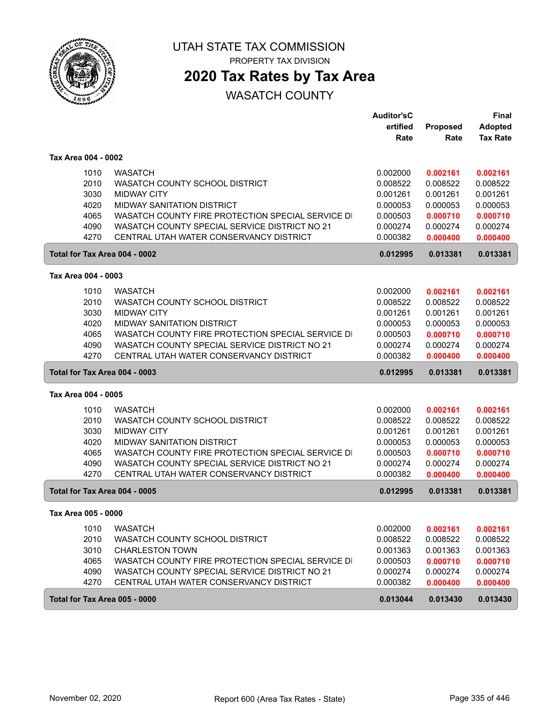

PROPERTY TAX DIVISION

## **2020 Tax Rates by Tax Area**

|                               |                                                   | <b>Auditor'sC</b> |          | Final           |
|-------------------------------|---------------------------------------------------|-------------------|----------|-----------------|
|                               |                                                   | ertified          | Proposed | <b>Adopted</b>  |
|                               |                                                   | Rate              | Rate     | <b>Tax Rate</b> |
| Tax Area 004 - 0002           |                                                   |                   |          |                 |
| 1010                          | <b>WASATCH</b>                                    | 0.002000          | 0.002161 | 0.002161        |
| 2010                          | WASATCH COUNTY SCHOOL DISTRICT                    | 0.008522          | 0.008522 | 0.008522        |
| 3030                          | <b>MIDWAY CITY</b>                                | 0.001261          | 0.001261 | 0.001261        |
| 4020                          | MIDWAY SANITATION DISTRICT                        | 0.000053          | 0.000053 | 0.000053        |
| 4065                          | WASATCH COUNTY FIRE PROTECTION SPECIAL SERVICE DI | 0.000503          | 0.000710 | 0.000710        |
| 4090                          | WASATCH COUNTY SPECIAL SERVICE DISTRICT NO 21     | 0.000274          | 0.000274 | 0.000274        |
| 4270                          | CENTRAL UTAH WATER CONSERVANCY DISTRICT           | 0.000382          | 0.000400 | 0.000400        |
| Total for Tax Area 004 - 0002 |                                                   | 0.012995          | 0.013381 | 0.013381        |
| Tax Area 004 - 0003           |                                                   |                   |          |                 |
| 1010                          | <b>WASATCH</b>                                    | 0.002000          | 0.002161 | 0.002161        |
| 2010                          | WASATCH COUNTY SCHOOL DISTRICT                    | 0.008522          | 0.008522 | 0.008522        |
| 3030                          | <b>MIDWAY CITY</b>                                | 0.001261          | 0.001261 | 0.001261        |
| 4020                          | <b>MIDWAY SANITATION DISTRICT</b>                 | 0.000053          | 0.000053 | 0.000053        |
| 4065                          | WASATCH COUNTY FIRE PROTECTION SPECIAL SERVICE DI | 0.000503          | 0.000710 | 0.000710        |
| 4090                          | WASATCH COUNTY SPECIAL SERVICE DISTRICT NO 21     | 0.000274          | 0.000274 | 0.000274        |
| 4270                          | CENTRAL UTAH WATER CONSERVANCY DISTRICT           | 0.000382          | 0.000400 | 0.000400        |
| Total for Tax Area 004 - 0003 |                                                   | 0.012995          | 0.013381 | 0.013381        |
| Tax Area 004 - 0005           |                                                   |                   |          |                 |
| 1010                          | <b>WASATCH</b>                                    | 0.002000          | 0.002161 | 0.002161        |
| 2010                          | WASATCH COUNTY SCHOOL DISTRICT                    | 0.008522          | 0.008522 | 0.008522        |
| 3030                          | <b>MIDWAY CITY</b>                                | 0.001261          | 0.001261 | 0.001261        |
| 4020                          | <b>MIDWAY SANITATION DISTRICT</b>                 | 0.000053          | 0.000053 | 0.000053        |
| 4065                          | WASATCH COUNTY FIRE PROTECTION SPECIAL SERVICE DI | 0.000503          | 0.000710 | 0.000710        |
| 4090                          | WASATCH COUNTY SPECIAL SERVICE DISTRICT NO 21     | 0.000274          | 0.000274 | 0.000274        |
| 4270                          | CENTRAL UTAH WATER CONSERVANCY DISTRICT           | 0.000382          | 0.000400 | 0.000400        |
| Total for Tax Area 004 - 0005 |                                                   | 0.012995          | 0.013381 | 0.013381        |
| Tax Area 005 - 0000           |                                                   |                   |          |                 |
| 1010                          | <b>WASATCH</b>                                    | 0.002000          | 0.002161 | 0.002161        |
| 2010                          | WASATCH COUNTY SCHOOL DISTRICT                    | 0.008522          | 0.008522 | 0.008522        |
| 3010                          | <b>CHARLESTON TOWN</b>                            | 0.001363          | 0.001363 | 0.001363        |
| 4065                          | WASATCH COUNTY FIRE PROTECTION SPECIAL SERVICE DI | 0.000503          | 0.000710 | 0.000710        |
| 4090                          | WASATCH COUNTY SPECIAL SERVICE DISTRICT NO 21     | 0.000274          | 0.000274 | 0.000274        |
| 4270                          | CENTRAL UTAH WATER CONSERVANCY DISTRICT           | 0.000382          | 0.000400 | 0.000400        |
| Total for Tax Area 005 - 0000 |                                                   | 0.013044          | 0.013430 | 0.013430        |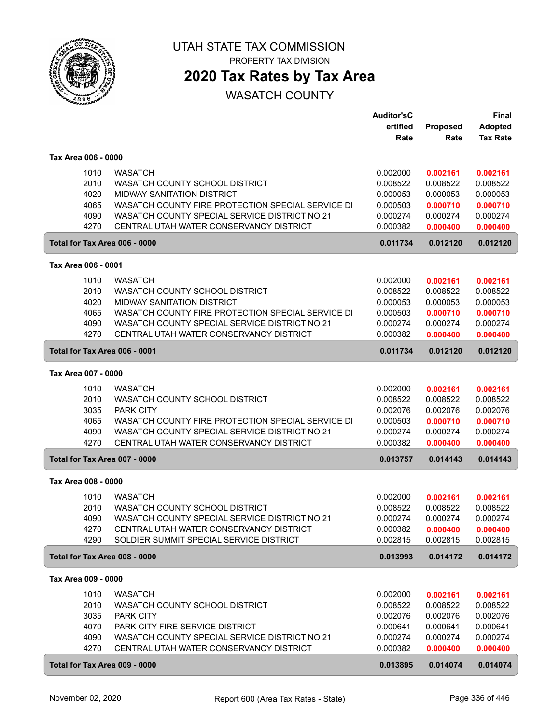

# **2020 Tax Rates by Tax Area**

|                     |                                                                     | <b>Auditor'sC</b>    |                      | Final                |
|---------------------|---------------------------------------------------------------------|----------------------|----------------------|----------------------|
|                     |                                                                     | ertified             | Proposed             | <b>Adopted</b>       |
|                     |                                                                     | Rate                 | Rate                 | <b>Tax Rate</b>      |
|                     |                                                                     |                      |                      |                      |
| Tax Area 006 - 0000 |                                                                     |                      |                      |                      |
| 1010                | <b>WASATCH</b>                                                      | 0.002000             | 0.002161             | 0.002161             |
| 2010                | WASATCH COUNTY SCHOOL DISTRICT                                      | 0.008522             | 0.008522             | 0.008522             |
| 4020                | <b>MIDWAY SANITATION DISTRICT</b>                                   | 0.000053             | 0.000053             | 0.000053             |
| 4065                | WASATCH COUNTY FIRE PROTECTION SPECIAL SERVICE DI                   | 0.000503             | 0.000710             | 0.000710             |
| 4090                | WASATCH COUNTY SPECIAL SERVICE DISTRICT NO 21                       | 0.000274             | 0.000274             | 0.000274             |
| 4270                | CENTRAL UTAH WATER CONSERVANCY DISTRICT                             | 0.000382             | 0.000400             | 0.000400             |
|                     | Total for Tax Area 006 - 0000                                       | 0.011734             | 0.012120             | 0.012120             |
| Tax Area 006 - 0001 |                                                                     |                      |                      |                      |
|                     |                                                                     |                      |                      |                      |
| 1010<br>2010        | <b>WASATCH</b>                                                      | 0.002000             | 0.002161             | 0.002161             |
| 4020                | WASATCH COUNTY SCHOOL DISTRICT<br><b>MIDWAY SANITATION DISTRICT</b> | 0.008522<br>0.000053 | 0.008522<br>0.000053 | 0.008522<br>0.000053 |
| 4065                | WASATCH COUNTY FIRE PROTECTION SPECIAL SERVICE DI                   | 0.000503             | 0.000710             | 0.000710             |
| 4090                | WASATCH COUNTY SPECIAL SERVICE DISTRICT NO 21                       | 0.000274             | 0.000274             | 0.000274             |
| 4270                | CENTRAL UTAH WATER CONSERVANCY DISTRICT                             | 0.000382             | 0.000400             | 0.000400             |
|                     |                                                                     |                      |                      |                      |
|                     | Total for Tax Area 006 - 0001                                       | 0.011734             | 0.012120             | 0.012120             |
| Tax Area 007 - 0000 |                                                                     |                      |                      |                      |
| 1010                | <b>WASATCH</b>                                                      | 0.002000             | 0.002161             | 0.002161             |
| 2010                | WASATCH COUNTY SCHOOL DISTRICT                                      | 0.008522             | 0.008522             | 0.008522             |
| 3035                | <b>PARK CITY</b>                                                    | 0.002076             | 0.002076             | 0.002076             |
| 4065                | WASATCH COUNTY FIRE PROTECTION SPECIAL SERVICE DI                   | 0.000503             | 0.000710             | 0.000710             |
| 4090                | WASATCH COUNTY SPECIAL SERVICE DISTRICT NO 21                       | 0.000274             | 0.000274             | 0.000274             |
| 4270                | CENTRAL UTAH WATER CONSERVANCY DISTRICT                             | 0.000382             | 0.000400             | 0.000400             |
|                     | Total for Tax Area 007 - 0000                                       | 0.013757             | 0.014143             | 0.014143             |
| Tax Area 008 - 0000 |                                                                     |                      |                      |                      |
| 1010                | <b>WASATCH</b>                                                      | 0.002000             | 0.002161             | 0.002161             |
| 2010                | WASATCH COUNTY SCHOOL DISTRICT                                      | 0.008522             | 0.008522             | 0.008522             |
| 4090                | WASATCH COUNTY SPECIAL SERVICE DISTRICT NO 21                       | 0.000274             | 0.000274             | 0.000274             |
| 4270                | CENTRAL UTAH WATER CONSERVANCY DISTRICT                             | 0.000382             | 0.000400             | 0.000400             |
| 4290                | SOLDIER SUMMIT SPECIAL SERVICE DISTRICT                             | 0.002815             | 0.002815             | 0.002815             |
|                     | Total for Tax Area 008 - 0000                                       | 0.013993             | 0.014172             | 0.014172             |
|                     |                                                                     |                      |                      |                      |
| Tax Area 009 - 0000 |                                                                     |                      |                      |                      |
| 1010                | <b>WASATCH</b>                                                      | 0.002000             | 0.002161             | 0.002161             |
| 2010                | WASATCH COUNTY SCHOOL DISTRICT                                      | 0.008522             | 0.008522             | 0.008522             |
| 3035                | PARK CITY                                                           | 0.002076             | 0.002076             | 0.002076             |
| 4070                | PARK CITY FIRE SERVICE DISTRICT                                     | 0.000641             | 0.000641             | 0.000641             |
| 4090                | WASATCH COUNTY SPECIAL SERVICE DISTRICT NO 21                       | 0.000274             | 0.000274             | 0.000274             |
| 4270                | CENTRAL UTAH WATER CONSERVANCY DISTRICT                             | 0.000382             | 0.000400             | 0.000400             |
|                     | Total for Tax Area 009 - 0000                                       | 0.013895             | 0.014074             | 0.014074             |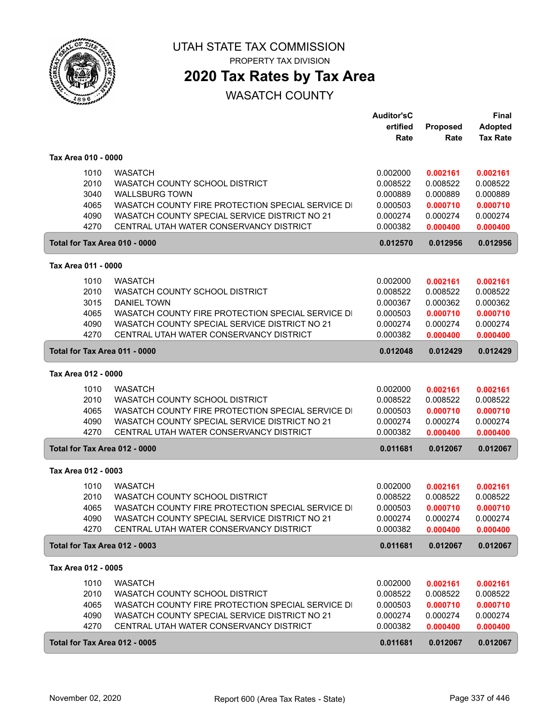

PROPERTY TAX DIVISION

## **2020 Tax Rates by Tax Area**

|                               |                                                                                          | <b>Auditor'sC</b> |          | <b>Final</b>    |
|-------------------------------|------------------------------------------------------------------------------------------|-------------------|----------|-----------------|
|                               |                                                                                          | ertified          | Proposed | <b>Adopted</b>  |
|                               |                                                                                          | Rate              | Rate     | <b>Tax Rate</b> |
|                               |                                                                                          |                   |          |                 |
| Tax Area 010 - 0000           |                                                                                          |                   |          |                 |
| 1010                          | <b>WASATCH</b>                                                                           | 0.002000          | 0.002161 | 0.002161        |
| 2010                          | WASATCH COUNTY SCHOOL DISTRICT                                                           | 0.008522          | 0.008522 | 0.008522        |
| 3040                          | <b>WALLSBURG TOWN</b>                                                                    | 0.000889          | 0.000889 | 0.000889        |
| 4065                          | WASATCH COUNTY FIRE PROTECTION SPECIAL SERVICE DI                                        | 0.000503          | 0.000710 | 0.000710        |
| 4090                          | WASATCH COUNTY SPECIAL SERVICE DISTRICT NO 21                                            | 0.000274          | 0.000274 | 0.000274        |
| 4270                          | CENTRAL UTAH WATER CONSERVANCY DISTRICT                                                  | 0.000382          | 0.000400 | 0.000400        |
| Total for Tax Area 010 - 0000 |                                                                                          | 0.012570          | 0.012956 | 0.012956        |
| Tax Area 011 - 0000           |                                                                                          |                   |          |                 |
| 1010                          | <b>WASATCH</b>                                                                           | 0.002000          | 0.002161 | 0.002161        |
| 2010                          | WASATCH COUNTY SCHOOL DISTRICT                                                           | 0.008522          | 0.008522 | 0.008522        |
| 3015                          | <b>DANIEL TOWN</b>                                                                       | 0.000367          | 0.000362 | 0.000362        |
|                               |                                                                                          | 0.000503          |          |                 |
| 4065                          | WASATCH COUNTY FIRE PROTECTION SPECIAL SERVICE DI                                        |                   | 0.000710 | 0.000710        |
| 4090<br>4270                  | WASATCH COUNTY SPECIAL SERVICE DISTRICT NO 21<br>CENTRAL UTAH WATER CONSERVANCY DISTRICT | 0.000274          | 0.000274 | 0.000274        |
|                               |                                                                                          | 0.000382          | 0.000400 | 0.000400        |
| Total for Tax Area 011 - 0000 |                                                                                          | 0.012048          | 0.012429 | 0.012429        |
| Tax Area 012 - 0000           |                                                                                          |                   |          |                 |
| 1010                          | <b>WASATCH</b>                                                                           | 0.002000          | 0.002161 | 0.002161        |
| 2010                          | WASATCH COUNTY SCHOOL DISTRICT                                                           | 0.008522          | 0.008522 | 0.008522        |
| 4065                          | WASATCH COUNTY FIRE PROTECTION SPECIAL SERVICE DI                                        | 0.000503          | 0.000710 | 0.000710        |
| 4090                          | WASATCH COUNTY SPECIAL SERVICE DISTRICT NO 21                                            | 0.000274          | 0.000274 | 0.000274        |
| 4270                          | CENTRAL UTAH WATER CONSERVANCY DISTRICT                                                  | 0.000382          | 0.000400 | 0.000400        |
| Total for Tax Area 012 - 0000 |                                                                                          | 0.011681          | 0.012067 | 0.012067        |
| Tax Area 012 - 0003           |                                                                                          |                   |          |                 |
| 1010                          | <b>WASATCH</b>                                                                           | 0.002000          | 0.002161 | 0.002161        |
| 2010                          | WASATCH COUNTY SCHOOL DISTRICT                                                           | 0.008522          | 0.008522 | 0.008522        |
| 4065                          | WASATCH COUNTY FIRE PROTECTION SPECIAL SERVICE DI                                        | 0.000503          | 0.000710 | 0.000710        |
| 4090                          | WASATCH COUNTY SPECIAL SERVICE DISTRICT NO 21                                            | 0.000274          | 0.000274 | 0.000274        |
| 4270                          | CENTRAL UTAH WATER CONSERVANCY DISTRICT                                                  | 0.000382          | 0.000400 | 0.000400        |
|                               |                                                                                          |                   |          |                 |
| Total for Tax Area 012 - 0003 |                                                                                          | 0.011681          | 0.012067 | 0.012067        |
| Tax Area 012 - 0005           |                                                                                          |                   |          |                 |
| 1010                          | <b>WASATCH</b>                                                                           | 0.002000          | 0.002161 | 0.002161        |
| 2010                          | WASATCH COUNTY SCHOOL DISTRICT                                                           | 0.008522          | 0.008522 | 0.008522        |
| 4065                          | WASATCH COUNTY FIRE PROTECTION SPECIAL SERVICE DI                                        | 0.000503          | 0.000710 | 0.000710        |
| 4090                          | WASATCH COUNTY SPECIAL SERVICE DISTRICT NO 21                                            | 0.000274          | 0.000274 | 0.000274        |
| 4270                          | CENTRAL UTAH WATER CONSERVANCY DISTRICT                                                  | 0.000382          | 0.000400 | 0.000400        |
| Total for Tax Area 012 - 0005 |                                                                                          | 0.011681          | 0.012067 | 0.012067        |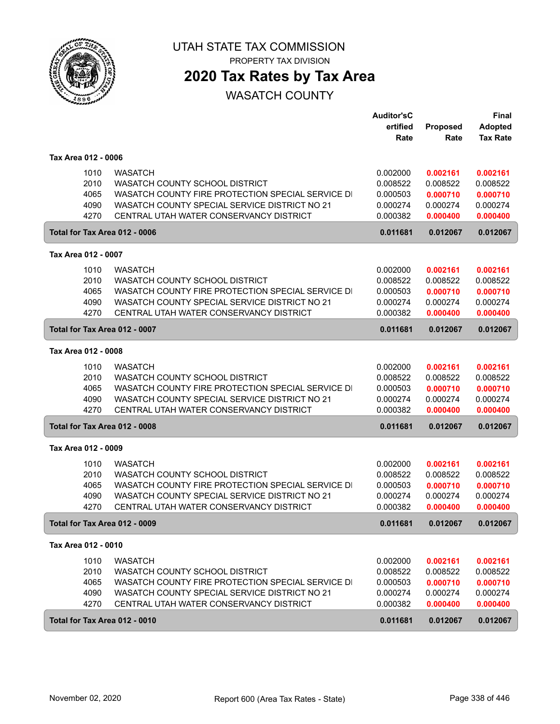

## **2020 Tax Rates by Tax Area**

|                               |                                                   | <b>Auditor'sC</b><br>ertified<br>Rate | Proposed<br>Rate | Final<br><b>Adopted</b><br><b>Tax Rate</b> |
|-------------------------------|---------------------------------------------------|---------------------------------------|------------------|--------------------------------------------|
| Tax Area 012 - 0006           |                                                   |                                       |                  |                                            |
| 1010                          | <b>WASATCH</b>                                    | 0.002000                              | 0.002161         | 0.002161                                   |
| 2010                          | WASATCH COUNTY SCHOOL DISTRICT                    | 0.008522                              | 0.008522         | 0.008522                                   |
| 4065                          | WASATCH COUNTY FIRE PROTECTION SPECIAL SERVICE DI | 0.000503                              | 0.000710         | 0.000710                                   |
| 4090                          | WASATCH COUNTY SPECIAL SERVICE DISTRICT NO 21     | 0.000274                              | 0.000274         | 0.000274                                   |
| 4270                          | CENTRAL UTAH WATER CONSERVANCY DISTRICT           | 0.000382                              | 0.000400         | 0.000400                                   |
| Total for Tax Area 012 - 0006 |                                                   | 0.011681                              | 0.012067         | 0.012067                                   |
| Tax Area 012 - 0007           |                                                   |                                       |                  |                                            |
| 1010                          | <b>WASATCH</b>                                    | 0.002000                              | 0.002161         | 0.002161                                   |
| 2010                          | WASATCH COUNTY SCHOOL DISTRICT                    | 0.008522                              | 0.008522         | 0.008522                                   |
| 4065                          | WASATCH COUNTY FIRE PROTECTION SPECIAL SERVICE DI | 0.000503                              | 0.000710         | 0.000710                                   |
| 4090                          | WASATCH COUNTY SPECIAL SERVICE DISTRICT NO 21     | 0.000274                              | 0.000274         | 0.000274                                   |
| 4270                          | CENTRAL UTAH WATER CONSERVANCY DISTRICT           | 0.000382                              | 0.000400         | 0.000400                                   |
| Total for Tax Area 012 - 0007 |                                                   | 0.011681                              | 0.012067         | 0.012067                                   |
| Tax Area 012 - 0008           |                                                   |                                       |                  |                                            |
| 1010                          | <b>WASATCH</b>                                    | 0.002000                              | 0.002161         | 0.002161                                   |
| 2010                          | WASATCH COUNTY SCHOOL DISTRICT                    | 0.008522                              | 0.008522         | 0.008522                                   |
| 4065                          | WASATCH COUNTY FIRE PROTECTION SPECIAL SERVICE DI | 0.000503                              | 0.000710         | 0.000710                                   |
| 4090                          | WASATCH COUNTY SPECIAL SERVICE DISTRICT NO 21     | 0.000274                              | 0.000274         | 0.000274                                   |
| 4270                          | CENTRAL UTAH WATER CONSERVANCY DISTRICT           | 0.000382                              | 0.000400         | 0.000400                                   |
| Total for Tax Area 012 - 0008 |                                                   | 0.011681                              | 0.012067         | 0.012067                                   |
| Tax Area 012 - 0009           |                                                   |                                       |                  |                                            |
| 1010                          | <b>WASATCH</b>                                    | 0.002000                              | 0.002161         | 0.002161                                   |
| 2010                          | WASATCH COUNTY SCHOOL DISTRICT                    | 0.008522                              | 0.008522         | 0.008522                                   |
| 4065                          | WASATCH COUNTY FIRE PROTECTION SPECIAL SERVICE DI | 0.000503                              | 0.000710         | 0.000710                                   |
| 4090                          | WASATCH COUNTY SPECIAL SERVICE DISTRICT NO 21     | 0.000274                              | 0.000274         | 0.000274                                   |
| 4270                          | CENTRAL UTAH WATER CONSERVANCY DISTRICT           | 0.000382                              | 0.000400         | 0.000400                                   |
| Total for Tax Area 012 - 0009 |                                                   | 0.011681                              | 0.012067         | 0.012067                                   |
| Tax Area 012 - 0010           |                                                   |                                       |                  |                                            |
| 1010                          | <b>WASATCH</b>                                    | 0.002000                              | 0.002161         | 0.002161                                   |
| 2010                          | WASATCH COUNTY SCHOOL DISTRICT                    | 0.008522                              | 0.008522         | 0.008522                                   |
| 4065                          | WASATCH COUNTY FIRE PROTECTION SPECIAL SERVICE DI | 0.000503                              | 0.000710         | 0.000710                                   |
| 4090                          | WASATCH COUNTY SPECIAL SERVICE DISTRICT NO 21     | 0.000274                              | 0.000274         | 0.000274                                   |
| 4270                          | CENTRAL UTAH WATER CONSERVANCY DISTRICT           | 0.000382                              | 0.000400         | 0.000400                                   |
| Total for Tax Area 012 - 0010 |                                                   | 0.011681                              | 0.012067         | 0.012067                                   |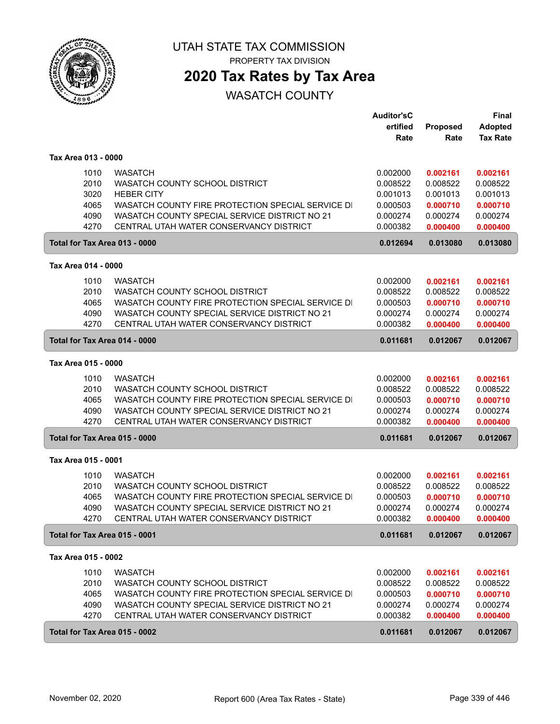

PROPERTY TAX DIVISION

## **2020 Tax Rates by Tax Area**

|                     |                                                   | <b>Auditor'sC</b> |          | <b>Final</b>    |
|---------------------|---------------------------------------------------|-------------------|----------|-----------------|
|                     |                                                   | ertified          | Proposed | <b>Adopted</b>  |
|                     |                                                   | Rate              | Rate     | <b>Tax Rate</b> |
|                     |                                                   |                   |          |                 |
| Tax Area 013 - 0000 |                                                   |                   |          |                 |
| 1010                | <b>WASATCH</b>                                    | 0.002000          | 0.002161 | 0.002161        |
| 2010                | WASATCH COUNTY SCHOOL DISTRICT                    | 0.008522          | 0.008522 | 0.008522        |
| 3020                | <b>HEBER CITY</b>                                 | 0.001013          | 0.001013 | 0.001013        |
| 4065                | WASATCH COUNTY FIRE PROTECTION SPECIAL SERVICE DI | 0.000503          | 0.000710 | 0.000710        |
| 4090                | WASATCH COUNTY SPECIAL SERVICE DISTRICT NO 21     | 0.000274          | 0.000274 | 0.000274        |
| 4270                | CENTRAL UTAH WATER CONSERVANCY DISTRICT           | 0.000382          | 0.000400 | 0.000400        |
|                     | Total for Tax Area 013 - 0000                     | 0.012694          | 0.013080 | 0.013080        |
|                     |                                                   |                   |          |                 |
| Tax Area 014 - 0000 |                                                   |                   |          |                 |
| 1010                | <b>WASATCH</b>                                    | 0.002000          | 0.002161 | 0.002161        |
| 2010                | WASATCH COUNTY SCHOOL DISTRICT                    | 0.008522          | 0.008522 | 0.008522        |
| 4065                | WASATCH COUNTY FIRE PROTECTION SPECIAL SERVICE DI | 0.000503          | 0.000710 | 0.000710        |
| 4090                | WASATCH COUNTY SPECIAL SERVICE DISTRICT NO 21     | 0.000274          | 0.000274 | 0.000274        |
| 4270                | CENTRAL UTAH WATER CONSERVANCY DISTRICT           | 0.000382          | 0.000400 | 0.000400        |
|                     | Total for Tax Area 014 - 0000                     | 0.011681          | 0.012067 | 0.012067        |
| Tax Area 015 - 0000 |                                                   |                   |          |                 |
|                     |                                                   |                   |          |                 |
| 1010                | <b>WASATCH</b>                                    | 0.002000          | 0.002161 | 0.002161        |
| 2010                | WASATCH COUNTY SCHOOL DISTRICT                    | 0.008522          | 0.008522 | 0.008522        |
| 4065                | WASATCH COUNTY FIRE PROTECTION SPECIAL SERVICE DI | 0.000503          | 0.000710 | 0.000710        |
| 4090                | WASATCH COUNTY SPECIAL SERVICE DISTRICT NO 21     | 0.000274          | 0.000274 | 0.000274        |
| 4270                | CENTRAL UTAH WATER CONSERVANCY DISTRICT           | 0.000382          | 0.000400 | 0.000400        |
|                     | Total for Tax Area 015 - 0000                     | 0.011681          | 0.012067 | 0.012067        |
| Tax Area 015 - 0001 |                                                   |                   |          |                 |
| 1010                | <b>WASATCH</b>                                    | 0.002000          | 0.002161 | 0.002161        |
| 2010                | WASATCH COUNTY SCHOOL DISTRICT                    | 0.008522          | 0.008522 | 0.008522        |
|                     |                                                   |                   |          |                 |
| 4065                | WASATCH COUNTY FIRE PROTECTION SPECIAL SERVICE DI | 0.000503          | 0.000710 | 0.000710        |
| 4090                | WASATCH COUNTY SPECIAL SERVICE DISTRICT NO 21     | 0.000274          | 0.000274 | 0.000274        |
| 4270                | CENTRAL UTAH WATER CONSERVANCY DISTRICT           | 0.000382          | 0.000400 | 0.000400        |
|                     | Total for Tax Area 015 - 0001                     | 0.011681          | 0.012067 | 0.012067        |
| Tax Area 015 - 0002 |                                                   |                   |          |                 |
| 1010                | <b>WASATCH</b>                                    | 0.002000          | 0.002161 | 0.002161        |
| 2010                | WASATCH COUNTY SCHOOL DISTRICT                    | 0.008522          | 0.008522 | 0.008522        |
| 4065                | WASATCH COUNTY FIRE PROTECTION SPECIAL SERVICE DI | 0.000503          | 0.000710 | 0.000710        |
| 4090                | WASATCH COUNTY SPECIAL SERVICE DISTRICT NO 21     | 0.000274          | 0.000274 | 0.000274        |
| 4270                | CENTRAL UTAH WATER CONSERVANCY DISTRICT           | 0.000382          | 0.000400 | 0.000400        |
|                     |                                                   |                   |          |                 |
|                     | Total for Tax Area 015 - 0002                     | 0.011681          | 0.012067 | 0.012067        |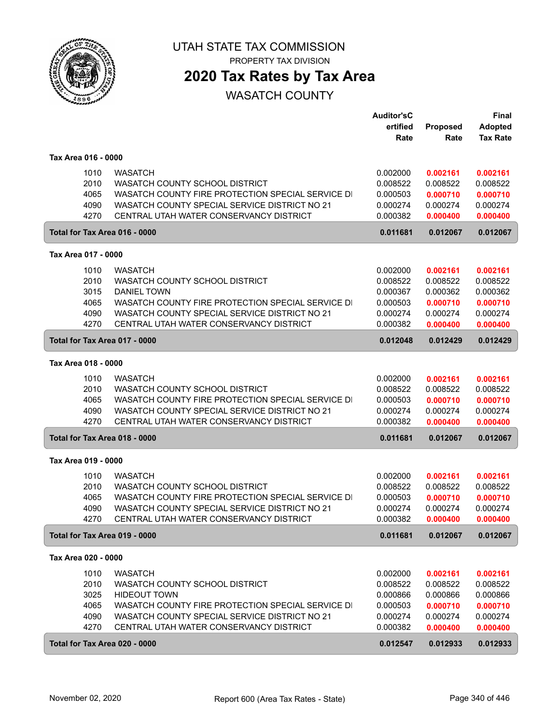

## **2020 Tax Rates by Tax Area**

|                               |                                                   | <b>Auditor'sC</b> |                      | Final                |
|-------------------------------|---------------------------------------------------|-------------------|----------------------|----------------------|
|                               |                                                   | ertified          | Proposed             | <b>Adopted</b>       |
|                               |                                                   | Rate              | Rate                 | <b>Tax Rate</b>      |
|                               |                                                   |                   |                      |                      |
| Tax Area 016 - 0000           |                                                   |                   |                      |                      |
| 1010                          | <b>WASATCH</b>                                    | 0.002000          | 0.002161             | 0.002161             |
| 2010                          | WASATCH COUNTY SCHOOL DISTRICT                    | 0.008522          | 0.008522             | 0.008522             |
| 4065                          | WASATCH COUNTY FIRE PROTECTION SPECIAL SERVICE DI | 0.000503          | 0.000710             | 0.000710             |
| 4090                          | WASATCH COUNTY SPECIAL SERVICE DISTRICT NO 21     | 0.000274          | 0.000274             | 0.000274             |
| 4270                          | CENTRAL UTAH WATER CONSERVANCY DISTRICT           | 0.000382          | 0.000400             | 0.000400             |
| Total for Tax Area 016 - 0000 |                                                   | 0.011681          | 0.012067             | 0.012067             |
| Tax Area 017 - 0000           |                                                   |                   |                      |                      |
|                               |                                                   |                   |                      |                      |
| 1010                          | <b>WASATCH</b>                                    | 0.002000          | 0.002161             | 0.002161             |
| 2010                          | WASATCH COUNTY SCHOOL DISTRICT                    | 0.008522          | 0.008522             | 0.008522             |
| 3015                          | <b>DANIEL TOWN</b>                                | 0.000367          | 0.000362             | 0.000362             |
| 4065                          | WASATCH COUNTY FIRE PROTECTION SPECIAL SERVICE DI | 0.000503          | 0.000710             | 0.000710             |
| 4090                          | WASATCH COUNTY SPECIAL SERVICE DISTRICT NO 21     | 0.000274          | 0.000274             | 0.000274             |
| 4270                          | CENTRAL UTAH WATER CONSERVANCY DISTRICT           | 0.000382          | 0.000400             | 0.000400             |
| Total for Tax Area 017 - 0000 |                                                   | 0.012048          | 0.012429             | 0.012429             |
| Tax Area 018 - 0000           |                                                   |                   |                      |                      |
| 1010                          | <b>WASATCH</b>                                    | 0.002000          |                      |                      |
| 2010                          | WASATCH COUNTY SCHOOL DISTRICT                    | 0.008522          | 0.002161<br>0.008522 | 0.002161<br>0.008522 |
| 4065                          | WASATCH COUNTY FIRE PROTECTION SPECIAL SERVICE DI | 0.000503          | 0.000710             | 0.000710             |
| 4090                          | WASATCH COUNTY SPECIAL SERVICE DISTRICT NO 21     | 0.000274          | 0.000274             | 0.000274             |
| 4270                          | CENTRAL UTAH WATER CONSERVANCY DISTRICT           | 0.000382          | 0.000400             | 0.000400             |
|                               |                                                   |                   |                      |                      |
| Total for Tax Area 018 - 0000 |                                                   | 0.011681          | 0.012067             | 0.012067             |
| Tax Area 019 - 0000           |                                                   |                   |                      |                      |
| 1010                          | <b>WASATCH</b>                                    | 0.002000          | 0.002161             | 0.002161             |
| 2010                          | WASATCH COUNTY SCHOOL DISTRICT                    | 0.008522          | 0.008522             | 0.008522             |
| 4065                          | WASATCH COUNTY FIRE PROTECTION SPECIAL SERVICE DI | 0.000503          | 0.000710             | 0.000710             |
| 4090                          | WASATCH COUNTY SPECIAL SERVICE DISTRICT NO 21     | 0.000274          | 0.000274             | 0.000274             |
| 4270                          | CENTRAL UTAH WATER CONSERVANCY DISTRICT           | 0.000382          | 0.000400             | 0.000400             |
| Total for Tax Area 019 - 0000 |                                                   | 0.011681          | 0.012067             | 0.012067             |
| Tax Area 020 - 0000           |                                                   |                   |                      |                      |
|                               |                                                   |                   |                      |                      |
| 1010                          | <b>WASATCH</b>                                    | 0.002000          | 0.002161             | 0.002161             |
| 2010                          | WASATCH COUNTY SCHOOL DISTRICT                    | 0.008522          | 0.008522             | 0.008522             |
| 3025                          | <b>HIDEOUT TOWN</b>                               | 0.000866          | 0.000866             | 0.000866             |
| 4065                          | WASATCH COUNTY FIRE PROTECTION SPECIAL SERVICE DI | 0.000503          | 0.000710             | 0.000710             |
| 4090                          | WASATCH COUNTY SPECIAL SERVICE DISTRICT NO 21     | 0.000274          | 0.000274             | 0.000274             |
| 4270                          | CENTRAL UTAH WATER CONSERVANCY DISTRICT           | 0.000382          | 0.000400             | 0.000400             |
| Total for Tax Area 020 - 0000 |                                                   | 0.012547          | 0.012933             | 0.012933             |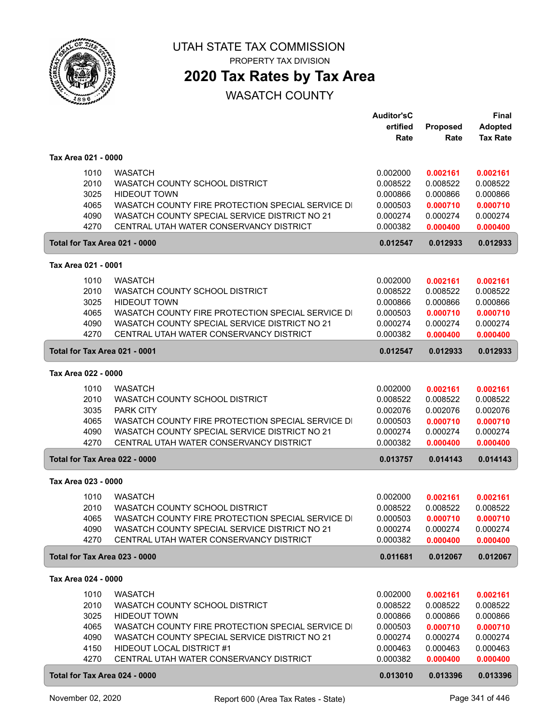

PROPERTY TAX DIVISION

## **2020 Tax Rates by Tax Area**

|                               |                                                                                                    | <b>Auditor'sC</b><br>ertified | Proposed             | <b>Final</b><br><b>Adopted</b> |
|-------------------------------|----------------------------------------------------------------------------------------------------|-------------------------------|----------------------|--------------------------------|
|                               |                                                                                                    | Rate                          | Rate                 | <b>Tax Rate</b>                |
| Tax Area 021 - 0000           |                                                                                                    |                               |                      |                                |
| 1010                          | <b>WASATCH</b>                                                                                     | 0.002000                      | 0.002161             | 0.002161                       |
| 2010                          | WASATCH COUNTY SCHOOL DISTRICT                                                                     | 0.008522                      | 0.008522             | 0.008522                       |
| 3025                          | <b>HIDEOUT TOWN</b>                                                                                | 0.000866                      | 0.000866             | 0.000866                       |
| 4065                          | WASATCH COUNTY FIRE PROTECTION SPECIAL SERVICE DI                                                  | 0.000503                      | 0.000710             | 0.000710                       |
| 4090                          | WASATCH COUNTY SPECIAL SERVICE DISTRICT NO 21                                                      | 0.000274                      | 0.000274             | 0.000274                       |
| 4270                          | CENTRAL UTAH WATER CONSERVANCY DISTRICT                                                            | 0.000382                      | 0.000400             | 0.000400                       |
| Total for Tax Area 021 - 0000 |                                                                                                    | 0.012547                      | 0.012933             | 0.012933                       |
| Tax Area 021 - 0001           |                                                                                                    |                               |                      |                                |
| 1010                          | <b>WASATCH</b>                                                                                     | 0.002000                      | 0.002161             | 0.002161                       |
| 2010                          | <b>WASATCH COUNTY SCHOOL DISTRICT</b>                                                              | 0.008522                      | 0.008522             | 0.008522                       |
| 3025                          | <b>HIDEOUT TOWN</b>                                                                                | 0.000866                      | 0.000866             | 0.000866                       |
| 4065                          | WASATCH COUNTY FIRE PROTECTION SPECIAL SERVICE DI                                                  | 0.000503                      | 0.000710             | 0.000710                       |
| 4090                          | WASATCH COUNTY SPECIAL SERVICE DISTRICT NO 21                                                      | 0.000274                      | 0.000274             | 0.000274                       |
| 4270                          | CENTRAL UTAH WATER CONSERVANCY DISTRICT                                                            | 0.000382                      | 0.000400             | 0.000400                       |
| Total for Tax Area 021 - 0001 |                                                                                                    | 0.012547                      | 0.012933             | 0.012933                       |
| Tax Area 022 - 0000           |                                                                                                    |                               |                      |                                |
| 1010                          | <b>WASATCH</b>                                                                                     | 0.002000                      | 0.002161             | 0.002161                       |
| 2010                          | WASATCH COUNTY SCHOOL DISTRICT                                                                     | 0.008522                      | 0.008522             | 0.008522                       |
| 3035                          | <b>PARK CITY</b>                                                                                   | 0.002076                      | 0.002076             | 0.002076                       |
| 4065                          | WASATCH COUNTY FIRE PROTECTION SPECIAL SERVICE DI                                                  | 0.000503                      | 0.000710             | 0.000710                       |
| 4090<br>4270                  | WASATCH COUNTY SPECIAL SERVICE DISTRICT NO 21<br>CENTRAL UTAH WATER CONSERVANCY DISTRICT           | 0.000274<br>0.000382          | 0.000274<br>0.000400 | 0.000274<br>0.000400           |
| Total for Tax Area 022 - 0000 |                                                                                                    | 0.013757                      | 0.014143             | 0.014143                       |
|                               |                                                                                                    |                               |                      |                                |
| Tax Area 023 - 0000           |                                                                                                    |                               |                      |                                |
| 1010                          | <b>WASATCH</b>                                                                                     | 0.002000                      | 0.002161             | 0.002161                       |
| 2010                          | WASATCH COUNTY SCHOOL DISTRICT                                                                     | 0.008522                      | 0.008522             | 0.008522                       |
| 4065<br>4090                  | WASATCH COUNTY FIRE PROTECTION SPECIAL SERVICE DI<br>WASATCH COUNTY SPECIAL SERVICE DISTRICT NO 21 | 0.000503<br>0.000274          | 0.000710<br>0.000274 | 0.000710<br>0.000274           |
| 4270                          | CENTRAL UTAH WATER CONSERVANCY DISTRICT                                                            | 0.000382                      | 0.000400             | 0.000400                       |
| Total for Tax Area 023 - 0000 |                                                                                                    | 0.011681                      | 0.012067             | 0.012067                       |
| Tax Area 024 - 0000           |                                                                                                    |                               |                      |                                |
|                               |                                                                                                    |                               |                      |                                |
| 1010<br>2010                  | <b>WASATCH</b><br>WASATCH COUNTY SCHOOL DISTRICT                                                   | 0.002000<br>0.008522          | 0.002161<br>0.008522 | 0.002161<br>0.008522           |
| 3025                          | <b>HIDEOUT TOWN</b>                                                                                | 0.000866                      | 0.000866             | 0.000866                       |
| 4065                          | WASATCH COUNTY FIRE PROTECTION SPECIAL SERVICE DI                                                  | 0.000503                      | 0.000710             | 0.000710                       |
| 4090                          | WASATCH COUNTY SPECIAL SERVICE DISTRICT NO 21                                                      | 0.000274                      | 0.000274             | 0.000274                       |
| 4150                          | HIDEOUT LOCAL DISTRICT #1                                                                          | 0.000463                      | 0.000463             | 0.000463                       |
| 4270                          | CENTRAL UTAH WATER CONSERVANCY DISTRICT                                                            | 0.000382                      | 0.000400             | 0.000400                       |
| Total for Tax Area 024 - 0000 |                                                                                                    | 0.013010                      | 0.013396             | 0.013396                       |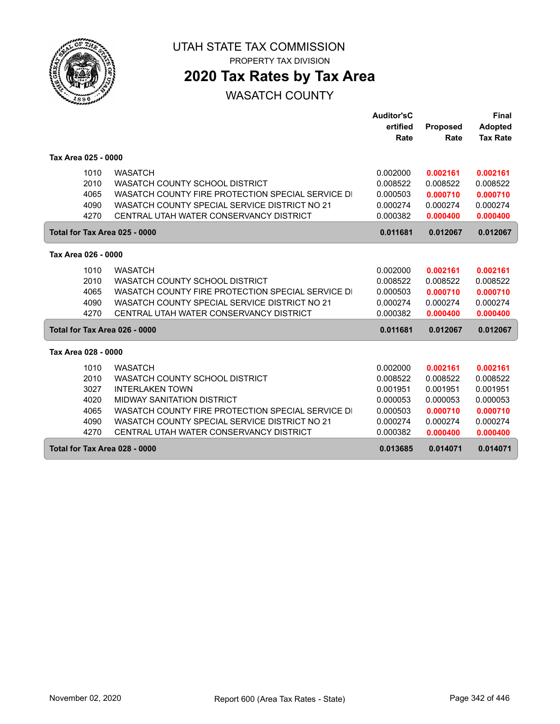

# **2020 Tax Rates by Tax Area**

|                     |                                                   | <b>Auditor'sC</b> |                 | Final           |
|---------------------|---------------------------------------------------|-------------------|-----------------|-----------------|
|                     |                                                   | ertified          | <b>Proposed</b> | <b>Adopted</b>  |
|                     |                                                   | Rate              | Rate            | <b>Tax Rate</b> |
|                     |                                                   |                   |                 |                 |
| Tax Area 025 - 0000 |                                                   |                   |                 |                 |
| 1010                | <b>WASATCH</b>                                    | 0.002000          | 0.002161        | 0.002161        |
| 2010                | WASATCH COUNTY SCHOOL DISTRICT                    | 0.008522          | 0.008522        | 0.008522        |
| 4065                | WASATCH COUNTY FIRE PROTECTION SPECIAL SERVICE DI | 0.000503          | 0.000710        | 0.000710        |
| 4090                | WASATCH COUNTY SPECIAL SERVICE DISTRICT NO 21     | 0.000274          | 0.000274        | 0.000274        |
| 4270                | CENTRAL UTAH WATER CONSERVANCY DISTRICT           | 0.000382          | 0.000400        | 0.000400        |
|                     | Total for Tax Area 025 - 0000                     | 0.011681          | 0.012067        | 0.012067        |
|                     |                                                   |                   |                 |                 |
| Tax Area 026 - 0000 |                                                   |                   |                 |                 |
| 1010                | <b>WASATCH</b>                                    | 0.002000          | 0.002161        | 0.002161        |
| 2010                | WASATCH COUNTY SCHOOL DISTRICT                    | 0.008522          | 0.008522        | 0.008522        |
| 4065                | WASATCH COUNTY FIRE PROTECTION SPECIAL SERVICE DI | 0.000503          | 0.000710        | 0.000710        |
| 4090                | WASATCH COUNTY SPECIAL SERVICE DISTRICT NO 21     | 0.000274          | 0.000274        | 0.000274        |
| 4270                | CENTRAL UTAH WATER CONSERVANCY DISTRICT           | 0.000382          | 0.000400        | 0.000400        |
|                     | Total for Tax Area 026 - 0000                     | 0.011681          | 0.012067        | 0.012067        |
|                     |                                                   |                   |                 |                 |
| Tax Area 028 - 0000 |                                                   |                   |                 |                 |
| 1010                | <b>WASATCH</b>                                    | 0.002000          | 0.002161        | 0.002161        |
| 2010                | WASATCH COUNTY SCHOOL DISTRICT                    | 0.008522          | 0.008522        | 0.008522        |
| 3027                | <b>INTERLAKEN TOWN</b>                            | 0.001951          | 0.001951        | 0.001951        |
| 4020                | <b>MIDWAY SANITATION DISTRICT</b>                 | 0.000053          | 0.000053        | 0.000053        |
| 4065                | WASATCH COUNTY FIRE PROTECTION SPECIAL SERVICE DI | 0.000503          | 0.000710        | 0.000710        |
| 4090                | WASATCH COUNTY SPECIAL SERVICE DISTRICT NO 21     | 0.000274          | 0.000274        | 0.000274        |
| 4270                | CENTRAL UTAH WATER CONSERVANCY DISTRICT           | 0.000382          | 0.000400        | 0.000400        |
|                     | Total for Tax Area 028 - 0000                     | 0.013685          | 0.014071        | 0.014071        |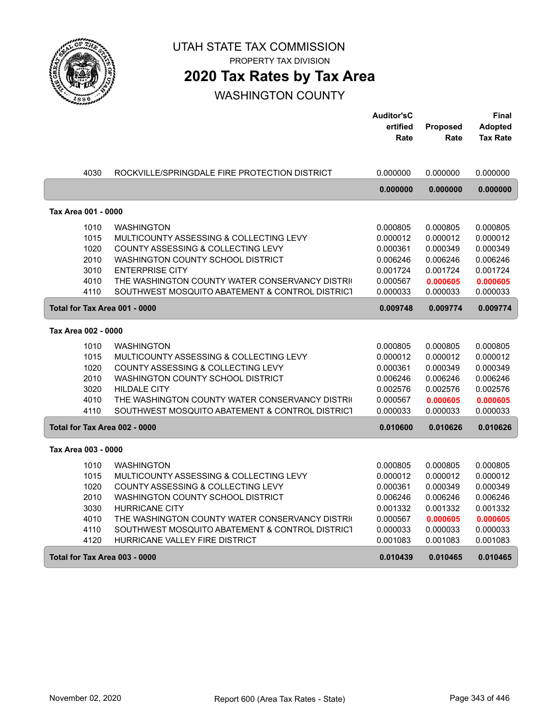

PROPERTY TAX DIVISION

## **2020 Tax Rates by Tax Area**

|                     |                                                 | <b>Auditor'sC</b> |          | Final           |
|---------------------|-------------------------------------------------|-------------------|----------|-----------------|
|                     |                                                 | ertified          | Proposed | <b>Adopted</b>  |
|                     |                                                 | Rate              | Rate     | <b>Tax Rate</b> |
|                     |                                                 |                   |          |                 |
|                     |                                                 |                   |          |                 |
| 4030                | ROCKVILLE/SPRINGDALE FIRE PROTECTION DISTRICT   | 0.000000          | 0.000000 | 0.000000        |
|                     |                                                 | 0.000000          | 0.000000 | 0.000000        |
|                     |                                                 |                   |          |                 |
| Tax Area 001 - 0000 |                                                 |                   |          |                 |
| 1010                | <b>WASHINGTON</b>                               | 0.000805          | 0.000805 | 0.000805        |
| 1015                | MULTICOUNTY ASSESSING & COLLECTING LEVY         | 0.000012          | 0.000012 | 0.000012        |
| 1020                | COUNTY ASSESSING & COLLECTING LEVY              | 0.000361          | 0.000349 | 0.000349        |
| 2010                | WASHINGTON COUNTY SCHOOL DISTRICT               | 0.006246          | 0.006246 | 0.006246        |
| 3010                | <b>ENTERPRISE CITY</b>                          | 0.001724          | 0.001724 | 0.001724        |
| 4010                | THE WASHINGTON COUNTY WATER CONSERVANCY DISTRIC | 0.000567          | 0.000605 | 0.000605        |
| 4110                | SOUTHWEST MOSQUITO ABATEMENT & CONTROL DISTRICT | 0.000033          | 0.000033 | 0.000033        |
|                     |                                                 |                   |          |                 |
|                     | Total for Tax Area 001 - 0000                   | 0.009748          | 0.009774 | 0.009774        |
| Tax Area 002 - 0000 |                                                 |                   |          |                 |
| 1010                | <b>WASHINGTON</b>                               | 0.000805          | 0.000805 | 0.000805        |
| 1015                | MULTICOUNTY ASSESSING & COLLECTING LEVY         | 0.000012          | 0.000012 | 0.000012        |
| 1020                | COUNTY ASSESSING & COLLECTING LEVY              | 0.000361          | 0.000349 | 0.000349        |
| 2010                | WASHINGTON COUNTY SCHOOL DISTRICT               | 0.006246          | 0.006246 | 0.006246        |
| 3020                | <b>HILDALE CITY</b>                             | 0.002576          | 0.002576 | 0.002576        |
| 4010                | THE WASHINGTON COUNTY WATER CONSERVANCY DISTRIC | 0.000567          | 0.000605 | 0.000605        |
| 4110                | SOUTHWEST MOSQUITO ABATEMENT & CONTROL DISTRICT | 0.000033          | 0.000033 | 0.000033        |
|                     |                                                 |                   |          |                 |
|                     | Total for Tax Area 002 - 0000                   | 0.010600          | 0.010626 | 0.010626        |
| Tax Area 003 - 0000 |                                                 |                   |          |                 |
| 1010                | <b>WASHINGTON</b>                               | 0.000805          | 0.000805 | 0.000805        |
| 1015                | MULTICOUNTY ASSESSING & COLLECTING LEVY         | 0.000012          | 0.000012 | 0.000012        |
| 1020                | COUNTY ASSESSING & COLLECTING LEVY              | 0.000361          | 0.000349 | 0.000349        |
| 2010                | WASHINGTON COUNTY SCHOOL DISTRICT               | 0.006246          | 0.006246 | 0.006246        |
| 3030                | <b>HURRICANE CITY</b>                           | 0.001332          | 0.001332 | 0.001332        |
| 4010                | THE WASHINGTON COUNTY WATER CONSERVANCY DISTRIC | 0.000567          | 0.000605 | 0.000605        |
| 4110                | SOUTHWEST MOSQUITO ABATEMENT & CONTROL DISTRICT | 0.000033          | 0.000033 | 0.000033        |
| 4120                | HURRICANE VALLEY FIRE DISTRICT                  | 0.001083          | 0.001083 | 0.001083        |
|                     | Total for Tax Area 003 - 0000                   | 0.010439          | 0.010465 | 0.010465        |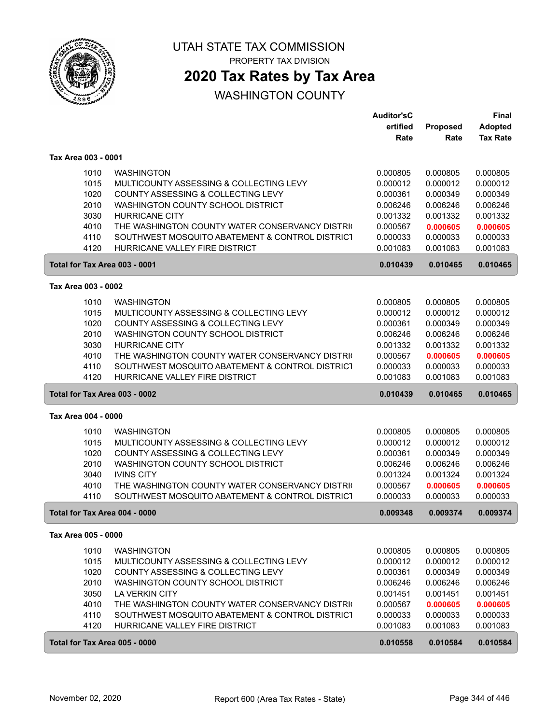

PROPERTY TAX DIVISION

## **2020 Tax Rates by Tax Area**

|                               |                                                 | <b>Auditor'sC</b> |          | <b>Final</b>    |
|-------------------------------|-------------------------------------------------|-------------------|----------|-----------------|
|                               |                                                 | ertified          | Proposed | <b>Adopted</b>  |
|                               |                                                 | Rate              | Rate     | <b>Tax Rate</b> |
|                               |                                                 |                   |          |                 |
| Tax Area 003 - 0001           |                                                 |                   |          |                 |
| 1010                          | <b>WASHINGTON</b>                               | 0.000805          | 0.000805 | 0.000805        |
| 1015                          | MULTICOUNTY ASSESSING & COLLECTING LEVY         | 0.000012          | 0.000012 | 0.000012        |
| 1020                          | <b>COUNTY ASSESSING &amp; COLLECTING LEVY</b>   | 0.000361          | 0.000349 | 0.000349        |
| 2010                          | WASHINGTON COUNTY SCHOOL DISTRICT               | 0.006246          | 0.006246 | 0.006246        |
| 3030                          | <b>HURRICANE CITY</b>                           | 0.001332          | 0.001332 | 0.001332        |
| 4010                          | THE WASHINGTON COUNTY WATER CONSERVANCY DISTRIC | 0.000567          | 0.000605 | 0.000605        |
| 4110                          | SOUTHWEST MOSQUITO ABATEMENT & CONTROL DISTRICT | 0.000033          | 0.000033 | 0.000033        |
| 4120                          | HURRICANE VALLEY FIRE DISTRICT                  | 0.001083          | 0.001083 | 0.001083        |
| Total for Tax Area 003 - 0001 |                                                 | 0.010439          | 0.010465 | 0.010465        |
|                               |                                                 |                   |          |                 |
| Tax Area 003 - 0002           |                                                 |                   |          |                 |
| 1010                          | <b>WASHINGTON</b>                               | 0.000805          | 0.000805 | 0.000805        |
| 1015                          | MULTICOUNTY ASSESSING & COLLECTING LEVY         | 0.000012          | 0.000012 | 0.000012        |
| 1020                          | COUNTY ASSESSING & COLLECTING LEVY              | 0.000361          | 0.000349 | 0.000349        |
| 2010                          | WASHINGTON COUNTY SCHOOL DISTRICT               | 0.006246          | 0.006246 | 0.006246        |
| 3030                          | <b>HURRICANE CITY</b>                           | 0.001332          | 0.001332 | 0.001332        |
| 4010                          | THE WASHINGTON COUNTY WATER CONSERVANCY DISTRIC | 0.000567          | 0.000605 | 0.000605        |
| 4110                          | SOUTHWEST MOSQUITO ABATEMENT & CONTROL DISTRICT | 0.000033          | 0.000033 | 0.000033        |
| 4120                          | HURRICANE VALLEY FIRE DISTRICT                  | 0.001083          | 0.001083 | 0.001083        |
| Total for Tax Area 003 - 0002 |                                                 | 0.010439          | 0.010465 | 0.010465        |
| Tax Area 004 - 0000           |                                                 |                   |          |                 |
| 1010                          | <b>WASHINGTON</b>                               | 0.000805          | 0.000805 | 0.000805        |
| 1015                          | MULTICOUNTY ASSESSING & COLLECTING LEVY         | 0.000012          | 0.000012 | 0.000012        |
| 1020                          | COUNTY ASSESSING & COLLECTING LEVY              | 0.000361          | 0.000349 | 0.000349        |
| 2010                          | WASHINGTON COUNTY SCHOOL DISTRICT               | 0.006246          | 0.006246 | 0.006246        |
| 3040                          | <b>IVINS CITY</b>                               | 0.001324          | 0.001324 | 0.001324        |
| 4010                          | THE WASHINGTON COUNTY WATER CONSERVANCY DISTRIC | 0.000567          | 0.000605 | 0.000605        |
| 4110                          | SOUTHWEST MOSQUITO ABATEMENT & CONTROL DISTRICT | 0.000033          | 0.000033 | 0.000033        |
| Total for Tax Area 004 - 0000 |                                                 | 0.009348          | 0.009374 | 0.009374        |
| Tax Area 005 - 0000           |                                                 |                   |          |                 |
| 1010                          | <b>WASHINGTON</b>                               | 0.000805          | 0.000805 | 0.000805        |
| 1015                          | MULTICOUNTY ASSESSING & COLLECTING LEVY         | 0.000012          | 0.000012 | 0.000012        |
| 1020                          | COUNTY ASSESSING & COLLECTING LEVY              | 0.000361          | 0.000349 | 0.000349        |
| 2010                          | WASHINGTON COUNTY SCHOOL DISTRICT               | 0.006246          | 0.006246 | 0.006246        |
| 3050                          | LA VERKIN CITY                                  | 0.001451          | 0.001451 | 0.001451        |
| 4010                          | THE WASHINGTON COUNTY WATER CONSERVANCY DISTRIC | 0.000567          | 0.000605 | 0.000605        |
| 4110                          | SOUTHWEST MOSQUITO ABATEMENT & CONTROL DISTRICT | 0.000033          | 0.000033 | 0.000033        |
| 4120                          | HURRICANE VALLEY FIRE DISTRICT                  | 0.001083          | 0.001083 | 0.001083        |
| Total for Tax Area 005 - 0000 |                                                 | 0.010558          | 0.010584 | 0.010584        |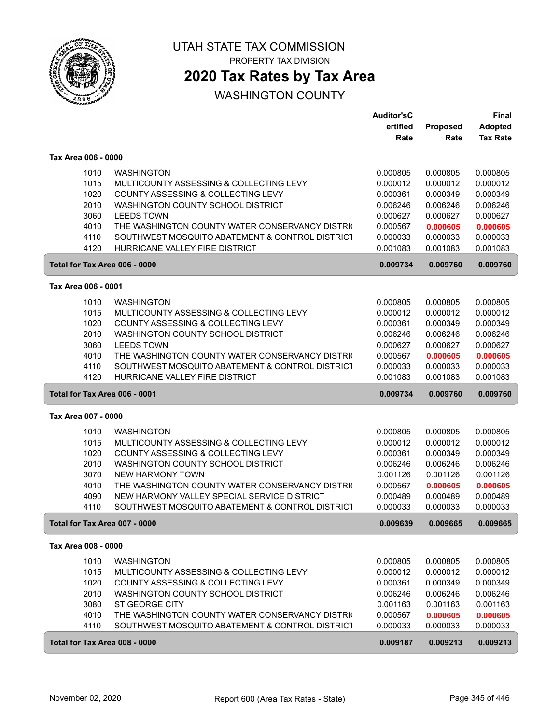

PROPERTY TAX DIVISION

## **2020 Tax Rates by Tax Area**

|                               |                                                 | <b>Auditor'sC</b> |          | Final           |
|-------------------------------|-------------------------------------------------|-------------------|----------|-----------------|
|                               |                                                 | ertified          | Proposed | <b>Adopted</b>  |
|                               |                                                 | Rate              | Rate     | <b>Tax Rate</b> |
| Tax Area 006 - 0000           |                                                 |                   |          |                 |
|                               |                                                 |                   |          |                 |
| 1010                          | <b>WASHINGTON</b>                               | 0.000805          | 0.000805 | 0.000805        |
| 1015                          | MULTICOUNTY ASSESSING & COLLECTING LEVY         | 0.000012          | 0.000012 | 0.000012        |
| 1020                          | COUNTY ASSESSING & COLLECTING LEVY              | 0.000361          | 0.000349 | 0.000349        |
| 2010                          | WASHINGTON COUNTY SCHOOL DISTRICT               | 0.006246          | 0.006246 | 0.006246        |
| 3060                          | <b>LEEDS TOWN</b>                               | 0.000627          | 0.000627 | 0.000627        |
| 4010                          | THE WASHINGTON COUNTY WATER CONSERVANCY DISTRIC | 0.000567          | 0.000605 | 0.000605        |
| 4110                          | SOUTHWEST MOSQUITO ABATEMENT & CONTROL DISTRICT | 0.000033          | 0.000033 | 0.000033        |
| 4120                          | HURRICANE VALLEY FIRE DISTRICT                  | 0.001083          | 0.001083 | 0.001083        |
| Total for Tax Area 006 - 0000 |                                                 | 0.009734          | 0.009760 | 0.009760        |
| Tax Area 006 - 0001           |                                                 |                   |          |                 |
| 1010                          | <b>WASHINGTON</b>                               | 0.000805          | 0.000805 | 0.000805        |
| 1015                          | MULTICOUNTY ASSESSING & COLLECTING LEVY         | 0.000012          | 0.000012 | 0.000012        |
| 1020                          | COUNTY ASSESSING & COLLECTING LEVY              | 0.000361          | 0.000349 | 0.000349        |
| 2010                          | WASHINGTON COUNTY SCHOOL DISTRICT               | 0.006246          | 0.006246 | 0.006246        |
| 3060                          | <b>LEEDS TOWN</b>                               | 0.000627          | 0.000627 | 0.000627        |
|                               | THE WASHINGTON COUNTY WATER CONSERVANCY DISTRIC |                   | 0.000605 | 0.000605        |
| 4010                          |                                                 | 0.000567          |          |                 |
| 4110                          | SOUTHWEST MOSQUITO ABATEMENT & CONTROL DISTRICT | 0.000033          | 0.000033 | 0.000033        |
| 4120                          | HURRICANE VALLEY FIRE DISTRICT                  | 0.001083          | 0.001083 | 0.001083        |
| Total for Tax Area 006 - 0001 |                                                 | 0.009734          | 0.009760 | 0.009760        |
| Tax Area 007 - 0000           |                                                 |                   |          |                 |
| 1010                          | <b>WASHINGTON</b>                               | 0.000805          | 0.000805 | 0.000805        |
| 1015                          | MULTICOUNTY ASSESSING & COLLECTING LEVY         | 0.000012          | 0.000012 | 0.000012        |
| 1020                          | COUNTY ASSESSING & COLLECTING LEVY              | 0.000361          | 0.000349 | 0.000349        |
| 2010                          | WASHINGTON COUNTY SCHOOL DISTRICT               | 0.006246          | 0.006246 | 0.006246        |
| 3070                          | <b>NEW HARMONY TOWN</b>                         | 0.001126          | 0.001126 | 0.001126        |
| 4010                          | THE WASHINGTON COUNTY WATER CONSERVANCY DISTRIC | 0.000567          | 0.000605 | 0.000605        |
| 4090                          | NEW HARMONY VALLEY SPECIAL SERVICE DISTRICT     | 0.000489          | 0.000489 | 0.000489        |
| 4110                          | SOUTHWEST MOSQUITO ABATEMENT & CONTROL DISTRICT | 0.000033          | 0.000033 | 0.000033        |
| Total for Tax Area 007 - 0000 |                                                 | 0.009639          | 0.009665 | 0.009665        |
| Tax Area 008 - 0000           |                                                 |                   |          |                 |
| 1010                          | <b>WASHINGTON</b>                               | 0.000805          | 0.000805 | 0.000805        |
| 1015                          | MULTICOUNTY ASSESSING & COLLECTING LEVY         | 0.000012          | 0.000012 | 0.000012        |
| 1020                          | COUNTY ASSESSING & COLLECTING LEVY              | 0.000361          | 0.000349 | 0.000349        |
|                               | WASHINGTON COUNTY SCHOOL DISTRICT               |                   | 0.006246 |                 |
| 2010                          | ST GEORGE CITY                                  | 0.006246          |          | 0.006246        |
| 3080                          |                                                 | 0.001163          | 0.001163 | 0.001163        |
| 4010                          | THE WASHINGTON COUNTY WATER CONSERVANCY DISTRIC | 0.000567          | 0.000605 | 0.000605        |
| 4110                          | SOUTHWEST MOSQUITO ABATEMENT & CONTROL DISTRICT | 0.000033          | 0.000033 | 0.000033        |
|                               |                                                 |                   |          |                 |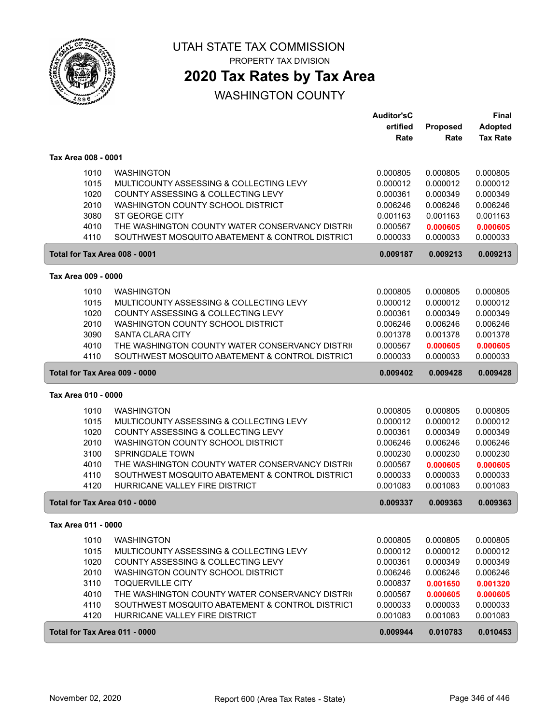

PROPERTY TAX DIVISION

## **2020 Tax Rates by Tax Area**

|                               |                                                 | <b>Auditor'sC</b> |          | Final           |
|-------------------------------|-------------------------------------------------|-------------------|----------|-----------------|
|                               |                                                 | ertified          | Proposed | <b>Adopted</b>  |
|                               |                                                 | Rate              | Rate     | <b>Tax Rate</b> |
| Tax Area 008 - 0001           |                                                 |                   |          |                 |
| 1010                          | <b>WASHINGTON</b>                               | 0.000805          | 0.000805 | 0.000805        |
| 1015                          | MULTICOUNTY ASSESSING & COLLECTING LEVY         | 0.000012          | 0.000012 | 0.000012        |
| 1020                          | COUNTY ASSESSING & COLLECTING LEVY              | 0.000361          | 0.000349 | 0.000349        |
| 2010                          | WASHINGTON COUNTY SCHOOL DISTRICT               | 0.006246          | 0.006246 | 0.006246        |
| 3080                          | <b>ST GEORGE CITY</b>                           | 0.001163          | 0.001163 | 0.001163        |
| 4010                          | THE WASHINGTON COUNTY WATER CONSERVANCY DISTRIC | 0.000567          | 0.000605 | 0.000605        |
| 4110                          | SOUTHWEST MOSQUITO ABATEMENT & CONTROL DISTRICT | 0.000033          | 0.000033 | 0.000033        |
| Total for Tax Area 008 - 0001 |                                                 | 0.009187          | 0.009213 | 0.009213        |
| Tax Area 009 - 0000           |                                                 |                   |          |                 |
| 1010                          | <b>WASHINGTON</b>                               | 0.000805          | 0.000805 | 0.000805        |
| 1015                          | MULTICOUNTY ASSESSING & COLLECTING LEVY         | 0.000012          | 0.000012 | 0.000012        |
| 1020                          | COUNTY ASSESSING & COLLECTING LEVY              | 0.000361          | 0.000349 | 0.000349        |
| 2010                          | WASHINGTON COUNTY SCHOOL DISTRICT               | 0.006246          | 0.006246 | 0.006246        |
| 3090                          | <b>SANTA CLARA CITY</b>                         | 0.001378          | 0.001378 | 0.001378        |
| 4010                          | THE WASHINGTON COUNTY WATER CONSERVANCY DISTRIC | 0.000567          | 0.000605 | 0.000605        |
| 4110                          | SOUTHWEST MOSQUITO ABATEMENT & CONTROL DISTRICT | 0.000033          | 0.000033 | 0.000033        |
| Total for Tax Area 009 - 0000 |                                                 | 0.009402          | 0.009428 | 0.009428        |
| Tax Area 010 - 0000           |                                                 |                   |          |                 |
| 1010                          | <b>WASHINGTON</b>                               | 0.000805          | 0.000805 | 0.000805        |
| 1015                          | MULTICOUNTY ASSESSING & COLLECTING LEVY         | 0.000012          | 0.000012 | 0.000012        |
| 1020                          | COUNTY ASSESSING & COLLECTING LEVY              | 0.000361          | 0.000349 | 0.000349        |
| 2010                          | WASHINGTON COUNTY SCHOOL DISTRICT               | 0.006246          | 0.006246 | 0.006246        |
| 3100                          | SPRINGDALE TOWN                                 | 0.000230          | 0.000230 | 0.000230        |
| 4010                          | THE WASHINGTON COUNTY WATER CONSERVANCY DISTRIC | 0.000567          | 0.000605 | 0.000605        |
| 4110                          | SOUTHWEST MOSQUITO ABATEMENT & CONTROL DISTRICT | 0.000033          | 0.000033 | 0.000033        |
| 4120                          | HURRICANE VALLEY FIRE DISTRICT                  | 0.001083          | 0.001083 | 0.001083        |
| Total for Tax Area 010 - 0000 |                                                 | 0.009337          | 0.009363 | 0.009363        |
|                               |                                                 |                   |          |                 |
| 1010                          | <b>WASHINGTON</b>                               | 0.000805          | 0.000805 | 0.000805        |
| 1015                          | MULTICOUNTY ASSESSING & COLLECTING LEVY         | 0.000012          | 0.000012 | 0.000012        |
| 1020                          | COUNTY ASSESSING & COLLECTING LEVY              | 0.000361          | 0.000349 | 0.000349        |
| 2010                          | WASHINGTON COUNTY SCHOOL DISTRICT               | 0.006246          | 0.006246 | 0.006246        |
| 3110                          | <b>TOQUERVILLE CITY</b>                         | 0.000837          | 0.001650 | 0.001320        |
| 4010                          | THE WASHINGTON COUNTY WATER CONSERVANCY DISTRIC | 0.000567          | 0.000605 | 0.000605        |
| 4110                          | SOUTHWEST MOSQUITO ABATEMENT & CONTROL DISTRICT | 0.000033          | 0.000033 | 0.000033        |
| 4120                          | HURRICANE VALLEY FIRE DISTRICT                  | 0.001083          | 0.001083 | 0.001083        |
| Total for Tax Area 011 - 0000 |                                                 | 0.009944          | 0.010783 | 0.010453        |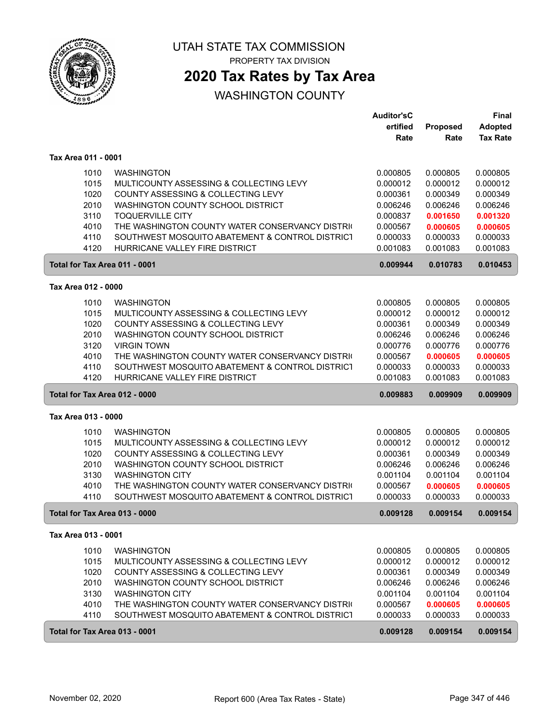

PROPERTY TAX DIVISION

## **2020 Tax Rates by Tax Area**

|                               |                                                 | <b>Auditor'sC</b> |          | Final           |
|-------------------------------|-------------------------------------------------|-------------------|----------|-----------------|
|                               |                                                 | ertified          | Proposed | <b>Adopted</b>  |
|                               |                                                 | Rate              | Rate     | <b>Tax Rate</b> |
| Tax Area 011 - 0001           |                                                 |                   |          |                 |
| 1010                          | <b>WASHINGTON</b>                               | 0.000805          | 0.000805 | 0.000805        |
| 1015                          | MULTICOUNTY ASSESSING & COLLECTING LEVY         | 0.000012          | 0.000012 | 0.000012        |
| 1020                          | COUNTY ASSESSING & COLLECTING LEVY              | 0.000361          | 0.000349 | 0.000349        |
| 2010                          | WASHINGTON COUNTY SCHOOL DISTRICT               | 0.006246          | 0.006246 | 0.006246        |
| 3110                          | <b>TOQUERVILLE CITY</b>                         | 0.000837          | 0.001650 | 0.001320        |
| 4010                          | THE WASHINGTON COUNTY WATER CONSERVANCY DISTRIC | 0.000567          | 0.000605 | 0.000605        |
| 4110                          | SOUTHWEST MOSQUITO ABATEMENT & CONTROL DISTRICT | 0.000033          | 0.000033 | 0.000033        |
| 4120                          | HURRICANE VALLEY FIRE DISTRICT                  | 0.001083          | 0.001083 | 0.001083        |
| Total for Tax Area 011 - 0001 |                                                 | 0.009944          | 0.010783 | 0.010453        |
| Tax Area 012 - 0000           |                                                 |                   |          |                 |
| 1010                          | <b>WASHINGTON</b>                               | 0.000805          | 0.000805 | 0.000805        |
| 1015                          | MULTICOUNTY ASSESSING & COLLECTING LEVY         | 0.000012          | 0.000012 | 0.000012        |
| 1020                          | COUNTY ASSESSING & COLLECTING LEVY              | 0.000361          | 0.000349 | 0.000349        |
| 2010                          | WASHINGTON COUNTY SCHOOL DISTRICT               | 0.006246          | 0.006246 | 0.006246        |
| 3120                          | <b>VIRGIN TOWN</b>                              | 0.000776          | 0.000776 | 0.000776        |
| 4010                          | THE WASHINGTON COUNTY WATER CONSERVANCY DISTRIC | 0.000567          | 0.000605 | 0.000605        |
| 4110                          | SOUTHWEST MOSQUITO ABATEMENT & CONTROL DISTRICT | 0.000033          | 0.000033 | 0.000033        |
| 4120                          | HURRICANE VALLEY FIRE DISTRICT                  | 0.001083          | 0.001083 | 0.001083        |
| Total for Tax Area 012 - 0000 |                                                 | 0.009883          | 0.009909 | 0.009909        |
| Tax Area 013 - 0000           |                                                 |                   |          |                 |
| 1010                          | <b>WASHINGTON</b>                               | 0.000805          | 0.000805 | 0.000805        |
| 1015                          | MULTICOUNTY ASSESSING & COLLECTING LEVY         | 0.000012          | 0.000012 | 0.000012        |
| 1020                          | COUNTY ASSESSING & COLLECTING LEVY              | 0.000361          | 0.000349 | 0.000349        |
| 2010                          | WASHINGTON COUNTY SCHOOL DISTRICT               | 0.006246          | 0.006246 | 0.006246        |
| 3130                          | <b>WASHINGTON CITY</b>                          | 0.001104          | 0.001104 | 0.001104        |
| 4010                          | THE WASHINGTON COUNTY WATER CONSERVANCY DISTRIC | 0.000567          | 0.000605 | 0.000605        |
| 4110                          | SOUTHWEST MOSQUITO ABATEMENT & CONTROL DISTRICT | 0.000033          | 0.000033 | 0.000033        |
| Total for Tax Area 013 - 0000 |                                                 | 0.009128          | 0.009154 | 0.009154        |
| Tax Area 013 - 0001           |                                                 |                   |          |                 |
| 1010                          | <b>WASHINGTON</b>                               | 0.000805          | 0.000805 | 0.000805        |
| 1015                          | MULTICOUNTY ASSESSING & COLLECTING LEVY         | 0.000012          | 0.000012 | 0.000012        |
| 1020                          | COUNTY ASSESSING & COLLECTING LEVY              | 0.000361          | 0.000349 | 0.000349        |
| 2010                          | WASHINGTON COUNTY SCHOOL DISTRICT               | 0.006246          | 0.006246 | 0.006246        |
| 3130                          | <b>WASHINGTON CITY</b>                          | 0.001104          | 0.001104 | 0.001104        |
| 4010                          | THE WASHINGTON COUNTY WATER CONSERVANCY DISTRIC | 0.000567          | 0.000605 | 0.000605        |
| 4110                          | SOUTHWEST MOSQUITO ABATEMENT & CONTROL DISTRICT | 0.000033          | 0.000033 | 0.000033        |
| Total for Tax Area 013 - 0001 |                                                 | 0.009128          | 0.009154 | 0.009154        |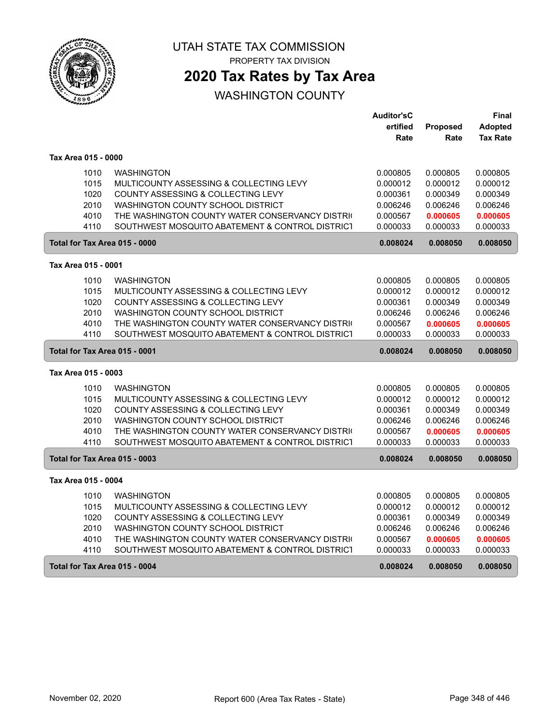

PROPERTY TAX DIVISION

## **2020 Tax Rates by Tax Area**

|                               |                                                 | <b>Auditor'sC</b> |          | Final           |
|-------------------------------|-------------------------------------------------|-------------------|----------|-----------------|
|                               |                                                 | ertified          | Proposed | <b>Adopted</b>  |
|                               |                                                 | Rate              | Rate     | <b>Tax Rate</b> |
| Tax Area 015 - 0000           |                                                 |                   |          |                 |
| 1010                          | <b>WASHINGTON</b>                               | 0.000805          | 0.000805 | 0.000805        |
| 1015                          | MULTICOUNTY ASSESSING & COLLECTING LEVY         | 0.000012          | 0.000012 | 0.000012        |
| 1020                          | COUNTY ASSESSING & COLLECTING LEVY              | 0.000361          | 0.000349 | 0.000349        |
| 2010                          | WASHINGTON COUNTY SCHOOL DISTRICT               | 0.006246          | 0.006246 | 0.006246        |
| 4010                          | THE WASHINGTON COUNTY WATER CONSERVANCY DISTRIC | 0.000567          | 0.000605 | 0.000605        |
| 4110                          | SOUTHWEST MOSQUITO ABATEMENT & CONTROL DISTRICT | 0.000033          | 0.000033 | 0.000033        |
| Total for Tax Area 015 - 0000 |                                                 | 0.008024          | 0.008050 | 0.008050        |
| Tax Area 015 - 0001           |                                                 |                   |          |                 |
| 1010                          | <b>WASHINGTON</b>                               | 0.000805          | 0.000805 | 0.000805        |
| 1015                          | MULTICOUNTY ASSESSING & COLLECTING LEVY         | 0.000012          | 0.000012 | 0.000012        |
| 1020                          | COUNTY ASSESSING & COLLECTING LEVY              | 0.000361          | 0.000349 | 0.000349        |
| 2010                          | <b>WASHINGTON COUNTY SCHOOL DISTRICT</b>        | 0.006246          | 0.006246 | 0.006246        |
| 4010                          | THE WASHINGTON COUNTY WATER CONSERVANCY DISTRIC | 0.000567          | 0.000605 | 0.000605        |
| 4110                          | SOUTHWEST MOSQUITO ABATEMENT & CONTROL DISTRICT | 0.000033          | 0.000033 | 0.000033        |
| Total for Tax Area 015 - 0001 |                                                 | 0.008024          | 0.008050 | 0.008050        |
| Tax Area 015 - 0003           |                                                 |                   |          |                 |
| 1010                          | <b>WASHINGTON</b>                               | 0.000805          | 0.000805 | 0.000805        |
| 1015                          | MULTICOUNTY ASSESSING & COLLECTING LEVY         | 0.000012          | 0.000012 | 0.000012        |
| 1020                          | COUNTY ASSESSING & COLLECTING LEVY              | 0.000361          | 0.000349 | 0.000349        |
| 2010                          | <b>WASHINGTON COUNTY SCHOOL DISTRICT</b>        | 0.006246          | 0.006246 | 0.006246        |
| 4010                          | THE WASHINGTON COUNTY WATER CONSERVANCY DISTRIC | 0.000567          | 0.000605 | 0.000605        |
| 4110                          | SOUTHWEST MOSQUITO ABATEMENT & CONTROL DISTRICT | 0.000033          | 0.000033 | 0.000033        |
| Total for Tax Area 015 - 0003 |                                                 | 0.008024          | 0.008050 | 0.008050        |
| Tax Area 015 - 0004           |                                                 |                   |          |                 |
| 1010                          | <b>WASHINGTON</b>                               | 0.000805          | 0.000805 | 0.000805        |
| 1015                          | MULTICOUNTY ASSESSING & COLLECTING LEVY         | 0.000012          | 0.000012 | 0.000012        |
| 1020                          | COUNTY ASSESSING & COLLECTING LEVY              | 0.000361          | 0.000349 | 0.000349        |
| 2010                          | WASHINGTON COUNTY SCHOOL DISTRICT               | 0.006246          | 0.006246 | 0.006246        |
| 4010                          | THE WASHINGTON COUNTY WATER CONSERVANCY DISTRIC | 0.000567          | 0.000605 | 0.000605        |
| 4110                          | SOUTHWEST MOSQUITO ABATEMENT & CONTROL DISTRICT | 0.000033          | 0.000033 | 0.000033        |
|                               |                                                 |                   |          |                 |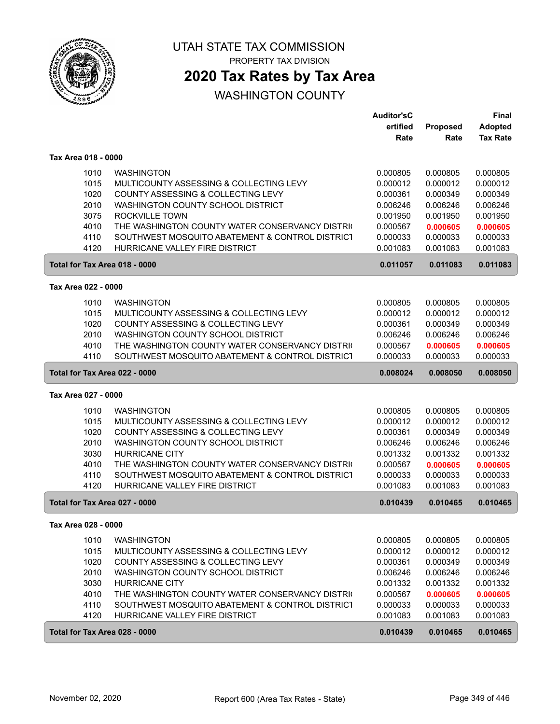

PROPERTY TAX DIVISION

## **2020 Tax Rates by Tax Area**

|                               |                                                                                                    | <b>Auditor'sC</b>    |                      | <b>Final</b>         |
|-------------------------------|----------------------------------------------------------------------------------------------------|----------------------|----------------------|----------------------|
|                               |                                                                                                    | ertified             | Proposed             | <b>Adopted</b>       |
|                               |                                                                                                    | Rate                 | Rate                 | <b>Tax Rate</b>      |
| Tax Area 018 - 0000           |                                                                                                    |                      |                      |                      |
| 1010                          | <b>WASHINGTON</b>                                                                                  | 0.000805             | 0.000805             | 0.000805             |
| 1015                          | MULTICOUNTY ASSESSING & COLLECTING LEVY                                                            | 0.000012             | 0.000012             | 0.000012             |
| 1020                          | COUNTY ASSESSING & COLLECTING LEVY                                                                 | 0.000361             | 0.000349             | 0.000349             |
| 2010                          | WASHINGTON COUNTY SCHOOL DISTRICT                                                                  | 0.006246             | 0.006246             | 0.006246             |
| 3075                          | ROCKVILLE TOWN                                                                                     | 0.001950             | 0.001950             | 0.001950             |
| 4010                          | THE WASHINGTON COUNTY WATER CONSERVANCY DISTRIC                                                    | 0.000567             | 0.000605             | 0.000605             |
| 4110                          | SOUTHWEST MOSQUITO ABATEMENT & CONTROL DISTRICT                                                    | 0.000033             | 0.000033             | 0.000033             |
| 4120                          | HURRICANE VALLEY FIRE DISTRICT                                                                     | 0.001083             | 0.001083             | 0.001083             |
| Total for Tax Area 018 - 0000 |                                                                                                    | 0.011057             | 0.011083             | 0.011083             |
| Tax Area 022 - 0000           |                                                                                                    |                      |                      |                      |
| 1010                          | <b>WASHINGTON</b>                                                                                  | 0.000805             | 0.000805             | 0.000805             |
| 1015                          | MULTICOUNTY ASSESSING & COLLECTING LEVY                                                            | 0.000012             | 0.000012             | 0.000012             |
| 1020                          | COUNTY ASSESSING & COLLECTING LEVY                                                                 | 0.000361             | 0.000349             | 0.000349             |
| 2010                          | WASHINGTON COUNTY SCHOOL DISTRICT                                                                  | 0.006246             | 0.006246             | 0.006246             |
| 4010                          | THE WASHINGTON COUNTY WATER CONSERVANCY DISTRIC                                                    | 0.000567             | 0.000605             | 0.000605             |
| 4110                          | SOUTHWEST MOSQUITO ABATEMENT & CONTROL DISTRICT                                                    | 0.000033             | 0.000033             | 0.000033             |
| Total for Tax Area 022 - 0000 |                                                                                                    | 0.008024             | 0.008050             | 0.008050             |
| Tax Area 027 - 0000           |                                                                                                    |                      |                      |                      |
|                               |                                                                                                    |                      |                      |                      |
| 1010                          | <b>WASHINGTON</b>                                                                                  | 0.000805             | 0.000805             | 0.000805             |
| 1015                          | MULTICOUNTY ASSESSING & COLLECTING LEVY                                                            | 0.000012             | 0.000012             | 0.000012             |
| 1020                          | COUNTY ASSESSING & COLLECTING LEVY                                                                 | 0.000361             | 0.000349             | 0.000349             |
| 2010<br>3030                  | WASHINGTON COUNTY SCHOOL DISTRICT<br><b>HURRICANE CITY</b>                                         | 0.006246             | 0.006246             | 0.006246             |
|                               |                                                                                                    | 0.001332             | 0.001332             | 0.001332             |
| 4010                          | THE WASHINGTON COUNTY WATER CONSERVANCY DISTRIC<br>SOUTHWEST MOSQUITO ABATEMENT & CONTROL DISTRICT | 0.000567             | 0.000605             | 0.000605             |
| 4110<br>4120                  | HURRICANE VALLEY FIRE DISTRICT                                                                     | 0.000033<br>0.001083 | 0.000033<br>0.001083 | 0.000033<br>0.001083 |
| Total for Tax Area 027 - 0000 |                                                                                                    | 0.010439             | 0.010465             | 0.010465             |
| Tax Area 028 - 0000           |                                                                                                    |                      |                      |                      |
| 1010                          | <b>WASHINGTON</b>                                                                                  | 0.000805             |                      | 0.000805             |
| 1015                          | MULTICOUNTY ASSESSING & COLLECTING LEVY                                                            | 0.000012             | 0.000805<br>0.000012 | 0.000012             |
|                               | COUNTY ASSESSING & COLLECTING LEVY                                                                 |                      |                      |                      |
| 1020<br>2010                  | WASHINGTON COUNTY SCHOOL DISTRICT                                                                  | 0.000361<br>0.006246 | 0.000349<br>0.006246 | 0.000349<br>0.006246 |
| 3030                          | <b>HURRICANE CITY</b>                                                                              | 0.001332             | 0.001332             | 0.001332             |
| 4010                          | THE WASHINGTON COUNTY WATER CONSERVANCY DISTRIC                                                    | 0.000567             | 0.000605             | 0.000605             |
| 4110                          | SOUTHWEST MOSQUITO ABATEMENT & CONTROL DISTRICT                                                    | 0.000033             | 0.000033             | 0.000033             |
| 4120                          | HURRICANE VALLEY FIRE DISTRICT                                                                     | 0.001083             | 0.001083             | 0.001083             |
| Total for Tax Area 028 - 0000 |                                                                                                    | 0.010439             | 0.010465             | 0.010465             |
|                               |                                                                                                    |                      |                      |                      |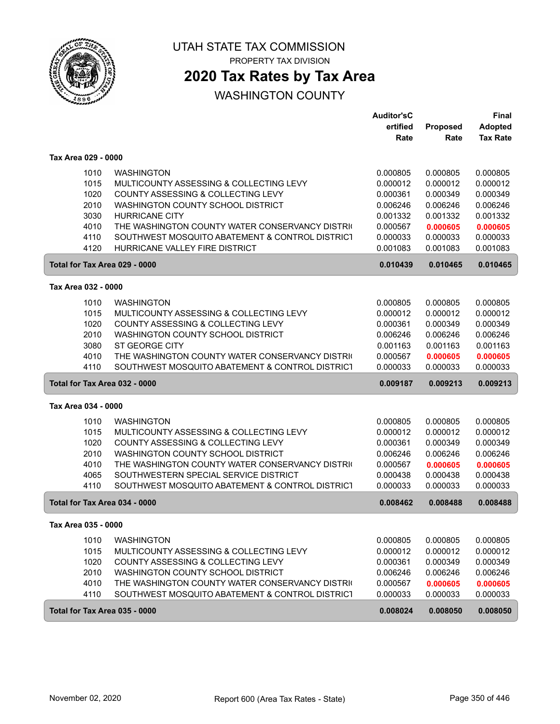

PROPERTY TAX DIVISION

## **2020 Tax Rates by Tax Area**

|                               |                                                 | <b>Auditor'sC</b><br>ertified | Proposed | Final<br><b>Adopted</b> |
|-------------------------------|-------------------------------------------------|-------------------------------|----------|-------------------------|
|                               |                                                 | Rate                          | Rate     | <b>Tax Rate</b>         |
| Tax Area 029 - 0000           |                                                 |                               |          |                         |
| 1010                          | <b>WASHINGTON</b>                               | 0.000805                      | 0.000805 | 0.000805                |
| 1015                          | MULTICOUNTY ASSESSING & COLLECTING LEVY         | 0.000012                      | 0.000012 | 0.000012                |
| 1020                          | COUNTY ASSESSING & COLLECTING LEVY              | 0.000361                      | 0.000349 | 0.000349                |
| 2010                          | WASHINGTON COUNTY SCHOOL DISTRICT               | 0.006246                      | 0.006246 | 0.006246                |
| 3030                          | <b>HURRICANE CITY</b>                           | 0.001332                      | 0.001332 | 0.001332                |
| 4010                          | THE WASHINGTON COUNTY WATER CONSERVANCY DISTRIC | 0.000567                      | 0.000605 | 0.000605                |
| 4110                          | SOUTHWEST MOSQUITO ABATEMENT & CONTROL DISTRICT | 0.000033                      | 0.000033 | 0.000033                |
| 4120                          | HURRICANE VALLEY FIRE DISTRICT                  | 0.001083                      | 0.001083 | 0.001083                |
| Total for Tax Area 029 - 0000 |                                                 | 0.010439                      | 0.010465 | 0.010465                |
| Tax Area 032 - 0000           |                                                 |                               |          |                         |
| 1010                          | <b>WASHINGTON</b>                               | 0.000805                      | 0.000805 | 0.000805                |
| 1015                          | MULTICOUNTY ASSESSING & COLLECTING LEVY         | 0.000012                      | 0.000012 | 0.000012                |
| 1020                          | COUNTY ASSESSING & COLLECTING LEVY              | 0.000361                      | 0.000349 | 0.000349                |
| 2010                          | WASHINGTON COUNTY SCHOOL DISTRICT               | 0.006246                      | 0.006246 | 0.006246                |
| 3080                          | <b>ST GEORGE CITY</b>                           | 0.001163                      | 0.001163 | 0.001163                |
| 4010                          | THE WASHINGTON COUNTY WATER CONSERVANCY DISTRIC | 0.000567                      | 0.000605 | 0.000605                |
| 4110                          | SOUTHWEST MOSQUITO ABATEMENT & CONTROL DISTRICT | 0.000033                      | 0.000033 | 0.000033                |
| Total for Tax Area 032 - 0000 |                                                 | 0.009187                      | 0.009213 | 0.009213                |
| Tax Area 034 - 0000           |                                                 |                               |          |                         |
| 1010                          | <b>WASHINGTON</b>                               | 0.000805                      | 0.000805 | 0.000805                |
| 1015                          | MULTICOUNTY ASSESSING & COLLECTING LEVY         | 0.000012                      | 0.000012 | 0.000012                |
| 1020                          | COUNTY ASSESSING & COLLECTING LEVY              | 0.000361                      | 0.000349 | 0.000349                |
| 2010                          | WASHINGTON COUNTY SCHOOL DISTRICT               | 0.006246                      | 0.006246 | 0.006246                |
| 4010                          | THE WASHINGTON COUNTY WATER CONSERVANCY DISTRIC | 0.000567                      | 0.000605 | 0.000605                |
| 4065                          | SOUTHWESTERN SPECIAL SERVICE DISTRICT           | 0.000438                      | 0.000438 | 0.000438                |
| 4110                          | SOUTHWEST MOSQUITO ABATEMENT & CONTROL DISTRICT | 0.000033                      | 0.000033 | 0.000033                |
| Total for Tax Area 034 - 0000 |                                                 | 0.008462                      | 0.008488 | 0.008488                |
| Tax Area 035 - 0000           |                                                 |                               |          |                         |
| 1010                          | <b>WASHINGTON</b>                               | 0.000805                      | 0.000805 | 0.000805                |
| 1015                          | MULTICOUNTY ASSESSING & COLLECTING LEVY         | 0.000012                      | 0.000012 | 0.000012                |
| 1020                          | COUNTY ASSESSING & COLLECTING LEVY              | 0.000361                      | 0.000349 | 0.000349                |
| 2010                          | WASHINGTON COUNTY SCHOOL DISTRICT               | 0.006246                      | 0.006246 | 0.006246                |
| 4010                          | THE WASHINGTON COUNTY WATER CONSERVANCY DISTRIC | 0.000567                      | 0.000605 | 0.000605                |
| 4110                          | SOUTHWEST MOSQUITO ABATEMENT & CONTROL DISTRICT | 0.000033                      | 0.000033 | 0.000033                |
| Total for Tax Area 035 - 0000 |                                                 | 0.008024                      | 0.008050 | 0.008050                |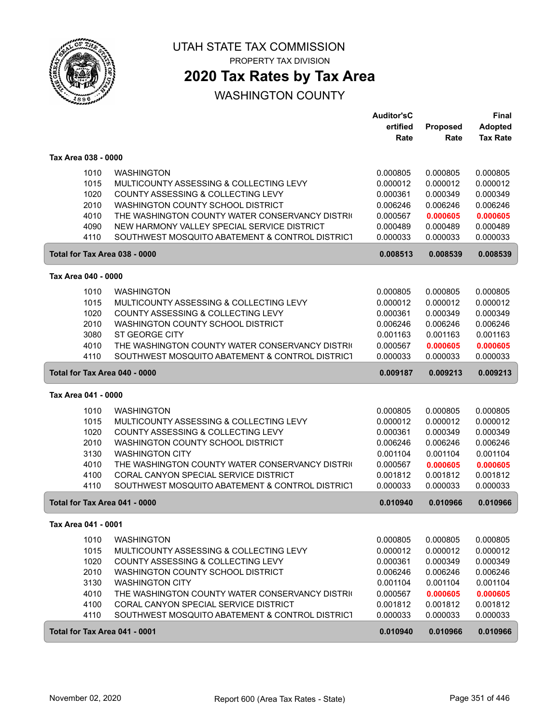

PROPERTY TAX DIVISION

## **2020 Tax Rates by Tax Area**

|                               |                                                 | <b>Auditor'sC</b> |          | Final           |
|-------------------------------|-------------------------------------------------|-------------------|----------|-----------------|
|                               |                                                 | ertified          | Proposed | <b>Adopted</b>  |
|                               |                                                 | Rate              | Rate     | <b>Tax Rate</b> |
| Tax Area 038 - 0000           |                                                 |                   |          |                 |
| 1010                          | <b>WASHINGTON</b>                               | 0.000805          | 0.000805 | 0.000805        |
| 1015                          | MULTICOUNTY ASSESSING & COLLECTING LEVY         | 0.000012          | 0.000012 | 0.000012        |
| 1020                          | COUNTY ASSESSING & COLLECTING LEVY              | 0.000361          | 0.000349 | 0.000349        |
| 2010                          | WASHINGTON COUNTY SCHOOL DISTRICT               | 0.006246          | 0.006246 | 0.006246        |
| 4010                          | THE WASHINGTON COUNTY WATER CONSERVANCY DISTRIC | 0.000567          | 0.000605 | 0.000605        |
| 4090                          | NEW HARMONY VALLEY SPECIAL SERVICE DISTRICT     | 0.000489          | 0.000489 | 0.000489        |
| 4110                          | SOUTHWEST MOSQUITO ABATEMENT & CONTROL DISTRICT | 0.000033          | 0.000033 | 0.000033        |
| Total for Tax Area 038 - 0000 |                                                 | 0.008513          | 0.008539 | 0.008539        |
| Tax Area 040 - 0000           |                                                 |                   |          |                 |
| 1010                          | <b>WASHINGTON</b>                               | 0.000805          | 0.000805 | 0.000805        |
| 1015                          | MULTICOUNTY ASSESSING & COLLECTING LEVY         | 0.000012          | 0.000012 | 0.000012        |
| 1020                          | COUNTY ASSESSING & COLLECTING LEVY              | 0.000361          | 0.000349 | 0.000349        |
| 2010                          | WASHINGTON COUNTY SCHOOL DISTRICT               | 0.006246          | 0.006246 | 0.006246        |
| 3080                          | ST GEORGE CITY                                  | 0.001163          | 0.001163 | 0.001163        |
| 4010                          | THE WASHINGTON COUNTY WATER CONSERVANCY DISTRIC | 0.000567          | 0.000605 | 0.000605        |
| 4110                          | SOUTHWEST MOSQUITO ABATEMENT & CONTROL DISTRICT | 0.000033          | 0.000033 | 0.000033        |
| Total for Tax Area 040 - 0000 |                                                 | 0.009187          | 0.009213 | 0.009213        |
| Tax Area 041 - 0000           |                                                 |                   |          |                 |
| 1010                          | <b>WASHINGTON</b>                               | 0.000805          | 0.000805 | 0.000805        |
| 1015                          | MULTICOUNTY ASSESSING & COLLECTING LEVY         | 0.000012          | 0.000012 | 0.000012        |
| 1020                          | COUNTY ASSESSING & COLLECTING LEVY              | 0.000361          | 0.000349 | 0.000349        |
| 2010                          | WASHINGTON COUNTY SCHOOL DISTRICT               | 0.006246          | 0.006246 | 0.006246        |
| 3130                          | <b>WASHINGTON CITY</b>                          | 0.001104          | 0.001104 | 0.001104        |
| 4010                          | THE WASHINGTON COUNTY WATER CONSERVANCY DISTRIC | 0.000567          | 0.000605 | 0.000605        |
| 4100                          | CORAL CANYON SPECIAL SERVICE DISTRICT           | 0.001812          | 0.001812 | 0.001812        |
| 4110                          | SOUTHWEST MOSQUITO ABATEMENT & CONTROL DISTRICT | 0.000033          | 0.000033 | 0.000033        |
| Total for Tax Area 041 - 0000 |                                                 | 0.010940          | 0.010966 | 0.010966        |
| Tax Area 041 - 0001           |                                                 |                   |          |                 |
| 1010                          | <b>WASHINGTON</b>                               | 0.000805          | 0.000805 | 0.000805        |
| 1015                          | MULTICOUNTY ASSESSING & COLLECTING LEVY         | 0.000012          | 0.000012 | 0.000012        |
| 1020                          | COUNTY ASSESSING & COLLECTING LEVY              | 0.000361          | 0.000349 | 0.000349        |
| 2010                          | WASHINGTON COUNTY SCHOOL DISTRICT               | 0.006246          | 0.006246 | 0.006246        |
| 3130                          | <b>WASHINGTON CITY</b>                          | 0.001104          | 0.001104 | 0.001104        |
| 4010                          | THE WASHINGTON COUNTY WATER CONSERVANCY DISTRIC | 0.000567          | 0.000605 | 0.000605        |
| 4100                          | CORAL CANYON SPECIAL SERVICE DISTRICT           | 0.001812          | 0.001812 | 0.001812        |
| 4110                          | SOUTHWEST MOSQUITO ABATEMENT & CONTROL DISTRICT | 0.000033          | 0.000033 | 0.000033        |
| Total for Tax Area 041 - 0001 |                                                 | 0.010940          | 0.010966 | 0.010966        |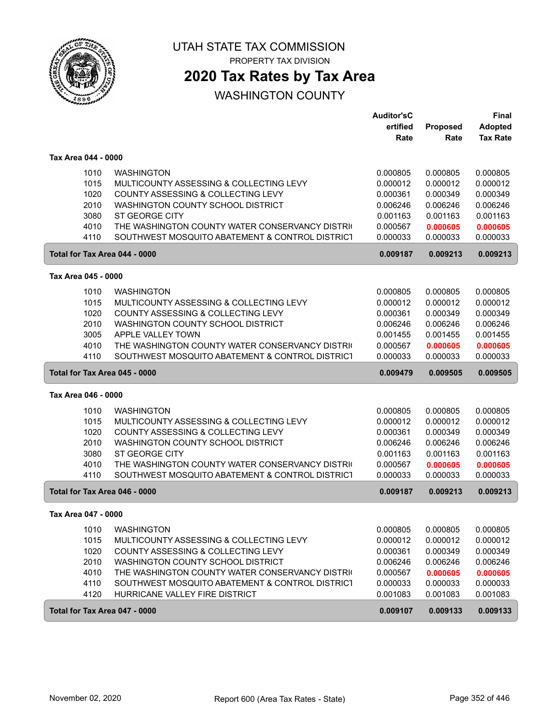

PROPERTY TAX DIVISION

## **2020 Tax Rates by Tax Area**

|                     |      |                                                 | <b>Auditor'sC</b> |          | Final           |
|---------------------|------|-------------------------------------------------|-------------------|----------|-----------------|
|                     |      |                                                 | ertified          | Proposed | <b>Adopted</b>  |
|                     |      |                                                 | Rate              | Rate     | <b>Tax Rate</b> |
| Tax Area 044 - 0000 |      |                                                 |                   |          |                 |
|                     | 1010 | <b>WASHINGTON</b>                               | 0.000805          | 0.000805 | 0.000805        |
|                     | 1015 | MULTICOUNTY ASSESSING & COLLECTING LEVY         | 0.000012          | 0.000012 | 0.000012        |
|                     | 1020 | COUNTY ASSESSING & COLLECTING LEVY              | 0.000361          | 0.000349 | 0.000349        |
|                     | 2010 | WASHINGTON COUNTY SCHOOL DISTRICT               | 0.006246          | 0.006246 | 0.006246        |
|                     | 3080 | ST GEORGE CITY                                  | 0.001163          | 0.001163 | 0.001163        |
|                     | 4010 | THE WASHINGTON COUNTY WATER CONSERVANCY DISTRIC | 0.000567          | 0.000605 | 0.000605        |
|                     | 4110 | SOUTHWEST MOSQUITO ABATEMENT & CONTROL DISTRICT | 0.000033          | 0.000033 | 0.000033        |
|                     |      | Total for Tax Area 044 - 0000                   | 0.009187          | 0.009213 | 0.009213        |
| Tax Area 045 - 0000 |      |                                                 |                   |          |                 |
|                     | 1010 | <b>WASHINGTON</b>                               | 0.000805          | 0.000805 | 0.000805        |
|                     | 1015 | MULTICOUNTY ASSESSING & COLLECTING LEVY         | 0.000012          | 0.000012 | 0.000012        |
|                     | 1020 | COUNTY ASSESSING & COLLECTING LEVY              | 0.000361          | 0.000349 | 0.000349        |
|                     | 2010 | WASHINGTON COUNTY SCHOOL DISTRICT               | 0.006246          | 0.006246 | 0.006246        |
|                     | 3005 | APPLE VALLEY TOWN                               | 0.001455          | 0.001455 | 0.001455        |
|                     | 4010 | THE WASHINGTON COUNTY WATER CONSERVANCY DISTRIC | 0.000567          | 0.000605 | 0.000605        |
|                     | 4110 | SOUTHWEST MOSQUITO ABATEMENT & CONTROL DISTRICT | 0.000033          | 0.000033 | 0.000033        |
|                     |      | Total for Tax Area 045 - 0000                   | 0.009479          | 0.009505 | 0.009505        |
| Tax Area 046 - 0000 |      |                                                 |                   |          |                 |
|                     | 1010 | <b>WASHINGTON</b>                               | 0.000805          | 0.000805 | 0.000805        |
|                     | 1015 | MULTICOUNTY ASSESSING & COLLECTING LEVY         | 0.000012          | 0.000012 | 0.000012        |
|                     | 1020 | COUNTY ASSESSING & COLLECTING LEVY              | 0.000361          | 0.000349 | 0.000349        |
|                     | 2010 | WASHINGTON COUNTY SCHOOL DISTRICT               | 0.006246          | 0.006246 | 0.006246        |
|                     | 3080 | ST GEORGE CITY                                  | 0.001163          | 0.001163 | 0.001163        |
|                     | 4010 | THE WASHINGTON COUNTY WATER CONSERVANCY DISTRIC | 0.000567          | 0.000605 | 0.000605        |
|                     | 4110 | SOUTHWEST MOSQUITO ABATEMENT & CONTROL DISTRICT | 0.000033          | 0.000033 | 0.000033        |
|                     |      | Total for Tax Area 046 - 0000                   | 0.009187          | 0.009213 | 0.009213        |
| Tax Area 047 - 0000 |      |                                                 |                   |          |                 |
|                     | 1010 | <b>WASHINGTON</b>                               | 0.000805          | 0.000805 | 0.000805        |
|                     | 1015 | MULTICOUNTY ASSESSING & COLLECTING LEVY         | 0.000012          | 0.000012 | 0.000012        |
|                     | 1020 | COUNTY ASSESSING & COLLECTING LEVY              | 0.000361          | 0.000349 | 0.000349        |
|                     | 2010 | WASHINGTON COUNTY SCHOOL DISTRICT               | 0.006246          | 0.006246 | 0.006246        |
|                     | 4010 | THE WASHINGTON COUNTY WATER CONSERVANCY DISTRIC | 0.000567          | 0.000605 | 0.000605        |
|                     | 4110 | SOUTHWEST MOSQUITO ABATEMENT & CONTROL DISTRICT | 0.000033          | 0.000033 | 0.000033        |
|                     | 4120 | HURRICANE VALLEY FIRE DISTRICT                  | 0.001083          | 0.001083 | 0.001083        |
|                     |      | Total for Tax Area 047 - 0000                   | 0.009107          | 0.009133 | 0.009133        |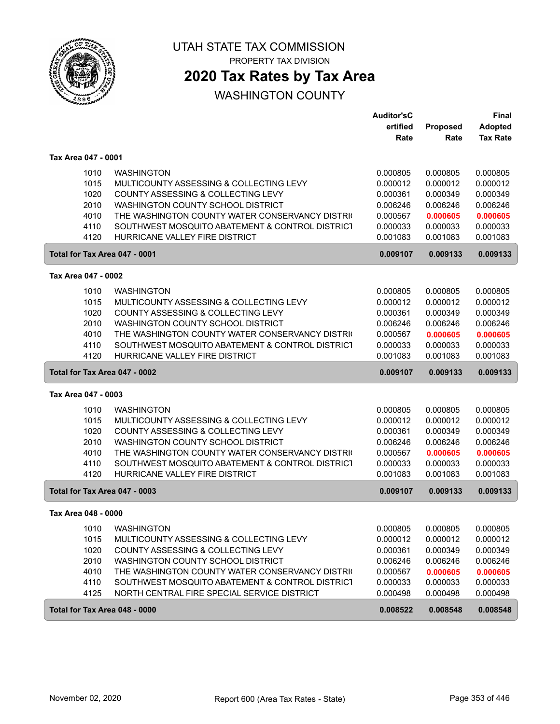

PROPERTY TAX DIVISION

## **2020 Tax Rates by Tax Area**

|                               |                                                              | <b>Auditor'sC</b>    |                         | <b>Final</b>                      |
|-------------------------------|--------------------------------------------------------------|----------------------|-------------------------|-----------------------------------|
|                               |                                                              | ertified<br>Rate     | <b>Proposed</b><br>Rate | <b>Adopted</b><br><b>Tax Rate</b> |
| Tax Area 047 - 0001           |                                                              |                      |                         |                                   |
| 1010                          | <b>WASHINGTON</b>                                            | 0.000805             | 0.000805                | 0.000805                          |
| 1015                          | MULTICOUNTY ASSESSING & COLLECTING LEVY                      | 0.000012             | 0.000012                | 0.000012                          |
| 1020                          | COUNTY ASSESSING & COLLECTING LEVY                           | 0.000361             | 0.000349                | 0.000349                          |
| 2010                          | WASHINGTON COUNTY SCHOOL DISTRICT                            | 0.006246             | 0.006246                | 0.006246                          |
| 4010                          | THE WASHINGTON COUNTY WATER CONSERVANCY DISTRIC              | 0.000567             | 0.000605                | 0.000605                          |
| 4110                          | SOUTHWEST MOSQUITO ABATEMENT & CONTROL DISTRICT              | 0.000033             | 0.000033                | 0.000033                          |
| 4120                          | HURRICANE VALLEY FIRE DISTRICT                               | 0.001083             | 0.001083                | 0.001083                          |
| Total for Tax Area 047 - 0001 |                                                              | 0.009107             | 0.009133                | 0.009133                          |
| Tax Area 047 - 0002           |                                                              |                      |                         |                                   |
| 1010                          | <b>WASHINGTON</b>                                            | 0.000805             | 0.000805                | 0.000805                          |
| 1015                          | MULTICOUNTY ASSESSING & COLLECTING LEVY                      | 0.000012             | 0.000012                | 0.000012                          |
| 1020                          | COUNTY ASSESSING & COLLECTING LEVY                           | 0.000361             | 0.000349                | 0.000349                          |
| 2010                          | WASHINGTON COUNTY SCHOOL DISTRICT                            | 0.006246             | 0.006246                | 0.006246                          |
| 4010                          | THE WASHINGTON COUNTY WATER CONSERVANCY DISTRIC              | 0.000567             | 0.000605                | 0.000605                          |
| 4110                          | SOUTHWEST MOSQUITO ABATEMENT & CONTROL DISTRICT              | 0.000033             | 0.000033                | 0.000033                          |
| 4120                          | HURRICANE VALLEY FIRE DISTRICT                               | 0.001083             | 0.001083                | 0.001083                          |
|                               |                                                              |                      |                         |                                   |
| Total for Tax Area 047 - 0002 |                                                              | 0.009107             | 0.009133                | 0.009133                          |
| Tax Area 047 - 0003           |                                                              |                      |                         |                                   |
| 1010                          | <b>WASHINGTON</b>                                            | 0.000805             | 0.000805                | 0.000805                          |
| 1015                          | MULTICOUNTY ASSESSING & COLLECTING LEVY                      | 0.000012             | 0.000012                | 0.000012                          |
| 1020                          | COUNTY ASSESSING & COLLECTING LEVY                           | 0.000361             | 0.000349                | 0.000349                          |
| 2010                          | WASHINGTON COUNTY SCHOOL DISTRICT                            | 0.006246             | 0.006246                | 0.006246                          |
| 4010                          | THE WASHINGTON COUNTY WATER CONSERVANCY DISTRIC              | 0.000567             | 0.000605                | 0.000605                          |
| 4110                          | SOUTHWEST MOSQUITO ABATEMENT & CONTROL DISTRICT              | 0.000033             | 0.000033                | 0.000033                          |
| 4120                          | HURRICANE VALLEY FIRE DISTRICT                               | 0.001083             | 0.001083                | 0.001083                          |
| Total for Tax Area 047 - 0003 |                                                              | 0.009107             | 0.009133                | 0.009133                          |
| Tax Area 048 - 0000           |                                                              |                      |                         |                                   |
|                               |                                                              |                      |                         |                                   |
| 1010                          | <b>WASHINGTON</b><br>MULTICOUNTY ASSESSING & COLLECTING LEVY | 0.000805             | 0.000805<br>0.000012    | 0.000805<br>0.000012              |
| 1015<br>1020                  | COUNTY ASSESSING & COLLECTING LEVY                           | 0.000012<br>0.000361 | 0.000349                | 0.000349                          |
| 2010                          | WASHINGTON COUNTY SCHOOL DISTRICT                            | 0.006246             | 0.006246                | 0.006246                          |
| 4010                          | THE WASHINGTON COUNTY WATER CONSERVANCY DISTRIC              | 0.000567             | 0.000605                | 0.000605                          |
| 4110                          | SOUTHWEST MOSQUITO ABATEMENT & CONTROL DISTRICT              | 0.000033             | 0.000033                | 0.000033                          |
| 4125                          | NORTH CENTRAL FIRE SPECIAL SERVICE DISTRICT                  | 0.000498             | 0.000498                | 0.000498                          |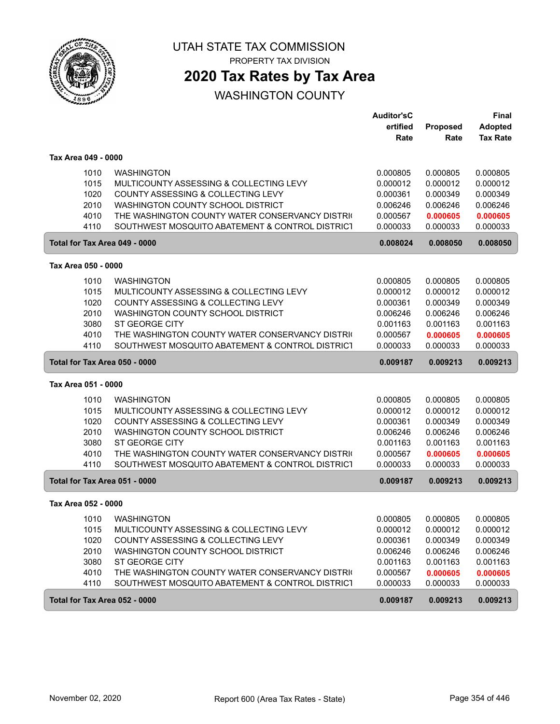

PROPERTY TAX DIVISION

## **2020 Tax Rates by Tax Area**

|                               |                                                 | <b>Auditor'sC</b> |          | <b>Final</b>    |
|-------------------------------|-------------------------------------------------|-------------------|----------|-----------------|
|                               |                                                 | ertified          | Proposed | <b>Adopted</b>  |
|                               |                                                 | Rate              | Rate     | <b>Tax Rate</b> |
| Tax Area 049 - 0000           |                                                 |                   |          |                 |
| 1010                          | <b>WASHINGTON</b>                               | 0.000805          | 0.000805 | 0.000805        |
| 1015                          | MULTICOUNTY ASSESSING & COLLECTING LEVY         | 0.000012          | 0.000012 | 0.000012        |
| 1020                          | COUNTY ASSESSING & COLLECTING LEVY              | 0.000361          | 0.000349 | 0.000349        |
| 2010                          | WASHINGTON COUNTY SCHOOL DISTRICT               | 0.006246          | 0.006246 | 0.006246        |
| 4010                          | THE WASHINGTON COUNTY WATER CONSERVANCY DISTRIC | 0.000567          | 0.000605 | 0.000605        |
| 4110                          | SOUTHWEST MOSQUITO ABATEMENT & CONTROL DISTRICT | 0.000033          | 0.000033 | 0.000033        |
| Total for Tax Area 049 - 0000 |                                                 | 0.008024          | 0.008050 | 0.008050        |
| Tax Area 050 - 0000           |                                                 |                   |          |                 |
| 1010                          | <b>WASHINGTON</b>                               | 0.000805          | 0.000805 | 0.000805        |
| 1015                          | MULTICOUNTY ASSESSING & COLLECTING LEVY         | 0.000012          | 0.000012 | 0.000012        |
| 1020                          | COUNTY ASSESSING & COLLECTING LEVY              | 0.000361          | 0.000349 | 0.000349        |
| 2010                          | WASHINGTON COUNTY SCHOOL DISTRICT               | 0.006246          | 0.006246 | 0.006246        |
| 3080                          | <b>ST GEORGE CITY</b>                           | 0.001163          | 0.001163 | 0.001163        |
| 4010                          | THE WASHINGTON COUNTY WATER CONSERVANCY DISTRIC | 0.000567          | 0.000605 | 0.000605        |
| 4110                          | SOUTHWEST MOSQUITO ABATEMENT & CONTROL DISTRICT | 0.000033          | 0.000033 | 0.000033        |
| Total for Tax Area 050 - 0000 |                                                 | 0.009187          | 0.009213 | 0.009213        |
| Tax Area 051 - 0000           |                                                 |                   |          |                 |
| 1010                          | <b>WASHINGTON</b>                               | 0.000805          | 0.000805 | 0.000805        |
| 1015                          | MULTICOUNTY ASSESSING & COLLECTING LEVY         | 0.000012          | 0.000012 | 0.000012        |
| 1020                          | COUNTY ASSESSING & COLLECTING LEVY              | 0.000361          | 0.000349 | 0.000349        |
| 2010                          | WASHINGTON COUNTY SCHOOL DISTRICT               | 0.006246          | 0.006246 | 0.006246        |
| 3080                          | <b>ST GEORGE CITY</b>                           | 0.001163          | 0.001163 | 0.001163        |
| 4010                          | THE WASHINGTON COUNTY WATER CONSERVANCY DISTRIC | 0.000567          | 0.000605 | 0.000605        |
| 4110                          | SOUTHWEST MOSQUITO ABATEMENT & CONTROL DISTRICT | 0.000033          | 0.000033 | 0.000033        |
| Total for Tax Area 051 - 0000 |                                                 | 0.009187          | 0.009213 | 0.009213        |
| Tax Area 052 - 0000           |                                                 |                   |          |                 |
| 1010                          | WASHINGTON                                      | 0.000805          | 0.000805 | 0.000805        |
| 1015                          | MULTICOUNTY ASSESSING & COLLECTING LEVY         | 0.000012          | 0.000012 | 0.000012        |
| 1020                          | COUNTY ASSESSING & COLLECTING LEVY              | 0.000361          | 0.000349 | 0.000349        |
| 2010                          | WASHINGTON COUNTY SCHOOL DISTRICT               | 0.006246          | 0.006246 | 0.006246        |
| 3080                          | ST GEORGE CITY                                  | 0.001163          | 0.001163 | 0.001163        |
| 4010                          | THE WASHINGTON COUNTY WATER CONSERVANCY DISTRIC | 0.000567          | 0.000605 | 0.000605        |
| 4110                          | SOUTHWEST MOSQUITO ABATEMENT & CONTROL DISTRICT | 0.000033          | 0.000033 | 0.000033        |
| Total for Tax Area 052 - 0000 |                                                 | 0.009187          | 0.009213 | 0.009213        |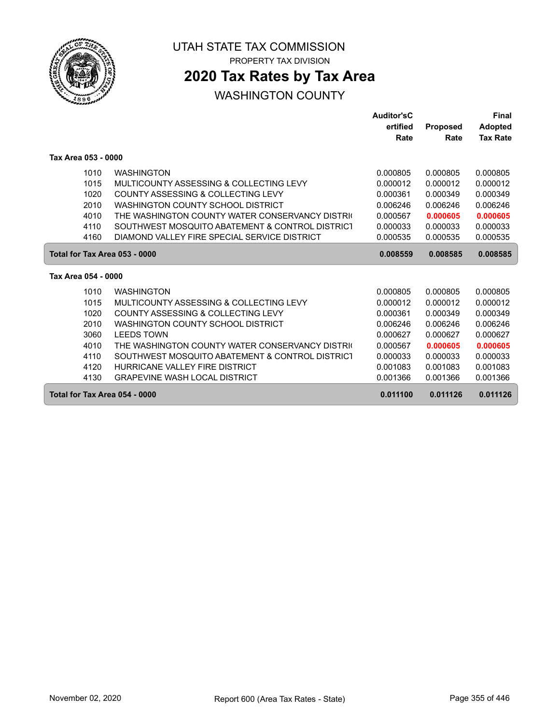

ſ

UTAH STATE TAX COMMISSION

PROPERTY TAX DIVISION

## **2020 Tax Rates by Tax Area**

|                                                                      |                                                                                                                                                                                                                                                                                                                                              | <b>Auditor'sC</b><br>ertified<br>Rate                                                                    | <b>Proposed</b><br>Rate                                                                                  | <b>Final</b><br><b>Adopted</b><br><b>Tax Rate</b>                                                        |
|----------------------------------------------------------------------|----------------------------------------------------------------------------------------------------------------------------------------------------------------------------------------------------------------------------------------------------------------------------------------------------------------------------------------------|----------------------------------------------------------------------------------------------------------|----------------------------------------------------------------------------------------------------------|----------------------------------------------------------------------------------------------------------|
| Tax Area 053 - 0000                                                  |                                                                                                                                                                                                                                                                                                                                              |                                                                                                          |                                                                                                          |                                                                                                          |
| 1010<br>1015<br>1020<br>2010<br>4010<br>4110<br>4160                 | <b>WASHINGTON</b><br>MULTICOUNTY ASSESSING & COLLECTING LEVY<br>COUNTY ASSESSING & COLLECTING LEVY<br>WASHINGTON COUNTY SCHOOL DISTRICT<br>THE WASHINGTON COUNTY WATER CONSERVANCY DISTRIC<br>SOUTHWEST MOSQUITO ABATEMENT & CONTROL DISTRICT<br>DIAMOND VALLEY FIRE SPECIAL SERVICE DISTRICT                                                | 0.000805<br>0.000012<br>0.000361<br>0.006246<br>0.000567<br>0.000033<br>0.000535                         | 0.000805<br>0.000012<br>0.000349<br>0.006246<br>0.000605<br>0.000033<br>0.000535                         | 0.000805<br>0.000012<br>0.000349<br>0.006246<br>0.000605<br>0.000033<br>0.000535                         |
| Total for Tax Area 053 - 0000                                        |                                                                                                                                                                                                                                                                                                                                              | 0.008559                                                                                                 | 0.008585                                                                                                 | 0.008585                                                                                                 |
| Tax Area 054 - 0000                                                  |                                                                                                                                                                                                                                                                                                                                              |                                                                                                          |                                                                                                          |                                                                                                          |
| 1010<br>1015<br>1020<br>2010<br>3060<br>4010<br>4110<br>4120<br>4130 | <b>WASHINGTON</b><br>MULTICOUNTY ASSESSING & COLLECTING LEVY<br>COUNTY ASSESSING & COLLECTING LEVY<br>WASHINGTON COUNTY SCHOOL DISTRICT<br><b>LEEDS TOWN</b><br>THE WASHINGTON COUNTY WATER CONSERVANCY DISTRIC<br>SOUTHWEST MOSQUITO ABATEMENT & CONTROL DISTRICT<br>HURRICANE VALLEY FIRE DISTRICT<br><b>GRAPEVINE WASH LOCAL DISTRICT</b> | 0.000805<br>0.000012<br>0.000361<br>0.006246<br>0.000627<br>0.000567<br>0.000033<br>0.001083<br>0.001366 | 0.000805<br>0.000012<br>0.000349<br>0.006246<br>0.000627<br>0.000605<br>0.000033<br>0.001083<br>0.001366 | 0.000805<br>0.000012<br>0.000349<br>0.006246<br>0.000627<br>0.000605<br>0.000033<br>0.001083<br>0.001366 |
| Total for Tax Area 054 - 0000                                        |                                                                                                                                                                                                                                                                                                                                              | 0.011100                                                                                                 | 0.011126                                                                                                 | 0.011126                                                                                                 |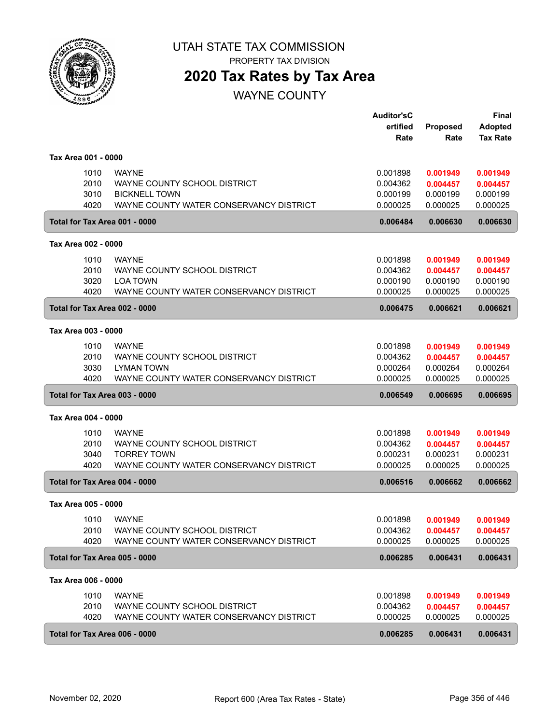

PROPERTY TAX DIVISION

## **2020 Tax Rates by Tax Area**

WAYNE COUNTY

|                     |      |                                         | <b>Auditor'sC</b><br>ertified | <b>Proposed</b>                | <b>Final</b><br><b>Adopted</b> |
|---------------------|------|-----------------------------------------|-------------------------------|--------------------------------|--------------------------------|
|                     |      |                                         | Rate                          | Rate                           | <b>Tax Rate</b>                |
| Tax Area 001 - 0000 |      |                                         |                               |                                |                                |
|                     | 1010 | <b>WAYNE</b>                            | 0.001898                      | 0.001949                       | 0.001949                       |
|                     | 2010 | WAYNE COUNTY SCHOOL DISTRICT            | 0.004362                      | 0.004457                       | 0.004457                       |
|                     | 3010 | <b>BICKNELL TOWN</b>                    | 0.000199                      | 0.000199                       | 0.000199                       |
|                     | 4020 | WAYNE COUNTY WATER CONSERVANCY DISTRICT | 0.000025                      | 0.000025                       | 0.000025                       |
|                     |      | Total for Tax Area 001 - 0000           | 0.006484                      | 0.006630                       | 0.006630                       |
| Tax Area 002 - 0000 |      |                                         |                               |                                |                                |
|                     | 1010 | <b>WAYNE</b>                            | 0.001898                      | 0.001949                       | 0.001949                       |
|                     | 2010 | WAYNE COUNTY SCHOOL DISTRICT            | 0.004362                      | 0.004457                       | 0.004457                       |
|                     | 3020 | <b>LOA TOWN</b>                         | 0.000190                      | 0.000190                       | 0.000190                       |
|                     | 4020 | WAYNE COUNTY WATER CONSERVANCY DISTRICT | 0.000025                      | 0.000025                       | 0.000025                       |
|                     |      | Total for Tax Area 002 - 0000           | 0.006475                      | 0.006621                       | 0.006621                       |
| Tax Area 003 - 0000 |      |                                         |                               |                                |                                |
|                     | 1010 | <b>WAYNE</b>                            | 0.001898                      | 0.001949                       | 0.001949                       |
|                     | 2010 | WAYNE COUNTY SCHOOL DISTRICT            | 0.004362                      | 0.004457                       | 0.004457                       |
|                     | 3030 | <b>LYMAN TOWN</b>                       | 0.000264                      | 0.000264                       | 0.000264                       |
|                     | 4020 | WAYNE COUNTY WATER CONSERVANCY DISTRICT | 0.000025                      | 0.000025                       | 0.000025                       |
|                     |      | Total for Tax Area 003 - 0000           | 0.006549                      | 0.006695                       | 0.006695                       |
| Tax Area 004 - 0000 |      |                                         |                               |                                |                                |
|                     | 1010 | <b>WAYNE</b>                            | 0.001898                      | 0.001949                       | 0.001949                       |
|                     | 2010 | WAYNE COUNTY SCHOOL DISTRICT            | 0.004362                      | 0.004457                       | 0.004457                       |
|                     | 3040 | <b>TORREY TOWN</b>                      | 0.000231                      | 0.000231                       | 0.000231                       |
|                     | 4020 | WAYNE COUNTY WATER CONSERVANCY DISTRICT | 0.000025                      | 0.000025                       | 0.000025                       |
|                     |      | Total for Tax Area 004 - 0000           | 0.006516                      | 0.006662                       | 0.006662                       |
| Tax Area 005 - 0000 |      |                                         |                               |                                |                                |
|                     |      | 1010 WAYNE                              |                               | 0.001898   0.001949   0.001949 |                                |
|                     | 2010 | WAYNE COUNTY SCHOOL DISTRICT            | 0.004362                      | 0.004457                       | 0.004457                       |
|                     | 4020 | WAYNE COUNTY WATER CONSERVANCY DISTRICT | 0.000025                      | 0.000025                       | 0.000025                       |
|                     |      | Total for Tax Area 005 - 0000           | 0.006285                      | 0.006431                       | 0.006431                       |
| Tax Area 006 - 0000 |      |                                         |                               |                                |                                |
|                     | 1010 | <b>WAYNE</b>                            | 0.001898                      | 0.001949                       | 0.001949                       |
|                     | 2010 | WAYNE COUNTY SCHOOL DISTRICT            | 0.004362                      | 0.004457                       | 0.004457                       |
|                     | 4020 | WAYNE COUNTY WATER CONSERVANCY DISTRICT | 0.000025                      | 0.000025                       | 0.000025                       |
|                     |      | Total for Tax Area 006 - 0000           | 0.006285                      | 0.006431                       | 0.006431                       |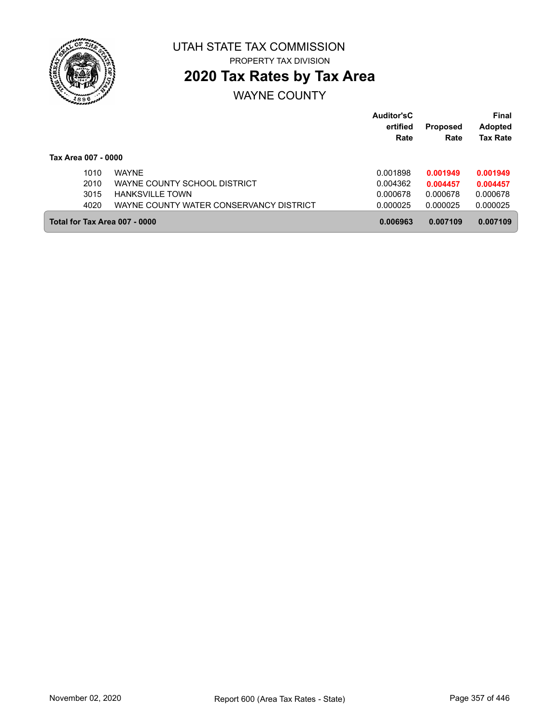

# **2020 Tax Rates by Tax Area**

## WAYNE COUNTY

|                               |                                         | <b>Auditor'sC</b><br>ertified<br>Rate | <b>Proposed</b><br>Rate | Final<br><b>Adopted</b><br><b>Tax Rate</b> |
|-------------------------------|-----------------------------------------|---------------------------------------|-------------------------|--------------------------------------------|
| Tax Area 007 - 0000           |                                         |                                       |                         |                                            |
| 1010                          | <b>WAYNF</b>                            | 0.001898                              | 0.001949                | 0.001949                                   |
| 2010                          | WAYNE COUNTY SCHOOL DISTRICT            | 0.004362                              | 0.004457                | 0.004457                                   |
| 3015                          | <b>HANKSVILLE TOWN</b>                  | 0.000678                              | 0.000678                | 0.000678                                   |
| 4020                          | WAYNE COUNTY WATER CONSERVANCY DISTRICT | 0.000025                              | 0.000025                | 0.000025                                   |
| Total for Tax Area 007 - 0000 |                                         | 0.006963                              | 0.007109                | 0.007109                                   |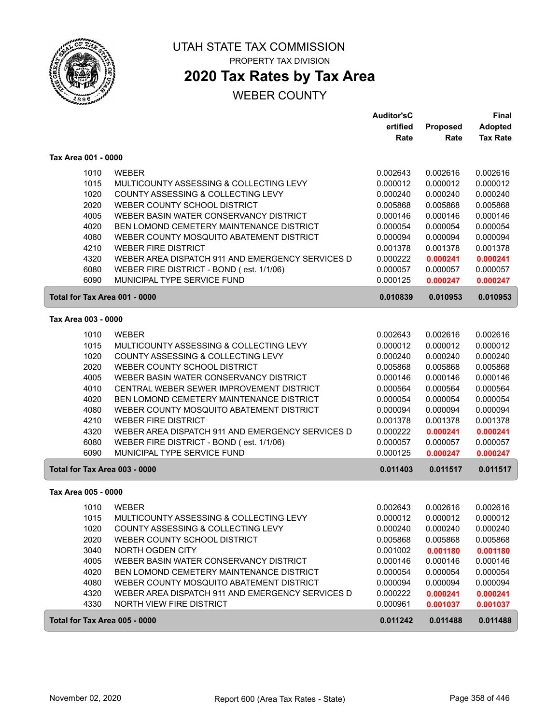

# **2020 Tax Rates by Tax Area**

#### WEBER COUNTY

|                               |                                                  | <b>Auditor'sC</b> |          | <b>Final</b>    |
|-------------------------------|--------------------------------------------------|-------------------|----------|-----------------|
|                               |                                                  | ertified          | Proposed | <b>Adopted</b>  |
|                               |                                                  | Rate              | Rate     | <b>Tax Rate</b> |
| Tax Area 001 - 0000           |                                                  |                   |          |                 |
| 1010                          | <b>WEBER</b>                                     | 0.002643          | 0.002616 | 0.002616        |
| 1015                          | MULTICOUNTY ASSESSING & COLLECTING LEVY          | 0.000012          | 0.000012 | 0.000012        |
| 1020                          | COUNTY ASSESSING & COLLECTING LEVY               | 0.000240          | 0.000240 | 0.000240        |
| 2020                          | WEBER COUNTY SCHOOL DISTRICT                     | 0.005868          | 0.005868 | 0.005868        |
| 4005                          | WEBER BASIN WATER CONSERVANCY DISTRICT           | 0.000146          | 0.000146 | 0.000146        |
| 4020                          | BEN LOMOND CEMETERY MAINTENANCE DISTRICT         | 0.000054          | 0.000054 | 0.000054        |
| 4080                          | WEBER COUNTY MOSQUITO ABATEMENT DISTRICT         | 0.000094          | 0.000094 | 0.000094        |
| 4210                          | <b>WEBER FIRE DISTRICT</b>                       | 0.001378          | 0.001378 | 0.001378        |
| 4320                          | WEBER AREA DISPATCH 911 AND EMERGENCY SERVICES D | 0.000222          | 0.000241 | 0.000241        |
| 6080                          | WEBER FIRE DISTRICT - BOND (est. 1/1/06)         | 0.000057          | 0.000057 | 0.000057        |
| 6090                          | MUNICIPAL TYPE SERVICE FUND                      | 0.000125          | 0.000247 | 0.000247        |
| Total for Tax Area 001 - 0000 |                                                  | 0.010839          | 0.010953 | 0.010953        |
| Tax Area 003 - 0000           |                                                  |                   |          |                 |
| 1010                          | <b>WEBER</b>                                     | 0.002643          | 0.002616 | 0.002616        |
| 1015                          | MULTICOUNTY ASSESSING & COLLECTING LEVY          | 0.000012          | 0.000012 | 0.000012        |
| 1020                          | COUNTY ASSESSING & COLLECTING LEVY               | 0.000240          | 0.000240 | 0.000240        |
| 2020                          | WEBER COUNTY SCHOOL DISTRICT                     | 0.005868          | 0.005868 | 0.005868        |
| 4005                          | WEBER BASIN WATER CONSERVANCY DISTRICT           | 0.000146          | 0.000146 | 0.000146        |
| 4010                          | CENTRAL WEBER SEWER IMPROVEMENT DISTRICT         | 0.000564          | 0.000564 | 0.000564        |
| 4020                          | BEN LOMOND CEMETERY MAINTENANCE DISTRICT         | 0.000054          | 0.000054 | 0.000054        |
| 4080                          | WEBER COUNTY MOSQUITO ABATEMENT DISTRICT         | 0.000094          | 0.000094 | 0.000094        |
| 4210                          | <b>WEBER FIRE DISTRICT</b>                       | 0.001378          | 0.001378 | 0.001378        |
| 4320                          | WEBER AREA DISPATCH 911 AND EMERGENCY SERVICES D | 0.000222          | 0.000241 | 0.000241        |
| 6080                          | WEBER FIRE DISTRICT - BOND (est. 1/1/06)         | 0.000057          | 0.000057 | 0.000057        |
| 6090                          | MUNICIPAL TYPE SERVICE FUND                      | 0.000125          | 0.000247 | 0.000247        |
| Total for Tax Area 003 - 0000 |                                                  | 0.011403          | 0.011517 | 0.011517        |
| Tax Area 005 - 0000           |                                                  |                   |          |                 |
| 1010                          | <b>WEBER</b>                                     | 0.002643          | 0.002616 | 0.002616        |
| 1015                          | MULTICOUNTY ASSESSING & COLLECTING LEVY          | 0.000012          | 0.000012 | 0.000012        |
| 1020                          | COUNTY ASSESSING & COLLECTING LEVY               | 0.000240          | 0.000240 | 0.000240        |
| 2020                          | WEBER COUNTY SCHOOL DISTRICT                     | 0.005868          | 0.005868 | 0.005868        |
| 3040                          | NORTH OGDEN CITY                                 | 0.001002          | 0.001180 | 0.001180        |
| 4005                          | WEBER BASIN WATER CONSERVANCY DISTRICT           | 0.000146          | 0.000146 | 0.000146        |
| 4020                          | BEN LOMOND CEMETERY MAINTENANCE DISTRICT         | 0.000054          | 0.000054 | 0.000054        |
| 4080                          | WEBER COUNTY MOSQUITO ABATEMENT DISTRICT         | 0.000094          | 0.000094 | 0.000094        |
| 4320                          | WEBER AREA DISPATCH 911 AND EMERGENCY SERVICES D | 0.000222          | 0.000241 | 0.000241        |
| 4330                          | NORTH VIEW FIRE DISTRICT                         | 0.000961          | 0.001037 | 0.001037        |
| Total for Tax Area 005 - 0000 |                                                  | 0.011242          | 0.011488 | 0.011488        |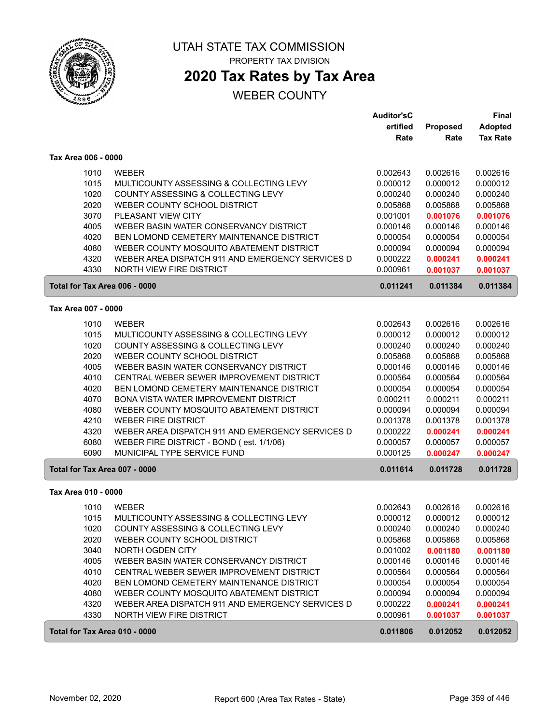

ſ

ſ

ſ

#### UTAH STATE TAX COMMISSION PROPERTY TAX DIVISION

## **2020 Tax Rates by Tax Area**

#### WEBER COUNTY

|                               |                                                  | <b>Auditor'sC</b><br>ertified | <b>Proposed</b> | <b>Final</b><br><b>Adopted</b> |
|-------------------------------|--------------------------------------------------|-------------------------------|-----------------|--------------------------------|
|                               |                                                  | Rate                          | Rate            | <b>Tax Rate</b>                |
| Tax Area 006 - 0000           |                                                  |                               |                 |                                |
| 1010                          | <b>WEBER</b>                                     | 0.002643                      | 0.002616        | 0.002616                       |
| 1015                          | MULTICOUNTY ASSESSING & COLLECTING LEVY          | 0.000012                      | 0.000012        | 0.000012                       |
| 1020                          | COUNTY ASSESSING & COLLECTING LEVY               | 0.000240                      | 0.000240        | 0.000240                       |
| 2020                          | WEBER COUNTY SCHOOL DISTRICT                     | 0.005868                      | 0.005868        | 0.005868                       |
| 3070                          | PLEASANT VIEW CITY                               | 0.001001                      | 0.001076        | 0.001076                       |
| 4005                          | WEBER BASIN WATER CONSERVANCY DISTRICT           | 0.000146                      | 0.000146        | 0.000146                       |
| 4020                          | BEN LOMOND CEMETERY MAINTENANCE DISTRICT         | 0.000054                      | 0.000054        | 0.000054                       |
| 4080                          | WEBER COUNTY MOSQUITO ABATEMENT DISTRICT         | 0.000094                      | 0.000094        | 0.000094                       |
| 4320                          | WEBER AREA DISPATCH 911 AND EMERGENCY SERVICES D | 0.000222                      | 0.000241        | 0.000241                       |
| 4330                          | <b>NORTH VIEW FIRE DISTRICT</b>                  | 0.000961                      | 0.001037        | 0.001037                       |
| Total for Tax Area 006 - 0000 |                                                  | 0.011241                      | 0.011384        | 0.011384                       |
| Tax Area 007 - 0000           |                                                  |                               |                 |                                |
| 1010                          | <b>WEBER</b>                                     | 0.002643                      | 0.002616        | 0.002616                       |
| 1015                          | MULTICOUNTY ASSESSING & COLLECTING LEVY          | 0.000012                      | 0.000012        | 0.000012                       |
| 1020                          | COUNTY ASSESSING & COLLECTING LEVY               | 0.000240                      | 0.000240        | 0.000240                       |
| 2020                          | WEBER COUNTY SCHOOL DISTRICT                     | 0.005868                      | 0.005868        | 0.005868                       |
| 4005                          | WEBER BASIN WATER CONSERVANCY DISTRICT           | 0.000146                      | 0.000146        | 0.000146                       |
| 4010                          | CENTRAL WEBER SEWER IMPROVEMENT DISTRICT         | 0.000564                      | 0.000564        | 0.000564                       |
| 4020                          | BEN LOMOND CEMETERY MAINTENANCE DISTRICT         | 0.000054                      | 0.000054        | 0.000054                       |
| 4070                          | BONA VISTA WATER IMPROVEMENT DISTRICT            | 0.000211                      | 0.000211        | 0.000211                       |
| 4080                          | WEBER COUNTY MOSQUITO ABATEMENT DISTRICT         | 0.000094                      | 0.000094        | 0.000094                       |
| 4210                          | <b>WEBER FIRE DISTRICT</b>                       | 0.001378                      | 0.001378        | 0.001378                       |
| 4320                          | WEBER AREA DISPATCH 911 AND EMERGENCY SERVICES D | 0.000222                      | 0.000241        | 0.000241                       |
| 6080                          | WEBER FIRE DISTRICT - BOND (est. 1/1/06)         | 0.000057                      | 0.000057        | 0.000057                       |
| 6090                          | MUNICIPAL TYPE SERVICE FUND                      | 0.000125                      | 0.000247        | 0.000247                       |
| Total for Tax Area 007 - 0000 |                                                  | 0.011614                      | 0.011728        | 0.011728                       |
| Tax Area 010 - 0000           |                                                  |                               |                 |                                |
| 1010                          | <b>WEBER</b>                                     | 0.002643                      | 0.002616        | 0.002616                       |
| 1015                          | MULTICOUNTY ASSESSING & COLLECTING LEVY          | 0.000012                      | 0.000012        | 0.000012                       |
| 1020                          | COUNTY ASSESSING & COLLECTING LEVY               | 0.000240                      | 0.000240        | 0.000240                       |
| 2020                          | WEBER COUNTY SCHOOL DISTRICT                     | 0.005868                      | 0.005868        | 0.005868                       |
| 3040                          | NORTH OGDEN CITY                                 | 0.001002                      | 0.001180        | 0.001180                       |
| 4005                          | WEBER BASIN WATER CONSERVANCY DISTRICT           | 0.000146                      | 0.000146        | 0.000146                       |
| 4010                          | CENTRAL WEBER SEWER IMPROVEMENT DISTRICT         | 0.000564                      | 0.000564        | 0.000564                       |
| 4020                          | BEN LOMOND CEMETERY MAINTENANCE DISTRICT         | 0.000054                      | 0.000054        | 0.000054                       |
| 4080                          | WEBER COUNTY MOSQUITO ABATEMENT DISTRICT         | 0.000094                      | 0.000094        | 0.000094                       |
| 4320                          | WEBER AREA DISPATCH 911 AND EMERGENCY SERVICES D | 0.000222                      | 0.000241        | 0.000241                       |
| 4330                          | NORTH VIEW FIRE DISTRICT                         | 0.000961                      | 0.001037        | 0.001037                       |
| Total for Tax Area 010 - 0000 |                                                  | 0.011806                      | 0.012052        | 0.012052                       |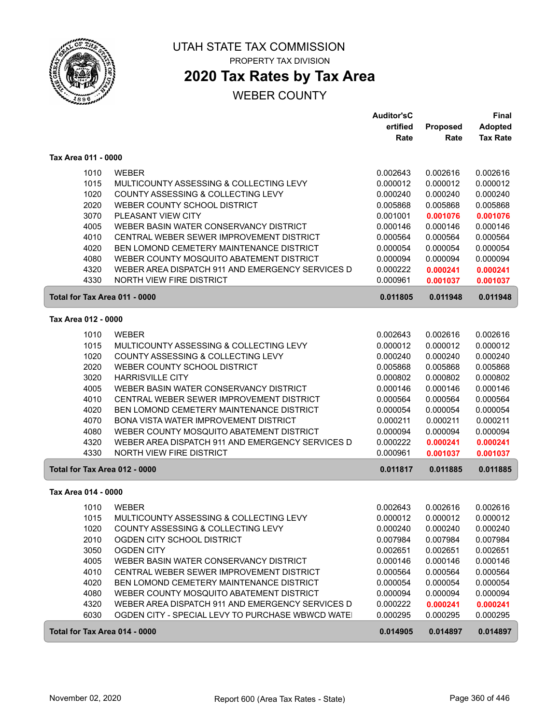

# **2020 Tax Rates by Tax Area**

#### WEBER COUNTY

|                               |                                                  | <b>Auditor'sC</b><br>ertified | <b>Proposed</b> | <b>Final</b><br><b>Adopted</b> |
|-------------------------------|--------------------------------------------------|-------------------------------|-----------------|--------------------------------|
|                               |                                                  | Rate                          | Rate            | <b>Tax Rate</b>                |
| Tax Area 011 - 0000           |                                                  |                               |                 |                                |
| 1010                          | <b>WEBER</b>                                     | 0.002643                      | 0.002616        | 0.002616                       |
| 1015                          | MULTICOUNTY ASSESSING & COLLECTING LEVY          | 0.000012                      | 0.000012        | 0.000012                       |
| 1020                          | COUNTY ASSESSING & COLLECTING LEVY               | 0.000240                      | 0.000240        | 0.000240                       |
| 2020                          | WEBER COUNTY SCHOOL DISTRICT                     | 0.005868                      | 0.005868        | 0.005868                       |
| 3070                          | PLEASANT VIEW CITY                               | 0.001001                      | 0.001076        | 0.001076                       |
| 4005                          | WEBER BASIN WATER CONSERVANCY DISTRICT           | 0.000146                      | 0.000146        | 0.000146                       |
| 4010                          | CENTRAL WEBER SEWER IMPROVEMENT DISTRICT         | 0.000564                      | 0.000564        | 0.000564                       |
| 4020                          | BEN LOMOND CEMETERY MAINTENANCE DISTRICT         | 0.000054                      | 0.000054        | 0.000054                       |
| 4080                          | WEBER COUNTY MOSQUITO ABATEMENT DISTRICT         | 0.000094                      | 0.000094        | 0.000094                       |
| 4320                          | WEBER AREA DISPATCH 911 AND EMERGENCY SERVICES D | 0.000222                      | 0.000241        | 0.000241                       |
| 4330                          | <b>NORTH VIEW FIRE DISTRICT</b>                  | 0.000961                      | 0.001037        | 0.001037                       |
| Total for Tax Area 011 - 0000 |                                                  | 0.011805                      | 0.011948        | 0.011948                       |
| Tax Area 012 - 0000           |                                                  |                               |                 |                                |
| 1010                          | <b>WEBER</b>                                     | 0.002643                      | 0.002616        | 0.002616                       |
| 1015                          | MULTICOUNTY ASSESSING & COLLECTING LEVY          | 0.000012                      | 0.000012        | 0.000012                       |
| 1020                          | COUNTY ASSESSING & COLLECTING LEVY               | 0.000240                      | 0.000240        | 0.000240                       |
| 2020                          | WEBER COUNTY SCHOOL DISTRICT                     | 0.005868                      | 0.005868        | 0.005868                       |
| 3020                          | <b>HARRISVILLE CITY</b>                          | 0.000802                      | 0.000802        | 0.000802                       |
| 4005                          | WEBER BASIN WATER CONSERVANCY DISTRICT           | 0.000146                      | 0.000146        | 0.000146                       |
| 4010                          | CENTRAL WEBER SEWER IMPROVEMENT DISTRICT         | 0.000564                      | 0.000564        | 0.000564                       |
| 4020                          | BEN LOMOND CEMETERY MAINTENANCE DISTRICT         | 0.000054                      | 0.000054        | 0.000054                       |
| 4070                          | BONA VISTA WATER IMPROVEMENT DISTRICT            | 0.000211                      | 0.000211        | 0.000211                       |
| 4080                          | WEBER COUNTY MOSQUITO ABATEMENT DISTRICT         | 0.000094                      | 0.000094        | 0.000094                       |
| 4320                          | WEBER AREA DISPATCH 911 AND EMERGENCY SERVICES D | 0.000222                      | 0.000241        | 0.000241                       |
| 4330                          | NORTH VIEW FIRE DISTRICT                         | 0.000961                      | 0.001037        | 0.001037                       |
| Total for Tax Area 012 - 0000 |                                                  | 0.011817                      | 0.011885        | 0.011885                       |
| Tax Area 014 - 0000           |                                                  |                               |                 |                                |
| 1010                          | <b>WEBER</b>                                     | 0.002643                      | 0.002616        | 0.002616                       |
| 1015                          | MULTICOUNTY ASSESSING & COLLECTING LEVY          | 0.000012                      | 0.000012        | 0.000012                       |
| 1020                          | COUNTY ASSESSING & COLLECTING LEVY               | 0.000240                      | 0.000240        | 0.000240                       |
| 2010                          | OGDEN CITY SCHOOL DISTRICT                       | 0.007984                      | 0.007984        | 0.007984                       |
| 3050                          | <b>OGDEN CITY</b>                                | 0.002651                      | 0.002651        | 0.002651                       |
| 4005                          | WEBER BASIN WATER CONSERVANCY DISTRICT           | 0.000146                      | 0.000146        | 0.000146                       |
| 4010                          | CENTRAL WEBER SEWER IMPROVEMENT DISTRICT         | 0.000564                      | 0.000564        | 0.000564                       |
| 4020                          | BEN LOMOND CEMETERY MAINTENANCE DISTRICT         | 0.000054                      | 0.000054        | 0.000054                       |
| 4080                          | WEBER COUNTY MOSQUITO ABATEMENT DISTRICT         | 0.000094                      | 0.000094        | 0.000094                       |
| 4320                          | WEBER AREA DISPATCH 911 AND EMERGENCY SERVICES D | 0.000222                      | 0.000241        | 0.000241                       |
| 6030                          | OGDEN CITY - SPECIAL LEVY TO PURCHASE WBWCD WATE | 0.000295                      | 0.000295        | 0.000295                       |
| Total for Tax Area 014 - 0000 |                                                  | 0.014905                      | 0.014897        | 0.014897                       |

ſ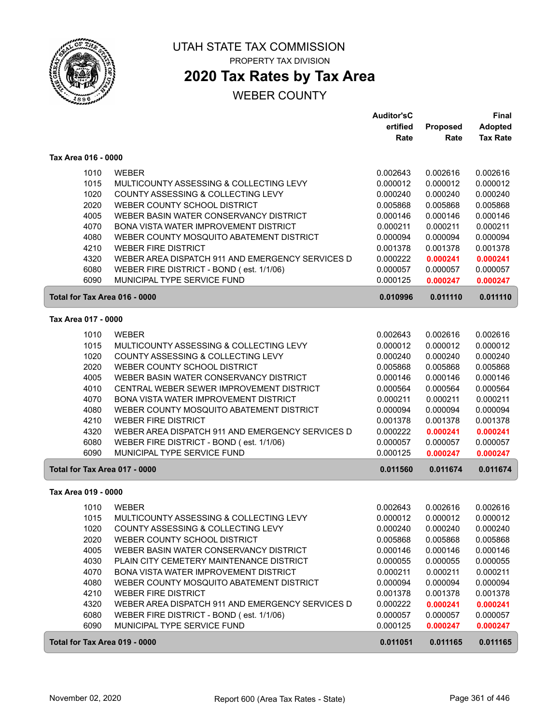

## **2020 Tax Rates by Tax Area**

|                               |                                                  | <b>Auditor'sC</b> |                 | <b>Final</b>    |
|-------------------------------|--------------------------------------------------|-------------------|-----------------|-----------------|
|                               |                                                  | ertified          | <b>Proposed</b> | Adopted         |
|                               |                                                  | Rate              | Rate            | <b>Tax Rate</b> |
| Tax Area 016 - 0000           |                                                  |                   |                 |                 |
| 1010                          | <b>WEBER</b>                                     | 0.002643          | 0.002616        | 0.002616        |
| 1015                          | MULTICOUNTY ASSESSING & COLLECTING LEVY          | 0.000012          | 0.000012        | 0.000012        |
| 1020                          | <b>COUNTY ASSESSING &amp; COLLECTING LEVY</b>    | 0.000240          | 0.000240        | 0.000240        |
| 2020                          | WEBER COUNTY SCHOOL DISTRICT                     | 0.005868          | 0.005868        | 0.005868        |
| 4005                          | WEBER BASIN WATER CONSERVANCY DISTRICT           | 0.000146          | 0.000146        | 0.000146        |
| 4070                          | BONA VISTA WATER IMPROVEMENT DISTRICT            | 0.000211          | 0.000211        | 0.000211        |
| 4080                          | WEBER COUNTY MOSQUITO ABATEMENT DISTRICT         | 0.000094          | 0.000094        | 0.000094        |
| 4210                          | <b>WEBER FIRE DISTRICT</b>                       | 0.001378          | 0.001378        | 0.001378        |
| 4320                          | WEBER AREA DISPATCH 911 AND EMERGENCY SERVICES D | 0.000222          | 0.000241        | 0.000241        |
| 6080                          | WEBER FIRE DISTRICT - BOND (est. 1/1/06)         | 0.000057          | 0.000057        | 0.000057        |
| 6090                          | MUNICIPAL TYPE SERVICE FUND                      | 0.000125          | 0.000247        | 0.000247        |
|                               |                                                  |                   |                 |                 |
| Total for Tax Area 016 - 0000 |                                                  | 0.010996          | 0.011110        | 0.011110        |
| Tax Area 017 - 0000           |                                                  |                   |                 |                 |
| 1010                          | <b>WEBER</b>                                     | 0.002643          | 0.002616        | 0.002616        |
| 1015                          | MULTICOUNTY ASSESSING & COLLECTING LEVY          | 0.000012          | 0.000012        | 0.000012        |
| 1020                          | COUNTY ASSESSING & COLLECTING LEVY               | 0.000240          | 0.000240        | 0.000240        |
| 2020                          | WEBER COUNTY SCHOOL DISTRICT                     | 0.005868          | 0.005868        | 0.005868        |
| 4005                          | WEBER BASIN WATER CONSERVANCY DISTRICT           | 0.000146          | 0.000146        | 0.000146        |
| 4010                          | CENTRAL WEBER SEWER IMPROVEMENT DISTRICT         | 0.000564          | 0.000564        | 0.000564        |
| 4070                          | BONA VISTA WATER IMPROVEMENT DISTRICT            | 0.000211          | 0.000211        | 0.000211        |
| 4080                          | WEBER COUNTY MOSQUITO ABATEMENT DISTRICT         | 0.000094          | 0.000094        | 0.000094        |
| 4210                          | <b>WEBER FIRE DISTRICT</b>                       | 0.001378          | 0.001378        | 0.001378        |
| 4320                          | WEBER AREA DISPATCH 911 AND EMERGENCY SERVICES D | 0.000222          | 0.000241        | 0.000241        |
| 6080                          | WEBER FIRE DISTRICT - BOND (est. 1/1/06)         | 0.000057          | 0.000057        | 0.000057        |
| 6090                          | MUNICIPAL TYPE SERVICE FUND                      | 0.000125          | 0.000247        | 0.000247        |
| Total for Tax Area 017 - 0000 |                                                  | 0.011560          | 0.011674        | 0.011674        |
| Tax Area 019 - 0000           |                                                  |                   |                 |                 |
|                               |                                                  |                   |                 |                 |
| 1010                          | <b>WEBER</b>                                     | 0.002643          | 0.002616        | 0.002616        |
| 1015                          | MULTICOUNTY ASSESSING & COLLECTING LEVY          | 0.000012          | 0.000012        | 0.000012        |
| 1020                          | COUNTY ASSESSING & COLLECTING LEVY               | 0.000240          | 0.000240        | 0.000240        |
| 2020                          | WEBER COUNTY SCHOOL DISTRICT                     | 0.005868          | 0.005868        | 0.005868        |
| 4005                          | WEBER BASIN WATER CONSERVANCY DISTRICT           | 0.000146          | 0.000146        | 0.000146        |
| 4030                          | PLAIN CITY CEMETERY MAINTENANCE DISTRICT         | 0.000055          | 0.000055        | 0.000055        |
| 4070                          | BONA VISTA WATER IMPROVEMENT DISTRICT            | 0.000211          | 0.000211        | 0.000211        |
| 4080                          | WEBER COUNTY MOSQUITO ABATEMENT DISTRICT         | 0.000094          | 0.000094        | 0.000094        |
| 4210                          | <b>WEBER FIRE DISTRICT</b>                       | 0.001378          | 0.001378        | 0.001378        |
| 4320                          | WEBER AREA DISPATCH 911 AND EMERGENCY SERVICES D | 0.000222          | 0.000241        | 0.000241        |
| 6080                          | WEBER FIRE DISTRICT - BOND (est. 1/1/06)         | 0.000057          | 0.000057        | 0.000057        |
| 6090                          | MUNICIPAL TYPE SERVICE FUND                      | 0.000125          | 0.000247        | 0.000247        |
| Total for Tax Area 019 - 0000 |                                                  | 0.011051          | 0.011165        | 0.011165        |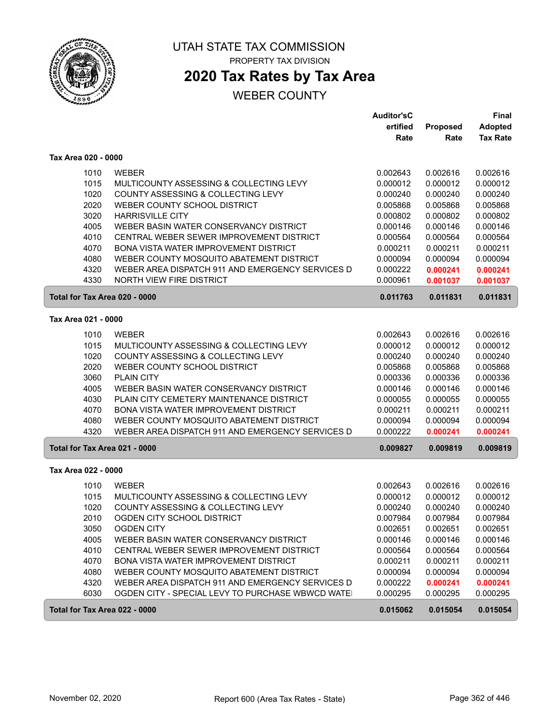

## **2020 Tax Rates by Tax Area**

### WEBER COUNTY

|                               |                                                   | <b>Auditor'sC</b> |          | <b>Final</b>    |
|-------------------------------|---------------------------------------------------|-------------------|----------|-----------------|
|                               |                                                   | ertified          | Proposed | <b>Adopted</b>  |
|                               |                                                   | Rate              | Rate     | <b>Tax Rate</b> |
| Tax Area 020 - 0000           |                                                   |                   |          |                 |
| 1010                          | <b>WEBER</b>                                      | 0.002643          | 0.002616 | 0.002616        |
| 1015                          | MULTICOUNTY ASSESSING & COLLECTING LEVY           | 0.000012          | 0.000012 | 0.000012        |
| 1020                          | COUNTY ASSESSING & COLLECTING LEVY                | 0.000240          | 0.000240 | 0.000240        |
| 2020                          | WEBER COUNTY SCHOOL DISTRICT                      | 0.005868          | 0.005868 | 0.005868        |
| 3020                          | <b>HARRISVILLE CITY</b>                           | 0.000802          | 0.000802 | 0.000802        |
| 4005                          | WEBER BASIN WATER CONSERVANCY DISTRICT            | 0.000146          | 0.000146 | 0.000146        |
| 4010                          | CENTRAL WEBER SEWER IMPROVEMENT DISTRICT          | 0.000564          | 0.000564 | 0.000564        |
| 4070                          | <b>BONA VISTA WATER IMPROVEMENT DISTRICT</b>      | 0.000211          | 0.000211 | 0.000211        |
| 4080                          | WEBER COUNTY MOSQUITO ABATEMENT DISTRICT          | 0.000094          | 0.000094 | 0.000094        |
| 4320                          | WEBER AREA DISPATCH 911 AND EMERGENCY SERVICES D  | 0.000222          | 0.000241 | 0.000241        |
| 4330                          | <b>NORTH VIEW FIRE DISTRICT</b>                   | 0.000961          | 0.001037 | 0.001037        |
| Total for Tax Area 020 - 0000 |                                                   | 0.011763          | 0.011831 | 0.011831        |
| Tax Area 021 - 0000           |                                                   |                   |          |                 |
| 1010                          | <b>WEBER</b>                                      | 0.002643          | 0.002616 | 0.002616        |
| 1015                          | MULTICOUNTY ASSESSING & COLLECTING LEVY           | 0.000012          | 0.000012 | 0.000012        |
| 1020                          | COUNTY ASSESSING & COLLECTING LEVY                | 0.000240          | 0.000240 | 0.000240        |
| 2020                          | WEBER COUNTY SCHOOL DISTRICT                      | 0.005868          | 0.005868 | 0.005868        |
| 3060                          | <b>PLAIN CITY</b>                                 | 0.000336          | 0.000336 | 0.000336        |
| 4005                          | WEBER BASIN WATER CONSERVANCY DISTRICT            | 0.000146          | 0.000146 | 0.000146        |
| 4030                          | PLAIN CITY CEMETERY MAINTENANCE DISTRICT          | 0.000055          | 0.000055 | 0.000055        |
| 4070                          | <b>BONA VISTA WATER IMPROVEMENT DISTRICT</b>      | 0.000211          | 0.000211 | 0.000211        |
| 4080                          | WEBER COUNTY MOSQUITO ABATEMENT DISTRICT          | 0.000094          | 0.000094 | 0.000094        |
| 4320                          | WEBER AREA DISPATCH 911 AND EMERGENCY SERVICES D  | 0.000222          | 0.000241 | 0.000241        |
| Total for Tax Area 021 - 0000 |                                                   | 0.009827          | 0.009819 | 0.009819        |
| Tax Area 022 - 0000           |                                                   |                   |          |                 |
|                               |                                                   |                   |          |                 |
| 1010                          | <b>WEBER</b>                                      | 0.002643          | 0.002616 | 0.002616        |
| 1015                          | MULTICOUNTY ASSESSING & COLLECTING LEVY           | 0.000012          | 0.000012 | 0.000012        |
| 1020                          | COUNTY ASSESSING & COLLECTING LEVY                | 0.000240          | 0.000240 | 0.000240        |
| 2010                          | OGDEN CITY SCHOOL DISTRICT                        | 0.007984          | 0.007984 | 0.007984        |
| 3050                          | <b>OGDEN CITY</b>                                 | 0.002651          | 0.002651 | 0.002651        |
| 4005                          | WEBER BASIN WATER CONSERVANCY DISTRICT            | 0.000146          | 0.000146 | 0.000146        |
| 4010                          | CENTRAL WEBER SEWER IMPROVEMENT DISTRICT          | 0.000564          | 0.000564 | 0.000564        |
| 4070                          | BONA VISTA WATER IMPROVEMENT DISTRICT             | 0.000211          | 0.000211 | 0.000211        |
| 4080                          | WEBER COUNTY MOSQUITO ABATEMENT DISTRICT          | 0.000094          | 0.000094 | 0.000094        |
| 4320                          | WEBER AREA DISPATCH 911 AND EMERGENCY SERVICES D  | 0.000222          | 0.000241 | 0.000241        |
| 6030                          | OGDEN CITY - SPECIAL LEVY TO PURCHASE WBWCD WATE! | 0.000295          | 0.000295 | 0.000295        |
| Total for Tax Area 022 - 0000 |                                                   | 0.015062          | 0.015054 | 0.015054        |

ſ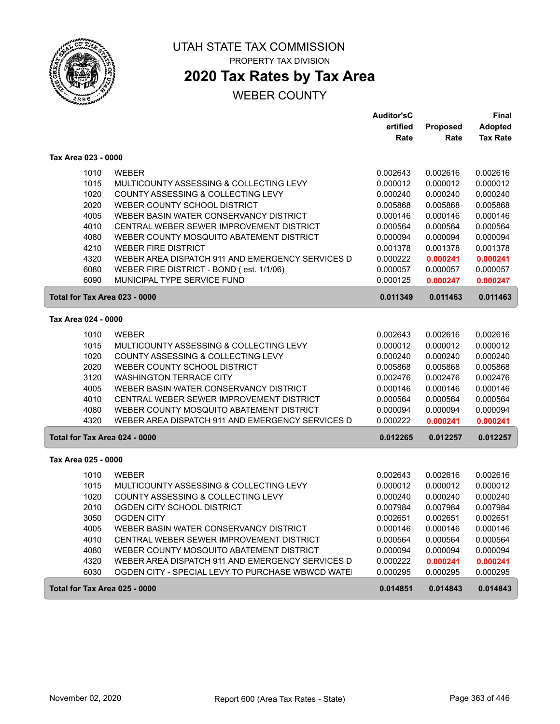

## **2020 Tax Rates by Tax Area**

### WEBER COUNTY

|                               |                                                                                              | Auditor'sC           |                      | Final                |
|-------------------------------|----------------------------------------------------------------------------------------------|----------------------|----------------------|----------------------|
|                               |                                                                                              | ertified             | Proposed             | <b>Adopted</b>       |
|                               |                                                                                              | Rate                 | Rate                 | <b>Tax Rate</b>      |
| Tax Area 023 - 0000           |                                                                                              |                      |                      |                      |
| 1010                          | <b>WEBER</b>                                                                                 | 0.002643             | 0.002616             | 0.002616             |
| 1015                          | MULTICOUNTY ASSESSING & COLLECTING LEVY                                                      | 0.000012             | 0.000012             | 0.000012             |
| 1020                          | COUNTY ASSESSING & COLLECTING LEVY                                                           | 0.000240             | 0.000240             | 0.000240             |
| 2020                          | WEBER COUNTY SCHOOL DISTRICT                                                                 | 0.005868             | 0.005868             | 0.005868             |
| 4005                          | WEBER BASIN WATER CONSERVANCY DISTRICT                                                       | 0.000146             | 0.000146             | 0.000146             |
| 4010                          | CENTRAL WEBER SEWER IMPROVEMENT DISTRICT                                                     | 0.000564             | 0.000564             | 0.000564             |
| 4080                          | WEBER COUNTY MOSQUITO ABATEMENT DISTRICT                                                     | 0.000094             | 0.000094             | 0.000094             |
| 4210                          | <b>WEBER FIRE DISTRICT</b>                                                                   | 0.001378             | 0.001378             | 0.001378             |
| 4320                          | WEBER AREA DISPATCH 911 AND EMERGENCY SERVICES D                                             | 0.000222             | 0.000241             | 0.000241             |
| 6080                          | WEBER FIRE DISTRICT - BOND (est. 1/1/06)                                                     | 0.000057             | 0.000057             | 0.000057             |
| 6090                          | MUNICIPAL TYPE SERVICE FUND                                                                  | 0.000125             | 0.000247             | 0.000247             |
| Total for Tax Area 023 - 0000 |                                                                                              | 0.011349             | 0.011463             | 0.011463             |
| Tax Area 024 - 0000           |                                                                                              |                      |                      |                      |
|                               |                                                                                              |                      |                      |                      |
| 1010                          | <b>WEBER</b>                                                                                 | 0.002643             | 0.002616             | 0.002616             |
| 1015                          | MULTICOUNTY ASSESSING & COLLECTING LEVY                                                      | 0.000012             | 0.000012             | 0.000012             |
| 1020<br>2020                  | COUNTY ASSESSING & COLLECTING LEVY                                                           | 0.000240             | 0.000240             | 0.000240             |
|                               | WEBER COUNTY SCHOOL DISTRICT                                                                 | 0.005868             | 0.005868             | 0.005868             |
| 3120<br>4005                  | <b>WASHINGTON TERRACE CITY</b><br>WEBER BASIN WATER CONSERVANCY DISTRICT                     | 0.002476             | 0.002476             | 0.002476             |
|                               |                                                                                              | 0.000146             | 0.000146             | 0.000146             |
| 4010                          | CENTRAL WEBER SEWER IMPROVEMENT DISTRICT                                                     | 0.000564             | 0.000564             | 0.000564             |
| 4080<br>4320                  | WEBER COUNTY MOSQUITO ABATEMENT DISTRICT<br>WEBER AREA DISPATCH 911 AND EMERGENCY SERVICES D | 0.000094<br>0.000222 | 0.000094<br>0.000241 | 0.000094<br>0.000241 |
| Total for Tax Area 024 - 0000 |                                                                                              | 0.012265             | 0.012257             | 0.012257             |
| Tax Area 025 - 0000           |                                                                                              |                      |                      |                      |
|                               |                                                                                              |                      |                      |                      |
| 1010                          | <b>WEBER</b>                                                                                 | 0.002643             | 0.002616             | 0.002616             |
| 1015                          | MULTICOUNTY ASSESSING & COLLECTING LEVY                                                      | 0.000012             | 0.000012             | 0.000012             |
| 1020                          | COUNTY ASSESSING & COLLECTING LEVY                                                           | 0.000240             | 0.000240             | 0.000240             |
| 2010                          | OGDEN CITY SCHOOL DISTRICT                                                                   | 0.007984             | 0.007984             | 0.007984             |
| 3050                          | <b>OGDEN CITY</b>                                                                            | 0.002651             | 0.002651             | 0.002651             |
| 4005                          | WEBER BASIN WATER CONSERVANCY DISTRICT                                                       | 0.000146             | 0.000146             | 0.000146             |
| 4010                          | CENTRAL WEBER SEWER IMPROVEMENT DISTRICT                                                     | 0.000564             | 0.000564             | 0.000564             |
| 4080                          | WEBER COUNTY MOSQUITO ABATEMENT DISTRICT                                                     | 0.000094             | 0.000094             | 0.000094             |
| 4320                          | WEBER AREA DISPATCH 911 AND EMERGENCY SERVICES D                                             | 0.000222             | 0.000241             | 0.000241             |
| 6030                          | OGDEN CITY - SPECIAL LEVY TO PURCHASE WBWCD WATE                                             | 0.000295             | 0.000295             | 0.000295             |
| Total for Tax Area 025 - 0000 |                                                                                              | 0.014851             | 0.014843             | 0.014843             |

ſ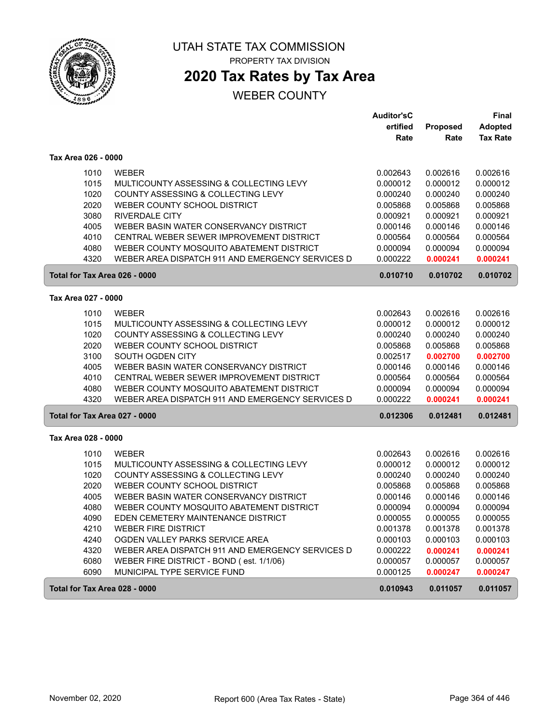

**2020 Tax Rates by Tax Area**

|                               |                                                  | <b>Auditor'sC</b> |          | Final           |
|-------------------------------|--------------------------------------------------|-------------------|----------|-----------------|
|                               |                                                  | ertified          | Proposed | <b>Adopted</b>  |
|                               |                                                  | Rate              | Rate     | <b>Tax Rate</b> |
| Tax Area 026 - 0000           |                                                  |                   |          |                 |
| 1010                          | <b>WEBER</b>                                     | 0.002643          | 0.002616 | 0.002616        |
| 1015                          | MULTICOUNTY ASSESSING & COLLECTING LEVY          | 0.000012          | 0.000012 | 0.000012        |
| 1020                          | COUNTY ASSESSING & COLLECTING LEVY               | 0.000240          | 0.000240 | 0.000240        |
| 2020                          | WEBER COUNTY SCHOOL DISTRICT                     | 0.005868          | 0.005868 | 0.005868        |
| 3080                          | <b>RIVERDALE CITY</b>                            | 0.000921          | 0.000921 | 0.000921        |
| 4005                          | WEBER BASIN WATER CONSERVANCY DISTRICT           | 0.000146          | 0.000146 | 0.000146        |
| 4010                          | CENTRAL WEBER SEWER IMPROVEMENT DISTRICT         | 0.000564          | 0.000564 | 0.000564        |
| 4080                          | WEBER COUNTY MOSQUITO ABATEMENT DISTRICT         | 0.000094          | 0.000094 | 0.000094        |
| 4320                          | WEBER AREA DISPATCH 911 AND EMERGENCY SERVICES D | 0.000222          | 0.000241 | 0.000241        |
| Total for Tax Area 026 - 0000 |                                                  | 0.010710          | 0.010702 | 0.010702        |
| Tax Area 027 - 0000           |                                                  |                   |          |                 |
| 1010                          | <b>WEBER</b>                                     | 0.002643          | 0.002616 | 0.002616        |
| 1015                          | MULTICOUNTY ASSESSING & COLLECTING LEVY          | 0.000012          | 0.000012 | 0.000012        |
| 1020                          | COUNTY ASSESSING & COLLECTING LEVY               | 0.000240          | 0.000240 | 0.000240        |
| 2020                          | WEBER COUNTY SCHOOL DISTRICT                     | 0.005868          | 0.005868 | 0.005868        |
| 3100                          | SOUTH OGDEN CITY                                 | 0.002517          | 0.002700 | 0.002700        |
| 4005                          | WEBER BASIN WATER CONSERVANCY DISTRICT           | 0.000146          | 0.000146 | 0.000146        |
| 4010                          | CENTRAL WEBER SEWER IMPROVEMENT DISTRICT         | 0.000564          | 0.000564 | 0.000564        |
| 4080                          | WEBER COUNTY MOSQUITO ABATEMENT DISTRICT         | 0.000094          | 0.000094 | 0.000094        |
| 4320                          | WEBER AREA DISPATCH 911 AND EMERGENCY SERVICES D | 0.000222          | 0.000241 | 0.000241        |
| Total for Tax Area 027 - 0000 |                                                  | 0.012306          | 0.012481 | 0.012481        |
| Tax Area 028 - 0000           |                                                  |                   |          |                 |
| 1010                          | <b>WEBER</b>                                     | 0.002643          | 0.002616 | 0.002616        |
| 1015                          | MULTICOUNTY ASSESSING & COLLECTING LEVY          | 0.000012          | 0.000012 | 0.000012        |
| 1020                          | COUNTY ASSESSING & COLLECTING LEVY               | 0.000240          | 0.000240 | 0.000240        |
| 2020                          | WEBER COUNTY SCHOOL DISTRICT                     | 0.005868          | 0.005868 | 0.005868        |
| 4005                          | WEBER BASIN WATER CONSERVANCY DISTRICT           | 0.000146          | 0.000146 | 0.000146        |
| 4080                          | WEBER COUNTY MOSQUITO ABATEMENT DISTRICT         | 0.000094          | 0.000094 | 0.000094        |
| 4090                          | EDEN CEMETERY MAINTENANCE DISTRICT               | 0.000055          | 0.000055 | 0.000055        |
| 4210                          | <b>WEBER FIRE DISTRICT</b>                       | 0.001378          | 0.001378 | 0.001378        |
| 4240                          | OGDEN VALLEY PARKS SERVICE AREA                  | 0.000103          | 0.000103 | 0.000103        |
| 4320                          | WEBER AREA DISPATCH 911 AND EMERGENCY SERVICES D | 0.000222          | 0.000241 | 0.000241        |
| 6080                          | WEBER FIRE DISTRICT - BOND (est. 1/1/06)         | 0.000057          | 0.000057 | 0.000057        |
| 6090                          | MUNICIPAL TYPE SERVICE FUND                      | 0.000125          | 0.000247 | 0.000247        |
| Total for Tax Area 028 - 0000 |                                                  | 0.010943          | 0.011057 | 0.011057        |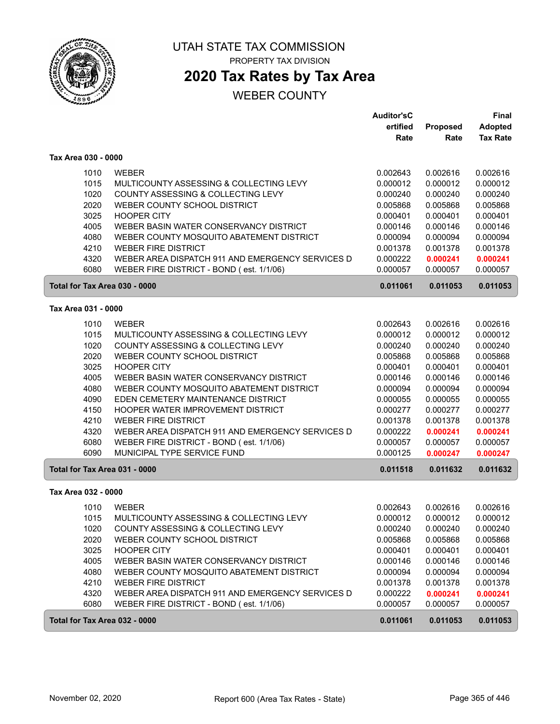

# UTAH STATE TAX COMMISSION

PROPERTY TAX DIVISION

## **2020 Tax Rates by Tax Area**

|                     |                                                          | <b>Auditor'sC</b> |          | <b>Final</b>    |
|---------------------|----------------------------------------------------------|-------------------|----------|-----------------|
|                     |                                                          | ertified          | Proposed | Adopted         |
|                     |                                                          | Rate              | Rate     | <b>Tax Rate</b> |
| Tax Area 030 - 0000 |                                                          |                   |          |                 |
|                     | 1010<br><b>WEBER</b>                                     | 0.002643          | 0.002616 | 0.002616        |
|                     | 1015<br>MULTICOUNTY ASSESSING & COLLECTING LEVY          | 0.000012          | 0.000012 | 0.000012        |
|                     | 1020<br>COUNTY ASSESSING & COLLECTING LEVY               | 0.000240          | 0.000240 | 0.000240        |
|                     | 2020<br>WEBER COUNTY SCHOOL DISTRICT                     | 0.005868          | 0.005868 | 0.005868        |
|                     | 3025<br><b>HOOPER CITY</b>                               | 0.000401          | 0.000401 | 0.000401        |
|                     | 4005<br>WEBER BASIN WATER CONSERVANCY DISTRICT           | 0.000146          | 0.000146 | 0.000146        |
|                     | 4080<br>WEBER COUNTY MOSQUITO ABATEMENT DISTRICT         | 0.000094          | 0.000094 | 0.000094        |
|                     | 4210<br><b>WEBER FIRE DISTRICT</b>                       | 0.001378          | 0.001378 | 0.001378        |
|                     | 4320<br>WEBER AREA DISPATCH 911 AND EMERGENCY SERVICES D | 0.000222          | 0.000241 | 0.000241        |
|                     | 6080<br>WEBER FIRE DISTRICT - BOND (est. 1/1/06)         | 0.000057          | 0.000057 | 0.000057        |
|                     | Total for Tax Area 030 - 0000                            | 0.011061          | 0.011053 | 0.011053        |
| Tax Area 031 - 0000 |                                                          |                   |          |                 |
|                     | 1010<br><b>WEBER</b>                                     | 0.002643          | 0.002616 | 0.002616        |
|                     | 1015<br>MULTICOUNTY ASSESSING & COLLECTING LEVY          | 0.000012          | 0.000012 | 0.000012        |
|                     | 1020<br>COUNTY ASSESSING & COLLECTING LEVY               | 0.000240          | 0.000240 | 0.000240        |
|                     | 2020<br>WEBER COUNTY SCHOOL DISTRICT                     | 0.005868          | 0.005868 | 0.005868        |
|                     | 3025<br><b>HOOPER CITY</b>                               | 0.000401          | 0.000401 | 0.000401        |
|                     | 4005<br>WEBER BASIN WATER CONSERVANCY DISTRICT           | 0.000146          | 0.000146 | 0.000146        |
|                     | 4080<br>WEBER COUNTY MOSQUITO ABATEMENT DISTRICT         | 0.000094          | 0.000094 | 0.000094        |
|                     | 4090<br>EDEN CEMETERY MAINTENANCE DISTRICT               | 0.000055          | 0.000055 | 0.000055        |
|                     | 4150<br>HOOPER WATER IMPROVEMENT DISTRICT                | 0.000277          | 0.000277 | 0.000277        |
|                     | 4210<br><b>WEBER FIRE DISTRICT</b>                       | 0.001378          | 0.001378 | 0.001378        |
|                     | 4320<br>WEBER AREA DISPATCH 911 AND EMERGENCY SERVICES D | 0.000222          | 0.000241 | 0.000241        |
|                     | 6080<br>WEBER FIRE DISTRICT - BOND (est. 1/1/06)         | 0.000057          | 0.000057 | 0.000057        |
|                     | 6090<br>MUNICIPAL TYPE SERVICE FUND                      | 0.000125          | 0.000247 | 0.000247        |
|                     | Total for Tax Area 031 - 0000                            | 0.011518          | 0.011632 | 0.011632        |
| Tax Area 032 - 0000 |                                                          |                   |          |                 |
|                     | 1010<br><b>WEBER</b>                                     | 0.002643          | 0.002616 | 0.002616        |
|                     | 1015<br>MULTICOUNTY ASSESSING & COLLECTING LEVY          | 0.000012          | 0.000012 | 0.000012        |
|                     | COUNTY ASSESSING & COLLECTING LEVY<br>1020               | 0.000240          | 0.000240 | 0.000240        |
|                     | 2020<br>WEBER COUNTY SCHOOL DISTRICT                     | 0.005868          | 0.005868 | 0.005868        |
|                     | 3025<br><b>HOOPER CITY</b>                               | 0.000401          | 0.000401 | 0.000401        |
|                     | 4005<br>WEBER BASIN WATER CONSERVANCY DISTRICT           | 0.000146          | 0.000146 | 0.000146        |
|                     | 4080<br>WEBER COUNTY MOSQUITO ABATEMENT DISTRICT         | 0.000094          | 0.000094 | 0.000094        |
|                     | 4210<br><b>WEBER FIRE DISTRICT</b>                       | 0.001378          | 0.001378 | 0.001378        |
|                     | 4320<br>WEBER AREA DISPATCH 911 AND EMERGENCY SERVICES D | 0.000222          | 0.000241 | 0.000241        |
|                     | 6080<br>WEBER FIRE DISTRICT - BOND (est. 1/1/06)         | 0.000057          | 0.000057 | 0.000057        |
|                     | Total for Tax Area 032 - 0000                            | 0.011061          | 0.011053 | 0.011053        |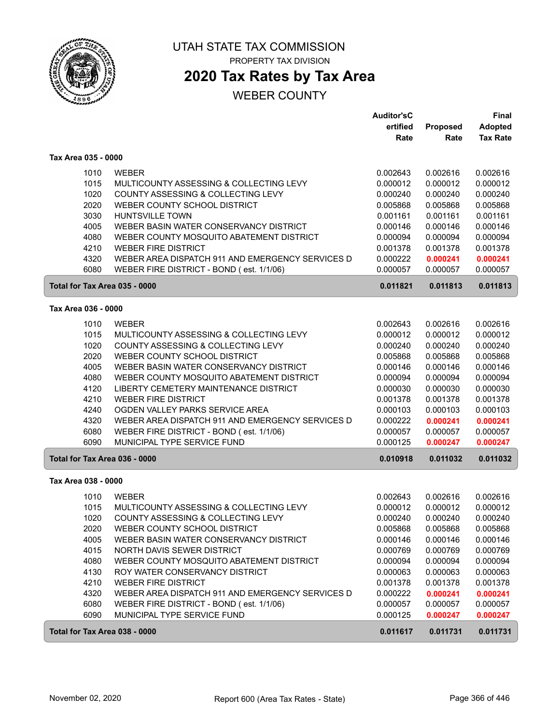

# UTAH STATE TAX COMMISSION

PROPERTY TAX DIVISION

## **2020 Tax Rates by Tax Area**

|                               |                                                  | <b>Auditor'sC</b> |          | Final           |
|-------------------------------|--------------------------------------------------|-------------------|----------|-----------------|
|                               |                                                  | ertified          | Proposed | Adopted         |
|                               |                                                  | Rate              | Rate     | <b>Tax Rate</b> |
| Tax Area 035 - 0000           |                                                  |                   |          |                 |
| 1010                          | <b>WEBER</b>                                     | 0.002643          | 0.002616 | 0.002616        |
| 1015                          | MULTICOUNTY ASSESSING & COLLECTING LEVY          | 0.000012          | 0.000012 | 0.000012        |
| 1020                          | COUNTY ASSESSING & COLLECTING LEVY               | 0.000240          | 0.000240 | 0.000240        |
| 2020                          | WEBER COUNTY SCHOOL DISTRICT                     | 0.005868          | 0.005868 | 0.005868        |
| 3030                          | <b>HUNTSVILLE TOWN</b>                           | 0.001161          | 0.001161 | 0.001161        |
| 4005                          | WEBER BASIN WATER CONSERVANCY DISTRICT           | 0.000146          | 0.000146 | 0.000146        |
| 4080                          | WEBER COUNTY MOSQUITO ABATEMENT DISTRICT         | 0.000094          | 0.000094 | 0.000094        |
| 4210                          | <b>WEBER FIRE DISTRICT</b>                       | 0.001378          | 0.001378 | 0.001378        |
| 4320                          | WEBER AREA DISPATCH 911 AND EMERGENCY SERVICES D | 0.000222          | 0.000241 | 0.000241        |
| 6080                          | WEBER FIRE DISTRICT - BOND (est. 1/1/06)         | 0.000057          | 0.000057 | 0.000057        |
| Total for Tax Area 035 - 0000 |                                                  | 0.011821          | 0.011813 | 0.011813        |
| Tax Area 036 - 0000           |                                                  |                   |          |                 |
| 1010                          | <b>WEBER</b>                                     | 0.002643          | 0.002616 | 0.002616        |
| 1015                          | MULTICOUNTY ASSESSING & COLLECTING LEVY          | 0.000012          | 0.000012 | 0.000012        |
| 1020                          | COUNTY ASSESSING & COLLECTING LEVY               | 0.000240          | 0.000240 | 0.000240        |
| 2020                          | WEBER COUNTY SCHOOL DISTRICT                     | 0.005868          | 0.005868 | 0.005868        |
| 4005                          | WEBER BASIN WATER CONSERVANCY DISTRICT           | 0.000146          | 0.000146 | 0.000146        |
| 4080                          | WEBER COUNTY MOSQUITO ABATEMENT DISTRICT         | 0.000094          | 0.000094 | 0.000094        |
| 4120                          | LIBERTY CEMETERY MAINTENANCE DISTRICT            | 0.000030          | 0.000030 | 0.000030        |
| 4210                          | <b>WEBER FIRE DISTRICT</b>                       | 0.001378          | 0.001378 | 0.001378        |
| 4240                          | OGDEN VALLEY PARKS SERVICE AREA                  | 0.000103          | 0.000103 | 0.000103        |
| 4320                          | WEBER AREA DISPATCH 911 AND EMERGENCY SERVICES D | 0.000222          | 0.000241 | 0.000241        |
| 6080                          | WEBER FIRE DISTRICT - BOND (est. 1/1/06)         | 0.000057          | 0.000057 | 0.000057        |
| 6090                          | MUNICIPAL TYPE SERVICE FUND                      | 0.000125          | 0.000247 | 0.000247        |
| Total for Tax Area 036 - 0000 |                                                  | 0.010918          | 0.011032 | 0.011032        |
| Tax Area 038 - 0000           |                                                  |                   |          |                 |
| 1010                          | <b>WEBER</b>                                     | 0.002643          | 0.002616 | 0.002616        |
| 1015                          | MULTICOUNTY ASSESSING & COLLECTING LEVY          | 0.000012          | 0.000012 | 0.000012        |
| 1020                          | COUNTY ASSESSING & COLLECTING LEVY               | 0.000240          | 0.000240 | 0.000240        |
| 2020                          | WEBER COUNTY SCHOOL DISTRICT                     | 0.005868          | 0.005868 | 0.005868        |
| 4005                          | WEBER BASIN WATER CONSERVANCY DISTRICT           | 0.000146          | 0.000146 | 0.000146        |
| 4015                          | NORTH DAVIS SEWER DISTRICT                       | 0.000769          | 0.000769 | 0.000769        |
| 4080                          | WEBER COUNTY MOSQUITO ABATEMENT DISTRICT         | 0.000094          | 0.000094 | 0.000094        |
| 4130                          | ROY WATER CONSERVANCY DISTRICT                   | 0.000063          | 0.000063 | 0.000063        |
| 4210                          | WEBER FIRE DISTRICT                              | 0.001378          | 0.001378 | 0.001378        |
| 4320                          | WEBER AREA DISPATCH 911 AND EMERGENCY SERVICES D | 0.000222          | 0.000241 | 0.000241        |
| 6080                          | WEBER FIRE DISTRICT - BOND (est. 1/1/06)         | 0.000057          | 0.000057 | 0.000057        |
| 6090                          | MUNICIPAL TYPE SERVICE FUND                      | 0.000125          | 0.000247 | 0.000247        |
| Total for Tax Area 038 - 0000 |                                                  | 0.011617          | 0.011731 | 0.011731        |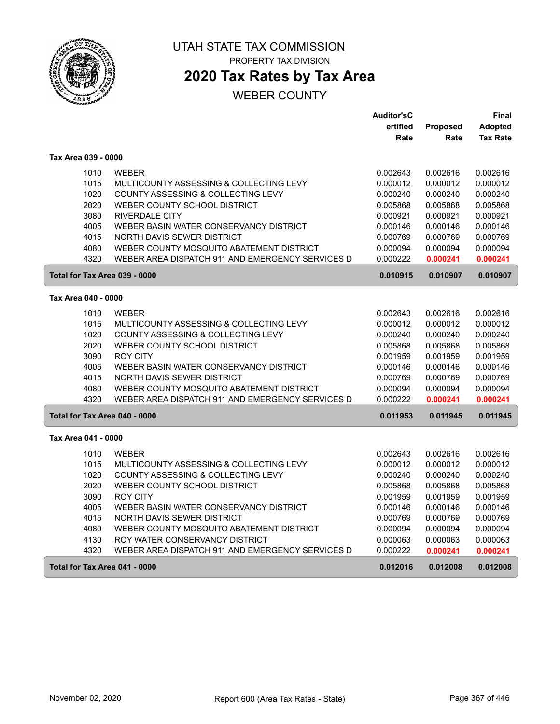

**2020 Tax Rates by Tax Area**

|                               |                                                  | <b>Auditor'sC</b> |          | Final           |
|-------------------------------|--------------------------------------------------|-------------------|----------|-----------------|
|                               |                                                  | ertified          | Proposed | <b>Adopted</b>  |
|                               |                                                  | Rate              | Rate     | <b>Tax Rate</b> |
| Tax Area 039 - 0000           |                                                  |                   |          |                 |
| 1010                          | <b>WEBER</b>                                     | 0.002643          | 0.002616 | 0.002616        |
| 1015                          | MULTICOUNTY ASSESSING & COLLECTING LEVY          | 0.000012          | 0.000012 | 0.000012        |
| 1020                          | COUNTY ASSESSING & COLLECTING LEVY               | 0.000240          | 0.000240 | 0.000240        |
| 2020                          | WEBER COUNTY SCHOOL DISTRICT                     | 0.005868          | 0.005868 | 0.005868        |
| 3080                          | <b>RIVERDALE CITY</b>                            | 0.000921          | 0.000921 | 0.000921        |
| 4005                          | WEBER BASIN WATER CONSERVANCY DISTRICT           | 0.000146          | 0.000146 | 0.000146        |
| 4015                          | NORTH DAVIS SEWER DISTRICT                       | 0.000769          | 0.000769 | 0.000769        |
| 4080                          | WEBER COUNTY MOSQUITO ABATEMENT DISTRICT         | 0.000094          | 0.000094 | 0.000094        |
| 4320                          | WEBER AREA DISPATCH 911 AND EMERGENCY SERVICES D | 0.000222          | 0.000241 | 0.000241        |
| Total for Tax Area 039 - 0000 |                                                  | 0.010915          | 0.010907 | 0.010907        |
| Tax Area 040 - 0000           |                                                  |                   |          |                 |
| 1010                          | <b>WEBER</b>                                     | 0.002643          | 0.002616 | 0.002616        |
| 1015                          | MULTICOUNTY ASSESSING & COLLECTING LEVY          | 0.000012          | 0.000012 | 0.000012        |
| 1020                          | COUNTY ASSESSING & COLLECTING LEVY               | 0.000240          | 0.000240 | 0.000240        |
| 2020                          | WEBER COUNTY SCHOOL DISTRICT                     | 0.005868          | 0.005868 | 0.005868        |
| 3090                          | <b>ROY CITY</b>                                  | 0.001959          | 0.001959 | 0.001959        |
| 4005                          | WEBER BASIN WATER CONSERVANCY DISTRICT           | 0.000146          | 0.000146 | 0.000146        |
| 4015                          | <b>NORTH DAVIS SEWER DISTRICT</b>                | 0.000769          | 0.000769 | 0.000769        |
| 4080                          | WEBER COUNTY MOSQUITO ABATEMENT DISTRICT         | 0.000094          | 0.000094 | 0.000094        |
| 4320                          | WEBER AREA DISPATCH 911 AND EMERGENCY SERVICES D | 0.000222          | 0.000241 | 0.000241        |
| Total for Tax Area 040 - 0000 |                                                  | 0.011953          | 0.011945 | 0.011945        |
|                               |                                                  |                   |          |                 |
| Tax Area 041 - 0000           |                                                  |                   |          |                 |
| 1010                          | <b>WEBER</b>                                     | 0.002643          | 0.002616 | 0.002616        |
| 1015                          | MULTICOUNTY ASSESSING & COLLECTING LEVY          | 0.000012          | 0.000012 | 0.000012        |
| 1020                          | COUNTY ASSESSING & COLLECTING LEVY               | 0.000240          | 0.000240 | 0.000240        |
| 2020                          | WEBER COUNTY SCHOOL DISTRICT                     | 0.005868          | 0.005868 | 0.005868        |
| 3090                          | <b>ROY CITY</b>                                  | 0.001959          | 0.001959 | 0.001959        |
| 4005                          | WEBER BASIN WATER CONSERVANCY DISTRICT           | 0.000146          | 0.000146 | 0.000146        |
| 4015                          | NORTH DAVIS SEWER DISTRICT                       | 0.000769          | 0.000769 | 0.000769        |
| 4080                          | WEBER COUNTY MOSQUITO ABATEMENT DISTRICT         | 0.000094          | 0.000094 | 0.000094        |
| 4130                          | ROY WATER CONSERVANCY DISTRICT                   | 0.000063          | 0.000063 | 0.000063        |
| 4320                          | WEBER AREA DISPATCH 911 AND EMERGENCY SERVICES D | 0.000222          | 0.000241 | 0.000241        |
| Total for Tax Area 041 - 0000 |                                                  | 0.012016          | 0.012008 | 0.012008        |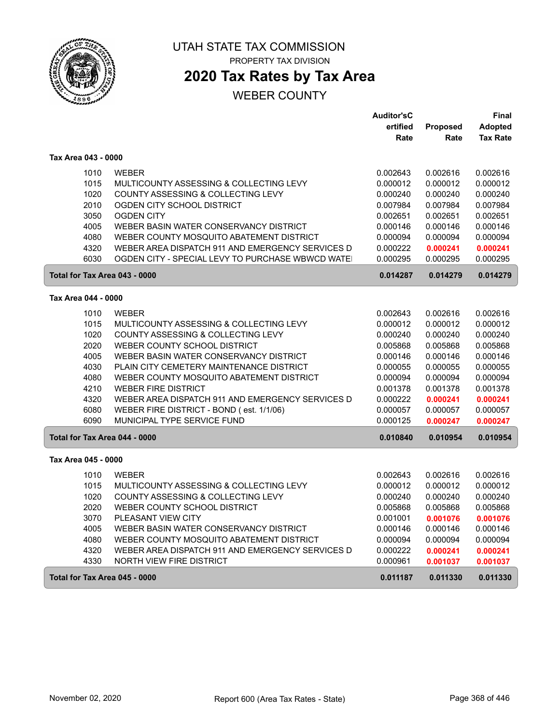

 $\sqrt{2}$ 

ſ

#### UTAH STATE TAX COMMISSION PROPERTY TAX DIVISION

**2020 Tax Rates by Tax Area**

|                               |                                                  | <b>Auditor'sC</b> |          | Final           |
|-------------------------------|--------------------------------------------------|-------------------|----------|-----------------|
|                               |                                                  | ertified          | Proposed | <b>Adopted</b>  |
|                               |                                                  | Rate              | Rate     | <b>Tax Rate</b> |
| Tax Area 043 - 0000           |                                                  |                   |          |                 |
| 1010                          | <b>WEBER</b>                                     | 0.002643          | 0.002616 | 0.002616        |
| 1015                          | MULTICOUNTY ASSESSING & COLLECTING LEVY          | 0.000012          | 0.000012 | 0.000012        |
| 1020                          | COUNTY ASSESSING & COLLECTING LEVY               | 0.000240          | 0.000240 | 0.000240        |
| 2010                          | OGDEN CITY SCHOOL DISTRICT                       | 0.007984          | 0.007984 | 0.007984        |
| 3050                          | <b>OGDEN CITY</b>                                | 0.002651          | 0.002651 | 0.002651        |
| 4005                          | WEBER BASIN WATER CONSERVANCY DISTRICT           | 0.000146          | 0.000146 | 0.000146        |
| 4080                          | WEBER COUNTY MOSQUITO ABATEMENT DISTRICT         | 0.000094          | 0.000094 | 0.000094        |
| 4320                          | WEBER AREA DISPATCH 911 AND EMERGENCY SERVICES D | 0.000222          | 0.000241 | 0.000241        |
| 6030                          | OGDEN CITY - SPECIAL LEVY TO PURCHASE WBWCD WATE | 0.000295          | 0.000295 | 0.000295        |
| Total for Tax Area 043 - 0000 |                                                  | 0.014287          | 0.014279 | 0.014279        |
| Tax Area 044 - 0000           |                                                  |                   |          |                 |
| 1010                          | <b>WEBER</b>                                     | 0.002643          | 0.002616 | 0.002616        |
| 1015                          | MULTICOUNTY ASSESSING & COLLECTING LEVY          | 0.000012          | 0.000012 | 0.000012        |
| 1020                          | COUNTY ASSESSING & COLLECTING LEVY               | 0.000240          | 0.000240 | 0.000240        |
| 2020                          | WEBER COUNTY SCHOOL DISTRICT                     | 0.005868          | 0.005868 | 0.005868        |
| 4005                          | WEBER BASIN WATER CONSERVANCY DISTRICT           | 0.000146          | 0.000146 | 0.000146        |
| 4030                          | PLAIN CITY CEMETERY MAINTENANCE DISTRICT         | 0.000055          | 0.000055 | 0.000055        |
| 4080                          | WEBER COUNTY MOSQUITO ABATEMENT DISTRICT         | 0.000094          | 0.000094 | 0.000094        |
| 4210                          | <b>WEBER FIRE DISTRICT</b>                       | 0.001378          | 0.001378 | 0.001378        |
| 4320                          | WEBER AREA DISPATCH 911 AND EMERGENCY SERVICES D | 0.000222          | 0.000241 | 0.000241        |
| 6080                          | WEBER FIRE DISTRICT - BOND (est. 1/1/06)         | 0.000057          | 0.000057 | 0.000057        |
| 6090                          | MUNICIPAL TYPE SERVICE FUND                      | 0.000125          | 0.000247 | 0.000247        |
| Total for Tax Area 044 - 0000 |                                                  | 0.010840          | 0.010954 | 0.010954        |
| Tax Area 045 - 0000           |                                                  |                   |          |                 |
| 1010                          | <b>WEBER</b>                                     | 0.002643          | 0.002616 | 0.002616        |
| 1015                          | MULTICOUNTY ASSESSING & COLLECTING LEVY          | 0.000012          | 0.000012 | 0.000012        |
| 1020                          | COUNTY ASSESSING & COLLECTING LEVY               | 0.000240          | 0.000240 | 0.000240        |
| 2020                          | WEBER COUNTY SCHOOL DISTRICT                     | 0.005868          | 0.005868 | 0.005868        |
| 3070                          | PLEASANT VIEW CITY                               | 0.001001          | 0.001076 | 0.001076        |
| 4005                          | WEBER BASIN WATER CONSERVANCY DISTRICT           | 0.000146          | 0.000146 | 0.000146        |
| 4080                          | WEBER COUNTY MOSQUITO ABATEMENT DISTRICT         | 0.000094          | 0.000094 | 0.000094        |
| 4320                          | WEBER AREA DISPATCH 911 AND EMERGENCY SERVICES D | 0.000222          | 0.000241 | 0.000241        |
| 4330                          | <b>NORTH VIEW FIRE DISTRICT</b>                  | 0.000961          | 0.001037 | 0.001037        |
| Total for Tax Area 045 - 0000 |                                                  | 0.011187          | 0.011330 | 0.011330        |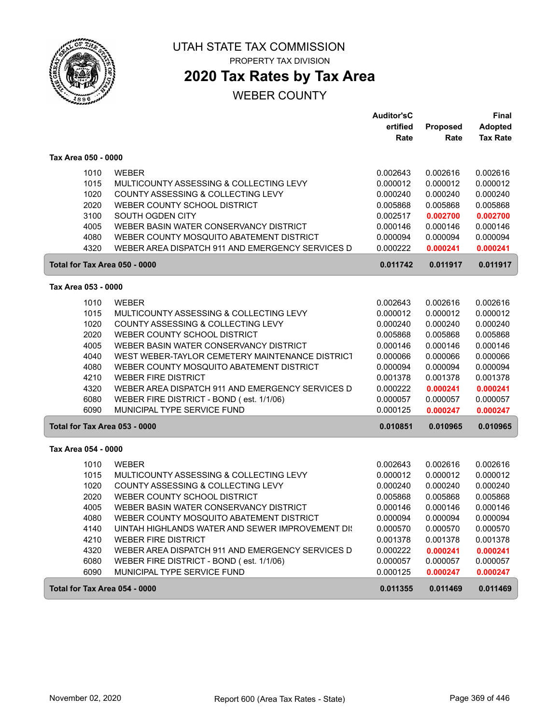

# UTAH STATE TAX COMMISSION

PROPERTY TAX DIVISION

## **2020 Tax Rates by Tax Area**

|                               |                                                  | <b>Auditor'sC</b> |          | <b>Final</b>    |
|-------------------------------|--------------------------------------------------|-------------------|----------|-----------------|
|                               |                                                  | ertified          | Proposed | <b>Adopted</b>  |
|                               |                                                  | Rate              | Rate     | <b>Tax Rate</b> |
| Tax Area 050 - 0000           |                                                  |                   |          |                 |
| 1010                          | <b>WEBER</b>                                     | 0.002643          | 0.002616 | 0.002616        |
| 1015                          | MULTICOUNTY ASSESSING & COLLECTING LEVY          | 0.000012          | 0.000012 | 0.000012        |
| 1020                          | COUNTY ASSESSING & COLLECTING LEVY               | 0.000240          | 0.000240 | 0.000240        |
| 2020                          | WEBER COUNTY SCHOOL DISTRICT                     | 0.005868          | 0.005868 | 0.005868        |
| 3100                          | SOUTH OGDEN CITY                                 | 0.002517          | 0.002700 | 0.002700        |
| 4005                          | WEBER BASIN WATER CONSERVANCY DISTRICT           | 0.000146          | 0.000146 | 0.000146        |
| 4080                          | WEBER COUNTY MOSQUITO ABATEMENT DISTRICT         | 0.000094          | 0.000094 | 0.000094        |
| 4320                          | WEBER AREA DISPATCH 911 AND EMERGENCY SERVICES D | 0.000222          | 0.000241 | 0.000241        |
| Total for Tax Area 050 - 0000 |                                                  | 0.011742          | 0.011917 | 0.011917        |
| Tax Area 053 - 0000           |                                                  |                   |          |                 |
| 1010                          | <b>WEBER</b>                                     | 0.002643          | 0.002616 | 0.002616        |
| 1015                          | MULTICOUNTY ASSESSING & COLLECTING LEVY          | 0.000012          | 0.000012 | 0.000012        |
| 1020                          | COUNTY ASSESSING & COLLECTING LEVY               | 0.000240          | 0.000240 | 0.000240        |
| 2020                          | WEBER COUNTY SCHOOL DISTRICT                     | 0.005868          | 0.005868 | 0.005868        |
| 4005                          | WEBER BASIN WATER CONSERVANCY DISTRICT           | 0.000146          | 0.000146 | 0.000146        |
| 4040                          | WEST WEBER-TAYLOR CEMETERY MAINTENANCE DISTRICT  | 0.000066          | 0.000066 | 0.000066        |
| 4080                          | WEBER COUNTY MOSQUITO ABATEMENT DISTRICT         | 0.000094          | 0.000094 | 0.000094        |
| 4210                          | <b>WEBER FIRE DISTRICT</b>                       | 0.001378          | 0.001378 | 0.001378        |
| 4320                          | WEBER AREA DISPATCH 911 AND EMERGENCY SERVICES D | 0.000222          | 0.000241 | 0.000241        |
| 6080                          | WEBER FIRE DISTRICT - BOND (est. 1/1/06)         | 0.000057          | 0.000057 | 0.000057        |
| 6090                          | MUNICIPAL TYPE SERVICE FUND                      | 0.000125          | 0.000247 | 0.000247        |
| Total for Tax Area 053 - 0000 |                                                  | 0.010851          | 0.010965 | 0.010965        |
| Tax Area 054 - 0000           |                                                  |                   |          |                 |
| 1010                          | <b>WEBER</b>                                     | 0.002643          | 0.002616 | 0.002616        |
| 1015                          | MULTICOUNTY ASSESSING & COLLECTING LEVY          | 0.000012          | 0.000012 | 0.000012        |
| 1020                          | COUNTY ASSESSING & COLLECTING LEVY               | 0.000240          | 0.000240 | 0.000240        |
| 2020                          | WEBER COUNTY SCHOOL DISTRICT                     | 0.005868          | 0.005868 | 0.005868        |
| 4005                          | WEBER BASIN WATER CONSERVANCY DISTRICT           | 0.000146          | 0.000146 | 0.000146        |
| 4080                          | WEBER COUNTY MOSQUITO ABATEMENT DISTRICT         | 0.000094          | 0.000094 | 0.000094        |
| 4140                          | UINTAH HIGHLANDS WATER AND SEWER IMPROVEMENT DIS | 0.000570          | 0.000570 | 0.000570        |
| 4210                          | <b>WEBER FIRE DISTRICT</b>                       | 0.001378          | 0.001378 | 0.001378        |
| 4320                          | WEBER AREA DISPATCH 911 AND EMERGENCY SERVICES D | 0.000222          | 0.000241 | 0.000241        |
| 6080                          | WEBER FIRE DISTRICT - BOND (est. 1/1/06)         | 0.000057          | 0.000057 | 0.000057        |
| 6090                          | MUNICIPAL TYPE SERVICE FUND                      | 0.000125          | 0.000247 | 0.000247        |
| Total for Tax Area 054 - 0000 |                                                  | 0.011355          | 0.011469 | 0.011469        |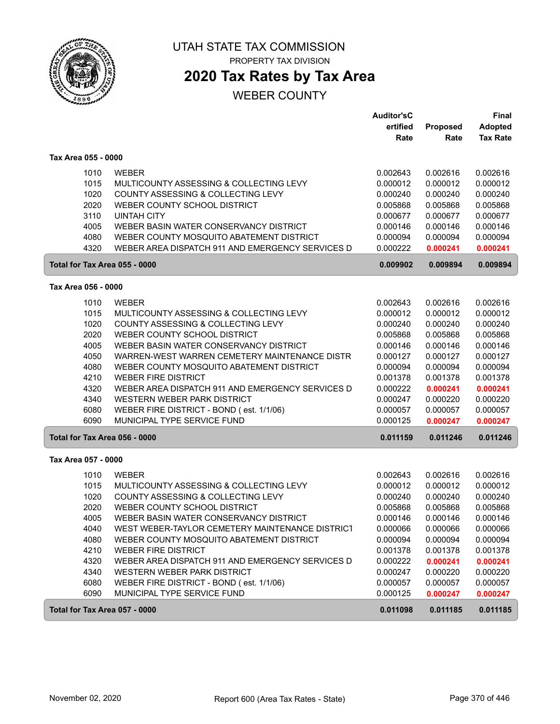

# UTAH STATE TAX COMMISSION

PROPERTY TAX DIVISION

## **2020 Tax Rates by Tax Area**

|                               |                                                  | <b>Auditor'sC</b> |                  | Final                             |
|-------------------------------|--------------------------------------------------|-------------------|------------------|-----------------------------------|
|                               |                                                  | ertified<br>Rate  | Proposed<br>Rate | <b>Adopted</b><br><b>Tax Rate</b> |
| Tax Area 055 - 0000           |                                                  |                   |                  |                                   |
| 1010                          | <b>WEBER</b>                                     | 0.002643          | 0.002616         | 0.002616                          |
| 1015                          | MULTICOUNTY ASSESSING & COLLECTING LEVY          | 0.000012          | 0.000012         | 0.000012                          |
| 1020                          | COUNTY ASSESSING & COLLECTING LEVY               | 0.000240          | 0.000240         | 0.000240                          |
| 2020                          | WEBER COUNTY SCHOOL DISTRICT                     | 0.005868          | 0.005868         | 0.005868                          |
| 3110                          | <b>UINTAH CITY</b>                               | 0.000677          | 0.000677         | 0.000677                          |
| 4005                          | WEBER BASIN WATER CONSERVANCY DISTRICT           | 0.000146          | 0.000146         | 0.000146                          |
| 4080                          | WEBER COUNTY MOSQUITO ABATEMENT DISTRICT         | 0.000094          | 0.000094         | 0.000094                          |
| 4320                          | WEBER AREA DISPATCH 911 AND EMERGENCY SERVICES D | 0.000222          | 0.000241         | 0.000241                          |
| Total for Tax Area 055 - 0000 |                                                  | 0.009902          | 0.009894         | 0.009894                          |
| Tax Area 056 - 0000           |                                                  |                   |                  |                                   |
| 1010                          | <b>WEBER</b>                                     | 0.002643          | 0.002616         | 0.002616                          |
| 1015                          | MULTICOUNTY ASSESSING & COLLECTING LEVY          | 0.000012          | 0.000012         | 0.000012                          |
| 1020                          | COUNTY ASSESSING & COLLECTING LEVY               | 0.000240          | 0.000240         | 0.000240                          |
| 2020                          | WEBER COUNTY SCHOOL DISTRICT                     | 0.005868          | 0.005868         | 0.005868                          |
| 4005                          | WEBER BASIN WATER CONSERVANCY DISTRICT           | 0.000146          | 0.000146         | 0.000146                          |
| 4050                          | WARREN-WEST WARREN CEMETERY MAINTENANCE DISTR    | 0.000127          | 0.000127         | 0.000127                          |
| 4080                          | WEBER COUNTY MOSQUITO ABATEMENT DISTRICT         | 0.000094          | 0.000094         | 0.000094                          |
| 4210                          | <b>WEBER FIRE DISTRICT</b>                       | 0.001378          | 0.001378         | 0.001378                          |
| 4320                          | WEBER AREA DISPATCH 911 AND EMERGENCY SERVICES D | 0.000222          | 0.000241         | 0.000241                          |
| 4340                          | WESTERN WEBER PARK DISTRICT                      | 0.000247          | 0.000220         | 0.000220                          |
| 6080                          | WEBER FIRE DISTRICT - BOND (est. 1/1/06)         | 0.000057          | 0.000057         | 0.000057                          |
| 6090                          | MUNICIPAL TYPE SERVICE FUND                      | 0.000125          | 0.000247         | 0.000247                          |
| Total for Tax Area 056 - 0000 |                                                  | 0.011159          | 0.011246         | 0.011246                          |
| Tax Area 057 - 0000           |                                                  |                   |                  |                                   |
| 1010                          | <b>WEBER</b>                                     | 0.002643          | 0.002616         | 0.002616                          |
| 1015                          | MULTICOUNTY ASSESSING & COLLECTING LEVY          | 0.000012          | 0.000012         | 0.000012                          |
| 1020                          | COUNTY ASSESSING & COLLECTING LEVY               | 0.000240          | 0.000240         | 0.000240                          |
| 2020                          | WEBER COUNTY SCHOOL DISTRICT                     | 0.005868          | 0.005868         | 0.005868                          |
| 4005                          | WEBER BASIN WATER CONSERVANCY DISTRICT           | 0.000146          | 0.000146         | 0.000146                          |
| 4040                          | WEST WEBER-TAYLOR CEMETERY MAINTENANCE DISTRICT  | 0.000066          | 0.000066         | 0.000066                          |
| 4080                          | WEBER COUNTY MOSQUITO ABATEMENT DISTRICT         | 0.000094          | 0.000094         | 0.000094                          |
| 4210                          | <b>WEBER FIRE DISTRICT</b>                       | 0.001378          | 0.001378         | 0.001378                          |
| 4320                          | WEBER AREA DISPATCH 911 AND EMERGENCY SERVICES D | 0.000222          | 0.000241         | 0.000241                          |
| 4340                          | WESTERN WEBER PARK DISTRICT                      | 0.000247          | 0.000220         | 0.000220                          |
| 6080                          | WEBER FIRE DISTRICT - BOND (est. 1/1/06)         | 0.000057          | 0.000057         | 0.000057                          |
| 6090                          | MUNICIPAL TYPE SERVICE FUND                      | 0.000125          | 0.000247         | 0.000247                          |
| Total for Tax Area 057 - 0000 |                                                  | 0.011098          | 0.011185         | 0.011185                          |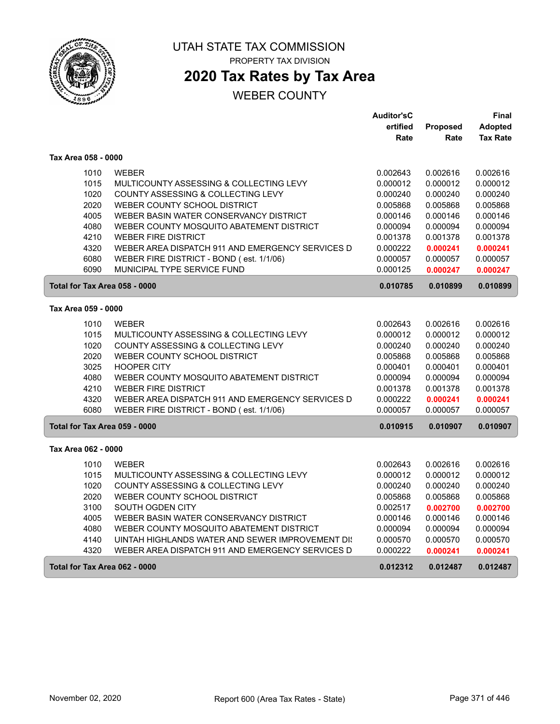

## **2020 Tax Rates by Tax Area**

|                               |                                                  | <b>Auditor'sC</b> |          | Final           |
|-------------------------------|--------------------------------------------------|-------------------|----------|-----------------|
|                               |                                                  | ertified          | Proposed | <b>Adopted</b>  |
|                               |                                                  | Rate              | Rate     | <b>Tax Rate</b> |
| Tax Area 058 - 0000           |                                                  |                   |          |                 |
| 1010                          | <b>WEBER</b>                                     | 0.002643          | 0.002616 | 0.002616        |
| 1015                          | MULTICOUNTY ASSESSING & COLLECTING LEVY          | 0.000012          | 0.000012 | 0.000012        |
| 1020                          | COUNTY ASSESSING & COLLECTING LEVY               | 0.000240          | 0.000240 | 0.000240        |
| 2020                          | WEBER COUNTY SCHOOL DISTRICT                     | 0.005868          | 0.005868 | 0.005868        |
| 4005                          | WEBER BASIN WATER CONSERVANCY DISTRICT           | 0.000146          | 0.000146 | 0.000146        |
| 4080                          | WEBER COUNTY MOSQUITO ABATEMENT DISTRICT         | 0.000094          | 0.000094 | 0.000094        |
| 4210                          | <b>WEBER FIRE DISTRICT</b>                       | 0.001378          | 0.001378 | 0.001378        |
| 4320                          | WEBER AREA DISPATCH 911 AND EMERGENCY SERVICES D | 0.000222          | 0.000241 | 0.000241        |
| 6080                          | WEBER FIRE DISTRICT - BOND (est. 1/1/06)         | 0.000057          | 0.000057 | 0.000057        |
| 6090                          | MUNICIPAL TYPE SERVICE FUND                      | 0.000125          | 0.000247 | 0.000247        |
| Total for Tax Area 058 - 0000 |                                                  | 0.010785          | 0.010899 | 0.010899        |
| Tax Area 059 - 0000           |                                                  |                   |          |                 |
| 1010                          | <b>WEBER</b>                                     | 0.002643          | 0.002616 | 0.002616        |
| 1015                          | MULTICOUNTY ASSESSING & COLLECTING LEVY          | 0.000012          | 0.000012 | 0.000012        |
| 1020                          | COUNTY ASSESSING & COLLECTING LEVY               | 0.000240          | 0.000240 | 0.000240        |
| 2020                          | WEBER COUNTY SCHOOL DISTRICT                     | 0.005868          | 0.005868 | 0.005868        |
| 3025                          | <b>HOOPER CITY</b>                               | 0.000401          | 0.000401 | 0.000401        |
| 4080                          | WEBER COUNTY MOSQUITO ABATEMENT DISTRICT         | 0.000094          | 0.000094 | 0.000094        |
| 4210                          | <b>WEBER FIRE DISTRICT</b>                       | 0.001378          | 0.001378 | 0.001378        |
| 4320                          | WEBER AREA DISPATCH 911 AND EMERGENCY SERVICES D | 0.000222          | 0.000241 | 0.000241        |
| 6080                          | WEBER FIRE DISTRICT - BOND (est. 1/1/06)         | 0.000057          | 0.000057 | 0.000057        |
| Total for Tax Area 059 - 0000 |                                                  | 0.010915          | 0.010907 | 0.010907        |
| Tax Area 062 - 0000           |                                                  |                   |          |                 |
| 1010                          | <b>WEBER</b>                                     | 0.002643          | 0.002616 | 0.002616        |
| 1015                          | MULTICOUNTY ASSESSING & COLLECTING LEVY          | 0.000012          | 0.000012 | 0.000012        |
| 1020                          | COUNTY ASSESSING & COLLECTING LEVY               | 0.000240          | 0.000240 | 0.000240        |
| 2020                          | WEBER COUNTY SCHOOL DISTRICT                     | 0.005868          | 0.005868 | 0.005868        |
| 3100                          | SOUTH OGDEN CITY                                 | 0.002517          | 0.002700 | 0.002700        |
| 4005                          | WEBER BASIN WATER CONSERVANCY DISTRICT           | 0.000146          | 0.000146 | 0.000146        |
| 4080                          | WEBER COUNTY MOSQUITO ABATEMENT DISTRICT         | 0.000094          | 0.000094 | 0.000094        |
| 4140                          | UINTAH HIGHLANDS WATER AND SEWER IMPROVEMENT DIS | 0.000570          | 0.000570 | 0.000570        |
| 4320                          | WEBER AREA DISPATCH 911 AND EMERGENCY SERVICES D | 0.000222          | 0.000241 | 0.000241        |
| Total for Tax Area 062 - 0000 |                                                  | 0.012312          | 0.012487 | 0.012487        |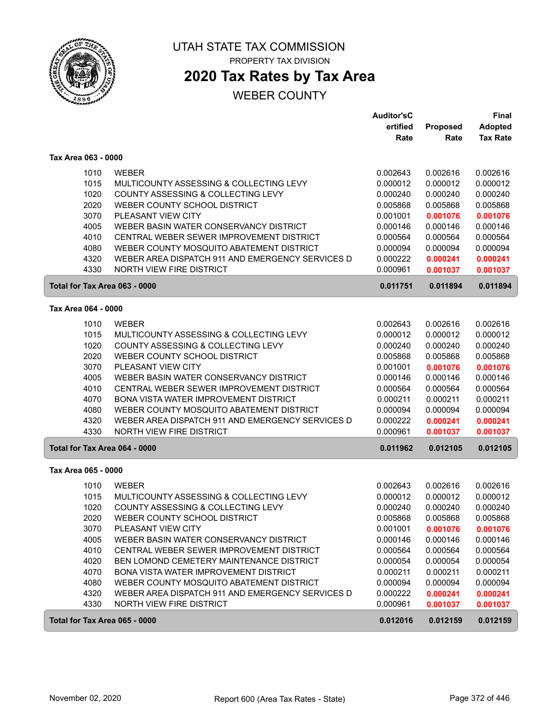

## **2020 Tax Rates by Tax Area**

|                               |                                                  | <b>Auditor'sC</b><br>ertified | Proposed | Final<br><b>Adopted</b> |
|-------------------------------|--------------------------------------------------|-------------------------------|----------|-------------------------|
|                               |                                                  | Rate                          | Rate     | <b>Tax Rate</b>         |
| Tax Area 063 - 0000           |                                                  |                               |          |                         |
| 1010                          | <b>WEBER</b>                                     | 0.002643                      | 0.002616 | 0.002616                |
| 1015                          | MULTICOUNTY ASSESSING & COLLECTING LEVY          | 0.000012                      | 0.000012 | 0.000012                |
| 1020                          | COUNTY ASSESSING & COLLECTING LEVY               | 0.000240                      | 0.000240 | 0.000240                |
| 2020                          | WEBER COUNTY SCHOOL DISTRICT                     | 0.005868                      | 0.005868 | 0.005868                |
| 3070                          | PLEASANT VIEW CITY                               | 0.001001                      | 0.001076 | 0.001076                |
| 4005                          | WEBER BASIN WATER CONSERVANCY DISTRICT           | 0.000146                      | 0.000146 | 0.000146                |
| 4010                          | CENTRAL WEBER SEWER IMPROVEMENT DISTRICT         | 0.000564                      | 0.000564 | 0.000564                |
| 4080                          | WEBER COUNTY MOSQUITO ABATEMENT DISTRICT         | 0.000094                      | 0.000094 | 0.000094                |
| 4320                          | WEBER AREA DISPATCH 911 AND EMERGENCY SERVICES D | 0.000222                      | 0.000241 | 0.000241                |
| 4330                          | <b>NORTH VIEW FIRE DISTRICT</b>                  | 0.000961                      | 0.001037 | 0.001037                |
| Total for Tax Area 063 - 0000 |                                                  | 0.011751                      | 0.011894 | 0.011894                |
| Tax Area 064 - 0000           |                                                  |                               |          |                         |
| 1010                          | <b>WEBER</b>                                     | 0.002643                      | 0.002616 | 0.002616                |
| 1015                          | MULTICOUNTY ASSESSING & COLLECTING LEVY          | 0.000012                      | 0.000012 | 0.000012                |
| 1020                          | COUNTY ASSESSING & COLLECTING LEVY               | 0.000240                      | 0.000240 | 0.000240                |
| 2020                          | WEBER COUNTY SCHOOL DISTRICT                     | 0.005868                      | 0.005868 | 0.005868                |
| 3070                          | PLEASANT VIEW CITY                               | 0.001001                      | 0.001076 | 0.001076                |
| 4005                          | WEBER BASIN WATER CONSERVANCY DISTRICT           | 0.000146                      | 0.000146 | 0.000146                |
| 4010                          | CENTRAL WEBER SEWER IMPROVEMENT DISTRICT         | 0.000564                      | 0.000564 | 0.000564                |
| 4070                          | BONA VISTA WATER IMPROVEMENT DISTRICT            | 0.000211                      | 0.000211 | 0.000211                |
| 4080                          | WEBER COUNTY MOSQUITO ABATEMENT DISTRICT         | 0.000094                      | 0.000094 | 0.000094                |
| 4320                          | WEBER AREA DISPATCH 911 AND EMERGENCY SERVICES D | 0.000222                      | 0.000241 | 0.000241                |
| 4330                          | NORTH VIEW FIRE DISTRICT                         | 0.000961                      | 0.001037 | 0.001037                |
| Total for Tax Area 064 - 0000 |                                                  | 0.011962                      | 0.012105 | 0.012105                |
| Tax Area 065 - 0000           |                                                  |                               |          |                         |
| 1010                          | <b>WEBER</b>                                     | 0.002643                      | 0.002616 | 0.002616                |
| 1015                          | MULTICOUNTY ASSESSING & COLLECTING LEVY          | 0.000012                      | 0.000012 | 0.000012                |
| 1020                          | COUNTY ASSESSING & COLLECTING LEVY               | 0.000240                      | 0.000240 | 0.000240                |
| 2020                          | WEBER COUNTY SCHOOL DISTRICT                     | 0.005868                      | 0.005868 | 0.005868                |
| 3070                          | PLEASANT VIEW CITY                               | 0.001001                      | 0.001076 | 0.001076                |
| 4005                          | WEBER BASIN WATER CONSERVANCY DISTRICT           | 0.000146                      | 0.000146 | 0.000146                |
| 4010                          | CENTRAL WEBER SEWER IMPROVEMENT DISTRICT         | 0.000564                      | 0.000564 | 0.000564                |
| 4020                          | BEN LOMOND CEMETERY MAINTENANCE DISTRICT         | 0.000054                      | 0.000054 | 0.000054                |
| 4070                          | BONA VISTA WATER IMPROVEMENT DISTRICT            | 0.000211                      | 0.000211 | 0.000211                |
| 4080                          | WEBER COUNTY MOSQUITO ABATEMENT DISTRICT         | 0.000094                      | 0.000094 | 0.000094                |
| 4320                          | WEBER AREA DISPATCH 911 AND EMERGENCY SERVICES D | 0.000222                      | 0.000241 | 0.000241                |
| 4330                          | NORTH VIEW FIRE DISTRICT                         | 0.000961                      | 0.001037 | 0.001037                |
| Total for Tax Area 065 - 0000 |                                                  | 0.012016                      | 0.012159 | 0.012159                |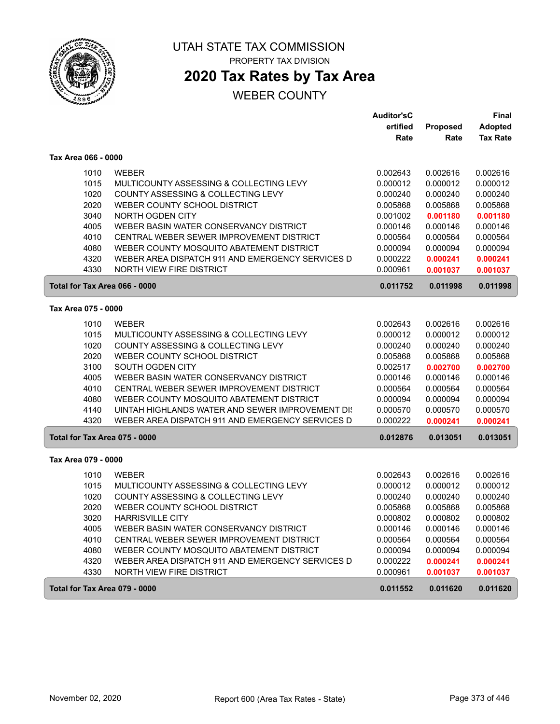

## **2020 Tax Rates by Tax Area**

|                               |                                                  | <b>Auditor'sC</b> |          | <b>Final</b>    |
|-------------------------------|--------------------------------------------------|-------------------|----------|-----------------|
|                               |                                                  | ertified          | Proposed | <b>Adopted</b>  |
|                               |                                                  | Rate              | Rate     | <b>Tax Rate</b> |
| Tax Area 066 - 0000           |                                                  |                   |          |                 |
| 1010                          | <b>WEBER</b>                                     | 0.002643          | 0.002616 | 0.002616        |
| 1015                          | MULTICOUNTY ASSESSING & COLLECTING LEVY          | 0.000012          | 0.000012 | 0.000012        |
| 1020                          | COUNTY ASSESSING & COLLECTING LEVY               | 0.000240          | 0.000240 | 0.000240        |
| 2020                          | WEBER COUNTY SCHOOL DISTRICT                     | 0.005868          | 0.005868 | 0.005868        |
| 3040                          | NORTH OGDEN CITY                                 | 0.001002          | 0.001180 | 0.001180        |
| 4005                          | WEBER BASIN WATER CONSERVANCY DISTRICT           | 0.000146          | 0.000146 | 0.000146        |
| 4010                          | CENTRAL WEBER SEWER IMPROVEMENT DISTRICT         | 0.000564          | 0.000564 | 0.000564        |
| 4080                          | WEBER COUNTY MOSQUITO ABATEMENT DISTRICT         | 0.000094          | 0.000094 | 0.000094        |
| 4320                          | WEBER AREA DISPATCH 911 AND EMERGENCY SERVICES D | 0.000222          | 0.000241 | 0.000241        |
| 4330                          | <b>NORTH VIEW FIRE DISTRICT</b>                  | 0.000961          | 0.001037 | 0.001037        |
| Total for Tax Area 066 - 0000 |                                                  | 0.011752          | 0.011998 | 0.011998        |
| Tax Area 075 - 0000           |                                                  |                   |          |                 |
| 1010                          | <b>WEBER</b>                                     | 0.002643          | 0.002616 | 0.002616        |
| 1015                          | MULTICOUNTY ASSESSING & COLLECTING LEVY          | 0.000012          | 0.000012 | 0.000012        |
| 1020                          | COUNTY ASSESSING & COLLECTING LEVY               | 0.000240          | 0.000240 | 0.000240        |
| 2020                          | WEBER COUNTY SCHOOL DISTRICT                     | 0.005868          | 0.005868 | 0.005868        |
| 3100                          | SOUTH OGDEN CITY                                 | 0.002517          | 0.002700 | 0.002700        |
| 4005                          | WEBER BASIN WATER CONSERVANCY DISTRICT           | 0.000146          | 0.000146 | 0.000146        |
| 4010                          | CENTRAL WEBER SEWER IMPROVEMENT DISTRICT         | 0.000564          | 0.000564 | 0.000564        |
| 4080                          | WEBER COUNTY MOSQUITO ABATEMENT DISTRICT         | 0.000094          | 0.000094 | 0.000094        |
| 4140                          | UINTAH HIGHLANDS WATER AND SEWER IMPROVEMENT DIS | 0.000570          | 0.000570 | 0.000570        |
| 4320                          | WEBER AREA DISPATCH 911 AND EMERGENCY SERVICES D | 0.000222          | 0.000241 | 0.000241        |
| Total for Tax Area 075 - 0000 |                                                  | 0.012876          | 0.013051 | 0.013051        |
| Tax Area 079 - 0000           |                                                  |                   |          |                 |
| 1010                          | <b>WEBER</b>                                     | 0.002643          | 0.002616 | 0.002616        |
| 1015                          | MULTICOUNTY ASSESSING & COLLECTING LEVY          | 0.000012          | 0.000012 | 0.000012        |
| 1020                          | COUNTY ASSESSING & COLLECTING LEVY               | 0.000240          | 0.000240 | 0.000240        |
| 2020                          | WEBER COUNTY SCHOOL DISTRICT                     | 0.005868          | 0.005868 | 0.005868        |
| 3020                          | <b>HARRISVILLE CITY</b>                          | 0.000802          | 0.000802 | 0.000802        |
| 4005                          | WEBER BASIN WATER CONSERVANCY DISTRICT           | 0.000146          | 0.000146 | 0.000146        |
| 4010                          | CENTRAL WEBER SEWER IMPROVEMENT DISTRICT         | 0.000564          | 0.000564 | 0.000564        |
| 4080                          | WEBER COUNTY MOSQUITO ABATEMENT DISTRICT         | 0.000094          | 0.000094 | 0.000094        |
| 4320                          | WEBER AREA DISPATCH 911 AND EMERGENCY SERVICES D | 0.000222          | 0.000241 | 0.000241        |
| 4330                          | NORTH VIEW FIRE DISTRICT                         | 0.000961          | 0.001037 | 0.001037        |
| Total for Tax Area 079 - 0000 |                                                  | 0.011552          | 0.011620 | 0.011620        |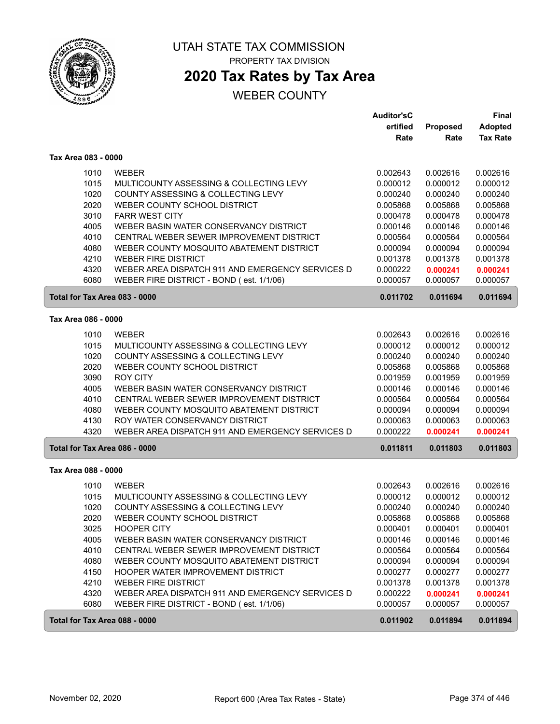

## **2020 Tax Rates by Tax Area**

|                               |                                                  | <b>Auditor'sC</b> |          | Final           |
|-------------------------------|--------------------------------------------------|-------------------|----------|-----------------|
|                               |                                                  | ertified          | Proposed | <b>Adopted</b>  |
|                               |                                                  | Rate              | Rate     | <b>Tax Rate</b> |
| Tax Area 083 - 0000           |                                                  |                   |          |                 |
| 1010                          | <b>WEBER</b>                                     | 0.002643          | 0.002616 | 0.002616        |
| 1015                          | MULTICOUNTY ASSESSING & COLLECTING LEVY          | 0.000012          | 0.000012 | 0.000012        |
| 1020                          | COUNTY ASSESSING & COLLECTING LEVY               | 0.000240          | 0.000240 | 0.000240        |
| 2020                          | WEBER COUNTY SCHOOL DISTRICT                     | 0.005868          | 0.005868 | 0.005868        |
| 3010                          | <b>FARR WEST CITY</b>                            | 0.000478          | 0.000478 | 0.000478        |
| 4005                          | WEBER BASIN WATER CONSERVANCY DISTRICT           | 0.000146          | 0.000146 | 0.000146        |
| 4010                          | CENTRAL WEBER SEWER IMPROVEMENT DISTRICT         | 0.000564          | 0.000564 | 0.000564        |
| 4080                          | WEBER COUNTY MOSQUITO ABATEMENT DISTRICT         | 0.000094          | 0.000094 | 0.000094        |
| 4210                          | <b>WEBER FIRE DISTRICT</b>                       | 0.001378          | 0.001378 | 0.001378        |
| 4320                          | WEBER AREA DISPATCH 911 AND EMERGENCY SERVICES D | 0.000222          | 0.000241 | 0.000241        |
| 6080                          | WEBER FIRE DISTRICT - BOND (est. 1/1/06)         | 0.000057          | 0.000057 | 0.000057        |
| Total for Tax Area 083 - 0000 |                                                  | 0.011702          | 0.011694 | 0.011694        |
| Tax Area 086 - 0000           |                                                  |                   |          |                 |
| 1010                          | <b>WEBER</b>                                     | 0.002643          | 0.002616 | 0.002616        |
| 1015                          | MULTICOUNTY ASSESSING & COLLECTING LEVY          | 0.000012          | 0.000012 | 0.000012        |
| 1020                          | COUNTY ASSESSING & COLLECTING LEVY               | 0.000240          | 0.000240 | 0.000240        |
| 2020                          | WEBER COUNTY SCHOOL DISTRICT                     | 0.005868          | 0.005868 | 0.005868        |
| 3090                          | <b>ROY CITY</b>                                  | 0.001959          | 0.001959 | 0.001959        |
| 4005                          | WEBER BASIN WATER CONSERVANCY DISTRICT           | 0.000146          | 0.000146 | 0.000146        |
| 4010                          | CENTRAL WEBER SEWER IMPROVEMENT DISTRICT         | 0.000564          | 0.000564 | 0.000564        |
| 4080                          | WEBER COUNTY MOSQUITO ABATEMENT DISTRICT         | 0.000094          | 0.000094 | 0.000094        |
| 4130                          | ROY WATER CONSERVANCY DISTRICT                   | 0.000063          | 0.000063 | 0.000063        |
| 4320                          | WEBER AREA DISPATCH 911 AND EMERGENCY SERVICES D | 0.000222          | 0.000241 | 0.000241        |
| Total for Tax Area 086 - 0000 |                                                  | 0.011811          | 0.011803 | 0.011803        |
| Tax Area 088 - 0000           |                                                  |                   |          |                 |
|                               |                                                  |                   |          |                 |
| 1010                          | <b>WEBER</b>                                     | 0.002643          | 0.002616 | 0.002616        |
| 1015                          | MULTICOUNTY ASSESSING & COLLECTING LEVY          | 0.000012          | 0.000012 | 0.000012        |
| 1020                          | COUNTY ASSESSING & COLLECTING LEVY               | 0.000240          | 0.000240 | 0.000240        |
| 2020                          | WEBER COUNTY SCHOOL DISTRICT                     | 0.005868          | 0.005868 | 0.005868        |
| 3025                          | <b>HOOPER CITY</b>                               | 0.000401          | 0.000401 | 0.000401        |
| 4005                          | WEBER BASIN WATER CONSERVANCY DISTRICT           | 0.000146          | 0.000146 | 0.000146        |
| 4010                          | CENTRAL WEBER SEWER IMPROVEMENT DISTRICT         | 0.000564          | 0.000564 | 0.000564        |
| 4080                          | WEBER COUNTY MOSQUITO ABATEMENT DISTRICT         | 0.000094          | 0.000094 | 0.000094        |
| 4150                          | HOOPER WATER IMPROVEMENT DISTRICT                | 0.000277          | 0.000277 | 0.000277        |
| 4210                          | <b>WEBER FIRE DISTRICT</b>                       | 0.001378          | 0.001378 | 0.001378        |
| 4320                          | WEBER AREA DISPATCH 911 AND EMERGENCY SERVICES D | 0.000222          | 0.000241 | 0.000241        |
| 6080                          | WEBER FIRE DISTRICT - BOND (est. 1/1/06)         | 0.000057          | 0.000057 | 0.000057        |
| Total for Tax Area 088 - 0000 |                                                  | 0.011902          | 0.011894 | 0.011894        |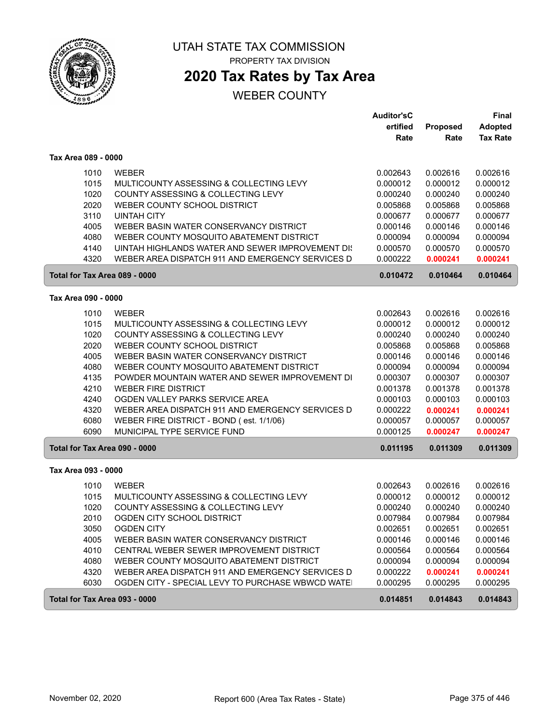

**2020 Tax Rates by Tax Area**

|                               |                                                                         | <b>Auditor'sC</b>    |          | Final           |
|-------------------------------|-------------------------------------------------------------------------|----------------------|----------|-----------------|
|                               |                                                                         | ertified             | Proposed | <b>Adopted</b>  |
|                               |                                                                         | Rate                 | Rate     | <b>Tax Rate</b> |
| Tax Area 089 - 0000           |                                                                         |                      |          |                 |
| 1010                          | <b>WEBER</b>                                                            | 0.002643             | 0.002616 | 0.002616        |
| 1015                          | MULTICOUNTY ASSESSING & COLLECTING LEVY                                 | 0.000012             | 0.000012 | 0.000012        |
| 1020                          | COUNTY ASSESSING & COLLECTING LEVY                                      | 0.000240             | 0.000240 | 0.000240        |
| 2020                          | WEBER COUNTY SCHOOL DISTRICT                                            | 0.005868             | 0.005868 | 0.005868        |
| 3110                          | <b>UINTAH CITY</b>                                                      | 0.000677             | 0.000677 | 0.000677        |
| 4005                          | WEBER BASIN WATER CONSERVANCY DISTRICT                                  | 0.000146             | 0.000146 | 0.000146        |
| 4080                          | WEBER COUNTY MOSQUITO ABATEMENT DISTRICT                                | 0.000094             | 0.000094 | 0.000094        |
| 4140                          | UINTAH HIGHLANDS WATER AND SEWER IMPROVEMENT DIS                        | 0.000570             | 0.000570 | 0.000570        |
| 4320                          | WEBER AREA DISPATCH 911 AND EMERGENCY SERVICES D                        | 0.000222             | 0.000241 | 0.000241        |
| Total for Tax Area 089 - 0000 |                                                                         | 0.010472             | 0.010464 | 0.010464        |
| Tax Area 090 - 0000           |                                                                         |                      |          |                 |
|                               |                                                                         |                      |          |                 |
| 1010                          | <b>WEBER</b>                                                            | 0.002643             | 0.002616 | 0.002616        |
| 1015                          | MULTICOUNTY ASSESSING & COLLECTING LEVY                                 | 0.000012             | 0.000012 | 0.000012        |
| 1020                          | COUNTY ASSESSING & COLLECTING LEVY                                      | 0.000240             | 0.000240 | 0.000240        |
| 2020                          | WEBER COUNTY SCHOOL DISTRICT                                            | 0.005868             | 0.005868 | 0.005868        |
| 4005                          | WEBER BASIN WATER CONSERVANCY DISTRICT                                  | 0.000146             | 0.000146 | 0.000146        |
| 4080                          | WEBER COUNTY MOSQUITO ABATEMENT DISTRICT                                | 0.000094             | 0.000094 | 0.000094        |
| 4135                          | POWDER MOUNTAIN WATER AND SEWER IMPROVEMENT DI                          | 0.000307             | 0.000307 | 0.000307        |
| 4210                          | <b>WEBER FIRE DISTRICT</b>                                              | 0.001378             | 0.001378 | 0.001378        |
| 4240                          | OGDEN VALLEY PARKS SERVICE AREA                                         | 0.000103             | 0.000103 | 0.000103        |
| 4320                          | WEBER AREA DISPATCH 911 AND EMERGENCY SERVICES D                        | 0.000222             | 0.000241 | 0.000241        |
| 6080<br>6090                  | WEBER FIRE DISTRICT - BOND (est. 1/1/06)<br>MUNICIPAL TYPE SERVICE FUND | 0.000057<br>0.000125 | 0.000057 | 0.000057        |
|                               |                                                                         |                      | 0.000247 | 0.000247        |
| Total for Tax Area 090 - 0000 |                                                                         | 0.011195             | 0.011309 | 0.011309        |
| Tax Area 093 - 0000           |                                                                         |                      |          |                 |
| 1010                          | <b>WEBER</b>                                                            | 0.002643             | 0.002616 | 0.002616        |
| 1015                          | MULTICOUNTY ASSESSING & COLLECTING LEVY                                 | 0.000012             | 0.000012 | 0.000012        |
| 1020                          | COUNTY ASSESSING & COLLECTING LEVY                                      | 0.000240             | 0.000240 | 0.000240        |
| 2010                          | OGDEN CITY SCHOOL DISTRICT                                              | 0.007984             | 0.007984 | 0.007984        |
| 3050                          | <b>OGDEN CITY</b>                                                       | 0.002651             | 0.002651 | 0.002651        |
| 4005                          | WEBER BASIN WATER CONSERVANCY DISTRICT                                  | 0.000146             | 0.000146 | 0.000146        |
| 4010                          | CENTRAL WEBER SEWER IMPROVEMENT DISTRICT                                | 0.000564             | 0.000564 | 0.000564        |
| 4080                          | WEBER COUNTY MOSQUITO ABATEMENT DISTRICT                                | 0.000094             | 0.000094 | 0.000094        |
| 4320                          | WEBER AREA DISPATCH 911 AND EMERGENCY SERVICES D                        | 0.000222             | 0.000241 | 0.000241        |
| 6030                          | OGDEN CITY - SPECIAL LEVY TO PURCHASE WBWCD WATE!                       | 0.000295             | 0.000295 | 0.000295        |
| Total for Tax Area 093 - 0000 |                                                                         | 0.014851             | 0.014843 | 0.014843        |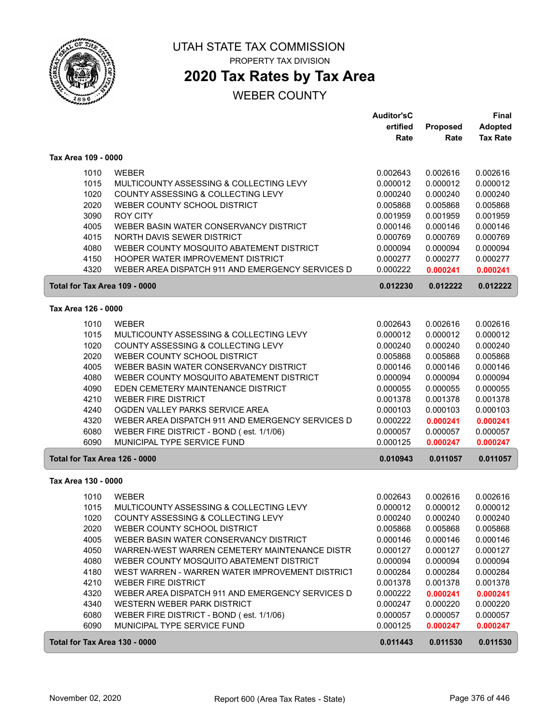

ſ

 $\sqrt{2}$ 

#### UTAH STATE TAX COMMISSION PROPERTY TAX DIVISION

## **2020 Tax Rates by Tax Area**

|                               |                                                  | <b>Auditor'sC</b> |          | <b>Final</b>    |
|-------------------------------|--------------------------------------------------|-------------------|----------|-----------------|
|                               |                                                  | ertified          | Proposed | <b>Adopted</b>  |
|                               |                                                  | Rate              | Rate     | <b>Tax Rate</b> |
| Tax Area 109 - 0000           |                                                  |                   |          |                 |
| 1010                          | <b>WEBER</b>                                     | 0.002643          | 0.002616 | 0.002616        |
| 1015                          | MULTICOUNTY ASSESSING & COLLECTING LEVY          | 0.000012          | 0.000012 | 0.000012        |
| 1020                          | COUNTY ASSESSING & COLLECTING LEVY               | 0.000240          | 0.000240 | 0.000240        |
| 2020                          | WEBER COUNTY SCHOOL DISTRICT                     | 0.005868          | 0.005868 | 0.005868        |
| 3090                          | <b>ROY CITY</b>                                  | 0.001959          | 0.001959 | 0.001959        |
| 4005                          | WEBER BASIN WATER CONSERVANCY DISTRICT           | 0.000146          | 0.000146 | 0.000146        |
| 4015                          | NORTH DAVIS SEWER DISTRICT                       | 0.000769          | 0.000769 | 0.000769        |
| 4080                          | WEBER COUNTY MOSQUITO ABATEMENT DISTRICT         | 0.000094          | 0.000094 | 0.000094        |
| 4150                          | <b>HOOPER WATER IMPROVEMENT DISTRICT</b>         | 0.000277          | 0.000277 | 0.000277        |
| 4320                          | WEBER AREA DISPATCH 911 AND EMERGENCY SERVICES D | 0.000222          | 0.000241 | 0.000241        |
| Total for Tax Area 109 - 0000 |                                                  | 0.012230          | 0.012222 | 0.012222        |
| Tax Area 126 - 0000           |                                                  |                   |          |                 |
| 1010                          | <b>WEBER</b>                                     | 0.002643          | 0.002616 | 0.002616        |
| 1015                          | MULTICOUNTY ASSESSING & COLLECTING LEVY          | 0.000012          | 0.000012 | 0.000012        |
| 1020                          | COUNTY ASSESSING & COLLECTING LEVY               | 0.000240          | 0.000240 | 0.000240        |
| 2020                          | WEBER COUNTY SCHOOL DISTRICT                     | 0.005868          | 0.005868 | 0.005868        |
| 4005                          | WEBER BASIN WATER CONSERVANCY DISTRICT           | 0.000146          | 0.000146 | 0.000146        |
| 4080                          | WEBER COUNTY MOSQUITO ABATEMENT DISTRICT         | 0.000094          | 0.000094 | 0.000094        |
| 4090                          | EDEN CEMETERY MAINTENANCE DISTRICT               | 0.000055          | 0.000055 | 0.000055        |
| 4210                          | <b>WEBER FIRE DISTRICT</b>                       | 0.001378          | 0.001378 | 0.001378        |
| 4240                          | OGDEN VALLEY PARKS SERVICE AREA                  | 0.000103          | 0.000103 | 0.000103        |
| 4320                          | WEBER AREA DISPATCH 911 AND EMERGENCY SERVICES D | 0.000222          | 0.000241 | 0.000241        |
| 6080                          | WEBER FIRE DISTRICT - BOND (est. 1/1/06)         | 0.000057          | 0.000057 | 0.000057        |
| 6090                          | MUNICIPAL TYPE SERVICE FUND                      | 0.000125          | 0.000247 | 0.000247        |
| Total for Tax Area 126 - 0000 |                                                  | 0.010943          | 0.011057 | 0.011057        |
| Tax Area 130 - 0000           |                                                  |                   |          |                 |
| 1010                          | <b>WEBER</b>                                     | 0.002643          | 0.002616 | 0.002616        |
| 1015                          | MULTICOUNTY ASSESSING & COLLECTING LEVY          | 0.000012          | 0.000012 | 0.000012        |
| 1020                          | COUNTY ASSESSING & COLLECTING LEVY               | 0.000240          | 0.000240 | 0.000240        |
| 2020                          | WEBER COUNTY SCHOOL DISTRICT                     | 0.005868          | 0.005868 | 0.005868        |
| 4005                          | WEBER BASIN WATER CONSERVANCY DISTRICT           | 0.000146          | 0.000146 | 0.000146        |
| 4050                          | WARREN-WEST WARREN CEMETERY MAINTENANCE DISTR    | 0.000127          | 0.000127 | 0.000127        |
| 4080                          | WEBER COUNTY MOSQUITO ABATEMENT DISTRICT         | 0.000094          | 0.000094 | 0.000094        |
| 4180                          | WEST WARREN - WARREN WATER IMPROVEMENT DISTRICT  | 0.000284          | 0.000284 | 0.000284        |
| 4210                          | <b>WEBER FIRE DISTRICT</b>                       | 0.001378          | 0.001378 | 0.001378        |
| 4320                          | WEBER AREA DISPATCH 911 AND EMERGENCY SERVICES D | 0.000222          | 0.000241 | 0.000241        |
| 4340                          | WESTERN WEBER PARK DISTRICT                      | 0.000247          | 0.000220 | 0.000220        |
| 6080                          | WEBER FIRE DISTRICT - BOND (est. 1/1/06)         | 0.000057          | 0.000057 | 0.000057        |
| 6090                          | MUNICIPAL TYPE SERVICE FUND                      | 0.000125          | 0.000247 | 0.000247        |
| Total for Tax Area 130 - 0000 |                                                  | 0.011443          | 0.011530 | 0.011530        |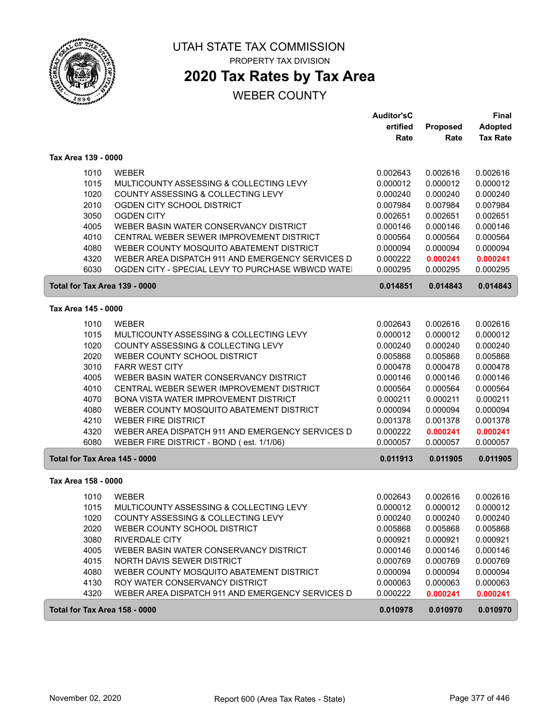

ſ

ſ

#### UTAH STATE TAX COMMISSION PROPERTY TAX DIVISION

## **2020 Tax Rates by Tax Area**

|                               |                                                                               | <b>Auditor'sC</b>    |                      | Final                             |  |
|-------------------------------|-------------------------------------------------------------------------------|----------------------|----------------------|-----------------------------------|--|
|                               |                                                                               | ertified<br>Rate     | Proposed<br>Rate     | <b>Adopted</b><br><b>Tax Rate</b> |  |
| Tax Area 139 - 0000           |                                                                               |                      |                      |                                   |  |
| 1010                          | <b>WEBER</b>                                                                  | 0.002643             | 0.002616             | 0.002616                          |  |
| 1015                          | MULTICOUNTY ASSESSING & COLLECTING LEVY                                       | 0.000012             | 0.000012             | 0.000012                          |  |
| 1020                          | COUNTY ASSESSING & COLLECTING LEVY                                            | 0.000240             | 0.000240             | 0.000240                          |  |
| 2010                          | OGDEN CITY SCHOOL DISTRICT                                                    | 0.007984             | 0.007984             | 0.007984                          |  |
| 3050                          | <b>OGDEN CITY</b>                                                             | 0.002651             | 0.002651             | 0.002651                          |  |
| 4005                          | WEBER BASIN WATER CONSERVANCY DISTRICT                                        | 0.000146             | 0.000146             | 0.000146                          |  |
| 4010                          | CENTRAL WEBER SEWER IMPROVEMENT DISTRICT                                      | 0.000564             | 0.000564             | 0.000564                          |  |
| 4080                          | WEBER COUNTY MOSQUITO ABATEMENT DISTRICT                                      | 0.000094             | 0.000094             | 0.000094                          |  |
| 4320                          | WEBER AREA DISPATCH 911 AND EMERGENCY SERVICES D                              | 0.000222             | 0.000241             | 0.000241                          |  |
| 6030                          | OGDEN CITY - SPECIAL LEVY TO PURCHASE WBWCD WATE!                             | 0.000295             | 0.000295             | 0.000295                          |  |
| Total for Tax Area 139 - 0000 |                                                                               | 0.014851             | 0.014843             | 0.014843                          |  |
| Tax Area 145 - 0000           |                                                                               |                      |                      |                                   |  |
|                               |                                                                               |                      |                      |                                   |  |
| 1010                          | <b>WEBER</b>                                                                  | 0.002643             | 0.002616             | 0.002616                          |  |
| 1015<br>1020                  | MULTICOUNTY ASSESSING & COLLECTING LEVY<br>COUNTY ASSESSING & COLLECTING LEVY | 0.000012             | 0.000012             | 0.000012                          |  |
| 2020                          | WEBER COUNTY SCHOOL DISTRICT                                                  | 0.000240<br>0.005868 | 0.000240<br>0.005868 | 0.000240<br>0.005868              |  |
| 3010                          | <b>FARR WEST CITY</b>                                                         | 0.000478             | 0.000478             | 0.000478                          |  |
| 4005                          | WEBER BASIN WATER CONSERVANCY DISTRICT                                        | 0.000146             | 0.000146             | 0.000146                          |  |
| 4010                          | CENTRAL WEBER SEWER IMPROVEMENT DISTRICT                                      | 0.000564             | 0.000564             | 0.000564                          |  |
| 4070                          | BONA VISTA WATER IMPROVEMENT DISTRICT                                         | 0.000211             | 0.000211             | 0.000211                          |  |
| 4080                          | WEBER COUNTY MOSQUITO ABATEMENT DISTRICT                                      | 0.000094             | 0.000094             | 0.000094                          |  |
| 4210                          | <b>WEBER FIRE DISTRICT</b>                                                    | 0.001378             | 0.001378             | 0.001378                          |  |
| 4320                          | WEBER AREA DISPATCH 911 AND EMERGENCY SERVICES D                              | 0.000222             | 0.000241             | 0.000241                          |  |
| 6080                          | WEBER FIRE DISTRICT - BOND (est. 1/1/06)                                      | 0.000057             | 0.000057             | 0.000057                          |  |
| Total for Tax Area 145 - 0000 |                                                                               | 0.011913             | 0.011905             | 0.011905                          |  |
| Tax Area 158 - 0000           |                                                                               |                      |                      |                                   |  |
|                               |                                                                               |                      |                      |                                   |  |
| 1010<br>1015                  | <b>WEBER</b><br>MULTICOUNTY ASSESSING & COLLECTING LEVY                       | 0.002643<br>0.000012 | 0.002616<br>0.000012 | 0.002616<br>0.000012              |  |
| 1020                          | COUNTY ASSESSING & COLLECTING LEVY                                            | 0.000240             | 0.000240             | 0.000240                          |  |
| 2020                          | WEBER COUNTY SCHOOL DISTRICT                                                  | 0.005868             | 0.005868             | 0.005868                          |  |
| 3080                          | <b>RIVERDALE CITY</b>                                                         | 0.000921             | 0.000921             | 0.000921                          |  |
| 4005                          | WEBER BASIN WATER CONSERVANCY DISTRICT                                        | 0.000146             | 0.000146             | 0.000146                          |  |
| 4015                          | NORTH DAVIS SEWER DISTRICT                                                    | 0.000769             | 0.000769             | 0.000769                          |  |
| 4080                          | WEBER COUNTY MOSQUITO ABATEMENT DISTRICT                                      | 0.000094             | 0.000094             | 0.000094                          |  |
| 4130                          | ROY WATER CONSERVANCY DISTRICT                                                | 0.000063             | 0.000063             | 0.000063                          |  |
| 4320                          | WEBER AREA DISPATCH 911 AND EMERGENCY SERVICES D                              | 0.000222             | 0.000241             | 0.000241                          |  |
| Total for Tax Area 158 - 0000 |                                                                               | 0.010978             | 0.010970             | 0.010970                          |  |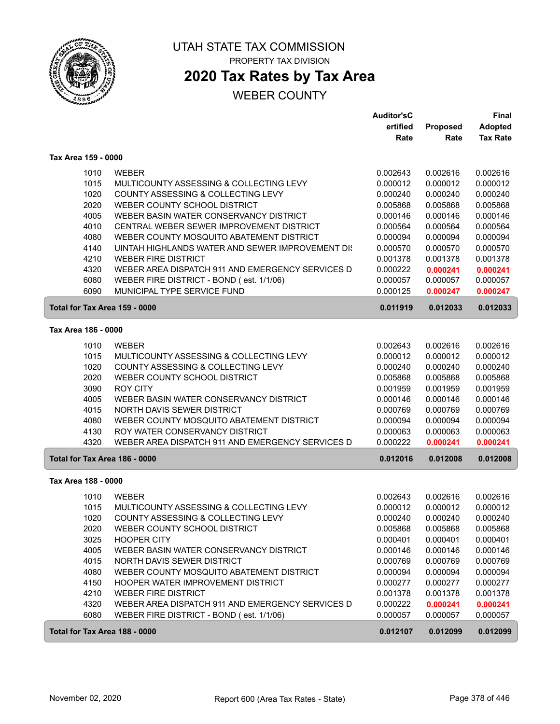

## **2020 Tax Rates by Tax Area**

|                               |                                                  | Auditor'sC |          | Final           |
|-------------------------------|--------------------------------------------------|------------|----------|-----------------|
|                               |                                                  | ertified   | Proposed | <b>Adopted</b>  |
|                               |                                                  | Rate       | Rate     | <b>Tax Rate</b> |
| Tax Area 159 - 0000           |                                                  |            |          |                 |
| 1010                          | <b>WEBER</b>                                     | 0.002643   | 0.002616 | 0.002616        |
| 1015                          | MULTICOUNTY ASSESSING & COLLECTING LEVY          | 0.000012   | 0.000012 | 0.000012        |
| 1020                          | COUNTY ASSESSING & COLLECTING LEVY               | 0.000240   | 0.000240 | 0.000240        |
| 2020                          | WEBER COUNTY SCHOOL DISTRICT                     | 0.005868   | 0.005868 | 0.005868        |
| 4005                          | WEBER BASIN WATER CONSERVANCY DISTRICT           | 0.000146   | 0.000146 | 0.000146        |
| 4010                          | CENTRAL WEBER SEWER IMPROVEMENT DISTRICT         | 0.000564   | 0.000564 | 0.000564        |
| 4080                          | WEBER COUNTY MOSQUITO ABATEMENT DISTRICT         | 0.000094   | 0.000094 | 0.000094        |
| 4140                          | UINTAH HIGHLANDS WATER AND SEWER IMPROVEMENT DIS | 0.000570   | 0.000570 | 0.000570        |
| 4210                          | <b>WEBER FIRE DISTRICT</b>                       | 0.001378   | 0.001378 | 0.001378        |
| 4320                          | WEBER AREA DISPATCH 911 AND EMERGENCY SERVICES D | 0.000222   | 0.000241 | 0.000241        |
| 6080                          | WEBER FIRE DISTRICT - BOND (est. 1/1/06)         | 0.000057   | 0.000057 | 0.000057        |
| 6090                          | MUNICIPAL TYPE SERVICE FUND                      |            |          |                 |
|                               |                                                  | 0.000125   | 0.000247 | 0.000247        |
| Total for Tax Area 159 - 0000 |                                                  | 0.011919   | 0.012033 | 0.012033        |
| Tax Area 186 - 0000           |                                                  |            |          |                 |
| 1010                          | <b>WEBER</b>                                     | 0.002643   | 0.002616 | 0.002616        |
| 1015                          | MULTICOUNTY ASSESSING & COLLECTING LEVY          | 0.000012   | 0.000012 | 0.000012        |
| 1020                          | COUNTY ASSESSING & COLLECTING LEVY               | 0.000240   | 0.000240 | 0.000240        |
| 2020                          | WEBER COUNTY SCHOOL DISTRICT                     | 0.005868   | 0.005868 | 0.005868        |
| 3090                          | <b>ROY CITY</b>                                  | 0.001959   | 0.001959 | 0.001959        |
| 4005                          | WEBER BASIN WATER CONSERVANCY DISTRICT           | 0.000146   | 0.000146 | 0.000146        |
| 4015                          | NORTH DAVIS SEWER DISTRICT                       | 0.000769   | 0.000769 | 0.000769        |
| 4080                          | WEBER COUNTY MOSQUITO ABATEMENT DISTRICT         | 0.000094   | 0.000094 | 0.000094        |
| 4130                          | ROY WATER CONSERVANCY DISTRICT                   | 0.000063   | 0.000063 | 0.000063        |
| 4320                          | WEBER AREA DISPATCH 911 AND EMERGENCY SERVICES D | 0.000222   | 0.000241 | 0.000241        |
| Total for Tax Area 186 - 0000 |                                                  | 0.012016   | 0.012008 | 0.012008        |
|                               |                                                  |            |          |                 |
| Tax Area 188 - 0000           |                                                  |            |          |                 |
| 1010                          | <b>WEBER</b>                                     | 0.002643   | 0.002616 | 0.002616        |
| 1015                          | MULTICOUNTY ASSESSING & COLLECTING LEVY          | 0.000012   | 0.000012 | 0.000012        |
| 1020                          | COUNTY ASSESSING & COLLECTING LEVY               | 0.000240   | 0.000240 | 0.000240        |
| 2020                          | WEBER COUNTY SCHOOL DISTRICT                     | 0.005868   | 0.005868 | 0.005868        |
| 3025                          | <b>HOOPER CITY</b>                               | 0.000401   | 0.000401 | 0.000401        |
| 4005                          | WEBER BASIN WATER CONSERVANCY DISTRICT           | 0.000146   | 0.000146 | 0.000146        |
| 4015                          | NORTH DAVIS SEWER DISTRICT                       | 0.000769   | 0.000769 | 0.000769        |
| 4080                          | WEBER COUNTY MOSQUITO ABATEMENT DISTRICT         | 0.000094   | 0.000094 | 0.000094        |
| 4150                          | HOOPER WATER IMPROVEMENT DISTRICT                | 0.000277   | 0.000277 | 0.000277        |
| 4210                          | <b>WEBER FIRE DISTRICT</b>                       | 0.001378   | 0.001378 | 0.001378        |
| 4320                          | WEBER AREA DISPATCH 911 AND EMERGENCY SERVICES D | 0.000222   | 0.000241 | 0.000241        |
| 6080                          | WEBER FIRE DISTRICT - BOND (est. 1/1/06)         | 0.000057   | 0.000057 | 0.000057        |
| Total for Tax Area 188 - 0000 |                                                  | 0.012107   | 0.012099 | 0.012099        |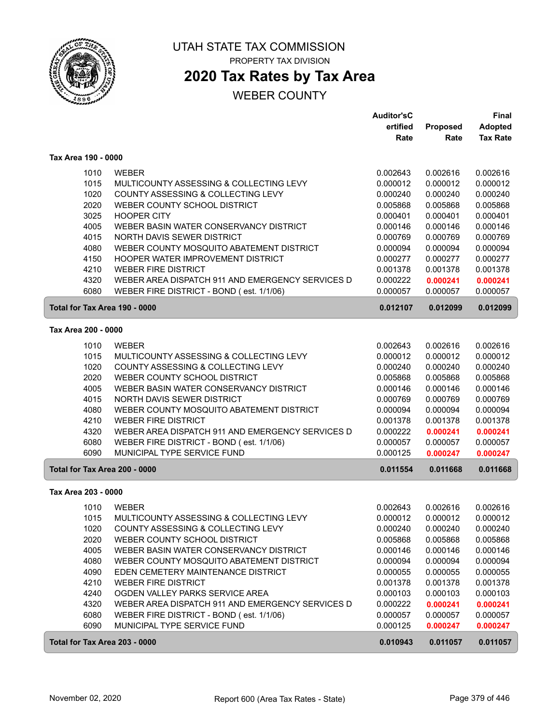

## **2020 Tax Rates by Tax Area**

|                               |                                                  | <b>Auditor'sC</b> |                 | <b>Final</b>    |
|-------------------------------|--------------------------------------------------|-------------------|-----------------|-----------------|
|                               |                                                  | ertified          | <b>Proposed</b> | <b>Adopted</b>  |
|                               |                                                  | Rate              | Rate            | <b>Tax Rate</b> |
| Tax Area 190 - 0000           |                                                  |                   |                 |                 |
| 1010                          | <b>WEBER</b>                                     | 0.002643          | 0.002616        | 0.002616        |
| 1015                          | MULTICOUNTY ASSESSING & COLLECTING LEVY          | 0.000012          | 0.000012        | 0.000012        |
| 1020                          | COUNTY ASSESSING & COLLECTING LEVY               | 0.000240          | 0.000240        | 0.000240        |
| 2020                          | WEBER COUNTY SCHOOL DISTRICT                     | 0.005868          | 0.005868        | 0.005868        |
| 3025                          | <b>HOOPER CITY</b>                               | 0.000401          | 0.000401        | 0.000401        |
| 4005                          | WEBER BASIN WATER CONSERVANCY DISTRICT           | 0.000146          | 0.000146        | 0.000146        |
| 4015                          | NORTH DAVIS SEWER DISTRICT                       | 0.000769          | 0.000769        | 0.000769        |
| 4080                          | WEBER COUNTY MOSQUITO ABATEMENT DISTRICT         | 0.000094          | 0.000094        | 0.000094        |
| 4150                          | HOOPER WATER IMPROVEMENT DISTRICT                | 0.000277          | 0.000277        | 0.000277        |
| 4210                          | <b>WEBER FIRE DISTRICT</b>                       | 0.001378          | 0.001378        | 0.001378        |
| 4320                          | WEBER AREA DISPATCH 911 AND EMERGENCY SERVICES D | 0.000222          | 0.000241        | 0.000241        |
| 6080                          | WEBER FIRE DISTRICT - BOND (est. 1/1/06)         | 0.000057          | 0.000057        | 0.000057        |
| Total for Tax Area 190 - 0000 |                                                  | 0.012107          | 0.012099        | 0.012099        |
|                               |                                                  |                   |                 |                 |
| Tax Area 200 - 0000           |                                                  |                   |                 |                 |
| 1010                          | <b>WEBER</b>                                     | 0.002643          | 0.002616        | 0.002616        |
| 1015                          | MULTICOUNTY ASSESSING & COLLECTING LEVY          | 0.000012          | 0.000012        | 0.000012        |
| 1020                          | COUNTY ASSESSING & COLLECTING LEVY               | 0.000240          | 0.000240        | 0.000240        |
| 2020                          | WEBER COUNTY SCHOOL DISTRICT                     | 0.005868          | 0.005868        | 0.005868        |
| 4005                          | WEBER BASIN WATER CONSERVANCY DISTRICT           | 0.000146          | 0.000146        | 0.000146        |
| 4015                          | NORTH DAVIS SEWER DISTRICT                       | 0.000769          | 0.000769        | 0.000769        |
| 4080                          | WEBER COUNTY MOSQUITO ABATEMENT DISTRICT         | 0.000094          | 0.000094        | 0.000094        |
| 4210                          | <b>WEBER FIRE DISTRICT</b>                       | 0.001378          | 0.001378        | 0.001378        |
| 4320                          | WEBER AREA DISPATCH 911 AND EMERGENCY SERVICES D | 0.000222          | 0.000241        | 0.000241        |
| 6080                          | WEBER FIRE DISTRICT - BOND (est. 1/1/06)         | 0.000057          | 0.000057        | 0.000057        |
| 6090                          | MUNICIPAL TYPE SERVICE FUND                      | 0.000125          | 0.000247        | 0.000247        |
| Total for Tax Area 200 - 0000 |                                                  | 0.011554          | 0.011668        | 0.011668        |
| Tax Area 203 - 0000           |                                                  |                   |                 |                 |
| 1010                          | <b>WEBER</b>                                     | 0.002643          | 0.002616        | 0.002616        |
| 1015                          | MULTICOUNTY ASSESSING & COLLECTING LEVY          | 0.000012          | 0.000012        | 0.000012        |
| 1020                          | COUNTY ASSESSING & COLLECTING LEVY               | 0.000240          | 0.000240        | 0.000240        |
| 2020                          | WEBER COUNTY SCHOOL DISTRICT                     | 0.005868          | 0.005868        | 0.005868        |
| 4005                          | WEBER BASIN WATER CONSERVANCY DISTRICT           | 0.000146          | 0.000146        | 0.000146        |
| 4080                          | WEBER COUNTY MOSQUITO ABATEMENT DISTRICT         | 0.000094          | 0.000094        | 0.000094        |
| 4090                          | EDEN CEMETERY MAINTENANCE DISTRICT               | 0.000055          | 0.000055        | 0.000055        |
| 4210                          | <b>WEBER FIRE DISTRICT</b>                       | 0.001378          | 0.001378        | 0.001378        |
| 4240                          | OGDEN VALLEY PARKS SERVICE AREA                  | 0.000103          | 0.000103        | 0.000103        |
| 4320                          | WEBER AREA DISPATCH 911 AND EMERGENCY SERVICES D | 0.000222          | 0.000241        | 0.000241        |
| 6080                          | WEBER FIRE DISTRICT - BOND (est. 1/1/06)         | 0.000057          | 0.000057        | 0.000057        |
| 6090                          | MUNICIPAL TYPE SERVICE FUND                      | 0.000125          | 0.000247        | 0.000247        |
| Total for Tax Area 203 - 0000 |                                                  | 0.010943          | 0.011057        | 0.011057        |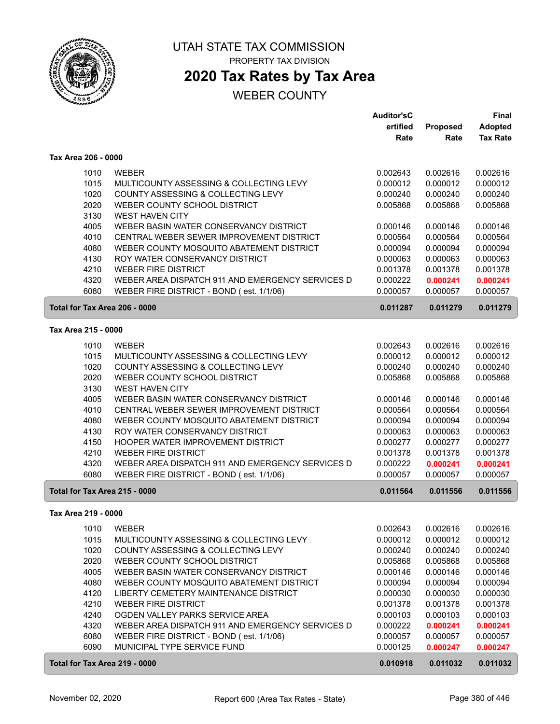

# **2020 Tax Rates by Tax Area**

|                               |                                                  | <b>Auditor'sC</b>    |          | <b>Final</b>    |
|-------------------------------|--------------------------------------------------|----------------------|----------|-----------------|
|                               |                                                  | ertified             | Proposed | <b>Adopted</b>  |
|                               |                                                  | Rate                 | Rate     | <b>Tax Rate</b> |
| Tax Area 206 - 0000           |                                                  |                      |          |                 |
| 1010                          | <b>WEBER</b>                                     | 0.002643             | 0.002616 | 0.002616        |
| 1015                          | MULTICOUNTY ASSESSING & COLLECTING LEVY          | 0.000012             | 0.000012 | 0.000012        |
| 1020                          | COUNTY ASSESSING & COLLECTING LEVY               | 0.000240             | 0.000240 | 0.000240        |
| 2020                          | WEBER COUNTY SCHOOL DISTRICT                     | 0.005868             | 0.005868 | 0.005868        |
| 3130                          | <b>WEST HAVEN CITY</b>                           |                      |          |                 |
| 4005                          | WEBER BASIN WATER CONSERVANCY DISTRICT           | 0.000146             | 0.000146 | 0.000146        |
| 4010                          | CENTRAL WEBER SEWER IMPROVEMENT DISTRICT         | 0.000564             | 0.000564 | 0.000564        |
| 4080                          | WEBER COUNTY MOSQUITO ABATEMENT DISTRICT         | 0.000094             | 0.000094 | 0.000094        |
| 4130                          | ROY WATER CONSERVANCY DISTRICT                   | 0.000063             | 0.000063 | 0.000063        |
|                               |                                                  |                      |          |                 |
| 4210                          | <b>WEBER FIRE DISTRICT</b>                       | 0.001378             | 0.001378 | 0.001378        |
| 4320                          | WEBER AREA DISPATCH 911 AND EMERGENCY SERVICES D | 0.000222             | 0.000241 | 0.000241        |
| 6080                          | WEBER FIRE DISTRICT - BOND (est. 1/1/06)         | 0.000057             | 0.000057 | 0.000057        |
| Total for Tax Area 206 - 0000 |                                                  | 0.011287             | 0.011279 | 0.011279        |
| Tax Area 215 - 0000           |                                                  |                      |          |                 |
| 1010                          | <b>WEBER</b>                                     | 0.002643             | 0.002616 | 0.002616        |
|                               | MULTICOUNTY ASSESSING & COLLECTING LEVY          |                      |          |                 |
| 1015                          |                                                  | 0.000012<br>0.000240 | 0.000012 | 0.000012        |
| 1020                          | COUNTY ASSESSING & COLLECTING LEVY               |                      | 0.000240 | 0.000240        |
| 2020                          | WEBER COUNTY SCHOOL DISTRICT                     | 0.005868             | 0.005868 | 0.005868        |
| 3130                          | <b>WEST HAVEN CITY</b>                           |                      |          |                 |
| 4005                          | WEBER BASIN WATER CONSERVANCY DISTRICT           | 0.000146             | 0.000146 | 0.000146        |
| 4010                          | CENTRAL WEBER SEWER IMPROVEMENT DISTRICT         | 0.000564             | 0.000564 | 0.000564        |
| 4080                          | WEBER COUNTY MOSQUITO ABATEMENT DISTRICT         | 0.000094             | 0.000094 | 0.000094        |
| 4130                          | ROY WATER CONSERVANCY DISTRICT                   | 0.000063             | 0.000063 | 0.000063        |
| 4150                          | HOOPER WATER IMPROVEMENT DISTRICT                | 0.000277             | 0.000277 | 0.000277        |
| 4210                          | <b>WEBER FIRE DISTRICT</b>                       | 0.001378             | 0.001378 | 0.001378        |
| 4320                          | WEBER AREA DISPATCH 911 AND EMERGENCY SERVICES D | 0.000222             | 0.000241 | 0.000241        |
| 6080                          | WEBER FIRE DISTRICT - BOND (est. 1/1/06)         | 0.000057             | 0.000057 | 0.000057        |
| Total for Tax Area 215 - 0000 |                                                  | 0.011564             | 0.011556 | 0.011556        |
| Tax Area 219 - 0000           |                                                  |                      |          |                 |
|                               |                                                  |                      |          |                 |
| 1010                          | WEBER                                            | 0.002643             | 0.002616 | 0.002616        |
| 1015                          | MULTICOUNTY ASSESSING & COLLECTING LEVY          | 0.000012             | 0.000012 | 0.000012        |
| 1020                          | COUNTY ASSESSING & COLLECTING LEVY               | 0.000240             | 0.000240 | 0.000240        |
| 2020                          | WEBER COUNTY SCHOOL DISTRICT                     | 0.005868             | 0.005868 | 0.005868        |
| 4005                          | WEBER BASIN WATER CONSERVANCY DISTRICT           | 0.000146             | 0.000146 | 0.000146        |
| 4080                          | WEBER COUNTY MOSQUITO ABATEMENT DISTRICT         | 0.000094             | 0.000094 | 0.000094        |
| 4120                          | LIBERTY CEMETERY MAINTENANCE DISTRICT            | 0.000030             | 0.000030 | 0.000030        |
| 4210                          | WEBER FIRE DISTRICT                              | 0.001378             | 0.001378 | 0.001378        |
| 4240                          | OGDEN VALLEY PARKS SERVICE AREA                  | 0.000103             | 0.000103 | 0.000103        |
| 4320                          | WEBER AREA DISPATCH 911 AND EMERGENCY SERVICES D | 0.000222             | 0.000241 | 0.000241        |
| 6080                          | WEBER FIRE DISTRICT - BOND (est. 1/1/06)         | 0.000057             | 0.000057 | 0.000057        |
| 6090                          | MUNICIPAL TYPE SERVICE FUND                      | 0.000125             | 0.000247 | 0.000247        |
| Total for Tax Area 219 - 0000 |                                                  | 0.010918             | 0.011032 | 0.011032        |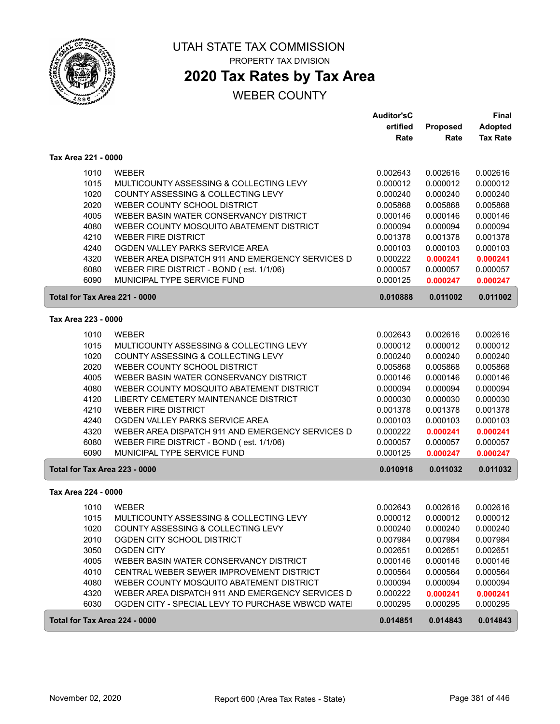

## **2020 Tax Rates by Tax Area**

|                               |                                                  | <b>Auditor'sC</b> |          | <b>Final</b>    |
|-------------------------------|--------------------------------------------------|-------------------|----------|-----------------|
|                               |                                                  | ertified          | Proposed | <b>Adopted</b>  |
|                               |                                                  | Rate              | Rate     | <b>Tax Rate</b> |
| Tax Area 221 - 0000           |                                                  |                   |          |                 |
| 1010                          | <b>WEBER</b>                                     | 0.002643          | 0.002616 | 0.002616        |
| 1015                          | MULTICOUNTY ASSESSING & COLLECTING LEVY          | 0.000012          | 0.000012 | 0.000012        |
| 1020                          | COUNTY ASSESSING & COLLECTING LEVY               | 0.000240          | 0.000240 | 0.000240        |
| 2020                          | WEBER COUNTY SCHOOL DISTRICT                     | 0.005868          | 0.005868 | 0.005868        |
| 4005                          | WEBER BASIN WATER CONSERVANCY DISTRICT           | 0.000146          | 0.000146 | 0.000146        |
| 4080                          | WEBER COUNTY MOSQUITO ABATEMENT DISTRICT         | 0.000094          | 0.000094 | 0.000094        |
| 4210                          | <b>WEBER FIRE DISTRICT</b>                       | 0.001378          | 0.001378 | 0.001378        |
| 4240                          | OGDEN VALLEY PARKS SERVICE AREA                  | 0.000103          | 0.000103 | 0.000103        |
| 4320                          | WEBER AREA DISPATCH 911 AND EMERGENCY SERVICES D | 0.000222          | 0.000241 | 0.000241        |
| 6080                          | WEBER FIRE DISTRICT - BOND (est. 1/1/06)         | 0.000057          | 0.000057 | 0.000057        |
| 6090                          | MUNICIPAL TYPE SERVICE FUND                      | 0.000125          | 0.000247 | 0.000247        |
| Total for Tax Area 221 - 0000 |                                                  | 0.010888          | 0.011002 | 0.011002        |
| Tax Area 223 - 0000           |                                                  |                   |          |                 |
| 1010                          | <b>WEBER</b>                                     | 0.002643          | 0.002616 | 0.002616        |
| 1015                          | MULTICOUNTY ASSESSING & COLLECTING LEVY          | 0.000012          | 0.000012 | 0.000012        |
| 1020                          | COUNTY ASSESSING & COLLECTING LEVY               | 0.000240          | 0.000240 | 0.000240        |
| 2020                          | WEBER COUNTY SCHOOL DISTRICT                     | 0.005868          | 0.005868 | 0.005868        |
| 4005                          | WEBER BASIN WATER CONSERVANCY DISTRICT           | 0.000146          | 0.000146 | 0.000146        |
| 4080                          | WEBER COUNTY MOSQUITO ABATEMENT DISTRICT         | 0.000094          | 0.000094 | 0.000094        |
| 4120                          | LIBERTY CEMETERY MAINTENANCE DISTRICT            | 0.000030          | 0.000030 | 0.000030        |
| 4210                          | <b>WEBER FIRE DISTRICT</b>                       | 0.001378          | 0.001378 | 0.001378        |
| 4240                          | OGDEN VALLEY PARKS SERVICE AREA                  | 0.000103          | 0.000103 | 0.000103        |
| 4320                          | WEBER AREA DISPATCH 911 AND EMERGENCY SERVICES D | 0.000222          | 0.000241 | 0.000241        |
| 6080                          | WEBER FIRE DISTRICT - BOND (est. 1/1/06)         | 0.000057          | 0.000057 | 0.000057        |
| 6090                          | MUNICIPAL TYPE SERVICE FUND                      | 0.000125          | 0.000247 | 0.000247        |
| Total for Tax Area 223 - 0000 |                                                  | 0.010918          | 0.011032 | 0.011032        |
| Tax Area 224 - 0000           |                                                  |                   |          |                 |
| 1010                          | <b>WEBER</b>                                     | 0.002643          | 0.002616 | 0.002616        |
| 1015                          | MULTICOUNTY ASSESSING & COLLECTING LEVY          | 0.000012          | 0.000012 | 0.000012        |
| 1020                          | COUNTY ASSESSING & COLLECTING LEVY               | 0.000240          | 0.000240 | 0.000240        |
| 2010                          | OGDEN CITY SCHOOL DISTRICT                       | 0.007984          | 0.007984 | 0.007984        |
| 3050                          | <b>OGDEN CITY</b>                                | 0.002651          | 0.002651 | 0.002651        |
| 4005                          | WEBER BASIN WATER CONSERVANCY DISTRICT           | 0.000146          | 0.000146 | 0.000146        |
| 4010                          | CENTRAL WEBER SEWER IMPROVEMENT DISTRICT         | 0.000564          | 0.000564 | 0.000564        |
| 4080                          | WEBER COUNTY MOSQUITO ABATEMENT DISTRICT         | 0.000094          | 0.000094 | 0.000094        |
| 4320                          | WEBER AREA DISPATCH 911 AND EMERGENCY SERVICES D | 0.000222          | 0.000241 | 0.000241        |
| 6030                          | OGDEN CITY - SPECIAL LEVY TO PURCHASE WBWCD WATE | 0.000295          | 0.000295 | 0.000295        |
| Total for Tax Area 224 - 0000 |                                                  | 0.014851          | 0.014843 | 0.014843        |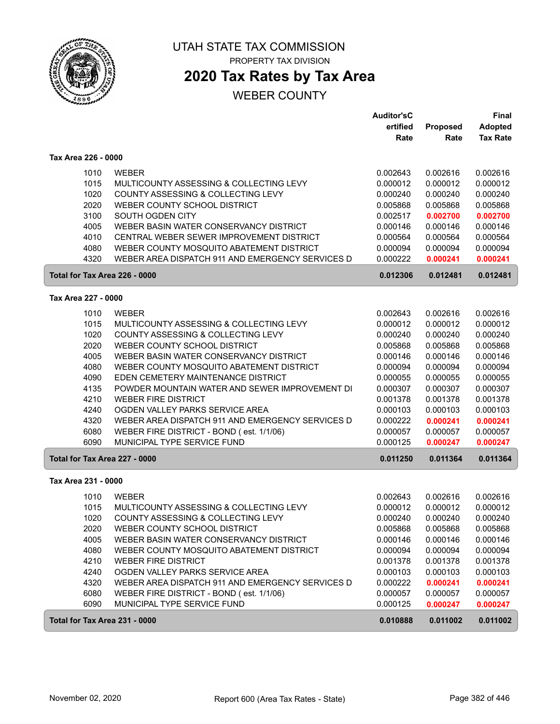

## **2020 Tax Rates by Tax Area**

|                               |                                                  | <b>Auditor'sC</b> |          | <b>Final</b>    |
|-------------------------------|--------------------------------------------------|-------------------|----------|-----------------|
|                               |                                                  | ertified          | Proposed | <b>Adopted</b>  |
|                               |                                                  | Rate              | Rate     | <b>Tax Rate</b> |
| Tax Area 226 - 0000           |                                                  |                   |          |                 |
| 1010                          | <b>WEBER</b>                                     | 0.002643          | 0.002616 | 0.002616        |
| 1015                          | MULTICOUNTY ASSESSING & COLLECTING LEVY          | 0.000012          | 0.000012 | 0.000012        |
| 1020                          | COUNTY ASSESSING & COLLECTING LEVY               | 0.000240          | 0.000240 | 0.000240        |
| 2020                          | WEBER COUNTY SCHOOL DISTRICT                     | 0.005868          | 0.005868 | 0.005868        |
| 3100                          | SOUTH OGDEN CITY                                 | 0.002517          | 0.002700 | 0.002700        |
| 4005                          | WEBER BASIN WATER CONSERVANCY DISTRICT           | 0.000146          | 0.000146 | 0.000146        |
| 4010                          | CENTRAL WEBER SEWER IMPROVEMENT DISTRICT         | 0.000564          | 0.000564 | 0.000564        |
| 4080                          | WEBER COUNTY MOSQUITO ABATEMENT DISTRICT         | 0.000094          | 0.000094 | 0.000094        |
| 4320                          | WEBER AREA DISPATCH 911 AND EMERGENCY SERVICES D | 0.000222          | 0.000241 | 0.000241        |
| Total for Tax Area 226 - 0000 |                                                  | 0.012306          | 0.012481 | 0.012481        |
| Tax Area 227 - 0000           |                                                  |                   |          |                 |
| 1010                          | <b>WEBER</b>                                     | 0.002643          | 0.002616 | 0.002616        |
| 1015                          | MULTICOUNTY ASSESSING & COLLECTING LEVY          | 0.000012          | 0.000012 | 0.000012        |
| 1020                          | COUNTY ASSESSING & COLLECTING LEVY               | 0.000240          | 0.000240 | 0.000240        |
| 2020                          | WEBER COUNTY SCHOOL DISTRICT                     | 0.005868          | 0.005868 | 0.005868        |
| 4005                          | WEBER BASIN WATER CONSERVANCY DISTRICT           | 0.000146          | 0.000146 | 0.000146        |
| 4080                          | WEBER COUNTY MOSQUITO ABATEMENT DISTRICT         | 0.000094          | 0.000094 | 0.000094        |
| 4090                          | EDEN CEMETERY MAINTENANCE DISTRICT               | 0.000055          | 0.000055 | 0.000055        |
| 4135                          | POWDER MOUNTAIN WATER AND SEWER IMPROVEMENT DI   | 0.000307          | 0.000307 | 0.000307        |
| 4210                          | <b>WEBER FIRE DISTRICT</b>                       | 0.001378          | 0.001378 | 0.001378        |
| 4240                          | OGDEN VALLEY PARKS SERVICE AREA                  | 0.000103          | 0.000103 | 0.000103        |
| 4320                          | WEBER AREA DISPATCH 911 AND EMERGENCY SERVICES D | 0.000222          | 0.000241 | 0.000241        |
| 6080                          | WEBER FIRE DISTRICT - BOND (est. 1/1/06)         | 0.000057          | 0.000057 | 0.000057        |
| 6090                          | MUNICIPAL TYPE SERVICE FUND                      | 0.000125          | 0.000247 | 0.000247        |
| Total for Tax Area 227 - 0000 |                                                  | 0.011250          | 0.011364 | 0.011364        |
| Tax Area 231 - 0000           |                                                  |                   |          |                 |
| 1010                          | <b>WEBER</b>                                     | 0.002643          | 0.002616 | 0.002616        |
| 1015                          | MULTICOUNTY ASSESSING & COLLECTING LEVY          | 0.000012          | 0.000012 | 0.000012        |
| 1020                          | COUNTY ASSESSING & COLLECTING LEVY               | 0.000240          | 0.000240 | 0.000240        |
| 2020                          | WEBER COUNTY SCHOOL DISTRICT                     | 0.005868          | 0.005868 | 0.005868        |
| 4005                          | WEBER BASIN WATER CONSERVANCY DISTRICT           | 0.000146          | 0.000146 | 0.000146        |
| 4080                          | WEBER COUNTY MOSQUITO ABATEMENT DISTRICT         | 0.000094          | 0.000094 | 0.000094        |
| 4210                          | <b>WEBER FIRE DISTRICT</b>                       | 0.001378          | 0.001378 | 0.001378        |
| 4240                          | OGDEN VALLEY PARKS SERVICE AREA                  | 0.000103          | 0.000103 | 0.000103        |
| 4320                          | WEBER AREA DISPATCH 911 AND EMERGENCY SERVICES D | 0.000222          | 0.000241 | 0.000241        |
| 6080                          | WEBER FIRE DISTRICT - BOND (est. 1/1/06)         | 0.000057          | 0.000057 | 0.000057        |
| 6090                          | MUNICIPAL TYPE SERVICE FUND                      | 0.000125          | 0.000247 | 0.000247        |
| Total for Tax Area 231 - 0000 |                                                  | 0.010888          | 0.011002 | 0.011002        |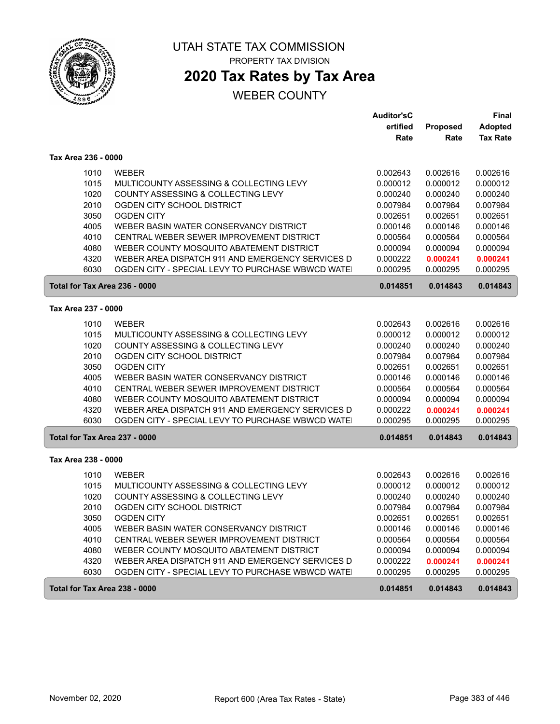

# **2020 Tax Rates by Tax Area**

|                               |                                                  | <b>Auditor'sC</b> |          | <b>Final</b>    |
|-------------------------------|--------------------------------------------------|-------------------|----------|-----------------|
|                               |                                                  | ertified          | Proposed | <b>Adopted</b>  |
|                               |                                                  | Rate              | Rate     | <b>Tax Rate</b> |
| Tax Area 236 - 0000           |                                                  |                   |          |                 |
| 1010                          | <b>WEBER</b>                                     | 0.002643          | 0.002616 | 0.002616        |
| 1015                          | MULTICOUNTY ASSESSING & COLLECTING LEVY          | 0.000012          | 0.000012 | 0.000012        |
| 1020                          | COUNTY ASSESSING & COLLECTING LEVY               | 0.000240          | 0.000240 | 0.000240        |
| 2010                          | OGDEN CITY SCHOOL DISTRICT                       | 0.007984          | 0.007984 | 0.007984        |
| 3050                          | <b>OGDEN CITY</b>                                | 0.002651          | 0.002651 | 0.002651        |
| 4005                          | WEBER BASIN WATER CONSERVANCY DISTRICT           | 0.000146          | 0.000146 | 0.000146        |
| 4010                          | CENTRAL WEBER SEWER IMPROVEMENT DISTRICT         | 0.000564          | 0.000564 | 0.000564        |
| 4080                          | WEBER COUNTY MOSQUITO ABATEMENT DISTRICT         | 0.000094          | 0.000094 | 0.000094        |
| 4320                          | WEBER AREA DISPATCH 911 AND EMERGENCY SERVICES D | 0.000222          | 0.000241 | 0.000241        |
| 6030                          | OGDEN CITY - SPECIAL LEVY TO PURCHASE WBWCD WATE | 0.000295          | 0.000295 | 0.000295        |
| Total for Tax Area 236 - 0000 |                                                  | 0.014851          | 0.014843 | 0.014843        |
| Tax Area 237 - 0000           |                                                  |                   |          |                 |
| 1010                          | <b>WEBER</b>                                     | 0.002643          | 0.002616 | 0.002616        |
| 1015                          | MULTICOUNTY ASSESSING & COLLECTING LEVY          | 0.000012          | 0.000012 | 0.000012        |
| 1020                          | COUNTY ASSESSING & COLLECTING LEVY               | 0.000240          | 0.000240 | 0.000240        |
| 2010                          | OGDEN CITY SCHOOL DISTRICT                       | 0.007984          | 0.007984 | 0.007984        |
| 3050                          | <b>OGDEN CITY</b>                                | 0.002651          | 0.002651 | 0.002651        |
| 4005                          | WEBER BASIN WATER CONSERVANCY DISTRICT           | 0.000146          | 0.000146 | 0.000146        |
| 4010                          | CENTRAL WEBER SEWER IMPROVEMENT DISTRICT         | 0.000564          | 0.000564 | 0.000564        |
| 4080                          | WEBER COUNTY MOSQUITO ABATEMENT DISTRICT         | 0.000094          | 0.000094 | 0.000094        |
| 4320                          | WEBER AREA DISPATCH 911 AND EMERGENCY SERVICES D | 0.000222          | 0.000241 | 0.000241        |
| 6030                          | OGDEN CITY - SPECIAL LEVY TO PURCHASE WBWCD WATE | 0.000295          | 0.000295 | 0.000295        |
| Total for Tax Area 237 - 0000 |                                                  | 0.014851          | 0.014843 | 0.014843        |
| Tax Area 238 - 0000           |                                                  |                   |          |                 |
|                               |                                                  |                   |          |                 |
| 1010                          | <b>WEBER</b>                                     | 0.002643          | 0.002616 | 0.002616        |
| 1015                          | MULTICOUNTY ASSESSING & COLLECTING LEVY          | 0.000012          | 0.000012 | 0.000012        |
| 1020                          | COUNTY ASSESSING & COLLECTING LEVY               | 0.000240          | 0.000240 | 0.000240        |
| 2010                          | OGDEN CITY SCHOOL DISTRICT                       | 0.007984          | 0.007984 | 0.007984        |
| 3050                          | <b>OGDEN CITY</b>                                | 0.002651          | 0.002651 | 0.002651        |
| 4005                          | WEBER BASIN WATER CONSERVANCY DISTRICT           | 0.000146          | 0.000146 | 0.000146        |
| 4010                          | CENTRAL WEBER SEWER IMPROVEMENT DISTRICT         | 0.000564          | 0.000564 | 0.000564        |
| 4080                          | WEBER COUNTY MOSQUITO ABATEMENT DISTRICT         | 0.000094          | 0.000094 | 0.000094        |
| 4320                          | WEBER AREA DISPATCH 911 AND EMERGENCY SERVICES D | 0.000222          | 0.000241 | 0.000241        |
| 6030                          | OGDEN CITY - SPECIAL LEVY TO PURCHASE WBWCD WATE | 0.000295          | 0.000295 | 0.000295        |
| Total for Tax Area 238 - 0000 |                                                  | 0.014851          | 0.014843 | 0.014843        |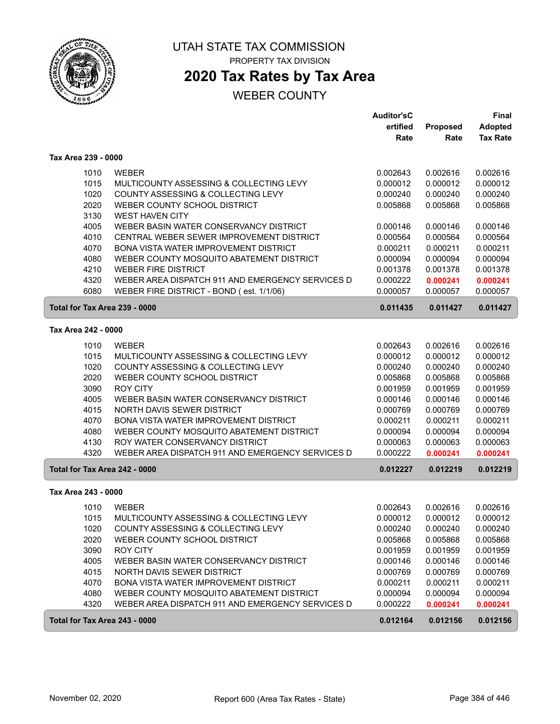

## **2020 Tax Rates by Tax Area**

|                     |                                                  | <b>Auditor'sC</b> |                 | <b>Final</b>    |
|---------------------|--------------------------------------------------|-------------------|-----------------|-----------------|
|                     |                                                  | ertified          | <b>Proposed</b> | <b>Adopted</b>  |
|                     |                                                  | Rate              | Rate            | <b>Tax Rate</b> |
| Tax Area 239 - 0000 |                                                  |                   |                 |                 |
| 1010                | <b>WEBER</b>                                     | 0.002643          | 0.002616        | 0.002616        |
| 1015                | MULTICOUNTY ASSESSING & COLLECTING LEVY          | 0.000012          | 0.000012        | 0.000012        |
| 1020                | COUNTY ASSESSING & COLLECTING LEVY               | 0.000240          | 0.000240        | 0.000240        |
| 2020                | WEBER COUNTY SCHOOL DISTRICT                     | 0.005868          | 0.005868        | 0.005868        |
| 3130                | <b>WEST HAVEN CITY</b>                           |                   |                 |                 |
| 4005                | WEBER BASIN WATER CONSERVANCY DISTRICT           | 0.000146          | 0.000146        | 0.000146        |
| 4010                | CENTRAL WEBER SEWER IMPROVEMENT DISTRICT         | 0.000564          | 0.000564        | 0.000564        |
| 4070                | BONA VISTA WATER IMPROVEMENT DISTRICT            | 0.000211          | 0.000211        | 0.000211        |
| 4080                | WEBER COUNTY MOSQUITO ABATEMENT DISTRICT         | 0.000094          | 0.000094        | 0.000094        |
| 4210                | <b>WEBER FIRE DISTRICT</b>                       | 0.001378          | 0.001378        | 0.001378        |
| 4320                | WEBER AREA DISPATCH 911 AND EMERGENCY SERVICES D | 0.000222          | 0.000241        | 0.000241        |
| 6080                | WEBER FIRE DISTRICT - BOND (est. 1/1/06)         | 0.000057          | 0.000057        | 0.000057        |
|                     | Total for Tax Area 239 - 0000                    | 0.011435          | 0.011427        | 0.011427        |
| Tax Area 242 - 0000 |                                                  |                   |                 |                 |
| 1010                | <b>WEBER</b>                                     | 0.002643          | 0.002616        | 0.002616        |
| 1015                | MULTICOUNTY ASSESSING & COLLECTING LEVY          | 0.000012          | 0.000012        | 0.000012        |
| 1020                | COUNTY ASSESSING & COLLECTING LEVY               | 0.000240          | 0.000240        | 0.000240        |
| 2020                | WEBER COUNTY SCHOOL DISTRICT                     | 0.005868          | 0.005868        | 0.005868        |
| 3090                | <b>ROY CITY</b>                                  | 0.001959          | 0.001959        | 0.001959        |
| 4005                | WEBER BASIN WATER CONSERVANCY DISTRICT           | 0.000146          | 0.000146        | 0.000146        |
| 4015                | NORTH DAVIS SEWER DISTRICT                       | 0.000769          | 0.000769        | 0.000769        |
| 4070                | BONA VISTA WATER IMPROVEMENT DISTRICT            | 0.000211          | 0.000211        | 0.000211        |
| 4080                | WEBER COUNTY MOSQUITO ABATEMENT DISTRICT         | 0.000094          | 0.000094        | 0.000094        |
| 4130                | ROY WATER CONSERVANCY DISTRICT                   | 0.000063          | 0.000063        | 0.000063        |
| 4320                | WEBER AREA DISPATCH 911 AND EMERGENCY SERVICES D | 0.000222          | 0.000241        | 0.000241        |
|                     | Total for Tax Area 242 - 0000                    | 0.012227          | 0.012219        | 0.012219        |
| Tax Area 243 - 0000 |                                                  |                   |                 |                 |
| 1010                | <b>WEBER</b>                                     | 0.002643          | 0.002616        | 0.002616        |
| 1015                | MULTICOUNTY ASSESSING & COLLECTING LEVY          | 0.000012          | 0.000012        | 0.000012        |
| 1020                | COUNTY ASSESSING & COLLECTING LEVY               | 0.000240          | 0.000240        | 0.000240        |
| 2020                | WEBER COUNTY SCHOOL DISTRICT                     | 0.005868          | 0.005868        | 0.005868        |
| 3090                | ROY CITY                                         | 0.001959          | 0.001959        | 0.001959        |
| 4005                | WEBER BASIN WATER CONSERVANCY DISTRICT           | 0.000146          | 0.000146        | 0.000146        |
| 4015                | NORTH DAVIS SEWER DISTRICT                       | 0.000769          | 0.000769        | 0.000769        |
| 4070                | BONA VISTA WATER IMPROVEMENT DISTRICT            | 0.000211          | 0.000211        | 0.000211        |
| 4080                | WEBER COUNTY MOSQUITO ABATEMENT DISTRICT         | 0.000094          | 0.000094        | 0.000094        |
| 4320                | WEBER AREA DISPATCH 911 AND EMERGENCY SERVICES D | 0.000222          | 0.000241        | 0.000241        |
|                     | Total for Tax Area 243 - 0000                    | 0.012164          | 0.012156        | 0.012156        |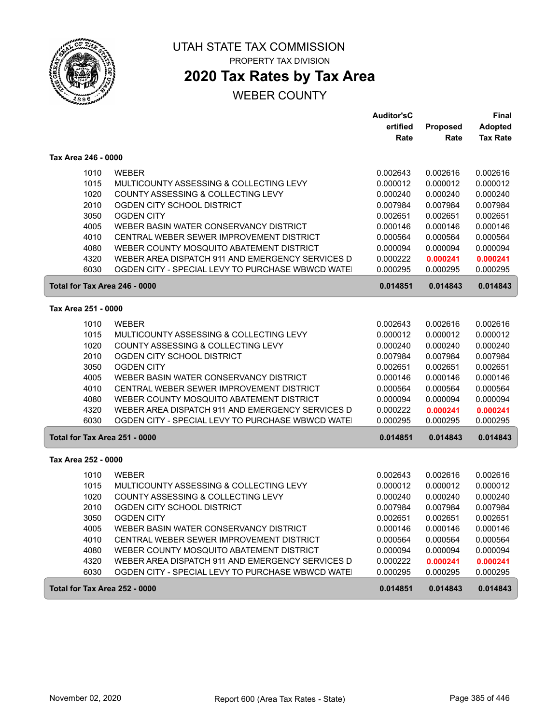

# **2020 Tax Rates by Tax Area**

|                               |                                                  | <b>Auditor'sC</b> |          | <b>Final</b>    |
|-------------------------------|--------------------------------------------------|-------------------|----------|-----------------|
|                               |                                                  | ertified          | Proposed | <b>Adopted</b>  |
|                               |                                                  | Rate              | Rate     | <b>Tax Rate</b> |
|                               |                                                  |                   |          |                 |
| Tax Area 246 - 0000           |                                                  |                   |          |                 |
| 1010                          | <b>WEBER</b>                                     | 0.002643          | 0.002616 | 0.002616        |
| 1015                          | MULTICOUNTY ASSESSING & COLLECTING LEVY          | 0.000012          | 0.000012 | 0.000012        |
| 1020                          | COUNTY ASSESSING & COLLECTING LEVY               | 0.000240          | 0.000240 | 0.000240        |
| 2010                          | OGDEN CITY SCHOOL DISTRICT                       | 0.007984          | 0.007984 | 0.007984        |
| 3050                          | <b>OGDEN CITY</b>                                | 0.002651          | 0.002651 | 0.002651        |
| 4005                          | WEBER BASIN WATER CONSERVANCY DISTRICT           | 0.000146          | 0.000146 | 0.000146        |
| 4010                          | CENTRAL WEBER SEWER IMPROVEMENT DISTRICT         | 0.000564          | 0.000564 | 0.000564        |
| 4080                          | WEBER COUNTY MOSQUITO ABATEMENT DISTRICT         | 0.000094          | 0.000094 | 0.000094        |
| 4320                          | WEBER AREA DISPATCH 911 AND EMERGENCY SERVICES D | 0.000222          | 0.000241 | 0.000241        |
| 6030                          | OGDEN CITY - SPECIAL LEVY TO PURCHASE WBWCD WATE | 0.000295          | 0.000295 | 0.000295        |
| Total for Tax Area 246 - 0000 |                                                  | 0.014851          | 0.014843 | 0.014843        |
|                               |                                                  |                   |          |                 |
| Tax Area 251 - 0000           |                                                  |                   |          |                 |
| 1010                          | <b>WEBER</b>                                     | 0.002643          | 0.002616 | 0.002616        |
| 1015                          | MULTICOUNTY ASSESSING & COLLECTING LEVY          | 0.000012          | 0.000012 | 0.000012        |
| 1020                          | COUNTY ASSESSING & COLLECTING LEVY               | 0.000240          | 0.000240 | 0.000240        |
| 2010                          | OGDEN CITY SCHOOL DISTRICT                       | 0.007984          | 0.007984 | 0.007984        |
| 3050                          | <b>OGDEN CITY</b>                                | 0.002651          | 0.002651 | 0.002651        |
| 4005                          | WEBER BASIN WATER CONSERVANCY DISTRICT           | 0.000146          | 0.000146 | 0.000146        |
| 4010                          | CENTRAL WEBER SEWER IMPROVEMENT DISTRICT         | 0.000564          | 0.000564 | 0.000564        |
| 4080                          | WEBER COUNTY MOSQUITO ABATEMENT DISTRICT         | 0.000094          | 0.000094 | 0.000094        |
| 4320                          | WEBER AREA DISPATCH 911 AND EMERGENCY SERVICES D | 0.000222          | 0.000241 | 0.000241        |
| 6030                          | OGDEN CITY - SPECIAL LEVY TO PURCHASE WBWCD WATE | 0.000295          | 0.000295 | 0.000295        |
| Total for Tax Area 251 - 0000 |                                                  | 0.014851          | 0.014843 | 0.014843        |
| Tax Area 252 - 0000           |                                                  |                   |          |                 |
| 1010                          | <b>WEBER</b>                                     | 0.002643          | 0.002616 | 0.002616        |
| 1015                          | MULTICOUNTY ASSESSING & COLLECTING LEVY          | 0.000012          | 0.000012 | 0.000012        |
| 1020                          | COUNTY ASSESSING & COLLECTING LEVY               | 0.000240          | 0.000240 | 0.000240        |
| 2010                          | OGDEN CITY SCHOOL DISTRICT                       | 0.007984          | 0.007984 | 0.007984        |
|                               |                                                  |                   |          |                 |
| 3050                          | <b>OGDEN CITY</b>                                | 0.002651          | 0.002651 | 0.002651        |
| 4005                          | WEBER BASIN WATER CONSERVANCY DISTRICT           | 0.000146          | 0.000146 | 0.000146        |
| 4010                          | CENTRAL WEBER SEWER IMPROVEMENT DISTRICT         | 0.000564          | 0.000564 | 0.000564        |
| 4080                          | WEBER COUNTY MOSQUITO ABATEMENT DISTRICT         | 0.000094          | 0.000094 | 0.000094        |
| 4320                          | WEBER AREA DISPATCH 911 AND EMERGENCY SERVICES D | 0.000222          | 0.000241 | 0.000241        |
| 6030                          | OGDEN CITY - SPECIAL LEVY TO PURCHASE WBWCD WATE | 0.000295          | 0.000295 | 0.000295        |
| Total for Tax Area 252 - 0000 |                                                  | 0.014851          | 0.014843 | 0.014843        |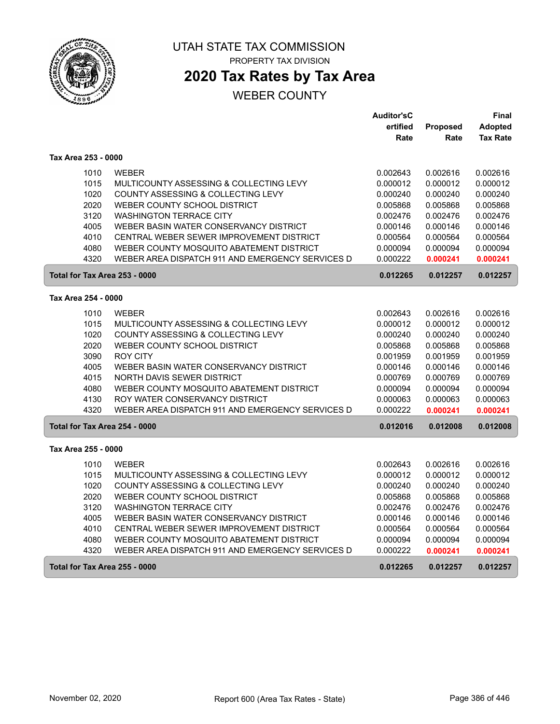

## **2020 Tax Rates by Tax Area**

|                               |                                                  | <b>Auditor'sC</b> |          | Final           |
|-------------------------------|--------------------------------------------------|-------------------|----------|-----------------|
|                               |                                                  | ertified          | Proposed | <b>Adopted</b>  |
|                               |                                                  | Rate              | Rate     | <b>Tax Rate</b> |
| Tax Area 253 - 0000           |                                                  |                   |          |                 |
| 1010                          | <b>WEBER</b>                                     | 0.002643          | 0.002616 | 0.002616        |
| 1015                          | MULTICOUNTY ASSESSING & COLLECTING LEVY          | 0.000012          | 0.000012 | 0.000012        |
| 1020                          | COUNTY ASSESSING & COLLECTING LEVY               | 0.000240          | 0.000240 | 0.000240        |
| 2020                          | WEBER COUNTY SCHOOL DISTRICT                     | 0.005868          | 0.005868 | 0.005868        |
| 3120                          | <b>WASHINGTON TERRACE CITY</b>                   | 0.002476          | 0.002476 | 0.002476        |
| 4005                          | WEBER BASIN WATER CONSERVANCY DISTRICT           | 0.000146          | 0.000146 | 0.000146        |
| 4010                          | CENTRAL WEBER SEWER IMPROVEMENT DISTRICT         | 0.000564          | 0.000564 | 0.000564        |
| 4080                          | WEBER COUNTY MOSQUITO ABATEMENT DISTRICT         | 0.000094          | 0.000094 | 0.000094        |
| 4320                          | WEBER AREA DISPATCH 911 AND EMERGENCY SERVICES D | 0.000222          | 0.000241 | 0.000241        |
| Total for Tax Area 253 - 0000 |                                                  | 0.012265          | 0.012257 | 0.012257        |
| Tax Area 254 - 0000           |                                                  |                   |          |                 |
| 1010                          | <b>WEBER</b>                                     | 0.002643          | 0.002616 | 0.002616        |
| 1015                          | MULTICOUNTY ASSESSING & COLLECTING LEVY          | 0.000012          | 0.000012 | 0.000012        |
| 1020                          | COUNTY ASSESSING & COLLECTING LEVY               | 0.000240          | 0.000240 | 0.000240        |
| 2020                          | WEBER COUNTY SCHOOL DISTRICT                     | 0.005868          | 0.005868 | 0.005868        |
| 3090                          | <b>ROY CITY</b>                                  | 0.001959          | 0.001959 | 0.001959        |
| 4005                          | WEBER BASIN WATER CONSERVANCY DISTRICT           | 0.000146          | 0.000146 | 0.000146        |
| 4015                          | NORTH DAVIS SEWER DISTRICT                       | 0.000769          | 0.000769 | 0.000769        |
| 4080                          | WEBER COUNTY MOSQUITO ABATEMENT DISTRICT         | 0.000094          | 0.000094 | 0.000094        |
| 4130                          | ROY WATER CONSERVANCY DISTRICT                   | 0.000063          | 0.000063 | 0.000063        |
| 4320                          | WEBER AREA DISPATCH 911 AND EMERGENCY SERVICES D | 0.000222          | 0.000241 | 0.000241        |
| Total for Tax Area 254 - 0000 |                                                  | 0.012016          | 0.012008 | 0.012008        |
| Tax Area 255 - 0000           |                                                  |                   |          |                 |
| 1010                          | <b>WEBER</b>                                     | 0.002643          | 0.002616 | 0.002616        |
| 1015                          | MULTICOUNTY ASSESSING & COLLECTING LEVY          | 0.000012          | 0.000012 | 0.000012        |
| 1020                          | COUNTY ASSESSING & COLLECTING LEVY               | 0.000240          | 0.000240 | 0.000240        |
| 2020                          | WEBER COUNTY SCHOOL DISTRICT                     | 0.005868          | 0.005868 | 0.005868        |
| 3120                          | <b>WASHINGTON TERRACE CITY</b>                   | 0.002476          | 0.002476 | 0.002476        |
| 4005                          | WEBER BASIN WATER CONSERVANCY DISTRICT           | 0.000146          | 0.000146 | 0.000146        |
| 4010                          | CENTRAL WEBER SEWER IMPROVEMENT DISTRICT         | 0.000564          | 0.000564 | 0.000564        |
| 4080                          | WEBER COUNTY MOSQUITO ABATEMENT DISTRICT         | 0.000094          | 0.000094 | 0.000094        |
| 4320                          | WEBER AREA DISPATCH 911 AND EMERGENCY SERVICES D | 0.000222          | 0.000241 | 0.000241        |
| Total for Tax Area 255 - 0000 |                                                  | 0.012265          | 0.012257 | 0.012257        |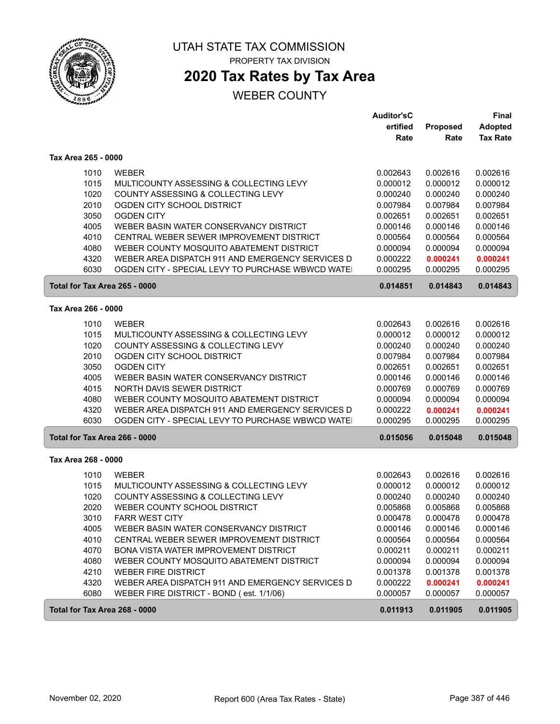

## **2020 Tax Rates by Tax Area**

|                               |                                                  | <b>Auditor'sC</b><br>ertified | <b>Proposed</b> | <b>Final</b><br><b>Adopted</b> |
|-------------------------------|--------------------------------------------------|-------------------------------|-----------------|--------------------------------|
|                               |                                                  | Rate                          | Rate            | <b>Tax Rate</b>                |
| Tax Area 265 - 0000           |                                                  |                               |                 |                                |
| 1010                          | <b>WEBER</b>                                     | 0.002643                      | 0.002616        | 0.002616                       |
| 1015                          | MULTICOUNTY ASSESSING & COLLECTING LEVY          | 0.000012                      | 0.000012        | 0.000012                       |
| 1020                          | COUNTY ASSESSING & COLLECTING LEVY               | 0.000240                      | 0.000240        | 0.000240                       |
| 2010                          | OGDEN CITY SCHOOL DISTRICT                       | 0.007984                      | 0.007984        | 0.007984                       |
| 3050                          | <b>OGDEN CITY</b>                                | 0.002651                      | 0.002651        | 0.002651                       |
| 4005                          | WEBER BASIN WATER CONSERVANCY DISTRICT           | 0.000146                      | 0.000146        | 0.000146                       |
| 4010                          | CENTRAL WEBER SEWER IMPROVEMENT DISTRICT         | 0.000564                      | 0.000564        | 0.000564                       |
| 4080                          | WEBER COUNTY MOSQUITO ABATEMENT DISTRICT         | 0.000094                      | 0.000094        | 0.000094                       |
| 4320                          | WEBER AREA DISPATCH 911 AND EMERGENCY SERVICES D | 0.000222                      | 0.000241        | 0.000241                       |
| 6030                          | OGDEN CITY - SPECIAL LEVY TO PURCHASE WBWCD WATE | 0.000295                      | 0.000295        | 0.000295                       |
| Total for Tax Area 265 - 0000 |                                                  | 0.014851                      | 0.014843        | 0.014843                       |
| Tax Area 266 - 0000           |                                                  |                               |                 |                                |
| 1010                          | <b>WEBER</b>                                     | 0.002643                      | 0.002616        | 0.002616                       |
| 1015                          | MULTICOUNTY ASSESSING & COLLECTING LEVY          | 0.000012                      | 0.000012        | 0.000012                       |
| 1020                          | COUNTY ASSESSING & COLLECTING LEVY               | 0.000240                      | 0.000240        | 0.000240                       |
| 2010                          | OGDEN CITY SCHOOL DISTRICT                       | 0.007984                      | 0.007984        | 0.007984                       |
| 3050                          | <b>OGDEN CITY</b>                                | 0.002651                      | 0.002651        | 0.002651                       |
| 4005                          | WEBER BASIN WATER CONSERVANCY DISTRICT           | 0.000146                      | 0.000146        | 0.000146                       |
| 4015                          | NORTH DAVIS SEWER DISTRICT                       | 0.000769                      | 0.000769        | 0.000769                       |
| 4080                          | WEBER COUNTY MOSQUITO ABATEMENT DISTRICT         | 0.000094                      | 0.000094        | 0.000094                       |
| 4320                          | WEBER AREA DISPATCH 911 AND EMERGENCY SERVICES D | 0.000222                      | 0.000241        | 0.000241                       |
| 6030                          | OGDEN CITY - SPECIAL LEVY TO PURCHASE WBWCD WATE | 0.000295                      | 0.000295        | 0.000295                       |
| Total for Tax Area 266 - 0000 |                                                  | 0.015056                      | 0.015048        | 0.015048                       |
| Tax Area 268 - 0000           |                                                  |                               |                 |                                |
| 1010                          | <b>WEBER</b>                                     | 0.002643                      | 0.002616        | 0.002616                       |
| 1015                          | MULTICOUNTY ASSESSING & COLLECTING LEVY          | 0.000012                      | 0.000012        | 0.000012                       |
| 1020                          | COUNTY ASSESSING & COLLECTING LEVY               | 0.000240                      | 0.000240        | 0.000240                       |
| 2020                          | WEBER COUNTY SCHOOL DISTRICT                     | 0.005868                      | 0.005868        | 0.005868                       |
| 3010                          | <b>FARR WEST CITY</b>                            | 0.000478                      | 0.000478        | 0.000478                       |
| 4005                          | WEBER BASIN WATER CONSERVANCY DISTRICT           | 0.000146                      | 0.000146        | 0.000146                       |
| 4010                          | CENTRAL WEBER SEWER IMPROVEMENT DISTRICT         | 0.000564                      | 0.000564        | 0.000564                       |
| 4070                          | BONA VISTA WATER IMPROVEMENT DISTRICT            | 0.000211                      | 0.000211        | 0.000211                       |
| 4080                          | WEBER COUNTY MOSQUITO ABATEMENT DISTRICT         | 0.000094                      | 0.000094        | 0.000094                       |
| 4210                          | <b>WEBER FIRE DISTRICT</b>                       | 0.001378                      | 0.001378        | 0.001378                       |
| 4320                          | WEBER AREA DISPATCH 911 AND EMERGENCY SERVICES D | 0.000222                      | 0.000241        | 0.000241                       |
| 6080                          | WEBER FIRE DISTRICT - BOND (est. 1/1/06)         | 0.000057                      | 0.000057        | 0.000057                       |
| Total for Tax Area 268 - 0000 |                                                  | 0.011913                      | 0.011905        | 0.011905                       |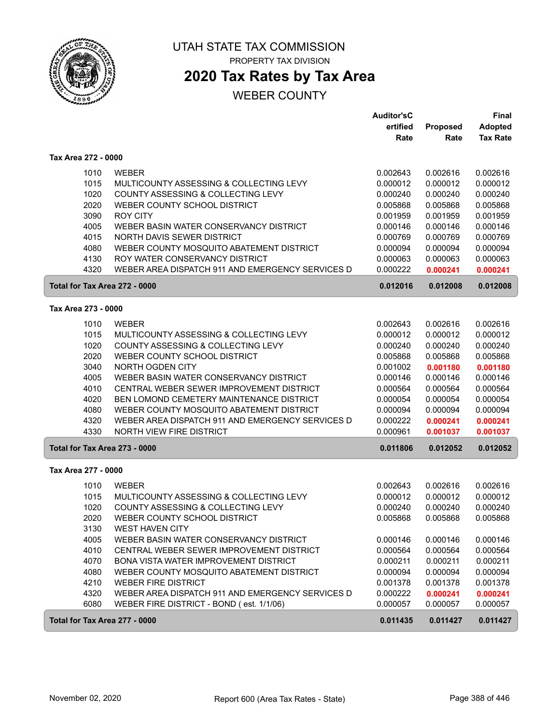

## **2020 Tax Rates by Tax Area**

|                               |                                                                            | <b>Auditor'sC</b>    |                      | Final                             |
|-------------------------------|----------------------------------------------------------------------------|----------------------|----------------------|-----------------------------------|
|                               |                                                                            | ertified<br>Rate     | Proposed<br>Rate     | <b>Adopted</b><br><b>Tax Rate</b> |
|                               |                                                                            |                      |                      |                                   |
| Tax Area 272 - 0000           |                                                                            |                      |                      |                                   |
| 1010                          | <b>WEBER</b>                                                               | 0.002643             | 0.002616             | 0.002616                          |
| 1015                          | MULTICOUNTY ASSESSING & COLLECTING LEVY                                    | 0.000012             | 0.000012             | 0.000012                          |
| 1020                          | COUNTY ASSESSING & COLLECTING LEVY                                         | 0.000240             | 0.000240             | 0.000240                          |
| 2020                          | WEBER COUNTY SCHOOL DISTRICT                                               | 0.005868             | 0.005868             | 0.005868                          |
| 3090                          | <b>ROY CITY</b>                                                            | 0.001959             | 0.001959             | 0.001959                          |
| 4005                          | WEBER BASIN WATER CONSERVANCY DISTRICT                                     | 0.000146             | 0.000146             | 0.000146                          |
| 4015                          | NORTH DAVIS SEWER DISTRICT                                                 | 0.000769             | 0.000769             | 0.000769                          |
| 4080                          | WEBER COUNTY MOSQUITO ABATEMENT DISTRICT<br>ROY WATER CONSERVANCY DISTRICT | 0.000094             | 0.000094             | 0.000094                          |
| 4130<br>4320                  | WEBER AREA DISPATCH 911 AND EMERGENCY SERVICES D                           | 0.000063<br>0.000222 | 0.000063<br>0.000241 | 0.000063<br>0.000241              |
|                               |                                                                            |                      |                      |                                   |
| Total for Tax Area 272 - 0000 |                                                                            | 0.012016             | 0.012008             | 0.012008                          |
| Tax Area 273 - 0000           |                                                                            |                      |                      |                                   |
| 1010                          | <b>WEBER</b>                                                               | 0.002643             | 0.002616             | 0.002616                          |
| 1015                          | MULTICOUNTY ASSESSING & COLLECTING LEVY                                    | 0.000012             | 0.000012             | 0.000012                          |
| 1020                          | COUNTY ASSESSING & COLLECTING LEVY                                         | 0.000240             | 0.000240             | 0.000240                          |
| 2020                          | WEBER COUNTY SCHOOL DISTRICT                                               | 0.005868             | 0.005868             | 0.005868                          |
| 3040                          | NORTH OGDEN CITY                                                           | 0.001002             | 0.001180             | 0.001180                          |
| 4005                          | WEBER BASIN WATER CONSERVANCY DISTRICT                                     | 0.000146             | 0.000146             | 0.000146                          |
| 4010                          | CENTRAL WEBER SEWER IMPROVEMENT DISTRICT                                   | 0.000564             | 0.000564             | 0.000564                          |
| 4020                          | BEN LOMOND CEMETERY MAINTENANCE DISTRICT                                   | 0.000054             | 0.000054             | 0.000054                          |
| 4080                          | WEBER COUNTY MOSQUITO ABATEMENT DISTRICT                                   | 0.000094             | 0.000094             | 0.000094                          |
| 4320                          | WEBER AREA DISPATCH 911 AND EMERGENCY SERVICES D                           | 0.000222             | 0.000241             | 0.000241                          |
| 4330                          | NORTH VIEW FIRE DISTRICT                                                   | 0.000961             | 0.001037             | 0.001037                          |
| Total for Tax Area 273 - 0000 |                                                                            | 0.011806             | 0.012052             | 0.012052                          |
| Tax Area 277 - 0000           |                                                                            |                      |                      |                                   |
| 1010                          | <b>WEBER</b>                                                               | 0.002643             | 0.002616             | 0.002616                          |
| 1015                          | MULTICOUNTY ASSESSING & COLLECTING LEVY                                    | 0.000012             | 0.000012             | 0.000012                          |
| 1020                          | COUNTY ASSESSING & COLLECTING LEVY                                         | 0.000240             | 0.000240             | 0.000240                          |
| 2020                          | WEBER COUNTY SCHOOL DISTRICT                                               | 0.005868             | 0.005868             | 0.005868                          |
| 3130                          | <b>WEST HAVEN CITY</b>                                                     |                      |                      |                                   |
| 4005                          | WEBER BASIN WATER CONSERVANCY DISTRICT                                     | 0.000146             | 0.000146             | 0.000146                          |
| 4010                          | CENTRAL WEBER SEWER IMPROVEMENT DISTRICT                                   | 0.000564             | 0.000564             | 0.000564                          |
| 4070                          | BONA VISTA WATER IMPROVEMENT DISTRICT                                      | 0.000211             | 0.000211             | 0.000211                          |
| 4080                          | WEBER COUNTY MOSQUITO ABATEMENT DISTRICT                                   | 0.000094             | 0.000094             | 0.000094                          |
| 4210                          | <b>WEBER FIRE DISTRICT</b>                                                 | 0.001378             | 0.001378             | 0.001378                          |
| 4320                          | WEBER AREA DISPATCH 911 AND EMERGENCY SERVICES D                           | 0.000222             | 0.000241             | 0.000241                          |
| 6080                          | WEBER FIRE DISTRICT - BOND (est. 1/1/06)                                   | 0.000057             | 0.000057             | 0.000057                          |
| Total for Tax Area 277 - 0000 |                                                                            | 0.011435             | 0.011427             | 0.011427                          |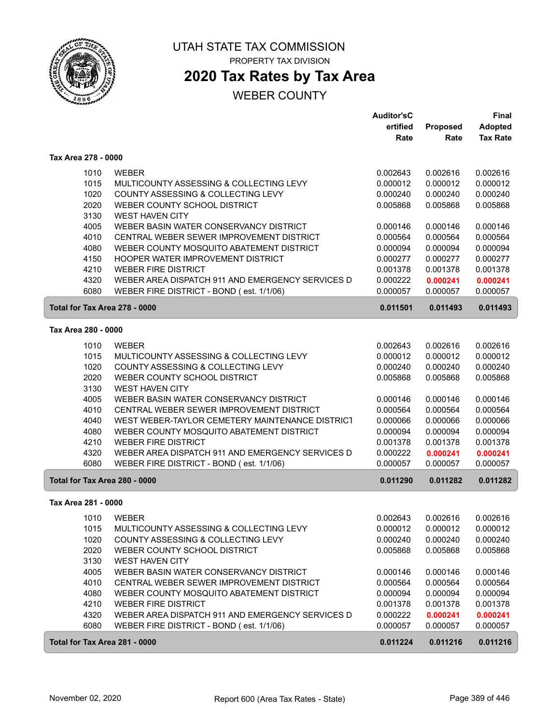

## **2020 Tax Rates by Tax Area**

|                               |                                                  | <b>Auditor'sC</b> |          | <b>Final</b>    |
|-------------------------------|--------------------------------------------------|-------------------|----------|-----------------|
|                               |                                                  | ertified          | Proposed | <b>Adopted</b>  |
|                               |                                                  | Rate              | Rate     | <b>Tax Rate</b> |
| Tax Area 278 - 0000           |                                                  |                   |          |                 |
| 1010                          | <b>WEBER</b>                                     | 0.002643          | 0.002616 | 0.002616        |
| 1015                          | MULTICOUNTY ASSESSING & COLLECTING LEVY          | 0.000012          | 0.000012 | 0.000012        |
| 1020                          | COUNTY ASSESSING & COLLECTING LEVY               | 0.000240          | 0.000240 | 0.000240        |
| 2020                          | WEBER COUNTY SCHOOL DISTRICT                     | 0.005868          | 0.005868 | 0.005868        |
| 3130                          | <b>WEST HAVEN CITY</b>                           |                   |          |                 |
| 4005                          | WEBER BASIN WATER CONSERVANCY DISTRICT           | 0.000146          | 0.000146 | 0.000146        |
| 4010                          | CENTRAL WEBER SEWER IMPROVEMENT DISTRICT         | 0.000564          | 0.000564 | 0.000564        |
| 4080                          | WEBER COUNTY MOSQUITO ABATEMENT DISTRICT         | 0.000094          | 0.000094 | 0.000094        |
| 4150                          | HOOPER WATER IMPROVEMENT DISTRICT                | 0.000277          | 0.000277 | 0.000277        |
| 4210                          | <b>WEBER FIRE DISTRICT</b>                       | 0.001378          | 0.001378 | 0.001378        |
| 4320                          | WEBER AREA DISPATCH 911 AND EMERGENCY SERVICES D | 0.000222          | 0.000241 | 0.000241        |
| 6080                          | WEBER FIRE DISTRICT - BOND (est. 1/1/06)         | 0.000057          | 0.000057 | 0.000057        |
| Total for Tax Area 278 - 0000 |                                                  | 0.011501          | 0.011493 | 0.011493        |
| Tax Area 280 - 0000           |                                                  |                   |          |                 |
|                               |                                                  |                   |          |                 |
| 1010                          | <b>WEBER</b>                                     | 0.002643          | 0.002616 | 0.002616        |
| 1015                          | MULTICOUNTY ASSESSING & COLLECTING LEVY          | 0.000012          | 0.000012 | 0.000012        |
| 1020                          | COUNTY ASSESSING & COLLECTING LEVY               | 0.000240          | 0.000240 | 0.000240        |
| 2020                          | WEBER COUNTY SCHOOL DISTRICT                     | 0.005868          | 0.005868 | 0.005868        |
| 3130                          | <b>WEST HAVEN CITY</b>                           |                   |          |                 |
| 4005                          | WEBER BASIN WATER CONSERVANCY DISTRICT           | 0.000146          | 0.000146 | 0.000146        |
| 4010                          | CENTRAL WEBER SEWER IMPROVEMENT DISTRICT         | 0.000564          | 0.000564 | 0.000564        |
| 4040                          | WEST WEBER-TAYLOR CEMETERY MAINTENANCE DISTRICT  | 0.000066          | 0.000066 | 0.000066        |
| 4080                          | WEBER COUNTY MOSQUITO ABATEMENT DISTRICT         | 0.000094          | 0.000094 | 0.000094        |
| 4210                          | <b>WEBER FIRE DISTRICT</b>                       | 0.001378          | 0.001378 | 0.001378        |
| 4320                          | WEBER AREA DISPATCH 911 AND EMERGENCY SERVICES D | 0.000222          | 0.000241 | 0.000241        |
| 6080                          | WEBER FIRE DISTRICT - BOND (est. 1/1/06)         | 0.000057          | 0.000057 | 0.000057        |
| Total for Tax Area 280 - 0000 |                                                  | 0.011290          | 0.011282 | 0.011282        |
| Tax Area 281 - 0000           |                                                  |                   |          |                 |
| 1010                          | <b>WEBER</b>                                     | 0.002643          | 0.002616 | 0.002616        |
| 1015                          | MULTICOUNTY ASSESSING & COLLECTING LEVY          | 0.000012          | 0.000012 | 0.000012        |
| 1020                          | COUNTY ASSESSING & COLLECTING LEVY               | 0.000240          | 0.000240 | 0.000240        |
| 2020                          | WEBER COUNTY SCHOOL DISTRICT                     | 0.005868          | 0.005868 | 0.005868        |
| 3130                          | <b>WEST HAVEN CITY</b>                           |                   |          |                 |
| 4005                          | WEBER BASIN WATER CONSERVANCY DISTRICT           | 0.000146          | 0.000146 | 0.000146        |
| 4010                          | CENTRAL WEBER SEWER IMPROVEMENT DISTRICT         | 0.000564          | 0.000564 | 0.000564        |
| 4080                          | WEBER COUNTY MOSQUITO ABATEMENT DISTRICT         | 0.000094          | 0.000094 | 0.000094        |
| 4210                          | <b>WEBER FIRE DISTRICT</b>                       | 0.001378          | 0.001378 | 0.001378        |
| 4320                          | WEBER AREA DISPATCH 911 AND EMERGENCY SERVICES D | 0.000222          | 0.000241 | 0.000241        |
| 6080                          | WEBER FIRE DISTRICT - BOND (est. 1/1/06)         | 0.000057          | 0.000057 | 0.000057        |
| Total for Tax Area 281 - 0000 |                                                  | 0.011224          | 0.011216 | 0.011216        |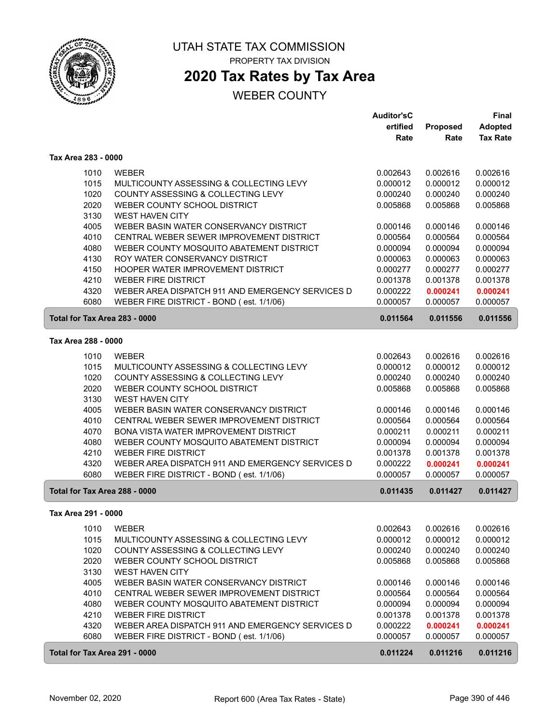

## **2020 Tax Rates by Tax Area**

|                               |                                                                                    | <b>Auditor'sC</b>    |                      | Final                |
|-------------------------------|------------------------------------------------------------------------------------|----------------------|----------------------|----------------------|
|                               |                                                                                    | ertified             | Proposed             | <b>Adopted</b>       |
|                               |                                                                                    | Rate                 | Rate                 | <b>Tax Rate</b>      |
| Tax Area 283 - 0000           |                                                                                    |                      |                      |                      |
| 1010                          | <b>WEBER</b>                                                                       | 0.002643             | 0.002616             | 0.002616             |
| 1015                          | MULTICOUNTY ASSESSING & COLLECTING LEVY                                            | 0.000012             | 0.000012             | 0.000012             |
| 1020                          | COUNTY ASSESSING & COLLECTING LEVY                                                 | 0.000240             | 0.000240             | 0.000240             |
| 2020                          | WEBER COUNTY SCHOOL DISTRICT                                                       | 0.005868             | 0.005868             | 0.005868             |
| 3130                          | <b>WEST HAVEN CITY</b>                                                             |                      |                      |                      |
| 4005                          | WEBER BASIN WATER CONSERVANCY DISTRICT                                             | 0.000146             | 0.000146             | 0.000146             |
| 4010                          | CENTRAL WEBER SEWER IMPROVEMENT DISTRICT                                           | 0.000564             | 0.000564             | 0.000564             |
| 4080                          | WEBER COUNTY MOSQUITO ABATEMENT DISTRICT                                           | 0.000094             | 0.000094             | 0.000094             |
| 4130                          | ROY WATER CONSERVANCY DISTRICT                                                     | 0.000063             | 0.000063             | 0.000063             |
| 4150                          | HOOPER WATER IMPROVEMENT DISTRICT                                                  | 0.000277             | 0.000277             | 0.000277             |
| 4210                          | <b>WEBER FIRE DISTRICT</b>                                                         | 0.001378             | 0.001378             | 0.001378             |
| 4320                          | WEBER AREA DISPATCH 911 AND EMERGENCY SERVICES D                                   | 0.000222             | 0.000241             | 0.000241             |
| 6080                          | WEBER FIRE DISTRICT - BOND (est. 1/1/06)                                           | 0.000057             | 0.000057             | 0.000057             |
| Total for Tax Area 283 - 0000 |                                                                                    | 0.011564             | 0.011556             | 0.011556             |
| Tax Area 288 - 0000           |                                                                                    |                      |                      |                      |
| 1010                          | <b>WEBER</b>                                                                       | 0.002643             | 0.002616             | 0.002616             |
| 1015                          | MULTICOUNTY ASSESSING & COLLECTING LEVY                                            | 0.000012             | 0.000012             | 0.000012             |
| 1020                          | COUNTY ASSESSING & COLLECTING LEVY                                                 | 0.000240             | 0.000240             | 0.000240             |
| 2020                          | WEBER COUNTY SCHOOL DISTRICT                                                       | 0.005868             | 0.005868             | 0.005868             |
| 3130                          | <b>WEST HAVEN CITY</b>                                                             |                      |                      |                      |
| 4005                          | WEBER BASIN WATER CONSERVANCY DISTRICT                                             | 0.000146             | 0.000146             | 0.000146             |
| 4010                          | CENTRAL WEBER SEWER IMPROVEMENT DISTRICT                                           | 0.000564             | 0.000564             | 0.000564             |
| 4070                          | BONA VISTA WATER IMPROVEMENT DISTRICT                                              | 0.000211             | 0.000211             | 0.000211             |
| 4080<br>4210                  | WEBER COUNTY MOSQUITO ABATEMENT DISTRICT<br><b>WEBER FIRE DISTRICT</b>             | 0.000094<br>0.001378 | 0.000094<br>0.001378 | 0.000094<br>0.001378 |
| 4320                          | WEBER AREA DISPATCH 911 AND EMERGENCY SERVICES D                                   | 0.000222             | 0.000241             | 0.000241             |
| 6080                          | WEBER FIRE DISTRICT - BOND (est. 1/1/06)                                           | 0.000057             | 0.000057             | 0.000057             |
| Total for Tax Area 288 - 0000 |                                                                                    | 0.011435             | 0.011427             | 0.011427             |
|                               |                                                                                    |                      |                      |                      |
| Tax Area 291 - 0000           |                                                                                    |                      |                      |                      |
| 1010                          | <b>WEBER</b>                                                                       | 0.002643             | 0.002616             | 0.002616             |
| 1015                          | MULTICOUNTY ASSESSING & COLLECTING LEVY                                            | 0.000012             | 0.000012             | 0.000012             |
| 1020                          | COUNTY ASSESSING & COLLECTING LEVY                                                 | 0.000240             | 0.000240             | 0.000240             |
| 2020                          | WEBER COUNTY SCHOOL DISTRICT                                                       | 0.005868             | 0.005868             | 0.005868             |
| 3130                          | <b>WEST HAVEN CITY</b>                                                             |                      |                      |                      |
| 4005<br>4010                  | WEBER BASIN WATER CONSERVANCY DISTRICT<br>CENTRAL WEBER SEWER IMPROVEMENT DISTRICT | 0.000146             | 0.000146<br>0.000564 | 0.000146<br>0.000564 |
| 4080                          | WEBER COUNTY MOSQUITO ABATEMENT DISTRICT                                           | 0.000564<br>0.000094 | 0.000094             | 0.000094             |
| 4210                          | <b>WEBER FIRE DISTRICT</b>                                                         | 0.001378             | 0.001378             | 0.001378             |
| 4320                          | WEBER AREA DISPATCH 911 AND EMERGENCY SERVICES D                                   | 0.000222             | 0.000241             | 0.000241             |
| 6080                          | WEBER FIRE DISTRICT - BOND (est. 1/1/06)                                           | 0.000057             | 0.000057             | 0.000057             |
| Total for Tax Area 291 - 0000 |                                                                                    | 0.011224             | 0.011216             | 0.011216             |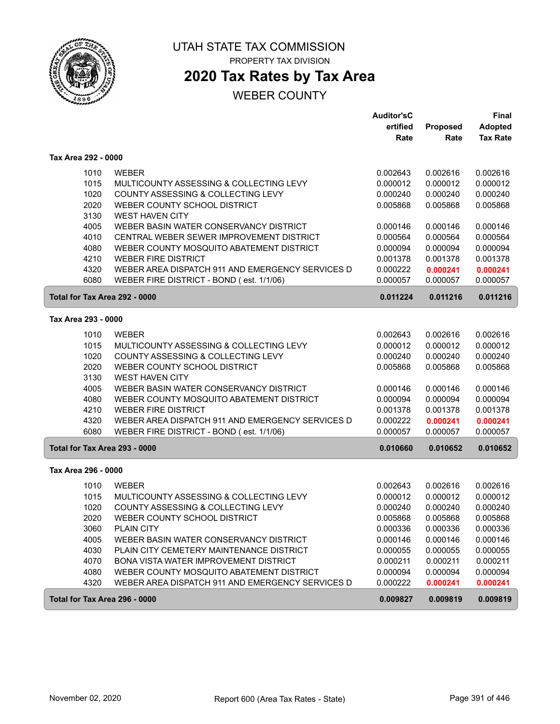

# UTAH STATE TAX COMMISSION

PROPERTY TAX DIVISION

## **2020 Tax Rates by Tax Area**

|                               |                                                  | Auditor'sC |                 | Final           |
|-------------------------------|--------------------------------------------------|------------|-----------------|-----------------|
|                               |                                                  | ertified   | <b>Proposed</b> | Adopted         |
|                               |                                                  | Rate       | Rate            | <b>Tax Rate</b> |
| Tax Area 292 - 0000           |                                                  |            |                 |                 |
| 1010                          | <b>WEBER</b>                                     | 0.002643   | 0.002616        | 0.002616        |
| 1015                          | MULTICOUNTY ASSESSING & COLLECTING LEVY          | 0.000012   | 0.000012        | 0.000012        |
| 1020                          | COUNTY ASSESSING & COLLECTING LEVY               | 0.000240   | 0.000240        | 0.000240        |
| 2020                          | WEBER COUNTY SCHOOL DISTRICT                     | 0.005868   | 0.005868        | 0.005868        |
| 3130                          | <b>WEST HAVEN CITY</b>                           |            |                 |                 |
| 4005                          | WEBER BASIN WATER CONSERVANCY DISTRICT           | 0.000146   | 0.000146        | 0.000146        |
| 4010                          | CENTRAL WEBER SEWER IMPROVEMENT DISTRICT         | 0.000564   | 0.000564        | 0.000564        |
| 4080                          | WEBER COUNTY MOSQUITO ABATEMENT DISTRICT         | 0.000094   | 0.000094        | 0.000094        |
| 4210                          | <b>WEBER FIRE DISTRICT</b>                       | 0.001378   | 0.001378        | 0.001378        |
| 4320                          | WEBER AREA DISPATCH 911 AND EMERGENCY SERVICES D | 0.000222   | 0.000241        | 0.000241        |
| 6080                          | WEBER FIRE DISTRICT - BOND (est. 1/1/06)         | 0.000057   | 0.000057        | 0.000057        |
| Total for Tax Area 292 - 0000 |                                                  | 0.011224   | 0.011216        | 0.011216        |
| Tax Area 293 - 0000           |                                                  |            |                 |                 |
| 1010                          | <b>WEBER</b>                                     | 0.002643   | 0.002616        | 0.002616        |
| 1015                          | MULTICOUNTY ASSESSING & COLLECTING LEVY          | 0.000012   | 0.000012        | 0.000012        |
| 1020                          | COUNTY ASSESSING & COLLECTING LEVY               | 0.000240   | 0.000240        | 0.000240        |
| 2020                          | WEBER COUNTY SCHOOL DISTRICT                     | 0.005868   | 0.005868        | 0.005868        |
| 3130                          | <b>WEST HAVEN CITY</b>                           |            |                 |                 |
| 4005                          | WEBER BASIN WATER CONSERVANCY DISTRICT           | 0.000146   | 0.000146        | 0.000146        |
| 4080                          | WEBER COUNTY MOSQUITO ABATEMENT DISTRICT         | 0.000094   | 0.000094        | 0.000094        |
| 4210                          | <b>WEBER FIRE DISTRICT</b>                       | 0.001378   | 0.001378        | 0.001378        |
| 4320                          | WEBER AREA DISPATCH 911 AND EMERGENCY SERVICES D | 0.000222   | 0.000241        | 0.000241        |
| 6080                          | WEBER FIRE DISTRICT - BOND (est. 1/1/06)         | 0.000057   | 0.000057        | 0.000057        |
| Total for Tax Area 293 - 0000 |                                                  | 0.010660   | 0.010652        | 0.010652        |
| Tax Area 296 - 0000           |                                                  |            |                 |                 |
| 1010                          | <b>WEBER</b>                                     | 0.002643   | 0.002616        | 0.002616        |
| 1015                          | MULTICOUNTY ASSESSING & COLLECTING LEVY          | 0.000012   | 0.000012        | 0.000012        |
| 1020                          | COUNTY ASSESSING & COLLECTING LEVY               | 0.000240   | 0.000240        | 0.000240        |
| 2020                          | WEBER COUNTY SCHOOL DISTRICT                     | 0.005868   | 0.005868        | 0.005868        |
| 3060                          | <b>PLAIN CITY</b>                                | 0.000336   | 0.000336        | 0.000336        |
| 4005                          | WEBER BASIN WATER CONSERVANCY DISTRICT           | 0.000146   | 0.000146        | 0.000146        |
| 4030                          | PLAIN CITY CEMETERY MAINTENANCE DISTRICT         | 0.000055   | 0.000055        | 0.000055        |
| 4070                          | BONA VISTA WATER IMPROVEMENT DISTRICT            | 0.000211   | 0.000211        | 0.000211        |
| 4080                          | WEBER COUNTY MOSQUITO ABATEMENT DISTRICT         | 0.000094   | 0.000094        | 0.000094        |
| 4320                          | WEBER AREA DISPATCH 911 AND EMERGENCY SERVICES D | 0.000222   | 0.000241        | 0.000241        |
| Total for Tax Area 296 - 0000 |                                                  | 0.009827   | 0.009819        | 0.009819        |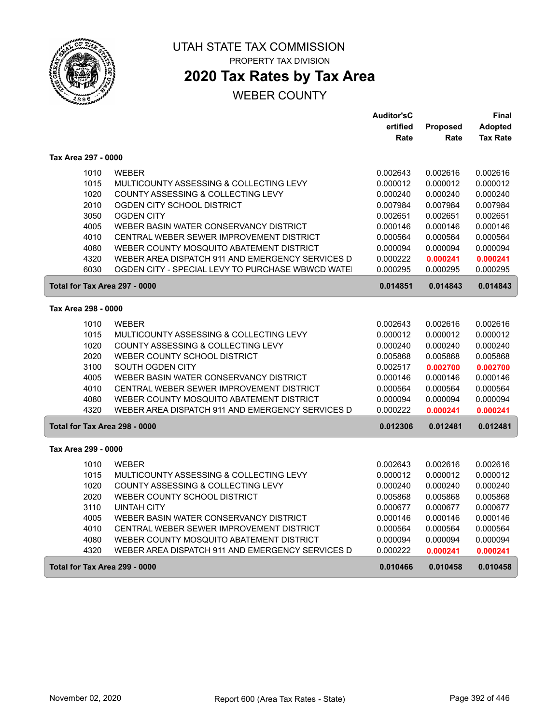

# **2020 Tax Rates by Tax Area**

|                               |                                                  | <b>Auditor'sC</b> |          | Final           |
|-------------------------------|--------------------------------------------------|-------------------|----------|-----------------|
|                               |                                                  | ertified          | Proposed | <b>Adopted</b>  |
|                               |                                                  | Rate              | Rate     | <b>Tax Rate</b> |
| Tax Area 297 - 0000           |                                                  |                   |          |                 |
| 1010                          | WEBER                                            | 0.002643          | 0.002616 | 0.002616        |
| 1015                          | MULTICOUNTY ASSESSING & COLLECTING LEVY          | 0.000012          | 0.000012 | 0.000012        |
| 1020                          | COUNTY ASSESSING & COLLECTING LEVY               | 0.000240          | 0.000240 | 0.000240        |
| 2010                          | OGDEN CITY SCHOOL DISTRICT                       | 0.007984          | 0.007984 | 0.007984        |
| 3050                          | <b>OGDEN CITY</b>                                | 0.002651          | 0.002651 | 0.002651        |
| 4005                          | WEBER BASIN WATER CONSERVANCY DISTRICT           | 0.000146          | 0.000146 | 0.000146        |
| 4010                          | CENTRAL WEBER SEWER IMPROVEMENT DISTRICT         | 0.000564          | 0.000564 | 0.000564        |
| 4080                          | WEBER COUNTY MOSQUITO ABATEMENT DISTRICT         | 0.000094          | 0.000094 | 0.000094        |
| 4320                          | WEBER AREA DISPATCH 911 AND EMERGENCY SERVICES D | 0.000222          | 0.000241 | 0.000241        |
| 6030                          | OGDEN CITY - SPECIAL LEVY TO PURCHASE WBWCD WATE | 0.000295          | 0.000295 | 0.000295        |
| Total for Tax Area 297 - 0000 |                                                  | 0.014851          | 0.014843 | 0.014843        |
| Tax Area 298 - 0000           |                                                  |                   |          |                 |
| 1010                          | <b>WEBER</b>                                     | 0.002643          | 0.002616 | 0.002616        |
| 1015                          | MULTICOUNTY ASSESSING & COLLECTING LEVY          | 0.000012          | 0.000012 | 0.000012        |
| 1020                          | COUNTY ASSESSING & COLLECTING LEVY               | 0.000240          | 0.000240 | 0.000240        |
| 2020                          | WEBER COUNTY SCHOOL DISTRICT                     | 0.005868          | 0.005868 | 0.005868        |
| 3100                          | SOUTH OGDEN CITY                                 | 0.002517          | 0.002700 | 0.002700        |
| 4005                          | WEBER BASIN WATER CONSERVANCY DISTRICT           | 0.000146          | 0.000146 | 0.000146        |
| 4010                          | CENTRAL WEBER SEWER IMPROVEMENT DISTRICT         | 0.000564          | 0.000564 | 0.000564        |
| 4080                          | WEBER COUNTY MOSQUITO ABATEMENT DISTRICT         | 0.000094          | 0.000094 | 0.000094        |
| 4320                          | WEBER AREA DISPATCH 911 AND EMERGENCY SERVICES D | 0.000222          | 0.000241 | 0.000241        |
| Total for Tax Area 298 - 0000 |                                                  | 0.012306          | 0.012481 | 0.012481        |
| Tax Area 299 - 0000           |                                                  |                   |          |                 |
| 1010                          | <b>WEBER</b>                                     | 0.002643          | 0.002616 | 0.002616        |
| 1015                          | MULTICOUNTY ASSESSING & COLLECTING LEVY          | 0.000012          | 0.000012 | 0.000012        |
| 1020                          | COUNTY ASSESSING & COLLECTING LEVY               | 0.000240          | 0.000240 | 0.000240        |
| 2020                          | WEBER COUNTY SCHOOL DISTRICT                     | 0.005868          | 0.005868 | 0.005868        |
| 3110                          | <b>UINTAH CITY</b>                               | 0.000677          | 0.000677 | 0.000677        |
| 4005                          | WEBER BASIN WATER CONSERVANCY DISTRICT           | 0.000146          | 0.000146 | 0.000146        |
| 4010                          | CENTRAL WEBER SEWER IMPROVEMENT DISTRICT         | 0.000564          | 0.000564 | 0.000564        |
| 4080                          | WEBER COUNTY MOSQUITO ABATEMENT DISTRICT         | 0.000094          | 0.000094 | 0.000094        |
| 4320                          | WEBER AREA DISPATCH 911 AND EMERGENCY SERVICES D | 0.000222          | 0.000241 | 0.000241        |
| Total for Tax Area 299 - 0000 |                                                  | 0.010466          | 0.010458 | 0.010458        |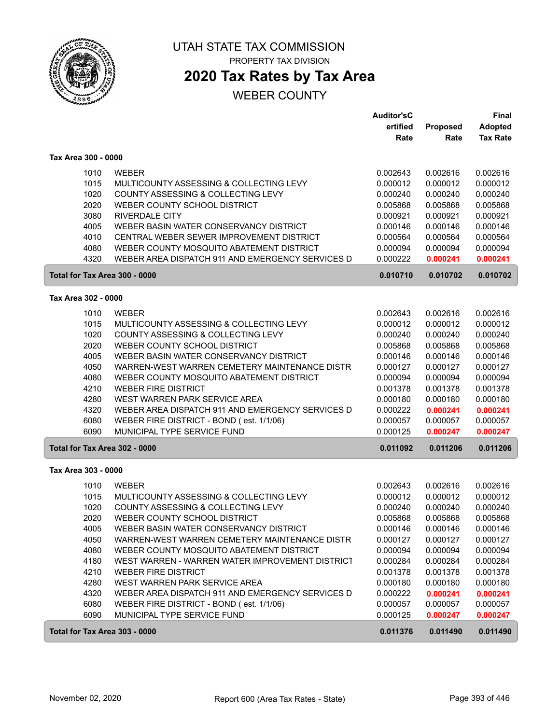

# **2020 Tax Rates by Tax Area**

|                               |                                                  | <b>Auditor'sC</b>    |                      | Final           |
|-------------------------------|--------------------------------------------------|----------------------|----------------------|-----------------|
|                               |                                                  | ertified             | Proposed             | <b>Adopted</b>  |
|                               |                                                  | Rate                 | Rate                 | <b>Tax Rate</b> |
| Tax Area 300 - 0000           |                                                  |                      |                      |                 |
| 1010                          | <b>WEBER</b>                                     | 0.002643             | 0.002616             | 0.002616        |
| 1015                          | MULTICOUNTY ASSESSING & COLLECTING LEVY          | 0.000012             | 0.000012             | 0.000012        |
| 1020                          | COUNTY ASSESSING & COLLECTING LEVY               | 0.000240             | 0.000240             | 0.000240        |
| 2020                          | WEBER COUNTY SCHOOL DISTRICT                     | 0.005868             | 0.005868             | 0.005868        |
| 3080                          | <b>RIVERDALE CITY</b>                            | 0.000921             | 0.000921             | 0.000921        |
| 4005                          | WEBER BASIN WATER CONSERVANCY DISTRICT           | 0.000146             | 0.000146             | 0.000146        |
| 4010                          | CENTRAL WEBER SEWER IMPROVEMENT DISTRICT         | 0.000564             | 0.000564             | 0.000564        |
| 4080                          | WEBER COUNTY MOSQUITO ABATEMENT DISTRICT         | 0.000094             | 0.000094             | 0.000094        |
| 4320                          | WEBER AREA DISPATCH 911 AND EMERGENCY SERVICES D | 0.000222             | 0.000241             | 0.000241        |
| Total for Tax Area 300 - 0000 |                                                  | 0.010710             | 0.010702             | 0.010702        |
| Tax Area 302 - 0000           |                                                  |                      |                      |                 |
| 1010                          | <b>WEBER</b>                                     | 0.002643             | 0.002616             | 0.002616        |
| 1015                          | MULTICOUNTY ASSESSING & COLLECTING LEVY          | 0.000012             | 0.000012             | 0.000012        |
| 1020                          | COUNTY ASSESSING & COLLECTING LEVY               | 0.000240             | 0.000240             | 0.000240        |
| 2020                          | WEBER COUNTY SCHOOL DISTRICT                     | 0.005868             | 0.005868             | 0.005868        |
| 4005                          | WEBER BASIN WATER CONSERVANCY DISTRICT           | 0.000146             | 0.000146             | 0.000146        |
| 4050                          | WARREN-WEST WARREN CEMETERY MAINTENANCE DISTR    | 0.000127             | 0.000127             | 0.000127        |
| 4080                          | WEBER COUNTY MOSQUITO ABATEMENT DISTRICT         | 0.000094             | 0.000094             | 0.000094        |
| 4210                          | <b>WEBER FIRE DISTRICT</b>                       | 0.001378             | 0.001378             | 0.001378        |
| 4280                          | WEST WARREN PARK SERVICE AREA                    | 0.000180             | 0.000180             | 0.000180        |
| 4320                          | WEBER AREA DISPATCH 911 AND EMERGENCY SERVICES D | 0.000222             | 0.000241             | 0.000241        |
| 6080                          | WEBER FIRE DISTRICT - BOND (est. 1/1/06)         | 0.000057             | 0.000057             | 0.000057        |
| 6090                          | MUNICIPAL TYPE SERVICE FUND                      | 0.000125             | 0.000247             | 0.000247        |
| Total for Tax Area 302 - 0000 |                                                  | 0.011092             | 0.011206             | 0.011206        |
| Tax Area 303 - 0000           |                                                  |                      |                      |                 |
| 1010                          | <b>WEBER</b>                                     | 0.002643             | 0.002616             | 0.002616        |
| 1015                          | MULTICOUNTY ASSESSING & COLLECTING LEVY          | 0.000012             | 0.000012             | 0.000012        |
| 1020                          | COUNTY ASSESSING & COLLECTING LEVY               | 0.000240             | 0.000240             | 0.000240        |
| 2020                          | WEBER COUNTY SCHOOL DISTRICT                     | 0.005868             | 0.005868             | 0.005868        |
| 4005                          | WEBER BASIN WATER CONSERVANCY DISTRICT           | 0.000146             | 0.000146             | 0.000146        |
| 4050                          | WARREN-WEST WARREN CEMETERY MAINTENANCE DISTR    | 0.000127             | 0.000127             | 0.000127        |
| 4080                          | WEBER COUNTY MOSQUITO ABATEMENT DISTRICT         | 0.000094             | 0.000094             | 0.000094        |
| 4180                          | WEST WARREN - WARREN WATER IMPROVEMENT DISTRICT  | 0.000284             | 0.000284             | 0.000284        |
| 4210                          | <b>WEBER FIRE DISTRICT</b>                       |                      |                      | 0.001378        |
| 4280                          | WEST WARREN PARK SERVICE AREA                    | 0.001378<br>0.000180 | 0.001378<br>0.000180 | 0.000180        |
| 4320                          | WEBER AREA DISPATCH 911 AND EMERGENCY SERVICES D | 0.000222             | 0.000241             | 0.000241        |
| 6080                          | WEBER FIRE DISTRICT - BOND (est. 1/1/06)         | 0.000057             | 0.000057             | 0.000057        |
| 6090                          | MUNICIPAL TYPE SERVICE FUND                      | 0.000125             | 0.000247             | 0.000247        |
| Total for Tax Area 303 - 0000 |                                                  | 0.011376             | 0.011490             | 0.011490        |
|                               |                                                  |                      |                      |                 |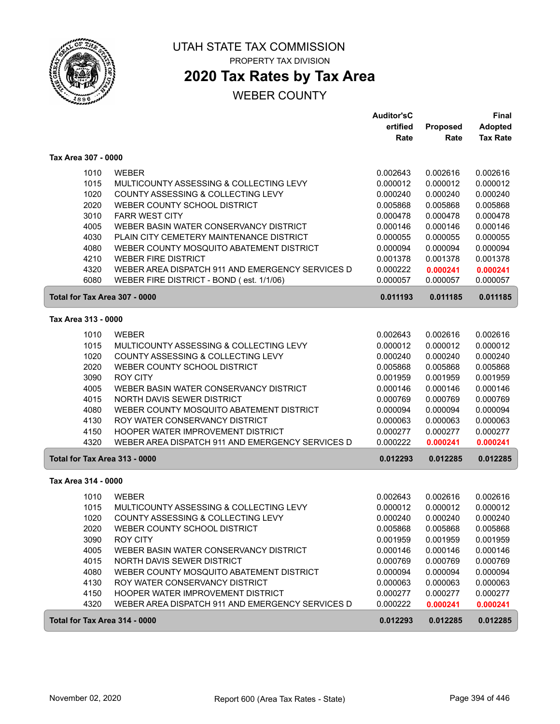

# **2020 Tax Rates by Tax Area**

|                               |                                                  | <b>Auditor'sC</b> |          | <b>Final</b>    |
|-------------------------------|--------------------------------------------------|-------------------|----------|-----------------|
|                               |                                                  | ertified          | Proposed | Adopted         |
|                               |                                                  | Rate              | Rate     | <b>Tax Rate</b> |
| Tax Area 307 - 0000           |                                                  |                   |          |                 |
| 1010                          | <b>WEBER</b>                                     | 0.002643          | 0.002616 | 0.002616        |
| 1015                          | MULTICOUNTY ASSESSING & COLLECTING LEVY          | 0.000012          | 0.000012 | 0.000012        |
| 1020                          | COUNTY ASSESSING & COLLECTING LEVY               | 0.000240          | 0.000240 | 0.000240        |
| 2020                          | WEBER COUNTY SCHOOL DISTRICT                     | 0.005868          | 0.005868 | 0.005868        |
| 3010                          | <b>FARR WEST CITY</b>                            | 0.000478          | 0.000478 | 0.000478        |
| 4005                          | WEBER BASIN WATER CONSERVANCY DISTRICT           | 0.000146          | 0.000146 | 0.000146        |
| 4030                          | PLAIN CITY CEMETERY MAINTENANCE DISTRICT         | 0.000055          | 0.000055 | 0.000055        |
| 4080                          | WEBER COUNTY MOSQUITO ABATEMENT DISTRICT         | 0.000094          | 0.000094 | 0.000094        |
| 4210                          | <b>WEBER FIRE DISTRICT</b>                       | 0.001378          | 0.001378 | 0.001378        |
| 4320                          | WEBER AREA DISPATCH 911 AND EMERGENCY SERVICES D | 0.000222          | 0.000241 | 0.000241        |
| 6080                          | WEBER FIRE DISTRICT - BOND (est. 1/1/06)         | 0.000057          | 0.000057 | 0.000057        |
| Total for Tax Area 307 - 0000 |                                                  | 0.011193          | 0.011185 | 0.011185        |
| Tax Area 313 - 0000           |                                                  |                   |          |                 |
| 1010                          | <b>WEBER</b>                                     | 0.002643          | 0.002616 | 0.002616        |
| 1015                          | MULTICOUNTY ASSESSING & COLLECTING LEVY          | 0.000012          | 0.000012 | 0.000012        |
| 1020                          | COUNTY ASSESSING & COLLECTING LEVY               | 0.000240          | 0.000240 | 0.000240        |
| 2020                          | WEBER COUNTY SCHOOL DISTRICT                     | 0.005868          | 0.005868 | 0.005868        |
| 3090                          | <b>ROY CITY</b>                                  | 0.001959          | 0.001959 | 0.001959        |
| 4005                          | WEBER BASIN WATER CONSERVANCY DISTRICT           | 0.000146          | 0.000146 | 0.000146        |
| 4015                          | NORTH DAVIS SEWER DISTRICT                       | 0.000769          | 0.000769 | 0.000769        |
| 4080                          | WEBER COUNTY MOSQUITO ABATEMENT DISTRICT         | 0.000094          | 0.000094 | 0.000094        |
| 4130                          | ROY WATER CONSERVANCY DISTRICT                   | 0.000063          | 0.000063 | 0.000063        |
| 4150                          | HOOPER WATER IMPROVEMENT DISTRICT                | 0.000277          | 0.000277 | 0.000277        |
| 4320                          | WEBER AREA DISPATCH 911 AND EMERGENCY SERVICES D | 0.000222          | 0.000241 | 0.000241        |
| Total for Tax Area 313 - 0000 |                                                  | 0.012293          | 0.012285 | 0.012285        |
| Tax Area 314 - 0000           |                                                  |                   |          |                 |
| 1010                          | <b>WEBER</b>                                     | 0.002643          | 0.002616 | 0.002616        |
| 1015                          | MULTICOUNTY ASSESSING & COLLECTING LEVY          | 0.000012          | 0.000012 | 0.000012        |
| 1020                          | COUNTY ASSESSING & COLLECTING LEVY               | 0.000240          | 0.000240 | 0.000240        |
| 2020                          | WEBER COUNTY SCHOOL DISTRICT                     | 0.005868          | 0.005868 | 0.005868        |
| 3090                          | ROY CITY                                         | 0.001959          | 0.001959 | 0.001959        |
| 4005                          | WEBER BASIN WATER CONSERVANCY DISTRICT           | 0.000146          | 0.000146 | 0.000146        |
| 4015                          | NORTH DAVIS SEWER DISTRICT                       | 0.000769          | 0.000769 | 0.000769        |
| 4080                          | WEBER COUNTY MOSQUITO ABATEMENT DISTRICT         | 0.000094          | 0.000094 | 0.000094        |
| 4130                          | ROY WATER CONSERVANCY DISTRICT                   | 0.000063          | 0.000063 | 0.000063        |
| 4150                          | HOOPER WATER IMPROVEMENT DISTRICT                | 0.000277          | 0.000277 | 0.000277        |
| 4320                          | WEBER AREA DISPATCH 911 AND EMERGENCY SERVICES D | 0.000222          | 0.000241 | 0.000241        |
| Total for Tax Area 314 - 0000 |                                                  | 0.012293          | 0.012285 | 0.012285        |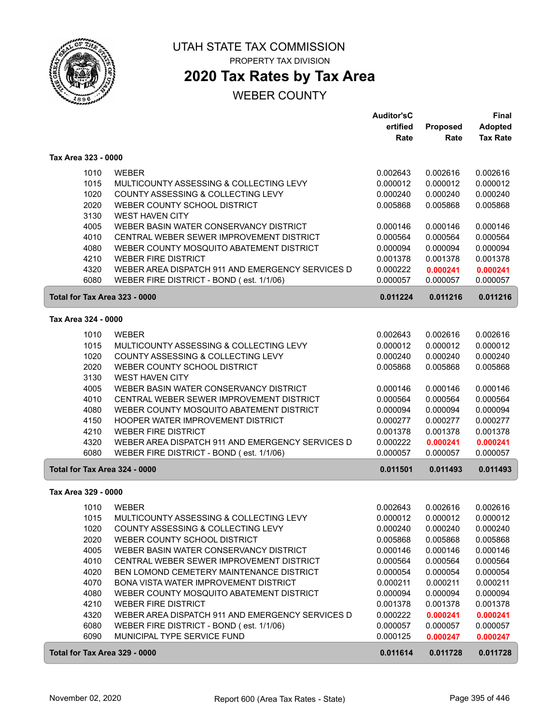

# UTAH STATE TAX COMMISSION

PROPERTY TAX DIVISION

## **2020 Tax Rates by Tax Area**

|                               |                                                  | <b>Auditor'sC</b> |          | <b>Final</b>    |
|-------------------------------|--------------------------------------------------|-------------------|----------|-----------------|
|                               |                                                  | ertified          | Proposed | <b>Adopted</b>  |
|                               |                                                  | Rate              | Rate     | <b>Tax Rate</b> |
| Tax Area 323 - 0000           |                                                  |                   |          |                 |
| 1010                          | <b>WEBER</b>                                     | 0.002643          | 0.002616 | 0.002616        |
| 1015                          | MULTICOUNTY ASSESSING & COLLECTING LEVY          | 0.000012          | 0.000012 | 0.000012        |
| 1020                          | COUNTY ASSESSING & COLLECTING LEVY               | 0.000240          | 0.000240 | 0.000240        |
| 2020                          | WEBER COUNTY SCHOOL DISTRICT                     | 0.005868          | 0.005868 | 0.005868        |
| 3130                          | <b>WEST HAVEN CITY</b>                           |                   |          |                 |
| 4005                          | WEBER BASIN WATER CONSERVANCY DISTRICT           | 0.000146          | 0.000146 | 0.000146        |
| 4010                          | CENTRAL WEBER SEWER IMPROVEMENT DISTRICT         | 0.000564          | 0.000564 | 0.000564        |
| 4080                          | WEBER COUNTY MOSQUITO ABATEMENT DISTRICT         | 0.000094          | 0.000094 | 0.000094        |
| 4210                          | <b>WEBER FIRE DISTRICT</b>                       | 0.001378          | 0.001378 | 0.001378        |
| 4320                          | WEBER AREA DISPATCH 911 AND EMERGENCY SERVICES D | 0.000222          | 0.000241 | 0.000241        |
| 6080                          | WEBER FIRE DISTRICT - BOND (est. 1/1/06)         | 0.000057          | 0.000057 | 0.000057        |
| Total for Tax Area 323 - 0000 |                                                  | 0.011224          | 0.011216 | 0.011216        |
| Tax Area 324 - 0000           |                                                  |                   |          |                 |
| 1010                          | <b>WEBER</b>                                     | 0.002643          | 0.002616 | 0.002616        |
| 1015                          | MULTICOUNTY ASSESSING & COLLECTING LEVY          | 0.000012          | 0.000012 | 0.000012        |
| 1020                          | COUNTY ASSESSING & COLLECTING LEVY               | 0.000240          | 0.000240 | 0.000240        |
| 2020                          | WEBER COUNTY SCHOOL DISTRICT                     | 0.005868          | 0.005868 | 0.005868        |
| 3130                          | <b>WEST HAVEN CITY</b>                           |                   |          |                 |
| 4005                          | WEBER BASIN WATER CONSERVANCY DISTRICT           | 0.000146          | 0.000146 | 0.000146        |
| 4010                          | CENTRAL WEBER SEWER IMPROVEMENT DISTRICT         | 0.000564          | 0.000564 | 0.000564        |
| 4080                          | WEBER COUNTY MOSQUITO ABATEMENT DISTRICT         | 0.000094          | 0.000094 | 0.000094        |
| 4150                          | HOOPER WATER IMPROVEMENT DISTRICT                | 0.000277          | 0.000277 | 0.000277        |
| 4210                          | <b>WEBER FIRE DISTRICT</b>                       | 0.001378          | 0.001378 | 0.001378        |
| 4320                          | WEBER AREA DISPATCH 911 AND EMERGENCY SERVICES D | 0.000222          | 0.000241 | 0.000241        |
| 6080                          | WEBER FIRE DISTRICT - BOND (est. 1/1/06)         | 0.000057          | 0.000057 | 0.000057        |
| Total for Tax Area 324 - 0000 |                                                  | 0.011501          | 0.011493 | 0.011493        |
| Tax Area 329 - 0000           |                                                  |                   |          |                 |
| 1010                          | <b>WEBER</b>                                     | 0.002643          | 0.002616 | 0.002616        |
| 1015                          | MULTICOUNTY ASSESSING & COLLECTING LEVY          | 0.000012          | 0.000012 | 0.000012        |
| 1020                          | COUNTY ASSESSING & COLLECTING LEVY               | 0.000240          | 0.000240 | 0.000240        |
| 2020                          | WEBER COUNTY SCHOOL DISTRICT                     | 0.005868          | 0.005868 | 0.005868        |
| 4005                          | WEBER BASIN WATER CONSERVANCY DISTRICT           | 0.000146          | 0.000146 | 0.000146        |
| 4010                          | CENTRAL WEBER SEWER IMPROVEMENT DISTRICT         | 0.000564          | 0.000564 | 0.000564        |
| 4020                          | BEN LOMOND CEMETERY MAINTENANCE DISTRICT         | 0.000054          | 0.000054 | 0.000054        |
| 4070                          | BONA VISTA WATER IMPROVEMENT DISTRICT            | 0.000211          | 0.000211 | 0.000211        |
| 4080                          | WEBER COUNTY MOSQUITO ABATEMENT DISTRICT         | 0.000094          | 0.000094 | 0.000094        |
| 4210                          | <b>WEBER FIRE DISTRICT</b>                       | 0.001378          | 0.001378 | 0.001378        |
| 4320                          | WEBER AREA DISPATCH 911 AND EMERGENCY SERVICES D | 0.000222          | 0.000241 | 0.000241        |
| 6080                          | WEBER FIRE DISTRICT - BOND (est. 1/1/06)         | 0.000057          | 0.000057 | 0.000057        |
| 6090                          | MUNICIPAL TYPE SERVICE FUND                      | 0.000125          | 0.000247 | 0.000247        |
| Total for Tax Area 329 - 0000 |                                                  | 0.011614          | 0.011728 | 0.011728        |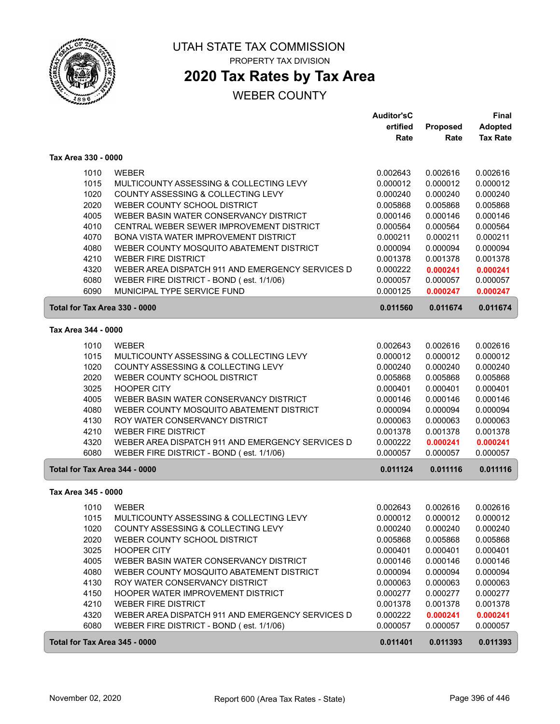

ſ

UTAH STATE TAX COMMISSION PROPERTY TAX DIVISION

## **2020 Tax Rates by Tax Area**

|                               |                                                  | <b>Auditor'sC</b> |          | Final           |
|-------------------------------|--------------------------------------------------|-------------------|----------|-----------------|
|                               |                                                  | ertified          | Proposed | <b>Adopted</b>  |
|                               |                                                  | Rate              | Rate     | <b>Tax Rate</b> |
| Tax Area 330 - 0000           |                                                  |                   |          |                 |
| 1010                          | <b>WEBER</b>                                     | 0.002643          | 0.002616 | 0.002616        |
| 1015                          | MULTICOUNTY ASSESSING & COLLECTING LEVY          | 0.000012          | 0.000012 | 0.000012        |
| 1020                          | COUNTY ASSESSING & COLLECTING LEVY               | 0.000240          | 0.000240 | 0.000240        |
| 2020                          | WEBER COUNTY SCHOOL DISTRICT                     | 0.005868          | 0.005868 | 0.005868        |
| 4005                          | WEBER BASIN WATER CONSERVANCY DISTRICT           | 0.000146          | 0.000146 | 0.000146        |
| 4010                          | CENTRAL WEBER SEWER IMPROVEMENT DISTRICT         | 0.000564          | 0.000564 | 0.000564        |
| 4070                          | BONA VISTA WATER IMPROVEMENT DISTRICT            | 0.000211          | 0.000211 | 0.000211        |
| 4080                          | WEBER COUNTY MOSQUITO ABATEMENT DISTRICT         | 0.000094          | 0.000094 | 0.000094        |
| 4210                          | <b>WEBER FIRE DISTRICT</b>                       | 0.001378          | 0.001378 | 0.001378        |
| 4320                          | WEBER AREA DISPATCH 911 AND EMERGENCY SERVICES D | 0.000222          | 0.000241 | 0.000241        |
| 6080                          | WEBER FIRE DISTRICT - BOND (est. 1/1/06)         | 0.000057          | 0.000057 | 0.000057        |
| 6090                          | MUNICIPAL TYPE SERVICE FUND                      | 0.000125          | 0.000247 | 0.000247        |
| Total for Tax Area 330 - 0000 |                                                  | 0.011560          | 0.011674 | 0.011674        |
| Tax Area 344 - 0000           |                                                  |                   |          |                 |
|                               |                                                  |                   |          |                 |
| 1010                          | <b>WEBER</b>                                     | 0.002643          | 0.002616 | 0.002616        |
| 1015                          | MULTICOUNTY ASSESSING & COLLECTING LEVY          | 0.000012          | 0.000012 | 0.000012        |
| 1020                          | COUNTY ASSESSING & COLLECTING LEVY               | 0.000240          | 0.000240 | 0.000240        |
| 2020                          | WEBER COUNTY SCHOOL DISTRICT                     | 0.005868          | 0.005868 | 0.005868        |
| 3025                          | <b>HOOPER CITY</b>                               | 0.000401          | 0.000401 | 0.000401        |
| 4005                          | WEBER BASIN WATER CONSERVANCY DISTRICT           | 0.000146          | 0.000146 | 0.000146        |
| 4080                          | WEBER COUNTY MOSQUITO ABATEMENT DISTRICT         | 0.000094          | 0.000094 | 0.000094        |
| 4130                          | ROY WATER CONSERVANCY DISTRICT                   | 0.000063          | 0.000063 | 0.000063        |
| 4210                          | <b>WEBER FIRE DISTRICT</b>                       | 0.001378          | 0.001378 | 0.001378        |
| 4320                          | WEBER AREA DISPATCH 911 AND EMERGENCY SERVICES D | 0.000222          | 0.000241 | 0.000241        |
| 6080                          | WEBER FIRE DISTRICT - BOND (est. 1/1/06)         | 0.000057          | 0.000057 | 0.000057        |
| Total for Tax Area 344 - 0000 |                                                  | 0.011124          | 0.011116 | 0.011116        |
| Tax Area 345 - 0000           |                                                  |                   |          |                 |
| 1010                          | <b>WEBER</b>                                     | 0.002643          | 0.002616 | 0.002616        |
| 1015                          | MULTICOUNTY ASSESSING & COLLECTING LEVY          | 0.000012          | 0.000012 | 0.000012        |
| 1020                          | COUNTY ASSESSING & COLLECTING LEVY               | 0.000240          | 0.000240 | 0.000240        |
| 2020                          | WEBER COUNTY SCHOOL DISTRICT                     | 0.005868          | 0.005868 | 0.005868        |
| 3025                          | <b>HOOPER CITY</b>                               | 0.000401          | 0.000401 | 0.000401        |
| 4005                          | WEBER BASIN WATER CONSERVANCY DISTRICT           | 0.000146          | 0.000146 | 0.000146        |
| 4080                          | WEBER COUNTY MOSQUITO ABATEMENT DISTRICT         | 0.000094          | 0.000094 | 0.000094        |
| 4130                          | ROY WATER CONSERVANCY DISTRICT                   | 0.000063          | 0.000063 | 0.000063        |
| 4150                          | HOOPER WATER IMPROVEMENT DISTRICT                | 0.000277          | 0.000277 | 0.000277        |
| 4210                          | <b>WEBER FIRE DISTRICT</b>                       | 0.001378          | 0.001378 | 0.001378        |
| 4320                          | WEBER AREA DISPATCH 911 AND EMERGENCY SERVICES D | 0.000222          | 0.000241 | 0.000241        |
| 6080                          | WEBER FIRE DISTRICT - BOND (est. 1/1/06)         | 0.000057          | 0.000057 | 0.000057        |
| Total for Tax Area 345 - 0000 |                                                  | 0.011401          | 0.011393 | 0.011393        |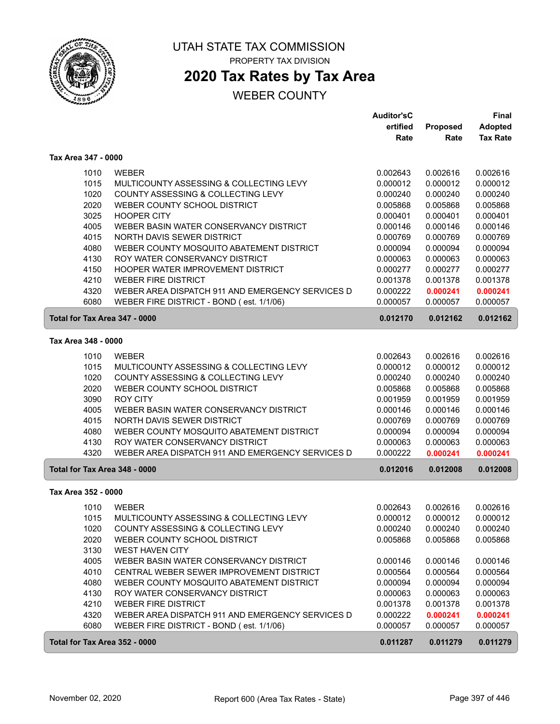

# **2020 Tax Rates by Tax Area**

|                               |                                                  | <b>Auditor'sC</b> |          | Final           |
|-------------------------------|--------------------------------------------------|-------------------|----------|-----------------|
|                               |                                                  | ertified          | Proposed | <b>Adopted</b>  |
|                               |                                                  | Rate              | Rate     | <b>Tax Rate</b> |
| Tax Area 347 - 0000           |                                                  |                   |          |                 |
| 1010                          | <b>WEBER</b>                                     | 0.002643          | 0.002616 | 0.002616        |
| 1015                          | MULTICOUNTY ASSESSING & COLLECTING LEVY          | 0.000012          | 0.000012 | 0.000012        |
| 1020                          | COUNTY ASSESSING & COLLECTING LEVY               | 0.000240          | 0.000240 | 0.000240        |
| 2020                          | WEBER COUNTY SCHOOL DISTRICT                     | 0.005868          | 0.005868 | 0.005868        |
| 3025                          | <b>HOOPER CITY</b>                               | 0.000401          | 0.000401 | 0.000401        |
| 4005                          | WEBER BASIN WATER CONSERVANCY DISTRICT           | 0.000146          | 0.000146 | 0.000146        |
| 4015                          | NORTH DAVIS SEWER DISTRICT                       | 0.000769          | 0.000769 | 0.000769        |
| 4080                          | WEBER COUNTY MOSQUITO ABATEMENT DISTRICT         | 0.000094          | 0.000094 | 0.000094        |
| 4130                          | ROY WATER CONSERVANCY DISTRICT                   | 0.000063          | 0.000063 | 0.000063        |
| 4150                          | HOOPER WATER IMPROVEMENT DISTRICT                | 0.000277          | 0.000277 | 0.000277        |
| 4210                          | <b>WEBER FIRE DISTRICT</b>                       | 0.001378          | 0.001378 | 0.001378        |
| 4320                          | WEBER AREA DISPATCH 911 AND EMERGENCY SERVICES D | 0.000222          | 0.000241 | 0.000241        |
| 6080                          | WEBER FIRE DISTRICT - BOND (est. 1/1/06)         | 0.000057          | 0.000057 | 0.000057        |
| Total for Tax Area 347 - 0000 |                                                  | 0.012170          | 0.012162 | 0.012162        |
| Tax Area 348 - 0000           |                                                  |                   |          |                 |
| 1010                          | <b>WEBER</b>                                     | 0.002643          | 0.002616 | 0.002616        |
| 1015                          | MULTICOUNTY ASSESSING & COLLECTING LEVY          | 0.000012          | 0.000012 | 0.000012        |
| 1020                          | COUNTY ASSESSING & COLLECTING LEVY               | 0.000240          | 0.000240 | 0.000240        |
| 2020                          | WEBER COUNTY SCHOOL DISTRICT                     | 0.005868          | 0.005868 | 0.005868        |
| 3090                          | <b>ROY CITY</b>                                  | 0.001959          | 0.001959 | 0.001959        |
| 4005                          | WEBER BASIN WATER CONSERVANCY DISTRICT           | 0.000146          | 0.000146 | 0.000146        |
| 4015                          | NORTH DAVIS SEWER DISTRICT                       | 0.000769          | 0.000769 | 0.000769        |
| 4080                          | WEBER COUNTY MOSQUITO ABATEMENT DISTRICT         | 0.000094          | 0.000094 | 0.000094        |
| 4130                          | ROY WATER CONSERVANCY DISTRICT                   | 0.000063          | 0.000063 | 0.000063        |
| 4320                          | WEBER AREA DISPATCH 911 AND EMERGENCY SERVICES D | 0.000222          | 0.000241 | 0.000241        |
| Total for Tax Area 348 - 0000 |                                                  | 0.012016          | 0.012008 | 0.012008        |
| Tax Area 352 - 0000           |                                                  |                   |          |                 |
| 1010                          | <b>WEBER</b>                                     | 0.002643          | 0.002616 | 0.002616        |
| 1015                          | MULTICOUNTY ASSESSING & COLLECTING LEVY          | 0.000012          | 0.000012 | 0.000012        |
| 1020                          | COUNTY ASSESSING & COLLECTING LEVY               | 0.000240          | 0.000240 | 0.000240        |
| 2020                          | WEBER COUNTY SCHOOL DISTRICT                     | 0.005868          | 0.005868 | 0.005868        |
| 3130                          | <b>WEST HAVEN CITY</b>                           |                   |          |                 |
| 4005                          | WEBER BASIN WATER CONSERVANCY DISTRICT           | 0.000146          | 0.000146 | 0.000146        |
| 4010                          | CENTRAL WEBER SEWER IMPROVEMENT DISTRICT         | 0.000564          | 0.000564 | 0.000564        |
| 4080                          | WEBER COUNTY MOSQUITO ABATEMENT DISTRICT         | 0.000094          | 0.000094 | 0.000094        |
| 4130                          | ROY WATER CONSERVANCY DISTRICT                   | 0.000063          | 0.000063 | 0.000063        |
| 4210                          | <b>WEBER FIRE DISTRICT</b>                       | 0.001378          | 0.001378 | 0.001378        |
| 4320                          | WEBER AREA DISPATCH 911 AND EMERGENCY SERVICES D | 0.000222          | 0.000241 | 0.000241        |
| 6080                          | WEBER FIRE DISTRICT - BOND (est. 1/1/06)         | 0.000057          | 0.000057 | 0.000057        |
| Total for Tax Area 352 - 0000 |                                                  | 0.011287          | 0.011279 | 0.011279        |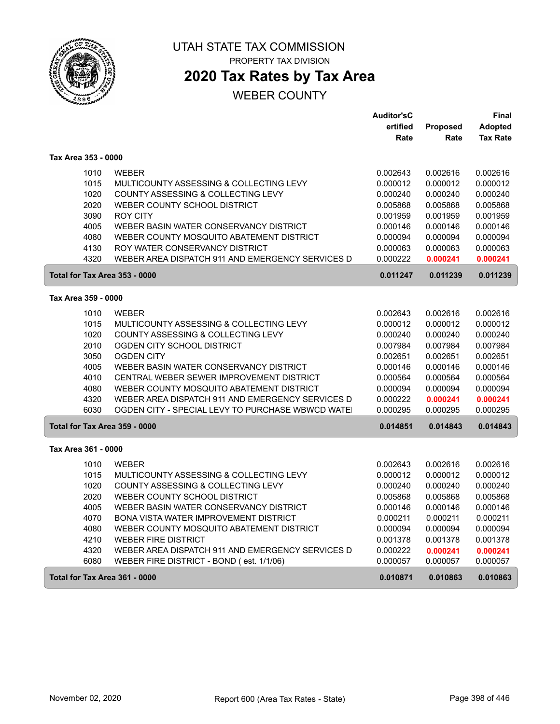

**2020 Tax Rates by Tax Area**

|                     |                                                                               | <b>Auditor'sC</b>    |                      | Final                |
|---------------------|-------------------------------------------------------------------------------|----------------------|----------------------|----------------------|
|                     |                                                                               | ertified             | Proposed             | <b>Adopted</b>       |
|                     |                                                                               | Rate                 | Rate                 | <b>Tax Rate</b>      |
| Tax Area 353 - 0000 |                                                                               |                      |                      |                      |
| 1010                | <b>WEBER</b>                                                                  | 0.002643             | 0.002616             | 0.002616             |
| 1015                | MULTICOUNTY ASSESSING & COLLECTING LEVY                                       | 0.000012             | 0.000012             | 0.000012             |
| 1020                | COUNTY ASSESSING & COLLECTING LEVY                                            | 0.000240             | 0.000240             | 0.000240             |
| 2020                | WEBER COUNTY SCHOOL DISTRICT                                                  | 0.005868             | 0.005868             | 0.005868             |
| 3090                | <b>ROY CITY</b>                                                               | 0.001959             | 0.001959             | 0.001959             |
| 4005                | WEBER BASIN WATER CONSERVANCY DISTRICT                                        | 0.000146             | 0.000146             | 0.000146             |
| 4080                | WEBER COUNTY MOSQUITO ABATEMENT DISTRICT                                      | 0.000094             | 0.000094             | 0.000094             |
| 4130                | ROY WATER CONSERVANCY DISTRICT                                                | 0.000063             | 0.000063             | 0.000063             |
| 4320                | WEBER AREA DISPATCH 911 AND EMERGENCY SERVICES D                              | 0.000222             | 0.000241             | 0.000241             |
|                     | Total for Tax Area 353 - 0000                                                 | 0.011247             | 0.011239             | 0.011239             |
| Tax Area 359 - 0000 |                                                                               |                      |                      |                      |
|                     |                                                                               |                      |                      |                      |
| 1010<br>1015        | <b>WEBER</b>                                                                  | 0.002643             | 0.002616             | 0.002616             |
| 1020                | MULTICOUNTY ASSESSING & COLLECTING LEVY<br>COUNTY ASSESSING & COLLECTING LEVY | 0.000012<br>0.000240 | 0.000012<br>0.000240 | 0.000012<br>0.000240 |
| 2010                | OGDEN CITY SCHOOL DISTRICT                                                    | 0.007984             | 0.007984             | 0.007984             |
| 3050                | <b>OGDEN CITY</b>                                                             | 0.002651             | 0.002651             | 0.002651             |
| 4005                | WEBER BASIN WATER CONSERVANCY DISTRICT                                        | 0.000146             | 0.000146             | 0.000146             |
| 4010                | CENTRAL WEBER SEWER IMPROVEMENT DISTRICT                                      | 0.000564             | 0.000564             | 0.000564             |
| 4080                | WEBER COUNTY MOSQUITO ABATEMENT DISTRICT                                      | 0.000094             | 0.000094             | 0.000094             |
| 4320                | WEBER AREA DISPATCH 911 AND EMERGENCY SERVICES D                              | 0.000222             | 0.000241             | 0.000241             |
| 6030                | OGDEN CITY - SPECIAL LEVY TO PURCHASE WBWCD WATE                              | 0.000295             | 0.000295             | 0.000295             |
|                     | Total for Tax Area 359 - 0000                                                 | 0.014851             | 0.014843             | 0.014843             |
|                     |                                                                               |                      |                      |                      |
| Tax Area 361 - 0000 |                                                                               |                      |                      |                      |
| 1010                | <b>WEBER</b>                                                                  | 0.002643             | 0.002616             | 0.002616             |
| 1015                | MULTICOUNTY ASSESSING & COLLECTING LEVY                                       | 0.000012             | 0.000012             | 0.000012             |
| 1020                | COUNTY ASSESSING & COLLECTING LEVY                                            | 0.000240             | 0.000240             | 0.000240             |
| 2020                | WEBER COUNTY SCHOOL DISTRICT                                                  | 0.005868             | 0.005868             | 0.005868             |
| 4005                | WEBER BASIN WATER CONSERVANCY DISTRICT                                        | 0.000146             | 0.000146             | 0.000146             |
| 4070                | <b>BONA VISTA WATER IMPROVEMENT DISTRICT</b>                                  | 0.000211             | 0.000211             | 0.000211             |
| 4080                | WEBER COUNTY MOSQUITO ABATEMENT DISTRICT                                      | 0.000094             | 0.000094             | 0.000094             |
| 4210                | <b>WEBER FIRE DISTRICT</b>                                                    | 0.001378             | 0.001378             | 0.001378             |
| 4320                | WEBER AREA DISPATCH 911 AND EMERGENCY SERVICES D                              | 0.000222             | 0.000241             | 0.000241             |
| 6080                | WEBER FIRE DISTRICT - BOND (est. 1/1/06)                                      | 0.000057             | 0.000057             | 0.000057             |
|                     | Total for Tax Area 361 - 0000                                                 | 0.010871             | 0.010863             | 0.010863             |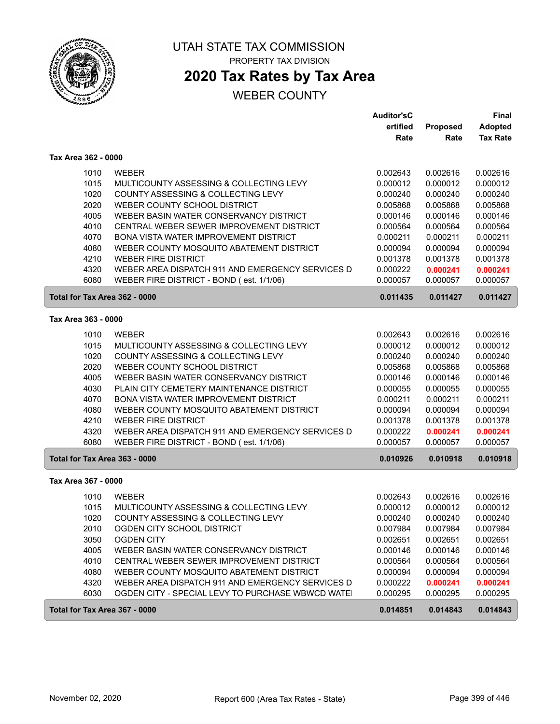

# **2020 Tax Rates by Tax Area**

## WEBER COUNTY

|                               |                                                  | <b>Auditor'sC</b> |          | Final           |  |
|-------------------------------|--------------------------------------------------|-------------------|----------|-----------------|--|
|                               |                                                  | ertified          | Proposed | Adopted         |  |
|                               |                                                  | Rate              | Rate     | <b>Tax Rate</b> |  |
| Tax Area 362 - 0000           |                                                  |                   |          |                 |  |
| 1010                          | <b>WEBER</b>                                     | 0.002643          | 0.002616 | 0.002616        |  |
| 1015                          | MULTICOUNTY ASSESSING & COLLECTING LEVY          | 0.000012          | 0.000012 | 0.000012        |  |
| 1020                          | COUNTY ASSESSING & COLLECTING LEVY               | 0.000240          | 0.000240 | 0.000240        |  |
| 2020                          | WEBER COUNTY SCHOOL DISTRICT                     | 0.005868          | 0.005868 | 0.005868        |  |
| 4005                          | WEBER BASIN WATER CONSERVANCY DISTRICT           | 0.000146          | 0.000146 | 0.000146        |  |
| 4010                          | CENTRAL WEBER SEWER IMPROVEMENT DISTRICT         | 0.000564          | 0.000564 | 0.000564        |  |
| 4070                          | <b>BONA VISTA WATER IMPROVEMENT DISTRICT</b>     | 0.000211          | 0.000211 | 0.000211        |  |
| 4080                          | WEBER COUNTY MOSQUITO ABATEMENT DISTRICT         | 0.000094          | 0.000094 | 0.000094        |  |
| 4210                          | <b>WEBER FIRE DISTRICT</b>                       | 0.001378          | 0.001378 | 0.001378        |  |
| 4320                          | WEBER AREA DISPATCH 911 AND EMERGENCY SERVICES D | 0.000222          | 0.000241 | 0.000241        |  |
| 6080                          | WEBER FIRE DISTRICT - BOND (est. 1/1/06)         | 0.000057          | 0.000057 | 0.000057        |  |
| Total for Tax Area 362 - 0000 |                                                  | 0.011435          | 0.011427 | 0.011427        |  |
| Tax Area 363 - 0000           |                                                  |                   |          |                 |  |
| 1010                          | <b>WEBER</b>                                     | 0.002643          | 0.002616 | 0.002616        |  |
| 1015                          | MULTICOUNTY ASSESSING & COLLECTING LEVY          | 0.000012          | 0.000012 | 0.000012        |  |
| 1020                          | COUNTY ASSESSING & COLLECTING LEVY               | 0.000240          | 0.000240 | 0.000240        |  |
| 2020                          | WEBER COUNTY SCHOOL DISTRICT                     | 0.005868          | 0.005868 | 0.005868        |  |
| 4005                          | WEBER BASIN WATER CONSERVANCY DISTRICT           | 0.000146          | 0.000146 | 0.000146        |  |
| 4030                          | PLAIN CITY CEMETERY MAINTENANCE DISTRICT         | 0.000055          | 0.000055 | 0.000055        |  |
| 4070                          | BONA VISTA WATER IMPROVEMENT DISTRICT            | 0.000211          | 0.000211 | 0.000211        |  |
| 4080                          | WEBER COUNTY MOSQUITO ABATEMENT DISTRICT         | 0.000094          | 0.000094 | 0.000094        |  |
| 4210                          | <b>WEBER FIRE DISTRICT</b>                       | 0.001378          | 0.001378 | 0.001378        |  |
| 4320                          | WEBER AREA DISPATCH 911 AND EMERGENCY SERVICES D | 0.000222          | 0.000241 | 0.000241        |  |
| 6080                          | WEBER FIRE DISTRICT - BOND (est. 1/1/06)         | 0.000057          | 0.000057 | 0.000057        |  |
| Total for Tax Area 363 - 0000 |                                                  | 0.010926          | 0.010918 | 0.010918        |  |
| Tax Area 367 - 0000           |                                                  |                   |          |                 |  |
| 1010                          | <b>WEBER</b>                                     | 0.002643          | 0.002616 | 0.002616        |  |
| 1015                          | MULTICOUNTY ASSESSING & COLLECTING LEVY          | 0.000012          | 0.000012 | 0.000012        |  |
| 1020                          | COUNTY ASSESSING & COLLECTING LEVY               | 0.000240          | 0.000240 | 0.000240        |  |
| 2010                          | OGDEN CITY SCHOOL DISTRICT                       | 0.007984          | 0.007984 | 0.007984        |  |
| 3050                          | <b>OGDEN CITY</b>                                | 0.002651          | 0.002651 | 0.002651        |  |
| 4005                          | WEBER BASIN WATER CONSERVANCY DISTRICT           | 0.000146          | 0.000146 | 0.000146        |  |
| 4010                          | CENTRAL WEBER SEWER IMPROVEMENT DISTRICT         | 0.000564          | 0.000564 | 0.000564        |  |
| 4080                          | WEBER COUNTY MOSQUITO ABATEMENT DISTRICT         | 0.000094          | 0.000094 | 0.000094        |  |
| 4320                          | WEBER AREA DISPATCH 911 AND EMERGENCY SERVICES D | 0.000222          | 0.000241 | 0.000241        |  |
| 6030                          | OGDEN CITY - SPECIAL LEVY TO PURCHASE WBWCD WATE | 0.000295          | 0.000295 | 0.000295        |  |
| Total for Tax Area 367 - 0000 |                                                  | 0.014851          | 0.014843 | 0.014843        |  |

ſ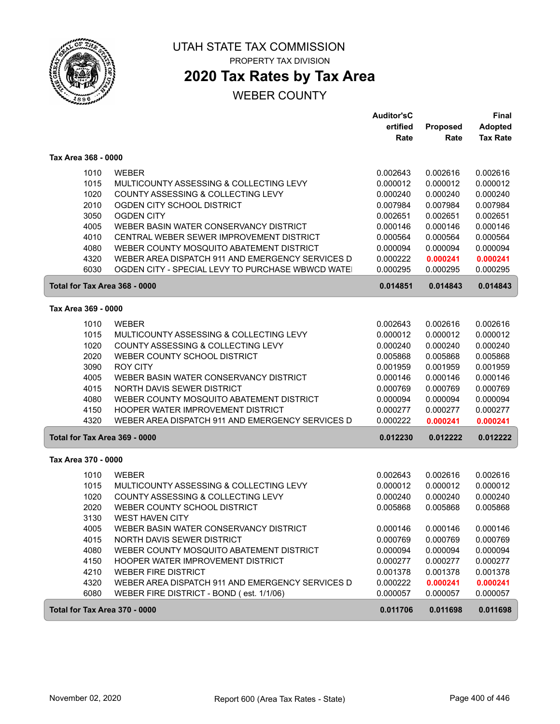

## **2020 Tax Rates by Tax Area**

### WEBER COUNTY

|                               |                                                  | <b>Auditor'sC</b><br>ertified<br>Rate | Proposed<br>Rate | <b>Final</b><br><b>Adopted</b><br><b>Tax Rate</b> |
|-------------------------------|--------------------------------------------------|---------------------------------------|------------------|---------------------------------------------------|
| Tax Area 368 - 0000           |                                                  |                                       |                  |                                                   |
| 1010                          | <b>WEBER</b>                                     | 0.002643                              | 0.002616         | 0.002616                                          |
| 1015                          | MULTICOUNTY ASSESSING & COLLECTING LEVY          | 0.000012                              | 0.000012         | 0.000012                                          |
| 1020                          | COUNTY ASSESSING & COLLECTING LEVY               | 0.000240                              | 0.000240         | 0.000240                                          |
| 2010                          | OGDEN CITY SCHOOL DISTRICT                       | 0.007984                              | 0.007984         | 0.007984                                          |
| 3050                          | <b>OGDEN CITY</b>                                | 0.002651                              | 0.002651         | 0.002651                                          |
| 4005                          | WEBER BASIN WATER CONSERVANCY DISTRICT           | 0.000146                              | 0.000146         | 0.000146                                          |
| 4010                          | CENTRAL WEBER SEWER IMPROVEMENT DISTRICT         | 0.000564                              | 0.000564         | 0.000564                                          |
| 4080                          | WEBER COUNTY MOSQUITO ABATEMENT DISTRICT         | 0.000094                              | 0.000094         | 0.000094                                          |
| 4320                          | WEBER AREA DISPATCH 911 AND EMERGENCY SERVICES D | 0.000222                              | 0.000241         | 0.000241                                          |
| 6030                          | OGDEN CITY - SPECIAL LEVY TO PURCHASE WBWCD WATE | 0.000295                              | 0.000295         | 0.000295                                          |
| Total for Tax Area 368 - 0000 |                                                  | 0.014851                              | 0.014843         | 0.014843                                          |
| Tax Area 369 - 0000           |                                                  |                                       |                  |                                                   |
| 1010                          | <b>WEBER</b>                                     | 0.002643                              | 0.002616         | 0.002616                                          |
| 1015                          | MULTICOUNTY ASSESSING & COLLECTING LEVY          | 0.000012                              | 0.000012         | 0.000012                                          |
| 1020                          | COUNTY ASSESSING & COLLECTING LEVY               | 0.000240                              | 0.000240         | 0.000240                                          |
| 2020                          | WEBER COUNTY SCHOOL DISTRICT                     | 0.005868                              | 0.005868         | 0.005868                                          |
| 3090                          | <b>ROY CITY</b>                                  | 0.001959                              | 0.001959         | 0.001959                                          |
| 4005                          | WEBER BASIN WATER CONSERVANCY DISTRICT           | 0.000146                              | 0.000146         | 0.000146                                          |
| 4015                          | NORTH DAVIS SEWER DISTRICT                       | 0.000769                              | 0.000769         | 0.000769                                          |
| 4080                          | WEBER COUNTY MOSQUITO ABATEMENT DISTRICT         | 0.000094                              | 0.000094         | 0.000094                                          |
| 4150                          | HOOPER WATER IMPROVEMENT DISTRICT                | 0.000277                              | 0.000277         | 0.000277                                          |
| 4320                          | WEBER AREA DISPATCH 911 AND EMERGENCY SERVICES D | 0.000222                              | 0.000241         | 0.000241                                          |
| Total for Tax Area 369 - 0000 |                                                  | 0.012230                              | 0.012222         | 0.012222                                          |
| Tax Area 370 - 0000           |                                                  |                                       |                  |                                                   |
| 1010                          | <b>WEBER</b>                                     | 0.002643                              | 0.002616         | 0.002616                                          |
| 1015                          | MULTICOUNTY ASSESSING & COLLECTING LEVY          | 0.000012                              | 0.000012         | 0.000012                                          |
| 1020                          | COUNTY ASSESSING & COLLECTING LEVY               | 0.000240                              | 0.000240         | 0.000240                                          |
| 2020                          | WEBER COUNTY SCHOOL DISTRICT                     | 0.005868                              | 0.005868         | 0.005868                                          |
| 3130                          | <b>WEST HAVEN CITY</b>                           |                                       |                  |                                                   |
| 4005                          | WEBER BASIN WATER CONSERVANCY DISTRICT           | 0.000146                              | 0.000146         | 0.000146                                          |
| 4015                          | NORTH DAVIS SEWER DISTRICT                       | 0.000769                              | 0.000769         | 0.000769                                          |
| 4080                          | WEBER COUNTY MOSQUITO ABATEMENT DISTRICT         | 0.000094                              | 0.000094         | 0.000094                                          |
| 4150                          | HOOPER WATER IMPROVEMENT DISTRICT                | 0.000277                              | 0.000277         | 0.000277                                          |
| 4210                          | <b>WEBER FIRE DISTRICT</b>                       | 0.001378                              | 0.001378         | 0.001378                                          |
| 4320                          | WEBER AREA DISPATCH 911 AND EMERGENCY SERVICES D | 0.000222                              | 0.000241         | 0.000241                                          |
| 6080                          | WEBER FIRE DISTRICT - BOND (est. 1/1/06)         | 0.000057                              | 0.000057         | 0.000057                                          |
| Total for Tax Area 370 - 0000 |                                                  | 0.011706                              | 0.011698         | 0.011698                                          |

ſ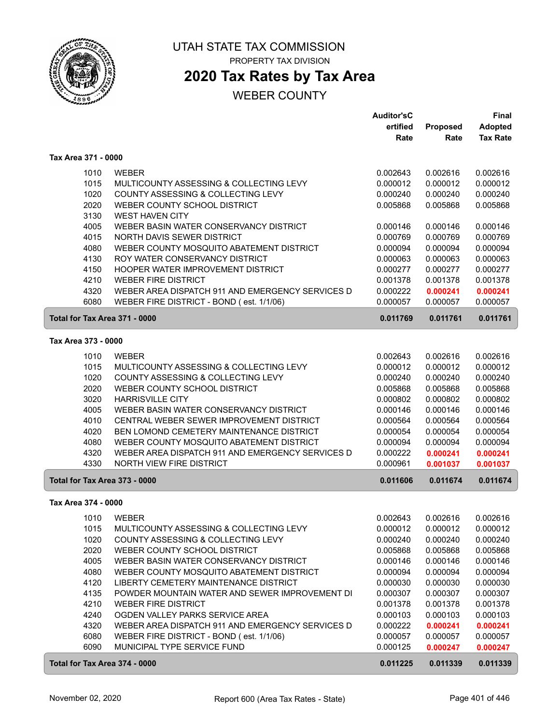

## **2020 Tax Rates by Tax Area**

|                               |                                                  | <b>Auditor'sC</b> |          | Final           |
|-------------------------------|--------------------------------------------------|-------------------|----------|-----------------|
|                               |                                                  | ertified          | Proposed | <b>Adopted</b>  |
|                               |                                                  | Rate              | Rate     | <b>Tax Rate</b> |
| Tax Area 371 - 0000           |                                                  |                   |          |                 |
|                               |                                                  |                   |          |                 |
| 1010                          | <b>WEBER</b>                                     | 0.002643          | 0.002616 | 0.002616        |
| 1015                          | MULTICOUNTY ASSESSING & COLLECTING LEVY          | 0.000012          | 0.000012 | 0.000012        |
| 1020                          | COUNTY ASSESSING & COLLECTING LEVY               | 0.000240          | 0.000240 | 0.000240        |
| 2020                          | WEBER COUNTY SCHOOL DISTRICT                     | 0.005868          | 0.005868 | 0.005868        |
| 3130                          | <b>WEST HAVEN CITY</b>                           |                   |          |                 |
| 4005                          | WEBER BASIN WATER CONSERVANCY DISTRICT           | 0.000146          | 0.000146 | 0.000146        |
| 4015                          | NORTH DAVIS SEWER DISTRICT                       | 0.000769          | 0.000769 | 0.000769        |
| 4080                          | WEBER COUNTY MOSQUITO ABATEMENT DISTRICT         | 0.000094          | 0.000094 | 0.000094        |
| 4130                          | ROY WATER CONSERVANCY DISTRICT                   | 0.000063          | 0.000063 | 0.000063        |
| 4150                          | HOOPER WATER IMPROVEMENT DISTRICT                | 0.000277          | 0.000277 | 0.000277        |
| 4210                          | <b>WEBER FIRE DISTRICT</b>                       | 0.001378          | 0.001378 | 0.001378        |
| 4320                          | WEBER AREA DISPATCH 911 AND EMERGENCY SERVICES D | 0.000222          | 0.000241 | 0.000241        |
| 6080                          | WEBER FIRE DISTRICT - BOND (est. 1/1/06)         | 0.000057          | 0.000057 | 0.000057        |
| Total for Tax Area 371 - 0000 |                                                  | 0.011769          | 0.011761 | 0.011761        |
| Tax Area 373 - 0000           |                                                  |                   |          |                 |
|                               |                                                  |                   |          |                 |
| 1010                          | <b>WEBER</b>                                     | 0.002643          | 0.002616 | 0.002616        |
| 1015                          | MULTICOUNTY ASSESSING & COLLECTING LEVY          | 0.000012          | 0.000012 | 0.000012        |
| 1020                          | COUNTY ASSESSING & COLLECTING LEVY               | 0.000240          | 0.000240 | 0.000240        |
| 2020                          | WEBER COUNTY SCHOOL DISTRICT                     | 0.005868          | 0.005868 | 0.005868        |
| 3020                          | <b>HARRISVILLE CITY</b>                          | 0.000802          | 0.000802 | 0.000802        |
| 4005                          | WEBER BASIN WATER CONSERVANCY DISTRICT           | 0.000146          | 0.000146 | 0.000146        |
| 4010                          | CENTRAL WEBER SEWER IMPROVEMENT DISTRICT         | 0.000564          | 0.000564 | 0.000564        |
| 4020                          | BEN LOMOND CEMETERY MAINTENANCE DISTRICT         | 0.000054          | 0.000054 | 0.000054        |
| 4080                          | WEBER COUNTY MOSQUITO ABATEMENT DISTRICT         | 0.000094          | 0.000094 | 0.000094        |
| 4320                          | WEBER AREA DISPATCH 911 AND EMERGENCY SERVICES D | 0.000222          | 0.000241 | 0.000241        |
| 4330                          | NORTH VIEW FIRE DISTRICT                         | 0.000961          | 0.001037 | 0.001037        |
| Total for Tax Area 373 - 0000 |                                                  | 0.011606          | 0.011674 | 0.011674        |
| Tax Area 374 - 0000           |                                                  |                   |          |                 |
|                               | 1010 WEBER                                       | 0.002643          | 0.002616 | 0.002616        |
| 1015                          | MULTICOUNTY ASSESSING & COLLECTING LEVY          | 0.000012          | 0.000012 | 0.000012        |
| 1020                          | COUNTY ASSESSING & COLLECTING LEVY               | 0.000240          | 0.000240 | 0.000240        |
| 2020                          | WEBER COUNTY SCHOOL DISTRICT                     | 0.005868          | 0.005868 | 0.005868        |
| 4005                          | WEBER BASIN WATER CONSERVANCY DISTRICT           | 0.000146          | 0.000146 | 0.000146        |
| 4080                          | WEBER COUNTY MOSQUITO ABATEMENT DISTRICT         | 0.000094          | 0.000094 | 0.000094        |
| 4120                          | LIBERTY CEMETERY MAINTENANCE DISTRICT            | 0.000030          | 0.000030 | 0.000030        |
| 4135                          | POWDER MOUNTAIN WATER AND SEWER IMPROVEMENT DI   | 0.000307          | 0.000307 | 0.000307        |
| 4210                          | <b>WEBER FIRE DISTRICT</b>                       | 0.001378          | 0.001378 | 0.001378        |
| 4240                          | OGDEN VALLEY PARKS SERVICE AREA                  | 0.000103          | 0.000103 | 0.000103        |
| 4320                          | WEBER AREA DISPATCH 911 AND EMERGENCY SERVICES D | 0.000222          | 0.000241 | 0.000241        |
| 6080                          | WEBER FIRE DISTRICT - BOND (est. 1/1/06)         | 0.000057          | 0.000057 | 0.000057        |
| 6090                          | MUNICIPAL TYPE SERVICE FUND                      | 0.000125          | 0.000247 | 0.000247        |
| Total for Tax Area 374 - 0000 |                                                  | 0.011225          | 0.011339 | 0.011339        |
|                               |                                                  |                   |          |                 |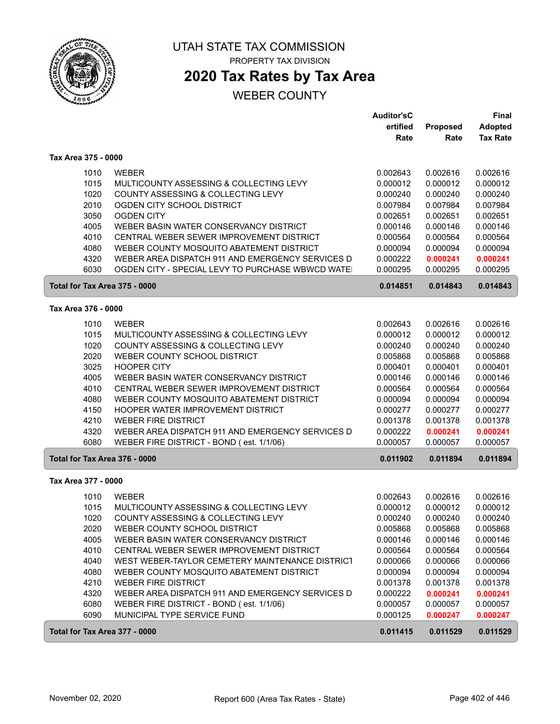

ſ

 $\sqrt{2}$ 

### UTAH STATE TAX COMMISSION PROPERTY TAX DIVISION

## **2020 Tax Rates by Tax Area**

|                               |                                                  | <b>Auditor'sC</b> |          | Final           |
|-------------------------------|--------------------------------------------------|-------------------|----------|-----------------|
|                               |                                                  | ertified          | Proposed | <b>Adopted</b>  |
|                               |                                                  | Rate              | Rate     | <b>Tax Rate</b> |
| Tax Area 375 - 0000           |                                                  |                   |          |                 |
| 1010                          | <b>WEBER</b>                                     | 0.002643          | 0.002616 | 0.002616        |
| 1015                          | MULTICOUNTY ASSESSING & COLLECTING LEVY          | 0.000012          | 0.000012 | 0.000012        |
| 1020                          | COUNTY ASSESSING & COLLECTING LEVY               | 0.000240          | 0.000240 | 0.000240        |
| 2010                          | OGDEN CITY SCHOOL DISTRICT                       | 0.007984          | 0.007984 | 0.007984        |
| 3050                          | <b>OGDEN CITY</b>                                | 0.002651          | 0.002651 | 0.002651        |
| 4005                          | WEBER BASIN WATER CONSERVANCY DISTRICT           | 0.000146          | 0.000146 | 0.000146        |
| 4010                          | CENTRAL WEBER SEWER IMPROVEMENT DISTRICT         | 0.000564          | 0.000564 | 0.000564        |
| 4080                          | WEBER COUNTY MOSQUITO ABATEMENT DISTRICT         | 0.000094          | 0.000094 | 0.000094        |
| 4320                          | WEBER AREA DISPATCH 911 AND EMERGENCY SERVICES D | 0.000222          | 0.000241 | 0.000241        |
| 6030                          | OGDEN CITY - SPECIAL LEVY TO PURCHASE WBWCD WATE | 0.000295          | 0.000295 | 0.000295        |
| Total for Tax Area 375 - 0000 |                                                  | 0.014851          | 0.014843 | 0.014843        |
| Tax Area 376 - 0000           |                                                  |                   |          |                 |
| 1010                          | <b>WEBER</b>                                     | 0.002643          | 0.002616 | 0.002616        |
| 1015                          | MULTICOUNTY ASSESSING & COLLECTING LEVY          | 0.000012          | 0.000012 | 0.000012        |
| 1020                          | COUNTY ASSESSING & COLLECTING LEVY               | 0.000240          | 0.000240 | 0.000240        |
| 2020                          | WEBER COUNTY SCHOOL DISTRICT                     | 0.005868          | 0.005868 | 0.005868        |
| 3025                          | <b>HOOPER CITY</b>                               | 0.000401          | 0.000401 | 0.000401        |
| 4005                          | WEBER BASIN WATER CONSERVANCY DISTRICT           | 0.000146          | 0.000146 | 0.000146        |
| 4010                          | CENTRAL WEBER SEWER IMPROVEMENT DISTRICT         | 0.000564          | 0.000564 | 0.000564        |
| 4080                          | WEBER COUNTY MOSQUITO ABATEMENT DISTRICT         | 0.000094          | 0.000094 | 0.000094        |
| 4150                          | HOOPER WATER IMPROVEMENT DISTRICT                | 0.000277          | 0.000277 | 0.000277        |
| 4210                          | <b>WEBER FIRE DISTRICT</b>                       | 0.001378          | 0.001378 | 0.001378        |
| 4320                          | WEBER AREA DISPATCH 911 AND EMERGENCY SERVICES D | 0.000222          | 0.000241 | 0.000241        |
| 6080                          | WEBER FIRE DISTRICT - BOND (est. 1/1/06)         | 0.000057          | 0.000057 | 0.000057        |
| Total for Tax Area 376 - 0000 |                                                  | 0.011902          | 0.011894 | 0.011894        |
| Tax Area 377 - 0000           |                                                  |                   |          |                 |
| 1010                          | <b>WEBER</b>                                     | 0.002643          | 0.002616 | 0.002616        |
| 1015                          | MULTICOUNTY ASSESSING & COLLECTING LEVY          | 0.000012          | 0.000012 | 0.000012        |
| 1020                          | COUNTY ASSESSING & COLLECTING LEVY               | 0.000240          | 0.000240 | 0.000240        |
| 2020                          | WEBER COUNTY SCHOOL DISTRICT                     | 0.005868          | 0.005868 | 0.005868        |
| 4005                          | WEBER BASIN WATER CONSERVANCY DISTRICT           | 0.000146          | 0.000146 | 0.000146        |
| 4010                          | CENTRAL WEBER SEWER IMPROVEMENT DISTRICT         | 0.000564          | 0.000564 | 0.000564        |
| 4040                          | WEST WEBER-TAYLOR CEMETERY MAINTENANCE DISTRICT  | 0.000066          | 0.000066 | 0.000066        |
| 4080                          | WEBER COUNTY MOSQUITO ABATEMENT DISTRICT         | 0.000094          | 0.000094 | 0.000094        |
| 4210                          | <b>WEBER FIRE DISTRICT</b>                       | 0.001378          | 0.001378 | 0.001378        |
| 4320                          | WEBER AREA DISPATCH 911 AND EMERGENCY SERVICES D | 0.000222          | 0.000241 | 0.000241        |
| 6080                          | WEBER FIRE DISTRICT - BOND (est. 1/1/06)         | 0.000057          | 0.000057 | 0.000057        |
| 6090                          | MUNICIPAL TYPE SERVICE FUND                      | 0.000125          | 0.000247 | 0.000247        |
| Total for Tax Area 377 - 0000 |                                                  | 0.011415          | 0.011529 | 0.011529        |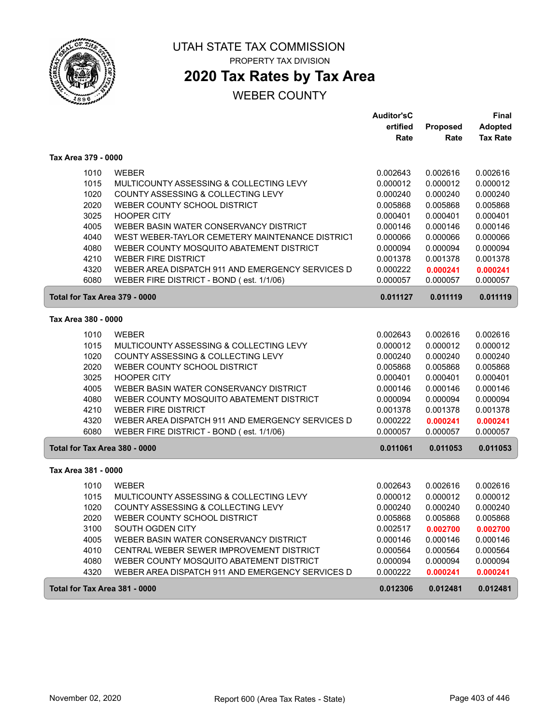

# **2020 Tax Rates by Tax Area**

## WEBER COUNTY

|                               |                                                  | <b>Auditor'sC</b> |          | Final           |
|-------------------------------|--------------------------------------------------|-------------------|----------|-----------------|
|                               |                                                  | ertified          | Proposed | <b>Adopted</b>  |
|                               |                                                  | Rate              | Rate     | <b>Tax Rate</b> |
| Tax Area 379 - 0000           |                                                  |                   |          |                 |
| 1010                          | <b>WEBER</b>                                     | 0.002643          | 0.002616 | 0.002616        |
| 1015                          | MULTICOUNTY ASSESSING & COLLECTING LEVY          | 0.000012          | 0.000012 | 0.000012        |
| 1020                          | COUNTY ASSESSING & COLLECTING LEVY               | 0.000240          | 0.000240 | 0.000240        |
| 2020                          | WEBER COUNTY SCHOOL DISTRICT                     | 0.005868          | 0.005868 | 0.005868        |
| 3025                          | <b>HOOPER CITY</b>                               | 0.000401          | 0.000401 | 0.000401        |
| 4005                          | WEBER BASIN WATER CONSERVANCY DISTRICT           | 0.000146          | 0.000146 | 0.000146        |
| 4040                          | WEST WEBER-TAYLOR CEMETERY MAINTENANCE DISTRICT  | 0.000066          | 0.000066 | 0.000066        |
| 4080                          | WEBER COUNTY MOSQUITO ABATEMENT DISTRICT         | 0.000094          | 0.000094 | 0.000094        |
| 4210                          | <b>WEBER FIRE DISTRICT</b>                       | 0.001378          | 0.001378 | 0.001378        |
| 4320                          | WEBER AREA DISPATCH 911 AND EMERGENCY SERVICES D | 0.000222          | 0.000241 | 0.000241        |
| 6080                          | WEBER FIRE DISTRICT - BOND (est. 1/1/06)         | 0.000057          | 0.000057 | 0.000057        |
| Total for Tax Area 379 - 0000 |                                                  | 0.011127          | 0.011119 | 0.011119        |
| Tax Area 380 - 0000           |                                                  |                   |          |                 |
| 1010                          | <b>WEBER</b>                                     | 0.002643          | 0.002616 | 0.002616        |
| 1015                          | MULTICOUNTY ASSESSING & COLLECTING LEVY          | 0.000012          | 0.000012 | 0.000012        |
| 1020                          | COUNTY ASSESSING & COLLECTING LEVY               | 0.000240          | 0.000240 | 0.000240        |
| 2020                          | WEBER COUNTY SCHOOL DISTRICT                     | 0.005868          | 0.005868 | 0.005868        |
| 3025                          | <b>HOOPER CITY</b>                               | 0.000401          | 0.000401 | 0.000401        |
| 4005                          | WEBER BASIN WATER CONSERVANCY DISTRICT           | 0.000146          | 0.000146 | 0.000146        |
| 4080                          | WEBER COUNTY MOSQUITO ABATEMENT DISTRICT         | 0.000094          | 0.000094 | 0.000094        |
| 4210                          | <b>WEBER FIRE DISTRICT</b>                       | 0.001378          | 0.001378 | 0.001378        |
| 4320                          | WEBER AREA DISPATCH 911 AND EMERGENCY SERVICES D | 0.000222          | 0.000241 | 0.000241        |
| 6080                          | WEBER FIRE DISTRICT - BOND (est. 1/1/06)         | 0.000057          | 0.000057 | 0.000057        |
| Total for Tax Area 380 - 0000 |                                                  | 0.011061          | 0.011053 | 0.011053        |
| Tax Area 381 - 0000           |                                                  |                   |          |                 |
| 1010                          | <b>WEBER</b>                                     | 0.002643          | 0.002616 | 0.002616        |
| 1015                          | MULTICOUNTY ASSESSING & COLLECTING LEVY          | 0.000012          | 0.000012 | 0.000012        |
| 1020                          | COUNTY ASSESSING & COLLECTING LEVY               | 0.000240          | 0.000240 | 0.000240        |
| 2020                          | WEBER COUNTY SCHOOL DISTRICT                     | 0.005868          | 0.005868 | 0.005868        |
| 3100                          | SOUTH OGDEN CITY                                 | 0.002517          | 0.002700 | 0.002700        |
| 4005                          | WEBER BASIN WATER CONSERVANCY DISTRICT           | 0.000146          | 0.000146 | 0.000146        |
| 4010                          | CENTRAL WEBER SEWER IMPROVEMENT DISTRICT         | 0.000564          | 0.000564 | 0.000564        |
| 4080                          | WEBER COUNTY MOSQUITO ABATEMENT DISTRICT         | 0.000094          | 0.000094 | 0.000094        |
| 4320                          | WEBER AREA DISPATCH 911 AND EMERGENCY SERVICES D | 0.000222          | 0.000241 | 0.000241        |
| Total for Tax Area 381 - 0000 |                                                  | 0.012306          | 0.012481 | 0.012481        |

ſ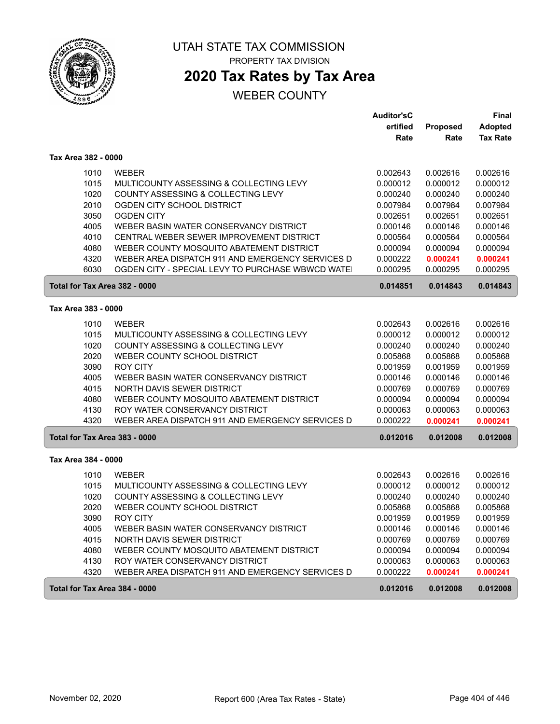

# **2020 Tax Rates by Tax Area**

|                               |                                                   | <b>Auditor'sC</b> |          | Final           |
|-------------------------------|---------------------------------------------------|-------------------|----------|-----------------|
|                               |                                                   | ertified          | Proposed | <b>Adopted</b>  |
|                               |                                                   | Rate              | Rate     | <b>Tax Rate</b> |
| Tax Area 382 - 0000           |                                                   |                   |          |                 |
| 1010                          | <b>WEBER</b>                                      | 0.002643          | 0.002616 | 0.002616        |
| 1015                          | MULTICOUNTY ASSESSING & COLLECTING LEVY           | 0.000012          | 0.000012 | 0.000012        |
| 1020                          | COUNTY ASSESSING & COLLECTING LEVY                | 0.000240          | 0.000240 | 0.000240        |
| 2010                          | OGDEN CITY SCHOOL DISTRICT                        | 0.007984          | 0.007984 | 0.007984        |
| 3050                          | <b>OGDEN CITY</b>                                 | 0.002651          | 0.002651 | 0.002651        |
| 4005                          | WEBER BASIN WATER CONSERVANCY DISTRICT            | 0.000146          | 0.000146 | 0.000146        |
| 4010                          | CENTRAL WEBER SEWER IMPROVEMENT DISTRICT          | 0.000564          | 0.000564 | 0.000564        |
| 4080                          | WEBER COUNTY MOSQUITO ABATEMENT DISTRICT          | 0.000094          | 0.000094 | 0.000094        |
| 4320                          | WEBER AREA DISPATCH 911 AND EMERGENCY SERVICES D  | 0.000222          | 0.000241 | 0.000241        |
| 6030                          | OGDEN CITY - SPECIAL LEVY TO PURCHASE WBWCD WATE! | 0.000295          | 0.000295 | 0.000295        |
| Total for Tax Area 382 - 0000 |                                                   | 0.014851          | 0.014843 | 0.014843        |
| Tax Area 383 - 0000           |                                                   |                   |          |                 |
|                               |                                                   |                   |          |                 |
| 1010                          | <b>WEBER</b>                                      | 0.002643          | 0.002616 | 0.002616        |
| 1015                          | MULTICOUNTY ASSESSING & COLLECTING LEVY           | 0.000012          | 0.000012 | 0.000012        |
| 1020                          | COUNTY ASSESSING & COLLECTING LEVY                | 0.000240          | 0.000240 | 0.000240        |
| 2020                          | WEBER COUNTY SCHOOL DISTRICT                      | 0.005868          | 0.005868 | 0.005868        |
| 3090                          | <b>ROY CITY</b>                                   | 0.001959          | 0.001959 | 0.001959        |
| 4005                          | WEBER BASIN WATER CONSERVANCY DISTRICT            | 0.000146          | 0.000146 | 0.000146        |
| 4015                          | NORTH DAVIS SEWER DISTRICT                        | 0.000769          | 0.000769 | 0.000769        |
| 4080                          | WEBER COUNTY MOSQUITO ABATEMENT DISTRICT          | 0.000094          | 0.000094 | 0.000094        |
| 4130                          | ROY WATER CONSERVANCY DISTRICT                    | 0.000063          | 0.000063 | 0.000063        |
| 4320                          | WEBER AREA DISPATCH 911 AND EMERGENCY SERVICES D  | 0.000222          | 0.000241 | 0.000241        |
| Total for Tax Area 383 - 0000 |                                                   | 0.012016          | 0.012008 | 0.012008        |
| Tax Area 384 - 0000           |                                                   |                   |          |                 |
| 1010                          | <b>WEBER</b>                                      | 0.002643          | 0.002616 | 0.002616        |
| 1015                          | MULTICOUNTY ASSESSING & COLLECTING LEVY           | 0.000012          | 0.000012 | 0.000012        |
| 1020                          | COUNTY ASSESSING & COLLECTING LEVY                | 0.000240          | 0.000240 | 0.000240        |
| 2020                          | WEBER COUNTY SCHOOL DISTRICT                      | 0.005868          | 0.005868 | 0.005868        |
| 3090                          | <b>ROY CITY</b>                                   | 0.001959          | 0.001959 | 0.001959        |
| 4005                          | WEBER BASIN WATER CONSERVANCY DISTRICT            | 0.000146          | 0.000146 | 0.000146        |
| 4015                          | NORTH DAVIS SEWER DISTRICT                        | 0.000769          | 0.000769 | 0.000769        |
| 4080                          | WEBER COUNTY MOSQUITO ABATEMENT DISTRICT          | 0.000094          | 0.000094 | 0.000094        |
| 4130                          | ROY WATER CONSERVANCY DISTRICT                    | 0.000063          | 0.000063 | 0.000063        |
| 4320                          | WEBER AREA DISPATCH 911 AND EMERGENCY SERVICES D  | 0.000222          | 0.000241 | 0.000241        |
| Total for Tax Area 384 - 0000 |                                                   | 0.012016          | 0.012008 | 0.012008        |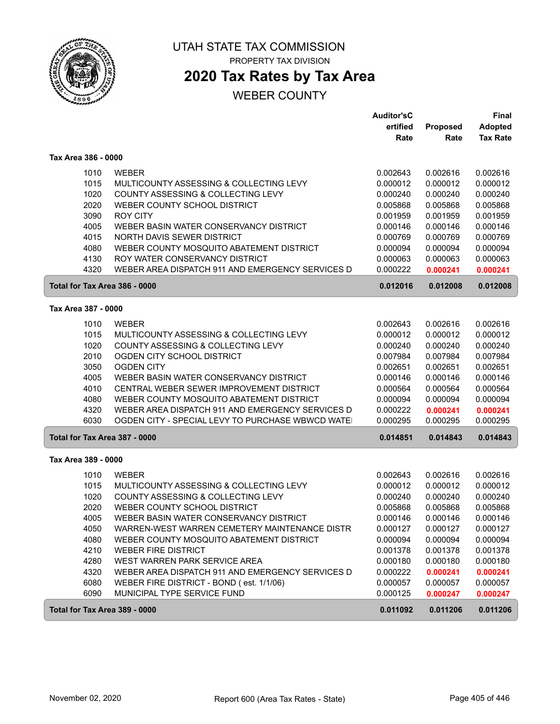

## **2020 Tax Rates by Tax Area**

|                     |                                                  | <b>Auditor'sC</b> |          | Final           |
|---------------------|--------------------------------------------------|-------------------|----------|-----------------|
|                     |                                                  | ertified          | Proposed | <b>Adopted</b>  |
|                     |                                                  | Rate              | Rate     | <b>Tax Rate</b> |
| Tax Area 386 - 0000 |                                                  |                   |          |                 |
| 1010                | <b>WEBER</b>                                     | 0.002643          | 0.002616 | 0.002616        |
| 1015                | MULTICOUNTY ASSESSING & COLLECTING LEVY          | 0.000012          | 0.000012 | 0.000012        |
| 1020                | COUNTY ASSESSING & COLLECTING LEVY               | 0.000240          | 0.000240 | 0.000240        |
| 2020                | WEBER COUNTY SCHOOL DISTRICT                     | 0.005868          | 0.005868 | 0.005868        |
| 3090                | <b>ROY CITY</b>                                  | 0.001959          | 0.001959 | 0.001959        |
| 4005                | WEBER BASIN WATER CONSERVANCY DISTRICT           | 0.000146          | 0.000146 | 0.000146        |
| 4015                | NORTH DAVIS SEWER DISTRICT                       | 0.000769          | 0.000769 | 0.000769        |
| 4080                | WEBER COUNTY MOSQUITO ABATEMENT DISTRICT         | 0.000094          | 0.000094 | 0.000094        |
| 4130                | ROY WATER CONSERVANCY DISTRICT                   | 0.000063          | 0.000063 | 0.000063        |
| 4320                | WEBER AREA DISPATCH 911 AND EMERGENCY SERVICES D | 0.000222          | 0.000241 | 0.000241        |
|                     | Total for Tax Area 386 - 0000                    | 0.012016          | 0.012008 | 0.012008        |
| Tax Area 387 - 0000 |                                                  |                   |          |                 |
| 1010                | <b>WEBER</b>                                     | 0.002643          | 0.002616 | 0.002616        |
| 1015                | MULTICOUNTY ASSESSING & COLLECTING LEVY          | 0.000012          | 0.000012 | 0.000012        |
| 1020                | COUNTY ASSESSING & COLLECTING LEVY               | 0.000240          | 0.000240 | 0.000240        |
| 2010                | OGDEN CITY SCHOOL DISTRICT                       | 0.007984          | 0.007984 | 0.007984        |
| 3050                | <b>OGDEN CITY</b>                                | 0.002651          | 0.002651 | 0.002651        |
| 4005                | WEBER BASIN WATER CONSERVANCY DISTRICT           | 0.000146          | 0.000146 | 0.000146        |
| 4010                | CENTRAL WEBER SEWER IMPROVEMENT DISTRICT         | 0.000564          | 0.000564 | 0.000564        |
| 4080                | WEBER COUNTY MOSQUITO ABATEMENT DISTRICT         | 0.000094          | 0.000094 | 0.000094        |
| 4320                | WEBER AREA DISPATCH 911 AND EMERGENCY SERVICES D | 0.000222          | 0.000241 | 0.000241        |
| 6030                | OGDEN CITY - SPECIAL LEVY TO PURCHASE WBWCD WATE | 0.000295          | 0.000295 | 0.000295        |
|                     | Total for Tax Area 387 - 0000                    | 0.014851          | 0.014843 | 0.014843        |
| Tax Area 389 - 0000 |                                                  |                   |          |                 |
| 1010                | <b>WEBER</b>                                     | 0.002643          | 0.002616 | 0.002616        |
| 1015                | MULTICOUNTY ASSESSING & COLLECTING LEVY          | 0.000012          | 0.000012 | 0.000012        |
| 1020                | COUNTY ASSESSING & COLLECTING LEVY               | 0.000240          | 0.000240 | 0.000240        |
| 2020                | WEBER COUNTY SCHOOL DISTRICT                     | 0.005868          | 0.005868 | 0.005868        |
| 4005                | WEBER BASIN WATER CONSERVANCY DISTRICT           | 0.000146          | 0.000146 | 0.000146        |
| 4050                | WARREN-WEST WARREN CEMETERY MAINTENANCE DISTR    | 0.000127          | 0.000127 | 0.000127        |
| 4080                | WEBER COUNTY MOSQUITO ABATEMENT DISTRICT         | 0.000094          | 0.000094 | 0.000094        |
| 4210                | <b>WEBER FIRE DISTRICT</b>                       | 0.001378          | 0.001378 | 0.001378        |
| 4280                | WEST WARREN PARK SERVICE AREA                    | 0.000180          | 0.000180 | 0.000180        |
| 4320                | WEBER AREA DISPATCH 911 AND EMERGENCY SERVICES D | 0.000222          | 0.000241 | 0.000241        |
| 6080                | WEBER FIRE DISTRICT - BOND (est. 1/1/06)         | 0.000057          | 0.000057 | 0.000057        |
| 6090                | MUNICIPAL TYPE SERVICE FUND                      | 0.000125          | 0.000247 | 0.000247        |
|                     | Total for Tax Area 389 - 0000                    | 0.011092          | 0.011206 | 0.011206        |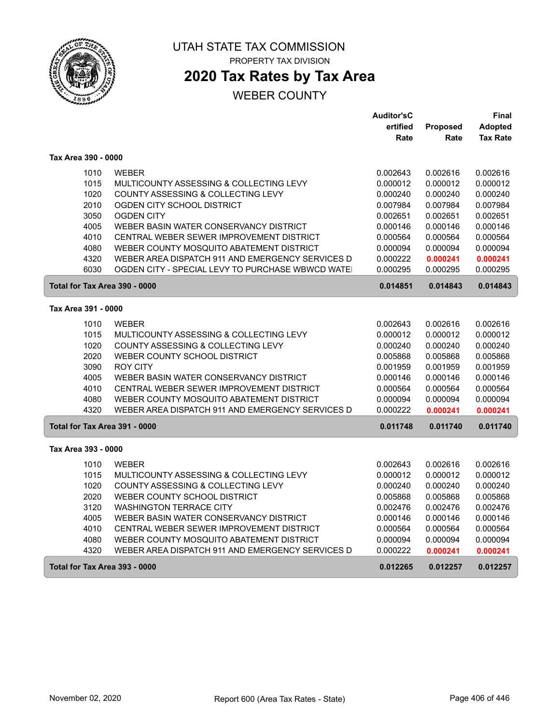

# **2020 Tax Rates by Tax Area**

|                               |                                                  | <b>Auditor'sC</b> |          | Final           |
|-------------------------------|--------------------------------------------------|-------------------|----------|-----------------|
|                               |                                                  | ertified          | Proposed | <b>Adopted</b>  |
|                               |                                                  | Rate              | Rate     | <b>Tax Rate</b> |
| Tax Area 390 - 0000           |                                                  |                   |          |                 |
| 1010                          | <b>WEBER</b>                                     | 0.002643          | 0.002616 | 0.002616        |
| 1015                          | MULTICOUNTY ASSESSING & COLLECTING LEVY          | 0.000012          | 0.000012 | 0.000012        |
| 1020                          | COUNTY ASSESSING & COLLECTING LEVY               | 0.000240          | 0.000240 | 0.000240        |
| 2010                          | OGDEN CITY SCHOOL DISTRICT                       | 0.007984          | 0.007984 | 0.007984        |
| 3050                          | <b>OGDEN CITY</b>                                | 0.002651          | 0.002651 | 0.002651        |
| 4005                          | WEBER BASIN WATER CONSERVANCY DISTRICT           | 0.000146          | 0.000146 | 0.000146        |
| 4010                          | CENTRAL WEBER SEWER IMPROVEMENT DISTRICT         | 0.000564          | 0.000564 | 0.000564        |
| 4080                          | WEBER COUNTY MOSQUITO ABATEMENT DISTRICT         | 0.000094          | 0.000094 | 0.000094        |
| 4320                          | WEBER AREA DISPATCH 911 AND EMERGENCY SERVICES D | 0.000222          | 0.000241 | 0.000241        |
| 6030                          | OGDEN CITY - SPECIAL LEVY TO PURCHASE WBWCD WATE | 0.000295          | 0.000295 | 0.000295        |
| Total for Tax Area 390 - 0000 |                                                  | 0.014851          | 0.014843 | 0.014843        |
| Tax Area 391 - 0000           |                                                  |                   |          |                 |
| 1010                          | <b>WEBER</b>                                     | 0.002643          | 0.002616 | 0.002616        |
| 1015                          | MULTICOUNTY ASSESSING & COLLECTING LEVY          | 0.000012          | 0.000012 | 0.000012        |
| 1020                          | COUNTY ASSESSING & COLLECTING LEVY               | 0.000240          | 0.000240 | 0.000240        |
| 2020                          | WEBER COUNTY SCHOOL DISTRICT                     | 0.005868          | 0.005868 | 0.005868        |
| 3090                          | <b>ROY CITY</b>                                  | 0.001959          | 0.001959 | 0.001959        |
| 4005                          | WEBER BASIN WATER CONSERVANCY DISTRICT           | 0.000146          | 0.000146 | 0.000146        |
| 4010                          | CENTRAL WEBER SEWER IMPROVEMENT DISTRICT         | 0.000564          | 0.000564 | 0.000564        |
| 4080                          | WEBER COUNTY MOSQUITO ABATEMENT DISTRICT         | 0.000094          | 0.000094 | 0.000094        |
| 4320                          | WEBER AREA DISPATCH 911 AND EMERGENCY SERVICES D | 0.000222          | 0.000241 | 0.000241        |
| Total for Tax Area 391 - 0000 |                                                  | 0.011748          | 0.011740 | 0.011740        |
| Tax Area 393 - 0000           |                                                  |                   |          |                 |
| 1010                          | <b>WEBER</b>                                     | 0.002643          | 0.002616 | 0.002616        |
| 1015                          | MULTICOUNTY ASSESSING & COLLECTING LEVY          | 0.000012          | 0.000012 | 0.000012        |
| 1020                          | COUNTY ASSESSING & COLLECTING LEVY               | 0.000240          | 0.000240 | 0.000240        |
| 2020                          | WEBER COUNTY SCHOOL DISTRICT                     | 0.005868          | 0.005868 | 0.005868        |
| 3120                          | <b>WASHINGTON TERRACE CITY</b>                   | 0.002476          | 0.002476 | 0.002476        |
| 4005                          | WEBER BASIN WATER CONSERVANCY DISTRICT           | 0.000146          | 0.000146 | 0.000146        |
| 4010                          | CENTRAL WEBER SEWER IMPROVEMENT DISTRICT         | 0.000564          | 0.000564 | 0.000564        |
| 4080                          | WEBER COUNTY MOSQUITO ABATEMENT DISTRICT         | 0.000094          | 0.000094 | 0.000094        |
| 4320                          | WEBER AREA DISPATCH 911 AND EMERGENCY SERVICES D | 0.000222          | 0.000241 | 0.000241        |
| Total for Tax Area 393 - 0000 |                                                  | 0.012265          | 0.012257 | 0.012257        |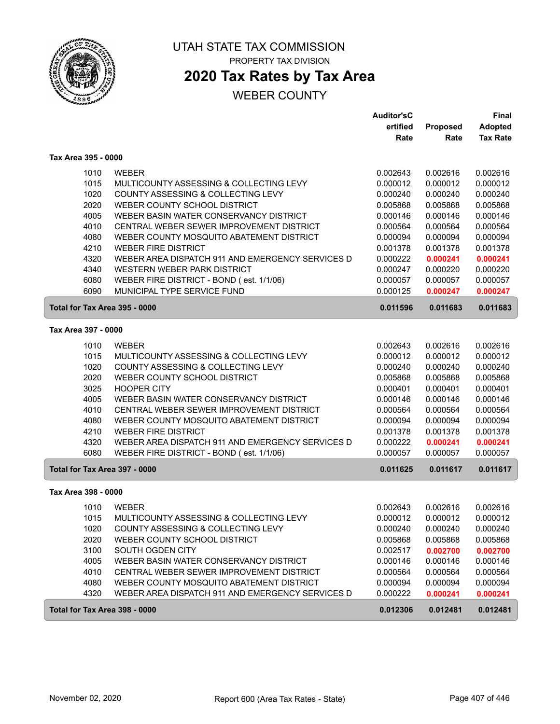

# **2020 Tax Rates by Tax Area**

|                               |                                                  | <b>Auditor'sC</b> |          | <b>Final</b>    |
|-------------------------------|--------------------------------------------------|-------------------|----------|-----------------|
|                               |                                                  | ertified          | Proposed | <b>Adopted</b>  |
|                               |                                                  | Rate              | Rate     | <b>Tax Rate</b> |
| Tax Area 395 - 0000           |                                                  |                   |          |                 |
| 1010                          | <b>WEBER</b>                                     | 0.002643          | 0.002616 | 0.002616        |
| 1015                          | MULTICOUNTY ASSESSING & COLLECTING LEVY          | 0.000012          | 0.000012 | 0.000012        |
| 1020                          | COUNTY ASSESSING & COLLECTING LEVY               | 0.000240          | 0.000240 | 0.000240        |
| 2020                          | WEBER COUNTY SCHOOL DISTRICT                     | 0.005868          | 0.005868 | 0.005868        |
| 4005                          | WEBER BASIN WATER CONSERVANCY DISTRICT           | 0.000146          | 0.000146 | 0.000146        |
| 4010                          | CENTRAL WEBER SEWER IMPROVEMENT DISTRICT         | 0.000564          | 0.000564 | 0.000564        |
| 4080                          | WEBER COUNTY MOSQUITO ABATEMENT DISTRICT         | 0.000094          | 0.000094 | 0.000094        |
| 4210                          | <b>WEBER FIRE DISTRICT</b>                       | 0.001378          | 0.001378 | 0.001378        |
| 4320                          | WEBER AREA DISPATCH 911 AND EMERGENCY SERVICES D | 0.000222          | 0.000241 | 0.000241        |
| 4340                          | WESTERN WEBER PARK DISTRICT                      | 0.000247          | 0.000220 | 0.000220        |
| 6080                          | WEBER FIRE DISTRICT - BOND (est. 1/1/06)         | 0.000057          | 0.000057 | 0.000057        |
| 6090                          | MUNICIPAL TYPE SERVICE FUND                      | 0.000125          | 0.000247 | 0.000247        |
| Total for Tax Area 395 - 0000 |                                                  | 0.011596          | 0.011683 | 0.011683        |
| Tax Area 397 - 0000           |                                                  |                   |          |                 |
| 1010                          | <b>WEBER</b>                                     | 0.002643          | 0.002616 | 0.002616        |
| 1015                          | MULTICOUNTY ASSESSING & COLLECTING LEVY          | 0.000012          | 0.000012 | 0.000012        |
| 1020                          | COUNTY ASSESSING & COLLECTING LEVY               | 0.000240          | 0.000240 | 0.000240        |
| 2020                          | WEBER COUNTY SCHOOL DISTRICT                     | 0.005868          | 0.005868 | 0.005868        |
| 3025                          | <b>HOOPER CITY</b>                               | 0.000401          | 0.000401 | 0.000401        |
| 4005                          | WEBER BASIN WATER CONSERVANCY DISTRICT           | 0.000146          | 0.000146 | 0.000146        |
| 4010                          | CENTRAL WEBER SEWER IMPROVEMENT DISTRICT         | 0.000564          | 0.000564 | 0.000564        |
| 4080                          | WEBER COUNTY MOSQUITO ABATEMENT DISTRICT         | 0.000094          | 0.000094 | 0.000094        |
| 4210                          | <b>WEBER FIRE DISTRICT</b>                       | 0.001378          | 0.001378 | 0.001378        |
| 4320                          | WEBER AREA DISPATCH 911 AND EMERGENCY SERVICES D | 0.000222          | 0.000241 | 0.000241        |
| 6080                          | WEBER FIRE DISTRICT - BOND (est. 1/1/06)         | 0.000057          | 0.000057 | 0.000057        |
| Total for Tax Area 397 - 0000 |                                                  | 0.011625          | 0.011617 | 0.011617        |
| Tax Area 398 - 0000           |                                                  |                   |          |                 |
| 1010                          | <b>WEBER</b>                                     | 0.002643          | 0.002616 | 0.002616        |
| 1015                          | MULTICOUNTY ASSESSING & COLLECTING LEVY          | 0.000012          | 0.000012 | 0.000012        |
| 1020                          | COUNTY ASSESSING & COLLECTING LEVY               | 0.000240          | 0.000240 | 0.000240        |
| 2020                          | WEBER COUNTY SCHOOL DISTRICT                     | 0.005868          | 0.005868 | 0.005868        |
| 3100                          | SOUTH OGDEN CITY                                 | 0.002517          | 0.002700 | 0.002700        |
| 4005                          | WEBER BASIN WATER CONSERVANCY DISTRICT           | 0.000146          | 0.000146 | 0.000146        |
| 4010                          | CENTRAL WEBER SEWER IMPROVEMENT DISTRICT         | 0.000564          | 0.000564 | 0.000564        |
| 4080                          | WEBER COUNTY MOSQUITO ABATEMENT DISTRICT         | 0.000094          | 0.000094 | 0.000094        |
| 4320                          | WEBER AREA DISPATCH 911 AND EMERGENCY SERVICES D | 0.000222          | 0.000241 | 0.000241        |
| Total for Tax Area 398 - 0000 |                                                  | 0.012306          | 0.012481 | 0.012481        |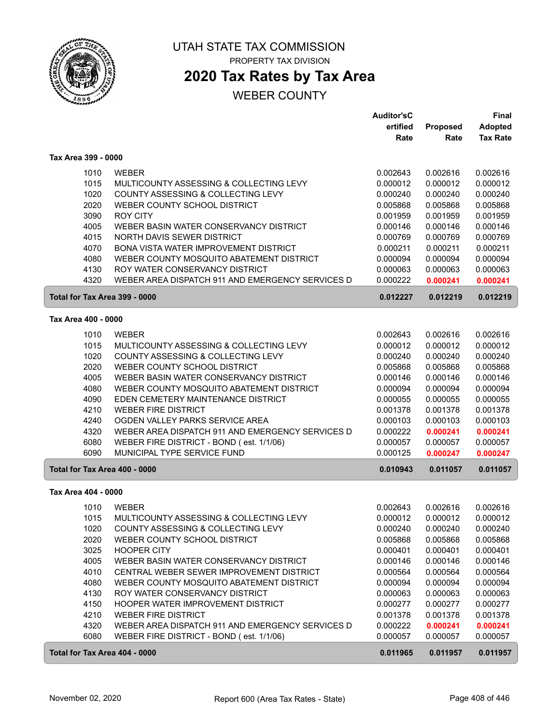

# **2020 Tax Rates by Tax Area**

|                               |                                                                                              | <b>Auditor'sC</b>    |                      | <b>Final</b>         |
|-------------------------------|----------------------------------------------------------------------------------------------|----------------------|----------------------|----------------------|
|                               |                                                                                              | ertified             | <b>Proposed</b>      | <b>Adopted</b>       |
|                               |                                                                                              | Rate                 | Rate                 | <b>Tax Rate</b>      |
| Tax Area 399 - 0000           |                                                                                              |                      |                      |                      |
| 1010                          | <b>WEBER</b>                                                                                 | 0.002643             | 0.002616             | 0.002616             |
| 1015                          | MULTICOUNTY ASSESSING & COLLECTING LEVY                                                      | 0.000012             | 0.000012             | 0.000012             |
| 1020                          | COUNTY ASSESSING & COLLECTING LEVY                                                           | 0.000240             | 0.000240             | 0.000240             |
| 2020                          | WEBER COUNTY SCHOOL DISTRICT                                                                 | 0.005868             | 0.005868             | 0.005868             |
| 3090                          | <b>ROY CITY</b>                                                                              | 0.001959             | 0.001959             | 0.001959             |
| 4005                          | WEBER BASIN WATER CONSERVANCY DISTRICT                                                       | 0.000146             | 0.000146             | 0.000146             |
| 4015                          | NORTH DAVIS SEWER DISTRICT                                                                   | 0.000769             | 0.000769             | 0.000769             |
| 4070                          | BONA VISTA WATER IMPROVEMENT DISTRICT                                                        | 0.000211             | 0.000211             | 0.000211             |
| 4080                          | WEBER COUNTY MOSQUITO ABATEMENT DISTRICT                                                     | 0.000094             | 0.000094             | 0.000094             |
| 4130                          | ROY WATER CONSERVANCY DISTRICT                                                               | 0.000063             | 0.000063             | 0.000063             |
| 4320                          | WEBER AREA DISPATCH 911 AND EMERGENCY SERVICES D                                             | 0.000222             | 0.000241             | 0.000241             |
| Total for Tax Area 399 - 0000 |                                                                                              | 0.012227             | 0.012219             | 0.012219             |
| Tax Area 400 - 0000           |                                                                                              |                      |                      |                      |
| 1010                          | <b>WEBER</b>                                                                                 | 0.002643             | 0.002616             | 0.002616             |
| 1015                          | MULTICOUNTY ASSESSING & COLLECTING LEVY                                                      | 0.000012             | 0.000012             | 0.000012             |
| 1020                          | COUNTY ASSESSING & COLLECTING LEVY                                                           | 0.000240             | 0.000240             | 0.000240             |
| 2020                          | WEBER COUNTY SCHOOL DISTRICT                                                                 | 0.005868             | 0.005868             | 0.005868             |
| 4005                          | WEBER BASIN WATER CONSERVANCY DISTRICT                                                       | 0.000146             | 0.000146             | 0.000146             |
| 4080                          | WEBER COUNTY MOSQUITO ABATEMENT DISTRICT                                                     | 0.000094             | 0.000094             | 0.000094             |
| 4090                          | EDEN CEMETERY MAINTENANCE DISTRICT                                                           | 0.000055             | 0.000055             | 0.000055             |
| 4210                          | <b>WEBER FIRE DISTRICT</b>                                                                   | 0.001378             | 0.001378             | 0.001378             |
| 4240                          | OGDEN VALLEY PARKS SERVICE AREA                                                              | 0.000103             | 0.000103             | 0.000103             |
| 4320                          | WEBER AREA DISPATCH 911 AND EMERGENCY SERVICES D                                             | 0.000222             | 0.000241             | 0.000241             |
| 6080                          | WEBER FIRE DISTRICT - BOND (est. 1/1/06)                                                     | 0.000057             | 0.000057             | 0.000057             |
| 6090                          | MUNICIPAL TYPE SERVICE FUND                                                                  | 0.000125             | 0.000247             | 0.000247             |
| Total for Tax Area 400 - 0000 |                                                                                              | 0.010943             | 0.011057             | 0.011057             |
| Tax Area 404 - 0000           |                                                                                              |                      |                      |                      |
| 1010                          | <b>WEBER</b>                                                                                 | 0.002643             | 0.002616             | 0.002616             |
| 1015                          | MULTICOUNTY ASSESSING & COLLECTING LEVY                                                      | 0.000012             | 0.000012             | 0.000012             |
| 1020                          | COUNTY ASSESSING & COLLECTING LEVY                                                           | 0.000240             | 0.000240             | 0.000240             |
| 2020                          | WEBER COUNTY SCHOOL DISTRICT                                                                 | 0.005868             | 0.005868             | 0.005868             |
| 3025                          | <b>HOOPER CITY</b>                                                                           | 0.000401             | 0.000401             | 0.000401             |
| 4005                          | WEBER BASIN WATER CONSERVANCY DISTRICT                                                       | 0.000146             | 0.000146             | 0.000146             |
| 4010                          | CENTRAL WEBER SEWER IMPROVEMENT DISTRICT                                                     | 0.000564             | 0.000564             | 0.000564             |
| 4080                          | WEBER COUNTY MOSQUITO ABATEMENT DISTRICT                                                     | 0.000094             | 0.000094             | 0.000094             |
| 4130                          | ROY WATER CONSERVANCY DISTRICT                                                               | 0.000063             | 0.000063             | 0.000063             |
| 4150                          | HOOPER WATER IMPROVEMENT DISTRICT                                                            | 0.000277             | 0.000277             | 0.000277             |
| 4210                          | <b>WEBER FIRE DISTRICT</b>                                                                   | 0.001378             | 0.001378             | 0.001378             |
| 4320<br>6080                  | WEBER AREA DISPATCH 911 AND EMERGENCY SERVICES D<br>WEBER FIRE DISTRICT - BOND (est. 1/1/06) | 0.000222<br>0.000057 | 0.000241<br>0.000057 | 0.000241<br>0.000057 |
|                               |                                                                                              |                      |                      |                      |
| Total for Tax Area 404 - 0000 |                                                                                              | 0.011965             | 0.011957             | 0.011957             |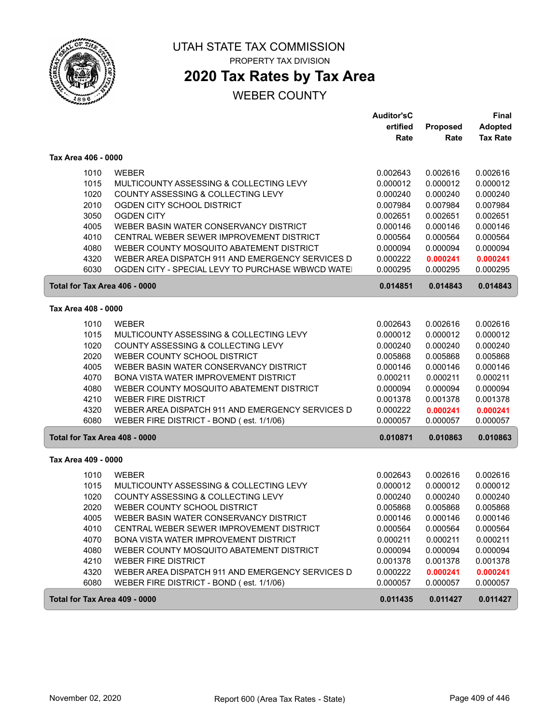

## **2020 Tax Rates by Tax Area**

|                               |                                                  | <b>Auditor'sC</b> |          | <b>Final</b>    |
|-------------------------------|--------------------------------------------------|-------------------|----------|-----------------|
|                               |                                                  | ertified          | Proposed | <b>Adopted</b>  |
|                               |                                                  | Rate              | Rate     | <b>Tax Rate</b> |
| Tax Area 406 - 0000           |                                                  |                   |          |                 |
| 1010                          | <b>WEBER</b>                                     | 0.002643          | 0.002616 | 0.002616        |
| 1015                          | MULTICOUNTY ASSESSING & COLLECTING LEVY          | 0.000012          | 0.000012 | 0.000012        |
| 1020                          | COUNTY ASSESSING & COLLECTING LEVY               | 0.000240          | 0.000240 | 0.000240        |
| 2010                          | OGDEN CITY SCHOOL DISTRICT                       | 0.007984          | 0.007984 | 0.007984        |
| 3050                          | <b>OGDEN CITY</b>                                | 0.002651          | 0.002651 | 0.002651        |
| 4005                          | WEBER BASIN WATER CONSERVANCY DISTRICT           | 0.000146          | 0.000146 | 0.000146        |
| 4010                          | CENTRAL WEBER SEWER IMPROVEMENT DISTRICT         | 0.000564          | 0.000564 | 0.000564        |
| 4080                          | WEBER COUNTY MOSQUITO ABATEMENT DISTRICT         | 0.000094          | 0.000094 | 0.000094        |
| 4320                          | WEBER AREA DISPATCH 911 AND EMERGENCY SERVICES D | 0.000222          | 0.000241 | 0.000241        |
| 6030                          | OGDEN CITY - SPECIAL LEVY TO PURCHASE WBWCD WATE | 0.000295          | 0.000295 | 0.000295        |
| Total for Tax Area 406 - 0000 |                                                  | 0.014851          | 0.014843 | 0.014843        |
|                               |                                                  |                   |          |                 |
| Tax Area 408 - 0000           |                                                  |                   |          |                 |
| 1010                          | <b>WEBER</b>                                     | 0.002643          | 0.002616 | 0.002616        |
| 1015                          | MULTICOUNTY ASSESSING & COLLECTING LEVY          | 0.000012          | 0.000012 | 0.000012        |
| 1020                          | COUNTY ASSESSING & COLLECTING LEVY               | 0.000240          | 0.000240 | 0.000240        |
| 2020                          | WEBER COUNTY SCHOOL DISTRICT                     | 0.005868          | 0.005868 | 0.005868        |
| 4005                          | WEBER BASIN WATER CONSERVANCY DISTRICT           | 0.000146          | 0.000146 | 0.000146        |
| 4070                          | BONA VISTA WATER IMPROVEMENT DISTRICT            | 0.000211          | 0.000211 | 0.000211        |
| 4080                          | WEBER COUNTY MOSQUITO ABATEMENT DISTRICT         | 0.000094          | 0.000094 | 0.000094        |
| 4210                          | <b>WEBER FIRE DISTRICT</b>                       | 0.001378          | 0.001378 | 0.001378        |
| 4320                          | WEBER AREA DISPATCH 911 AND EMERGENCY SERVICES D | 0.000222          | 0.000241 | 0.000241        |
| 6080                          | WEBER FIRE DISTRICT - BOND (est. 1/1/06)         | 0.000057          | 0.000057 | 0.000057        |
| Total for Tax Area 408 - 0000 |                                                  | 0.010871          | 0.010863 | 0.010863        |
| Tax Area 409 - 0000           |                                                  |                   |          |                 |
| 1010                          | <b>WEBER</b>                                     | 0.002643          | 0.002616 | 0.002616        |
| 1015                          | MULTICOUNTY ASSESSING & COLLECTING LEVY          | 0.000012          | 0.000012 | 0.000012        |
| 1020                          | COUNTY ASSESSING & COLLECTING LEVY               | 0.000240          | 0.000240 | 0.000240        |
| 2020                          | WEBER COUNTY SCHOOL DISTRICT                     | 0.005868          | 0.005868 | 0.005868        |
| 4005                          | WEBER BASIN WATER CONSERVANCY DISTRICT           | 0.000146          | 0.000146 | 0.000146        |
| 4010                          | CENTRAL WEBER SEWER IMPROVEMENT DISTRICT         | 0.000564          | 0.000564 | 0.000564        |
| 4070                          | BONA VISTA WATER IMPROVEMENT DISTRICT            | 0.000211          | 0.000211 | 0.000211        |
| 4080                          | WEBER COUNTY MOSQUITO ABATEMENT DISTRICT         | 0.000094          | 0.000094 | 0.000094        |
| 4210                          | <b>WEBER FIRE DISTRICT</b>                       | 0.001378          | 0.001378 | 0.001378        |
| 4320                          | WEBER AREA DISPATCH 911 AND EMERGENCY SERVICES D | 0.000222          | 0.000241 | 0.000241        |
| 6080                          | WEBER FIRE DISTRICT - BOND (est. 1/1/06)         | 0.000057          | 0.000057 | 0.000057        |
| Total for Tax Area 409 - 0000 |                                                  | 0.011435          | 0.011427 | 0.011427        |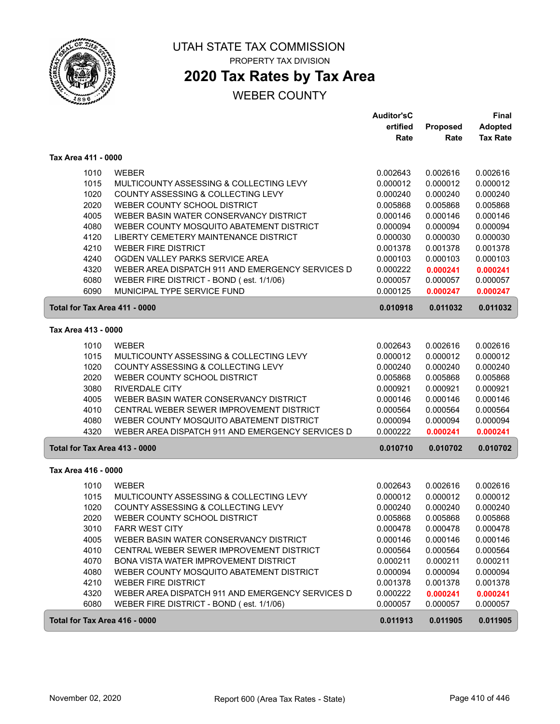

ſ

### UTAH STATE TAX COMMISSION PROPERTY TAX DIVISION

# **2020 Tax Rates by Tax Area**

|                               |                                                  | <b>Auditor'sC</b> |          | Final           |
|-------------------------------|--------------------------------------------------|-------------------|----------|-----------------|
|                               |                                                  | ertified          | Proposed | <b>Adopted</b>  |
|                               |                                                  | Rate              | Rate     | <b>Tax Rate</b> |
| Tax Area 411 - 0000           |                                                  |                   |          |                 |
| 1010                          | <b>WEBER</b>                                     | 0.002643          | 0.002616 | 0.002616        |
| 1015                          | MULTICOUNTY ASSESSING & COLLECTING LEVY          | 0.000012          | 0.000012 | 0.000012        |
| 1020                          | COUNTY ASSESSING & COLLECTING LEVY               | 0.000240          | 0.000240 | 0.000240        |
| 2020                          | WEBER COUNTY SCHOOL DISTRICT                     | 0.005868          | 0.005868 | 0.005868        |
| 4005                          | WEBER BASIN WATER CONSERVANCY DISTRICT           | 0.000146          | 0.000146 | 0.000146        |
| 4080                          | WEBER COUNTY MOSQUITO ABATEMENT DISTRICT         | 0.000094          | 0.000094 | 0.000094        |
| 4120                          | LIBERTY CEMETERY MAINTENANCE DISTRICT            | 0.000030          | 0.000030 | 0.000030        |
| 4210                          | <b>WEBER FIRE DISTRICT</b>                       | 0.001378          | 0.001378 | 0.001378        |
| 4240                          | OGDEN VALLEY PARKS SERVICE AREA                  | 0.000103          | 0.000103 | 0.000103        |
| 4320                          | WEBER AREA DISPATCH 911 AND EMERGENCY SERVICES D | 0.000222          | 0.000241 | 0.000241        |
| 6080                          | WEBER FIRE DISTRICT - BOND (est. 1/1/06)         | 0.000057          | 0.000057 | 0.000057        |
| 6090                          | MUNICIPAL TYPE SERVICE FUND                      | 0.000125          | 0.000247 | 0.000247        |
| Total for Tax Area 411 - 0000 |                                                  | 0.010918          | 0.011032 | 0.011032        |
| Tax Area 413 - 0000           |                                                  |                   |          |                 |
| 1010                          | <b>WEBER</b>                                     | 0.002643          | 0.002616 | 0.002616        |
| 1015                          | MULTICOUNTY ASSESSING & COLLECTING LEVY          | 0.000012          | 0.000012 | 0.000012        |
| 1020                          | COUNTY ASSESSING & COLLECTING LEVY               | 0.000240          | 0.000240 | 0.000240        |
| 2020                          | WEBER COUNTY SCHOOL DISTRICT                     | 0.005868          | 0.005868 | 0.005868        |
| 3080                          | <b>RIVERDALE CITY</b>                            | 0.000921          | 0.000921 | 0.000921        |
| 4005                          | WEBER BASIN WATER CONSERVANCY DISTRICT           | 0.000146          | 0.000146 | 0.000146        |
| 4010                          | CENTRAL WEBER SEWER IMPROVEMENT DISTRICT         | 0.000564          | 0.000564 | 0.000564        |
| 4080                          | WEBER COUNTY MOSQUITO ABATEMENT DISTRICT         | 0.000094          | 0.000094 | 0.000094        |
| 4320                          | WEBER AREA DISPATCH 911 AND EMERGENCY SERVICES D | 0.000222          | 0.000241 | 0.000241        |
| Total for Tax Area 413 - 0000 |                                                  | 0.010710          | 0.010702 | 0.010702        |
| Tax Area 416 - 0000           |                                                  |                   |          |                 |
| 1010                          | <b>WEBER</b>                                     | 0.002643          | 0.002616 | 0.002616        |
| 1015                          | MULTICOUNTY ASSESSING & COLLECTING LEVY          | 0.000012          | 0.000012 | 0.000012        |
| 1020                          | COUNTY ASSESSING & COLLECTING LEVY               | 0.000240          | 0.000240 | 0.000240        |
| 2020                          | WEBER COUNTY SCHOOL DISTRICT                     | 0.005868          | 0.005868 | 0.005868        |
| 3010                          | <b>FARR WEST CITY</b>                            | 0.000478          | 0.000478 | 0.000478        |
| 4005                          | WEBER BASIN WATER CONSERVANCY DISTRICT           | 0.000146          | 0.000146 | 0.000146        |
| 4010                          | CENTRAL WEBER SEWER IMPROVEMENT DISTRICT         | 0.000564          | 0.000564 | 0.000564        |
| 4070                          | <b>BONA VISTA WATER IMPROVEMENT DISTRICT</b>     | 0.000211          | 0.000211 | 0.000211        |
| 4080                          | WEBER COUNTY MOSQUITO ABATEMENT DISTRICT         | 0.000094          | 0.000094 | 0.000094        |
| 4210                          | <b>WEBER FIRE DISTRICT</b>                       | 0.001378          | 0.001378 | 0.001378        |
| 4320                          | WEBER AREA DISPATCH 911 AND EMERGENCY SERVICES D | 0.000222          | 0.000241 | 0.000241        |
| 6080                          | WEBER FIRE DISTRICT - BOND (est. 1/1/06)         | 0.000057          | 0.000057 | 0.000057        |
| Total for Tax Area 416 - 0000 |                                                  | 0.011913          | 0.011905 | 0.011905        |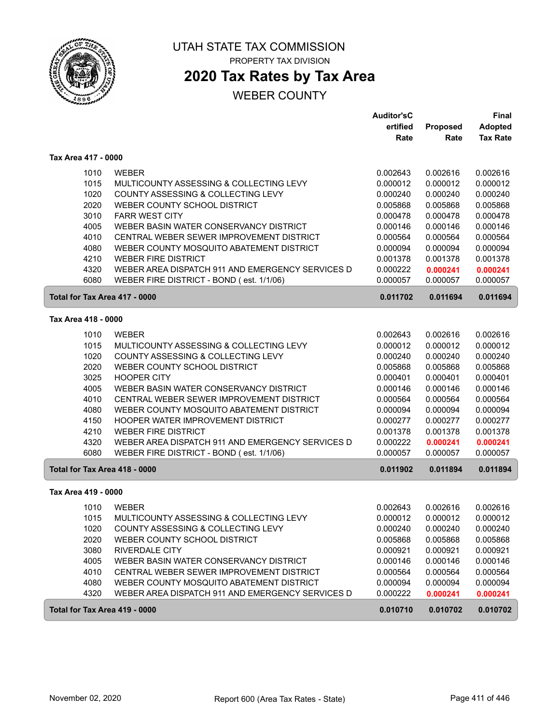

# UTAH STATE TAX COMMISSION

PROPERTY TAX DIVISION

# **2020 Tax Rates by Tax Area**

|                               |                                                         | <b>Auditor'sC</b>    |                      | <b>Final</b>         |
|-------------------------------|---------------------------------------------------------|----------------------|----------------------|----------------------|
|                               |                                                         | ertified             | Proposed             | <b>Adopted</b>       |
|                               |                                                         | Rate                 | Rate                 | <b>Tax Rate</b>      |
| Tax Area 417 - 0000           |                                                         |                      |                      |                      |
| 1010                          | <b>WEBER</b>                                            | 0.002643             | 0.002616             | 0.002616             |
| 1015                          | MULTICOUNTY ASSESSING & COLLECTING LEVY                 | 0.000012             | 0.000012             | 0.000012             |
| 1020                          | COUNTY ASSESSING & COLLECTING LEVY                      | 0.000240             | 0.000240             | 0.000240             |
| 2020                          | WEBER COUNTY SCHOOL DISTRICT                            | 0.005868             | 0.005868             | 0.005868             |
| 3010                          | <b>FARR WEST CITY</b>                                   | 0.000478             | 0.000478             | 0.000478             |
| 4005                          | WEBER BASIN WATER CONSERVANCY DISTRICT                  | 0.000146             | 0.000146             | 0.000146             |
| 4010                          | CENTRAL WEBER SEWER IMPROVEMENT DISTRICT                | 0.000564             | 0.000564             | 0.000564             |
| 4080                          | WEBER COUNTY MOSQUITO ABATEMENT DISTRICT                | 0.000094             | 0.000094             | 0.000094             |
| 4210                          | <b>WEBER FIRE DISTRICT</b>                              | 0.001378             | 0.001378             | 0.001378             |
| 4320                          | WEBER AREA DISPATCH 911 AND EMERGENCY SERVICES D        | 0.000222             | 0.000241             | 0.000241             |
| 6080                          | WEBER FIRE DISTRICT - BOND (est. 1/1/06)                | 0.000057             | 0.000057             | 0.000057             |
| Total for Tax Area 417 - 0000 |                                                         | 0.011702             | 0.011694             | 0.011694             |
| Tax Area 418 - 0000           |                                                         |                      |                      |                      |
|                               |                                                         |                      |                      |                      |
| 1010<br>1015                  | <b>WEBER</b><br>MULTICOUNTY ASSESSING & COLLECTING LEVY | 0.002643             | 0.002616             | 0.002616             |
| 1020                          | COUNTY ASSESSING & COLLECTING LEVY                      | 0.000012<br>0.000240 | 0.000012<br>0.000240 | 0.000012<br>0.000240 |
| 2020                          | WEBER COUNTY SCHOOL DISTRICT                            | 0.005868             | 0.005868             | 0.005868             |
| 3025                          | <b>HOOPER CITY</b>                                      | 0.000401             | 0.000401             | 0.000401             |
| 4005                          | WEBER BASIN WATER CONSERVANCY DISTRICT                  | 0.000146             | 0.000146             | 0.000146             |
| 4010                          | CENTRAL WEBER SEWER IMPROVEMENT DISTRICT                | 0.000564             | 0.000564             | 0.000564             |
| 4080                          | WEBER COUNTY MOSQUITO ABATEMENT DISTRICT                | 0.000094             | 0.000094             | 0.000094             |
| 4150                          | HOOPER WATER IMPROVEMENT DISTRICT                       | 0.000277             | 0.000277             | 0.000277             |
| 4210                          | <b>WEBER FIRE DISTRICT</b>                              | 0.001378             | 0.001378             | 0.001378             |
| 4320                          | WEBER AREA DISPATCH 911 AND EMERGENCY SERVICES D        | 0.000222             | 0.000241             | 0.000241             |
| 6080                          | WEBER FIRE DISTRICT - BOND (est. 1/1/06)                | 0.000057             | 0.000057             | 0.000057             |
| Total for Tax Area 418 - 0000 |                                                         | 0.011902             | 0.011894             | 0.011894             |
| Tax Area 419 - 0000           |                                                         |                      |                      |                      |
| 1010                          | <b>WEBER</b>                                            | 0.002643             | 0.002616             | 0.002616             |
| 1015                          | MULTICOUNTY ASSESSING & COLLECTING LEVY                 | 0.000012             | 0.000012             | 0.000012             |
| 1020                          | COUNTY ASSESSING & COLLECTING LEVY                      | 0.000240             | 0.000240             | 0.000240             |
| 2020                          | WEBER COUNTY SCHOOL DISTRICT                            | 0.005868             | 0.005868             | 0.005868             |
| 3080                          | <b>RIVERDALE CITY</b>                                   | 0.000921             | 0.000921             | 0.000921             |
| 4005                          | WEBER BASIN WATER CONSERVANCY DISTRICT                  | 0.000146             | 0.000146             | 0.000146             |
| 4010                          | CENTRAL WEBER SEWER IMPROVEMENT DISTRICT                | 0.000564             | 0.000564             | 0.000564             |
| 4080                          | WEBER COUNTY MOSQUITO ABATEMENT DISTRICT                | 0.000094             | 0.000094             | 0.000094             |
| 4320                          | WEBER AREA DISPATCH 911 AND EMERGENCY SERVICES D        | 0.000222             | 0.000241             | 0.000241             |
| Total for Tax Area 419 - 0000 |                                                         | 0.010710             | 0.010702             | 0.010702             |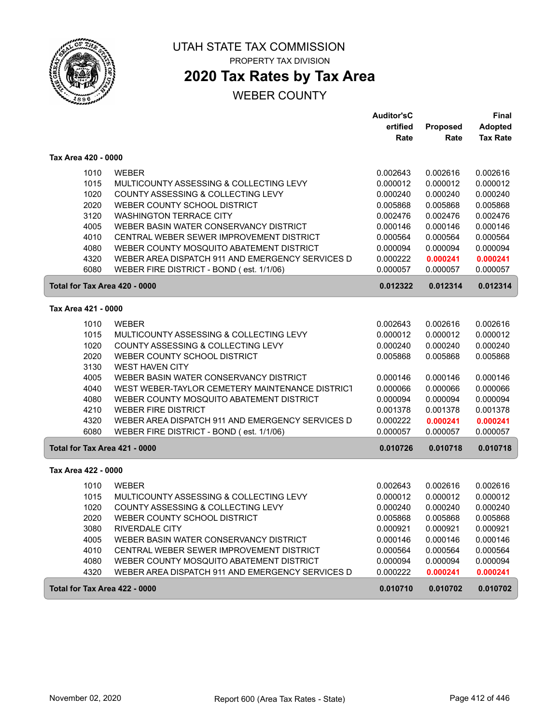

ſ

ſ

### UTAH STATE TAX COMMISSION PROPERTY TAX DIVISION

# **2020 Tax Rates by Tax Area**

|                               |                                                  | <b>Auditor'sC</b> |                      | <b>Final</b>    |
|-------------------------------|--------------------------------------------------|-------------------|----------------------|-----------------|
|                               |                                                  | ertified          | Proposed             | <b>Adopted</b>  |
|                               |                                                  | Rate              | Rate                 | <b>Tax Rate</b> |
| Tax Area 420 - 0000           |                                                  |                   |                      |                 |
| 1010                          | <b>WEBER</b>                                     | 0.002643          | 0.002616             | 0.002616        |
| 1015                          | MULTICOUNTY ASSESSING & COLLECTING LEVY          | 0.000012          | 0.000012             | 0.000012        |
| 1020                          | COUNTY ASSESSING & COLLECTING LEVY               | 0.000240          | 0.000240             | 0.000240        |
| 2020                          | WEBER COUNTY SCHOOL DISTRICT                     | 0.005868          | 0.005868             | 0.005868        |
| 3120                          | <b>WASHINGTON TERRACE CITY</b>                   | 0.002476          | 0.002476             | 0.002476        |
| 4005                          | WEBER BASIN WATER CONSERVANCY DISTRICT           | 0.000146          | 0.000146             | 0.000146        |
| 4010                          | CENTRAL WEBER SEWER IMPROVEMENT DISTRICT         | 0.000564          | 0.000564             | 0.000564        |
| 4080                          | WEBER COUNTY MOSQUITO ABATEMENT DISTRICT         | 0.000094          | 0.000094             | 0.000094        |
| 4320                          | WEBER AREA DISPATCH 911 AND EMERGENCY SERVICES D | 0.000222          | 0.000241             | 0.000241        |
| 6080                          | WEBER FIRE DISTRICT - BOND (est. 1/1/06)         | 0.000057          | 0.000057             | 0.000057        |
| Total for Tax Area 420 - 0000 |                                                  | 0.012322          | 0.012314             | 0.012314        |
| Tax Area 421 - 0000           |                                                  |                   |                      |                 |
|                               | <b>WEBER</b>                                     | 0.002643          |                      | 0.002616        |
| 1010<br>1015                  | MULTICOUNTY ASSESSING & COLLECTING LEVY          | 0.000012          | 0.002616<br>0.000012 | 0.000012        |
| 1020                          | COUNTY ASSESSING & COLLECTING LEVY               | 0.000240          | 0.000240             | 0.000240        |
| 2020                          | WEBER COUNTY SCHOOL DISTRICT                     | 0.005868          | 0.005868             | 0.005868        |
| 3130                          | <b>WEST HAVEN CITY</b>                           |                   |                      |                 |
| 4005                          | WEBER BASIN WATER CONSERVANCY DISTRICT           | 0.000146          | 0.000146             | 0.000146        |
| 4040                          | WEST WEBER-TAYLOR CEMETERY MAINTENANCE DISTRICT  | 0.000066          | 0.000066             | 0.000066        |
| 4080                          | WEBER COUNTY MOSQUITO ABATEMENT DISTRICT         | 0.000094          | 0.000094             | 0.000094        |
| 4210                          | <b>WEBER FIRE DISTRICT</b>                       | 0.001378          | 0.001378             | 0.001378        |
| 4320                          | WEBER AREA DISPATCH 911 AND EMERGENCY SERVICES D | 0.000222          | 0.000241             | 0.000241        |
| 6080                          | WEBER FIRE DISTRICT - BOND (est. 1/1/06)         | 0.000057          | 0.000057             | 0.000057        |
| Total for Tax Area 421 - 0000 |                                                  | 0.010726          | 0.010718             | 0.010718        |
| Tax Area 422 - 0000           |                                                  |                   |                      |                 |
| 1010                          | <b>WEBER</b>                                     | 0.002643          | 0.002616             | 0.002616        |
| 1015                          | MULTICOUNTY ASSESSING & COLLECTING LEVY          | 0.000012          | 0.000012             | 0.000012        |
| 1020                          | COUNTY ASSESSING & COLLECTING LEVY               | 0.000240          | 0.000240             | 0.000240        |
| 2020                          | WEBER COUNTY SCHOOL DISTRICT                     | 0.005868          | 0.005868             | 0.005868        |
| 3080                          | <b>RIVERDALE CITY</b>                            | 0.000921          | 0.000921             | 0.000921        |
| 4005                          | WEBER BASIN WATER CONSERVANCY DISTRICT           | 0.000146          | 0.000146             | 0.000146        |
| 4010                          | CENTRAL WEBER SEWER IMPROVEMENT DISTRICT         | 0.000564          | 0.000564             | 0.000564        |
| 4080                          | WEBER COUNTY MOSQUITO ABATEMENT DISTRICT         | 0.000094          | 0.000094             | 0.000094        |
| 4320                          | WEBER AREA DISPATCH 911 AND EMERGENCY SERVICES D | 0.000222          | 0.000241             | 0.000241        |
| Total for Tax Area 422 - 0000 |                                                  | 0.010710          | 0.010702             | 0.010702        |
|                               |                                                  |                   |                      |                 |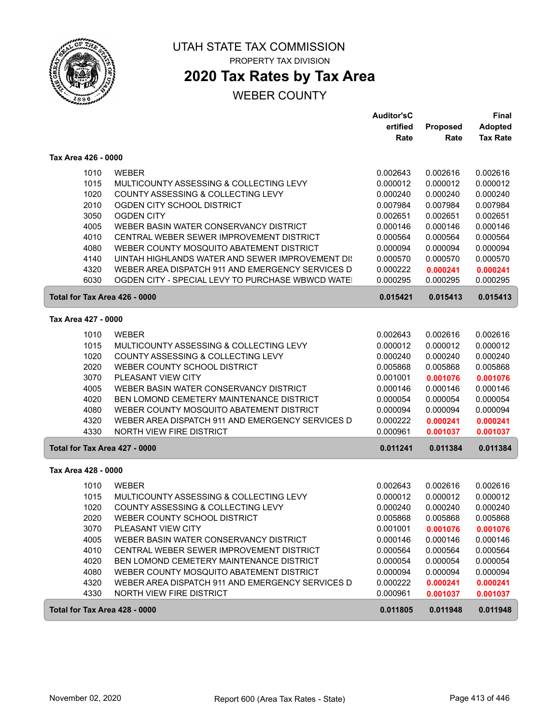

# **2020 Tax Rates by Tax Area**

|                               |                                                  | <b>Auditor'sC</b> |                      | Final           |
|-------------------------------|--------------------------------------------------|-------------------|----------------------|-----------------|
|                               |                                                  | ertified          | Proposed             | <b>Adopted</b>  |
|                               |                                                  | Rate              | Rate                 | <b>Tax Rate</b> |
| Tax Area 426 - 0000           |                                                  |                   |                      |                 |
| 1010                          | <b>WEBER</b>                                     | 0.002643          | 0.002616             | 0.002616        |
| 1015                          | MULTICOUNTY ASSESSING & COLLECTING LEVY          | 0.000012          | 0.000012             | 0.000012        |
| 1020                          | COUNTY ASSESSING & COLLECTING LEVY               | 0.000240          | 0.000240             | 0.000240        |
| 2010                          | OGDEN CITY SCHOOL DISTRICT                       | 0.007984          | 0.007984             | 0.007984        |
| 3050                          | <b>OGDEN CITY</b>                                | 0.002651          | 0.002651             | 0.002651        |
| 4005                          | WEBER BASIN WATER CONSERVANCY DISTRICT           | 0.000146          | 0.000146             | 0.000146        |
| 4010                          | CENTRAL WEBER SEWER IMPROVEMENT DISTRICT         | 0.000564          | 0.000564             | 0.000564        |
| 4080                          | WEBER COUNTY MOSQUITO ABATEMENT DISTRICT         | 0.000094          | 0.000094             | 0.000094        |
| 4140                          | UINTAH HIGHLANDS WATER AND SEWER IMPROVEMENT DI: | 0.000570          | 0.000570             | 0.000570        |
| 4320                          | WEBER AREA DISPATCH 911 AND EMERGENCY SERVICES D | 0.000222          | 0.000241             | 0.000241        |
| 6030                          | OGDEN CITY - SPECIAL LEVY TO PURCHASE WBWCD WATE | 0.000295          | 0.000295             | 0.000295        |
| Total for Tax Area 426 - 0000 |                                                  | 0.015421          | 0.015413             | 0.015413        |
|                               |                                                  |                   |                      |                 |
| Tax Area 427 - 0000           |                                                  |                   |                      |                 |
| 1010                          | <b>WEBER</b>                                     | 0.002643          | 0.002616             | 0.002616        |
| 1015                          | MULTICOUNTY ASSESSING & COLLECTING LEVY          | 0.000012          | 0.000012             | 0.000012        |
| 1020                          | COUNTY ASSESSING & COLLECTING LEVY               | 0.000240          | 0.000240             | 0.000240        |
| 2020                          | WEBER COUNTY SCHOOL DISTRICT                     | 0.005868          | 0.005868             | 0.005868        |
| 3070                          | PLEASANT VIEW CITY                               | 0.001001          | 0.001076             | 0.001076        |
| 4005                          | WEBER BASIN WATER CONSERVANCY DISTRICT           | 0.000146          | 0.000146             | 0.000146        |
| 4020                          | BEN LOMOND CEMETERY MAINTENANCE DISTRICT         | 0.000054          | 0.000054             | 0.000054        |
| 4080                          | WEBER COUNTY MOSQUITO ABATEMENT DISTRICT         | 0.000094          | 0.000094             | 0.000094        |
| 4320                          | WEBER AREA DISPATCH 911 AND EMERGENCY SERVICES D | 0.000222          | 0.000241             | 0.000241        |
| 4330                          | <b>NORTH VIEW FIRE DISTRICT</b>                  | 0.000961          | 0.001037             | 0.001037        |
| Total for Tax Area 427 - 0000 |                                                  | 0.011241          | 0.011384             | 0.011384        |
| Tax Area 428 - 0000           |                                                  |                   |                      |                 |
| 1010                          | <b>WEBER</b>                                     | 0.002643          | 0.002616             | 0.002616        |
| 1015                          | MULTICOUNTY ASSESSING & COLLECTING LEVY          | 0.000012          | 0.000012             | 0.000012        |
|                               | COUNTY ASSESSING & COLLECTING LEVY               |                   |                      | 0.000240        |
| 1020<br>2020                  | WEBER COUNTY SCHOOL DISTRICT                     | 0.000240          | 0.000240<br>0.005868 |                 |
|                               |                                                  | 0.005868          |                      | 0.005868        |
| 3070                          | PLEASANT VIEW CITY                               | 0.001001          | 0.001076             | 0.001076        |
| 4005                          | WEBER BASIN WATER CONSERVANCY DISTRICT           | 0.000146          | 0.000146             | 0.000146        |
| 4010                          | CENTRAL WEBER SEWER IMPROVEMENT DISTRICT         | 0.000564          | 0.000564             | 0.000564        |
| 4020                          | BEN LOMOND CEMETERY MAINTENANCE DISTRICT         | 0.000054          | 0.000054             | 0.000054        |
| 4080                          | WEBER COUNTY MOSQUITO ABATEMENT DISTRICT         | 0.000094          | 0.000094             | 0.000094        |
| 4320                          | WEBER AREA DISPATCH 911 AND EMERGENCY SERVICES D | 0.000222          | 0.000241             | 0.000241        |
| 4330                          | NORTH VIEW FIRE DISTRICT                         | 0.000961          | 0.001037             | 0.001037        |
| Total for Tax Area 428 - 0000 |                                                  | 0.011805          | 0.011948             | 0.011948        |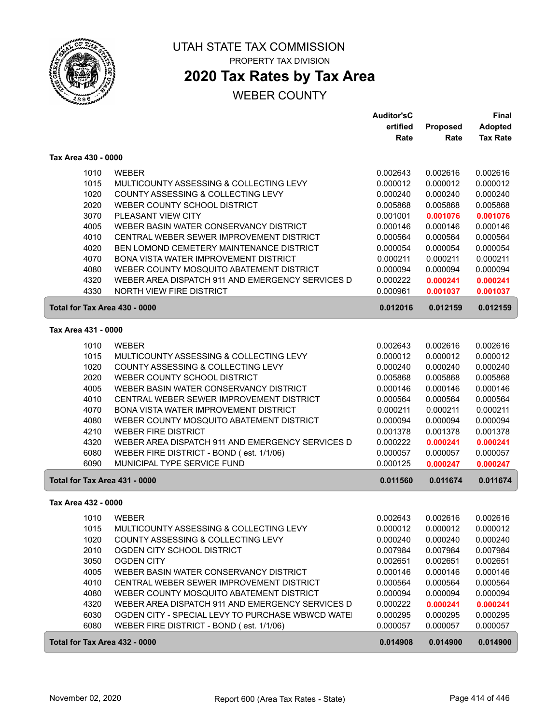

## **2020 Tax Rates by Tax Area**

|                               |                                                   | <b>Auditor'sC</b> |          | <b>Final</b>    |
|-------------------------------|---------------------------------------------------|-------------------|----------|-----------------|
|                               |                                                   | ertified          | Proposed | <b>Adopted</b>  |
|                               |                                                   | Rate              | Rate     | <b>Tax Rate</b> |
| Tax Area 430 - 0000           |                                                   |                   |          |                 |
| 1010                          | <b>WEBER</b>                                      | 0.002643          | 0.002616 | 0.002616        |
| 1015                          | MULTICOUNTY ASSESSING & COLLECTING LEVY           | 0.000012          | 0.000012 | 0.000012        |
| 1020                          | COUNTY ASSESSING & COLLECTING LEVY                | 0.000240          | 0.000240 | 0.000240        |
| 2020                          | WEBER COUNTY SCHOOL DISTRICT                      | 0.005868          | 0.005868 | 0.005868        |
| 3070                          | PLEASANT VIEW CITY                                | 0.001001          | 0.001076 | 0.001076        |
| 4005                          | WEBER BASIN WATER CONSERVANCY DISTRICT            | 0.000146          | 0.000146 | 0.000146        |
| 4010                          | CENTRAL WEBER SEWER IMPROVEMENT DISTRICT          | 0.000564          | 0.000564 | 0.000564        |
| 4020                          | BEN LOMOND CEMETERY MAINTENANCE DISTRICT          | 0.000054          | 0.000054 | 0.000054        |
| 4070                          | BONA VISTA WATER IMPROVEMENT DISTRICT             | 0.000211          | 0.000211 | 0.000211        |
| 4080                          | WEBER COUNTY MOSQUITO ABATEMENT DISTRICT          | 0.000094          | 0.000094 | 0.000094        |
| 4320                          | WEBER AREA DISPATCH 911 AND EMERGENCY SERVICES D  | 0.000222          | 0.000241 | 0.000241        |
| 4330                          | NORTH VIEW FIRE DISTRICT                          | 0.000961          | 0.001037 | 0.001037        |
| Total for Tax Area 430 - 0000 |                                                   | 0.012016          | 0.012159 | 0.012159        |
| Tax Area 431 - 0000           |                                                   |                   |          |                 |
|                               |                                                   |                   |          |                 |
| 1010                          | <b>WEBER</b>                                      | 0.002643          | 0.002616 | 0.002616        |
| 1015                          | MULTICOUNTY ASSESSING & COLLECTING LEVY           | 0.000012          | 0.000012 | 0.000012        |
| 1020                          | COUNTY ASSESSING & COLLECTING LEVY                | 0.000240          | 0.000240 | 0.000240        |
| 2020                          | WEBER COUNTY SCHOOL DISTRICT                      | 0.005868          | 0.005868 | 0.005868        |
| 4005                          | WEBER BASIN WATER CONSERVANCY DISTRICT            | 0.000146          | 0.000146 | 0.000146        |
| 4010                          | CENTRAL WEBER SEWER IMPROVEMENT DISTRICT          | 0.000564          | 0.000564 | 0.000564        |
| 4070                          | BONA VISTA WATER IMPROVEMENT DISTRICT             | 0.000211          | 0.000211 | 0.000211        |
| 4080                          | WEBER COUNTY MOSQUITO ABATEMENT DISTRICT          | 0.000094          | 0.000094 | 0.000094        |
| 4210                          | <b>WEBER FIRE DISTRICT</b>                        | 0.001378          | 0.001378 | 0.001378        |
| 4320                          | WEBER AREA DISPATCH 911 AND EMERGENCY SERVICES D  | 0.000222          | 0.000241 | 0.000241        |
| 6080                          | WEBER FIRE DISTRICT - BOND (est. 1/1/06)          | 0.000057          | 0.000057 | 0.000057        |
| 6090                          | MUNICIPAL TYPE SERVICE FUND                       | 0.000125          | 0.000247 | 0.000247        |
| Total for Tax Area 431 - 0000 |                                                   | 0.011560          | 0.011674 | 0.011674        |
| Tax Area 432 - 0000           |                                                   |                   |          |                 |
| 1010                          | <b>WEBER</b>                                      | 0.002643          | 0.002616 | 0.002616        |
| 1015                          | MULTICOUNTY ASSESSING & COLLECTING LEVY           | 0.000012          | 0.000012 | 0.000012        |
| 1020                          | COUNTY ASSESSING & COLLECTING LEVY                | 0.000240          | 0.000240 | 0.000240        |
| 2010                          | OGDEN CITY SCHOOL DISTRICT                        | 0.007984          | 0.007984 | 0.007984        |
| 3050                          | <b>OGDEN CITY</b>                                 | 0.002651          | 0.002651 | 0.002651        |
| 4005                          | WEBER BASIN WATER CONSERVANCY DISTRICT            | 0.000146          | 0.000146 | 0.000146        |
| 4010                          | CENTRAL WEBER SEWER IMPROVEMENT DISTRICT          | 0.000564          | 0.000564 | 0.000564        |
| 4080                          | WEBER COUNTY MOSQUITO ABATEMENT DISTRICT          | 0.000094          | 0.000094 | 0.000094        |
| 4320                          | WEBER AREA DISPATCH 911 AND EMERGENCY SERVICES D  | 0.000222          | 0.000241 | 0.000241        |
| 6030                          | OGDEN CITY - SPECIAL LEVY TO PURCHASE WBWCD WATEI | 0.000295          | 0.000295 | 0.000295        |
| 6080                          | WEBER FIRE DISTRICT - BOND (est. 1/1/06)          | 0.000057          | 0.000057 | 0.000057        |
| Total for Tax Area 432 - 0000 |                                                   | 0.014908          | 0.014900 | 0.014900        |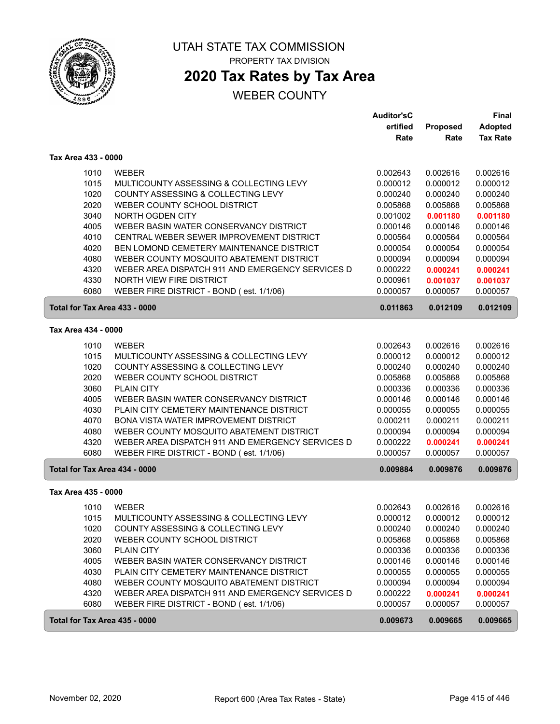

## **2020 Tax Rates by Tax Area**

|                     |                                                  | <b>Auditor'sC</b> |          | <b>Final</b>    |
|---------------------|--------------------------------------------------|-------------------|----------|-----------------|
|                     |                                                  | ertified          | Proposed | <b>Adopted</b>  |
|                     |                                                  | Rate              | Rate     | <b>Tax Rate</b> |
| Tax Area 433 - 0000 |                                                  |                   |          |                 |
| 1010                | <b>WEBER</b>                                     | 0.002643          | 0.002616 | 0.002616        |
| 1015                | MULTICOUNTY ASSESSING & COLLECTING LEVY          | 0.000012          | 0.000012 | 0.000012        |
| 1020                | COUNTY ASSESSING & COLLECTING LEVY               | 0.000240          | 0.000240 | 0.000240        |
| 2020                | WEBER COUNTY SCHOOL DISTRICT                     | 0.005868          | 0.005868 | 0.005868        |
| 3040                | NORTH OGDEN CITY                                 | 0.001002          | 0.001180 | 0.001180        |
| 4005                | WEBER BASIN WATER CONSERVANCY DISTRICT           | 0.000146          | 0.000146 | 0.000146        |
| 4010                | CENTRAL WEBER SEWER IMPROVEMENT DISTRICT         | 0.000564          | 0.000564 | 0.000564        |
| 4020                | BEN LOMOND CEMETERY MAINTENANCE DISTRICT         | 0.000054          | 0.000054 | 0.000054        |
| 4080                | WEBER COUNTY MOSQUITO ABATEMENT DISTRICT         | 0.000094          | 0.000094 | 0.000094        |
| 4320                | WEBER AREA DISPATCH 911 AND EMERGENCY SERVICES D | 0.000222          | 0.000241 | 0.000241        |
| 4330                | NORTH VIEW FIRE DISTRICT                         | 0.000961          | 0.001037 | 0.001037        |
| 6080                | WEBER FIRE DISTRICT - BOND (est. 1/1/06)         | 0.000057          | 0.000057 | 0.000057        |
|                     | Total for Tax Area 433 - 0000                    | 0.011863          | 0.012109 | 0.012109        |
| Tax Area 434 - 0000 |                                                  |                   |          |                 |
| 1010                | <b>WEBER</b>                                     | 0.002643          | 0.002616 | 0.002616        |
| 1015                | MULTICOUNTY ASSESSING & COLLECTING LEVY          | 0.000012          | 0.000012 | 0.000012        |
| 1020                | COUNTY ASSESSING & COLLECTING LEVY               | 0.000240          | 0.000240 | 0.000240        |
| 2020                | WEBER COUNTY SCHOOL DISTRICT                     | 0.005868          | 0.005868 | 0.005868        |
| 3060                | <b>PLAIN CITY</b>                                | 0.000336          | 0.000336 | 0.000336        |
| 4005                | WEBER BASIN WATER CONSERVANCY DISTRICT           | 0.000146          | 0.000146 | 0.000146        |
| 4030                | PLAIN CITY CEMETERY MAINTENANCE DISTRICT         | 0.000055          | 0.000055 | 0.000055        |
| 4070                | BONA VISTA WATER IMPROVEMENT DISTRICT            | 0.000211          | 0.000211 | 0.000211        |
| 4080                | WEBER COUNTY MOSQUITO ABATEMENT DISTRICT         | 0.000094          | 0.000094 | 0.000094        |
| 4320                | WEBER AREA DISPATCH 911 AND EMERGENCY SERVICES D | 0.000222          | 0.000241 | 0.000241        |
| 6080                | WEBER FIRE DISTRICT - BOND (est. 1/1/06)         | 0.000057          | 0.000057 | 0.000057        |
|                     | Total for Tax Area 434 - 0000                    | 0.009884          | 0.009876 | 0.009876        |
| Tax Area 435 - 0000 |                                                  |                   |          |                 |
| 1010                | <b>WEBER</b>                                     | 0.002643          | 0.002616 | 0.002616        |
| 1015                | MULTICOUNTY ASSESSING & COLLECTING LEVY          | 0.000012          | 0.000012 | 0.000012        |
| 1020                | COUNTY ASSESSING & COLLECTING LEVY               | 0.000240          | 0.000240 | 0.000240        |
| 2020                | WEBER COUNTY SCHOOL DISTRICT                     | 0.005868          | 0.005868 | 0.005868        |
| 3060                | <b>PLAIN CITY</b>                                | 0.000336          | 0.000336 | 0.000336        |
| 4005                | WEBER BASIN WATER CONSERVANCY DISTRICT           | 0.000146          | 0.000146 | 0.000146        |
| 4030                | PLAIN CITY CEMETERY MAINTENANCE DISTRICT         | 0.000055          | 0.000055 | 0.000055        |
| 4080                | WEBER COUNTY MOSQUITO ABATEMENT DISTRICT         | 0.000094          | 0.000094 | 0.000094        |
| 4320                | WEBER AREA DISPATCH 911 AND EMERGENCY SERVICES D | 0.000222          | 0.000241 | 0.000241        |
| 6080                | WEBER FIRE DISTRICT - BOND (est. 1/1/06)         | 0.000057          | 0.000057 | 0.000057        |
|                     | Total for Tax Area 435 - 0000                    | 0.009673          | 0.009665 | 0.009665        |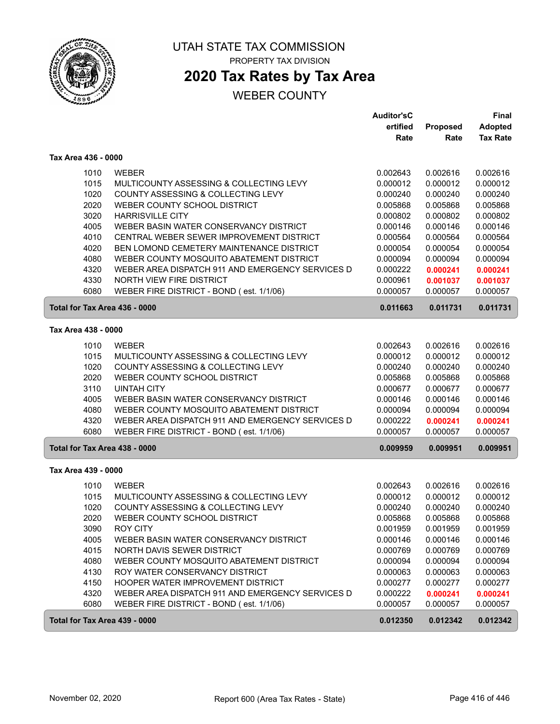

ſ

UTAH STATE TAX COMMISSION PROPERTY TAX DIVISION

## **2020 Tax Rates by Tax Area**

|                               |                                                  | <b>Auditor'sC</b> |          | Final           |
|-------------------------------|--------------------------------------------------|-------------------|----------|-----------------|
|                               |                                                  | ertified          | Proposed | <b>Adopted</b>  |
|                               |                                                  | Rate              | Rate     | <b>Tax Rate</b> |
| Tax Area 436 - 0000           |                                                  |                   |          |                 |
| 1010                          | <b>WEBER</b>                                     | 0.002643          | 0.002616 | 0.002616        |
| 1015                          | MULTICOUNTY ASSESSING & COLLECTING LEVY          | 0.000012          | 0.000012 | 0.000012        |
| 1020                          | COUNTY ASSESSING & COLLECTING LEVY               | 0.000240          | 0.000240 | 0.000240        |
| 2020                          | WEBER COUNTY SCHOOL DISTRICT                     | 0.005868          | 0.005868 | 0.005868        |
| 3020                          | <b>HARRISVILLE CITY</b>                          | 0.000802          | 0.000802 | 0.000802        |
| 4005                          | WEBER BASIN WATER CONSERVANCY DISTRICT           | 0.000146          | 0.000146 | 0.000146        |
| 4010                          | CENTRAL WEBER SEWER IMPROVEMENT DISTRICT         | 0.000564          | 0.000564 | 0.000564        |
| 4020                          | BEN LOMOND CEMETERY MAINTENANCE DISTRICT         | 0.000054          | 0.000054 | 0.000054        |
| 4080                          | WEBER COUNTY MOSQUITO ABATEMENT DISTRICT         | 0.000094          | 0.000094 | 0.000094        |
| 4320                          | WEBER AREA DISPATCH 911 AND EMERGENCY SERVICES D | 0.000222          | 0.000241 | 0.000241        |
| 4330                          | NORTH VIEW FIRE DISTRICT                         | 0.000961          | 0.001037 | 0.001037        |
| 6080                          | WEBER FIRE DISTRICT - BOND (est. 1/1/06)         | 0.000057          | 0.000057 | 0.000057        |
| Total for Tax Area 436 - 0000 |                                                  | 0.011663          | 0.011731 | 0.011731        |
| Tax Area 438 - 0000           |                                                  |                   |          |                 |
| 1010                          | <b>WEBER</b>                                     | 0.002643          | 0.002616 | 0.002616        |
| 1015                          | MULTICOUNTY ASSESSING & COLLECTING LEVY          | 0.000012          | 0.000012 | 0.000012        |
| 1020                          | COUNTY ASSESSING & COLLECTING LEVY               | 0.000240          | 0.000240 | 0.000240        |
| 2020                          | WEBER COUNTY SCHOOL DISTRICT                     | 0.005868          | 0.005868 | 0.005868        |
| 3110                          | <b>UINTAH CITY</b>                               | 0.000677          | 0.000677 | 0.000677        |
| 4005                          | WEBER BASIN WATER CONSERVANCY DISTRICT           | 0.000146          | 0.000146 | 0.000146        |
| 4080                          | WEBER COUNTY MOSQUITO ABATEMENT DISTRICT         | 0.000094          | 0.000094 | 0.000094        |
| 4320                          | WEBER AREA DISPATCH 911 AND EMERGENCY SERVICES D | 0.000222          | 0.000241 | 0.000241        |
| 6080                          | WEBER FIRE DISTRICT - BOND (est. 1/1/06)         | 0.000057          | 0.000057 | 0.000057        |
| Total for Tax Area 438 - 0000 |                                                  | 0.009959          | 0.009951 | 0.009951        |
| Tax Area 439 - 0000           |                                                  |                   |          |                 |
|                               |                                                  |                   |          |                 |
| 1010                          | <b>WEBER</b>                                     | 0.002643          | 0.002616 | 0.002616        |
| 1015                          | MULTICOUNTY ASSESSING & COLLECTING LEVY          | 0.000012          | 0.000012 | 0.000012        |
| 1020                          | COUNTY ASSESSING & COLLECTING LEVY               | 0.000240          | 0.000240 | 0.000240        |
| 2020                          | WEBER COUNTY SCHOOL DISTRICT                     | 0.005868          | 0.005868 | 0.005868        |
| 3090                          | <b>ROY CITY</b>                                  | 0.001959          | 0.001959 | 0.001959        |
| 4005                          | WEBER BASIN WATER CONSERVANCY DISTRICT           | 0.000146          | 0.000146 | 0.000146        |
| 4015                          | NORTH DAVIS SEWER DISTRICT                       | 0.000769          | 0.000769 | 0.000769        |
| 4080                          | WEBER COUNTY MOSQUITO ABATEMENT DISTRICT         | 0.000094          | 0.000094 | 0.000094        |
| 4130                          | ROY WATER CONSERVANCY DISTRICT                   | 0.000063          | 0.000063 | 0.000063        |
| 4150                          | HOOPER WATER IMPROVEMENT DISTRICT                | 0.000277          | 0.000277 | 0.000277        |
| 4320                          | WEBER AREA DISPATCH 911 AND EMERGENCY SERVICES D | 0.000222          | 0.000241 | 0.000241        |
| 6080                          | WEBER FIRE DISTRICT - BOND (est. 1/1/06)         | 0.000057          | 0.000057 | 0.000057        |
| Total for Tax Area 439 - 0000 |                                                  | 0.012350          | 0.012342 | 0.012342        |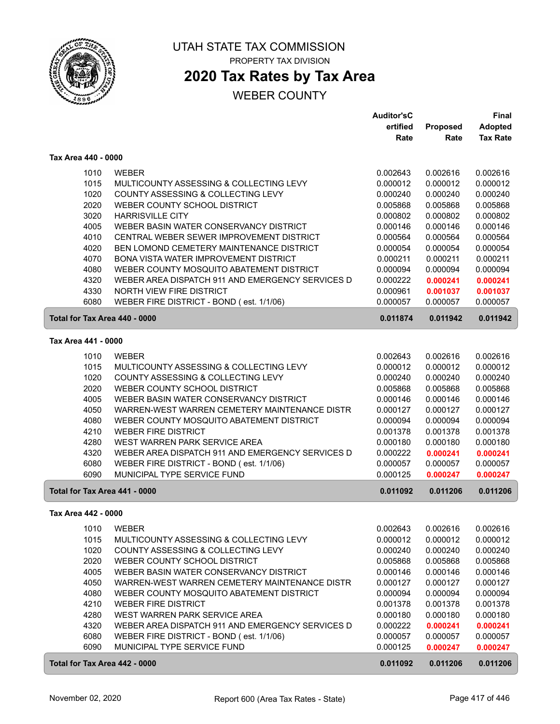

## **2020 Tax Rates by Tax Area**

|                               |                                                  | <b>Auditor'sC</b> |          | <b>Final</b>    |
|-------------------------------|--------------------------------------------------|-------------------|----------|-----------------|
|                               |                                                  | ertified          | Proposed | <b>Adopted</b>  |
|                               |                                                  | Rate              | Rate     | <b>Tax Rate</b> |
| Tax Area 440 - 0000           |                                                  |                   |          |                 |
| 1010                          | <b>WEBER</b>                                     | 0.002643          | 0.002616 | 0.002616        |
| 1015                          | MULTICOUNTY ASSESSING & COLLECTING LEVY          | 0.000012          | 0.000012 | 0.000012        |
| 1020                          | COUNTY ASSESSING & COLLECTING LEVY               | 0.000240          | 0.000240 | 0.000240        |
| 2020                          | WEBER COUNTY SCHOOL DISTRICT                     | 0.005868          | 0.005868 | 0.005868        |
| 3020                          | <b>HARRISVILLE CITY</b>                          | 0.000802          | 0.000802 | 0.000802        |
| 4005                          | WEBER BASIN WATER CONSERVANCY DISTRICT           | 0.000146          | 0.000146 | 0.000146        |
| 4010                          | CENTRAL WEBER SEWER IMPROVEMENT DISTRICT         | 0.000564          | 0.000564 | 0.000564        |
| 4020                          | BEN LOMOND CEMETERY MAINTENANCE DISTRICT         | 0.000054          | 0.000054 | 0.000054        |
| 4070                          | BONA VISTA WATER IMPROVEMENT DISTRICT            | 0.000211          | 0.000211 | 0.000211        |
| 4080                          | WEBER COUNTY MOSQUITO ABATEMENT DISTRICT         | 0.000094          | 0.000094 | 0.000094        |
| 4320                          | WEBER AREA DISPATCH 911 AND EMERGENCY SERVICES D | 0.000222          | 0.000241 | 0.000241        |
| 4330                          | NORTH VIEW FIRE DISTRICT                         | 0.000961          | 0.001037 | 0.001037        |
| 6080                          | WEBER FIRE DISTRICT - BOND (est. 1/1/06)         | 0.000057          | 0.000057 | 0.000057        |
| Total for Tax Area 440 - 0000 |                                                  | 0.011874          | 0.011942 | 0.011942        |
| Tax Area 441 - 0000           |                                                  |                   |          |                 |
|                               |                                                  |                   |          |                 |
| 1010                          | <b>WEBER</b>                                     | 0.002643          | 0.002616 | 0.002616        |
| 1015                          | MULTICOUNTY ASSESSING & COLLECTING LEVY          | 0.000012          | 0.000012 | 0.000012        |
| 1020                          | COUNTY ASSESSING & COLLECTING LEVY               | 0.000240          | 0.000240 | 0.000240        |
| 2020                          | WEBER COUNTY SCHOOL DISTRICT                     | 0.005868          | 0.005868 | 0.005868        |
| 4005                          | WEBER BASIN WATER CONSERVANCY DISTRICT           | 0.000146          | 0.000146 | 0.000146        |
| 4050                          | WARREN-WEST WARREN CEMETERY MAINTENANCE DISTR    | 0.000127          | 0.000127 | 0.000127        |
| 4080                          | WEBER COUNTY MOSQUITO ABATEMENT DISTRICT         | 0.000094          | 0.000094 | 0.000094        |
| 4210                          | <b>WEBER FIRE DISTRICT</b>                       | 0.001378          | 0.001378 | 0.001378        |
| 4280                          | WEST WARREN PARK SERVICE AREA                    | 0.000180          | 0.000180 | 0.000180        |
| 4320                          | WEBER AREA DISPATCH 911 AND EMERGENCY SERVICES D | 0.000222          | 0.000241 | 0.000241        |
| 6080                          | WEBER FIRE DISTRICT - BOND (est. 1/1/06)         | 0.000057          | 0.000057 | 0.000057        |
| 6090                          | MUNICIPAL TYPE SERVICE FUND                      | 0.000125          | 0.000247 | 0.000247        |
| Total for Tax Area 441 - 0000 |                                                  | 0.011092          | 0.011206 | 0.011206        |
| Tax Area 442 - 0000           |                                                  |                   |          |                 |
| 1010                          | WEBER                                            | 0.002643          | 0.002616 | 0.002616        |
| 1015                          | MULTICOUNTY ASSESSING & COLLECTING LEVY          | 0.000012          | 0.000012 | 0.000012        |
| 1020                          | COUNTY ASSESSING & COLLECTING LEVY               | 0.000240          | 0.000240 | 0.000240        |
| 2020                          | WEBER COUNTY SCHOOL DISTRICT                     | 0.005868          | 0.005868 | 0.005868        |
| 4005                          | WEBER BASIN WATER CONSERVANCY DISTRICT           | 0.000146          | 0.000146 | 0.000146        |
| 4050                          | WARREN-WEST WARREN CEMETERY MAINTENANCE DISTR    | 0.000127          | 0.000127 | 0.000127        |
| 4080                          | WEBER COUNTY MOSQUITO ABATEMENT DISTRICT         | 0.000094          | 0.000094 | 0.000094        |
| 4210                          | WEBER FIRE DISTRICT                              | 0.001378          | 0.001378 | 0.001378        |
| 4280                          | WEST WARREN PARK SERVICE AREA                    | 0.000180          | 0.000180 | 0.000180        |
| 4320                          | WEBER AREA DISPATCH 911 AND EMERGENCY SERVICES D | 0.000222          | 0.000241 | 0.000241        |
| 6080                          | WEBER FIRE DISTRICT - BOND (est. 1/1/06)         | 0.000057          | 0.000057 | 0.000057        |
| 6090                          | MUNICIPAL TYPE SERVICE FUND                      | 0.000125          | 0.000247 | 0.000247        |
| Total for Tax Area 442 - 0000 |                                                  | 0.011092          | 0.011206 | 0.011206        |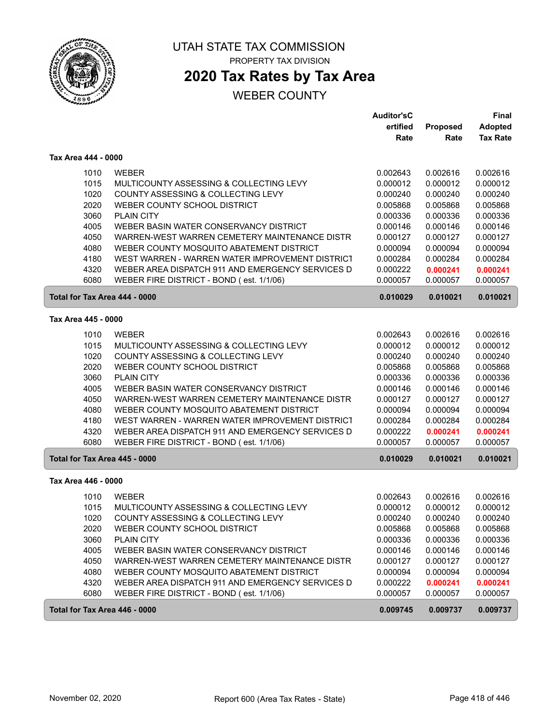

## **2020 Tax Rates by Tax Area**

### WEBER COUNTY

|                               |                                                  | <b>Auditor'sC</b>    |          | Final           |
|-------------------------------|--------------------------------------------------|----------------------|----------|-----------------|
|                               |                                                  | ertified             | Proposed | Adopted         |
|                               |                                                  | Rate                 | Rate     | <b>Tax Rate</b> |
| Tax Area 444 - 0000           |                                                  |                      |          |                 |
| 1010                          | <b>WEBER</b>                                     | 0.002643             | 0.002616 | 0.002616        |
| 1015                          | MULTICOUNTY ASSESSING & COLLECTING LEVY          | 0.000012             | 0.000012 | 0.000012        |
| 1020                          | COUNTY ASSESSING & COLLECTING LEVY               | 0.000240             | 0.000240 | 0.000240        |
| 2020                          | WEBER COUNTY SCHOOL DISTRICT                     | 0.005868             | 0.005868 | 0.005868        |
| 3060                          | <b>PLAIN CITY</b>                                | 0.000336             | 0.000336 | 0.000336        |
| 4005                          | WEBER BASIN WATER CONSERVANCY DISTRICT           | 0.000146             | 0.000146 | 0.000146        |
| 4050                          | WARREN-WEST WARREN CEMETERY MAINTENANCE DISTR    | 0.000127             | 0.000127 | 0.000127        |
| 4080                          | WEBER COUNTY MOSQUITO ABATEMENT DISTRICT         | 0.000094             | 0.000094 | 0.000094        |
| 4180                          | WEST WARREN - WARREN WATER IMPROVEMENT DISTRICT  | 0.000284             | 0.000284 | 0.000284        |
| 4320                          | WEBER AREA DISPATCH 911 AND EMERGENCY SERVICES D | 0.000222             | 0.000241 | 0.000241        |
| 6080                          | WEBER FIRE DISTRICT - BOND (est. 1/1/06)         | 0.000057             | 0.000057 | 0.000057        |
| Total for Tax Area 444 - 0000 |                                                  | 0.010029             | 0.010021 | 0.010021        |
| Tax Area 445 - 0000           |                                                  |                      |          |                 |
| 1010                          | <b>WEBER</b>                                     | 0.002643             | 0.002616 | 0.002616        |
| 1015                          | MULTICOUNTY ASSESSING & COLLECTING LEVY          | 0.000012             | 0.000012 | 0.000012        |
| 1020                          | COUNTY ASSESSING & COLLECTING LEVY               | 0.000240             | 0.000240 | 0.000240        |
| 2020                          | WEBER COUNTY SCHOOL DISTRICT                     |                      | 0.005868 | 0.005868        |
| 3060                          | <b>PLAIN CITY</b>                                | 0.005868<br>0.000336 | 0.000336 | 0.000336        |
| 4005                          | WEBER BASIN WATER CONSERVANCY DISTRICT           | 0.000146             | 0.000146 | 0.000146        |
| 4050                          | WARREN-WEST WARREN CEMETERY MAINTENANCE DISTR    | 0.000127             | 0.000127 | 0.000127        |
| 4080                          | WEBER COUNTY MOSQUITO ABATEMENT DISTRICT         | 0.000094             | 0.000094 | 0.000094        |
| 4180                          | WEST WARREN - WARREN WATER IMPROVEMENT DISTRICT  | 0.000284             | 0.000284 | 0.000284        |
| 4320                          | WEBER AREA DISPATCH 911 AND EMERGENCY SERVICES D | 0.000222             | 0.000241 | 0.000241        |
| 6080                          | WEBER FIRE DISTRICT - BOND (est. 1/1/06)         | 0.000057             | 0.000057 | 0.000057        |
|                               |                                                  |                      |          |                 |
| Total for Tax Area 445 - 0000 |                                                  | 0.010029             | 0.010021 | 0.010021        |
| Tax Area 446 - 0000           |                                                  |                      |          |                 |
| 1010                          | <b>WEBER</b>                                     | 0.002643             | 0.002616 | 0.002616        |
| 1015                          | MULTICOUNTY ASSESSING & COLLECTING LEVY          | 0.000012             | 0.000012 | 0.000012        |
| 1020                          | COUNTY ASSESSING & COLLECTING LEVY               | 0.000240             | 0.000240 | 0.000240        |
| 2020                          | WEBER COUNTY SCHOOL DISTRICT                     | 0.005868             | 0.005868 | 0.005868        |
| 3060                          | <b>PLAIN CITY</b>                                | 0.000336             | 0.000336 | 0.000336        |
| 4005                          | WEBER BASIN WATER CONSERVANCY DISTRICT           | 0.000146             | 0.000146 | 0.000146        |
| 4050                          | WARREN-WEST WARREN CEMETERY MAINTENANCE DISTR    | 0.000127             | 0.000127 | 0.000127        |
| 4080                          | WEBER COUNTY MOSQUITO ABATEMENT DISTRICT         | 0.000094             | 0.000094 | 0.000094        |
| 4320                          | WEBER AREA DISPATCH 911 AND EMERGENCY SERVICES D | 0.000222             | 0.000241 | 0.000241        |
| 6080                          | WEBER FIRE DISTRICT - BOND (est. 1/1/06)         | 0.000057             | 0.000057 | 0.000057        |
| Total for Tax Area 446 - 0000 |                                                  | 0.009745             | 0.009737 | 0.009737        |

 $\sqrt{2}$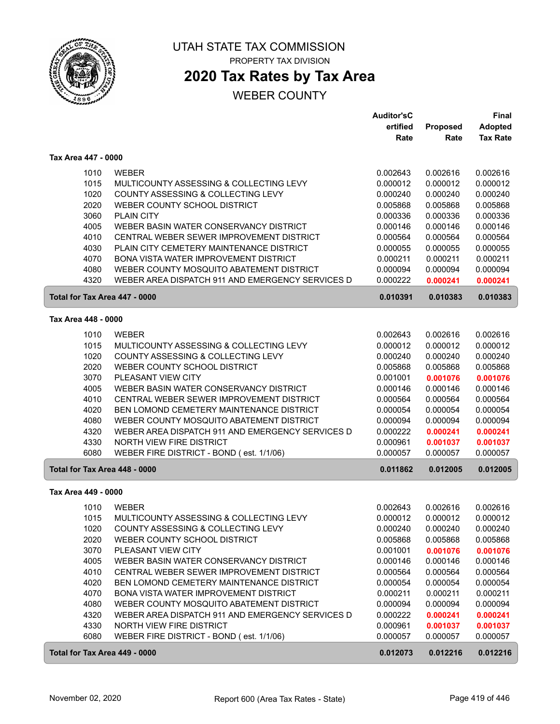

# **2020 Tax Rates by Tax Area**

|                               |                                                         | <b>Auditor'sC</b> |                      | <b>Final</b>         |
|-------------------------------|---------------------------------------------------------|-------------------|----------------------|----------------------|
|                               |                                                         | ertified          | Proposed             | <b>Adopted</b>       |
|                               |                                                         | Rate              | Rate                 | <b>Tax Rate</b>      |
| Tax Area 447 - 0000           |                                                         |                   |                      |                      |
| 1010                          | <b>WEBER</b>                                            | 0.002643          | 0.002616             | 0.002616             |
| 1015                          | MULTICOUNTY ASSESSING & COLLECTING LEVY                 | 0.000012          | 0.000012             | 0.000012             |
| 1020                          | COUNTY ASSESSING & COLLECTING LEVY                      | 0.000240          | 0.000240             | 0.000240             |
| 2020                          | WEBER COUNTY SCHOOL DISTRICT                            | 0.005868          | 0.005868             | 0.005868             |
| 3060                          | <b>PLAIN CITY</b>                                       | 0.000336          | 0.000336             | 0.000336             |
| 4005                          | WEBER BASIN WATER CONSERVANCY DISTRICT                  | 0.000146          | 0.000146             | 0.000146             |
| 4010                          | CENTRAL WEBER SEWER IMPROVEMENT DISTRICT                | 0.000564          | 0.000564             | 0.000564             |
| 4030                          | PLAIN CITY CEMETERY MAINTENANCE DISTRICT                | 0.000055          | 0.000055             | 0.000055             |
| 4070                          | <b>BONA VISTA WATER IMPROVEMENT DISTRICT</b>            |                   |                      |                      |
| 4080                          |                                                         | 0.000211          | 0.000211             | 0.000211             |
|                               | WEBER COUNTY MOSQUITO ABATEMENT DISTRICT                | 0.000094          | 0.000094             | 0.000094             |
| 4320                          | WEBER AREA DISPATCH 911 AND EMERGENCY SERVICES D        | 0.000222          | 0.000241             | 0.000241             |
| Total for Tax Area 447 - 0000 |                                                         | 0.010391          | 0.010383             | 0.010383             |
| Tax Area 448 - 0000           |                                                         |                   |                      |                      |
| 1010                          | <b>WEBER</b>                                            | 0.002643          | 0.002616             | 0.002616             |
| 1015                          | MULTICOUNTY ASSESSING & COLLECTING LEVY                 | 0.000012          | 0.000012             | 0.000012             |
| 1020                          | COUNTY ASSESSING & COLLECTING LEVY                      | 0.000240          | 0.000240             | 0.000240             |
| 2020                          | WEBER COUNTY SCHOOL DISTRICT                            | 0.005868          | 0.005868             | 0.005868             |
| 3070                          | PLEASANT VIEW CITY                                      | 0.001001          | 0.001076             | 0.001076             |
| 4005                          | WEBER BASIN WATER CONSERVANCY DISTRICT                  | 0.000146          | 0.000146             | 0.000146             |
| 4010                          | CENTRAL WEBER SEWER IMPROVEMENT DISTRICT                | 0.000564          | 0.000564             | 0.000564             |
| 4020                          | BEN LOMOND CEMETERY MAINTENANCE DISTRICT                | 0.000054          | 0.000054             | 0.000054             |
| 4080                          | WEBER COUNTY MOSQUITO ABATEMENT DISTRICT                | 0.000094          | 0.000094             | 0.000094             |
| 4320                          | WEBER AREA DISPATCH 911 AND EMERGENCY SERVICES D        | 0.000222          | 0.000241             | 0.000241             |
| 4330                          | NORTH VIEW FIRE DISTRICT                                | 0.000961          | 0.001037             | 0.001037             |
| 6080                          | WEBER FIRE DISTRICT - BOND (est. 1/1/06)                | 0.000057          | 0.000057             | 0.000057             |
| Total for Tax Area 448 - 0000 |                                                         | 0.011862          | 0.012005             | 0.012005             |
| Tax Area 449 - 0000           |                                                         |                   |                      |                      |
|                               |                                                         |                   |                      |                      |
| 1010                          | <b>WEBER</b><br>MULTICOUNTY ASSESSING & COLLECTING LEVY | 0.002643          | 0.002616<br>0.000012 | 0.002616<br>0.000012 |
| 1015                          |                                                         | 0.000012          |                      |                      |
| 1020                          | COUNTY ASSESSING & COLLECTING LEVY                      | 0.000240          | 0.000240             | 0.000240             |
| 2020                          | WEBER COUNTY SCHOOL DISTRICT                            | 0.005868          | 0.005868             | 0.005868             |
| 3070                          | PLEASANT VIEW CITY                                      | 0.001001          | 0.001076             | 0.001076             |
| 4005                          | WEBER BASIN WATER CONSERVANCY DISTRICT                  | 0.000146          | 0.000146             | 0.000146             |
| 4010                          | CENTRAL WEBER SEWER IMPROVEMENT DISTRICT                | 0.000564          | 0.000564             | 0.000564             |
| 4020                          | <b>BEN LOMOND CEMETERY MAINTENANCE DISTRICT</b>         | 0.000054          | 0.000054             | 0.000054             |
| 4070                          | BONA VISTA WATER IMPROVEMENT DISTRICT                   | 0.000211          | 0.000211             | 0.000211             |
| 4080                          | WEBER COUNTY MOSQUITO ABATEMENT DISTRICT                | 0.000094          | 0.000094             | 0.000094             |
| 4320                          | WEBER AREA DISPATCH 911 AND EMERGENCY SERVICES D        | 0.000222          | 0.000241             | 0.000241             |
| 4330                          | NORTH VIEW FIRE DISTRICT                                | 0.000961          | 0.001037             | 0.001037             |
| 6080                          | WEBER FIRE DISTRICT - BOND (est. 1/1/06)                | 0.000057          | 0.000057             | 0.000057             |
| Total for Tax Area 449 - 0000 |                                                         | 0.012073          | 0.012216             | 0.012216             |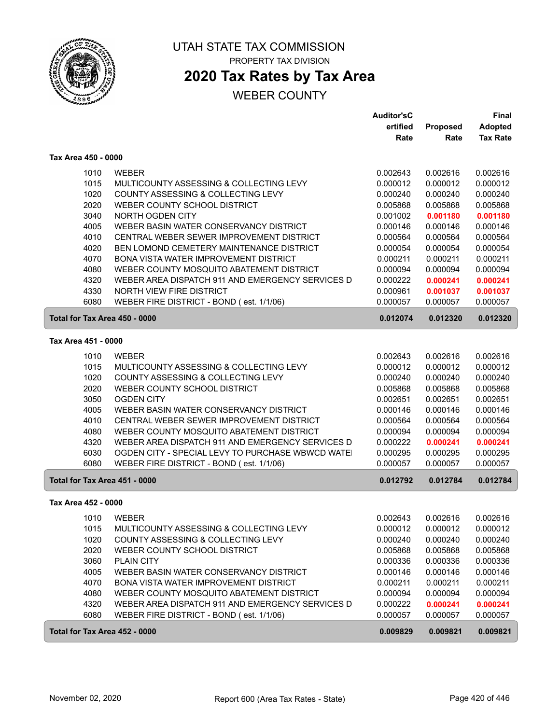

## **2020 Tax Rates by Tax Area**

|                               |                                                  | <b>Auditor'sC</b> |          | Final           |
|-------------------------------|--------------------------------------------------|-------------------|----------|-----------------|
|                               |                                                  | ertified          | Proposed | <b>Adopted</b>  |
|                               |                                                  | Rate              | Rate     | <b>Tax Rate</b> |
| Tax Area 450 - 0000           |                                                  |                   |          |                 |
| 1010                          | <b>WEBER</b>                                     | 0.002643          | 0.002616 | 0.002616        |
| 1015                          | MULTICOUNTY ASSESSING & COLLECTING LEVY          | 0.000012          | 0.000012 | 0.000012        |
| 1020                          | COUNTY ASSESSING & COLLECTING LEVY               | 0.000240          | 0.000240 | 0.000240        |
| 2020                          | WEBER COUNTY SCHOOL DISTRICT                     | 0.005868          | 0.005868 | 0.005868        |
| 3040                          | NORTH OGDEN CITY                                 | 0.001002          | 0.001180 | 0.001180        |
| 4005                          | WEBER BASIN WATER CONSERVANCY DISTRICT           | 0.000146          | 0.000146 | 0.000146        |
| 4010                          | CENTRAL WEBER SEWER IMPROVEMENT DISTRICT         | 0.000564          | 0.000564 | 0.000564        |
| 4020                          | BEN LOMOND CEMETERY MAINTENANCE DISTRICT         | 0.000054          | 0.000054 | 0.000054        |
| 4070                          | BONA VISTA WATER IMPROVEMENT DISTRICT            | 0.000211          | 0.000211 | 0.000211        |
| 4080                          | WEBER COUNTY MOSQUITO ABATEMENT DISTRICT         | 0.000094          | 0.000094 | 0.000094        |
| 4320                          | WEBER AREA DISPATCH 911 AND EMERGENCY SERVICES D | 0.000222          | 0.000241 | 0.000241        |
| 4330                          | NORTH VIEW FIRE DISTRICT                         | 0.000961          | 0.001037 | 0.001037        |
| 6080                          | WEBER FIRE DISTRICT - BOND (est. 1/1/06)         | 0.000057          | 0.000057 | 0.000057        |
| Total for Tax Area 450 - 0000 |                                                  | 0.012074          | 0.012320 | 0.012320        |
| Tax Area 451 - 0000           |                                                  |                   |          |                 |
| 1010                          | <b>WEBER</b>                                     | 0.002643          | 0.002616 | 0.002616        |
| 1015                          | MULTICOUNTY ASSESSING & COLLECTING LEVY          | 0.000012          | 0.000012 | 0.000012        |
| 1020                          | COUNTY ASSESSING & COLLECTING LEVY               | 0.000240          | 0.000240 | 0.000240        |
| 2020                          | WEBER COUNTY SCHOOL DISTRICT                     | 0.005868          | 0.005868 | 0.005868        |
| 3050                          | <b>OGDEN CITY</b>                                | 0.002651          | 0.002651 | 0.002651        |
| 4005                          | WEBER BASIN WATER CONSERVANCY DISTRICT           | 0.000146          | 0.000146 | 0.000146        |
| 4010                          | CENTRAL WEBER SEWER IMPROVEMENT DISTRICT         | 0.000564          | 0.000564 | 0.000564        |
| 4080                          | WEBER COUNTY MOSQUITO ABATEMENT DISTRICT         | 0.000094          | 0.000094 | 0.000094        |
| 4320                          | WEBER AREA DISPATCH 911 AND EMERGENCY SERVICES D | 0.000222          | 0.000241 | 0.000241        |
| 6030                          | OGDEN CITY - SPECIAL LEVY TO PURCHASE WBWCD WATE | 0.000295          | 0.000295 | 0.000295        |
| 6080                          | WEBER FIRE DISTRICT - BOND (est. 1/1/06)         | 0.000057          | 0.000057 | 0.000057        |
| Total for Tax Area 451 - 0000 |                                                  | 0.012792          | 0.012784 | 0.012784        |
| Tax Area 452 - 0000           |                                                  |                   |          |                 |
| 1010                          | <b>WEBER</b>                                     | 0.002643          | 0.002616 | 0.002616        |
| 1015                          | MULTICOUNTY ASSESSING & COLLECTING LEVY          | 0.000012          | 0.000012 | 0.000012        |
| 1020                          | COUNTY ASSESSING & COLLECTING LEVY               | 0.000240          | 0.000240 | 0.000240        |
| 2020                          | WEBER COUNTY SCHOOL DISTRICT                     | 0.005868          | 0.005868 | 0.005868        |
| 3060                          | <b>PLAIN CITY</b>                                | 0.000336          | 0.000336 | 0.000336        |
| 4005                          | WEBER BASIN WATER CONSERVANCY DISTRICT           | 0.000146          | 0.000146 | 0.000146        |
| 4070                          | BONA VISTA WATER IMPROVEMENT DISTRICT            | 0.000211          | 0.000211 | 0.000211        |
| 4080                          | WEBER COUNTY MOSQUITO ABATEMENT DISTRICT         | 0.000094          | 0.000094 | 0.000094        |
| 4320                          | WEBER AREA DISPATCH 911 AND EMERGENCY SERVICES D | 0.000222          | 0.000241 | 0.000241        |
| 6080                          | WEBER FIRE DISTRICT - BOND (est. 1/1/06)         | 0.000057          | 0.000057 | 0.000057        |
| Total for Tax Area 452 - 0000 |                                                  | 0.009829          | 0.009821 | 0.009821        |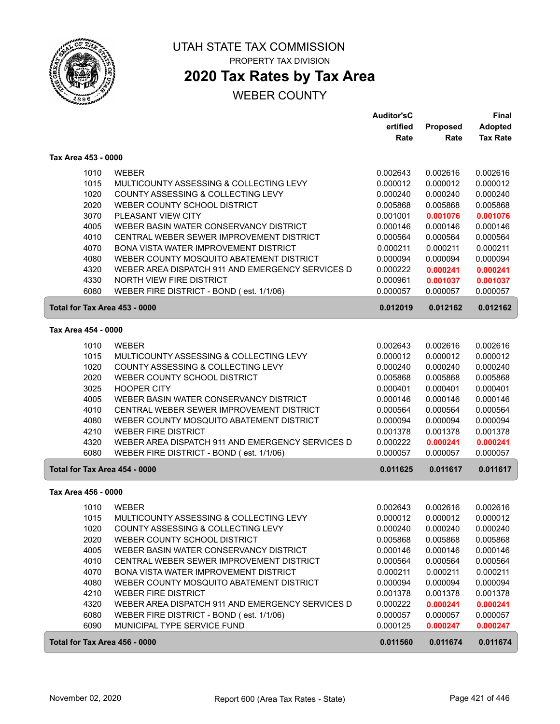

## **2020 Tax Rates by Tax Area**

|                               |                                                  | <b>Auditor'sC</b> |                 | Final           |
|-------------------------------|--------------------------------------------------|-------------------|-----------------|-----------------|
|                               |                                                  | ertified          | <b>Proposed</b> | <b>Adopted</b>  |
|                               |                                                  | Rate              | Rate            | <b>Tax Rate</b> |
| Tax Area 453 - 0000           |                                                  |                   |                 |                 |
| 1010                          | <b>WEBER</b>                                     | 0.002643          | 0.002616        | 0.002616        |
| 1015                          | MULTICOUNTY ASSESSING & COLLECTING LEVY          | 0.000012          | 0.000012        | 0.000012        |
| 1020                          | COUNTY ASSESSING & COLLECTING LEVY               | 0.000240          | 0.000240        | 0.000240        |
| 2020                          | WEBER COUNTY SCHOOL DISTRICT                     | 0.005868          | 0.005868        | 0.005868        |
| 3070                          | PLEASANT VIEW CITY                               | 0.001001          | 0.001076        | 0.001076        |
| 4005                          | WEBER BASIN WATER CONSERVANCY DISTRICT           | 0.000146          | 0.000146        | 0.000146        |
| 4010                          | CENTRAL WEBER SEWER IMPROVEMENT DISTRICT         | 0.000564          | 0.000564        | 0.000564        |
| 4070                          | <b>BONA VISTA WATER IMPROVEMENT DISTRICT</b>     | 0.000211          | 0.000211        | 0.000211        |
| 4080                          | WEBER COUNTY MOSQUITO ABATEMENT DISTRICT         | 0.000094          | 0.000094        | 0.000094        |
| 4320                          | WEBER AREA DISPATCH 911 AND EMERGENCY SERVICES D | 0.000222          | 0.000241        | 0.000241        |
| 4330                          | NORTH VIEW FIRE DISTRICT                         | 0.000961          | 0.001037        | 0.001037        |
| 6080                          | WEBER FIRE DISTRICT - BOND (est. 1/1/06)         | 0.000057          | 0.000057        | 0.000057        |
| Total for Tax Area 453 - 0000 |                                                  | 0.012019          | 0.012162        | 0.012162        |
|                               |                                                  |                   |                 |                 |
| Tax Area 454 - 0000           |                                                  |                   |                 |                 |
| 1010                          | <b>WEBER</b>                                     | 0.002643          | 0.002616        | 0.002616        |
| 1015                          | MULTICOUNTY ASSESSING & COLLECTING LEVY          | 0.000012          | 0.000012        | 0.000012        |
| 1020                          | COUNTY ASSESSING & COLLECTING LEVY               | 0.000240          | 0.000240        | 0.000240        |
| 2020                          | WEBER COUNTY SCHOOL DISTRICT                     | 0.005868          | 0.005868        | 0.005868        |
| 3025                          | <b>HOOPER CITY</b>                               | 0.000401          | 0.000401        | 0.000401        |
| 4005                          | WEBER BASIN WATER CONSERVANCY DISTRICT           | 0.000146          | 0.000146        | 0.000146        |
| 4010                          | CENTRAL WEBER SEWER IMPROVEMENT DISTRICT         | 0.000564          | 0.000564        | 0.000564        |
| 4080                          | WEBER COUNTY MOSQUITO ABATEMENT DISTRICT         | 0.000094          | 0.000094        | 0.000094        |
| 4210                          | <b>WEBER FIRE DISTRICT</b>                       | 0.001378          | 0.001378        | 0.001378        |
| 4320                          | WEBER AREA DISPATCH 911 AND EMERGENCY SERVICES D | 0.000222          | 0.000241        | 0.000241        |
| 6080                          | WEBER FIRE DISTRICT - BOND (est. 1/1/06)         | 0.000057          | 0.000057        | 0.000057        |
| Total for Tax Area 454 - 0000 |                                                  | 0.011625          | 0.011617        | 0.011617        |
| Tax Area 456 - 0000           |                                                  |                   |                 |                 |
| 1010                          | <b>WEBER</b>                                     | 0.002643          | 0.002616        | 0.002616        |
| 1015                          | MULTICOUNTY ASSESSING & COLLECTING LEVY          | 0.000012          | 0.000012        | 0.000012        |
| 1020                          | COUNTY ASSESSING & COLLECTING LEVY               | 0.000240          | 0.000240        | 0.000240        |
| 2020                          | WEBER COUNTY SCHOOL DISTRICT                     | 0.005868          | 0.005868        | 0.005868        |
| 4005                          | WEBER BASIN WATER CONSERVANCY DISTRICT           | 0.000146          | 0.000146        | 0.000146        |
| 4010                          | CENTRAL WEBER SEWER IMPROVEMENT DISTRICT         | 0.000564          | 0.000564        | 0.000564        |
| 4070                          | BONA VISTA WATER IMPROVEMENT DISTRICT            | 0.000211          | 0.000211        | 0.000211        |
| 4080                          | WEBER COUNTY MOSQUITO ABATEMENT DISTRICT         | 0.000094          | 0.000094        | 0.000094        |
| 4210                          | <b>WEBER FIRE DISTRICT</b>                       | 0.001378          | 0.001378        | 0.001378        |
| 4320                          | WEBER AREA DISPATCH 911 AND EMERGENCY SERVICES D | 0.000222          | 0.000241        | 0.000241        |
| 6080                          | WEBER FIRE DISTRICT - BOND (est. 1/1/06)         | 0.000057          | 0.000057        | 0.000057        |
| 6090                          | MUNICIPAL TYPE SERVICE FUND                      | 0.000125          | 0.000247        | 0.000247        |
| Total for Tax Area 456 - 0000 |                                                  | 0.011560          | 0.011674        | 0.011674        |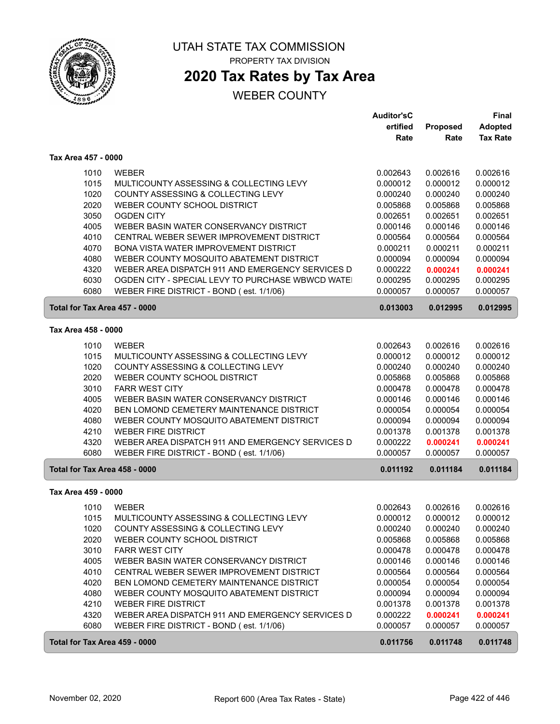

ſ

UTAH STATE TAX COMMISSION PROPERTY TAX DIVISION

## **2020 Tax Rates by Tax Area**

|                               |                                                  | <b>Auditor'sC</b> |          | <b>Final</b>    |
|-------------------------------|--------------------------------------------------|-------------------|----------|-----------------|
|                               |                                                  | ertified          | Proposed | <b>Adopted</b>  |
|                               |                                                  | Rate              | Rate     | <b>Tax Rate</b> |
| Tax Area 457 - 0000           |                                                  |                   |          |                 |
| 1010                          | <b>WEBER</b>                                     | 0.002643          | 0.002616 | 0.002616        |
| 1015                          | MULTICOUNTY ASSESSING & COLLECTING LEVY          | 0.000012          | 0.000012 | 0.000012        |
| 1020                          | COUNTY ASSESSING & COLLECTING LEVY               | 0.000240          | 0.000240 | 0.000240        |
| 2020                          | WEBER COUNTY SCHOOL DISTRICT                     | 0.005868          | 0.005868 | 0.005868        |
| 3050                          | <b>OGDEN CITY</b>                                | 0.002651          | 0.002651 | 0.002651        |
| 4005                          | WEBER BASIN WATER CONSERVANCY DISTRICT           | 0.000146          | 0.000146 | 0.000146        |
| 4010                          | CENTRAL WEBER SEWER IMPROVEMENT DISTRICT         | 0.000564          | 0.000564 | 0.000564        |
| 4070                          | BONA VISTA WATER IMPROVEMENT DISTRICT            | 0.000211          | 0.000211 | 0.000211        |
| 4080                          | WEBER COUNTY MOSQUITO ABATEMENT DISTRICT         | 0.000094          | 0.000094 | 0.000094        |
| 4320                          | WEBER AREA DISPATCH 911 AND EMERGENCY SERVICES D | 0.000222          | 0.000241 | 0.000241        |
| 6030                          | OGDEN CITY - SPECIAL LEVY TO PURCHASE WBWCD WATE | 0.000295          | 0.000295 | 0.000295        |
| 6080                          | WEBER FIRE DISTRICT - BOND (est. 1/1/06)         | 0.000057          | 0.000057 | 0.000057        |
| Total for Tax Area 457 - 0000 |                                                  | 0.013003          | 0.012995 | 0.012995        |
|                               |                                                  |                   |          |                 |
| Tax Area 458 - 0000           |                                                  |                   |          |                 |
| 1010                          | <b>WEBER</b>                                     | 0.002643          | 0.002616 | 0.002616        |
| 1015                          | MULTICOUNTY ASSESSING & COLLECTING LEVY          | 0.000012          | 0.000012 | 0.000012        |
| 1020                          | COUNTY ASSESSING & COLLECTING LEVY               | 0.000240          | 0.000240 | 0.000240        |
| 2020                          | WEBER COUNTY SCHOOL DISTRICT                     | 0.005868          | 0.005868 | 0.005868        |
| 3010                          | <b>FARR WEST CITY</b>                            | 0.000478          | 0.000478 | 0.000478        |
| 4005                          | WEBER BASIN WATER CONSERVANCY DISTRICT           | 0.000146          | 0.000146 | 0.000146        |
| 4020                          | BEN LOMOND CEMETERY MAINTENANCE DISTRICT         | 0.000054          | 0.000054 | 0.000054        |
| 4080                          | WEBER COUNTY MOSQUITO ABATEMENT DISTRICT         | 0.000094          | 0.000094 | 0.000094        |
| 4210                          | <b>WEBER FIRE DISTRICT</b>                       | 0.001378          | 0.001378 | 0.001378        |
| 4320                          | WEBER AREA DISPATCH 911 AND EMERGENCY SERVICES D | 0.000222          | 0.000241 | 0.000241        |
| 6080                          | WEBER FIRE DISTRICT - BOND (est. 1/1/06)         | 0.000057          | 0.000057 | 0.000057        |
| Total for Tax Area 458 - 0000 |                                                  | 0.011192          | 0.011184 | 0.011184        |
| Tax Area 459 - 0000           |                                                  |                   |          |                 |
| 1010                          | <b>WEBER</b>                                     | 0.002643          | 0.002616 | 0.002616        |
| 1015                          | MULTICOUNTY ASSESSING & COLLECTING LEVY          | 0.000012          | 0.000012 | 0.000012        |
| 1020                          | COUNTY ASSESSING & COLLECTING LEVY               | 0.000240          | 0.000240 | 0.000240        |
| 2020                          | WEBER COUNTY SCHOOL DISTRICT                     | 0.005868          | 0.005868 | 0.005868        |
| 3010                          | <b>FARR WEST CITY</b>                            | 0.000478          | 0.000478 | 0.000478        |
| 4005                          | WEBER BASIN WATER CONSERVANCY DISTRICT           | 0.000146          | 0.000146 | 0.000146        |
| 4010                          | CENTRAL WEBER SEWER IMPROVEMENT DISTRICT         | 0.000564          | 0.000564 | 0.000564        |
| 4020                          | BEN LOMOND CEMETERY MAINTENANCE DISTRICT         | 0.000054          | 0.000054 | 0.000054        |
| 4080                          | WEBER COUNTY MOSQUITO ABATEMENT DISTRICT         | 0.000094          | 0.000094 | 0.000094        |
| 4210                          | <b>WEBER FIRE DISTRICT</b>                       | 0.001378          | 0.001378 | 0.001378        |
| 4320                          | WEBER AREA DISPATCH 911 AND EMERGENCY SERVICES D | 0.000222          | 0.000241 | 0.000241        |
| 6080                          | WEBER FIRE DISTRICT - BOND (est. 1/1/06)         | 0.000057          | 0.000057 | 0.000057        |
|                               |                                                  |                   |          |                 |
| Total for Tax Area 459 - 0000 |                                                  | 0.011756          | 0.011748 | 0.011748        |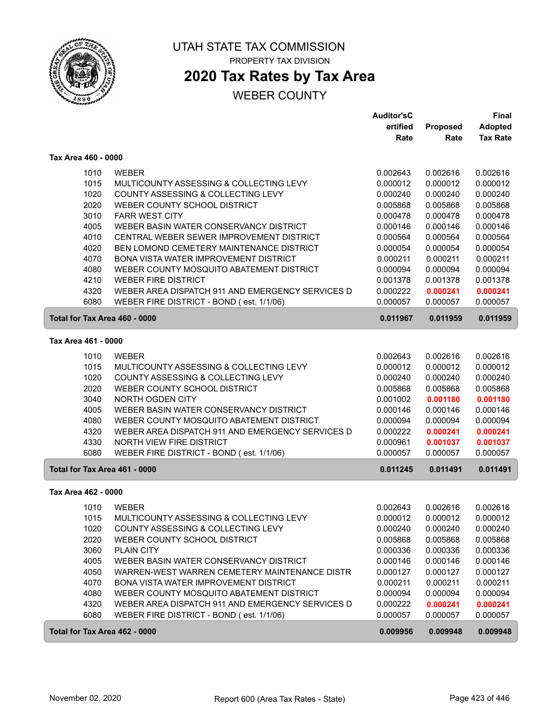

## **2020 Tax Rates by Tax Area**

### WEBER COUNTY

|                               |                                                  | <b>Auditor'sC</b> |          | <b>Final</b>    |
|-------------------------------|--------------------------------------------------|-------------------|----------|-----------------|
|                               |                                                  | ertified          | Proposed | <b>Adopted</b>  |
|                               |                                                  | Rate              | Rate     | <b>Tax Rate</b> |
| Tax Area 460 - 0000           |                                                  |                   |          |                 |
| 1010                          | <b>WEBER</b>                                     | 0.002643          | 0.002616 | 0.002616        |
| 1015                          | MULTICOUNTY ASSESSING & COLLECTING LEVY          | 0.000012          | 0.000012 | 0.000012        |
| 1020                          | COUNTY ASSESSING & COLLECTING LEVY               | 0.000240          | 0.000240 | 0.000240        |
| 2020                          | WEBER COUNTY SCHOOL DISTRICT                     | 0.005868          | 0.005868 | 0.005868        |
| 3010                          | <b>FARR WEST CITY</b>                            | 0.000478          | 0.000478 | 0.000478        |
| 4005                          | WEBER BASIN WATER CONSERVANCY DISTRICT           | 0.000146          | 0.000146 | 0.000146        |
| 4010                          | CENTRAL WEBER SEWER IMPROVEMENT DISTRICT         | 0.000564          | 0.000564 | 0.000564        |
| 4020                          | BEN LOMOND CEMETERY MAINTENANCE DISTRICT         | 0.000054          | 0.000054 | 0.000054        |
| 4070                          | BONA VISTA WATER IMPROVEMENT DISTRICT            | 0.000211          | 0.000211 | 0.000211        |
| 4080                          | WEBER COUNTY MOSQUITO ABATEMENT DISTRICT         | 0.000094          | 0.000094 | 0.000094        |
| 4210                          | <b>WEBER FIRE DISTRICT</b>                       | 0.001378          | 0.001378 | 0.001378        |
| 4320                          | WEBER AREA DISPATCH 911 AND EMERGENCY SERVICES D | 0.000222          | 0.000241 | 0.000241        |
| 6080                          | WEBER FIRE DISTRICT - BOND (est. 1/1/06)         | 0.000057          | 0.000057 | 0.000057        |
| Total for Tax Area 460 - 0000 |                                                  | 0.011967          | 0.011959 | 0.011959        |
| Tax Area 461 - 0000           |                                                  |                   |          |                 |
| 1010                          | <b>WEBER</b>                                     | 0.002643          | 0.002616 | 0.002616        |
| 1015                          | MULTICOUNTY ASSESSING & COLLECTING LEVY          | 0.000012          | 0.000012 | 0.000012        |
| 1020                          | COUNTY ASSESSING & COLLECTING LEVY               | 0.000240          | 0.000240 | 0.000240        |
| 2020                          | WEBER COUNTY SCHOOL DISTRICT                     | 0.005868          | 0.005868 | 0.005868        |
| 3040                          | NORTH OGDEN CITY                                 | 0.001002          | 0.001180 | 0.001180        |
| 4005                          | WEBER BASIN WATER CONSERVANCY DISTRICT           | 0.000146          | 0.000146 | 0.000146        |
| 4080                          | WEBER COUNTY MOSQUITO ABATEMENT DISTRICT         | 0.000094          | 0.000094 | 0.000094        |
| 4320                          | WEBER AREA DISPATCH 911 AND EMERGENCY SERVICES D | 0.000222          | 0.000241 | 0.000241        |
| 4330                          | NORTH VIEW FIRE DISTRICT                         | 0.000961          | 0.001037 | 0.001037        |
| 6080                          | WEBER FIRE DISTRICT - BOND (est. 1/1/06)         | 0.000057          | 0.000057 | 0.000057        |
| Total for Tax Area 461 - 0000 |                                                  | 0.011245          | 0.011491 | 0.011491        |
| Tax Area 462 - 0000           |                                                  |                   |          |                 |
| 1010                          | <b>WEBER</b>                                     | 0.002643          | 0.002616 | 0.002616        |
| 1015                          | MULTICOUNTY ASSESSING & COLLECTING LEVY          | 0.000012          | 0.000012 | 0.000012        |
| 1020                          | COUNTY ASSESSING & COLLECTING LEVY               | 0.000240          | 0.000240 | 0.000240        |
| 2020                          | WEBER COUNTY SCHOOL DISTRICT                     | 0.005868          | 0.005868 | 0.005868        |
| 3060                          | PLAIN CITY                                       | 0.000336          | 0.000336 | 0.000336        |
| 4005                          | WEBER BASIN WATER CONSERVANCY DISTRICT           | 0.000146          | 0.000146 | 0.000146        |
| 4050                          | WARREN-WEST WARREN CEMETERY MAINTENANCE DISTR    | 0.000127          | 0.000127 | 0.000127        |
| 4070                          | BONA VISTA WATER IMPROVEMENT DISTRICT            | 0.000211          | 0.000211 | 0.000211        |
| 4080                          | WEBER COUNTY MOSQUITO ABATEMENT DISTRICT         | 0.000094          | 0.000094 | 0.000094        |
| 4320                          | WEBER AREA DISPATCH 911 AND EMERGENCY SERVICES D | 0.000222          | 0.000241 | 0.000241        |
| 6080                          | WEBER FIRE DISTRICT - BOND (est. 1/1/06)         | 0.000057          | 0.000057 | 0.000057        |
| Total for Tax Area 462 - 0000 |                                                  | 0.009956          | 0.009948 | 0.009948        |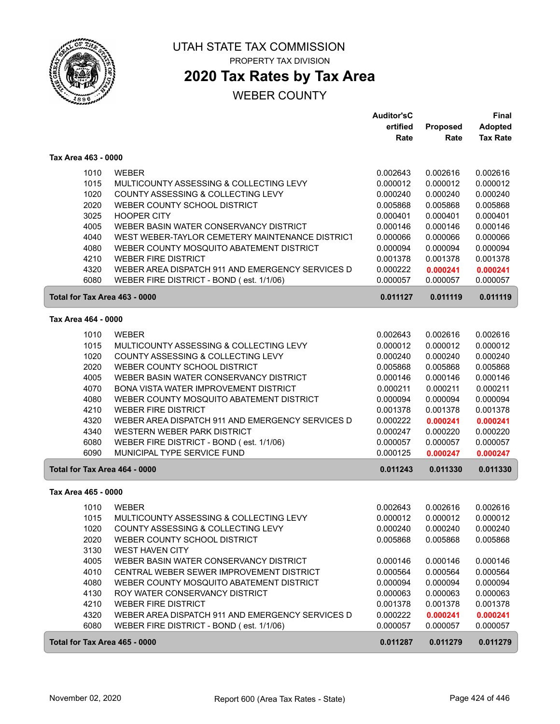

# **2020 Tax Rates by Tax Area**

|                               |                                                  | <b>Auditor'sC</b> |          | <b>Final</b>    |
|-------------------------------|--------------------------------------------------|-------------------|----------|-----------------|
|                               |                                                  | ertified          | Proposed | <b>Adopted</b>  |
|                               |                                                  | Rate              | Rate     | <b>Tax Rate</b> |
| Tax Area 463 - 0000           |                                                  |                   |          |                 |
| 1010                          | <b>WEBER</b>                                     | 0.002643          | 0.002616 | 0.002616        |
| 1015                          | MULTICOUNTY ASSESSING & COLLECTING LEVY          | 0.000012          | 0.000012 | 0.000012        |
| 1020                          | COUNTY ASSESSING & COLLECTING LEVY               | 0.000240          | 0.000240 | 0.000240        |
| 2020                          | WEBER COUNTY SCHOOL DISTRICT                     | 0.005868          | 0.005868 | 0.005868        |
| 3025                          | <b>HOOPER CITY</b>                               | 0.000401          | 0.000401 | 0.000401        |
| 4005                          | WEBER BASIN WATER CONSERVANCY DISTRICT           | 0.000146          | 0.000146 | 0.000146        |
| 4040                          | WEST WEBER-TAYLOR CEMETERY MAINTENANCE DISTRICT  | 0.000066          | 0.000066 | 0.000066        |
| 4080                          | WEBER COUNTY MOSQUITO ABATEMENT DISTRICT         | 0.000094          | 0.000094 | 0.000094        |
| 4210                          | <b>WEBER FIRE DISTRICT</b>                       | 0.001378          | 0.001378 | 0.001378        |
| 4320                          | WEBER AREA DISPATCH 911 AND EMERGENCY SERVICES D | 0.000222          | 0.000241 | 0.000241        |
| 6080                          | WEBER FIRE DISTRICT - BOND (est. 1/1/06)         | 0.000057          | 0.000057 | 0.000057        |
| Total for Tax Area 463 - 0000 |                                                  | 0.011127          | 0.011119 | 0.011119        |
| Tax Area 464 - 0000           |                                                  |                   |          |                 |
|                               |                                                  |                   |          |                 |
| 1010                          | <b>WEBER</b>                                     | 0.002643          | 0.002616 | 0.002616        |
| 1015                          | MULTICOUNTY ASSESSING & COLLECTING LEVY          | 0.000012          | 0.000012 | 0.000012        |
| 1020                          | COUNTY ASSESSING & COLLECTING LEVY               | 0.000240          | 0.000240 | 0.000240        |
| 2020                          | WEBER COUNTY SCHOOL DISTRICT                     | 0.005868          | 0.005868 | 0.005868        |
| 4005                          | WEBER BASIN WATER CONSERVANCY DISTRICT           | 0.000146          | 0.000146 | 0.000146        |
| 4070                          | BONA VISTA WATER IMPROVEMENT DISTRICT            | 0.000211          | 0.000211 | 0.000211        |
| 4080                          | WEBER COUNTY MOSQUITO ABATEMENT DISTRICT         | 0.000094          | 0.000094 | 0.000094        |
| 4210                          | <b>WEBER FIRE DISTRICT</b>                       | 0.001378          | 0.001378 | 0.001378        |
| 4320                          | WEBER AREA DISPATCH 911 AND EMERGENCY SERVICES D | 0.000222          | 0.000241 | 0.000241        |
| 4340                          | WESTERN WEBER PARK DISTRICT                      | 0.000247          | 0.000220 | 0.000220        |
| 6080                          | WEBER FIRE DISTRICT - BOND (est. 1/1/06)         | 0.000057          | 0.000057 | 0.000057        |
| 6090                          | MUNICIPAL TYPE SERVICE FUND                      | 0.000125          | 0.000247 | 0.000247        |
| Total for Tax Area 464 - 0000 |                                                  | 0.011243          | 0.011330 | 0.011330        |
| Tax Area 465 - 0000           |                                                  |                   |          |                 |
| 1010                          | <b>WEBER</b>                                     | 0.002643          | 0.002616 | 0.002616        |
| 1015                          | MULTICOUNTY ASSESSING & COLLECTING LEVY          | 0.000012          | 0.000012 | 0.000012        |
| 1020                          | COUNTY ASSESSING & COLLECTING LEVY               | 0.000240          | 0.000240 | 0.000240        |
| 2020                          | WEBER COUNTY SCHOOL DISTRICT                     | 0.005868          | 0.005868 | 0.005868        |
| 3130                          | WEST HAVEN CITY                                  |                   |          |                 |
| 4005                          | WEBER BASIN WATER CONSERVANCY DISTRICT           | 0.000146          | 0.000146 | 0.000146        |
| 4010                          | CENTRAL WEBER SEWER IMPROVEMENT DISTRICT         | 0.000564          | 0.000564 | 0.000564        |
| 4080                          | WEBER COUNTY MOSQUITO ABATEMENT DISTRICT         | 0.000094          | 0.000094 | 0.000094        |
| 4130                          | ROY WATER CONSERVANCY DISTRICT                   | 0.000063          | 0.000063 | 0.000063        |
| 4210                          | <b>WEBER FIRE DISTRICT</b>                       | 0.001378          | 0.001378 | 0.001378        |
| 4320                          | WEBER AREA DISPATCH 911 AND EMERGENCY SERVICES D | 0.000222          | 0.000241 | 0.000241        |
| 6080                          | WEBER FIRE DISTRICT - BOND (est. 1/1/06)         | 0.000057          | 0.000057 | 0.000057        |
| Total for Tax Area 465 - 0000 |                                                  | 0.011287          | 0.011279 | 0.011279        |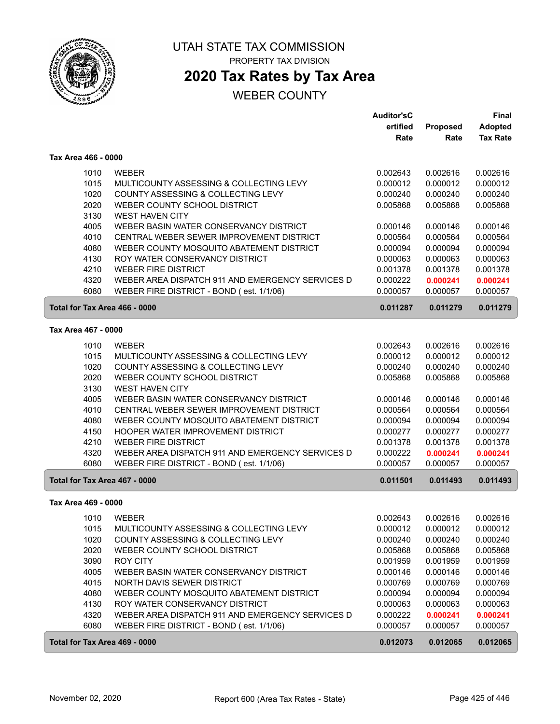

## **2020 Tax Rates by Tax Area**

|                               |                                                  | <b>Auditor'sC</b> |          | <b>Final</b>    |
|-------------------------------|--------------------------------------------------|-------------------|----------|-----------------|
|                               |                                                  | ertified          | Proposed | <b>Adopted</b>  |
|                               |                                                  | Rate              | Rate     | <b>Tax Rate</b> |
| Tax Area 466 - 0000           |                                                  |                   |          |                 |
| 1010                          | <b>WEBER</b>                                     | 0.002643          | 0.002616 | 0.002616        |
| 1015                          | MULTICOUNTY ASSESSING & COLLECTING LEVY          | 0.000012          | 0.000012 | 0.000012        |
| 1020                          | COUNTY ASSESSING & COLLECTING LEVY               | 0.000240          | 0.000240 | 0.000240        |
| 2020                          | WEBER COUNTY SCHOOL DISTRICT                     | 0.005868          | 0.005868 | 0.005868        |
| 3130                          | <b>WEST HAVEN CITY</b>                           |                   |          |                 |
| 4005                          | WEBER BASIN WATER CONSERVANCY DISTRICT           | 0.000146          | 0.000146 | 0.000146        |
| 4010                          | CENTRAL WEBER SEWER IMPROVEMENT DISTRICT         | 0.000564          | 0.000564 | 0.000564        |
| 4080                          | WEBER COUNTY MOSQUITO ABATEMENT DISTRICT         | 0.000094          | 0.000094 | 0.000094        |
| 4130                          | ROY WATER CONSERVANCY DISTRICT                   | 0.000063          | 0.000063 | 0.000063        |
| 4210                          | <b>WEBER FIRE DISTRICT</b>                       | 0.001378          | 0.001378 | 0.001378        |
| 4320                          | WEBER AREA DISPATCH 911 AND EMERGENCY SERVICES D | 0.000222          | 0.000241 | 0.000241        |
| 6080                          | WEBER FIRE DISTRICT - BOND (est. 1/1/06)         | 0.000057          | 0.000057 | 0.000057        |
| Total for Tax Area 466 - 0000 |                                                  | 0.011287          | 0.011279 | 0.011279        |
| Tax Area 467 - 0000           |                                                  |                   |          |                 |
| 1010                          | <b>WEBER</b>                                     | 0.002643          | 0.002616 | 0.002616        |
| 1015                          | MULTICOUNTY ASSESSING & COLLECTING LEVY          | 0.000012          | 0.000012 | 0.000012        |
| 1020                          | COUNTY ASSESSING & COLLECTING LEVY               | 0.000240          | 0.000240 | 0.000240        |
| 2020                          | WEBER COUNTY SCHOOL DISTRICT                     | 0.005868          | 0.005868 | 0.005868        |
| 3130                          | <b>WEST HAVEN CITY</b>                           |                   |          |                 |
| 4005                          | WEBER BASIN WATER CONSERVANCY DISTRICT           | 0.000146          | 0.000146 | 0.000146        |
| 4010                          | CENTRAL WEBER SEWER IMPROVEMENT DISTRICT         | 0.000564          | 0.000564 | 0.000564        |
| 4080                          | WEBER COUNTY MOSQUITO ABATEMENT DISTRICT         | 0.000094          | 0.000094 | 0.000094        |
| 4150                          | HOOPER WATER IMPROVEMENT DISTRICT                | 0.000277          | 0.000277 | 0.000277        |
| 4210                          | <b>WEBER FIRE DISTRICT</b>                       | 0.001378          | 0.001378 | 0.001378        |
| 4320                          | WEBER AREA DISPATCH 911 AND EMERGENCY SERVICES D | 0.000222          | 0.000241 | 0.000241        |
| 6080                          | WEBER FIRE DISTRICT - BOND (est. 1/1/06)         | 0.000057          | 0.000057 | 0.000057        |
| Total for Tax Area 467 - 0000 |                                                  | 0.011501          | 0.011493 | 0.011493        |
| Tax Area 469 - 0000           |                                                  |                   |          |                 |
| 1010                          | <b>WEBER</b>                                     | 0.002643          | 0.002616 | 0.002616        |
| 1015                          | MULTICOUNTY ASSESSING & COLLECTING LEVY          | 0.000012          | 0.000012 | 0.000012        |
| 1020                          | COUNTY ASSESSING & COLLECTING LEVY               | 0.000240          | 0.000240 | 0.000240        |
| 2020                          | WEBER COUNTY SCHOOL DISTRICT                     | 0.005868          | 0.005868 | 0.005868        |
| 3090                          | <b>ROY CITY</b>                                  | 0.001959          | 0.001959 | 0.001959        |
| 4005                          | WEBER BASIN WATER CONSERVANCY DISTRICT           | 0.000146          | 0.000146 | 0.000146        |
| 4015                          | NORTH DAVIS SEWER DISTRICT                       | 0.000769          | 0.000769 | 0.000769        |
| 4080                          | WEBER COUNTY MOSQUITO ABATEMENT DISTRICT         | 0.000094          | 0.000094 | 0.000094        |
| 4130                          | ROY WATER CONSERVANCY DISTRICT                   | 0.000063          | 0.000063 | 0.000063        |
| 4320                          | WEBER AREA DISPATCH 911 AND EMERGENCY SERVICES D | 0.000222          | 0.000241 | 0.000241        |
| 6080                          | WEBER FIRE DISTRICT - BOND (est. 1/1/06)         | 0.000057          | 0.000057 | 0.000057        |
| Total for Tax Area 469 - 0000 |                                                  | 0.012073          | 0.012065 | 0.012065        |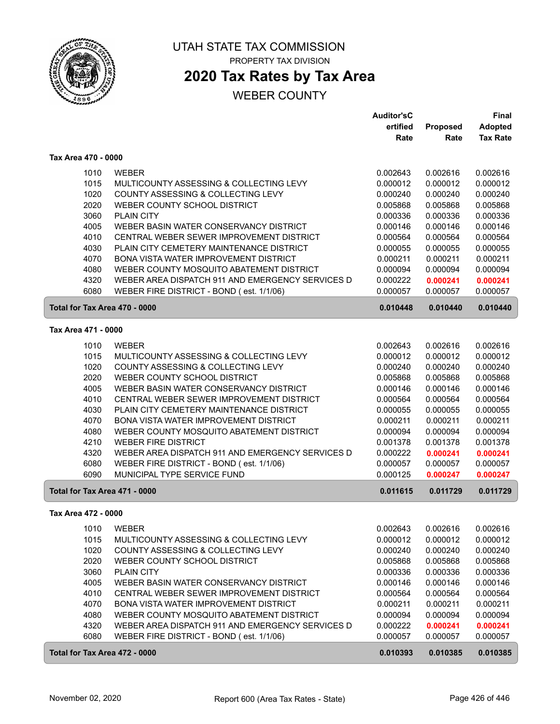

## **2020 Tax Rates by Tax Area**

|                               |                                                                                              | <b>Auditor'sC</b> |          | <b>Final</b>    |
|-------------------------------|----------------------------------------------------------------------------------------------|-------------------|----------|-----------------|
|                               |                                                                                              | ertified          | Proposed | Adopted         |
|                               |                                                                                              | Rate              | Rate     | <b>Tax Rate</b> |
| Tax Area 470 - 0000           |                                                                                              |                   |          |                 |
| 1010                          | <b>WEBER</b>                                                                                 | 0.002643          | 0.002616 | 0.002616        |
| 1015                          | MULTICOUNTY ASSESSING & COLLECTING LEVY                                                      | 0.000012          | 0.000012 | 0.000012        |
| 1020                          | COUNTY ASSESSING & COLLECTING LEVY                                                           | 0.000240          | 0.000240 | 0.000240        |
| 2020                          | WEBER COUNTY SCHOOL DISTRICT                                                                 | 0.005868          | 0.005868 | 0.005868        |
| 3060                          | <b>PLAIN CITY</b>                                                                            | 0.000336          | 0.000336 | 0.000336        |
| 4005                          | WEBER BASIN WATER CONSERVANCY DISTRICT                                                       | 0.000146          | 0.000146 | 0.000146        |
| 4010                          | CENTRAL WEBER SEWER IMPROVEMENT DISTRICT                                                     | 0.000564          | 0.000564 | 0.000564        |
| 4030                          | PLAIN CITY CEMETERY MAINTENANCE DISTRICT                                                     | 0.000055          | 0.000055 | 0.000055        |
| 4070                          | BONA VISTA WATER IMPROVEMENT DISTRICT                                                        | 0.000211          | 0.000211 | 0.000211        |
| 4080                          | WEBER COUNTY MOSQUITO ABATEMENT DISTRICT                                                     | 0.000094          | 0.000094 | 0.000094        |
| 4320                          | WEBER AREA DISPATCH 911 AND EMERGENCY SERVICES D                                             | 0.000222          | 0.000241 | 0.000241        |
| 6080                          | WEBER FIRE DISTRICT - BOND (est. 1/1/06)                                                     | 0.000057          | 0.000057 | 0.000057        |
| Total for Tax Area 470 - 0000 |                                                                                              | 0.010448          | 0.010440 | 0.010440        |
| Tax Area 471 - 0000           |                                                                                              |                   |          |                 |
| 1010                          | <b>WEBER</b>                                                                                 | 0.002643          | 0.002616 | 0.002616        |
| 1015                          | MULTICOUNTY ASSESSING & COLLECTING LEVY                                                      | 0.000012          | 0.000012 | 0.000012        |
| 1020                          | COUNTY ASSESSING & COLLECTING LEVY                                                           | 0.000240          | 0.000240 | 0.000240        |
| 2020                          | WEBER COUNTY SCHOOL DISTRICT                                                                 | 0.005868          | 0.005868 | 0.005868        |
| 4005                          | WEBER BASIN WATER CONSERVANCY DISTRICT                                                       | 0.000146          | 0.000146 | 0.000146        |
| 4010                          | CENTRAL WEBER SEWER IMPROVEMENT DISTRICT                                                     | 0.000564          | 0.000564 | 0.000564        |
| 4030                          | PLAIN CITY CEMETERY MAINTENANCE DISTRICT                                                     | 0.000055          | 0.000055 | 0.000055        |
| 4070                          | BONA VISTA WATER IMPROVEMENT DISTRICT                                                        | 0.000211          | 0.000211 | 0.000211        |
| 4080                          | WEBER COUNTY MOSQUITO ABATEMENT DISTRICT                                                     | 0.000094          | 0.000094 | 0.000094        |
| 4210                          | <b>WEBER FIRE DISTRICT</b>                                                                   | 0.001378          | 0.001378 | 0.001378        |
| 4320                          | WEBER AREA DISPATCH 911 AND EMERGENCY SERVICES D                                             | 0.000222          | 0.000241 | 0.000241        |
| 6080                          | WEBER FIRE DISTRICT - BOND (est. 1/1/06)                                                     | 0.000057          | 0.000057 | 0.000057        |
| 6090                          | MUNICIPAL TYPE SERVICE FUND                                                                  | 0.000125          | 0.000247 | 0.000247        |
| Total for Tax Area 471 - 0000 |                                                                                              | 0.011615          | 0.011729 | 0.011729        |
| Tax Area 472 - 0000           |                                                                                              |                   |          |                 |
| 1010                          | WEBER                                                                                        | 0.002643          | 0.002616 | 0.002616        |
| 1015                          | MULTICOUNTY ASSESSING & COLLECTING LEVY                                                      | 0.000012          | 0.000012 | 0.000012        |
| 1020                          | COUNTY ASSESSING & COLLECTING LEVY                                                           | 0.000240          | 0.000240 | 0.000240        |
| 2020                          | WEBER COUNTY SCHOOL DISTRICT                                                                 | 0.005868          | 0.005868 | 0.005868        |
| 3060                          | <b>PLAIN CITY</b>                                                                            | 0.000336          | 0.000336 | 0.000336        |
| 4005                          | WEBER BASIN WATER CONSERVANCY DISTRICT                                                       | 0.000146          | 0.000146 | 0.000146        |
| 4010                          | CENTRAL WEBER SEWER IMPROVEMENT DISTRICT                                                     | 0.000564          | 0.000564 | 0.000564        |
| 4070                          | BONA VISTA WATER IMPROVEMENT DISTRICT                                                        | 0.000211          | 0.000211 | 0.000211        |
| 4080                          | WEBER COUNTY MOSQUITO ABATEMENT DISTRICT                                                     | 0.000094          | 0.000094 | 0.000094        |
| 4320<br>6080                  | WEBER AREA DISPATCH 911 AND EMERGENCY SERVICES D<br>WEBER FIRE DISTRICT - BOND (est. 1/1/06) | 0.000222          | 0.000241 | 0.000241        |
|                               |                                                                                              | 0.000057          | 0.000057 | 0.000057        |
| Total for Tax Area 472 - 0000 |                                                                                              | 0.010393          | 0.010385 | 0.010385        |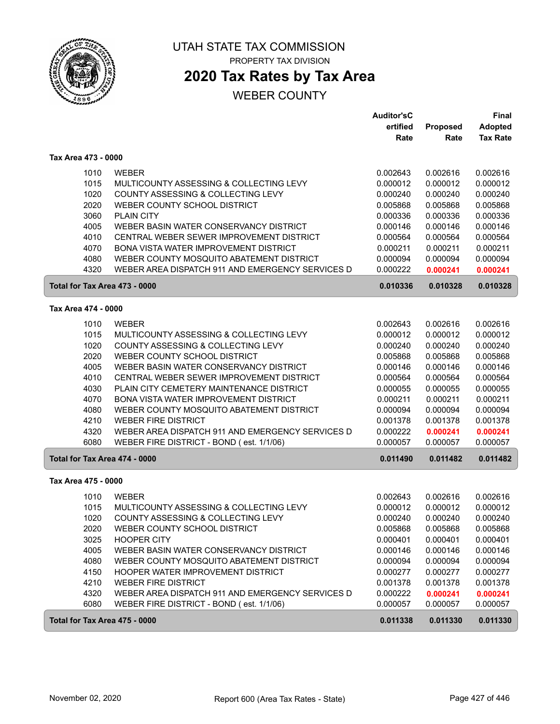

## **2020 Tax Rates by Tax Area**

|                               |                                                                                              | <b>Auditor'sC</b><br>ertified<br>Rate | Proposed<br>Rate     | <b>Final</b><br><b>Adopted</b><br><b>Tax Rate</b> |
|-------------------------------|----------------------------------------------------------------------------------------------|---------------------------------------|----------------------|---------------------------------------------------|
|                               |                                                                                              |                                       |                      |                                                   |
| Tax Area 473 - 0000           |                                                                                              |                                       |                      |                                                   |
| 1010                          | <b>WEBER</b>                                                                                 | 0.002643                              | 0.002616             | 0.002616                                          |
| 1015                          | MULTICOUNTY ASSESSING & COLLECTING LEVY                                                      | 0.000012                              | 0.000012             | 0.000012                                          |
| 1020                          | COUNTY ASSESSING & COLLECTING LEVY                                                           | 0.000240                              | 0.000240             | 0.000240                                          |
| 2020                          | WEBER COUNTY SCHOOL DISTRICT                                                                 | 0.005868                              | 0.005868             | 0.005868                                          |
| 3060<br>4005                  | <b>PLAIN CITY</b><br>WEBER BASIN WATER CONSERVANCY DISTRICT                                  | 0.000336                              | 0.000336             | 0.000336                                          |
| 4010                          | CENTRAL WEBER SEWER IMPROVEMENT DISTRICT                                                     | 0.000146<br>0.000564                  | 0.000146<br>0.000564 | 0.000146<br>0.000564                              |
| 4070                          | BONA VISTA WATER IMPROVEMENT DISTRICT                                                        | 0.000211                              | 0.000211             | 0.000211                                          |
| 4080                          | WEBER COUNTY MOSQUITO ABATEMENT DISTRICT                                                     | 0.000094                              | 0.000094             | 0.000094                                          |
| 4320                          | WEBER AREA DISPATCH 911 AND EMERGENCY SERVICES D                                             | 0.000222                              | 0.000241             | 0.000241                                          |
| Total for Tax Area 473 - 0000 |                                                                                              | 0.010336                              | 0.010328             | 0.010328                                          |
| Tax Area 474 - 0000           |                                                                                              |                                       |                      |                                                   |
| 1010                          | <b>WEBER</b>                                                                                 | 0.002643                              | 0.002616             | 0.002616                                          |
| 1015                          | MULTICOUNTY ASSESSING & COLLECTING LEVY                                                      | 0.000012                              | 0.000012             | 0.000012                                          |
| 1020                          | COUNTY ASSESSING & COLLECTING LEVY                                                           | 0.000240                              | 0.000240             | 0.000240                                          |
| 2020                          | WEBER COUNTY SCHOOL DISTRICT                                                                 | 0.005868                              | 0.005868             | 0.005868                                          |
| 4005                          | WEBER BASIN WATER CONSERVANCY DISTRICT                                                       | 0.000146                              | 0.000146             | 0.000146                                          |
| 4010                          | CENTRAL WEBER SEWER IMPROVEMENT DISTRICT                                                     | 0.000564                              | 0.000564             | 0.000564                                          |
| 4030                          | PLAIN CITY CEMETERY MAINTENANCE DISTRICT                                                     | 0.000055                              | 0.000055             | 0.000055                                          |
| 4070                          | BONA VISTA WATER IMPROVEMENT DISTRICT                                                        | 0.000211                              | 0.000211             | 0.000211                                          |
| 4080                          | WEBER COUNTY MOSQUITO ABATEMENT DISTRICT                                                     | 0.000094                              | 0.000094             | 0.000094                                          |
| 4210                          | <b>WEBER FIRE DISTRICT</b>                                                                   | 0.001378                              | 0.001378             | 0.001378                                          |
| 4320<br>6080                  | WEBER AREA DISPATCH 911 AND EMERGENCY SERVICES D<br>WEBER FIRE DISTRICT - BOND (est. 1/1/06) | 0.000222<br>0.000057                  | 0.000241<br>0.000057 | 0.000241<br>0.000057                              |
| Total for Tax Area 474 - 0000 |                                                                                              | 0.011490                              | 0.011482             | 0.011482                                          |
| Tax Area 475 - 0000           |                                                                                              |                                       |                      |                                                   |
| 1010                          | <b>WEBER</b>                                                                                 | 0.002643                              | 0.002616             | 0.002616                                          |
| 1015                          | MULTICOUNTY ASSESSING & COLLECTING LEVY                                                      | 0.000012                              | 0.000012             | 0.000012                                          |
| 1020                          | COUNTY ASSESSING & COLLECTING LEVY                                                           | 0.000240                              | 0.000240             | 0.000240                                          |
| 2020                          | WEBER COUNTY SCHOOL DISTRICT                                                                 | 0.005868                              | 0.005868             | 0.005868                                          |
| 3025                          | <b>HOOPER CITY</b>                                                                           | 0.000401                              | 0.000401             | 0.000401                                          |
| 4005                          | WEBER BASIN WATER CONSERVANCY DISTRICT                                                       | 0.000146                              | 0.000146             | 0.000146                                          |
| 4080                          | WEBER COUNTY MOSQUITO ABATEMENT DISTRICT                                                     | 0.000094                              | 0.000094             | 0.000094                                          |
| 4150                          | HOOPER WATER IMPROVEMENT DISTRICT                                                            | 0.000277                              | 0.000277             | 0.000277                                          |
| 4210                          | <b>WEBER FIRE DISTRICT</b>                                                                   | 0.001378                              | 0.001378             | 0.001378                                          |
| 4320                          | WEBER AREA DISPATCH 911 AND EMERGENCY SERVICES D                                             | 0.000222                              | 0.000241             | 0.000241                                          |
| 6080                          | WEBER FIRE DISTRICT - BOND (est. 1/1/06)                                                     | 0.000057                              | 0.000057             | 0.000057                                          |
| Total for Tax Area 475 - 0000 |                                                                                              | 0.011338                              | 0.011330             | 0.011330                                          |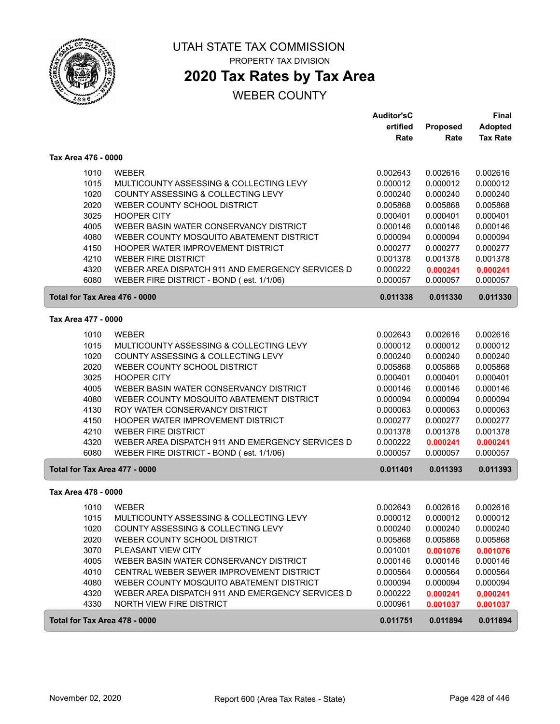

# UTAH STATE TAX COMMISSION

PROPERTY TAX DIVISION

## **2020 Tax Rates by Tax Area**

|                               |                                                  | <b>Auditor'sC</b> |          | <b>Final</b>    |
|-------------------------------|--------------------------------------------------|-------------------|----------|-----------------|
|                               |                                                  | ertified          | Proposed | <b>Adopted</b>  |
|                               |                                                  | Rate              | Rate     | <b>Tax Rate</b> |
| Tax Area 476 - 0000           |                                                  |                   |          |                 |
| 1010                          | <b>WEBER</b>                                     | 0.002643          | 0.002616 | 0.002616        |
| 1015                          | MULTICOUNTY ASSESSING & COLLECTING LEVY          | 0.000012          | 0.000012 | 0.000012        |
| 1020                          | COUNTY ASSESSING & COLLECTING LEVY               | 0.000240          | 0.000240 | 0.000240        |
| 2020                          | WEBER COUNTY SCHOOL DISTRICT                     | 0.005868          | 0.005868 | 0.005868        |
| 3025                          | <b>HOOPER CITY</b>                               | 0.000401          | 0.000401 | 0.000401        |
| 4005                          | WEBER BASIN WATER CONSERVANCY DISTRICT           | 0.000146          | 0.000146 | 0.000146        |
| 4080                          | WEBER COUNTY MOSQUITO ABATEMENT DISTRICT         | 0.000094          | 0.000094 | 0.000094        |
| 4150                          | HOOPER WATER IMPROVEMENT DISTRICT                | 0.000277          | 0.000277 | 0.000277        |
| 4210                          | <b>WEBER FIRE DISTRICT</b>                       | 0.001378          | 0.001378 | 0.001378        |
| 4320                          | WEBER AREA DISPATCH 911 AND EMERGENCY SERVICES D | 0.000222          | 0.000241 | 0.000241        |
| 6080                          | WEBER FIRE DISTRICT - BOND (est. 1/1/06)         | 0.000057          | 0.000057 | 0.000057        |
| Total for Tax Area 476 - 0000 |                                                  | 0.011338          | 0.011330 | 0.011330        |
| Tax Area 477 - 0000           |                                                  |                   |          |                 |
| 1010                          | <b>WEBER</b>                                     | 0.002643          | 0.002616 | 0.002616        |
| 1015                          | MULTICOUNTY ASSESSING & COLLECTING LEVY          | 0.000012          | 0.000012 | 0.000012        |
| 1020                          | COUNTY ASSESSING & COLLECTING LEVY               | 0.000240          | 0.000240 | 0.000240        |
| 2020                          | WEBER COUNTY SCHOOL DISTRICT                     | 0.005868          | 0.005868 | 0.005868        |
| 3025                          | <b>HOOPER CITY</b>                               | 0.000401          | 0.000401 | 0.000401        |
| 4005                          | WEBER BASIN WATER CONSERVANCY DISTRICT           | 0.000146          | 0.000146 | 0.000146        |
| 4080                          | WEBER COUNTY MOSQUITO ABATEMENT DISTRICT         | 0.000094          | 0.000094 | 0.000094        |
| 4130                          | ROY WATER CONSERVANCY DISTRICT                   | 0.000063          | 0.000063 | 0.000063        |
| 4150                          | HOOPER WATER IMPROVEMENT DISTRICT                | 0.000277          | 0.000277 | 0.000277        |
| 4210                          | <b>WEBER FIRE DISTRICT</b>                       | 0.001378          | 0.001378 | 0.001378        |
| 4320                          | WEBER AREA DISPATCH 911 AND EMERGENCY SERVICES D | 0.000222          | 0.000241 | 0.000241        |
| 6080                          | WEBER FIRE DISTRICT - BOND (est. 1/1/06)         | 0.000057          | 0.000057 | 0.000057        |
| Total for Tax Area 477 - 0000 |                                                  | 0.011401          | 0.011393 | 0.011393        |
| Tax Area 478 - 0000           |                                                  |                   |          |                 |
| 1010                          | <b>WEBER</b>                                     | 0.002643          | 0.002616 | 0.002616        |
| 1015                          | MULTICOUNTY ASSESSING & COLLECTING LEVY          | 0.000012          | 0.000012 | 0.000012        |
| 1020                          | COUNTY ASSESSING & COLLECTING LEVY               | 0.000240          | 0.000240 | 0.000240        |
| 2020                          | WEBER COUNTY SCHOOL DISTRICT                     | 0.005868          | 0.005868 | 0.005868        |
| 3070                          | PLEASANT VIEW CITY                               | 0.001001          | 0.001076 | 0.001076        |
| 4005                          | WEBER BASIN WATER CONSERVANCY DISTRICT           | 0.000146          | 0.000146 | 0.000146        |
| 4010                          | CENTRAL WEBER SEWER IMPROVEMENT DISTRICT         | 0.000564          | 0.000564 | 0.000564        |
| 4080                          | WEBER COUNTY MOSQUITO ABATEMENT DISTRICT         | 0.000094          | 0.000094 | 0.000094        |
| 4320                          | WEBER AREA DISPATCH 911 AND EMERGENCY SERVICES D | 0.000222          | 0.000241 | 0.000241        |
| 4330                          | NORTH VIEW FIRE DISTRICT                         | 0.000961          | 0.001037 | 0.001037        |
| Total for Tax Area 478 - 0000 |                                                  | 0.011751          | 0.011894 | 0.011894        |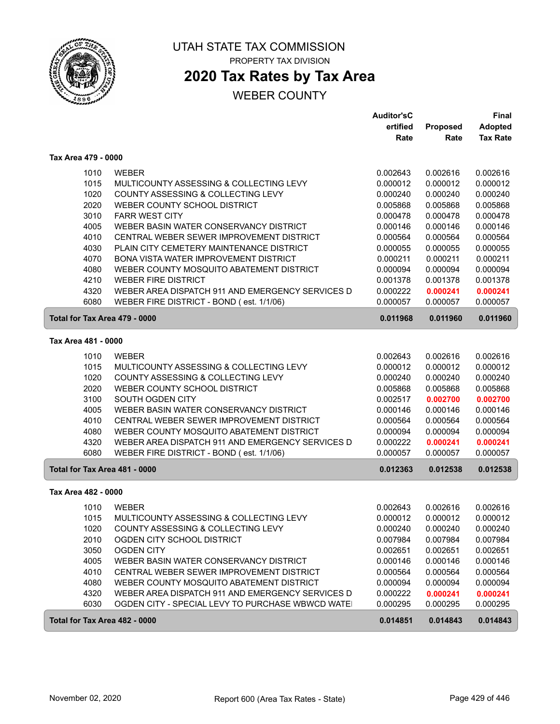

ſ

ſ

### UTAH STATE TAX COMMISSION PROPERTY TAX DIVISION

## **2020 Tax Rates by Tax Area**

|                               |                                                  | <b>Auditor'sC</b> |          | <b>Final</b>    |
|-------------------------------|--------------------------------------------------|-------------------|----------|-----------------|
|                               |                                                  | ertified          | Proposed | <b>Adopted</b>  |
|                               |                                                  | Rate              | Rate     | <b>Tax Rate</b> |
| Tax Area 479 - 0000           |                                                  |                   |          |                 |
| 1010                          | <b>WEBER</b>                                     | 0.002643          | 0.002616 | 0.002616        |
| 1015                          | MULTICOUNTY ASSESSING & COLLECTING LEVY          | 0.000012          | 0.000012 | 0.000012        |
| 1020                          | COUNTY ASSESSING & COLLECTING LEVY               | 0.000240          | 0.000240 | 0.000240        |
| 2020                          | WEBER COUNTY SCHOOL DISTRICT                     | 0.005868          | 0.005868 | 0.005868        |
| 3010                          | <b>FARR WEST CITY</b>                            | 0.000478          | 0.000478 | 0.000478        |
| 4005                          | WEBER BASIN WATER CONSERVANCY DISTRICT           | 0.000146          | 0.000146 | 0.000146        |
| 4010                          | CENTRAL WEBER SEWER IMPROVEMENT DISTRICT         | 0.000564          | 0.000564 | 0.000564        |
| 4030                          | PLAIN CITY CEMETERY MAINTENANCE DISTRICT         | 0.000055          | 0.000055 | 0.000055        |
| 4070                          | BONA VISTA WATER IMPROVEMENT DISTRICT            | 0.000211          | 0.000211 | 0.000211        |
| 4080                          | WEBER COUNTY MOSQUITO ABATEMENT DISTRICT         | 0.000094          | 0.000094 | 0.000094        |
| 4210                          | <b>WEBER FIRE DISTRICT</b>                       | 0.001378          | 0.001378 | 0.001378        |
| 4320                          | WEBER AREA DISPATCH 911 AND EMERGENCY SERVICES D | 0.000222          | 0.000241 | 0.000241        |
| 6080                          | WEBER FIRE DISTRICT - BOND (est. 1/1/06)         | 0.000057          | 0.000057 | 0.000057        |
| Total for Tax Area 479 - 0000 |                                                  | 0.011968          | 0.011960 | 0.011960        |
| Tax Area 481 - 0000           |                                                  |                   |          |                 |
| 1010                          | <b>WEBER</b>                                     | 0.002643          | 0.002616 | 0.002616        |
| 1015                          | MULTICOUNTY ASSESSING & COLLECTING LEVY          | 0.000012          | 0.000012 | 0.000012        |
| 1020                          | COUNTY ASSESSING & COLLECTING LEVY               | 0.000240          | 0.000240 | 0.000240        |
| 2020                          | WEBER COUNTY SCHOOL DISTRICT                     | 0.005868          | 0.005868 | 0.005868        |
| 3100                          | SOUTH OGDEN CITY                                 | 0.002517          | 0.002700 | 0.002700        |
| 4005                          | WEBER BASIN WATER CONSERVANCY DISTRICT           | 0.000146          | 0.000146 | 0.000146        |
| 4010                          | CENTRAL WEBER SEWER IMPROVEMENT DISTRICT         | 0.000564          | 0.000564 | 0.000564        |
| 4080                          | WEBER COUNTY MOSQUITO ABATEMENT DISTRICT         | 0.000094          | 0.000094 | 0.000094        |
| 4320                          | WEBER AREA DISPATCH 911 AND EMERGENCY SERVICES D | 0.000222          | 0.000241 | 0.000241        |
| 6080                          | WEBER FIRE DISTRICT - BOND (est. 1/1/06)         | 0.000057          | 0.000057 | 0.000057        |
| Total for Tax Area 481 - 0000 |                                                  | 0.012363          | 0.012538 | 0.012538        |
| Tax Area 482 - 0000           |                                                  |                   |          |                 |
| 1010                          | <b>WEBER</b>                                     | 0.002643          | 0.002616 | 0.002616        |
| 1015                          | MULTICOUNTY ASSESSING & COLLECTING LEVY          | 0.000012          | 0.000012 | 0.000012        |
| 1020                          | COUNTY ASSESSING & COLLECTING LEVY               | 0.000240          | 0.000240 | 0.000240        |
| 2010                          | OGDEN CITY SCHOOL DISTRICT                       | 0.007984          | 0.007984 | 0.007984        |
| 3050                          | <b>OGDEN CITY</b>                                | 0.002651          | 0.002651 | 0.002651        |
| 4005                          | WEBER BASIN WATER CONSERVANCY DISTRICT           | 0.000146          | 0.000146 | 0.000146        |
| 4010                          | CENTRAL WEBER SEWER IMPROVEMENT DISTRICT         | 0.000564          | 0.000564 | 0.000564        |
| 4080                          | WEBER COUNTY MOSQUITO ABATEMENT DISTRICT         | 0.000094          | 0.000094 | 0.000094        |
| 4320                          | WEBER AREA DISPATCH 911 AND EMERGENCY SERVICES D | 0.000222          | 0.000241 | 0.000241        |
| 6030                          | OGDEN CITY - SPECIAL LEVY TO PURCHASE WBWCD WATE | 0.000295          | 0.000295 | 0.000295        |
| Total for Tax Area 482 - 0000 |                                                  | 0.014851          | 0.014843 | 0.014843        |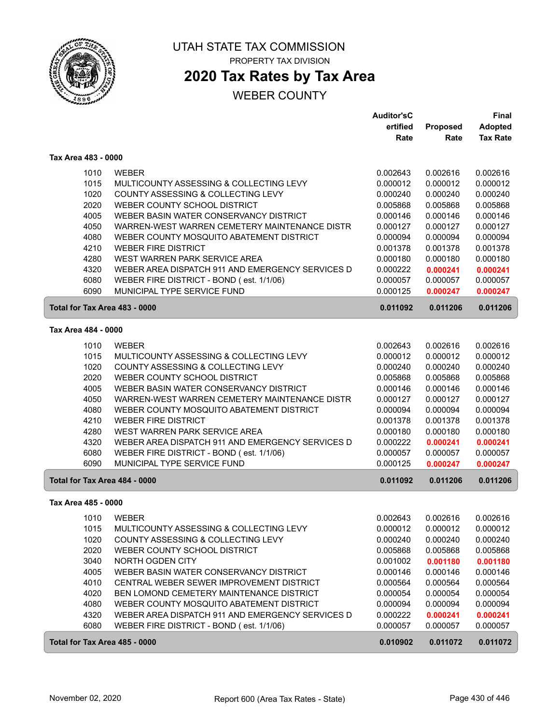

## **2020 Tax Rates by Tax Area**

|                               |                                                  | <b>Auditor'sC</b> |          | <b>Final</b>    |
|-------------------------------|--------------------------------------------------|-------------------|----------|-----------------|
|                               |                                                  | ertified          | Proposed | <b>Adopted</b>  |
|                               |                                                  | Rate              | Rate     | <b>Tax Rate</b> |
| Tax Area 483 - 0000           |                                                  |                   |          |                 |
| 1010                          | <b>WEBER</b>                                     | 0.002643          | 0.002616 | 0.002616        |
| 1015                          | MULTICOUNTY ASSESSING & COLLECTING LEVY          | 0.000012          | 0.000012 | 0.000012        |
| 1020                          | <b>COUNTY ASSESSING &amp; COLLECTING LEVY</b>    | 0.000240          | 0.000240 | 0.000240        |
| 2020                          | WEBER COUNTY SCHOOL DISTRICT                     | 0.005868          | 0.005868 | 0.005868        |
| 4005                          | WEBER BASIN WATER CONSERVANCY DISTRICT           | 0.000146          | 0.000146 | 0.000146        |
| 4050                          | WARREN-WEST WARREN CEMETERY MAINTENANCE DISTR    | 0.000127          | 0.000127 | 0.000127        |
| 4080                          | WEBER COUNTY MOSQUITO ABATEMENT DISTRICT         | 0.000094          | 0.000094 | 0.000094        |
| 4210                          | <b>WEBER FIRE DISTRICT</b>                       | 0.001378          | 0.001378 | 0.001378        |
| 4280                          | WEST WARREN PARK SERVICE AREA                    | 0.000180          | 0.000180 | 0.000180        |
| 4320                          | WEBER AREA DISPATCH 911 AND EMERGENCY SERVICES D | 0.000222          | 0.000241 | 0.000241        |
| 6080                          | WEBER FIRE DISTRICT - BOND (est. 1/1/06)         | 0.000057          | 0.000057 | 0.000057        |
| 6090                          | MUNICIPAL TYPE SERVICE FUND                      | 0.000125          | 0.000247 | 0.000247        |
| Total for Tax Area 483 - 0000 |                                                  | 0.011092          | 0.011206 | 0.011206        |
| Tax Area 484 - 0000           |                                                  |                   |          |                 |
| 1010                          | <b>WEBER</b>                                     | 0.002643          | 0.002616 | 0.002616        |
| 1015                          | MULTICOUNTY ASSESSING & COLLECTING LEVY          | 0.000012          | 0.000012 | 0.000012        |
| 1020                          | COUNTY ASSESSING & COLLECTING LEVY               | 0.000240          | 0.000240 | 0.000240        |
| 2020                          | WEBER COUNTY SCHOOL DISTRICT                     | 0.005868          | 0.005868 | 0.005868        |
| 4005                          | WEBER BASIN WATER CONSERVANCY DISTRICT           | 0.000146          | 0.000146 | 0.000146        |
| 4050                          | WARREN-WEST WARREN CEMETERY MAINTENANCE DISTR    | 0.000127          | 0.000127 | 0.000127        |
| 4080                          | WEBER COUNTY MOSQUITO ABATEMENT DISTRICT         | 0.000094          | 0.000094 | 0.000094        |
| 4210                          | <b>WEBER FIRE DISTRICT</b>                       | 0.001378          | 0.001378 | 0.001378        |
| 4280                          | WEST WARREN PARK SERVICE AREA                    | 0.000180          | 0.000180 | 0.000180        |
| 4320                          | WEBER AREA DISPATCH 911 AND EMERGENCY SERVICES D | 0.000222          | 0.000241 | 0.000241        |
| 6080                          | WEBER FIRE DISTRICT - BOND (est. 1/1/06)         | 0.000057          | 0.000057 | 0.000057        |
| 6090                          | MUNICIPAL TYPE SERVICE FUND                      | 0.000125          | 0.000247 | 0.000247        |
| Total for Tax Area 484 - 0000 |                                                  | 0.011092          | 0.011206 | 0.011206        |
| Tax Area 485 - 0000           |                                                  |                   |          |                 |
| 1010                          | <b>WEBER</b>                                     | 0.002643          | 0.002616 | 0.002616        |
| 1015                          | MULTICOUNTY ASSESSING & COLLECTING LEVY          | 0.000012          | 0.000012 | 0.000012        |
| 1020                          | COUNTY ASSESSING & COLLECTING LEVY               | 0.000240          | 0.000240 | 0.000240        |
| 2020                          | WEBER COUNTY SCHOOL DISTRICT                     | 0.005868          | 0.005868 | 0.005868        |
| 3040                          | NORTH OGDEN CITY                                 | 0.001002          | 0.001180 | 0.001180        |
| 4005                          | WEBER BASIN WATER CONSERVANCY DISTRICT           | 0.000146          | 0.000146 | 0.000146        |
| 4010                          | CENTRAL WEBER SEWER IMPROVEMENT DISTRICT         | 0.000564          | 0.000564 | 0.000564        |
| 4020                          | BEN LOMOND CEMETERY MAINTENANCE DISTRICT         | 0.000054          | 0.000054 | 0.000054        |
| 4080                          | WEBER COUNTY MOSQUITO ABATEMENT DISTRICT         | 0.000094          | 0.000094 | 0.000094        |
| 4320                          | WEBER AREA DISPATCH 911 AND EMERGENCY SERVICES D | 0.000222          | 0.000241 | 0.000241        |
| 6080                          | WEBER FIRE DISTRICT - BOND (est. 1/1/06)         | 0.000057          | 0.000057 | 0.000057        |
| Total for Tax Area 485 - 0000 |                                                  | 0.010902          | 0.011072 | 0.011072        |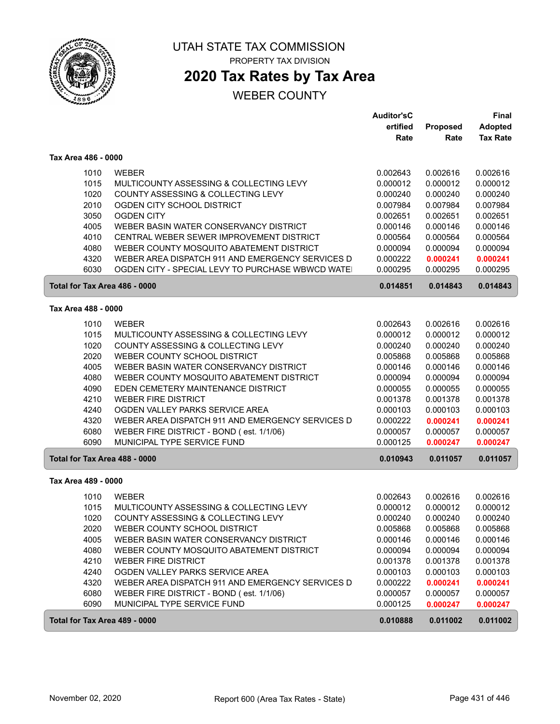

### UTAH STATE TAX COMMISSION PROPERTY TAX DIVISION

## **2020 Tax Rates by Tax Area**

|                               |                                                                                                      | <b>Auditor'sC</b><br>ertified | Proposed             | Final<br><b>Adopted</b> |
|-------------------------------|------------------------------------------------------------------------------------------------------|-------------------------------|----------------------|-------------------------|
|                               |                                                                                                      | Rate                          | Rate                 | <b>Tax Rate</b>         |
| Tax Area 486 - 0000           |                                                                                                      |                               |                      |                         |
| 1010                          | <b>WEBER</b>                                                                                         | 0.002643                      | 0.002616             | 0.002616                |
| 1015                          | MULTICOUNTY ASSESSING & COLLECTING LEVY                                                              | 0.000012                      | 0.000012             | 0.000012                |
| 1020                          | COUNTY ASSESSING & COLLECTING LEVY                                                                   | 0.000240                      | 0.000240             | 0.000240                |
| 2010                          | OGDEN CITY SCHOOL DISTRICT                                                                           | 0.007984                      | 0.007984             | 0.007984                |
| 3050                          | <b>OGDEN CITY</b>                                                                                    | 0.002651                      | 0.002651             | 0.002651                |
| 4005                          | WEBER BASIN WATER CONSERVANCY DISTRICT                                                               | 0.000146                      | 0.000146             | 0.000146                |
| 4010                          | CENTRAL WEBER SEWER IMPROVEMENT DISTRICT                                                             | 0.000564                      | 0.000564             | 0.000564                |
| 4080                          | WEBER COUNTY MOSQUITO ABATEMENT DISTRICT                                                             | 0.000094                      | 0.000094             | 0.000094                |
| 4320<br>6030                  | WEBER AREA DISPATCH 911 AND EMERGENCY SERVICES D<br>OGDEN CITY - SPECIAL LEVY TO PURCHASE WBWCD WATE | 0.000222<br>0.000295          | 0.000241<br>0.000295 | 0.000241<br>0.000295    |
| Total for Tax Area 486 - 0000 |                                                                                                      | 0.014851                      | 0.014843             | 0.014843                |
|                               |                                                                                                      |                               |                      |                         |
| Tax Area 488 - 0000           |                                                                                                      |                               |                      |                         |
| 1010                          | <b>WEBER</b>                                                                                         | 0.002643                      | 0.002616             | 0.002616                |
| 1015                          | MULTICOUNTY ASSESSING & COLLECTING LEVY                                                              | 0.000012                      | 0.000012             | 0.000012                |
| 1020                          | COUNTY ASSESSING & COLLECTING LEVY                                                                   | 0.000240                      | 0.000240             | 0.000240                |
| 2020                          | WEBER COUNTY SCHOOL DISTRICT                                                                         | 0.005868                      | 0.005868             | 0.005868                |
| 4005<br>4080                  | WEBER BASIN WATER CONSERVANCY DISTRICT<br>WEBER COUNTY MOSQUITO ABATEMENT DISTRICT                   | 0.000146<br>0.000094          | 0.000146<br>0.000094 | 0.000146<br>0.000094    |
| 4090                          | EDEN CEMETERY MAINTENANCE DISTRICT                                                                   | 0.000055                      | 0.000055             | 0.000055                |
| 4210                          | <b>WEBER FIRE DISTRICT</b>                                                                           | 0.001378                      | 0.001378             | 0.001378                |
| 4240                          | OGDEN VALLEY PARKS SERVICE AREA                                                                      | 0.000103                      | 0.000103             | 0.000103                |
| 4320                          | WEBER AREA DISPATCH 911 AND EMERGENCY SERVICES D                                                     | 0.000222                      | 0.000241             | 0.000241                |
| 6080                          | WEBER FIRE DISTRICT - BOND (est. 1/1/06)                                                             | 0.000057                      | 0.000057             | 0.000057                |
| 6090                          | MUNICIPAL TYPE SERVICE FUND                                                                          | 0.000125                      | 0.000247             | 0.000247                |
| Total for Tax Area 488 - 0000 |                                                                                                      | 0.010943                      | 0.011057             | 0.011057                |
| Tax Area 489 - 0000           |                                                                                                      |                               |                      |                         |
| 1010                          | <b>WEBER</b>                                                                                         | 0.002643                      | 0.002616             | 0.002616                |
| 1015                          | MULTICOUNTY ASSESSING & COLLECTING LEVY                                                              | 0.000012                      | 0.000012             | 0.000012                |
| 1020                          | COUNTY ASSESSING & COLLECTING LEVY                                                                   | 0.000240                      | 0.000240             | 0.000240                |
| 2020                          | WEBER COUNTY SCHOOL DISTRICT                                                                         | 0.005868                      | 0.005868             | 0.005868                |
| 4005                          | WEBER BASIN WATER CONSERVANCY DISTRICT                                                               | 0.000146                      | 0.000146             | 0.000146                |
| 4080                          | WEBER COUNTY MOSQUITO ABATEMENT DISTRICT                                                             | 0.000094                      | 0.000094             | 0.000094                |
| 4210                          | <b>WEBER FIRE DISTRICT</b>                                                                           | 0.001378                      | 0.001378             | 0.001378                |
| 4240                          | OGDEN VALLEY PARKS SERVICE AREA                                                                      | 0.000103                      | 0.000103             | 0.000103                |
| 4320                          | WEBER AREA DISPATCH 911 AND EMERGENCY SERVICES D                                                     | 0.000222                      | 0.000241             | 0.000241                |
| 6080                          | WEBER FIRE DISTRICT - BOND (est. 1/1/06)                                                             | 0.000057                      | 0.000057             | 0.000057                |
| 6090                          | MUNICIPAL TYPE SERVICE FUND                                                                          | 0.000125                      | 0.000247             | 0.000247                |
| Total for Tax Area 489 - 0000 |                                                                                                      | 0.010888                      | 0.011002             | 0.011002                |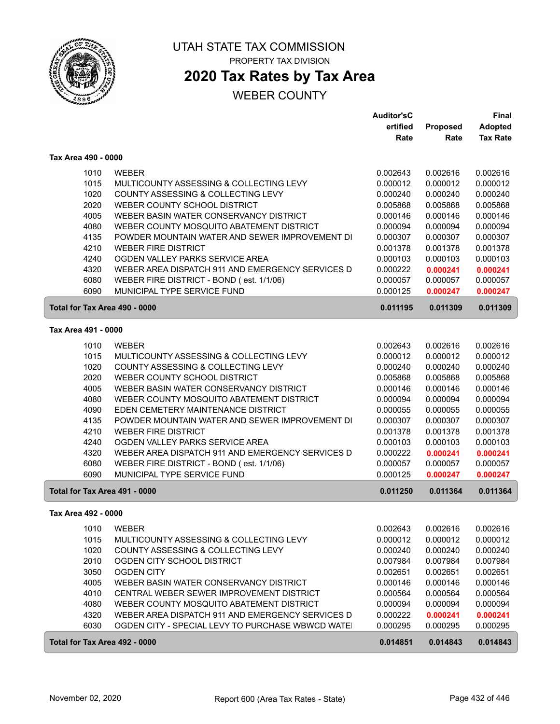

# **2020 Tax Rates by Tax Area**

|                               |                                                  | <b>Auditor'sC</b> |          | <b>Final</b>    |
|-------------------------------|--------------------------------------------------|-------------------|----------|-----------------|
|                               |                                                  | ertified          | Proposed | Adopted         |
|                               |                                                  | Rate              | Rate     | <b>Tax Rate</b> |
| Tax Area 490 - 0000           |                                                  |                   |          |                 |
| 1010                          | <b>WEBER</b>                                     | 0.002643          | 0.002616 | 0.002616        |
| 1015                          | MULTICOUNTY ASSESSING & COLLECTING LEVY          | 0.000012          | 0.000012 | 0.000012        |
| 1020                          | COUNTY ASSESSING & COLLECTING LEVY               | 0.000240          | 0.000240 | 0.000240        |
| 2020                          | WEBER COUNTY SCHOOL DISTRICT                     | 0.005868          | 0.005868 | 0.005868        |
| 4005                          | WEBER BASIN WATER CONSERVANCY DISTRICT           | 0.000146          | 0.000146 | 0.000146        |
| 4080                          | WEBER COUNTY MOSQUITO ABATEMENT DISTRICT         | 0.000094          | 0.000094 | 0.000094        |
| 4135                          | POWDER MOUNTAIN WATER AND SEWER IMPROVEMENT DI   | 0.000307          | 0.000307 | 0.000307        |
| 4210                          | <b>WEBER FIRE DISTRICT</b>                       | 0.001378          | 0.001378 | 0.001378        |
| 4240                          | OGDEN VALLEY PARKS SERVICE AREA                  | 0.000103          | 0.000103 | 0.000103        |
| 4320                          | WEBER AREA DISPATCH 911 AND EMERGENCY SERVICES D | 0.000222          | 0.000241 | 0.000241        |
| 6080                          | WEBER FIRE DISTRICT - BOND (est. 1/1/06)         | 0.000057          | 0.000057 | 0.000057        |
| 6090                          | MUNICIPAL TYPE SERVICE FUND                      | 0.000125          | 0.000247 | 0.000247        |
| Total for Tax Area 490 - 0000 |                                                  | 0.011195          | 0.011309 | 0.011309        |
| Tax Area 491 - 0000           |                                                  |                   |          |                 |
| 1010                          | <b>WEBER</b>                                     | 0.002643          | 0.002616 | 0.002616        |
| 1015                          | MULTICOUNTY ASSESSING & COLLECTING LEVY          | 0.000012          | 0.000012 | 0.000012        |
| 1020                          | COUNTY ASSESSING & COLLECTING LEVY               | 0.000240          | 0.000240 | 0.000240        |
| 2020                          | WEBER COUNTY SCHOOL DISTRICT                     | 0.005868          | 0.005868 | 0.005868        |
| 4005                          | WEBER BASIN WATER CONSERVANCY DISTRICT           | 0.000146          | 0.000146 | 0.000146        |
| 4080                          | WEBER COUNTY MOSQUITO ABATEMENT DISTRICT         | 0.000094          | 0.000094 | 0.000094        |
| 4090                          | EDEN CEMETERY MAINTENANCE DISTRICT               | 0.000055          | 0.000055 | 0.000055        |
| 4135                          | POWDER MOUNTAIN WATER AND SEWER IMPROVEMENT DI   | 0.000307          | 0.000307 | 0.000307        |
| 4210                          | <b>WEBER FIRE DISTRICT</b>                       | 0.001378          | 0.001378 | 0.001378        |
| 4240                          | OGDEN VALLEY PARKS SERVICE AREA                  | 0.000103          | 0.000103 | 0.000103        |
| 4320                          | WEBER AREA DISPATCH 911 AND EMERGENCY SERVICES D | 0.000222          | 0.000241 | 0.000241        |
| 6080                          | WEBER FIRE DISTRICT - BOND (est. 1/1/06)         | 0.000057          | 0.000057 | 0.000057        |
| 6090                          | MUNICIPAL TYPE SERVICE FUND                      | 0.000125          | 0.000247 | 0.000247        |
| Total for Tax Area 491 - 0000 |                                                  | 0.011250          | 0.011364 | 0.011364        |
| Tax Area 492 - 0000           |                                                  |                   |          |                 |
| 1010                          | WEBER                                            | 0.002643          | 0.002616 | 0.002616        |
| 1015                          | MULTICOUNTY ASSESSING & COLLECTING LEVY          | 0.000012          | 0.000012 | 0.000012        |
| 1020                          | COUNTY ASSESSING & COLLECTING LEVY               | 0.000240          | 0.000240 | 0.000240        |
| 2010                          | OGDEN CITY SCHOOL DISTRICT                       | 0.007984          | 0.007984 | 0.007984        |
| 3050                          | <b>OGDEN CITY</b>                                | 0.002651          | 0.002651 | 0.002651        |
| 4005                          | WEBER BASIN WATER CONSERVANCY DISTRICT           | 0.000146          | 0.000146 | 0.000146        |
| 4010                          | CENTRAL WEBER SEWER IMPROVEMENT DISTRICT         | 0.000564          | 0.000564 | 0.000564        |
| 4080                          | WEBER COUNTY MOSQUITO ABATEMENT DISTRICT         | 0.000094          | 0.000094 | 0.000094        |
| 4320                          | WEBER AREA DISPATCH 911 AND EMERGENCY SERVICES D | 0.000222          | 0.000241 | 0.000241        |
| 6030                          | OGDEN CITY - SPECIAL LEVY TO PURCHASE WBWCD WATE | 0.000295          | 0.000295 | 0.000295        |
| Total for Tax Area 492 - 0000 |                                                  | 0.014851          | 0.014843 | 0.014843        |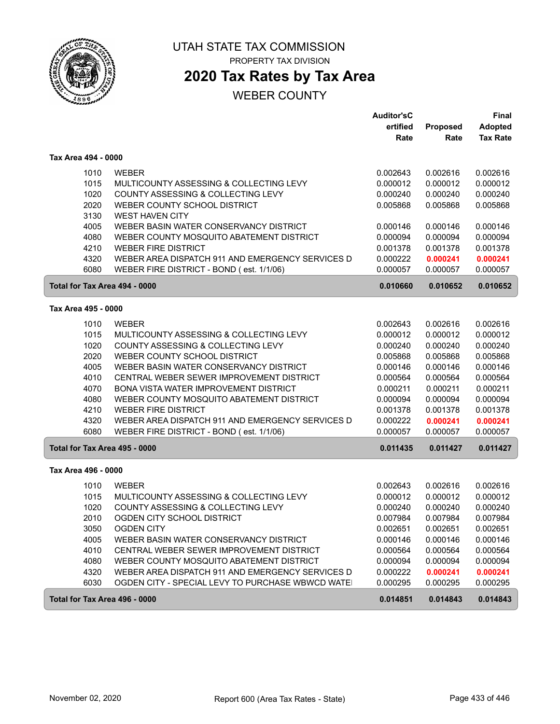

# UTAH STATE TAX COMMISSION

PROPERTY TAX DIVISION

# **2020 Tax Rates by Tax Area**

| ertified<br><b>Proposed</b><br><b>Adopted</b><br><b>Tax Rate</b><br>Rate<br>Rate<br>Tax Area 494 - 0000<br>1010<br><b>WEBER</b><br>0.002643<br>0.002616<br>0.002616<br>1015<br>0.000012<br>MULTICOUNTY ASSESSING & COLLECTING LEVY<br>0.000012<br>0.000012<br>1020<br>COUNTY ASSESSING & COLLECTING LEVY<br>0.000240<br>0.000240<br>0.000240<br>2020<br>WEBER COUNTY SCHOOL DISTRICT<br>0.005868<br>0.005868<br>0.005868<br>3130<br><b>WEST HAVEN CITY</b><br>4005<br>WEBER BASIN WATER CONSERVANCY DISTRICT<br>0.000146<br>0.000146<br>0.000146<br>4080<br>WEBER COUNTY MOSQUITO ABATEMENT DISTRICT<br>0.000094<br>0.000094<br>0.000094<br>4210<br><b>WEBER FIRE DISTRICT</b><br>0.001378<br>0.001378<br>0.001378<br>WEBER AREA DISPATCH 911 AND EMERGENCY SERVICES D<br>4320<br>0.000222<br>0.000241<br>0.000241<br>6080<br>WEBER FIRE DISTRICT - BOND (est. 1/1/06)<br>0.000057<br>0.000057<br>0.000057<br>Total for Tax Area 494 - 0000<br>0.010660<br>0.010652<br>0.010652<br>Tax Area 495 - 0000<br>1010<br><b>WEBER</b><br>0.002616<br>0.002616<br>0.002643<br>1015<br>MULTICOUNTY ASSESSING & COLLECTING LEVY<br>0.000012<br>0.000012<br>0.000012<br>1020<br>COUNTY ASSESSING & COLLECTING LEVY<br>0.000240<br>0.000240<br>0.000240<br>2020<br>WEBER COUNTY SCHOOL DISTRICT<br>0.005868<br>0.005868<br>0.005868<br>4005<br>WEBER BASIN WATER CONSERVANCY DISTRICT<br>0.000146<br>0.000146<br>0.000146<br>4010<br>CENTRAL WEBER SEWER IMPROVEMENT DISTRICT<br>0.000564<br>0.000564<br>0.000564<br>4070<br>BONA VISTA WATER IMPROVEMENT DISTRICT<br>0.000211<br>0.000211<br>0.000211<br>4080<br>WEBER COUNTY MOSQUITO ABATEMENT DISTRICT<br>0.000094<br>0.000094<br>0.000094<br>4210<br><b>WEBER FIRE DISTRICT</b><br>0.001378<br>0.001378<br>0.001378<br>4320<br>WEBER AREA DISPATCH 911 AND EMERGENCY SERVICES D<br>0.000222<br>0.000241<br>0.000241<br>6080<br>WEBER FIRE DISTRICT - BOND (est. 1/1/06)<br>0.000057<br>0.000057<br>0.000057<br>Total for Tax Area 495 - 0000<br>0.011435<br>0.011427<br>0.011427<br>Tax Area 496 - 0000<br>1010<br><b>WEBER</b><br>0.002643<br>0.002616<br>0.002616<br>1015<br>MULTICOUNTY ASSESSING & COLLECTING LEVY<br>0.000012<br>0.000012<br>0.000012<br>1020<br>COUNTY ASSESSING & COLLECTING LEVY<br>0.000240<br>0.000240<br>0.000240<br>2010<br>OGDEN CITY SCHOOL DISTRICT<br>0.007984<br>0.007984<br>0.007984<br>3050<br>0.002651<br>0.002651<br>0.002651<br>OGDEN CITY<br>4005<br>0.000146<br>WEBER BASIN WATER CONSERVANCY DISTRICT<br>0.000146<br>0.000146<br>4010<br>CENTRAL WEBER SEWER IMPROVEMENT DISTRICT<br>0.000564<br>0.000564<br>0.000564<br>4080<br>WEBER COUNTY MOSQUITO ABATEMENT DISTRICT<br>0.000094<br>0.000094<br>0.000094<br>4320<br>WEBER AREA DISPATCH 911 AND EMERGENCY SERVICES D<br>0.000222<br>0.000241<br>0.000241<br>6030<br>OGDEN CITY - SPECIAL LEVY TO PURCHASE WBWCD WATE!<br>0.000295<br>0.000295<br>0.000295 |  | <b>Auditor'sC</b> | <b>Final</b> |
|--------------------------------------------------------------------------------------------------------------------------------------------------------------------------------------------------------------------------------------------------------------------------------------------------------------------------------------------------------------------------------------------------------------------------------------------------------------------------------------------------------------------------------------------------------------------------------------------------------------------------------------------------------------------------------------------------------------------------------------------------------------------------------------------------------------------------------------------------------------------------------------------------------------------------------------------------------------------------------------------------------------------------------------------------------------------------------------------------------------------------------------------------------------------------------------------------------------------------------------------------------------------------------------------------------------------------------------------------------------------------------------------------------------------------------------------------------------------------------------------------------------------------------------------------------------------------------------------------------------------------------------------------------------------------------------------------------------------------------------------------------------------------------------------------------------------------------------------------------------------------------------------------------------------------------------------------------------------------------------------------------------------------------------------------------------------------------------------------------------------------------------------------------------------------------------------------------------------------------------------------------------------------------------------------------------------------------------------------------------------------------------------------------------------------------------------------------------------------------------------------------------------------------------------------------------------------------------------------------------------------------------------------------------------------------------------------------------------------------------------------------------------------------------------------------------------------------------------------------------------------------------------------|--|-------------------|--------------|
|                                                                                                                                                                                                                                                                                                                                                                                                                                                                                                                                                                                                                                                                                                                                                                                                                                                                                                                                                                                                                                                                                                                                                                                                                                                                                                                                                                                                                                                                                                                                                                                                                                                                                                                                                                                                                                                                                                                                                                                                                                                                                                                                                                                                                                                                                                                                                                                                                                                                                                                                                                                                                                                                                                                                                                                                                                                                                                  |  |                   |              |
|                                                                                                                                                                                                                                                                                                                                                                                                                                                                                                                                                                                                                                                                                                                                                                                                                                                                                                                                                                                                                                                                                                                                                                                                                                                                                                                                                                                                                                                                                                                                                                                                                                                                                                                                                                                                                                                                                                                                                                                                                                                                                                                                                                                                                                                                                                                                                                                                                                                                                                                                                                                                                                                                                                                                                                                                                                                                                                  |  |                   |              |
|                                                                                                                                                                                                                                                                                                                                                                                                                                                                                                                                                                                                                                                                                                                                                                                                                                                                                                                                                                                                                                                                                                                                                                                                                                                                                                                                                                                                                                                                                                                                                                                                                                                                                                                                                                                                                                                                                                                                                                                                                                                                                                                                                                                                                                                                                                                                                                                                                                                                                                                                                                                                                                                                                                                                                                                                                                                                                                  |  |                   |              |
|                                                                                                                                                                                                                                                                                                                                                                                                                                                                                                                                                                                                                                                                                                                                                                                                                                                                                                                                                                                                                                                                                                                                                                                                                                                                                                                                                                                                                                                                                                                                                                                                                                                                                                                                                                                                                                                                                                                                                                                                                                                                                                                                                                                                                                                                                                                                                                                                                                                                                                                                                                                                                                                                                                                                                                                                                                                                                                  |  |                   |              |
|                                                                                                                                                                                                                                                                                                                                                                                                                                                                                                                                                                                                                                                                                                                                                                                                                                                                                                                                                                                                                                                                                                                                                                                                                                                                                                                                                                                                                                                                                                                                                                                                                                                                                                                                                                                                                                                                                                                                                                                                                                                                                                                                                                                                                                                                                                                                                                                                                                                                                                                                                                                                                                                                                                                                                                                                                                                                                                  |  |                   |              |
|                                                                                                                                                                                                                                                                                                                                                                                                                                                                                                                                                                                                                                                                                                                                                                                                                                                                                                                                                                                                                                                                                                                                                                                                                                                                                                                                                                                                                                                                                                                                                                                                                                                                                                                                                                                                                                                                                                                                                                                                                                                                                                                                                                                                                                                                                                                                                                                                                                                                                                                                                                                                                                                                                                                                                                                                                                                                                                  |  |                   |              |
|                                                                                                                                                                                                                                                                                                                                                                                                                                                                                                                                                                                                                                                                                                                                                                                                                                                                                                                                                                                                                                                                                                                                                                                                                                                                                                                                                                                                                                                                                                                                                                                                                                                                                                                                                                                                                                                                                                                                                                                                                                                                                                                                                                                                                                                                                                                                                                                                                                                                                                                                                                                                                                                                                                                                                                                                                                                                                                  |  |                   |              |
|                                                                                                                                                                                                                                                                                                                                                                                                                                                                                                                                                                                                                                                                                                                                                                                                                                                                                                                                                                                                                                                                                                                                                                                                                                                                                                                                                                                                                                                                                                                                                                                                                                                                                                                                                                                                                                                                                                                                                                                                                                                                                                                                                                                                                                                                                                                                                                                                                                                                                                                                                                                                                                                                                                                                                                                                                                                                                                  |  |                   |              |
|                                                                                                                                                                                                                                                                                                                                                                                                                                                                                                                                                                                                                                                                                                                                                                                                                                                                                                                                                                                                                                                                                                                                                                                                                                                                                                                                                                                                                                                                                                                                                                                                                                                                                                                                                                                                                                                                                                                                                                                                                                                                                                                                                                                                                                                                                                                                                                                                                                                                                                                                                                                                                                                                                                                                                                                                                                                                                                  |  |                   |              |
|                                                                                                                                                                                                                                                                                                                                                                                                                                                                                                                                                                                                                                                                                                                                                                                                                                                                                                                                                                                                                                                                                                                                                                                                                                                                                                                                                                                                                                                                                                                                                                                                                                                                                                                                                                                                                                                                                                                                                                                                                                                                                                                                                                                                                                                                                                                                                                                                                                                                                                                                                                                                                                                                                                                                                                                                                                                                                                  |  |                   |              |
|                                                                                                                                                                                                                                                                                                                                                                                                                                                                                                                                                                                                                                                                                                                                                                                                                                                                                                                                                                                                                                                                                                                                                                                                                                                                                                                                                                                                                                                                                                                                                                                                                                                                                                                                                                                                                                                                                                                                                                                                                                                                                                                                                                                                                                                                                                                                                                                                                                                                                                                                                                                                                                                                                                                                                                                                                                                                                                  |  |                   |              |
|                                                                                                                                                                                                                                                                                                                                                                                                                                                                                                                                                                                                                                                                                                                                                                                                                                                                                                                                                                                                                                                                                                                                                                                                                                                                                                                                                                                                                                                                                                                                                                                                                                                                                                                                                                                                                                                                                                                                                                                                                                                                                                                                                                                                                                                                                                                                                                                                                                                                                                                                                                                                                                                                                                                                                                                                                                                                                                  |  |                   |              |
|                                                                                                                                                                                                                                                                                                                                                                                                                                                                                                                                                                                                                                                                                                                                                                                                                                                                                                                                                                                                                                                                                                                                                                                                                                                                                                                                                                                                                                                                                                                                                                                                                                                                                                                                                                                                                                                                                                                                                                                                                                                                                                                                                                                                                                                                                                                                                                                                                                                                                                                                                                                                                                                                                                                                                                                                                                                                                                  |  |                   |              |
|                                                                                                                                                                                                                                                                                                                                                                                                                                                                                                                                                                                                                                                                                                                                                                                                                                                                                                                                                                                                                                                                                                                                                                                                                                                                                                                                                                                                                                                                                                                                                                                                                                                                                                                                                                                                                                                                                                                                                                                                                                                                                                                                                                                                                                                                                                                                                                                                                                                                                                                                                                                                                                                                                                                                                                                                                                                                                                  |  |                   |              |
|                                                                                                                                                                                                                                                                                                                                                                                                                                                                                                                                                                                                                                                                                                                                                                                                                                                                                                                                                                                                                                                                                                                                                                                                                                                                                                                                                                                                                                                                                                                                                                                                                                                                                                                                                                                                                                                                                                                                                                                                                                                                                                                                                                                                                                                                                                                                                                                                                                                                                                                                                                                                                                                                                                                                                                                                                                                                                                  |  |                   |              |
|                                                                                                                                                                                                                                                                                                                                                                                                                                                                                                                                                                                                                                                                                                                                                                                                                                                                                                                                                                                                                                                                                                                                                                                                                                                                                                                                                                                                                                                                                                                                                                                                                                                                                                                                                                                                                                                                                                                                                                                                                                                                                                                                                                                                                                                                                                                                                                                                                                                                                                                                                                                                                                                                                                                                                                                                                                                                                                  |  |                   |              |
|                                                                                                                                                                                                                                                                                                                                                                                                                                                                                                                                                                                                                                                                                                                                                                                                                                                                                                                                                                                                                                                                                                                                                                                                                                                                                                                                                                                                                                                                                                                                                                                                                                                                                                                                                                                                                                                                                                                                                                                                                                                                                                                                                                                                                                                                                                                                                                                                                                                                                                                                                                                                                                                                                                                                                                                                                                                                                                  |  |                   |              |
|                                                                                                                                                                                                                                                                                                                                                                                                                                                                                                                                                                                                                                                                                                                                                                                                                                                                                                                                                                                                                                                                                                                                                                                                                                                                                                                                                                                                                                                                                                                                                                                                                                                                                                                                                                                                                                                                                                                                                                                                                                                                                                                                                                                                                                                                                                                                                                                                                                                                                                                                                                                                                                                                                                                                                                                                                                                                                                  |  |                   |              |
|                                                                                                                                                                                                                                                                                                                                                                                                                                                                                                                                                                                                                                                                                                                                                                                                                                                                                                                                                                                                                                                                                                                                                                                                                                                                                                                                                                                                                                                                                                                                                                                                                                                                                                                                                                                                                                                                                                                                                                                                                                                                                                                                                                                                                                                                                                                                                                                                                                                                                                                                                                                                                                                                                                                                                                                                                                                                                                  |  |                   |              |
|                                                                                                                                                                                                                                                                                                                                                                                                                                                                                                                                                                                                                                                                                                                                                                                                                                                                                                                                                                                                                                                                                                                                                                                                                                                                                                                                                                                                                                                                                                                                                                                                                                                                                                                                                                                                                                                                                                                                                                                                                                                                                                                                                                                                                                                                                                                                                                                                                                                                                                                                                                                                                                                                                                                                                                                                                                                                                                  |  |                   |              |
|                                                                                                                                                                                                                                                                                                                                                                                                                                                                                                                                                                                                                                                                                                                                                                                                                                                                                                                                                                                                                                                                                                                                                                                                                                                                                                                                                                                                                                                                                                                                                                                                                                                                                                                                                                                                                                                                                                                                                                                                                                                                                                                                                                                                                                                                                                                                                                                                                                                                                                                                                                                                                                                                                                                                                                                                                                                                                                  |  |                   |              |
|                                                                                                                                                                                                                                                                                                                                                                                                                                                                                                                                                                                                                                                                                                                                                                                                                                                                                                                                                                                                                                                                                                                                                                                                                                                                                                                                                                                                                                                                                                                                                                                                                                                                                                                                                                                                                                                                                                                                                                                                                                                                                                                                                                                                                                                                                                                                                                                                                                                                                                                                                                                                                                                                                                                                                                                                                                                                                                  |  |                   |              |
|                                                                                                                                                                                                                                                                                                                                                                                                                                                                                                                                                                                                                                                                                                                                                                                                                                                                                                                                                                                                                                                                                                                                                                                                                                                                                                                                                                                                                                                                                                                                                                                                                                                                                                                                                                                                                                                                                                                                                                                                                                                                                                                                                                                                                                                                                                                                                                                                                                                                                                                                                                                                                                                                                                                                                                                                                                                                                                  |  |                   |              |
|                                                                                                                                                                                                                                                                                                                                                                                                                                                                                                                                                                                                                                                                                                                                                                                                                                                                                                                                                                                                                                                                                                                                                                                                                                                                                                                                                                                                                                                                                                                                                                                                                                                                                                                                                                                                                                                                                                                                                                                                                                                                                                                                                                                                                                                                                                                                                                                                                                                                                                                                                                                                                                                                                                                                                                                                                                                                                                  |  |                   |              |
|                                                                                                                                                                                                                                                                                                                                                                                                                                                                                                                                                                                                                                                                                                                                                                                                                                                                                                                                                                                                                                                                                                                                                                                                                                                                                                                                                                                                                                                                                                                                                                                                                                                                                                                                                                                                                                                                                                                                                                                                                                                                                                                                                                                                                                                                                                                                                                                                                                                                                                                                                                                                                                                                                                                                                                                                                                                                                                  |  |                   |              |
|                                                                                                                                                                                                                                                                                                                                                                                                                                                                                                                                                                                                                                                                                                                                                                                                                                                                                                                                                                                                                                                                                                                                                                                                                                                                                                                                                                                                                                                                                                                                                                                                                                                                                                                                                                                                                                                                                                                                                                                                                                                                                                                                                                                                                                                                                                                                                                                                                                                                                                                                                                                                                                                                                                                                                                                                                                                                                                  |  |                   |              |
|                                                                                                                                                                                                                                                                                                                                                                                                                                                                                                                                                                                                                                                                                                                                                                                                                                                                                                                                                                                                                                                                                                                                                                                                                                                                                                                                                                                                                                                                                                                                                                                                                                                                                                                                                                                                                                                                                                                                                                                                                                                                                                                                                                                                                                                                                                                                                                                                                                                                                                                                                                                                                                                                                                                                                                                                                                                                                                  |  |                   |              |
|                                                                                                                                                                                                                                                                                                                                                                                                                                                                                                                                                                                                                                                                                                                                                                                                                                                                                                                                                                                                                                                                                                                                                                                                                                                                                                                                                                                                                                                                                                                                                                                                                                                                                                                                                                                                                                                                                                                                                                                                                                                                                                                                                                                                                                                                                                                                                                                                                                                                                                                                                                                                                                                                                                                                                                                                                                                                                                  |  |                   |              |
|                                                                                                                                                                                                                                                                                                                                                                                                                                                                                                                                                                                                                                                                                                                                                                                                                                                                                                                                                                                                                                                                                                                                                                                                                                                                                                                                                                                                                                                                                                                                                                                                                                                                                                                                                                                                                                                                                                                                                                                                                                                                                                                                                                                                                                                                                                                                                                                                                                                                                                                                                                                                                                                                                                                                                                                                                                                                                                  |  |                   |              |
|                                                                                                                                                                                                                                                                                                                                                                                                                                                                                                                                                                                                                                                                                                                                                                                                                                                                                                                                                                                                                                                                                                                                                                                                                                                                                                                                                                                                                                                                                                                                                                                                                                                                                                                                                                                                                                                                                                                                                                                                                                                                                                                                                                                                                                                                                                                                                                                                                                                                                                                                                                                                                                                                                                                                                                                                                                                                                                  |  |                   |              |
|                                                                                                                                                                                                                                                                                                                                                                                                                                                                                                                                                                                                                                                                                                                                                                                                                                                                                                                                                                                                                                                                                                                                                                                                                                                                                                                                                                                                                                                                                                                                                                                                                                                                                                                                                                                                                                                                                                                                                                                                                                                                                                                                                                                                                                                                                                                                                                                                                                                                                                                                                                                                                                                                                                                                                                                                                                                                                                  |  |                   |              |
|                                                                                                                                                                                                                                                                                                                                                                                                                                                                                                                                                                                                                                                                                                                                                                                                                                                                                                                                                                                                                                                                                                                                                                                                                                                                                                                                                                                                                                                                                                                                                                                                                                                                                                                                                                                                                                                                                                                                                                                                                                                                                                                                                                                                                                                                                                                                                                                                                                                                                                                                                                                                                                                                                                                                                                                                                                                                                                  |  |                   |              |
|                                                                                                                                                                                                                                                                                                                                                                                                                                                                                                                                                                                                                                                                                                                                                                                                                                                                                                                                                                                                                                                                                                                                                                                                                                                                                                                                                                                                                                                                                                                                                                                                                                                                                                                                                                                                                                                                                                                                                                                                                                                                                                                                                                                                                                                                                                                                                                                                                                                                                                                                                                                                                                                                                                                                                                                                                                                                                                  |  |                   |              |
|                                                                                                                                                                                                                                                                                                                                                                                                                                                                                                                                                                                                                                                                                                                                                                                                                                                                                                                                                                                                                                                                                                                                                                                                                                                                                                                                                                                                                                                                                                                                                                                                                                                                                                                                                                                                                                                                                                                                                                                                                                                                                                                                                                                                                                                                                                                                                                                                                                                                                                                                                                                                                                                                                                                                                                                                                                                                                                  |  |                   |              |
|                                                                                                                                                                                                                                                                                                                                                                                                                                                                                                                                                                                                                                                                                                                                                                                                                                                                                                                                                                                                                                                                                                                                                                                                                                                                                                                                                                                                                                                                                                                                                                                                                                                                                                                                                                                                                                                                                                                                                                                                                                                                                                                                                                                                                                                                                                                                                                                                                                                                                                                                                                                                                                                                                                                                                                                                                                                                                                  |  |                   |              |
|                                                                                                                                                                                                                                                                                                                                                                                                                                                                                                                                                                                                                                                                                                                                                                                                                                                                                                                                                                                                                                                                                                                                                                                                                                                                                                                                                                                                                                                                                                                                                                                                                                                                                                                                                                                                                                                                                                                                                                                                                                                                                                                                                                                                                                                                                                                                                                                                                                                                                                                                                                                                                                                                                                                                                                                                                                                                                                  |  |                   |              |
|                                                                                                                                                                                                                                                                                                                                                                                                                                                                                                                                                                                                                                                                                                                                                                                                                                                                                                                                                                                                                                                                                                                                                                                                                                                                                                                                                                                                                                                                                                                                                                                                                                                                                                                                                                                                                                                                                                                                                                                                                                                                                                                                                                                                                                                                                                                                                                                                                                                                                                                                                                                                                                                                                                                                                                                                                                                                                                  |  |                   |              |
|                                                                                                                                                                                                                                                                                                                                                                                                                                                                                                                                                                                                                                                                                                                                                                                                                                                                                                                                                                                                                                                                                                                                                                                                                                                                                                                                                                                                                                                                                                                                                                                                                                                                                                                                                                                                                                                                                                                                                                                                                                                                                                                                                                                                                                                                                                                                                                                                                                                                                                                                                                                                                                                                                                                                                                                                                                                                                                  |  |                   |              |
| Total for Tax Area 496 - 0000<br>0.014851<br>0.014843<br>0.014843                                                                                                                                                                                                                                                                                                                                                                                                                                                                                                                                                                                                                                                                                                                                                                                                                                                                                                                                                                                                                                                                                                                                                                                                                                                                                                                                                                                                                                                                                                                                                                                                                                                                                                                                                                                                                                                                                                                                                                                                                                                                                                                                                                                                                                                                                                                                                                                                                                                                                                                                                                                                                                                                                                                                                                                                                                |  |                   |              |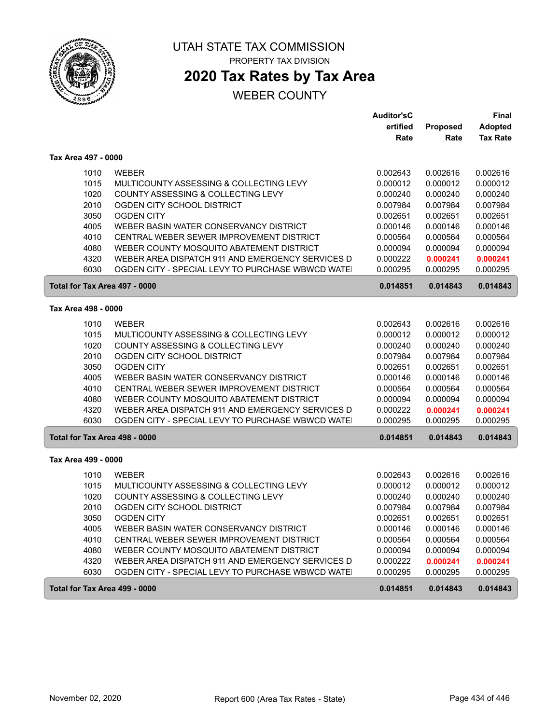

# **2020 Tax Rates by Tax Area**

|                               |                                                  | <b>Auditor'sC</b> |          | <b>Final</b>    |
|-------------------------------|--------------------------------------------------|-------------------|----------|-----------------|
|                               |                                                  | ertified          | Proposed | <b>Adopted</b>  |
|                               |                                                  | Rate              | Rate     | <b>Tax Rate</b> |
| Tax Area 497 - 0000           |                                                  |                   |          |                 |
| 1010                          | <b>WEBER</b>                                     | 0.002643          | 0.002616 | 0.002616        |
| 1015                          | MULTICOUNTY ASSESSING & COLLECTING LEVY          | 0.000012          | 0.000012 | 0.000012        |
| 1020                          | COUNTY ASSESSING & COLLECTING LEVY               | 0.000240          | 0.000240 | 0.000240        |
| 2010                          | OGDEN CITY SCHOOL DISTRICT                       | 0.007984          | 0.007984 | 0.007984        |
| 3050                          | <b>OGDEN CITY</b>                                | 0.002651          | 0.002651 | 0.002651        |
| 4005                          | WEBER BASIN WATER CONSERVANCY DISTRICT           | 0.000146          | 0.000146 | 0.000146        |
| 4010                          | CENTRAL WEBER SEWER IMPROVEMENT DISTRICT         | 0.000564          | 0.000564 | 0.000564        |
| 4080                          | WEBER COUNTY MOSQUITO ABATEMENT DISTRICT         | 0.000094          | 0.000094 | 0.000094        |
| 4320                          | WEBER AREA DISPATCH 911 AND EMERGENCY SERVICES D | 0.000222          | 0.000241 | 0.000241        |
| 6030                          | OGDEN CITY - SPECIAL LEVY TO PURCHASE WBWCD WATE | 0.000295          | 0.000295 | 0.000295        |
| Total for Tax Area 497 - 0000 |                                                  | 0.014851          | 0.014843 | 0.014843        |
| Tax Area 498 - 0000           |                                                  |                   |          |                 |
| 1010                          | <b>WEBER</b>                                     | 0.002643          | 0.002616 | 0.002616        |
| 1015                          | MULTICOUNTY ASSESSING & COLLECTING LEVY          | 0.000012          | 0.000012 | 0.000012        |
| 1020                          | COUNTY ASSESSING & COLLECTING LEVY               | 0.000240          | 0.000240 | 0.000240        |
| 2010                          | OGDEN CITY SCHOOL DISTRICT                       | 0.007984          | 0.007984 | 0.007984        |
| 3050                          | <b>OGDEN CITY</b>                                | 0.002651          | 0.002651 | 0.002651        |
| 4005                          | WEBER BASIN WATER CONSERVANCY DISTRICT           | 0.000146          | 0.000146 | 0.000146        |
| 4010                          | CENTRAL WEBER SEWER IMPROVEMENT DISTRICT         | 0.000564          | 0.000564 | 0.000564        |
| 4080                          | WEBER COUNTY MOSQUITO ABATEMENT DISTRICT         | 0.000094          | 0.000094 | 0.000094        |
| 4320                          | WEBER AREA DISPATCH 911 AND EMERGENCY SERVICES D | 0.000222          | 0.000241 | 0.000241        |
| 6030                          | OGDEN CITY - SPECIAL LEVY TO PURCHASE WBWCD WATE | 0.000295          | 0.000295 | 0.000295        |
| Total for Tax Area 498 - 0000 |                                                  | 0.014851          | 0.014843 | 0.014843        |
| Tax Area 499 - 0000           |                                                  |                   |          |                 |
| 1010                          | <b>WEBER</b>                                     | 0.002643          | 0.002616 | 0.002616        |
| 1015                          | MULTICOUNTY ASSESSING & COLLECTING LEVY          | 0.000012          | 0.000012 | 0.000012        |
| 1020                          | COUNTY ASSESSING & COLLECTING LEVY               | 0.000240          | 0.000240 | 0.000240        |
| 2010                          | OGDEN CITY SCHOOL DISTRICT                       | 0.007984          | 0.007984 | 0.007984        |
| 3050                          | <b>OGDEN CITY</b>                                | 0.002651          | 0.002651 | 0.002651        |
| 4005                          | WEBER BASIN WATER CONSERVANCY DISTRICT           | 0.000146          | 0.000146 | 0.000146        |
| 4010                          | CENTRAL WEBER SEWER IMPROVEMENT DISTRICT         | 0.000564          | 0.000564 | 0.000564        |
| 4080                          | WEBER COUNTY MOSQUITO ABATEMENT DISTRICT         | 0.000094          | 0.000094 | 0.000094        |
| 4320                          | WEBER AREA DISPATCH 911 AND EMERGENCY SERVICES D | 0.000222          | 0.000241 | 0.000241        |
| 6030                          | OGDEN CITY - SPECIAL LEVY TO PURCHASE WBWCD WATE | 0.000295          | 0.000295 | 0.000295        |
| Total for Tax Area 499 - 0000 |                                                  | 0.014851          | 0.014843 | 0.014843        |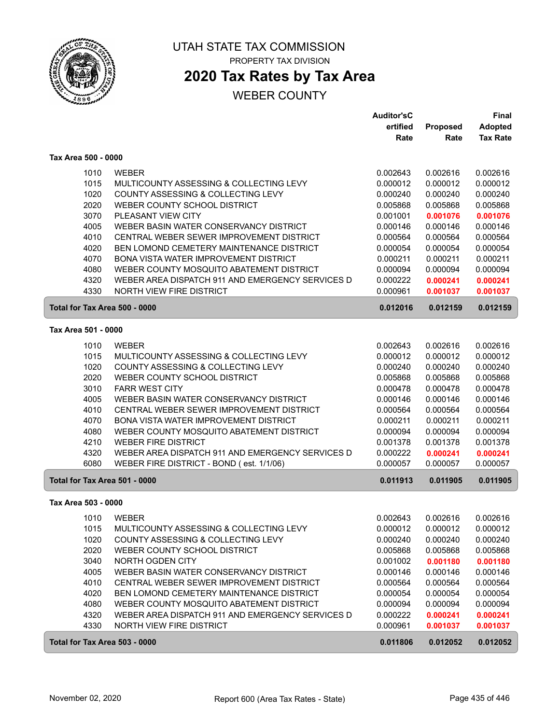

## **2020 Tax Rates by Tax Area**

|                               |                                                  | <b>Auditor'sC</b> |          | <b>Final</b>    |
|-------------------------------|--------------------------------------------------|-------------------|----------|-----------------|
|                               |                                                  | ertified          | Proposed | <b>Adopted</b>  |
|                               |                                                  | Rate              | Rate     | <b>Tax Rate</b> |
| Tax Area 500 - 0000           |                                                  |                   |          |                 |
| 1010                          | <b>WEBER</b>                                     | 0.002643          | 0.002616 | 0.002616        |
| 1015                          | MULTICOUNTY ASSESSING & COLLECTING LEVY          | 0.000012          | 0.000012 | 0.000012        |
| 1020                          | COUNTY ASSESSING & COLLECTING LEVY               | 0.000240          | 0.000240 | 0.000240        |
| 2020                          | WEBER COUNTY SCHOOL DISTRICT                     | 0.005868          | 0.005868 | 0.005868        |
| 3070                          | PLEASANT VIEW CITY                               | 0.001001          | 0.001076 | 0.001076        |
| 4005                          | WEBER BASIN WATER CONSERVANCY DISTRICT           | 0.000146          | 0.000146 | 0.000146        |
| 4010                          | CENTRAL WEBER SEWER IMPROVEMENT DISTRICT         | 0.000564          | 0.000564 | 0.000564        |
| 4020                          | BEN LOMOND CEMETERY MAINTENANCE DISTRICT         | 0.000054          | 0.000054 | 0.000054        |
| 4070                          | BONA VISTA WATER IMPROVEMENT DISTRICT            | 0.000211          | 0.000211 | 0.000211        |
| 4080                          | WEBER COUNTY MOSQUITO ABATEMENT DISTRICT         | 0.000094          | 0.000094 | 0.000094        |
| 4320                          | WEBER AREA DISPATCH 911 AND EMERGENCY SERVICES D | 0.000222          | 0.000241 | 0.000241        |
| 4330                          | NORTH VIEW FIRE DISTRICT                         | 0.000961          | 0.001037 | 0.001037        |
| Total for Tax Area 500 - 0000 |                                                  | 0.012016          | 0.012159 | 0.012159        |
| Tax Area 501 - 0000           |                                                  |                   |          |                 |
| 1010                          | <b>WEBER</b>                                     | 0.002643          | 0.002616 | 0.002616        |
| 1015                          | MULTICOUNTY ASSESSING & COLLECTING LEVY          | 0.000012          | 0.000012 | 0.000012        |
| 1020                          | COUNTY ASSESSING & COLLECTING LEVY               | 0.000240          | 0.000240 | 0.000240        |
| 2020                          | WEBER COUNTY SCHOOL DISTRICT                     | 0.005868          | 0.005868 | 0.005868        |
| 3010                          | <b>FARR WEST CITY</b>                            | 0.000478          | 0.000478 | 0.000478        |
| 4005                          | WEBER BASIN WATER CONSERVANCY DISTRICT           | 0.000146          | 0.000146 | 0.000146        |
| 4010                          | CENTRAL WEBER SEWER IMPROVEMENT DISTRICT         | 0.000564          | 0.000564 | 0.000564        |
| 4070                          | BONA VISTA WATER IMPROVEMENT DISTRICT            | 0.000211          | 0.000211 | 0.000211        |
| 4080                          | WEBER COUNTY MOSQUITO ABATEMENT DISTRICT         | 0.000094          | 0.000094 | 0.000094        |
| 4210                          | <b>WEBER FIRE DISTRICT</b>                       | 0.001378          | 0.001378 | 0.001378        |
| 4320                          | WEBER AREA DISPATCH 911 AND EMERGENCY SERVICES D | 0.000222          | 0.000241 | 0.000241        |
| 6080                          | WEBER FIRE DISTRICT - BOND (est. 1/1/06)         | 0.000057          | 0.000057 | 0.000057        |
| Total for Tax Area 501 - 0000 |                                                  | 0.011913          | 0.011905 | 0.011905        |
| Tax Area 503 - 0000           |                                                  |                   |          |                 |
| 1010                          | <b>WEBER</b>                                     | 0.002643          | 0.002616 | 0.002616        |
| 1015                          | MULTICOUNTY ASSESSING & COLLECTING LEVY          | 0.000012          | 0.000012 | 0.000012        |
| 1020                          | COUNTY ASSESSING & COLLECTING LEVY               | 0.000240          | 0.000240 | 0.000240        |
| 2020                          | WEBER COUNTY SCHOOL DISTRICT                     | 0.005868          | 0.005868 | 0.005868        |
| 3040                          | NORTH OGDEN CITY                                 | 0.001002          | 0.001180 | 0.001180        |
| 4005                          | WEBER BASIN WATER CONSERVANCY DISTRICT           | 0.000146          | 0.000146 | 0.000146        |
| 4010                          | CENTRAL WEBER SEWER IMPROVEMENT DISTRICT         | 0.000564          | 0.000564 | 0.000564        |
| 4020                          | BEN LOMOND CEMETERY MAINTENANCE DISTRICT         | 0.000054          | 0.000054 | 0.000054        |
| 4080                          | WEBER COUNTY MOSQUITO ABATEMENT DISTRICT         | 0.000094          | 0.000094 | 0.000094        |
| 4320                          | WEBER AREA DISPATCH 911 AND EMERGENCY SERVICES D | 0.000222          | 0.000241 | 0.000241        |
| 4330                          | NORTH VIEW FIRE DISTRICT                         | 0.000961          | 0.001037 | 0.001037        |
| Total for Tax Area 503 - 0000 |                                                  | 0.011806          | 0.012052 | 0.012052        |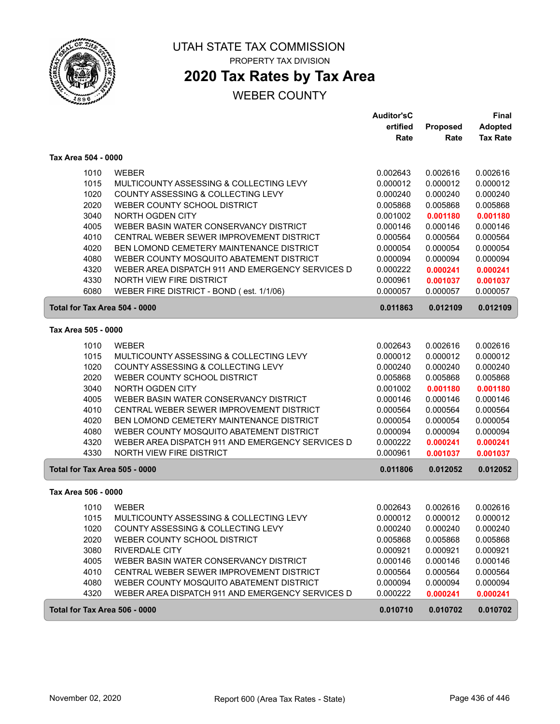

# **2020 Tax Rates by Tax Area**

|                     |                                                  | <b>Auditor'sC</b> |          | <b>Final</b>    |
|---------------------|--------------------------------------------------|-------------------|----------|-----------------|
|                     |                                                  | ertified          | Proposed | <b>Adopted</b>  |
|                     |                                                  | Rate              | Rate     | <b>Tax Rate</b> |
| Tax Area 504 - 0000 |                                                  |                   |          |                 |
| 1010                | <b>WEBER</b>                                     | 0.002643          | 0.002616 | 0.002616        |
| 1015                | MULTICOUNTY ASSESSING & COLLECTING LEVY          | 0.000012          | 0.000012 | 0.000012        |
| 1020                | COUNTY ASSESSING & COLLECTING LEVY               | 0.000240          | 0.000240 | 0.000240        |
| 2020                | WEBER COUNTY SCHOOL DISTRICT                     | 0.005868          | 0.005868 | 0.005868        |
| 3040                | NORTH OGDEN CITY                                 | 0.001002          | 0.001180 | 0.001180        |
| 4005                | WEBER BASIN WATER CONSERVANCY DISTRICT           | 0.000146          | 0.000146 | 0.000146        |
| 4010                | CENTRAL WEBER SEWER IMPROVEMENT DISTRICT         | 0.000564          | 0.000564 | 0.000564        |
| 4020                | BEN LOMOND CEMETERY MAINTENANCE DISTRICT         | 0.000054          | 0.000054 | 0.000054        |
| 4080                | WEBER COUNTY MOSQUITO ABATEMENT DISTRICT         | 0.000094          | 0.000094 | 0.000094        |
| 4320                | WEBER AREA DISPATCH 911 AND EMERGENCY SERVICES D | 0.000222          | 0.000241 | 0.000241        |
| 4330                | NORTH VIEW FIRE DISTRICT                         | 0.000961          | 0.001037 | 0.001037        |
| 6080                | WEBER FIRE DISTRICT - BOND (est. 1/1/06)         | 0.000057          | 0.000057 | 0.000057        |
|                     | Total for Tax Area 504 - 0000                    | 0.011863          | 0.012109 | 0.012109        |
| Tax Area 505 - 0000 |                                                  |                   |          |                 |
| 1010                | <b>WEBER</b>                                     | 0.002643          | 0.002616 | 0.002616        |
| 1015                | MULTICOUNTY ASSESSING & COLLECTING LEVY          | 0.000012          | 0.000012 | 0.000012        |
| 1020                | COUNTY ASSESSING & COLLECTING LEVY               | 0.000240          | 0.000240 | 0.000240        |
| 2020                | WEBER COUNTY SCHOOL DISTRICT                     | 0.005868          | 0.005868 | 0.005868        |
| 3040                | NORTH OGDEN CITY                                 | 0.001002          | 0.001180 | 0.001180        |
| 4005                | WEBER BASIN WATER CONSERVANCY DISTRICT           | 0.000146          | 0.000146 | 0.000146        |
| 4010                | CENTRAL WEBER SEWER IMPROVEMENT DISTRICT         | 0.000564          | 0.000564 | 0.000564        |
| 4020                | BEN LOMOND CEMETERY MAINTENANCE DISTRICT         | 0.000054          | 0.000054 | 0.000054        |
| 4080                | WEBER COUNTY MOSQUITO ABATEMENT DISTRICT         | 0.000094          | 0.000094 | 0.000094        |
| 4320                | WEBER AREA DISPATCH 911 AND EMERGENCY SERVICES D | 0.000222          | 0.000241 | 0.000241        |
| 4330                | NORTH VIEW FIRE DISTRICT                         | 0.000961          | 0.001037 | 0.001037        |
|                     | Total for Tax Area 505 - 0000                    | 0.011806          | 0.012052 | 0.012052        |
| Tax Area 506 - 0000 |                                                  |                   |          |                 |
| 1010                | <b>WEBER</b>                                     | 0.002643          | 0.002616 | 0.002616        |
| 1015                | MULTICOUNTY ASSESSING & COLLECTING LEVY          | 0.000012          | 0.000012 | 0.000012        |
| 1020                | COUNTY ASSESSING & COLLECTING LEVY               | 0.000240          | 0.000240 | 0.000240        |
| 2020                | WEBER COUNTY SCHOOL DISTRICT                     | 0.005868          | 0.005868 | 0.005868        |
| 3080                | <b>RIVERDALE CITY</b>                            | 0.000921          | 0.000921 | 0.000921        |
| 4005                | WEBER BASIN WATER CONSERVANCY DISTRICT           | 0.000146          | 0.000146 | 0.000146        |
| 4010                | CENTRAL WEBER SEWER IMPROVEMENT DISTRICT         | 0.000564          | 0.000564 | 0.000564        |
| 4080                | WEBER COUNTY MOSQUITO ABATEMENT DISTRICT         | 0.000094          | 0.000094 | 0.000094        |
| 4320                | WEBER AREA DISPATCH 911 AND EMERGENCY SERVICES D | 0.000222          | 0.000241 | 0.000241        |
|                     | Total for Tax Area 506 - 0000                    | 0.010710          | 0.010702 | 0.010702        |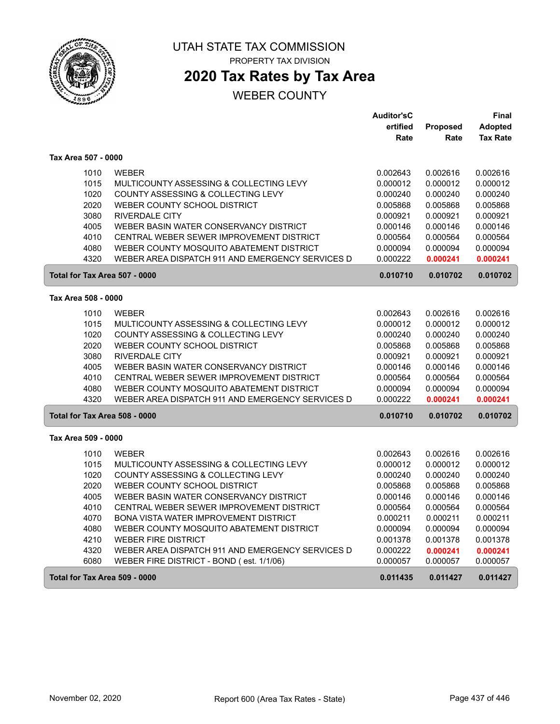

**2020 Tax Rates by Tax Area**

|                               |                                                  | <b>Auditor'sC</b> |          | Final           |
|-------------------------------|--------------------------------------------------|-------------------|----------|-----------------|
|                               |                                                  | ertified          | Proposed | <b>Adopted</b>  |
|                               |                                                  | Rate              | Rate     | <b>Tax Rate</b> |
| Tax Area 507 - 0000           |                                                  |                   |          |                 |
| 1010                          | <b>WEBER</b>                                     | 0.002643          | 0.002616 | 0.002616        |
| 1015                          | MULTICOUNTY ASSESSING & COLLECTING LEVY          | 0.000012          | 0.000012 | 0.000012        |
| 1020                          | COUNTY ASSESSING & COLLECTING LEVY               | 0.000240          | 0.000240 | 0.000240        |
| 2020                          | WEBER COUNTY SCHOOL DISTRICT                     | 0.005868          | 0.005868 | 0.005868        |
| 3080                          | <b>RIVERDALE CITY</b>                            | 0.000921          | 0.000921 | 0.000921        |
| 4005                          | WEBER BASIN WATER CONSERVANCY DISTRICT           | 0.000146          | 0.000146 | 0.000146        |
| 4010                          | CENTRAL WEBER SEWER IMPROVEMENT DISTRICT         | 0.000564          | 0.000564 | 0.000564        |
| 4080                          | WEBER COUNTY MOSQUITO ABATEMENT DISTRICT         | 0.000094          | 0.000094 | 0.000094        |
| 4320                          | WEBER AREA DISPATCH 911 AND EMERGENCY SERVICES D | 0.000222          | 0.000241 | 0.000241        |
| Total for Tax Area 507 - 0000 |                                                  | 0.010710          | 0.010702 | 0.010702        |
| Tax Area 508 - 0000           |                                                  |                   |          |                 |
| 1010                          | <b>WEBER</b>                                     | 0.002643          | 0.002616 | 0.002616        |
| 1015                          | MULTICOUNTY ASSESSING & COLLECTING LEVY          | 0.000012          | 0.000012 | 0.000012        |
| 1020                          | COUNTY ASSESSING & COLLECTING LEVY               | 0.000240          | 0.000240 | 0.000240        |
| 2020                          | WEBER COUNTY SCHOOL DISTRICT                     | 0.005868          | 0.005868 | 0.005868        |
| 3080                          | <b>RIVERDALE CITY</b>                            | 0.000921          | 0.000921 | 0.000921        |
| 4005                          | WEBER BASIN WATER CONSERVANCY DISTRICT           | 0.000146          | 0.000146 | 0.000146        |
| 4010                          | CENTRAL WEBER SEWER IMPROVEMENT DISTRICT         | 0.000564          | 0.000564 | 0.000564        |
| 4080                          | WEBER COUNTY MOSQUITO ABATEMENT DISTRICT         | 0.000094          | 0.000094 | 0.000094        |
| 4320                          | WEBER AREA DISPATCH 911 AND EMERGENCY SERVICES D | 0.000222          | 0.000241 | 0.000241        |
| Total for Tax Area 508 - 0000 |                                                  | 0.010710          | 0.010702 | 0.010702        |
| Tax Area 509 - 0000           |                                                  |                   |          |                 |
| 1010                          | <b>WEBER</b>                                     | 0.002643          | 0.002616 | 0.002616        |
| 1015                          | MULTICOUNTY ASSESSING & COLLECTING LEVY          | 0.000012          | 0.000012 | 0.000012        |
| 1020                          | COUNTY ASSESSING & COLLECTING LEVY               | 0.000240          | 0.000240 | 0.000240        |
| 2020                          | WEBER COUNTY SCHOOL DISTRICT                     | 0.005868          | 0.005868 | 0.005868        |
| 4005                          | WEBER BASIN WATER CONSERVANCY DISTRICT           | 0.000146          | 0.000146 | 0.000146        |
| 4010                          | CENTRAL WEBER SEWER IMPROVEMENT DISTRICT         | 0.000564          | 0.000564 | 0.000564        |
| 4070                          | <b>BONA VISTA WATER IMPROVEMENT DISTRICT</b>     | 0.000211          | 0.000211 | 0.000211        |
| 4080                          | WEBER COUNTY MOSQUITO ABATEMENT DISTRICT         | 0.000094          | 0.000094 | 0.000094        |
| 4210                          | <b>WEBER FIRE DISTRICT</b>                       | 0.001378          | 0.001378 | 0.001378        |
| 4320                          | WEBER AREA DISPATCH 911 AND EMERGENCY SERVICES D | 0.000222          | 0.000241 | 0.000241        |
| 6080                          | WEBER FIRE DISTRICT - BOND (est. 1/1/06)         | 0.000057          | 0.000057 | 0.000057        |
| Total for Tax Area 509 - 0000 |                                                  | 0.011435          | 0.011427 | 0.011427        |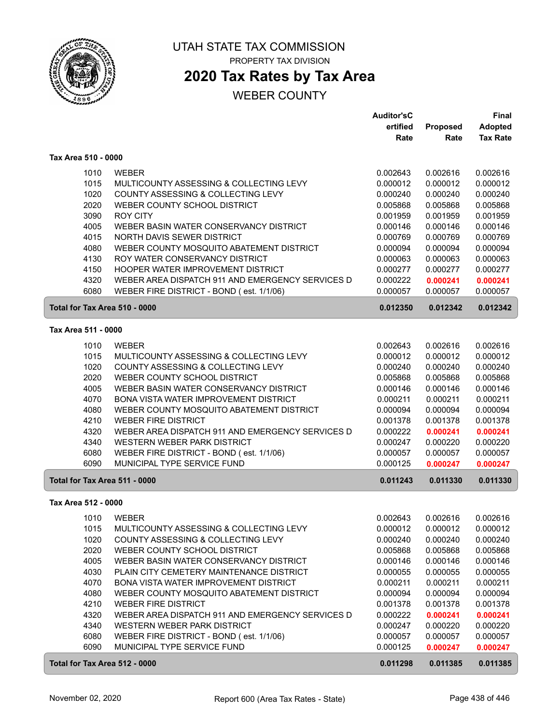

## **2020 Tax Rates by Tax Area**

|                               |                                                  | <b>Auditor'sC</b> |          | <b>Final</b>    |
|-------------------------------|--------------------------------------------------|-------------------|----------|-----------------|
|                               |                                                  | ertified          | Proposed | <b>Adopted</b>  |
|                               |                                                  | Rate              | Rate     | <b>Tax Rate</b> |
| Tax Area 510 - 0000           |                                                  |                   |          |                 |
|                               |                                                  |                   |          |                 |
| 1010                          | <b>WEBER</b>                                     | 0.002643          | 0.002616 | 0.002616        |
| 1015                          | MULTICOUNTY ASSESSING & COLLECTING LEVY          | 0.000012          | 0.000012 | 0.000012        |
| 1020                          | COUNTY ASSESSING & COLLECTING LEVY               | 0.000240          | 0.000240 | 0.000240        |
| 2020                          | WEBER COUNTY SCHOOL DISTRICT                     | 0.005868          | 0.005868 | 0.005868        |
| 3090                          | <b>ROY CITY</b>                                  | 0.001959          | 0.001959 | 0.001959        |
| 4005                          | WEBER BASIN WATER CONSERVANCY DISTRICT           | 0.000146          | 0.000146 | 0.000146        |
| 4015                          | NORTH DAVIS SEWER DISTRICT                       | 0.000769          | 0.000769 | 0.000769        |
| 4080                          | WEBER COUNTY MOSQUITO ABATEMENT DISTRICT         | 0.000094          | 0.000094 | 0.000094        |
| 4130                          | ROY WATER CONSERVANCY DISTRICT                   | 0.000063          | 0.000063 | 0.000063        |
| 4150                          | HOOPER WATER IMPROVEMENT DISTRICT                | 0.000277          | 0.000277 | 0.000277        |
| 4320                          | WEBER AREA DISPATCH 911 AND EMERGENCY SERVICES D | 0.000222          | 0.000241 | 0.000241        |
| 6080                          | WEBER FIRE DISTRICT - BOND (est. 1/1/06)         | 0.000057          | 0.000057 | 0.000057        |
| Total for Tax Area 510 - 0000 |                                                  | 0.012350          | 0.012342 | 0.012342        |
| Tax Area 511 - 0000           |                                                  |                   |          |                 |
|                               |                                                  |                   |          |                 |
| 1010                          | <b>WEBER</b>                                     | 0.002643          | 0.002616 | 0.002616        |
| 1015                          | MULTICOUNTY ASSESSING & COLLECTING LEVY          | 0.000012          | 0.000012 | 0.000012        |
| 1020                          | COUNTY ASSESSING & COLLECTING LEVY               | 0.000240          | 0.000240 | 0.000240        |
| 2020                          | WEBER COUNTY SCHOOL DISTRICT                     | 0.005868          | 0.005868 | 0.005868        |
| 4005                          | WEBER BASIN WATER CONSERVANCY DISTRICT           | 0.000146          | 0.000146 | 0.000146        |
| 4070                          | BONA VISTA WATER IMPROVEMENT DISTRICT            | 0.000211          | 0.000211 | 0.000211        |
| 4080                          | WEBER COUNTY MOSQUITO ABATEMENT DISTRICT         | 0.000094          | 0.000094 | 0.000094        |
| 4210                          | <b>WEBER FIRE DISTRICT</b>                       | 0.001378          | 0.001378 | 0.001378        |
| 4320                          | WEBER AREA DISPATCH 911 AND EMERGENCY SERVICES D | 0.000222          | 0.000241 | 0.000241        |
| 4340                          | WESTERN WEBER PARK DISTRICT                      | 0.000247          | 0.000220 | 0.000220        |
| 6080                          | WEBER FIRE DISTRICT - BOND (est. 1/1/06)         | 0.000057          | 0.000057 | 0.000057        |
| 6090                          | MUNICIPAL TYPE SERVICE FUND                      | 0.000125          | 0.000247 | 0.000247        |
| Total for Tax Area 511 - 0000 |                                                  | 0.011243          | 0.011330 | 0.011330        |
| Tax Area 512 - 0000           |                                                  |                   |          |                 |
|                               |                                                  |                   | 0.002616 | 0.002616        |
|                               | 1010 WEBER                                       | 0.002643          |          |                 |
| 1015                          | MULTICOUNTY ASSESSING & COLLECTING LEVY          | 0.000012          | 0.000012 | 0.000012        |
| 1020                          | COUNTY ASSESSING & COLLECTING LEVY               | 0.000240          | 0.000240 | 0.000240        |
| 2020                          | WEBER COUNTY SCHOOL DISTRICT                     | 0.005868          | 0.005868 | 0.005868        |
| 4005                          | WEBER BASIN WATER CONSERVANCY DISTRICT           | 0.000146          | 0.000146 | 0.000146        |
| 4030                          | PLAIN CITY CEMETERY MAINTENANCE DISTRICT         | 0.000055          | 0.000055 | 0.000055        |
| 4070                          | BONA VISTA WATER IMPROVEMENT DISTRICT            | 0.000211          | 0.000211 | 0.000211        |
| 4080                          | WEBER COUNTY MOSQUITO ABATEMENT DISTRICT         | 0.000094          | 0.000094 | 0.000094        |
| 4210                          | <b>WEBER FIRE DISTRICT</b>                       | 0.001378          | 0.001378 | 0.001378        |
| 4320                          | WEBER AREA DISPATCH 911 AND EMERGENCY SERVICES D | 0.000222          | 0.000241 | 0.000241        |
| 4340                          | WESTERN WEBER PARK DISTRICT                      | 0.000247          | 0.000220 | 0.000220        |
| 6080                          | WEBER FIRE DISTRICT - BOND (est. 1/1/06)         | 0.000057          | 0.000057 | 0.000057        |
| 6090                          | MUNICIPAL TYPE SERVICE FUND                      | 0.000125          | 0.000247 | 0.000247        |
| Total for Tax Area 512 - 0000 |                                                  | 0.011298          | 0.011385 | 0.011385        |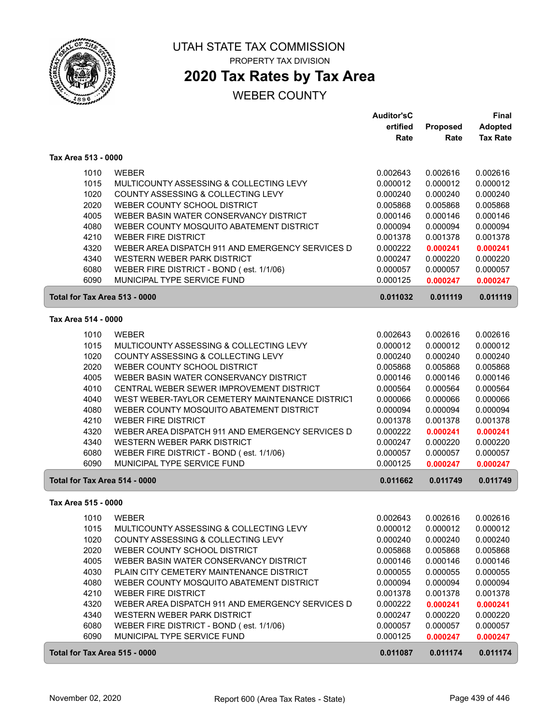

## **2020 Tax Rates by Tax Area**

|                               |                                                  | <b>Auditor'sC</b> |          | Final           |
|-------------------------------|--------------------------------------------------|-------------------|----------|-----------------|
|                               |                                                  | ertified          | Proposed | <b>Adopted</b>  |
|                               |                                                  | Rate              | Rate     | <b>Tax Rate</b> |
| Tax Area 513 - 0000           |                                                  |                   |          |                 |
| 1010                          | <b>WEBER</b>                                     | 0.002643          | 0.002616 | 0.002616        |
| 1015                          | MULTICOUNTY ASSESSING & COLLECTING LEVY          | 0.000012          | 0.000012 | 0.000012        |
| 1020                          | COUNTY ASSESSING & COLLECTING LEVY               | 0.000240          | 0.000240 | 0.000240        |
| 2020                          | WEBER COUNTY SCHOOL DISTRICT                     | 0.005868          | 0.005868 | 0.005868        |
| 4005                          | WEBER BASIN WATER CONSERVANCY DISTRICT           | 0.000146          | 0.000146 | 0.000146        |
| 4080                          | WEBER COUNTY MOSQUITO ABATEMENT DISTRICT         | 0.000094          | 0.000094 | 0.000094        |
| 4210                          | <b>WEBER FIRE DISTRICT</b>                       | 0.001378          | 0.001378 | 0.001378        |
| 4320                          | WEBER AREA DISPATCH 911 AND EMERGENCY SERVICES D | 0.000222          | 0.000241 | 0.000241        |
| 4340                          | WESTERN WEBER PARK DISTRICT                      | 0.000247          | 0.000220 | 0.000220        |
| 6080                          | WEBER FIRE DISTRICT - BOND (est. 1/1/06)         | 0.000057          | 0.000057 | 0.000057        |
| 6090                          | MUNICIPAL TYPE SERVICE FUND                      | 0.000125          | 0.000247 | 0.000247        |
| Total for Tax Area 513 - 0000 |                                                  | 0.011032          | 0.011119 | 0.011119        |
| Tax Area 514 - 0000           |                                                  |                   |          |                 |
| 1010                          | <b>WEBER</b>                                     | 0.002643          | 0.002616 | 0.002616        |
| 1015                          | MULTICOUNTY ASSESSING & COLLECTING LEVY          | 0.000012          | 0.000012 | 0.000012        |
| 1020                          | COUNTY ASSESSING & COLLECTING LEVY               | 0.000240          | 0.000240 | 0.000240        |
| 2020                          | WEBER COUNTY SCHOOL DISTRICT                     | 0.005868          | 0.005868 | 0.005868        |
| 4005                          | WEBER BASIN WATER CONSERVANCY DISTRICT           | 0.000146          | 0.000146 | 0.000146        |
| 4010                          | CENTRAL WEBER SEWER IMPROVEMENT DISTRICT         | 0.000564          | 0.000564 | 0.000564        |
| 4040                          | WEST WEBER-TAYLOR CEMETERY MAINTENANCE DISTRICT  | 0.000066          | 0.000066 | 0.000066        |
| 4080                          | WEBER COUNTY MOSQUITO ABATEMENT DISTRICT         | 0.000094          | 0.000094 | 0.000094        |
| 4210                          | <b>WEBER FIRE DISTRICT</b>                       | 0.001378          | 0.001378 | 0.001378        |
| 4320                          | WEBER AREA DISPATCH 911 AND EMERGENCY SERVICES D | 0.000222          | 0.000241 | 0.000241        |
| 4340                          | WESTERN WEBER PARK DISTRICT                      | 0.000247          | 0.000220 | 0.000220        |
| 6080                          | WEBER FIRE DISTRICT - BOND (est. 1/1/06)         | 0.000057          | 0.000057 | 0.000057        |
| 6090                          | MUNICIPAL TYPE SERVICE FUND                      | 0.000125          | 0.000247 | 0.000247        |
| Total for Tax Area 514 - 0000 |                                                  | 0.011662          | 0.011749 | 0.011749        |
| Tax Area 515 - 0000           |                                                  |                   |          |                 |
| 1010                          | <b>WEBER</b>                                     | 0.002643          | 0.002616 | 0.002616        |
| 1015                          | MULTICOUNTY ASSESSING & COLLECTING LEVY          | 0.000012          | 0.000012 | 0.000012        |
| 1020                          | COUNTY ASSESSING & COLLECTING LEVY               | 0.000240          | 0.000240 | 0.000240        |
| 2020                          | WEBER COUNTY SCHOOL DISTRICT                     | 0.005868          | 0.005868 | 0.005868        |
| 4005                          | WEBER BASIN WATER CONSERVANCY DISTRICT           | 0.000146          | 0.000146 | 0.000146        |
| 4030                          | PLAIN CITY CEMETERY MAINTENANCE DISTRICT         | 0.000055          | 0.000055 | 0.000055        |
| 4080                          | WEBER COUNTY MOSQUITO ABATEMENT DISTRICT         | 0.000094          | 0.000094 | 0.000094        |
| 4210                          | <b>WEBER FIRE DISTRICT</b>                       | 0.001378          | 0.001378 | 0.001378        |
| 4320                          | WEBER AREA DISPATCH 911 AND EMERGENCY SERVICES D | 0.000222          | 0.000241 | 0.000241        |
| 4340                          | WESTERN WEBER PARK DISTRICT                      | 0.000247          | 0.000220 | 0.000220        |
| 6080                          | WEBER FIRE DISTRICT - BOND (est. 1/1/06)         | 0.000057          | 0.000057 | 0.000057        |
| 6090                          | MUNICIPAL TYPE SERVICE FUND                      | 0.000125          | 0.000247 | 0.000247        |
| Total for Tax Area 515 - 0000 |                                                  | 0.011087          | 0.011174 | 0.011174        |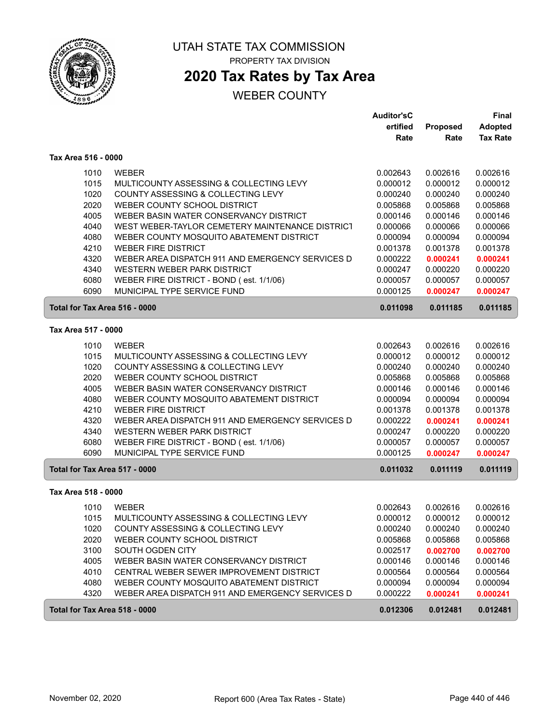

# **2020 Tax Rates by Tax Area**

|                               |                                                                               | <b>Auditor'sC</b>    |                      | <b>Final</b>         |
|-------------------------------|-------------------------------------------------------------------------------|----------------------|----------------------|----------------------|
|                               |                                                                               | ertified             | Proposed             | <b>Adopted</b>       |
|                               |                                                                               | Rate                 | Rate                 | <b>Tax Rate</b>      |
| Tax Area 516 - 0000           |                                                                               |                      |                      |                      |
| 1010                          | <b>WEBER</b>                                                                  | 0.002643             | 0.002616             | 0.002616             |
| 1015                          | MULTICOUNTY ASSESSING & COLLECTING LEVY                                       | 0.000012             | 0.000012             | 0.000012             |
| 1020                          | COUNTY ASSESSING & COLLECTING LEVY                                            | 0.000240             | 0.000240             | 0.000240             |
| 2020                          | WEBER COUNTY SCHOOL DISTRICT                                                  | 0.005868             | 0.005868             | 0.005868             |
| 4005                          | WEBER BASIN WATER CONSERVANCY DISTRICT                                        | 0.000146             | 0.000146             | 0.000146             |
| 4040                          | WEST WEBER-TAYLOR CEMETERY MAINTENANCE DISTRICT                               | 0.000066             | 0.000066             | 0.000066             |
| 4080                          | WEBER COUNTY MOSQUITO ABATEMENT DISTRICT                                      | 0.000094             | 0.000094             | 0.000094             |
| 4210                          | <b>WEBER FIRE DISTRICT</b>                                                    | 0.001378             | 0.001378             | 0.001378             |
| 4320                          | WEBER AREA DISPATCH 911 AND EMERGENCY SERVICES D                              | 0.000222             | 0.000241             | 0.000241             |
| 4340                          | WESTERN WEBER PARK DISTRICT                                                   | 0.000247             | 0.000220             | 0.000220             |
| 6080                          | WEBER FIRE DISTRICT - BOND (est. 1/1/06)                                      | 0.000057             | 0.000057             | 0.000057             |
| 6090                          | MUNICIPAL TYPE SERVICE FUND                                                   | 0.000125             | 0.000247             | 0.000247             |
| Total for Tax Area 516 - 0000 |                                                                               | 0.011098             | 0.011185             | 0.011185             |
| Tax Area 517 - 0000           |                                                                               |                      |                      |                      |
|                               |                                                                               |                      |                      |                      |
| 1010                          | <b>WEBER</b>                                                                  | 0.002643             | 0.002616             | 0.002616             |
| 1015                          | MULTICOUNTY ASSESSING & COLLECTING LEVY<br>COUNTY ASSESSING & COLLECTING LEVY | 0.000012             | 0.000012<br>0.000240 | 0.000012             |
| 1020<br>2020                  | WEBER COUNTY SCHOOL DISTRICT                                                  | 0.000240             | 0.005868             | 0.000240             |
| 4005                          | WEBER BASIN WATER CONSERVANCY DISTRICT                                        | 0.005868<br>0.000146 | 0.000146             | 0.005868<br>0.000146 |
| 4080                          | WEBER COUNTY MOSQUITO ABATEMENT DISTRICT                                      | 0.000094             | 0.000094             | 0.000094             |
| 4210                          | <b>WEBER FIRE DISTRICT</b>                                                    | 0.001378             | 0.001378             | 0.001378             |
| 4320                          | WEBER AREA DISPATCH 911 AND EMERGENCY SERVICES D                              | 0.000222             | 0.000241             | 0.000241             |
| 4340                          | WESTERN WEBER PARK DISTRICT                                                   | 0.000247             | 0.000220             | 0.000220             |
| 6080                          | WEBER FIRE DISTRICT - BOND (est. 1/1/06)                                      | 0.000057             | 0.000057             | 0.000057             |
| 6090                          | MUNICIPAL TYPE SERVICE FUND                                                   | 0.000125             | 0.000247             | 0.000247             |
| Total for Tax Area 517 - 0000 |                                                                               | 0.011032             | 0.011119             | 0.011119             |
| Tax Area 518 - 0000           |                                                                               |                      |                      |                      |
|                               |                                                                               |                      |                      | 0.002616             |
| 1010<br>1015                  | <b>WEBER</b>                                                                  | 0.002643<br>0.000012 | 0.002616             |                      |
|                               | MULTICOUNTY ASSESSING & COLLECTING LEVY<br>COUNTY ASSESSING & COLLECTING LEVY |                      | 0.000012             | 0.000012             |
| 1020<br>2020                  | WEBER COUNTY SCHOOL DISTRICT                                                  | 0.000240<br>0.005868 | 0.000240<br>0.005868 | 0.000240<br>0.005868 |
| 3100                          | SOUTH OGDEN CITY                                                              | 0.002517             | 0.002700             | 0.002700             |
| 4005                          | WEBER BASIN WATER CONSERVANCY DISTRICT                                        | 0.000146             | 0.000146             | 0.000146             |
| 4010                          | CENTRAL WEBER SEWER IMPROVEMENT DISTRICT                                      | 0.000564             | 0.000564             | 0.000564             |
| 4080                          | WEBER COUNTY MOSQUITO ABATEMENT DISTRICT                                      | 0.000094             | 0.000094             | 0.000094             |
| 4320                          | WEBER AREA DISPATCH 911 AND EMERGENCY SERVICES D                              | 0.000222             | 0.000241             | 0.000241             |
| Total for Tax Area 518 - 0000 |                                                                               | 0.012306             | 0.012481             | 0.012481             |
|                               |                                                                               |                      |                      |                      |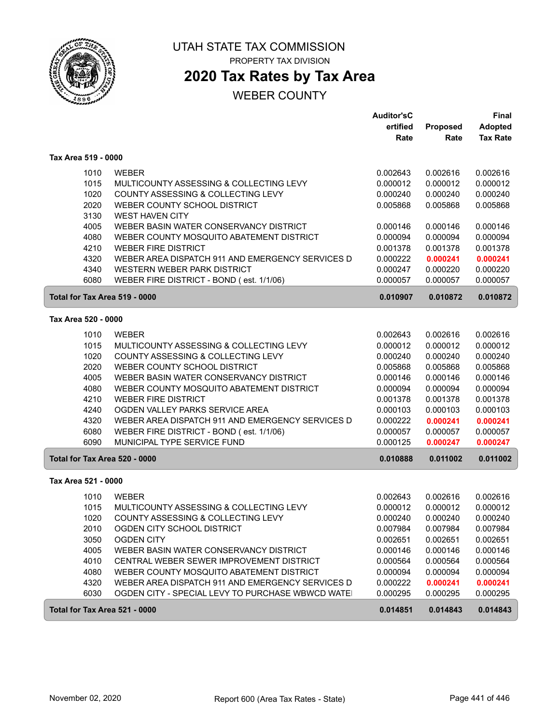

# UTAH STATE TAX COMMISSION

PROPERTY TAX DIVISION

# **2020 Tax Rates by Tax Area**

|                               |                                                   | <b>Auditor'sC</b> |                 | Final           |
|-------------------------------|---------------------------------------------------|-------------------|-----------------|-----------------|
|                               |                                                   | ertified          | <b>Proposed</b> | Adopted         |
|                               |                                                   | Rate              | Rate            | <b>Tax Rate</b> |
| Tax Area 519 - 0000           |                                                   |                   |                 |                 |
| 1010                          | <b>WEBER</b>                                      | 0.002643          | 0.002616        | 0.002616        |
| 1015                          | MULTICOUNTY ASSESSING & COLLECTING LEVY           | 0.000012          | 0.000012        | 0.000012        |
| 1020                          | COUNTY ASSESSING & COLLECTING LEVY                | 0.000240          | 0.000240        | 0.000240        |
| 2020                          | WEBER COUNTY SCHOOL DISTRICT                      | 0.005868          | 0.005868        | 0.005868        |
| 3130                          | <b>WEST HAVEN CITY</b>                            |                   |                 |                 |
| 4005                          | WEBER BASIN WATER CONSERVANCY DISTRICT            | 0.000146          | 0.000146        | 0.000146        |
| 4080                          | WEBER COUNTY MOSQUITO ABATEMENT DISTRICT          | 0.000094          | 0.000094        | 0.000094        |
| 4210                          | <b>WEBER FIRE DISTRICT</b>                        | 0.001378          | 0.001378        | 0.001378        |
| 4320                          | WEBER AREA DISPATCH 911 AND EMERGENCY SERVICES D  | 0.000222          | 0.000241        | 0.000241        |
| 4340                          | WESTERN WEBER PARK DISTRICT                       | 0.000247          | 0.000220        | 0.000220        |
| 6080                          | WEBER FIRE DISTRICT - BOND (est. 1/1/06)          | 0.000057          | 0.000057        | 0.000057        |
| Total for Tax Area 519 - 0000 |                                                   | 0.010907          | 0.010872        | 0.010872        |
| Tax Area 520 - 0000           |                                                   |                   |                 |                 |
| 1010                          | <b>WEBER</b>                                      | 0.002643          | 0.002616        | 0.002616        |
| 1015                          | MULTICOUNTY ASSESSING & COLLECTING LEVY           | 0.000012          | 0.000012        | 0.000012        |
| 1020                          | COUNTY ASSESSING & COLLECTING LEVY                | 0.000240          | 0.000240        | 0.000240        |
| 2020                          | WEBER COUNTY SCHOOL DISTRICT                      | 0.005868          | 0.005868        | 0.005868        |
| 4005                          | WEBER BASIN WATER CONSERVANCY DISTRICT            | 0.000146          | 0.000146        | 0.000146        |
| 4080                          | WEBER COUNTY MOSQUITO ABATEMENT DISTRICT          | 0.000094          | 0.000094        | 0.000094        |
| 4210                          | <b>WEBER FIRE DISTRICT</b>                        | 0.001378          | 0.001378        | 0.001378        |
| 4240                          | OGDEN VALLEY PARKS SERVICE AREA                   | 0.000103          | 0.000103        | 0.000103        |
| 4320                          | WEBER AREA DISPATCH 911 AND EMERGENCY SERVICES D  | 0.000222          | 0.000241        | 0.000241        |
| 6080                          | WEBER FIRE DISTRICT - BOND (est. 1/1/06)          | 0.000057          | 0.000057        | 0.000057        |
| 6090                          | MUNICIPAL TYPE SERVICE FUND                       | 0.000125          | 0.000247        | 0.000247        |
| Total for Tax Area 520 - 0000 |                                                   | 0.010888          | 0.011002        | 0.011002        |
| Tax Area 521 - 0000           |                                                   |                   |                 |                 |
| 1010                          | <b>WEBER</b>                                      | 0.002643          | 0.002616        | 0.002616        |
| 1015                          | MULTICOUNTY ASSESSING & COLLECTING LEVY           | 0.000012          | 0.000012        | 0.000012        |
| 1020                          | COUNTY ASSESSING & COLLECTING LEVY                | 0.000240          | 0.000240        | 0.000240        |
| 2010                          | OGDEN CITY SCHOOL DISTRICT                        | 0.007984          | 0.007984        | 0.007984        |
| 3050                          | <b>OGDEN CITY</b>                                 | 0.002651          | 0.002651        | 0.002651        |
| 4005                          | WEBER BASIN WATER CONSERVANCY DISTRICT            | 0.000146          | 0.000146        | 0.000146        |
| 4010                          | CENTRAL WEBER SEWER IMPROVEMENT DISTRICT          | 0.000564          | 0.000564        | 0.000564        |
| 4080                          | WEBER COUNTY MOSQUITO ABATEMENT DISTRICT          | 0.000094          | 0.000094        | 0.000094        |
| 4320                          | WEBER AREA DISPATCH 911 AND EMERGENCY SERVICES D  | 0.000222          | 0.000241        | 0.000241        |
| 6030                          | OGDEN CITY - SPECIAL LEVY TO PURCHASE WBWCD WATEI | 0.000295          | 0.000295        | 0.000295        |
| Total for Tax Area 521 - 0000 |                                                   | 0.014851          | 0.014843        | 0.014843        |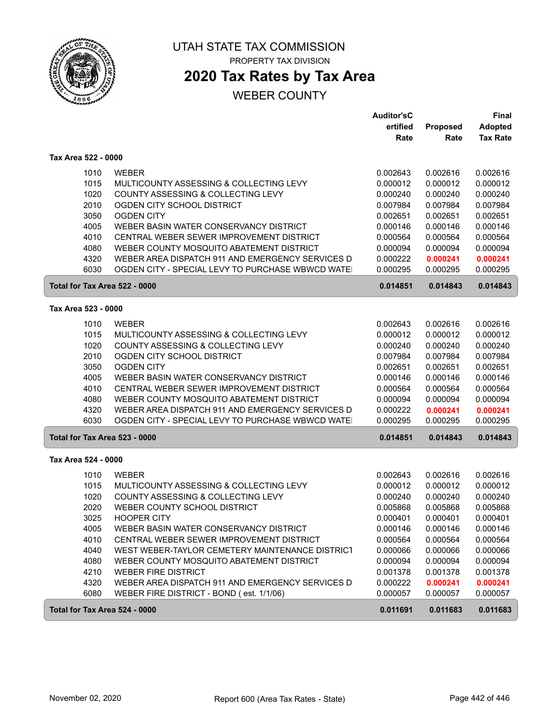

ſ

ſ

#### UTAH STATE TAX COMMISSION PROPERTY TAX DIVISION

## **2020 Tax Rates by Tax Area**

|                                      |                                                                                | <b>Auditor'sC</b><br>ertified<br>Rate | Proposed<br>Rate     | <b>Final</b><br><b>Adopted</b><br><b>Tax Rate</b> |
|--------------------------------------|--------------------------------------------------------------------------------|---------------------------------------|----------------------|---------------------------------------------------|
| Tax Area 522 - 0000                  |                                                                                |                                       |                      |                                                   |
| 1010                                 | <b>WEBER</b>                                                                   | 0.002643                              | 0.002616             | 0.002616                                          |
| 1015                                 | MULTICOUNTY ASSESSING & COLLECTING LEVY                                        | 0.000012                              | 0.000012             | 0.000012                                          |
| 1020                                 | COUNTY ASSESSING & COLLECTING LEVY                                             | 0.000240                              | 0.000240             | 0.000240                                          |
| 2010                                 | OGDEN CITY SCHOOL DISTRICT                                                     | 0.007984                              | 0.007984             | 0.007984                                          |
| 3050                                 | <b>OGDEN CITY</b>                                                              | 0.002651                              | 0.002651             | 0.002651                                          |
| 4005                                 | WEBER BASIN WATER CONSERVANCY DISTRICT                                         | 0.000146                              | 0.000146             | 0.000146                                          |
| 4010                                 | CENTRAL WEBER SEWER IMPROVEMENT DISTRICT                                       | 0.000564                              | 0.000564             | 0.000564                                          |
| 4080                                 | WEBER COUNTY MOSQUITO ABATEMENT DISTRICT                                       | 0.000094                              | 0.000094             | 0.000094                                          |
| 4320                                 | WEBER AREA DISPATCH 911 AND EMERGENCY SERVICES D                               | 0.000222                              | 0.000241             | 0.000241                                          |
| 6030                                 | OGDEN CITY - SPECIAL LEVY TO PURCHASE WBWCD WATE                               | 0.000295                              | 0.000295             | 0.000295                                          |
| Total for Tax Area 522 - 0000        |                                                                                | 0.014851                              | 0.014843             | 0.014843                                          |
| Tax Area 523 - 0000                  |                                                                                |                                       |                      |                                                   |
| 1010                                 | <b>WEBER</b>                                                                   | 0.002643                              | 0.002616             | 0.002616                                          |
| 1015                                 | MULTICOUNTY ASSESSING & COLLECTING LEVY                                        | 0.000012                              | 0.000012             | 0.000012                                          |
| 1020                                 | COUNTY ASSESSING & COLLECTING LEVY                                             | 0.000240                              | 0.000240             | 0.000240                                          |
| 2010                                 | OGDEN CITY SCHOOL DISTRICT                                                     | 0.007984                              | 0.007984             | 0.007984                                          |
| 3050                                 | <b>OGDEN CITY</b>                                                              | 0.002651                              | 0.002651             | 0.002651                                          |
| 4005                                 | WEBER BASIN WATER CONSERVANCY DISTRICT                                         | 0.000146                              | 0.000146             | 0.000146                                          |
| 4010                                 | CENTRAL WEBER SEWER IMPROVEMENT DISTRICT                                       | 0.000564                              | 0.000564             | 0.000564                                          |
| 4080                                 | WEBER COUNTY MOSQUITO ABATEMENT DISTRICT                                       | 0.000094                              | 0.000094             | 0.000094                                          |
| 4320                                 | WEBER AREA DISPATCH 911 AND EMERGENCY SERVICES D                               | 0.000222                              | 0.000241             | 0.000241                                          |
| 6030                                 | OGDEN CITY - SPECIAL LEVY TO PURCHASE WBWCD WATE                               | 0.000295                              | 0.000295             | 0.000295                                          |
| <b>Total for Tax Area 523 - 0000</b> |                                                                                | 0.014851                              | 0.014843             | 0.014843                                          |
| Tax Area 524 - 0000                  |                                                                                |                                       |                      |                                                   |
| 1010                                 | <b>WEBER</b>                                                                   | 0.002643                              | 0.002616             | 0.002616                                          |
| 1015                                 | MULTICOUNTY ASSESSING & COLLECTING LEVY                                        | 0.000012                              | 0.000012             | 0.000012                                          |
| 1020                                 | COUNTY ASSESSING & COLLECTING LEVY                                             | 0.000240                              | 0.000240             | 0.000240                                          |
| 2020                                 | WEBER COUNTY SCHOOL DISTRICT                                                   | 0.005868                              | 0.005868             | 0.005868                                          |
| 3025                                 | <b>HOOPER CITY</b>                                                             | 0.000401                              | 0.000401             | 0.000401                                          |
| 4005                                 | WEBER BASIN WATER CONSERVANCY DISTRICT                                         | 0.000146                              | 0.000146             | 0.000146                                          |
| 4010                                 | CENTRAL WEBER SEWER IMPROVEMENT DISTRICT                                       | 0.000564                              | 0.000564             | 0.000564                                          |
| 4040                                 | WEST WEBER-TAYLOR CEMETERY MAINTENANCE DISTRICT                                | 0.000066                              | 0.000066             | 0.000066                                          |
| 4080                                 | WEBER COUNTY MOSQUITO ABATEMENT DISTRICT                                       | 0.000094                              | 0.000094             | 0.000094                                          |
| 4210<br>4320                         | <b>WEBER FIRE DISTRICT</b><br>WEBER AREA DISPATCH 911 AND EMERGENCY SERVICES D | 0.001378<br>0.000222                  | 0.001378<br>0.000241 | 0.001378<br>0.000241                              |
| 6080                                 | WEBER FIRE DISTRICT - BOND (est. 1/1/06)                                       | 0.000057                              | 0.000057             | 0.000057                                          |
| Total for Tax Area 524 - 0000        |                                                                                | 0.011691                              | 0.011683             | 0.011683                                          |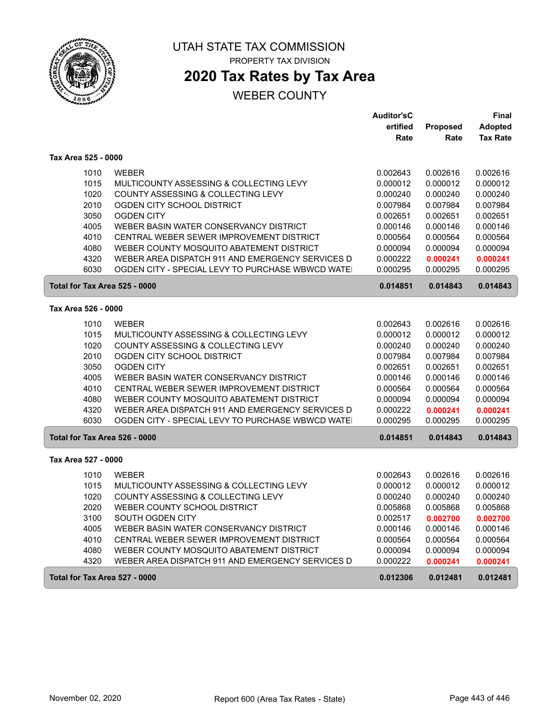

## **2020 Tax Rates by Tax Area**

### WEBER COUNTY

|                               |                                                                                    | <b>Auditor'sC</b>    |                      | Final                |
|-------------------------------|------------------------------------------------------------------------------------|----------------------|----------------------|----------------------|
|                               |                                                                                    | ertified             | <b>Proposed</b>      | <b>Adopted</b>       |
|                               |                                                                                    | Rate                 | Rate                 | <b>Tax Rate</b>      |
| Tax Area 525 - 0000           |                                                                                    |                      |                      |                      |
| 1010                          | <b>WEBER</b>                                                                       | 0.002643             | 0.002616             | 0.002616             |
| 1015                          | MULTICOUNTY ASSESSING & COLLECTING LEVY                                            | 0.000012             | 0.000012             | 0.000012             |
| 1020                          | COUNTY ASSESSING & COLLECTING LEVY                                                 | 0.000240             | 0.000240             | 0.000240             |
| 2010                          | OGDEN CITY SCHOOL DISTRICT                                                         | 0.007984             | 0.007984             | 0.007984             |
| 3050                          | <b>OGDEN CITY</b>                                                                  | 0.002651             | 0.002651             | 0.002651             |
| 4005                          | WEBER BASIN WATER CONSERVANCY DISTRICT                                             | 0.000146             | 0.000146             | 0.000146             |
| 4010                          | CENTRAL WEBER SEWER IMPROVEMENT DISTRICT                                           | 0.000564             | 0.000564             | 0.000564             |
| 4080                          | WEBER COUNTY MOSQUITO ABATEMENT DISTRICT                                           | 0.000094             | 0.000094             | 0.000094             |
| 4320                          | WEBER AREA DISPATCH 911 AND EMERGENCY SERVICES D                                   | 0.000222             | 0.000241             | 0.000241             |
| 6030                          | OGDEN CITY - SPECIAL LEVY TO PURCHASE WBWCD WATE                                   | 0.000295             | 0.000295             | 0.000295             |
| Total for Tax Area 525 - 0000 |                                                                                    | 0.014851             | 0.014843             | 0.014843             |
| Tax Area 526 - 0000           |                                                                                    |                      |                      |                      |
| 1010                          | <b>WEBER</b>                                                                       | 0.002643             | 0.002616             | 0.002616             |
| 1015                          | MULTICOUNTY ASSESSING & COLLECTING LEVY                                            | 0.000012             | 0.000012             | 0.000012             |
| 1020                          | COUNTY ASSESSING & COLLECTING LEVY                                                 | 0.000240             | 0.000240             | 0.000240             |
| 2010                          | OGDEN CITY SCHOOL DISTRICT                                                         | 0.007984             | 0.007984             | 0.007984             |
| 3050                          | <b>OGDEN CITY</b>                                                                  | 0.002651             | 0.002651             | 0.002651             |
| 4005                          | WEBER BASIN WATER CONSERVANCY DISTRICT                                             | 0.000146             | 0.000146             | 0.000146             |
| 4010                          | CENTRAL WEBER SEWER IMPROVEMENT DISTRICT                                           | 0.000564             | 0.000564             | 0.000564             |
| 4080                          | WEBER COUNTY MOSQUITO ABATEMENT DISTRICT                                           | 0.000094             | 0.000094             | 0.000094             |
| 4320                          | WEBER AREA DISPATCH 911 AND EMERGENCY SERVICES D                                   | 0.000222             | 0.000241             | 0.000241             |
| 6030                          | OGDEN CITY - SPECIAL LEVY TO PURCHASE WBWCD WATE                                   | 0.000295             | 0.000295             | 0.000295             |
| Total for Tax Area 526 - 0000 |                                                                                    | 0.014851             | 0.014843             | 0.014843             |
| Tax Area 527 - 0000           |                                                                                    |                      |                      |                      |
|                               |                                                                                    |                      |                      |                      |
| 1010<br>1015                  | <b>WEBER</b>                                                                       | 0.002643             | 0.002616             | 0.002616             |
|                               | MULTICOUNTY ASSESSING & COLLECTING LEVY                                            | 0.000012             | 0.000012             | 0.000012             |
| 1020                          | COUNTY ASSESSING & COLLECTING LEVY                                                 | 0.000240             | 0.000240             | 0.000240             |
| 2020                          | WEBER COUNTY SCHOOL DISTRICT                                                       | 0.005868             | 0.005868             | 0.005868             |
| 3100                          | SOUTH OGDEN CITY                                                                   | 0.002517             | 0.002700             | 0.002700             |
| 4005<br>4010                  | WEBER BASIN WATER CONSERVANCY DISTRICT<br>CENTRAL WEBER SEWER IMPROVEMENT DISTRICT | 0.000146<br>0.000564 | 0.000146             | 0.000146<br>0.000564 |
| 4080                          | WEBER COUNTY MOSQUITO ABATEMENT DISTRICT                                           |                      | 0.000564<br>0.000094 |                      |
| 4320                          | WEBER AREA DISPATCH 911 AND EMERGENCY SERVICES D                                   | 0.000094<br>0.000222 | 0.000241             | 0.000094<br>0.000241 |
|                               |                                                                                    |                      |                      |                      |
| Total for Tax Area 527 - 0000 |                                                                                    | 0.012306             | 0.012481             | 0.012481             |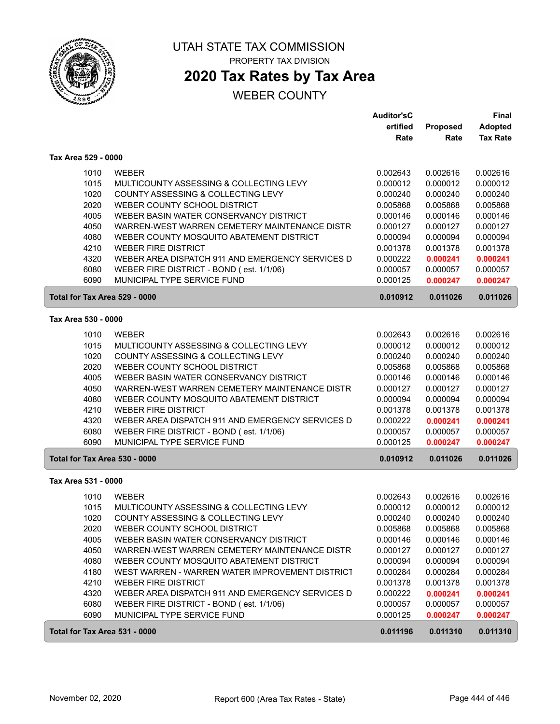

#### UTAH STATE TAX COMMISSION PROPERTY TAX DIVISION

## **2020 Tax Rates by Tax Area**

|                               |                                                  | <b>Auditor'sC</b> |          | Final           |
|-------------------------------|--------------------------------------------------|-------------------|----------|-----------------|
|                               |                                                  | ertified          | Proposed | <b>Adopted</b>  |
|                               |                                                  | Rate              | Rate     | <b>Tax Rate</b> |
| Tax Area 529 - 0000           |                                                  |                   |          |                 |
| 1010                          | <b>WEBER</b>                                     | 0.002643          | 0.002616 | 0.002616        |
| 1015                          | MULTICOUNTY ASSESSING & COLLECTING LEVY          | 0.000012          | 0.000012 | 0.000012        |
| 1020                          | COUNTY ASSESSING & COLLECTING LEVY               | 0.000240          | 0.000240 | 0.000240        |
| 2020                          | WEBER COUNTY SCHOOL DISTRICT                     | 0.005868          | 0.005868 | 0.005868        |
| 4005                          | WEBER BASIN WATER CONSERVANCY DISTRICT           | 0.000146          | 0.000146 | 0.000146        |
| 4050                          | WARREN-WEST WARREN CEMETERY MAINTENANCE DISTR    | 0.000127          | 0.000127 | 0.000127        |
| 4080                          | WEBER COUNTY MOSQUITO ABATEMENT DISTRICT         | 0.000094          | 0.000094 | 0.000094        |
| 4210                          | <b>WEBER FIRE DISTRICT</b>                       | 0.001378          | 0.001378 | 0.001378        |
| 4320                          | WEBER AREA DISPATCH 911 AND EMERGENCY SERVICES D | 0.000222          | 0.000241 | 0.000241        |
| 6080                          | WEBER FIRE DISTRICT - BOND (est. 1/1/06)         | 0.000057          | 0.000057 | 0.000057        |
| 6090                          | MUNICIPAL TYPE SERVICE FUND                      | 0.000125          | 0.000247 | 0.000247        |
| Total for Tax Area 529 - 0000 |                                                  | 0.010912          | 0.011026 | 0.011026        |
| Tax Area 530 - 0000           |                                                  |                   |          |                 |
| 1010                          | <b>WEBER</b>                                     | 0.002643          | 0.002616 | 0.002616        |
| 1015                          | MULTICOUNTY ASSESSING & COLLECTING LEVY          | 0.000012          | 0.000012 | 0.000012        |
| 1020                          | COUNTY ASSESSING & COLLECTING LEVY               | 0.000240          | 0.000240 | 0.000240        |
| 2020                          | WEBER COUNTY SCHOOL DISTRICT                     | 0.005868          | 0.005868 | 0.005868        |
| 4005                          | WEBER BASIN WATER CONSERVANCY DISTRICT           | 0.000146          | 0.000146 | 0.000146        |
| 4050                          | WARREN-WEST WARREN CEMETERY MAINTENANCE DISTR    | 0.000127          | 0.000127 | 0.000127        |
| 4080                          | WEBER COUNTY MOSQUITO ABATEMENT DISTRICT         | 0.000094          | 0.000094 | 0.000094        |
| 4210                          | <b>WEBER FIRE DISTRICT</b>                       | 0.001378          | 0.001378 | 0.001378        |
| 4320                          | WEBER AREA DISPATCH 911 AND EMERGENCY SERVICES D | 0.000222          | 0.000241 | 0.000241        |
| 6080                          | WEBER FIRE DISTRICT - BOND (est. 1/1/06)         | 0.000057          | 0.000057 | 0.000057        |
| 6090                          | MUNICIPAL TYPE SERVICE FUND                      | 0.000125          | 0.000247 | 0.000247        |
| Total for Tax Area 530 - 0000 |                                                  | 0.010912          | 0.011026 | 0.011026        |
| Tax Area 531 - 0000           |                                                  |                   |          |                 |
|                               |                                                  |                   |          |                 |
| 1010                          | <b>WEBER</b>                                     | 0.002643          | 0.002616 | 0.002616        |
| 1015                          | MULTICOUNTY ASSESSING & COLLECTING LEVY          | 0.000012          | 0.000012 | 0.000012        |
| 1020                          | COUNTY ASSESSING & COLLECTING LEVY               | 0.000240          | 0.000240 | 0.000240        |
| 2020                          | WEBER COUNTY SCHOOL DISTRICT                     | 0.005868          | 0.005868 | 0.005868        |
| 4005                          | WEBER BASIN WATER CONSERVANCY DISTRICT           | 0.000146          | 0.000146 | 0.000146        |
| 4050                          | WARREN-WEST WARREN CEMETERY MAINTENANCE DISTR    | 0.000127          | 0.000127 | 0.000127        |
| 4080                          | WEBER COUNTY MOSQUITO ABATEMENT DISTRICT         | 0.000094          | 0.000094 | 0.000094        |
| 4180                          | WEST WARREN - WARREN WATER IMPROVEMENT DISTRICT  | 0.000284          | 0.000284 | 0.000284        |
| 4210                          | <b>WEBER FIRE DISTRICT</b>                       | 0.001378          | 0.001378 | 0.001378        |
| 4320                          | WEBER AREA DISPATCH 911 AND EMERGENCY SERVICES D | 0.000222          | 0.000241 | 0.000241        |
| 6080                          | WEBER FIRE DISTRICT - BOND (est. 1/1/06)         | 0.000057          | 0.000057 | 0.000057        |
| 6090                          | MUNICIPAL TYPE SERVICE FUND                      | 0.000125          | 0.000247 | 0.000247        |
| Total for Tax Area 531 - 0000 |                                                  | 0.011196          | 0.011310 | 0.011310        |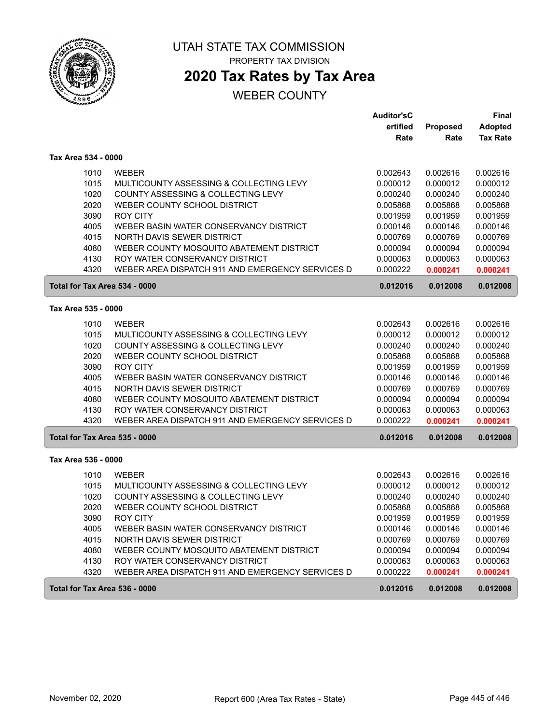

# **2020 Tax Rates by Tax Area**

|                     |                                                  | <b>Auditor'sC</b> |          | <b>Final</b>    |
|---------------------|--------------------------------------------------|-------------------|----------|-----------------|
|                     |                                                  | ertified          | Proposed | Adopted         |
|                     |                                                  | Rate              | Rate     | <b>Tax Rate</b> |
| Tax Area 534 - 0000 |                                                  |                   |          |                 |
| 1010                | <b>WEBER</b>                                     | 0.002643          | 0.002616 | 0.002616        |
| 1015                | MULTICOUNTY ASSESSING & COLLECTING LEVY          | 0.000012          | 0.000012 | 0.000012        |
| 1020                | COUNTY ASSESSING & COLLECTING LEVY               | 0.000240          | 0.000240 | 0.000240        |
| 2020                | WEBER COUNTY SCHOOL DISTRICT                     | 0.005868          | 0.005868 | 0.005868        |
| 3090                | <b>ROY CITY</b>                                  | 0.001959          | 0.001959 | 0.001959        |
| 4005                | WEBER BASIN WATER CONSERVANCY DISTRICT           | 0.000146          | 0.000146 | 0.000146        |
| 4015                | NORTH DAVIS SEWER DISTRICT                       | 0.000769          | 0.000769 | 0.000769        |
| 4080                | WEBER COUNTY MOSQUITO ABATEMENT DISTRICT         | 0.000094          | 0.000094 | 0.000094        |
| 4130                | ROY WATER CONSERVANCY DISTRICT                   | 0.000063          | 0.000063 | 0.000063        |
| 4320                | WEBER AREA DISPATCH 911 AND EMERGENCY SERVICES D | 0.000222          | 0.000241 | 0.000241        |
|                     | Total for Tax Area 534 - 0000                    | 0.012016          | 0.012008 | 0.012008        |
| Tax Area 535 - 0000 |                                                  |                   |          |                 |
|                     |                                                  |                   |          |                 |
| 1010                | <b>WEBER</b>                                     | 0.002643          | 0.002616 | 0.002616        |
| 1015                | MULTICOUNTY ASSESSING & COLLECTING LEVY          | 0.000012          | 0.000012 | 0.000012        |
| 1020                | COUNTY ASSESSING & COLLECTING LEVY               | 0.000240          | 0.000240 | 0.000240        |
| 2020                | WEBER COUNTY SCHOOL DISTRICT                     | 0.005868          | 0.005868 | 0.005868        |
| 3090                | <b>ROY CITY</b>                                  | 0.001959          | 0.001959 | 0.001959        |
| 4005                | WEBER BASIN WATER CONSERVANCY DISTRICT           | 0.000146          | 0.000146 | 0.000146        |
| 4015                | NORTH DAVIS SEWER DISTRICT                       | 0.000769          | 0.000769 | 0.000769        |
| 4080                | WEBER COUNTY MOSQUITO ABATEMENT DISTRICT         | 0.000094          | 0.000094 | 0.000094        |
| 4130                | ROY WATER CONSERVANCY DISTRICT                   | 0.000063          | 0.000063 | 0.000063        |
| 4320                | WEBER AREA DISPATCH 911 AND EMERGENCY SERVICES D | 0.000222          | 0.000241 | 0.000241        |
|                     | Total for Tax Area 535 - 0000<br>0.012016        |                   | 0.012008 | 0.012008        |
| Tax Area 536 - 0000 |                                                  |                   |          |                 |
| 1010                | <b>WEBER</b>                                     | 0.002643          | 0.002616 | 0.002616        |
| 1015                | MULTICOUNTY ASSESSING & COLLECTING LEVY          | 0.000012          | 0.000012 | 0.000012        |
| 1020                | COUNTY ASSESSING & COLLECTING LEVY               | 0.000240          | 0.000240 | 0.000240        |
| 2020                | WEBER COUNTY SCHOOL DISTRICT                     | 0.005868          | 0.005868 | 0.005868        |
| 3090                | <b>ROY CITY</b>                                  | 0.001959          | 0.001959 | 0.001959        |
| 4005                | WEBER BASIN WATER CONSERVANCY DISTRICT           | 0.000146          | 0.000146 | 0.000146        |
| 4015                | NORTH DAVIS SEWER DISTRICT                       | 0.000769          | 0.000769 | 0.000769        |
| 4080                | WEBER COUNTY MOSQUITO ABATEMENT DISTRICT         | 0.000094          | 0.000094 | 0.000094        |
| 4130                | ROY WATER CONSERVANCY DISTRICT                   | 0.000063          | 0.000063 | 0.000063        |
| 4320                | WEBER AREA DISPATCH 911 AND EMERGENCY SERVICES D | 0.000222          | 0.000241 | 0.000241        |
|                     | Total for Tax Area 536 - 0000<br>0.012016        |                   | 0.012008 | 0.012008        |